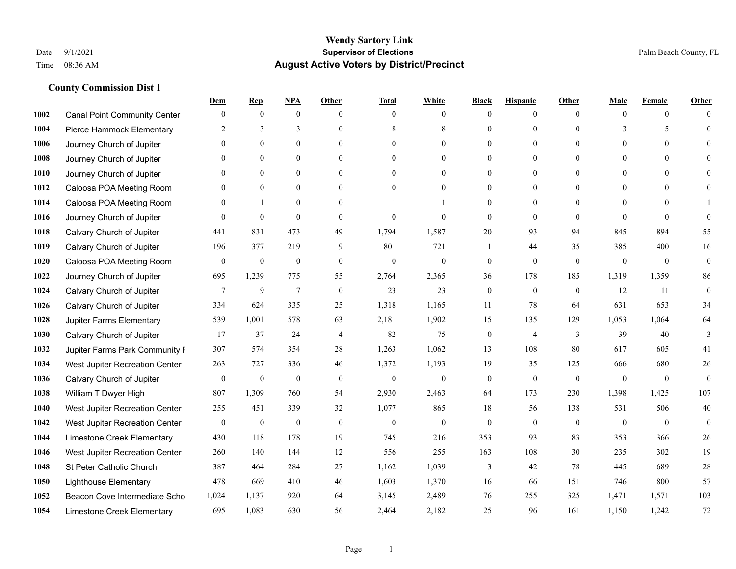|      |                                     | Dem              | <b>Rep</b>       | NPA              | <b>Other</b>   | <b>Total</b>     | <b>White</b>     | <b>Black</b>     | <b>Hispanic</b>  | <b>Other</b>   | <b>Male</b>  | <b>Female</b>  | <b>Other</b>     |
|------|-------------------------------------|------------------|------------------|------------------|----------------|------------------|------------------|------------------|------------------|----------------|--------------|----------------|------------------|
| 1002 | <b>Canal Point Community Center</b> | $\mathbf{0}$     | $\mathbf{0}$     | $\boldsymbol{0}$ | $\Omega$       | $\Omega$         | $\overline{0}$   | $\mathbf{0}$     | $\mathbf{0}$     | $\theta$       | $\theta$     | $\overline{0}$ | $\Omega$         |
| 1004 | Pierce Hammock Elementary           | 2                | 3                | 3                | $\theta$       | 8                | 8                | $\theta$         | $\mathbf{0}$     | $\Omega$       | 3            | 5              | $\theta$         |
| 1006 | Journey Church of Jupiter           | $\theta$         | $\theta$         | $\theta$         | $\Omega$       | $\Omega$         | $\Omega$         | $\Omega$         | $\theta$         | $\Omega$       | $\Omega$     | $\Omega$       | $\Omega$         |
| 1008 | Journey Church of Jupiter           | $\theta$         | $\mathbf{0}$     | $\mathbf{0}$     | $\overline{0}$ | $\theta$         | $\overline{0}$   | $\overline{0}$   | $\mathbf{0}$     | $\theta$       | $\mathbf{0}$ | $\mathbf{0}$   |                  |
| 1010 | Journey Church of Jupiter           | 0                | $\mathbf{0}$     | $\mathbf{0}$     | $\theta$       | $\Omega$         | $\overline{0}$   | $\overline{0}$   | $\mathbf{0}$     | $\theta$       | $\theta$     | $\theta$       | $\Omega$         |
| 1012 | Caloosa POA Meeting Room            | $\theta$         | $\mathbf{0}$     | $\mathbf{0}$     | $\theta$       | $\Omega$         | $\mathbf{0}$     | $\overline{0}$   | $\mathbf{0}$     | $\Omega$       | $\theta$     | $\theta$       | $\Omega$         |
| 1014 | Caloosa POA Meeting Room            | $\theta$         |                  | $\mathbf{0}$     | $\overline{0}$ |                  | 1                | $\overline{0}$   | $\mathbf{0}$     | $\theta$       | $\mathbf{0}$ | $\theta$       |                  |
| 1016 | Journey Church of Jupiter           | 0                | $\mathbf{0}$     | $\mathbf{0}$     | $\theta$       | $\Omega$         | $\theta$         | $\mathbf{0}$     | $\theta$         | $\theta$       | $\Omega$     | $\theta$       | $\theta$         |
| 1018 | Calvary Church of Jupiter           | 441              | 831              | 473              | 49             | 1,794            | 1,587            | 20               | 93               | 94             | 845          | 894            | 55               |
| 1019 | Calvary Church of Jupiter           | 196              | 377              | 219              | 9              | 801              | 721              | 1                | 44               | 35             | 385          | 400            | 16               |
| 1020 | Caloosa POA Meeting Room            | $\overline{0}$   | $\boldsymbol{0}$ | $\boldsymbol{0}$ | $\overline{0}$ | $\mathbf{0}$     | $\mathbf{0}$     | $\boldsymbol{0}$ | $\mathbf{0}$     | $\mathbf{0}$   | $\mathbf{0}$ | $\mathbf{0}$   | $\boldsymbol{0}$ |
| 1022 | Journey Church of Jupiter           | 695              | 1,239            | 775              | 55             | 2,764            | 2,365            | 36               | 178              | 185            | 1,319        | 1,359          | 86               |
| 1024 | Calvary Church of Jupiter           | $\tau$           | 9                | $\overline{7}$   | $\theta$       | 23               | 23               | $\mathbf{0}$     | $\mathbf{0}$     | $\theta$       | 12           | 11             | $\mathbf{0}$     |
| 1026 | Calvary Church of Jupiter           | 334              | 624              | 335              | 25             | 1,318            | 1,165            | 11               | 78               | 64             | 631          | 653            | 34               |
| 1028 | Jupiter Farms Elementary            | 539              | 1,001            | 578              | 63             | 2,181            | 1,902            | 15               | 135              | 129            | 1,053        | 1,064          | 64               |
| 1030 | Calvary Church of Jupiter           | 17               | 37               | 24               | $\overline{4}$ | 82               | 75               | $\boldsymbol{0}$ | $\overline{4}$   | 3              | 39           | 40             | 3                |
| 1032 | Jupiter Farms Park Community I      | 307              | 574              | 354              | 28             | 1,263            | 1,062            | 13               | 108              | 80             | 617          | 605            | 41               |
| 1034 | West Jupiter Recreation Center      | 263              | 727              | 336              | 46             | 1,372            | 1,193            | 19               | 35               | 125            | 666          | 680            | 26               |
| 1036 | Calvary Church of Jupiter           | $\boldsymbol{0}$ | $\boldsymbol{0}$ | $\boldsymbol{0}$ | $\mathbf{0}$   | $\boldsymbol{0}$ | $\boldsymbol{0}$ | $\boldsymbol{0}$ | $\mathbf{0}$     | $\mathbf{0}$   | $\mathbf{0}$ | $\mathbf{0}$   | $\mathbf{0}$     |
| 1038 | William T Dwyer High                | 807              | 1,309            | 760              | 54             | 2,930            | 2,463            | 64               | 173              | 230            | 1,398        | 1,425          | 107              |
| 1040 | West Jupiter Recreation Center      | 255              | 451              | 339              | 32             | 1,077            | 865              | 18               | 56               | 138            | 531          | 506            | 40               |
| 1042 | West Jupiter Recreation Center      | $\boldsymbol{0}$ | $\boldsymbol{0}$ | $\boldsymbol{0}$ | $\mathbf{0}$   | $\boldsymbol{0}$ | $\mathbf{0}$     | $\boldsymbol{0}$ | $\boldsymbol{0}$ | $\overline{0}$ | $\mathbf{0}$ | $\mathbf{0}$   | $\mathbf{0}$     |
| 1044 | Limestone Creek Elementary          | 430              | 118              | 178              | 19             | 745              | 216              | 353              | 93               | 83             | 353          | 366            | $26\,$           |
| 1046 | West Jupiter Recreation Center      | 260              | 140              | 144              | 12             | 556              | 255              | 163              | 108              | 30             | 235          | 302            | 19               |
| 1048 | St Peter Catholic Church            | 387              | 464              | 284              | 27             | 1,162            | 1,039            | 3                | 42               | 78             | 445          | 689            | 28               |
| 1050 | <b>Lighthouse Elementary</b>        | 478              | 669              | 410              | 46             | 1,603            | 1,370            | 16               | 66               | 151            | 746          | 800            | 57               |
| 1052 | Beacon Cove Intermediate Scho       | 1,024            | 1,137            | 920              | 64             | 3,145            | 2,489            | 76               | 255              | 325            | 1,471        | 1,571          | 103              |
| 1054 | Limestone Creek Elementary          | 695              | 1,083            | 630              | 56             | 2,464            | 2,182            | 25               | 96               | 161            | 1,150        | 1,242          | 72               |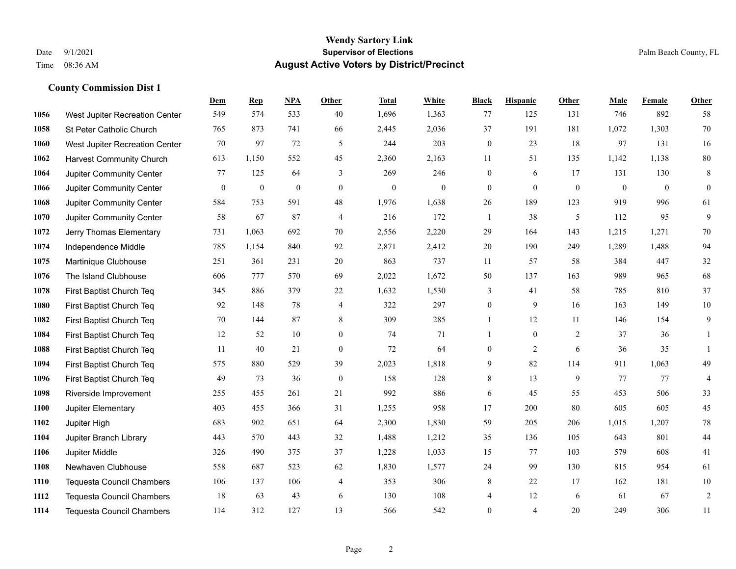#### **Wendy Sartory Link** Date 9/1/2021 **Supervisor of Elections** Palm Beach County, FL Time 08:36 AM **August Active Voters by District/Precinct**

# **Dem Rep NPA Other Total White Black Hispanic Other Male Female Other** West Jupiter Recreation Center 549 574 533 40 1,696 1,363 77 125 131 746 892 58 St Peter Catholic Church 765 873 741 66 2,445 2,036 37 191 181 1,072 1,303 70 West Jupiter Recreation Center  $\begin{array}{cccc} 70 & 97 & 72 & 5 & 244 & 203 & 0 & 23 & 18 & 97 & 131 & 16 \end{array}$  Harvest Community Church 613 1,150 552 45 2,360 2,163 11 51 135 1,142 1,138 80 Jupiter Community Center 77 125 64 3 269 246 0 6 17 131 130 8 Jupiter Community Center 0 0 0 0 0 0 0 0 0 0 0 0 Jupiter Community Center 584 753 591 48 1,976 1,638 26 189 123 919 996 61 Jupiter Community Center 58 67 87 4 216 172 1 38 5 112 95 9 Jerry Thomas Elementary 731 1,063 692 70 2,556 2,220 29 164 143 1,215 1,271 70 Independence Middle 785 1,154 840 92 2,871 2,412 20 190 249 1,289 1,488 94 Martinique Clubhouse 251 361 231 20 863 737 11 57 58 384 447 32 The Island Clubhouse 606 777 570 69 2,022 1,672 50 137 163 989 965 68 First Baptist Church Teq 345 886 379 22 1,632 1,530 3 41 58 785 810 37 First Baptist Church Teq 92 148 78 4 322 297 0 9 16 163 149 10 First Baptist Church Teq **70** 144 87 8 309 285 1 1 2 11 146 154 9 First Baptist Church Teq 12 52 10 0 74 71 1 0 2 37 36 1 First Baptist Church Teq 11 40 21 0 72 64 0 2 6 36 35 1 First Baptist Church Teq 575 880 529 39 2,023 1,818 9 82 114 911 1,063 49 First Baptist Church Teq 49 73 36 0 158 128 8 13 9 77 77 4 Riverside Improvement 255 455 261 21 992 886 6 45 55 453 506 33 Jupiter Elementary 403 455 366 31 1,255 958 17 200 80 605 605 45 Jupiter High 683 902 651 64 2,300 1,830 59 205 206 1,015 1,207 78 Jupiter Branch Library 443 570 443 32 1,488 1,212 35 136 105 643 801 44 Jupiter Middle 326 490 375 37 1,228 1,033 15 77 103 579 608 41 Newhaven Clubhouse 558 687 523 62 1,830 1,577 24 99 130 815 954 61 Tequesta Council Chambers 106 137 106 4 353 306 8 22 17 162 181 10 Tequesta Council Chambers 18 63 43 6 130 108 4 12 6 61 67 2 Tequesta Council Chambers 114 312 127 13 566 542 0 4 20 249 306 11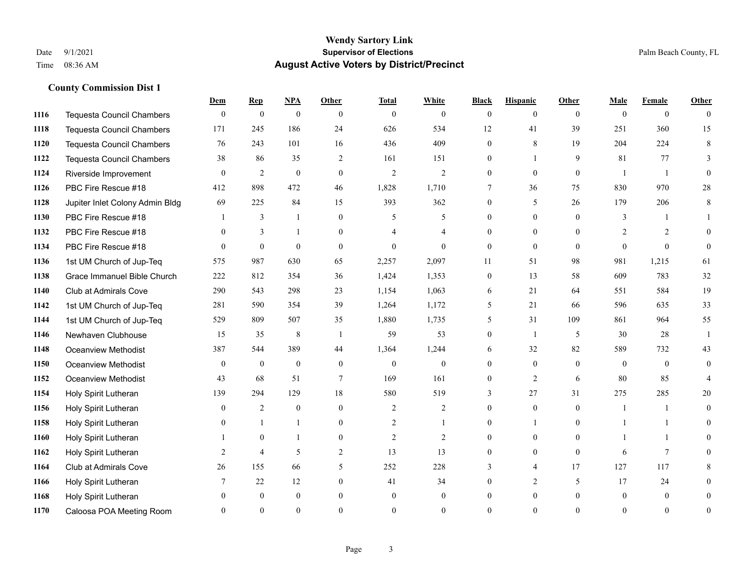### **Wendy Sartory Link** Date 9/1/2021 **Supervisor of Elections** Palm Beach County, FL Time 08:36 AM **August Active Voters by District/Precinct**

|      |                                  | Dem          | <b>Rep</b>       | <b>NPA</b>     | Other            | <b>Total</b>   | <b>White</b>   | <b>Black</b>    | <b>Hispanic</b> | Other        | Male           | <b>Female</b>  | Other          |
|------|----------------------------------|--------------|------------------|----------------|------------------|----------------|----------------|-----------------|-----------------|--------------|----------------|----------------|----------------|
| 1116 | <b>Tequesta Council Chambers</b> | $\theta$     | $\boldsymbol{0}$ | $\overline{0}$ | $\theta$         | $\mathbf{0}$   | $\theta$       | $\theta$        | $\theta$        | $\mathbf{0}$ | $\mathbf{0}$   | $\theta$       | $\Omega$       |
| 1118 | <b>Tequesta Council Chambers</b> | 171          | 245              | 186            | 24               | 626            | 534            | 12              | 41              | 39           | 251            | 360            | 15             |
| 1120 | <b>Tequesta Council Chambers</b> | 76           | 243              | 101            | 16               | 436            | 409            | $\mathbf{0}$    | 8               | 19           | 204            | 224            | 8              |
| 1122 | <b>Tequesta Council Chambers</b> | 38           | 86               | 35             | $\overline{2}$   | 161            | 151            | $\Omega$        |                 | 9            | 81             | 77             | 3              |
| 1124 | Riverside Improvement            | $\theta$     | $\overline{2}$   | $\overline{0}$ | $\mathbf{0}$     | $\overline{2}$ | $\overline{2}$ | $\theta$        | $\theta$        | $\theta$     | $\overline{1}$ | $\mathbf{1}$   | $\Omega$       |
| 1126 | PBC Fire Rescue #18              | 412          | 898              | 472            | 46               | 1,828          | 1,710          | $7\phantom{.0}$ | 36              | 75           | 830            | 970            | 28             |
| 1128 | Jupiter Inlet Colony Admin Bldg  | 69           | 225              | 84             | 15               | 393            | 362            | $\mathbf{0}$    | 5               | 26           | 179            | 206            | 8              |
| 1130 | PBC Fire Rescue #18              |              | 3                | 1              | $\theta$         | 5              | 5              | $\Omega$        | $\theta$        | $\theta$     | 3              |                |                |
| 1132 | PBC Fire Rescue #18              | $\Omega$     | $\overline{3}$   | 1              | $\theta$         | $\overline{4}$ | 4              | $\Omega$        | $\theta$        | $\theta$     | 2              | $\overline{2}$ | $\Omega$       |
| 1134 | PBC Fire Rescue #18              | $\theta$     | $\overline{0}$   | $\mathbf{0}$   | $\mathbf{0}$     | $\overline{0}$ | $\theta$       | $\mathbf{0}$    | $\mathbf{0}$    | $\theta$     | $\mathbf{0}$   | $\theta$       | $\theta$       |
| 1136 | 1st UM Church of Jup-Teq         | 575          | 987              | 630            | 65               | 2,257          | 2,097          | 11              | 51              | 98           | 981            | 1,215          | 61             |
| 1138 | Grace Immanuel Bible Church      | 222          | 812              | 354            | 36               | 1,424          | 1,353          | $\mathbf{0}$    | 13              | 58           | 609            | 783            | 32             |
| 1140 | Club at Admirals Cove            | 290          | 543              | 298            | 23               | 1,154          | 1,063          | 6               | 21              | 64           | 551            | 584            | 19             |
| 1142 | 1st UM Church of Jup-Teq         | 281          | 590              | 354            | 39               | 1,264          | 1,172          | 5               | 21              | 66           | 596            | 635            | 33             |
| 1144 | 1st UM Church of Jup-Teq         | 529          | 809              | 507            | 35               | 1,880          | 1,735          | 5               | 31              | 109          | 861            | 964            | 55             |
| 1146 | Newhaven Clubhouse               | 15           | 35               | $\,8\,$        | -1               | 59             | 53             | $\overline{0}$  | -1              | 5            | 30             | 28             | -1             |
| 1148 | <b>Oceanview Methodist</b>       | 387          | 544              | 389            | 44               | 1,364          | 1,244          | 6               | 32              | 82           | 589            | 732            | 43             |
| 1150 | <b>Oceanview Methodist</b>       | $\theta$     | $\mathbf{0}$     | $\overline{0}$ | $\mathbf{0}$     | $\mathbf{0}$   | $\mathbf{0}$   | $\Omega$        | $\theta$        | $\theta$     | $\theta$       | $\theta$       | $\Omega$       |
| 1152 | <b>Oceanview Methodist</b>       | 43           | 68               | 51             | $\tau$           | 169            | 161            | $\theta$        | $\overline{2}$  | 6            | 80             | 85             | $\overline{4}$ |
| 1154 | Holy Spirit Lutheran             | 139          | 294              | 129            | 18               | 580            | 519            | 3               | 27              | 31           | 275            | 285            | 20             |
| 1156 | Holy Spirit Lutheran             | $\theta$     | $\overline{c}$   | $\mathbf{0}$   | $\theta$         | 2              | 2              | $\theta$        | $\theta$        | $\theta$     |                |                | $\Omega$       |
| 1158 | Holy Spirit Lutheran             | $\mathbf{0}$ | $\mathbf{1}$     | 1              | $\boldsymbol{0}$ | $\overline{c}$ | 1              | $\theta$        | -1              | $\mathbf{0}$ |                | 1              | $\theta$       |
| 1160 | Holy Spirit Lutheran             |              | $\overline{0}$   | 1              | $\mathbf{0}$     | $\overline{2}$ | 2              | $\overline{0}$  | $\overline{0}$  | $\mathbf{0}$ |                | 1              | $\Omega$       |
| 1162 | Holy Spirit Lutheran             | 2            | 4                | 5              | 2                | 13             | 13             | $\theta$        | $\theta$        | $\theta$     | 6              | $\tau$         | $\Omega$       |
| 1164 | <b>Club at Admirals Cove</b>     | 26           | 155              | 66             | 5                | 252            | 228            | 3               | $\overline{4}$  | 17           | 127            | 117            | 8              |
| 1166 | Holy Spirit Lutheran             | 7            | 22               | 12             | $\mathbf{0}$     | 41             | 34             | $\Omega$        | 2               | 5            | 17             | 24             | $\theta$       |
| 1168 | Holy Spirit Lutheran             | $\Omega$     | $\theta$         | $\Omega$       | $\theta$         | $\theta$       | $\theta$       | $\Omega$        | $\theta$        | $\theta$     | $\theta$       | $\theta$       | $\Omega$       |
| 1170 | Caloosa POA Meeting Room         | $\Omega$     | $\theta$         | $\Omega$       | $\Omega$         | $\Omega$       | $\Omega$       | $\Omega$        | $\Omega$        | $\Omega$     | $\Omega$       | $\Omega$       |                |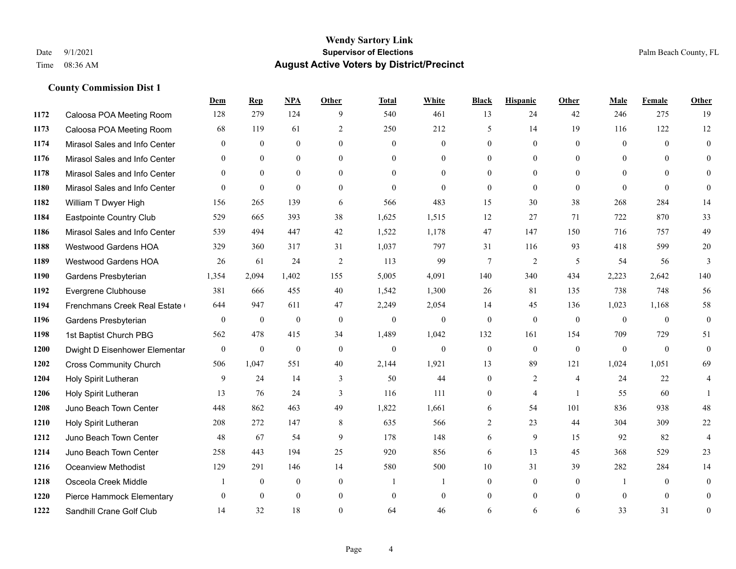|      |                               | Dem              | <b>Rep</b>   | NPA          | <b>Other</b>   | <b>Total</b> | <b>White</b>     | <b>Black</b> | <b>Hispanic</b> | <b>Other</b>   | <b>Male</b>    | Female   | <b>Other</b>     |
|------|-------------------------------|------------------|--------------|--------------|----------------|--------------|------------------|--------------|-----------------|----------------|----------------|----------|------------------|
| 1172 | Caloosa POA Meeting Room      | 128              | 279          | 124          | 9              | 540          | 461              | 13           | 24              | 42             | 246            | 275      | 19               |
| 1173 | Caloosa POA Meeting Room      | 68               | 119          | 61           | 2              | 250          | 212              | 5            | 14              | 19             | 116            | 122      | 12               |
| 1174 | Mirasol Sales and Info Center | $\theta$         | $\theta$     | $\theta$     | $\Omega$       | $\theta$     | $\overline{0}$   | $\theta$     | $\theta$        | $\Omega$       | $\theta$       | $\Omega$ | $\theta$         |
| 1176 | Mirasol Sales and Info Center | $\mathbf{0}$     | $\mathbf{0}$ | $\mathbf{0}$ | $\overline{0}$ | $\mathbf{0}$ | $\overline{0}$   | $\mathbf{0}$ | $\mathbf{0}$    | $\overline{0}$ | $\mathbf{0}$   | $\theta$ | $\theta$         |
| 1178 | Mirasol Sales and Info Center | $\theta$         | $\theta$     | $\theta$     | $\theta$       | $\Omega$     | $\theta$         | $\theta$     | $\theta$        | $\theta$       | $\theta$       | $\theta$ | $\theta$         |
| 1180 | Mirasol Sales and Info Center | $\Omega$         | $\mathbf{0}$ | $\theta$     | $\theta$       | $\theta$     | $\theta$         | $\theta$     | $\theta$        | $\theta$       | $\theta$       | $\theta$ | $\theta$         |
| 1182 | William T Dwyer High          | 156              | 265          | 139          | 6              | 566          | 483              | 15           | 30              | 38             | 268            | 284      | 14               |
| 1184 | Eastpointe Country Club       | 529              | 665          | 393          | 38             | 1,625        | 1,515            | 12           | 27              | 71             | 722            | 870      | 33               |
| 1186 | Mirasol Sales and Info Center | 539              | 494          | 447          | 42             | 1,522        | 1,178            | 47           | 147             | 150            | 716            | 757      | 49               |
| 1188 | Westwood Gardens HOA          | 329              | 360          | 317          | 31             | 1,037        | 797              | 31           | 116             | 93             | 418            | 599      | 20               |
| 1189 | Westwood Gardens HOA          | 26               | 61           | 24           | 2              | 113          | 99               | $\tau$       | 2               | 5              | 54             | 56       | 3                |
| 1190 | Gardens Presbyterian          | 1,354            | 2,094        | 1,402        | 155            | 5,005        | 4,091            | 140          | 340             | 434            | 2,223          | 2,642    | 140              |
| 1192 | Evergrene Clubhouse           | 381              | 666          | 455          | 40             | 1,542        | 1,300            | 26           | 81              | 135            | 738            | 748      | 56               |
| 1194 | Frenchmans Creek Real Estate  | 644              | 947          | 611          | 47             | 2,249        | 2,054            | 14           | 45              | 136            | 1,023          | 1,168    | 58               |
| 1196 | Gardens Presbyterian          | $\boldsymbol{0}$ | $\mathbf{0}$ | $\mathbf{0}$ | $\mathbf{0}$   | $\mathbf{0}$ | $\boldsymbol{0}$ | $\mathbf{0}$ | $\mathbf{0}$    | $\mathbf{0}$   | $\overline{0}$ | $\theta$ | $\boldsymbol{0}$ |
| 1198 | 1st Baptist Church PBG        | 562              | 478          | 415          | 34             | 1,489        | 1,042            | 132          | 161             | 154            | 709            | 729      | 51               |
| 1200 | Dwight D Eisenhower Elementar | $\overline{0}$   | $\mathbf{0}$ | $\mathbf{0}$ | $\theta$       | $\mathbf{0}$ | $\mathbf{0}$     | $\mathbf{0}$ | $\theta$        | $\theta$       | $\theta$       | $\theta$ | $\theta$         |
| 1202 | <b>Cross Community Church</b> | 506              | 1,047        | 551          | 40             | 2,144        | 1,921            | 13           | 89              | 121            | 1,024          | 1,051    | 69               |
| 1204 | Holy Spirit Lutheran          | 9                | 24           | 14           | 3              | 50           | 44               | $\mathbf{0}$ | 2               | $\overline{4}$ | 24             | 22       | 4                |
| 1206 | Holy Spirit Lutheran          | 13               | 76           | 24           | 3              | 116          | 111              | $\mathbf{0}$ | $\overline{4}$  | $\overline{1}$ | 55             | 60       | $\mathbf{1}$     |
| 1208 | Juno Beach Town Center        | 448              | 862          | 463          | 49             | 1,822        | 1,661            | 6            | 54              | 101            | 836            | 938      | 48               |
| 1210 | Holy Spirit Lutheran          | 208              | 272          | 147          | 8              | 635          | 566              | 2            | 23              | 44             | 304            | 309      | 22               |
| 1212 | Juno Beach Town Center        | 48               | 67           | 54           | 9              | 178          | 148              | 6            | 9               | 15             | 92             | 82       | $\overline{4}$   |
| 1214 | Juno Beach Town Center        | 258              | 443          | 194          | 25             | 920          | 856              | 6            | 13              | 45             | 368            | 529      | 23               |
| 1216 | <b>Oceanview Methodist</b>    | 129              | 291          | 146          | 14             | 580          | 500              | $10\,$       | 31              | 39             | 282            | 284      | 14               |
| 1218 | Osceola Creek Middle          |                  | $\mathbf{0}$ | $\mathbf{0}$ | $\mathbf{0}$   | -1           | 1                | $\mathbf{0}$ | $\mathbf{0}$    | $\theta$       | -1             | $\theta$ | $\mathbf{0}$     |
| 1220 | Pierce Hammock Elementary     | $\theta$         | $\theta$     | $\theta$     | $\mathbf{0}$   | $\mathbf{0}$ | $\overline{0}$   | $\theta$     | $\theta$        | $\theta$       | $\theta$       | $\theta$ | $\theta$         |
| 1222 | Sandhill Crane Golf Club      | 14               | 32           | 18           | $\Omega$       | 64           | 46               | 6            | 6               | 6              | 33             | 31       | $\mathbf{0}$     |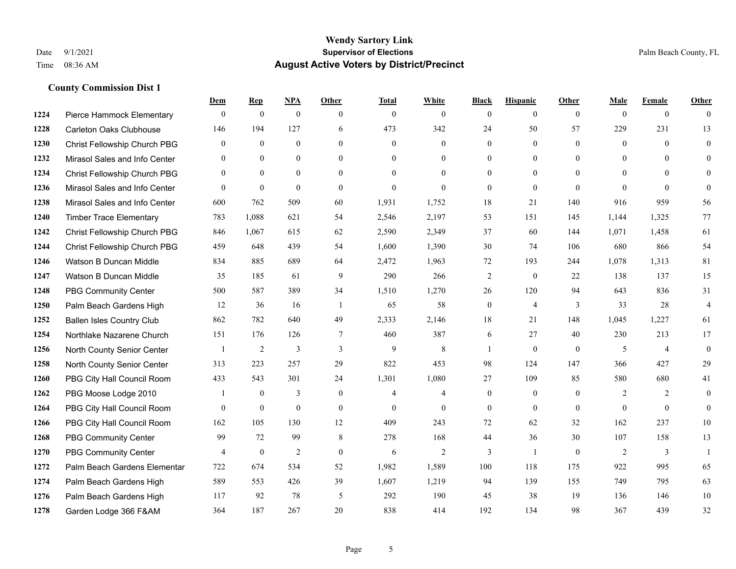|      |                                  | Dem              | <b>Rep</b>     | NPA              | <b>Other</b>   | <b>Total</b>   | <b>White</b>   | <b>Black</b>     | <b>Hispanic</b> | <b>Other</b>   | <b>Male</b>    | <b>Female</b>  | <b>Other</b>   |
|------|----------------------------------|------------------|----------------|------------------|----------------|----------------|----------------|------------------|-----------------|----------------|----------------|----------------|----------------|
| 1224 | Pierce Hammock Elementary        | $\mathbf{0}$     | $\mathbf{0}$   | $\mathbf{0}$     | $\theta$       | $\theta$       | $\overline{0}$ | $\mathbf{0}$     | $\mathbf{0}$    | $\theta$       | $\theta$       | $\overline{0}$ | $\Omega$       |
| 1228 | <b>Carleton Oaks Clubhouse</b>   | 146              | 194            | 127              | 6              | 473            | 342            | 24               | 50              | 57             | 229            | 231            | 13             |
| 1230 | Christ Fellowship Church PBG     | $\theta$         | $\mathbf{0}$   | $\theta$         | $\Omega$       | $\theta$       | $\Omega$       | $\theta$         | $\theta$        | $\Omega$       | $\theta$       | $\Omega$       | $\theta$       |
| 1232 | Mirasol Sales and Info Center    | $\boldsymbol{0}$ | $\mathbf{0}$   | $\boldsymbol{0}$ | $\overline{0}$ | $\mathbf{0}$   | $\mathbf{0}$   | $\mathbf{0}$     | $\mathbf{0}$    | $\overline{0}$ | $\overline{0}$ | $\theta$       | $\theta$       |
| 1234 | Christ Fellowship Church PBG     | $\overline{0}$   | $\mathbf{0}$   | $\mathbf{0}$     | $\theta$       | $\theta$       | $\Omega$       | $\overline{0}$   | $\mathbf{0}$    | $\theta$       | $\theta$       | $\theta$       | $\theta$       |
| 1236 | Mirasol Sales and Info Center    | $\theta$         | $\mathbf{0}$   | $\mathbf{0}$     | $\theta$       | $\theta$       | $\Omega$       | $\mathbf{0}$     | $\theta$        | $\Omega$       | $\Omega$       | $\Omega$       | $\theta$       |
| 1238 | Mirasol Sales and Info Center    | 600              | 762            | 509              | 60             | 1,931          | 1,752          | 18               | 21              | 140            | 916            | 959            | 56             |
| 1240 | <b>Timber Trace Elementary</b>   | 783              | 1,088          | 621              | 54             | 2,546          | 2,197          | 53               | 151             | 145            | 1,144          | 1,325          | 77             |
| 1242 | Christ Fellowship Church PBG     | 846              | 1,067          | 615              | 62             | 2,590          | 2,349          | 37               | 60              | 144            | 1,071          | 1,458          | 61             |
| 1244 | Christ Fellowship Church PBG     | 459              | 648            | 439              | 54             | 1,600          | 1,390          | 30               | 74              | 106            | 680            | 866            | 54             |
| 1246 | Watson B Duncan Middle           | 834              | 885            | 689              | 64             | 2,472          | 1,963          | 72               | 193             | 244            | 1,078          | 1,313          | 81             |
| 1247 | Watson B Duncan Middle           | 35               | 185            | 61               | 9              | 290            | 266            | $\overline{c}$   | $\theta$        | 22             | 138            | 137            | 15             |
| 1248 | <b>PBG Community Center</b>      | 500              | 587            | 389              | 34             | 1,510          | 1,270          | 26               | 120             | 94             | 643            | 836            | 31             |
| 1250 | Palm Beach Gardens High          | 12               | 36             | 16               | -1             | 65             | 58             | $\boldsymbol{0}$ | $\overline{4}$  | 3              | 33             | 28             | $\overline{4}$ |
| 1252 | <b>Ballen Isles Country Club</b> | 862              | 782            | 640              | 49             | 2,333          | 2,146          | 18               | 21              | 148            | 1,045          | 1,227          | 61             |
| 1254 | Northlake Nazarene Church        | 151              | 176            | 126              | $\tau$         | 460            | 387            | 6                | 27              | 40             | 230            | 213            | 17             |
| 1256 | North County Senior Center       |                  | $\overline{2}$ | 3                | 3              | 9              | $\,$ 8 $\,$    |                  | $\mathbf{0}$    | $\theta$       | 5              | $\overline{4}$ | $\mathbf{0}$   |
| 1258 | North County Senior Center       | 313              | 223            | 257              | 29             | 822            | 453            | 98               | 124             | 147            | 366            | 427            | 29             |
| 1260 | PBG City Hall Council Room       | 433              | 543            | 301              | 24             | 1,301          | 1,080          | 27               | 109             | 85             | 580            | 680            | 41             |
| 1262 | PBG Moose Lodge 2010             |                  | $\mathbf{0}$   | 3                | $\mathbf{0}$   | $\overline{4}$ | 4              | $\mathbf{0}$     | $\mathbf{0}$    | $\theta$       | 2              | $\overline{2}$ | $\mathbf{0}$   |
| 1264 | PBG City Hall Council Room       | $\theta$         | $\mathbf{0}$   | $\mathbf{0}$     | $\theta$       | $\Omega$       | $\Omega$       | $\theta$         | $\theta$        | $\theta$       | $\theta$       | $\Omega$       | $\theta$       |
| 1266 | PBG City Hall Council Room       | 162              | 105            | 130              | 12             | 409            | 243            | 72               | 62              | 32             | 162            | 237            | 10             |
| 1268 | <b>PBG Community Center</b>      | 99               | 72             | 99               | 8              | 278            | 168            | 44               | 36              | 30             | 107            | 158            | 13             |
| 1270 | <b>PBG Community Center</b>      | 4                | $\mathbf{0}$   | $\overline{2}$   | $\theta$       | 6              | $\overline{2}$ | 3                | -1              | $\Omega$       | 2              | 3              | $\mathbf{1}$   |
| 1272 | Palm Beach Gardens Elementar     | 722              | 674            | 534              | 52             | 1,982          | 1,589          | 100              | 118             | 175            | 922            | 995            | 65             |
| 1274 | Palm Beach Gardens High          | 589              | 553            | 426              | 39             | 1,607          | 1,219          | 94               | 139             | 155            | 749            | 795            | 63             |
| 1276 | Palm Beach Gardens High          | 117              | 92             | 78               | 5              | 292            | 190            | 45               | 38              | 19             | 136            | 146            | 10             |
| 1278 | Garden Lodge 366 F&AM            | 364              | 187            | 267              | 20             | 838            | 414            | 192              | 134             | 98             | 367            | 439            | 32             |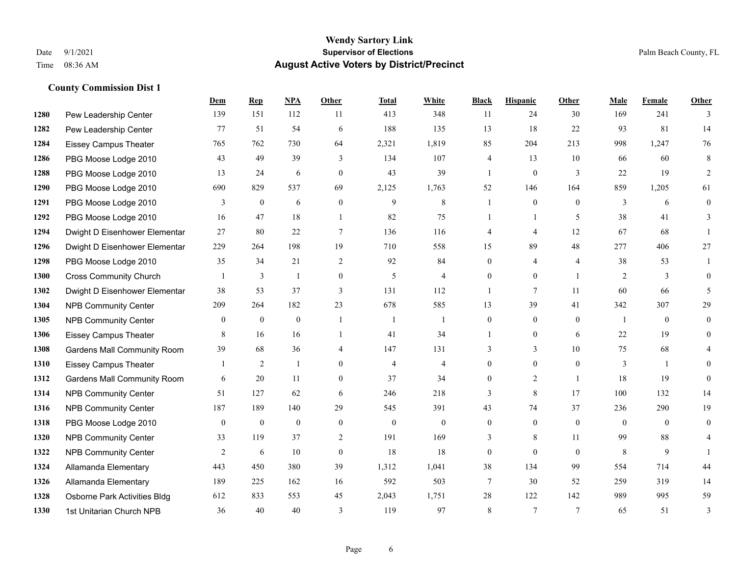|      |                                    | Dem          | <b>Rep</b>     | NPA          | <b>Other</b>     | <b>Total</b>   | <b>White</b>   | <b>Black</b>   | <b>Hispanic</b> | Other                    | <b>Male</b>    | <b>Female</b> | <b>Other</b>   |
|------|------------------------------------|--------------|----------------|--------------|------------------|----------------|----------------|----------------|-----------------|--------------------------|----------------|---------------|----------------|
| 1280 | Pew Leadership Center              | 139          | 151            | 112          | 11               | 413            | 348            | 11             | 24              | 30                       | 169            | 241           | 3              |
| 1282 | Pew Leadership Center              | 77           | 51             | 54           | 6                | 188            | 135            | 13             | 18              | 22                       | 93             | 81            | 14             |
| 1284 | <b>Eissey Campus Theater</b>       | 765          | 762            | 730          | 64               | 2,321          | 1,819          | 85             | 204             | 213                      | 998            | 1,247         | 76             |
| 1286 | PBG Moose Lodge 2010               | 43           | 49             | 39           | 3                | 134            | 107            | 4              | 13              | 10                       | 66             | 60            | 8              |
| 1288 | PBG Moose Lodge 2010               | 13           | 24             | 6            | $\theta$         | 43             | 39             | $\mathbf{1}$   | $\mathbf{0}$    | 3                        | 22             | 19            | $\overline{2}$ |
| 1290 | PBG Moose Lodge 2010               | 690          | 829            | 537          | 69               | 2,125          | 1,763          | 52             | 146             | 164                      | 859            | 1,205         | 61             |
| 1291 | PBG Moose Lodge 2010               | 3            | $\mathbf{0}$   | 6            | $\mathbf{0}$     | 9              | 8              |                | $\mathbf{0}$    | $\theta$                 | 3              | 6             | $\mathbf{0}$   |
| 1292 | PBG Moose Lodge 2010               | 16           | 47             | 18           | $\overline{1}$   | 82             | 75             | 1              | $\mathbf{1}$    | $\overline{\phantom{0}}$ | 38             | 41            | 3              |
| 1294 | Dwight D Eisenhower Elementar      | 27           | 80             | $22\,$       | $\tau$           | 136            | 116            | 4              | 4               | 12                       | 67             | 68            |                |
| 1296 | Dwight D Eisenhower Elementar      | 229          | 264            | 198          | 19               | 710            | 558            | 15             | 89              | 48                       | 277            | 406           | 27             |
| 1298 | PBG Moose Lodge 2010               | 35           | 34             | 21           | 2                | 92             | 84             | $\theta$       | 4               | $\overline{4}$           | 38             | 53            |                |
| 1300 | <b>Cross Community Church</b>      |              | 3              | 1            | $\boldsymbol{0}$ | 5              | 4              | $\overline{0}$ | $\overline{0}$  | $\overline{1}$           | 2              | 3             | $\theta$       |
| 1302 | Dwight D Eisenhower Elementar      | 38           | 53             | 37           | 3                | 131            | 112            | 1              | 7               | 11                       | 60             | 66            | 5              |
| 1304 | <b>NPB Community Center</b>        | 209          | 264            | 182          | 23               | 678            | 585            | 13             | 39              | 41                       | 342            | 307           | 29             |
| 1305 | <b>NPB Community Center</b>        | $\mathbf{0}$ | $\mathbf{0}$   | $\mathbf{0}$ | $\overline{1}$   | -1             | 1              | $\overline{0}$ | $\overline{0}$  | $\theta$                 | $\overline{1}$ | $\theta$      | $\overline{0}$ |
| 1306 | Eissey Campus Theater              | 8            | 16             | 16           | $\mathbf{1}$     | 41             | 34             |                | $\overline{0}$  | 6                        | 22             | 19            | $\theta$       |
| 1308 | <b>Gardens Mall Community Room</b> | 39           | 68             | 36           | $\overline{4}$   | 147            | 131            | 3              | 3               | 10                       | 75             | 68            | 4              |
| 1310 | <b>Eissey Campus Theater</b>       |              | $\overline{c}$ | 1            | $\theta$         | $\overline{4}$ | $\overline{4}$ | $\overline{0}$ | $\overline{0}$  | $\theta$                 | 3              |               | $\theta$       |
| 1312 | <b>Gardens Mall Community Room</b> | 6            | 20             | 11           | $\overline{0}$   | 37             | 34             | $\overline{0}$ | $\overline{2}$  | $\overline{1}$           | 18             | 19            | $\Omega$       |
| 1314 | <b>NPB Community Center</b>        | 51           | 127            | 62           | 6                | 246            | 218            | 3              | 8               | 17                       | 100            | 132           | 14             |
| 1316 | <b>NPB Community Center</b>        | 187          | 189            | 140          | 29               | 545            | 391            | 43             | 74              | 37                       | 236            | 290           | 19             |
| 1318 | PBG Moose Lodge 2010               | $\mathbf{0}$ | $\mathbf{0}$   | $\mathbf{0}$ | $\mathbf{0}$     | $\mathbf{0}$   | $\overline{0}$ | $\overline{0}$ | $\overline{0}$  | $\theta$                 | $\overline{0}$ | $\theta$      | $\theta$       |
| 1320 | <b>NPB Community Center</b>        | 33           | 119            | 37           | 2                | 191            | 169            | 3              | 8               | 11                       | 99             | 88            | 4              |
| 1322 | <b>NPB Community Center</b>        | 2            | 6              | 10           | $\mathbf{0}$     | 18             | 18             | 0              | $\overline{0}$  | $\theta$                 | 8              | 9             |                |
| 1324 | Allamanda Elementary               | 443          | 450            | 380          | 39               | 1,312          | 1,041          | 38             | 134             | 99                       | 554            | 714           | 44             |
| 1326 | Allamanda Elementary               | 189          | 225            | 162          | 16               | 592            | 503            | 7              | 30              | 52                       | 259            | 319           | 14             |
| 1328 | Osborne Park Activities Bldg       | 612          | 833            | 553          | 45               | 2,043          | 1,751          | 28             | 122             | 142                      | 989            | 995           | 59             |
| 1330 | 1st Unitarian Church NPB           | 36           | 40             | 40           | 3                | 119            | 97             | 8              | $\tau$          | $\overline{7}$           | 65             | 51            | 3              |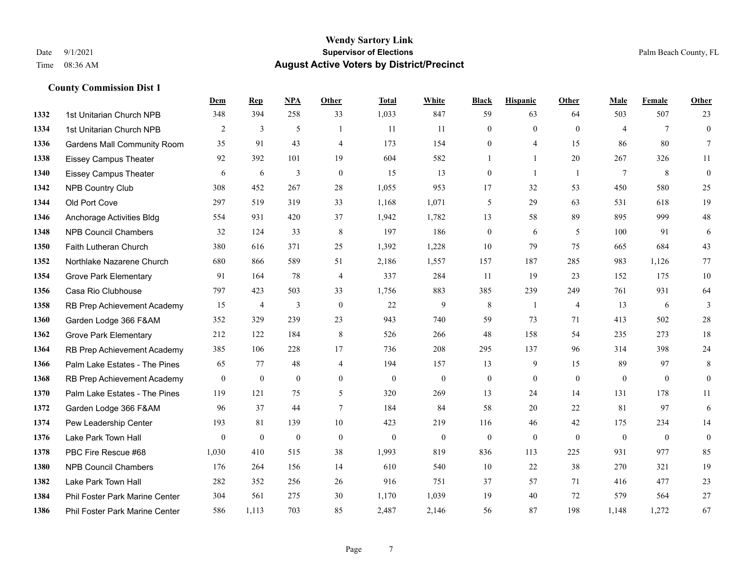|      |                                       | Dem          | <b>Rep</b>     | NPA              | <b>Other</b>     | <b>Total</b> | <b>White</b>     | <b>Black</b>     | <b>Hispanic</b> | <b>Other</b>   | <b>Male</b>    | <b>Female</b>   | <b>Other</b>     |
|------|---------------------------------------|--------------|----------------|------------------|------------------|--------------|------------------|------------------|-----------------|----------------|----------------|-----------------|------------------|
| 1332 | 1st Unitarian Church NPB              | 348          | 394            | 258              | 33               | 1,033        | 847              | 59               | 63              | 64             | 503            | 507             | 23               |
| 1334 | 1st Unitarian Church NPB              | 2            | 3              | 5                |                  | 11           | 11               | $\mathbf{0}$     | $\mathbf{0}$    | $\theta$       | $\overline{4}$ | $7\phantom{.0}$ | $\mathbf{0}$     |
| 1336 | <b>Gardens Mall Community Room</b>    | 35           | 91             | 43               | $\overline{4}$   | 173          | 154              | $\mathbf{0}$     | $\overline{4}$  | 15             | 86             | 80              | $7\overline{ }$  |
| 1338 | <b>Eissey Campus Theater</b>          | 92           | 392            | 101              | 19               | 604          | 582              | 1                | $\mathbf{1}$    | 20             | 267            | 326             | 11               |
| 1340 | <b>Eissey Campus Theater</b>          | 6            | 6              | 3                | $\mathbf{0}$     | 15           | 13               | $\boldsymbol{0}$ | $\mathbf{1}$    | $\overline{1}$ | $\tau$         | 8               | $\boldsymbol{0}$ |
| 1342 | <b>NPB Country Club</b>               | 308          | 452            | 267              | 28               | 1,055        | 953              | 17               | 32              | 53             | 450            | 580             | 25               |
| 1344 | Old Port Cove                         | 297          | 519            | 319              | 33               | 1,168        | 1,071            | 5                | 29              | 63             | 531            | 618             | 19               |
| 1346 | Anchorage Activities Bldg             | 554          | 931            | 420              | 37               | 1,942        | 1,782            | 13               | 58              | 89             | 895            | 999             | $48\,$           |
| 1348 | <b>NPB Council Chambers</b>           | 32           | 124            | 33               | 8                | 197          | 186              | $\boldsymbol{0}$ | 6               | 5              | 100            | 91              | 6                |
| 1350 | Faith Lutheran Church                 | 380          | 616            | 371              | 25               | 1,392        | 1,228            | 10               | 79              | 75             | 665            | 684             | 43               |
| 1352 | Northlake Nazarene Church             | 680          | 866            | 589              | 51               | 2,186        | 1,557            | 157              | 187             | 285            | 983            | 1,126           | $77\,$           |
| 1354 | <b>Grove Park Elementary</b>          | 91           | 164            | 78               | $\overline{4}$   | 337          | 284              | 11               | 19              | 23             | 152            | 175             | $10\,$           |
| 1356 | Casa Rio Clubhouse                    | 797          | 423            | 503              | 33               | 1,756        | 883              | 385              | 239             | 249            | 761            | 931             | 64               |
| 1358 | RB Prep Achievement Academy           | 15           | $\overline{4}$ | 3                | $\boldsymbol{0}$ | 22           | 9                | $\,$ 8 $\,$      | 1               | $\overline{4}$ | 13             | 6               | $\mathfrak{Z}$   |
| 1360 | Garden Lodge 366 F&AM                 | 352          | 329            | 239              | 23               | 943          | 740              | 59               | 73              | 71             | 413            | 502             | $28\,$           |
| 1362 | <b>Grove Park Elementary</b>          | 212          | 122            | 184              | 8                | 526          | 266              | 48               | 158             | 54             | 235            | 273             | $18\,$           |
| 1364 | RB Prep Achievement Academy           | 385          | 106            | 228              | 17               | 736          | 208              | 295              | 137             | 96             | 314            | 398             | $24\,$           |
| 1366 | Palm Lake Estates - The Pines         | 65           | 77             | 48               | $\overline{4}$   | 194          | 157              | 13               | 9               | 15             | 89             | 97              | $\,8\,$          |
| 1368 | RB Prep Achievement Academy           | $\mathbf{0}$ | $\bf{0}$       | $\mathbf{0}$     | $\mathbf{0}$     | $\mathbf{0}$ | $\boldsymbol{0}$ | $\boldsymbol{0}$ | $\mathbf{0}$    | $\mathbf{0}$   | $\mathbf{0}$   | $\overline{0}$  | $\boldsymbol{0}$ |
| 1370 | Palm Lake Estates - The Pines         | 119          | 121            | 75               | 5                | 320          | 269              | 13               | 24              | 14             | 131            | 178             | 11               |
| 1372 | Garden Lodge 366 F&AM                 | 96           | 37             | 44               | $\overline{7}$   | 184          | 84               | 58               | 20              | 22             | 81             | 97              | 6                |
| 1374 | Pew Leadership Center                 | 193          | 81             | 139              | 10               | 423          | 219              | 116              | 46              | 42             | 175            | 234             | 14               |
| 1376 | Lake Park Town Hall                   | $\mathbf{0}$ | $\bf{0}$       | $\boldsymbol{0}$ | $\mathbf{0}$     | $\mathbf{0}$ | $\boldsymbol{0}$ | $\boldsymbol{0}$ | $\mathbf{0}$    | $\mathbf{0}$   | $\mathbf{0}$   | $\mathbf{0}$    | $\boldsymbol{0}$ |
| 1378 | PBC Fire Rescue #68                   | 1,030        | 410            | 515              | 38               | 1,993        | 819              | 836              | 113             | 225            | 931            | 977             | 85               |
| 1380 | <b>NPB Council Chambers</b>           | 176          | 264            | 156              | 14               | 610          | 540              | 10               | $22\,$          | 38             | 270            | 321             | 19               |
| 1382 | Lake Park Town Hall                   | 282          | 352            | 256              | 26               | 916          | 751              | 37               | 57              | 71             | 416            | 477             | 23               |
| 1384 | Phil Foster Park Marine Center        | 304          | 561            | 275              | 30               | 1,170        | 1,039            | 19               | 40              | 72             | 579            | 564             | 27               |
| 1386 | <b>Phil Foster Park Marine Center</b> | 586          | 1.113          | 703              | 85               | 2,487        | 2,146            | 56               | 87              | 198            | 1,148          | 1,272           | 67               |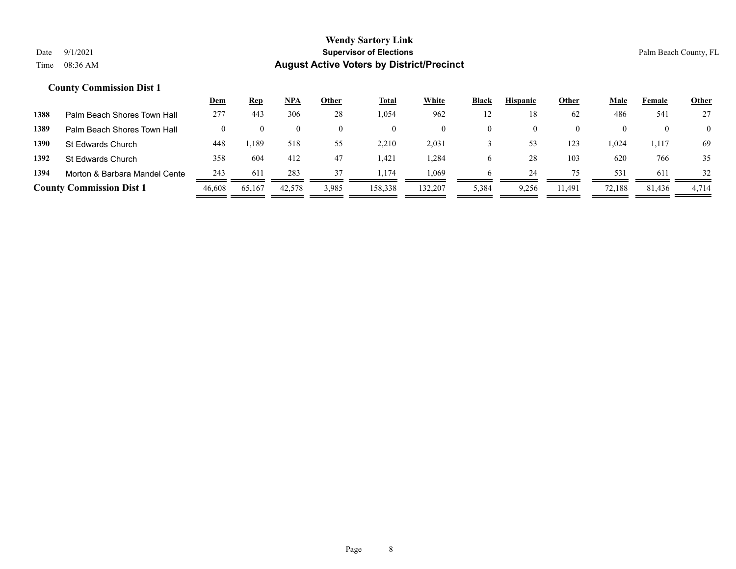|      |                                 | <u>Dem</u> | <u>Rep</u> | NPA    | Other    | Total   | White    | Black | <b>Hispanic</b> | Other    | Male   | Female | <b>Other</b>   |
|------|---------------------------------|------------|------------|--------|----------|---------|----------|-------|-----------------|----------|--------|--------|----------------|
| 1388 | Palm Beach Shores Town Hall     | 277        | 443        | 306    | 28       | 1,054   | 962      | 12    | 18              | 62       | 486    | 541    | 27             |
| 1389 | Palm Beach Shores Town Hall     |            |            |        | $\Omega$ |         | $\theta$ |       | 0               | $\theta$ |        |        | $\overline{0}$ |
| 1390 | St Edwards Church               | 448        | .,189      | 518    | 55       | 2,210   | 2,031    |       | 53              | 123      | 1,024  | 1,117  | 69             |
| 1392 | St Edwards Church               | 358        | 604        | 412    | 47       | .421    | .284     | O     | 28              | 103      | 620    | 766    | 35             |
| 1394 | Morton & Barbara Mandel Cente   | 243        | 611        | 283    | 37       | .174    | .069     |       | 24              | 75       | 531    | -611   | 32             |
|      | <b>County Commission Dist 1</b> | 46.608     | 65,167     | 42,578 | 3,985    | 158,338 | 132,207  | 5,384 | 9,256           | 11.491   | 72,188 | 81,436 | 4.714          |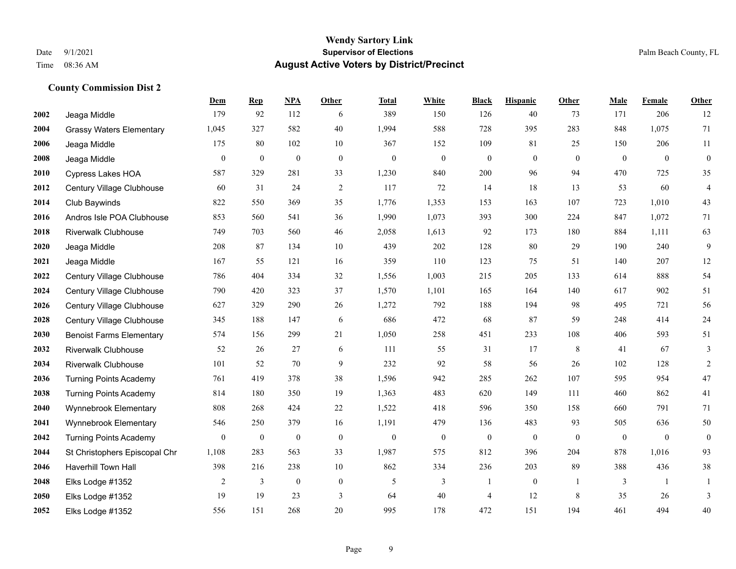### **Wendy Sartory Link** Date 9/1/2021 **Supervisor of Elections Supervisor of Elections** Palm Beach County, FL Time 08:36 AM **August Active Voters by District/Precinct**

|      |                                 | Dem            | <b>Rep</b>       | <b>NPA</b>       | Other        | <b>Total</b>     | <b>White</b>     | <b>Black</b>     | <b>Hispanic</b>  | Other        | Male         | Female           | Other            |
|------|---------------------------------|----------------|------------------|------------------|--------------|------------------|------------------|------------------|------------------|--------------|--------------|------------------|------------------|
| 2002 | Jeaga Middle                    | 179            | 92               | 112              | 6            | 389              | 150              | 126              | 40               | 73           | 171          | 206              | 12               |
| 2004 | <b>Grassy Waters Elementary</b> | 1,045          | 327              | 582              | 40           | 1,994            | 588              | 728              | 395              | 283          | 848          | 1,075            | 71               |
| 2006 | Jeaga Middle                    | 175            | 80               | 102              | $10\,$       | 367              | 152              | 109              | 81               | 25           | 150          | 206              | 11               |
| 2008 | Jeaga Middle                    | $\overline{0}$ | $\boldsymbol{0}$ | $\boldsymbol{0}$ | $\mathbf{0}$ | $\theta$         | $\boldsymbol{0}$ | $\overline{0}$   | $\mathbf{0}$     | $\theta$     | $\mathbf{0}$ | $\mathbf{0}$     | $\mathbf{0}$     |
| 2010 | Cypress Lakes HOA               | 587            | 329              | 281              | 33           | 1,230            | 840              | 200              | 96               | 94           | 470          | 725              | 35               |
| 2012 | Century Village Clubhouse       | 60             | 31               | 24               | $\sqrt{2}$   | 117              | 72               | 14               | 18               | 13           | 53           | 60               | $\overline{4}$   |
| 2014 | Club Baywinds                   | 822            | 550              | 369              | 35           | 1,776            | 1,353            | 153              | 163              | 107          | 723          | 1,010            | 43               |
| 2016 | Andros Isle POA Clubhouse       | 853            | 560              | 541              | 36           | 1,990            | 1,073            | 393              | 300              | 224          | 847          | 1,072            | 71               |
| 2018 | <b>Riverwalk Clubhouse</b>      | 749            | 703              | 560              | 46           | 2,058            | 1,613            | 92               | 173              | 180          | 884          | 1,111            | 63               |
| 2020 | Jeaga Middle                    | 208            | 87               | 134              | 10           | 439              | 202              | 128              | 80               | 29           | 190          | 240              | 9                |
| 2021 | Jeaga Middle                    | 167            | 55               | 121              | 16           | 359              | 110              | 123              | 75               | 51           | 140          | 207              | 12               |
| 2022 | Century Village Clubhouse       | 786            | 404              | 334              | 32           | 1,556            | 1,003            | 215              | 205              | 133          | 614          | 888              | 54               |
| 2024 | Century Village Clubhouse       | 790            | 420              | 323              | 37           | 1,570            | 1,101            | 165              | 164              | 140          | 617          | 902              | 51               |
| 2026 | Century Village Clubhouse       | 627            | 329              | 290              | 26           | 1,272            | 792              | 188              | 194              | 98           | 495          | 721              | 56               |
| 2028 | Century Village Clubhouse       | 345            | 188              | 147              | 6            | 686              | 472              | 68               | 87               | 59           | 248          | 414              | 24               |
| 2030 | <b>Benoist Farms Elementary</b> | 574            | 156              | 299              | 21           | 1,050            | 258              | 451              | 233              | 108          | 406          | 593              | 51               |
| 2032 | <b>Riverwalk Clubhouse</b>      | 52             | 26               | 27               | 6            | 111              | 55               | 31               | 17               | 8            | 41           | 67               | 3                |
| 2034 | <b>Riverwalk Clubhouse</b>      | 101            | 52               | 70               | 9            | 232              | 92               | 58               | 56               | 26           | 102          | 128              | $\overline{2}$   |
| 2036 | <b>Turning Points Academy</b>   | 761            | 419              | 378              | 38           | 1,596            | 942              | 285              | 262              | 107          | 595          | 954              | 47               |
| 2038 | <b>Turning Points Academy</b>   | 814            | 180              | 350              | 19           | 1,363            | 483              | 620              | 149              | 111          | 460          | 862              | 41               |
| 2040 | Wynnebrook Elementary           | 808            | 268              | 424              | 22           | 1,522            | 418              | 596              | 350              | 158          | 660          | 791              | 71               |
| 2041 | Wynnebrook Elementary           | 546            | 250              | 379              | 16           | 1,191            | 479              | 136              | 483              | 93           | 505          | 636              | $50\,$           |
| 2042 | <b>Turning Points Academy</b>   | $\overline{0}$ | $\boldsymbol{0}$ | $\boldsymbol{0}$ | $\mathbf{0}$ | $\boldsymbol{0}$ | $\boldsymbol{0}$ | $\boldsymbol{0}$ | $\boldsymbol{0}$ | $\mathbf{0}$ | $\mathbf{0}$ | $\boldsymbol{0}$ | $\boldsymbol{0}$ |
| 2044 | St Christophers Episcopal Chr   | 1,108          | 283              | 563              | 33           | 1,987            | 575              | 812              | 396              | 204          | 878          | 1,016            | 93               |
| 2046 | Haverhill Town Hall             | 398            | 216              | 238              | $10\,$       | 862              | 334              | 236              | 203              | 89           | 388          | 436              | 38               |
| 2048 | Elks Lodge #1352                | 2              | 3                | $\boldsymbol{0}$ | $\mathbf{0}$ | 5                | 3                |                  | $\mathbf{0}$     | -1           | 3            | -1               | $\mathbf{1}$     |
| 2050 | Elks Lodge #1352                | 19             | 19               | 23               | 3            | 64               | 40               | 4                | 12               | 8            | 35           | 26               | 3                |
| 2052 | Elks Lodge #1352                | 556            | 151              | 268              | 20           | 995              | 178              | 472              | 151              | 194          | 461          | 494              | 40               |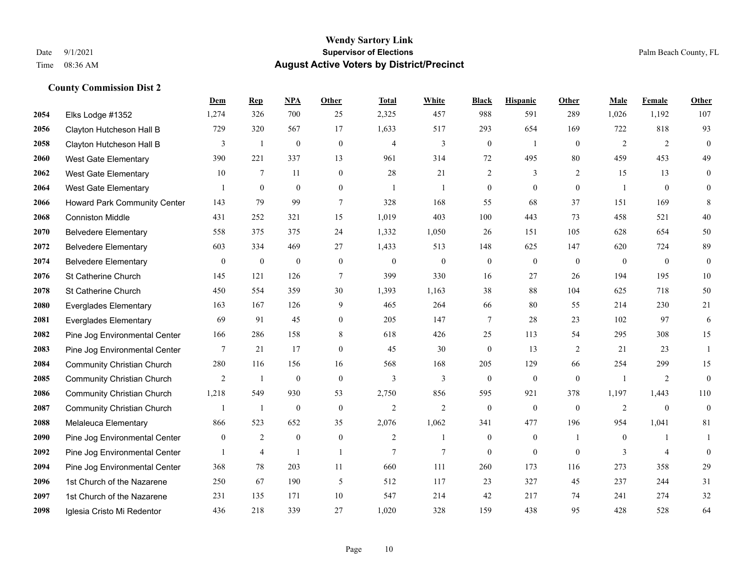#### **Wendy Sartory Link** Date 9/1/2021 **Supervisor of Elections** Palm Beach County, FL Time 08:36 AM **August Active Voters by District/Precinct**

**Dem Rep NPA Other Total White Black Hispanic Other Male Female Other**

| 2054 | Elks Lodge #1352                  | 1,274            | 326             | 700            | 25             | 2,325          | 457            | 988              | 591          | 289            | 1,026          | 1,192    | 107              |
|------|-----------------------------------|------------------|-----------------|----------------|----------------|----------------|----------------|------------------|--------------|----------------|----------------|----------|------------------|
| 2056 | Clayton Hutcheson Hall B          | 729              | 320             | 567            | 17             | 1,633          | 517            | 293              | 654          | 169            | 722            | 818      | 93               |
| 2058 | Clayton Hutcheson Hall B          | 3                | -1              | $\overline{0}$ | $\mathbf{0}$   | $\overline{4}$ | 3              | $\boldsymbol{0}$ | -1           | $\overline{0}$ | 2              | 2        | $\boldsymbol{0}$ |
| 2060 | <b>West Gate Elementary</b>       | 390              | 221             | 337            | 13             | 961            | 314            | 72               | 495          | 80             | 459            | 453      | 49               |
| 2062 | <b>West Gate Elementary</b>       | 10               | $7\phantom{.0}$ | 11             | $\mathbf{0}$   | 28             | 21             | $\overline{2}$   | 3            | $\overline{2}$ | 15             | 13       | $\boldsymbol{0}$ |
| 2064 | <b>West Gate Elementary</b>       |                  | $\Omega$        | $\theta$       | $\overline{0}$ |                | $\mathbf{1}$   | $\mathbf{0}$     | $\theta$     | $\overline{0}$ | $\overline{1}$ | $\Omega$ | $\mathbf{0}$     |
| 2066 | Howard Park Community Center      | 143              | 79              | 99             | $\tau$         | 328            | 168            | 55               | 68           | 37             | 151            | 169      | 8                |
| 2068 | <b>Conniston Middle</b>           | 431              | 252             | 321            | 15             | 1,019          | 403            | 100              | 443          | 73             | 458            | 521      | 40               |
| 2070 | <b>Belvedere Elementary</b>       | 558              | 375             | 375            | 24             | 1,332          | 1,050          | 26               | 151          | 105            | 628            | 654      | 50               |
| 2072 | <b>Belvedere Elementary</b>       | 603              | 334             | 469            | 27             | 1,433          | 513            | 148              | 625          | 147            | 620            | 724      | 89               |
| 2074 | <b>Belvedere Elementary</b>       | $\overline{0}$   | $\overline{0}$  | $\overline{0}$ | $\overline{0}$ | $\theta$       | $\overline{0}$ | $\mathbf{0}$     | $\mathbf{0}$ | $\overline{0}$ | $\overline{0}$ | $\theta$ | $\boldsymbol{0}$ |
| 2076 | St Catherine Church               | 145              | 121             | 126            | 7              | 399            | 330            | 16               | 27           | 26             | 194            | 195      | 10               |
| 2078 | St Catherine Church               | 450              | 554             | 359            | 30             | 1,393          | 1,163          | 38               | 88           | 104            | 625            | 718      | 50               |
| 2080 | <b>Everglades Elementary</b>      | 163              | 167             | 126            | 9              | 465            | 264            | 66               | 80           | 55             | 214            | 230      | 21               |
| 2081 | <b>Everglades Elementary</b>      | 69               | 91              | 45             | $\mathbf{0}$   | 205            | 147            | $\tau$           | 28           | 23             | 102            | 97       | 6                |
| 2082 | Pine Jog Environmental Center     | 166              | 286             | 158            | 8              | 618            | 426            | 25               | 113          | 54             | 295            | 308      | 15               |
| 2083 | Pine Jog Environmental Center     | $\tau$           | 21              | 17             | $\theta$       | 45             | 30             | $\mathbf{0}$     | 13           | $\overline{2}$ | 21             | 23       | 1                |
| 2084 | <b>Community Christian Church</b> | 280              | 116             | 156            | 16             | 568            | 168            | 205              | 129          | 66             | 254            | 299      | 15               |
| 2085 | <b>Community Christian Church</b> | $\overline{2}$   | $\mathbf{1}$    | $\theta$       | $\theta$       | 3              | 3              | $\theta$         | $\theta$     | $\Omega$       | $\overline{1}$ | 2        | $\theta$         |
| 2086 | <b>Community Christian Church</b> | 1,218            | 549             | 930            | 53             | 2,750          | 856            | 595              | 921          | 378            | 1,197          | 1,443    | 110              |
| 2087 | <b>Community Christian Church</b> |                  | $\overline{1}$  | $\overline{0}$ | $\overline{0}$ | $\overline{2}$ | 2              | $\mathbf{0}$     | $\mathbf{0}$ | $\theta$       | 2              | $\theta$ | $\mathbf{0}$     |
| 2088 | Melaleuca Elementary              | 866              | 523             | 652            | 35             | 2,076          | 1,062          | 341              | 477          | 196            | 954            | 1,041    | 81               |
| 2090 | Pine Jog Environmental Center     | $\boldsymbol{0}$ | 2               | $\overline{0}$ | $\mathbf{0}$   | $\overline{2}$ | 1              | $\boldsymbol{0}$ | $\mathbf{0}$ |                | $\mathbf{0}$   |          | 1                |
| 2092 | Pine Jog Environmental Center     |                  | 4               | $\overline{1}$ | 1              | 7              | $\tau$         | $\mathbf{0}$     | $\mathbf{0}$ | $\overline{0}$ | 3              | 4        | $\mathbf{0}$     |
| 2094 | Pine Jog Environmental Center     | 368              | 78              | 203            | 11             | 660            | 111            | 260              | 173          | 116            | 273            | 358      | 29               |
| 2096 | 1st Church of the Nazarene        | 250              | 67              | 190            | 5              | 512            | 117            | 23               | 327          | 45             | 237            | 244      | 31               |
| 2097 | 1st Church of the Nazarene        | 231              | 135             | 171            | 10             | 547            | 214            | 42               | 217          | 74             | 241            | 274      | 32               |

Iglesia Cristo Mi Redentor 436 218 339 27 1,020 328 159 438 95 428 528 64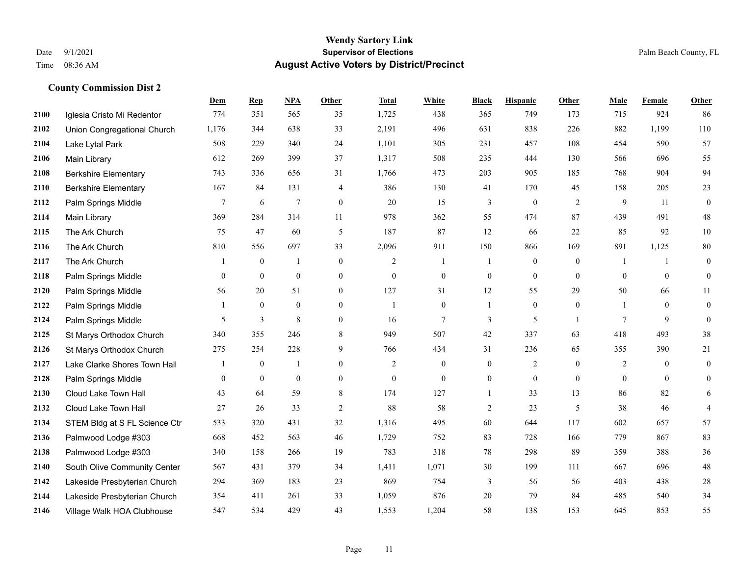|      |                               | Dem              | <b>Rep</b>       | NPA              | <b>Other</b>     | <b>Total</b>     | <b>White</b>     | <b>Black</b>     | <b>Hispanic</b>  | <b>Other</b>   | <b>Male</b>      | Female         | <b>Other</b>     |
|------|-------------------------------|------------------|------------------|------------------|------------------|------------------|------------------|------------------|------------------|----------------|------------------|----------------|------------------|
| 2100 | Iglesia Cristo Mi Redentor    | 774              | 351              | 565              | 35               | 1,725            | 438              | 365              | 749              | 173            | 715              | 924            | 86               |
| 2102 | Union Congregational Church   | 1,176            | 344              | 638              | 33               | 2,191            | 496              | 631              | 838              | 226            | 882              | 1,199          | 110              |
| 2104 | Lake Lytal Park               | 508              | 229              | 340              | 24               | 1,101            | 305              | 231              | 457              | 108            | 454              | 590            | 57               |
| 2106 | Main Library                  | 612              | 269              | 399              | 37               | 1,317            | 508              | 235              | 444              | 130            | 566              | 696            | 55               |
| 2108 | <b>Berkshire Elementary</b>   | 743              | 336              | 656              | 31               | 1,766            | 473              | 203              | 905              | 185            | 768              | 904            | 94               |
| 2110 | <b>Berkshire Elementary</b>   | 167              | 84               | 131              | 4                | 386              | 130              | 41               | 170              | 45             | 158              | 205            | 23               |
| 2112 | Palm Springs Middle           | $\tau$           | 6                | $\overline{7}$   | $\boldsymbol{0}$ | 20               | 15               | 3                | $\boldsymbol{0}$ | $\overline{2}$ | 9                | 11             | $\boldsymbol{0}$ |
| 2114 | Main Library                  | 369              | 284              | 314              | 11               | 978              | 362              | 55               | 474              | 87             | 439              | 491            | $48\,$           |
| 2115 | The Ark Church                | 75               | 47               | 60               | 5                | 187              | 87               | 12               | 66               | 22             | 85               | 92             | $10\,$           |
| 2116 | The Ark Church                | 810              | 556              | 697              | 33               | 2,096            | 911              | 150              | 866              | 169            | 891              | 1,125          | $80\,$           |
| 2117 | The Ark Church                | 1                | $\mathbf{0}$     | $\mathbf{1}$     | $\overline{0}$   | 2                | $\overline{1}$   | 1                | $\mathbf{0}$     | $\overline{0}$ | -1               | $\mathbf{1}$   | $\boldsymbol{0}$ |
| 2118 | Palm Springs Middle           | $\overline{0}$   | $\mathbf{0}$     | $\boldsymbol{0}$ | $\overline{0}$   | $\mathbf{0}$     | $\boldsymbol{0}$ | $\boldsymbol{0}$ | $\boldsymbol{0}$ | $\overline{0}$ | $\overline{0}$   | $\overline{0}$ | $\boldsymbol{0}$ |
| 2120 | Palm Springs Middle           | 56               | 20               | 51               | $\overline{0}$   | 127              | 31               | 12               | 55               | 29             | 50               | 66             | 11               |
| 2122 | Palm Springs Middle           | 1                | $\boldsymbol{0}$ | $\boldsymbol{0}$ | $\boldsymbol{0}$ | 1                | $\boldsymbol{0}$ | $\mathbf{1}$     | $\boldsymbol{0}$ | $\bf{0}$       |                  | $\mathbf{0}$   | $\boldsymbol{0}$ |
| 2124 | Palm Springs Middle           | 5                | 3                | 8                | $\overline{0}$   | 16               | $\overline{7}$   | 3                | 5                | $\overline{1}$ | 7                | 9              | $\boldsymbol{0}$ |
| 2125 | St Marys Orthodox Church      | 340              | 355              | 246              | 8                | 949              | 507              | 42               | 337              | 63             | 418              | 493            | 38               |
| 2126 | St Marys Orthodox Church      | 275              | 254              | 228              | 9                | 766              | 434              | 31               | 236              | 65             | 355              | 390            | 21               |
| 2127 | Lake Clarke Shores Town Hall  | 1                | $\mathbf{0}$     | $\mathbf{1}$     | $\Omega$         | 2                | $\overline{0}$   | $\mathbf{0}$     | 2                | $\Omega$       | 2                | $\theta$       | $\boldsymbol{0}$ |
| 2128 | Palm Springs Middle           | $\boldsymbol{0}$ | $\boldsymbol{0}$ | $\boldsymbol{0}$ | $\boldsymbol{0}$ | $\boldsymbol{0}$ | $\boldsymbol{0}$ | $\boldsymbol{0}$ | $\boldsymbol{0}$ | $\mathbf{0}$   | $\boldsymbol{0}$ | $\mathbf{0}$   | $\boldsymbol{0}$ |
| 2130 | Cloud Lake Town Hall          | 43               | 64               | 59               | 8                | 174              | 127              | $\mathbf{1}$     | 33               | 13             | 86               | 82             | 6                |
| 2132 | Cloud Lake Town Hall          | 27               | 26               | 33               | 2                | 88               | 58               | $\overline{2}$   | 23               | 5              | 38               | 46             | $\overline{4}$   |
| 2134 | STEM Bldg at S FL Science Ctr | 533              | 320              | 431              | 32               | 1,316            | 495              | 60               | 644              | 117            | 602              | 657            | 57               |
| 2136 | Palmwood Lodge #303           | 668              | 452              | 563              | 46               | 1,729            | 752              | 83               | 728              | 166            | 779              | 867            | 83               |
| 2138 | Palmwood Lodge #303           | 340              | 158              | 266              | 19               | 783              | 318              | 78               | 298              | 89             | 359              | 388            | 36               |
| 2140 | South Olive Community Center  | 567              | 431              | 379              | 34               | 1,411            | 1,071            | 30               | 199              | 111            | 667              | 696            | $48\,$           |
| 2142 | Lakeside Presbyterian Church  | 294              | 369              | 183              | 23               | 869              | 754              | 3                | 56               | 56             | 403              | 438            | $28\,$           |
| 2144 | Lakeside Presbyterian Church  | 354              | 411              | 261              | 33               | 1,059            | 876              | 20               | 79               | 84             | 485              | 540            | 34               |
| 2146 | Village Walk HOA Clubhouse    | 547              | 534              | 429              | 43               | 1,553            | 1,204            | 58               | 138              | 153            | 645              | 853            | 55               |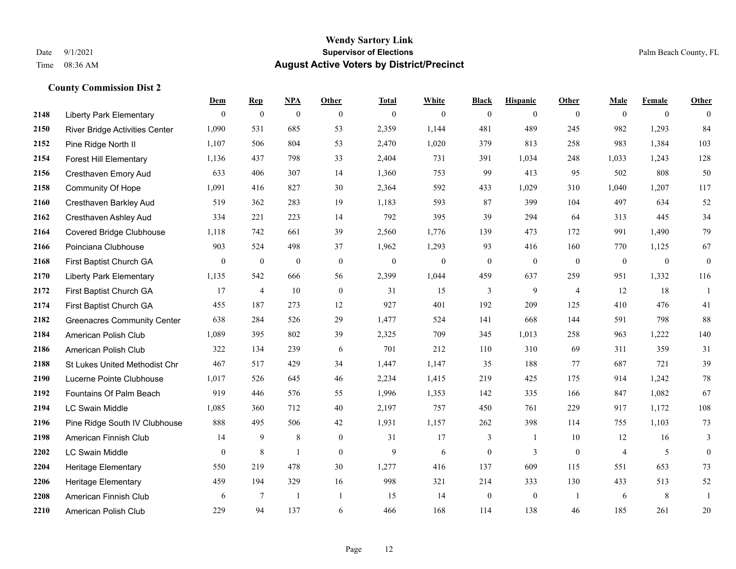### **Wendy Sartory Link** Date 9/1/2021 **Supervisor of Elections Supervisor of Elections** Palm Beach County, FL Time 08:36 AM **August Active Voters by District/Precinct**

|      |                                       | Dem          | <b>Rep</b>       | NPA              | Other          | <b>Total</b> | White        | <b>Black</b>     | <b>Hispanic</b> | Other          | <b>Male</b>    | Female       | Other            |
|------|---------------------------------------|--------------|------------------|------------------|----------------|--------------|--------------|------------------|-----------------|----------------|----------------|--------------|------------------|
| 2148 | <b>Liberty Park Elementary</b>        | $\theta$     | $\mathbf{0}$     | $\mathbf{0}$     | $\theta$       | $\mathbf{0}$ | $\mathbf{0}$ | $\mathbf{0}$     | $\mathbf{0}$    | $\theta$       | $\theta$       | $\mathbf{0}$ | $\theta$         |
| 2150 | <b>River Bridge Activities Center</b> | 1,090        | 531              | 685              | 53             | 2,359        | 1,144        | 481              | 489             | 245            | 982            | 1,293        | 84               |
| 2152 | Pine Ridge North II                   | 1,107        | 506              | 804              | 53             | 2,470        | 1,020        | 379              | 813             | 258            | 983            | 1,384        | 103              |
| 2154 | <b>Forest Hill Elementary</b>         | 1,136        | 437              | 798              | 33             | 2,404        | 731          | 391              | 1,034           | 248            | 1,033          | 1,243        | 128              |
| 2156 | <b>Cresthaven Emory Aud</b>           | 633          | 406              | 307              | 14             | 1,360        | 753          | 99               | 413             | 95             | 502            | 808          | 50               |
| 2158 | Community Of Hope                     | 1,091        | 416              | 827              | 30             | 2,364        | 592          | 433              | 1,029           | 310            | 1,040          | 1,207        | 117              |
| 2160 | Cresthaven Barkley Aud                | 519          | 362              | 283              | 19             | 1,183        | 593          | 87               | 399             | 104            | 497            | 634          | 52               |
| 2162 | Cresthaven Ashley Aud                 | 334          | 221              | 223              | 14             | 792          | 395          | 39               | 294             | 64             | 313            | 445          | 34               |
| 2164 | <b>Covered Bridge Clubhouse</b>       | 1,118        | 742              | 661              | 39             | 2,560        | 1,776        | 139              | 473             | 172            | 991            | 1,490        | 79               |
| 2166 | Poinciana Clubhouse                   | 903          | 524              | 498              | 37             | 1,962        | 1,293        | 93               | 416             | 160            | 770            | 1,125        | 67               |
| 2168 | First Baptist Church GA               | $\mathbf{0}$ | $\boldsymbol{0}$ | $\boldsymbol{0}$ | $\mathbf{0}$   | $\mathbf{0}$ | $\mathbf{0}$ | $\boldsymbol{0}$ | $\mathbf{0}$    | $\overline{0}$ | $\mathbf{0}$   | $\mathbf{0}$ | $\boldsymbol{0}$ |
| 2170 | <b>Liberty Park Elementary</b>        | 1,135        | 542              | 666              | 56             | 2,399        | 1,044        | 459              | 637             | 259            | 951            | 1,332        | 116              |
| 2172 | First Baptist Church GA               | 17           | $\overline{4}$   | 10               | $\mathbf{0}$   | 31           | 15           | 3                | 9               | $\overline{4}$ | 12             | 18           | -1               |
| 2174 | First Baptist Church GA               | 455          | 187              | 273              | 12             | 927          | 401          | 192              | 209             | 125            | 410            | 476          | 41               |
| 2182 | <b>Greenacres Community Center</b>    | 638          | 284              | 526              | 29             | 1,477        | 524          | 141              | 668             | 144            | 591            | 798          | 88               |
| 2184 | American Polish Club                  | 1,089        | 395              | 802              | 39             | 2,325        | 709          | 345              | 1,013           | 258            | 963            | 1,222        | 140              |
| 2186 | American Polish Club                  | 322          | 134              | 239              | 6              | 701          | 212          | 110              | 310             | 69             | 311            | 359          | 31               |
| 2188 | St Lukes United Methodist Chr         | 467          | 517              | 429              | 34             | 1,447        | 1,147        | 35               | 188             | 77             | 687            | 721          | 39               |
| 2190 | Lucerne Pointe Clubhouse              | 1,017        | 526              | 645              | 46             | 2,234        | 1,415        | 219              | 425             | 175            | 914            | 1,242        | 78               |
| 2192 | Fountains Of Palm Beach               | 919          | 446              | 576              | 55             | 1,996        | 1,353        | 142              | 335             | 166            | 847            | 1,082        | 67               |
| 2194 | <b>LC Swain Middle</b>                | 1,085        | 360              | 712              | 40             | 2,197        | 757          | 450              | 761             | 229            | 917            | 1,172        | $108\,$          |
| 2196 | Pine Ridge South IV Clubhouse         | 888          | 495              | 506              | 42             | 1,931        | 1,157        | 262              | 398             | 114            | 755            | 1,103        | 73               |
| 2198 | American Finnish Club                 | 14           | 9                | $\,$ 8 $\,$      | $\mathbf{0}$   | 31           | 17           | 3                | 1               | 10             | 12             | 16           | 3                |
| 2202 | <b>LC Swain Middle</b>                | $\theta$     | 8                | $\mathbf{1}$     | $\theta$       | 9            | 6            | $\overline{0}$   | 3               | $\theta$       | $\overline{4}$ | 5            | $\mathbf{0}$     |
| 2204 | Heritage Elementary                   | 550          | 219              | 478              | 30             | 1,277        | 416          | 137              | 609             | 115            | 551            | 653          | 73               |
| 2206 | <b>Heritage Elementary</b>            | 459          | 194              | 329              | 16             | 998          | 321          | 214              | 333             | 130            | 433            | 513          | 52               |
| 2208 | American Finnish Club                 | 6            | 7                | $\mathbf{1}$     | $\overline{1}$ | 15           | 14           | $\mathbf{0}$     | $\theta$        | $\overline{1}$ | 6              | 8            | $\mathbf{1}$     |
| 2210 | American Polish Club                  | 229          | 94               | 137              | 6              | 466          | 168          | 114              | 138             | 46             | 185            | 261          | 20               |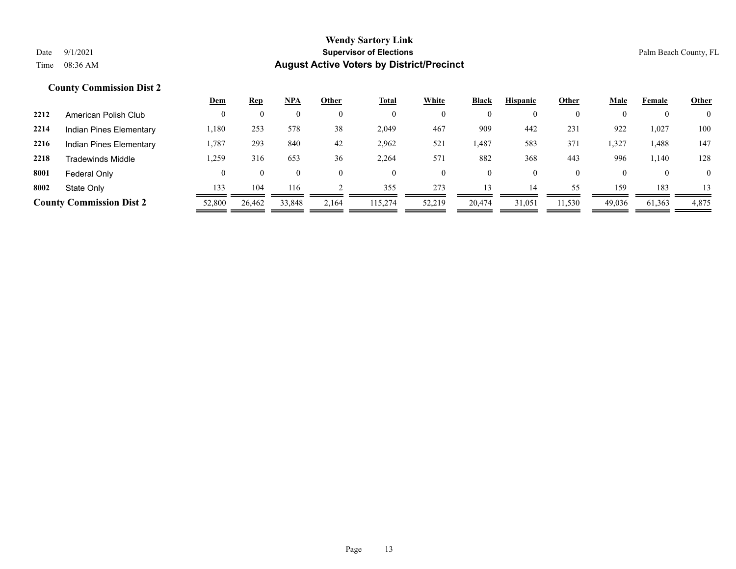|      |                                 | <u>Dem</u> | <u>Rep</u> | <b>NPA</b> | Other | <b>Total</b> | White  | Black          | <b>Hispanic</b> | Other    | <u>Male</u> | Female   | <b>Other</b>   |
|------|---------------------------------|------------|------------|------------|-------|--------------|--------|----------------|-----------------|----------|-------------|----------|----------------|
| 2212 | American Polish Club            |            |            | 0          |       | $\mathbf{0}$ |        | $\mathbf{0}$   | $\mathbf{0}$    | $\Omega$ |             |          | $\overline{0}$ |
| 2214 | Indian Pines Elementary         | 1,180      | 253        | 578        | 38    | 2,049        | 467    | 909            | 442             | 231      | 922         | 1,027    | 100            |
| 2216 | Indian Pines Elementary         | 1,787      | 293        | 840        | 42    | 2,962        | 521    | 1,487          | 583             | 371      | 1,327       | 1,488    | 147            |
| 2218 | <b>Tradewinds Middle</b>        | .,259      | 316        | 653        | 36    | 2,264        | 571    | 882            | 368             | 443      | 996         | 1,140    | 128            |
| 8001 | Federal Only                    |            | $_{0}$     | $\theta$   |       | $\theta$     |        | $\overline{0}$ | $\overline{0}$  | $\theta$ |             | $\theta$ | $\overline{0}$ |
| 8002 | State Only                      | 133        | 104        | 116        |       | 355          | 273    | 13             | 14              | 55       | 159         | 183      | 13             |
|      | <b>County Commission Dist 2</b> | 52,800     | 26,462     | 33,848     | 2,164 | 115,274      | 52,219 | 20,474         | 31,051          | 11,530   | 49,036      | 61,363   | 4,875          |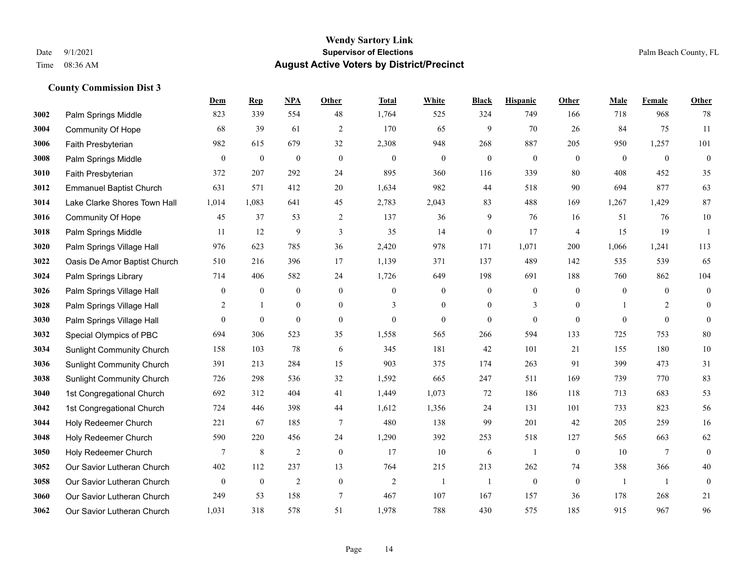|      |                                  | Dem              | <b>Rep</b>       | NPA              | <b>Other</b>     | <b>Total</b>   | <b>White</b>     | <b>Black</b>     | <b>Hispanic</b>  | <b>Other</b>   | <b>Male</b>  | Female         | <b>Other</b>     |
|------|----------------------------------|------------------|------------------|------------------|------------------|----------------|------------------|------------------|------------------|----------------|--------------|----------------|------------------|
| 3002 | Palm Springs Middle              | 823              | 339              | 554              | 48               | 1,764          | 525              | 324              | 749              | 166            | 718          | 968            | 78               |
| 3004 | <b>Community Of Hope</b>         | 68               | 39               | 61               | $\overline{2}$   | 170            | 65               | 9                | 70               | 26             | 84           | 75             | 11               |
| 3006 | Faith Presbyterian               | 982              | 615              | 679              | 32               | 2,308          | 948              | 268              | 887              | 205            | 950          | 1,257          | 101              |
| 3008 | Palm Springs Middle              | $\boldsymbol{0}$ | $\boldsymbol{0}$ | $\boldsymbol{0}$ | $\mathbf{0}$     | $\mathbf{0}$   | $\boldsymbol{0}$ | $\boldsymbol{0}$ | $\mathbf{0}$     | $\mathbf{0}$   | $\mathbf{0}$ | $\mathbf{0}$   | $\boldsymbol{0}$ |
| 3010 | Faith Presbyterian               | 372              | 207              | 292              | 24               | 895            | 360              | 116              | 339              | 80             | 408          | 452            | 35               |
| 3012 | <b>Emmanuel Baptist Church</b>   | 631              | 571              | 412              | 20               | 1,634          | 982              | 44               | 518              | 90             | 694          | 877            | 63               |
| 3014 | Lake Clarke Shores Town Hall     | 1,014            | 1,083            | 641              | 45               | 2,783          | 2,043            | 83               | 488              | 169            | 1,267        | 1,429          | 87               |
| 3016 | <b>Community Of Hope</b>         | 45               | 37               | 53               | 2                | 137            | 36               | 9                | 76               | 16             | 51           | 76             | $10\,$           |
| 3018 | Palm Springs Middle              | 11               | 12               | 9                | $\mathfrak{Z}$   | 35             | 14               | $\boldsymbol{0}$ | 17               | $\overline{4}$ | 15           | 19             | -1               |
| 3020 | Palm Springs Village Hall        | 976              | 623              | 785              | 36               | 2,420          | 978              | 171              | 1,071            | 200            | 1,066        | 1,241          | 113              |
| 3022 | Oasis De Amor Baptist Church     | 510              | 216              | 396              | 17               | 1,139          | 371              | 137              | 489              | 142            | 535          | 539            | 65               |
| 3024 | Palm Springs Library             | 714              | 406              | 582              | 24               | 1,726          | 649              | 198              | 691              | 188            | 760          | 862            | 104              |
| 3026 | Palm Springs Village Hall        | $\boldsymbol{0}$ | $\boldsymbol{0}$ | $\boldsymbol{0}$ | $\boldsymbol{0}$ | $\mathbf{0}$   | $\boldsymbol{0}$ | $\boldsymbol{0}$ | $\boldsymbol{0}$ | $\theta$       | $\mathbf{0}$ | $\mathbf{0}$   | $\boldsymbol{0}$ |
| 3028 | Palm Springs Village Hall        | $\overline{2}$   | -1               | $\boldsymbol{0}$ | $\boldsymbol{0}$ | 3              | $\boldsymbol{0}$ | $\boldsymbol{0}$ | 3                | $\mathbf{0}$   |              | 2              | $\mathbf{0}$     |
| 3030 | Palm Springs Village Hall        | $\Omega$         | $\mathbf{0}$     | $\mathbf{0}$     | $\overline{0}$   | $\theta$       | $\overline{0}$   | $\mathbf{0}$     | $\mathbf{0}$     | $\theta$       | $\Omega$     | $\theta$       | $\mathbf{0}$     |
| 3032 | Special Olympics of PBC          | 694              | 306              | 523              | 35               | 1,558          | 565              | 266              | 594              | 133            | 725          | 753            | 80               |
| 3034 | Sunlight Community Church        | 158              | 103              | 78               | 6                | 345            | 181              | 42               | 101              | 21             | 155          | 180            | $10\,$           |
| 3036 | <b>Sunlight Community Church</b> | 391              | 213              | 284              | 15               | 903            | 375              | 174              | 263              | 91             | 399          | 473            | 31               |
| 3038 | <b>Sunlight Community Church</b> | 726              | 298              | 536              | 32               | 1,592          | 665              | 247              | 511              | 169            | 739          | 770            | 83               |
| 3040 | 1st Congregational Church        | 692              | 312              | 404              | 41               | 1,449          | 1,073            | 72               | 186              | 118            | 713          | 683            | 53               |
| 3042 | 1st Congregational Church        | 724              | 446              | 398              | 44               | 1,612          | 1,356            | 24               | 131              | 101            | 733          | 823            | 56               |
| 3044 | Holy Redeemer Church             | 221              | 67               | 185              | $\tau$           | 480            | 138              | 99               | 201              | 42             | 205          | 259            | 16               |
| 3048 | Holy Redeemer Church             | 590              | 220              | 456              | 24               | 1,290          | 392              | 253              | 518              | 127            | 565          | 663            | 62               |
| 3050 | Holy Redeemer Church             | 7                | $\,8\,$          | $\sqrt{2}$       | $\boldsymbol{0}$ | 17             | $10\,$           | 6                | 1                | $\mathbf{0}$   | 10           | $\overline{7}$ | $\boldsymbol{0}$ |
| 3052 | Our Savior Lutheran Church       | 402              | 112              | 237              | 13               | 764            | 215              | 213              | 262              | 74             | 358          | 366            | 40               |
| 3058 | Our Savior Lutheran Church       | $\boldsymbol{0}$ | $\boldsymbol{0}$ | $\overline{2}$   | $\boldsymbol{0}$ | $\overline{2}$ | -1               | $\mathbf{1}$     | $\boldsymbol{0}$ | $\mathbf{0}$   | -1           | -1             | $\boldsymbol{0}$ |
| 3060 | Our Savior Lutheran Church       | 249              | 53               | 158              | $\tau$           | 467            | 107              | 167              | 157              | 36             | 178          | 268            | 21               |
| 3062 | Our Savior Lutheran Church       | 1,031            | 318              | 578              | 51               | 1,978          | 788              | 430              | 575              | 185            | 915          | 967            | 96               |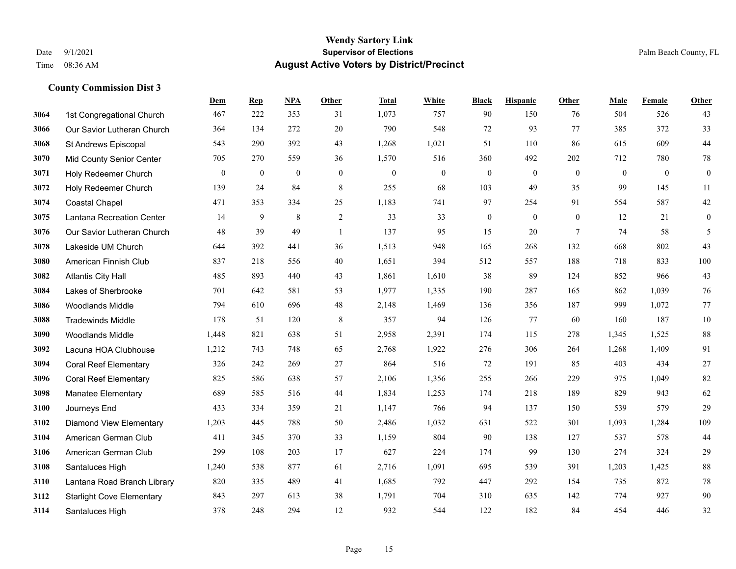|      |                                  | <b>Dem</b>   | <b>Rep</b>     | NPA              | <b>Other</b>   | <b>Total</b> | <b>White</b>     | <b>Black</b>     | <b>Hispanic</b> | <b>Other</b>   | <b>Male</b>    | Female         | <b>Other</b>     |
|------|----------------------------------|--------------|----------------|------------------|----------------|--------------|------------------|------------------|-----------------|----------------|----------------|----------------|------------------|
| 3064 | 1st Congregational Church        | 467          | 222            | 353              | 31             | 1,073        | 757              | 90               | 150             | 76             | 504            | 526            | 43               |
| 3066 | Our Savior Lutheran Church       | 364          | 134            | 272              | 20             | 790          | 548              | 72               | 93              | 77             | 385            | 372            | 33               |
| 3068 | St Andrews Episcopal             | 543          | 290            | 392              | 43             | 1,268        | 1,021            | 51               | 110             | 86             | 615            | 609            | 44               |
| 3070 | Mid County Senior Center         | 705          | 270            | 559              | 36             | 1,570        | 516              | 360              | 492             | 202            | 712            | 780            | 78               |
| 3071 | Holy Redeemer Church             | $\mathbf{0}$ | $\overline{0}$ | $\boldsymbol{0}$ | $\mathbf{0}$   | $\theta$     | $\boldsymbol{0}$ | $\boldsymbol{0}$ | $\mathbf{0}$    | $\overline{0}$ | $\overline{0}$ | $\overline{0}$ | $\boldsymbol{0}$ |
| 3072 | Holy Redeemer Church             | 139          | 24             | 84               | $\,8\,$        | 255          | 68               | 103              | 49              | 35             | 99             | 145            | 11               |
| 3074 | <b>Coastal Chapel</b>            | 471          | 353            | 334              | 25             | 1,183        | 741              | 97               | 254             | 91             | 554            | 587            | $42\,$           |
| 3075 | Lantana Recreation Center        | 14           | 9              | 8                | $\overline{2}$ | 33           | 33               | $\boldsymbol{0}$ | $\mathbf{0}$    | $\theta$       | 12             | 21             | $\mathbf{0}$     |
| 3076 | Our Savior Lutheran Church       | 48           | 39             | 49               | $\mathbf{1}$   | 137          | 95               | 15               | 20              | $\tau$         | 74             | 58             | 5                |
| 3078 | Lakeside UM Church               | 644          | 392            | 441              | 36             | 1,513        | 948              | 165              | 268             | 132            | 668            | 802            | 43               |
| 3080 | American Finnish Club            | 837          | 218            | 556              | 40             | 1,651        | 394              | 512              | 557             | 188            | 718            | 833            | $100\,$          |
| 3082 | <b>Atlantis City Hall</b>        | 485          | 893            | 440              | 43             | 1,861        | 1,610            | 38               | 89              | 124            | 852            | 966            | 43               |
| 3084 | Lakes of Sherbrooke              | 701          | 642            | 581              | 53             | 1,977        | 1,335            | 190              | 287             | 165            | 862            | 1,039          | 76               |
| 3086 | <b>Woodlands Middle</b>          | 794          | 610            | 696              | 48             | 2,148        | 1,469            | 136              | 356             | 187            | 999            | 1,072          | 77               |
| 3088 | <b>Tradewinds Middle</b>         | 178          | 51             | 120              | 8              | 357          | 94               | 126              | 77              | 60             | 160            | 187            | 10               |
| 3090 | <b>Woodlands Middle</b>          | 1,448        | 821            | 638              | 51             | 2,958        | 2,391            | 174              | 115             | 278            | 1,345          | 1,525          | 88               |
| 3092 | Lacuna HOA Clubhouse             | 1,212        | 743            | 748              | 65             | 2,768        | 1,922            | 276              | 306             | 264            | 1,268          | 1,409          | 91               |
| 3094 | <b>Coral Reef Elementary</b>     | 326          | 242            | 269              | 27             | 864          | 516              | 72               | 191             | 85             | 403            | 434            | 27               |
| 3096 | <b>Coral Reef Elementary</b>     | 825          | 586            | 638              | 57             | 2,106        | 1,356            | 255              | 266             | 229            | 975            | 1,049          | 82               |
| 3098 | <b>Manatee Elementary</b>        | 689          | 585            | 516              | 44             | 1,834        | 1,253            | 174              | 218             | 189            | 829            | 943            | 62               |
| 3100 | Journeys End                     | 433          | 334            | 359              | 21             | 1,147        | 766              | 94               | 137             | 150            | 539            | 579            | 29               |
| 3102 | Diamond View Elementary          | 1,203        | 445            | 788              | 50             | 2,486        | 1,032            | 631              | 522             | 301            | 1,093          | 1,284          | 109              |
| 3104 | American German Club             | 411          | 345            | 370              | 33             | 1,159        | 804              | 90               | 138             | 127            | 537            | 578            | 44               |
| 3106 | American German Club             | 299          | 108            | 203              | 17             | 627          | 224              | 174              | 99              | 130            | 274            | 324            | 29               |
| 3108 | Santaluces High                  | 1,240        | 538            | 877              | 61             | 2,716        | 1,091            | 695              | 539             | 391            | 1,203          | 1,425          | 88               |
| 3110 | Lantana Road Branch Library      | 820          | 335            | 489              | 41             | 1,685        | 792              | 447              | 292             | 154            | 735            | 872            | 78               |
| 3112 | <b>Starlight Cove Elementary</b> | 843          | 297            | 613              | 38             | 1,791        | 704              | 310              | 635             | 142            | 774            | 927            | 90               |
| 3114 | Santaluces High                  | 378          | 248            | 294              | 12             | 932          | 544              | 122              | 182             | 84             | 454            | 446            | 32               |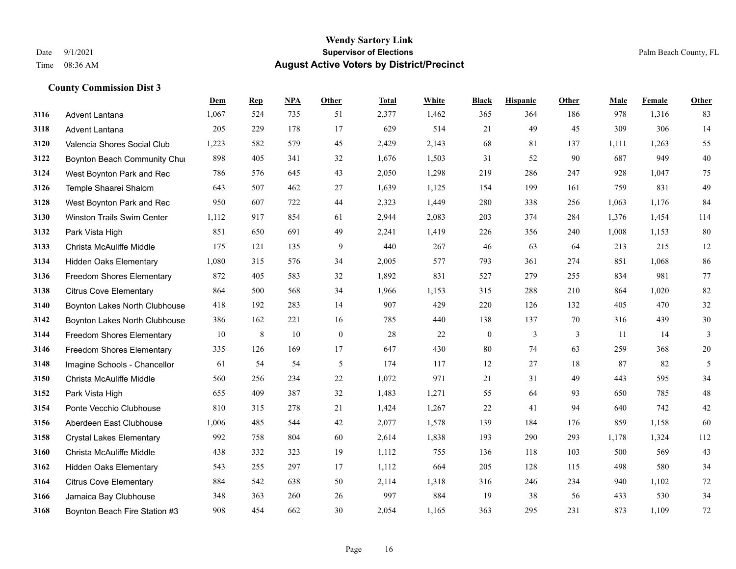|      |                                  | Dem   | <b>Rep</b> | NPA | Other        | <b>Total</b> | White | <b>Black</b>     | <b>Hispanic</b> | Other | <b>Male</b> | Female | <b>Other</b>  |
|------|----------------------------------|-------|------------|-----|--------------|--------------|-------|------------------|-----------------|-------|-------------|--------|---------------|
| 3116 | Advent Lantana                   | 1,067 | 524        | 735 | 51           | 2,377        | 1,462 | 365              | 364             | 186   | 978         | 1,316  | 83            |
| 3118 | Advent Lantana                   | 205   | 229        | 178 | 17           | 629          | 514   | 21               | 49              | 45    | 309         | 306    | 14            |
| 3120 | Valencia Shores Social Club      | 1,223 | 582        | 579 | 45           | 2,429        | 2,143 | 68               | 81              | 137   | 1,111       | 1,263  | 55            |
| 3122 | Boynton Beach Community Chui     | 898   | 405        | 341 | 32           | 1,676        | 1,503 | 31               | 52              | 90    | 687         | 949    | $40\,$        |
| 3124 | West Boynton Park and Rec        | 786   | 576        | 645 | 43           | 2,050        | 1,298 | 219              | 286             | 247   | 928         | 1,047  | 75            |
| 3126 | Temple Shaarei Shalom            | 643   | 507        | 462 | 27           | 1,639        | 1,125 | 154              | 199             | 161   | 759         | 831    | 49            |
| 3128 | West Boynton Park and Rec        | 950   | 607        | 722 | 44           | 2,323        | 1,449 | 280              | 338             | 256   | 1,063       | 1,176  | 84            |
| 3130 | Winston Trails Swim Center       | 1,112 | 917        | 854 | 61           | 2,944        | 2,083 | 203              | 374             | 284   | 1,376       | 1,454  | 114           |
| 3132 | Park Vista High                  | 851   | 650        | 691 | 49           | 2,241        | 1,419 | 226              | 356             | 240   | 1,008       | 1,153  | 80            |
| 3133 | Christa McAuliffe Middle         | 175   | 121        | 135 | 9            | 440          | 267   | 46               | 63              | 64    | 213         | 215    | 12            |
| 3134 | <b>Hidden Oaks Elementary</b>    | 1,080 | 315        | 576 | 34           | 2,005        | 577   | 793              | 361             | 274   | 851         | 1,068  | 86            |
| 3136 | <b>Freedom Shores Elementary</b> | 872   | 405        | 583 | 32           | 1,892        | 831   | 527              | 279             | 255   | 834         | 981    | 77            |
| 3138 | <b>Citrus Cove Elementary</b>    | 864   | 500        | 568 | 34           | 1,966        | 1,153 | 315              | 288             | 210   | 864         | 1,020  | 82            |
| 3140 | Boynton Lakes North Clubhouse    | 418   | 192        | 283 | 14           | 907          | 429   | 220              | 126             | 132   | 405         | 470    | 32            |
| 3142 | Boynton Lakes North Clubhouse    | 386   | 162        | 221 | 16           | 785          | 440   | 138              | 137             | 70    | 316         | 439    | 30            |
| 3144 | Freedom Shores Elementary        | 10    | 8          | 10  | $\mathbf{0}$ | 28           | 22    | $\boldsymbol{0}$ | 3               | 3     | 11          | 14     | 3             |
| 3146 | <b>Freedom Shores Elementary</b> | 335   | 126        | 169 | 17           | 647          | 430   | 80               | 74              | 63    | 259         | 368    | $20\,$        |
| 3148 | Imagine Schools - Chancellor     | 61    | 54         | 54  | 5            | 174          | 117   | 12               | 27              | 18    | 87          | 82     | $\mathfrak s$ |
| 3150 | Christa McAuliffe Middle         | 560   | 256        | 234 | 22           | 1,072        | 971   | 21               | 31              | 49    | 443         | 595    | 34            |
| 3152 | Park Vista High                  | 655   | 409        | 387 | 32           | 1,483        | 1,271 | 55               | 64              | 93    | 650         | 785    | 48            |
| 3154 | Ponte Vecchio Clubhouse          | 810   | 315        | 278 | 21           | 1,424        | 1,267 | 22               | 41              | 94    | 640         | 742    | $42\,$        |
| 3156 | Aberdeen East Clubhouse          | 1,006 | 485        | 544 | 42           | 2,077        | 1,578 | 139              | 184             | 176   | 859         | 1,158  | 60            |
| 3158 | <b>Crystal Lakes Elementary</b>  | 992   | 758        | 804 | 60           | 2,614        | 1,838 | 193              | 290             | 293   | 1,178       | 1,324  | 112           |
| 3160 | Christa McAuliffe Middle         | 438   | 332        | 323 | 19           | 1,112        | 755   | 136              | 118             | 103   | 500         | 569    | 43            |
| 3162 | Hidden Oaks Elementary           | 543   | 255        | 297 | 17           | 1,112        | 664   | 205              | 128             | 115   | 498         | 580    | 34            |
| 3164 | <b>Citrus Cove Elementary</b>    | 884   | 542        | 638 | 50           | 2,114        | 1,318 | 316              | 246             | 234   | 940         | 1,102  | 72            |
| 3166 | Jamaica Bay Clubhouse            | 348   | 363        | 260 | 26           | 997          | 884   | 19               | 38              | 56    | 433         | 530    | 34            |
| 3168 | Boynton Beach Fire Station #3    | 908   | 454        | 662 | 30           | 2,054        | 1,165 | 363              | 295             | 231   | 873         | 1,109  | 72            |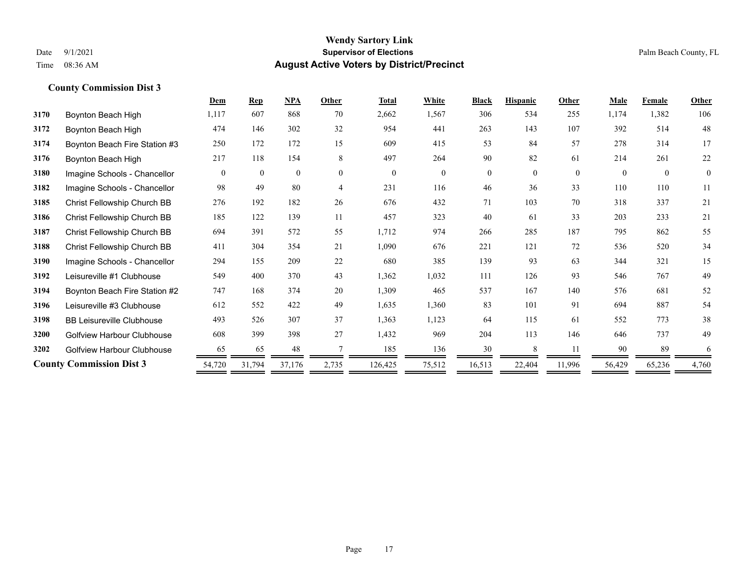|      |                                   | Dem      | <b>Rep</b>   | NPA            | Other    | <b>Total</b> | White          | <b>Black</b> | <b>Hispanic</b> | Other    | <b>Male</b> | Female   | Other        |
|------|-----------------------------------|----------|--------------|----------------|----------|--------------|----------------|--------------|-----------------|----------|-------------|----------|--------------|
| 3170 | Boynton Beach High                | 1,117    | 607          | 868            | 70       | 2,662        | 1,567          | 306          | 534             | 255      | 1,174       | 1,382    | 106          |
| 3172 | Boynton Beach High                | 474      | 146          | 302            | 32       | 954          | 441            | 263          | 143             | 107      | 392         | 514      | 48           |
| 3174 | Boynton Beach Fire Station #3     | 250      | 172          | 172            | 15       | 609          | 415            | 53           | 84              | 57       | 278         | 314      | 17           |
| 3176 | Boynton Beach High                | 217      | 118          | 154            | 8        | 497          | 264            | 90           | 82              | 61       | 214         | 261      | 22           |
| 3180 | Imagine Schools - Chancellor      | $\theta$ | $\mathbf{0}$ | $\overline{0}$ | $\theta$ | $\theta$     | $\overline{0}$ | $\mathbf{0}$ | $\theta$        | $\Omega$ | $\Omega$    | $\theta$ | $\mathbf{0}$ |
| 3182 | Imagine Schools - Chancellor      | 98       | 49           | 80             | 4        | 231          | 116            | 46           | 36              | 33       | 110         | 110      | 11           |
| 3185 | Christ Fellowship Church BB       | 276      | 192          | 182            | 26       | 676          | 432            | 71           | 103             | 70       | 318         | 337      | 21           |
| 3186 | Christ Fellowship Church BB       | 185      | 122          | 139            | 11       | 457          | 323            | 40           | 61              | 33       | 203         | 233      | 21           |
| 3187 | Christ Fellowship Church BB       | 694      | 391          | 572            | 55       | 1,712        | 974            | 266          | 285             | 187      | 795         | 862      | 55           |
| 3188 | Christ Fellowship Church BB       | 411      | 304          | 354            | 21       | 1,090        | 676            | 221          | 121             | 72       | 536         | 520      | 34           |
| 3190 | Imagine Schools - Chancellor      | 294      | 155          | 209            | 22       | 680          | 385            | 139          | 93              | 63       | 344         | 321      | 15           |
| 3192 | Leisureville #1 Clubhouse         | 549      | 400          | 370            | 43       | 1,362        | 1,032          | 111          | 126             | 93       | 546         | 767      | 49           |
| 3194 | Boynton Beach Fire Station #2     | 747      | 168          | 374            | 20       | 1,309        | 465            | 537          | 167             | 140      | 576         | 681      | 52           |
| 3196 | Leisureville #3 Clubhouse         | 612      | 552          | 422            | 49       | 1,635        | 1,360          | 83           | 101             | 91       | 694         | 887      | 54           |
| 3198 | <b>BB Leisureville Clubhouse</b>  | 493      | 526          | 307            | 37       | 1,363        | 1,123          | 64           | 115             | 61       | 552         | 773      | 38           |
| 3200 | <b>Golfview Harbour Clubhouse</b> | 608      | 399          | 398            | 27       | 1,432        | 969            | 204          | 113             | 146      | 646         | 737      | 49           |
| 3202 | <b>Golfview Harbour Clubhouse</b> | 65       | 65           | 48             |          | 185          | 136            | 30           |                 | 11       | 90          | 89       | 6            |
|      | <b>County Commission Dist 3</b>   | 54,720   | 31,794       | 37,176         | 2,735    | 126,425      | 75,512         | 16,513       | 22,404          | 11,996   | 56,429      | 65,236   | 4,760        |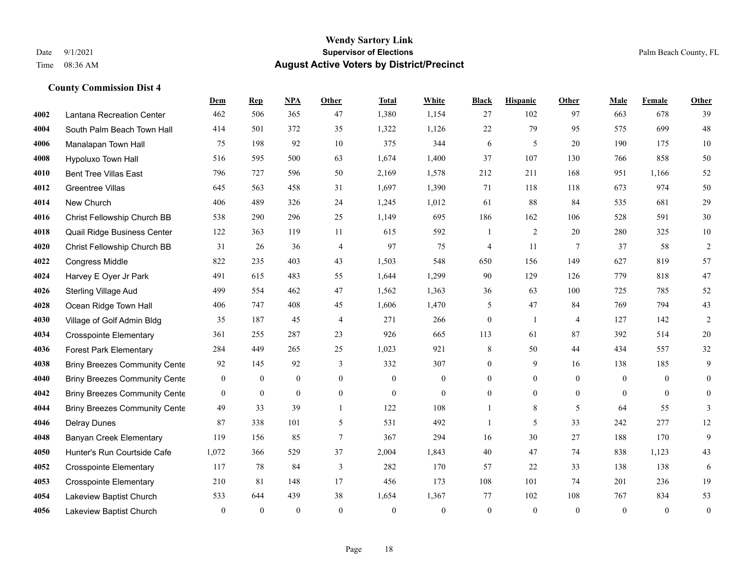|      |                                      | Dem              | <b>Rep</b>   | NPA              | <b>Other</b>   | <b>Total</b>     | <b>White</b>     | <b>Black</b>     | <b>Hispanic</b> | <b>Other</b>    | <b>Male</b>  | Female         | <b>Other</b>     |
|------|--------------------------------------|------------------|--------------|------------------|----------------|------------------|------------------|------------------|-----------------|-----------------|--------------|----------------|------------------|
| 4002 | Lantana Recreation Center            | 462              | 506          | 365              | 47             | 1,380            | 1,154            | 27               | 102             | 97              | 663          | 678            | 39               |
| 4004 | South Palm Beach Town Hall           | 414              | 501          | 372              | 35             | 1,322            | 1,126            | 22               | 79              | 95              | 575          | 699            | 48               |
| 4006 | Manalapan Town Hall                  | 75               | 198          | 92               | 10             | 375              | 344              | 6                | 5               | 20              | 190          | 175            | $10\,$           |
| 4008 | Hypoluxo Town Hall                   | 516              | 595          | 500              | 63             | 1,674            | 1,400            | 37               | 107             | 130             | 766          | 858            | 50               |
| 4010 | <b>Bent Tree Villas East</b>         | 796              | 727          | 596              | 50             | 2,169            | 1,578            | 212              | 211             | 168             | 951          | 1,166          | 52               |
| 4012 | Greentree Villas                     | 645              | 563          | 458              | 31             | 1,697            | 1,390            | 71               | 118             | 118             | 673          | 974            | 50               |
| 4014 | New Church                           | 406              | 489          | 326              | 24             | 1,245            | 1,012            | 61               | 88              | 84              | 535          | 681            | 29               |
| 4016 | Christ Fellowship Church BB          | 538              | 290          | 296              | 25             | 1,149            | 695              | 186              | 162             | 106             | 528          | 591            | $30\,$           |
| 4018 | Quail Ridge Business Center          | 122              | 363          | 119              | 11             | 615              | 592              | 1                | $\mathfrak{2}$  | 20              | 280          | 325            | $10\,$           |
| 4020 | Christ Fellowship Church BB          | 31               | 26           | 36               | $\overline{4}$ | 97               | 75               | $\overline{4}$   | 11              | $7\phantom{.0}$ | 37           | 58             | $\sqrt{2}$       |
| 4022 | <b>Congress Middle</b>               | 822              | 235          | 403              | 43             | 1,503            | 548              | 650              | 156             | 149             | 627          | 819            | 57               |
| 4024 | Harvey E Oyer Jr Park                | 491              | 615          | 483              | 55             | 1,644            | 1,299            | 90               | 129             | 126             | 779          | 818            | 47               |
| 4026 | <b>Sterling Village Aud</b>          | 499              | 554          | 462              | 47             | 1,562            | 1,363            | 36               | 63              | 100             | 725          | 785            | 52               |
| 4028 | Ocean Ridge Town Hall                | 406              | 747          | 408              | 45             | 1,606            | 1,470            | 5                | 47              | 84              | 769          | 794            | 43               |
| 4030 | Village of Golf Admin Bldg           | 35               | 187          | 45               | $\overline{4}$ | 271              | 266              | $\boldsymbol{0}$ | $\mathbf{1}$    | $\overline{4}$  | 127          | 142            | $\overline{2}$   |
| 4034 | <b>Crosspointe Elementary</b>        | 361              | 255          | 287              | 23             | 926              | 665              | 113              | 61              | 87              | 392          | 514            | $20\,$           |
| 4036 | <b>Forest Park Elementary</b>        | 284              | 449          | 265              | 25             | 1,023            | 921              | 8                | 50              | 44              | 434          | 557            | 32               |
| 4038 | <b>Briny Breezes Community Cente</b> | 92               | 145          | 92               | 3              | 332              | 307              | $\boldsymbol{0}$ | 9               | 16              | 138          | 185            | 9                |
| 4040 | <b>Briny Breezes Community Cente</b> | $\mathbf{0}$     | $\bf{0}$     | $\boldsymbol{0}$ | $\mathbf{0}$   | $\boldsymbol{0}$ | $\boldsymbol{0}$ | $\boldsymbol{0}$ | $\overline{0}$  | $\overline{0}$  | $\mathbf{0}$ | $\overline{0}$ | $\mathbf{0}$     |
| 4042 | <b>Briny Breezes Community Cente</b> | $\mathbf{0}$     | $\mathbf{0}$ | $\overline{0}$   | $\overline{0}$ | $\mathbf{0}$     | $\mathbf{0}$     | $\mathbf{0}$     | $\overline{0}$  | $\theta$        | $\theta$     | $\theta$       | $\mathbf{0}$     |
| 4044 | <b>Briny Breezes Community Cente</b> | 49               | 33           | 39               | $\mathbf{1}$   | 122              | 108              | 1                | $\,$ 8 $\,$     | 5               | 64           | 55             | 3                |
| 4046 | <b>Delray Dunes</b>                  | 87               | 338          | 101              | 5              | 531              | 492              | $\mathbf{1}$     | 5               | 33              | 242          | 277            | 12               |
| 4048 | <b>Banyan Creek Elementary</b>       | 119              | 156          | 85               | $\overline{7}$ | 367              | 294              | 16               | 30              | 27              | 188          | 170            | 9                |
| 4050 | Hunter's Run Courtside Cafe          | 1,072            | 366          | 529              | 37             | 2,004            | 1,843            | 40               | 47              | 74              | 838          | 1,123          | 43               |
| 4052 | <b>Crosspointe Elementary</b>        | 117              | 78           | 84               | 3              | 282              | 170              | 57               | 22              | 33              | 138          | 138            | 6                |
| 4053 | <b>Crosspointe Elementary</b>        | 210              | 81           | 148              | 17             | 456              | 173              | 108              | 101             | 74              | 201          | 236            | 19               |
| 4054 | Lakeview Baptist Church              | 533              | 644          | 439              | 38             | 1,654            | 1,367            | 77               | 102             | 108             | 767          | 834            | 53               |
| 4056 | Lakeview Baptist Church              | $\boldsymbol{0}$ | $\mathbf{0}$ | $\theta$         | $\theta$       | $\theta$         | $\mathbf{0}$     | $\mathbf{0}$     | $\mathbf{0}$    | $\theta$        | $\theta$     | $\mathbf{0}$   | $\boldsymbol{0}$ |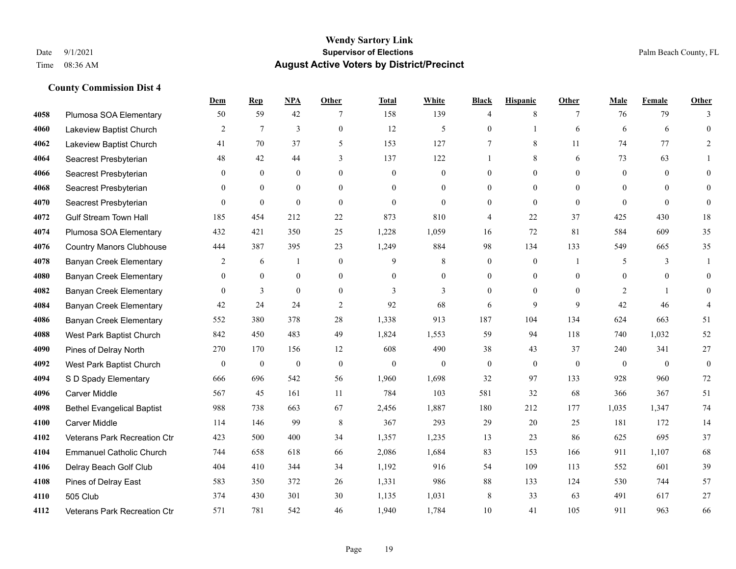|      |                                   | Dem              | <b>Rep</b>     | NPA              | <b>Other</b>   | <b>Total</b> | <b>White</b>     | <b>Black</b>     | <b>Hispanic</b> | <b>Other</b> | <b>Male</b>    | Female   | <b>Other</b>     |
|------|-----------------------------------|------------------|----------------|------------------|----------------|--------------|------------------|------------------|-----------------|--------------|----------------|----------|------------------|
| 4058 | Plumosa SOA Elementary            | 50               | 59             | 42               |                | 158          | 139              | $\overline{4}$   | $\,$ 8 $\,$     | 7            | 76             | 79       | 3                |
| 4060 | Lakeview Baptist Church           | $\overline{2}$   | $\tau$         | 3                | $\overline{0}$ | 12           | 5                | $\mathbf{0}$     | $\mathbf{1}$    | 6            | 6              | 6        | $\mathbf{0}$     |
| 4062 | Lakeview Baptist Church           | 41               | 70             | 37               | 5              | 153          | 127              | 7                | 8               | 11           | 74             | 77       | 2                |
| 4064 | Seacrest Presbyterian             | 48               | 42             | 44               | 3              | 137          | 122              |                  | $\,$ 8 $\,$     | 6            | 73             | 63       |                  |
| 4066 | Seacrest Presbyterian             | $\overline{0}$   | $\mathbf{0}$   | $\mathbf{0}$     | $\overline{0}$ | $\mathbf{0}$ | $\boldsymbol{0}$ | $\mathbf{0}$     | $\mathbf{0}$    | $\mathbf{0}$ | $\overline{0}$ | $\theta$ | $\mathbf{0}$     |
| 4068 | Seacrest Presbyterian             | 0                | $\overline{0}$ | $\mathbf{0}$     | $\overline{0}$ | $\theta$     | $\mathbf{0}$     | $\theta$         | $\mathbf{0}$    | $\theta$     | $\theta$       | $\theta$ | $\mathbf{0}$     |
| 4070 | Seacrest Presbyterian             | $\theta$         | $\theta$       | $\theta$         | $\mathbf{0}$   | $\theta$     | $\mathbf{0}$     | $\mathbf{0}$     | $\theta$        | $\theta$     | $\theta$       | $\theta$ | $\mathbf{0}$     |
| 4072 | <b>Gulf Stream Town Hall</b>      | 185              | 454            | 212              | 22             | 873          | 810              | 4                | 22              | 37           | 425            | 430      | 18               |
| 4074 | Plumosa SOA Elementary            | 432              | 421            | 350              | 25             | 1,228        | 1,059            | 16               | 72              | 81           | 584            | 609      | 35               |
| 4076 | <b>Country Manors Clubhouse</b>   | 444              | 387            | 395              | 23             | 1,249        | 884              | 98               | 134             | 133          | 549            | 665      | 35               |
| 4078 | <b>Banyan Creek Elementary</b>    | 2                | 6              | $\mathbf{1}$     | $\mathbf{0}$   | 9            | 8                | $\boldsymbol{0}$ | $\mathbf{0}$    | - 1          | 5              | 3        | -1               |
| 4080 | <b>Banyan Creek Elementary</b>    | $\overline{0}$   | $\theta$       | $\mathbf{0}$     | $\overline{0}$ | $\theta$     | $\mathbf{0}$     | $\mathbf{0}$     | $\theta$        | $\theta$     | $\theta$       | $\theta$ | $\theta$         |
| 4082 | <b>Banyan Creek Elementary</b>    | $\overline{0}$   | $\mathfrak{Z}$ | $\overline{0}$   | $\overline{0}$ | 3            | 3                | $\mathbf{0}$     | $\overline{0}$  | $\theta$     | 2              | 1        | $\theta$         |
| 4084 | <b>Banyan Creek Elementary</b>    | 42               | 24             | 24               | $\overline{c}$ | 92           | 68               | 6                | 9               | 9            | 42             | 46       |                  |
| 4086 | <b>Banyan Creek Elementary</b>    | 552              | 380            | 378              | 28             | 1,338        | 913              | 187              | 104             | 134          | 624            | 663      | 51               |
| 4088 | West Park Baptist Church          | 842              | 450            | 483              | 49             | 1,824        | 1,553            | 59               | 94              | 118          | 740            | 1,032    | 52               |
| 4090 | Pines of Delray North             | 270              | 170            | 156              | 12             | 608          | 490              | 38               | 43              | 37           | 240            | 341      | 27               |
| 4092 | West Park Baptist Church          | $\boldsymbol{0}$ | $\bf{0}$       | $\boldsymbol{0}$ | $\mathbf{0}$   | $\mathbf{0}$ | $\mathbf{0}$     | $\boldsymbol{0}$ | $\overline{0}$  | $\theta$     | $\mathbf{0}$   | $\theta$ | $\boldsymbol{0}$ |
| 4094 | S D Spady Elementary              | 666              | 696            | 542              | 56             | 1,960        | 1,698            | 32               | 97              | 133          | 928            | 960      | 72               |
| 4096 | <b>Carver Middle</b>              | 567              | 45             | 161              | 11             | 784          | 103              | 581              | 32              | 68           | 366            | 367      | 51               |
| 4098 | <b>Bethel Evangelical Baptist</b> | 988              | 738            | 663              | 67             | 2,456        | 1,887            | 180              | 212             | 177          | 1,035          | 1,347    | 74               |
| 4100 | <b>Carver Middle</b>              | 114              | 146            | 99               | 8              | 367          | 293              | 29               | 20              | 25           | 181            | 172      | 14               |
| 4102 | Veterans Park Recreation Ctr      | 423              | 500            | 400              | 34             | 1,357        | 1,235            | 13               | 23              | 86           | 625            | 695      | 37               |
| 4104 | <b>Emmanuel Catholic Church</b>   | 744              | 658            | 618              | 66             | 2,086        | 1,684            | 83               | 153             | 166          | 911            | 1,107    | 68               |
| 4106 | Delray Beach Golf Club            | 404              | 410            | 344              | 34             | 1,192        | 916              | 54               | 109             | 113          | 552            | 601      | 39               |
| 4108 | Pines of Delray East              | 583              | 350            | 372              | 26             | 1,331        | 986              | $88\,$           | 133             | 124          | 530            | 744      | 57               |
| 4110 | 505 Club                          | 374              | 430            | 301              | 30             | 1,135        | 1,031            | 8                | 33              | 63           | 491            | 617      | 27               |
| 4112 | Veterans Park Recreation Ctr      | 571              | 781            | 542              | 46             | 1,940        | 1,784            | 10               | 41              | 105          | 911            | 963      | 66               |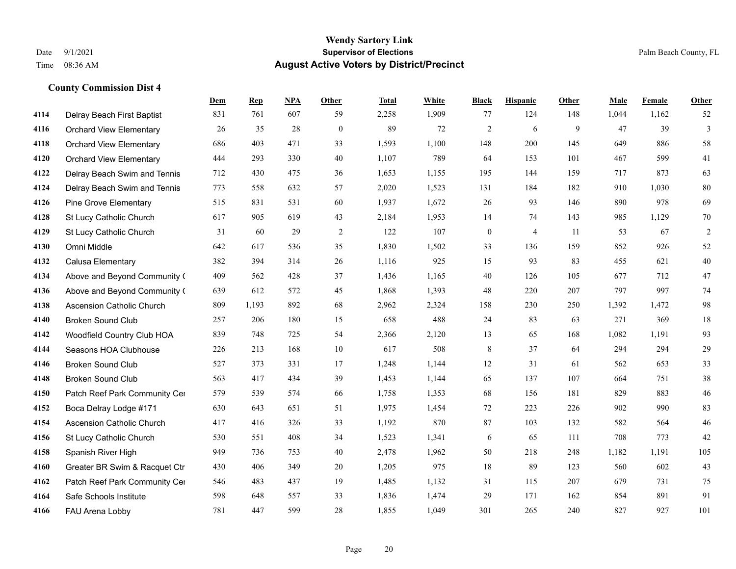# **Dem Rep NPA Other Total White Black Hispanic Other Male Female Other County Commission Dist 4** Delray Beach First Baptist 831 761 607 59 2,258 1,909 77 124 148 1,044 1,162 52

| 4116 | <b>Orchard View Elementary</b>   | 26  | 35    | 28  | $\overline{0}$ | 89    | 72    | $\overline{c}$   | 6              | 9   | 47    | 39    | 3      |
|------|----------------------------------|-----|-------|-----|----------------|-------|-------|------------------|----------------|-----|-------|-------|--------|
| 4118 | <b>Orchard View Elementary</b>   | 686 | 403   | 471 | 33             | 1,593 | 1,100 | 148              | 200            | 145 | 649   | 886   | 58     |
| 4120 | <b>Orchard View Elementary</b>   | 444 | 293   | 330 | 40             | 1,107 | 789   | 64               | 153            | 101 | 467   | 599   | 41     |
| 4122 | Delray Beach Swim and Tennis     | 712 | 430   | 475 | 36             | 1,653 | 1,155 | 195              | 144            | 159 | 717   | 873   | 63     |
| 4124 | Delray Beach Swim and Tennis     | 773 | 558   | 632 | 57             | 2,020 | 1,523 | 131              | 184            | 182 | 910   | 1,030 | 80     |
| 4126 | <b>Pine Grove Elementary</b>     | 515 | 831   | 531 | 60             | 1,937 | 1,672 | 26               | 93             | 146 | 890   | 978   | 69     |
| 4128 | St Lucy Catholic Church          | 617 | 905   | 619 | 43             | 2,184 | 1,953 | 14               | 74             | 143 | 985   | 1,129 | 70     |
| 4129 | St Lucy Catholic Church          | 31  | 60    | 29  | $\overline{c}$ | 122   | 107   | $\boldsymbol{0}$ | $\overline{4}$ | 11  | 53    | 67    | 2      |
| 4130 | Omni Middle                      | 642 | 617   | 536 | 35             | 1,830 | 1,502 | 33               | 136            | 159 | 852   | 926   | 52     |
| 4132 | Calusa Elementary                | 382 | 394   | 314 | 26             | 1,116 | 925   | 15               | 93             | 83  | 455   | 621   | 40     |
| 4134 | Above and Beyond Community (     | 409 | 562   | 428 | 37             | 1,436 | 1,165 | 40               | 126            | 105 | 677   | 712   | $47\,$ |
| 4136 | Above and Beyond Community (     | 639 | 612   | 572 | 45             | 1,868 | 1,393 | 48               | 220            | 207 | 797   | 997   | 74     |
| 4138 | <b>Ascension Catholic Church</b> | 809 | 1,193 | 892 | 68             | 2,962 | 2,324 | 158              | 230            | 250 | 1,392 | 1,472 | 98     |
| 4140 | <b>Broken Sound Club</b>         | 257 | 206   | 180 | 15             | 658   | 488   | 24               | 83             | 63  | 271   | 369   | $18\,$ |
| 4142 | Woodfield Country Club HOA       | 839 | 748   | 725 | 54             | 2,366 | 2,120 | 13               | 65             | 168 | 1,082 | 1,191 | 93     |
| 4144 | Seasons HOA Clubhouse            | 226 | 213   | 168 | 10             | 617   | 508   | 8                | 37             | 64  | 294   | 294   | 29     |
| 4146 | <b>Broken Sound Club</b>         | 527 | 373   | 331 | 17             | 1,248 | 1,144 | 12               | 31             | 61  | 562   | 653   | 33     |
| 4148 | <b>Broken Sound Club</b>         | 563 | 417   | 434 | 39             | 1,453 | 1,144 | 65               | 137            | 107 | 664   | 751   | $38\,$ |
| 4150 | Patch Reef Park Community Cer    | 579 | 539   | 574 | 66             | 1,758 | 1,353 | 68               | 156            | 181 | 829   | 883   | $46\,$ |
| 4152 | Boca Delray Lodge #171           | 630 | 643   | 651 | 51             | 1,975 | 1,454 | 72               | 223            | 226 | 902   | 990   | 83     |
| 4154 | <b>Ascension Catholic Church</b> | 417 | 416   | 326 | 33             | 1,192 | 870   | 87               | 103            | 132 | 582   | 564   | 46     |
| 4156 | St Lucy Catholic Church          | 530 | 551   | 408 | 34             | 1,523 | 1,341 | 6                | 65             | 111 | 708   | 773   | 42     |
| 4158 | Spanish River High               | 949 | 736   | 753 | 40             | 2,478 | 1,962 | 50               | 218            | 248 | 1,182 | 1,191 | 105    |
| 4160 | Greater BR Swim & Racquet Ctr    | 430 | 406   | 349 | 20             | 1,205 | 975   | 18               | 89             | 123 | 560   | 602   | 43     |
| 4162 | Patch Reef Park Community Cer    | 546 | 483   | 437 | 19             | 1,485 | 1,132 | 31               | 115            | 207 | 679   | 731   | 75     |
| 4164 | Safe Schools Institute           | 598 | 648   | 557 | 33             | 1,836 | 1,474 | 29               | 171            | 162 | 854   | 891   | 91     |
| 4166 | FAU Arena Lobby                  | 781 | 447   | 599 | 28             | 1,855 | 1,049 | 301              | 265            | 240 | 827   | 927   | 101    |
|      |                                  |     |       |     |                |       |       |                  |                |     |       |       |        |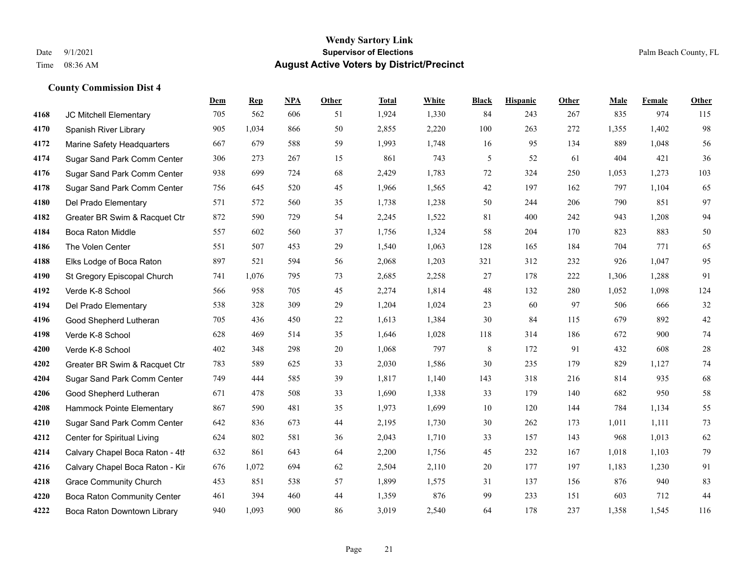### **Wendy Sartory Link** Date 9/1/2021 **Supervisor of Elections** Palm Beach County, FL Time 08:36 AM **August Active Voters by District/Precinct**

|      |                                    | Dem | <b>Rep</b> | <b>NPA</b> | Other  | <b>Total</b> | White | <b>Black</b> | <b>Hispanic</b> | Other | Male  | Female | Other  |
|------|------------------------------------|-----|------------|------------|--------|--------------|-------|--------------|-----------------|-------|-------|--------|--------|
| 4168 | JC Mitchell Elementary             | 705 | 562        | 606        | 51     | 1,924        | 1,330 | 84           | 243             | 267   | 835   | 974    | 115    |
| 4170 | Spanish River Library              | 905 | 1,034      | 866        | 50     | 2,855        | 2,220 | 100          | 263             | 272   | 1,355 | 1,402  | 98     |
| 4172 | Marine Safety Headquarters         | 667 | 679        | 588        | 59     | 1,993        | 1,748 | 16           | 95              | 134   | 889   | 1,048  | 56     |
| 4174 | Sugar Sand Park Comm Center        | 306 | 273        | 267        | 15     | 861          | 743   | 5            | 52              | 61    | 404   | 421    | 36     |
| 4176 | Sugar Sand Park Comm Center        | 938 | 699        | 724        | 68     | 2,429        | 1,783 | 72           | 324             | 250   | 1,053 | 1,273  | 103    |
| 4178 | Sugar Sand Park Comm Center        | 756 | 645        | 520        | 45     | 1,966        | 1,565 | 42           | 197             | 162   | 797   | 1,104  | 65     |
| 4180 | Del Prado Elementary               | 571 | 572        | 560        | 35     | 1,738        | 1,238 | 50           | 244             | 206   | 790   | 851    | 97     |
| 4182 | Greater BR Swim & Racquet Ctr      | 872 | 590        | 729        | 54     | 2,245        | 1,522 | 81           | 400             | 242   | 943   | 1,208  | 94     |
| 4184 | <b>Boca Raton Middle</b>           | 557 | 602        | 560        | 37     | 1,756        | 1,324 | 58           | 204             | 170   | 823   | 883    | 50     |
| 4186 | The Volen Center                   | 551 | 507        | 453        | 29     | 1,540        | 1,063 | 128          | 165             | 184   | 704   | 771    | 65     |
| 4188 | Elks Lodge of Boca Raton           | 897 | 521        | 594        | 56     | 2,068        | 1,203 | 321          | 312             | 232   | 926   | 1,047  | 95     |
| 4190 | St Gregory Episcopal Church        | 741 | 1,076      | 795        | 73     | 2,685        | 2,258 | 27           | 178             | 222   | 1,306 | 1,288  | 91     |
| 4192 | Verde K-8 School                   | 566 | 958        | 705        | 45     | 2,274        | 1,814 | 48           | 132             | 280   | 1,052 | 1,098  | 124    |
| 4194 | Del Prado Elementary               | 538 | 328        | 309        | 29     | 1,204        | 1,024 | 23           | 60              | 97    | 506   | 666    | 32     |
| 4196 | Good Shepherd Lutheran             | 705 | 436        | 450        | $22\,$ | 1,613        | 1,384 | 30           | 84              | 115   | 679   | 892    | 42     |
| 4198 | Verde K-8 School                   | 628 | 469        | 514        | 35     | 1,646        | 1,028 | 118          | 314             | 186   | 672   | 900    | 74     |
| 4200 | Verde K-8 School                   | 402 | 348        | 298        | 20     | 1,068        | 797   | 8            | 172             | 91    | 432   | 608    | $28\,$ |
| 4202 | Greater BR Swim & Racquet Ctr      | 783 | 589        | 625        | 33     | 2,030        | 1,586 | 30           | 235             | 179   | 829   | 1,127  | 74     |
| 4204 | Sugar Sand Park Comm Center        | 749 | 444        | 585        | 39     | 1,817        | 1,140 | 143          | 318             | 216   | 814   | 935    | 68     |
| 4206 | Good Shepherd Lutheran             | 671 | 478        | 508        | 33     | 1,690        | 1,338 | 33           | 179             | 140   | 682   | 950    | 58     |
| 4208 | Hammock Pointe Elementary          | 867 | 590        | 481        | 35     | 1,973        | 1,699 | 10           | 120             | 144   | 784   | 1,134  | 55     |
| 4210 | Sugar Sand Park Comm Center        | 642 | 836        | 673        | 44     | 2,195        | 1,730 | 30           | 262             | 173   | 1,011 | 1,111  | 73     |
| 4212 | Center for Spiritual Living        | 624 | 802        | 581        | 36     | 2,043        | 1,710 | 33           | 157             | 143   | 968   | 1,013  | 62     |
| 4214 | Calvary Chapel Boca Raton - 4th    | 632 | 861        | 643        | 64     | 2,200        | 1,756 | 45           | 232             | 167   | 1,018 | 1,103  | 79     |
| 4216 | Calvary Chapel Boca Raton - Kir    | 676 | 1,072      | 694        | 62     | 2,504        | 2,110 | 20           | 177             | 197   | 1,183 | 1,230  | 91     |
| 4218 | <b>Grace Community Church</b>      | 453 | 851        | 538        | 57     | 1,899        | 1,575 | 31           | 137             | 156   | 876   | 940    | 83     |
| 4220 | <b>Boca Raton Community Center</b> | 461 | 394        | 460        | 44     | 1,359        | 876   | 99           | 233             | 151   | 603   | 712    | 44     |
| 4222 | Boca Raton Downtown Library        | 940 | 1,093      | 900        | 86     | 3.019        | 2.540 | 64           | 178             | 237   | 1,358 | 1.545  | 116    |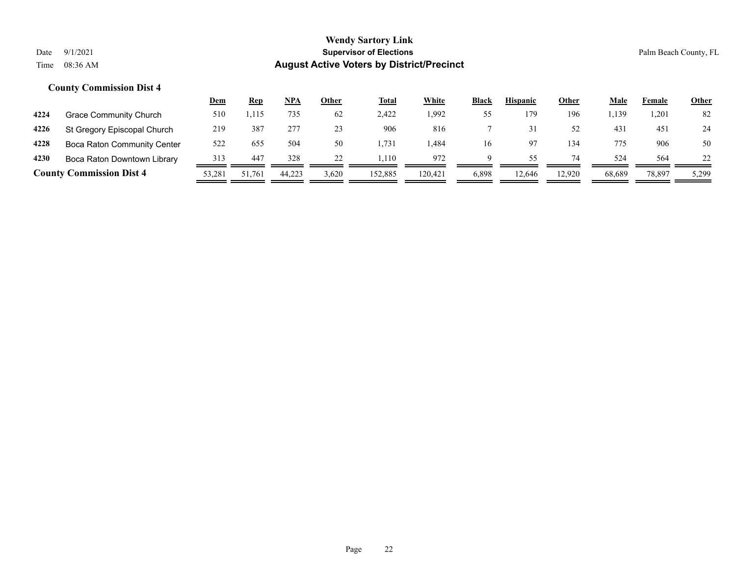|      |                                    | <u>Dem</u> | <b>Rep</b> | NPA    | Other | <b>Total</b> | <b>White</b> | <b>Black</b> | <b>Hispanic</b> | <b>Other</b> | <u>Male</u> | Female | <u>Other</u> |
|------|------------------------------------|------------|------------|--------|-------|--------------|--------------|--------------|-----------------|--------------|-------------|--------|--------------|
| 4224 | Grace Community Church             | 510        | 1,115      | 735    | 62    | 2.422        | 1,992        | 55           | 179             | 196          | 1,139       | 1,201  | 82           |
| 4226 | St Gregory Episcopal Church        | 219        | 387        | 277    | 23    | 906          | 816          |              |                 | 52           | 43          | 451    | 24           |
| 4228 | <b>Boca Raton Community Center</b> | 522        | 655        | 504    | 50    | .731         | l.484        | 16           |                 | 134          | 775         | 906    | 50           |
| 4230 | Boca Raton Downtown Library        | 313        | 447        | 328    |       | .110         | 972          | Q            | 55.             | 74           | 524         | 564    | 22           |
|      | <b>County Commission Dist 4</b>    | 53,281     | 51,761     | 44,223 | 3,620 | 152,885      | 120.421      | 6,898        | 12,646          | 12,920       | 68.689      | 78,897 | 5,299        |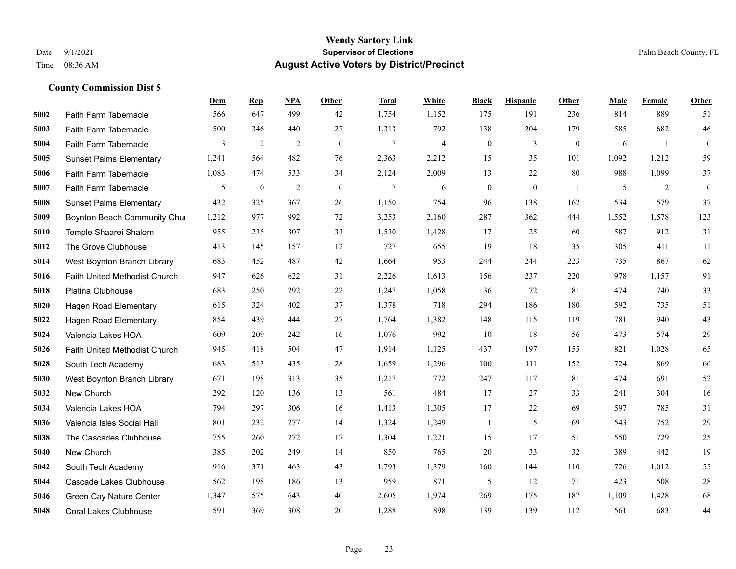|      |                                | Dem   | <b>Rep</b>       | NPA | <b>Other</b> | <b>Total</b>   | White | <b>Black</b>     | <b>Hispanic</b>  | Other          | <b>Male</b> | Female | Other        |
|------|--------------------------------|-------|------------------|-----|--------------|----------------|-------|------------------|------------------|----------------|-------------|--------|--------------|
| 5002 | Faith Farm Tabernacle          | 566   | 647              | 499 | 42           | 1,754          | 1,152 | 175              | 191              | 236            | 814         | 889    | 51           |
| 5003 | Faith Farm Tabernacle          | 500   | 346              | 440 | 27           | 1,313          | 792   | 138              | 204              | 179            | 585         | 682    | 46           |
| 5004 | Faith Farm Tabernacle          | 3     | $\overline{c}$   | 2   | $\mathbf{0}$ | $\overline{7}$ | 4     | $\boldsymbol{0}$ | 3                | $\overline{0}$ | 6           | -1     | $\mathbf{0}$ |
| 5005 | <b>Sunset Palms Elementary</b> | 1,241 | 564              | 482 | 76           | 2,363          | 2,212 | 15               | 35               | 101            | 1,092       | 1,212  | 59           |
| 5006 | Faith Farm Tabernacle          | 1,083 | 474              | 533 | 34           | 2,124          | 2,009 | 13               | 22               | 80             | 988         | 1,099  | 37           |
| 5007 | Faith Farm Tabernacle          | 5     | $\boldsymbol{0}$ | 2   | $\mathbf{0}$ | 7              | 6     | $\mathbf{0}$     | $\boldsymbol{0}$ | -1             | 5           | 2      | $\mathbf{0}$ |
| 5008 | <b>Sunset Palms Elementary</b> | 432   | 325              | 367 | 26           | 1,150          | 754   | 96               | 138              | 162            | 534         | 579    | 37           |
| 5009 | Boynton Beach Community Chur   | 1,212 | 977              | 992 | 72           | 3,253          | 2,160 | 287              | 362              | 444            | 1,552       | 1.578  | 123          |
| 5010 | Temple Shaarei Shalom          | 955   | 235              | 307 | 33           | 1,530          | 1,428 | 17               | 25               | 60             | 587         | 912    | 31           |
| 5012 | The Grove Clubhouse            | 413   | 145              | 157 | 12           | 727            | 655   | 19               | 18               | 35             | 305         | 411    | 11           |
| 5014 | West Boynton Branch Library    | 683   | 452              | 487 | 42           | 1,664          | 953   | 244              | 244              | 223            | 735         | 867    | 62           |
| 5016 | Faith United Methodist Church  | 947   | 626              | 622 | 31           | 2,226          | 1,613 | 156              | 237              | 220            | 978         | 1,157  | 91           |
| 5018 | Platina Clubhouse              | 683   | 250              | 292 | 22           | 1,247          | 1,058 | 36               | 72               | 81             | 474         | 740    | 33           |
| 5020 | <b>Hagen Road Elementary</b>   | 615   | 324              | 402 | 37           | 1,378          | 718   | 294              | 186              | 180            | 592         | 735    | 51           |
| 5022 | Hagen Road Elementary          | 854   | 439              | 444 | 27           | 1,764          | 1,382 | 148              | 115              | 119            | 781         | 940    | 43           |
| 5024 | Valencia Lakes HOA             | 609   | 209              | 242 | 16           | 1,076          | 992   | 10               | 18               | 56             | 473         | 574    | 29           |
| 5026 | Faith United Methodist Church  | 945   | 418              | 504 | 47           | 1,914          | 1,125 | 437              | 197              | 155            | 821         | 1,028  | 65           |
| 5028 | South Tech Academy             | 683   | 513              | 435 | 28           | 1,659          | 1,296 | 100              | 111              | 152            | 724         | 869    | 66           |
| 5030 | West Boynton Branch Library    | 671   | 198              | 313 | 35           | 1,217          | 772   | 247              | 117              | 81             | 474         | 691    | 52           |
| 5032 | New Church                     | 292   | 120              | 136 | 13           | 561            | 484   | 17               | 27               | 33             | 241         | 304    | 16           |
| 5034 | Valencia Lakes HOA             | 794   | 297              | 306 | 16           | 1,413          | 1,305 | 17               | 22               | 69             | 597         | 785    | 31           |
| 5036 | Valencia Isles Social Hall     | 801   | 232              | 277 | 14           | 1,324          | 1,249 | $\mathbf{1}$     | 5                | 69             | 543         | 752    | 29           |
| 5038 | The Cascades Clubhouse         | 755   | 260              | 272 | 17           | 1,304          | 1,221 | 15               | 17               | 51             | 550         | 729    | 25           |
| 5040 | New Church                     | 385   | 202              | 249 | 14           | 850            | 765   | 20               | 33               | 32             | 389         | 442    | 19           |
| 5042 | South Tech Academy             | 916   | 371              | 463 | 43           | 1.793          | 1,379 | 160              | 144              | 110            | 726         | 1,012  | 55           |
| 5044 | Cascade Lakes Clubhouse        | 562   | 198              | 186 | 13           | 959            | 871   | 5                | 12               | 71             | 423         | 508    | 28           |
| 5046 | Green Cay Nature Center        | 1,347 | 575              | 643 | 40           | 2,605          | 1,974 | 269              | 175              | 187            | 1,109       | 1,428  | 68           |
| 5048 | <b>Coral Lakes Clubhouse</b>   | 591   | 369              | 308 | 20           | 1,288          | 898   | 139              | 139              | 112            | 561         | 683    | 44           |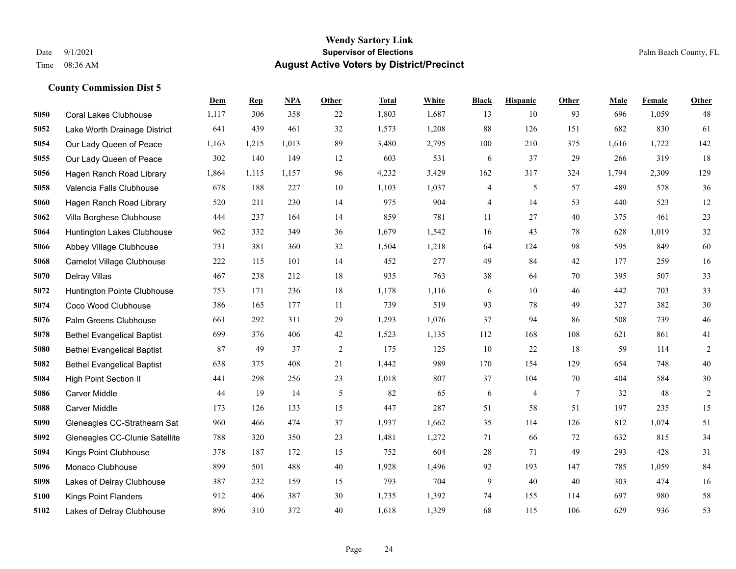|      |                                   | Dem   | <b>Rep</b> | NPA   | <b>Other</b> | <b>Total</b> | White | <b>Black</b> | <b>Hispanic</b> | <b>Other</b>   | <b>Male</b> | Female | <b>Other</b>   |
|------|-----------------------------------|-------|------------|-------|--------------|--------------|-------|--------------|-----------------|----------------|-------------|--------|----------------|
| 5050 | <b>Coral Lakes Clubhouse</b>      | 1,117 | 306        | 358   | 22           | 1,803        | 1,687 | 13           | 10              | 93             | 696         | 1,059  | 48             |
| 5052 | Lake Worth Drainage District      | 641   | 439        | 461   | 32           | 1,573        | 1,208 | 88           | 126             | 151            | 682         | 830    | 61             |
| 5054 | Our Lady Queen of Peace           | 1,163 | 1,215      | 1,013 | 89           | 3,480        | 2,795 | 100          | 210             | 375            | 1,616       | 1,722  | 142            |
| 5055 | Our Lady Queen of Peace           | 302   | 140        | 149   | 12           | 603          | 531   | 6            | 37              | 29             | 266         | 319    | 18             |
| 5056 | Hagen Ranch Road Library          | 1,864 | 1,115      | 1,157 | 96           | 4,232        | 3,429 | 162          | 317             | 324            | 1,794       | 2,309  | 129            |
| 5058 | Valencia Falls Clubhouse          | 678   | 188        | 227   | 10           | 1,103        | 1,037 | 4            | 5               | 57             | 489         | 578    | 36             |
| 5060 | Hagen Ranch Road Library          | 520   | 211        | 230   | 14           | 975          | 904   | 4            | 14              | 53             | 440         | 523    | $12\,$         |
| 5062 | Villa Borghese Clubhouse          | 444   | 237        | 164   | 14           | 859          | 781   | 11           | 27              | 40             | 375         | 461    | 23             |
| 5064 | Huntington Lakes Clubhouse        | 962   | 332        | 349   | 36           | 1,679        | 1,542 | 16           | 43              | 78             | 628         | 1,019  | $32\,$         |
| 5066 | Abbey Village Clubhouse           | 731   | 381        | 360   | 32           | 1,504        | 1,218 | 64           | 124             | 98             | 595         | 849    | 60             |
| 5068 | Camelot Village Clubhouse         | 222   | 115        | 101   | 14           | 452          | 277   | 49           | 84              | 42             | 177         | 259    | 16             |
| 5070 | Delray Villas                     | 467   | 238        | 212   | 18           | 935          | 763   | 38           | 64              | 70             | 395         | 507    | 33             |
| 5072 | Huntington Pointe Clubhouse       | 753   | 171        | 236   | $18\,$       | 1,178        | 1,116 | 6            | 10              | 46             | 442         | 703    | 33             |
| 5074 | Coco Wood Clubhouse               | 386   | 165        | 177   | 11           | 739          | 519   | 93           | 78              | 49             | 327         | 382    | $30\,$         |
| 5076 | Palm Greens Clubhouse             | 661   | 292        | 311   | 29           | 1,293        | 1,076 | 37           | 94              | 86             | 508         | 739    | $46\,$         |
| 5078 | <b>Bethel Evangelical Baptist</b> | 699   | 376        | 406   | 42           | 1,523        | 1,135 | 112          | 168             | 108            | 621         | 861    | 41             |
| 5080 | <b>Bethel Evangelical Baptist</b> | 87    | 49         | 37    | 2            | 175          | 125   | 10           | 22              | 18             | 59          | 114    | $\overline{2}$ |
| 5082 | <b>Bethel Evangelical Baptist</b> | 638   | 375        | 408   | 21           | 1,442        | 989   | 170          | 154             | 129            | 654         | 748    | $40\,$         |
| 5084 | <b>High Point Section II</b>      | 441   | 298        | 256   | 23           | 1,018        | 807   | 37           | 104             | 70             | 404         | 584    | $30\,$         |
| 5086 | <b>Carver Middle</b>              | 44    | 19         | 14    | 5            | 82           | 65    | 6            | 4               | $\overline{7}$ | 32          | 48     | $\sqrt{2}$     |
| 5088 | Carver Middle                     | 173   | 126        | 133   | 15           | 447          | 287   | 51           | 58              | 51             | 197         | 235    | 15             |
| 5090 | Gleneagles CC-Strathearn Sat      | 960   | 466        | 474   | 37           | 1,937        | 1,662 | 35           | 114             | 126            | 812         | 1,074  | 51             |
| 5092 | Gleneagles CC-Clunie Satellite    | 788   | 320        | 350   | 23           | 1,481        | 1,272 | 71           | 66              | 72             | 632         | 815    | 34             |
| 5094 | Kings Point Clubhouse             | 378   | 187        | 172   | 15           | 752          | 604   | 28           | 71              | 49             | 293         | 428    | 31             |
| 5096 | Monaco Clubhouse                  | 899   | 501        | 488   | 40           | 1,928        | 1,496 | 92           | 193             | 147            | 785         | 1,059  | 84             |
| 5098 | Lakes of Delray Clubhouse         | 387   | 232        | 159   | 15           | 793          | 704   | 9            | 40              | 40             | 303         | 474    | 16             |
| 5100 | <b>Kings Point Flanders</b>       | 912   | 406        | 387   | 30           | 1,735        | 1,392 | 74           | 155             | 114            | 697         | 980    | $58\,$         |
| 5102 | Lakes of Delray Clubhouse         | 896   | 310        | 372   | 40           | 1,618        | 1,329 | 68           | 115             | 106            | 629         | 936    | 53             |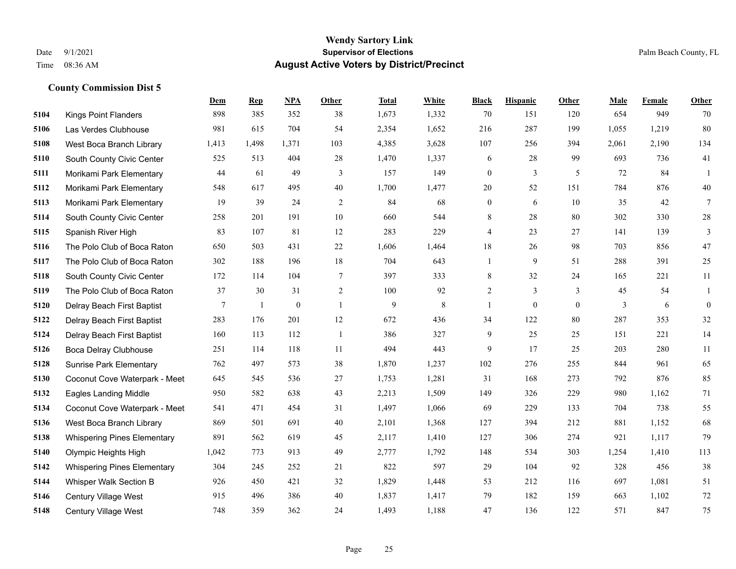|      |                                    | Dem             | <b>Rep</b> | NPA              | <b>Other</b>   | <b>Total</b> | White     | <b>Black</b>     | <b>Hispanic</b>  | Other        | <b>Male</b> | <b>Female</b> | <b>Other</b>     |
|------|------------------------------------|-----------------|------------|------------------|----------------|--------------|-----------|------------------|------------------|--------------|-------------|---------------|------------------|
| 5104 | <b>Kings Point Flanders</b>        | 898             | 385        | 352              | 38             | 1,673        | 1,332     | 70               | 151              | 120          | 654         | 949           | 70               |
| 5106 | Las Verdes Clubhouse               | 981             | 615        | 704              | 54             | 2,354        | 1,652     | 216              | 287              | 199          | 1,055       | 1,219         | 80               |
| 5108 | West Boca Branch Library           | 1,413           | 1,498      | 1,371            | 103            | 4,385        | 3,628     | 107              | 256              | 394          | 2,061       | 2,190         | 134              |
| 5110 | South County Civic Center          | 525             | 513        | 404              | 28             | 1,470        | 1,337     | 6                | 28               | 99           | 693         | 736           | 41               |
| 5111 | Morikami Park Elementary           | 44              | 61         | 49               | 3              | 157          | 149       | $\mathbf{0}$     | 3                | 5            | 72          | 84            | $\mathbf{1}$     |
| 5112 | Morikami Park Elementary           | 548             | 617        | 495              | 40             | 1,700        | 1,477     | 20               | 52               | 151          | 784         | 876           | $40\,$           |
| 5113 | Morikami Park Elementary           | 19              | 39         | 24               | $\overline{c}$ | 84           | 68        | $\boldsymbol{0}$ | 6                | 10           | 35          | 42            | $7\phantom{.0}$  |
| 5114 | South County Civic Center          | 258             | 201        | 191              | 10             | 660          | 544       | 8                | 28               | 80           | 302         | 330           | $28\,$           |
| 5115 | Spanish River High                 | 83              | 107        | 81               | 12             | 283          | 229       | 4                | 23               | 27           | 141         | 139           | 3                |
| 5116 | The Polo Club of Boca Raton        | 650             | 503        | 431              | 22             | 1,606        | 1,464     | 18               | 26               | 98           | 703         | 856           | $47\,$           |
| 5117 | The Polo Club of Boca Raton        | 302             | 188        | 196              | 18             | 704          | 643       | $\mathbf{1}$     | 9                | 51           | 288         | 391           | $25\,$           |
| 5118 | South County Civic Center          | 172             | 114        | 104              | $\tau$         | 397          | 333       | 8                | 32               | 24           | 165         | 221           | 11               |
| 5119 | The Polo Club of Boca Raton        | 37              | 30         | 31               | 2              | 100          | 92        | $\overline{c}$   | 3                | 3            | 45          | 54            | 1                |
| 5120 | Delray Beach First Baptist         | $7\overline{ }$ | 1          | $\boldsymbol{0}$ | $\mathbf{1}$   | 9            | $\,$ $\,$ | $\mathbf{1}$     | $\boldsymbol{0}$ | $\mathbf{0}$ | 3           | 6             | $\boldsymbol{0}$ |
| 5122 | Delray Beach First Baptist         | 283             | 176        | 201              | 12             | 672          | 436       | 34               | 122              | 80           | 287         | 353           | $32\,$           |
| 5124 | Delray Beach First Baptist         | 160             | 113        | 112              | -1             | 386          | 327       | 9                | 25               | 25           | 151         | 221           | 14               |
| 5126 | <b>Boca Delray Clubhouse</b>       | 251             | 114        | 118              | 11             | 494          | 443       | 9                | 17               | 25           | 203         | 280           | $11\,$           |
| 5128 | <b>Sunrise Park Elementary</b>     | 762             | 497        | 573              | 38             | 1,870        | 1,237     | 102              | 276              | 255          | 844         | 961           | 65               |
| 5130 | Coconut Cove Waterpark - Meet      | 645             | 545        | 536              | 27             | 1,753        | 1,281     | 31               | 168              | 273          | 792         | 876           | 85               |
| 5132 | <b>Eagles Landing Middle</b>       | 950             | 582        | 638              | 43             | 2,213        | 1,509     | 149              | 326              | 229          | 980         | 1,162         | 71               |
| 5134 | Coconut Cove Waterpark - Meet      | 541             | 471        | 454              | 31             | 1,497        | 1,066     | 69               | 229              | 133          | 704         | 738           | 55               |
| 5136 | West Boca Branch Library           | 869             | 501        | 691              | 40             | 2,101        | 1,368     | 127              | 394              | 212          | 881         | 1,152         | 68               |
| 5138 | <b>Whispering Pines Elementary</b> | 891             | 562        | 619              | 45             | 2,117        | 1,410     | 127              | 306              | 274          | 921         | 1,117         | 79               |
| 5140 | Olympic Heights High               | 1,042           | 773        | 913              | 49             | 2,777        | 1,792     | 148              | 534              | 303          | 1,254       | 1,410         | 113              |
| 5142 | <b>Whispering Pines Elementary</b> | 304             | 245        | 252              | 21             | 822          | 597       | 29               | 104              | 92           | 328         | 456           | 38               |
| 5144 | Whisper Walk Section B             | 926             | 450        | 421              | 32             | 1,829        | 1,448     | 53               | 212              | 116          | 697         | 1,081         | 51               |
| 5146 | <b>Century Village West</b>        | 915             | 496        | 386              | 40             | 1,837        | 1,417     | 79               | 182              | 159          | 663         | 1,102         | 72               |
| 5148 | Century Village West               | 748             | 359        | 362              | 24             | 1,493        | 1,188     | 47               | 136              | 122          | 571         | 847           | 75               |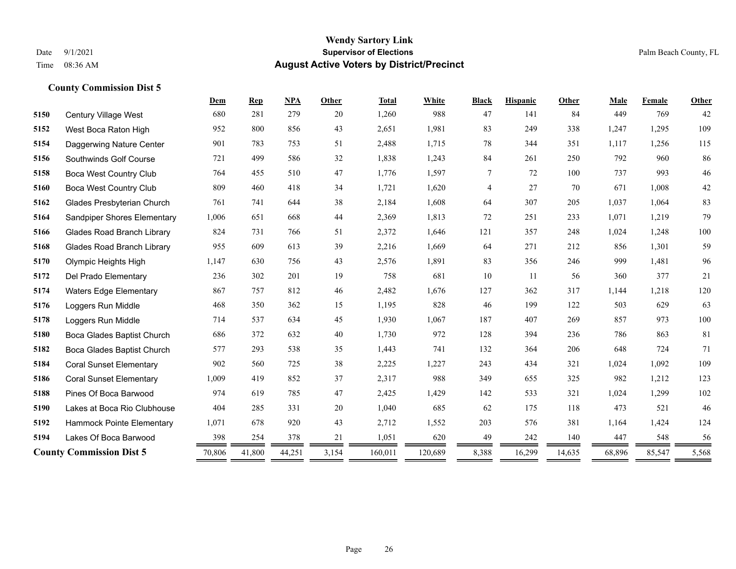|      |                                   | Dem    | <b>Rep</b> | <b>NPA</b> | Other | <b>Total</b> | White   | <b>Black</b>   | <b>Hispanic</b> | Other  | Male   | Female | <b>Other</b> |
|------|-----------------------------------|--------|------------|------------|-------|--------------|---------|----------------|-----------------|--------|--------|--------|--------------|
| 5150 | Century Village West              | 680    | 281        | 279        | 20    | 1,260        | 988     | 47             | 141             | 84     | 449    | 769    | 42           |
| 5152 | West Boca Raton High              | 952    | 800        | 856        | 43    | 2,651        | 1,981   | 83             | 249             | 338    | 1,247  | 1,295  | 109          |
| 5154 | Daggerwing Nature Center          | 901    | 783        | 753        | 51    | 2,488        | 1,715   | 78             | 344             | 351    | 1,117  | 1,256  | 115          |
| 5156 | Southwinds Golf Course            | 721    | 499        | 586        | 32    | 1,838        | 1,243   | 84             | 261             | 250    | 792    | 960    | 86           |
| 5158 | Boca West Country Club            | 764    | 455        | 510        | 47    | 1,776        | 1,597   | $\tau$         | 72              | 100    | 737    | 993    | $46\,$       |
| 5160 | Boca West Country Club            | 809    | 460        | 418        | 34    | 1,721        | 1,620   | $\overline{4}$ | 27              | 70     | 671    | 1,008  | 42           |
| 5162 | Glades Presbyterian Church        | 761    | 741        | 644        | 38    | 2,184        | 1,608   | 64             | 307             | 205    | 1.037  | 1,064  | 83           |
| 5164 | Sandpiper Shores Elementary       | 1,006  | 651        | 668        | 44    | 2,369        | 1,813   | 72             | 251             | 233    | 1,071  | 1,219  | 79           |
| 5166 | <b>Glades Road Branch Library</b> | 824    | 731        | 766        | 51    | 2,372        | 1,646   | 121            | 357             | 248    | 1,024  | 1,248  | 100          |
| 5168 | <b>Glades Road Branch Library</b> | 955    | 609        | 613        | 39    | 2,216        | 1,669   | 64             | 271             | 212    | 856    | 1,301  | 59           |
| 5170 | Olympic Heights High              | 1,147  | 630        | 756        | 43    | 2,576        | 1,891   | 83             | 356             | 246    | 999    | 1,481  | 96           |
| 5172 | Del Prado Elementary              | 236    | 302        | 201        | 19    | 758          | 681     | 10             | 11              | 56     | 360    | 377    | 21           |
| 5174 | <b>Waters Edge Elementary</b>     | 867    | 757        | 812        | 46    | 2,482        | 1,676   | 127            | 362             | 317    | 1,144  | 1,218  | 120          |
| 5176 | Loggers Run Middle                | 468    | 350        | 362        | 15    | 1,195        | 828     | 46             | 199             | 122    | 503    | 629    | 63           |
| 5178 | Loggers Run Middle                | 714    | 537        | 634        | 45    | 1,930        | 1,067   | 187            | 407             | 269    | 857    | 973    | 100          |
| 5180 | Boca Glades Baptist Church        | 686    | 372        | 632        | 40    | 1,730        | 972     | 128            | 394             | 236    | 786    | 863    | 81           |
| 5182 | Boca Glades Baptist Church        | 577    | 293        | 538        | 35    | 1,443        | 741     | 132            | 364             | 206    | 648    | 724    | 71           |
| 5184 | <b>Coral Sunset Elementary</b>    | 902    | 560        | 725        | 38    | 2,225        | 1,227   | 243            | 434             | 321    | 1,024  | 1,092  | 109          |
| 5186 | <b>Coral Sunset Elementary</b>    | 1,009  | 419        | 852        | 37    | 2,317        | 988     | 349            | 655             | 325    | 982    | 1,212  | 123          |
| 5188 | Pines Of Boca Barwood             | 974    | 619        | 785        | 47    | 2,425        | 1,429   | 142            | 533             | 321    | 1,024  | 1,299  | 102          |
| 5190 | Lakes at Boca Rio Clubhouse       | 404    | 285        | 331        | 20    | 1,040        | 685     | 62             | 175             | 118    | 473    | 521    | 46           |
| 5192 | Hammock Pointe Elementary         | 1,071  | 678        | 920        | 43    | 2,712        | 1,552   | 203            | 576             | 381    | 1,164  | 1,424  | 124          |
| 5194 | Lakes Of Boca Barwood             | 398    | 254        | 378        | 21    | 1,051        | 620     | 49             | 242             | 140    | 447    | 548    | 56           |
|      | <b>County Commission Dist 5</b>   | 70,806 | 41,800     | 44,251     | 3,154 | 160,011      | 120,689 | 8,388          | 16,299          | 14,635 | 68,896 | 85,547 | 5,568        |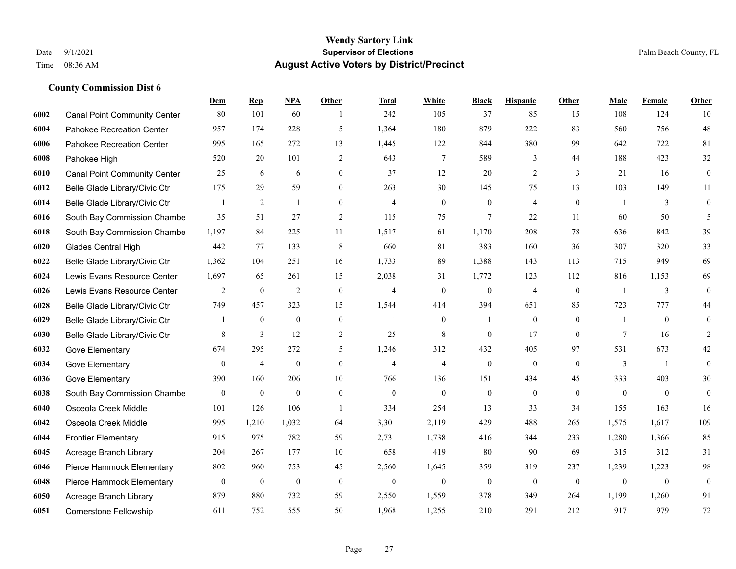#### **Wendy Sartory Link** Date 9/1/2021 **Supervisor of Elections** Palm Beach County, FL Time 08:36 AM **August Active Voters by District/Precinct**

# **Dem Rep NPA Other Total White Black Hispanic Other Male Female Other** Canal Point Community Center 80 101 60 1 242 105 37 85 15 108 124 10 Pahokee Recreation Center 957 174 228 5 1,364 180 879 222 83 560 756 48 Pahokee Recreation Center 995 165 272 13 1,445 122 844 380 99 642 722 81 Pahokee High 520 20 101 2 643 7 589 3 44 188 423 32 Canal Point Community Center 25 6 6 0 37 12 20 2 3 21 16 0 Belle Glade Library/Civic Ctr 175 29 59 0 263 30 145 75 13 103 149 11 Belle Glade Library/Civic Ctr  $\begin{array}{cccccccc} 1 & 2 & 1 & 0 & 4 & 0 & 0 & 4 & 0 & 1 & 3 & 0 \end{array}$  South Bay Commission Chambe 35 51 27 2 115 75 7 22 11 60 50 5 South Bay Commission Chambe 1,197 84 225 11 1,517 61 1,170 208 78 636 842 39 Glades Central High 442 77 133 8 660 81 383 160 36 307 320 33 Belle Glade Library/Civic Ctr 1,362 104 251 16 1,733 89 1,388 143 113 715 949 69 Lewis Evans Resource Center 1,697 65 261 15 2,038 31 1,772 123 112 816 1,153 69 Lewis Evans Resource Center  $\begin{array}{ccccccccccccc}\n2 & 0 & 2 & 0 & 4 & 0 & 4 & 0 & 1 & 3 & 0\n\end{array}$  Belle Glade Library/Civic Ctr 749 457 323 15 1,544 414 394 651 85 723 777 44 Belle Glade Library/Civic Ctr 1 0 0 0 1 0 1 0 0 1 0 0 Belle Glade Library/Civic Ctr 8 3 12 2 25 8 0 17 0 7 16 2 Gove Elementary 674 295 272 5 1,246 312 432 405 97 531 673 42 Gove Elementary 0 4 0 4 4 0 0 0 3 1 0 Gove Elementary 390 160 206 10 766 136 151 434 45 333 403 30 South Bay Commission Chambers 0 0 0 0 0 0 0 0 0 0 0 0 Osceola Creek Middle 101 126 106 1 334 254 13 33 34 155 163 16 Osceola Creek Middle 995 1,210 1,032 64 3,301 2,119 429 488 265 1,575 1,617 109 Frontier Elementary 915 975 782 59 2,731 1,738 416 344 233 1,280 1,366 85 Acreage Branch Library 204 267 177 10 658 419 80 90 69 315 312 31 Pierce Hammock Elementary 802 960 753 45 2,560 1,645 359 319 237 1,239 1,223 98 Pierce Hammock Elementary 0 0 0 0 0 0 0 0 0 0 0 0 Acreage Branch Library 879 880 732 59 2,550 1,559 378 349 264 1,199 1,260 91 Cornerstone Fellowship 611 752 555 50 1,968 1,255 210 291 212 917 979 72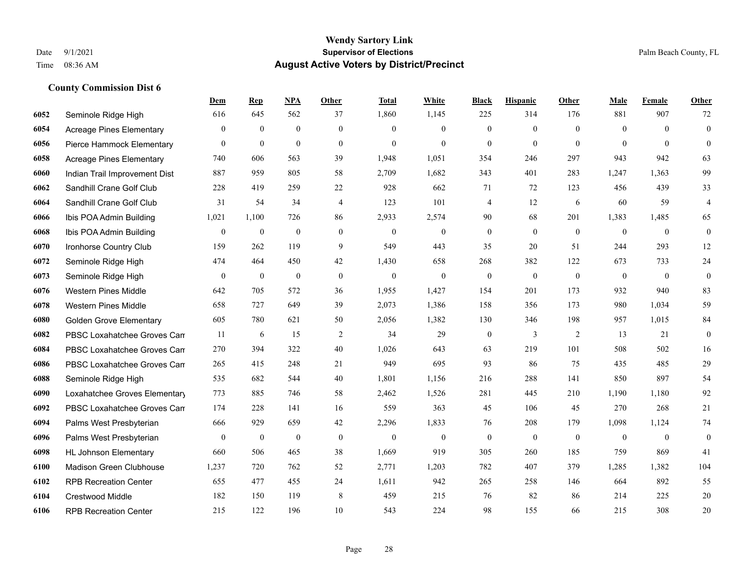|      |                                 | Dem              | <b>Rep</b>   | NPA              | <b>Other</b>     | <b>Total</b>     | <b>White</b>     | <b>Black</b>     | <b>Hispanic</b>  | <b>Other</b> | <b>Male</b>      | Female       | <b>Other</b>     |
|------|---------------------------------|------------------|--------------|------------------|------------------|------------------|------------------|------------------|------------------|--------------|------------------|--------------|------------------|
| 6052 | Seminole Ridge High             | 616              | 645          | 562              | 37               | 1,860            | 1,145            | 225              | 314              | 176          | 881              | 907          | 72               |
| 6054 | <b>Acreage Pines Elementary</b> | $\overline{0}$   | $\theta$     | $\overline{0}$   | $\mathbf{0}$     | $\theta$         | $\mathbf{0}$     | $\overline{0}$   | $\mathbf{0}$     | $\theta$     | $\theta$         | $\theta$     | $\overline{0}$   |
| 6056 | Pierce Hammock Elementary       | $\overline{0}$   | $\mathbf{0}$ | $\mathbf{0}$     | $\theta$         | $\theta$         | $\theta$         | $\theta$         | $\overline{0}$   | $\Omega$     | $\Omega$         | $\Omega$     | $\theta$         |
| 6058 | <b>Acreage Pines Elementary</b> | 740              | 606          | 563              | 39               | 1,948            | 1,051            | 354              | 246              | 297          | 943              | 942          | 63               |
| 6060 | Indian Trail Improvement Dist   | 887              | 959          | 805              | 58               | 2,709            | 1,682            | 343              | 401              | 283          | 1,247            | 1,363        | 99               |
| 6062 | Sandhill Crane Golf Club        | 228              | 419          | 259              | 22               | 928              | 662              | 71               | 72               | 123          | 456              | 439          | 33               |
| 6064 | Sandhill Crane Golf Club        | 31               | 54           | 34               | $\overline{4}$   | 123              | 101              | $\overline{4}$   | 12               | 6            | 60               | 59           | $\overline{4}$   |
| 6066 | Ibis POA Admin Building         | 1,021            | 1,100        | 726              | 86               | 2,933            | 2,574            | 90               | 68               | 201          | 1,383            | 1,485        | 65               |
| 6068 | Ibis POA Admin Building         | $\boldsymbol{0}$ | $\mathbf{0}$ | $\mathbf{0}$     | $\mathbf{0}$     | $\mathbf{0}$     | $\boldsymbol{0}$ | $\mathbf{0}$     | $\mathbf{0}$     | $\mathbf{0}$ | $\overline{0}$   | $\mathbf{0}$ | $\boldsymbol{0}$ |
| 6070 | Ironhorse Country Club          | 159              | 262          | 119              | 9                | 549              | 443              | 35               | 20               | 51           | 244              | 293          | 12               |
| 6072 | Seminole Ridge High             | 474              | 464          | 450              | 42               | 1,430            | 658              | 268              | 382              | 122          | 673              | 733          | 24               |
| 6073 | Seminole Ridge High             | $\boldsymbol{0}$ | $\mathbf{0}$ | $\boldsymbol{0}$ | $\boldsymbol{0}$ | $\boldsymbol{0}$ | $\boldsymbol{0}$ | $\boldsymbol{0}$ | $\boldsymbol{0}$ | $\mathbf{0}$ | $\boldsymbol{0}$ | $\mathbf{0}$ | $\boldsymbol{0}$ |
| 6076 | <b>Western Pines Middle</b>     | 642              | 705          | 572              | 36               | 1,955            | 1,427            | 154              | 201              | 173          | 932              | 940          | 83               |
| 6078 | <b>Western Pines Middle</b>     | 658              | 727          | 649              | 39               | 2,073            | 1,386            | 158              | 356              | 173          | 980              | 1,034        | 59               |
| 6080 | <b>Golden Grove Elementary</b>  | 605              | 780          | 621              | 50               | 2,056            | 1,382            | 130              | 346              | 198          | 957              | 1,015        | 84               |
| 6082 | PBSC Loxahatchee Groves Can     | 11               | 6            | 15               | $\overline{c}$   | 34               | 29               | $\boldsymbol{0}$ | 3                | 2            | 13               | 21           | $\boldsymbol{0}$ |
| 6084 | PBSC Loxahatchee Groves Can     | 270              | 394          | 322              | 40               | 1,026            | 643              | 63               | 219              | 101          | 508              | 502          | 16               |
| 6086 | PBSC Loxahatchee Groves Can     | 265              | 415          | 248              | 21               | 949              | 695              | 93               | 86               | 75           | 435              | 485          | 29               |
| 6088 | Seminole Ridge High             | 535              | 682          | 544              | 40               | 1,801            | 1,156            | 216              | 288              | 141          | 850              | 897          | 54               |
| 6090 | Loxahatchee Groves Elementary   | 773              | 885          | 746              | 58               | 2,462            | 1,526            | 281              | 445              | 210          | 1,190            | 1.180        | 92               |
| 6092 | PBSC Loxahatchee Groves Can     | 174              | 228          | 141              | 16               | 559              | 363              | 45               | 106              | 45           | 270              | 268          | 21               |
| 6094 | Palms West Presbyterian         | 666              | 929          | 659              | 42               | 2,296            | 1,833            | 76               | 208              | 179          | 1,098            | 1,124        | 74               |
| 6096 | Palms West Presbyterian         | $\overline{0}$   | $\mathbf{0}$ | $\mathbf{0}$     | $\mathbf{0}$     | $\mathbf{0}$     | $\mathbf{0}$     | $\boldsymbol{0}$ | $\mathbf{0}$     | $\theta$     | $\overline{0}$   | $\mathbf{0}$ | $\boldsymbol{0}$ |
| 6098 | <b>HL Johnson Elementary</b>    | 660              | 506          | 465              | 38               | 1,669            | 919              | 305              | 260              | 185          | 759              | 869          | 41               |
| 6100 | <b>Madison Green Clubhouse</b>  | 1,237            | 720          | 762              | 52               | 2,771            | 1,203            | 782              | 407              | 379          | 1,285            | 1,382        | 104              |
| 6102 | <b>RPB Recreation Center</b>    | 655              | 477          | 455              | 24               | 1,611            | 942              | 265              | 258              | 146          | 664              | 892          | 55               |
| 6104 | Crestwood Middle                | 182              | 150          | 119              | 8                | 459              | 215              | 76               | 82               | 86           | 214              | 225          | 20               |
| 6106 | <b>RPB Recreation Center</b>    | 215              | 122          | 196              | 10               | 543              | 224              | 98               | 155              | 66           | 215              | 308          | 20               |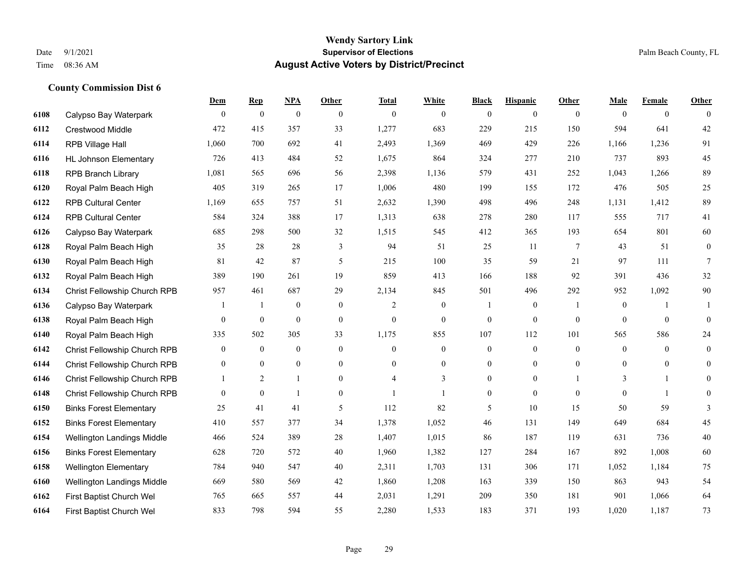|      |                                | Dem            | <b>Rep</b>       | NPA              | <b>Other</b>     | <b>Total</b>   | <b>White</b>     | <b>Black</b>     | <b>Hispanic</b>  | <b>Other</b>    | <b>Male</b>      | <b>Female</b>  | <b>Other</b>     |
|------|--------------------------------|----------------|------------------|------------------|------------------|----------------|------------------|------------------|------------------|-----------------|------------------|----------------|------------------|
| 6108 | Calypso Bay Waterpark          | $\overline{0}$ | $\boldsymbol{0}$ | $\boldsymbol{0}$ | $\theta$         | $\theta$       | $\overline{0}$   | $\mathbf{0}$     | $\boldsymbol{0}$ | $\theta$        | $\mathbf{0}$     | $\overline{0}$ | $\theta$         |
| 6112 | <b>Crestwood Middle</b>        | 472            | 415              | 357              | 33               | 1,277          | 683              | 229              | 215              | 150             | 594              | 641            | 42               |
| 6114 | RPB Village Hall               | 1,060          | 700              | 692              | 41               | 2,493          | 1,369            | 469              | 429              | 226             | 1,166            | 1,236          | 91               |
| 6116 | <b>HL Johnson Elementary</b>   | 726            | 413              | 484              | 52               | 1,675          | 864              | 324              | 277              | 210             | 737              | 893            | 45               |
| 6118 | <b>RPB Branch Library</b>      | 1,081          | 565              | 696              | 56               | 2,398          | 1,136            | 579              | 431              | 252             | 1,043            | 1,266          | 89               |
| 6120 | Royal Palm Beach High          | 405            | 319              | 265              | 17               | 1,006          | 480              | 199              | 155              | 172             | 476              | 505            | 25               |
| 6122 | <b>RPB Cultural Center</b>     | 1,169          | 655              | 757              | 51               | 2,632          | 1,390            | 498              | 496              | 248             | 1,131            | 1,412          | 89               |
| 6124 | <b>RPB Cultural Center</b>     | 584            | 324              | 388              | 17               | 1,313          | 638              | 278              | 280              | 117             | 555              | 717            | 41               |
| 6126 | Calypso Bay Waterpark          | 685            | 298              | 500              | 32               | 1,515          | 545              | 412              | 365              | 193             | 654              | 801            | 60               |
| 6128 | Royal Palm Beach High          | 35             | 28               | 28               | 3                | 94             | 51               | 25               | 11               | $7\phantom{.0}$ | 43               | 51             | $\boldsymbol{0}$ |
| 6130 | Royal Palm Beach High          | 81             | 42               | 87               | 5                | 215            | 100              | 35               | 59               | 21              | 97               | 111            | $\tau$           |
| 6132 | Royal Palm Beach High          | 389            | 190              | 261              | 19               | 859            | 413              | 166              | 188              | 92              | 391              | 436            | 32               |
| 6134 | Christ Fellowship Church RPB   | 957            | 461              | 687              | 29               | 2,134          | 845              | 501              | 496              | 292             | 952              | 1,092          | $90\,$           |
| 6136 | Calypso Bay Waterpark          |                | $\overline{1}$   | $\boldsymbol{0}$ | $\boldsymbol{0}$ | $\overline{c}$ | $\boldsymbol{0}$ |                  | $\boldsymbol{0}$ | -1              | $\boldsymbol{0}$ |                |                  |
| 6138 | Royal Palm Beach High          | $\mathbf{0}$   | $\boldsymbol{0}$ | $\mathbf{0}$     | $\mathbf{0}$     | $\mathbf{0}$   | $\boldsymbol{0}$ | $\boldsymbol{0}$ | $\mathbf{0}$     | $\mathbf{0}$    | $\overline{0}$   | $\mathbf{0}$   | $\mathbf{0}$     |
| 6140 | Royal Palm Beach High          | 335            | 502              | 305              | 33               | 1,175          | 855              | 107              | 112              | 101             | 565              | 586            | 24               |
| 6142 | Christ Fellowship Church RPB   | $\mathbf{0}$   | $\mathbf{0}$     | $\mathbf{0}$     | $\mathbf{0}$     | $\mathbf{0}$   | $\overline{0}$   | $\boldsymbol{0}$ | $\mathbf{0}$     | $\theta$        | $\overline{0}$   | $\theta$       | $\mathbf{0}$     |
| 6144 | Christ Fellowship Church RPB   | $\mathbf{0}$   | $\mathbf{0}$     | $\mathbf{0}$     | $\overline{0}$   | $\theta$       | $\boldsymbol{0}$ | 0                | $\overline{0}$   | $\theta$        | $\overline{0}$   | $\overline{0}$ | 0                |
| 6146 | Christ Fellowship Church RPB   |                | 2                | $\overline{1}$   | $\overline{0}$   | 4              | 3                | $\overline{0}$   | $\mathbf{0}$     |                 | 3                | -1             | $\overline{0}$   |
| 6148 | Christ Fellowship Church RPB   | $\theta$       | $\mathbf{0}$     | $\mathbf{1}$     | $\overline{0}$   | $\mathbf{1}$   | 1                | $\mathbf{0}$     | $\theta$         | $\theta$        | $\theta$         | $\mathbf{1}$   | $\theta$         |
| 6150 | <b>Binks Forest Elementary</b> | 25             | 41               | 41               | 5                | 112            | 82               | 5                | 10               | 15              | 50               | 59             | 3                |
| 6152 | <b>Binks Forest Elementary</b> | 410            | 557              | 377              | 34               | 1,378          | 1,052            | 46               | 131              | 149             | 649              | 684            | 45               |
| 6154 | Wellington Landings Middle     | 466            | 524              | 389              | 28               | 1,407          | 1,015            | 86               | 187              | 119             | 631              | 736            | $40\,$           |
| 6156 | <b>Binks Forest Elementary</b> | 628            | 720              | 572              | 40               | 1,960          | 1,382            | 127              | 284              | 167             | 892              | 1,008          | 60               |
| 6158 | <b>Wellington Elementary</b>   | 784            | 940              | 547              | 40               | 2,311          | 1,703            | 131              | 306              | 171             | 1,052            | 1,184          | $75\,$           |
| 6160 | Wellington Landings Middle     | 669            | 580              | 569              | 42               | 1,860          | 1,208            | 163              | 339              | 150             | 863              | 943            | 54               |
| 6162 | First Baptist Church Wel       | 765            | 665              | 557              | 44               | 2,031          | 1,291            | 209              | 350              | 181             | 901              | 1,066          | 64               |
| 6164 | First Baptist Church Wel       | 833            | 798              | 594              | 55               | 2,280          | 1,533            | 183              | 371              | 193             | 1,020            | 1,187          | 73               |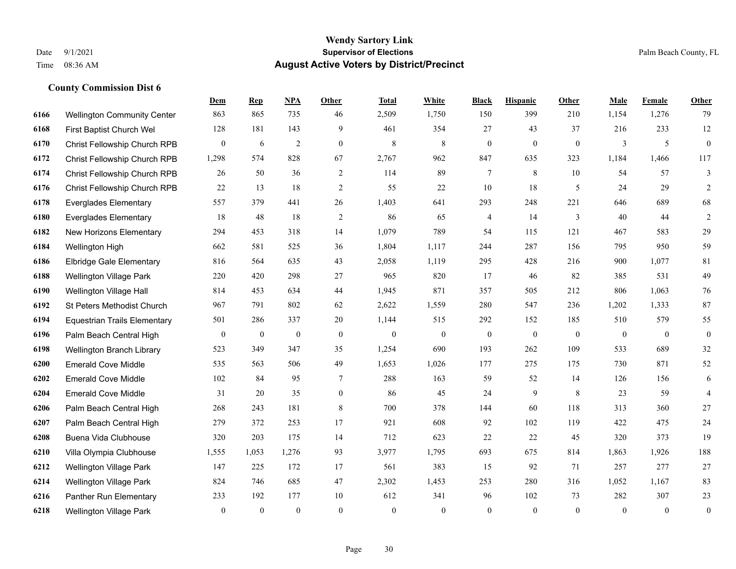|      |                                     | <b>Dem</b>       | <b>Rep</b>   | NPA          | Other            | <b>Total</b>     | <b>White</b>     | <b>Black</b>     | <b>Hispanic</b> | <b>Other</b> | <b>Male</b>  | Female         | <b>Other</b>     |
|------|-------------------------------------|------------------|--------------|--------------|------------------|------------------|------------------|------------------|-----------------|--------------|--------------|----------------|------------------|
| 6166 | <b>Wellington Community Center</b>  | 863              | 865          | 735          | 46               | 2,509            | 1,750            | 150              | 399             | 210          | 1,154        | 1,276          | 79               |
| 6168 | First Baptist Church Wel            | 128              | 181          | 143          | 9                | 461              | 354              | 27               | 43              | 37           | 216          | 233            | $12\,$           |
| 6170 | Christ Fellowship Church RPB        | $\overline{0}$   | 6            | 2            | $\overline{0}$   | 8                | 8                | $\mathbf{0}$     | $\overline{0}$  | $\mathbf{0}$ | 3            | 5              | $\overline{0}$   |
| 6172 | Christ Fellowship Church RPB        | 1,298            | 574          | 828          | 67               | 2,767            | 962              | 847              | 635             | 323          | 1,184        | 1,466          | 117              |
| 6174 | Christ Fellowship Church RPB        | 26               | 50           | 36           | $\sqrt{2}$       | 114              | 89               | $\tau$           | 8               | 10           | 54           | 57             | $\mathfrak{Z}$   |
| 6176 | Christ Fellowship Church RPB        | 22               | 13           | 18           | 2                | 55               | 22               | 10               | 18              | 5            | 24           | 29             | $\overline{2}$   |
| 6178 | <b>Everglades Elementary</b>        | 557              | 379          | 441          | 26               | 1,403            | 641              | 293              | 248             | 221          | 646          | 689            | 68               |
| 6180 | <b>Everglades Elementary</b>        | 18               | 48           | 18           | $\overline{c}$   | 86               | 65               | 4                | 14              | 3            | 40           | 44             | $\sqrt{2}$       |
| 6182 | New Horizons Elementary             | 294              | 453          | 318          | 14               | 1,079            | 789              | 54               | 115             | 121          | 467          | 583            | 29               |
| 6184 | Wellington High                     | 662              | 581          | 525          | 36               | 1,804            | 1,117            | 244              | 287             | 156          | 795          | 950            | 59               |
| 6186 | <b>Elbridge Gale Elementary</b>     | 816              | 564          | 635          | 43               | 2,058            | 1,119            | 295              | 428             | 216          | 900          | 1,077          | 81               |
| 6188 | <b>Wellington Village Park</b>      | 220              | 420          | 298          | 27               | 965              | 820              | 17               | 46              | 82           | 385          | 531            | 49               |
| 6190 | Wellington Village Hall             | 814              | 453          | 634          | 44               | 1,945            | 871              | 357              | 505             | 212          | 806          | 1,063          | $76\,$           |
| 6192 | St Peters Methodist Church          | 967              | 791          | 802          | 62               | 2,622            | 1,559            | 280              | 547             | 236          | 1,202        | 1,333          | 87               |
| 6194 | <b>Equestrian Trails Elementary</b> | 501              | 286          | 337          | 20               | 1,144            | 515              | 292              | 152             | 185          | 510          | 579            | 55               |
| 6196 | Palm Beach Central High             | $\boldsymbol{0}$ | $\mathbf{0}$ | $\bf{0}$     | $\boldsymbol{0}$ | $\boldsymbol{0}$ | $\boldsymbol{0}$ | $\boldsymbol{0}$ | $\mathbf{0}$    | $\mathbf{0}$ | $\mathbf{0}$ | $\overline{0}$ | $\mathbf{0}$     |
| 6198 | <b>Wellington Branch Library</b>    | 523              | 349          | 347          | 35               | 1,254            | 690              | 193              | 262             | 109          | 533          | 689            | 32               |
| 6200 | <b>Emerald Cove Middle</b>          | 535              | 563          | 506          | 49               | 1,653            | 1,026            | 177              | 275             | 175          | 730          | 871            | 52               |
| 6202 | <b>Emerald Cove Middle</b>          | 102              | 84           | 95           | 7                | 288              | 163              | 59               | 52              | 14           | 126          | 156            | 6                |
| 6204 | <b>Emerald Cove Middle</b>          | 31               | 20           | 35           | $\mathbf{0}$     | 86               | 45               | 24               | 9               | 8            | 23           | 59             | $\overline{4}$   |
| 6206 | Palm Beach Central High             | 268              | 243          | 181          | 8                | 700              | 378              | 144              | 60              | 118          | 313          | 360            | 27               |
| 6207 | Palm Beach Central High             | 279              | 372          | 253          | 17               | 921              | 608              | 92               | 102             | 119          | 422          | 475            | 24               |
| 6208 | Buena Vida Clubhouse                | 320              | 203          | 175          | 14               | 712              | 623              | $22\,$           | 22              | 45           | 320          | 373            | 19               |
| 6210 | Villa Olympia Clubhouse             | 1,555            | 1,053        | 1,276        | 93               | 3,977            | 1,795            | 693              | 675             | 814          | 1,863        | 1,926          | 188              |
| 6212 | <b>Wellington Village Park</b>      | 147              | 225          | 172          | 17               | 561              | 383              | 15               | 92              | 71           | 257          | 277            | 27               |
| 6214 | Wellington Village Park             | 824              | 746          | 685          | 47               | 2,302            | 1,453            | 253              | 280             | 316          | 1,052        | 1,167          | 83               |
| 6216 | Panther Run Elementary              | 233              | 192          | 177          | 10               | 612              | 341              | 96               | 102             | 73           | 282          | 307            | 23               |
| 6218 | <b>Wellington Village Park</b>      | $\overline{0}$   | $\mathbf{0}$ | $\mathbf{0}$ | $\mathbf{0}$     | $\theta$         | $\mathbf{0}$     | $\mathbf{0}$     | $\mathbf{0}$    | $\Omega$     | $\theta$     | $\mathbf{0}$   | $\boldsymbol{0}$ |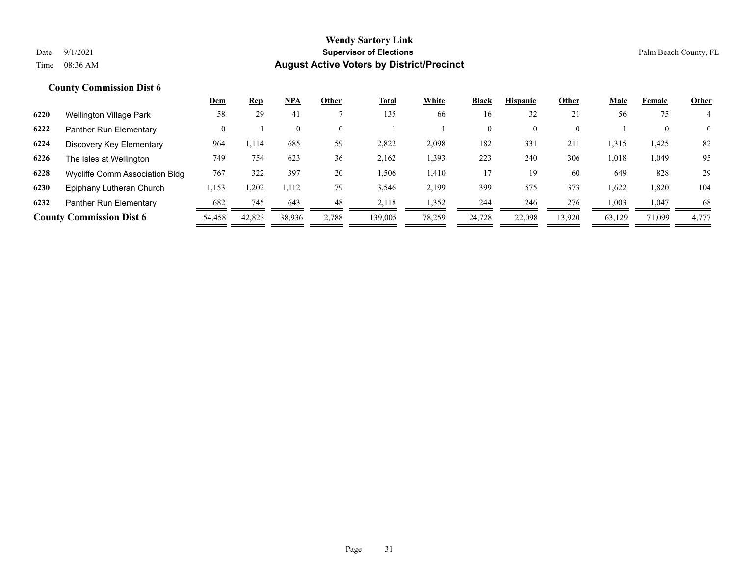|      |                                 | Dem    | <b>Rep</b> | <b>NPA</b> | Other    | <b>Total</b> | White  | <b>Black</b>   | <b>Hispanic</b> | Other    | <b>Male</b> | Female | <b>Other</b>   |
|------|---------------------------------|--------|------------|------------|----------|--------------|--------|----------------|-----------------|----------|-------------|--------|----------------|
| 6220 | Wellington Village Park         | 58     | 29         | -41        |          | 135          | 66     | 16             | 32              | 21       | 56          | 75     |                |
| 6222 | Panther Run Elementary          |        |            | $\theta$   | $\theta$ |              |        | $\overline{0}$ | $\overline{0}$  | $\Omega$ |             |        | $\overline{0}$ |
| 6224 | Discovery Key Elementary        | 964    | 1,114      | 685        | 59       | 2,822        | 2,098  | 182            | 331             | 211      | 1,315       | 1,425  | 82             |
| 6226 | The Isles at Wellington         | 749    | 754        | 623        | 36       | 2.162        | 1,393  | 223            | 240             | 306      | 1,018       | 1,049  | 95             |
| 6228 | Wycliffe Comm Association Bldg  | 767    | 322        | 397        | 20       | 1,506        | 1,410  | 17             | 19              | 60       | 649         | 828    | 29             |
| 6230 | Epiphany Lutheran Church        | 1,153  | 1,202      | 1,112      | 79       | 3,546        | 2,199  | 399            | 575             | 373      | 1,622       | 1,820  | 104            |
| 6232 | Panther Run Elementary          | 682    | 745        | 643        | 48       | 2.118        | 1,352  | 244            | 246             | 276      | 1,003       | 1,047  | 68             |
|      | <b>County Commission Dist 6</b> | 54,458 | 42,823     | 38,936     | 2,788    | 139,005      | 78,259 | 24,728         | 22,098          | 13,920   | 63,129      | 71,099 | 4,777          |
|      |                                 |        |            |            |          |              |        |                |                 |          |             |        |                |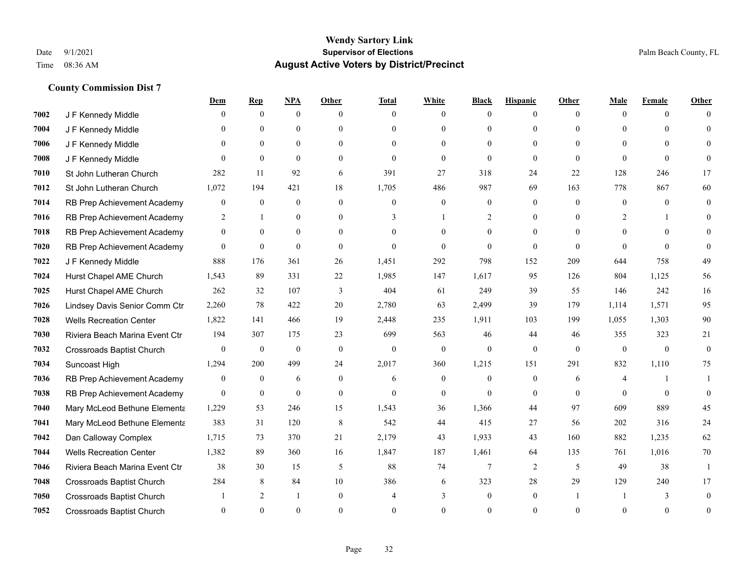|      |                                  | <u>Dem</u>       | <b>Rep</b>       | NPA            | <b>Other</b>     | <b>Total</b> | <b>White</b>     | <b>Black</b>     | <b>Hispanic</b> | <b>Other</b> | <b>Male</b>  | <b>Female</b> | <b>Other</b> |
|------|----------------------------------|------------------|------------------|----------------|------------------|--------------|------------------|------------------|-----------------|--------------|--------------|---------------|--------------|
| 7002 | J F Kennedy Middle               | 0                | $\overline{0}$   | $\overline{0}$ | $\Omega$         | $\theta$     | $\mathbf{0}$     | $\theta$         | $\overline{0}$  | $\theta$     | $\theta$     | $\theta$      | $\Omega$     |
| 7004 | J F Kennedy Middle               | 0                | $\theta$         | $\theta$       | $\theta$         | $\Omega$     | $\theta$         | $\theta$         | $\theta$        | $\Omega$     | $\theta$     | $\Omega$      | $\Omega$     |
| 7006 | J F Kennedy Middle               | $\theta$         | $\theta$         | $\overline{0}$ | $\theta$         | $\Omega$     | $\mathbf{0}$     | $\theta$         | $\theta$        | $\theta$     | $\Omega$     | $\Omega$      | $\Omega$     |
| 7008 | J F Kennedy Middle               | $\theta$         | $\theta$         | $\mathbf{0}$   | $\overline{0}$   | $\mathbf{0}$ | $\mathbf{0}$     | $\mathbf{0}$     | $\mathbf{0}$    | $\mathbf{0}$ | $\theta$     | $\theta$      | $\Omega$     |
| 7010 | St John Lutheran Church          | 282              | 11               | 92             | 6                | 391          | 27               | 318              | 24              | 22           | 128          | 246           | 17           |
| 7012 | St John Lutheran Church          | 1,072            | 194              | 421            | 18               | 1,705        | 486              | 987              | 69              | 163          | 778          | 867           | 60           |
| 7014 | RB Prep Achievement Academy      | 0                | $\overline{0}$   | $\mathbf{0}$   | $\mathbf{0}$     | $\mathbf{0}$ | $\mathbf{0}$     | $\boldsymbol{0}$ | $\mathbf{0}$    | $\theta$     | $\mathbf{0}$ | $\theta$      | $\mathbf{0}$ |
| 7016 | RB Prep Achievement Academy      | 2                | $\overline{1}$   | $\theta$       | $\theta$         | 3            | $\mathbf{1}$     | 2                | $\theta$        | $\Omega$     | 2            | 1             | $\Omega$     |
| 7018 | RB Prep Achievement Academy      | $\overline{0}$   | $\theta$         | $\overline{0}$ | $\theta$         | $\Omega$     | $\theta$         | $\mathbf{0}$     | $\theta$        | $\theta$     | $\Omega$     | $\Omega$      | $\Omega$     |
| 7020 | RB Prep Achievement Academy      | $\overline{0}$   | $\overline{0}$   | $\mathbf{0}$   | $\overline{0}$   | $\theta$     | $\mathbf{0}$     | $\theta$         | $\theta$        | $\Omega$     | $\theta$     | $\theta$      | $\theta$     |
| 7022 | J F Kennedy Middle               | 888              | 176              | 361            | 26               | 1,451        | 292              | 798              | 152             | 209          | 644          | 758           | 49           |
| 7024 | Hurst Chapel AME Church          | 1,543            | 89               | 331            | 22               | 1,985        | 147              | 1,617            | 95              | 126          | 804          | 1,125         | 56           |
| 7025 | Hurst Chapel AME Church          | 262              | 32               | 107            | 3                | 404          | 61               | 249              | 39              | 55           | 146          | 242           | 16           |
| 7026 | Lindsey Davis Senior Comm Ctr    | 2,260            | 78               | 422            | 20               | 2,780        | 63               | 2,499            | 39              | 179          | 1,114        | 1,571         | 95           |
| 7028 | <b>Wells Recreation Center</b>   | 1,822            | 141              | 466            | 19               | 2,448        | 235              | 1,911            | 103             | 199          | 1,055        | 1,303         | 90           |
| 7030 | Riviera Beach Marina Event Ctr   | 194              | 307              | 175            | 23               | 699          | 563              | 46               | 44              | 46           | 355          | 323           | 21           |
| 7032 | Crossroads Baptist Church        | $\overline{0}$   | $\mathbf{0}$     | $\mathbf{0}$   | $\mathbf{0}$     | $\mathbf{0}$ | $\theta$         | $\mathbf{0}$     | $\mathbf{0}$    | $\mathbf{0}$ | $\mathbf{0}$ | $\mathbf{0}$  | $\mathbf{0}$ |
| 7034 | Suncoast High                    | 1,294            | 200              | 499            | 24               | 2,017        | 360              | 1,215            | 151             | 291          | 832          | 1,110         | 75           |
| 7036 | RB Prep Achievement Academy      | $\boldsymbol{0}$ | $\boldsymbol{0}$ | 6              | $\boldsymbol{0}$ | 6            | $\boldsymbol{0}$ | $\boldsymbol{0}$ | $\mathbf{0}$    | 6            | 4            |               |              |
| 7038 | RB Prep Achievement Academy      | $\overline{0}$   | $\mathbf{0}$     | $\mathbf{0}$   | $\overline{0}$   | $\theta$     | $\overline{0}$   | $\theta$         | $\theta$        | $\theta$     | $\theta$     | $\theta$      | $\theta$     |
| 7040 | Mary McLeod Bethune Elementa     | 1,229            | 53               | 246            | 15               | 1,543        | 36               | 1,366            | 44              | 97           | 609          | 889           | 45           |
| 7041 | Mary McLeod Bethune Elementa     | 383              | 31               | 120            | 8                | 542          | 44               | 415              | 27              | 56           | 202          | 316           | 24           |
| 7042 | Dan Calloway Complex             | 1,715            | 73               | 370            | 21               | 2,179        | 43               | 1,933            | 43              | 160          | 882          | 1,235         | 62           |
| 7044 | <b>Wells Recreation Center</b>   | 1,382            | 89               | 360            | 16               | 1,847        | 187              | 1,461            | 64              | 135          | 761          | 1,016         | 70           |
| 7046 | Riviera Beach Marina Event Ctr   | 38               | 30               | 15             | 5                | 88           | 74               | $\tau$           | 2               | 5            | 49           | 38            | $\mathbf{1}$ |
| 7048 | Crossroads Baptist Church        | 284              | 8                | 84             | 10               | 386          | 6                | 323              | 28              | 29           | 129          | 240           | 17           |
| 7050 | Crossroads Baptist Church        |                  | 2                | -1             | $\overline{0}$   |              | 3                | $\mathbf{0}$     | $\mathbf{0}$    |              |              | 3             | $\theta$     |
| 7052 | <b>Crossroads Baptist Church</b> | 0                | $\theta$         | $\theta$       | $\Omega$         | $\Omega$     | $\Omega$         | $\theta$         | $\Omega$        | $\Omega$     | $\Omega$     | $\theta$      | $\mathbf{0}$ |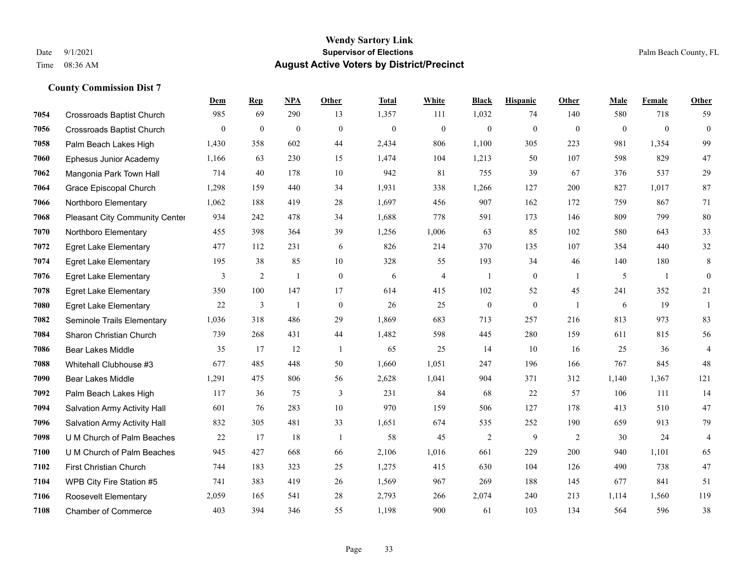|      |                                       | Dem            | <b>Rep</b>     | NPA            | <b>Other</b>     | <b>Total</b> | <b>White</b>   | <b>Black</b>     | <b>Hispanic</b>  | Other        | <b>Male</b>  | Female       | <b>Other</b>   |
|------|---------------------------------------|----------------|----------------|----------------|------------------|--------------|----------------|------------------|------------------|--------------|--------------|--------------|----------------|
| 7054 | <b>Crossroads Baptist Church</b>      | 985            | 69             | 290            | 13               | 1,357        | 111            | 1,032            | 74               | 140          | 580          | 718          | 59             |
| 7056 | <b>Crossroads Baptist Church</b>      | $\overline{0}$ | $\mathbf{0}$   | $\mathbf{0}$   | $\Omega$         | $\mathbf{0}$ | $\overline{0}$ | $\mathbf{0}$     | $\mathbf{0}$     | $\theta$     | $\mathbf{0}$ | $\theta$     | $\mathbf{0}$   |
| 7058 | Palm Beach Lakes High                 | 1,430          | 358            | 602            | 44               | 2,434        | 806            | 1,100            | 305              | 223          | 981          | 1,354        | 99             |
| 7060 | Ephesus Junior Academy                | 1,166          | 63             | 230            | 15               | 1,474        | 104            | 1,213            | 50               | 107          | 598          | 829          | $47\,$         |
| 7062 | Mangonia Park Town Hall               | 714            | 40             | 178            | 10               | 942          | 81             | 755              | 39               | 67           | 376          | 537          | 29             |
| 7064 | Grace Episcopal Church                | 1,298          | 159            | 440            | 34               | 1,931        | 338            | 1,266            | 127              | 200          | 827          | 1,017        | 87             |
| 7066 | Northboro Elementary                  | 1,062          | 188            | 419            | 28               | 1,697        | 456            | 907              | 162              | 172          | 759          | 867          | 71             |
| 7068 | <b>Pleasant City Community Center</b> | 934            | 242            | 478            | 34               | 1,688        | 778            | 591              | 173              | 146          | 809          | 799          | 80             |
| 7070 | Northboro Elementary                  | 455            | 398            | 364            | 39               | 1,256        | 1,006          | 63               | 85               | 102          | 580          | 643          | 33             |
| 7072 | <b>Egret Lake Elementary</b>          | 477            | 112            | 231            | 6                | 826          | 214            | 370              | 135              | 107          | 354          | 440          | $32\,$         |
| 7074 | <b>Egret Lake Elementary</b>          | 195            | 38             | 85             | 10               | 328          | 55             | 193              | 34               | 46           | 140          | 180          | 8              |
| 7076 | <b>Egret Lake Elementary</b>          | 3              | $\overline{2}$ | 1              | $\overline{0}$   | 6            | 4              | 1                | $\mathbf{0}$     | -1           | 5            | $\mathbf{1}$ | $\mathbf{0}$   |
| 7078 | <b>Egret Lake Elementary</b>          | 350            | 100            | 147            | 17               | 614          | 415            | 102              | 52               | 45           | 241          | 352          | 21             |
| 7080 | <b>Egret Lake Elementary</b>          | 22             | $\mathfrak{Z}$ | $\overline{1}$ | $\boldsymbol{0}$ | 26           | 25             | $\boldsymbol{0}$ | $\boldsymbol{0}$ | $\mathbf{1}$ | 6            | 19           | $\mathbf{1}$   |
| 7082 | Seminole Trails Elementary            | 1,036          | 318            | 486            | 29               | 1,869        | 683            | 713              | 257              | 216          | 813          | 973          | 83             |
| 7084 | Sharon Christian Church               | 739            | 268            | 431            | 44               | 1,482        | 598            | 445              | 280              | 159          | 611          | 815          | 56             |
| 7086 | <b>Bear Lakes Middle</b>              | 35             | 17             | 12             | $\overline{1}$   | 65           | 25             | 14               | 10               | 16           | 25           | 36           | $\overline{4}$ |
| 7088 | Whitehall Clubhouse #3                | 677            | 485            | 448            | 50               | 1,660        | 1,051          | 247              | 196              | 166          | 767          | 845          | 48             |
| 7090 | <b>Bear Lakes Middle</b>              | 1,291          | 475            | 806            | 56               | 2,628        | 1,041          | 904              | 371              | 312          | 1,140        | 1,367        | 121            |
| 7092 | Palm Beach Lakes High                 | 117            | 36             | 75             | $\mathfrak{Z}$   | 231          | 84             | 68               | 22               | 57           | 106          | 111          | 14             |
| 7094 | Salvation Army Activity Hall          | 601            | 76             | 283            | 10               | 970          | 159            | 506              | 127              | 178          | 413          | 510          | 47             |
| 7096 | Salvation Army Activity Hall          | 832            | 305            | 481            | 33               | 1,651        | 674            | 535              | 252              | 190          | 659          | 913          | 79             |
| 7098 | U M Church of Palm Beaches            | 22             | 17             | 18             | -1               | 58           | 45             | $\overline{c}$   | 9                | 2            | 30           | 24           | $\overline{4}$ |
| 7100 | U M Church of Palm Beaches            | 945            | 427            | 668            | 66               | 2,106        | 1,016          | 661              | 229              | 200          | 940          | 1,101        | 65             |
| 7102 | First Christian Church                | 744            | 183            | 323            | 25               | 1,275        | 415            | 630              | 104              | 126          | 490          | 738          | 47             |
| 7104 | WPB City Fire Station #5              | 741            | 383            | 419            | 26               | 1,569        | 967            | 269              | 188              | 145          | 677          | 841          | 51             |
| 7106 | <b>Roosevelt Elementary</b>           | 2,059          | 165            | 541            | 28               | 2,793        | 266            | 2,074            | 240              | 213          | 1,114        | 1,560        | 119            |
| 7108 | <b>Chamber of Commerce</b>            | 403            | 394            | 346            | 55               | 1,198        | 900            | 61               | 103              | 134          | 564          | 596          | 38             |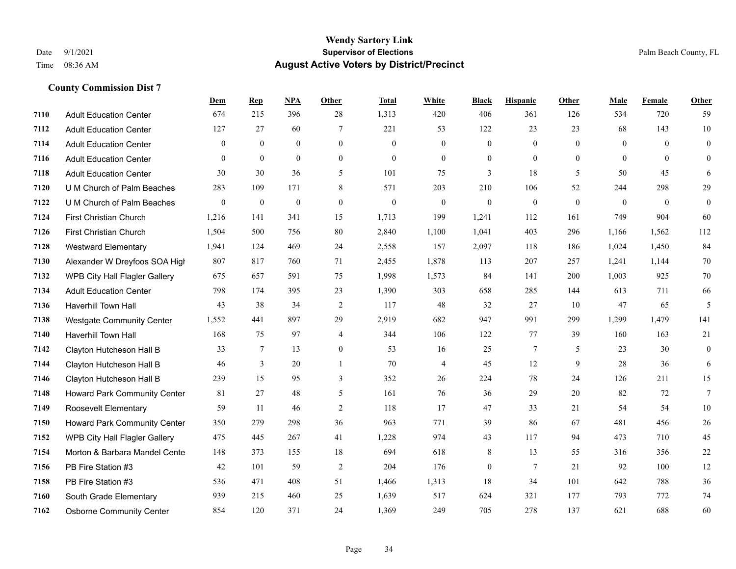|      |                                     | <b>Dem</b>       | <b>Rep</b>       | <u>NPA</u>       | <b>Other</b>     | <b>Total</b>     | <b>White</b>             | <b>Black</b>     | <b>Hispanic</b> | <b>Other</b>   | <b>Male</b>  | Female       | <b>Other</b>     |
|------|-------------------------------------|------------------|------------------|------------------|------------------|------------------|--------------------------|------------------|-----------------|----------------|--------------|--------------|------------------|
| 7110 | <b>Adult Education Center</b>       | 674              | 215              | 396              | 28               | 1,313            | 420                      | 406              | 361             | 126            | 534          | 720          | 59               |
| 7112 | <b>Adult Education Center</b>       | 127              | 27               | 60               | $\overline{7}$   | 221              | 53                       | 122              | 23              | 23             | 68           | 143          | $10\,$           |
| 7114 | <b>Adult Education Center</b>       | $\theta$         | $\mathbf{0}$     | $\theta$         | $\theta$         | $\Omega$         | $\mathbf{0}$             | $\mathbf{0}$     | $\theta$        | $\Omega$       | $\theta$     | $\Omega$     | $\overline{0}$   |
| 7116 | <b>Adult Education Center</b>       | $\overline{0}$   | $\mathbf{0}$     | $\mathbf{0}$     | $\mathbf{0}$     | $\theta$         | $\boldsymbol{0}$         | $\mathbf{0}$     | $\mathbf{0}$    | $\overline{0}$ | $\mathbf{0}$ | $\mathbf{0}$ | $\overline{0}$   |
| 7118 | <b>Adult Education Center</b>       | 30               | 30               | 36               | 5                | 101              | 75                       | $\overline{3}$   | 18              | 5              | 50           | 45           | 6                |
| 7120 | U M Church of Palm Beaches          | 283              | 109              | 171              | 8                | 571              | 203                      | 210              | 106             | 52             | 244          | 298          | 29               |
| 7122 | U M Church of Palm Beaches          | $\boldsymbol{0}$ | $\boldsymbol{0}$ | $\boldsymbol{0}$ | $\boldsymbol{0}$ | $\boldsymbol{0}$ | $\boldsymbol{0}$         | $\boldsymbol{0}$ | $\mathbf{0}$    | $\mathbf{0}$   | $\mathbf{0}$ | $\mathbf{0}$ | $\boldsymbol{0}$ |
| 7124 | First Christian Church              | 1,216            | 141              | 341              | 15               | 1,713            | 199                      | 1,241            | 112             | 161            | 749          | 904          | 60               |
| 7126 | <b>First Christian Church</b>       | 1,504            | 500              | 756              | 80               | 2,840            | 1,100                    | 1,041            | 403             | 296            | 1,166        | 1,562        | 112              |
| 7128 | <b>Westward Elementary</b>          | 1,941            | 124              | 469              | 24               | 2,558            | 157                      | 2,097            | 118             | 186            | 1,024        | 1,450        | 84               |
| 7130 | Alexander W Dreyfoos SOA High       | 807              | 817              | 760              | 71               | 2,455            | 1,878                    | 113              | 207             | 257            | 1,241        | 1,144        | 70               |
| 7132 | WPB City Hall Flagler Gallery       | 675              | 657              | 591              | 75               | 1,998            | 1,573                    | 84               | 141             | 200            | 1,003        | 925          | 70               |
| 7134 | <b>Adult Education Center</b>       | 798              | 174              | 395              | 23               | 1,390            | 303                      | 658              | 285             | 144            | 613          | 711          | 66               |
| 7136 | Haverhill Town Hall                 | 43               | 38               | 34               | $\overline{2}$   | 117              | 48                       | 32               | 27              | 10             | 47           | 65           | 5                |
| 7138 | <b>Westgate Community Center</b>    | 1,552            | 441              | 897              | 29               | 2,919            | 682                      | 947              | 991             | 299            | 1,299        | 1,479        | 141              |
| 7140 | Haverhill Town Hall                 | 168              | 75               | 97               | $\overline{4}$   | 344              | 106                      | 122              | 77              | 39             | 160          | 163          | 21               |
| 7142 | Clayton Hutcheson Hall B            | 33               | $\tau$           | 13               | $\mathbf{0}$     | 53               | 16                       | 25               | $\tau$          | 5              | 23           | 30           | $\boldsymbol{0}$ |
| 7144 | Clayton Hutcheson Hall B            | 46               | 3                | 20               | 1                | 70               | $\overline{\mathcal{L}}$ | 45               | 12              | 9              | 28           | 36           | 6                |
| 7146 | Clayton Hutcheson Hall B            | 239              | 15               | 95               | 3                | 352              | 26                       | 224              | 78              | 24             | 126          | 211          | 15               |
| 7148 | Howard Park Community Center        | 81               | 27               | 48               | 5                | 161              | 76                       | 36               | 29              | 20             | 82           | 72           | $\overline{7}$   |
| 7149 | <b>Roosevelt Elementary</b>         | 59               | 11               | 46               | 2                | 118              | 17                       | 47               | 33              | 21             | 54           | 54           | $10\,$           |
| 7150 | <b>Howard Park Community Center</b> | 350              | 279              | 298              | 36               | 963              | 771                      | 39               | 86              | 67             | 481          | 456          | 26               |
| 7152 | WPB City Hall Flagler Gallery       | 475              | 445              | 267              | 41               | 1,228            | 974                      | 43               | 117             | 94             | 473          | 710          | 45               |
| 7154 | Morton & Barbara Mandel Cente       | 148              | 373              | 155              | 18               | 694              | 618                      | 8                | 13              | 55             | 316          | 356          | 22               |
| 7156 | PB Fire Station #3                  | 42               | 101              | 59               | $\overline{2}$   | 204              | 176                      | $\boldsymbol{0}$ | $\overline{7}$  | 21             | 92           | 100          | 12               |
| 7158 | PB Fire Station #3                  | 536              | 471              | 408              | 51               | 1,466            | 1,313                    | 18               | 34              | 101            | 642          | 788          | 36               |
| 7160 | South Grade Elementary              | 939              | 215              | 460              | 25               | 1,639            | 517                      | 624              | 321             | 177            | 793          | 772          | 74               |
| 7162 | <b>Osborne Community Center</b>     | 854              | 120              | 371              | 24               | 1,369            | 249                      | 705              | 278             | 137            | 621          | 688          | 60               |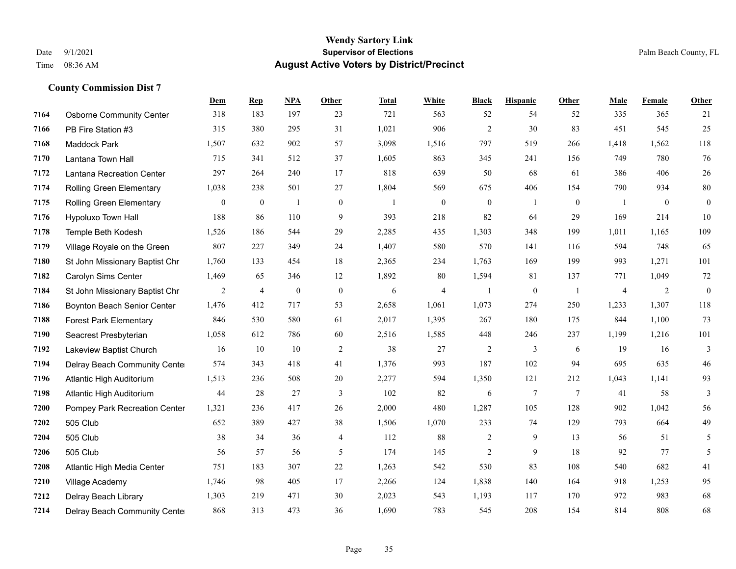|      |                                 | <b>Dem</b>   | <b>Rep</b>       | NPA              | Other            | <b>Total</b> | <b>White</b>     | <b>Black</b>     | <b>Hispanic</b>  | <b>Other</b>   | <b>Male</b> | Female         | <b>Other</b>     |
|------|---------------------------------|--------------|------------------|------------------|------------------|--------------|------------------|------------------|------------------|----------------|-------------|----------------|------------------|
| 7164 | <b>Osborne Community Center</b> | 318          | 183              | 197              | 23               | 721          | 563              | 52               | 54               | 52             | 335         | 365            | 21               |
| 7166 | PB Fire Station #3              | 315          | 380              | 295              | 31               | 1,021        | 906              | $\overline{2}$   | 30               | 83             | 451         | 545            | 25               |
| 7168 | Maddock Park                    | 1,507        | 632              | 902              | 57               | 3,098        | 1,516            | 797              | 519              | 266            | 1,418       | 1,562          | 118              |
| 7170 | Lantana Town Hall               | 715          | 341              | 512              | 37               | 1,605        | 863              | 345              | 241              | 156            | 749         | 780            | 76               |
| 7172 | Lantana Recreation Center       | 297          | 264              | 240              | 17               | 818          | 639              | 50               | 68               | 61             | 386         | 406            | $26\,$           |
| 7174 | Rolling Green Elementary        | 1,038        | 238              | 501              | 27               | 1,804        | 569              | 675              | 406              | 154            | 790         | 934            | $80\,$           |
| 7175 | Rolling Green Elementary        | $\mathbf{0}$ | $\boldsymbol{0}$ | $\mathbf{1}$     | $\boldsymbol{0}$ | $\mathbf{1}$ | $\boldsymbol{0}$ | $\boldsymbol{0}$ | $\mathbf{1}$     | $\mathbf{0}$   | -1          | $\mathbf{0}$   | $\bf{0}$         |
| 7176 | <b>Hypoluxo Town Hall</b>       | 188          | 86               | 110              | 9                | 393          | 218              | 82               | 64               | 29             | 169         | 214            | 10               |
| 7178 | Temple Beth Kodesh              | 1,526        | 186              | 544              | 29               | 2,285        | 435              | 1,303            | 348              | 199            | 1,011       | 1,165          | 109              |
| 7179 | Village Royale on the Green     | 807          | 227              | 349              | 24               | 1,407        | 580              | 570              | 141              | 116            | 594         | 748            | 65               |
| 7180 | St John Missionary Baptist Chr  | 1,760        | 133              | 454              | 18               | 2,365        | 234              | 1,763            | 169              | 199            | 993         | 1,271          | 101              |
| 7182 | Carolyn Sims Center             | 1,469        | 65               | 346              | 12               | 1,892        | 80               | 1,594            | 81               | 137            | 771         | 1,049          | 72               |
| 7184 | St John Missionary Baptist Chr  | 2            | $\overline{4}$   | $\boldsymbol{0}$ | $\boldsymbol{0}$ | 6            | 4                |                  | $\boldsymbol{0}$ | - 1            | 4           | $\overline{2}$ | $\boldsymbol{0}$ |
| 7186 | Boynton Beach Senior Center     | 1,476        | 412              | 717              | 53               | 2,658        | 1,061            | 1,073            | 274              | 250            | 1,233       | 1,307          | 118              |
| 7188 | <b>Forest Park Elementary</b>   | 846          | 530              | 580              | 61               | 2,017        | 1,395            | 267              | 180              | 175            | 844         | 1,100          | 73               |
| 7190 | Seacrest Presbyterian           | 1,058        | 612              | 786              | 60               | 2,516        | 1,585            | 448              | 246              | 237            | 1,199       | 1,216          | 101              |
| 7192 | Lakeview Baptist Church         | 16           | 10               | 10               | $\overline{2}$   | 38           | 27               | 2                | 3                | 6              | 19          | 16             | 3                |
| 7194 | Delray Beach Community Cente    | 574          | 343              | 418              | 41               | 1,376        | 993              | 187              | 102              | 94             | 695         | 635            | 46               |
| 7196 | Atlantic High Auditorium        | 1,513        | 236              | 508              | 20               | 2,277        | 594              | 1,350            | 121              | 212            | 1,043       | 1,141          | 93               |
| 7198 | Atlantic High Auditorium        | 44           | 28               | 27               | 3                | 102          | 82               | 6                | $7\phantom{.0}$  | $\overline{7}$ | 41          | 58             | 3                |
| 7200 | Pompey Park Recreation Center   | 1,321        | 236              | 417              | 26               | 2,000        | 480              | 1,287            | 105              | 128            | 902         | 1,042          | 56               |
| 7202 | 505 Club                        | 652          | 389              | 427              | 38               | 1,506        | 1,070            | 233              | 74               | 129            | 793         | 664            | 49               |
| 7204 | 505 Club                        | 38           | 34               | 36               | $\overline{4}$   | 112          | 88               | 2                | 9                | 13             | 56          | 51             | 5                |
| 7206 | 505 Club                        | 56           | 57               | 56               | 5                | 174          | 145              | $\overline{c}$   | 9                | 18             | 92          | 77             | 5                |
| 7208 | Atlantic High Media Center      | 751          | 183              | 307              | 22               | 1,263        | 542              | 530              | 83               | 108            | 540         | 682            | 41               |
| 7210 | Village Academy                 | 1,746        | 98               | 405              | 17               | 2,266        | 124              | 1,838            | 140              | 164            | 918         | 1,253          | 95               |
| 7212 | Delray Beach Library            | 1,303        | 219              | 471              | 30               | 2,023        | 543              | 1,193            | 117              | 170            | 972         | 983            | 68               |
| 7214 | Delray Beach Community Cente    | 868          | 313              | 473              | 36               | 1,690        | 783              | 545              | 208              | 154            | 814         | 808            | 68               |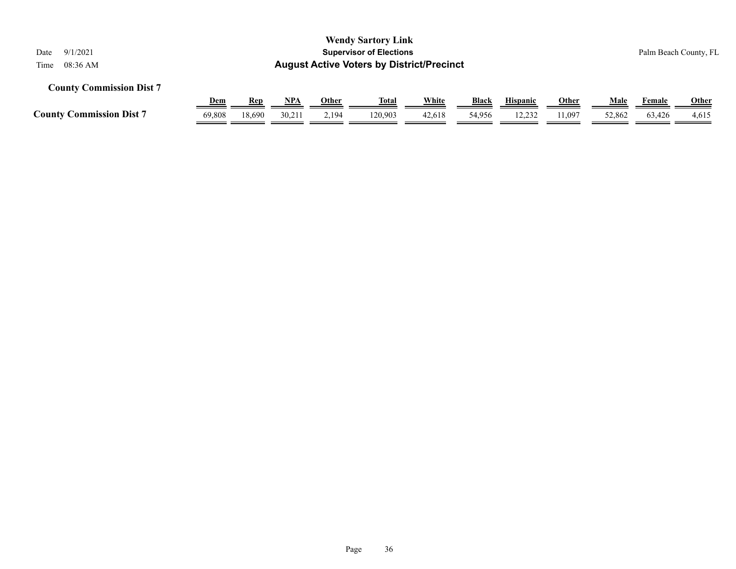| <b>August Active Voters by District/Precinct</b>                                                                                                                                                                                                                        |                       |
|-------------------------------------------------------------------------------------------------------------------------------------------------------------------------------------------------------------------------------------------------------------------------|-----------------------|
| <b>County Commission Dist 7</b><br><b>Hispanic</b><br>Male<br>Female                                                                                                                                                                                                    |                       |
| <b>White</b><br><u>Dem</u><br><u>NPA</u><br><b>Black</b><br><b>Other</b><br><b>Other</b><br><b>Rep</b><br><u>Total</u><br><b>County Commission Dist 7</b><br>18.690<br>69.808<br>30.211<br>2,194<br>120.903<br>12.232<br>11,097<br>42.618<br>54,956<br>52,862<br>63.426 | <b>Other</b><br>4,615 |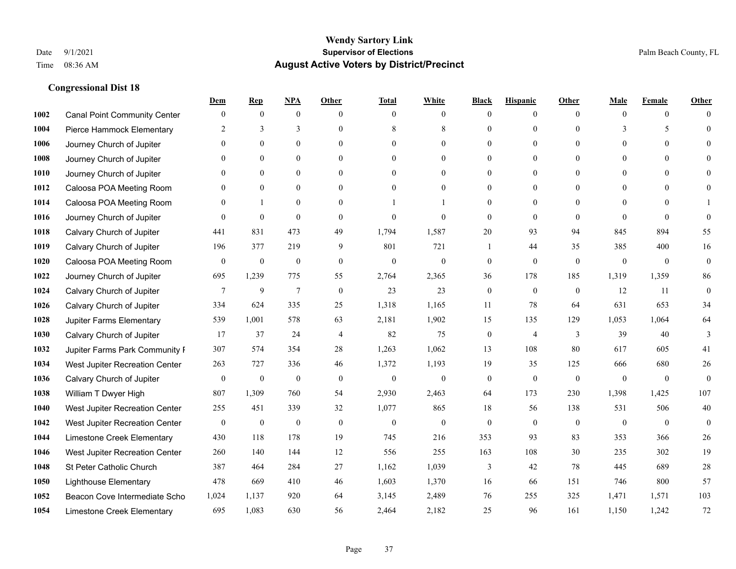|      |                                     | Dem              | <b>Rep</b>       | NPA              | <b>Other</b>     | <b>Total</b>     | <b>White</b>     | <b>Black</b>     | <b>Hispanic</b>  | <b>Other</b> | <b>Male</b>    | <b>Female</b>  | <b>Other</b>     |
|------|-------------------------------------|------------------|------------------|------------------|------------------|------------------|------------------|------------------|------------------|--------------|----------------|----------------|------------------|
| 1002 | <b>Canal Point Community Center</b> | $\overline{0}$   | $\mathbf{0}$     | $\mathbf{0}$     | $\Omega$         | $\theta$         | $\overline{0}$   | $\mathbf{0}$     | $\boldsymbol{0}$ | $\Omega$     | $\theta$       | $\overline{0}$ | $\Omega$         |
| 1004 | Pierce Hammock Elementary           | 2                | 3                | 3                | $\theta$         | 8                | 8                | $\theta$         | $\theta$         | $\Omega$     | 3              | 5              | $\theta$         |
| 1006 | Journey Church of Jupiter           | $\Omega$         | $\theta$         | $\theta$         | $\Omega$         | $\Omega$         | $\Omega$         | $\Omega$         | $\theta$         | $\Omega$     | $\Omega$       | $\Omega$       | $\Omega$         |
| 1008 | Journey Church of Jupiter           | $\overline{0}$   | $\mathbf{0}$     | $\boldsymbol{0}$ | $\overline{0}$   | $\mathbf{0}$     | $\overline{0}$   | $\mathbf{0}$     | $\mathbf{0}$     | $\mathbf{0}$ | $\overline{0}$ | $\mathbf{0}$   | $\theta$         |
| 1010 | Journey Church of Jupiter           | $\theta$         | $\theta$         | $\mathbf{0}$     | $\theta$         | $\Omega$         | $\overline{0}$   | $\mathbf{0}$     | $\mathbf{0}$     | $\theta$     | $\theta$       | $\theta$       | $\theta$         |
| 1012 | Caloosa POA Meeting Room            | $\overline{0}$   | $\mathbf{0}$     | $\mathbf{0}$     | $\theta$         | $\Omega$         | $\overline{0}$   | $\Omega$         | $\mathbf{0}$     | $\Omega$     | $\theta$       | $\Omega$       | $\theta$         |
| 1014 | Caloosa POA Meeting Room            | $\mathbf{0}$     | $\mathbf{1}$     | $\mathbf{0}$     | $\overline{0}$   |                  |                  | $\boldsymbol{0}$ | $\mathbf{0}$     | $\Omega$     | $\mathbf{0}$   | $\theta$       |                  |
| 1016 | Journey Church of Jupiter           | $\theta$         | $\mathbf{0}$     | $\mathbf{0}$     | $\Omega$         | $\theta$         | $\Omega$         | $\mathbf{0}$     | $\theta$         | $\Omega$     | $\Omega$       | $\Omega$       | $\theta$         |
| 1018 | Calvary Church of Jupiter           | 441              | 831              | 473              | 49               | 1,794            | 1,587            | 20               | 93               | 94           | 845            | 894            | 55               |
| 1019 | Calvary Church of Jupiter           | 196              | 377              | 219              | 9                | 801              | 721              |                  | 44               | 35           | 385            | 400            | 16               |
| 1020 | Caloosa POA Meeting Room            | $\overline{0}$   | $\boldsymbol{0}$ | $\boldsymbol{0}$ | $\overline{0}$   | $\mathbf{0}$     | $\boldsymbol{0}$ | $\boldsymbol{0}$ | $\mathbf{0}$     | $\theta$     | $\mathbf{0}$   | $\overline{0}$ | $\boldsymbol{0}$ |
| 1022 | Journey Church of Jupiter           | 695              | 1,239            | 775              | 55               | 2,764            | 2,365            | 36               | 178              | 185          | 1,319          | 1,359          | 86               |
| 1024 | Calvary Church of Jupiter           | $\tau$           | 9                | $\overline{7}$   | $\mathbf{0}$     | 23               | 23               | $\boldsymbol{0}$ | $\mathbf{0}$     | $\theta$     | 12             | 11             | $\boldsymbol{0}$ |
| 1026 | Calvary Church of Jupiter           | 334              | 624              | 335              | 25               | 1,318            | 1,165            | 11               | 78               | 64           | 631            | 653            | 34               |
| 1028 | Jupiter Farms Elementary            | 539              | 1,001            | 578              | 63               | 2,181            | 1,902            | 15               | 135              | 129          | 1,053          | 1,064          | 64               |
| 1030 | Calvary Church of Jupiter           | 17               | 37               | 24               | $\overline{4}$   | 82               | 75               | $\boldsymbol{0}$ | $\overline{4}$   | 3            | 39             | 40             | 3                |
| 1032 | Jupiter Farms Park Community F      | 307              | 574              | 354              | 28               | 1,263            | 1,062            | 13               | 108              | 80           | 617            | 605            | 41               |
| 1034 | West Jupiter Recreation Center      | 263              | 727              | 336              | 46               | 1,372            | 1,193            | 19               | 35               | 125          | 666            | 680            | $26\,$           |
| 1036 | Calvary Church of Jupiter           | $\boldsymbol{0}$ | $\boldsymbol{0}$ | $\boldsymbol{0}$ | $\mathbf{0}$     | $\mathbf{0}$     | $\boldsymbol{0}$ | $\boldsymbol{0}$ | $\theta$         | $\mathbf{0}$ | $\mathbf{0}$   | $\mathbf{0}$   | $\mathbf{0}$     |
| 1038 | William T Dwyer High                | 807              | 1,309            | 760              | 54               | 2,930            | 2,463            | 64               | 173              | 230          | 1,398          | 1,425          | 107              |
| 1040 | West Jupiter Recreation Center      | 255              | 451              | 339              | 32               | 1,077            | 865              | 18               | 56               | 138          | 531            | 506            | 40               |
| 1042 | West Jupiter Recreation Center      | $\bf{0}$         | $\boldsymbol{0}$ | $\boldsymbol{0}$ | $\boldsymbol{0}$ | $\boldsymbol{0}$ | $\boldsymbol{0}$ | $\boldsymbol{0}$ | $\boldsymbol{0}$ | $\mathbf{0}$ | $\mathbf{0}$   | $\overline{0}$ | $\mathbf{0}$     |
| 1044 | Limestone Creek Elementary          | 430              | 118              | 178              | 19               | 745              | 216              | 353              | 93               | 83           | 353            | 366            | 26               |
| 1046 | West Jupiter Recreation Center      | 260              | 140              | 144              | 12               | 556              | 255              | 163              | 108              | 30           | 235            | 302            | 19               |
| 1048 | St Peter Catholic Church            | 387              | 464              | 284              | 27               | 1,162            | 1,039            | 3                | 42               | 78           | 445            | 689            | 28               |
| 1050 | <b>Lighthouse Elementary</b>        | 478              | 669              | 410              | 46               | 1,603            | 1,370            | 16               | 66               | 151          | 746            | 800            | 57               |
| 1052 | Beacon Cove Intermediate Scho       | 1,024            | 1,137            | 920              | 64               | 3,145            | 2,489            | 76               | 255              | 325          | 1,471          | 1,571          | 103              |
| 1054 | Limestone Creek Elementary          | 695              | 1,083            | 630              | 56               | 2,464            | 2,182            | 25               | 96               | 161          | 1,150          | 1,242          | 72               |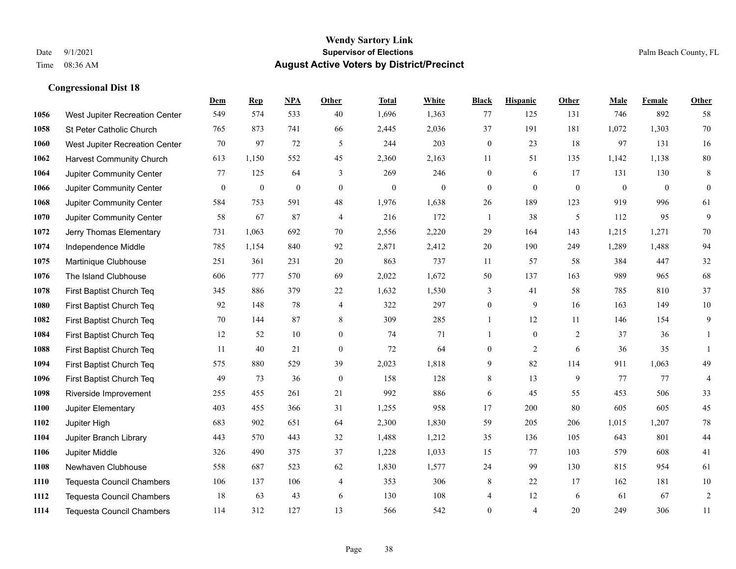|      |                                  | Dem          | <b>Rep</b>       | NPA              | <b>Other</b>     | <b>Total</b>     | <b>White</b> | <b>Black</b>     | <b>Hispanic</b> | <b>Other</b> | <b>Male</b>  | <b>Female</b> | Other            |
|------|----------------------------------|--------------|------------------|------------------|------------------|------------------|--------------|------------------|-----------------|--------------|--------------|---------------|------------------|
| 1056 | West Jupiter Recreation Center   | 549          | 574              | 533              | 40               | 1,696            | 1,363        | 77               | 125             | 131          | 746          | 892           | 58               |
| 1058 | St Peter Catholic Church         | 765          | 873              | 741              | 66               | 2,445            | 2,036        | 37               | 191             | 181          | 1,072        | 1,303         | 70               |
| 1060 | West Jupiter Recreation Center   | 70           | 97               | 72               | 5                | 244              | 203          | $\boldsymbol{0}$ | 23              | 18           | 97           | 131           | 16               |
| 1062 | <b>Harvest Community Church</b>  | 613          | 1,150            | 552              | 45               | 2,360            | 2,163        | 11               | 51              | 135          | 1,142        | 1,138         | $80\,$           |
| 1064 | Jupiter Community Center         | 77           | 125              | 64               | 3                | 269              | 246          | $\mathbf{0}$     | 6               | 17           | 131          | 130           | $\,8\,$          |
| 1066 | Jupiter Community Center         | $\mathbf{0}$ | $\boldsymbol{0}$ | $\boldsymbol{0}$ | $\mathbf{0}$     | $\boldsymbol{0}$ | $\mathbf{0}$ | $\boldsymbol{0}$ | $\mathbf{0}$    | $\mathbf{0}$ | $\mathbf{0}$ | $\mathbf{0}$  | $\boldsymbol{0}$ |
| 1068 | Jupiter Community Center         | 584          | 753              | 591              | 48               | 1,976            | 1,638        | 26               | 189             | 123          | 919          | 996           | 61               |
| 1070 | Jupiter Community Center         | 58           | 67               | 87               | $\overline{4}$   | 216              | 172          | $\mathbf{1}$     | 38              | 5            | 112          | 95            | 9                |
| 1072 | Jerry Thomas Elementary          | 731          | 1,063            | 692              | 70               | 2,556            | 2,220        | 29               | 164             | 143          | 1,215        | 1,271         | 70               |
| 1074 | Independence Middle              | 785          | 1,154            | 840              | 92               | 2,871            | 2,412        | 20               | 190             | 249          | 1,289        | 1,488         | 94               |
| 1075 | Martinique Clubhouse             | 251          | 361              | 231              | 20               | 863              | 737          | 11               | 57              | 58           | 384          | 447           | $32\,$           |
| 1076 | The Island Clubhouse             | 606          | 777              | 570              | 69               | 2,022            | 1,672        | 50               | 137             | 163          | 989          | 965           | 68               |
| 1078 | First Baptist Church Teq         | 345          | 886              | 379              | $22\,$           | 1,632            | 1,530        | 3                | 41              | 58           | 785          | 810           | 37               |
| 1080 | First Baptist Church Teq         | 92           | 148              | 78               | $\overline{4}$   | 322              | 297          | $\boldsymbol{0}$ | 9               | 16           | 163          | 149           | $10\,$           |
| 1082 | First Baptist Church Teq         | 70           | 144              | 87               | 8                | 309              | 285          | 1                | 12              | 11           | 146          | 154           | 9                |
| 1084 | First Baptist Church Teq         | 12           | 52               | 10               | $\overline{0}$   | 74               | 71           | $\mathbf{1}$     | $\mathbf{0}$    | 2            | 37           | 36            | 1                |
| 1088 | First Baptist Church Teq         | 11           | 40               | 21               | $\boldsymbol{0}$ | 72               | 64           | $\boldsymbol{0}$ | $\overline{2}$  | 6            | 36           | 35            | $\mathbf{1}$     |
| 1094 | First Baptist Church Teq         | 575          | 880              | 529              | 39               | 2,023            | 1,818        | 9                | 82              | 114          | 911          | 1,063         | 49               |
| 1096 | First Baptist Church Teq         | 49           | 73               | 36               | $\mathbf{0}$     | 158              | 128          | 8                | 13              | 9            | 77           | 77            | $\overline{4}$   |
| 1098 | Riverside Improvement            | 255          | 455              | 261              | 21               | 992              | 886          | 6                | 45              | 55           | 453          | 506           | 33               |
| 1100 | Jupiter Elementary               | 403          | 455              | 366              | 31               | 1,255            | 958          | 17               | 200             | 80           | 605          | 605           | 45               |
| 1102 | Jupiter High                     | 683          | 902              | 651              | 64               | 2,300            | 1,830        | 59               | 205             | 206          | 1,015        | 1,207         | $78\,$           |
| 1104 | Jupiter Branch Library           | 443          | 570              | 443              | 32               | 1,488            | 1,212        | 35               | 136             | 105          | 643          | 801           | $44\,$           |
| 1106 | Jupiter Middle                   | 326          | 490              | 375              | 37               | 1,228            | 1,033        | 15               | 77              | 103          | 579          | 608           | 41               |
| 1108 | Newhaven Clubhouse               | 558          | 687              | 523              | 62               | 1,830            | 1,577        | 24               | 99              | 130          | 815          | 954           | 61               |
| 1110 | Tequesta Council Chambers        | 106          | 137              | 106              | $\overline{4}$   | 353              | 306          | 8                | 22              | 17           | 162          | 181           | $10\,$           |
| 1112 | <b>Tequesta Council Chambers</b> | 18           | 63               | 43               | 6                | 130              | 108          | 4                | 12              | 6            | 61           | 67            | $\boldsymbol{2}$ |
| 1114 | <b>Tequesta Council Chambers</b> | 114          | 312              | 127              | 13               | 566              | 542          | $\mathbf{0}$     | 4               | 20           | 249          | 306           | 11               |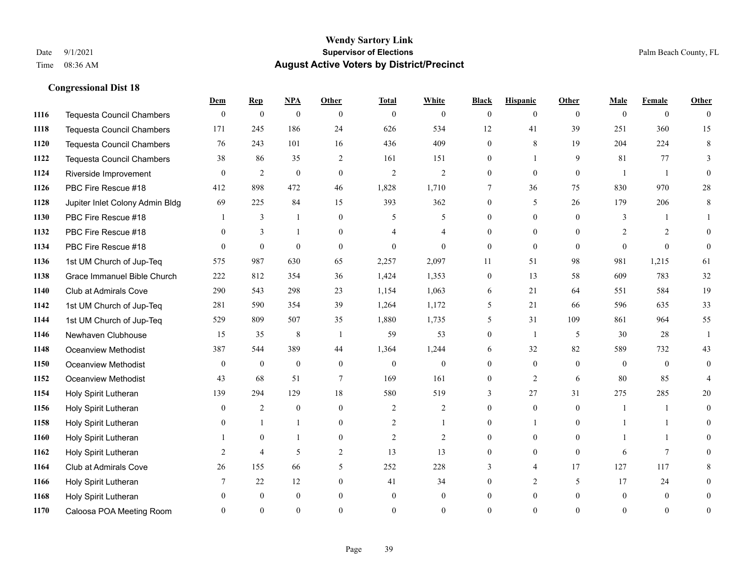|      |                                  | Dem            | <b>Rep</b>     | NPA              | <b>Other</b>   | <b>Total</b> | <b>White</b>   | <b>Black</b>     | <b>Hispanic</b> | <b>Other</b>   | <b>Male</b> | <b>Female</b>  | <b>Other</b>   |
|------|----------------------------------|----------------|----------------|------------------|----------------|--------------|----------------|------------------|-----------------|----------------|-------------|----------------|----------------|
| 1116 | <b>Tequesta Council Chambers</b> | $\overline{0}$ | $\mathbf{0}$   | $\boldsymbol{0}$ | $\mathbf{0}$   | $\theta$     | $\mathbf{0}$   | $\mathbf{0}$     | $\mathbf{0}$    | $\theta$       | $\theta$    | $\overline{0}$ | $\theta$       |
| 1118 | <b>Tequesta Council Chambers</b> | 171            | 245            | 186              | 24             | 626          | 534            | 12               | 41              | 39             | 251         | 360            | 15             |
| 1120 | <b>Tequesta Council Chambers</b> | 76             | 243            | 101              | 16             | 436          | 409            | $\theta$         | 8               | 19             | 204         | 224            | 8              |
| 1122 | Tequesta Council Chambers        | 38             | 86             | 35               | $\overline{c}$ | 161          | 151            | $\boldsymbol{0}$ | $\mathbf{1}$    | 9              | 81          | 77             | 3              |
| 1124 | Riverside Improvement            | $\Omega$       | 2              | $\mathbf{0}$     | $\overline{0}$ | 2            | $\overline{2}$ | $\overline{0}$   | $\overline{0}$  | $\theta$       |             | $\overline{1}$ | $\theta$       |
| 1126 | PBC Fire Rescue #18              | 412            | 898            | 472              | 46             | 1,828        | 1,710          | 7                | 36              | 75             | 830         | 970            | 28             |
| 1128 | Jupiter Inlet Colony Admin Bldg  | 69             | 225            | 84               | 15             | 393          | 362            | $\overline{0}$   | 5               | 26             | 179         | 206            | $\,8\,$        |
| 1130 | PBC Fire Rescue #18              |                | 3              | $\mathbf{1}$     | $\Omega$       | 5            | 5              | $\Omega$         | $\Omega$        | $\theta$       | 3           | $\mathbf{1}$   |                |
| 1132 | PBC Fire Rescue #18              | $\theta$       | 3              | $\mathbf{1}$     | $\overline{0}$ |              | 4              | $\mathbf{0}$     | $\mathbf{0}$    | $\theta$       | 2           | 2              | $\Omega$       |
| 1134 | PBC Fire Rescue #18              | $\theta$       | $\overline{0}$ | $\mathbf{0}$     | $\theta$       | $\theta$     | $\Omega$       | $\overline{0}$   | $\theta$        | $\theta$       | $\Omega$    | $\theta$       | $\theta$       |
| 1136 | 1st UM Church of Jup-Teq         | 575            | 987            | 630              | 65             | 2,257        | 2,097          | 11               | 51              | 98             | 981         | 1,215          | 61             |
| 1138 | Grace Immanuel Bible Church      | 222            | 812            | 354              | 36             | 1,424        | 1,353          | $\mathbf{0}$     | 13              | 58             | 609         | 783            | 32             |
| 1140 | Club at Admirals Cove            | 290            | 543            | 298              | 23             | 1,154        | 1,063          | 6                | 21              | 64             | 551         | 584            | 19             |
| 1142 | 1st UM Church of Jup-Teq         | 281            | 590            | 354              | 39             | 1,264        | 1,172          | 5                | 21              | 66             | 596         | 635            | 33             |
| 1144 | 1st UM Church of Jup-Teq         | 529            | 809            | 507              | 35             | 1,880        | 1,735          | 5                | 31              | 109            | 861         | 964            | 55             |
| 1146 | Newhaven Clubhouse               | 15             | 35             | $\,8\,$          | $\overline{1}$ | 59           | 53             | $\mathbf{0}$     | $\mathbf{1}$    | 5              | 30          | 28             | -1             |
| 1148 | <b>Oceanview Methodist</b>       | 387            | 544            | 389              | 44             | 1,364        | 1,244          | 6                | 32              | 82             | 589         | 732            | 43             |
| 1150 | <b>Oceanview Methodist</b>       | $\overline{0}$ | $\mathbf{0}$   | $\mathbf{0}$     | $\overline{0}$ | $\mathbf{0}$ | $\mathbf{0}$   | $\overline{0}$   | $\overline{0}$  | $\theta$       | $\theta$    | $\theta$       | $\overline{0}$ |
| 1152 | <b>Oceanview Methodist</b>       | 43             | 68             | 51               | $\tau$         | 169          | 161            | $\mathbf{0}$     | 2               | 6              | 80          | 85             |                |
| 1154 | Holy Spirit Lutheran             | 139            | 294            | 129              | 18             | 580          | 519            | 3                | 27              | 31             | 275         | 285            | 20             |
| 1156 | Holy Spirit Lutheran             | $\theta$       | 2              | $\mathbf{0}$     | $\Omega$       | 2            | $\overline{2}$ | $\theta$         | $\theta$        | $\Omega$       |             | $\mathbf{1}$   | $\theta$       |
| 1158 | Holy Spirit Lutheran             | 0              | $\mathbf{1}$   | $\mathbf{1}$     | $\overline{0}$ | 2            | $\mathbf{1}$   | $\boldsymbol{0}$ | 1               | $\overline{0}$ |             | $\mathbf{1}$   | $\theta$       |
| 1160 | Holy Spirit Lutheran             |                | $\mathbf{0}$   | $\mathbf{1}$     | $\overline{0}$ | 2            | 2              | $\overline{0}$   | $\overline{0}$  | $\theta$       |             | 1              | 0              |
| 1162 | Holy Spirit Lutheran             | 2              | $\overline{4}$ | 5                | $\overline{2}$ | 13           | 13             | $\mathbf{0}$     | $\mathbf{0}$    | $\theta$       | 6           | $\tau$         | $\Omega$       |
| 1164 | Club at Admirals Cove            | 26             | 155            | 66               | 5              | 252          | 228            | 3                | $\overline{4}$  | 17             | 127         | 117            | 8              |
| 1166 | Holy Spirit Lutheran             | 7              | 22             | 12               | $\overline{0}$ | 41           | 34             | $\Omega$         | $\overline{2}$  | 5              | 17          | 24             | $\theta$       |
| 1168 | Holy Spirit Lutheran             | 0              | $\mathbf{0}$   | $\mathbf{0}$     | $\theta$       | $\theta$     | $\overline{0}$ | $\Omega$         | $\mathbf{0}$    | $\theta$       | $\theta$    | $\mathbf{0}$   | $\theta$       |
| 1170 | Caloosa POA Meeting Room         | $\Omega$       | $\Omega$       | $\Omega$         | $\Omega$       | $\Omega$     | $\Omega$       | $\theta$         | $\Omega$        | $\Omega$       | $\Omega$    | $\theta$       | $\mathbf{0}$   |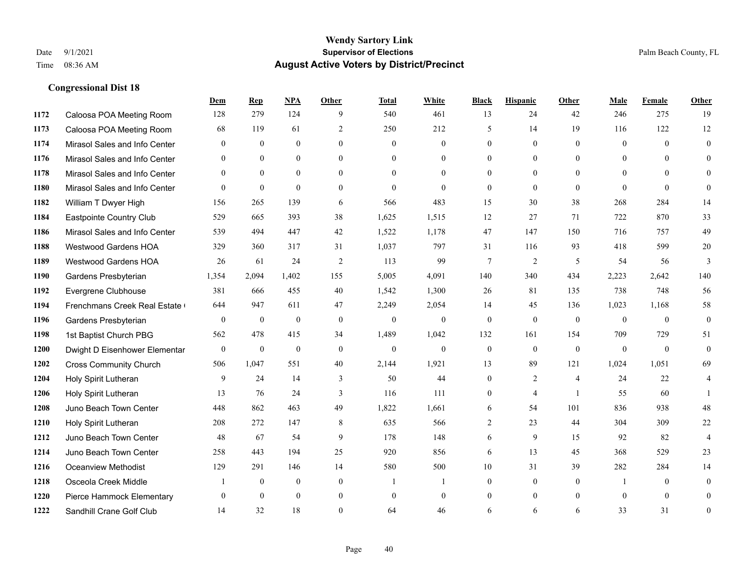|      |                               | Dem          | <b>Rep</b>       | NPA          | <b>Other</b>   | <b>Total</b> | <b>White</b>   | <b>Black</b>     | <b>Hispanic</b> | <b>Other</b>   | <b>Male</b>  | Female       | <b>Other</b>     |
|------|-------------------------------|--------------|------------------|--------------|----------------|--------------|----------------|------------------|-----------------|----------------|--------------|--------------|------------------|
| 1172 | Caloosa POA Meeting Room      | 128          | 279              | 124          | 9              | 540          | 461            | 13               | 24              | 42             | 246          | 275          | 19               |
| 1173 | Caloosa POA Meeting Room      | 68           | 119              | 61           | 2              | 250          | 212            | 5                | 14              | 19             | 116          | 122          | 12               |
| 1174 | Mirasol Sales and Info Center | $\mathbf{0}$ | $\mathbf{0}$     | $\mathbf{0}$ | $\theta$       | $\mathbf{0}$ | $\overline{0}$ | $\mathbf{0}$     | $\mathbf{0}$    | $\theta$       | $\mathbf{0}$ | $\theta$     | $\mathbf{0}$     |
| 1176 | Mirasol Sales and Info Center | $\mathbf{0}$ | $\mathbf{0}$     | $\mathbf{0}$ | $\overline{0}$ | $\mathbf{0}$ | $\overline{0}$ | $\mathbf{0}$     | $\mathbf{0}$    | $\overline{0}$ | $\mathbf{0}$ | $\theta$     | $\theta$         |
| 1178 | Mirasol Sales and Info Center | $\theta$     | $\theta$         | $\theta$     | $\Omega$       | $\Omega$     | $\Omega$       | $\theta$         | $\theta$        | $\Omega$       | $\theta$     | $\Omega$     | $\theta$         |
| 1180 | Mirasol Sales and Info Center | $\mathbf{0}$ | $\boldsymbol{0}$ | $\mathbf{0}$ | $\overline{0}$ | $\mathbf{0}$ | $\mathbf{0}$   | $\mathbf{0}$     | $\mathbf{0}$    | $\theta$       | $\mathbf{0}$ | $\mathbf{0}$ | $\mathbf{0}$     |
| 1182 | William T Dwyer High          | 156          | 265              | 139          | 6              | 566          | 483            | 15               | 30              | 38             | 268          | 284          | 14               |
| 1184 | Eastpointe Country Club       | 529          | 665              | 393          | 38             | 1,625        | 1,515          | 12               | 27              | 71             | 722          | 870          | 33               |
| 1186 | Mirasol Sales and Info Center | 539          | 494              | 447          | 42             | 1,522        | 1,178          | 47               | 147             | 150            | 716          | 757          | 49               |
| 1188 | <b>Westwood Gardens HOA</b>   | 329          | 360              | 317          | 31             | 1,037        | 797            | 31               | 116             | 93             | 418          | 599          | $20\,$           |
| 1189 | <b>Westwood Gardens HOA</b>   | 26           | 61               | 24           | 2              | 113          | 99             | $\tau$           | $\overline{2}$  | 5              | 54           | 56           | 3                |
| 1190 | Gardens Presbyterian          | 1,354        | 2,094            | 1,402        | 155            | 5,005        | 4,091          | 140              | 340             | 434            | 2,223        | 2,642        | 140              |
| 1192 | Evergrene Clubhouse           | 381          | 666              | 455          | 40             | 1,542        | 1,300          | 26               | 81              | 135            | 738          | 748          | 56               |
| 1194 | Frenchmans Creek Real Estate  | 644          | 947              | 611          | 47             | 2,249        | 2,054          | 14               | 45              | 136            | 1,023        | 1,168        | 58               |
| 1196 | Gardens Presbyterian          | $\mathbf{0}$ | $\mathbf{0}$     | $\mathbf{0}$ | $\theta$       | $\mathbf{0}$ | $\mathbf{0}$   | $\mathbf{0}$     | $\mathbf{0}$    | $\theta$       | $\mathbf{0}$ | $\theta$     | $\mathbf{0}$     |
| 1198 | 1st Baptist Church PBG        | 562          | 478              | 415          | 34             | 1,489        | 1,042          | 132              | 161             | 154            | 709          | 729          | 51               |
| 1200 | Dwight D Eisenhower Elementar | $\mathbf{0}$ | $\mathbf{0}$     | $\mathbf{0}$ | $\mathbf{0}$   | $\mathbf{0}$ | $\overline{0}$ | $\boldsymbol{0}$ | $\mathbf{0}$    | $\theta$       | $\mathbf{0}$ | $\theta$     | $\mathbf{0}$     |
| 1202 | <b>Cross Community Church</b> | 506          | 1.047            | 551          | 40             | 2,144        | 1,921          | 13               | 89              | 121            | 1,024        | 1.051        | 69               |
| 1204 | Holy Spirit Lutheran          | 9            | 24               | 14           | 3              | 50           | 44             | $\boldsymbol{0}$ | $\overline{2}$  | $\overline{4}$ | 24           | 22           | 4                |
| 1206 | Holy Spirit Lutheran          | 13           | 76               | 24           | 3              | 116          | 111            | $\mathbf{0}$     | $\overline{4}$  | $\overline{1}$ | 55           | 60           | 1                |
| 1208 | Juno Beach Town Center        | 448          | 862              | 463          | 49             | 1,822        | 1,661          | 6                | 54              | 101            | 836          | 938          | 48               |
| 1210 | Holy Spirit Lutheran          | 208          | 272              | 147          | $\,8\,$        | 635          | 566            | $\overline{c}$   | 23              | 44             | 304          | 309          | $22\,$           |
| 1212 | Juno Beach Town Center        | 48           | 67               | 54           | 9              | 178          | 148            | 6                | 9               | 15             | 92           | 82           | $\overline{4}$   |
| 1214 | Juno Beach Town Center        | 258          | 443              | 194          | 25             | 920          | 856            | 6                | 13              | 45             | 368          | 529          | 23               |
| 1216 | <b>Oceanview Methodist</b>    | 129          | 291              | 146          | 14             | 580          | 500            | 10               | 31              | 39             | 282          | 284          | 14               |
| 1218 | Osceola Creek Middle          |              | $\boldsymbol{0}$ | $\mathbf{0}$ | $\mathbf{0}$   | -1           | 1              | $\mathbf{0}$     | $\mathbf{0}$    | $\theta$       |              | $\theta$     | $\mathbf{0}$     |
| 1220 | Pierce Hammock Elementary     | $\theta$     | $\theta$         | $\mathbf{0}$ | $\mathbf{0}$   | $\mathbf{0}$ | $\overline{0}$ | $\overline{0}$   | $\mathbf{0}$    | $\overline{0}$ | $\theta$     | $\theta$     | $\overline{0}$   |
| 1222 | Sandhill Crane Golf Club      | 14           | 32               | 18           | $\Omega$       | 64           | 46             | 6                | 6               | 6              | 33           | 31           | $\boldsymbol{0}$ |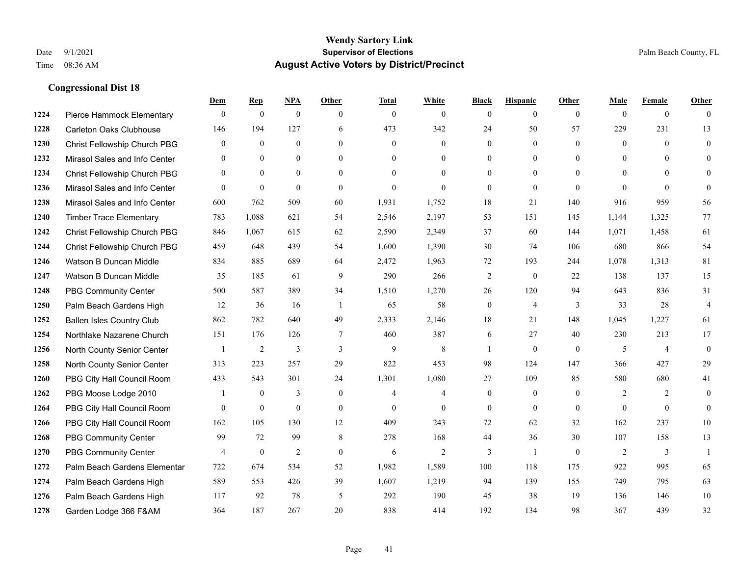|      |                                  | Dem            | <b>Rep</b>     | NPA              | <b>Other</b>   | <b>Total</b>   | <b>White</b>   | <b>Black</b>     | <b>Hispanic</b>  | <b>Other</b>   | <b>Male</b>  | <b>Female</b>  | <b>Other</b>            |
|------|----------------------------------|----------------|----------------|------------------|----------------|----------------|----------------|------------------|------------------|----------------|--------------|----------------|-------------------------|
| 1224 | Pierce Hammock Elementary        | $\mathbf{0}$   | $\theta$       | $\boldsymbol{0}$ | $\theta$       | $\mathbf{0}$   | $\overline{0}$ | $\mathbf{0}$     | $\mathbf{0}$     | $\theta$       | $\theta$     | $\overline{0}$ | $\Omega$                |
| 1228 | Carleton Oaks Clubhouse          | 146            | 194            | 127              | 6              | 473            | 342            | 24               | 50               | 57             | 229          | 231            | 13                      |
| 1230 | Christ Fellowship Church PBG     | $\theta$       | $\theta$       | $\theta$         | $\Omega$       | $\theta$       | $\Omega$       | $\theta$         | $\theta$         | $\Omega$       | $\theta$     | $\Omega$       | $\theta$                |
| 1232 | Mirasol Sales and Info Center    | $\overline{0}$ | $\mathbf{0}$   | $\mathbf{0}$     | $\overline{0}$ | $\mathbf{0}$   | $\overline{0}$ | $\boldsymbol{0}$ | $\boldsymbol{0}$ | $\overline{0}$ | $\mathbf{0}$ | $\mathbf{0}$   | $\Omega$                |
| 1234 | Christ Fellowship Church PBG     | $\theta$       | $\mathbf{0}$   | $\Omega$         | $\theta$       | $\Omega$       | $\overline{0}$ | $\mathbf{0}$     | $\mathbf{0}$     | $\theta$       | $\theta$     | $\Omega$       | $\theta$                |
| 1236 | Mirasol Sales and Info Center    | $\Omega$       | $\mathbf{0}$   | $\mathbf{0}$     | $\Omega$       | $\mathbf{0}$   | $\Omega$       | $\mathbf{0}$     | $\theta$         | $\Omega$       | $\Omega$     | $\theta$       | $\theta$                |
| 1238 | Mirasol Sales and Info Center    | 600            | 762            | 509              | 60             | 1,931          | 1,752          | 18               | 21               | 140            | 916          | 959            | 56                      |
| 1240 | <b>Timber Trace Elementary</b>   | 783            | 1,088          | 621              | 54             | 2,546          | 2,197          | 53               | 151              | 145            | 1,144        | 1,325          | 77                      |
| 1242 | Christ Fellowship Church PBG     | 846            | 1,067          | 615              | 62             | 2,590          | 2,349          | 37               | 60               | 144            | 1,071        | 1,458          | 61                      |
| 1244 | Christ Fellowship Church PBG     | 459            | 648            | 439              | 54             | 1,600          | 1,390          | 30               | 74               | 106            | 680          | 866            | 54                      |
| 1246 | Watson B Duncan Middle           | 834            | 885            | 689              | 64             | 2,472          | 1,963          | 72               | 193              | 244            | 1,078        | 1,313          | 81                      |
| 1247 | Watson B Duncan Middle           | 35             | 185            | 61               | 9              | 290            | 266            | $\overline{c}$   | $\mathbf{0}$     | 22             | 138          | 137            | 15                      |
| 1248 | <b>PBG Community Center</b>      | 500            | 587            | 389              | 34             | 1,510          | 1,270          | 26               | 120              | 94             | 643          | 836            | 31                      |
| 1250 | Palm Beach Gardens High          | 12             | 36             | 16               | -1             | 65             | 58             | $\boldsymbol{0}$ | $\overline{4}$   | 3              | 33           | 28             | $\overline{\mathbf{4}}$ |
| 1252 | <b>Ballen Isles Country Club</b> | 862            | 782            | 640              | 49             | 2,333          | 2,146          | 18               | 21               | 148            | 1,045        | 1,227          | 61                      |
| 1254 | Northlake Nazarene Church        | 151            | 176            | 126              | $\tau$         | 460            | 387            | 6                | 27               | 40             | 230          | 213            | 17                      |
| 1256 | North County Senior Center       |                | $\overline{2}$ | 3                | 3              | 9              | 8              | 1                | $\mathbf{0}$     | $\theta$       | 5            | $\overline{4}$ | $\mathbf{0}$            |
| 1258 | North County Senior Center       | 313            | 223            | 257              | 29             | 822            | 453            | 98               | 124              | 147            | 366          | 427            | 29                      |
| 1260 | PBG City Hall Council Room       | 433            | 543            | 301              | 24             | 1,301          | 1,080          | 27               | 109              | 85             | 580          | 680            | 41                      |
| 1262 | PBG Moose Lodge 2010             |                | $\mathbf{0}$   | 3                | $\mathbf{0}$   | $\overline{4}$ | 4              | $\mathbf{0}$     | $\mathbf{0}$     | $\theta$       | 2            | 2              | $\mathbf{0}$            |
| 1264 | PBG City Hall Council Room       | $\Omega$       | $\mathbf{0}$   | $\theta$         | $\Omega$       | $\Omega$       | $\theta$       | $\mathbf{0}$     | $\theta$         | $\Omega$       | $\Omega$     | $\theta$       | $\theta$                |
| 1266 | PBG City Hall Council Room       | 162            | 105            | 130              | 12             | 409            | 243            | 72               | 62               | 32             | 162          | 237            | 10                      |
| 1268 | <b>PBG Community Center</b>      | 99             | 72             | 99               | 8              | 278            | 168            | 44               | 36               | 30             | 107          | 158            | 13                      |
| 1270 | <b>PBG Community Center</b>      | $\overline{4}$ | $\mathbf{0}$   | 2                | $\theta$       | 6              | $\overline{2}$ | 3                | $\mathbf{1}$     | $\theta$       | 2            | 3              | $\mathbf{1}$            |
| 1272 | Palm Beach Gardens Elementar     | 722            | 674            | 534              | 52             | 1,982          | 1,589          | 100              | 118              | 175            | 922          | 995            | 65                      |
| 1274 | Palm Beach Gardens High          | 589            | 553            | 426              | 39             | 1,607          | 1,219          | 94               | 139              | 155            | 749          | 795            | 63                      |
| 1276 | Palm Beach Gardens High          | 117            | 92             | 78               | 5              | 292            | 190            | 45               | 38               | 19             | 136          | 146            | 10                      |
| 1278 | Garden Lodge 366 F&AM            | 364            | 187            | 267              | 20             | 838            | 414            | 192              | 134              | 98             | 367          | 439            | 32                      |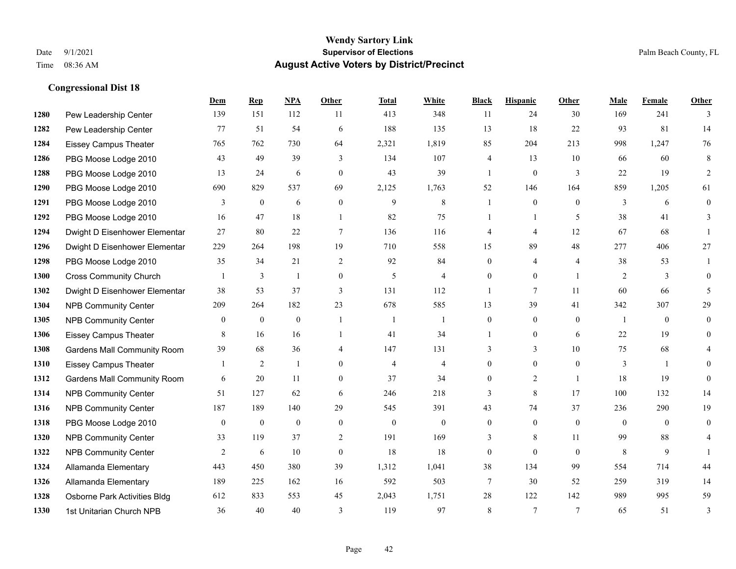|      |                                    | Dem          | <b>Rep</b>     | NPA          | <b>Other</b>     | <b>Total</b>   | <b>White</b>   | <b>Black</b>   | <b>Hispanic</b> | Other                    | <b>Male</b>    | <b>Female</b> | <b>Other</b>   |
|------|------------------------------------|--------------|----------------|--------------|------------------|----------------|----------------|----------------|-----------------|--------------------------|----------------|---------------|----------------|
| 1280 | Pew Leadership Center              | 139          | 151            | 112          | 11               | 413            | 348            | 11             | 24              | 30                       | 169            | 241           | 3              |
| 1282 | Pew Leadership Center              | 77           | 51             | 54           | 6                | 188            | 135            | 13             | 18              | 22                       | 93             | 81            | 14             |
| 1284 | <b>Eissey Campus Theater</b>       | 765          | 762            | 730          | 64               | 2,321          | 1,819          | 85             | 204             | 213                      | 998            | 1,247         | 76             |
| 1286 | PBG Moose Lodge 2010               | 43           | 49             | 39           | 3                | 134            | 107            | 4              | 13              | 10                       | 66             | 60            | 8              |
| 1288 | PBG Moose Lodge 2010               | 13           | 24             | 6            | $\theta$         | 43             | 39             | $\mathbf{1}$   | $\mathbf{0}$    | 3                        | 22             | 19            | $\overline{2}$ |
| 1290 | PBG Moose Lodge 2010               | 690          | 829            | 537          | 69               | 2,125          | 1,763          | 52             | 146             | 164                      | 859            | 1,205         | 61             |
| 1291 | PBG Moose Lodge 2010               | 3            | $\mathbf{0}$   | 6            | $\mathbf{0}$     | 9              | 8              |                | $\mathbf{0}$    | $\theta$                 | 3              | 6             | $\mathbf{0}$   |
| 1292 | PBG Moose Lodge 2010               | 16           | 47             | 18           | $\overline{1}$   | 82             | 75             | 1              | $\mathbf{1}$    | $\overline{\phantom{0}}$ | 38             | 41            | 3              |
| 1294 | Dwight D Eisenhower Elementar      | 27           | 80             | $22\,$       | $\overline{7}$   | 136            | 116            | 4              | 4               | 12                       | 67             | 68            |                |
| 1296 | Dwight D Eisenhower Elementar      | 229          | 264            | 198          | 19               | 710            | 558            | 15             | 89              | 48                       | 277            | 406           | 27             |
| 1298 | PBG Moose Lodge 2010               | 35           | 34             | 21           | 2                | 92             | 84             | $\theta$       | 4               | $\overline{4}$           | 38             | 53            |                |
| 1300 | <b>Cross Community Church</b>      |              | 3              | 1            | $\boldsymbol{0}$ | 5              | 4              | $\overline{0}$ | $\overline{0}$  | $\overline{1}$           | 2              | 3             | $\theta$       |
| 1302 | Dwight D Eisenhower Elementar      | 38           | 53             | 37           | 3                | 131            | 112            | 1              | 7               | 11                       | 60             | 66            | 5              |
| 1304 | <b>NPB Community Center</b>        | 209          | 264            | 182          | 23               | 678            | 585            | 13             | 39              | 41                       | 342            | 307           | 29             |
| 1305 | <b>NPB Community Center</b>        | $\mathbf{0}$ | $\mathbf{0}$   | $\mathbf{0}$ | $\overline{1}$   | -1             | 1              | $\overline{0}$ | $\overline{0}$  | $\theta$                 | $\overline{1}$ | $\theta$      | $\overline{0}$ |
| 1306 | Eissey Campus Theater              | 8            | 16             | 16           | $\overline{1}$   | 41             | 34             |                | $\overline{0}$  | 6                        | 22             | 19            | $\theta$       |
| 1308 | <b>Gardens Mall Community Room</b> | 39           | 68             | 36           | $\overline{4}$   | 147            | 131            | 3              | 3               | 10                       | 75             | 68            | 4              |
| 1310 | <b>Eissey Campus Theater</b>       |              | $\overline{c}$ | 1            | $\theta$         | $\overline{4}$ | $\overline{4}$ | $\overline{0}$ | $\overline{0}$  | $\theta$                 | 3              |               | $\theta$       |
| 1312 | <b>Gardens Mall Community Room</b> | 6            | 20             | 11           | $\overline{0}$   | 37             | 34             | $\overline{0}$ | $\overline{2}$  | $\overline{1}$           | 18             | 19            | $\Omega$       |
| 1314 | <b>NPB Community Center</b>        | 51           | 127            | 62           | 6                | 246            | 218            | 3              | 8               | 17                       | 100            | 132           | 14             |
| 1316 | <b>NPB Community Center</b>        | 187          | 189            | 140          | 29               | 545            | 391            | 43             | 74              | 37                       | 236            | 290           | 19             |
| 1318 | PBG Moose Lodge 2010               | $\mathbf{0}$ | $\mathbf{0}$   | $\mathbf{0}$ | $\mathbf{0}$     | $\mathbf{0}$   | $\overline{0}$ | $\overline{0}$ | $\overline{0}$  | $\theta$                 | $\mathbf{0}$   | $\theta$      | $\theta$       |
| 1320 | <b>NPB Community Center</b>        | 33           | 119            | 37           | 2                | 191            | 169            | 3              | 8               | 11                       | 99             | 88            | 4              |
| 1322 | <b>NPB Community Center</b>        | 2            | 6              | 10           | $\mathbf{0}$     | 18             | 18             | 0              | $\overline{0}$  | $\theta$                 | 8              | 9             |                |
| 1324 | Allamanda Elementary               | 443          | 450            | 380          | 39               | 1,312          | 1,041          | 38             | 134             | 99                       | 554            | 714           | 44             |
| 1326 | Allamanda Elementary               | 189          | 225            | 162          | 16               | 592            | 503            | 7              | 30              | 52                       | 259            | 319           | 14             |
| 1328 | Osborne Park Activities Bldg       | 612          | 833            | 553          | 45               | 2,043          | 1,751          | 28             | 122             | 142                      | 989            | 995           | 59             |
| 1330 | 1st Unitarian Church NPB           | 36           | 40             | 40           | 3                | 119            | 97             | 8              | $\tau$          | $\overline{7}$           | 65             | 51            | 3              |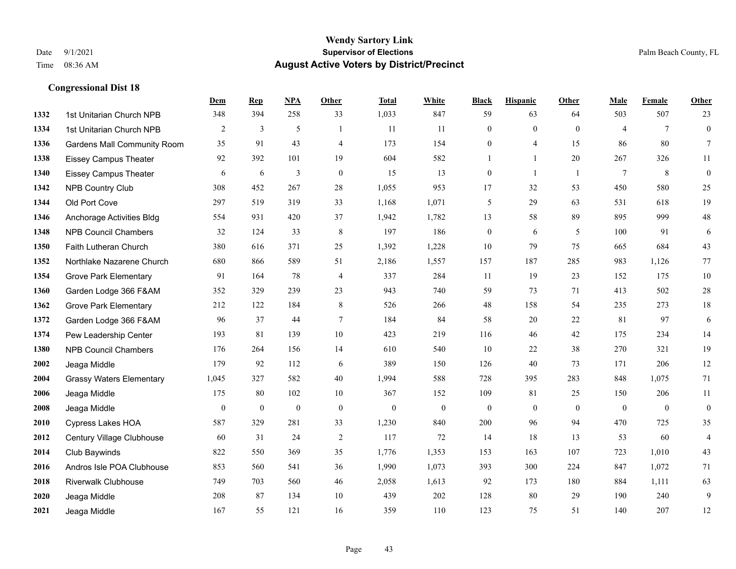|      |                                    | Dem            | <b>Rep</b>       | NPA              | Other          | <b>Total</b> | <b>White</b>     | <b>Black</b>     | <b>Hispanic</b> | <b>Other</b>   | <b>Male</b>     | <b>Female</b>  | <b>Other</b>     |
|------|------------------------------------|----------------|------------------|------------------|----------------|--------------|------------------|------------------|-----------------|----------------|-----------------|----------------|------------------|
| 1332 | 1st Unitarian Church NPB           | 348            | 394              | 258              | 33             | 1,033        | 847              | 59               | 63              | 64             | 503             | 507            | 23               |
| 1334 | 1st Unitarian Church NPB           | 2              | 3                | 5                | $\overline{1}$ | 11           | 11               | $\overline{0}$   | $\mathbf{0}$    | $\theta$       | $\overline{4}$  | $\tau$         | $\mathbf{0}$     |
| 1336 | <b>Gardens Mall Community Room</b> | 35             | 91               | 43               | $\overline{4}$ | 173          | 154              | 0                | 4               | 15             | 86              | 80             | $\tau$           |
| 1338 | <b>Eissey Campus Theater</b>       | 92             | 392              | 101              | 19             | 604          | 582              |                  | $\mathbf{1}$    | 20             | 267             | 326            | 11               |
| 1340 | <b>Eissey Campus Theater</b>       | 6              | 6                | 3                | $\theta$       | 15           | 13               | $\overline{0}$   | $\mathbf{1}$    | $\overline{1}$ | $7\phantom{.0}$ | 8              | $\boldsymbol{0}$ |
| 1342 | <b>NPB Country Club</b>            | 308            | 452              | 267              | $28\,$         | 1,055        | 953              | 17               | 32              | 53             | 450             | 580            | $25\,$           |
| 1344 | Old Port Cove                      | 297            | 519              | 319              | 33             | 1,168        | 1,071            | 5                | 29              | 63             | 531             | 618            | 19               |
| 1346 | Anchorage Activities Bldg          | 554            | 931              | 420              | 37             | 1,942        | 1,782            | 13               | 58              | 89             | 895             | 999            | $48\,$           |
| 1348 | <b>NPB Council Chambers</b>        | 32             | 124              | 33               | $\,8\,$        | 197          | 186              | $\boldsymbol{0}$ | 6               | 5              | 100             | 91             | 6                |
| 1350 | Faith Lutheran Church              | 380            | 616              | 371              | 25             | 1,392        | 1,228            | 10               | 79              | 75             | 665             | 684            | 43               |
| 1352 | Northlake Nazarene Church          | 680            | 866              | 589              | 51             | 2,186        | 1,557            | 157              | 187             | 285            | 983             | 1,126          | 77               |
| 1354 | <b>Grove Park Elementary</b>       | 91             | 164              | 78               | $\overline{4}$ | 337          | 284              | 11               | 19              | 23             | 152             | 175            | $10\,$           |
| 1360 | Garden Lodge 366 F&AM              | 352            | 329              | 239              | 23             | 943          | 740              | 59               | 73              | 71             | 413             | 502            | $28\,$           |
| 1362 | <b>Grove Park Elementary</b>       | 212            | 122              | 184              | $\,8\,$        | 526          | 266              | $48\,$           | 158             | 54             | 235             | 273            | $18\,$           |
| 1372 | Garden Lodge 366 F&AM              | 96             | 37               | 44               | $\tau$         | 184          | 84               | 58               | 20              | 22             | 81              | 97             | 6                |
| 1374 | Pew Leadership Center              | 193            | 81               | 139              | $10\,$         | 423          | 219              | 116              | 46              | 42             | 175             | 234            | 14               |
| 1380 | <b>NPB Council Chambers</b>        | 176            | 264              | 156              | 14             | 610          | 540              | 10               | 22              | 38             | 270             | 321            | 19               |
| 2002 | Jeaga Middle                       | 179            | 92               | 112              | 6              | 389          | 150              | 126              | 40              | 73             | 171             | 206            | 12               |
| 2004 | <b>Grassy Waters Elementary</b>    | 1,045          | 327              | 582              | 40             | 1,994        | 588              | 728              | 395             | 283            | 848             | 1,075          | 71               |
| 2006 | Jeaga Middle                       | 175            | 80               | 102              | 10             | 367          | 152              | 109              | 81              | 25             | 150             | 206            | 11               |
| 2008 | Jeaga Middle                       | $\overline{0}$ | $\boldsymbol{0}$ | $\boldsymbol{0}$ | $\mathbf{0}$   | $\mathbf{0}$ | $\boldsymbol{0}$ | $\mathbf{0}$     | $\overline{0}$  | $\theta$       | $\mathbf{0}$    | $\overline{0}$ | $\boldsymbol{0}$ |
| 2010 | <b>Cypress Lakes HOA</b>           | 587            | 329              | 281              | 33             | 1,230        | 840              | 200              | 96              | 94             | 470             | 725            | 35               |
| 2012 | Century Village Clubhouse          | 60             | 31               | 24               | $\overline{2}$ | 117          | 72               | 14               | 18              | 13             | 53              | 60             | $\overline{4}$   |
| 2014 | Club Baywinds                      | 822            | 550              | 369              | 35             | 1,776        | 1,353            | 153              | 163             | 107            | 723             | 1,010          | $43\,$           |
| 2016 | Andros Isle POA Clubhouse          | 853            | 560              | 541              | 36             | 1,990        | 1,073            | 393              | 300             | 224            | 847             | 1,072          | 71               |
| 2018 | <b>Riverwalk Clubhouse</b>         | 749            | 703              | 560              | 46             | 2,058        | 1,613            | 92               | 173             | 180            | 884             | 1,111          | 63               |
| 2020 | Jeaga Middle                       | 208            | 87               | 134              | 10             | 439          | 202              | 128              | 80              | 29             | 190             | 240            | 9                |
| 2021 | Jeaga Middle                       | 167            | 55               | 121              | 16             | 359          | 110              | 123              | 75              | 51             | 140             | 207            | 12               |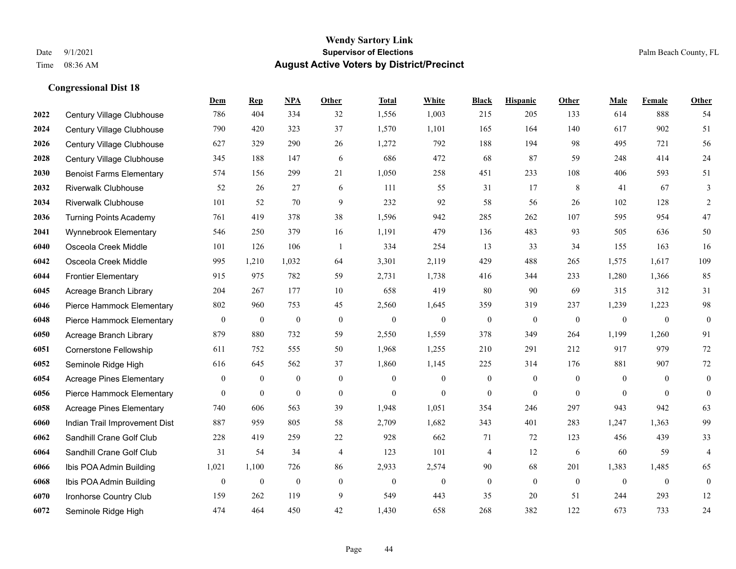|      |                                 | Dem              | <b>Rep</b>       | NPA              | <b>Other</b>     | <b>Total</b>     | White            | <b>Black</b>     | <b>Hispanic</b>  | <b>Other</b>   | <b>Male</b>  | Female           | <b>Other</b>     |
|------|---------------------------------|------------------|------------------|------------------|------------------|------------------|------------------|------------------|------------------|----------------|--------------|------------------|------------------|
| 2022 | Century Village Clubhouse       | 786              | 404              | 334              | 32               | 1,556            | 1,003            | 215              | 205              | 133            | 614          | 888              | 54               |
| 2024 | Century Village Clubhouse       | 790              | 420              | 323              | 37               | 1,570            | 1,101            | 165              | 164              | 140            | 617          | 902              | 51               |
| 2026 | Century Village Clubhouse       | 627              | 329              | 290              | 26               | 1,272            | 792              | 188              | 194              | 98             | 495          | 721              | 56               |
| 2028 | Century Village Clubhouse       | 345              | 188              | 147              | 6                | 686              | 472              | 68               | 87               | 59             | 248          | 414              | 24               |
| 2030 | <b>Benoist Farms Elementary</b> | 574              | 156              | 299              | 21               | 1,050            | 258              | 451              | 233              | 108            | 406          | 593              | 51               |
| 2032 | <b>Riverwalk Clubhouse</b>      | 52               | 26               | 27               | 6                | 111              | 55               | 31               | 17               | 8              | 41           | 67               | 3                |
| 2034 | <b>Riverwalk Clubhouse</b>      | 101              | 52               | 70               | 9                | 232              | 92               | 58               | 56               | 26             | 102          | 128              | $\overline{c}$   |
| 2036 | <b>Turning Points Academy</b>   | 761              | 419              | 378              | 38               | 1,596            | 942              | 285              | 262              | 107            | 595          | 954              | 47               |
| 2041 | Wynnebrook Elementary           | 546              | 250              | 379              | 16               | 1,191            | 479              | 136              | 483              | 93             | 505          | 636              | 50               |
| 6040 | Osceola Creek Middle            | 101              | 126              | 106              | -1               | 334              | 254              | 13               | 33               | 34             | 155          | 163              | 16               |
| 6042 | Osceola Creek Middle            | 995              | 1,210            | 1,032            | 64               | 3,301            | 2,119            | 429              | 488              | 265            | 1,575        | 1,617            | 109              |
| 6044 | <b>Frontier Elementary</b>      | 915              | 975              | 782              | 59               | 2,731            | 1,738            | 416              | 344              | 233            | 1,280        | 1,366            | 85               |
| 6045 | Acreage Branch Library          | 204              | 267              | 177              | 10               | 658              | 419              | 80               | 90               | 69             | 315          | 312              | 31               |
| 6046 | Pierce Hammock Elementary       | 802              | 960              | 753              | 45               | 2,560            | 1,645            | 359              | 319              | 237            | 1,239        | 1,223            | 98               |
| 6048 | Pierce Hammock Elementary       | $\boldsymbol{0}$ | $\bf{0}$         | $\boldsymbol{0}$ | $\overline{0}$   | $\mathbf{0}$     | $\boldsymbol{0}$ | $\boldsymbol{0}$ | $\boldsymbol{0}$ | $\overline{0}$ | $\mathbf{0}$ | $\mathbf{0}$     | $\boldsymbol{0}$ |
| 6050 | Acreage Branch Library          | 879              | 880              | 732              | 59               | 2,550            | 1,559            | 378              | 349              | 264            | 1,199        | 1,260            | 91               |
| 6051 | Cornerstone Fellowship          | 611              | 752              | 555              | 50               | 1,968            | 1,255            | 210              | 291              | 212            | 917          | 979              | 72               |
| 6052 | Seminole Ridge High             | 616              | 645              | 562              | 37               | 1,860            | 1,145            | 225              | 314              | 176            | 881          | 907              | $72\,$           |
| 6054 | <b>Acreage Pines Elementary</b> | $\boldsymbol{0}$ | $\boldsymbol{0}$ | $\boldsymbol{0}$ | $\boldsymbol{0}$ | $\mathbf{0}$     | $\boldsymbol{0}$ | $\boldsymbol{0}$ | $\boldsymbol{0}$ | $\mathbf{0}$   | $\mathbf{0}$ | $\mathbf{0}$     | $\boldsymbol{0}$ |
| 6056 | Pierce Hammock Elementary       | $\mathbf{0}$     | $\mathbf{0}$     | $\mathbf{0}$     | $\mathbf{0}$     | $\theta$         | $\mathbf{0}$     | $\mathbf{0}$     | $\mathbf{0}$     | $\theta$       | $\theta$     | $\theta$         | $\boldsymbol{0}$ |
| 6058 | <b>Acreage Pines Elementary</b> | 740              | 606              | 563              | 39               | 1,948            | 1,051            | 354              | 246              | 297            | 943          | 942              | 63               |
| 6060 | Indian Trail Improvement Dist   | 887              | 959              | 805              | 58               | 2,709            | 1,682            | 343              | 401              | 283            | 1,247        | 1,363            | 99               |
| 6062 | Sandhill Crane Golf Club        | 228              | 419              | 259              | 22               | 928              | 662              | 71               | 72               | 123            | 456          | 439              | 33               |
| 6064 | Sandhill Crane Golf Club        | 31               | 54               | 34               | 4                | 123              | 101              | 4                | 12               | 6              | 60           | 59               | $\overline{4}$   |
| 6066 | Ibis POA Admin Building         | 1,021            | 1,100            | 726              | 86               | 2,933            | 2,574            | 90               | 68               | 201            | 1,383        | 1,485            | 65               |
| 6068 | Ibis POA Admin Building         | $\boldsymbol{0}$ | $\boldsymbol{0}$ | $\boldsymbol{0}$ | $\boldsymbol{0}$ | $\boldsymbol{0}$ | $\boldsymbol{0}$ | $\boldsymbol{0}$ | $\mathbf{0}$     | $\overline{0}$ | $\mathbf{0}$ | $\boldsymbol{0}$ | $\boldsymbol{0}$ |
| 6070 | Ironhorse Country Club          | 159              | 262              | 119              | 9                | 549              | 443              | 35               | 20               | 51             | 244          | 293              | 12               |
| 6072 | Seminole Ridge High             | 474              | 464              | 450              | 42               | 1,430            | 658              | 268              | 382              | 122            | 673          | 733              | 24               |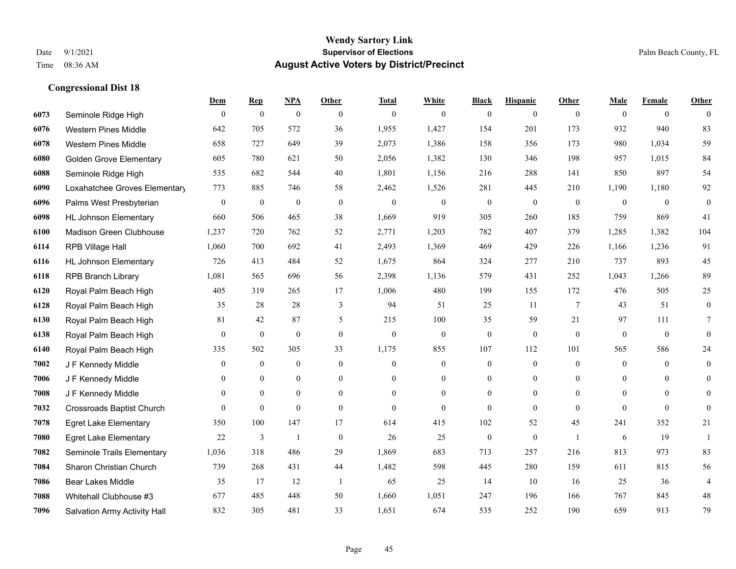|      |                                  | Dem          | <b>Rep</b>       | NPA              | <b>Other</b>   | <b>Total</b> | <b>White</b>   | <b>Black</b>     | <b>Hispanic</b>  | <b>Other</b>    | <b>Male</b>  | <b>Female</b>  | <b>Other</b>     |
|------|----------------------------------|--------------|------------------|------------------|----------------|--------------|----------------|------------------|------------------|-----------------|--------------|----------------|------------------|
| 6073 | Seminole Ridge High              | $\mathbf{0}$ | $\mathbf{0}$     | $\boldsymbol{0}$ | $\theta$       | $\mathbf{0}$ | $\overline{0}$ | $\mathbf{0}$     | $\mathbf{0}$     | $\theta$        | $\mathbf{0}$ | $\overline{0}$ | $\theta$         |
| 6076 | <b>Western Pines Middle</b>      | 642          | 705              | 572              | 36             | 1,955        | 1,427          | 154              | 201              | 173             | 932          | 940            | 83               |
| 6078 | <b>Western Pines Middle</b>      | 658          | 727              | 649              | 39             | 2,073        | 1,386          | 158              | 356              | 173             | 980          | 1,034          | 59               |
| 6080 | <b>Golden Grove Elementary</b>   | 605          | 780              | 621              | 50             | 2,056        | 1,382          | 130              | 346              | 198             | 957          | 1,015          | 84               |
| 6088 | Seminole Ridge High              | 535          | 682              | 544              | 40             | 1,801        | 1,156          | 216              | 288              | 141             | 850          | 897            | 54               |
| 6090 | Loxahatchee Groves Elementary    | 773          | 885              | 746              | 58             | 2,462        | 1,526          | 281              | 445              | 210             | 1,190        | 1,180          | 92               |
| 6096 | Palms West Presbyterian          | $\mathbf{0}$ | $\boldsymbol{0}$ | $\boldsymbol{0}$ | $\mathbf{0}$   | $\theta$     | $\overline{0}$ | $\boldsymbol{0}$ | $\mathbf{0}$     | $\mathbf{0}$    | $\mathbf{0}$ | $\mathbf{0}$   | $\boldsymbol{0}$ |
| 6098 | <b>HL Johnson Elementary</b>     | 660          | 506              | 465              | 38             | 1,669        | 919            | 305              | 260              | 185             | 759          | 869            | 41               |
| 6100 | Madison Green Clubhouse          | 1,237        | 720              | 762              | 52             | 2,771        | 1,203          | 782              | 407              | 379             | 1,285        | 1,382          | 104              |
| 6114 | RPB Village Hall                 | 1,060        | 700              | 692              | 41             | 2,493        | 1,369          | 469              | 429              | 226             | 1,166        | 1,236          | 91               |
| 6116 | <b>HL Johnson Elementary</b>     | 726          | 413              | 484              | 52             | 1,675        | 864            | 324              | 277              | 210             | 737          | 893            | 45               |
| 6118 | <b>RPB Branch Library</b>        | 1,081        | 565              | 696              | 56             | 2,398        | 1,136          | 579              | 431              | 252             | 1,043        | 1,266          | 89               |
| 6120 | Royal Palm Beach High            | 405          | 319              | 265              | 17             | 1,006        | 480            | 199              | 155              | 172             | 476          | 505            | 25               |
| 6128 | Royal Palm Beach High            | 35           | 28               | 28               | $\mathfrak{Z}$ | 94           | 51             | 25               | 11               | $7\phantom{.0}$ | 43           | 51             | $\boldsymbol{0}$ |
| 6130 | Royal Palm Beach High            | 81           | 42               | 87               | 5              | 215          | 100            | 35               | 59               | 21              | 97           | 111            | 7                |
| 6138 | Royal Palm Beach High            | $\mathbf{0}$ | $\mathbf{0}$     | $\mathbf{0}$     | $\theta$       | $\mathbf{0}$ | $\mathbf{0}$   | $\mathbf{0}$     | $\mathbf{0}$     | $\theta$        | $\mathbf{0}$ | $\mathbf{0}$   | $\mathbf{0}$     |
| 6140 | Royal Palm Beach High            | 335          | 502              | 305              | 33             | 1,175        | 855            | 107              | 112              | 101             | 565          | 586            | $24\,$           |
| 7002 | J F Kennedy Middle               | $\mathbf{0}$ | $\mathbf{0}$     | $\mathbf{0}$     | $\theta$       | $\theta$     | $\overline{0}$ | $\mathbf{0}$     | $\mathbf{0}$     | $\theta$        | $\theta$     | $\theta$       | $\overline{0}$   |
| 7006 | J F Kennedy Middle               | $\Omega$     | $\mathbf{0}$     | $\mathbf{0}$     | $\mathbf{0}$   | $\Omega$     | $\overline{0}$ | $\mathbf{0}$     | $\mathbf{0}$     | $\theta$        | $\mathbf{0}$ | $\theta$       | $\theta$         |
| 7008 | J F Kennedy Middle               | $\mathbf{0}$ | $\mathbf{0}$     | $\mathbf{0}$     | $\overline{0}$ | $\mathbf{0}$ | $\overline{0}$ | $\boldsymbol{0}$ | $\boldsymbol{0}$ | $\overline{0}$  | $\mathbf{0}$ | $\mathbf{0}$   | $\mathbf{0}$     |
| 7032 | <b>Crossroads Baptist Church</b> | $\theta$     | $\mathbf{0}$     | $\mathbf{0}$     | $\theta$       | $\theta$     | $\theta$       | $\mathbf{0}$     | $\theta$         | $\theta$        | $\theta$     | $\theta$       | $\mathbf{0}$     |
| 7078 | <b>Egret Lake Elementary</b>     | 350          | 100              | 147              | 17             | 614          | 415            | 102              | 52               | 45              | 241          | 352            | 21               |
| 7080 | <b>Egret Lake Elementary</b>     | 22           | 3                | -1               | $\mathbf{0}$   | 26           | 25             | $\boldsymbol{0}$ | $\mathbf{0}$     | $\overline{1}$  | 6            | 19             | -1               |
| 7082 | Seminole Trails Elementary       | 1,036        | 318              | 486              | 29             | 1,869        | 683            | 713              | 257              | 216             | 813          | 973            | 83               |
| 7084 | Sharon Christian Church          | 739          | 268              | 431              | 44             | 1,482        | 598            | 445              | 280              | 159             | 611          | 815            | 56               |
| 7086 | Bear Lakes Middle                | 35           | 17               | 12               | -1             | 65           | 25             | 14               | 10               | 16              | 25           | 36             | 4                |
| 7088 | Whitehall Clubhouse #3           | 677          | 485              | 448              | 50             | 1,660        | 1,051          | 247              | 196              | 166             | 767          | 845            | $48\,$           |
| 7096 | Salvation Army Activity Hall     | 832          | 305              | 481              | 33             | 1,651        | 674            | 535              | 252              | 190             | 659          | 913            | 79               |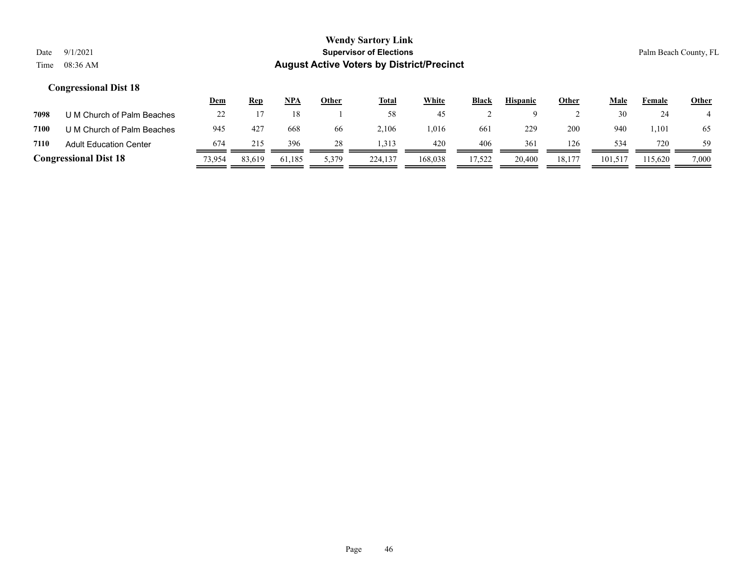|      |                               | <u>Dem</u> | <b>Rep</b> | NPA    | Other | <b>Total</b> | White   | Black  | <b>Hispanic</b> | <b>Other</b> | Male    | Female  | <b>Other</b> |
|------|-------------------------------|------------|------------|--------|-------|--------------|---------|--------|-----------------|--------------|---------|---------|--------------|
| 7098 | U M Church of Palm Beaches    | $\gamma$   |            |        |       | 58           | 45      |        |                 |              | 30      | 24      |              |
| 7100 | U M Church of Palm Beaches    | 945        | 427        | 668    | 66    | 2.106        | .016    | 661    | 229             | 200          | 940     | l.101   | 65           |
| 7110 | <b>Adult Education Center</b> | 674        | 215        | 396    | 28    | .313         | 420     | 406    | 361             | 126          | 534     | 720     | 59           |
|      | <b>Congressional Dist 18</b>  | 73,954     | 83,619     | 61,185 | 5,379 | 224,137      | 168,038 | 17,522 | 20,400          | 18,177       | 101,517 | 115.620 | 7,000        |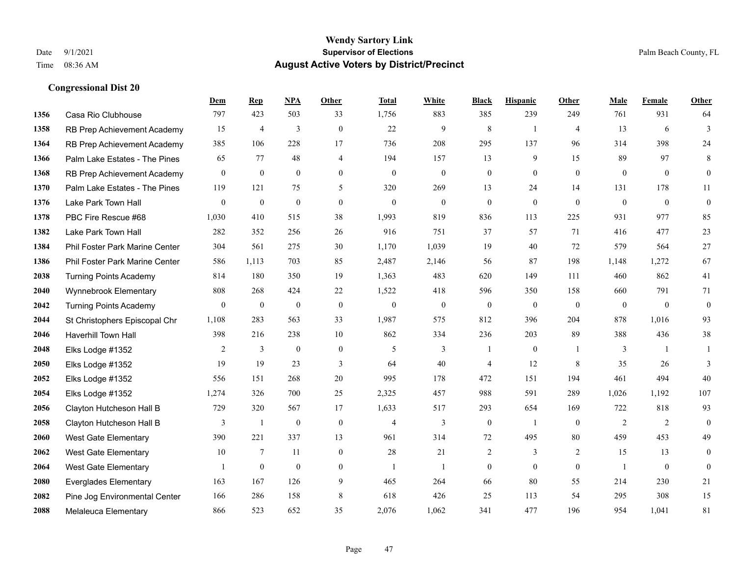|      |                                | Dem              | <b>Rep</b>       | NPA              | <b>Other</b>   | <b>Total</b>     | <b>White</b> | <b>Black</b>     | <b>Hispanic</b>  | <b>Other</b>   | <b>Male</b>    | Female         | <b>Other</b>     |
|------|--------------------------------|------------------|------------------|------------------|----------------|------------------|--------------|------------------|------------------|----------------|----------------|----------------|------------------|
| 1356 | Casa Rio Clubhouse             | 797              | 423              | 503              | 33             | 1,756            | 883          | 385              | 239              | 249            | 761            | 931            | 64               |
| 1358 | RB Prep Achievement Academy    | 15               | $\overline{4}$   | 3                | $\theta$       | 22               | 9            | 8                | $\overline{1}$   | $\overline{4}$ | 13             | 6              | 3                |
| 1364 | RB Prep Achievement Academy    | 385              | 106              | 228              | 17             | 736              | 208          | 295              | 137              | 96             | 314            | 398            | 24               |
| 1366 | Palm Lake Estates - The Pines  | 65               | 77               | 48               | 4              | 194              | 157          | 13               | 9                | 15             | 89             | 97             | 8                |
| 1368 | RB Prep Achievement Academy    | $\mathbf{0}$     | $\mathbf{0}$     | $\mathbf{0}$     | $\theta$       | $\mathbf{0}$     | $\mathbf{0}$ | $\overline{0}$   | $\overline{0}$   | $\theta$       | $\mathbf{0}$   | $\theta$       | $\overline{0}$   |
| 1370 | Palm Lake Estates - The Pines  | 119              | 121              | 75               | 5              | 320              | 269          | 13               | 24               | 14             | 131            | 178            | 11               |
| 1376 | Lake Park Town Hall            | $\boldsymbol{0}$ | $\boldsymbol{0}$ | $\mathbf{0}$     | $\overline{0}$ | $\overline{0}$   | $\mathbf{0}$ | $\boldsymbol{0}$ | $\mathbf{0}$     | $\mathbf{0}$   | $\mathbf{0}$   | $\overline{0}$ | $\boldsymbol{0}$ |
| 1378 | PBC Fire Rescue #68            | 1,030            | 410              | 515              | 38             | 1,993            | 819          | 836              | 113              | 225            | 931            | 977            | 85               |
| 1382 | Lake Park Town Hall            | 282              | 352              | 256              | 26             | 916              | 751          | 37               | 57               | 71             | 416            | 477            | 23               |
| 1384 | Phil Foster Park Marine Center | 304              | 561              | 275              | 30             | 1,170            | 1,039        | 19               | 40               | 72             | 579            | 564            | 27               |
| 1386 | Phil Foster Park Marine Center | 586              | 1,113            | 703              | 85             | 2,487            | 2,146        | 56               | 87               | 198            | 1,148          | 1,272          | 67               |
| 2038 | <b>Turning Points Academy</b>  | 814              | 180              | 350              | 19             | 1,363            | 483          | 620              | 149              | 111            | 460            | 862            | 41               |
| 2040 | Wynnebrook Elementary          | 808              | 268              | 424              | 22             | 1,522            | 418          | 596              | 350              | 158            | 660            | 791            | 71               |
| 2042 | <b>Turning Points Academy</b>  | $\boldsymbol{0}$ | $\boldsymbol{0}$ | $\boldsymbol{0}$ | $\mathbf{0}$   | $\boldsymbol{0}$ | $\mathbf{0}$ | $\boldsymbol{0}$ | $\boldsymbol{0}$ | $\mathbf{0}$   | $\overline{0}$ | $\mathbf{0}$   | $\boldsymbol{0}$ |
| 2044 | St Christophers Episcopal Chr  | 1,108            | 283              | 563              | 33             | 1,987            | 575          | 812              | 396              | 204            | 878            | 1,016          | 93               |
| 2046 | Haverhill Town Hall            | 398              | 216              | 238              | 10             | 862              | 334          | 236              | 203              | 89             | 388            | 436            | 38               |
| 2048 | Elks Lodge #1352               | $\overline{2}$   | 3                | $\mathbf{0}$     | $\mathbf{0}$   | 5                | 3            | $\overline{1}$   | $\overline{0}$   | $\mathbf{1}$   | 3              | $\mathbf{1}$   | $\overline{1}$   |
| 2050 | Elks Lodge #1352               | 19               | 19               | 23               | 3              | 64               | 40           | 4                | 12               | 8              | 35             | 26             | 3                |
| 2052 | Elks Lodge #1352               | 556              | 151              | 268              | 20             | 995              | 178          | 472              | 151              | 194            | 461            | 494            | 40               |
| 2054 | Elks Lodge #1352               | 1,274            | 326              | 700              | 25             | 2,325            | 457          | 988              | 591              | 289            | 1,026          | 1.192          | 107              |
| 2056 | Clayton Hutcheson Hall B       | 729              | 320              | 567              | 17             | 1,633            | 517          | 293              | 654              | 169            | 722            | 818            | 93               |
| 2058 | Clayton Hutcheson Hall B       | 3                | 1                | $\boldsymbol{0}$ | $\mathbf{0}$   | $\overline{4}$   | 3            | $\boldsymbol{0}$ | -1               | $\mathbf{0}$   | 2              | 2              | $\overline{0}$   |
| 2060 | <b>West Gate Elementary</b>    | 390              | 221              | 337              | 13             | 961              | 314          | 72               | 495              | 80             | 459            | 453            | 49               |
| 2062 | <b>West Gate Elementary</b>    | 10               | $\tau$           | 11               | $\theta$       | 28               | 21           | 2                | 3                | 2              | 15             | 13             | $\overline{0}$   |
| 2064 | <b>West Gate Elementary</b>    |                  | $\boldsymbol{0}$ | $\mathbf{0}$     | $\mathbf{0}$   | $\mathbf{1}$     | $\mathbf{1}$ | $\boldsymbol{0}$ | $\mathbf{0}$     | $\mathbf{0}$   | $\mathbf{1}$   | $\overline{0}$ | $\overline{0}$   |
| 2080 | <b>Everglades Elementary</b>   | 163              | 167              | 126              | 9              | 465              | 264          | 66               | 80               | 55             | 214            | 230            | 21               |
| 2082 | Pine Jog Environmental Center  | 166              | 286              | 158              | 8              | 618              | 426          | 25               | 113              | 54             | 295            | 308            | 15               |
| 2088 | <b>Melaleuca Elementary</b>    | 866              | 523              | 652              | 35             | 2,076            | 1,062        | 341              | 477              | 196            | 954            | 1,041          | 81               |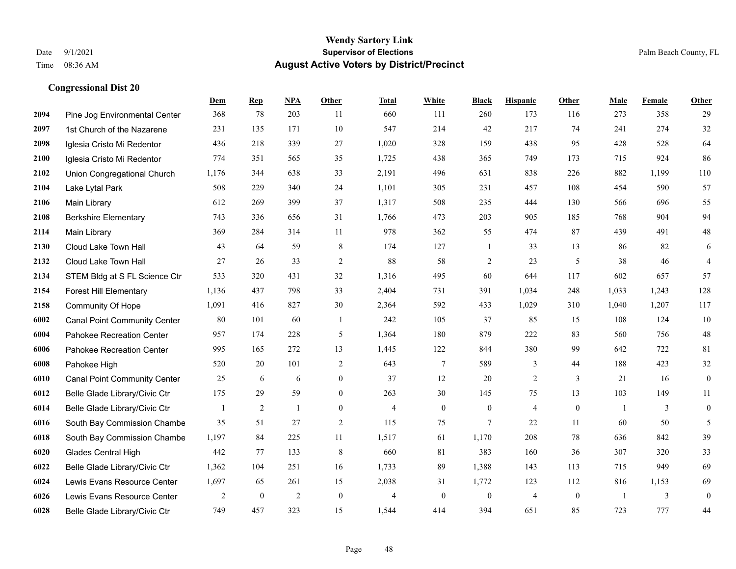|      |                                     | Dem   | <b>Rep</b>       | NPA            | <b>Other</b>     | <b>Total</b>   | <b>White</b>   | <b>Black</b>     | <b>Hispanic</b> | Other        | <b>Male</b>    | Female | <b>Other</b>     |
|------|-------------------------------------|-------|------------------|----------------|------------------|----------------|----------------|------------------|-----------------|--------------|----------------|--------|------------------|
| 2094 | Pine Jog Environmental Center       | 368   | 78               | 203            | 11               | 660            | 111            | 260              | 173             | 116          | 273            | 358    | 29               |
| 2097 | 1st Church of the Nazarene          | 231   | 135              | 171            | 10               | 547            | 214            | 42               | 217             | 74           | 241            | 274    | 32               |
| 2098 | Iglesia Cristo Mi Redentor          | 436   | 218              | 339            | 27               | 1,020          | 328            | 159              | 438             | 95           | 428            | 528    | 64               |
| 2100 | Iglesia Cristo Mi Redentor          | 774   | 351              | 565            | 35               | 1,725          | 438            | 365              | 749             | 173          | 715            | 924    | 86               |
| 2102 | Union Congregational Church         | 1,176 | 344              | 638            | 33               | 2,191          | 496            | 631              | 838             | 226          | 882            | 1,199  | 110              |
| 2104 | Lake Lytal Park                     | 508   | 229              | 340            | 24               | 1,101          | 305            | 231              | 457             | 108          | 454            | 590    | 57               |
| 2106 | Main Library                        | 612   | 269              | 399            | 37               | 1,317          | 508            | 235              | 444             | 130          | 566            | 696    | 55               |
| 2108 | <b>Berkshire Elementary</b>         | 743   | 336              | 656            | 31               | 1,766          | 473            | 203              | 905             | 185          | 768            | 904    | 94               |
| 2114 | Main Library                        | 369   | 284              | 314            | 11               | 978            | 362            | 55               | 474             | 87           | 439            | 491    | $48\,$           |
| 2130 | Cloud Lake Town Hall                | 43    | 64               | 59             | 8                | 174            | 127            | 1                | 33              | 13           | 86             | 82     | 6                |
| 2132 | Cloud Lake Town Hall                | 27    | 26               | 33             | 2                | 88             | 58             | $\overline{c}$   | 23              | 5            | 38             | 46     | $\overline{4}$   |
| 2134 | STEM Bldg at S FL Science Ctr       | 533   | 320              | 431            | 32               | 1,316          | 495            | 60               | 644             | 117          | 602            | 657    | 57               |
| 2154 | <b>Forest Hill Elementary</b>       | 1,136 | 437              | 798            | 33               | 2,404          | 731            | 391              | 1,034           | 248          | 1,033          | 1,243  | 128              |
| 2158 | Community Of Hope                   | 1,091 | 416              | 827            | 30               | 2,364          | 592            | 433              | 1,029           | 310          | 1,040          | 1,207  | 117              |
| 6002 | <b>Canal Point Community Center</b> | 80    | 101              | 60             | -1               | 242            | 105            | 37               | 85              | 15           | 108            | 124    | 10               |
| 6004 | Pahokee Recreation Center           | 957   | 174              | 228            | 5                | 1,364          | 180            | 879              | 222             | 83           | 560            | 756    | $48\,$           |
| 6006 | Pahokee Recreation Center           | 995   | 165              | 272            | 13               | 1,445          | 122            | 844              | 380             | 99           | 642            | 722    | 81               |
| 6008 | Pahokee High                        | 520   | 20               | 101            | 2                | 643            | $\tau$         | 589              | 3               | 44           | 188            | 423    | $32\,$           |
| 6010 | <b>Canal Point Community Center</b> | 25    | 6                | 6              | $\boldsymbol{0}$ | 37             | 12             | 20               | $\overline{c}$  | $\mathbf{3}$ | 21             | 16     | $\boldsymbol{0}$ |
| 6012 | Belle Glade Library/Civic Ctr       | 175   | 29               | 59             | $\overline{0}$   | 263            | 30             | 145              | 75              | 13           | 103            | 149    | 11               |
| 6014 | Belle Glade Library/Civic Ctr       | 1     | 2                | $\mathbf{1}$   | $\overline{0}$   | $\overline{4}$ | $\overline{0}$ | $\boldsymbol{0}$ | $\overline{4}$  | $\theta$     | $\overline{1}$ | 3      | $\mathbf{0}$     |
| 6016 | South Bay Commission Chambe         | 35    | 51               | 27             | $\overline{c}$   | 115            | 75             | 7                | 22              | 11           | 60             | 50     | 5                |
| 6018 | South Bay Commission Chambe         | 1,197 | 84               | 225            | 11               | 1,517          | 61             | 1,170            | 208             | 78           | 636            | 842    | 39               |
| 6020 | <b>Glades Central High</b>          | 442   | 77               | 133            | 8                | 660            | 81             | 383              | 160             | 36           | 307            | 320    | 33               |
| 6022 | Belle Glade Library/Civic Ctr       | 1,362 | 104              | 251            | 16               | 1,733          | 89             | 1,388            | 143             | 113          | 715            | 949    | 69               |
| 6024 | Lewis Evans Resource Center         | 1,697 | 65               | 261            | 15               | 2,038          | 31             | 1,772            | 123             | 112          | 816            | 1,153  | 69               |
| 6026 | Lewis Evans Resource Center         | 2     | $\boldsymbol{0}$ | $\overline{2}$ | $\mathbf{0}$     | 4              | $\overline{0}$ | $\boldsymbol{0}$ | $\overline{4}$  | $\mathbf{0}$ | $\overline{1}$ | 3      | $\boldsymbol{0}$ |
| 6028 | Belle Glade Library/Civic Ctr       | 749   | 457              | 323            | 15               | 1,544          | 414            | 394              | 651             | 85           | 723            | 777    | 44               |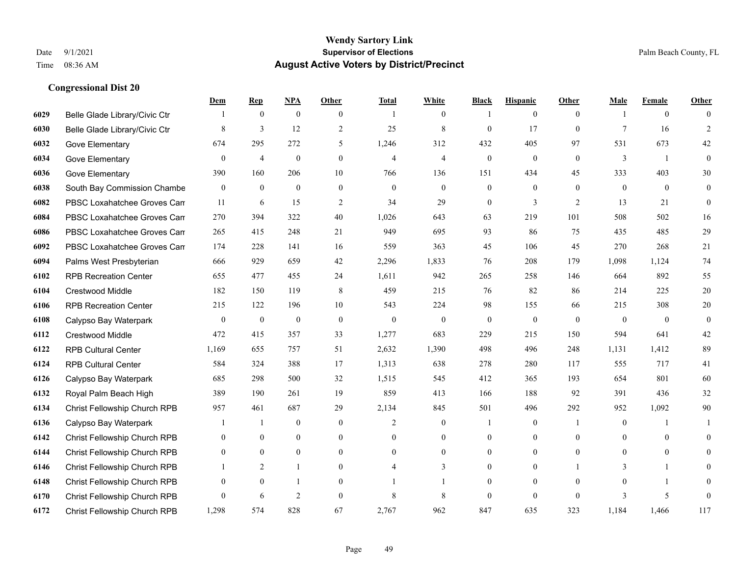|      |                                     | Dem              | <b>Rep</b>     | NPA              | <b>Other</b>   | <b>Total</b>   | <b>White</b>     | <b>Black</b>     | <b>Hispanic</b>  | <b>Other</b>   | <b>Male</b>      | <b>Female</b>  | <b>Other</b>   |
|------|-------------------------------------|------------------|----------------|------------------|----------------|----------------|------------------|------------------|------------------|----------------|------------------|----------------|----------------|
| 6029 | Belle Glade Library/Civic Ctr       |                  | $\mathbf{0}$   | $\boldsymbol{0}$ | $\theta$       | -1             | $\overline{0}$   |                  | $\overline{0}$   | $\theta$       | -1               | $\overline{0}$ | $\Omega$       |
| 6030 | Belle Glade Library/Civic Ctr       | 8                | 3              | 12               | $\overline{2}$ | 25             | 8                | $\mathbf{0}$     | 17               | $\mathbf{0}$   | $\tau$           | 16             | 2              |
| 6032 | Gove Elementary                     | 674              | 295            | 272              | 5              | 1,246          | 312              | 432              | 405              | 97             | 531              | 673            | 42             |
| 6034 | Gove Elementary                     | $\boldsymbol{0}$ | $\overline{4}$ | $\boldsymbol{0}$ | $\mathbf{0}$   | $\overline{4}$ | $\overline{4}$   | $\boldsymbol{0}$ | $\boldsymbol{0}$ | $\mathbf{0}$   | $\mathfrak{Z}$   | $\mathbf{1}$   | $\mathbf{0}$   |
| 6036 | Gove Elementary                     | 390              | 160            | 206              | 10             | 766            | 136              | 151              | 434              | 45             | 333              | 403            | 30             |
| 6038 | South Bay Commission Chambe         | $\boldsymbol{0}$ | $\mathbf{0}$   | $\boldsymbol{0}$ | $\overline{0}$ | $\mathbf{0}$   | $\mathbf{0}$     | $\boldsymbol{0}$ | $\overline{0}$   | $\theta$       | $\mathbf{0}$     | $\overline{0}$ | $\mathbf{0}$   |
| 6082 | PBSC Loxahatchee Groves Can         | 11               | 6              | 15               | 2              | 34             | 29               | $\overline{0}$   | 3                | 2              | 13               | 21             | $\overline{0}$ |
| 6084 | PBSC Loxahatchee Groves Can         | 270              | 394            | 322              | 40             | 1,026          | 643              | 63               | 219              | 101            | 508              | 502            | 16             |
| 6086 | PBSC Loxahatchee Groves Can         | 265              | 415            | 248              | 21             | 949            | 695              | 93               | 86               | 75             | 435              | 485            | 29             |
| 6092 | PBSC Loxahatchee Groves Can         | 174              | 228            | 141              | 16             | 559            | 363              | 45               | 106              | 45             | 270              | 268            | 21             |
| 6094 | Palms West Presbyterian             | 666              | 929            | 659              | 42             | 2,296          | 1,833            | 76               | 208              | 179            | 1,098            | 1.124          | 74             |
| 6102 | <b>RPB Recreation Center</b>        | 655              | 477            | 455              | 24             | 1,611          | 942              | 265              | 258              | 146            | 664              | 892            | 55             |
| 6104 | Crestwood Middle                    | 182              | 150            | 119              | 8              | 459            | 215              | 76               | 82               | 86             | 214              | 225            | $20\,$         |
| 6106 | <b>RPB Recreation Center</b>        | 215              | 122            | 196              | 10             | 543            | 224              | 98               | 155              | 66             | 215              | 308            | $20\,$         |
| 6108 | Calypso Bay Waterpark               | $\mathbf{0}$     | $\mathbf{0}$   | $\mathbf{0}$     | $\theta$       | $\theta$       | $\mathbf{0}$     | $\overline{0}$   | $\mathbf{0}$     | $\theta$       | $\theta$         | $\theta$       | $\mathbf{0}$   |
| 6112 | Crestwood Middle                    | 472              | 415            | 357              | 33             | 1,277          | 683              | 229              | 215              | 150            | 594              | 641            | $42\,$         |
| 6122 | <b>RPB Cultural Center</b>          | 1,169            | 655            | 757              | 51             | 2,632          | 1,390            | 498              | 496              | 248            | 1,131            | 1,412          | 89             |
| 6124 | <b>RPB Cultural Center</b>          | 584              | 324            | 388              | 17             | 1,313          | 638              | 278              | 280              | 117            | 555              | 717            | 41             |
| 6126 | Calypso Bay Waterpark               | 685              | 298            | 500              | 32             | 1,515          | 545              | 412              | 365              | 193            | 654              | 801            | 60             |
| 6132 | Royal Palm Beach High               | 389              | 190            | 261              | 19             | 859            | 413              | 166              | 188              | 92             | 391              | 436            | 32             |
| 6134 | Christ Fellowship Church RPB        | 957              | 461            | 687              | 29             | 2,134          | 845              | 501              | 496              | 292            | 952              | 1,092          | 90             |
| 6136 | Calypso Bay Waterpark               |                  | 1              | $\boldsymbol{0}$ | $\mathbf{0}$   | 2              | $\boldsymbol{0}$ |                  | $\boldsymbol{0}$ | $\overline{1}$ | $\boldsymbol{0}$ |                |                |
| 6142 | Christ Fellowship Church RPB        | $\overline{0}$   | $\mathbf{0}$   | $\mathbf{0}$     | $\mathbf{0}$   | $\Omega$       | $\boldsymbol{0}$ | $\overline{0}$   | $\overline{0}$   | $\theta$       | $\theta$         | $\theta$       | $\overline{0}$ |
| 6144 | Christ Fellowship Church RPB        | $\theta$         | $\theta$       | $\theta$         | $\theta$       | $\theta$       | $\Omega$         | $\Omega$         | $\Omega$         | $\Omega$       | $\theta$         | $\theta$       | $\Omega$       |
| 6146 | Christ Fellowship Church RPB        |                  | 2              |                  | $\mathbf{0}$   | $\overline{4}$ | 3                | $\overline{0}$   | $\boldsymbol{0}$ |                | 3                | $\mathbf{1}$   | $\theta$       |
| 6148 | Christ Fellowship Church RPB        | $\overline{0}$   | $\mathbf{0}$   |                  | $\theta$       |                |                  | $\overline{0}$   | $\overline{0}$   | $\theta$       | $\theta$         | -1             | 0              |
| 6170 | Christ Fellowship Church RPB        | $\theta$         | 6              | $\overline{2}$   | $\theta$       | 8              | 8                | $\mathbf{0}$     | $\Omega$         | $\theta$       | $\mathbf{3}$     | 5              | $\mathbf{0}$   |
| 6172 | <b>Christ Fellowship Church RPB</b> | 1,298            | 574            | 828              | 67             | 2,767          | 962              | 847              | 635              | 323            | 1,184            | 1.466          | 117            |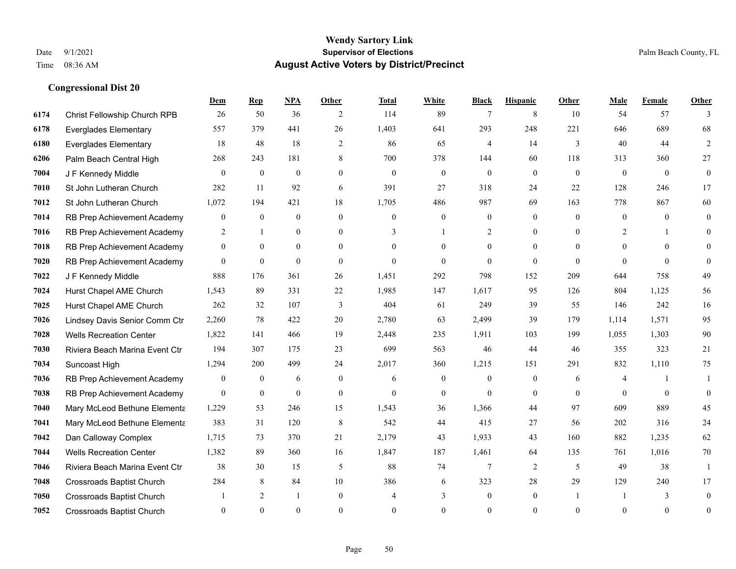|      |                                  | Dem              | <b>Rep</b>       | NPA            | <b>Other</b>   | Total          | <b>White</b>     | <b>Black</b>     | <b>Hispanic</b>  | <b>Other</b>   | <b>Male</b>    | Female   | <b>Other</b>     |
|------|----------------------------------|------------------|------------------|----------------|----------------|----------------|------------------|------------------|------------------|----------------|----------------|----------|------------------|
| 6174 | Christ Fellowship Church RPB     | 26               | 50               | 36             | 2              | 114            | 89               | 7                | 8                | 10             | 54             | 57       | 3                |
| 6178 | <b>Everglades Elementary</b>     | 557              | 379              | 441            | 26             | 1,403          | 641              | 293              | 248              | 221            | 646            | 689      | 68               |
| 6180 | <b>Everglades Elementary</b>     | 18               | 48               | 18             | 2              | 86             | 65               | 4                | 14               | 3              | 40             | 44       | 2                |
| 6206 | Palm Beach Central High          | 268              | 243              | 181            | 8              | 700            | 378              | 144              | 60               | 118            | 313            | 360      | 27               |
| 7004 | J F Kennedy Middle               | $\theta$         | $\overline{0}$   | $\overline{0}$ | $\overline{0}$ | $\mathbf{0}$   | $\mathbf{0}$     | $\mathbf{0}$     | $\overline{0}$   | $\theta$       | $\mathbf{0}$   | $\theta$ | $\boldsymbol{0}$ |
| 7010 | St John Lutheran Church          | 282              | 11               | 92             | 6              | 391            | 27               | 318              | 24               | 22             | 128            | 246      | 17               |
| 7012 | St John Lutheran Church          | 1,072            | 194              | 421            | 18             | 1,705          | 486              | 987              | 69               | 163            | 778            | 867      | 60               |
| 7014 | RB Prep Achievement Academy      | $\boldsymbol{0}$ | $\overline{0}$   | $\overline{0}$ | $\theta$       | $\theta$       | $\overline{0}$   | $\mathbf{0}$     | $\mathbf{0}$     | $\theta$       | $\theta$       | $\theta$ | $\mathbf{0}$     |
| 7016 | RB Prep Achievement Academy      | $\overline{c}$   | $\mathbf{1}$     | $\overline{0}$ | $\overline{0}$ | 3              | 1                | $\overline{2}$   | $\mathbf{0}$     | $\theta$       | $\overline{2}$ |          | $\theta$         |
| 7018 | RB Prep Achievement Academy      | $\Omega$         | $\theta$         | $\theta$       | $\Omega$       | $\Omega$       | $\Omega$         | $\theta$         | $\Omega$         | $\Omega$       | $\Omega$       | $\Omega$ | $\Omega$         |
| 7020 | RB Prep Achievement Academy      | $\overline{0}$   | $\mathbf{0}$     | $\overline{0}$ | $\overline{0}$ | $\theta$       | $\overline{0}$   | $\mathbf{0}$     | $\mathbf{0}$     | $\theta$       | $\theta$       | $\theta$ | $\theta$         |
| 7022 | J F Kennedy Middle               | 888              | 176              | 361            | 26             | 1,451          | 292              | 798              | 152              | 209            | 644            | 758      | 49               |
| 7024 | Hurst Chapel AME Church          | 1,543            | 89               | 331            | 22             | 1,985          | 147              | 1,617            | 95               | 126            | 804            | 1,125    | 56               |
| 7025 | Hurst Chapel AME Church          | 262              | 32               | 107            | 3              | 404            | 61               | 249              | 39               | 55             | 146            | 242      | 16               |
| 7026 | Lindsey Davis Senior Comm Ctr    | 2,260            | 78               | 422            | 20             | 2,780          | 63               | 2,499            | 39               | 179            | 1.114          | 1,571    | 95               |
| 7028 | <b>Wells Recreation Center</b>   | 1,822            | 141              | 466            | 19             | 2,448          | 235              | 1,911            | 103              | 199            | 1,055          | 1,303    | $90\,$           |
| 7030 | Riviera Beach Marina Event Ctr   | 194              | 307              | 175            | 23             | 699            | 563              | 46               | 44               | 46             | 355            | 323      | 21               |
| 7034 | Suncoast High                    | 1,294            | 200              | 499            | 24             | 2,017          | 360              | 1,215            | 151              | 291            | 832            | 1,110    | 75               |
| 7036 | RB Prep Achievement Academy      | $\mathbf{0}$     | $\boldsymbol{0}$ | 6              | $\overline{0}$ | 6              | $\boldsymbol{0}$ | $\boldsymbol{0}$ | $\boldsymbol{0}$ | 6              | 4              |          | -1               |
| 7038 | RB Prep Achievement Academy      | $\overline{0}$   | $\overline{0}$   | $\mathbf{0}$   | $\Omega$       | $\theta$       | $\overline{0}$   | $\theta$         | $\mathbf{0}$     | $\theta$       | $\theta$       | $\theta$ | $\mathbf{0}$     |
| 7040 | Mary McLeod Bethune Elementa     | 1,229            | 53               | 246            | 15             | 1,543          | 36               | 1,366            | 44               | 97             | 609            | 889      | 45               |
| 7041 | Mary McLeod Bethune Elementa     | 383              | 31               | 120            | 8              | 542            | 44               | 415              | 27               | 56             | 202            | 316      | 24               |
| 7042 | Dan Calloway Complex             | 1,715            | 73               | 370            | 21             | 2,179          | 43               | 1,933            | 43               | 160            | 882            | 1,235    | 62               |
| 7044 | <b>Wells Recreation Center</b>   | 1,382            | 89               | 360            | 16             | 1,847          | 187              | 1,461            | 64               | 135            | 761            | 1,016    | 70               |
| 7046 | Riviera Beach Marina Event Ctr   | 38               | 30               | 15             | 5              | 88             | 74               | $7\phantom{.0}$  | $\overline{2}$   | 5              | 49             | 38       | 1                |
| 7048 | Crossroads Baptist Church        | 284              | 8                | 84             | 10             | 386            | 6                | 323              | 28               | 29             | 129            | 240      | 17               |
| 7050 | <b>Crossroads Baptist Church</b> |                  | 2                | 1              | $\overline{0}$ | $\overline{4}$ | 3                | $\boldsymbol{0}$ | $\mathbf{0}$     | $\overline{1}$ |                | 3        | $\mathbf{0}$     |
| 7052 | <b>Crossroads Baptist Church</b> | $\Omega$         | $\theta$         | $\theta$       | $\Omega$       | $\theta$       | $\theta$         | $\mathbf{0}$     | $\theta$         | $\theta$       | $\theta$       | $\theta$ | $\boldsymbol{0}$ |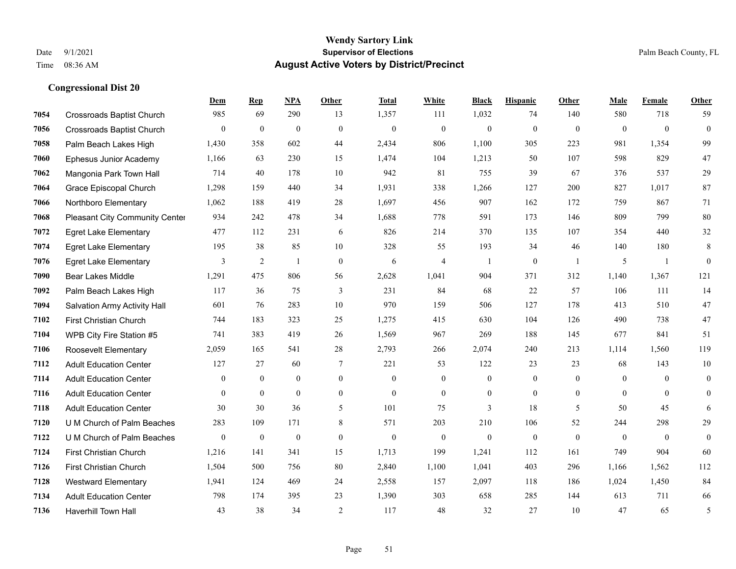#### **Wendy Sartory Link** Date 9/1/2021 **Supervisor of Elections** Palm Beach County, FL Time 08:36 AM **August Active Voters by District/Precinct**

# **Dem Rep NPA Other Total White Black Hispanic Other Male Female Other** Crossroads Baptist Church 985 69 290 13 1,357 111 1,032 74 140 580 718 59 Crossroads Baptist Church 0 0 0 0 0 0 0 0 0 0 0 0 Palm Beach Lakes High 1,430 358 602 44 2,434 806 1,100 305 223 981 1,354 99 Ephesus Junior Academy 1,166 63 230 15 1,474 104 1,213 50 107 598 829 47 Mangonia Park Town Hall 714 40 178 10 942 81 755 39 67 376 537 29 Grace Episcopal Church 1,298 159 440 34 1,931 338 1,266 127 200 827 1,017 87 Northboro Elementary 1,062 188 419 28 1,697 456 907 162 172 759 867 71 Pleasant City Community Center 934 242 478 34 1,688 778 591 173 146 809 799 80 Egret Lake Elementary 477 112 231 6 826 214 370 135 107 354 440 32 Egret Lake Elementary 195 38 85 10 328 55 193 34 46 140 180 8 Egret Lake Elementary 3 2 1 0 6 4 1 0 1 5 1 0 Bear Lakes Middle 1,291 475 806 56 2,628 1,041 904 371 312 1,140 1,367 121 Palm Beach Lakes High 117 36 75 3 231 84 68 22 57 106 111 14 Salvation Army Activity Hall 601 76 283 10 970 159 506 127 178 413 510 47 First Christian Church 744 183 323 25 1,275 415 630 104 126 490 738 47 WPB City Fire Station #5 741 383 419 26 1,569 967 269 188 145 677 841 51 Roosevelt Elementary 2,059 165 541 28 2,793 266 2,074 240 213 1,114 1,560 119 Adult Education Center 127 27 60 7 221 53 122 23 23 68 143 10 Adult Education Center 0 0 0 0 0 0 0 0 0 0 0 0 Adult Education Center 0 0 0 0 0 0 0 0 0 0 0 0 Adult Education Center 30 30 36 5 101 75 3 18 5 50 45 6 U M Church of Palm Beaches 283 109 171 8 571 203 210 106 52 244 298 29 U M Church of Palm Beaches 0 0 0 0 0 0 0 0 0 0 0 0 First Christian Church 1,216 141 341 15 1,713 199 1,241 112 161 749 904 60 First Christian Church 1,504 500 756 80 2,840 1,100 1,041 403 296 1,166 1,562 112 Westward Elementary 1,941 124 469 24 2,558 157 2,097 118 186 1,024 1,450 84 Adult Education Center 798 174 395 23 1,390 303 658 285 144 613 711 66

Haverhill Town Hall 43 38 34 2 117 48 32 27 10 47 65 5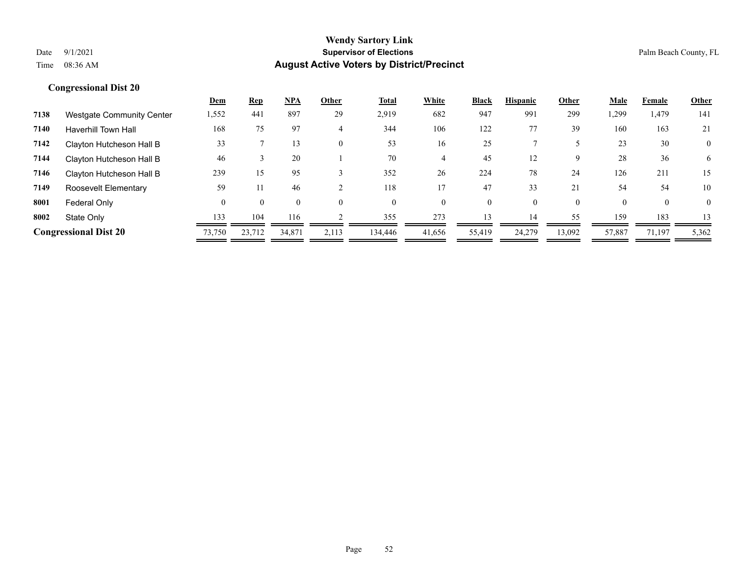|      |                                  | <u>Dem</u> | <b>Rep</b> | <b>NPA</b>   | Other    | Total    | White    | <b>Black</b> | <b>Hispanic</b> | Other    | Male   | Female       | Other        |
|------|----------------------------------|------------|------------|--------------|----------|----------|----------|--------------|-----------------|----------|--------|--------------|--------------|
| 7138 | <b>Westgate Community Center</b> | 1,552      | 441        | 897          | 29       | 2,919    | 682      | 947          | 991             | 299      | 1,299  | 1,479        | 141          |
| 7140 | <b>Haverhill Town Hall</b>       | 168        | 75         | 97           | 4        | 344      | 106      | 122          | 77              | 39       | 160    | 163          | 21           |
| 7142 | Clayton Hutcheson Hall B         | 33         |            | 13           | $\theta$ | 53       | 16       | 25           |                 |          | 23     | 30           | $\mathbf{0}$ |
| 7144 | Clayton Hutcheson Hall B         | 46         |            | 20           |          | 70       | 4        | 45           | 12              | 9        | 28     | 36           | 6            |
| 7146 | Clayton Hutcheson Hall B         | 239        | 15         | 95           |          | 352      | 26       | 224          | 78              | 24       | 126    | 211          | 15           |
| 7149 | Roosevelt Elementary             | 59         | 11         | 46           |          | 118      |          | 47           | 33              | 21       | 54     | 54           | 10           |
| 8001 | Federal Only                     | 0          | $\theta$   | $\mathbf{0}$ | $\theta$ | $\Omega$ | $\theta$ | $\mathbf{0}$ | $\Omega$        | $\theta$ |        | $\mathbf{0}$ | $\mathbf{0}$ |
| 8002 | State Only                       | 133        | 104        | 116          |          | 355      | 273      | 13           | 14              | 55       | 159    | 183          | 13           |
|      | <b>Congressional Dist 20</b>     | 73,750     | 23,712     | 34.871       | 2,113    | 134,446  | 41,656   | 55,419       | 24,279          | 13,092   | 57,887 | 71,197       | 5,362        |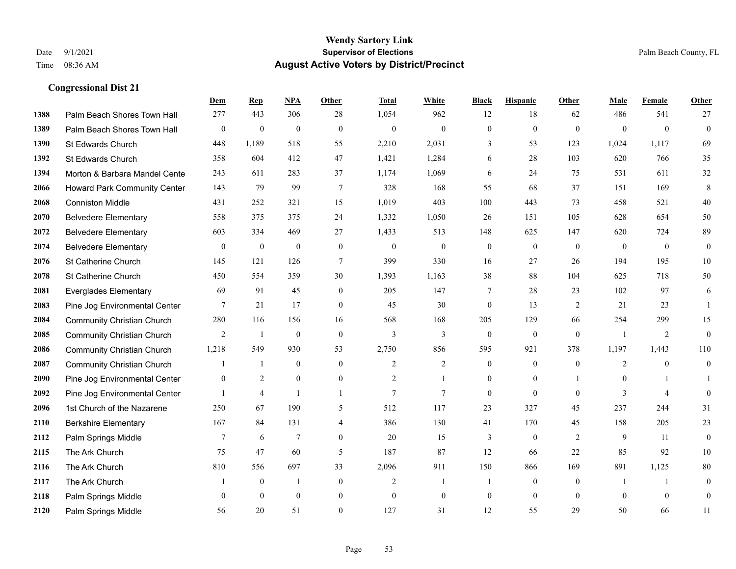|      |                                   | Dem              | <b>Rep</b>       | NPA              | <b>Other</b>   | <b>Total</b>   | <b>White</b>     | <b>Black</b>     | <b>Hispanic</b>  | <b>Other</b>   | <b>Male</b>    | <b>Female</b>  | Other            |
|------|-----------------------------------|------------------|------------------|------------------|----------------|----------------|------------------|------------------|------------------|----------------|----------------|----------------|------------------|
| 1388 | Palm Beach Shores Town Hall       | 277              | 443              | 306              | 28             | 1,054          | 962              | 12               | 18               | 62             | 486            | 541            | 27               |
| 1389 | Palm Beach Shores Town Hall       | $\boldsymbol{0}$ | $\mathbf{0}$     | $\mathbf{0}$     | $\theta$       | $\mathbf{0}$   | $\mathbf{0}$     | $\mathbf{0}$     | $\mathbf{0}$     | $\mathbf{0}$   | $\theta$       | $\theta$       | $\overline{0}$   |
| 1390 | St Edwards Church                 | 448              | 1,189            | 518              | 55             | 2,210          | 2,031            | 3                | 53               | 123            | 1,024          | 1,117          | 69               |
| 1392 | St Edwards Church                 | 358              | 604              | 412              | 47             | 1,421          | 1,284            | 6                | 28               | 103            | 620            | 766            | 35               |
| 1394 | Morton & Barbara Mandel Cente     | 243              | 611              | 283              | 37             | 1,174          | 1,069            | 6                | 24               | 75             | 531            | 611            | 32               |
| 2066 | Howard Park Community Center      | 143              | 79               | 99               | 7              | 328            | 168              | 55               | 68               | 37             | 151            | 169            | 8                |
| 2068 | <b>Conniston Middle</b>           | 431              | 252              | 321              | 15             | 1,019          | 403              | 100              | 443              | 73             | 458            | 521            | $40\,$           |
| 2070 | <b>Belvedere Elementary</b>       | 558              | 375              | 375              | 24             | 1,332          | 1,050            | 26               | 151              | 105            | 628            | 654            | 50               |
| 2072 | <b>Belvedere Elementary</b>       | 603              | 334              | 469              | 27             | 1,433          | 513              | 148              | 625              | 147            | 620            | 724            | 89               |
| 2074 | <b>Belvedere Elementary</b>       | $\mathbf{0}$     | $\boldsymbol{0}$ | $\boldsymbol{0}$ | $\mathbf{0}$   | $\mathbf{0}$   | $\boldsymbol{0}$ | $\overline{0}$   | $\overline{0}$   | $\theta$       | $\mathbf{0}$   | $\theta$       | $\overline{0}$   |
| 2076 | St Catherine Church               | 145              | 121              | 126              | $\overline{7}$ | 399            | 330              | 16               | 27               | 26             | 194            | 195            | $10\,$           |
| 2078 | St Catherine Church               | 450              | 554              | 359              | 30             | 1,393          | 1,163            | 38               | 88               | 104            | 625            | 718            | 50               |
| 2081 | <b>Everglades Elementary</b>      | 69               | 91               | 45               | $\mathbf{0}$   | 205            | 147              | 7                | 28               | 23             | 102            | 97             | 6                |
| 2083 | Pine Jog Environmental Center     | 7                | 21               | 17               | $\mathbf{0}$   | 45             | 30               | $\boldsymbol{0}$ | 13               | $\overline{2}$ | 21             | 23             | $\overline{1}$   |
| 2084 | <b>Community Christian Church</b> | 280              | 116              | 156              | 16             | 568            | 168              | 205              | 129              | 66             | 254            | 299            | 15               |
| 2085 | <b>Community Christian Church</b> | 2                | -1               | $\mathbf{0}$     | $\mathbf{0}$   | 3              | 3                | $\overline{0}$   | $\mathbf{0}$     | $\theta$       | $\overline{1}$ | 2              | $\overline{0}$   |
| 2086 | <b>Community Christian Church</b> | 1,218            | 549              | 930              | 53             | 2,750          | 856              | 595              | 921              | 378            | 1,197          | 1,443          | 110              |
| 2087 | <b>Community Christian Church</b> |                  | -1               | $\mathbf{0}$     | $\theta$       | $\overline{2}$ | $\overline{c}$   | $\overline{0}$   | $\overline{0}$   | $\mathbf{0}$   | 2              | $\theta$       | $\overline{0}$   |
| 2090 | Pine Jog Environmental Center     | $\mathbf{0}$     | $\overline{2}$   | $\mathbf{0}$     | $\mathbf{0}$   | $\overline{2}$ | 1                | $\overline{0}$   | $\overline{0}$   |                | $\mathbf{0}$   |                |                  |
| 2092 | Pine Jog Environmental Center     |                  | $\overline{4}$   | $\mathbf{1}$     | $\mathbf{1}$   | $\overline{7}$ | $\overline{7}$   | $\mathbf{0}$     | $\mathbf{0}$     | $\mathbf{0}$   | $\overline{3}$ | $\overline{4}$ | $\boldsymbol{0}$ |
| 2096 | 1st Church of the Nazarene        | 250              | 67               | 190              | 5              | 512            | 117              | 23               | 327              | 45             | 237            | 244            | 31               |
| 2110 | <b>Berkshire Elementary</b>       | 167              | 84               | 131              | $\overline{4}$ | 386            | 130              | 41               | 170              | 45             | 158            | 205            | 23               |
| 2112 | Palm Springs Middle               | 7                | 6                | $\tau$           | $\overline{0}$ | 20             | 15               | 3                | $\boldsymbol{0}$ | $\overline{2}$ | 9              | 11             | $\overline{0}$   |
| 2115 | The Ark Church                    | 75               | 47               | 60               | 5              | 187            | 87               | 12               | 66               | 22             | 85             | 92             | 10               |
| 2116 | The Ark Church                    | 810              | 556              | 697              | 33             | 2,096          | 911              | 150              | 866              | 169            | 891            | 1,125          | 80               |
| 2117 | The Ark Church                    |                  | $\boldsymbol{0}$ | -1               | $\mathbf{0}$   | $\overline{2}$ | 1                | 1                | $\overline{0}$   | $\overline{0}$ | -1             | $\mathbf{1}$   | $\mathbf{0}$     |
| 2118 | Palm Springs Middle               | $\mathbf{0}$     | $\mathbf{0}$     | $\mathbf{0}$     | $\mathbf{0}$   | $\theta$       | $\mathbf{0}$     | $\boldsymbol{0}$ | $\overline{0}$   | $\mathbf{0}$   | $\mathbf{0}$   | $\mathbf{0}$   | $\boldsymbol{0}$ |
| 2120 | Palm Springs Middle               | 56               | 20               | 51               | $\theta$       | 127            | 31               | 12               | 55               | 29             | 50             | 66             | 11               |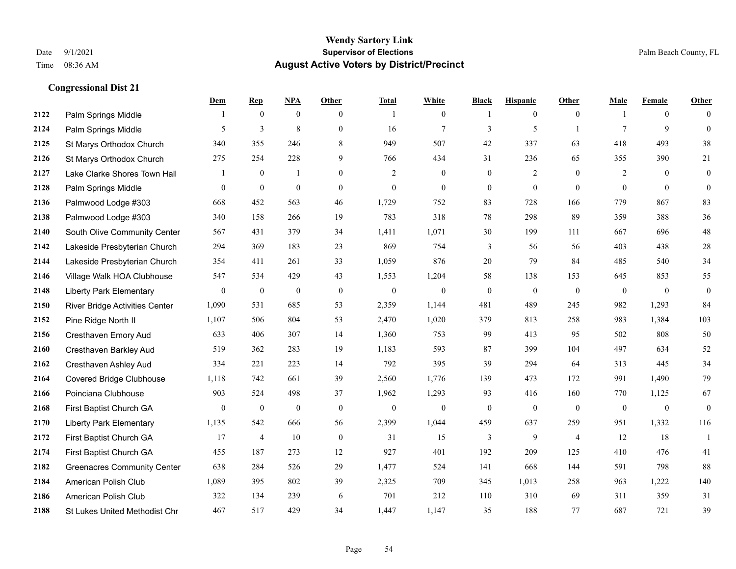|      |                                      | Dem          | <b>Rep</b>       | NPA              | <b>Other</b>   | <b>Total</b> | <b>White</b>   | <b>Black</b>     | <b>Hispanic</b> | Other          | <b>Male</b>    | <b>Female</b>  | <b>Other</b>     |
|------|--------------------------------------|--------------|------------------|------------------|----------------|--------------|----------------|------------------|-----------------|----------------|----------------|----------------|------------------|
| 2122 | Palm Springs Middle                  | 1            | $\mathbf{0}$     | $\mathbf{0}$     | $\overline{0}$ |              | $\overline{0}$ | -1               | $\overline{0}$  | $\overline{0}$ | -1             | $\overline{0}$ | $\theta$         |
| 2124 | Palm Springs Middle                  | 5            | 3                | 8                | $\overline{0}$ | 16           | $\tau$         | 3                | 5               | $\overline{1}$ | 7              | 9              | $\mathbf{0}$     |
| 2125 | St Marys Orthodox Church             | 340          | 355              | 246              | 8              | 949          | 507            | 42               | 337             | 63             | 418            | 493            | 38               |
| 2126 | St Marys Orthodox Church             | 275          | 254              | 228              | 9              | 766          | 434            | 31               | 236             | 65             | 355            | 390            | 21               |
| 2127 | Lake Clarke Shores Town Hall         |              | $\mathbf{0}$     | $\mathbf{1}$     | $\overline{0}$ | 2            | $\overline{0}$ | $\mathbf{0}$     | $\overline{2}$  | $\theta$       | 2              | $\theta$       | $\boldsymbol{0}$ |
| 2128 | Palm Springs Middle                  | $\mathbf{0}$ | $\boldsymbol{0}$ | $\mathbf{0}$     | $\overline{0}$ | $\mathbf{0}$ | $\overline{0}$ | $\boldsymbol{0}$ | $\mathbf{0}$    | $\theta$       | $\mathbf{0}$   | $\mathbf{0}$   | $\mathbf{0}$     |
| 2136 | Palmwood Lodge #303                  | 668          | 452              | 563              | 46             | 1,729        | 752            | 83               | 728             | 166            | 779            | 867            | 83               |
| 2138 | Palmwood Lodge #303                  | 340          | 158              | 266              | 19             | 783          | 318            | 78               | 298             | 89             | 359            | 388            | 36               |
| 2140 | South Olive Community Center         | 567          | 431              | 379              | 34             | 1,411        | 1,071          | 30               | 199             | 111            | 667            | 696            | 48               |
| 2142 | Lakeside Presbyterian Church         | 294          | 369              | 183              | 23             | 869          | 754            | 3                | 56              | 56             | 403            | 438            | 28               |
| 2144 | Lakeside Presbyterian Church         | 354          | 411              | 261              | 33             | 1,059        | 876            | 20               | 79              | 84             | 485            | 540            | 34               |
| 2146 | Village Walk HOA Clubhouse           | 547          | 534              | 429              | 43             | 1,553        | 1,204          | 58               | 138             | 153            | 645            | 853            | 55               |
| 2148 | <b>Liberty Park Elementary</b>       | $\mathbf{0}$ | $\boldsymbol{0}$ | $\boldsymbol{0}$ | $\mathbf{0}$   | $\mathbf{0}$ | $\overline{0}$ | $\boldsymbol{0}$ | $\mathbf{0}$    | $\theta$       | $\overline{0}$ | $\mathbf{0}$   | $\boldsymbol{0}$ |
| 2150 | River Bridge Activities Center       | 1,090        | 531              | 685              | 53             | 2,359        | 1,144          | 481              | 489             | 245            | 982            | 1,293          | 84               |
| 2152 | Pine Ridge North II                  | 1,107        | 506              | 804              | 53             | 2,470        | 1,020          | 379              | 813             | 258            | 983            | 1,384          | 103              |
| 2156 | Cresthaven Emory Aud                 | 633          | 406              | 307              | 14             | 1,360        | 753            | 99               | 413             | 95             | 502            | 808            | 50               |
| 2160 | Cresthaven Barkley Aud               | 519          | 362              | 283              | 19             | 1,183        | 593            | 87               | 399             | 104            | 497            | 634            | 52               |
| 2162 | Cresthaven Ashley Aud                | 334          | 221              | 223              | 14             | 792          | 395            | 39               | 294             | 64             | 313            | 445            | 34               |
| 2164 | <b>Covered Bridge Clubhouse</b>      | 1,118        | 742              | 661              | 39             | 2,560        | 1,776          | 139              | 473             | 172            | 991            | 1,490          | 79               |
| 2166 | Poinciana Clubhouse                  | 903          | 524              | 498              | 37             | 1,962        | 1,293          | 93               | 416             | 160            | 770            | 1,125          | 67               |
| 2168 | First Baptist Church GA              | $\mathbf{0}$ | $\boldsymbol{0}$ | $\mathbf{0}$     | $\theta$       | $\theta$     | $\overline{0}$ | $\mathbf{0}$     | $\mathbf{0}$    | $\theta$       | $\overline{0}$ | $\mathbf{0}$   | $\theta$         |
| 2170 | <b>Liberty Park Elementary</b>       | 1,135        | 542              | 666              | 56             | 2,399        | 1,044          | 459              | 637             | 259            | 951            | 1,332          | 116              |
| 2172 | First Baptist Church GA              | 17           | $\overline{4}$   | 10               | $\theta$       | 31           | 15             | 3                | 9               | $\overline{4}$ | 12             | 18             | -1               |
| 2174 | First Baptist Church GA              | 455          | 187              | 273              | 12             | 927          | 401            | 192              | 209             | 125            | 410            | 476            | 41               |
| 2182 | <b>Greenacres Community Center</b>   | 638          | 284              | 526              | 29             | 1,477        | 524            | 141              | 668             | 144            | 591            | 798            | 88               |
| 2184 | American Polish Club                 | 1,089        | 395              | 802              | 39             | 2,325        | 709            | 345              | 1,013           | 258            | 963            | 1,222          | 140              |
| 2186 | American Polish Club                 | 322          | 134              | 239              | 6              | 701          | 212            | 110              | 310             | 69             | 311            | 359            | 31               |
| 2188 | <b>St Lukes United Methodist Chr</b> | 467          | 517              | 429              | 34             | 1,447        | 1,147          | 35               | 188             | 77             | 687            | 721            | 39               |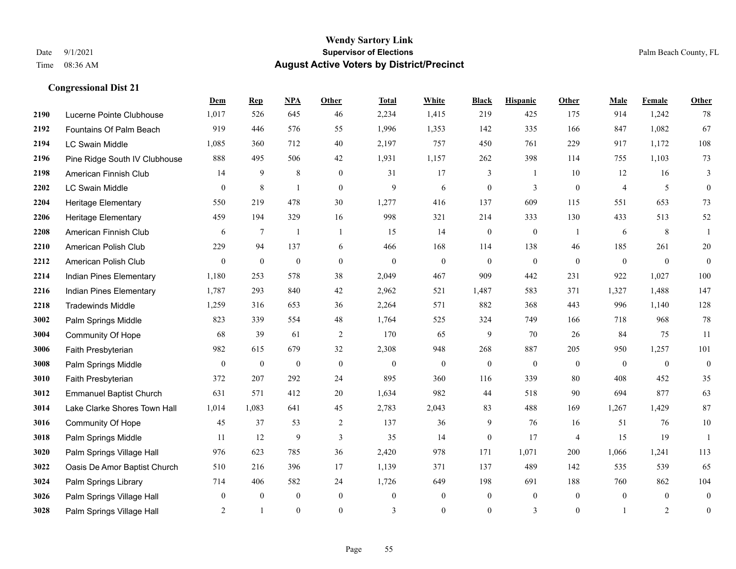#### **Wendy Sartory Link** Date 9/1/2021 **Supervisor of Elections** Palm Beach County, FL Time 08:36 AM **August Active Voters by District/Precinct**

# **Dem Rep NPA Other Total White Black Hispanic Other Male Female Other** Lucerne Pointe Clubhouse 1,017 526 645 46 2,234 1,415 219 425 175 914 1,242 78 Fountains Of Palm Beach 919 446 576 55 1,996 1,353 142 335 166 847 1,082 67 LC Swain Middle 1,085 360 712 40 2,197 757 450 761 229 917 1,172 108 Pine Ridge South IV Clubhouse 888 495 506 42 1,931 1,157 262 398 114 755 1,103 73 American Finnish Club 14 9 8 0 31 17 3 1 10 12 16 3 LC Swain Middle 0 8 1 0 9 6 0 3 0 4 5 0 Heritage Elementary 550 219 478 30 1,277 416 137 609 115 551 653 73 Heritage Elementary 459 194 329 16 998 321 214 333 130 433 513 52 American Finnish Club 6 7 1 1 1 15 14 0 0 1 6 8 1 American Polish Club 229 94 137 6 466 168 114 138 46 185 261 20 American Polish Club 0 0 0 0 0 0 0 0 0 0 0 0 Indian Pines Elementary 1,180 253 578 38 2,049 467 909 442 231 922 1,027 100 Indian Pines Elementary 1,787 293 840 42 2,962 521 1,487 583 371 1,327 1,488 147 Tradewinds Middle 1,259 316 653 36 2,264 571 882 368 443 996 1,140 128 Palm Springs Middle 823 339 554 48 1,764 525 324 749 166 718 968 78 Community Of Hope 68 39 61 2 170 65 9 70 26 84 75 11 Faith Presbyterian 982 615 679 32 2,308 948 268 887 205 950 1,257 101 Palm Springs Middle  $\begin{pmatrix} 0 & 0 & 0 & 0 \\ 0 & 0 & 0 & 0 \\ 0 & 0 & 0 & 0 \end{pmatrix}$  Faith Presbyterian 372 207 292 24 895 360 116 339 80 408 452 35 Emmanuel Baptist Church 631 571 412 20 1,634 982 44 518 90 694 877 63 Lake Clarke Shores Town Hall 1,014 1,083 641 45 2,783 2,043 83 488 169 1,267 1,429 87 Community Of Hope 45 37 53 2 137 36 9 76 16 51 76 10 Palm Springs Middle 1 11 12 9 3 35 14 0 17 4 15 19 1 Palm Springs Village Hall 976 623 785 36 2,420 978 171 1,071 200 1,066 1,241 113 Oasis De Amor Baptist Church 510 216 396 17 1,139 371 137 489 142 535 539 65 Palm Springs Library 714 406 582 24 1,726 649 198 691 188 760 862 104 Palm Springs Village Hall 0 0 0 0 0 0 0 0 0 0 0 0 Palm Springs Village Hall 2 1 0 0 3 0 0 3 0 1 2 0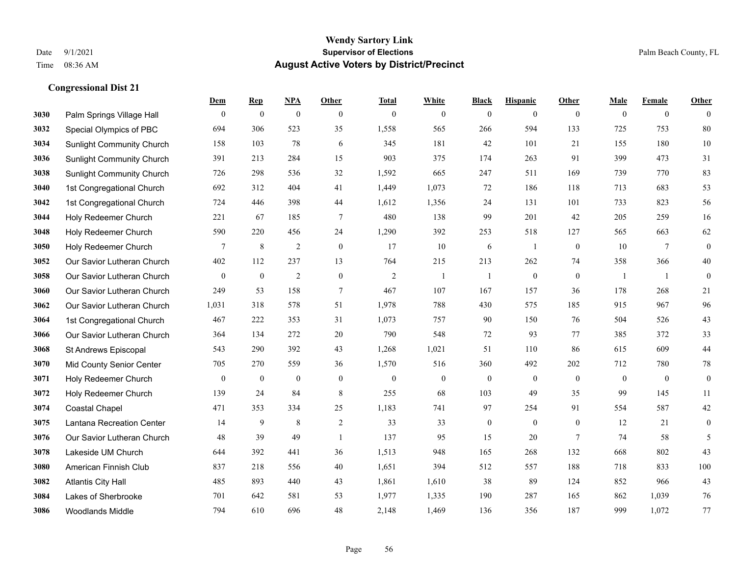### **Wendy Sartory Link** Date 9/1/2021 **Supervisor of Elections** Palm Beach County, FL Time 08:36 AM **August Active Voters by District/Precinct**

|      |                                  | Dem            | <b>Rep</b>       | NPA              | Other            | <b>Total</b>   | White            | <b>Black</b>     | <b>Hispanic</b> | Other           | Male             | Female         | Other            |
|------|----------------------------------|----------------|------------------|------------------|------------------|----------------|------------------|------------------|-----------------|-----------------|------------------|----------------|------------------|
| 3030 | Palm Springs Village Hall        | $\overline{0}$ | $\mathbf{0}$     | $\mathbf{0}$     | $\theta$         | $\mathbf{0}$   | $\mathbf{0}$     | $\mathbf{0}$     | $\mathbf{0}$    | $\theta$        | $\theta$         | $\mathbf{0}$   | $\mathbf{0}$     |
| 3032 | Special Olympics of PBC          | 694            | 306              | 523              | 35               | 1,558          | 565              | 266              | 594             | 133             | 725              | 753            | 80               |
| 3034 | <b>Sunlight Community Church</b> | 158            | 103              | 78               | 6                | 345            | 181              | 42               | 101             | 21              | 155              | 180            | 10               |
| 3036 | <b>Sunlight Community Church</b> | 391            | 213              | 284              | 15               | 903            | 375              | 174              | 263             | 91              | 399              | 473            | 31               |
| 3038 | <b>Sunlight Community Church</b> | 726            | 298              | 536              | 32               | 1,592          | 665              | 247              | 511             | 169             | 739              | 770            | 83               |
| 3040 | 1st Congregational Church        | 692            | 312              | 404              | 41               | 1,449          | 1,073            | 72               | 186             | 118             | 713              | 683            | 53               |
| 3042 | 1st Congregational Church        | 724            | 446              | 398              | 44               | 1,612          | 1,356            | 24               | 131             | 101             | 733              | 823            | 56               |
| 3044 | Holy Redeemer Church             | 221            | 67               | 185              | 7                | 480            | 138              | 99               | 201             | 42              | 205              | 259            | 16               |
| 3048 | Holy Redeemer Church             | 590            | 220              | 456              | 24               | 1,290          | 392              | 253              | 518             | 127             | 565              | 663            | 62               |
| 3050 | Holy Redeemer Church             | $\overline{7}$ | $\,8\,$          | $\sqrt{2}$       | $\boldsymbol{0}$ | 17             | $10\,$           | 6                | -1              | $\mathbf{0}$    | 10               | $\overline{7}$ | $\boldsymbol{0}$ |
| 3052 | Our Savior Lutheran Church       | 402            | 112              | 237              | 13               | 764            | 215              | 213              | 262             | 74              | 358              | 366            | 40               |
| 3058 | Our Savior Lutheran Church       | $\overline{0}$ | $\mathbf{0}$     | $\overline{2}$   | $\mathbf{0}$     | $\overline{2}$ | -1               | -1               | $\mathbf{0}$    | $\mathbf{0}$    | -1               | -1             | $\boldsymbol{0}$ |
| 3060 | Our Savior Lutheran Church       | 249            | 53               | 158              | 7                | 467            | 107              | 167              | 157             | 36              | 178              | 268            | 21               |
| 3062 | Our Savior Lutheran Church       | 1,031          | 318              | 578              | 51               | 1,978          | 788              | 430              | 575             | 185             | 915              | 967            | 96               |
| 3064 | 1st Congregational Church        | 467            | 222              | 353              | 31               | 1,073          | 757              | 90               | 150             | 76              | 504              | 526            | 43               |
| 3066 | Our Savior Lutheran Church       | 364            | 134              | 272              | 20               | 790            | 548              | $72\,$           | 93              | 77              | 385              | 372            | 33               |
| 3068 | St Andrews Episcopal             | 543            | 290              | 392              | 43               | 1,268          | 1,021            | 51               | 110             | 86              | 615              | 609            | 44               |
| 3070 | Mid County Senior Center         | 705            | 270              | 559              | 36               | 1,570          | 516              | 360              | 492             | 202             | 712              | 780            | $78\,$           |
| 3071 | Holy Redeemer Church             | $\overline{0}$ | $\boldsymbol{0}$ | $\boldsymbol{0}$ | $\mathbf{0}$     | $\mathbf{0}$   | $\boldsymbol{0}$ | $\boldsymbol{0}$ | $\mathbf{0}$    | $\mathbf{0}$    | $\boldsymbol{0}$ | $\overline{0}$ | $\boldsymbol{0}$ |
| 3072 | Holy Redeemer Church             | 139            | 24               | 84               | 8                | 255            | 68               | 103              | 49              | 35              | 99               | 145            | 11               |
| 3074 | <b>Coastal Chapel</b>            | 471            | 353              | 334              | 25               | 1,183          | 741              | 97               | 254             | 91              | 554              | 587            | 42               |
| 3075 | Lantana Recreation Center        | 14             | 9                | 8                | $\overline{2}$   | 33             | 33               | $\boldsymbol{0}$ | $\mathbf{0}$    | $\overline{0}$  | 12               | 21             | $\mathbf{0}$     |
| 3076 | Our Savior Lutheran Church       | 48             | 39               | 49               | $\mathbf{1}$     | 137            | 95               | 15               | 20              | $7\phantom{.0}$ | 74               | 58             | 5                |
| 3078 | Lakeside UM Church               | 644            | 392              | 441              | 36               | 1,513          | 948              | 165              | 268             | 132             | 668              | 802            | 43               |
| 3080 | American Finnish Club            | 837            | 218              | 556              | 40               | 1,651          | 394              | 512              | 557             | 188             | 718              | 833            | 100              |
| 3082 | <b>Atlantis City Hall</b>        | 485            | 893              | 440              | 43               | 1,861          | 1,610            | 38               | 89              | 124             | 852              | 966            | 43               |
| 3084 | Lakes of Sherbrooke              | 701            | 642              | 581              | 53               | 1,977          | 1,335            | 190              | 287             | 165             | 862              | 1,039          | 76               |
| 3086 | <b>Woodlands Middle</b>          | 794            | 610              | 696              | 48               | 2,148          | 1,469            | 136              | 356             | 187             | 999              | 1.072          | 77               |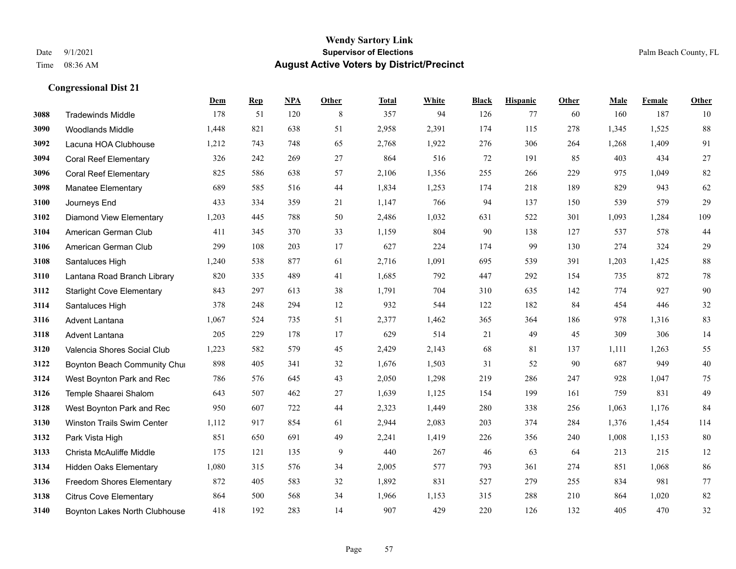|      |                                   | Dem   | <b>Rep</b> | NPA | <b>Other</b> | <b>Total</b> | <b>White</b> | <b>Black</b> | <b>Hispanic</b> | <b>Other</b> | <b>Male</b> | Female | <b>Other</b> |
|------|-----------------------------------|-------|------------|-----|--------------|--------------|--------------|--------------|-----------------|--------------|-------------|--------|--------------|
| 3088 | <b>Tradewinds Middle</b>          | 178   | 51         | 120 | 8            | 357          | 94           | 126          | 77              | 60           | 160         | 187    | 10           |
| 3090 | <b>Woodlands Middle</b>           | 1.448 | 821        | 638 | 51           | 2,958        | 2,391        | 174          | 115             | 278          | 1,345       | 1,525  | 88           |
| 3092 | Lacuna HOA Clubhouse              | 1,212 | 743        | 748 | 65           | 2,768        | 1,922        | 276          | 306             | 264          | 1,268       | 1,409  | 91           |
| 3094 | <b>Coral Reef Elementary</b>      | 326   | 242        | 269 | 27           | 864          | 516          | 72           | 191             | 85           | 403         | 434    | $27\,$       |
| 3096 | <b>Coral Reef Elementary</b>      | 825   | 586        | 638 | 57           | 2,106        | 1,356        | 255          | 266             | 229          | 975         | 1,049  | $82\,$       |
| 3098 | <b>Manatee Elementary</b>         | 689   | 585        | 516 | 44           | 1,834        | 1,253        | 174          | 218             | 189          | 829         | 943    | 62           |
| 3100 | Journeys End                      | 433   | 334        | 359 | 21           | 1,147        | 766          | 94           | 137             | 150          | 539         | 579    | 29           |
| 3102 | <b>Diamond View Elementary</b>    | 1,203 | 445        | 788 | 50           | 2,486        | 1,032        | 631          | 522             | 301          | 1,093       | 1,284  | 109          |
| 3104 | American German Club              | 411   | 345        | 370 | 33           | 1,159        | 804          | 90           | 138             | 127          | 537         | 578    | $44\,$       |
| 3106 | American German Club              | 299   | 108        | 203 | 17           | 627          | 224          | 174          | 99              | 130          | 274         | 324    | $29\,$       |
| 3108 | Santaluces High                   | 1,240 | 538        | 877 | 61           | 2,716        | 1,091        | 695          | 539             | 391          | 1,203       | 1,425  | 88           |
| 3110 | Lantana Road Branch Library       | 820   | 335        | 489 | 41           | 1,685        | 792          | 447          | 292             | 154          | 735         | 872    | $78\,$       |
| 3112 | <b>Starlight Cove Elementary</b>  | 843   | 297        | 613 | 38           | 1,791        | 704          | 310          | 635             | 142          | 774         | 927    | $90\,$       |
| 3114 | Santaluces High                   | 378   | 248        | 294 | 12           | 932          | 544          | 122          | 182             | 84           | 454         | 446    | $32\,$       |
| 3116 | Advent Lantana                    | 1,067 | 524        | 735 | 51           | 2,377        | 1,462        | 365          | 364             | 186          | 978         | 1,316  | 83           |
| 3118 | <b>Advent Lantana</b>             | 205   | 229        | 178 | 17           | 629          | 514          | 21           | 49              | 45           | 309         | 306    | 14           |
| 3120 | Valencia Shores Social Club       | 1,223 | 582        | 579 | 45           | 2,429        | 2,143        | 68           | 81              | 137          | 1,111       | 1,263  | 55           |
| 3122 | Boynton Beach Community Chur      | 898   | 405        | 341 | 32           | 1,676        | 1,503        | 31           | 52              | 90           | 687         | 949    | $40\,$       |
| 3124 | West Boynton Park and Rec         | 786   | 576        | 645 | 43           | 2,050        | 1,298        | 219          | 286             | 247          | 928         | 1,047  | 75           |
| 3126 | Temple Shaarei Shalom             | 643   | 507        | 462 | 27           | 1,639        | 1,125        | 154          | 199             | 161          | 759         | 831    | 49           |
| 3128 | West Boynton Park and Rec         | 950   | 607        | 722 | 44           | 2,323        | 1,449        | 280          | 338             | 256          | 1,063       | 1,176  | 84           |
| 3130 | <b>Winston Trails Swim Center</b> | 1,112 | 917        | 854 | 61           | 2,944        | 2,083        | 203          | 374             | 284          | 1,376       | 1,454  | 114          |
| 3132 | Park Vista High                   | 851   | 650        | 691 | 49           | 2,241        | 1,419        | 226          | 356             | 240          | 1,008       | 1,153  | 80           |
| 3133 | Christa McAuliffe Middle          | 175   | 121        | 135 | 9            | 440          | 267          | 46           | 63              | 64           | 213         | 215    | 12           |
| 3134 | <b>Hidden Oaks Elementary</b>     | 1,080 | 315        | 576 | 34           | 2,005        | 577          | 793          | 361             | 274          | 851         | 1.068  | 86           |
| 3136 | Freedom Shores Elementary         | 872   | 405        | 583 | 32           | 1,892        | 831          | 527          | 279             | 255          | 834         | 981    | $77\,$       |
| 3138 | <b>Citrus Cove Elementary</b>     | 864   | 500        | 568 | 34           | 1,966        | 1,153        | 315          | 288             | 210          | 864         | 1,020  | 82           |
| 3140 | Boynton Lakes North Clubhouse     | 418   | 192        | 283 | 14           | 907          | 429          | 220          | 126             | 132          | 405         | 470    | $32\,$       |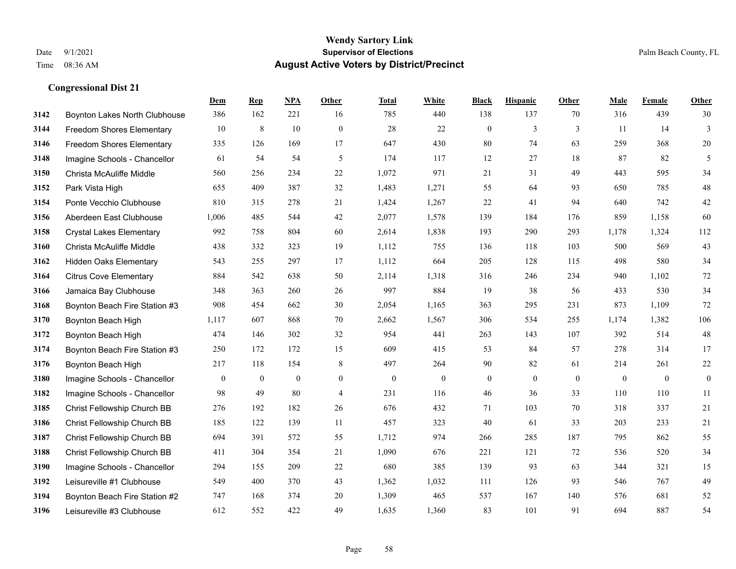|      |                                  | Dem          | <b>Rep</b> | NPA            | <b>Other</b>   | <b>Total</b> | <b>White</b>     | <b>Black</b>     | <b>Hispanic</b> | <b>Other</b> | <b>Male</b>  | Female       | <b>Other</b>     |
|------|----------------------------------|--------------|------------|----------------|----------------|--------------|------------------|------------------|-----------------|--------------|--------------|--------------|------------------|
| 3142 | Boynton Lakes North Clubhouse    | 386          | 162        | 221            | 16             | 785          | 440              | 138              | 137             | 70           | 316          | 439          | 30               |
| 3144 | <b>Freedom Shores Elementary</b> | 10           | 8          | 10             | $\mathbf{0}$   | 28           | 22               | $\mathbf{0}$     | 3               | 3            | 11           | 14           | $\overline{3}$   |
| 3146 | Freedom Shores Elementary        | 335          | 126        | 169            | 17             | 647          | 430              | 80               | 74              | 63           | 259          | 368          | $20\,$           |
| 3148 | Imagine Schools - Chancellor     | 61           | 54         | 54             | 5              | 174          | 117              | 12               | 27              | 18           | 87           | 82           | 5                |
| 3150 | Christa McAuliffe Middle         | 560          | 256        | 234            | 22             | 1,072        | 971              | 21               | 31              | 49           | 443          | 595          | 34               |
| 3152 | Park Vista High                  | 655          | 409        | 387            | 32             | 1,483        | 1,271            | 55               | 64              | 93           | 650          | 785          | $48\,$           |
| 3154 | Ponte Vecchio Clubhouse          | 810          | 315        | 278            | 21             | 1,424        | 1,267            | 22               | 41              | 94           | 640          | 742          | $42\,$           |
| 3156 | Aberdeen East Clubhouse          | 1,006        | 485        | 544            | 42             | 2,077        | 1,578            | 139              | 184             | 176          | 859          | 1,158        | 60               |
| 3158 | <b>Crystal Lakes Elementary</b>  | 992          | 758        | 804            | 60             | 2,614        | 1,838            | 193              | 290             | 293          | 1,178        | 1,324        | 112              |
| 3160 | Christa McAuliffe Middle         | 438          | 332        | 323            | 19             | 1,112        | 755              | 136              | 118             | 103          | 500          | 569          | 43               |
| 3162 | <b>Hidden Oaks Elementary</b>    | 543          | 255        | 297            | 17             | 1,112        | 664              | 205              | 128             | 115          | 498          | 580          | 34               |
| 3164 | <b>Citrus Cove Elementary</b>    | 884          | 542        | 638            | 50             | 2,114        | 1,318            | 316              | 246             | 234          | 940          | 1,102        | $72\,$           |
| 3166 | Jamaica Bay Clubhouse            | 348          | 363        | 260            | 26             | 997          | 884              | 19               | 38              | 56           | 433          | 530          | 34               |
| 3168 | Boynton Beach Fire Station #3    | 908          | 454        | 662            | 30             | 2,054        | 1,165            | 363              | 295             | 231          | 873          | 1,109        | 72               |
| 3170 | Boynton Beach High               | 1,117        | 607        | 868            | 70             | 2,662        | 1,567            | 306              | 534             | 255          | 1,174        | 1,382        | 106              |
| 3172 | Boynton Beach High               | 474          | 146        | 302            | 32             | 954          | 441              | 263              | 143             | 107          | 392          | 514          | 48               |
| 3174 | Boynton Beach Fire Station #3    | 250          | 172        | 172            | 15             | 609          | 415              | 53               | 84              | 57           | 278          | 314          | 17               |
| 3176 | Boynton Beach High               | 217          | 118        | 154            | 8              | 497          | 264              | 90               | 82              | 61           | 214          | 261          | $22\,$           |
| 3180 | Imagine Schools - Chancellor     | $\mathbf{0}$ | $\bf{0}$   | $\overline{0}$ | $\overline{0}$ | $\mathbf{0}$ | $\boldsymbol{0}$ | $\boldsymbol{0}$ | $\mathbf{0}$    | $\mathbf{0}$ | $\mathbf{0}$ | $\mathbf{0}$ | $\boldsymbol{0}$ |
| 3182 | Imagine Schools - Chancellor     | 98           | 49         | 80             | $\overline{4}$ | 231          | 116              | 46               | 36              | 33           | 110          | 110          | 11               |
| 3185 | Christ Fellowship Church BB      | 276          | 192        | 182            | 26             | 676          | 432              | 71               | 103             | 70           | 318          | 337          | 21               |
| 3186 | Christ Fellowship Church BB      | 185          | 122        | 139            | 11             | 457          | 323              | 40               | 61              | 33           | 203          | 233          | 21               |
| 3187 | Christ Fellowship Church BB      | 694          | 391        | 572            | 55             | 1,712        | 974              | 266              | 285             | 187          | 795          | 862          | 55               |
| 3188 | Christ Fellowship Church BB      | 411          | 304        | 354            | 21             | 1,090        | 676              | 221              | 121             | 72           | 536          | 520          | 34               |
| 3190 | Imagine Schools - Chancellor     | 294          | 155        | 209            | 22             | 680          | 385              | 139              | 93              | 63           | 344          | 321          | 15               |
| 3192 | Leisureville #1 Clubhouse        | 549          | 400        | 370            | 43             | 1,362        | 1,032            | 111              | 126             | 93           | 546          | 767          | 49               |
| 3194 | Boynton Beach Fire Station #2    | 747          | 168        | 374            | 20             | 1,309        | 465              | 537              | 167             | 140          | 576          | 681          | 52               |
| 3196 | Leisureville #3 Clubhouse        | 612          | 552        | 422            | 49             | 1,635        | 1,360            | 83               | 101             | 91           | 694          | 887          | 54               |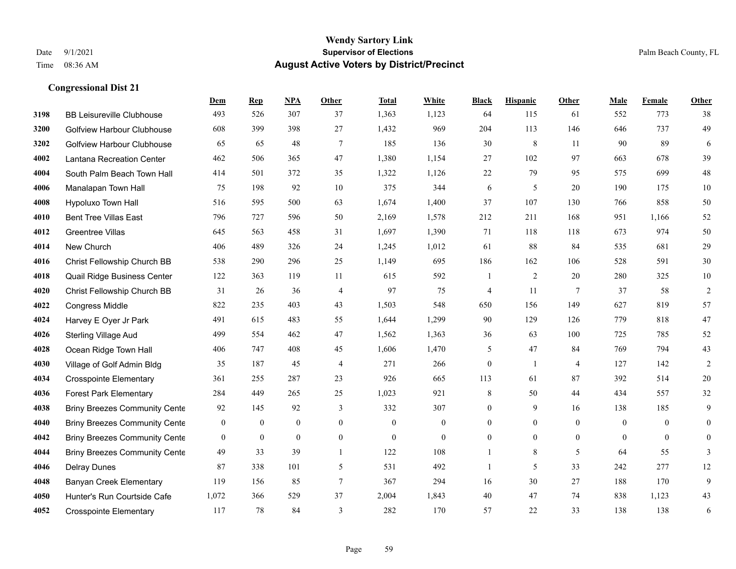#### **Wendy Sartory Link** Date 9/1/2021 **Supervisor of Elections** Palm Beach County, FL Time 08:36 AM **August Active Voters by District/Precinct**

**Dem Rep NPA Other Total White Black Hispanic Other Male Female Other**

# BB Leisureville Clubhouse 493 526 307 37 1,363 1,123 64 115 61 552 773 38 Golfview Harbour Clubhouse 608 399 398 27 1,432 969 204 113 146 646 737 49 Golfview Harbour Clubhouse 65 65 48 7 185 136 30 8 11 90 89 6 Lantana Recreation Center 462 506 365 47 1,380 1,154 27 102 97 663 678 39 South Palm Beach Town Hall 414 501 372 35 1,322 1,126 22 79 95 575 699 48 Manalapan Town Hall 75 198 92 10 375 344 6 5 20 190 175 10 Hypoluxo Town Hall 516 595 500 63 1,674 1,400 37 107 130 766 858 50 Bent Tree Villas East 796 727 596 50 2,169 1,578 212 211 168 951 1,166 52 Greentree Villas 645 563 458 31 1,697 1,390 71 118 118 673 974 50 New Church 406 489 326 24 1,245 1,012 61 88 84 535 681 29 Christ Fellowship Church BB 538 290 296 25 1,149 695 186 162 106 528 591 30 Quail Ridge Business Center 122 363 119 11 615 592 1 2 20 280 325 10 Christ Fellowship Church BB 31 26 36 4 97 75 4 11 7 37 58 2 Congress Middle 822 235 403 43 1,503 548 650 156 149 627 819 57 Harvey E Oyer Jr Park 491 615 483 55 1,644 1,299 90 129 126 779 818 47 Sterling Village Aud 499 554 462 47 1,562 1,363 36 63 100 725 785 52 Ocean Ridge Town Hall 406 747 408 45 1,606 1,470 5 47 84 769 794 43 Village of Golf Admin Bldg 35 187 45 4 271 266 0 1 4 127 142 2 Crosspointe Elementary 361 255 287 23 926 665 113 61 87 392 514 20 Forest Park Elementary 284 449 265 25 1,023 921 8 50 44 434 557 32 Briny Breezes Community Cente 92 145 92 3 332 307 0 9 16 138 185 9 Briny Breezes Community Center 0 0 0 0 0 0 0 0 0 0 0 0 Briny Breezes Community Center 0 0 0 0 0 0 0 0 0 0 0 0 Briny Breezes Community Cente  $\begin{array}{ccccccccc} 49 & 33 & 39 & 1 & 122 & 108 & 1 & 8 & 5 & 64 & 55 & 3 \end{array}$

 Delray Dunes 87 338 101 5 531 492 1 5 33 242 277 12 Banyan Creek Elementary 119 156 85 7 367 294 16 30 27 188 170 9 Hunter's Run Courtside Cafe 1,072 366 529 37 2,004 1,843 40 47 74 838 1,123 43 Crosspointe Elementary 117 78 84 3 282 170 57 22 33 138 138 6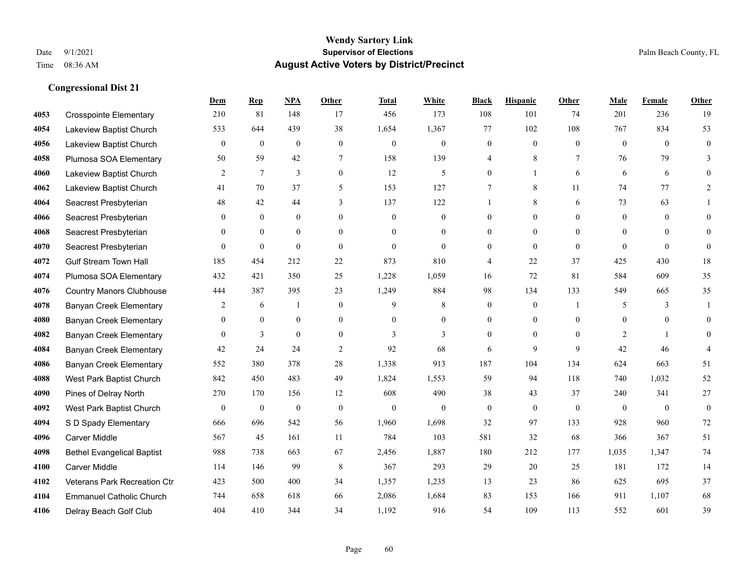#### **Wendy Sartory Link** Date 9/1/2021 **Supervisor of Elections** Palm Beach County, FL Time 08:36 AM **August Active Voters by District/Precinct**

# **Dem Rep NPA Other Total White Black Hispanic Other Male Female Other** Crosspointe Elementary 210 81 148 17 456 173 108 101 74 201 236 19 Lakeview Baptist Church 533 644 439 38 1,654 1,367 77 102 108 767 834 53 Lakeview Baptist Church 0 0 0 0 0 0 0 0 0 0 0 0 Plumosa SOA Elementary 50 59 42 7 158 139 4 8 7 76 79 3 Lakeview Baptist Church 2 7 3 0 12 5 0 1 6 6 6 0 Lakeview Baptist Church 41 70 37 5 153 127 7 8 11 74 77 2 Seacrest Presbyterian **48** 42 44 3 137 122 1 8 6 73 63 1 Seacrest Presbyterian 0 0 0 0 0 0 0 0 0 0 0 0 Seacrest Presbyterian 0 0 0 0 0 0 0 0 0 0 0 0 Seacrest Presbyterian 0 0 0 0 0 0 0 0 0 0 0 0 Gulf Stream Town Hall 185 454 212 22 873 810 4 22 37 425 430 18 Plumosa SOA Elementary 432 421 350 25 1,228 1,059 16 72 81 584 609 35 Country Manors Clubhouse 444 387 395 23 1,249 884 98 134 133 549 665 35 Banyan Creek Elementary 2 6 1 0 9 8 0 0 1 5 3 1 Banyan Creek Elementary 0 0 0 0 0 0 0 0 0 0 0 0 **4082 Banyan Creek Elementary 0 3 0 0 3 3 3 0 0 0 2 1 0 4084 Banyan Creek Elementary 42 24 24 2 92 68 6 9 9 42 46 4**  Banyan Creek Elementary 552 380 378 28 1,338 913 187 104 134 624 663 51 West Park Baptist Church 842 450 483 49 1,824 1,553 59 94 118 740 1,032 52 Pines of Delray North 270 170 156 12 608 490 38 43 37 240 341 27 West Park Baptist Church 0 0 0 0 0 0 0 0 0 0 0 0 S D Spady Elementary 666 696 542 56 1,960 1,698 32 97 133 928 960 72 Carver Middle 567 45 161 11 784 103 581 32 68 366 367 51 Bethel Evangelical Baptist 988 738 663 67 2,456 1,887 180 212 177 1,035 1,347 74 Carver Middle 114 146 99 8 367 293 29 20 25 181 172 14 Veterans Park Recreation Ctr 423 500 400 34 1,357 1,235 13 23 86 625 695 37 Emmanuel Catholic Church 744 658 618 66 2,086 1,684 83 153 166 911 1,107 68 Delray Beach Golf Club 404 410 344 34 1,192 916 54 109 113 552 601 39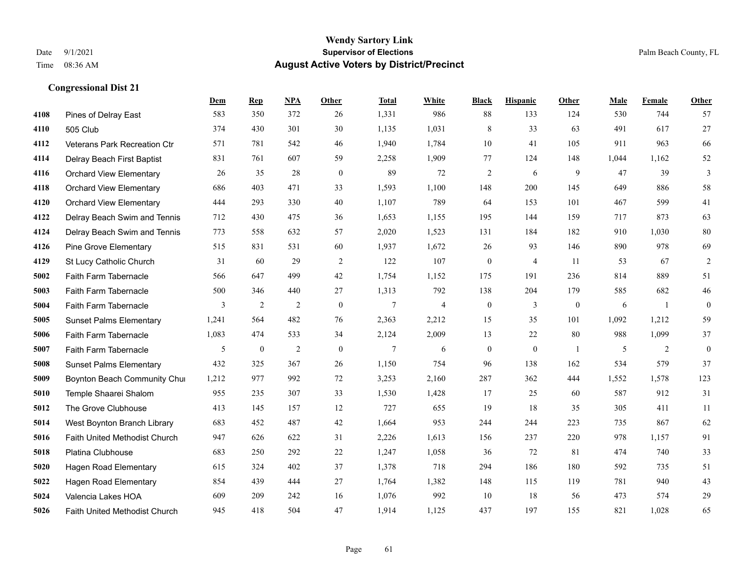#### **Wendy Sartory Link** Date 9/1/2021 **Supervisor of Elections** Palm Beach County, FL Time 08:36 AM **August Active Voters by District/Precinct**

# **Dem Rep NPA Other Total White Black Hispanic Other Male Female Other** Pines of Delray East 583 350 372 26 1,331 986 88 133 124 530 744 57 505 Club 374 430 301 30 1,135 1,031 8 33 63 491 617 27 Veterans Park Recreation Ctr 571 781 542 46 1,940 1,784 10 41 105 911 963 66 Delray Beach First Baptist 831 761 607 59 2,258 1,909 77 124 148 1,044 1,162 52 Orchard View Elementary 26 35 28 0 89 72 2 6 9 47 39 3 Orchard View Elementary 686 403 471 33 1,593 1,100 148 200 145 649 886 58 Orchard View Elementary 444 293 330 40 1,107 789 64 153 101 467 599 41 Delray Beach Swim and Tennis 712 430 475 36 1,653 1,155 195 144 159 717 873 63 Delray Beach Swim and Tennis 773 558 632 57 2,020 1,523 131 184 182 910 1,030 80 Pine Grove Elementary 515 831 531 60 1,937 1,672 26 93 146 890 978 69 St Lucy Catholic Church 31 60 29 2 122 107 0 4 11 53 67 2 Faith Farm Tabernacle 566 647 499 42 1,754 1,152 175 191 236 814 889 51 Faith Farm Tabernacle 500 346 440 27 1,313 792 138 204 179 585 682 46 Faith Farm Tabernacle 3 2 2 0 7 4 0 3 0 6 1 0 Sunset Palms Elementary 1,241 564 482 76 2,363 2,212 15 35 101 1,092 1,212 59 Faith Farm Tabernacle 1,083 474 533 34 2,124 2,009 13 22 80 988 1,099 37 Faith Farm Tabernacle 5 0 2 0 7 6 0 0 1 5 2 0 Sunset Palms Elementary 432 325 367 26 1,150 754 96 138 162 534 579 37 Boynton Beach Community Church 1,212 977 992 72 3,253 2,160 287 362 444 1,552 1,578 123 Temple Shaarei Shalom 955 235 307 33 1,530 1,428 17 25 60 587 912 31 The Grove Clubhouse 413 145 157 12 727 655 19 18 35 305 411 11 West Boynton Branch Library 683 452 487 42 1,664 953 244 244 223 735 867 62 Faith United Methodist Church 947 626 622 31 2,226 1,613 156 237 220 978 1,157 91 Platina Clubhouse 683 250 292 22 1,247 1,058 36 72 81 474 740 33 Hagen Road Elementary 615 324 402 37 1,378 718 294 186 180 592 735 51 Hagen Road Elementary 854 439 444 27 1,764 1,382 148 115 119 781 940 43 Valencia Lakes HOA 609 209 242 16 1,076 992 10 18 56 473 574 29 Faith United Methodist Church 945 418 504 47 1,914 1,125 437 197 155 821 1,028 65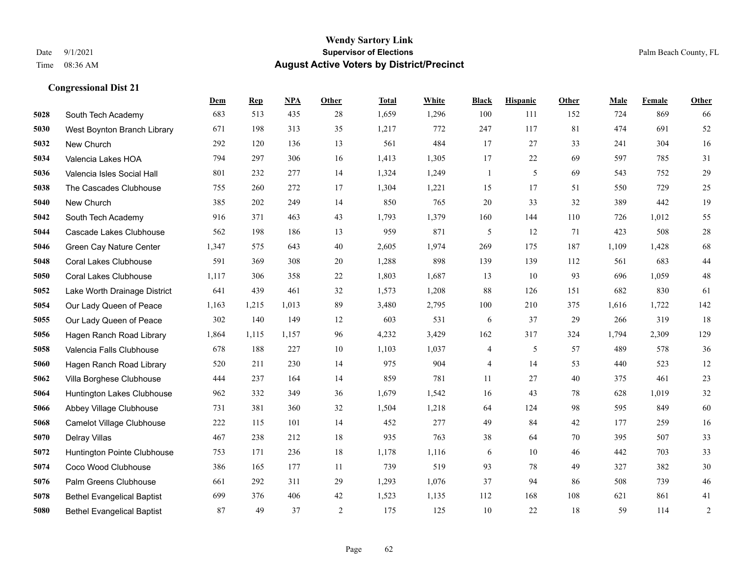|      |                                   | Dem   | <b>Rep</b> | NPA   | <b>Other</b>   | <b>Total</b> | White | <b>Black</b>             | <b>Hispanic</b> | <b>Other</b> | <b>Male</b> | Female | <b>Other</b>   |
|------|-----------------------------------|-------|------------|-------|----------------|--------------|-------|--------------------------|-----------------|--------------|-------------|--------|----------------|
| 5028 | South Tech Academy                | 683   | 513        | 435   | 28             | 1,659        | 1,296 | 100                      | 111             | 152          | 724         | 869    | 66             |
| 5030 | West Boynton Branch Library       | 671   | 198        | 313   | 35             | 1,217        | 772   | 247                      | 117             | 81           | 474         | 691    | 52             |
| 5032 | New Church                        | 292   | 120        | 136   | 13             | 561          | 484   | 17                       | 27              | 33           | 241         | 304    | 16             |
| 5034 | Valencia Lakes HOA                | 794   | 297        | 306   | 16             | 1,413        | 1,305 | 17                       | 22              | 69           | 597         | 785    | 31             |
| 5036 | Valencia Isles Social Hall        | 801   | 232        | 277   | 14             | 1,324        | 1,249 | $\mathbf{1}$             | 5               | 69           | 543         | 752    | $29\,$         |
| 5038 | The Cascades Clubhouse            | 755   | 260        | 272   | 17             | 1,304        | 1,221 | 15                       | 17              | 51           | 550         | 729    | $25\,$         |
| 5040 | New Church                        | 385   | 202        | 249   | 14             | 850          | 765   | 20                       | 33              | 32           | 389         | 442    | 19             |
| 5042 | South Tech Academy                | 916   | 371        | 463   | 43             | 1,793        | 1,379 | 160                      | 144             | 110          | 726         | 1,012  | 55             |
| 5044 | Cascade Lakes Clubhouse           | 562   | 198        | 186   | 13             | 959          | 871   | 5                        | 12              | 71           | 423         | 508    | $28\,$         |
| 5046 | Green Cay Nature Center           | 1,347 | 575        | 643   | 40             | 2,605        | 1,974 | 269                      | 175             | 187          | 1,109       | 1,428  | 68             |
| 5048 | <b>Coral Lakes Clubhouse</b>      | 591   | 369        | 308   | 20             | 1,288        | 898   | 139                      | 139             | 112          | 561         | 683    | $44\,$         |
| 5050 | <b>Coral Lakes Clubhouse</b>      | 1,117 | 306        | 358   | 22             | 1,803        | 1,687 | 13                       | 10              | 93           | 696         | 1.059  | $48\,$         |
| 5052 | Lake Worth Drainage District      | 641   | 439        | 461   | 32             | 1,573        | 1,208 | 88                       | 126             | 151          | 682         | 830    | 61             |
| 5054 | Our Lady Queen of Peace           | 1,163 | 1,215      | 1,013 | 89             | 3,480        | 2,795 | 100                      | 210             | 375          | 1,616       | 1,722  | 142            |
| 5055 | Our Lady Queen of Peace           | 302   | 140        | 149   | 12             | 603          | 531   | 6                        | 37              | 29           | 266         | 319    | 18             |
| 5056 | Hagen Ranch Road Library          | 1,864 | 1,115      | 1,157 | 96             | 4,232        | 3,429 | 162                      | 317             | 324          | 1,794       | 2,309  | 129            |
| 5058 | Valencia Falls Clubhouse          | 678   | 188        | 227   | 10             | 1,103        | 1,037 | 4                        | 5               | 57           | 489         | 578    | 36             |
| 5060 | Hagen Ranch Road Library          | 520   | 211        | 230   | 14             | 975          | 904   | $\overline{\mathcal{A}}$ | 14              | 53           | 440         | 523    | $12\,$         |
| 5062 | Villa Borghese Clubhouse          | 444   | 237        | 164   | 14             | 859          | 781   | 11                       | 27              | 40           | 375         | 461    | $23\,$         |
| 5064 | Huntington Lakes Clubhouse        | 962   | 332        | 349   | 36             | 1,679        | 1,542 | 16                       | 43              | 78           | 628         | 1,019  | $32\,$         |
| 5066 | Abbey Village Clubhouse           | 731   | 381        | 360   | 32             | 1,504        | 1,218 | 64                       | 124             | 98           | 595         | 849    | 60             |
| 5068 | Camelot Village Clubhouse         | 222   | 115        | 101   | 14             | 452          | 277   | 49                       | 84              | 42           | 177         | 259    | 16             |
| 5070 | Delray Villas                     | 467   | 238        | 212   | 18             | 935          | 763   | 38                       | 64              | 70           | 395         | 507    | 33             |
| 5072 | Huntington Pointe Clubhouse       | 753   | 171        | 236   | 18             | 1,178        | 1,116 | 6                        | 10              | 46           | 442         | 703    | 33             |
| 5074 | Coco Wood Clubhouse               | 386   | 165        | 177   | 11             | 739          | 519   | 93                       | 78              | 49           | 327         | 382    | 30             |
| 5076 | Palm Greens Clubhouse             | 661   | 292        | 311   | 29             | 1,293        | 1,076 | 37                       | 94              | 86           | 508         | 739    | $46\,$         |
| 5078 | <b>Bethel Evangelical Baptist</b> | 699   | 376        | 406   | 42             | 1,523        | 1,135 | 112                      | 168             | 108          | 621         | 861    | 41             |
| 5080 | <b>Bethel Evangelical Baptist</b> | 87    | 49         | 37    | $\overline{2}$ | 175          | 125   | 10                       | 22              | 18           | 59          | 114    | $\overline{c}$ |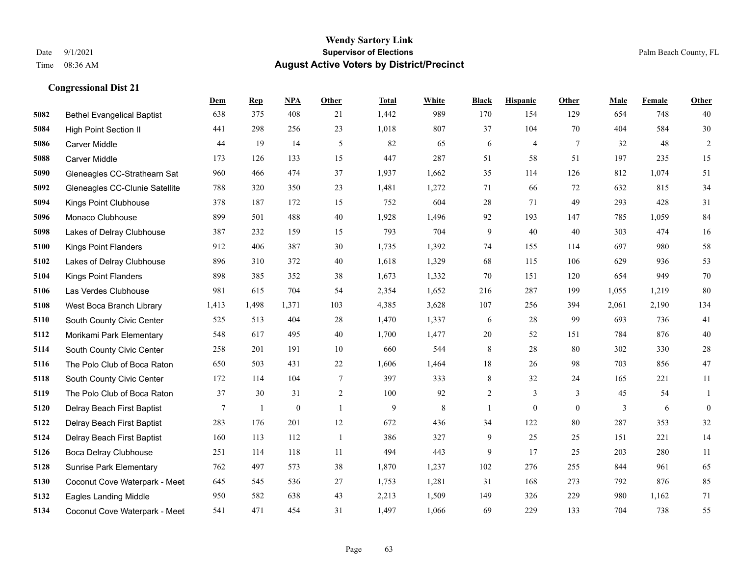|      |                                   | Dem   | <b>Rep</b> | NPA          | <b>Other</b>   | <b>Total</b> | <b>White</b> | <b>Black</b>   | <b>Hispanic</b> | <b>Other</b> | <b>Male</b> | <b>Female</b> | Other            |
|------|-----------------------------------|-------|------------|--------------|----------------|--------------|--------------|----------------|-----------------|--------------|-------------|---------------|------------------|
| 5082 | <b>Bethel Evangelical Baptist</b> | 638   | 375        | 408          | 21             | 1,442        | 989          | 170            | 154             | 129          | 654         | 748           | 40               |
| 5084 | <b>High Point Section II</b>      | 441   | 298        | 256          | 23             | 1,018        | 807          | 37             | 104             | 70           | 404         | 584           | 30               |
| 5086 | <b>Carver Middle</b>              | 44    | 19         | 14           | 5              | 82           | 65           | 6              | 4               | $\tau$       | 32          | 48            | $\overline{c}$   |
| 5088 | <b>Carver Middle</b>              | 173   | 126        | 133          | 15             | 447          | 287          | 51             | 58              | 51           | 197         | 235           | 15               |
| 5090 | Gleneagles CC-Strathearn Sat      | 960   | 466        | 474          | 37             | 1,937        | 1,662        | 35             | 114             | 126          | 812         | 1.074         | 51               |
| 5092 | Gleneagles CC-Clunie Satellite    | 788   | 320        | 350          | 23             | 1,481        | 1,272        | 71             | 66              | 72           | 632         | 815           | 34               |
| 5094 | Kings Point Clubhouse             | 378   | 187        | 172          | 15             | 752          | 604          | 28             | 71              | 49           | 293         | 428           | 31               |
| 5096 | Monaco Clubhouse                  | 899   | 501        | 488          | 40             | 1,928        | 1,496        | 92             | 193             | 147          | 785         | 1,059         | 84               |
| 5098 | Lakes of Delray Clubhouse         | 387   | 232        | 159          | 15             | 793          | 704          | 9              | 40              | 40           | 303         | 474           | 16               |
| 5100 | Kings Point Flanders              | 912   | 406        | 387          | 30             | 1,735        | 1,392        | 74             | 155             | 114          | 697         | 980           | 58               |
| 5102 | Lakes of Delray Clubhouse         | 896   | 310        | 372          | 40             | 1,618        | 1,329        | 68             | 115             | 106          | 629         | 936           | 53               |
| 5104 | <b>Kings Point Flanders</b>       | 898   | 385        | 352          | 38             | 1,673        | 1,332        | 70             | 151             | 120          | 654         | 949           | $70\,$           |
| 5106 | Las Verdes Clubhouse              | 981   | 615        | 704          | 54             | 2,354        | 1,652        | 216            | 287             | 199          | 1,055       | 1,219         | 80               |
| 5108 | West Boca Branch Library          | 1,413 | 1,498      | 1,371        | 103            | 4,385        | 3,628        | 107            | 256             | 394          | 2,061       | 2,190         | 134              |
| 5110 | South County Civic Center         | 525   | 513        | 404          | 28             | 1,470        | 1,337        | 6              | 28              | 99           | 693         | 736           | 41               |
| 5112 | Morikami Park Elementary          | 548   | 617        | 495          | 40             | 1,700        | 1,477        | $20\,$         | 52              | 151          | 784         | 876           | $40\,$           |
| 5114 | South County Civic Center         | 258   | 201        | 191          | 10             | 660          | 544          | $\,8\,$        | 28              | 80           | 302         | 330           | $28\,$           |
| 5116 | The Polo Club of Boca Raton       | 650   | 503        | 431          | 22             | 1,606        | 1,464        | 18             | 26              | 98           | 703         | 856           | 47               |
| 5118 | South County Civic Center         | 172   | 114        | 104          | $\overline{7}$ | 397          | 333          | 8              | 32              | 24           | 165         | 221           | 11               |
| 5119 | The Polo Club of Boca Raton       | 37    | 30         | 31           | $\sqrt{2}$     | 100          | 92           | $\overline{c}$ | 3               | 3            | 45          | 54            | 1                |
| 5120 | Delray Beach First Baptist        | 7     | 1          | $\mathbf{0}$ | $\overline{1}$ | 9            | 8            | $\mathbf{1}$   | $\overline{0}$  | $\mathbf{0}$ | 3           | 6             | $\boldsymbol{0}$ |
| 5122 | Delray Beach First Baptist        | 283   | 176        | 201          | 12             | 672          | 436          | 34             | 122             | 80           | 287         | 353           | 32               |
| 5124 | Delray Beach First Baptist        | 160   | 113        | 112          | -1             | 386          | 327          | 9              | 25              | 25           | 151         | 221           | 14               |
| 5126 | Boca Delray Clubhouse             | 251   | 114        | 118          | 11             | 494          | 443          | 9              | 17              | 25           | 203         | 280           | 11               |
| 5128 | <b>Sunrise Park Elementary</b>    | 762   | 497        | 573          | 38             | 1,870        | 1,237        | 102            | 276             | 255          | 844         | 961           | 65               |
| 5130 | Coconut Cove Waterpark - Meet     | 645   | 545        | 536          | 27             | 1,753        | 1,281        | 31             | 168             | 273          | 792         | 876           | 85               |
| 5132 | <b>Eagles Landing Middle</b>      | 950   | 582        | 638          | 43             | 2,213        | 1,509        | 149            | 326             | 229          | 980         | 1,162         | 71               |
| 5134 | Coconut Cove Waterpark - Meet     | 541   | 471        | 454          | 31             | 1,497        | 1,066        | 69             | 229             | 133          | 704         | 738           | 55               |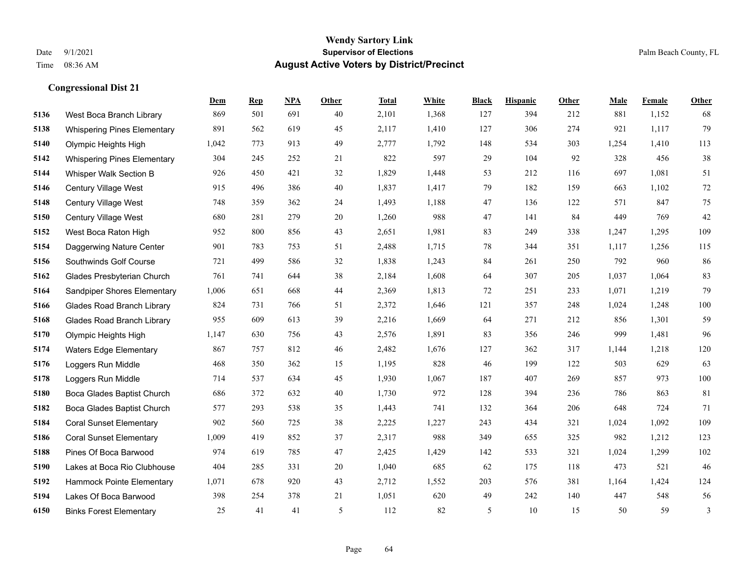#### **Wendy Sartory Link** Date 9/1/2021 **Supervisor of Elections** Palm Beach County, FL Time 08:36 AM **August Active Voters by District/Precinct**

# **Dem Rep NPA Other Total White Black Hispanic Other Male Female Other** West Boca Branch Library 869 501 691 40 2,101 1,368 127 394 212 881 1,152 68 Whispering Pines Elementary 891 562 619 45 2,117 1,410 127 306 274 921 1,117 79 Olympic Heights High 1,042 773 913 49 2,777 1,792 148 534 303 1,254 1,410 113 Whispering Pines Elementary 304 245 252 21 822 597 29 104 92 328 456 38 Whisper Walk Section B 926 450 421 32 1,829 1,448 53 212 116 697 1,081 51 Century Village West 915 496 386 40 1,837 1,417 79 182 159 663 1,102 72 Century Village West 748 359 362 24 1,493 1,188 47 136 122 571 847 75 Century Village West 680 281 279 20 1,260 988 47 141 84 449 769 42 West Boca Raton High 952 800 856 43 2,651 1,981 83 249 338 1,247 1,295 109 Daggerwing Nature Center 901 783 753 51 2,488 1,715 78 344 351 1,117 1,256 115 Southwinds Golf Course 721 499 586 32 1,838 1,243 84 261 250 792 960 86 Glades Presbyterian Church 761 741 644 38 2,184 1,608 64 307 205 1,037 1,064 83 Sandpiper Shores Elementary 1,006 651 668 44 2,369 1,813 72 251 233 1,071 1,219 79 Glades Road Branch Library 824 731 766 51 2,372 1,646 121 357 248 1,024 1,248 100 Glades Road Branch Library 955 609 613 39 2,216 1,669 64 271 212 856 1,301 59 Olympic Heights High 1,147 630 756 43 2,576 1,891 83 356 246 999 1,481 96 Waters Edge Elementary 867 757 812 46 2,482 1,676 127 362 317 1,144 1,218 120 Loggers Run Middle 468 350 362 15 1,195 828 46 199 122 503 629 63 Loggers Run Middle 714 537 634 45 1,930 1,067 187 407 269 857 973 100 Boca Glades Baptist Church 686 372 632 40 1,730 972 128 394 236 786 863 81 Boca Glades Baptist Church 577 293 538 35 1,443 741 132 364 206 648 724 71 Coral Sunset Elementary 902 560 725 38 2,225 1,227 243 434 321 1,024 1,092 109 Coral Sunset Elementary 1,009 419 852 37 2,317 988 349 655 325 982 1,212 123 Pines Of Boca Barwood 974 619 785 47 2,425 1,429 142 533 321 1,024 1,299 102 Lakes at Boca Rio Clubhouse 404 285 331 20 1,040 685 62 175 118 473 521 46 Hammock Pointe Elementary 1,071 678 920 43 2,712 1,552 203 576 381 1,164 1,424 124 Lakes Of Boca Barwood 398 254 378 21 1,051 620 49 242 140 447 548 56 Binks Forest Elementary 25 41 41 5 112 82 5 10 15 50 59 3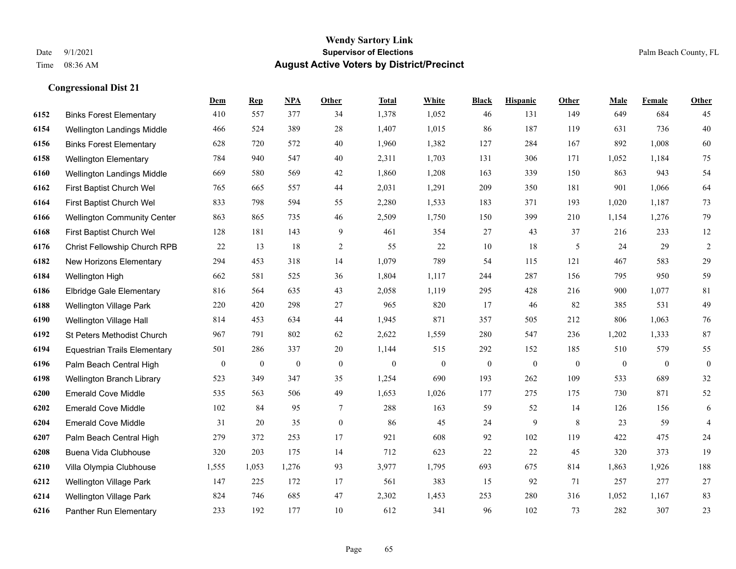#### **Wendy Sartory Link** Date 9/1/2021 **Supervisor of Elections** Palm Beach County, FL Time 08:36 AM **August Active Voters by District/Precinct**

# **Dem Rep NPA Other Total White Black Hispanic Other Male Female Other** Binks Forest Elementary 410 557 377 34 1,378 1,052 46 131 149 649 684 45 Wellington Landings Middle 466 524 389 28 1,407 1,015 86 187 119 631 736 40 Binks Forest Elementary 628 720 572 40 1,960 1,382 127 284 167 892 1,008 60 Wellington Elementary 784 940 547 40 2,311 1,703 131 306 171 1,052 1,184 75 Wellington Landings Middle 669 580 569 42 1,860 1,208 163 339 150 863 943 54 First Baptist Church Wel 765 665 557 44 2,031 1,291 209 350 181 901 1,066 64 First Baptist Church Wel 833 798 594 55 2,280 1,533 183 371 193 1,020 1,187 73 Wellington Community Center 863 865 735 46 2,509 1,750 150 399 210 1,154 1,276 79 First Baptist Church Wel 128 181 143 9 461 354 27 43 37 216 233 12 Christ Fellowship Church RPB 22 13 18 2 55 22 10 18 5 24 29 2 New Horizons Elementary 294 453 318 14 1,079 789 54 115 121 467 583 29 Wellington High 662 581 525 36 1,804 1,117 244 287 156 795 950 59 Elbridge Gale Elementary 816 564 635 43 2,058 1,119 295 428 216 900 1,077 81 Wellington Village Park 220 420 298 27 965 820 17 46 82 385 531 49 Wellington Village Hall 814 453 634 44 1,945 871 357 505 212 806 1,063 76 St Peters Methodist Church 967 791 802 62 2,622 1,559 280 547 236 1,202 1,333 87 Equestrian Trails Elementary 501 286 337 20 1,144 515 292 152 185 510 579 55 Palm Beach Central High 0 0 0 0 0 0 0 0 0 0 0 0 Wellington Branch Library 523 349 347 35 1,254 690 193 262 109 533 689 32 Emerald Cove Middle 535 563 506 49 1,653 1,026 177 275 175 730 871 52 Emerald Cove Middle 102 84 95 7 288 163 59 52 14 126 156 6 Emerald Cove Middle 31 20 35 0 86 45 24 9 8 23 59 4 Palm Beach Central High 279 372 253 17 921 608 92 102 119 422 475 24 Buena Vida Clubhouse 320 203 175 14 712 623 22 22 45 320 373 19 Villa Olympia Clubhouse 1,555 1,053 1,276 93 3,977 1,795 693 675 814 1,863 1,926 188 Wellington Village Park 147 225 172 17 561 383 15 92 71 257 277 27 Wellington Village Park 824 746 685 47 2,302 1,453 253 280 316 1,052 1,167 83

Panther Run Elementary 233 192 177 10 612 341 96 102 73 282 307 23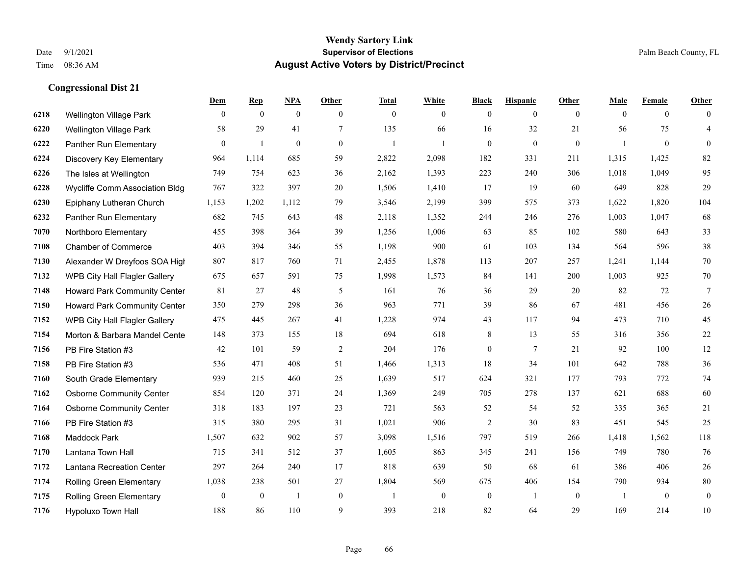|      |                                 | Dem            | <b>Rep</b>   | NPA              | <b>Other</b>   | <b>Total</b>   | <b>White</b>     | <b>Black</b>     | <b>Hispanic</b> | <b>Other</b>   | <b>Male</b>    | <b>Female</b>  | <b>Other</b>     |
|------|---------------------------------|----------------|--------------|------------------|----------------|----------------|------------------|------------------|-----------------|----------------|----------------|----------------|------------------|
| 6218 | Wellington Village Park         | $\overline{0}$ | $\mathbf{0}$ | $\mathbf{0}$     | $\theta$       | $\theta$       | $\overline{0}$   | $\mathbf{0}$     | $\mathbf{0}$    | $\overline{0}$ | $\mathbf{0}$   | $\overline{0}$ | $\theta$         |
| 6220 | Wellington Village Park         | 58             | 29           | 41               | 7              | 135            | 66               | 16               | 32              | 21             | 56             | 75             | $\overline{4}$   |
| 6222 | Panther Run Elementary          | $\mathbf{0}$   | 1            | $\boldsymbol{0}$ | $\overline{0}$ | $\overline{1}$ | $\mathbf{1}$     | $\mathbf{0}$     | $\mathbf{0}$    | $\overline{0}$ | $\mathbf{1}$   | $\overline{0}$ | $\mathbf{0}$     |
| 6224 | Discovery Key Elementary        | 964            | 1,114        | 685              | 59             | 2,822          | 2,098            | 182              | 331             | 211            | 1,315          | 1,425          | 82               |
| 6226 | The Isles at Wellington         | 749            | 754          | 623              | 36             | 2,162          | 1,393            | 223              | 240             | 306            | 1,018          | 1,049          | 95               |
| 6228 | Wycliffe Comm Association Bldg  | 767            | 322          | 397              | 20             | 1,506          | 1,410            | 17               | 19              | 60             | 649            | 828            | 29               |
| 6230 | Epiphany Lutheran Church        | 1,153          | 1,202        | 1,112            | 79             | 3,546          | 2,199            | 399              | 575             | 373            | 1,622          | 1,820          | 104              |
| 6232 | Panther Run Elementary          | 682            | 745          | 643              | 48             | 2,118          | 1,352            | 244              | 246             | 276            | 1,003          | 1,047          | 68               |
| 7070 | Northboro Elementary            | 455            | 398          | 364              | 39             | 1,256          | 1,006            | 63               | 85              | 102            | 580            | 643            | 33               |
| 7108 | <b>Chamber of Commerce</b>      | 403            | 394          | 346              | 55             | 1,198          | 900              | 61               | 103             | 134            | 564            | 596            | $38\,$           |
| 7130 | Alexander W Dreyfoos SOA High   | 807            | 817          | 760              | 71             | 2,455          | 1,878            | 113              | 207             | 257            | 1,241          | 1,144          | 70               |
| 7132 | WPB City Hall Flagler Gallery   | 675            | 657          | 591              | 75             | 1,998          | 1,573            | 84               | 141             | 200            | 1,003          | 925            | $70\,$           |
| 7148 | Howard Park Community Center    | 81             | 27           | 48               | 5              | 161            | 76               | 36               | 29              | 20             | 82             | 72             | $7\phantom{.0}$  |
| 7150 | Howard Park Community Center    | 350            | 279          | 298              | 36             | 963            | 771              | 39               | 86              | 67             | 481            | 456            | $26\,$           |
| 7152 | WPB City Hall Flagler Gallery   | 475            | 445          | 267              | 41             | 1,228          | 974              | 43               | 117             | 94             | 473            | 710            | 45               |
| 7154 | Morton & Barbara Mandel Cente   | 148            | 373          | 155              | 18             | 694            | 618              | 8                | 13              | 55             | 316            | 356            | $22\,$           |
| 7156 | PB Fire Station #3              | 42             | 101          | 59               | $\sqrt{2}$     | 204            | 176              | $\boldsymbol{0}$ | $\tau$          | 21             | 92             | 100            | $12\,$           |
| 7158 | PB Fire Station #3              | 536            | 471          | 408              | 51             | 1,466          | 1,313            | 18               | 34              | 101            | 642            | 788            | $36\,$           |
| 7160 | South Grade Elementary          | 939            | 215          | 460              | 25             | 1,639          | 517              | 624              | 321             | 177            | 793            | 772            | $74\,$           |
| 7162 | <b>Osborne Community Center</b> | 854            | 120          | 371              | 24             | 1,369          | 249              | 705              | 278             | 137            | 621            | 688            | 60               |
| 7164 | <b>Osborne Community Center</b> | 318            | 183          | 197              | 23             | 721            | 563              | 52               | 54              | 52             | 335            | 365            | 21               |
| 7166 | PB Fire Station #3              | 315            | 380          | 295              | 31             | 1,021          | 906              | $\overline{2}$   | 30              | 83             | 451            | 545            | 25               |
| 7168 | <b>Maddock Park</b>             | 1,507          | 632          | 902              | 57             | 3,098          | 1,516            | 797              | 519             | 266            | 1,418          | 1,562          | 118              |
| 7170 | Lantana Town Hall               | 715            | 341          | 512              | 37             | 1,605          | 863              | 345              | 241             | 156            | 749            | 780            | 76               |
| 7172 | Lantana Recreation Center       | 297            | 264          | 240              | 17             | 818            | 639              | 50               | 68              | 61             | 386            | 406            | $26\,$           |
| 7174 | Rolling Green Elementary        | 1,038          | 238          | 501              | 27             | 1,804          | 569              | 675              | 406             | 154            | 790            | 934            | $80\,$           |
| 7175 | Rolling Green Elementary        | $\mathbf{0}$   | $\bf{0}$     | -1               | $\mathbf{0}$   |                | $\boldsymbol{0}$ | $\boldsymbol{0}$ | 1               | $\mathbf{0}$   | $\overline{1}$ | $\mathbf{0}$   | $\boldsymbol{0}$ |
| 7176 | <b>Hypoluxo Town Hall</b>       | 188            | 86           | 110              | 9              | 393            | 218              | 82               | 64              | 29             | 169            | 214            | 10               |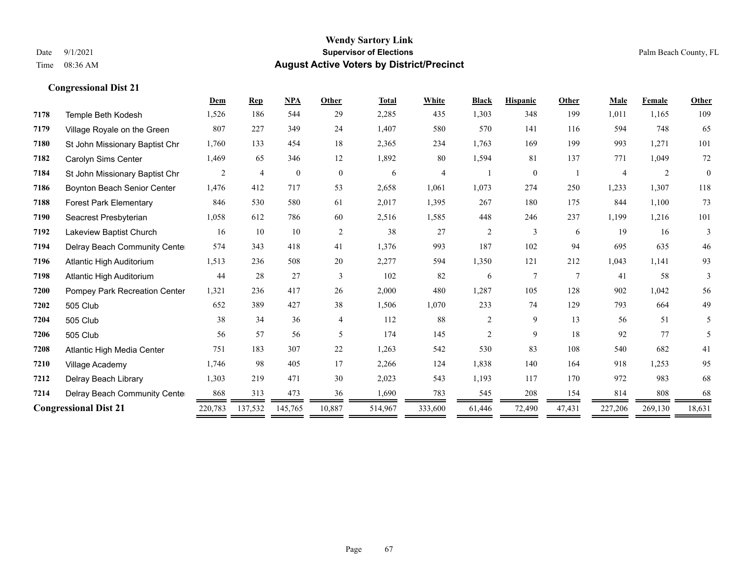|      |                                | Dem     | <b>Rep</b>     | <b>NPA</b>   | Other          | <b>Total</b> | White   | <b>Black</b>   | <b>Hispanic</b> | Other  | <b>Male</b> | Female  | <b>Other</b> |
|------|--------------------------------|---------|----------------|--------------|----------------|--------------|---------|----------------|-----------------|--------|-------------|---------|--------------|
| 7178 | Temple Beth Kodesh             | 1,526   | 186            | 544          | 29             | 2,285        | 435     | 1,303          | 348             | 199    | 1,011       | 1,165   | 109          |
| 7179 | Village Royale on the Green    | 807     | 227            | 349          | 24             | 1,407        | 580     | 570            | 141             | 116    | 594         | 748     | 65           |
| 7180 | St John Missionary Baptist Chr | 1,760   | 133            | 454          | 18             | 2,365        | 234     | 1,763          | 169             | 199    | 993         | 1,271   | 101          |
| 7182 | Carolyn Sims Center            | 1,469   | 65             | 346          | 12             | 1,892        | 80      | 1,594          | 81              | 137    | 771         | 1,049   | 72           |
| 7184 | St John Missionary Baptist Chr | 2       | $\overline{4}$ | $\mathbf{0}$ | $\overline{0}$ | 6            | 4       |                | $\mathbf{0}$    |        |             | 2       | $\mathbf{0}$ |
| 7186 | Boynton Beach Senior Center    | 1,476   | 412            | 717          | 53             | 2,658        | 1,061   | 1,073          | 274             | 250    | 1,233       | 1,307   | 118          |
| 7188 | <b>Forest Park Elementary</b>  | 846     | 530            | 580          | 61             | 2,017        | 1,395   | 267            | 180             | 175    | 844         | 1,100   | 73           |
| 7190 | Seacrest Presbyterian          | 1,058   | 612            | 786          | 60             | 2,516        | 1,585   | 448            | 246             | 237    | 1,199       | 1,216   | 101          |
| 7192 | Lakeview Baptist Church        | 16      | 10             | 10           | 2              | 38           | 27      | $\overline{c}$ | 3               | 6      | 19          | 16      | 3            |
| 7194 | Delray Beach Community Cente   | 574     | 343            | 418          | 41             | 1,376        | 993     | 187            | 102             | 94     | 695         | 635     | 46           |
| 7196 | Atlantic High Auditorium       | 1,513   | 236            | 508          | 20             | 2,277        | 594     | 1,350          | 121             | 212    | 1,043       | 1,141   | 93           |
| 7198 | Atlantic High Auditorium       | 44      | 28             | 27           | 3              | 102          | 82      | 6              | $\overline{7}$  | $\tau$ | 41          | 58      | 3            |
| 7200 | Pompey Park Recreation Center  | 1,321   | 236            | 417          | 26             | 2,000        | 480     | 1,287          | 105             | 128    | 902         | 1,042   | 56           |
| 7202 | 505 Club                       | 652     | 389            | 427          | 38             | 1,506        | 1,070   | 233            | 74              | 129    | 793         | 664     | 49           |
| 7204 | 505 Club                       | 38      | 34             | 36           | $\overline{4}$ | 112          | 88      | $\overline{c}$ | 9               | 13     | 56          | 51      | 5            |
| 7206 | 505 Club                       | 56      | 57             | 56           | 5              | 174          | 145     | $\overline{c}$ | 9               | 18     | 92          | 77      | 5            |
| 7208 | Atlantic High Media Center     | 751     | 183            | 307          | 22             | 1,263        | 542     | 530            | 83              | 108    | 540         | 682     | 41           |
| 7210 | Village Academy                | 1,746   | 98             | 405          | 17             | 2,266        | 124     | 1,838          | 140             | 164    | 918         | 1,253   | 95           |
| 7212 | Delray Beach Library           | 1,303   | 219            | 471          | 30             | 2,023        | 543     | 1,193          | 117             | 170    | 972         | 983     | 68           |
| 7214 | Delray Beach Community Cente   | 868     | 313            | 473          | 36             | 1,690        | 783     | 545            | 208             | 154    | 814         | 808     | 68           |
|      | <b>Congressional Dist 21</b>   | 220,783 | 137,532        | 145,765      | 10,887         | 514,967      | 333,600 | 61,446         | 72,490          | 47,431 | 227,206     | 269,130 | 18,631       |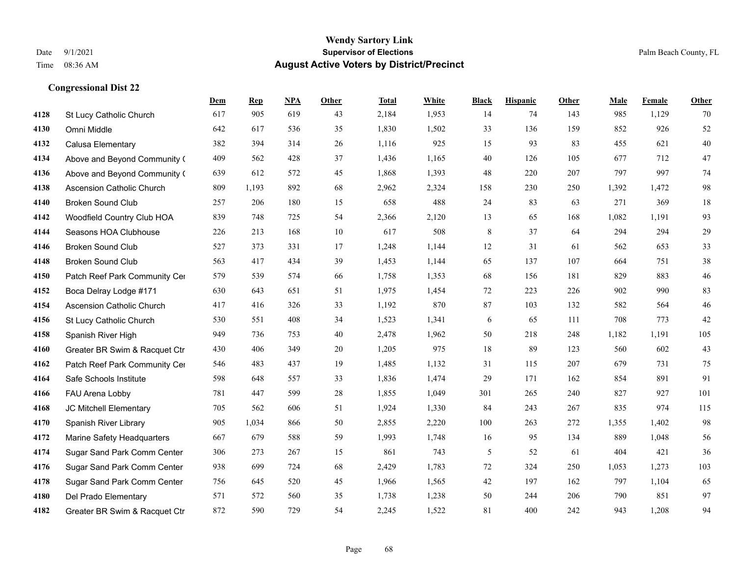|      |                                  | Dem | <b>Rep</b> | NPA | <b>Other</b> | <b>Total</b> | White | <b>Black</b> | <b>Hispanic</b> | <b>Other</b> | <b>Male</b> | Female | <b>Other</b> |
|------|----------------------------------|-----|------------|-----|--------------|--------------|-------|--------------|-----------------|--------------|-------------|--------|--------------|
| 4128 | St Lucy Catholic Church          | 617 | 905        | 619 | 43           | 2,184        | 1,953 | 14           | 74              | 143          | 985         | 1,129  | 70           |
| 4130 | Omni Middle                      | 642 | 617        | 536 | 35           | 1,830        | 1,502 | 33           | 136             | 159          | 852         | 926    | 52           |
| 4132 | Calusa Elementary                | 382 | 394        | 314 | 26           | 1,116        | 925   | 15           | 93              | 83           | 455         | 621    | $40\,$       |
| 4134 | Above and Beyond Community (     | 409 | 562        | 428 | 37           | 1,436        | 1,165 | 40           | 126             | 105          | 677         | 712    | 47           |
| 4136 | Above and Beyond Community (     | 639 | 612        | 572 | 45           | 1,868        | 1,393 | 48           | 220             | 207          | 797         | 997    | 74           |
| 4138 | <b>Ascension Catholic Church</b> | 809 | 1,193      | 892 | 68           | 2,962        | 2,324 | 158          | 230             | 250          | 1,392       | 1,472  | 98           |
| 4140 | <b>Broken Sound Club</b>         | 257 | 206        | 180 | 15           | 658          | 488   | 24           | 83              | 63           | 271         | 369    | 18           |
| 4142 | Woodfield Country Club HOA       | 839 | 748        | 725 | 54           | 2,366        | 2,120 | 13           | 65              | 168          | 1,082       | 1,191  | 93           |
| 4144 | Seasons HOA Clubhouse            | 226 | 213        | 168 | 10           | 617          | 508   | 8            | 37              | 64           | 294         | 294    | 29           |
| 4146 | <b>Broken Sound Club</b>         | 527 | 373        | 331 | 17           | 1,248        | 1,144 | $12\,$       | 31              | 61           | 562         | 653    | 33           |
| 4148 | <b>Broken Sound Club</b>         | 563 | 417        | 434 | 39           | 1,453        | 1,144 | 65           | 137             | 107          | 664         | 751    | 38           |
| 4150 | Patch Reef Park Community Cer    | 579 | 539        | 574 | 66           | 1,758        | 1,353 | 68           | 156             | 181          | 829         | 883    | 46           |
| 4152 | Boca Delray Lodge #171           | 630 | 643        | 651 | 51           | 1,975        | 1,454 | 72           | 223             | 226          | 902         | 990    | 83           |
| 4154 | Ascension Catholic Church        | 417 | 416        | 326 | 33           | 1,192        | 870   | 87           | 103             | 132          | 582         | 564    | 46           |
| 4156 | St Lucy Catholic Church          | 530 | 551        | 408 | 34           | 1,523        | 1,341 | 6            | 65              | 111          | 708         | 773    | 42           |
| 4158 | Spanish River High               | 949 | 736        | 753 | 40           | 2,478        | 1,962 | 50           | 218             | 248          | 1,182       | 1,191  | 105          |
| 4160 | Greater BR Swim & Racquet Ctr    | 430 | 406        | 349 | 20           | 1,205        | 975   | 18           | 89              | 123          | 560         | 602    | 43           |
| 4162 | Patch Reef Park Community Cer    | 546 | 483        | 437 | 19           | 1,485        | 1,132 | 31           | 115             | 207          | 679         | 731    | 75           |
| 4164 | Safe Schools Institute           | 598 | 648        | 557 | 33           | 1,836        | 1,474 | 29           | 171             | 162          | 854         | 891    | 91           |
| 4166 | FAU Arena Lobby                  | 781 | 447        | 599 | 28           | 1,855        | 1,049 | 301          | 265             | 240          | 827         | 927    | 101          |
| 4168 | JC Mitchell Elementary           | 705 | 562        | 606 | 51           | 1,924        | 1,330 | 84           | 243             | 267          | 835         | 974    | 115          |
| 4170 | Spanish River Library            | 905 | 1,034      | 866 | 50           | 2,855        | 2,220 | 100          | 263             | 272          | 1,355       | 1,402  | 98           |
| 4172 | Marine Safety Headquarters       | 667 | 679        | 588 | 59           | 1,993        | 1,748 | 16           | 95              | 134          | 889         | 1,048  | 56           |
| 4174 | Sugar Sand Park Comm Center      | 306 | 273        | 267 | 15           | 861          | 743   | 5            | 52              | 61           | 404         | 421    | 36           |
| 4176 | Sugar Sand Park Comm Center      | 938 | 699        | 724 | 68           | 2,429        | 1,783 | 72           | 324             | 250          | 1,053       | 1,273  | 103          |
| 4178 | Sugar Sand Park Comm Center      | 756 | 645        | 520 | 45           | 1,966        | 1,565 | 42           | 197             | 162          | 797         | 1,104  | 65           |
| 4180 | Del Prado Elementary             | 571 | 572        | 560 | 35           | 1,738        | 1,238 | 50           | 244             | 206          | 790         | 851    | 97           |
| 4182 | Greater BR Swim & Racquet Ctr    | 872 | 590        | 729 | 54           | 2,245        | 1,522 | 81           | 400             | 242          | 943         | 1,208  | 94           |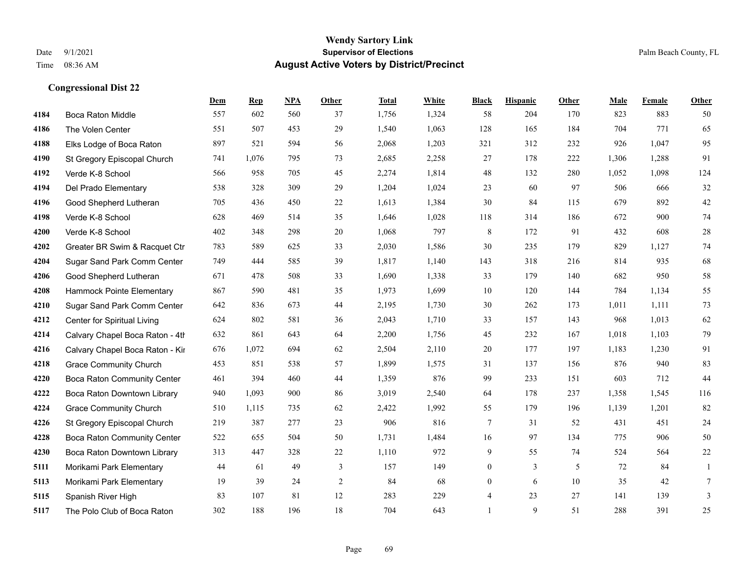|      |                                 | Dem | <b>Rep</b> | NPA | <b>Other</b>   | <b>Total</b> | <b>White</b> | <b>Black</b>     | <b>Hispanic</b> | <b>Other</b> | <b>Male</b> | <b>Female</b> | <b>Other</b>   |
|------|---------------------------------|-----|------------|-----|----------------|--------------|--------------|------------------|-----------------|--------------|-------------|---------------|----------------|
| 4184 | Boca Raton Middle               | 557 | 602        | 560 | 37             | 1,756        | 1,324        | 58               | 204             | 170          | 823         | 883           | 50             |
| 4186 | The Volen Center                | 551 | 507        | 453 | 29             | 1,540        | 1,063        | 128              | 165             | 184          | 704         | 771           | 65             |
| 4188 | Elks Lodge of Boca Raton        | 897 | 521        | 594 | 56             | 2,068        | 1,203        | 321              | 312             | 232          | 926         | 1,047         | 95             |
| 4190 | St Gregory Episcopal Church     | 741 | 1,076      | 795 | 73             | 2,685        | 2,258        | 27               | 178             | 222          | 1,306       | 1,288         | 91             |
| 4192 | Verde K-8 School                | 566 | 958        | 705 | 45             | 2,274        | 1,814        | 48               | 132             | 280          | 1,052       | 1,098         | 124            |
| 4194 | Del Prado Elementary            | 538 | 328        | 309 | 29             | 1,204        | 1,024        | 23               | 60              | 97           | 506         | 666           | 32             |
| 4196 | Good Shepherd Lutheran          | 705 | 436        | 450 | $22\,$         | 1,613        | 1,384        | 30               | 84              | 115          | 679         | 892           | $42\,$         |
| 4198 | Verde K-8 School                | 628 | 469        | 514 | 35             | 1,646        | 1,028        | 118              | 314             | 186          | 672         | 900           | 74             |
| 4200 | Verde K-8 School                | 402 | 348        | 298 | 20             | 1,068        | 797          | $\,$ 8 $\,$      | 172             | 91           | 432         | 608           | $28\,$         |
| 4202 | Greater BR Swim & Racquet Ctr   | 783 | 589        | 625 | 33             | 2,030        | 1,586        | 30               | 235             | 179          | 829         | 1,127         | 74             |
| 4204 | Sugar Sand Park Comm Center     | 749 | 444        | 585 | 39             | 1,817        | 1,140        | 143              | 318             | 216          | 814         | 935           | 68             |
| 4206 | Good Shepherd Lutheran          | 671 | 478        | 508 | 33             | 1,690        | 1,338        | 33               | 179             | 140          | 682         | 950           | 58             |
| 4208 | Hammock Pointe Elementary       | 867 | 590        | 481 | 35             | 1,973        | 1,699        | 10               | 120             | 144          | 784         | 1,134         | 55             |
| 4210 | Sugar Sand Park Comm Center     | 642 | 836        | 673 | 44             | 2,195        | 1,730        | 30               | 262             | 173          | 1,011       | 1,111         | 73             |
| 4212 | Center for Spiritual Living     | 624 | 802        | 581 | 36             | 2,043        | 1,710        | 33               | 157             | 143          | 968         | 1,013         | 62             |
| 4214 | Calvary Chapel Boca Raton - 4th | 632 | 861        | 643 | 64             | 2,200        | 1,756        | 45               | 232             | 167          | 1,018       | 1,103         | 79             |
| 4216 | Calvary Chapel Boca Raton - Kir | 676 | 1,072      | 694 | 62             | 2,504        | 2,110        | $20\,$           | 177             | 197          | 1,183       | 1,230         | 91             |
| 4218 | <b>Grace Community Church</b>   | 453 | 851        | 538 | 57             | 1,899        | 1,575        | 31               | 137             | 156          | 876         | 940           | 83             |
| 4220 | Boca Raton Community Center     | 461 | 394        | 460 | 44             | 1,359        | 876          | 99               | 233             | 151          | 603         | 712           | 44             |
| 4222 | Boca Raton Downtown Library     | 940 | 1,093      | 900 | 86             | 3,019        | 2,540        | 64               | 178             | 237          | 1,358       | 1,545         | 116            |
| 4224 | <b>Grace Community Church</b>   | 510 | 1,115      | 735 | 62             | 2,422        | 1,992        | 55               | 179             | 196          | 1,139       | 1,201         | 82             |
| 4226 | St Gregory Episcopal Church     | 219 | 387        | 277 | 23             | 906          | 816          | $\tau$           | 31              | 52           | 431         | 451           | $24\,$         |
| 4228 | Boca Raton Community Center     | 522 | 655        | 504 | 50             | 1,731        | 1,484        | 16               | 97              | 134          | 775         | 906           | 50             |
| 4230 | Boca Raton Downtown Library     | 313 | 447        | 328 | 22             | 1,110        | 972          | 9                | 55              | 74           | 524         | 564           | $22\,$         |
| 5111 | Morikami Park Elementary        | 44  | 61         | 49  | $\mathfrak{Z}$ | 157          | 149          | $\boldsymbol{0}$ | $\mathfrak{Z}$  | 5            | 72          | 84            | $\mathbf{1}$   |
| 5113 | Morikami Park Elementary        | 19  | 39         | 24  | 2              | 84           | 68           | $\overline{0}$   | 6               | 10           | 35          | 42            | 7              |
| 5115 | Spanish River High              | 83  | 107        | 81  | 12             | 283          | 229          | $\overline{4}$   | 23              | 27           | 141         | 139           | $\mathfrak{Z}$ |
| 5117 | The Polo Club of Boca Raton     | 302 | 188        | 196 | 18             | 704          | 643          | $\mathbf{1}$     | 9               | 51           | 288         | 391           | 25             |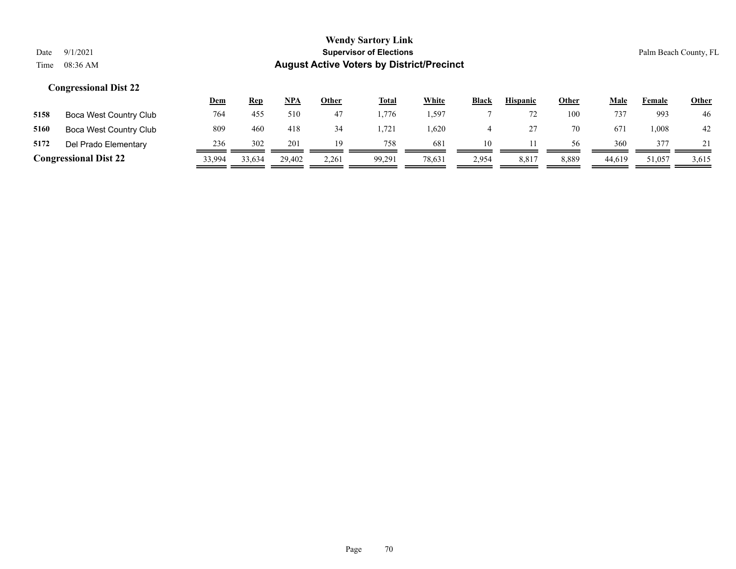|                              |                        | <u>Dem</u> | <b>Rep</b> | <b>NPA</b> | Other | <b>Total</b> | White   | <b>Black</b> | <b>Hispanic</b> | Other | Male   | Female | <u>Other</u> |
|------------------------------|------------------------|------------|------------|------------|-------|--------------|---------|--------------|-----------------|-------|--------|--------|--------------|
| 5158                         | Boca West Country Club | 764        | 455        | 510        | 47    | .776         | . . 597 |              |                 | 100   | 737    | 993    | 46           |
| 5160                         | Boca West Country Club | 809        | 460        | 418        | 34    | 1.721        | .620    |              |                 | 70    | 67.    | .008   | 42           |
| 5172                         | Del Prado Elementary   | 236        | 302        | 201        | 19    | 758          | 681     | 10           |                 | 56    | 360    | 377    |              |
| <b>Congressional Dist 22</b> |                        | 33,994     | 33,634     | 29.402     | 2,261 | 99,291       | 78,631  | 2,954        | 8,817           | 8,889 | 44,619 | 51,057 | 3,615        |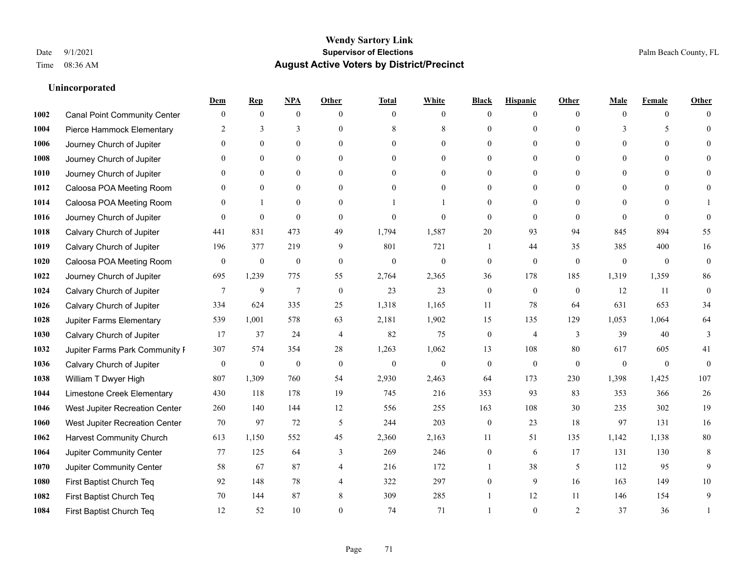### **Unincorporated**

|      |                                     | Dem              | <b>Rep</b>       | NPA              | <b>Other</b>   | <b>Total</b>     | <b>White</b>   | <b>Black</b>     | <b>Hispanic</b>  | <b>Other</b> | Male           | <b>Female</b>  | <b>Other</b>     |
|------|-------------------------------------|------------------|------------------|------------------|----------------|------------------|----------------|------------------|------------------|--------------|----------------|----------------|------------------|
| 1002 | <b>Canal Point Community Center</b> | $\mathbf{0}$     | $\mathbf{0}$     | $\mathbf{0}$     | $\theta$       | $\theta$         | $\overline{0}$ | $\Omega$         | $\overline{0}$   | $\theta$     | $\theta$       | $\overline{0}$ | $\Omega$         |
| 1004 | Pierce Hammock Elementary           | 2                | 3                | 3                | $\theta$       | 8                | 8              | $\theta$         | $\overline{0}$   | $\Omega$     | 3              | 5              | $\theta$         |
| 1006 | Journey Church of Jupiter           | $\Omega$         | $\theta$         | $\theta$         | $\Omega$       | $\Omega$         | $\theta$       | $\Omega$         | $\Omega$         | $\Omega$     | $\theta$       | $\Omega$       | $\Omega$         |
| 1008 | Journey Church of Jupiter           |                  | $\mathbf{0}$     | $\overline{0}$   | $\mathbf{0}$   | $\mathbf{0}$     | $\overline{0}$ | $\theta$         | $\boldsymbol{0}$ | $\mathbf{0}$ | $\overline{0}$ | $\overline{0}$ |                  |
| 1010 | Journey Church of Jupiter           | $\Omega$         | $\mathbf{0}$     | $\mathbf{0}$     | $\theta$       | $\theta$         | $\overline{0}$ | 0                | $\overline{0}$   | $\theta$     | $\theta$       | $\theta$       | $\Omega$         |
| 1012 | Caloosa POA Meeting Room            | 0                | $\mathbf{0}$     | $\mathbf{0}$     | $\theta$       | $\theta$         | $\overline{0}$ | $\theta$         | $\overline{0}$   | $\Omega$     | $\mathbf{0}$   | $\Omega$       |                  |
| 1014 | Caloosa POA Meeting Room            | $\Omega$         | $\mathbf{1}$     | $\mathbf{0}$     | $\theta$       |                  |                | $\theta$         | $\overline{0}$   | $\Omega$     | $\Omega$       | $\Omega$       |                  |
| 1016 | Journey Church of Jupiter           | $\Omega$         | $\mathbf{0}$     | $\mathbf{0}$     | $\theta$       | $\mathbf{0}$     | $\theta$       | $\mathbf{0}$     | $\mathbf{0}$     | $\theta$     | $\theta$       | $\Omega$       | $\theta$         |
| 1018 | Calvary Church of Jupiter           | 441              | 831              | 473              | 49             | 1,794            | 1,587          | 20               | 93               | 94           | 845            | 894            | 55               |
| 1019 | Calvary Church of Jupiter           | 196              | 377              | 219              | 9              | 801              | 721            | 1                | 44               | 35           | 385            | 400            | 16               |
| 1020 | Caloosa POA Meeting Room            | $\theta$         | $\boldsymbol{0}$ | $\mathbf{0}$     | $\theta$       | $\mathbf{0}$     | $\overline{0}$ | $\mathbf{0}$     | $\mathbf{0}$     | $\theta$     | $\mathbf{0}$   | $\theta$       | $\mathbf{0}$     |
| 1022 | Journey Church of Jupiter           | 695              | 1,239            | 775              | 55             | 2,764            | 2,365          | 36               | 178              | 185          | 1,319          | 1,359          | 86               |
| 1024 | Calvary Church of Jupiter           | 7                | 9                | $\overline{7}$   | $\mathbf{0}$   | 23               | 23             | $\boldsymbol{0}$ | $\overline{0}$   | $\mathbf{0}$ | 12             | 11             | $\boldsymbol{0}$ |
| 1026 | Calvary Church of Jupiter           | 334              | 624              | 335              | 25             | 1,318            | 1,165          | 11               | 78               | 64           | 631            | 653            | 34               |
| 1028 | <b>Jupiter Farms Elementary</b>     | 539              | 1,001            | 578              | 63             | 2,181            | 1,902          | 15               | 135              | 129          | 1,053          | 1,064          | 64               |
| 1030 | Calvary Church of Jupiter           | 17               | 37               | 24               | $\overline{4}$ | 82               | 75             | $\boldsymbol{0}$ | 4                | 3            | 39             | 40             | 3                |
| 1032 | Jupiter Farms Park Community I      | 307              | 574              | 354              | 28             | 1,263            | 1,062          | 13               | 108              | 80           | 617            | 605            | 41               |
| 1036 | Calvary Church of Jupiter           | $\boldsymbol{0}$ | $\boldsymbol{0}$ | $\boldsymbol{0}$ | $\mathbf{0}$   | $\boldsymbol{0}$ | $\overline{0}$ | $\boldsymbol{0}$ | $\boldsymbol{0}$ | $\mathbf{0}$ | $\theta$       | $\overline{0}$ | $\mathbf{0}$     |
| 1038 | William T Dwyer High                | 807              | 1,309            | 760              | 54             | 2,930            | 2,463          | 64               | 173              | 230          | 1,398          | 1,425          | 107              |
| 1044 | Limestone Creek Elementary          | 430              | 118              | 178              | 19             | 745              | 216            | 353              | 93               | 83           | 353            | 366            | $26\,$           |
| 1046 | West Jupiter Recreation Center      | 260              | 140              | 144              | 12             | 556              | 255            | 163              | 108              | 30           | 235            | 302            | 19               |
| 1060 | West Jupiter Recreation Center      | 70               | 97               | 72               | 5              | 244              | 203            | $\boldsymbol{0}$ | 23               | 18           | 97             | 131            | 16               |
| 1062 | <b>Harvest Community Church</b>     | 613              | 1,150            | 552              | 45             | 2,360            | 2,163          | 11               | 51               | 135          | 1,142          | 1,138          | $80\,$           |
| 1064 | Jupiter Community Center            | 77               | 125              | 64               | 3              | 269              | 246            | $\overline{0}$   | 6                | 17           | 131            | 130            | 8                |
| 1070 | Jupiter Community Center            | 58               | 67               | 87               | $\overline{4}$ | 216              | 172            | 1                | 38               | 5            | 112            | 95             | 9                |
| 1080 | First Baptist Church Teq            | 92               | 148              | 78               | $\overline{4}$ | 322              | 297            | $\overline{0}$   | 9                | 16           | 163            | 149            | 10               |
| 1082 | First Baptist Church Teq            | 70               | 144              | 87               | 8              | 309              | 285            |                  | 12               | 11           | 146            | 154            | 9                |
| 1084 | First Baptist Church Teq            | 12               | 52               | 10               | $\Omega$       | 74               | 71             |                  | $\theta$         | 2            | 37             | 36             | 1                |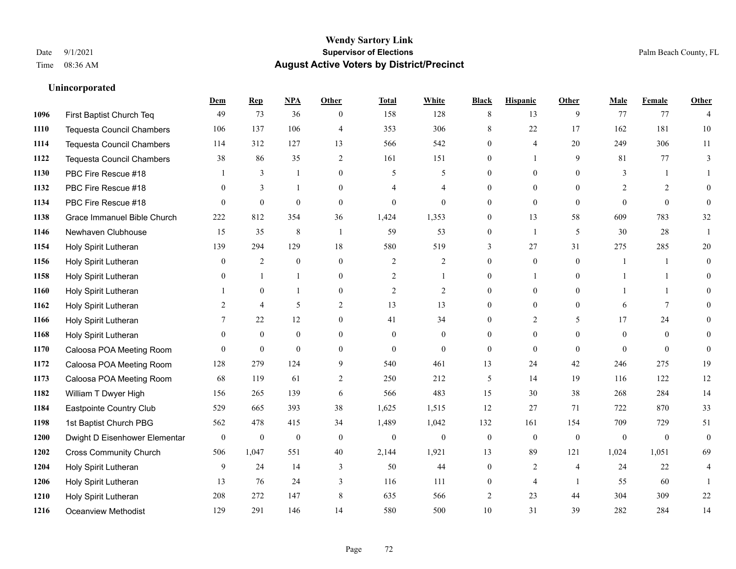**Unincorporated**

#### **Wendy Sartory Link** Date 9/1/2021 **Supervisor of Elections** Palm Beach County, FL Time 08:36 AM **August Active Voters by District/Precinct**

# **Dem Rep NPA Other Total White Black Hispanic Other Male Female Other** First Baptist Church Teq **49** 73 36 0 158 128 8 13 9 77 77 4 Tequesta Council Chambers 106 137 106 4 353 306 8 22 17 162 181 10 Tequesta Council Chambers 114 312 127 13 566 542 0 4 20 249 306 11 Tequesta Council Chambers 38 86 35 2 161 151 0 1 9 81 77 3 PBC Fire Rescue #18 **1** 3 1 0 5 5 0 0 0 3 1 1 **1132 PBC Fire Rescue #18** 0 3 1 0 4 4 0 0 0 2 2 0 PBC Fire Rescue #18 0 0 0 0 0 0 0 0 0 0 0 0 Grace Immanuel Bible Church 222 812 354 36 1,424 1,353 0 13 58 609 783 32 Newhaven Clubhouse 15 35 8 1 59 53 0 1 5 30 28 1 Holy Spirit Lutheran 139 294 129 18 580 519 3 27 31 275 285 20 Holy Spirit Lutheran **0** 2 0 0 2 2 2 0 0 0 1 1 0 Holy Spirit Lutheran **0** 1 1 0 2 1 0 1 0 1 1 0 Holy Spirit Lutheran **1** 0 1 0 2 2 0 0 0 1 1 0 Holy Spirit Lutheran 2 4 5 2 13 13 0 0 0 6 7 0 1166 Holy Spirit Lutheran **7** 22 12 0 41 34 0 2 5 17 24 0 Holy Spirit Lutheran 0 0 0 0 0 0 0 0 0 0 0 0 Caloosa POA Meeting Room 0 0 0 0 0 0 0 0 0 0 0 0 Caloosa POA Meeting Room 128 279 124 9 540 461 13 24 42 246 275 19 Caloosa POA Meeting Room 68 119 61 2 250 212 5 14 19 116 122 12 William T Dwyer High 156 265 139 6 566 483 15 30 38 268 284 14 Eastpointe Country Club 529 665 393 38 1,625 1,515 12 27 71 722 870 33 1st Baptist Church PBG 562 478 415 34 1,489 1,042 132 161 154 709 729 51 Dwight D Eisenhower Elementary 0 0 0 0 0 0 0 0 0 0 0 0 Cross Community Church 506 1,047 551 40 2,144 1,921 13 89 121 1,024 1,051 69 Holy Spirit Lutheran **9** 24 14 3 50 44 0 2 4 24 22 4 Holy Spirit Lutheran **13** 76 24 3 116 111 0 4 1 55 60 1 Holy Spirit Lutheran 208 272 147 8 635 566 2 23 44 304 309 22 Oceanview Methodist 129 291 146 14 580 500 10 31 39 282 284 14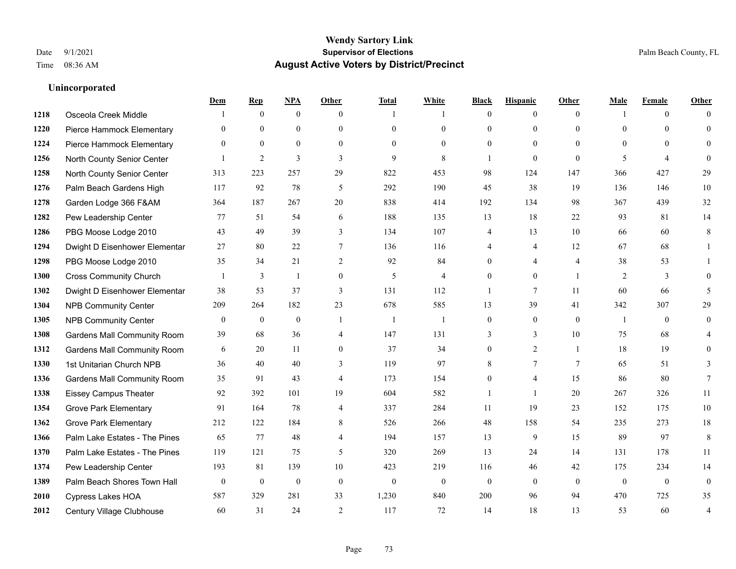|      |                                    | Dem            | <b>Rep</b>       | NPA              | <b>Other</b>     | <b>Total</b>   | <b>White</b>   | <b>Black</b>     | <b>Hispanic</b> | <b>Other</b>   | <b>Male</b>    | <b>Female</b>  | <b>Other</b>     |
|------|------------------------------------|----------------|------------------|------------------|------------------|----------------|----------------|------------------|-----------------|----------------|----------------|----------------|------------------|
| 1218 | Osceola Creek Middle               |                | $\mathbf{0}$     | $\mathbf{0}$     | $\theta$         |                | -1             | $\mathbf{0}$     | $\mathbf{0}$    | $\theta$       |                | $\overline{0}$ | $\Omega$         |
| 1220 | Pierce Hammock Elementary          | $\theta$       | $\mathbf{0}$     | $\mathbf{0}$     | $\Omega$         | $\theta$       | $\overline{0}$ | $\overline{0}$   | $\mathbf{0}$    | $\Omega$       | $\theta$       | $\theta$       | $\theta$         |
| 1224 | Pierce Hammock Elementary          | $\theta$       | $\theta$         | $\theta$         | $\theta$         | $\Omega$       | $\Omega$       | $\Omega$         | $\theta$        | $\Omega$       | $\Omega$       | $\Omega$       | $\Omega$         |
| 1256 | North County Senior Center         |                | $\overline{2}$   | 3                | 3                | 9              | 8              | 1                | $\mathbf{0}$    | $\mathbf{0}$   | 5              | $\overline{4}$ | $\theta$         |
| 1258 | North County Senior Center         | 313            | 223              | 257              | 29               | 822            | 453            | 98               | 124             | 147            | 366            | 427            | 29               |
| 1276 | Palm Beach Gardens High            | 117            | 92               | 78               | 5                | 292            | 190            | 45               | 38              | 19             | 136            | 146            | 10               |
| 1278 | Garden Lodge 366 F&AM              | 364            | 187              | 267              | 20               | 838            | 414            | 192              | 134             | 98             | 367            | 439            | 32               |
| 1282 | Pew Leadership Center              | 77             | 51               | 54               | 6                | 188            | 135            | 13               | 18              | 22             | 93             | 81             | 14               |
| 1286 | PBG Moose Lodge 2010               | 43             | 49               | 39               | 3                | 134            | 107            | 4                | 13              | 10             | 66             | 60             | 8                |
| 1294 | Dwight D Eisenhower Elementar      | 27             | 80               | 22               | 7                | 136            | 116            | 4                | 4               | 12             | 67             | 68             | 1                |
| 1298 | PBG Moose Lodge 2010               | 35             | 34               | 21               | 2                | 92             | 84             | $\theta$         | $\overline{4}$  | $\overline{4}$ | 38             | 53             | 1                |
| 1300 | <b>Cross Community Church</b>      |                | $\mathfrak{Z}$   | $\mathbf{1}$     | $\boldsymbol{0}$ | 5              | $\overline{4}$ | $\overline{0}$   | $\mathbf{0}$    | $\overline{1}$ | $\overline{2}$ | $\mathfrak{Z}$ | $\theta$         |
| 1302 | Dwight D Eisenhower Elementar      | 38             | 53               | 37               | 3                | 131            | 112            | 1                | $\tau$          | 11             | 60             | 66             | 5                |
| 1304 | <b>NPB Community Center</b>        | 209            | 264              | 182              | 23               | 678            | 585            | 13               | 39              | 41             | 342            | 307            | 29               |
| 1305 | <b>NPB Community Center</b>        | $\mathbf{0}$   | $\mathbf{0}$     | $\mathbf{0}$     | $\mathbf{1}$     | $\overline{1}$ | $\overline{1}$ | $\mathbf{0}$     | $\mathbf{0}$    | $\theta$       | -1             | $\theta$       | $\mathbf{0}$     |
| 1308 | <b>Gardens Mall Community Room</b> | 39             | 68               | 36               | $\overline{4}$   | 147            | 131            | 3                | 3               | 10             | 75             | 68             | 4                |
| 1312 | <b>Gardens Mall Community Room</b> | 6              | 20               | 11               | $\overline{0}$   | 37             | 34             | $\boldsymbol{0}$ | $\overline{2}$  | $\mathbf{1}$   | 18             | 19             | $\theta$         |
| 1330 | 1st Unitarian Church NPB           | 36             | 40               | 40               | 3                | 119            | 97             | 8                | $\tau$          | 7              | 65             | 51             | 3                |
| 1336 | <b>Gardens Mall Community Room</b> | 35             | 91               | 43               | 4                | 173            | 154            | $\overline{0}$   | 4               | 15             | 86             | 80             | $7\phantom{.0}$  |
| 1338 | <b>Eissey Campus Theater</b>       | 92             | 392              | 101              | 19               | 604            | 582            | 1                | $\mathbf{1}$    | 20             | 267            | 326            | 11               |
| 1354 | <b>Grove Park Elementary</b>       | 91             | 164              | 78               | 4                | 337            | 284            | 11               | 19              | 23             | 152            | 175            | $10\,$           |
| 1362 | <b>Grove Park Elementary</b>       | 212            | 122              | 184              | 8                | 526            | 266            | 48               | 158             | 54             | 235            | 273            | $18\,$           |
| 1366 | Palm Lake Estates - The Pines      | 65             | 77               | 48               | 4                | 194            | 157            | 13               | 9               | 15             | 89             | 97             | 8                |
| 1370 | Palm Lake Estates - The Pines      | 119            | 121              | 75               | 5                | 320            | 269            | 13               | 24              | 14             | 131            | 178            | 11               |
| 1374 | Pew Leadership Center              | 193            | 81               | 139              | 10               | 423            | 219            | 116              | 46              | 42             | 175            | 234            | 14               |
| 1389 | Palm Beach Shores Town Hall        | $\overline{0}$ | $\boldsymbol{0}$ | $\boldsymbol{0}$ | $\mathbf{0}$     | $\theta$       | $\mathbf{0}$   | $\mathbf{0}$     | $\mathbf{0}$    | $\theta$       | $\mathbf{0}$   | $\overline{0}$ | $\boldsymbol{0}$ |
| 2010 | <b>Cypress Lakes HOA</b>           | 587            | 329              | 281              | 33               | 1,230          | 840            | 200              | 96              | 94             | 470            | 725            | 35               |
| 2012 | Century Village Clubhouse          | 60             | 31               | 24               | 2                | 117            | 72             | 14               | 18              | 13             | 53             | 60             | $\overline{4}$   |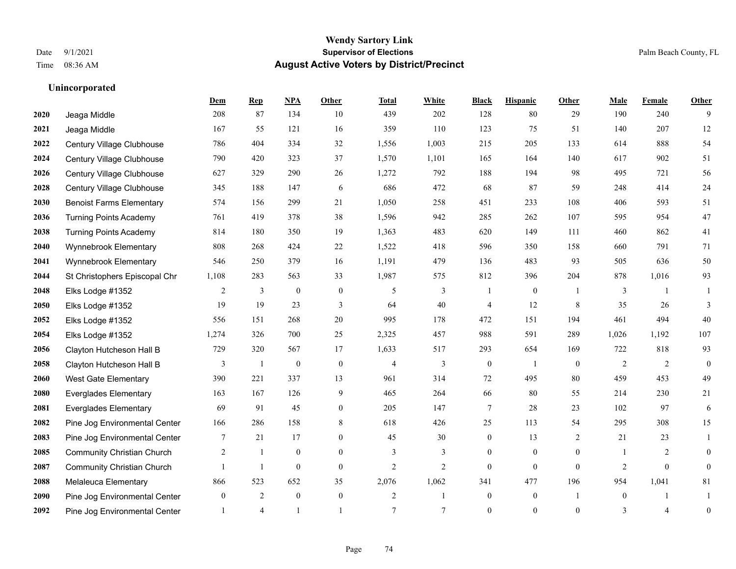|      |                                   | Dem          | <b>Rep</b>     | NPA              | <b>Other</b>   | <b>Total</b>   | <b>White</b>   | <b>Black</b>     | <b>Hispanic</b> | <b>Other</b> | <b>Male</b>    | <b>Female</b>  | <b>Other</b>     |
|------|-----------------------------------|--------------|----------------|------------------|----------------|----------------|----------------|------------------|-----------------|--------------|----------------|----------------|------------------|
| 2020 | Jeaga Middle                      | 208          | 87             | 134              | 10             | 439            | 202            | 128              | 80              | 29           | 190            | 240            | 9                |
| 2021 | Jeaga Middle                      | 167          | 55             | 121              | 16             | 359            | 110            | 123              | 75              | 51           | 140            | 207            | 12               |
| 2022 | Century Village Clubhouse         | 786          | 404            | 334              | 32             | 1,556          | 1,003          | 215              | 205             | 133          | 614            | 888            | 54               |
| 2024 | Century Village Clubhouse         | 790          | 420            | 323              | 37             | 1,570          | 1,101          | 165              | 164             | 140          | 617            | 902            | 51               |
| 2026 | Century Village Clubhouse         | 627          | 329            | 290              | 26             | 1,272          | 792            | 188              | 194             | 98           | 495            | 721            | 56               |
| 2028 | Century Village Clubhouse         | 345          | 188            | 147              | 6              | 686            | 472            | 68               | 87              | 59           | 248            | 414            | 24               |
| 2030 | <b>Benoist Farms Elementary</b>   | 574          | 156            | 299              | 21             | 1,050          | 258            | 451              | 233             | 108          | 406            | 593            | 51               |
| 2036 | <b>Turning Points Academy</b>     | 761          | 419            | 378              | 38             | 1,596          | 942            | 285              | 262             | 107          | 595            | 954            | 47               |
| 2038 | <b>Turning Points Academy</b>     | 814          | 180            | 350              | 19             | 1,363          | 483            | 620              | 149             | 111          | 460            | 862            | 41               |
| 2040 | Wynnebrook Elementary             | 808          | 268            | 424              | $22\,$         | 1,522          | 418            | 596              | 350             | 158          | 660            | 791            | 71               |
| 2041 | Wynnebrook Elementary             | 546          | 250            | 379              | 16             | 1,191          | 479            | 136              | 483             | 93           | 505            | 636            | 50               |
| 2044 | St Christophers Episcopal Chr     | 1,108        | 283            | 563              | 33             | 1,987          | 575            | 812              | 396             | 204          | 878            | 1,016          | 93               |
| 2048 | Elks Lodge #1352                  | 2            | 3              | $\mathbf{0}$     | $\mathbf{0}$   | 5              | 3              | $\mathbf{1}$     | $\overline{0}$  |              | 3              |                |                  |
| 2050 | Elks Lodge #1352                  | 19           | 19             | 23               | $\mathfrak{Z}$ | 64             | 40             | 4                | 12              | $\,8\,$      | 35             | 26             | 3                |
| 2052 | Elks Lodge #1352                  | 556          | 151            | 268              | 20             | 995            | 178            | 472              | 151             | 194          | 461            | 494            | 40               |
| 2054 | Elks Lodge #1352                  | 1,274        | 326            | 700              | 25             | 2,325          | 457            | 988              | 591             | 289          | 1,026          | 1,192          | 107              |
| 2056 | Clayton Hutcheson Hall B          | 729          | 320            | 567              | 17             | 1,633          | 517            | 293              | 654             | 169          | 722            | 818            | 93               |
| 2058 | Clayton Hutcheson Hall B          | 3            | $\overline{1}$ | $\boldsymbol{0}$ | $\mathbf{0}$   | $\overline{4}$ | 3              | $\boldsymbol{0}$ | $\mathbf{1}$    | $\theta$     | $\overline{2}$ | 2              | $\mathbf{0}$     |
| 2060 | <b>West Gate Elementary</b>       | 390          | 221            | 337              | 13             | 961            | 314            | 72               | 495             | 80           | 459            | 453            | 49               |
| 2080 | <b>Everglades Elementary</b>      | 163          | 167            | 126              | 9              | 465            | 264            | 66               | 80              | 55           | 214            | 230            | 21               |
| 2081 | <b>Everglades Elementary</b>      | 69           | 91             | 45               | $\overline{0}$ | 205            | 147            | $\tau$           | 28              | 23           | 102            | 97             | 6                |
| 2082 | Pine Jog Environmental Center     | 166          | 286            | 158              | 8              | 618            | 426            | 25               | 113             | 54           | 295            | 308            | 15               |
| 2083 | Pine Jog Environmental Center     | 7            | 21             | 17               | $\overline{0}$ | 45             | 30             | $\boldsymbol{0}$ | 13              | 2            | 21             | 23             | 1                |
| 2085 | <b>Community Christian Church</b> | 2            | 1              | $\mathbf{0}$     | $\overline{0}$ | 3              | 3              | $\boldsymbol{0}$ | $\overline{0}$  | $\mathbf{0}$ | $\overline{1}$ | 2              | $\theta$         |
| 2087 | <b>Community Christian Church</b> |              | $\mathbf{1}$   | $\mathbf{0}$     | $\theta$       | $\overline{2}$ | $\overline{2}$ | $\overline{0}$   | $\Omega$        | $\theta$     | 2              | $\theta$       | $\theta$         |
| 2088 | Melaleuca Elementary              | 866          | 523            | 652              | 35             | 2,076          | 1,062          | 341              | 477             | 196          | 954            | 1,041          | 81               |
| 2090 | Pine Jog Environmental Center     | $\mathbf{0}$ | $\overline{2}$ | $\mathbf{0}$     | $\mathbf{0}$   | 2              | 1              | $\boldsymbol{0}$ | $\overline{0}$  |              | $\mathbf{0}$   |                |                  |
| 2092 | Pine Jog Environmental Center     |              | $\overline{4}$ |                  |                | $\overline{7}$ | $\tau$         | $\theta$         | $\Omega$        | $\theta$     | 3              | $\overline{4}$ | $\boldsymbol{0}$ |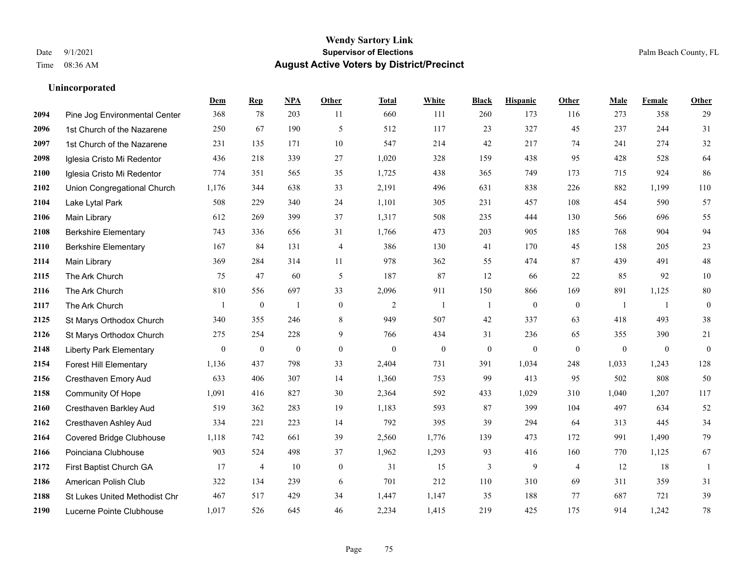|      |                                | Dem      | <b>Rep</b>       | NPA          | <b>Other</b>     | <b>Total</b>   | <b>White</b>     | <b>Black</b>     | <b>Hispanic</b>  | Other            | <b>Male</b>    | Female         | Other            |
|------|--------------------------------|----------|------------------|--------------|------------------|----------------|------------------|------------------|------------------|------------------|----------------|----------------|------------------|
| 2094 | Pine Jog Environmental Center  | 368      | 78               | 203          | 11               | 660            | 111              | 260              | 173              | 116              | 273            | 358            | 29               |
| 2096 | 1st Church of the Nazarene     | 250      | 67               | 190          | 5                | 512            | 117              | 23               | 327              | 45               | 237            | 244            | 31               |
| 2097 | 1st Church of the Nazarene     | 231      | 135              | 171          | 10               | 547            | 214              | 42               | 217              | 74               | 241            | 274            | $32\,$           |
| 2098 | Iglesia Cristo Mi Redentor     | 436      | 218              | 339          | 27               | 1,020          | 328              | 159              | 438              | 95               | 428            | 528            | 64               |
| 2100 | Iglesia Cristo Mi Redentor     | 774      | 351              | 565          | 35               | 1,725          | 438              | 365              | 749              | 173              | 715            | 924            | 86               |
| 2102 | Union Congregational Church    | 1,176    | 344              | 638          | 33               | 2,191          | 496              | 631              | 838              | 226              | 882            | 1,199          | 110              |
| 2104 | Lake Lytal Park                | 508      | 229              | 340          | 24               | 1,101          | 305              | 231              | 457              | 108              | 454            | 590            | 57               |
| 2106 | <b>Main Library</b>            | 612      | 269              | 399          | 37               | 1,317          | 508              | 235              | 444              | 130              | 566            | 696            | 55               |
| 2108 | <b>Berkshire Elementary</b>    | 743      | 336              | 656          | 31               | 1,766          | 473              | 203              | 905              | 185              | 768            | 904            | 94               |
| 2110 | <b>Berkshire Elementary</b>    | 167      | 84               | 131          | $\overline{4}$   | 386            | 130              | 41               | 170              | 45               | 158            | 205            | $23\,$           |
| 2114 | Main Library                   | 369      | 284              | 314          | 11               | 978            | 362              | 55               | 474              | 87               | 439            | 491            | $48\,$           |
| 2115 | The Ark Church                 | 75       | 47               | 60           | 5                | 187            | 87               | 12               | 66               | 22               | 85             | 92             | $10\,$           |
| 2116 | The Ark Church                 | 810      | 556              | 697          | 33               | 2,096          | 911              | 150              | 866              | 169              | 891            | 1,125          | 80               |
| 2117 | The Ark Church                 |          | $\boldsymbol{0}$ | $\mathbf{1}$ | $\boldsymbol{0}$ | $\overline{2}$ | -1               | $\mathbf{1}$     | $\boldsymbol{0}$ | $\boldsymbol{0}$ | $\overline{1}$ | 1              | $\boldsymbol{0}$ |
| 2125 | St Marys Orthodox Church       | 340      | 355              | 246          | 8                | 949            | 507              | 42               | 337              | 63               | 418            | 493            | 38               |
| 2126 | St Marys Orthodox Church       | 275      | 254              | 228          | 9                | 766            | 434              | 31               | 236              | 65               | 355            | 390            | 21               |
| 2148 | <b>Liberty Park Elementary</b> | $\bf{0}$ | $\boldsymbol{0}$ | $\theta$     | $\mathbf{0}$     | $\theta$       | $\boldsymbol{0}$ | $\boldsymbol{0}$ | $\overline{0}$   | $\mathbf{0}$     | $\mathbf{0}$   | $\overline{0}$ | $\boldsymbol{0}$ |
| 2154 | <b>Forest Hill Elementary</b>  | 1,136    | 437              | 798          | 33               | 2,404          | 731              | 391              | 1,034            | 248              | 1,033          | 1,243          | 128              |
| 2156 | Cresthaven Emory Aud           | 633      | 406              | 307          | 14               | 1,360          | 753              | 99               | 413              | 95               | 502            | 808            | 50               |
| 2158 | Community Of Hope              | 1,091    | 416              | 827          | 30               | 2,364          | 592              | 433              | 1,029            | 310              | 1,040          | 1,207          | 117              |
| 2160 | Cresthaven Barkley Aud         | 519      | 362              | 283          | 19               | 1,183          | 593              | 87               | 399              | 104              | 497            | 634            | 52               |
| 2162 | Cresthaven Ashley Aud          | 334      | 221              | 223          | 14               | 792            | 395              | 39               | 294              | 64               | 313            | 445            | 34               |
| 2164 | Covered Bridge Clubhouse       | 1,118    | 742              | 661          | 39               | 2,560          | 1,776            | 139              | 473              | 172              | 991            | 1,490          | 79               |
| 2166 | Poinciana Clubhouse            | 903      | 524              | 498          | 37               | 1,962          | 1,293            | 93               | 416              | 160              | 770            | 1,125          | 67               |
| 2172 | First Baptist Church GA        | 17       | $\overline{4}$   | 10           | $\mathbf{0}$     | 31             | 15               | 3                | 9                | $\overline{4}$   | 12             | 18             | -1               |
| 2186 | American Polish Club           | 322      | 134              | 239          | 6                | 701            | 212              | 110              | 310              | 69               | 311            | 359            | 31               |
| 2188 | St Lukes United Methodist Chr  | 467      | 517              | 429          | 34               | 1,447          | 1,147            | 35               | 188              | 77               | 687            | 721            | 39               |
| 2190 | Lucerne Pointe Clubhouse       | 1,017    | 526              | 645          | 46               | 2,234          | 1,415            | 219              | 425              | 175              | 914            | 1,242          | $78\,$           |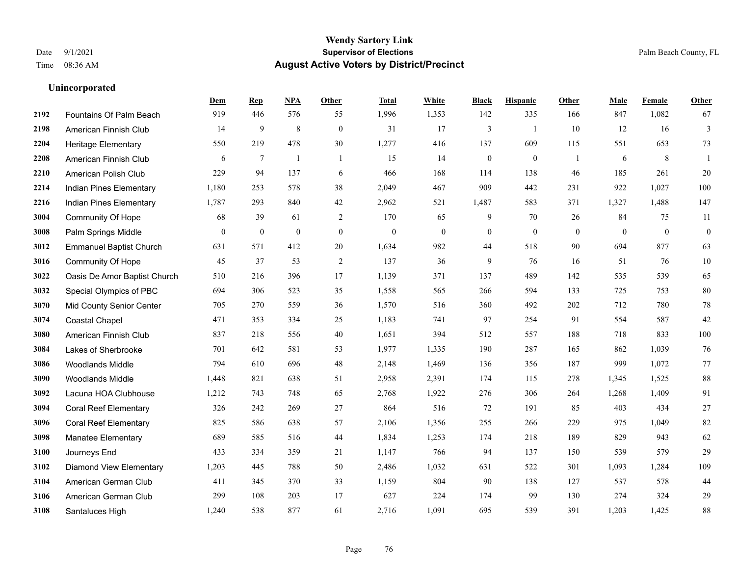#### **Wendy Sartory Link** Date 9/1/2021 **Supervisor of Elections** Palm Beach County, FL Time 08:36 AM **August Active Voters by District/Precinct**

Fountains Of Palm Beach 919 446 576 55 1,996 1,353 142 335 166 847 1,082 67

**Dem Rep NPA Other Total White Black Hispanic Other Male Female Other**

### American Finnish Club 14 9 8 0 31 17 3 1 10 12 16 3 Heritage Elementary 550 219 478 30 1,277 416 137 609 115 551 653 73 American Finnish Club 6 7 1 1 15 14 0 0 1 6 8 1 American Polish Club 229 94 137 6 466 168 114 138 46 185 261 20 Indian Pines Elementary 1,180 253 578 38 2,049 467 909 442 231 922 1,027 100 Indian Pines Elementary 1,787 293 840 42 2,962 521 1,487 583 371 1,327 1,488 147 Community Of Hope 68 39 61 2 170 65 9 70 26 84 75 11 Palm Springs Middle 0 0 0 0 0 0 0 0 0 0 0 0 Emmanuel Baptist Church 631 571 412 20 1,634 982 44 518 90 694 877 63 Community Of Hope 45 37 53 2 137 36 9 76 16 51 76 10 Oasis De Amor Baptist Church 510 216 396 17 1,139 371 137 489 142 535 539 65 Special Olympics of PBC 694 306 523 35 1,558 565 266 594 133 725 753 80 Mid County Senior Center 705 270 559 36 1,570 516 360 492 202 712 780 78 Coastal Chapel 471 353 334 25 1,183 741 97 254 91 554 587 42 American Finnish Club 837 218 556 40 1,651 394 512 557 188 718 833 100 Lakes of Sherbrooke 701 642 581 53 1,977 1,335 190 287 165 862 1,039 76 Woodlands Middle 794 610 696 48 2,148 1,469 136 356 187 999 1,072 77 Woodlands Middle 1,448 821 638 51 2,958 2,391 174 115 278 1,345 1,525 88 Lacuna HOA Clubhouse 1,212 743 748 65 2,768 1,922 276 306 264 1,268 1,409 91 Coral Reef Elementary 326 242 269 27 864 516 72 191 85 403 434 27 Coral Reef Elementary 825 586 638 57 2,106 1,356 255 266 229 975 1,049 82 Manatee Elementary 689 585 516 44 1,834 1,253 174 218 189 829 943 62 Journeys End 433 334 359 21 1,147 766 94 137 150 539 579 29

 Diamond View Elementary 1,203 445 788 50 2,486 1,032 631 522 301 1,093 1,284 109 American German Club 411 345 370 33 1,159 804 90 138 127 537 578 44 American German Club 299 108 203 17 627 224 174 99 130 274 324 29 Santaluces High 1,240 538 877 61 2,716 1,091 695 539 391 1,203 1,425 88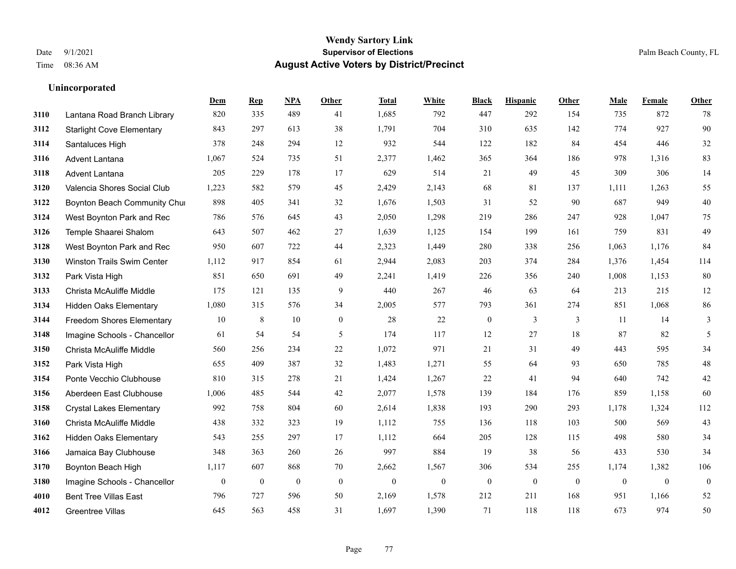|      |                                   | Dem          | <b>Rep</b>       | NPA              | <b>Other</b>     | <b>Total</b> | <b>White</b>     | <b>Black</b>     | <b>Hispanic</b>  | <b>Other</b> | <b>Male</b>      | Female       | <b>Other</b>     |
|------|-----------------------------------|--------------|------------------|------------------|------------------|--------------|------------------|------------------|------------------|--------------|------------------|--------------|------------------|
| 3110 | Lantana Road Branch Library       | 820          | 335              | 489              | 41               | 1,685        | 792              | 447              | 292              | 154          | 735              | 872          | 78               |
| 3112 | <b>Starlight Cove Elementary</b>  | 843          | 297              | 613              | 38               | 1,791        | 704              | 310              | 635              | 142          | 774              | 927          | 90               |
| 3114 | Santaluces High                   | 378          | 248              | 294              | 12               | 932          | 544              | 122              | 182              | 84           | 454              | 446          | $32\,$           |
| 3116 | <b>Advent Lantana</b>             | 1,067        | 524              | 735              | 51               | 2,377        | 1,462            | 365              | 364              | 186          | 978              | 1,316        | 83               |
| 3118 | Advent Lantana                    | 205          | 229              | 178              | 17               | 629          | 514              | 21               | 49               | 45           | 309              | 306          | 14               |
| 3120 | Valencia Shores Social Club       | 1,223        | 582              | 579              | 45               | 2,429        | 2,143            | 68               | 81               | 137          | 1,111            | 1,263        | 55               |
| 3122 | Boynton Beach Community Chu       | 898          | 405              | 341              | 32               | 1,676        | 1,503            | 31               | 52               | 90           | 687              | 949          | $40\,$           |
| 3124 | West Boynton Park and Rec         | 786          | 576              | 645              | 43               | 2,050        | 1,298            | 219              | 286              | 247          | 928              | 1,047        | 75               |
| 3126 | Temple Shaarei Shalom             | 643          | 507              | 462              | 27               | 1,639        | 1,125            | 154              | 199              | 161          | 759              | 831          | 49               |
| 3128 | West Boynton Park and Rec         | 950          | 607              | 722              | 44               | 2,323        | 1,449            | 280              | 338              | 256          | 1,063            | 1,176        | 84               |
| 3130 | <b>Winston Trails Swim Center</b> | 1,112        | 917              | 854              | 61               | 2,944        | 2,083            | 203              | 374              | 284          | 1,376            | 1,454        | 114              |
| 3132 | Park Vista High                   | 851          | 650              | 691              | 49               | 2,241        | 1,419            | 226              | 356              | 240          | 1,008            | 1,153        | 80               |
| 3133 | Christa McAuliffe Middle          | 175          | 121              | 135              | 9                | 440          | 267              | 46               | 63               | 64           | 213              | 215          | $12\,$           |
| 3134 | <b>Hidden Oaks Elementary</b>     | 1,080        | 315              | 576              | 34               | 2,005        | 577              | 793              | 361              | 274          | 851              | 1,068        | 86               |
| 3144 | Freedom Shores Elementary         | 10           | 8                | 10               | $\overline{0}$   | 28           | 22               | $\boldsymbol{0}$ | 3                | 3            | 11               | 14           | 3                |
| 3148 | Imagine Schools - Chancellor      | 61           | 54               | 54               | 5                | 174          | 117              | 12               | 27               | 18           | 87               | 82           | 5                |
| 3150 | Christa McAuliffe Middle          | 560          | 256              | 234              | 22               | 1,072        | 971              | 21               | 31               | 49           | 443              | 595          | 34               |
| 3152 | Park Vista High                   | 655          | 409              | 387              | 32               | 1,483        | 1,271            | 55               | 64               | 93           | 650              | 785          | $48\,$           |
| 3154 | Ponte Vecchio Clubhouse           | 810          | 315              | 278              | 21               | 1,424        | 1,267            | 22               | 41               | 94           | 640              | 742          | $42\,$           |
| 3156 | Aberdeen East Clubhouse           | 1,006        | 485              | 544              | 42               | 2,077        | 1,578            | 139              | 184              | 176          | 859              | 1,158        | 60               |
| 3158 | <b>Crystal Lakes Elementary</b>   | 992          | 758              | 804              | 60               | 2,614        | 1,838            | 193              | 290              | 293          | 1,178            | 1,324        | 112              |
| 3160 | Christa McAuliffe Middle          | 438          | 332              | 323              | 19               | 1,112        | 755              | 136              | 118              | 103          | 500              | 569          | 43               |
| 3162 | <b>Hidden Oaks Elementary</b>     | 543          | 255              | 297              | 17               | 1,112        | 664              | 205              | 128              | 115          | 498              | 580          | 34               |
| 3166 | Jamaica Bay Clubhouse             | 348          | 363              | 260              | 26               | 997          | 884              | 19               | 38               | 56           | 433              | 530          | 34               |
| 3170 | Boynton Beach High                | 1,117        | 607              | 868              | 70               | 2,662        | 1,567            | 306              | 534              | 255          | 1,174            | 1,382        | 106              |
| 3180 | Imagine Schools - Chancellor      | $\mathbf{0}$ | $\boldsymbol{0}$ | $\boldsymbol{0}$ | $\boldsymbol{0}$ | $\mathbf{0}$ | $\boldsymbol{0}$ | $\boldsymbol{0}$ | $\boldsymbol{0}$ | $\mathbf{0}$ | $\boldsymbol{0}$ | $\mathbf{0}$ | $\boldsymbol{0}$ |
| 4010 | <b>Bent Tree Villas East</b>      | 796          | 727              | 596              | 50               | 2,169        | 1,578            | 212              | 211              | 168          | 951              | 1,166        | $52\,$           |
| 4012 | <b>Greentree Villas</b>           | 645          | 563              | 458              | 31               | 1,697        | 1,390            | 71               | 118              | 118          | 673              | 974          | 50               |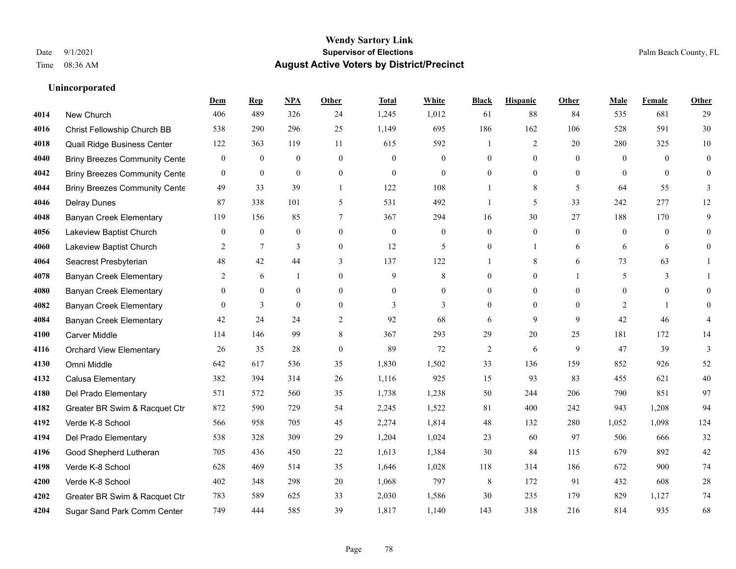### **Wendy Sartory Link** Date 9/1/2021 **Supervisor of Elections** Palm Beach County, FL Time 08:36 AM **August Active Voters by District/Precinct**

### **Dem Rep NPA Other Total White Black Hispanic Other Male Female Other** New Church 406 489 326 24 1,245 1,012 61 88 84 535 681 29 Christ Fellowship Church BB 538 290 296 25 1,149 695 186 162 106 528 591 30 Quail Ridge Business Center 122 363 119 11 615 592 1 2 20 280 325 10 Briny Breezes Community Center 0 0 0 0 0 0 0 0 0 0 0 0 Briny Breezes Community Center 0 0 0 0 0 0 0 0 0 0 0 0 Briny Breezes Community Cente 49 33 39 1 122 108 1 8 5 64 55 3 Delray Dunes 87 338 101 5 531 492 1 5 33 242 277 12 Banyan Creek Elementary 119 156 85 7 367 294 16 30 27 188 170 9 Lakeview Baptist Church 0 0 0 0 0 0 0 0 0 0 0 0 Lakeview Baptist Church 2 7 3 0 12 5 0 1 6 6 6 0 Seacrest Presbyterian **48** 42 44 3 137 122 1 8 6 73 63 1 Banyan Creek Elementary 2 6 1 0 9 8 0 0 1 5 3 1 **4080 Banyan Creek Elementary**  $\begin{array}{ccccccccccccc}\n0 & 0 & 0 & 0 & 0 & 0 & 0 & 0 & 0 & 0 & 0 & 0 & 0\n\end{array}$ **4082 Banyan Creek Elementary 0 3 0 0 3 3 3 0 0 0 2 1 0 4084 Banyan Creek Elementary 42 24 24 2 92 68 6 9 9 42 46 4**  Carver Middle 114 146 99 8 367 293 29 20 25 181 172 14 Orchard View Elementary 26 35 28 0 89 72 2 6 9 47 39 3 Omni Middle 642 617 536 35 1,830 1,502 33 136 159 852 926 52 Calusa Elementary 382 394 314 26 1,116 925 15 93 83 455 621 40 Del Prado Elementary 571 572 560 35 1,738 1,238 50 244 206 790 851 97 Greater BR Swim & Racquet Ctr 872 590 729 54 2,245 1,522 81 400 242 943 1,208 94 Verde K-8 School 566 958 705 45 2,274 1,814 48 132 280 1,052 1,098 124 Del Prado Elementary 538 328 309 29 1,204 1,024 23 60 97 506 666 32 Good Shepherd Lutheran 705 436 450 22 1,613 1,384 30 84 115 679 892 42 Verde K-8 School 628 469 514 35 1,646 1,028 118 314 186 672 900 74 Verde K-8 School 402 348 298 20 1,068 797 8 172 91 432 608 28 Greater BR Swim & Racquet Ctr 783 589 625 33 2,030 1,586 30 235 179 829 1,127 74

Sugar Sand Park Comm Center 749 444 585 39 1,817 1,140 143 318 216 814 935 68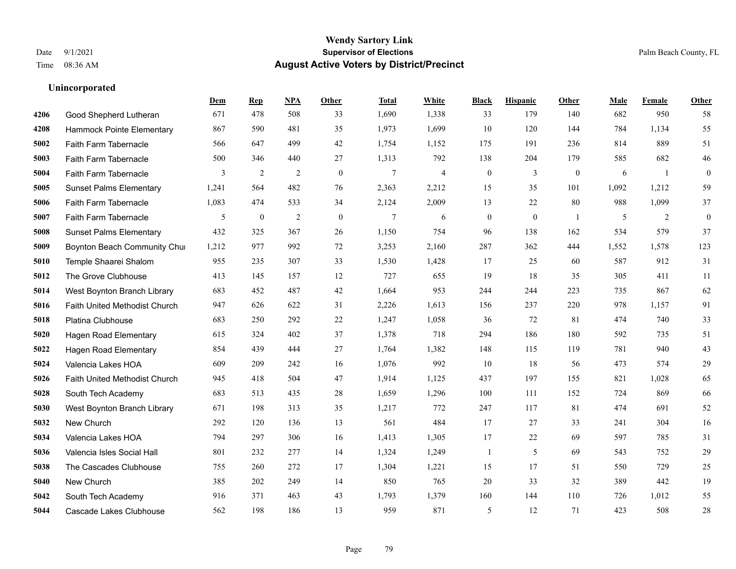### **Wendy Sartory Link** Date 9/1/2021 **Supervisor of Elections** Palm Beach County, FL Time 08:36 AM **August Active Voters by District/Precinct**

**Dem Rep NPA Other Total White Black Hispanic Other Male Female Other**

# Good Shepherd Lutheran 671 478 508 33 1,690 1,338 33 179 140 682 950 58 Hammock Pointe Elementary 867 590 481 35 1,973 1,699 10 120 144 784 1,134 55 Faith Farm Tabernacle 566 647 499 42 1,754 1,152 175 191 236 814 889 51 Faith Farm Tabernacle 500 346 440 27 1,313 792 138 204 179 585 682 46 Faith Farm Tabernacle 3 2 2 0 7 4 0 3 0 6 1 0 Sunset Palms Elementary 1,241 564 482 76 2,363 2,212 15 35 101 1,092 1,212 59 Faith Farm Tabernacle 1,083 474 533 34 2,124 2,009 13 22 80 988 1,099 37

| ovvc | Falln Farm Tabernacle                | 1,003 | 474          | JJJ. | 54.            | 2,124  | 2,009 | 12       | ∠∠           | $\delta U$ | 700   | 1,099 | $J$ /    |
|------|--------------------------------------|-------|--------------|------|----------------|--------|-------|----------|--------------|------------|-------|-------|----------|
| 5007 | Faith Farm Tabernacle                | 5     | $\mathbf{0}$ | 2    | $\overline{0}$ | $\tau$ | 6     | $\theta$ | $\mathbf{0}$ |            | 5     | 2     | $\theta$ |
| 5008 | <b>Sunset Palms Elementary</b>       | 432   | 325          | 367  | 26             | 1,150  | 754   | 96       | 138          | 162        | 534   | 579   | 37       |
| 5009 | Boynton Beach Community Chur         | 1,212 | 977          | 992  | 72             | 3,253  | 2,160 | 287      | 362          | 444        | 1,552 | 1,578 | 123      |
| 5010 | Temple Shaarei Shalom                | 955   | 235          | 307  | 33             | 1,530  | 1,428 | 17       | 25           | 60         | 587   | 912   | 31       |
| 5012 | The Grove Clubhouse                  | 413   | 145          | 157  | 12             | 727    | 655   | 19       | 18           | 35         | 305   | 411   | 11       |
| 5014 | West Boynton Branch Library          | 683   | 452          | 487  | 42             | 1,664  | 953   | 244      | 244          | 223        | 735   | 867   | 62       |
| 5016 | <b>Faith United Methodist Church</b> | 947   | 626          | 622  | 31             | 2,226  | 1,613 | 156      | 237          | 220        | 978   | 1,157 | 91       |
| 5018 | Platina Clubhouse                    | 683   | 250          | 292  | 22             | 1,247  | 1,058 | 36       | 72           | 81         | 474   | 740   | 33       |
| 5020 | <b>Hagen Road Elementary</b>         | 615   | 324          | 402  | 37             | 1,378  | 718   | 294      | 186          | 180        | 592   | 735   | 51       |
| 5022 | <b>Hagen Road Elementary</b>         | 854   | 439          | 444  | 27             | 1,764  | 1,382 | 148      | 115          | 119        | 781   | 940   | 43       |
| 5024 | Valencia Lakes HOA                   | 609   | 209          | 242  | 16             | 1,076  | 992   | 10       | 18           | 56         | 473   | 574   | 29       |
| 5026 | <b>Faith United Methodist Church</b> | 945   | 418          | 504  | 47             | 1,914  | 1,125 | 437      | 197          | 155        | 821   | 1,028 | 65       |
| 5028 | South Tech Academy                   | 683   | 513          | 435  | 28             | 1,659  | 1,296 | 100      | 111          | 152        | 724   | 869   | 66       |
| 5030 | West Boynton Branch Library          | 671   | 198          | 313  | 35             | 1,217  | 772   | 247      | 117          | 81         | 474   | 691   | 52       |
| 5032 | New Church                           | 292   | 120          | 136  | 13             | 561    | 484   | 17       | 27           | 33         | 241   | 304   | 16       |
| 5034 | Valencia Lakes HOA                   | 794   | 297          | 306  | 16             | 1,413  | 1,305 | 17       | 22           | 69         | 597   | 785   | 31       |
| 5036 | Valencia Isles Social Hall           | 801   | 232          | 277  | 14             | 1,324  | 1,249 |          | 5            | 69         | 543   | 752   | 29       |
| 5038 | The Cascades Clubhouse               | 755   | 260          | 272  | 17             | 1,304  | 1,221 | 15       | 17           | 51         | 550   | 729   | 25       |
| 5040 | New Church                           | 385   | 202          | 249  | 14             | 850    | 765   | 20       | 33           | 32         | 389   | 442   | 19       |
| 5042 | South Tech Academy                   | 916   | 371          | 463  | 43             | 1,793  | 1,379 | 160      | 144          | 110        | 726   | 1,012 | 55       |
| 5044 | Cascade Lakes Clubhouse              | 562   | 198          | 186  | 13             | 959    | 871   | 5        | 12           | 71         | 423   | 508   | 28       |
|      |                                      |       |              |      |                |        |       |          |              |            |       |       |          |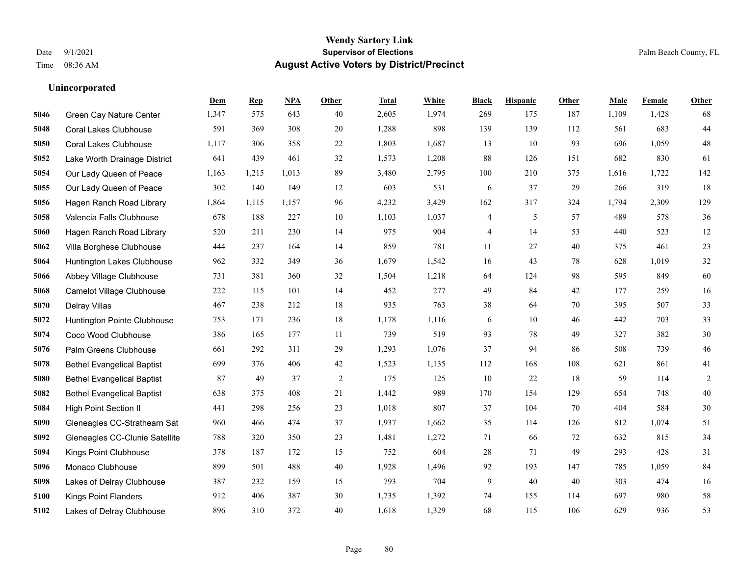#### **Wendy Sartory Link** Date 9/1/2021 **Supervisor of Elections** Palm Beach County, FL Time 08:36 AM **August Active Voters by District/Precinct**

### **Dem Rep NPA Other Total White Black Hispanic Other Male Female Other** Green Cay Nature Center 1,347 575 643 40 2,605 1,974 269 175 187 1,109 1,428 68 Coral Lakes Clubhouse 591 369 308 20 1,288 898 139 139 112 561 683 44 Coral Lakes Clubhouse 1,117 306 358 22 1,803 1,687 13 10 93 696 1,059 48 Lake Worth Drainage District 641 439 461 32 1,573 1,208 88 126 151 682 830 61 Our Lady Queen of Peace 1,163 1,215 1,013 89 3,480 2,795 100 210 375 1,616 1,722 142 Our Lady Queen of Peace 302 140 149 12 603 531 6 37 29 266 319 18 Hagen Ranch Road Library 1,864 1,115 1,157 96 4,232 3,429 162 317 324 1,794 2,309 129 Valencia Falls Clubhouse 678 188 227 10 1,103 1,037 4 5 57 489 578 36 Hagen Ranch Road Library 520 211 230 14 975 904 4 14 53 440 523 12 Villa Borghese Clubhouse 444 237 164 14 859 781 11 27 40 375 461 23 Huntington Lakes Clubhouse 962 332 349 36 1,679 1,542 16 43 78 628 1,019 32 Abbey Village Clubhouse 731 381 360 32 1,504 1,218 64 124 98 595 849 60 Camelot Village Clubhouse 222 115 101 14 452 277 49 84 42 177 259 16 Delray Villas 467 238 212 18 935 763 38 64 70 395 507 33 Huntington Pointe Clubhouse 753 171 236 18 1,178 1,116 6 10 46 442 703 33 Coco Wood Clubhouse 386 165 177 11 739 519 93 78 49 327 382 30 Palm Greens Clubhouse 661 292 311 29 1,293 1,076 37 94 86 508 739 46 Bethel Evangelical Baptist 699 376 406 42 1,523 1,135 112 168 108 621 861 41 Bethel Evangelical Baptist 87 49 37 2 175 125 10 22 18 59 114 2 Bethel Evangelical Baptist 638 375 408 21 1,442 989 170 154 129 654 748 40 High Point Section II 441 298 256 23 1,018 807 37 104 70 404 584 30 Gleneagles CC-Strathearn Sat 960 466 474 37 1,937 1,662 35 114 126 812 1,074 51 Gleneagles CC-Clunie Satellite 788 320 350 23 1,481 1,272 71 66 72 632 815 34 Kings Point Clubhouse 378 187 172 15 752 604 28 71 49 293 428 31 Monaco Clubhouse 899 501 488 40 1,928 1,496 92 193 147 785 1,059 84 Lakes of Delray Clubhouse 387 232 159 15 793 704 9 40 40 303 474 16 Kings Point Flanders 912 406 387 30 1,735 1,392 74 155 114 697 980 58 Lakes of Delray Clubhouse 896 310 372 40 1,618 1,329 68 115 106 629 936 53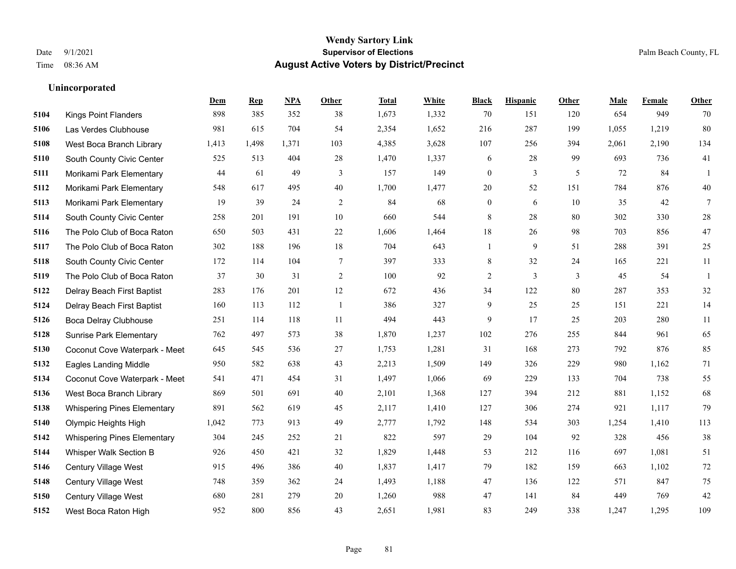|      |                                    | Dem   | <b>Rep</b> | NPA   | <b>Other</b> | <b>Total</b> | White | <b>Black</b>     | <b>Hispanic</b> | <b>Other</b> | <b>Male</b> | <b>Female</b> | <b>Other</b> |
|------|------------------------------------|-------|------------|-------|--------------|--------------|-------|------------------|-----------------|--------------|-------------|---------------|--------------|
| 5104 | <b>Kings Point Flanders</b>        | 898   | 385        | 352   | 38           | 1,673        | 1,332 | 70               | 151             | 120          | 654         | 949           | 70           |
| 5106 | Las Verdes Clubhouse               | 981   | 615        | 704   | 54           | 2,354        | 1,652 | 216              | 287             | 199          | 1,055       | 1,219         | 80           |
| 5108 | West Boca Branch Library           | 1,413 | 1,498      | 1,371 | 103          | 4,385        | 3,628 | 107              | 256             | 394          | 2,061       | 2,190         | 134          |
| 5110 | South County Civic Center          | 525   | 513        | 404   | 28           | 1,470        | 1,337 | 6                | 28              | 99           | 693         | 736           | 41           |
| 5111 | Morikami Park Elementary           | 44    | 61         | 49    | 3            | 157          | 149   | $\mathbf{0}$     | 3               | 5            | 72          | 84            | $\mathbf{1}$ |
| 5112 | Morikami Park Elementary           | 548   | 617        | 495   | 40           | 1,700        | 1,477 | $20\,$           | 52              | 151          | 784         | 876           | 40           |
| 5113 | Morikami Park Elementary           | 19    | 39         | 24    | 2            | 84           | 68    | $\boldsymbol{0}$ | 6               | 10           | 35          | 42            | $\tau$       |
| 5114 | South County Civic Center          | 258   | 201        | 191   | 10           | 660          | 544   | 8                | 28              | 80           | 302         | 330           | $28\,$       |
| 5116 | The Polo Club of Boca Raton        | 650   | 503        | 431   | 22           | 1,606        | 1,464 | 18               | 26              | 98           | 703         | 856           | $47\,$       |
| 5117 | The Polo Club of Boca Raton        | 302   | 188        | 196   | 18           | 704          | 643   | $\mathbf{1}$     | 9               | 51           | 288         | 391           | 25           |
| 5118 | South County Civic Center          | 172   | 114        | 104   | $\tau$       | 397          | 333   | 8                | 32              | 24           | 165         | 221           | 11           |
| 5119 | The Polo Club of Boca Raton        | 37    | 30         | 31    | 2            | 100          | 92    | $\overline{c}$   | $\overline{3}$  | 3            | 45          | 54            | 1            |
| 5122 | Delray Beach First Baptist         | 283   | 176        | 201   | 12           | 672          | 436   | 34               | 122             | 80           | 287         | 353           | 32           |
| 5124 | Delray Beach First Baptist         | 160   | 113        | 112   | $\mathbf{1}$ | 386          | 327   | 9                | 25              | 25           | 151         | 221           | 14           |
| 5126 | <b>Boca Delray Clubhouse</b>       | 251   | 114        | 118   | 11           | 494          | 443   | 9                | 17              | 25           | 203         | 280           | 11           |
| 5128 | <b>Sunrise Park Elementary</b>     | 762   | 497        | 573   | 38           | 1,870        | 1,237 | 102              | 276             | 255          | 844         | 961           | 65           |
| 5130 | Coconut Cove Waterpark - Meet      | 645   | 545        | 536   | 27           | 1,753        | 1,281 | 31               | 168             | 273          | 792         | 876           | 85           |
| 5132 | <b>Eagles Landing Middle</b>       | 950   | 582        | 638   | 43           | 2,213        | 1,509 | 149              | 326             | 229          | 980         | 1,162         | 71           |
| 5134 | Coconut Cove Waterpark - Meet      | 541   | 471        | 454   | 31           | 1,497        | 1,066 | 69               | 229             | 133          | 704         | 738           | 55           |
| 5136 | West Boca Branch Library           | 869   | 501        | 691   | 40           | 2,101        | 1,368 | 127              | 394             | 212          | 881         | 1,152         | 68           |
| 5138 | <b>Whispering Pines Elementary</b> | 891   | 562        | 619   | 45           | 2,117        | 1,410 | 127              | 306             | 274          | 921         | 1,117         | 79           |
| 5140 | Olympic Heights High               | 1,042 | 773        | 913   | 49           | 2,777        | 1,792 | 148              | 534             | 303          | 1,254       | 1,410         | 113          |
| 5142 | <b>Whispering Pines Elementary</b> | 304   | 245        | 252   | 21           | 822          | 597   | 29               | 104             | 92           | 328         | 456           | 38           |
| 5144 | Whisper Walk Section B             | 926   | 450        | 421   | 32           | 1,829        | 1,448 | 53               | 212             | 116          | 697         | 1,081         | 51           |
| 5146 | Century Village West               | 915   | 496        | 386   | 40           | 1,837        | 1,417 | 79               | 182             | 159          | 663         | 1.102         | $72\,$       |
| 5148 | Century Village West               | 748   | 359        | 362   | 24           | 1,493        | 1,188 | 47               | 136             | 122          | 571         | 847           | $75\,$       |
| 5150 | Century Village West               | 680   | 281        | 279   | 20           | 1,260        | 988   | 47               | 141             | 84           | 449         | 769           | 42           |
| 5152 | West Boca Raton High               | 952   | 800        | 856   | 43           | 2,651        | 1,981 | 83               | 249             | 338          | 1,247       | 1,295         | 109          |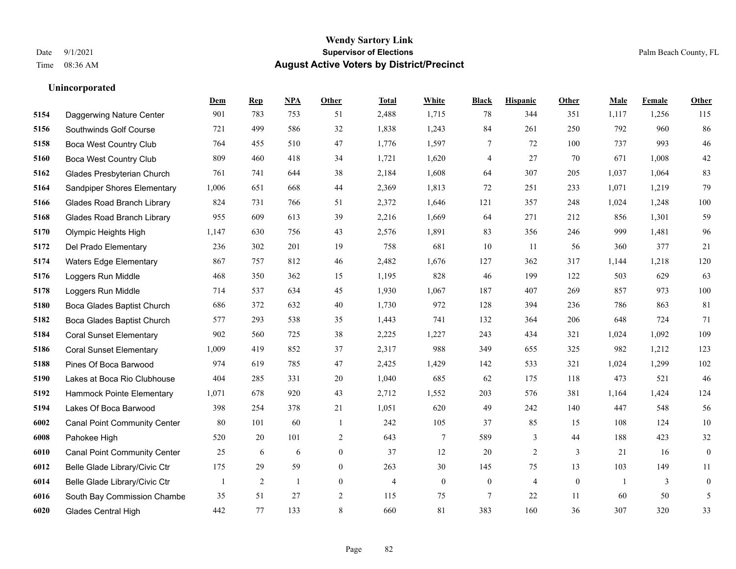#### **Wendy Sartory Link** Date 9/1/2021 **Supervisor of Elections** Palm Beach County, FL Time 08:36 AM **August Active Voters by District/Precinct**

### **Dem Rep NPA Other Total White Black Hispanic Other Male Female Other** Daggerwing Nature Center 901 783 753 51 2,488 1,715 78 344 351 1,117 1,256 115 Southwinds Golf Course 721 499 586 32 1,838 1,243 84 261 250 792 960 86 Boca West Country Club 764 455 510 47 1,776 1,597 7 72 100 737 993 46 Boca West Country Club 809 460 418 34 1,721 1,620 4 27 70 671 1,008 42 Glades Presbyterian Church 761 741 644 38 2,184 1,608 64 307 205 1,037 1,064 83 Sandpiper Shores Elementary 1,006 651 668 44 2,369 1,813 72 251 233 1,071 1,219 79 Glades Road Branch Library 824 731 766 51 2,372 1,646 121 357 248 1,024 1,248 100 Glades Road Branch Library 955 609 613 39 2,216 1,669 64 271 212 856 1,301 59 Olympic Heights High 1,147 630 756 43 2,576 1,891 83 356 246 999 1,481 96 Del Prado Elementary 236 302 201 19 758 681 10 11 56 360 377 21 Waters Edge Elementary 867 757 812 46 2,482 1,676 127 362 317 1,144 1,218 120 Loggers Run Middle 468 350 362 15 1,195 828 46 199 122 503 629 63 Loggers Run Middle 714 537 634 45 1,930 1,067 187 407 269 857 973 100 Boca Glades Baptist Church 686 372 632 40 1,730 972 128 394 236 786 863 81 Boca Glades Baptist Church 577 293 538 35 1,443 741 132 364 206 648 724 71 Coral Sunset Elementary 902 560 725 38 2,225 1,227 243 434 321 1,024 1,092 109 Coral Sunset Elementary 1,009 419 852 37 2,317 988 349 655 325 982 1,212 123 Pines Of Boca Barwood 974 619 785 47 2,425 1,429 142 533 321 1,024 1,299 102 Lakes at Boca Rio Clubhouse 404 285 331 20 1,040 685 62 175 118 473 521 46 Hammock Pointe Elementary 1,071 678 920 43 2,712 1,552 203 576 381 1,164 1,424 124 Lakes Of Boca Barwood 398 254 378 21 1,051 620 49 242 140 447 548 56 Canal Point Community Center 80 101 60 1 242 105 37 85 15 108 124 10 Pahokee High 520 20 101 2 643 7 589 3 44 188 423 32 Canal Point Community Center 25 6 6 0 37 12 20 2 3 21 16 0 Belle Glade Library/Civic Ctr 175 29 59 0 263 30 145 75 13 103 149 11 Belle Glade Library/Civic Ctr 1 2 1 0 4 0 0 4 0 1 3 0 South Bay Commission Chambe 35 51 27 2 115 75 7 22 11 60 50 5 Glades Central High 442 77 133 8 660 81 383 160 36 307 320 33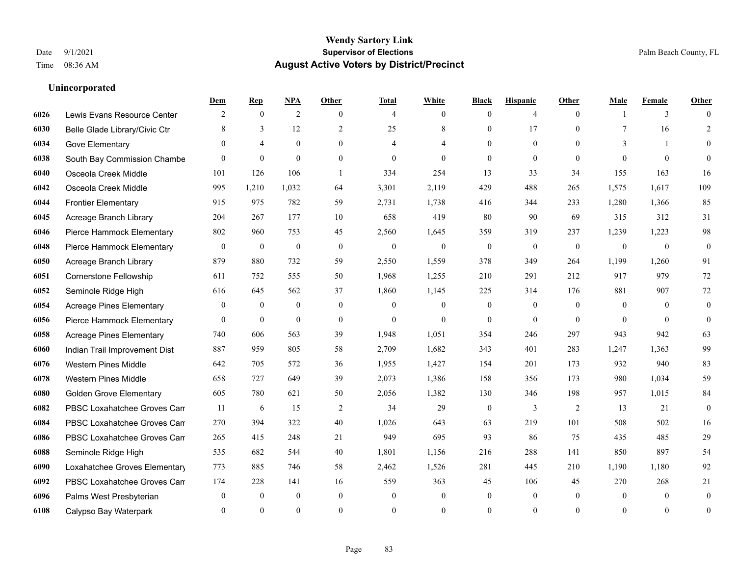|      |                                 | Dem          | <b>Rep</b>     | NPA              | <b>Other</b>   | <b>Total</b>   | <b>White</b>   | <b>Black</b>     | <b>Hispanic</b>  | Other          | <b>Male</b>    | <b>Female</b> | <b>Other</b>     |
|------|---------------------------------|--------------|----------------|------------------|----------------|----------------|----------------|------------------|------------------|----------------|----------------|---------------|------------------|
| 6026 | Lewis Evans Resource Center     | 2            | $\mathbf{0}$   | 2                | $\theta$       | $\overline{4}$ | $\overline{0}$ | $\mathbf{0}$     | $\overline{4}$   | $\theta$       |                | 3             | $\Omega$         |
| 6030 | Belle Glade Library/Civic Ctr   | 8            | 3              | 12               | 2              | 25             | 8              | $\mathbf{0}$     | 17               | $\theta$       | 7              | 16            | $\overline{2}$   |
| 6034 | Gove Elementary                 | $\Omega$     | $\overline{4}$ | $\theta$         | $\Omega$       | $\overline{4}$ | 4              | $\theta$         | $\theta$         | $\Omega$       | 3              | $\mathbf{1}$  | $\Omega$         |
| 6038 | South Bay Commission Chambe     | $\mathbf{0}$ | $\mathbf{0}$   | $\mathbf{0}$     | $\overline{0}$ | $\mathbf{0}$   | $\overline{0}$ | $\mathbf{0}$     | $\mathbf{0}$     | $\mathbf{0}$   | $\theta$       | $\mathbf{0}$  | $\Omega$         |
| 6040 | Osceola Creek Middle            | 101          | 126            | 106              | $\overline{1}$ | 334            | 254            | 13               | 33               | 34             | 155            | 163           | 16               |
| 6042 | Osceola Creek Middle            | 995          | 1,210          | 1,032            | 64             | 3,301          | 2,119          | 429              | 488              | 265            | 1,575          | 1,617         | 109              |
| 6044 | <b>Frontier Elementary</b>      | 915          | 975            | 782              | 59             | 2,731          | 1,738          | 416              | 344              | 233            | 1,280          | 1,366         | 85               |
| 6045 | Acreage Branch Library          | 204          | 267            | 177              | 10             | 658            | 419            | 80               | 90               | 69             | 315            | 312           | 31               |
| 6046 | Pierce Hammock Elementary       | 802          | 960            | 753              | 45             | 2,560          | 1,645          | 359              | 319              | 237            | 1,239          | 1,223         | 98               |
| 6048 | Pierce Hammock Elementary       | $\mathbf{0}$ | $\mathbf{0}$   | $\mathbf{0}$     | $\theta$       | $\mathbf{0}$   | $\mathbf{0}$   | $\mathbf{0}$     | $\mathbf{0}$     | $\theta$       | $\overline{0}$ | $\mathbf{0}$  | $\mathbf{0}$     |
| 6050 | Acreage Branch Library          | 879          | 880            | 732              | 59             | 2,550          | 1,559          | 378              | 349              | 264            | 1,199          | 1,260         | 91               |
| 6051 | Cornerstone Fellowship          | 611          | 752            | 555              | 50             | 1,968          | 1,255          | 210              | 291              | 212            | 917            | 979           | 72               |
| 6052 | Seminole Ridge High             | 616          | 645            | 562              | 37             | 1,860          | 1,145          | 225              | 314              | 176            | 881            | 907           | 72               |
| 6054 | <b>Acreage Pines Elementary</b> | $\mathbf{0}$ | $\bf{0}$       | $\boldsymbol{0}$ | $\overline{0}$ | $\mathbf{0}$   | $\mathbf{0}$   | $\boldsymbol{0}$ | $\boldsymbol{0}$ | $\overline{0}$ | $\overline{0}$ | $\mathbf{0}$  | $\mathbf{0}$     |
| 6056 | Pierce Hammock Elementary       | $\mathbf{0}$ | $\mathbf{0}$   | $\mathbf{0}$     | $\overline{0}$ | $\theta$       | $\overline{0}$ | $\mathbf{0}$     | $\mathbf{0}$     | $\theta$       | $\theta$       | $\theta$      | $\mathbf{0}$     |
| 6058 | <b>Acreage Pines Elementary</b> | 740          | 606            | 563              | 39             | 1,948          | 1,051          | 354              | 246              | 297            | 943            | 942           | 63               |
| 6060 | Indian Trail Improvement Dist   | 887          | 959            | 805              | 58             | 2,709          | 1,682          | 343              | 401              | 283            | 1,247          | 1.363         | 99               |
| 6076 | <b>Western Pines Middle</b>     | 642          | 705            | 572              | 36             | 1,955          | 1,427          | 154              | 201              | 173            | 932            | 940           | 83               |
| 6078 | <b>Western Pines Middle</b>     | 658          | 727            | 649              | 39             | 2,073          | 1,386          | 158              | 356              | 173            | 980            | 1,034         | 59               |
| 6080 | <b>Golden Grove Elementary</b>  | 605          | 780            | 621              | 50             | 2,056          | 1,382          | 130              | 346              | 198            | 957            | 1,015         | 84               |
| 6082 | PBSC Loxahatchee Groves Can     | 11           | 6              | 15               | $\overline{2}$ | 34             | 29             | $\mathbf{0}$     | 3                | 2              | 13             | 21            | $\theta$         |
| 6084 | PBSC Loxahatchee Groves Can     | 270          | 394            | 322              | 40             | 1,026          | 643            | 63               | 219              | 101            | 508            | 502           | 16               |
| 6086 | PBSC Loxahatchee Groves Can     | 265          | 415            | 248              | 21             | 949            | 695            | 93               | 86               | 75             | 435            | 485           | 29               |
| 6088 | Seminole Ridge High             | 535          | 682            | 544              | 40             | 1,801          | 1,156          | 216              | 288              | 141            | 850            | 897           | 54               |
| 6090 | Loxahatchee Groves Elementary   | 773          | 885            | 746              | 58             | 2,462          | 1,526          | 281              | 445              | 210            | 1,190          | 1,180         | 92               |
| 6092 | PBSC Loxahatchee Groves Can     | 174          | 228            | 141              | 16             | 559            | 363            | 45               | 106              | 45             | 270            | 268           | 21               |
| 6096 | Palms West Presbyterian         | $\mathbf{0}$ | $\mathbf{0}$   | $\mathbf{0}$     | $\overline{0}$ | $\mathbf{0}$   | $\overline{0}$ | $\boldsymbol{0}$ | $\mathbf{0}$     | $\theta$       | $\theta$       | $\mathbf{0}$  | $\mathbf{0}$     |
| 6108 | Calypso Bay Waterpark           | $\theta$     | $\Omega$       | $\theta$         | $\Omega$       | $\Omega$       | $\Omega$       | $\theta$         | $\theta$         | $\theta$       | $\Omega$       | $\theta$      | $\boldsymbol{0}$ |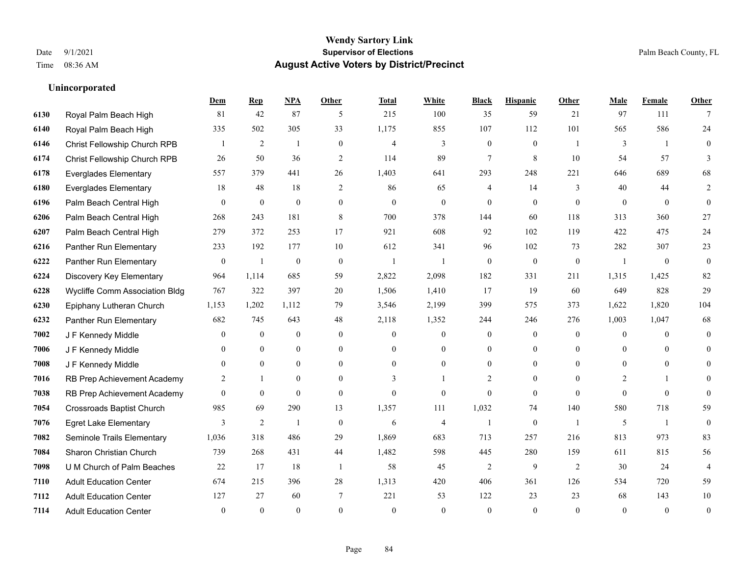### **Wendy Sartory Link** Date 9/1/2021 **Supervisor of Elections** Palm Beach County, FL Time 08:36 AM **August Active Voters by District/Precinct**

### **Dem Rep NPA Other Total White Black Hispanic Other Male Female Other** Royal Palm Beach High 81 42 87 5 215 100 35 59 21 97 111 7 Royal Palm Beach High 335 502 305 33 1,175 855 107 112 101 565 586 24 Christ Fellowship Church RPB 1 2 1 0 4 3 0 0 1 3 1 0 Christ Fellowship Church RPB 26 50 36 2 114 89 7 8 10 54 57 3 Everglades Elementary 557 379 441 26 1,403 641 293 248 221 646 689 68 Everglades Elementary 18 48 18 2 86 65 4 14 3 40 44 2 Palm Beach Central High 0 0 0 0 0 0 0 0 0 0 0 0 Palm Beach Central High 268 243 181 8 700 378 144 60 118 313 360 27 Palm Beach Central High 279 372 253 17 921 608 92 102 119 422 475 24 Panther Run Elementary 233 192 177 10 612 341 96 102 73 282 307 23 Panther Run Elementary 0 1 0 0 1 1 0 0 0 1 0 0 Discovery Key Elementary 964 1,114 685 59 2,822 2,098 182 331 211 1,315 1,425 82 Wycliffe Comm Association Bldg 767 322 397 20 1,506 1,410 17 19 60 649 828 29 Epiphany Lutheran Church 1,153 1,202 1,112 79 3,546 2,199 399 575 373 1,622 1,820 104 Panther Run Elementary 682 745 643 48 2,118 1,352 244 246 276 1,003 1,047 68 J F Kennedy Middle 0 0 0 0 0 0 0 0 0 0 J F Kennedy Middle 0 0 0 0 0 0 0 0 0 0 J F Kennedy Middle 0 0 0 0 0 0 0 0 0 0 RB Prep Achievement Academy 2 1 0 0 3 1 2 0 0 2 1 0 RB Prep Achievement Academy 0 0 0 0 0 0 0 0 0 0 0 0 Crossroads Baptist Church 985 69 290 13 1,357 111 1,032 74 140 580 718 59 Egret Lake Elementary 3 2 1 0 6 4 1 0 1 5 1 0 Seminole Trails Elementary 1,036 318 486 29 1,869 683 713 257 216 813 973 83 Sharon Christian Church 739 268 431 44 1,482 598 445 280 159 611 815 56 U M Church of Palm Beaches 22 17 18 1 58 45 2 9 2 30 24 4 Adult Education Center 674 215 396 28 1,313 420 406 361 126 534 720 59 Adult Education Center 127 27 60 7 221 53 122 23 23 68 143 10 Adult Education Center 0 0 0 0 0 0 0 0 0 0 0 0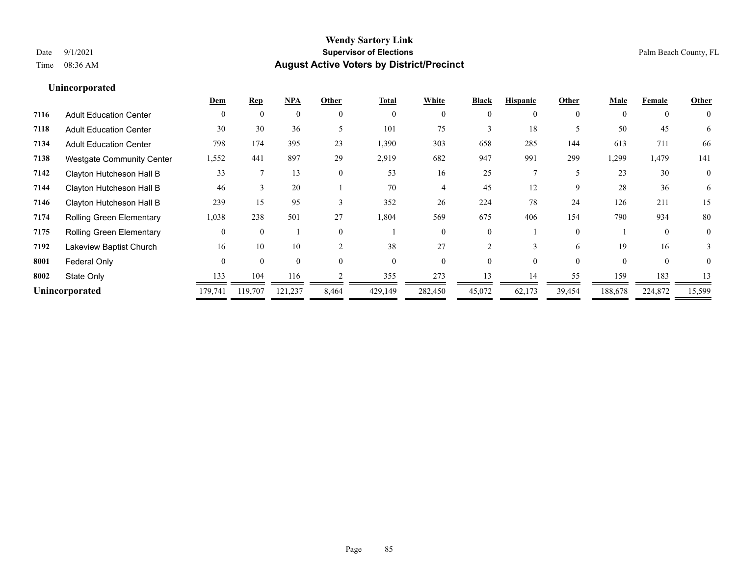|                                  |          |          |          |               | <b>Total</b> | White    | <b>Black</b> | <b>Hispanic</b> | Other       | Male     | Female   | Other          |
|----------------------------------|----------|----------|----------|---------------|--------------|----------|--------------|-----------------|-------------|----------|----------|----------------|
| <b>Adult Education Center</b>    | $\theta$ | $\Omega$ | $\theta$ | $\theta$      | $\theta$     | $\Omega$ | $\theta$     | 0               | $\theta$    | $\theta$ | $\theta$ | $\theta$       |
| <b>Adult Education Center</b>    | 30       | 30       | 36       |               | 101          | 75       |              | 18              |             | 50       | 45       | 6              |
| <b>Adult Education Center</b>    | 798      | 174      | 395      | 23            | 1,390        | 303      | 658          | 285             | 144         | 613      | 711      | 66             |
| <b>Westgate Community Center</b> | 1,552    | 441      | 897      | 29            | 2,919        | 682      | 947          | 991             | 299         | ,299     | 1,479    | 141            |
| Clayton Hutcheson Hall B         | 33       |          | 13       | $\theta$      | 53           | 16       | 25           |                 | 5           | 23       | 30       | $\overline{0}$ |
| Clayton Hutcheson Hall B         | 46       | 3        | 20       |               | 70           |          | 45           | 12              | $\mathbf Q$ | 28       | 36       | 6              |
| Clayton Hutcheson Hall B         | 239      | 15       | 95       | 3             | 352          | 26       | 224          | 78              | 24          | 126      | 211      | 15             |
| <b>Rolling Green Elementary</b>  | 1,038    | 238      | 501      | 27            | 1,804        | 569      | 675          | 406             | 154         | 790      | 934      | 80             |
| <b>Rolling Green Elementary</b>  | $\Omega$ | $\Omega$ |          | $\Omega$      |              | 0        | 0            |                 | $\theta$    |          | $\Omega$ | $\theta$       |
| Lakeview Baptist Church          | 16       | 10       | 10       | $\mathcal{D}$ | 38           | 27       |              | 3               | 6           | 19       | 16       | 3              |
| Federal Only                     | $\Omega$ | $\Omega$ | $\Omega$ | $\Omega$      | $\Omega$     | $\Omega$ |              | 0               | $\Omega$    | $\Omega$ | $\theta$ | 0              |
| State Only                       | 133      | 104      | 116      |               | 355          | 273      | 13           | 14              | 55          | 159      | 183      | 13             |
| Unincorporated                   | 179,741  | 119,707  | 121,237  | 8,464         | 429,149      | 282,450  | 45,072       | 62,173          | 39,454      | 188,678  | 224,872  | 15,599         |
|                                  |          |          |          |               |              |          |              |                 |             |          |          |                |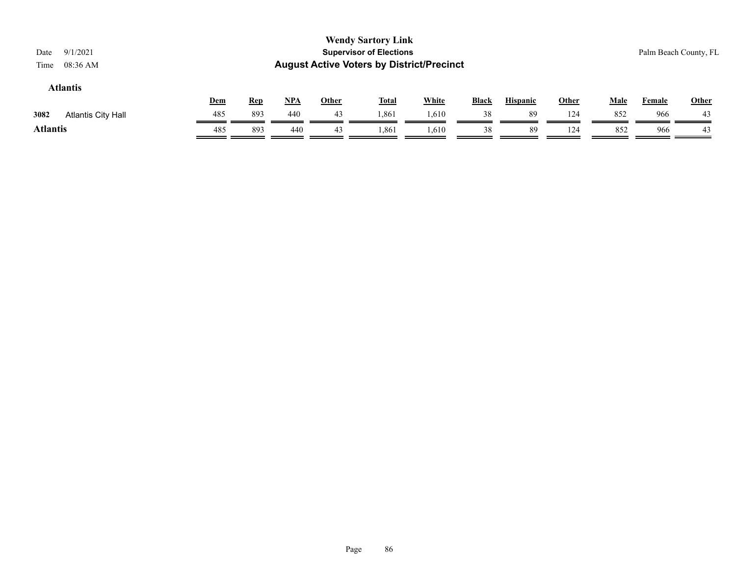### **Atlantis**

|                                   | Dem | <b>Rep</b> | <b>NPA</b> | Other | <b>Total</b> | White | Black | <b>Hispanic</b> | Other | Male | Female | <b>Other</b> |
|-----------------------------------|-----|------------|------------|-------|--------------|-------|-------|-----------------|-------|------|--------|--------------|
| 3082<br><b>Atlantis City Hall</b> | 485 | 893        | 440        | 43    | .861         | .610  | 38    | 89              | 124   | 852  | 966    | 43           |
| Atlantis                          | 485 | 893        | 440        |       | 1,861        | 1,610 |       | 89              | 124   | 852  | 966    | 43           |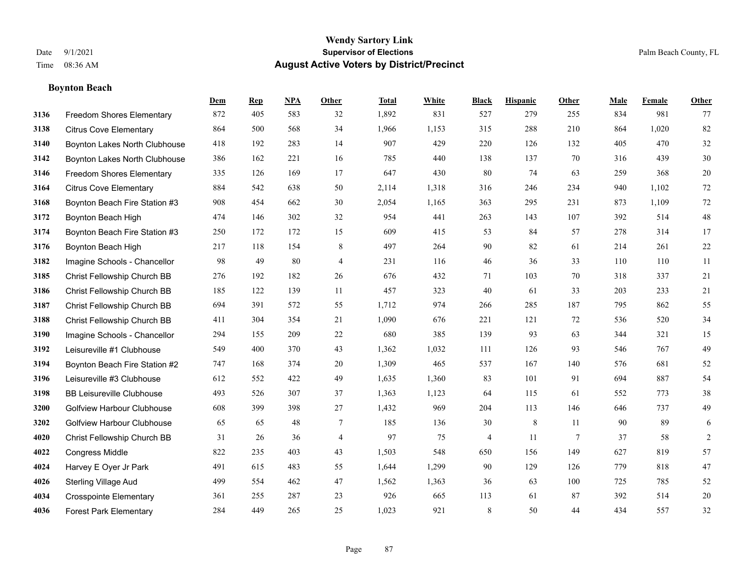## **Boynton Beach**

|      |                                   | Dem | <b>Rep</b> | NPA | <b>Other</b>   | <b>Total</b> | <b>White</b> | <b>Black</b> | <b>Hispanic</b> | Other  | <b>Male</b> | <b>Female</b> | <b>Other</b> |
|------|-----------------------------------|-----|------------|-----|----------------|--------------|--------------|--------------|-----------------|--------|-------------|---------------|--------------|
| 3136 | <b>Freedom Shores Elementary</b>  | 872 | 405        | 583 | 32             | 1,892        | 831          | 527          | 279             | 255    | 834         | 981           | 77           |
| 3138 | <b>Citrus Cove Elementary</b>     | 864 | 500        | 568 | 34             | 1,966        | 1,153        | 315          | 288             | 210    | 864         | 1,020         | 82           |
| 3140 | Boynton Lakes North Clubhouse     | 418 | 192        | 283 | 14             | 907          | 429          | 220          | 126             | 132    | 405         | 470           | 32           |
| 3142 | Boynton Lakes North Clubhouse     | 386 | 162        | 221 | 16             | 785          | 440          | 138          | 137             | 70     | 316         | 439           | 30           |
| 3146 | <b>Freedom Shores Elementary</b>  | 335 | 126        | 169 | 17             | 647          | 430          | 80           | 74              | 63     | 259         | 368           | 20           |
| 3164 | <b>Citrus Cove Elementary</b>     | 884 | 542        | 638 | 50             | 2,114        | 1,318        | 316          | 246             | 234    | 940         | 1,102         | $72\,$       |
| 3168 | Boynton Beach Fire Station #3     | 908 | 454        | 662 | 30             | 2,054        | 1,165        | 363          | 295             | 231    | 873         | 1,109         | 72           |
| 3172 | Boynton Beach High                | 474 | 146        | 302 | 32             | 954          | 441          | 263          | 143             | 107    | 392         | 514           | 48           |
| 3174 | Boynton Beach Fire Station #3     | 250 | 172        | 172 | 15             | 609          | 415          | 53           | 84              | 57     | 278         | 314           | 17           |
| 3176 | Boynton Beach High                | 217 | 118        | 154 | 8              | 497          | 264          | 90           | 82              | 61     | 214         | 261           | 22           |
| 3182 | Imagine Schools - Chancellor      | 98  | 49         | 80  | $\overline{4}$ | 231          | 116          | 46           | 36              | 33     | 110         | 110           | 11           |
| 3185 | Christ Fellowship Church BB       | 276 | 192        | 182 | 26             | 676          | 432          | 71           | 103             | 70     | 318         | 337           | 21           |
| 3186 | Christ Fellowship Church BB       | 185 | 122        | 139 | 11             | 457          | 323          | 40           | 61              | 33     | 203         | 233           | 21           |
| 3187 | Christ Fellowship Church BB       | 694 | 391        | 572 | 55             | 1,712        | 974          | 266          | 285             | 187    | 795         | 862           | 55           |
| 3188 | Christ Fellowship Church BB       | 411 | 304        | 354 | 21             | 1,090        | 676          | 221          | 121             | 72     | 536         | 520           | 34           |
| 3190 | Imagine Schools - Chancellor      | 294 | 155        | 209 | 22             | 680          | 385          | 139          | 93              | 63     | 344         | 321           | 15           |
| 3192 | Leisureville #1 Clubhouse         | 549 | 400        | 370 | 43             | 1,362        | 1,032        | 111          | 126             | 93     | 546         | 767           | 49           |
| 3194 | Boynton Beach Fire Station #2     | 747 | 168        | 374 | 20             | 1,309        | 465          | 537          | 167             | 140    | 576         | 681           | 52           |
| 3196 | Leisureville #3 Clubhouse         | 612 | 552        | 422 | 49             | 1,635        | 1,360        | 83           | 101             | 91     | 694         | 887           | 54           |
| 3198 | <b>BB Leisureville Clubhouse</b>  | 493 | 526        | 307 | 37             | 1,363        | 1,123        | 64           | 115             | 61     | 552         | 773           | 38           |
| 3200 | <b>Golfview Harbour Clubhouse</b> | 608 | 399        | 398 | 27             | 1,432        | 969          | 204          | 113             | 146    | 646         | 737           | 49           |
| 3202 | <b>Golfview Harbour Clubhouse</b> | 65  | 65         | 48  | $\tau$         | 185          | 136          | 30           | $\,8\,$         | 11     | 90          | 89            | 6            |
| 4020 | Christ Fellowship Church BB       | 31  | 26         | 36  | $\overline{4}$ | 97           | 75           | 4            | 11              | $\tau$ | 37          | 58            | 2            |
| 4022 | <b>Congress Middle</b>            | 822 | 235        | 403 | 43             | 1,503        | 548          | 650          | 156             | 149    | 627         | 819           | 57           |
| 4024 | Harvey E Oyer Jr Park             | 491 | 615        | 483 | 55             | 1,644        | 1,299        | 90           | 129             | 126    | 779         | 818           | 47           |
| 4026 | <b>Sterling Village Aud</b>       | 499 | 554        | 462 | 47             | 1,562        | 1,363        | 36           | 63              | 100    | 725         | 785           | 52           |
| 4034 | <b>Crosspointe Elementary</b>     | 361 | 255        | 287 | 23             | 926          | 665          | 113          | 61              | 87     | 392         | 514           | 20           |
| 4036 | <b>Forest Park Elementary</b>     | 284 | 449        | 265 | 25             | 1,023        | 921          | 8            | 50              | 44     | 434         | 557           | 32           |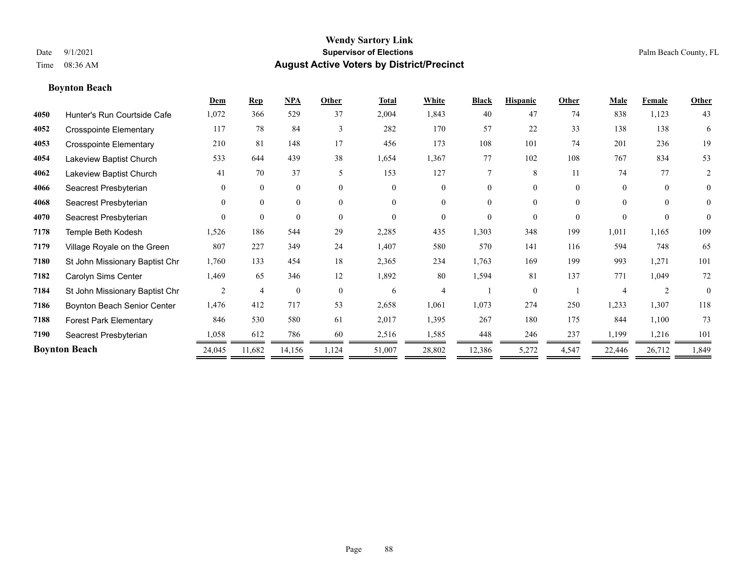**Boynton Beach**

### **Wendy Sartory Link** Date 9/1/2021 **Supervisor of Elections** Palm Beach County, FL Time 08:36 AM **August Active Voters by District/Precinct**

### **Dem Rep NPA Other Total White Black Hispanic Other Male Female Other** Hunter's Run Courtside Cafe 1,072 366 529 37 2,004 1,843 40 47 74 838 1,123 43 Crosspointe Elementary 117 78 84 3 282 170 57 22 33 138 138 6 Crosspointe Elementary 210 81 148 17 456 173 108 101 74 201 236 19 Lakeview Baptist Church 533 644 439 38 1,654 1,367 77 102 108 767 834 53 Lakeview Baptist Church 41 70 37 5 153 127 7 8 11 74 77 2 Seacrest Presbyterian 0 0 0 0 0 0 0 0 0 0 0 0 Seacrest Presbyterian 0 0 0 0 0 0 0 0 0 0 0 0 Seacrest Presbyterian 0 0 0 0 0 0 0 0 0 0 0 0 Temple Beth Kodesh 1,526 186 544 29 2,285 435 1,303 348 199 1,011 1,165 109 Village Royale on the Green 807 227 349 24 1,407 580 570 141 116 594 748 65 St John Missionary Baptist Chr 1,760 133 454 18 2,365 234 1,763 169 199 993 1,271 101 Carolyn Sims Center 1,469 65 346 12 1,892 80 1,594 81 137 771 1,049 72 St John Missionary Baptist Chr  $\begin{array}{cccccccc} 2 & 4 & 0 & 0 & 6 & 4 & 1 & 0 & 1 & 4 & 2 & 0 \end{array}$  Boynton Beach Senior Center 1,476 412 717 53 2,658 1,061 1,073 274 250 1,233 1,307 118 Forest Park Elementary 846 530 580 61 2,017 1,395 267 180 175 844 1,100 73 Seacrest Presbyterian 1,058 612 786 60 2,516 1,585 448 246 237 1,199 1,216 101 **Boynton Beach** 24,045 11,682 14,156 1,124 51,007 28,802 12,386 5,272 4,547 22,446 26,712 1,849

—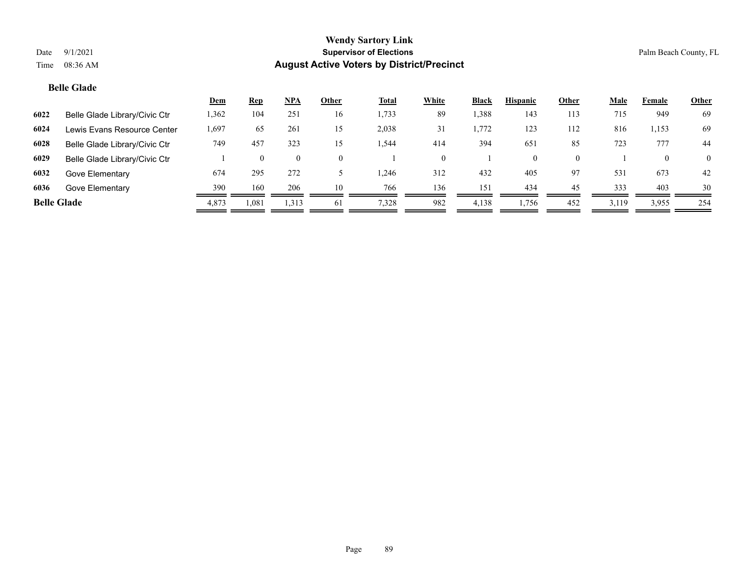### **Belle Glade**

|                    |                               | <u>Dem</u> | <u>Rep</u> | NPA            | Other    | <b>Total</b> | White | Black | <b>Hispanic</b> | Other    | <b>Male</b> | Female | <b>Other</b>   |
|--------------------|-------------------------------|------------|------------|----------------|----------|--------------|-------|-------|-----------------|----------|-------------|--------|----------------|
| 6022               | Belle Glade Library/Civic Ctr | 1,362      | 104        | 251            | 16       | 1,733        | 89    | 1,388 | 143             | 113      | 715         | 949    | 69             |
| 6024               | Lewis Evans Resource Center   | .,697      | 65         | 261            | 15       | 2,038        | 31    | 1,772 | 123             | 112      | 816         | 1,153  | 69             |
| 6028               | Belle Glade Library/Civic Ctr | 749        | 457        | 323            | 15       | .544         | 414   | 394   | 651             | 85       | 723         | 777    | 44             |
| 6029               | Belle Glade Library/Civic Ctr |            | 0          | $\overline{0}$ | $\Omega$ |              |       |       | $\theta$        | $\Omega$ |             |        | $\overline{0}$ |
| 6032               | Gove Elementary               | 674        | 295        | 272            |          | .246         | 312   | 432   | 405             | 97       | 531         | 673    | 42             |
| 6036               | Gove Elementary               | 390        | 160        | 206            | 10       | 766          | 136   | 151   | 434             | 45       | 333         | 403    | 30             |
| <b>Belle Glade</b> |                               | 4,873      | 1,081      | 1,313          | 61       | 7,328        | 982   | 4,138 | 1,756           | 452      | 3,119       | 3,955  | 254            |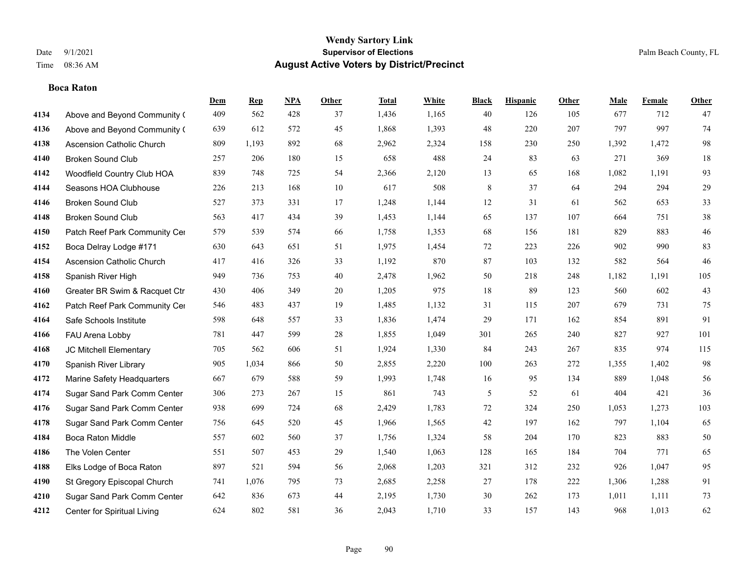**Boca Raton**

### **Wendy Sartory Link** Date 9/1/2021 **Supervisor of Elections** Palm Beach County, FL Time 08:36 AM **August Active Voters by District/Precinct**

**Dem Rep NPA Other Total White Black Hispanic Other Male Female Other**

### Above and Beyond Community Church 409 562 428 37 1,436 1,165 40 126 105 677 712 47 Above and Beyond Community ( 639 612 572 45 1,868 1,393 48 220 207 797 997 74 Ascension Catholic Church 809 1,193 892 68 2,962 2,324 158 230 250 1,392 1,472 98 Broken Sound Club 257 206 180 15 658 488 24 83 63 271 369 18 Woodfield Country Club HOA 839 748 725 54 2,366 2,120 13 65 168 1,082 1,191 93 Seasons HOA Clubhouse 226 213 168 10 617 508 8 37 64 294 294 29 Broken Sound Club 527 373 331 17 1,248 1,144 12 31 61 562 653 33 Broken Sound Club 563 417 434 39 1,453 1,144 65 137 107 664 751 38 4150 Patch Reef Park Community Center 579 539 574 66 1,758 1,353 68 156 181 829 883 46 Boca Delray Lodge #171 630 643 651 51 1,975 1,454 72 223 226 902 990 83 Ascension Catholic Church 417 416 326 33 1,192 870 87 103 132 582 564 46 Spanish River High 949 736 753 40 2,478 1,962 50 218 248 1,182 1,191 105 Greater BR Swim & Racquet Ctr 430 406 349 20 1,205 975 18 89 123 560 602 43 4162 Patch Reef Park Community Center 546 483 437 19 1,485 1,132 31 115 207 679 731 75 Safe Schools Institute 598 648 557 33 1,836 1,474 29 171 162 854 891 91 FAU Arena Lobby 781 447 599 28 1,855 1,049 301 265 240 827 927 101 JC Mitchell Elementary 705 562 606 51 1,924 1,330 84 243 267 835 974 115 Spanish River Library 905 1,034 866 50 2,855 2,220 100 263 272 1,355 1,402 98 Marine Safety Headquarters 667 679 588 59 1,993 1,748 16 95 134 889 1,048 56 Sugar Sand Park Comm Center 306 273 267 15 861 743 5 52 61 404 421 36 Sugar Sand Park Comm Center 938 699 724 68 2,429 1,783 72 324 250 1,053 1,273 103 Sugar Sand Park Comm Center 756 645 520 45 1,966 1,565 42 197 162 797 1,104 65 Boca Raton Middle 557 602 560 37 1,756 1,324 58 204 170 823 883 50 The Volen Center 551 507 453 29 1,540 1,063 128 165 184 704 771 65 Elks Lodge of Boca Raton 897 521 594 56 2,068 1,203 321 312 232 926 1,047 95 St Gregory Episcopal Church 741 1,076 795 73 2,685 2,258 27 178 222 1,306 1,288 91 Sugar Sand Park Comm Center 642 836 673 44 2,195 1,730 30 262 173 1,011 1,111 73

Center for Spiritual Living 624 802 581 36 2,043 1,710 33 157 143 968 1,013 62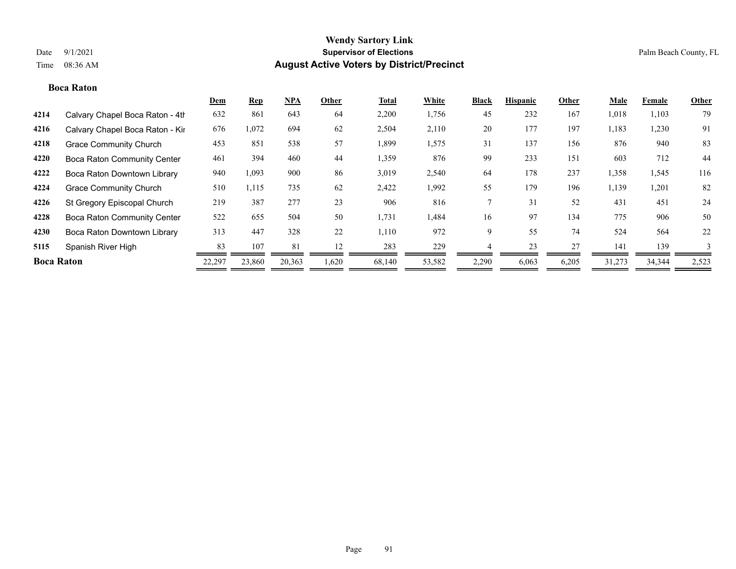#### **Boca Raton**

|                   |                                    | <b>Dem</b> | <b>Rep</b> | NPA    | Other | <b>Total</b> | White  | <b>Black</b> | <b>Hispanic</b> | Other | <b>Male</b> | <b>Female</b> | <b>Other</b> |
|-------------------|------------------------------------|------------|------------|--------|-------|--------------|--------|--------------|-----------------|-------|-------------|---------------|--------------|
| 4214              | Calvary Chapel Boca Raton - 4th    | 632        | 861        | 643    | 64    | 2,200        | 1,756  | 45           | 232             | 167   | 1,018       | 1,103         | 79           |
| 4216              | Calvary Chapel Boca Raton - Kir    | 676        | 1,072      | 694    | 62    | 2,504        | 2,110  | 20           | 177             | 197   | 1,183       | 1,230         | 91           |
| 4218              | <b>Grace Community Church</b>      | 453        | 851        | 538    | 57    | 1,899        | 1,575  | 31           | 137             | 156   | 876         | 940           | 83           |
| 4220              | <b>Boca Raton Community Center</b> | 461        | 394        | 460    | 44    | 1,359        | 876    | 99           | 233             | 151   | 603         | 712           | 44           |
| 4222              | Boca Raton Downtown Library        | 940        | 1,093      | 900    | 86    | 3,019        | 2,540  | 64           | 178             | 237   | 1,358       | 1,545         | 116          |
| 4224              | <b>Grace Community Church</b>      | 510        | 1,115      | 735    | 62    | 2,422        | 1,992  | 55           | 179             | 196   | 1,139       | 1,201         | 82           |
| 4226              | St Gregory Episcopal Church        | 219        | 387        | 277    | 23    | 906          | 816    |              | 31              | 52    | 431         | 451           | 24           |
| 4228              | <b>Boca Raton Community Center</b> | 522        | 655        | 504    | 50    | 1,731        | 1,484  | 16           | 97              | 134   | 775         | 906           | 50           |
| 4230              | Boca Raton Downtown Library        | 313        | 447        | 328    | 22    | 1,110        | 972    | 9            | 55              | 74    | 524         | 564           | 22           |
| 5115              | Spanish River High                 | 83         | 107        | 81     | 12    | 283          | 229    |              | 23              | 27    | 141         | 139           | 3            |
| <b>Boca Raton</b> |                                    | 22,297     | 23,860     | 20,363 | 1,620 | 68,140       | 53,582 | 2,290        | 6,063           | 6,205 | 31,273      | 34,344        | 2,523        |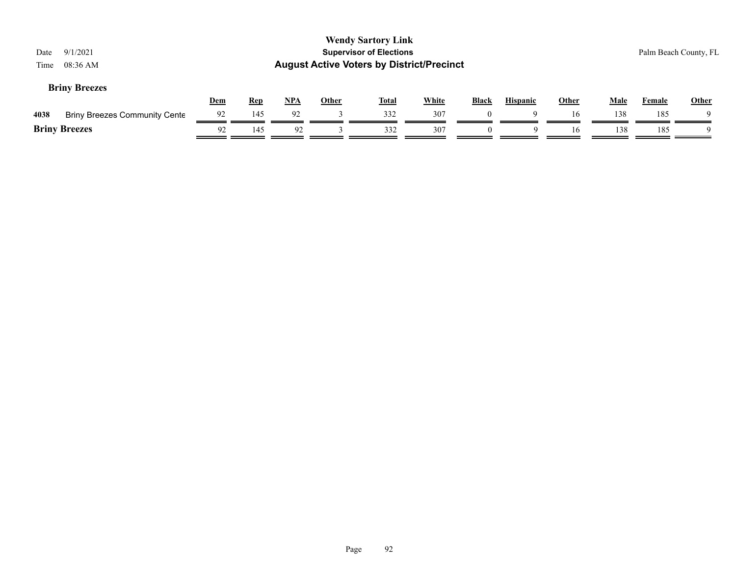| Date<br>Time | 9/1/2021<br>08:36 AM                 |     |            |     |              | <b>Wendy Sartory Link</b><br><b>Supervisor of Elections</b><br><b>August Active Voters by District/Precinct</b> |              |              |                 |              |      |        | Palm Beach County, FL |
|--------------|--------------------------------------|-----|------------|-----|--------------|-----------------------------------------------------------------------------------------------------------------|--------------|--------------|-----------------|--------------|------|--------|-----------------------|
|              | <b>Briny Breezes</b>                 | Dem | <b>Rep</b> | NPA | <b>Other</b> | <u>Total</u>                                                                                                    | <b>White</b> | <b>Black</b> | <b>Hispanic</b> | <b>Other</b> | Male | Female | <b>Other</b>          |
| 4038         | <b>Briny Breezes Community Cente</b> | 92  | 145        | 92  |              | 332                                                                                                             | 307          | $\theta$     | 9               | 16           | 138  | 185    | Q                     |
|              | <b>Briny Breezes</b>                 | 92  | 145        | 92  |              | 332                                                                                                             | 307          | $\theta$     | $\Omega$        | 16           | 138  | 185    | Q                     |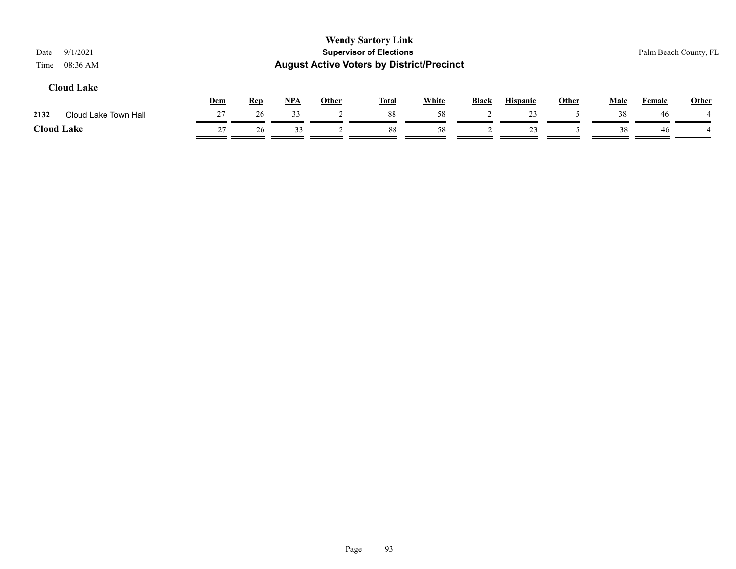| 9/1/2021<br>Date<br>08:36 AM<br>Time                                                                                                                                                                                                 |    |    |    |  | <b>Wendy Sartory Link</b><br><b>Supervisor of Elections</b> |    |  |    |  |    |    | Palm Beach County, FL |  |  |
|--------------------------------------------------------------------------------------------------------------------------------------------------------------------------------------------------------------------------------------|----|----|----|--|-------------------------------------------------------------|----|--|----|--|----|----|-----------------------|--|--|
| <b>August Active Voters by District/Precinct</b><br><b>Cloud Lake</b><br><b>White</b><br><u>NPA</u><br><b>Hispanic</b><br><b>Other</b><br>Dem<br><b>Other</b><br><b>Total</b><br><b>Rep</b><br><b>Black</b><br>Male<br><b>Female</b> |    |    |    |  |                                                             |    |  |    |  |    |    |                       |  |  |
| 2132<br>Cloud Lake Town Hall                                                                                                                                                                                                         | 27 | 26 | 33 |  | 88                                                          | 58 |  | 23 |  | 38 | 46 | <b>Other</b>          |  |  |
| <b>Cloud Lake</b>                                                                                                                                                                                                                    | 27 | 26 | 33 |  | 88                                                          | 58 |  | 23 |  | 38 | 46 |                       |  |  |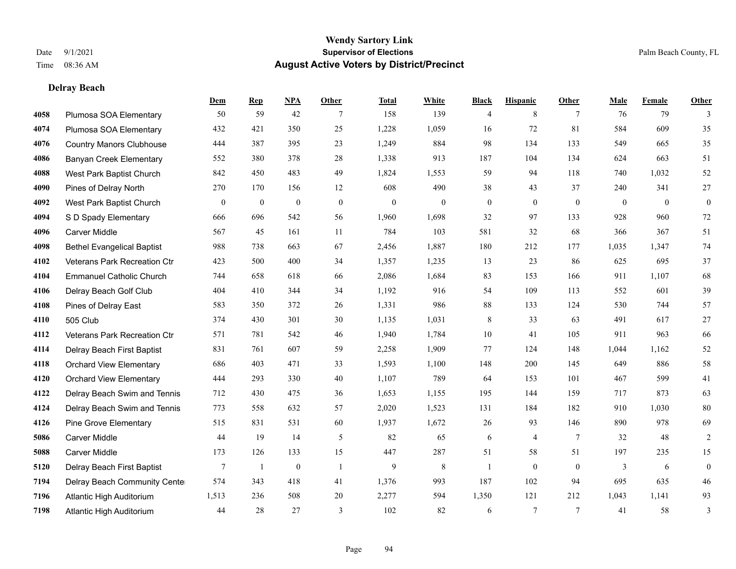**Delray Beach**

#### **Wendy Sartory Link** Date 9/1/2021 **Supervisor of Elections** Palm Beach County, FL Time 08:36 AM **August Active Voters by District/Precinct**

### **Dem Rep NPA Other Total White Black Hispanic Other Male Female Other** Plumosa SOA Elementary 50 59 42 7 158 139 4 8 7 76 79 3 Plumosa SOA Elementary 432 421 350 25 1,228 1,059 16 72 81 584 609 35 Country Manors Clubhouse 444 387 395 23 1,249 884 98 134 133 549 665 35 Banyan Creek Elementary 552 380 378 28 1,338 913 187 104 134 624 663 51 West Park Baptist Church 842 450 483 49 1,824 1,553 59 94 118 740 1,032 52 Pines of Delray North 270 170 156 12 608 490 38 43 37 240 341 27 West Park Baptist Church 0 0 0 0 0 0 0 0 0 0 0 0 S D Spady Elementary 666 696 542 56 1,960 1,698 32 97 133 928 960 72 Carver Middle 567 45 161 11 784 103 581 32 68 366 367 51 Bethel Evangelical Baptist 988 738 663 67 2,456 1,887 180 212 177 1,035 1,347 74 Veterans Park Recreation Ctr 423 500 400 34 1,357 1,235 13 23 86 625 695 37 Emmanuel Catholic Church 744 658 618 66 2,086 1,684 83 153 166 911 1,107 68 Delray Beach Golf Club 404 410 344 34 1,192 916 54 109 113 552 601 39 Pines of Delray East 583 350 372 26 1,331 986 88 133 124 530 744 57 505 Club 374 430 301 30 1,135 1,031 8 33 63 491 617 27 Veterans Park Recreation Ctr 571 781 542 46 1,940 1,784 10 41 105 911 963 66 Delray Beach First Baptist 831 761 607 59 2,258 1,909 77 124 148 1,044 1,162 52 Orchard View Elementary 686 403 471 33 1,593 1,100 148 200 145 649 886 58 Orchard View Elementary 444 293 330 40 1,107 789 64 153 101 467 599 41 Delray Beach Swim and Tennis 712 430 475 36 1,653 1,155 195 144 159 717 873 63 Delray Beach Swim and Tennis 773 558 632 57 2,020 1,523 131 184 182 910 1,030 80 Pine Grove Elementary 515 831 531 60 1,937 1,672 26 93 146 890 978 69 Carver Middle 44 19 14 5 82 65 6 4 7 32 48 2 Carver Middle 173 126 133 15 447 287 51 58 51 197 235 15 Delray Beach First Baptist 7 1 0 1 9 8 1 0 0 3 6 0 Delray Beach Community Center 574 343 418 41 1,376 993 187 102 94 695 635 46 Atlantic High Auditorium 1,513 236 508 20 2,277 594 1,350 121 212 1,043 1,141 93 Atlantic High Auditorium 44 28 27 3 102 82 6 7 7 41 58 3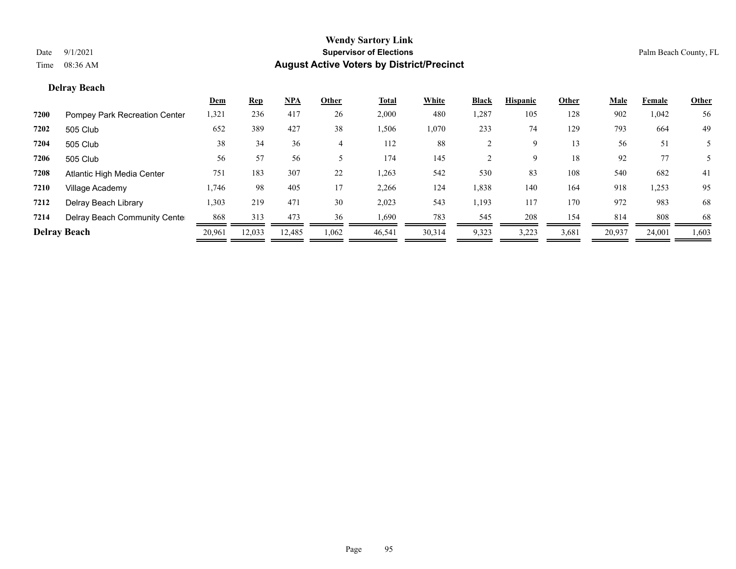### **Delray Beach**

|      |                               | <u>Dem</u> | <b>Rep</b> | <u>NPA</u> | Other          | <b>Total</b> | White  | <b>Black</b> | <b>Hispanic</b> | Other | <b>Male</b> | Female | <u>Other</u> |
|------|-------------------------------|------------|------------|------------|----------------|--------------|--------|--------------|-----------------|-------|-------------|--------|--------------|
| 7200 | Pompey Park Recreation Center | 1,321      | 236        | 417        | 26             | 2,000        | 480    | 1,287        | 105             | 128   | 902         | 1,042  | 56           |
| 7202 | 505 Club                      | 652        | 389        | 427        | 38             | 1,506        | 1,070  | 233          | 74              | 129   | 793         | 664    | 49           |
| 7204 | 505 Club                      | 38         | 34         | 36         | $\overline{4}$ | 112          | 88     |              | 9               | 13    | 56          | 51     |              |
| 7206 | 505 Club                      | 56         | 57         | 56         |                | 174          | 145    |              | 9               | 18    | 92          | 77     |              |
| 7208 | Atlantic High Media Center    | 751        | 183        | 307        | 22             | 1,263        | 542    | 530          | 83              | 108   | 540         | 682    | 41           |
| 7210 | Village Academy               | 1,746      | 98         | 405        | 17             | 2,266        | 124    | 1,838        | 140             | 164   | 918         | 1,253  | 95           |
| 7212 | Delray Beach Library          | 1,303      | 219        | 471        | 30             | 2,023        | 543    | 1,193        | 117             | 170   | 972         | 983    | 68           |
| 7214 | Delray Beach Community Cente  | 868        | 313        | 473        | 36             | 1,690        | 783    | 545          | 208             | 154   | 814         | 808    | 68           |
|      | <b>Delray Beach</b>           | 20,961     | 12,033     | 12,485     | 1,062          | 46,541       | 30,314 | 9,323        | 3,223           | 3,681 | 20,937      | 24,001 | 1,603        |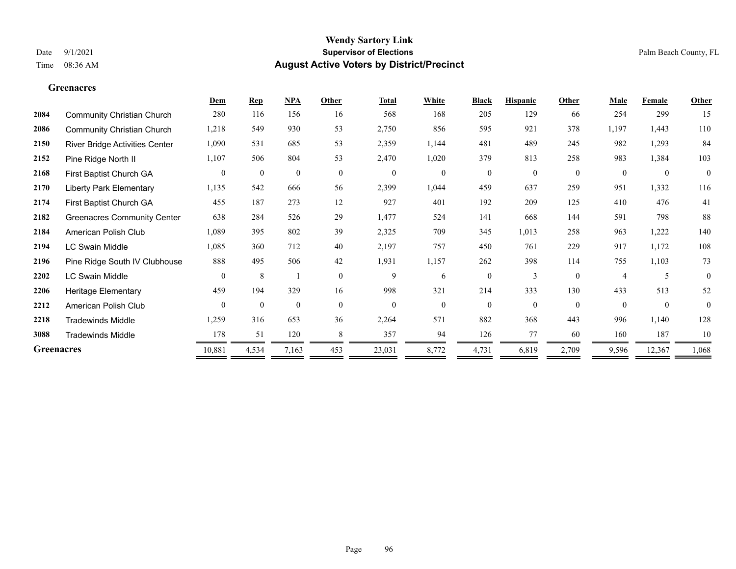### **Greenacres**

|                   |                                       | Dem            | <b>Rep</b>       | <b>NPA</b>       | Other        | <b>Total</b>     | White        | <b>Black</b> | <b>Hispanic</b> | Other        | Male           | Female           | Other        |
|-------------------|---------------------------------------|----------------|------------------|------------------|--------------|------------------|--------------|--------------|-----------------|--------------|----------------|------------------|--------------|
| 2084              | <b>Community Christian Church</b>     | 280            | 116              | 156              | 16           | 568              | 168          | 205          | 129             | 66           | 254            | 299              | 15           |
| 2086              | <b>Community Christian Church</b>     | 1,218          | 549              | 930              | 53           | 2,750            | 856          | 595          | 921             | 378          | 1,197          | 1,443            | $110\,$      |
| 2150              | <b>River Bridge Activities Center</b> | 1,090          | 531              | 685              | 53           | 2,359            | 1,144        | 481          | 489             | 245          | 982            | 1,293            | 84           |
| 2152              | Pine Ridge North II                   | 1,107          | 506              | 804              | 53           | 2,470            | 1,020        | 379          | 813             | 258          | 983            | 1,384            | 103          |
| 2168              | First Baptist Church GA               | $\overline{0}$ | $\boldsymbol{0}$ | $\boldsymbol{0}$ | $\mathbf{0}$ | $\boldsymbol{0}$ | $\mathbf{0}$ | $\mathbf{0}$ | $\mathbf{0}$    | $\mathbf{0}$ | $\overline{0}$ | $\boldsymbol{0}$ | $\mathbf{0}$ |
| 2170              | <b>Liberty Park Elementary</b>        | 1,135          | 542              | 666              | 56           | 2,399            | 1,044        | 459          | 637             | 259          | 951            | 1,332            | 116          |
| 2174              | First Baptist Church GA               | 455            | 187              | 273              | 12           | 927              | 401          | 192          | 209             | 125          | 410            | 476              | 41           |
| 2182              | <b>Greenacres Community Center</b>    | 638            | 284              | 526              | 29           | 1,477            | 524          | 141          | 668             | 144          | 591            | 798              | 88           |
| 2184              | American Polish Club                  | 1,089          | 395              | 802              | 39           | 2,325            | 709          | 345          | 1,013           | 258          | 963            | 1,222            | 140          |
| 2194              | <b>LC Swain Middle</b>                | 1,085          | 360              | 712              | 40           | 2,197            | 757          | 450          | 761             | 229          | 917            | 1,172            | 108          |
| 2196              | Pine Ridge South IV Clubhouse         | 888            | 495              | 506              | 42           | 1,931            | 1,157        | 262          | 398             | 114          | 755            | 1,103            | 73           |
| 2202              | <b>LC Swain Middle</b>                | $\theta$       | 8                |                  | $\theta$     | 9                | 6            | $\theta$     | 3               | $\theta$     | $\overline{4}$ | 5                | $\theta$     |
| 2206              | <b>Heritage Elementary</b>            | 459            | 194              | 329              | 16           | 998              | 321          | 214          | 333             | 130          | 433            | 513              | 52           |
| 2212              | American Polish Club                  | $\theta$       | $\mathbf{0}$     | $\mathbf{0}$     | $\theta$     | $\mathbf{0}$     | $\theta$     | $\theta$     | $\theta$        | $\theta$     | $\theta$       | $\theta$         | $\theta$     |
| 2218              | <b>Tradewinds Middle</b>              | 1,259          | 316              | 653              | 36           | 2,264            | 571          | 882          | 368             | 443          | 996            | 1,140            | 128          |
| 3088              | <b>Tradewinds Middle</b>              | 178            | 51               | 120              | 8            | 357              | 94           | 126          | 77              | 60           | 160            | 187              | 10           |
| <b>Greenacres</b> |                                       | 10,881         | 4,534            | 7,163            | 453          | 23,031           | 8,772        | 4,731        | 6,819           | 2,709        | 9,596          | 12,367           | 1,068        |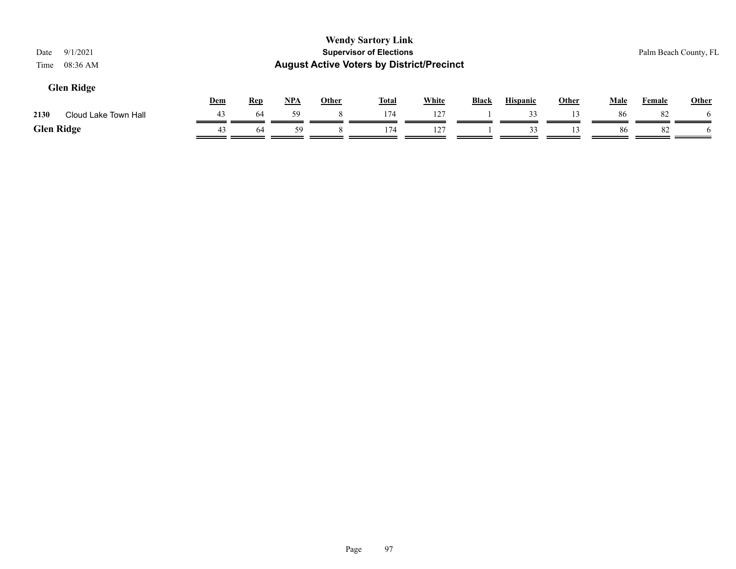| 9/1/2021<br>Date<br>08:36 AM<br>Time |     |            |     |       | <b>Wendy Sartory Link</b><br><b>Supervisor of Elections</b><br><b>August Active Voters by District/Precinct</b> |              |              |                 |              |      |        | Palm Beach County, FL |
|--------------------------------------|-----|------------|-----|-------|-----------------------------------------------------------------------------------------------------------------|--------------|--------------|-----------------|--------------|------|--------|-----------------------|
| <b>Glen Ridge</b>                    | Dem | <b>Rep</b> | NPA | Other | <u>Total</u>                                                                                                    | <b>White</b> | <b>Black</b> | <b>Hispanic</b> | <b>Other</b> | Male | Female | Other                 |
| Cloud Lake Town Hall<br>2130         | 43  | 64         | 59  | 8     | 174                                                                                                             | 127          |              | 33              | 13           | 86   | 82     |                       |
| <b>Glen Ridge</b>                    | 43  | 64         | 59  |       | 174                                                                                                             | 127          |              | 33              |              | 86   | 82     |                       |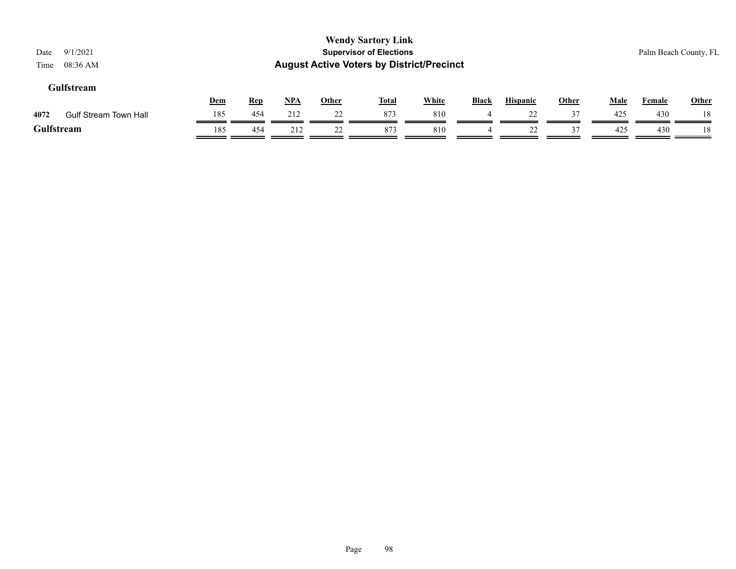| 9/1/2021<br>Date<br>$08:36$ AM<br>Time |     |            |       |              | <b>Wendy Sartory Link</b><br><b>Supervisor of Elections</b><br><b>August Active Voters by District/Precinct</b> |              |              |                 |              |             |        | Palm Beach County, FL |
|----------------------------------------|-----|------------|-------|--------------|-----------------------------------------------------------------------------------------------------------------|--------------|--------------|-----------------|--------------|-------------|--------|-----------------------|
| Gulfstream                             | Dem | <b>Rep</b> | $NPA$ | <b>Other</b> | <u>Total</u>                                                                                                    | <b>White</b> | <b>Black</b> | <b>Hispanic</b> | <b>Other</b> | <b>Male</b> | Female | <b>Other</b>          |
| 4072<br><b>Gulf Stream Town Hall</b>   | 185 | 454        | 212   | 22           | 873                                                                                                             | 810          | 4            | 22              | 37           | 425         | 430    | 18                    |
| Gulfstream                             | 185 | 454        | 212   | 22           | 873                                                                                                             | 810          | 4            | 22              | 37           | 425         | 430    | 18                    |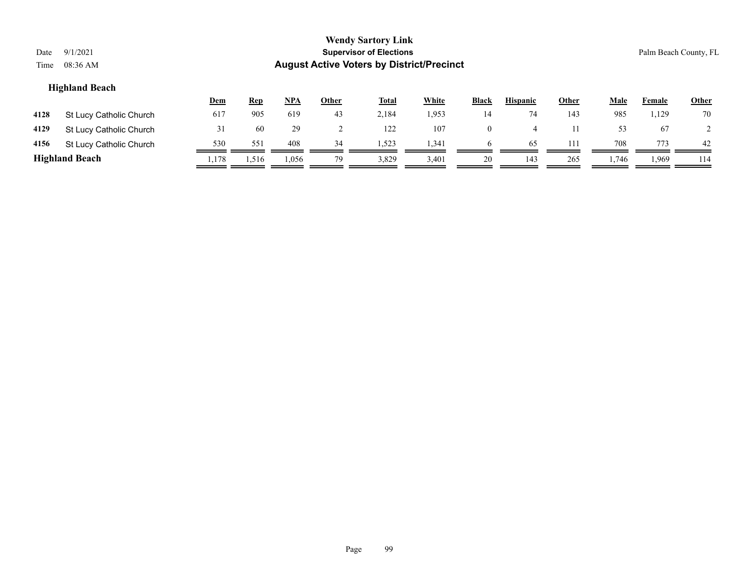| Date<br>Time | 9/1/2021<br>08:36 AM    |            |            |            |              | <b>Wendy Sartory Link</b><br><b>Supervisor of Elections</b><br><b>August Active Voters by District/Precinct</b> |              |              |                 |       |      |        | Palm Beach County, FL |
|--------------|-------------------------|------------|------------|------------|--------------|-----------------------------------------------------------------------------------------------------------------|--------------|--------------|-----------------|-------|------|--------|-----------------------|
|              | <b>Highland Beach</b>   | <u>Dem</u> | <b>Rep</b> | <u>NPA</u> | <b>Other</b> | <u>Total</u>                                                                                                    | <b>White</b> | <b>Black</b> | <b>Hispanic</b> | Other | Male | Female | Other                 |
| 4128         | St Lucy Catholic Church | 617        | 905        | 619        | 43           | 2,184                                                                                                           | 1,953        | 14           | 74              | 143   | 985  | 1,129  | 70                    |
| 4129         | St Lucy Catholic Church | 31         | 60         | 29         |              | 122                                                                                                             | 107          | $\mathbf{0}$ | 4               | 11    | 53   | 67     |                       |
| 4156         | St Lucy Catholic Church | 530        | 551        | 408        | 34           | 1,523                                                                                                           | 1,341        | $\sigma$     | 65              | 111   | 708  | 773    | 42                    |

**Highland Beach** 1,178 1,516 1,056 79 3,829 3,401 20 1,43 265 1,746 1,969 114

Page 99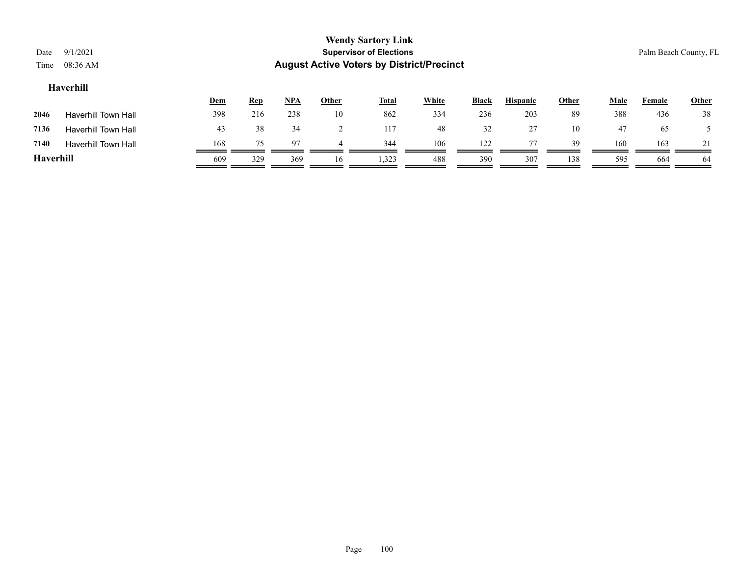| <b>Wendy Sartory Link</b><br><b>Supervisor of Elections</b><br>9/1/2021<br>Palm Beach County, FL<br>Date<br><b>August Active Voters by District/Precinct</b><br>Time<br>08:36 AM |                            |     |            |            |              |              |              |              |                 |              |             |               |              |  |
|----------------------------------------------------------------------------------------------------------------------------------------------------------------------------------|----------------------------|-----|------------|------------|--------------|--------------|--------------|--------------|-----------------|--------------|-------------|---------------|--------------|--|
| Haverhill                                                                                                                                                                        |                            |     |            |            |              |              |              |              |                 |              |             |               |              |  |
|                                                                                                                                                                                  |                            | Dem | <u>Rep</u> | <u>NPA</u> | <b>Other</b> | <b>Total</b> | <b>White</b> | <b>Black</b> | <b>Hispanic</b> | <b>Other</b> | <u>Male</u> | <b>Female</b> | <b>Other</b> |  |
| 2046                                                                                                                                                                             | <b>Haverhill Town Hall</b> | 398 | 216        | 238        | 10           | 862          | 334          | 236          | 203             | 89           | 388         | 436           | 38           |  |
| 7136                                                                                                                                                                             | <b>Haverhill Town Hall</b> | 43  | 38         | 34         | ∍<br>∠       | 117          | 48           | 32           | 27              | 10           | 47          | 65            |              |  |
| 7140                                                                                                                                                                             | <b>Haverhill Town Hall</b> | 168 | 75         | 97         | 4            | 344          | 106          | 122          | 77              | 39           | 160         | 163           |              |  |
| <b>Haverhill</b>                                                                                                                                                                 |                            | 609 | 329        | 369        | 16           | 1,323        | 488          | 390          | 307             | 138          | 595         | 664           | 64           |  |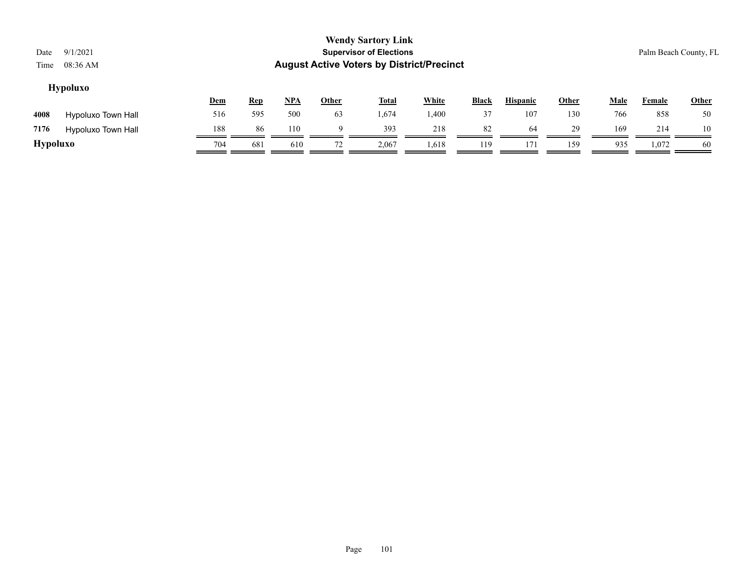| Date<br>Time | 9/1/2021<br>08:36 AM |            |            |            |              | <b>Wendy Sartory Link</b><br><b>Supervisor of Elections</b><br><b>August Active Voters by District/Precinct</b> |              |              |                 |       |      |               | Palm Beach County, FL |
|--------------|----------------------|------------|------------|------------|--------------|-----------------------------------------------------------------------------------------------------------------|--------------|--------------|-----------------|-------|------|---------------|-----------------------|
|              | <b>Hypoluxo</b>      | <u>Dem</u> | <u>Rep</u> | <u>NPA</u> | <b>Other</b> | <u>Total</u>                                                                                                    | <b>White</b> | <b>Black</b> | <b>Hispanic</b> | Other | Male | <b>Female</b> | Other                 |
| 4008         | Hypoluxo Town Hall   | 516        | 595        | 500        | 63           | .,674                                                                                                           | 1,400        | 37           | 107             | 130   | 766  | 858           | 50                    |
| 7176         | Hypoluxo Town Hall   | 188        | 86         | 110        | a            | 393                                                                                                             | 218          | 82           | 64              | 29    | 169  | 214           | 10                    |

**Hypoluxo** 704 681 610 72 2,067 1,618 119 171 159 935 1,072 60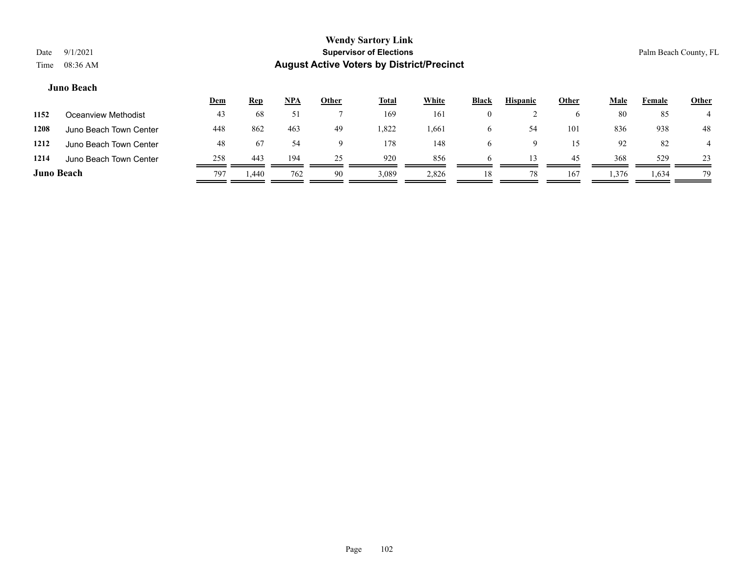#### **Juno Beach**

|                   |                        | Dem | <b>Rep</b> | <b>NPA</b> | <u>Other</u> | <b>Total</b> | White | <b>Black</b> | <b>Hispanic</b> | <u>Other</u> | Male  | Female | <b>Other</b> |
|-------------------|------------------------|-----|------------|------------|--------------|--------------|-------|--------------|-----------------|--------------|-------|--------|--------------|
| 1152              | Oceanview Methodist    | 43  | 68         |            |              | 169          | 161   | 0            |                 |              | 80    | 85     |              |
| 1208              | Juno Beach Town Center | 448 | 862        | 463        | 49           | 1,822        | 1,661 | $\sigma$     | 54              | 101          | 836   | 938    | 48           |
| 1212              | Juno Beach Town Center | 48  | 67         | 54         | 9            | 178          | 148   | <sub>0</sub> | u               | 15           | 92    | 82     |              |
| 1214              | Juno Beach Town Center | 258 | 443        | 194        | 25           | 920          | 856   | <sub>t</sub> | 13              | 45           | 368   | 529    | 23           |
| <b>Juno Beach</b> |                        | 797 | 1.440      | 762        | 90           | 3,089        | 2,826 | 18           | 78              | 167          | 1,376 | 1,634  | 79           |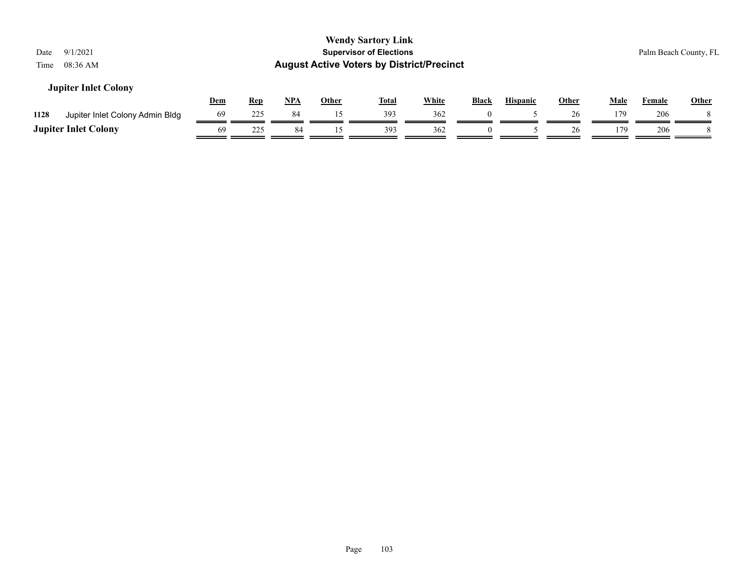| Date<br>Time | 9/1/2021<br>08:36 AM            |            |            |       |              | <b>Wendy Sartory Link</b><br><b>Supervisor of Elections</b><br><b>August Active Voters by District/Precinct</b> |              |              |                 |              |             |               | Palm Beach County, FL |
|--------------|---------------------------------|------------|------------|-------|--------------|-----------------------------------------------------------------------------------------------------------------|--------------|--------------|-----------------|--------------|-------------|---------------|-----------------------|
|              | <b>Jupiter Inlet Colony</b>     | <u>Dem</u> | <u>Rep</u> | $NPA$ | <b>Other</b> | <u>Total</u>                                                                                                    | <b>White</b> | <b>Black</b> | <b>Hispanic</b> | <b>Other</b> | <b>Male</b> | <b>Female</b> | <b>Other</b>          |
| 1128         | Jupiter Inlet Colony Admin Bldg | 69         | 225        | 84    | 15           | 393                                                                                                             | 362          |              |                 | 26           | 179         | 206           |                       |
|              | <b>Jupiter Inlet Colony</b>     | 69         | 225        | 84    |              | 393                                                                                                             | 362          |              |                 | 26           | 179         | 206           |                       |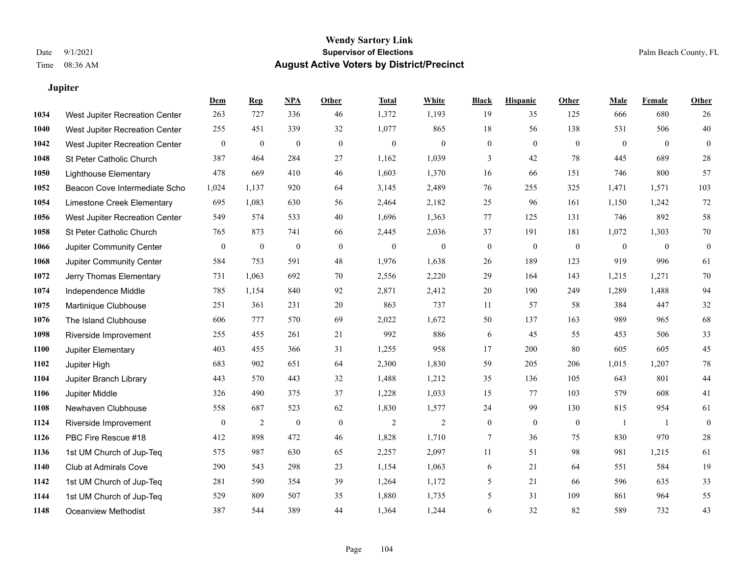## **Jupiter**

|      |                                | Dem              | <b>Rep</b>     | NPA              | <b>Other</b> | <b>Total</b> | <b>White</b>   | <b>Black</b>     | <b>Hispanic</b>  | Other        | <b>Male</b>    | <b>Female</b>  | <b>Other</b> |
|------|--------------------------------|------------------|----------------|------------------|--------------|--------------|----------------|------------------|------------------|--------------|----------------|----------------|--------------|
| 1034 | West Jupiter Recreation Center | 263              | 727            | 336              | 46           | 1,372        | 1,193          | 19               | 35               | 125          | 666            | 680            | 26           |
| 1040 | West Jupiter Recreation Center | 255              | 451            | 339              | 32           | 1,077        | 865            | 18               | 56               | 138          | 531            | 506            | 40           |
| 1042 | West Jupiter Recreation Center | $\mathbf{0}$     | $\mathbf{0}$   | $\mathbf{0}$     | $\mathbf{0}$ | $\mathbf{0}$ | $\mathbf{0}$   | $\mathbf{0}$     | $\overline{0}$   | $\theta$     | $\mathbf{0}$   | $\overline{0}$ | $\mathbf{0}$ |
| 1048 | St Peter Catholic Church       | 387              | 464            | 284              | 27           | 1,162        | 1,039          | 3                | 42               | 78           | 445            | 689            | 28           |
| 1050 | <b>Lighthouse Elementary</b>   | 478              | 669            | 410              | 46           | 1,603        | 1,370          | 16               | 66               | 151          | 746            | 800            | 57           |
| 1052 | Beacon Cove Intermediate Scho  | 1,024            | 1,137          | 920              | 64           | 3,145        | 2,489          | 76               | 255              | 325          | 1,471          | 1,571          | 103          |
| 1054 | Limestone Creek Elementary     | 695              | 1,083          | 630              | 56           | 2,464        | 2,182          | 25               | 96               | 161          | 1,150          | 1,242          | $72\,$       |
| 1056 | West Jupiter Recreation Center | 549              | 574            | 533              | 40           | 1,696        | 1,363          | 77               | 125              | 131          | 746            | 892            | $58\,$       |
| 1058 | St Peter Catholic Church       | 765              | 873            | 741              | 66           | 2,445        | 2,036          | 37               | 191              | 181          | 1,072          | 1,303          | $70\,$       |
| 1066 | Jupiter Community Center       | $\mathbf{0}$     | $\mathbf{0}$   | $\boldsymbol{0}$ | $\mathbf{0}$ | $\mathbf{0}$ | $\overline{0}$ | $\boldsymbol{0}$ | $\boldsymbol{0}$ | $\mathbf{0}$ | $\overline{0}$ | $\mathbf{0}$   | $\mathbf{0}$ |
| 1068 | Jupiter Community Center       | 584              | 753            | 591              | 48           | 1,976        | 1,638          | $26\,$           | 189              | 123          | 919            | 996            | 61           |
| 1072 | Jerry Thomas Elementary        | 731              | 1,063          | 692              | 70           | 2,556        | 2,220          | 29               | 164              | 143          | 1,215          | 1,271          | $70\,$       |
| 1074 | Independence Middle            | 785              | 1,154          | 840              | 92           | 2,871        | 2,412          | 20               | 190              | 249          | 1,289          | 1,488          | 94           |
| 1075 | Martinique Clubhouse           | 251              | 361            | 231              | $20\,$       | 863          | 737            | 11               | 57               | 58           | 384            | 447            | $32\,$       |
| 1076 | The Island Clubhouse           | 606              | 777            | 570              | 69           | 2,022        | 1,672          | 50               | 137              | 163          | 989            | 965            | 68           |
| 1098 | Riverside Improvement          | 255              | 455            | 261              | 21           | 992          | 886            | 6                | 45               | 55           | 453            | 506            | 33           |
| 1100 | Jupiter Elementary             | 403              | 455            | 366              | 31           | 1,255        | 958            | 17               | 200              | 80           | 605            | 605            | 45           |
| 1102 | Jupiter High                   | 683              | 902            | 651              | 64           | 2,300        | 1,830          | 59               | 205              | 206          | 1,015          | 1,207          | $78\,$       |
| 1104 | Jupiter Branch Library         | 443              | 570            | 443              | 32           | 1,488        | 1,212          | 35               | 136              | 105          | 643            | 801            | $44\,$       |
| 1106 | Jupiter Middle                 | 326              | 490            | 375              | 37           | 1,228        | 1,033          | 15               | 77               | 103          | 579            | 608            | 41           |
| 1108 | Newhaven Clubhouse             | 558              | 687            | 523              | 62           | 1,830        | 1,577          | 24               | 99               | 130          | 815            | 954            | 61           |
| 1124 | Riverside Improvement          | $\boldsymbol{0}$ | $\overline{2}$ | $\boldsymbol{0}$ | $\mathbf{0}$ | 2            | $\mathfrak{2}$ | $\boldsymbol{0}$ | $\mathbf{0}$     | $\mathbf{0}$ | -1             | -1             | $\mathbf{0}$ |
| 1126 | PBC Fire Rescue #18            | 412              | 898            | 472              | 46           | 1,828        | 1,710          | 7                | 36               | 75           | 830            | 970            | $28\,$       |
| 1136 | 1st UM Church of Jup-Teq       | 575              | 987            | 630              | 65           | 2,257        | 2,097          | 11               | 51               | 98           | 981            | 1,215          | 61           |
| 1140 | Club at Admirals Cove          | 290              | 543            | 298              | 23           | 1,154        | 1,063          | 6                | 21               | 64           | 551            | 584            | 19           |
| 1142 | 1st UM Church of Jup-Teq       | 281              | 590            | 354              | 39           | 1,264        | 1,172          | 5                | 21               | 66           | 596            | 635            | 33           |
| 1144 | 1st UM Church of Jup-Teq       | 529              | 809            | 507              | 35           | 1,880        | 1,735          | 5                | 31               | 109          | 861            | 964            | 55           |
| 1148 | <b>Oceanview Methodist</b>     | 387              | 544            | 389              | 44           | 1,364        | 1,244          | 6                | 32               | 82           | 589            | 732            | 43           |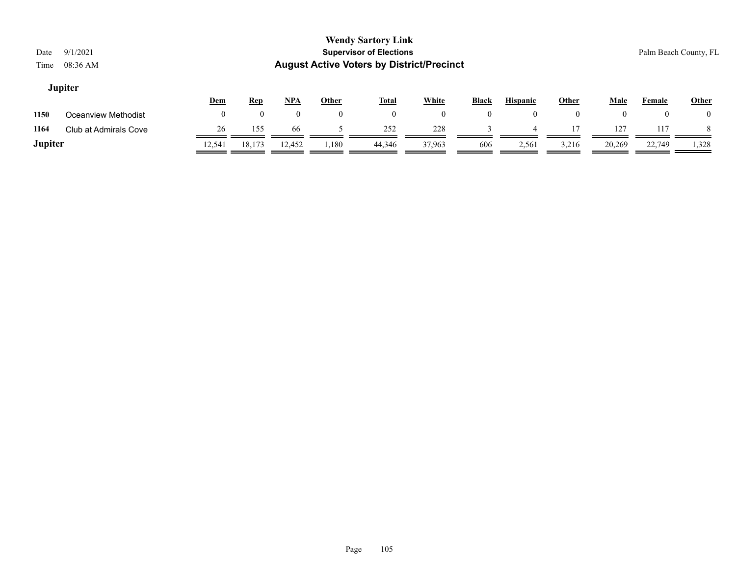### **Jupiter**

|         |                       | <u>Dem</u> | <u>Rep</u> | NPA    | Other | <b>Total</b> | White  | <b>Black</b> | <b>Hispanic</b> | Other | Male   | Female | <b>Other</b> |
|---------|-----------------------|------------|------------|--------|-------|--------------|--------|--------------|-----------------|-------|--------|--------|--------------|
| 1150    | Oceanview Methodist   |            |            |        |       |              |        |              |                 |       |        |        |              |
| 1164    | Club at Admirals Cove | 26         | 155        | 66     |       | 252          | 228    |              |                 | 17    | 127    | 117    |              |
| Jupiter |                       | 12,541     | 18,173     | 12,452 | 1,180 | 44.346       | 37,963 | 606          | 2,561           | 3,216 | 20,269 | 22,749 | 1,328        |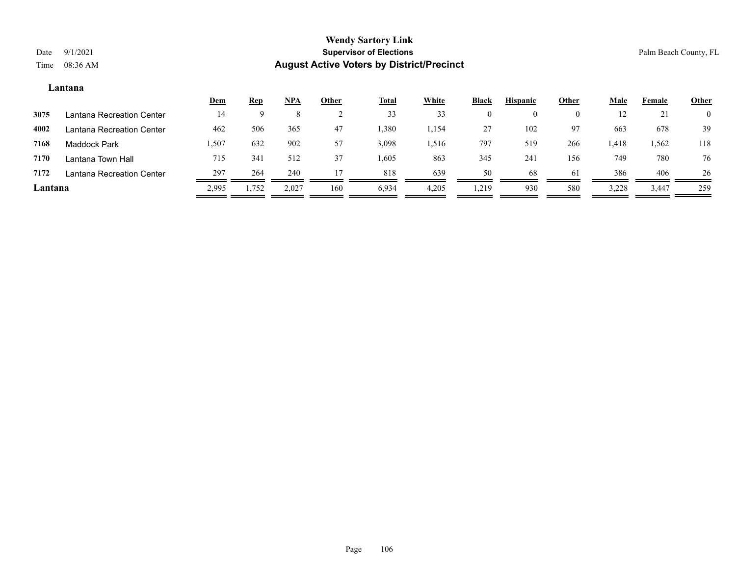#### **Lantana**

|         |                           | <u>Dem</u> | <u>Rep</u> | <u>NPA</u> | <b>Other</b> | <b>Total</b> | White | <b>Black</b> | <b>Hispanic</b> | <u>Other</u> | <b>Male</b> | Female | <b>Other</b>   |
|---------|---------------------------|------------|------------|------------|--------------|--------------|-------|--------------|-----------------|--------------|-------------|--------|----------------|
| 3075    | Lantana Recreation Center | 14         |            |            |              | 33           | 33    |              | $\theta$        | 0            |             | 21     | $\overline{0}$ |
| 4002    | Lantana Recreation Center | 462        | 506        | 365        | 47           | 1,380        | 1,154 | 27           | 102             | 97           | 663         | 678    | 39             |
| 7168    | <b>Maddock Park</b>       | .507       | 632        | 902        | 57           | 3,098        | 1,516 | 797          | 519             | 266          | 1,418       | 1,562  | 118            |
| 7170    | Lantana Town Hall         | 715        | 341        | 512        | 37           | 1,605        | 863   | 345          | 24              | 156          | 749         | 780    | 76             |
| 7172    | Lantana Recreation Center | 297        | 264        | 240        |              | 818          | 639   | 50           | 68              | 61           | 386         | 406    | 26             |
| Lantana |                           | 2,995      | 1,752      | 2,027      | 160          | 6,934        | 4,205 | 1,219        | 930             | 580          | 3,228       | 3,447  | 259            |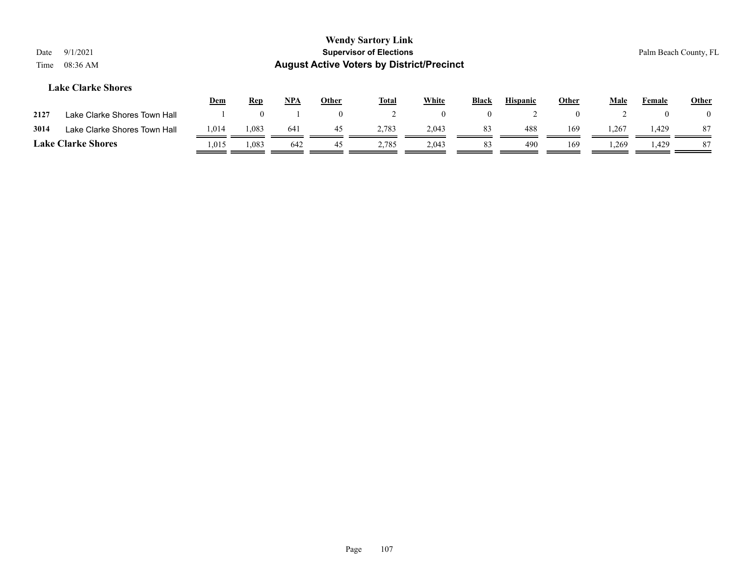|                           |                                |            |     |              | <b>Wendy Sartory Link</b>                        |              |              |                 |              |      |               |                       |  |  |
|---------------------------|--------------------------------|------------|-----|--------------|--------------------------------------------------|--------------|--------------|-----------------|--------------|------|---------------|-----------------------|--|--|
| 9/1/2021<br>Date          | <b>Supervisor of Elections</b> |            |     |              |                                                  |              |              |                 |              |      |               | Palm Beach County, FL |  |  |
| 08:36 AM<br>Time          |                                |            |     |              | <b>August Active Voters by District/Precinct</b> |              |              |                 |              |      |               |                       |  |  |
| <b>Lake Clarke Shores</b> |                                |            |     |              |                                                  |              |              |                 |              |      |               |                       |  |  |
|                           | <u>Dem</u>                     | <b>Rep</b> | NPA | <b>Other</b> | <b>Total</b>                                     | <b>White</b> | <b>Black</b> | <b>Hispanic</b> | <u>Other</u> | Male | <b>Female</b> | Other                 |  |  |

| 2127 | Lake Clarke Shores Town Hall |       |       |     |       |       |     |     |       |       |  |
|------|------------------------------|-------|-------|-----|-------|-------|-----|-----|-------|-------|--|
| 3014 | Lake Clarke Shores Town Hall | 1,014 | 083   | 641 | 2,783 | 2.043 | 488 | 169 | .,267 | . 429 |  |
|      | <b>Lake Clarke Shores</b>    | .015  | 1,083 | 642 | 2,785 | 2.043 | 490 | 169 | .269  | .429  |  |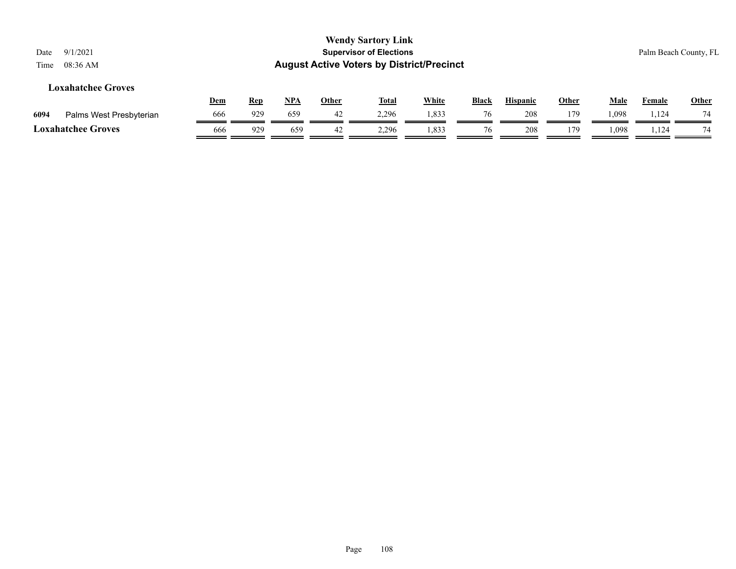| <b>Wendy Sartory Link</b><br><b>Supervisor of Elections</b><br>9/1/2021<br>Date<br><b>August Active Voters by District/Precinct</b><br>08:36 AM<br>Time |            |            |            |              |              |              |       |                 |              |       | Palm Beach County, FL |              |
|---------------------------------------------------------------------------------------------------------------------------------------------------------|------------|------------|------------|--------------|--------------|--------------|-------|-----------------|--------------|-------|-----------------------|--------------|
| <b>Loxahatchee Groves</b>                                                                                                                               | <u>Dem</u> | <u>Rep</u> | <u>NPA</u> | <b>Other</b> | <u>Total</u> | <b>White</b> | Black | <b>Hispanic</b> | <b>Other</b> | Male  | Female                | <b>Other</b> |
| Palms West Presbyterian<br>6094                                                                                                                         | 666        | 929        | 659        | 42           | 2,296        | 1,833        | 76    | 208             | 179          | 1,098 | 1,124                 | 74           |
| <b>Loxahatchee Groves</b>                                                                                                                               | 666        | 929        | 659        | 42           | 2,296        | 1,833        | 76    | 208             | 179          | . 098 | 1,124                 | 74           |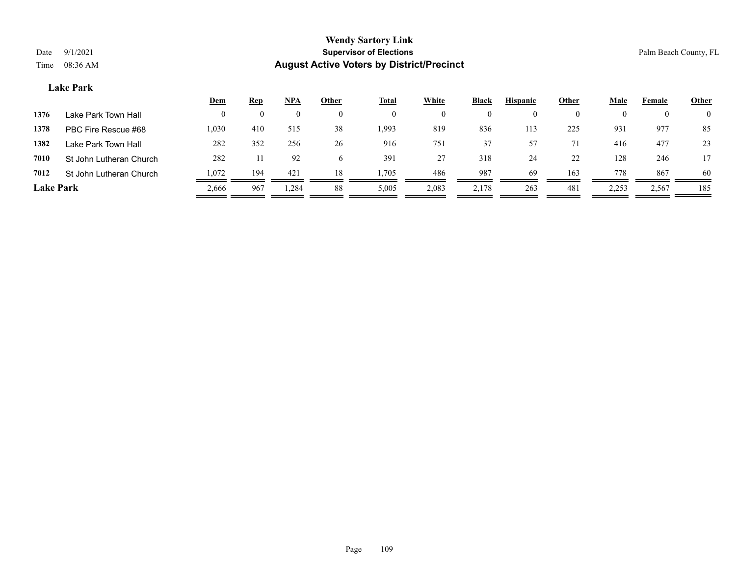# **Lake Park**

|                  |                         | Dem   | <b>Rep</b> | NPA      | Other        | <b>Total</b> | White    | Black    | <b>Hispanic</b> | Other    | Male  | Female | <b>Other</b>   |
|------------------|-------------------------|-------|------------|----------|--------------|--------------|----------|----------|-----------------|----------|-------|--------|----------------|
| 1376             | Lake Park Town Hall     | 0     | $\theta$   | $\theta$ | $\theta$     | $\theta$     | $\theta$ | $\theta$ | $\theta$        | $\theta$ |       |        | $\overline{0}$ |
| 1378             | PBC Fire Rescue #68     | 1,030 | 410        | 515      | 38           | 1,993        | 819      | 836      | 113             | 225      | 931   | 977    | 85             |
| 1382             | Lake Park Town Hall     | 282   | 352        | 256      | 26           | 916          | 751      | 37       | 57              |          | 416   | 477    | 23             |
| 7010             | St John Lutheran Church | 282   |            | 92       | <sub>0</sub> | 391          | 27       | 318      | 24              | 22       | 128   | 246    | 17             |
| 7012             | St John Lutheran Church | 1,072 | 194        | 421      | 18           | 1,705        | 486      | 987      | 69              | 163      | 778   | 867    | 60             |
| <b>Lake Park</b> |                         | 2,666 | 967        | .284     | 88           | 5,005        | 2,083    | 2,178    | 263             | 481      | 2,253 | 2,567  | 185            |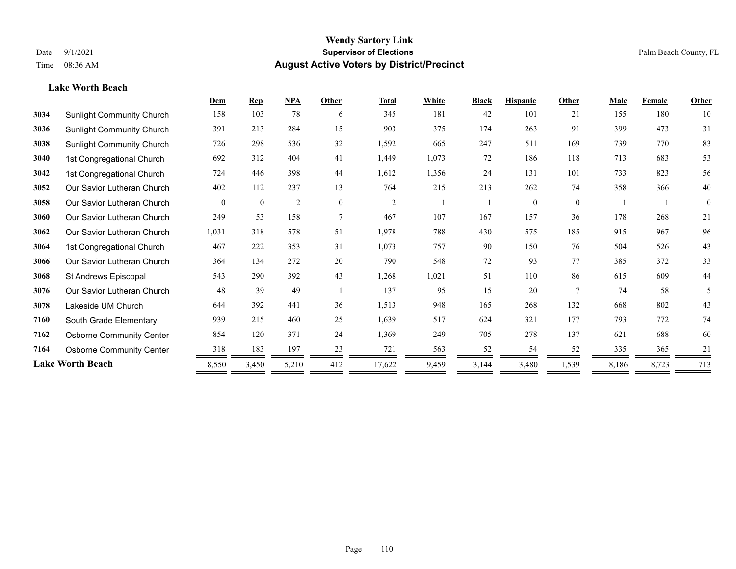**Lake Worth Beach**

# **Wendy Sartory Link** Date 9/1/2021 **Supervisor of Elections Supervisor of Elections** Palm Beach County, FL Time 08:36 AM **August Active Voters by District/Precinct**

|      |                                  | Dem      | <b>Rep</b> | NPA            | Other            | <b>Total</b>   | White | <b>Black</b> | <b>Hispanic</b> | Other          | Male  | Female | <b>Other</b> |
|------|----------------------------------|----------|------------|----------------|------------------|----------------|-------|--------------|-----------------|----------------|-------|--------|--------------|
| 3034 | <b>Sunlight Community Church</b> | 158      | 103        | 78             | 6                | 345            | 181   | 42           | 101             | 21             | 155   | 180    | 10           |
| 3036 | <b>Sunlight Community Church</b> | 391      | 213        | 284            | 15               | 903            | 375   | 174          | 263             | 91             | 399   | 473    | 31           |
| 3038 | <b>Sunlight Community Church</b> | 726      | 298        | 536            | 32               | 1,592          | 665   | 247          | 511             | 169            | 739   | 770    | 83           |
| 3040 | 1st Congregational Church        | 692      | 312        | 404            | 41               | 1,449          | 1,073 | 72           | 186             | 118            | 713   | 683    | 53           |
| 3042 | 1st Congregational Church        | 724      | 446        | 398            | 44               | 1,612          | 1,356 | 24           | 131             | 101            | 733   | 823    | 56           |
| 3052 | Our Savior Lutheran Church       | 402      | 112        | 237            | 13               | 764            | 215   | 213          | 262             | 74             | 358   | 366    | 40           |
| 3058 | Our Savior Lutheran Church       | $\theta$ | $\bf{0}$   | $\overline{2}$ | $\boldsymbol{0}$ | $\overline{2}$ |       |              | $\theta$        | $\mathbf{0}$   |       |        | $\mathbf{0}$ |
| 3060 | Our Savior Lutheran Church       | 249      | 53         | 158            | $\overline{7}$   | 467            | 107   | 167          | 157             | 36             | 178   | 268    | 21           |
| 3062 | Our Savior Lutheran Church       | 1,031    | 318        | 578            | 51               | 1,978          | 788   | 430          | 575             | 185            | 915   | 967    | 96           |
| 3064 | 1st Congregational Church        | 467      | 222        | 353            | 31               | 1,073          | 757   | 90           | 150             | 76             | 504   | 526    | 43           |
| 3066 | Our Savior Lutheran Church       | 364      | 134        | 272            | 20               | 790            | 548   | 72           | 93              | 77             | 385   | 372    | 33           |
| 3068 | St Andrews Episcopal             | 543      | 290        | 392            | 43               | 1,268          | 1,021 | 51           | 110             | 86             | 615   | 609    | 44           |
| 3076 | Our Savior Lutheran Church       | 48       | 39         | 49             |                  | 137            | 95    | 15           | 20              | $\overline{7}$ | 74    | 58     | 5            |
| 3078 | Lakeside UM Church               | 644      | 392        | 441            | 36               | 1,513          | 948   | 165          | 268             | 132            | 668   | 802    | 43           |
| 7160 | South Grade Elementary           | 939      | 215        | 460            | 25               | 1,639          | 517   | 624          | 321             | 177            | 793   | 772    | 74           |
| 7162 | <b>Osborne Community Center</b>  | 854      | 120        | 371            | 24               | 1,369          | 249   | 705          | 278             | 137            | 621   | 688    | 60           |
| 7164 | <b>Osborne Community Center</b>  | 318      | 183        | 197            | 23               | 721            | 563   | 52           | 54              | 52             | 335   | 365    | 21           |
|      | <b>Lake Worth Beach</b>          | 8,550    | 3,450      | 5,210          | 412              | 17,622         | 9,459 | 3,144        | 3,480           | 1,539          | 8,186 | 8,723  | 713          |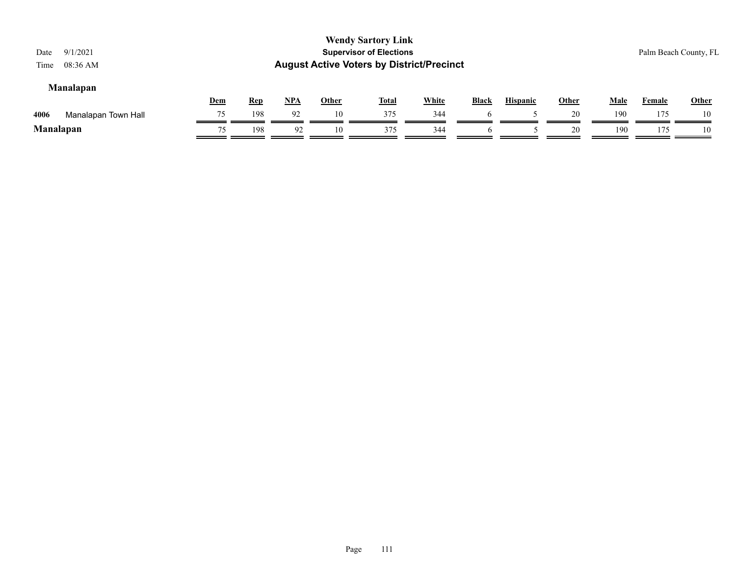| 9/1/2021<br>Date<br>08:36 AM<br>Time                                                                                                                                |    |     |    |    | <b>Wendy Sartory Link</b><br><b>Supervisor of Elections</b><br><b>August Active Voters by District/Precinct</b> |     |  |  |    |     |     | Palm Beach County, FL |  |
|---------------------------------------------------------------------------------------------------------------------------------------------------------------------|----|-----|----|----|-----------------------------------------------------------------------------------------------------------------|-----|--|--|----|-----|-----|-----------------------|--|
| <b>Manalapan</b><br><b>White</b><br>$NPA$<br><b>Other</b><br>Dem<br><b>Rep</b><br><b>Other</b><br><b>Total</b><br><b>Black</b><br>Male<br><b>Hispanic</b><br>Female |    |     |    |    |                                                                                                                 |     |  |  |    |     |     |                       |  |
| 4006<br>Manalapan Town Hall                                                                                                                                         | 75 | 198 | 92 | 10 | 375                                                                                                             | 344 |  |  | 20 | 190 | 175 | 10                    |  |
| <b>Manalapan</b>                                                                                                                                                    | 75 | 198 | 92 | 10 | 375                                                                                                             | 344 |  |  | 20 | 190 | 175 | 10                    |  |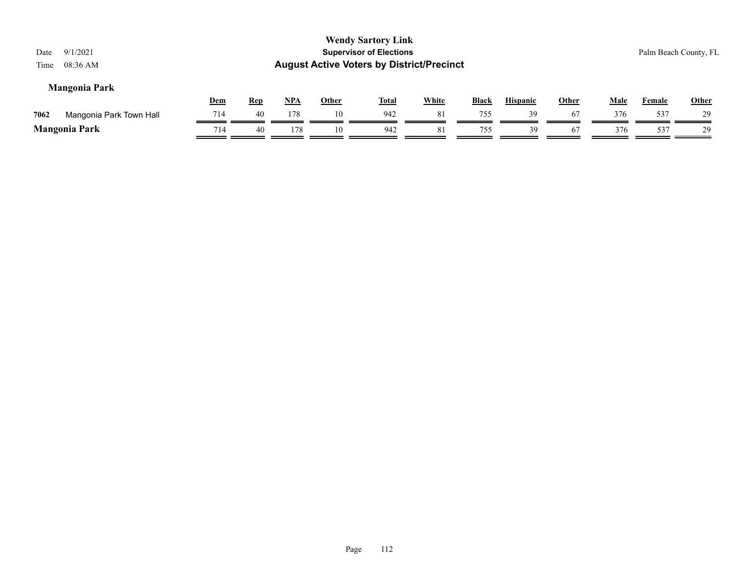| 9/1/2021<br>Date<br>08:36 AM<br>Time |            |            |            |              | <b>Wendy Sartory Link</b><br><b>Supervisor of Elections</b><br><b>August Active Voters by District/Precinct</b> |              |              |                 |              |             | Palm Beach County, FL |              |
|--------------------------------------|------------|------------|------------|--------------|-----------------------------------------------------------------------------------------------------------------|--------------|--------------|-----------------|--------------|-------------|-----------------------|--------------|
| <b>Mangonia Park</b>                 | <u>Dem</u> | <b>Rep</b> | <u>NPA</u> | <b>Other</b> | <b>Total</b>                                                                                                    | <b>White</b> | <b>Black</b> | <b>Hispanic</b> | <b>Other</b> | <b>Male</b> | <b>Female</b>         | <b>Other</b> |
| 7062<br>Mangonia Park Town Hall      | 714        | 40         | 178        | 10           | 942                                                                                                             | 81           | 755          | 39              | 67           | 376         | 537                   | 29           |
| <b>Mangonia Park</b>                 | 714        | 40         | 178        | 10           | 942                                                                                                             | 81           | 755          | 39              | 67           | 376         | 537                   | 29           |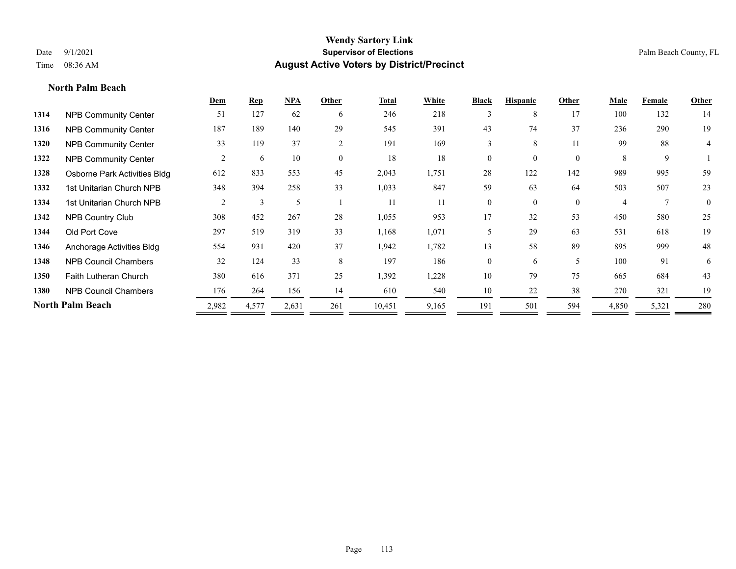# **North Palm Beach**

|      |                              | Dem   | <b>Rep</b> | NPA   | Other    | <b>Total</b> | White | <b>Black</b>   | <b>Hispanic</b> | Other        | Male  | Female | <b>Other</b>   |
|------|------------------------------|-------|------------|-------|----------|--------------|-------|----------------|-----------------|--------------|-------|--------|----------------|
| 1314 | <b>NPB Community Center</b>  | 51    | 127        | 62    | 6        | 246          | 218   | 3              | 8               | 17           | 100   | 132    | 14             |
| 1316 | <b>NPB Community Center</b>  | 187   | 189        | 140   | 29       | 545          | 391   | 43             | 74              | 37           | 236   | 290    | 19             |
| 1320 | <b>NPB Community Center</b>  | 33    | 119        | 37    | 2        | 191          | 169   | 3              | 8               | 11           | 99    | 88     | 4              |
| 1322 | <b>NPB Community Center</b>  | 2     | 6          | 10    | $\theta$ | 18           | 18    | $\theta$       | $\Omega$        | $\theta$     | 8     | 9      |                |
| 1328 | Osborne Park Activities Bldg | 612   | 833        | 553   | 45       | 2,043        | 1,751 | 28             | 122             | 142          | 989   | 995    | 59             |
| 1332 | 1st Unitarian Church NPB     | 348   | 394        | 258   | 33       | 1,033        | 847   | 59             | 63              | 64           | 503   | 507    | 23             |
| 1334 | 1st Unitarian Church NPB     | 2     | 3          | 5     |          | 11           | 11    | $\overline{0}$ | $\theta$        | $\mathbf{0}$ | 4     |        | $\overline{0}$ |
| 1342 | <b>NPB Country Club</b>      | 308   | 452        | 267   | 28       | 1,055        | 953   | 17             | 32              | 53           | 450   | 580    | 25             |
| 1344 | Old Port Cove                | 297   | 519        | 319   | 33       | 1,168        | 1,071 | 5              | 29              | 63           | 531   | 618    | 19             |
| 1346 | Anchorage Activities Bldg    | 554   | 931        | 420   | 37       | 1,942        | 1,782 | 13             | 58              | 89           | 895   | 999    | 48             |
| 1348 | <b>NPB Council Chambers</b>  | 32    | 124        | 33    | 8        | 197          | 186   | $\overline{0}$ | 6               | 5            | 100   | 91     | 6              |
| 1350 | <b>Faith Lutheran Church</b> | 380   | 616        | 371   | 25       | 1,392        | 1,228 | 10             | 79              | 75           | 665   | 684    | 43             |
| 1380 | <b>NPB Council Chambers</b>  | 176   | 264        | 156   | 14       | 610          | 540   | 10             | 22              | 38           | 270   | 321    | 19             |
|      | <b>North Palm Beach</b>      | 2,982 | 4,577      | 2,631 | 261      | 10,451       | 9,165 | 191            | 501             | 594          | 4,850 | 5,321  | 280            |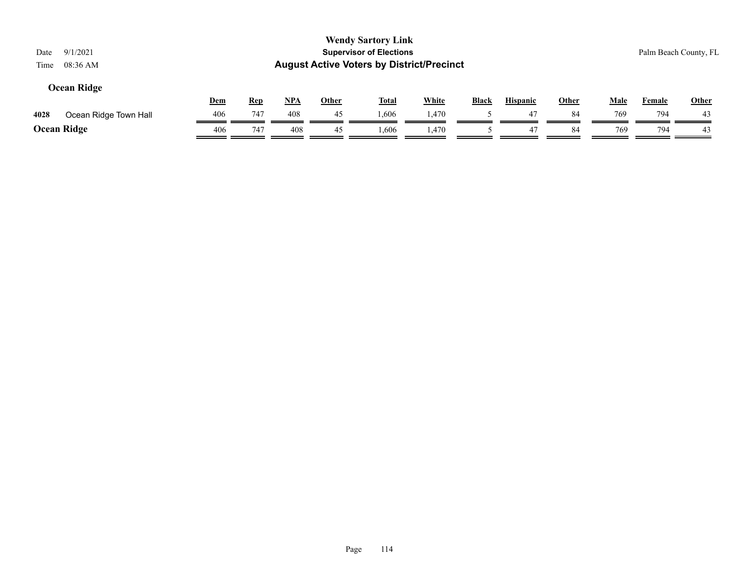|      |                       |     |            |            |              | <b>Wendy Sartory Link</b>                        |              |              |                 |              |             |                       |       |
|------|-----------------------|-----|------------|------------|--------------|--------------------------------------------------|--------------|--------------|-----------------|--------------|-------------|-----------------------|-------|
| Date | 9/1/2021              |     |            |            |              | <b>Supervisor of Elections</b>                   |              |              |                 |              |             | Palm Beach County, FL |       |
| Time | 08:36 AM              |     |            |            |              | <b>August Active Voters by District/Precinct</b> |              |              |                 |              |             |                       |       |
|      | <b>Ocean Ridge</b>    |     |            |            |              |                                                  |              |              |                 |              |             |                       |       |
|      |                       | Dem | <u>Rep</u> | <u>NPA</u> | <u>Other</u> | <u>Total</u>                                     | <b>White</b> | <b>Black</b> | <b>Hispanic</b> | <u>Other</u> | <u>Male</u> | <b>Female</b>         | Other |
| 4028 | Ocean Ridge Town Hall | 406 | 747        | 408        | 45           | 1,606                                            | 1,470        |              | 47              | 84           | 769         | 794                   | 43    |
|      | <b>Ocean Ridge</b>    | 406 | 747        | 408        | 45           | 1,606                                            | 1.470        |              | 47              | 84           | 769         | 794                   | 43    |

 $=$ 

Ξ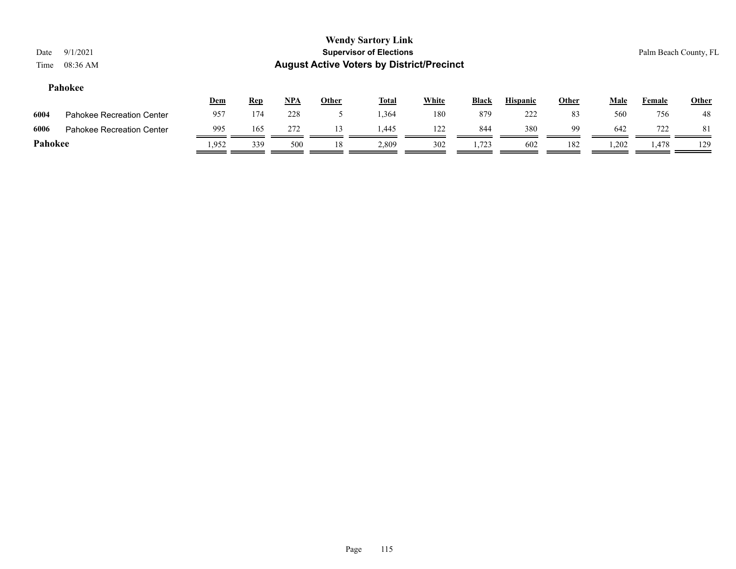# **Pahokee**

|         |                           | <u>Dem</u> | <u>Rep</u> | <b>NPA</b> | Other | <b>Total</b> | White | <b>Black</b> | <b>Hispanic</b> | Other | Male  | Female   | <u>Other</u> |
|---------|---------------------------|------------|------------|------------|-------|--------------|-------|--------------|-----------------|-------|-------|----------|--------------|
| 6004    | Pahokee Recreation Center | 957        | 174        | 228        |       | .364         | 180   | 879          | 222             | 83    | 560   | 756      | 48           |
| 6006    | Pahokee Recreation Center | 995        | 165        | 272        |       | .445         | 122   | 844          | 380             | 99    | 642   | 722<br>∼ |              |
| Pahokee |                           | .952       | 339        | 500        | 18    | 2,809        | 302   | 1,723        | 602             | 182   | 1,202 | 1.478    | 129          |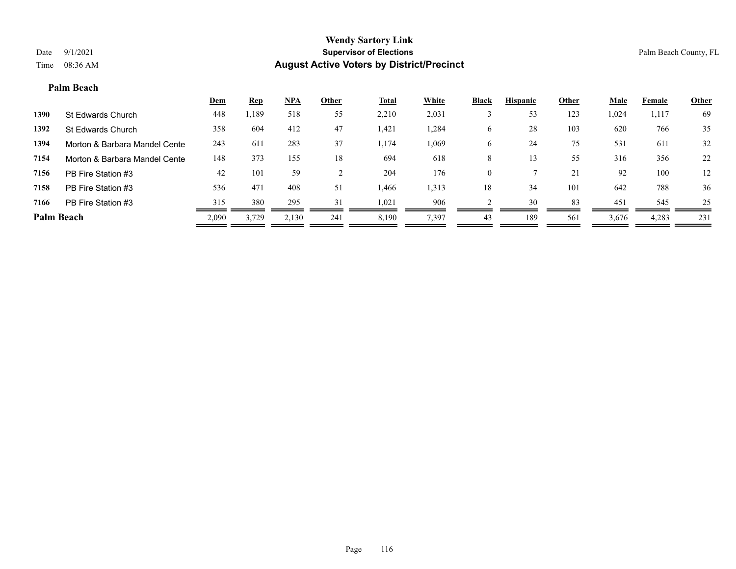#### **Palm Beach**

|                               | <b>Dem</b> | <b>Rep</b> | NPA   | Other | <b>Total</b> | White | <b>Black</b> | <b>Hispanic</b> | Other | <b>Male</b> | Female | <b>Other</b> |
|-------------------------------|------------|------------|-------|-------|--------------|-------|--------------|-----------------|-------|-------------|--------|--------------|
| St Edwards Church             | 448        | ,189       | 518   | 55    | 2,210        | 2,031 |              | 53              | 123   | 1,024       | 1,117  | 69           |
| St Edwards Church             | 358        | 604        | 412   | 47    | 1,421        | 1,284 | O            | 28              | 103   | 620         | 766    | 35           |
| Morton & Barbara Mandel Cente | 243        | 611        | 283   | 37    | 1,174        | 1,069 | O            | 24              | 75    | 531         | 611    | 32           |
| Morton & Barbara Mandel Cente | 148        | 373        | 155   | 18    | 694          | 618   | 8            |                 | 55    | 316         | 356    | 22           |
| PB Fire Station #3            | 42         | 101        | 59    |       | 204          | 176   | $\theta$     |                 | 21    | 92          | 100    | 12           |
| PB Fire Station #3            | 536        | 471        | 408   | 51    | 1,466        | 1,313 | 18           | 34              | 101   | 642         | 788    | 36           |
| PB Fire Station #3            | 315        | 380        | 295   | 31    | 1,021        | 906   |              | 30              | 83    | 451         | 545    | 25           |
| <b>Palm Beach</b>             | 2,090      | 3,729      | 2,130 | 241   | 8,190        | 7,397 | 43           | 189             | 561   | 3,676       | 4,283  | 231          |
|                               |            |            |       |       |              |       |              |                 |       |             |        |              |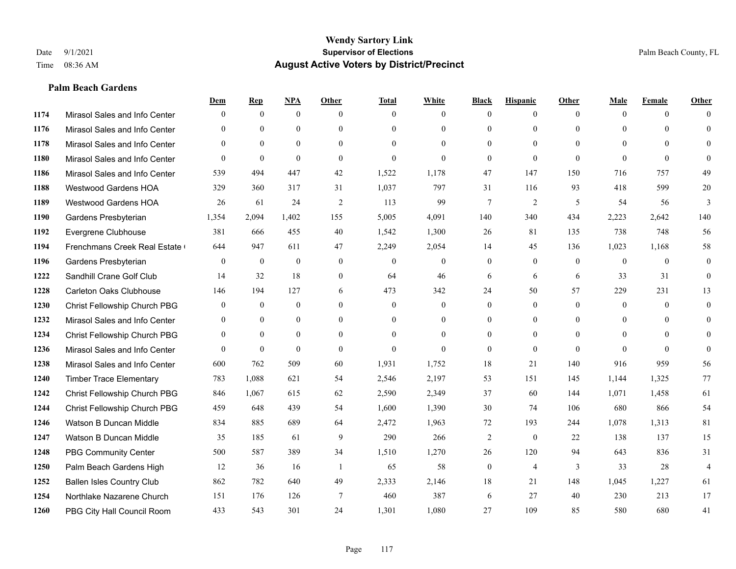#### **Palm Beach Gardens**

|      |                                  | Dem            | <b>Rep</b>       | NPA              | <b>Other</b>   | <b>Total</b>     | <b>White</b>     | <b>Black</b>     | <b>Hispanic</b> | <b>Other</b>   | <b>Male</b>    | <b>Female</b> | <b>Other</b>   |
|------|----------------------------------|----------------|------------------|------------------|----------------|------------------|------------------|------------------|-----------------|----------------|----------------|---------------|----------------|
| 1174 | Mirasol Sales and Info Center    | $\Omega$       | $\mathbf{0}$     | $\mathbf{0}$     | $\Omega$       | $\Omega$         | $\overline{0}$   | $\theta$         | $\mathbf{0}$    | $\theta$       | $\theta$       | $\theta$      | $\Omega$       |
| 1176 | Mirasol Sales and Info Center    | $\Omega$       | $\theta$         | $\theta$         | $\theta$       | $\Omega$         | $\overline{0}$   | $\theta$         | $\mathbf{0}$    | $\Omega$       | $\theta$       | $\Omega$      | $\theta$       |
| 1178 | Mirasol Sales and Info Center    | $\Omega$       | $\theta$         | $\theta$         | $\Omega$       | $\Omega$         | $\Omega$         | $\Omega$         | $\theta$        | $\Omega$       | $\Omega$       | $\Omega$      | $\Omega$       |
| 1180 | Mirasol Sales and Info Center    | $\mathbf{0}$   | $\mathbf{0}$     | $\mathbf{0}$     | $\mathbf{0}$   | $\theta$         | $\overline{0}$   | $\mathbf{0}$     | $\mathbf{0}$    | $\theta$       | $\theta$       | $\theta$      | $\Omega$       |
| 1186 | Mirasol Sales and Info Center    | 539            | 494              | 447              | 42             | 1,522            | 1,178            | 47               | 147             | 150            | 716            | 757           | 49             |
| 1188 | <b>Westwood Gardens HOA</b>      | 329            | 360              | 317              | 31             | 1,037            | 797              | 31               | 116             | 93             | 418            | 599           | 20             |
| 1189 | Westwood Gardens HOA             | 26             | 61               | 24               | $\overline{2}$ | 113              | 99               | $\tau$           | $\overline{2}$  | 5              | 54             | 56            | $\overline{3}$ |
| 1190 | Gardens Presbyterian             | 1,354          | 2,094            | 1,402            | 155            | 5,005            | 4,091            | 140              | 340             | 434            | 2,223          | 2,642         | 140            |
| 1192 | Evergrene Clubhouse              | 381            | 666              | 455              | 40             | 1,542            | 1,300            | 26               | 81              | 135            | 738            | 748           | 56             |
| 1194 | Frenchmans Creek Real Estate     | 644            | 947              | 611              | 47             | 2,249            | 2,054            | 14               | 45              | 136            | 1,023          | 1,168         | 58             |
| 1196 | Gardens Presbyterian             | $\overline{0}$ | $\mathbf{0}$     | $\mathbf{0}$     | $\theta$       | $\mathbf{0}$     | $\overline{0}$   | $\mathbf{0}$     | $\mathbf{0}$    | $\overline{0}$ | $\overline{0}$ | $\theta$      | $\mathbf{0}$   |
| 1222 | Sandhill Crane Golf Club         | 14             | 32               | 18               | $\mathbf{0}$   | 64               | 46               | 6                | 6               | 6              | 33             | 31            | $\theta$       |
| 1228 | <b>Carleton Oaks Clubhouse</b>   | 146            | 194              | 127              | 6              | 473              | 342              | 24               | 50              | 57             | 229            | 231           | 13             |
| 1230 | Christ Fellowship Church PBG     | $\mathbf{0}$   | $\boldsymbol{0}$ | $\boldsymbol{0}$ | $\mathbf{0}$   | $\boldsymbol{0}$ | $\boldsymbol{0}$ | $\boldsymbol{0}$ | $\mathbf{0}$    | $\mathbf{0}$   | $\mathbf{0}$   | $\mathbf{0}$  | $\mathbf{0}$   |
| 1232 | Mirasol Sales and Info Center    | $\mathbf{0}$   | $\mathbf{0}$     | $\mathbf{0}$     | $\theta$       | $\Omega$         | $\overline{0}$   | $\mathbf{0}$     | $\mathbf{0}$    | $\theta$       | $\theta$       | $\theta$      | $\mathbf{0}$   |
| 1234 | Christ Fellowship Church PBG     | $\theta$       | $\theta$         | $\theta$         | $\Omega$       | $\Omega$         | $\Omega$         | $\theta$         | $\theta$        | $\Omega$       | $\theta$       | $\Omega$      | $\theta$       |
| 1236 | Mirasol Sales and Info Center    | $\theta$       | $\mathbf{0}$     | $\theta$         | $\theta$       | $\Omega$         | $\Omega$         | $\mathbf{0}$     | $\theta$        | $\Omega$       | $\Omega$       | $\theta$      | $\Omega$       |
| 1238 | Mirasol Sales and Info Center    | 600            | 762              | 509              | 60             | 1,931            | 1,752            | 18               | 21              | 140            | 916            | 959           | 56             |
| 1240 | <b>Timber Trace Elementary</b>   | 783            | 1,088            | 621              | 54             | 2,546            | 2,197            | 53               | 151             | 145            | 1,144          | 1,325         | 77             |
| 1242 | Christ Fellowship Church PBG     | 846            | 1.067            | 615              | 62             | 2,590            | 2,349            | 37               | 60              | 144            | 1,071          | 1,458         | 61             |
| 1244 | Christ Fellowship Church PBG     | 459            | 648              | 439              | 54             | 1,600            | 1,390            | 30               | 74              | 106            | 680            | 866           | 54             |
| 1246 | Watson B Duncan Middle           | 834            | 885              | 689              | 64             | 2,472            | 1,963            | 72               | 193             | 244            | 1,078          | 1,313         | 81             |
| 1247 | Watson B Duncan Middle           | 35             | 185              | 61               | 9              | 290              | 266              | 2                | $\mathbf{0}$    | 22             | 138            | 137           | 15             |
| 1248 | <b>PBG Community Center</b>      | 500            | 587              | 389              | 34             | 1,510            | 1,270            | 26               | 120             | 94             | 643            | 836           | 31             |
| 1250 | Palm Beach Gardens High          | 12             | 36               | 16               | -1             | 65               | 58               | $\boldsymbol{0}$ | $\overline{4}$  | 3              | 33             | 28            | $\overline{4}$ |
| 1252 | <b>Ballen Isles Country Club</b> | 862            | 782              | 640              | 49             | 2,333            | 2,146            | 18               | 21              | 148            | 1,045          | 1,227         | 61             |
| 1254 | Northlake Nazarene Church        | 151            | 176              | 126              | 7              | 460              | 387              | 6                | 27              | 40             | 230            | 213           | 17             |
| 1260 | PBG City Hall Council Room       | 433            | 543              | 301              | 24             | 1,301            | 1,080            | 27               | 109             | 85             | 580            | 680           | 41             |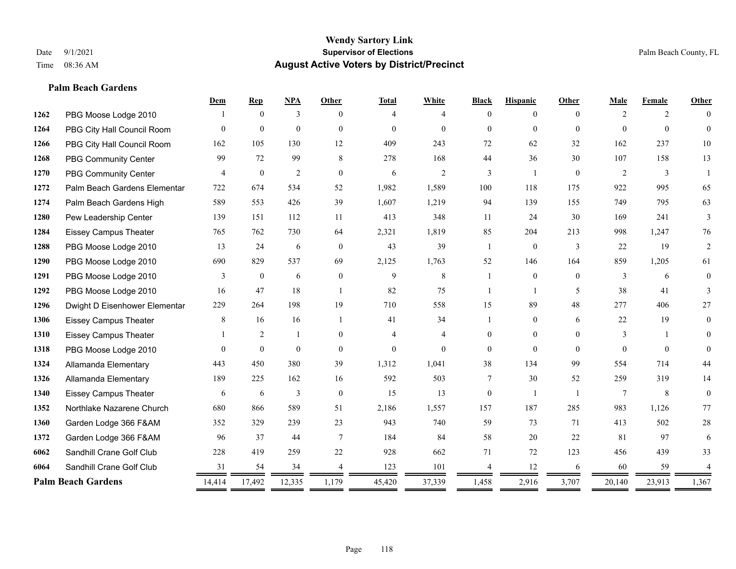#### **Palm Beach Gardens**

|      |                               | Dem      | <b>Rep</b>       | NPA            | <b>Other</b>     | <b>Total</b> | White          | <b>Black</b>   | <b>Hispanic</b> | <b>Other</b> | Male           | Female   | <b>Other</b>   |
|------|-------------------------------|----------|------------------|----------------|------------------|--------------|----------------|----------------|-----------------|--------------|----------------|----------|----------------|
| 1262 | PBG Moose Lodge 2010          |          | $\theta$         | 3              | $\Omega$         | 4            | 4              | $\Omega$       | $\theta$        | $\Omega$     | $\overline{2}$ | 2        |                |
| 1264 | PBG City Hall Council Room    | $\Omega$ | $\mathbf{0}$     | $\theta$       | $\Omega$         | $\theta$     | $\Omega$       | $\theta$       | $\Omega$        | $\Omega$     | $\Omega$       | $\theta$ | $\Omega$       |
| 1266 | PBG City Hall Council Room    | 162      | 105              | 130            | 12               | 409          | 243            | 72             | 62              | 32           | 162            | 237      | $10\,$         |
| 1268 | <b>PBG Community Center</b>   | 99       | 72               | 99             | 8                | 278          | 168            | 44             | 36              | 30           | 107            | 158      | 13             |
| 1270 | PBG Community Center          | 4        | $\mathbf{0}$     | $\overline{2}$ | $\theta$         | 6            | $\mathfrak{2}$ | 3              | 1               | $\theta$     | 2              | 3        |                |
| 1272 | Palm Beach Gardens Elementar  | 722      | 674              | 534            | 52               | 1,982        | 1,589          | 100            | 118             | 175          | 922            | 995      | 65             |
| 1274 | Palm Beach Gardens High       | 589      | 553              | 426            | 39               | 1,607        | 1,219          | 94             | 139             | 155          | 749            | 795      | 63             |
| 1280 | Pew Leadership Center         | 139      | 151              | 112            | 11               | 413          | 348            | 11             | 24              | 30           | 169            | 241      | 3              |
| 1284 | <b>Eissey Campus Theater</b>  | 765      | 762              | 730            | 64               | 2,321        | 1,819          | 85             | 204             | 213          | 998            | 1,247    | 76             |
| 1288 | PBG Moose Lodge 2010          | 13       | 24               | 6              | $\overline{0}$   | 43           | 39             | $\mathbf{1}$   | $\mathbf{0}$    | 3            | 22             | 19       | 2              |
| 1290 | PBG Moose Lodge 2010          | 690      | 829              | 537            | 69               | 2,125        | 1,763          | 52             | 146             | 164          | 859            | 1,205    | 61             |
| 1291 | PBG Moose Lodge 2010          | 3        | $\boldsymbol{0}$ | 6              | $\boldsymbol{0}$ | 9            | 8              |                | $\overline{0}$  | $\theta$     | 3              | 6        | $\overline{0}$ |
| 1292 | PBG Moose Lodge 2010          | 16       | 47               | 18             | $\overline{1}$   | 82           | 75             | -1             | $\mathbf{1}$    | 5            | 38             | 41       | 3              |
| 1296 | Dwight D Eisenhower Elementar | 229      | 264              | 198            | 19               | 710          | 558            | 15             | 89              | 48           | 277            | 406      | 27             |
| 1306 | <b>Eissey Campus Theater</b>  | 8        | 16               | 16             | $\overline{1}$   | 41           | 34             |                | $\overline{0}$  | 6            | 22             | 19       | $\theta$       |
| 1310 | <b>Eissey Campus Theater</b>  |          | $\overline{2}$   | 1              | $\theta$         | 4            | $\overline{4}$ | $\mathbf{0}$   | $\overline{0}$  | $\theta$     | 3              | -1       | $\Omega$       |
| 1318 | PBG Moose Lodge 2010          | $\Omega$ | $\mathbf{0}$     | $\theta$       | $\theta$         | $\mathbf{0}$ | $\theta$       | $\theta$       | $\theta$        | $\Omega$     | $\Omega$       | $\Omega$ | $\Omega$       |
| 1324 | Allamanda Elementary          | 443      | 450              | 380            | 39               | 1,312        | 1,041          | 38             | 134             | 99           | 554            | 714      | 44             |
| 1326 | Allamanda Elementary          | 189      | 225              | 162            | 16               | 592          | 503            | 7              | 30              | 52           | 259            | 319      | 14             |
| 1340 | <b>Eissey Campus Theater</b>  | 6        | 6                | 3              | $\theta$         | 15           | 13             | $\overline{0}$ | -1              |              | 7              | 8        | $\overline{0}$ |
| 1352 | Northlake Nazarene Church     | 680      | 866              | 589            | 51               | 2,186        | 1,557          | 157            | 187             | 285          | 983            | 1,126    | 77             |
| 1360 | Garden Lodge 366 F&AM         | 352      | 329              | 239            | 23               | 943          | 740            | 59             | 73              | 71           | 413            | 502      | $28\,$         |
| 1372 | Garden Lodge 366 F&AM         | 96       | 37               | 44             | $\tau$           | 184          | 84             | 58             | 20              | 22           | 81             | 97       | 6              |
| 6062 | Sandhill Crane Golf Club      | 228      | 419              | 259            | 22               | 928          | 662            | 71             | 72              | 123          | 456            | 439      | 33             |
| 6064 | Sandhill Crane Golf Club      | 31       | 54               | 34             |                  | 123          | 101            |                | 12              | 6            | 60             | 59       |                |
|      | <b>Palm Beach Gardens</b>     | 14,414   | 17,492           | 12,335         | 1,179            | 45,420       | 37,339         | 1,458          | 2,916           | 3,707        | 20,140         | 23,913   | 1,367          |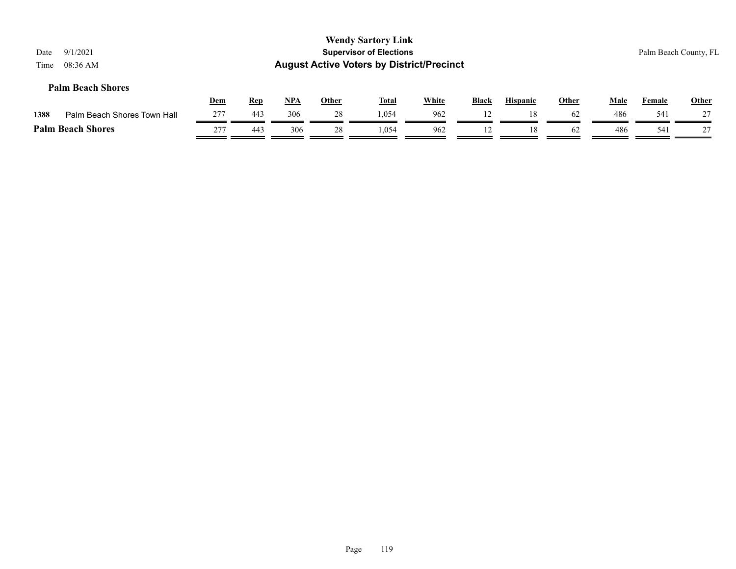| Date<br>Time | 9/1/2021<br>08:36 AM        |     |            |            |              | <b>Wendy Sartory Link</b><br><b>Supervisor of Elections</b><br><b>August Active Voters by District/Precinct</b> |              |              |                 |              |             |               | Palm Beach County, FL |
|--------------|-----------------------------|-----|------------|------------|--------------|-----------------------------------------------------------------------------------------------------------------|--------------|--------------|-----------------|--------------|-------------|---------------|-----------------------|
|              | <b>Palm Beach Shores</b>    | Dem | <u>Rep</u> | <u>NPA</u> | <b>Other</b> | <u>Total</u>                                                                                                    | <b>White</b> | <b>Black</b> | <b>Hispanic</b> | <b>Other</b> | <b>Male</b> | <b>Female</b> | <b>Other</b>          |
| 1388         | Palm Beach Shores Town Hall | 277 | 443        | 306        | 28           | 1.054                                                                                                           | 962          |              | 18              | 62           | 486         | 541           |                       |
|              | <b>Palm Beach Shores</b>    | 277 | 443        | 306        | 28           | 1.054                                                                                                           | 962          | 12           | 18              | 62           | 486         | 541           | 27                    |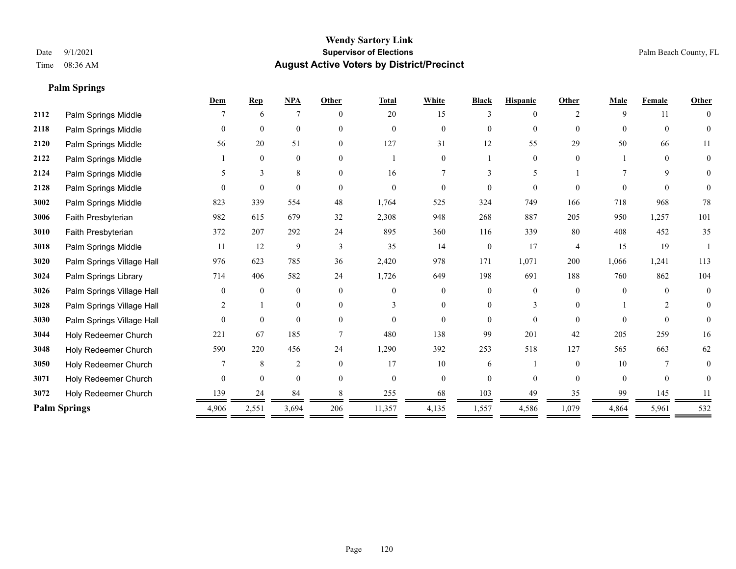**Palm Springs**

# **Wendy Sartory Link** Date 9/1/2021 **Supervisor of Elections** Palm Beach County, FL Time 08:36 AM **August Active Voters by District/Precinct**

|      |                           | Dem      | <b>Rep</b>   | $NPA$          | Other    | <b>Total</b> | White          | <b>Black</b>   | <b>Hispanic</b> | Other          | Male     | Female   | Other          |
|------|---------------------------|----------|--------------|----------------|----------|--------------|----------------|----------------|-----------------|----------------|----------|----------|----------------|
| 2112 | Palm Springs Middle       |          | 6            | 7              | $\theta$ | 20           | 15             | 3              | 0               | $\mathcal{D}$  | 9        | 11       | $\theta$       |
| 2118 | Palm Springs Middle       | $\theta$ | $\mathbf{0}$ | $\mathbf{0}$   | $\theta$ | $\Omega$     | $\Omega$       | $\overline{0}$ | $\overline{0}$  | $\Omega$       | $\theta$ | $\theta$ | $\theta$       |
| 2120 | Palm Springs Middle       | 56       | 20           | 51             | $\Omega$ | 127          | 31             | 12             | 55              | 29             | 50       | 66       | 11             |
| 2122 | Palm Springs Middle       |          | $\mathbf{0}$ | $\mathbf{0}$   | $\theta$ |              | $\overline{0}$ |                | $\overline{0}$  | $\theta$       |          | $\theta$ | $\overline{0}$ |
| 2124 | Palm Springs Middle       |          | 3            | 8              | $\theta$ | 16           | 7              | 3              | 5               |                |          | 9        | $\overline{0}$ |
| 2128 | Palm Springs Middle       | $\Omega$ | $\theta$     | $\theta$       | $\Omega$ | $\Omega$     | 0              | 0              | $\theta$        | $\Omega$       | $\Omega$ | $\Omega$ | $\overline{0}$ |
| 3002 | Palm Springs Middle       | 823      | 339          | 554            | 48       | 1,764        | 525            | 324            | 749             | 166            | 718      | 968      | 78             |
| 3006 | Faith Presbyterian        | 982      | 615          | 679            | 32       | 2,308        | 948            | 268            | 887             | 205            | 950      | 1,257    | 101            |
| 3010 | Faith Presbyterian        | 372      | 207          | 292            | 24       | 895          | 360            | 116            | 339             | 80             | 408      | 452      | 35             |
| 3018 | Palm Springs Middle       | 11       | 12           | 9              | 3        | 35           | 14             | $\overline{0}$ | 17              | $\overline{4}$ | 15       | 19       |                |
| 3020 | Palm Springs Village Hall | 976      | 623          | 785            | 36       | 2,420        | 978            | 171            | 1,071           | 200            | 1,066    | 1,241    | 113            |
| 3024 | Palm Springs Library      | 714      | 406          | 582            | 24       | 1,726        | 649            | 198            | 691             | 188            | 760      | 862      | 104            |
| 3026 | Palm Springs Village Hall | $\Omega$ | $\mathbf{0}$ | $\mathbf{0}$   | $\Omega$ | $\Omega$     | $\theta$       | $\theta$       | $\theta$        | $\Omega$       | $\Omega$ | $\Omega$ | $\overline{0}$ |
| 3028 | Palm Springs Village Hall | 2        |              | $\overline{0}$ | $\theta$ | 3            | $\overline{0}$ | 0              | 3               | $\Omega$       |          | 2        | $\theta$       |
| 3030 | Palm Springs Village Hall | $\theta$ | $\mathbf{0}$ | $\mathbf{0}$   | $\Omega$ | $\Omega$     | $\theta$       | 0              | $\Omega$        | $\Omega$       | $\Omega$ | $\Omega$ | $\overline{0}$ |
| 3044 | Holy Redeemer Church      | 221      | 67           | 185            |          | 480          | 138            | 99             | 201             | 42             | 205      | 259      | 16             |
| 3048 | Holy Redeemer Church      | 590      | 220          | 456            | 24       | 1,290        | 392            | 253            | 518             | 127            | 565      | 663      | 62             |
| 3050 | Holy Redeemer Church      |          | 8            | $\overline{2}$ | $\theta$ | 17           | 10             | 6              |                 | $\theta$       | 10       | 7        | 0              |
| 3071 | Holy Redeemer Church      | $\theta$ | $\mathbf{0}$ | $\theta$       | $\theta$ | $\Omega$     | $\overline{0}$ | $\overline{0}$ | $\Omega$        | $\theta$       | $\theta$ | $\theta$ | $\Omega$       |
| 3072 | Holy Redeemer Church      | 139      | 24           | 84             |          | 255          | 68             | 103            | 49              | 35             | 99       | 145      | 11             |
|      | <b>Palm Springs</b>       | 4,906    | 2,551        | 3,694          | 206      | 11,357       | 4,135          | 1,557          | 4,586           | 1,079          | 4,864    | 5,961    | 532            |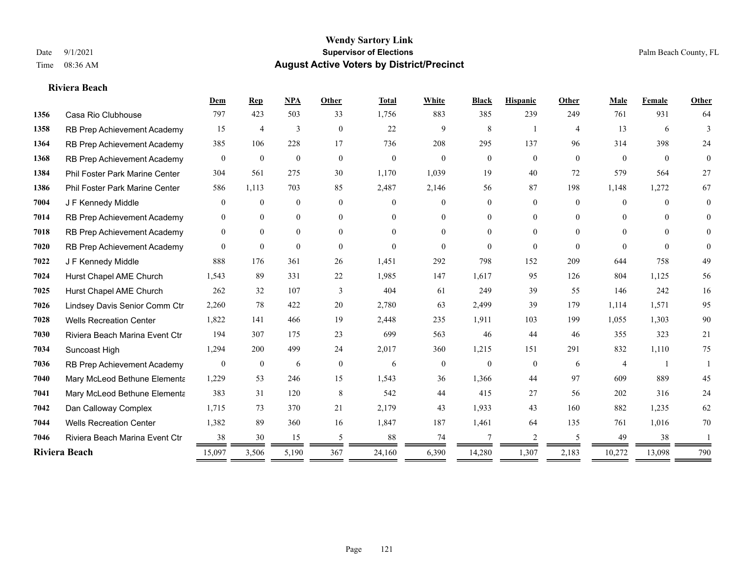#### **Riviera Beach**

|      |                                | Dem              | <b>Rep</b>       | <b>NPA</b>     | Other          | <b>Total</b> | White          | <b>Black</b>   | <b>Hispanic</b> | Other          | Male           | Female         | Other          |
|------|--------------------------------|------------------|------------------|----------------|----------------|--------------|----------------|----------------|-----------------|----------------|----------------|----------------|----------------|
| 1356 | Casa Rio Clubhouse             | 797              | 423              | 503            | 33             | 1,756        | 883            | 385            | 239             | 249            | 761            | 931            | 64             |
| 1358 | RB Prep Achievement Academy    | 15               | $\overline{4}$   | 3              | $\overline{0}$ | 22           | 9              | 8              | -1              | $\overline{4}$ | 13             | 6              | 3              |
| 1364 | RB Prep Achievement Academy    | 385              | 106              | 228            | 17             | 736          | 208            | 295            | 137             | 96             | 314            | 398            | 24             |
| 1368 | RB Prep Achievement Academy    | $\overline{0}$   | $\mathbf{0}$     | $\mathbf{0}$   | $\mathbf{0}$   | $\mathbf{0}$ | $\overline{0}$ | $\overline{0}$ | $\overline{0}$  | $\overline{0}$ | $\overline{0}$ | $\overline{0}$ | $\overline{0}$ |
| 1384 | Phil Foster Park Marine Center | 304              | 561              | 275            | 30             | 1,170        | 1,039          | 19             | 40              | 72             | 579            | 564            | 27             |
| 1386 | Phil Foster Park Marine Center | 586              | 1,113            | 703            | 85             | 2,487        | 2,146          | 56             | 87              | 198            | 1,148          | 1,272          | 67             |
| 7004 | J F Kennedy Middle             | $\overline{0}$   | $\mathbf{0}$     | $\mathbf{0}$   | $\theta$       | $\Omega$     | $\overline{0}$ | $\overline{0}$ | $\overline{0}$  | $\theta$       | $\overline{0}$ | $\theta$       | $\theta$       |
| 7014 | RB Prep Achievement Academy    | $\theta$         | $\mathbf{0}$     | $\mathbf{0}$   | $\theta$       | $\Omega$     | $\overline{0}$ | $\theta$       | $\overline{0}$  | $\Omega$       | $\theta$       | $\Omega$       | $\theta$       |
| 7018 | RB Prep Achievement Academy    | $\mathbf{0}$     | $\mathbf{0}$     | $\overline{0}$ | $\Omega$       | $\Omega$     | $\overline{0}$ | $\Omega$       | $\overline{0}$  | $\Omega$       | $\theta$       | $\Omega$       | $\Omega$       |
| 7020 | RB Prep Achievement Academy    | $\Omega$         | $\overline{0}$   | $\theta$       | $\theta$       | $\Omega$     | $\Omega$       | $\theta$       | $\Omega$        | $\theta$       | $\theta$       | $\theta$       | $\theta$       |
| 7022 | J F Kennedy Middle             | 888              | 176              | 361            | 26             | 1,451        | 292            | 798            | 152             | 209            | 644            | 758            | 49             |
| 7024 | Hurst Chapel AME Church        | 1,543            | 89               | 331            | 22             | 1,985        | 147            | 1,617          | 95              | 126            | 804            | 1,125          | 56             |
| 7025 | Hurst Chapel AME Church        | 262              | 32               | 107            | 3              | 404          | 61             | 249            | 39              | 55             | 146            | 242            | 16             |
| 7026 | Lindsey Davis Senior Comm Ctr  | 2,260            | 78               | 422            | 20             | 2,780        | 63             | 2,499          | 39              | 179            | 1.114          | 1,571          | 95             |
| 7028 | <b>Wells Recreation Center</b> | 1,822            | 141              | 466            | 19             | 2,448        | 235            | 1,911          | 103             | 199            | 1,055          | 1,303          | 90             |
| 7030 | Riviera Beach Marina Event Ctr | 194              | 307              | 175            | 23             | 699          | 563            | 46             | 44              | 46             | 355            | 323            | 21             |
| 7034 | Suncoast High                  | 1,294            | 200              | 499            | 24             | 2,017        | 360            | 1,215          | 151             | 291            | 832            | 1,110          | 75             |
| 7036 | RB Prep Achievement Academy    | $\boldsymbol{0}$ | $\boldsymbol{0}$ | 6              | $\mathbf{0}$   | 6            | $\mathbf{0}$   | $\mathbf{0}$   | $\overline{0}$  | 6              | 4              |                |                |
| 7040 | Mary McLeod Bethune Elementa   | 1,229            | 53               | 246            | 15             | 1,543        | 36             | 1,366          | 44              | 97             | 609            | 889            | 45             |
| 7041 | Mary McLeod Bethune Elementa   | 383              | 31               | 120            | 8              | 542          | 44             | 415            | 27              | 56             | 202            | 316            | 24             |
| 7042 | Dan Calloway Complex           | 1,715            | 73               | 370            | 21             | 2,179        | 43             | 1,933          | 43              | 160            | 882            | 1,235          | 62             |
| 7044 | <b>Wells Recreation Center</b> | 1,382            | 89               | 360            | 16             | 1,847        | 187            | 1,461          | 64              | 135            | 761            | 1,016          | 70             |
| 7046 | Riviera Beach Marina Event Ctr | 38               | 30               | 15             | 5              | 88           | 74             | 7              | 2               | .5             | 49             | 38             |                |
|      | Riviera Beach                  | 15,097           | 3,506            | 5,190          | 367            | 24,160       | 6,390          | 14,280         | 1,307           | 2,183          | 10,272         | 13,098         | 790            |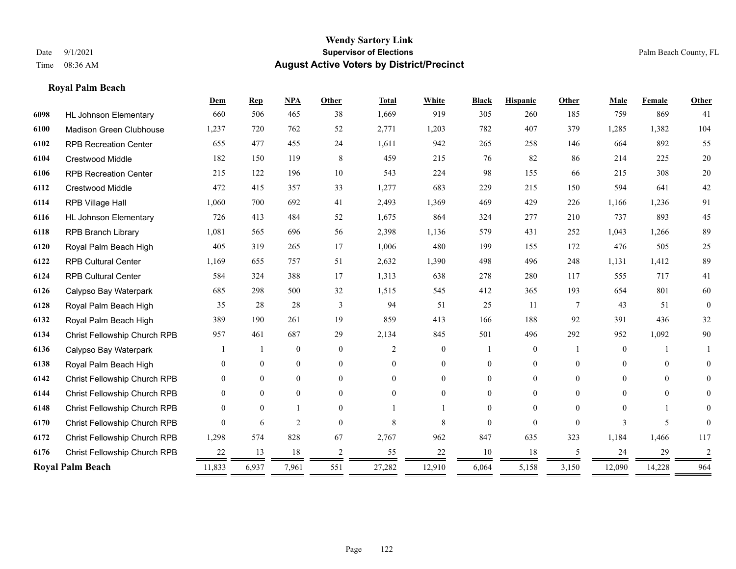# **Royal Palm Beach**

|      |                                | Dem              | <b>Rep</b>     | NPA              | <b>Other</b>   | <b>Total</b>   | White          | <b>Black</b>   | <b>Hispanic</b> | <b>Other</b>   | Male           | Female   | Other          |
|------|--------------------------------|------------------|----------------|------------------|----------------|----------------|----------------|----------------|-----------------|----------------|----------------|----------|----------------|
| 6098 | <b>HL Johnson Elementary</b>   | 660              | 506            | 465              | 38             | 1,669          | 919            | 305            | 260             | 185            | 759            | 869      | 41             |
| 6100 | <b>Madison Green Clubhouse</b> | 1,237            | 720            | 762              | 52             | 2,771          | 1,203          | 782            | 407             | 379            | 1,285          | 1,382    | 104            |
| 6102 | <b>RPB Recreation Center</b>   | 655              | 477            | 455              | 24             | 1,611          | 942            | 265            | 258             | 146            | 664            | 892      | 55             |
| 6104 | <b>Crestwood Middle</b>        | 182              | 150            | 119              | 8              | 459            | 215            | 76             | 82              | 86             | 214            | 225      | $20\,$         |
| 6106 | <b>RPB Recreation Center</b>   | 215              | 122            | 196              | 10             | 543            | 224            | 98             | 155             | 66             | 215            | 308      | 20             |
| 6112 | Crestwood Middle               | 472              | 415            | 357              | 33             | 1,277          | 683            | 229            | 215             | 150            | 594            | 641      | $42\,$         |
| 6114 | RPB Village Hall               | 1,060            | 700            | 692              | 41             | 2,493          | 1,369          | 469            | 429             | 226            | 1,166          | 1,236    | 91             |
| 6116 | <b>HL Johnson Elementary</b>   | 726              | 413            | 484              | 52             | 1,675          | 864            | 324            | 277             | 210            | 737            | 893      | 45             |
| 6118 | <b>RPB Branch Library</b>      | 1,081            | 565            | 696              | 56             | 2,398          | 1,136          | 579            | 431             | 252            | 1,043          | 1,266    | 89             |
| 6120 | Royal Palm Beach High          | 405              | 319            | 265              | 17             | 1,006          | 480            | 199            | 155             | 172            | 476            | 505      | 25             |
| 6122 | <b>RPB Cultural Center</b>     | 1,169            | 655            | 757              | 51             | 2,632          | 1,390          | 498            | 496             | 248            | 1,131          | 1,412    | 89             |
| 6124 | <b>RPB Cultural Center</b>     | 584              | 324            | 388              | 17             | 1,313          | 638            | 278            | 280             | 117            | 555            | 717      | 41             |
| 6126 | Calypso Bay Waterpark          | 685              | 298            | 500              | 32             | 1,515          | 545            | 412            | 365             | 193            | 654            | 801      | 60             |
| 6128 | Royal Palm Beach High          | 35               | 28             | 28               | 3              | 94             | 51             | 25             | 11              | $\overline{7}$ | 43             | 51       | $\theta$       |
| 6132 | Royal Palm Beach High          | 389              | 190            | 261              | 19             | 859            | 413            | 166            | 188             | 92             | 391            | 436      | 32             |
| 6134 | Christ Fellowship Church RPB   | 957              | 461            | 687              | 29             | 2,134          | 845            | 501            | 496             | 292            | 952            | 1,092    | $90\,$         |
| 6136 | Calypso Bay Waterpark          |                  |                | $\mathbf{0}$     | $\mathbf{0}$   | $\overline{c}$ | $\overline{0}$ |                | $\overline{0}$  |                | $\overline{0}$ |          |                |
| 6138 | Royal Palm Beach High          | $\theta$         | $\overline{0}$ | $\boldsymbol{0}$ | $\overline{0}$ | $\Omega$       | 0              | $\mathbf{0}$   | $\overline{0}$  | $\theta$       | $\mathbf{0}$   | $\theta$ | $\overline{0}$ |
| 6142 | Christ Fellowship Church RPB   | $\theta$         | $\overline{0}$ | $\mathbf{0}$     | $\theta$       | $\Omega$       | $\overline{0}$ | $\overline{0}$ | $\overline{0}$  | $\theta$       | $\Omega$       | $\theta$ | $\overline{0}$ |
| 6144 | Christ Fellowship Church RPB   | $\theta$         | $\theta$       | $\theta$         | $\theta$       | $\theta$       | $\Omega$       | 0              | $\Omega$        | $\Omega$       | $\theta$       | $\theta$ | 0              |
| 6148 | Christ Fellowship Church RPB   | $\Omega$         | $\theta$       |                  | $\Omega$       |                |                | 0              | $\Omega$        | $\Omega$       | $\Omega$       |          | 0              |
| 6170 | Christ Fellowship Church RPB   | $\Omega$         | 6              | $\overline{2}$   | $\theta$       | 8              | 8              | $\Omega$       | $\Omega$        | $\Omega$       | 3              | 5        |                |
| 6172 | Christ Fellowship Church RPB   | 1,298            | 574            | 828              | 67             | 2,767          | 962            | 847            | 635             | 323            | 1,184          | 1,466    | 117            |
| 6176 | Christ Fellowship Church RPB   | 22               | 13             | 18               | $\overline{c}$ | 55             | 22             | 10             | 18              | 5              | 24             | 29       | 2              |
|      | <b>Royal Palm Beach</b>        | 11,833<br>______ | 6,937          | 7,961            | 551            | 27,282         | 12,910         | 6,064          | 5,158           | 3,150          | 12,090         | 14,228   | 964            |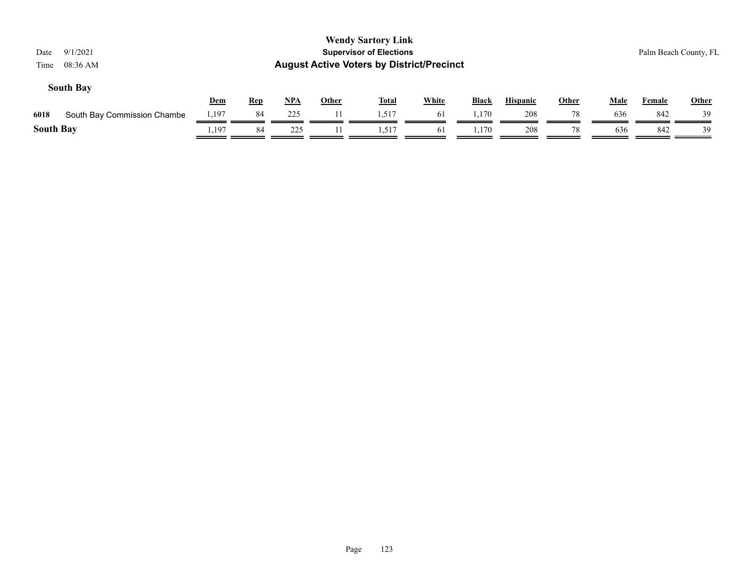| 9/1/2021<br>Date<br>08:36 AM<br>Time |            |            |       |              | <b>Wendy Sartory Link</b><br><b>Supervisor of Elections</b><br><b>August Active Voters by District/Precinct</b> |              |              |                 |              |      | Palm Beach County, FL |              |
|--------------------------------------|------------|------------|-------|--------------|-----------------------------------------------------------------------------------------------------------------|--------------|--------------|-----------------|--------------|------|-----------------------|--------------|
| <b>South Bay</b>                     | <b>Dem</b> | <b>Rep</b> | $NPA$ | <b>Other</b> | <u>Total</u>                                                                                                    | <b>White</b> | <b>Black</b> | <b>Hispanic</b> | <b>Other</b> | Male | Female                | <b>Other</b> |
| 6018<br>South Bay Commission Chambe  | .197       | 84         | 225   | 11           | 1,517                                                                                                           | 61           | 1.170        | 208             | 78           | 636  | 842                   | 39           |
| <b>South Bay</b>                     | ., 197     | 84         | 225   |              | 1.517                                                                                                           | 61           | 1.170        | 208             | 78           | 636  | 842                   | 39           |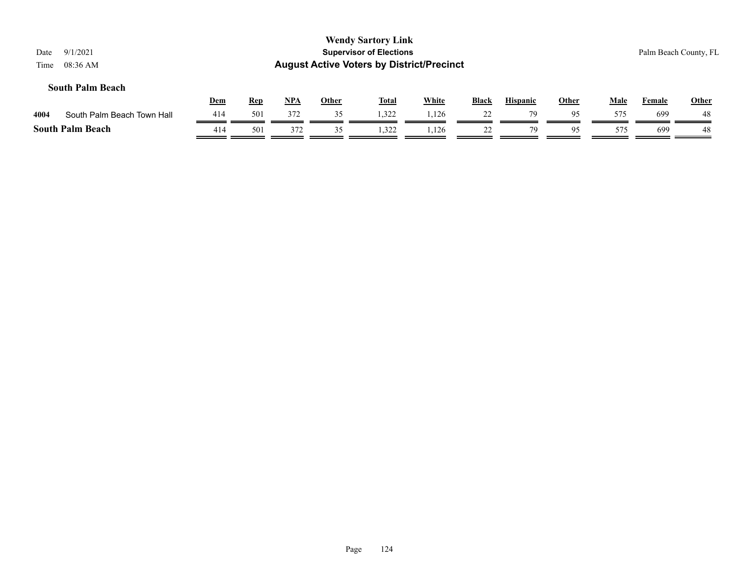| 9/1/2021<br>Date<br>$08:36$ AM<br>Time |     |            |       |              | <b>Wendy Sartory Link</b><br><b>Supervisor of Elections</b><br><b>August Active Voters by District/Precinct</b> |       |              |                 |              |             |        | Palm Beach County, FL |
|----------------------------------------|-----|------------|-------|--------------|-----------------------------------------------------------------------------------------------------------------|-------|--------------|-----------------|--------------|-------------|--------|-----------------------|
| <b>South Palm Beach</b>                | Dem | <b>Rep</b> | $NPA$ | <b>Other</b> | <b>Total</b>                                                                                                    | White | <b>Black</b> | <b>Hispanic</b> | <b>Other</b> | <b>Male</b> | Female | <b>Other</b>          |
| 4004<br>South Palm Beach Town Hall     | 414 | 501        | 372   | 35           | 1,322                                                                                                           | 1,126 | 22           | 79              | 95           | 575         | 699    | 48                    |
| <b>South Palm Beach</b>                | 414 | 501        | 372   | 35           | 1.322                                                                                                           | 1,126 | 22           | 79              | 95           | 575         | 699    | 48                    |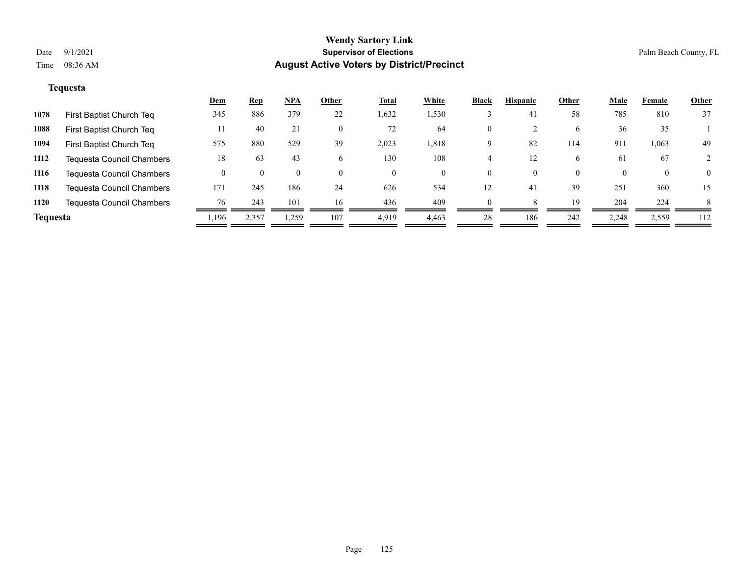# **Tequesta**

|                 |                                  | <u>Dem</u> | <u>Rep</u> | NPA      | Other    | <u>Total</u> | White | <b>Black</b> | <b>Hispanic</b> | Other    | <u>Male</u> | Female | <b>Other</b> |
|-----------------|----------------------------------|------------|------------|----------|----------|--------------|-------|--------------|-----------------|----------|-------------|--------|--------------|
| 1078            | First Baptist Church Teq         | 345        | 886        | 379      | 22       | 1,632        | 1,530 |              | 41              | 58       | 785         | 810    | 37           |
| 1088            | First Baptist Church Teq         |            | 40         | 21       | 0        | 72           | 64    | $\mathbf{0}$ |                 | 6        | 36          | 35     |              |
| 1094            | First Baptist Church Teq         | 575        | 880        | 529      | 39       | 2,023        | 1,818 | 9            | 82              | 114      | 911         | 1,063  | 49           |
| 1112            | <b>Tequesta Council Chambers</b> | 18         | 63         | 43       |          | 130          | 108   |              |                 | 6.       | 61          | 67     |              |
| 1116            | <b>Tequesta Council Chambers</b> |            |            | $\Omega$ | $\Omega$ | $\theta$     | 0     | $\theta$     | $\theta$        | $\Omega$ |             | 0      | $\theta$     |
| 1118            | <b>Tequesta Council Chambers</b> | 171        | 245        | 186      | 24       | 626          | 534   | 12           | 41              | 39       | 251         | 360    | 15           |
| 1120            | <b>Tequesta Council Chambers</b> | 76         | 243        | 101      | 16       | 436          | 409   | $\theta$     |                 | 19       | 204         | 224    |              |
| <b>Tequesta</b> |                                  | 1.196      | 2,357      | 1,259    | 107      | 4,919        | 4,463 | 28           | 186             | 242      | 2,248       | 2,559  | 112          |
|                 |                                  |            |            |          |          |              |       |              |                 |          |             |        |              |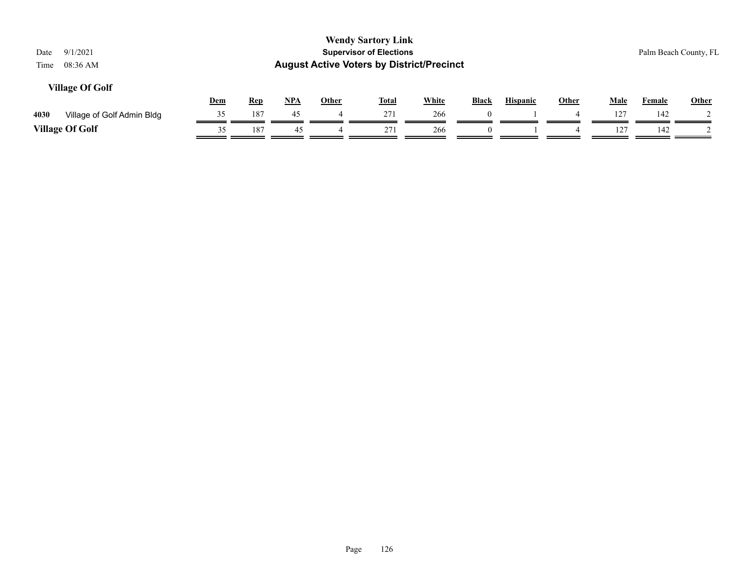| 9/1/2021<br>Date<br>08:36 AM<br>Time |            |            |            |              | <b>Wendy Sartory Link</b><br><b>Supervisor of Elections</b><br><b>August Active Voters by District/Precinct</b> |              |              |                 |              |             |               | Palm Beach County, FL |
|--------------------------------------|------------|------------|------------|--------------|-----------------------------------------------------------------------------------------------------------------|--------------|--------------|-----------------|--------------|-------------|---------------|-----------------------|
| <b>Village Of Golf</b>               | <u>Dem</u> | <u>Rep</u> | <u>NPA</u> | <u>Other</u> | <u>Total</u>                                                                                                    | <b>White</b> | <b>Black</b> | <b>Hispanic</b> | <u>Other</u> | <b>Male</b> | <b>Female</b> | Other                 |
| 4030<br>Village of Golf Admin Bldg   | 35         | 187        | 45         | 4            | 271                                                                                                             | 266          | $\Omega$     |                 |              | 127         | 142           |                       |
| <b>Village Of Golf</b>               | 35         | 187        | 45         |              | 271                                                                                                             | 266          |              |                 |              | 127         | 142           |                       |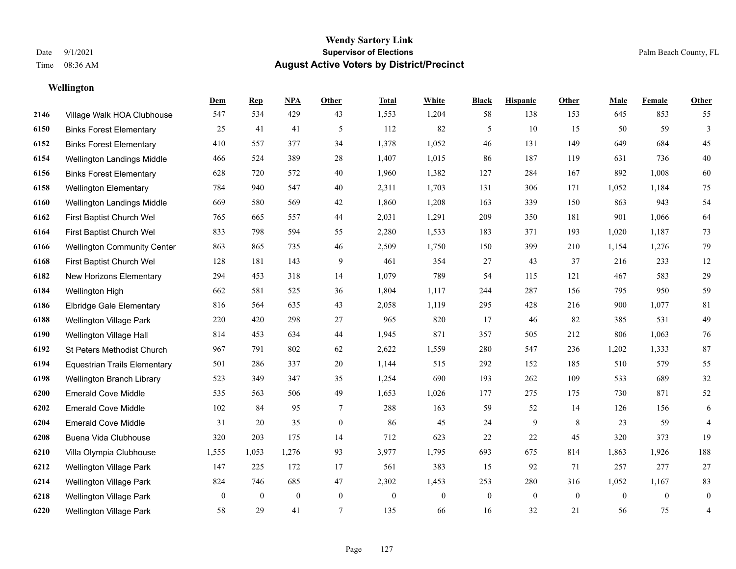**Wellington**

#### **Wendy Sartory Link** Date 9/1/2021 **Supervisor of Elections** Palm Beach County, FL Time 08:36 AM **August Active Voters by District/Precinct**

# **Dem Rep NPA Other Total White Black Hispanic Other Male Female Other** Village Walk HOA Clubhouse 547 534 429 43 1,553 1,204 58 138 153 645 853 55 Binks Forest Elementary 25 41 41 5 112 82 5 10 15 50 59 3 Binks Forest Elementary 410 557 377 34 1,378 1,052 46 131 149 649 684 45 Wellington Landings Middle 466 524 389 28 1,407 1,015 86 187 119 631 736 40 Binks Forest Elementary 628 720 572 40 1,960 1,382 127 284 167 892 1,008 60 Wellington Elementary 784 940 547 40 2,311 1,703 131 306 171 1,052 1,184 75 Wellington Landings Middle 669 580 569 42 1,860 1,208 163 339 150 863 943 54 First Baptist Church Wel 765 665 557 44 2,031 1,291 209 350 181 901 1,066 64 First Baptist Church Wel 833 798 594 55 2,280 1,533 183 371 193 1,020 1,187 73 Wellington Community Center 863 865 735 46 2,509 1,750 150 399 210 1,154 1,276 79 First Baptist Church Wel 128 181 143 9 461 354 27 43 37 216 233 12 New Horizons Elementary 294 453 318 14 1,079 789 54 115 121 467 583 29 Wellington High 662 581 525 36 1,804 1,117 244 287 156 795 950 59 Elbridge Gale Elementary 816 564 635 43 2,058 1,119 295 428 216 900 1,077 81 Wellington Village Park 220 420 298 27 965 820 17 46 82 385 531 49 Wellington Village Hall 814 453 634 44 1,945 871 357 505 212 806 1,063 76 St Peters Methodist Church 967 791 802 62 2,622 1,559 280 547 236 1,202 1,333 87 Equestrian Trails Elementary 501 286 337 20 1,144 515 292 152 185 510 579 55 Wellington Branch Library 523 349 347 35 1,254 690 193 262 109 533 689 32 Emerald Cove Middle 535 563 506 49 1,653 1,026 177 275 175 730 871 52 Emerald Cove Middle 102 84 95 7 288 163 59 52 14 126 156 6 Emerald Cove Middle 31 20 35 0 86 45 24 9 8 23 59 4 Buena Vida Clubhouse 320 203 175 14 712 623 22 22 45 320 373 19 Villa Olympia Clubhouse 1,555 1,053 1,276 93 3,977 1,795 693 675 814 1,863 1,926 188 Wellington Village Park 147 225 172 17 561 383 15 92 71 257 277 27 Wellington Village Park 824 746 685 47 2,302 1,453 253 280 316 1,052 1,167 83 Wellington Village Park 0 0 0 0 0 0 0 0 0 0 0 0

Wellington Village Park 58 29 41 7 135 66 16 32 21 56 75 4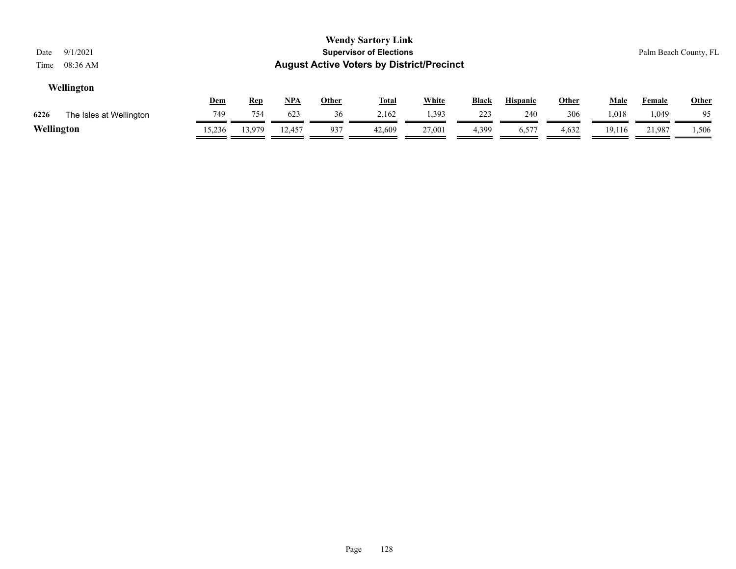| Date<br>Time | 9/1/2021<br>08:36 AM    |            |            |            |              | <b>Wendy Sartory Link</b><br><b>Supervisor of Elections</b><br><b>August Active Voters by District/Precinct</b> |              |              |                 |              |             |               | Palm Beach County, FL |
|--------------|-------------------------|------------|------------|------------|--------------|-----------------------------------------------------------------------------------------------------------------|--------------|--------------|-----------------|--------------|-------------|---------------|-----------------------|
|              | Wellington              | <u>Dem</u> | <u>Rep</u> | <u>NPA</u> | <u>Other</u> | <u>Total</u>                                                                                                    | <b>White</b> | <b>Black</b> | <b>Hispanic</b> | <u>Other</u> | <u>Male</u> | <b>Female</b> | <b>Other</b>          |
| 6226         | The Isles at Wellington | 749        | 754        | 623        | 36           | 2,162                                                                                                           | 1,393        | 223          | 240             | 306          | 1,018       | 1,049         | 95                    |
| Wellington   |                         | 15,236     | 13.979     | 12.457     | 937          | 42,609                                                                                                          | 27,001       | 4,399        | 6,577           | 4,632        | 19,116      | 21.987        | 1,506                 |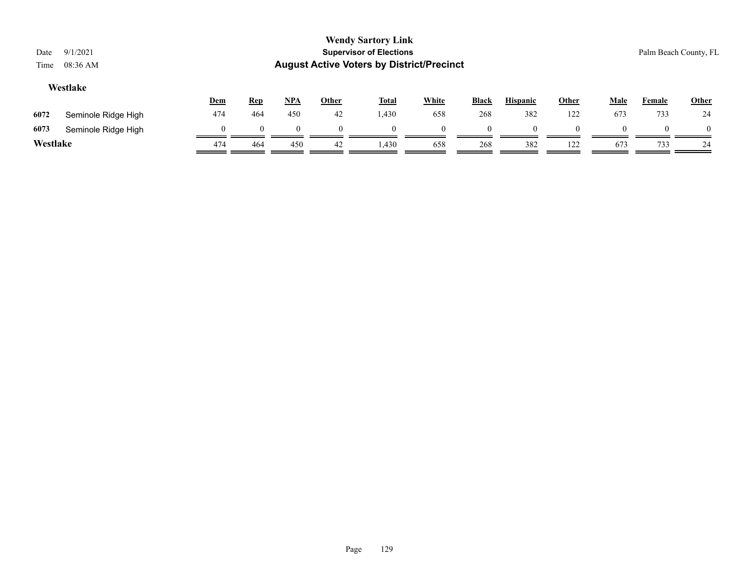| Date<br>Time | 9/1/2021<br>08:36 AM |                    |            |            |              | <b>Wendy Sartory Link</b><br><b>Supervisor of Elections</b><br><b>August Active Voters by District/Precinct</b> |          |              |                 |              |             |               | Palm Beach County, FL |
|--------------|----------------------|--------------------|------------|------------|--------------|-----------------------------------------------------------------------------------------------------------------|----------|--------------|-----------------|--------------|-------------|---------------|-----------------------|
|              | Westlake             | Dem                | <b>Rep</b> | <u>NPA</u> | <b>Other</b> | <u>Total</u>                                                                                                    | White    | <b>Black</b> | <b>Hispanic</b> | <b>Other</b> | <b>Male</b> | <b>Female</b> | <b>Other</b>          |
| 6072         | Seminole Ridge High  | 474                | 464        | 450        | 42           | 1,430                                                                                                           | 658      | 268          | 382             | 122          | 673         | 733           | 24                    |
| 6073         | Seminole Ridge High  | $\left( 0 \right)$ | $\theta$   |            |              | $\Omega$                                                                                                        | $\Omega$ | $\mathbf{I}$ | $\Omega$        | 0            |             |               | $\Omega$              |
| Westlake     |                      | 474                | 464        | 450        | 42           | 1,430                                                                                                           | 658      | 268          | 382             | 122          | 673         | 733           | 24                    |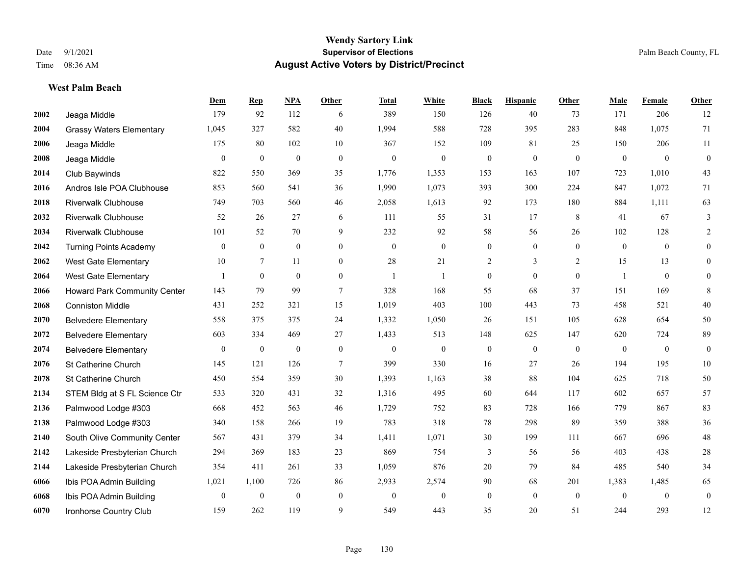**West Palm Beach**

#### **Wendy Sartory Link** Date 9/1/2021 **Supervisor of Elections** Palm Beach County, FL Time 08:36 AM **August Active Voters by District/Precinct**

# **Dem Rep NPA Other Total White Black Hispanic Other Male Female Other** Jeaga Middle 179 92 112 6 389 150 126 40 73 171 206 12 Grassy Waters Elementary 1,045 327 582 40 1,994 588 728 395 283 848 1,075 71 Jeaga Middle 175 80 102 10 367 152 109 81 25 150 206 11 Jeaga Middle 0 0 0 0 0 0 0 0 0 0 0 0 Club Baywinds 822 550 369 35 1,776 1,353 153 163 107 723 1,010 43 Andros Isle POA Clubhouse 853 560 541 36 1,990 1,073 393 300 224 847 1,072 71 Riverwalk Clubhouse 749 703 560 46 2,058 1,613 92 173 180 884 1,111 63 Riverwalk Clubhouse 52 26 27 6 111 55 31 17 8 41 67 3 Riverwalk Clubhouse 101 52 70 9 232 92 58 56 26 102 128 2 Turning Points Academy 0 0 0 0 0 0 0 0 0 0 0 0 West Gate Elementary 10 7 11 0 28 21 2 3 2 15 13 0 West Gate Elementary 1 0 0 0 1 1 0 0 0 1 0 0 Howard Park Community Center 143 79 99 7 328 168 55 68 37 151 169 8 Conniston Middle 431 252 321 15 1,019 403 100 443 73 458 521 40 Belvedere Elementary 558 375 375 24 1,332 1,050 26 151 105 628 654 50 Belvedere Elementary 603 334 469 27 1,433 513 148 625 147 620 724 89 Belvedere Elementary 0 0 0 0 0 0 0 0 0 0 0 0 St Catherine Church 145 121 126 7 399 330 16 27 26 194 195 10 St Catherine Church 450 554 359 30 1,393 1,163 38 88 104 625 718 50 STEM Bldg at S FL Science Ctr 533 320 431 32 1,316 495 60 644 117 602 657 57 Palmwood Lodge #303 668 452 563 46 1,729 752 83 728 166 779 867 83 Palmwood Lodge #303 340 158 266 19 783 318 78 298 89 359 388 36 South Olive Community Center 567 431 379 34 1,411 1,071 30 199 111 667 696 48 Lakeside Presbyterian Church 294 369 183 23 869 754 3 56 56 403 438 28 Lakeside Presbyterian Church 354 411 261 33 1,059 876 20 79 84 485 540 34 Ibis POA Admin Building 1,021 1,100 726 86 2,933 2,574 90 68 201 1,383 1,485 65 Ibis POA Admin Building 0 0 0 0 0 0 0 0 0 0 0 0 Ironhorse Country Club 159 262 119 9 549 443 35 20 51 244 293 12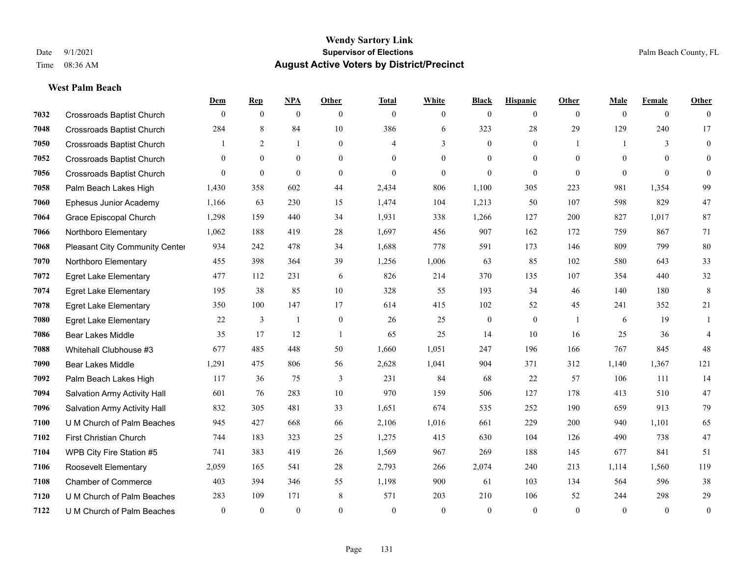#### **West Palm Beach**

|      |                                  | Dem          | <b>Rep</b>       | NPA          | <b>Other</b>   | <b>Total</b> | <b>White</b>   | <b>Black</b>     | <b>Hispanic</b> | Other          | <b>Male</b>    | <b>Female</b>  | <b>Other</b>     |
|------|----------------------------------|--------------|------------------|--------------|----------------|--------------|----------------|------------------|-----------------|----------------|----------------|----------------|------------------|
| 7032 | <b>Crossroads Baptist Church</b> | $\mathbf{0}$ | $\mathbf{0}$     | $\mathbf{0}$ | $\theta$       | $\theta$     | $\overline{0}$ | $\mathbf{0}$     | $\overline{0}$  | $\theta$       | $\theta$       | $\overline{0}$ | $\theta$         |
| 7048 | <b>Crossroads Baptist Church</b> | 284          | 8                | 84           | 10             | 386          | 6              | 323              | 28              | 29             | 129            | 240            | 17               |
| 7050 | <b>Crossroads Baptist Church</b> |              | 2                | $\mathbf{1}$ | $\overline{0}$ | 4            | 3              | $\mathbf{0}$     | $\mathbf{0}$    | $\overline{1}$ | $\mathbf{1}$   | 3              | $\mathbf{0}$     |
| 7052 | <b>Crossroads Baptist Church</b> | $\mathbf{0}$ | $\mathbf{0}$     | $\mathbf{0}$ | $\overline{0}$ | $\theta$     | $\overline{0}$ | $\mathbf{0}$     | $\mathbf{0}$    | $\mathbf{0}$   | $\overline{0}$ | $\theta$       | $\Omega$         |
| 7056 | <b>Crossroads Baptist Church</b> | $\theta$     | $\boldsymbol{0}$ | $\theta$     | $\Omega$       | $\theta$     | $\overline{0}$ | $\mathbf{0}$     | $\overline{0}$  | $\theta$       | $\theta$       | $\Omega$       | $\mathbf{0}$     |
| 7058 | Palm Beach Lakes High            | 1,430        | 358              | 602          | 44             | 2,434        | 806            | 1,100            | 305             | 223            | 981            | 1,354          | 99               |
| 7060 | Ephesus Junior Academy           | 1,166        | 63               | 230          | 15             | 1,474        | 104            | 1,213            | 50              | 107            | 598            | 829            | 47               |
| 7064 | <b>Grace Episcopal Church</b>    | 1,298        | 159              | 440          | 34             | 1,931        | 338            | 1,266            | 127             | 200            | 827            | 1.017          | 87               |
| 7066 | Northboro Elementary             | 1,062        | 188              | 419          | 28             | 1,697        | 456            | 907              | 162             | 172            | 759            | 867            | 71               |
| 7068 | Pleasant City Community Center   | 934          | 242              | 478          | 34             | 1,688        | 778            | 591              | 173             | 146            | 809            | 799            | 80               |
| 7070 | Northboro Elementary             | 455          | 398              | 364          | 39             | 1,256        | 1,006          | 63               | 85              | 102            | 580            | 643            | 33               |
| 7072 | <b>Egret Lake Elementary</b>     | 477          | 112              | 231          | 6              | 826          | 214            | 370              | 135             | 107            | 354            | 440            | 32               |
| 7074 | <b>Egret Lake Elementary</b>     | 195          | 38               | 85           | 10             | 328          | 55             | 193              | 34              | 46             | 140            | 180            | $\,8\,$          |
| 7078 | <b>Egret Lake Elementary</b>     | 350          | 100              | 147          | 17             | 614          | 415            | 102              | 52              | 45             | 241            | 352            | $21\,$           |
| 7080 | <b>Egret Lake Elementary</b>     | 22           | 3                | 1            | $\overline{0}$ | 26           | 25             | $\boldsymbol{0}$ | $\overline{0}$  |                | 6              | 19             | 1                |
| 7086 | <b>Bear Lakes Middle</b>         | 35           | 17               | 12           | $\overline{1}$ | 65           | 25             | 14               | 10              | 16             | 25             | 36             | $\overline{4}$   |
| 7088 | Whitehall Clubhouse #3           | 677          | 485              | 448          | 50             | 1,660        | 1,051          | 247              | 196             | 166            | 767            | 845            | 48               |
| 7090 | <b>Bear Lakes Middle</b>         | 1,291        | 475              | 806          | 56             | 2,628        | 1,041          | 904              | 371             | 312            | 1,140          | 1,367          | 121              |
| 7092 | Palm Beach Lakes High            | 117          | 36               | 75           | 3              | 231          | 84             | 68               | 22              | 57             | 106            | 111            | 14               |
| 7094 | Salvation Army Activity Hall     | 601          | 76               | 283          | 10             | 970          | 159            | 506              | 127             | 178            | 413            | 510            | 47               |
| 7096 | Salvation Army Activity Hall     | 832          | 305              | 481          | 33             | 1,651        | 674            | 535              | 252             | 190            | 659            | 913            | 79               |
| 7100 | U M Church of Palm Beaches       | 945          | 427              | 668          | 66             | 2,106        | 1,016          | 661              | 229             | 200            | 940            | 1,101          | 65               |
| 7102 | First Christian Church           | 744          | 183              | 323          | 25             | 1,275        | 415            | 630              | 104             | 126            | 490            | 738            | 47               |
| 7104 | WPB City Fire Station #5         | 741          | 383              | 419          | 26             | 1,569        | 967            | 269              | 188             | 145            | 677            | 841            | 51               |
| 7106 | Roosevelt Elementary             | 2,059        | 165              | 541          | 28             | 2,793        | 266            | 2,074            | 240             | 213            | 1,114          | 1.560          | 119              |
| 7108 | <b>Chamber of Commerce</b>       | 403          | 394              | 346          | 55             | 1,198        | 900            | 61               | 103             | 134            | 564            | 596            | 38               |
| 7120 | U M Church of Palm Beaches       | 283          | 109              | 171          | 8              | 571          | 203            | 210              | 106             | 52             | 244            | 298            | 29               |
| 7122 | U M Church of Palm Beaches       | $\mathbf{0}$ | $\theta$         | $\mathbf{0}$ | $\Omega$       | $\theta$     | $\Omega$       | $\theta$         | $\theta$        | $\theta$       | $\theta$       | $\mathbf{0}$   | $\boldsymbol{0}$ |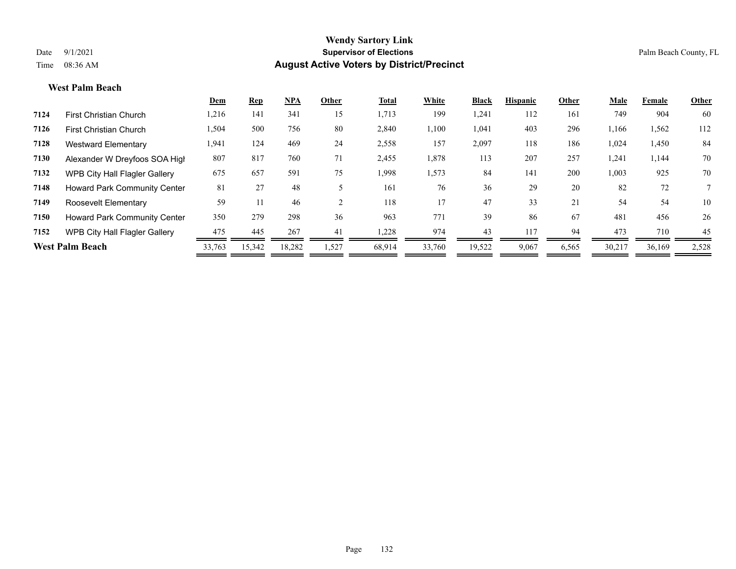#### **West Palm Beach**

|      |                                     | Dem    | <b>Rep</b> | <b>NPA</b> | Other | Total  | White  | <b>Black</b> | <b>Hispanic</b> | Other | Male   | Female | Other |
|------|-------------------------------------|--------|------------|------------|-------|--------|--------|--------------|-----------------|-------|--------|--------|-------|
| 7124 | <b>First Christian Church</b>       | 1,216  | 141        | 341        | 15    | 1,713  | 199    | 1,241        | 112             | 161   | 749    | 904    | 60    |
| 7126 | <b>First Christian Church</b>       | 1,504  | 500        | 756        | 80    | 2,840  | 1,100  | 1,041        | 403             | 296   | 1,166  | 1,562  | 112   |
| 7128 | <b>Westward Elementary</b>          | 1,941  | 124        | 469        | 24    | 2,558  | 157    | 2,097        | 118             | 186   | 1,024  | 1,450  | 84    |
| 7130 | Alexander W Dreyfoos SOA High       | 807    | 817        | 760        | 71    | 2,455  | 1,878  | 113          | 207             | 257   | 1,241  | 1,144  | 70    |
| 7132 | WPB City Hall Flagler Gallery       | 675    | 657        | 591        | 75    | 1,998  | 1,573  | 84           | 141             | 200   | 1,003  | 925    | 70    |
| 7148 | <b>Howard Park Community Center</b> | 81     | 27         | 48         |       | 161    | 76     | 36           | 29              | 20    | 82     | 72     |       |
| 7149 | Roosevelt Elementary                | 59     |            | 46         |       | 118    | 17     | 47           | 33              | 21    | 54     | 54     | 10    |
| 7150 | Howard Park Community Center        | 350    | 279        | 298        | 36    | 963    | 771    | 39           | 86              | 67    | 481    | 456    | 26    |
| 7152 | WPB City Hall Flagler Gallery       | 475    | 445        | 267        | 41    | 1,228  | 974    | 43           | 117             | 94    | 473    | 710    | 45    |
|      | <b>West Palm Beach</b>              | 33,763 | 15,342     | 18,282     | ,527  | 68,914 | 33,760 | 19,522       | 9,067           | 6,565 | 30,217 | 36,169 | 2,528 |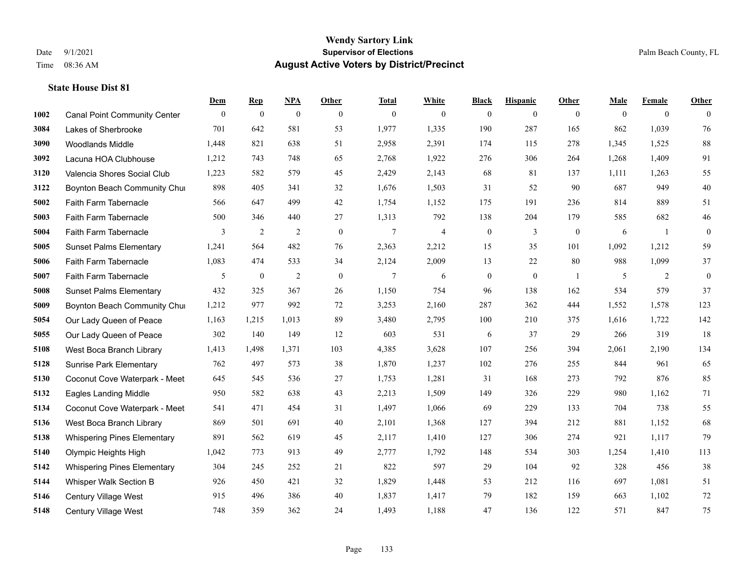|      |                                     | Dem          | <b>Rep</b>       | NPA              | <b>Other</b> | <b>Total</b> | <b>White</b>   | <b>Black</b>     | <b>Hispanic</b>  | <b>Other</b>     | <b>Male</b> | <b>Female</b>  | <b>Other</b> |
|------|-------------------------------------|--------------|------------------|------------------|--------------|--------------|----------------|------------------|------------------|------------------|-------------|----------------|--------------|
| 1002 | <b>Canal Point Community Center</b> | $\mathbf{0}$ | $\boldsymbol{0}$ | $\boldsymbol{0}$ | $\theta$     | $\mathbf{0}$ | $\overline{0}$ | $\overline{0}$   | $\overline{0}$   | $\overline{0}$   | $\theta$    | $\overline{0}$ | $\Omega$     |
| 3084 | Lakes of Sherbrooke                 | 701          | 642              | 581              | 53           | 1,977        | 1,335          | 190              | 287              | 165              | 862         | 1,039          | 76           |
| 3090 | <b>Woodlands Middle</b>             | 1,448        | 821              | 638              | 51           | 2,958        | 2,391          | 174              | 115              | 278              | 1,345       | 1,525          | $88\,$       |
| 3092 | Lacuna HOA Clubhouse                | 1,212        | 743              | 748              | 65           | 2,768        | 1,922          | 276              | 306              | 264              | 1,268       | 1,409          | 91           |
| 3120 | Valencia Shores Social Club         | 1,223        | 582              | 579              | 45           | 2,429        | 2,143          | 68               | 81               | 137              | 1,111       | 1,263          | 55           |
| 3122 | Boynton Beach Community Chur        | 898          | 405              | 341              | 32           | 1,676        | 1,503          | 31               | 52               | 90               | 687         | 949            | $40\,$       |
| 5002 | Faith Farm Tabernacle               | 566          | 647              | 499              | 42           | 1,754        | 1,152          | 175              | 191              | 236              | 814         | 889            | 51           |
| 5003 | Faith Farm Tabernacle               | 500          | 346              | 440              | 27           | 1,313        | 792            | 138              | 204              | 179              | 585         | 682            | 46           |
| 5004 | Faith Farm Tabernacle               | 3            | $\sqrt{2}$       | $\overline{c}$   | $\mathbf{0}$ | $\tau$       | $\overline{4}$ | $\boldsymbol{0}$ | 3                | $\boldsymbol{0}$ | 6           | -1             | $\mathbf{0}$ |
| 5005 | <b>Sunset Palms Elementary</b>      | 1,241        | 564              | 482              | 76           | 2,363        | 2,212          | 15               | 35               | 101              | 1,092       | 1,212          | 59           |
| 5006 | Faith Farm Tabernacle               | 1,083        | 474              | 533              | 34           | 2,124        | 2,009          | 13               | 22               | 80               | 988         | 1,099          | 37           |
| 5007 | Faith Farm Tabernacle               | 5            | $\boldsymbol{0}$ | $\overline{2}$   | $\mathbf{0}$ | $\tau$       | 6              | $\boldsymbol{0}$ | $\boldsymbol{0}$ | -1               | 5           | 2              | $\mathbf{0}$ |
| 5008 | <b>Sunset Palms Elementary</b>      | 432          | 325              | 367              | 26           | 1,150        | 754            | 96               | 138              | 162              | 534         | 579            | 37           |
| 5009 | Boynton Beach Community Chur        | 1,212        | 977              | 992              | 72           | 3,253        | 2,160          | 287              | 362              | 444              | 1,552       | 1,578          | 123          |
| 5054 | Our Lady Queen of Peace             | 1,163        | 1,215            | 1,013            | 89           | 3,480        | 2,795          | 100              | 210              | 375              | 1,616       | 1,722          | 142          |
| 5055 | Our Lady Queen of Peace             | 302          | 140              | 149              | 12           | 603          | 531            | 6                | 37               | 29               | 266         | 319            | 18           |
| 5108 | West Boca Branch Library            | 1,413        | 1,498            | 1,371            | 103          | 4,385        | 3,628          | 107              | 256              | 394              | 2,061       | 2,190          | 134          |
| 5128 | <b>Sunrise Park Elementary</b>      | 762          | 497              | 573              | 38           | 1,870        | 1,237          | 102              | 276              | 255              | 844         | 961            | 65           |
| 5130 | Coconut Cove Waterpark - Meet       | 645          | 545              | 536              | 27           | 1,753        | 1,281          | 31               | 168              | 273              | 792         | 876            | 85           |
| 5132 | Eagles Landing Middle               | 950          | 582              | 638              | 43           | 2,213        | 1,509          | 149              | 326              | 229              | 980         | 1,162          | $71\,$       |
| 5134 | Coconut Cove Waterpark - Meet       | 541          | 471              | 454              | 31           | 1,497        | 1,066          | 69               | 229              | 133              | 704         | 738            | 55           |
| 5136 | West Boca Branch Library            | 869          | 501              | 691              | 40           | 2,101        | 1,368          | 127              | 394              | 212              | 881         | 1,152          | 68           |
| 5138 | <b>Whispering Pines Elementary</b>  | 891          | 562              | 619              | 45           | 2,117        | 1,410          | 127              | 306              | 274              | 921         | 1,117          | 79           |
| 5140 | Olympic Heights High                | 1,042        | 773              | 913              | 49           | 2,777        | 1,792          | 148              | 534              | 303              | 1,254       | 1,410          | 113          |
| 5142 | <b>Whispering Pines Elementary</b>  | 304          | 245              | 252              | 21           | 822          | 597            | 29               | 104              | 92               | 328         | 456            | 38           |
| 5144 | Whisper Walk Section B              | 926          | 450              | 421              | 32           | 1,829        | 1,448          | 53               | 212              | 116              | 697         | 1,081          | 51           |
| 5146 | <b>Century Village West</b>         | 915          | 496              | 386              | 40           | 1,837        | 1,417          | 79               | 182              | 159              | 663         | 1,102          | $72\,$       |
| 5148 | <b>Century Village West</b>         | 748          | 359              | 362              | 24           | 1,493        | 1,188          | 47               | 136              | 122              | 571         | 847            | 75           |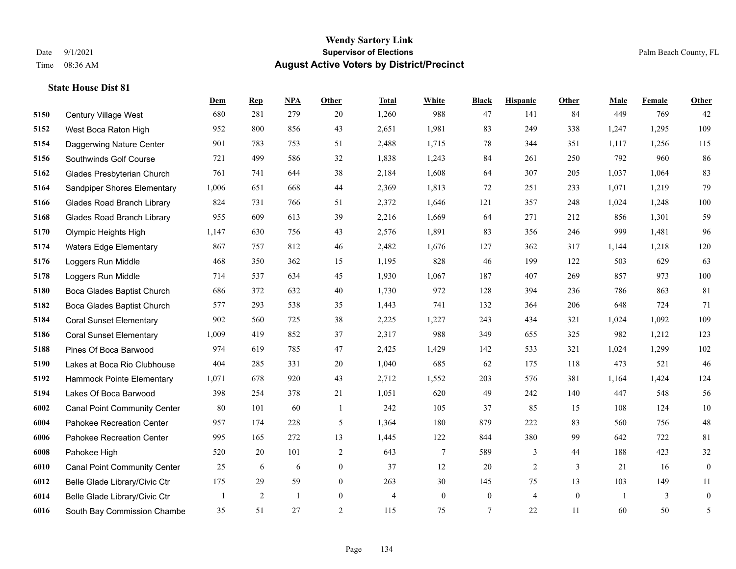|      |                                     | Dem          | <b>Rep</b> | NPA | <b>Other</b>   | <b>Total</b> | <b>White</b>   | <b>Black</b>     | <b>Hispanic</b> | Other        | <b>Male</b>    | Female | <b>Other</b>     |
|------|-------------------------------------|--------------|------------|-----|----------------|--------------|----------------|------------------|-----------------|--------------|----------------|--------|------------------|
| 5150 | Century Village West                | 680          | 281        | 279 | 20             | 1,260        | 988            | 47               | 141             | 84           | 449            | 769    | 42               |
| 5152 | West Boca Raton High                | 952          | 800        | 856 | 43             | 2,651        | 1,981          | 83               | 249             | 338          | 1,247          | 1,295  | 109              |
| 5154 | Daggerwing Nature Center            | 901          | 783        | 753 | 51             | 2,488        | 1,715          | 78               | 344             | 351          | 1,117          | 1,256  | 115              |
| 5156 | Southwinds Golf Course              | 721          | 499        | 586 | 32             | 1,838        | 1,243          | 84               | 261             | 250          | 792            | 960    | 86               |
| 5162 | Glades Presbyterian Church          | 761          | 741        | 644 | 38             | 2,184        | 1,608          | 64               | 307             | 205          | 1,037          | 1,064  | 83               |
| 5164 | Sandpiper Shores Elementary         | 1,006        | 651        | 668 | 44             | 2,369        | 1,813          | 72               | 251             | 233          | 1,071          | 1,219  | 79               |
| 5166 | <b>Glades Road Branch Library</b>   | 824          | 731        | 766 | 51             | 2,372        | 1,646          | 121              | 357             | 248          | 1,024          | 1,248  | 100              |
| 5168 | <b>Glades Road Branch Library</b>   | 955          | 609        | 613 | 39             | 2,216        | 1,669          | 64               | 271             | 212          | 856            | 1,301  | 59               |
| 5170 | Olympic Heights High                | 1,147        | 630        | 756 | 43             | 2,576        | 1,891          | 83               | 356             | 246          | 999            | 1,481  | 96               |
| 5174 | <b>Waters Edge Elementary</b>       | 867          | 757        | 812 | 46             | 2,482        | 1,676          | 127              | 362             | 317          | 1,144          | 1,218  | 120              |
| 5176 | Loggers Run Middle                  | 468          | 350        | 362 | 15             | 1,195        | 828            | 46               | 199             | 122          | 503            | 629    | 63               |
| 5178 | Loggers Run Middle                  | 714          | 537        | 634 | 45             | 1,930        | 1,067          | 187              | 407             | 269          | 857            | 973    | 100              |
| 5180 | Boca Glades Baptist Church          | 686          | 372        | 632 | 40             | 1,730        | 972            | 128              | 394             | 236          | 786            | 863    | 81               |
| 5182 | Boca Glades Baptist Church          | 577          | 293        | 538 | 35             | 1,443        | 741            | 132              | 364             | 206          | 648            | 724    | 71               |
| 5184 | <b>Coral Sunset Elementary</b>      | 902          | 560        | 725 | 38             | 2,225        | 1,227          | 243              | 434             | 321          | 1,024          | 1,092  | 109              |
| 5186 | <b>Coral Sunset Elementary</b>      | 1,009        | 419        | 852 | 37             | 2,317        | 988            | 349              | 655             | 325          | 982            | 1,212  | 123              |
| 5188 | Pines Of Boca Barwood               | 974          | 619        | 785 | 47             | 2,425        | 1,429          | 142              | 533             | 321          | 1,024          | 1,299  | 102              |
| 5190 | Lakes at Boca Rio Clubhouse         | 404          | 285        | 331 | 20             | 1,040        | 685            | 62               | 175             | 118          | 473            | 521    | 46               |
| 5192 | Hammock Pointe Elementary           | 1,071        | 678        | 920 | 43             | 2,712        | 1,552          | 203              | 576             | 381          | 1,164          | 1,424  | 124              |
| 5194 | Lakes Of Boca Barwood               | 398          | 254        | 378 | 21             | 1,051        | 620            | 49               | 242             | 140          | 447            | 548    | 56               |
| 6002 | <b>Canal Point Community Center</b> | 80           | 101        | 60  | $\overline{1}$ | 242          | 105            | 37               | 85              | 15           | 108            | 124    | 10               |
| 6004 | Pahokee Recreation Center           | 957          | 174        | 228 | 5              | 1,364        | 180            | 879              | 222             | 83           | 560            | 756    | $48\,$           |
| 6006 | Pahokee Recreation Center           | 995          | 165        | 272 | 13             | 1,445        | 122            | 844              | 380             | 99           | 642            | 722    | 81               |
| 6008 | Pahokee High                        | 520          | 20         | 101 | $\overline{c}$ | 643          | $\tau$         | 589              | 3               | 44           | 188            | 423    | $32\,$           |
| 6010 | <b>Canal Point Community Center</b> | 25           | 6          | 6   | $\overline{0}$ | 37           | 12             | 20               | 2               | 3            | 21             | 16     | $\boldsymbol{0}$ |
| 6012 | Belle Glade Library/Civic Ctr       | 175          | 29         | 59  | $\overline{0}$ | 263          | 30             | 145              | 75              | 13           | 103            | 149    | 11               |
| 6014 | Belle Glade Library/Civic Ctr       | $\mathbf{1}$ | 2          | 1   | $\overline{0}$ | 4            | $\overline{0}$ | $\boldsymbol{0}$ | $\overline{4}$  | $\mathbf{0}$ | $\overline{1}$ | 3      | $\boldsymbol{0}$ |
| 6016 | South Bay Commission Chambe         | 35           | 51         | 27  | $\overline{2}$ | 115          | 75             | $7\phantom{.0}$  | 22              | 11           | 60             | 50     | 5                |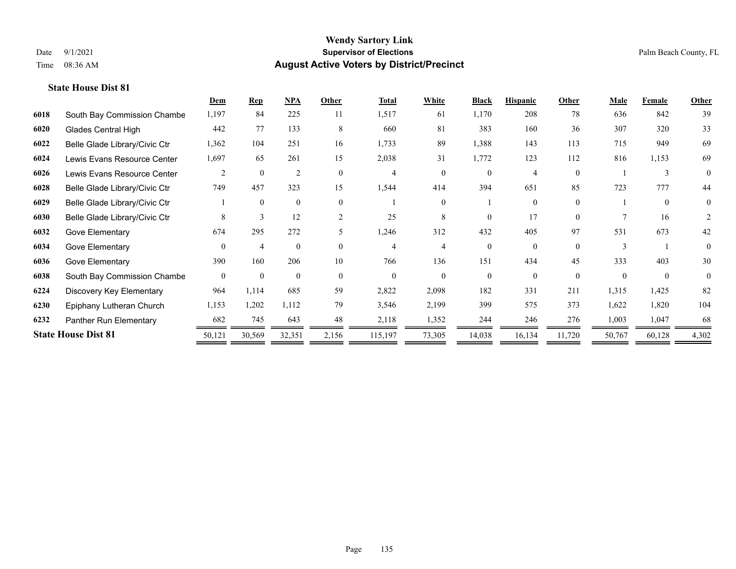|      |                               | Dem      | $\mathbf{Rep}$ | NPA            | Other    | <b>Total</b> | White    | <b>Black</b> | <b>Hispanic</b> | Other    | <b>Male</b> | Female       | Other          |
|------|-------------------------------|----------|----------------|----------------|----------|--------------|----------|--------------|-----------------|----------|-------------|--------------|----------------|
| 6018 | South Bay Commission Chambe   | 1,197    | 84             | 225            | 11       | 1,517        | 61       | 1,170        | 208             | 78       | 636         | 842          | 39             |
| 6020 | <b>Glades Central High</b>    | 442      | 77             | 133            | 8        | 660          | 81       | 383          | 160             | 36       | 307         | 320          | 33             |
| 6022 | Belle Glade Library/Civic Ctr | 1,362    | 104            | 251            | 16       | 1,733        | 89       | 1,388        | 143             | 113      | 715         | 949          | 69             |
| 6024 | Lewis Evans Resource Center   | 1,697    | 65             | 261            | 15       | 2,038        | 31       | 1,772        | 123             | 112      | 816         | 1,153        | 69             |
| 6026 | Lewis Evans Resource Center   | 2        | $\theta$       | $\overline{2}$ | $\Omega$ | 4            | $\Omega$ | $\Omega$     | 4               | $\Omega$ |             | $\mathbf{3}$ | $\theta$       |
| 6028 | Belle Glade Library/Civic Ctr | 749      | 457            | 323            | 15       | 1,544        | 414      | 394          | 651             | 85       | 723         | 777          | 44             |
| 6029 | Belle Glade Library/Civic Ctr |          | $\Omega$       | $\mathbf{0}$   | $\theta$ |              | $\Omega$ |              | 0               | $\theta$ |             | $\theta$     | $\overline{0}$ |
| 6030 | Belle Glade Library/Civic Ctr | 8        | 3              | 12             | 2        | 25           | 8        | 0            | 17              | $\Omega$ |             | 16           | 2              |
| 6032 | Gove Elementary               | 674      | 295            | 272            | 5        | 1,246        | 312      | 432          | 405             | 97       | 531         | 673          | 42             |
| 6034 | Gove Elementary               | $\Omega$ | $\overline{4}$ | $\theta$       | $\Omega$ | 4            | 4        | 0            | $\Omega$        | $\Omega$ |             |              | $\theta$       |
| 6036 | Gove Elementary               | 390      | 160            | 206            | 10       | 766          | 136      | 151          | 434             | 45       | 333         | 403          | 30             |
| 6038 | South Bay Commission Chambe   | $\theta$ | $\theta$       | $\theta$       | $\Omega$ | $\Omega$     | $\Omega$ | $\theta$     | $\theta$        | $\theta$ | $\Omega$    | $\theta$     | $\theta$       |
| 6224 | Discovery Key Elementary      | 964      | 1,114          | 685            | 59       | 2,822        | 2,098    | 182          | 331             | 211      | 1,315       | 1,425        | 82             |
| 6230 | Epiphany Lutheran Church      | 1,153    | 1,202          | 1,112          | 79       | 3,546        | 2,199    | 399          | 575             | 373      | 1,622       | 1,820        | 104            |
| 6232 | Panther Run Elementary        | 682      | 745            | 643            | 48       | 2,118        | 1,352    | 244          | 246             | 276      | 1,003       | 1,047        | 68             |
|      | <b>State House Dist 81</b>    | 50,121   | 30,569         | 32,351         | 2,156    | 115,197      | 73,305   | 14,038       | 16,134          | 11,720   | 50,767      | 60,128       | 4,302          |
|      |                               |          |                |                |          |              |          |              |                 |          |             |              |                |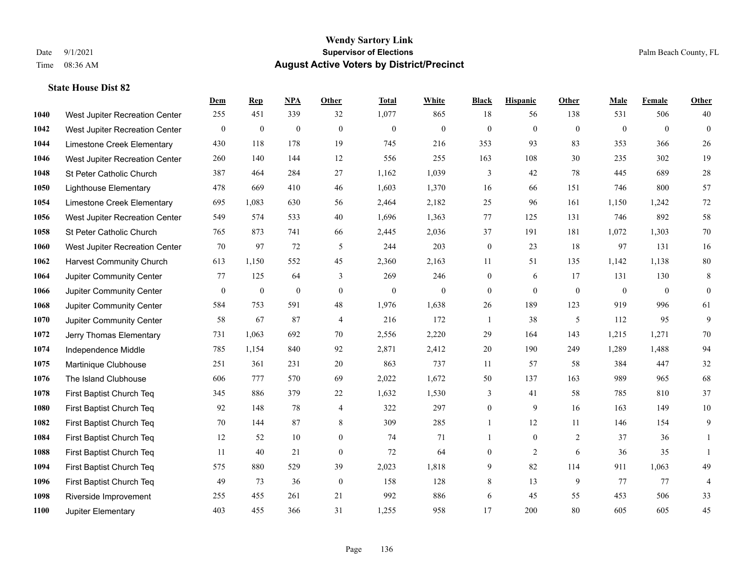|      |                                 | Dem              | <b>Rep</b>       | NPA          | <b>Other</b>   | <b>Total</b> | <b>White</b>     | <b>Black</b>   | <b>Hispanic</b> | Other        | <b>Male</b>  | <b>Female</b>  | <b>Other</b> |
|------|---------------------------------|------------------|------------------|--------------|----------------|--------------|------------------|----------------|-----------------|--------------|--------------|----------------|--------------|
| 1040 | West Jupiter Recreation Center  | 255              | 451              | 339          | 32             | 1,077        | 865              | 18             | 56              | 138          | 531          | 506            | 40           |
| 1042 | West Jupiter Recreation Center  | $\boldsymbol{0}$ | $\mathbf{0}$     | $\mathbf{0}$ | $\mathbf{0}$   | $\mathbf{0}$ | $\boldsymbol{0}$ | $\mathbf{0}$   | $\mathbf{0}$    | $\theta$     | $\mathbf{0}$ | $\theta$       | $\mathbf{0}$ |
| 1044 | Limestone Creek Elementary      | 430              | 118              | 178          | 19             | 745          | 216              | 353            | 93              | 83           | 353          | 366            | 26           |
| 1046 | West Jupiter Recreation Center  | 260              | 140              | 144          | 12             | 556          | 255              | 163            | 108             | 30           | 235          | 302            | 19           |
| 1048 | St Peter Catholic Church        | 387              | 464              | 284          | 27             | 1,162        | 1,039            | 3              | 42              | 78           | 445          | 689            | $28\,$       |
| 1050 | <b>Lighthouse Elementary</b>    | 478              | 669              | 410          | 46             | 1,603        | 1,370            | 16             | 66              | 151          | 746          | 800            | 57           |
| 1054 | Limestone Creek Elementary      | 695              | 1,083            | 630          | 56             | 2,464        | 2,182            | 25             | 96              | 161          | 1,150        | 1,242          | $72\,$       |
| 1056 | West Jupiter Recreation Center  | 549              | 574              | 533          | 40             | 1,696        | 1,363            | 77             | 125             | 131          | 746          | 892            | 58           |
| 1058 | St Peter Catholic Church        | 765              | 873              | 741          | 66             | 2,445        | 2,036            | 37             | 191             | 181          | 1,072        | 1,303          | $70\,$       |
| 1060 | West Jupiter Recreation Center  | 70               | 97               | 72           | 5              | 244          | 203              | $\mathbf{0}$   | 23              | 18           | 97           | 131            | 16           |
| 1062 | <b>Harvest Community Church</b> | 613              | 1,150            | 552          | 45             | 2,360        | 2,163            | 11             | 51              | 135          | 1,142        | 1,138          | $80\,$       |
| 1064 | Jupiter Community Center        | 77               | 125              | 64           | 3              | 269          | 246              | $\mathbf{0}$   | 6               | 17           | 131          | 130            | 8            |
| 1066 | Jupiter Community Center        | $\mathbf{0}$     | $\boldsymbol{0}$ | $\mathbf{0}$ | $\theta$       | $\mathbf{0}$ | $\overline{0}$   | $\mathbf{0}$   | $\mathbf{0}$    | $\mathbf{0}$ | $\mathbf{0}$ | $\overline{0}$ | $\mathbf{0}$ |
| 1068 | Jupiter Community Center        | 584              | 753              | 591          | 48             | 1,976        | 1,638            | $26\,$         | 189             | 123          | 919          | 996            | 61           |
| 1070 | Jupiter Community Center        | 58               | 67               | 87           | $\overline{4}$ | 216          | 172              | 1              | 38              | 5            | 112          | 95             | 9            |
| 1072 | Jerry Thomas Elementary         | 731              | 1,063            | 692          | 70             | 2,556        | 2,220            | 29             | 164             | 143          | 1,215        | 1,271          | 70           |
| 1074 | Independence Middle             | 785              | 1,154            | 840          | 92             | 2,871        | 2,412            | 20             | 190             | 249          | 1,289        | 1,488          | 94           |
| 1075 | Martinique Clubhouse            | 251              | 361              | 231          | 20             | 863          | 737              | 11             | 57              | 58           | 384          | 447            | $32\,$       |
| 1076 | The Island Clubhouse            | 606              | 777              | 570          | 69             | 2,022        | 1,672            | 50             | 137             | 163          | 989          | 965            | 68           |
| 1078 | First Baptist Church Teq        | 345              | 886              | 379          | 22             | 1,632        | 1,530            | 3              | 41              | 58           | 785          | 810            | 37           |
| 1080 | First Baptist Church Teq        | 92               | 148              | 78           | $\overline{4}$ | 322          | 297              | $\overline{0}$ | 9               | 16           | 163          | 149            | $10\,$       |
| 1082 | First Baptist Church Teq        | 70               | 144              | 87           | 8              | 309          | 285              | $\mathbf{1}$   | 12              | 11           | 146          | 154            | 9            |
| 1084 | First Baptist Church Teq        | 12               | 52               | 10           | $\mathbf{0}$   | 74           | 71               | 1              | $\overline{0}$  | 2            | 37           | 36             |              |
| 1088 | First Baptist Church Teq        | 11               | 40               | 21           | $\mathbf{0}$   | 72           | 64               | $\overline{0}$ | 2               | 6            | 36           | 35             |              |
| 1094 | First Baptist Church Teq        | 575              | 880              | 529          | 39             | 2,023        | 1,818            | 9              | $82\,$          | 114          | 911          | 1,063          | 49           |
| 1096 | First Baptist Church Teq        | 49               | 73               | 36           | $\mathbf{0}$   | 158          | 128              | 8              | 13              | 9            | 77           | 77             | 4            |
| 1098 | Riverside Improvement           | 255              | 455              | 261          | 21             | 992          | 886              | 6              | 45              | 55           | 453          | 506            | 33           |
| 1100 | Jupiter Elementary              | 403              | 455              | 366          | 31             | 1,255        | 958              | 17             | 200             | 80           | 605          | 605            | 45           |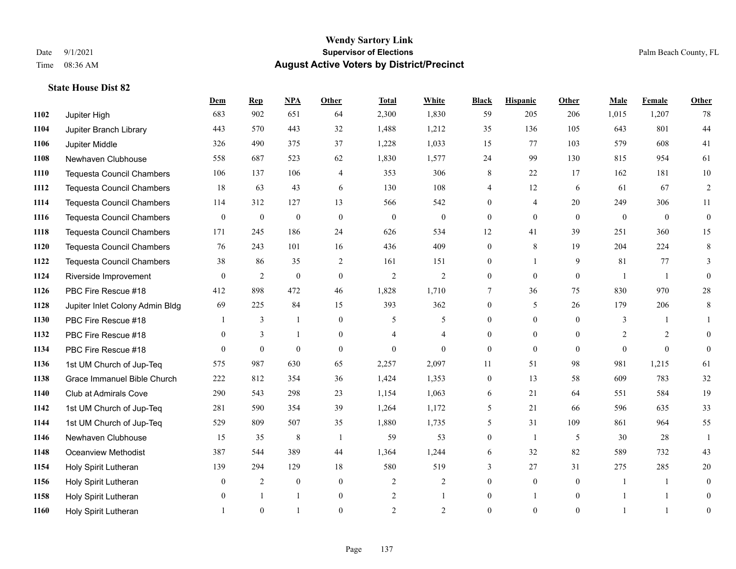|      |                                  | Dem            | <b>Rep</b>   | NPA          | <b>Other</b>   | <b>Total</b>   | <b>White</b>   | <b>Black</b>     | <b>Hispanic</b> | <b>Other</b>   | <b>Male</b>    | Female         | Other        |
|------|----------------------------------|----------------|--------------|--------------|----------------|----------------|----------------|------------------|-----------------|----------------|----------------|----------------|--------------|
| 1102 | Jupiter High                     | 683            | 902          | 651          | 64             | 2,300          | 1,830          | 59               | 205             | 206            | 1,015          | 1,207          | 78           |
| 1104 | Jupiter Branch Library           | 443            | 570          | 443          | 32             | 1,488          | 1,212          | 35               | 136             | 105            | 643            | 801            | $44\,$       |
| 1106 | Jupiter Middle                   | 326            | 490          | 375          | 37             | 1,228          | 1,033          | 15               | 77              | 103            | 579            | 608            | 41           |
| 1108 | Newhaven Clubhouse               | 558            | 687          | 523          | 62             | 1,830          | 1,577          | 24               | 99              | 130            | 815            | 954            | 61           |
| 1110 | <b>Tequesta Council Chambers</b> | 106            | 137          | 106          | $\overline{4}$ | 353            | 306            | 8                | 22              | 17             | 162            | 181            | $10\,$       |
| 1112 | <b>Tequesta Council Chambers</b> | 18             | 63           | 43           | 6              | 130            | 108            | 4                | 12              | 6              | 61             | 67             | 2            |
| 1114 | <b>Tequesta Council Chambers</b> | 114            | 312          | 127          | 13             | 566            | 542            | $\mathbf{0}$     | 4               | 20             | 249            | 306            | 11           |
| 1116 | <b>Tequesta Council Chambers</b> | $\overline{0}$ | $\bf{0}$     | $\mathbf{0}$ | $\theta$       | $\theta$       | $\overline{0}$ | $\mathbf{0}$     | $\mathbf{0}$    | $\theta$       | $\overline{0}$ | $\overline{0}$ | $\mathbf{0}$ |
| 1118 | <b>Tequesta Council Chambers</b> | 171            | 245          | 186          | 24             | 626            | 534            | 12               | 41              | 39             | 251            | 360            | 15           |
| 1120 | <b>Tequesta Council Chambers</b> | 76             | 243          | 101          | 16             | 436            | 409            | $\mathbf{0}$     | 8               | 19             | 204            | 224            | $\,8\,$      |
| 1122 | <b>Tequesta Council Chambers</b> | 38             | 86           | 35           | 2              | 161            | 151            | 0                | 1               | 9              | 81             | 77             | 3            |
| 1124 | Riverside Improvement            | $\theta$       | 2            | $\theta$     | $\overline{0}$ | $\overline{2}$ | $\overline{2}$ | $\mathbf{0}$     | $\theta$        | $\theta$       | $\mathbf{1}$   | $\overline{1}$ | $\theta$     |
| 1126 | PBC Fire Rescue #18              | 412            | 898          | 472          | 46             | 1,828          | 1,710          | 7                | 36              | 75             | 830            | 970            | $28\,$       |
| 1128 | Jupiter Inlet Colony Admin Bldg  | 69             | 225          | 84           | 15             | 393            | 362            | $\boldsymbol{0}$ | 5               | 26             | 179            | 206            | 8            |
| 1130 | PBC Fire Rescue #18              |                | 3            | 1            | $\theta$       | 5              | 5              | $\Omega$         | $\theta$        | $\theta$       | 3              |                | $\mathbf{1}$ |
| 1132 | PBC Fire Rescue #18              | $\mathbf{0}$   | 3            | $\mathbf{1}$ | $\overline{0}$ | 4              | $\overline{4}$ | $\overline{0}$   | $\mathbf{0}$    | $\theta$       | 2              | 2              | $\mathbf{0}$ |
| 1134 | PBC Fire Rescue #18              | $\Omega$       | $\theta$     | $\theta$     | $\theta$       | $\theta$       | $\theta$       | $\mathbf{0}$     | $\theta$        | $\Omega$       | $\Omega$       | $\Omega$       | $\theta$     |
| 1136 | 1st UM Church of Jup-Teq         | 575            | 987          | 630          | 65             | 2,257          | 2,097          | 11               | 51              | 98             | 981            | 1,215          | 61           |
| 1138 | Grace Immanuel Bible Church      | 222            | 812          | 354          | 36             | 1,424          | 1,353          | $\mathbf{0}$     | 13              | 58             | 609            | 783            | $32\,$       |
| 1140 | <b>Club at Admirals Cove</b>     | 290            | 543          | 298          | 23             | 1,154          | 1,063          | 6                | 21              | 64             | 551            | 584            | 19           |
| 1142 | 1st UM Church of Jup-Teq         | 281            | 590          | 354          | 39             | 1,264          | 1,172          | 5                | 21              | 66             | 596            | 635            | 33           |
| 1144 | 1st UM Church of Jup-Teq         | 529            | 809          | 507          | 35             | 1,880          | 1,735          | 5                | 31              | 109            | 861            | 964            | 55           |
| 1146 | Newhaven Clubhouse               | 15             | 35           | 8            | $\overline{1}$ | 59             | 53             | $\mathbf{0}$     | 1               | 5              | 30             | 28             | $\mathbf{1}$ |
| 1148 | <b>Oceanview Methodist</b>       | 387            | 544          | 389          | 44             | 1,364          | 1,244          | 6                | 32              | 82             | 589            | 732            | 43           |
| 1154 | Holy Spirit Lutheran             | 139            | 294          | 129          | 18             | 580            | 519            | 3                | 27              | 31             | 275            | 285            | 20           |
| 1156 | Holy Spirit Lutheran             | $\mathbf{0}$   | 2            | $\mathbf{0}$ | $\overline{0}$ | $\overline{2}$ | $\overline{c}$ | $\mathbf{0}$     | $\mathbf{0}$    | $\theta$       | $\mathbf{1}$   | 1              | $\mathbf{0}$ |
| 1158 | Holy Spirit Lutheran             | $\overline{0}$ | $\mathbf{1}$ | $\mathbf{1}$ | $\overline{0}$ | $\overline{2}$ | 1              | $\mathbf{0}$     | $\mathbf{1}$    | $\overline{0}$ |                | $\mathbf{1}$   | $\theta$     |
| 1160 | Holy Spirit Lutheran             |                | $\theta$     |              | $\Omega$       | $\overline{2}$ | $\overline{2}$ | $\theta$         | $\theta$        | $\Omega$       |                | $\overline{1}$ | $\mathbf{0}$ |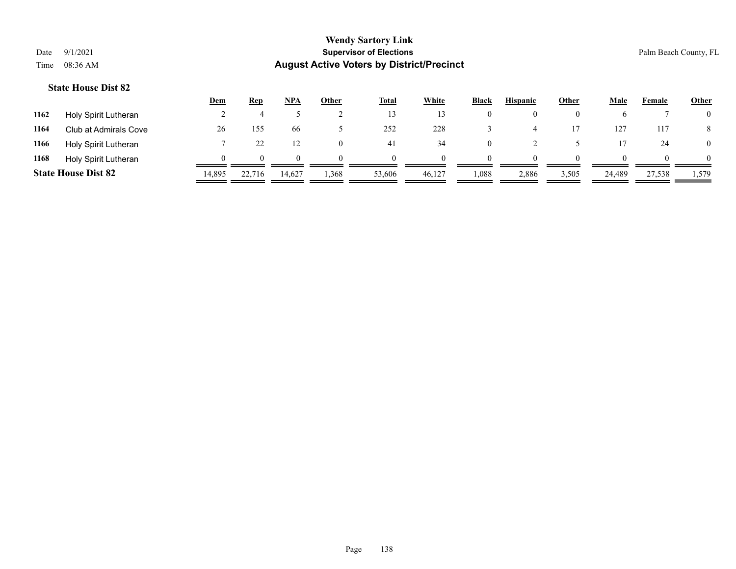|      |                            | <u>Dem</u> | <b>Rep</b>   | NPA    | <u>Other</u> | <b>Total</b> | White  | <b>Black</b> | <b>Hispanic</b> | <b>Other</b> | <b>Male</b> | Female | <b>Other</b>   |
|------|----------------------------|------------|--------------|--------|--------------|--------------|--------|--------------|-----------------|--------------|-------------|--------|----------------|
| 1162 | Holy Spirit Lutheran       |            |              |        |              | 13           |        | $\theta$     | $_{0}$          |              |             |        | $\overline{0}$ |
| 1164 | Club at Admirals Cove      | 26         | 155          | 66.    |              | 252          | 228    |              |                 |              | 127         | 117    | 8              |
| 1166 | Holy Spirit Lutheran       |            |              | 12     |              | 41           | 34     | $\theta$     |                 |              |             | 24     | $\overline{0}$ |
| 1168 | Holy Spirit Lutheran       |            | $\mathbf{U}$ | 0      |              | $\theta$     |        | $\theta$     | $\Omega$        |              |             |        | $\overline{0}$ |
|      | <b>State House Dist 82</b> | 14,895     | 22,716       | 14,627 | 1,368        | 53,606       | 46,127 | 0.088        | 2,886           | 3,505        | 24,489      | 27,538 | 1,579          |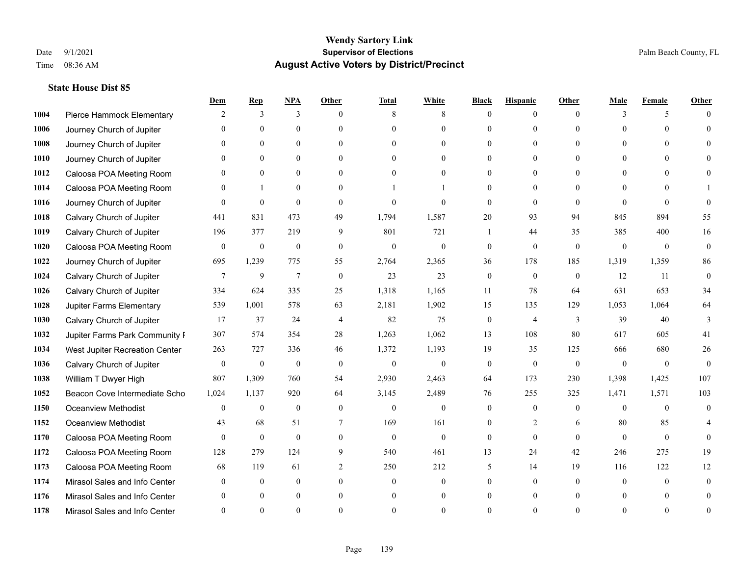|      |                                | Dem            | <b>Rep</b>       | $NPA$            | <b>Other</b>     | <b>Total</b>   | <b>White</b>   | <b>Black</b>     | <b>Hispanic</b>  | <b>Other</b> | <b>Male</b>  | <b>Female</b> | <b>Other</b> |
|------|--------------------------------|----------------|------------------|------------------|------------------|----------------|----------------|------------------|------------------|--------------|--------------|---------------|--------------|
| 1004 | Pierce Hammock Elementary      | 2              | 3                | 3                | $\theta$         | 8              | 8              | $\Omega$         | $\theta$         | $\theta$     | 3            | 5             |              |
| 1006 | Journey Church of Jupiter      |                | $\theta$         | $\overline{0}$   | $\Omega$         | $\Omega$       | $\overline{0}$ | $\Omega$         | $\overline{0}$   | $\Omega$     | $\Omega$     | $\Omega$      | $\Omega$     |
| 1008 | Journey Church of Jupiter      | $\Omega$       | $\theta$         | $\theta$         | $\theta$         | $\Omega$       | $\theta$       | $\Omega$         | $\Omega$         | $\Omega$     | $\Omega$     | $\Omega$      |              |
| 1010 | Journey Church of Jupiter      |                | $\mathbf{0}$     | $\overline{0}$   | $\overline{0}$   | $\mathbf{0}$   | $\overline{0}$ | 0                | $\overline{0}$   | $\theta$     | $\mathbf{0}$ | $\theta$      |              |
| 1012 | Caloosa POA Meeting Room       |                | $\mathbf{0}$     | $\mathbf{0}$     | $\theta$         | $\Omega$       | $\overline{0}$ | 0                | $\overline{0}$   | $\Omega$     | $\theta$     | $\Omega$      | 0            |
| 1014 | Caloosa POA Meeting Room       |                | 1                | $\mathbf{0}$     | $\Omega$         |                |                | $\Omega$         | $\overline{0}$   | $\Omega$     | $\theta$     | $\Omega$      |              |
| 1016 | Journey Church of Jupiter      | $\Omega$       | $\theta$         | $\theta$         | $\theta$         | $\theta$       | $\theta$       | $\Omega$         | $\Omega$         | $\Omega$     | $\Omega$     | $\Omega$      | $\Omega$     |
| 1018 | Calvary Church of Jupiter      | 441            | 831              | 473              | 49               | 1,794          | 1,587          | 20               | 93               | 94           | 845          | 894           | 55           |
| 1019 | Calvary Church of Jupiter      | 196            | 377              | 219              | 9                | 801            | 721            |                  | 44               | 35           | 385          | 400           | 16           |
| 1020 | Caloosa POA Meeting Room       | $\mathbf{0}$   | $\mathbf{0}$     | $\mathbf{0}$     | $\mathbf{0}$     | $\mathbf{0}$   | $\overline{0}$ | $\mathbf{0}$     | $\overline{0}$   | $\theta$     | $\mathbf{0}$ | $\mathbf{0}$  | $\mathbf{0}$ |
| 1022 | Journey Church of Jupiter      | 695            | 1,239            | 775              | 55               | 2,764          | 2,365          | 36               | 178              | 185          | 1,319        | 1,359         | 86           |
| 1024 | Calvary Church of Jupiter      | $\overline{7}$ | $\overline{9}$   | $\boldsymbol{7}$ | $\boldsymbol{0}$ | 23             | 23             | $\boldsymbol{0}$ | $\boldsymbol{0}$ | $\mathbf{0}$ | 12           | 11            | $\mathbf{0}$ |
| 1026 | Calvary Church of Jupiter      | 334            | 624              | 335              | 25               | 1,318          | 1,165          | 11               | 78               | 64           | 631          | 653           | 34           |
| 1028 | Jupiter Farms Elementary       | 539            | 1,001            | 578              | 63               | 2,181          | 1,902          | 15               | 135              | 129          | 1,053        | 1,064         | 64           |
| 1030 | Calvary Church of Jupiter      | 17             | 37               | 24               | $\overline{4}$   | 82             | 75             | $\mathbf{0}$     | 4                | 3            | 39           | 40            | 3            |
| 1032 | Jupiter Farms Park Community I | 307            | 574              | 354              | $28\,$           | 1,263          | 1,062          | 13               | 108              | 80           | 617          | 605           | 41           |
| 1034 | West Jupiter Recreation Center | 263            | 727              | 336              | 46               | 1,372          | 1,193          | 19               | 35               | 125          | 666          | 680           | 26           |
| 1036 | Calvary Church of Jupiter      | $\mathbf{0}$   | $\boldsymbol{0}$ | $\mathbf{0}$     | $\theta$         | $\overline{0}$ | $\overline{0}$ | $\mathbf{0}$     | $\overline{0}$   | $\theta$     | $\theta$     | $\theta$      | $\theta$     |
| 1038 | William T Dwyer High           | 807            | 1,309            | 760              | 54               | 2,930          | 2,463          | 64               | 173              | 230          | 1,398        | 1,425         | 107          |
| 1052 | Beacon Cove Intermediate Scho  | 1,024          | 1,137            | 920              | 64               | 3,145          | 2,489          | 76               | 255              | 325          | 1,471        | 1,571         | 103          |
| 1150 | <b>Oceanview Methodist</b>     | $\Omega$       | $\boldsymbol{0}$ | $\boldsymbol{0}$ | $\theta$         | $\mathbf{0}$   | $\overline{0}$ | $\mathbf{0}$     | $\overline{0}$   | $\theta$     | $\theta$     | $\theta$      | $\mathbf{0}$ |
| 1152 | <b>Oceanview Methodist</b>     | 43             | 68               | 51               | 7                | 169            | 161            | 0                | $\overline{2}$   | 6            | 80           | 85            |              |
| 1170 | Caloosa POA Meeting Room       | $\theta$       | $\mathbf{0}$     | $\mathbf{0}$     | $\theta$         | $\mathbf{0}$   | $\overline{0}$ | $\mathbf{0}$     | $\overline{0}$   | $\theta$     | $\theta$     | $\theta$      | $\Omega$     |
| 1172 | Caloosa POA Meeting Room       | 128            | 279              | 124              | 9                | 540            | 461            | 13               | 24               | 42           | 246          | 275           | 19           |
| 1173 | Caloosa POA Meeting Room       | 68             | 119              | 61               | 2                | 250            | 212            | 5                | 14               | 19           | 116          | 122           | 12           |
| 1174 | Mirasol Sales and Info Center  | $\Omega$       | $\mathbf{0}$     | $\mathbf{0}$     | $\theta$         | $\mathbf{0}$   | $\overline{0}$ | 0                | $\overline{0}$   | $\theta$     | $\theta$     | $\theta$      | $\theta$     |
| 1176 | Mirasol Sales and Info Center  |                | $\Omega$         | $\theta$         | $\Omega$         | $\mathbf{0}$   | $\theta$       | 0                | $\Omega$         | $\theta$     | $\Omega$     | $\theta$      |              |
| 1178 | Mirasol Sales and Info Center  |                | $\Omega$         | $\Omega$         | $\Omega$         | $\Omega$       | 0              | $\Omega$         | $\Omega$         | $\Omega$     | $\Omega$     | $\Omega$      | $\Omega$     |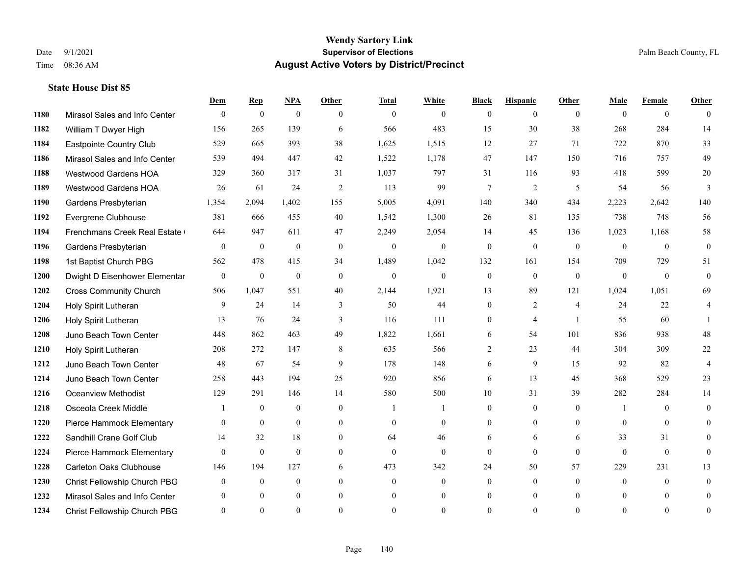|      |                               | Dem          | <b>Rep</b>       | $NPA$            | <b>Other</b>     | <b>Total</b>     | <b>White</b>     | <b>Black</b>     | <b>Hispanic</b>  | Other          | <b>Male</b>    | <b>Female</b>  | <b>Other</b>     |
|------|-------------------------------|--------------|------------------|------------------|------------------|------------------|------------------|------------------|------------------|----------------|----------------|----------------|------------------|
| 1180 | Mirasol Sales and Info Center | $\mathbf{0}$ | $\boldsymbol{0}$ | $\mathbf{0}$     | $\theta$         | $\overline{0}$   | $\overline{0}$   | $\mathbf{0}$     | $\overline{0}$   | $\theta$       | $\theta$       | $\overline{0}$ | $\theta$         |
| 1182 | William T Dwyer High          | 156          | 265              | 139              | 6                | 566              | 483              | 15               | 30               | 38             | 268            | 284            | 14               |
| 1184 | Eastpointe Country Club       | 529          | 665              | 393              | 38               | 1,625            | 1,515            | 12               | 27               | 71             | 722            | 870            | 33               |
| 1186 | Mirasol Sales and Info Center | 539          | 494              | 447              | 42               | 1,522            | 1,178            | 47               | 147              | 150            | 716            | 757            | 49               |
| 1188 | <b>Westwood Gardens HOA</b>   | 329          | 360              | 317              | 31               | 1,037            | 797              | 31               | 116              | 93             | 418            | 599            | $20\,$           |
| 1189 | <b>Westwood Gardens HOA</b>   | 26           | 61               | 24               | $\overline{2}$   | 113              | 99               | 7                | $\overline{2}$   | 5              | 54             | 56             | 3                |
| 1190 | Gardens Presbyterian          | 1,354        | 2,094            | 1,402            | 155              | 5,005            | 4,091            | 140              | 340              | 434            | 2,223          | 2,642          | 140              |
| 1192 | Evergrene Clubhouse           | 381          | 666              | 455              | 40               | 1,542            | 1,300            | 26               | 81               | 135            | 738            | 748            | 56               |
| 1194 | Frenchmans Creek Real Estate  | 644          | 947              | 611              | 47               | 2,249            | 2,054            | 14               | 45               | 136            | 1,023          | 1,168          | 58               |
| 1196 | Gardens Presbyterian          | $\mathbf{0}$ | $\boldsymbol{0}$ | $\boldsymbol{0}$ | $\mathbf{0}$     | $\boldsymbol{0}$ | $\boldsymbol{0}$ | $\boldsymbol{0}$ | $\mathbf{0}$     | $\overline{0}$ | $\overline{0}$ | $\mathbf{0}$   | $\mathbf{0}$     |
| 1198 | 1st Baptist Church PBG        | 562          | 478              | 415              | 34               | 1,489            | 1,042            | 132              | 161              | 154            | 709            | 729            | 51               |
| 1200 | Dwight D Eisenhower Elementar | $\mathbf{0}$ | $\mathbf{0}$     | $\mathbf{0}$     | $\theta$         | $\overline{0}$   | $\mathbf{0}$     | $\mathbf{0}$     | $\mathbf{0}$     | $\theta$       | $\theta$       | $\Omega$       | $\Omega$         |
| 1202 | <b>Cross Community Church</b> | 506          | 1,047            | 551              | 40               | 2,144            | 1,921            | 13               | 89               | 121            | 1,024          | 1,051          | 69               |
| 1204 | Holy Spirit Lutheran          | 9            | 24               | 14               | 3                | 50               | 44               | $\overline{0}$   | 2                | $\overline{4}$ | 24             | 22             | 4                |
| 1206 | Holy Spirit Lutheran          | 13           | 76               | 24               | 3                | 116              | 111              | $\overline{0}$   | 4                | $\overline{1}$ | 55             | 60             |                  |
| 1208 | Juno Beach Town Center        | 448          | 862              | 463              | 49               | 1,822            | 1,661            | 6                | 54               | 101            | 836            | 938            | 48               |
| 1210 | Holy Spirit Lutheran          | 208          | 272              | 147              | 8                | 635              | 566              | $\overline{2}$   | 23               | 44             | 304            | 309            | $22\,$           |
| 1212 | Juno Beach Town Center        | 48           | 67               | 54               | 9                | 178              | 148              | 6                | 9                | 15             | 92             | 82             | $\overline{4}$   |
| 1214 | Juno Beach Town Center        | 258          | 443              | 194              | 25               | 920              | 856              | 6                | 13               | 45             | 368            | 529            | 23               |
| 1216 | <b>Oceanview Methodist</b>    | 129          | 291              | 146              | 14               | 580              | 500              | 10               | 31               | 39             | 282            | 284            | 14               |
| 1218 | Osceola Creek Middle          |              | $\mathbf{0}$     | $\theta$         | $\theta$         | $\overline{1}$   | $\mathbf{1}$     | $\overline{0}$   | $\mathbf{0}$     | $\Omega$       | $\mathbf{1}$   | $\Omega$       | $\theta$         |
| 1220 | Pierce Hammock Elementary     | $\mathbf{0}$ | $\boldsymbol{0}$ | $\boldsymbol{0}$ | $\boldsymbol{0}$ | $\mathbf{0}$     | $\boldsymbol{0}$ | $\overline{0}$   | $\boldsymbol{0}$ | $\mathbf{0}$   | $\mathbf{0}$   | $\mathbf{0}$   | $\theta$         |
| 1222 | Sandhill Crane Golf Club      | 14           | 32               | 18               | $\overline{0}$   | 64               | 46               | 6                | 6                | 6              | 33             | 31             | 0                |
| 1224 | Pierce Hammock Elementary     | $\theta$     | $\mathbf{0}$     | $\mathbf{0}$     | $\mathbf{0}$     | $\mathbf{0}$     | $\overline{0}$   | $\overline{0}$   | $\mathbf{0}$     | $\theta$       | $\theta$       | $\mathbf{0}$   | $\theta$         |
| 1228 | Carleton Oaks Clubhouse       | 146          | 194              | 127              | 6                | 473              | 342              | 24               | 50               | 57             | 229            | 231            | 13               |
| 1230 | Christ Fellowship Church PBG  | $\theta$     | $\mathbf{0}$     | $\mathbf{0}$     | $\theta$         | $\mathbf{0}$     | $\overline{0}$   | $\overline{0}$   | $\overline{0}$   | $\Omega$       | $\theta$       | $\overline{0}$ | $\mathbf{0}$     |
| 1232 | Mirasol Sales and Info Center |              | $\mathbf{0}$     | $\theta$         | $\overline{0}$   | $\mathbf{0}$     | $\overline{0}$   | 0                | $\overline{0}$   | $\Omega$       | $\theta$       | $\theta$       | $\theta$         |
| 1234 | Christ Fellowship Church PBG  | $\Omega$     | $\theta$         | $\theta$         | $\Omega$         | $\theta$         | $\theta$         | $\theta$         | $\theta$         | $\theta$       | $\Omega$       | $\theta$       | $\boldsymbol{0}$ |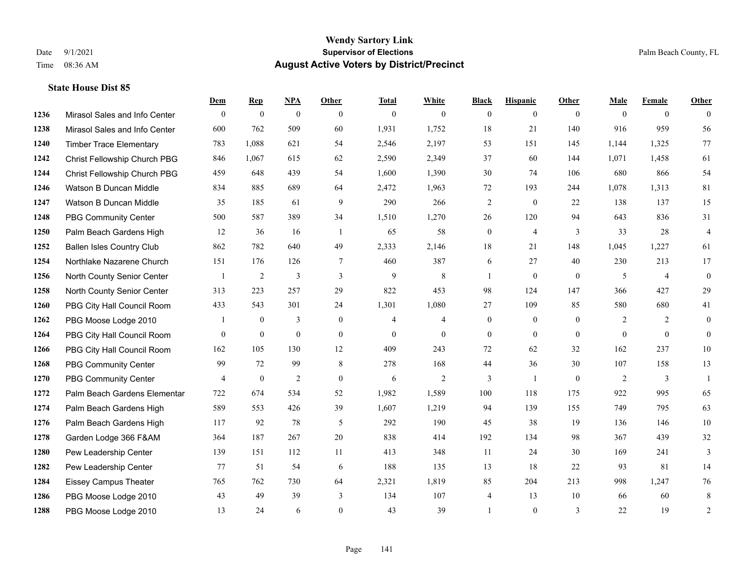|      |                                  | Dem            | <b>Rep</b>       | NPA              | <b>Other</b> | <b>Total</b>   | <b>White</b>   | <b>Black</b>     | <b>Hispanic</b> | <b>Other</b>   | <b>Male</b>    | <b>Female</b>  | <b>Other</b>     |
|------|----------------------------------|----------------|------------------|------------------|--------------|----------------|----------------|------------------|-----------------|----------------|----------------|----------------|------------------|
| 1236 | Mirasol Sales and Info Center    | $\mathbf{0}$   | $\mathbf{0}$     | $\boldsymbol{0}$ | $\theta$     | $\mathbf{0}$   | $\overline{0}$ | $\mathbf{0}$     | $\overline{0}$  | $\theta$       | $\theta$       | $\overline{0}$ | $\theta$         |
| 1238 | Mirasol Sales and Info Center    | 600            | 762              | 509              | 60           | 1,931          | 1,752          | 18               | 21              | 140            | 916            | 959            | 56               |
| 1240 | <b>Timber Trace Elementary</b>   | 783            | 1,088            | 621              | 54           | 2,546          | 2,197          | 53               | 151             | 145            | 1,144          | 1,325          | 77               |
| 1242 | Christ Fellowship Church PBG     | 846            | 1,067            | 615              | 62           | 2,590          | 2,349          | 37               | 60              | 144            | 1,071          | 1,458          | 61               |
| 1244 | Christ Fellowship Church PBG     | 459            | 648              | 439              | 54           | 1,600          | 1,390          | 30               | 74              | 106            | 680            | 866            | 54               |
| 1246 | Watson B Duncan Middle           | 834            | 885              | 689              | 64           | 2,472          | 1,963          | 72               | 193             | 244            | 1,078          | 1,313          | 81               |
| 1247 | Watson B Duncan Middle           | 35             | 185              | 61               | 9            | 290            | 266            | $\sqrt{2}$       | $\mathbf{0}$    | 22             | 138            | 137            | 15               |
| 1248 | <b>PBG Community Center</b>      | 500            | 587              | 389              | 34           | 1,510          | 1,270          | 26               | 120             | 94             | 643            | 836            | 31               |
| 1250 | Palm Beach Gardens High          | 12             | 36               | 16               | -1           | 65             | 58             | $\boldsymbol{0}$ | $\overline{4}$  | 3              | 33             | 28             | $\overline{4}$   |
| 1252 | <b>Ballen Isles Country Club</b> | 862            | 782              | 640              | 49           | 2,333          | 2,146          | 18               | 21              | 148            | 1,045          | 1,227          | 61               |
| 1254 | Northlake Nazarene Church        | 151            | 176              | 126              | 7            | 460            | 387            | 6                | 27              | 40             | 230            | 213            | 17               |
| 1256 | North County Senior Center       | $\mathbf{1}$   | $\sqrt{2}$       | 3                | 3            | 9              | 8              | -1               | $\mathbf{0}$    | $\overline{0}$ | 5              | $\overline{4}$ | $\mathbf{0}$     |
| 1258 | North County Senior Center       | 313            | 223              | 257              | 29           | 822            | 453            | 98               | 124             | 147            | 366            | 427            | 29               |
| 1260 | PBG City Hall Council Room       | 433            | 543              | 301              | 24           | 1,301          | 1,080          | 27               | 109             | 85             | 580            | 680            | 41               |
| 1262 | PBG Moose Lodge 2010             |                | $\mathbf{0}$     | 3                | $\mathbf{0}$ | $\overline{4}$ | $\overline{4}$ | $\mathbf{0}$     | $\mathbf{0}$    | $\theta$       | $\overline{2}$ | 2              | $\boldsymbol{0}$ |
| 1264 | PBG City Hall Council Room       | $\theta$       | $\mathbf{0}$     | $\mathbf{0}$     | $\theta$     | $\mathbf{0}$   | $\mathbf{0}$   | $\mathbf{0}$     | $\mathbf{0}$    | $\theta$       | $\mathbf{0}$   | $\theta$       | $\mathbf{0}$     |
| 1266 | PBG City Hall Council Room       | 162            | 105              | 130              | 12           | 409            | 243            | 72               | 62              | 32             | 162            | 237            | $10\,$           |
| 1268 | <b>PBG Community Center</b>      | 99             | 72               | 99               | 8            | 278            | 168            | 44               | 36              | 30             | 107            | 158            | 13               |
| 1270 | <b>PBG Community Center</b>      | $\overline{4}$ | $\boldsymbol{0}$ | $\overline{c}$   | $\mathbf{0}$ | 6              | $\overline{c}$ | 3                | $\mathbf{1}$    | $\mathbf{0}$   | $\overline{2}$ | 3              | $\mathbf{1}$     |
| 1272 | Palm Beach Gardens Elementar     | 722            | 674              | 534              | 52           | 1,982          | 1,589          | 100              | 118             | 175            | 922            | 995            | 65               |
| 1274 | Palm Beach Gardens High          | 589            | 553              | 426              | 39           | 1,607          | 1,219          | 94               | 139             | 155            | 749            | 795            | 63               |
| 1276 | Palm Beach Gardens High          | 117            | 92               | 78               | 5            | 292            | 190            | 45               | 38              | 19             | 136            | 146            | $10\,$           |
| 1278 | Garden Lodge 366 F&AM            | 364            | 187              | 267              | $20\,$       | 838            | 414            | 192              | 134             | 98             | 367            | 439            | 32               |
| 1280 | Pew Leadership Center            | 139            | 151              | 112              | 11           | 413            | 348            | 11               | 24              | 30             | 169            | 241            | 3                |
| 1282 | Pew Leadership Center            | 77             | 51               | 54               | 6            | 188            | 135            | 13               | 18              | 22             | 93             | 81             | 14               |
| 1284 | <b>Eissey Campus Theater</b>     | 765            | 762              | 730              | 64           | 2,321          | 1,819          | 85               | 204             | 213            | 998            | 1,247          | 76               |
| 1286 | PBG Moose Lodge 2010             | 43             | 49               | 39               | 3            | 134            | 107            | 4                | 13              | 10             | 66             | 60             | 8                |
| 1288 | PBG Moose Lodge 2010             | 13             | 24               | 6                | $\Omega$     | 43             | 39             |                  | $\theta$        | 3              | 22             | 19             | 2                |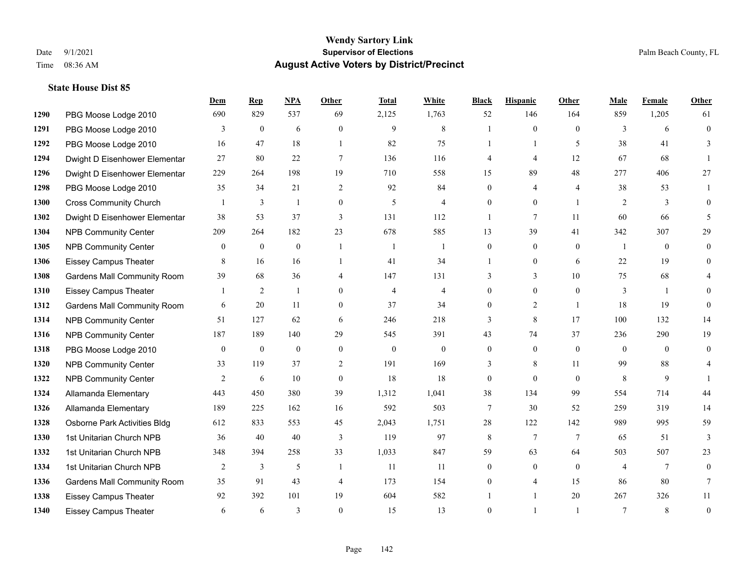|      |                                    | Dem          | <b>Rep</b>     | NPA          | <b>Other</b>   | <b>Total</b>   | <b>White</b>   | <b>Black</b>     | <b>Hispanic</b> | <b>Other</b>    | <b>Male</b>  | Female       | <b>Other</b>     |
|------|------------------------------------|--------------|----------------|--------------|----------------|----------------|----------------|------------------|-----------------|-----------------|--------------|--------------|------------------|
| 1290 | PBG Moose Lodge 2010               | 690          | 829            | 537          | 69             | 2,125          | 1,763          | 52               | 146             | 164             | 859          | 1,205        | 61               |
| 1291 | PBG Moose Lodge 2010               | 3            | $\mathbf{0}$   | 6            | $\theta$       | 9              | 8              |                  | $\theta$        | $\theta$        | 3            | 6            | $\mathbf{0}$     |
| 1292 | PBG Moose Lodge 2010               | 16           | 47             | 18           | $\mathbf{1}$   | 82             | 75             | $\mathbf{1}$     | $\mathbf{1}$    | 5               | 38           | 41           | 3                |
| 1294 | Dwight D Eisenhower Elementar      | 27           | 80             | 22           | $\tau$         | 136            | 116            | 4                | $\overline{4}$  | 12              | 67           | 68           | 1                |
| 1296 | Dwight D Eisenhower Elementar      | 229          | 264            | 198          | 19             | 710            | 558            | 15               | 89              | 48              | 277          | 406          | 27               |
| 1298 | PBG Moose Lodge 2010               | 35           | 34             | 21           | 2              | 92             | 84             | $\mathbf{0}$     | 4               | $\overline{4}$  | 38           | 53           |                  |
| 1300 | <b>Cross Community Church</b>      |              | 3              | $\mathbf{1}$ | $\overline{0}$ | 5              | $\overline{4}$ | $\mathbf{0}$     | $\mathbf{0}$    | $\overline{1}$  | 2            | 3            | $\theta$         |
| 1302 | Dwight D Eisenhower Elementar      | 38           | 53             | 37           | 3              | 131            | 112            | $\mathbf{1}$     | $\tau$          | 11              | 60           | 66           | 5                |
| 1304 | <b>NPB Community Center</b>        | 209          | 264            | 182          | 23             | 678            | 585            | 13               | 39              | 41              | 342          | 307          | 29               |
| 1305 | <b>NPB Community Center</b>        | $\theta$     | $\mathbf{0}$   | $\mathbf{0}$ | $\overline{1}$ | $\overline{1}$ | $\mathbf{1}$   | $\mathbf{0}$     | $\mathbf{0}$    | $\theta$        | $\mathbf{1}$ | $\theta$     | $\mathbf{0}$     |
| 1306 | <b>Eissey Campus Theater</b>       | 8            | 16             | 16           | -1             | 41             | 34             | 1                | $\mathbf{0}$    | 6               | 22           | 19           | $\theta$         |
| 1308 | <b>Gardens Mall Community Room</b> | 39           | 68             | 36           | 4              | 147            | 131            | 3                | 3               | 10              | 75           | 68           |                  |
| 1310 | <b>Eissey Campus Theater</b>       |              | $\overline{2}$ | $\mathbf{1}$ | $\theta$       | $\overline{4}$ | $\overline{4}$ | $\overline{0}$   | $\mathbf{0}$    | $\theta$        | 3            | $\mathbf{1}$ | $\Omega$         |
| 1312 | <b>Gardens Mall Community Room</b> | 6            | 20             | 11           | $\overline{0}$ | 37             | 34             | $\overline{0}$   | $\overline{c}$  | $\overline{1}$  | 18           | 19           | $\theta$         |
| 1314 | <b>NPB Community Center</b>        | 51           | 127            | 62           | 6              | 246            | 218            | 3                | 8               | 17              | 100          | 132          | 14               |
| 1316 | <b>NPB Community Center</b>        | 187          | 189            | 140          | 29             | 545            | 391            | 43               | 74              | 37              | 236          | 290          | 19               |
| 1318 | PBG Moose Lodge 2010               | $\mathbf{0}$ | $\mathbf{0}$   | $\mathbf{0}$ | $\mathbf{0}$   | $\theta$       | $\mathbf{0}$   | $\mathbf{0}$     | $\mathbf{0}$    | $\mathbf{0}$    | $\theta$     | $\theta$     | $\theta$         |
| 1320 | <b>NPB Community Center</b>        | 33           | 119            | 37           | $\overline{2}$ | 191            | 169            | 3                | 8               | 11              | 99           | 88           | 4                |
| 1322 | <b>NPB Community Center</b>        | 2            | 6              | 10           | $\overline{0}$ | 18             | 18             | $\boldsymbol{0}$ | $\mathbf{0}$    | $\theta$        | 8            | 9            |                  |
| 1324 | Allamanda Elementary               | 443          | 450            | 380          | 39             | 1,312          | 1,041          | 38               | 134             | 99              | 554          | 714          | 44               |
| 1326 | Allamanda Elementary               | 189          | 225            | 162          | 16             | 592            | 503            | 7                | 30              | 52              | 259          | 319          | 14               |
| 1328 | Osborne Park Activities Bldg       | 612          | 833            | 553          | 45             | 2,043          | 1,751          | 28               | 122             | 142             | 989          | 995          | 59               |
| 1330 | 1st Unitarian Church NPB           | 36           | 40             | 40           | 3              | 119            | 97             | 8                | $\tau$          | $7\phantom{.0}$ | 65           | 51           | 3                |
| 1332 | 1st Unitarian Church NPB           | 348          | 394            | 258          | 33             | 1,033          | 847            | 59               | 63              | 64              | 503          | 507          | 23               |
| 1334 | 1st Unitarian Church NPB           | 2            | 3              | 5            | $\overline{1}$ | 11             | 11             | $\mathbf{0}$     | $\mathbf{0}$    | $\theta$        | 4            | $\tau$       | $\mathbf{0}$     |
| 1336 | <b>Gardens Mall Community Room</b> | 35           | 91             | 43           | $\overline{4}$ | 173            | 154            | $\theta$         | 4               | 15              | 86           | 80           | 7                |
| 1338 | <b>Eissey Campus Theater</b>       | 92           | 392            | 101          | 19             | 604            | 582            |                  | 1               | 20              | 267          | 326          | 11               |
| 1340 | <b>Eissey Campus Theater</b>       | 6            | 6              | 3            | $\theta$       | 15             | 13             | $\theta$         |                 |                 | $\tau$       | 8            | $\boldsymbol{0}$ |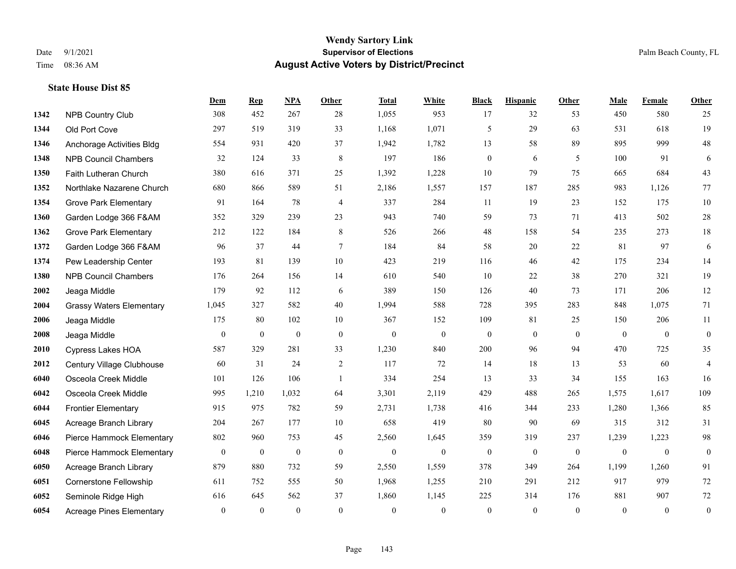|      |                                 | Dem              | <b>Rep</b>       | NPA              | Other          | <b>Total</b>     | <b>White</b>     | <b>Black</b>     | <b>Hispanic</b> | Other          | <b>Male</b>  | <b>Female</b>  | <b>Other</b>     |
|------|---------------------------------|------------------|------------------|------------------|----------------|------------------|------------------|------------------|-----------------|----------------|--------------|----------------|------------------|
| 1342 | <b>NPB Country Club</b>         | 308              | 452              | 267              | 28             | 1,055            | 953              | 17               | 32              | 53             | 450          | 580            | 25               |
| 1344 | Old Port Cove                   | 297              | 519              | 319              | 33             | 1,168            | 1,071            | 5                | 29              | 63             | 531          | 618            | 19               |
| 1346 | Anchorage Activities Bldg       | 554              | 931              | 420              | 37             | 1,942            | 1,782            | 13               | 58              | 89             | 895          | 999            | $48\,$           |
| 1348 | <b>NPB Council Chambers</b>     | 32               | 124              | 33               | 8              | 197              | 186              | $\mathbf{0}$     | 6               | 5              | 100          | 91             | 6                |
| 1350 | Faith Lutheran Church           | 380              | 616              | 371              | 25             | 1,392            | 1,228            | 10               | 79              | 75             | 665          | 684            | 43               |
| 1352 | Northlake Nazarene Church       | 680              | 866              | 589              | 51             | 2,186            | 1,557            | 157              | 187             | 285            | 983          | 1,126          | 77               |
| 1354 | <b>Grove Park Elementary</b>    | 91               | 164              | 78               | $\overline{4}$ | 337              | 284              | 11               | 19              | 23             | 152          | 175            | $10\,$           |
| 1360 | Garden Lodge 366 F&AM           | 352              | 329              | 239              | 23             | 943              | 740              | 59               | 73              | 71             | 413          | 502            | $28\,$           |
| 1362 | <b>Grove Park Elementary</b>    | 212              | 122              | 184              | 8              | 526              | 266              | 48               | 158             | 54             | 235          | 273            | 18               |
| 1372 | Garden Lodge 366 F&AM           | 96               | 37               | 44               | $\tau$         | 184              | 84               | 58               | 20              | 22             | 81           | 97             | 6                |
| 1374 | Pew Leadership Center           | 193              | 81               | 139              | $10\,$         | 423              | 219              | 116              | 46              | 42             | 175          | 234            | 14               |
| 1380 | <b>NPB Council Chambers</b>     | 176              | 264              | 156              | 14             | 610              | 540              | 10               | 22              | 38             | 270          | 321            | 19               |
| 2002 | Jeaga Middle                    | 179              | 92               | 112              | 6              | 389              | 150              | 126              | 40              | 73             | 171          | 206            | 12               |
| 2004 | <b>Grassy Waters Elementary</b> | 1,045            | 327              | 582              | 40             | 1,994            | 588              | 728              | 395             | 283            | 848          | 1,075          | 71               |
| 2006 | Jeaga Middle                    | 175              | 80               | 102              | 10             | 367              | 152              | 109              | 81              | 25             | 150          | 206            | 11               |
| 2008 | Jeaga Middle                    | $\mathbf{0}$     | $\mathbf{0}$     | $\mathbf{0}$     | $\mathbf{0}$   | $\mathbf{0}$     | $\boldsymbol{0}$ | $\boldsymbol{0}$ | $\mathbf{0}$    | $\overline{0}$ | $\mathbf{0}$ | $\overline{0}$ | $\mathbf{0}$     |
| 2010 | <b>Cypress Lakes HOA</b>        | 587              | 329              | 281              | 33             | 1,230            | 840              | 200              | 96              | 94             | 470          | 725            | 35               |
| 2012 | Century Village Clubhouse       | 60               | 31               | 24               | 2              | 117              | 72               | 14               | 18              | 13             | 53           | 60             | $\overline{4}$   |
| 6040 | Osceola Creek Middle            | 101              | 126              | 106              | $\mathbf{1}$   | 334              | 254              | 13               | 33              | 34             | 155          | 163            | 16               |
| 6042 | Osceola Creek Middle            | 995              | 1,210            | 1,032            | 64             | 3,301            | 2,119            | 429              | 488             | 265            | 1,575        | 1,617          | 109              |
| 6044 | <b>Frontier Elementary</b>      | 915              | 975              | 782              | 59             | 2,731            | 1,738            | 416              | 344             | 233            | 1,280        | 1,366          | 85               |
| 6045 | Acreage Branch Library          | 204              | 267              | 177              | 10             | 658              | 419              | 80               | 90              | 69             | 315          | 312            | 31               |
| 6046 | Pierce Hammock Elementary       | 802              | 960              | 753              | 45             | 2,560            | 1,645            | 359              | 319             | 237            | 1,239        | 1,223          | $98\,$           |
| 6048 | Pierce Hammock Elementary       | $\boldsymbol{0}$ | $\boldsymbol{0}$ | $\boldsymbol{0}$ | $\mathbf{0}$   | $\boldsymbol{0}$ | $\boldsymbol{0}$ | $\boldsymbol{0}$ | $\mathbf{0}$    | $\mathbf{0}$   | $\mathbf{0}$ | $\bf{0}$       | $\bf{0}$         |
| 6050 | Acreage Branch Library          | 879              | 880              | 732              | 59             | 2,550            | 1,559            | 378              | 349             | 264            | 1,199        | 1,260          | 91               |
| 6051 | <b>Cornerstone Fellowship</b>   | 611              | 752              | 555              | 50             | 1,968            | 1,255            | 210              | 291             | 212            | 917          | 979            | $72\,$           |
| 6052 | Seminole Ridge High             | 616              | 645              | 562              | 37             | 1,860            | 1,145            | 225              | 314             | 176            | 881          | 907            | $72\,$           |
| 6054 | <b>Acreage Pines Elementary</b> | $\mathbf{0}$     | $\mathbf{0}$     | $\mathbf{0}$     | $\theta$       | $\mathbf{0}$     | $\overline{0}$   | $\overline{0}$   | $\overline{0}$  | $\theta$       | $\theta$     | $\mathbf{0}$   | $\boldsymbol{0}$ |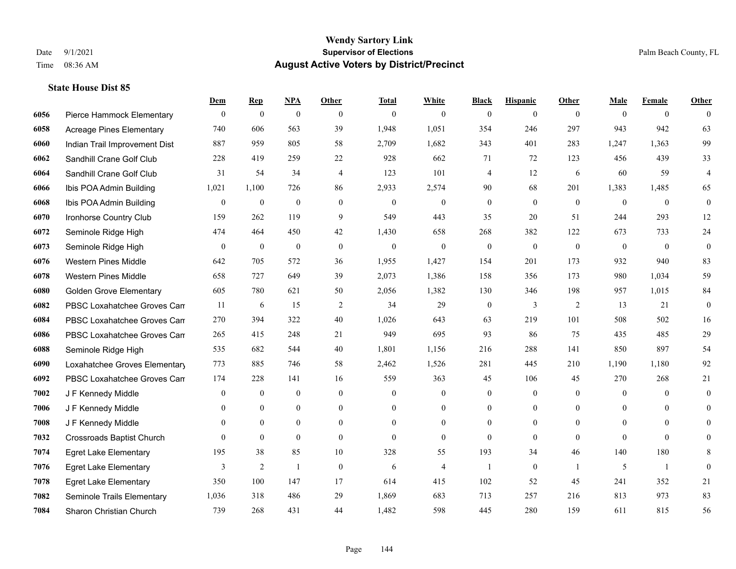|      |                                  | Dem              | <b>Rep</b>       | NPA              | <b>Other</b>     | <b>Total</b>     | <b>White</b>     | <b>Black</b>     | <b>Hispanic</b>  | <b>Other</b> | <b>Male</b>    | <b>Female</b>  | <b>Other</b>     |
|------|----------------------------------|------------------|------------------|------------------|------------------|------------------|------------------|------------------|------------------|--------------|----------------|----------------|------------------|
| 6056 | Pierce Hammock Elementary        | $\mathbf{0}$     | $\boldsymbol{0}$ | $\boldsymbol{0}$ | $\theta$         | $\theta$         | $\overline{0}$   | $\mathbf{0}$     | $\mathbf{0}$     | $\theta$     | $\theta$       | $\overline{0}$ | $\theta$         |
| 6058 | <b>Acreage Pines Elementary</b>  | 740              | 606              | 563              | 39               | 1,948            | 1,051            | 354              | 246              | 297          | 943            | 942            | 63               |
| 6060 | Indian Trail Improvement Dist    | 887              | 959              | 805              | 58               | 2,709            | 1,682            | 343              | 401              | 283          | 1,247          | 1.363          | 99               |
| 6062 | Sandhill Crane Golf Club         | 228              | 419              | 259              | $22\,$           | 928              | 662              | 71               | 72               | 123          | 456            | 439            | 33               |
| 6064 | Sandhill Crane Golf Club         | 31               | 54               | 34               | $\overline{4}$   | 123              | 101              | 4                | 12               | 6            | 60             | 59             | $\overline{4}$   |
| 6066 | Ibis POA Admin Building          | 1,021            | 1,100            | 726              | 86               | 2,933            | 2,574            | 90               | 68               | 201          | 1,383          | 1,485          | 65               |
| 6068 | Ibis POA Admin Building          | $\boldsymbol{0}$ | $\boldsymbol{0}$ | $\boldsymbol{0}$ | $\boldsymbol{0}$ | $\boldsymbol{0}$ | $\boldsymbol{0}$ | $\boldsymbol{0}$ | $\mathbf{0}$     | $\mathbf{0}$ | $\mathbf{0}$   | $\mathbf{0}$   | $\boldsymbol{0}$ |
| 6070 | Ironhorse Country Club           | 159              | 262              | 119              | 9                | 549              | 443              | 35               | 20               | 51           | 244            | 293            | 12               |
| 6072 | Seminole Ridge High              | 474              | 464              | 450              | 42               | 1,430            | 658              | 268              | 382              | 122          | 673            | 733            | $24\,$           |
| 6073 | Seminole Ridge High              | $\mathbf{0}$     | $\mathbf{0}$     | $\mathbf{0}$     | $\mathbf{0}$     | $\mathbf{0}$     | $\mathbf{0}$     | $\mathbf{0}$     | $\mathbf{0}$     | $\theta$     | $\theta$       | $\theta$       | $\boldsymbol{0}$ |
| 6076 | <b>Western Pines Middle</b>      | 642              | 705              | 572              | 36               | 1,955            | 1,427            | 154              | 201              | 173          | 932            | 940            | 83               |
| 6078 | <b>Western Pines Middle</b>      | 658              | 727              | 649              | 39               | 2,073            | 1,386            | 158              | 356              | 173          | 980            | 1,034          | 59               |
| 6080 | <b>Golden Grove Elementary</b>   | 605              | 780              | 621              | 50               | 2,056            | 1,382            | 130              | 346              | 198          | 957            | 1,015          | 84               |
| 6082 | PBSC Loxahatchee Groves Can      | 11               | 6                | 15               | $\overline{2}$   | 34               | 29               | $\boldsymbol{0}$ | 3                | 2            | 13             | 21             | $\boldsymbol{0}$ |
| 6084 | PBSC Loxahatchee Groves Can      | 270              | 394              | 322              | 40               | 1,026            | 643              | 63               | 219              | 101          | 508            | 502            | 16               |
| 6086 | PBSC Loxahatchee Groves Can      | 265              | 415              | 248              | 21               | 949              | 695              | 93               | 86               | 75           | 435            | 485            | 29               |
| 6088 | Seminole Ridge High              | 535              | 682              | 544              | 40               | 1,801            | 1,156            | 216              | 288              | 141          | 850            | 897            | 54               |
| 6090 | Loxahatchee Groves Elementary    | 773              | 885              | 746              | 58               | 2,462            | 1,526            | 281              | 445              | 210          | 1,190          | 1,180          | 92               |
| 6092 | PBSC Loxahatchee Groves Can      | 174              | 228              | 141              | 16               | 559              | 363              | 45               | 106              | 45           | 270            | 268            | 21               |
| 7002 | J F Kennedy Middle               | $\mathbf{0}$     | $\mathbf{0}$     | $\mathbf{0}$     | $\overline{0}$   | $\mathbf{0}$     | $\boldsymbol{0}$ | $\boldsymbol{0}$ | $\mathbf{0}$     | $\mathbf{0}$ | $\mathbf{0}$   | $\theta$       | $\mathbf{0}$     |
| 7006 | J F Kennedy Middle               | $\theta$         | $\theta$         | $\theta$         | $\theta$         | $\Omega$         | $\overline{0}$   | $\mathbf{0}$     | $\theta$         | $\Omega$     | $\Omega$       | $\Omega$       | $\theta$         |
| 7008 | J F Kennedy Middle               | $\mathbf{0}$     | $\mathbf{0}$     | $\boldsymbol{0}$ | $\overline{0}$   | $\mathbf{0}$     | $\overline{0}$   | $\boldsymbol{0}$ | $\mathbf{0}$     | $\theta$     | $\overline{0}$ | $\mathbf{0}$   | $\theta$         |
| 7032 | <b>Crossroads Baptist Church</b> | $\theta$         | $\mathbf{0}$     | $\mathbf{0}$     | $\theta$         | $\theta$         | $\overline{0}$   | $\mathbf{0}$     | $\mathbf{0}$     | $\theta$     | $\theta$       | $\theta$       | $\theta$         |
| 7074 | <b>Egret Lake Elementary</b>     | 195              | 38               | 85               | 10               | 328              | 55               | 193              | 34               | 46           | 140            | 180            | 8                |
| 7076 | <b>Egret Lake Elementary</b>     | 3                | $\sqrt{2}$       | $\mathbf{1}$     | $\mathbf{0}$     | 6                | $\overline{4}$   | $\mathbf{1}$     | $\boldsymbol{0}$ | $\mathbf{1}$ | 5              | $\mathbf{1}$   | $\mathbf{0}$     |
| 7078 | <b>Egret Lake Elementary</b>     | 350              | 100              | 147              | 17               | 614              | 415              | 102              | 52               | 45           | 241            | 352            | 21               |
| 7082 | Seminole Trails Elementary       | 1,036            | 318              | 486              | 29               | 1,869            | 683              | 713              | 257              | 216          | 813            | 973            | 83               |
| 7084 | Sharon Christian Church          | 739              | 268              | 431              | 44               | 1,482            | 598              | 445              | 280              | 159          | 611            | 815            | 56               |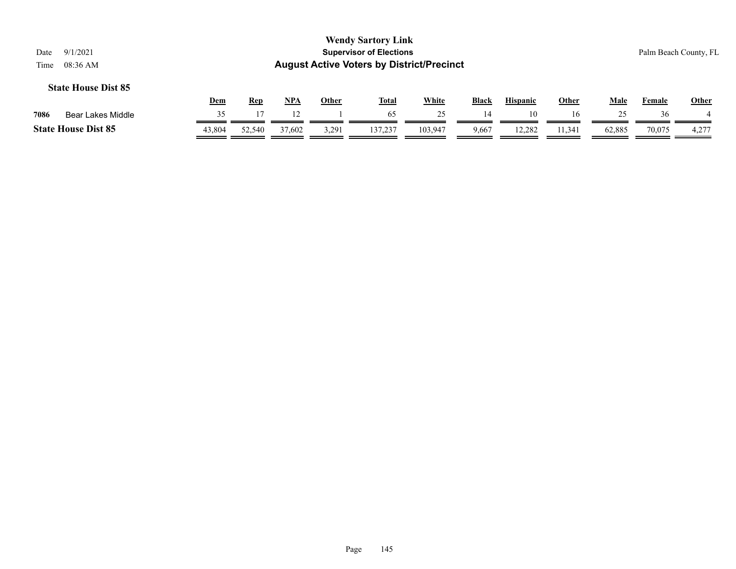|      |                            | <u>Dem</u> | Rep    | NP <sub>A</sub> | Other | <b>Total</b> | White   | <b>Black</b> | <b>Hispanic</b> | Other  | Male   | Female | Other        |
|------|----------------------------|------------|--------|-----------------|-------|--------------|---------|--------------|-----------------|--------|--------|--------|--------------|
| 7086 | Bear Lakes Middle          |            |        |                 |       | 65           |         | 14           |                 | l 6    |        | 36     |              |
|      | <b>State House Dist 85</b> | 43,804     | 52.540 | 37,602          | 3,291 | 137,237      | 103,947 | 9,667        | 12.282          | 11.341 | 62.885 | 70.075 | דרר<br>4,2,4 |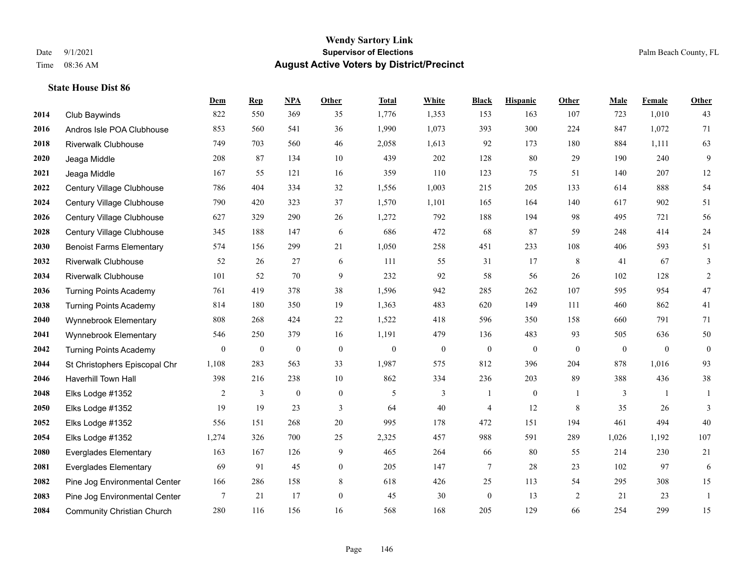|      |                                   | Dem              | <b>Rep</b>       | NPA              | <b>Other</b>     | <b>Total</b>     | <b>White</b>     | <b>Black</b>     | <b>Hispanic</b>  | <b>Other</b> | <b>Male</b>      | <b>Female</b> | <b>Other</b>     |
|------|-----------------------------------|------------------|------------------|------------------|------------------|------------------|------------------|------------------|------------------|--------------|------------------|---------------|------------------|
| 2014 | Club Baywinds                     | 822              | 550              | 369              | 35               | 1,776            | 1,353            | 153              | 163              | 107          | 723              | 1,010         | 43               |
| 2016 | Andros Isle POA Clubhouse         | 853              | 560              | 541              | 36               | 1,990            | 1,073            | 393              | 300              | 224          | 847              | 1,072         | 71               |
| 2018 | <b>Riverwalk Clubhouse</b>        | 749              | 703              | 560              | 46               | 2,058            | 1,613            | 92               | 173              | 180          | 884              | 1,111         | 63               |
| 2020 | Jeaga Middle                      | 208              | 87               | 134              | 10               | 439              | 202              | 128              | 80               | 29           | 190              | 240           | 9                |
| 2021 | Jeaga Middle                      | 167              | 55               | 121              | 16               | 359              | 110              | 123              | 75               | 51           | 140              | 207           | 12               |
| 2022 | Century Village Clubhouse         | 786              | 404              | 334              | 32               | 1,556            | 1,003            | 215              | 205              | 133          | 614              | 888           | 54               |
| 2024 | Century Village Clubhouse         | 790              | 420              | 323              | 37               | 1,570            | 1,101            | 165              | 164              | 140          | 617              | 902           | 51               |
| 2026 | Century Village Clubhouse         | 627              | 329              | 290              | 26               | 1,272            | 792              | 188              | 194              | 98           | 495              | 721           | 56               |
| 2028 | Century Village Clubhouse         | 345              | 188              | 147              | 6                | 686              | 472              | 68               | 87               | 59           | 248              | 414           | $24\,$           |
| 2030 | <b>Benoist Farms Elementary</b>   | 574              | 156              | 299              | 21               | 1,050            | 258              | 451              | 233              | 108          | 406              | 593           | 51               |
| 2032 | <b>Riverwalk Clubhouse</b>        | 52               | 26               | 27               | 6                | 111              | 55               | 31               | 17               | 8            | 41               | 67            | 3                |
| 2034 | <b>Riverwalk Clubhouse</b>        | 101              | 52               | 70               | 9                | 232              | 92               | 58               | 56               | 26           | 102              | 128           | 2                |
| 2036 | <b>Turning Points Academy</b>     | 761              | 419              | 378              | 38               | 1,596            | 942              | 285              | 262              | 107          | 595              | 954           | $47\,$           |
| 2038 | <b>Turning Points Academy</b>     | 814              | 180              | 350              | 19               | 1,363            | 483              | 620              | 149              | 111          | 460              | 862           | 41               |
| 2040 | Wynnebrook Elementary             | 808              | 268              | 424              | 22               | 1,522            | 418              | 596              | 350              | 158          | 660              | 791           | 71               |
| 2041 | Wynnebrook Elementary             | 546              | 250              | 379              | 16               | 1,191            | 479              | 136              | 483              | 93           | 505              | 636           | 50               |
| 2042 | <b>Turning Points Academy</b>     | $\boldsymbol{0}$ | $\boldsymbol{0}$ | $\boldsymbol{0}$ | $\boldsymbol{0}$ | $\boldsymbol{0}$ | $\boldsymbol{0}$ | $\boldsymbol{0}$ | $\boldsymbol{0}$ | $\mathbf{0}$ | $\boldsymbol{0}$ | $\mathbf{0}$  | $\boldsymbol{0}$ |
| 2044 | St Christophers Episcopal Chr     | 1,108            | 283              | 563              | 33               | 1,987            | 575              | 812              | 396              | 204          | 878              | 1,016         | 93               |
| 2046 | Haverhill Town Hall               | 398              | 216              | 238              | 10               | 862              | 334              | 236              | 203              | 89           | 388              | 436           | 38               |
| 2048 | Elks Lodge #1352                  | 2                | $\mathfrak{Z}$   | $\boldsymbol{0}$ | $\boldsymbol{0}$ | 5                | 3                | 1                | $\boldsymbol{0}$ | -1           | 3                | -1            | 1                |
| 2050 | Elks Lodge #1352                  | 19               | 19               | 23               | 3                | 64               | 40               | 4                | 12               | 8            | 35               | 26            | 3                |
| 2052 | Elks Lodge #1352                  | 556              | 151              | 268              | 20               | 995              | 178              | 472              | 151              | 194          | 461              | 494           | 40               |
| 2054 | Elks Lodge #1352                  | 1,274            | 326              | 700              | 25               | 2,325            | 457              | 988              | 591              | 289          | 1,026            | 1,192         | 107              |
| 2080 | <b>Everglades Elementary</b>      | 163              | 167              | 126              | 9                | 465              | 264              | 66               | 80               | 55           | 214              | 230           | 21               |
| 2081 | <b>Everglades Elementary</b>      | 69               | 91               | 45               | $\overline{0}$   | 205              | 147              | $\tau$           | 28               | 23           | 102              | 97            | 6                |
| 2082 | Pine Jog Environmental Center     | 166              | 286              | 158              | 8                | 618              | 426              | 25               | 113              | 54           | 295              | 308           | 15               |
| 2083 | Pine Jog Environmental Center     | $\tau$           | 21               | 17               | $\overline{0}$   | 45               | 30               | $\boldsymbol{0}$ | 13               | 2            | 21               | 23            | $\mathbf{1}$     |
| 2084 | <b>Community Christian Church</b> | 280              | 116              | 156              | 16               | 568              | 168              | 205              | 129              | 66           | 254              | 299           | 15               |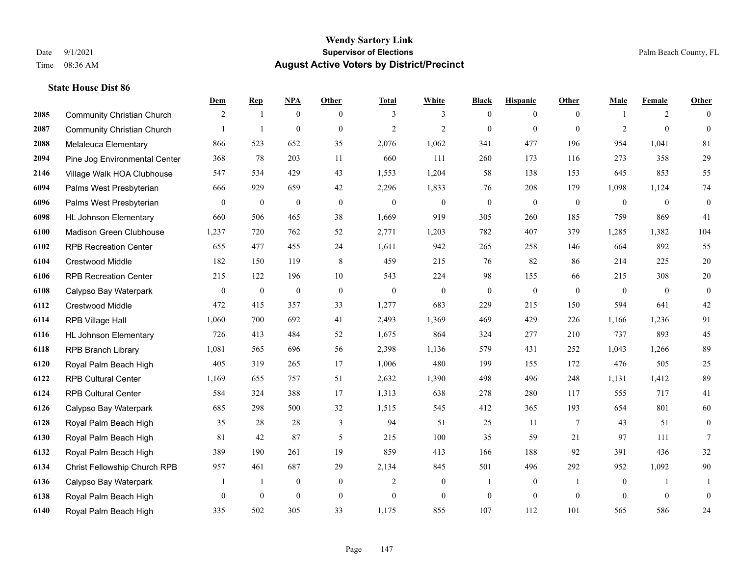|      |                                   | Dem            | <b>Rep</b>       | NPA              | <b>Other</b>     | <b>Total</b>     | <b>White</b>     | <b>Black</b>     | <b>Hispanic</b>  | <b>Other</b>   | <b>Male</b>    | <b>Female</b> | <b>Other</b>     |
|------|-----------------------------------|----------------|------------------|------------------|------------------|------------------|------------------|------------------|------------------|----------------|----------------|---------------|------------------|
| 2085 | <b>Community Christian Church</b> | 2              | $\mathbf{1}$     | $\boldsymbol{0}$ | $\overline{0}$   | 3                | 3                | $\mathbf{0}$     | $\overline{0}$   | $\theta$       |                | 2             | $\theta$         |
| 2087 | <b>Community Christian Church</b> |                | $\overline{1}$   | $\overline{0}$   | $\overline{0}$   | $\overline{2}$   | $\overline{2}$   | $\mathbf{0}$     | $\mathbf{0}$     | $\theta$       | $\overline{2}$ | $\mathbf{0}$  | $\mathbf{0}$     |
| 2088 | <b>Melaleuca Elementary</b>       | 866            | 523              | 652              | 35               | 2,076            | 1,062            | 341              | 477              | 196            | 954            | 1,041         | 81               |
| 2094 | Pine Jog Environmental Center     | 368            | 78               | 203              | 11               | 660              | 111              | 260              | 173              | 116            | 273            | 358           | $29\,$           |
| 2146 | Village Walk HOA Clubhouse        | 547            | 534              | 429              | 43               | 1,553            | 1,204            | 58               | 138              | 153            | 645            | 853           | 55               |
| 6094 | Palms West Presbyterian           | 666            | 929              | 659              | 42               | 2,296            | 1,833            | 76               | 208              | 179            | 1,098          | 1,124         | 74               |
| 6096 | Palms West Presbyterian           | $\overline{0}$ | $\boldsymbol{0}$ | $\boldsymbol{0}$ | $\boldsymbol{0}$ | $\boldsymbol{0}$ | $\boldsymbol{0}$ | $\boldsymbol{0}$ | $\boldsymbol{0}$ | $\mathbf{0}$   | $\mathbf{0}$   | $\mathbf{0}$  | $\boldsymbol{0}$ |
| 6098 | <b>HL Johnson Elementary</b>      | 660            | 506              | 465              | 38               | 1,669            | 919              | 305              | 260              | 185            | 759            | 869           | 41               |
| 6100 | Madison Green Clubhouse           | 1,237          | 720              | 762              | 52               | 2,771            | 1,203            | 782              | 407              | 379            | 1,285          | 1,382         | 104              |
| 6102 | <b>RPB Recreation Center</b>      | 655            | 477              | 455              | 24               | 1,611            | 942              | 265              | 258              | 146            | 664            | 892           | 55               |
| 6104 | Crestwood Middle                  | 182            | 150              | 119              | 8                | 459              | 215              | 76               | 82               | 86             | 214            | 225           | $20\,$           |
| 6106 | <b>RPB Recreation Center</b>      | 215            | 122              | 196              | 10               | 543              | 224              | 98               | 155              | 66             | 215            | 308           | $20\,$           |
| 6108 | Calypso Bay Waterpark             | $\mathbf{0}$   | $\boldsymbol{0}$ | $\boldsymbol{0}$ | $\mathbf{0}$     | $\mathbf{0}$     | $\mathbf{0}$     | $\boldsymbol{0}$ | $\mathbf{0}$     | $\theta$       | $\mathbf{0}$   | $\theta$      | $\boldsymbol{0}$ |
| 6112 | Crestwood Middle                  | 472            | 415              | 357              | 33               | 1,277            | 683              | 229              | 215              | 150            | 594            | 641           | $42\,$           |
| 6114 | RPB Village Hall                  | 1,060          | 700              | 692              | 41               | 2,493            | 1,369            | 469              | 429              | 226            | 1,166          | 1,236         | 91               |
| 6116 | <b>HL Johnson Elementary</b>      | 726            | 413              | 484              | 52               | 1,675            | 864              | 324              | 277              | 210            | 737            | 893           | 45               |
| 6118 | <b>RPB Branch Library</b>         | 1,081          | 565              | 696              | 56               | 2,398            | 1,136            | 579              | 431              | 252            | 1,043          | 1,266         | 89               |
| 6120 | Royal Palm Beach High             | 405            | 319              | 265              | 17               | 1,006            | 480              | 199              | 155              | 172            | 476            | 505           | $25\,$           |
| 6122 | <b>RPB Cultural Center</b>        | 1,169          | 655              | 757              | 51               | 2,632            | 1,390            | 498              | 496              | 248            | 1,131          | 1,412         | 89               |
| 6124 | <b>RPB Cultural Center</b>        | 584            | 324              | 388              | 17               | 1,313            | 638              | 278              | 280              | 117            | 555            | 717           | 41               |
| 6126 | Calypso Bay Waterpark             | 685            | 298              | 500              | 32               | 1,515            | 545              | 412              | 365              | 193            | 654            | 801           | 60               |
| 6128 | Royal Palm Beach High             | 35             | 28               | 28               | 3                | 94               | 51               | 25               | 11               | $\overline{7}$ | 43             | 51            | $\boldsymbol{0}$ |
| 6130 | Royal Palm Beach High             | 81             | 42               | 87               | 5                | 215              | 100              | 35               | 59               | 21             | 97             | 111           | 7                |
| 6132 | Royal Palm Beach High             | 389            | 190              | 261              | 19               | 859              | 413              | 166              | 188              | 92             | 391            | 436           | 32               |
| 6134 | Christ Fellowship Church RPB      | 957            | 461              | 687              | 29               | 2,134            | 845              | 501              | 496              | 292            | 952            | 1,092         | $90\,$           |
| 6136 | Calypso Bay Waterpark             | 1              | $\mathbf{1}$     | $\boldsymbol{0}$ | $\boldsymbol{0}$ | $\overline{2}$   | $\mathbf{0}$     | 1                | $\boldsymbol{0}$ | $\overline{1}$ | $\mathbf{0}$   | -1            | 1                |
| 6138 | Royal Palm Beach High             | $\mathbf{0}$   | $\theta$         | $\mathbf{0}$     | $\overline{0}$   | $\mathbf{0}$     | $\overline{0}$   | $\boldsymbol{0}$ | $\mathbf{0}$     | $\mathbf{0}$   | $\theta$       | $\mathbf{0}$  | $\mathbf{0}$     |
| 6140 | Royal Palm Beach High             | 335            | 502              | 305              | 33               | 1,175            | 855              | 107              | 112              | 101            | 565            | 586           | 24               |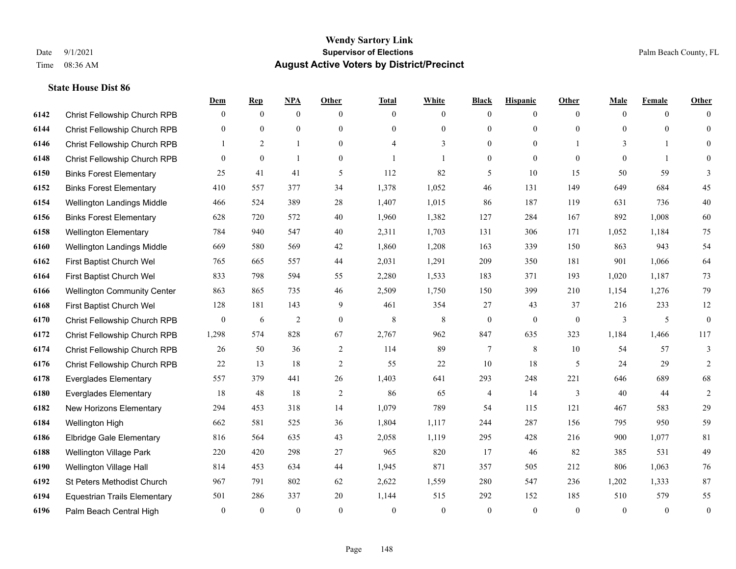|      |                                     | Dem              | <b>Rep</b>   | <u>NPA</u>     | <b>Other</b>   | <b>Total</b> | <b>White</b>   | <b>Black</b>     | <b>Hispanic</b> | <b>Other</b> | <b>Male</b>  | <b>Female</b>  | <b>Other</b>     |
|------|-------------------------------------|------------------|--------------|----------------|----------------|--------------|----------------|------------------|-----------------|--------------|--------------|----------------|------------------|
| 6142 | Christ Fellowship Church RPB        | $\mathbf{0}$     | $\mathbf{0}$ | $\mathbf{0}$   | $\theta$       | $\theta$     | $\overline{0}$ | $\mathbf{0}$     | $\overline{0}$  | $\theta$     | $\theta$     | $\overline{0}$ | $\Omega$         |
| 6144 | Christ Fellowship Church RPB        | $\mathbf{0}$     | $\mathbf{0}$ | $\mathbf{0}$   | $\Omega$       | $\Omega$     | $\overline{0}$ | $\mathbf{0}$     | $\mathbf{0}$    | $\theta$     | $\theta$     | $\theta$       | $\mathbf{0}$     |
| 6146 | Christ Fellowship Church RPB        | $\mathbf{1}$     | 2            | $\mathbf{1}$   | $\overline{0}$ | 4            | 3              | $\mathbf{0}$     | $\mathbf{0}$    |              | 3            | $\mathbf{1}$   | $\Omega$         |
| 6148 | Christ Fellowship Church RPB        | $\mathbf{0}$     | $\mathbf{0}$ | $\overline{1}$ | $\overline{0}$ |              | $\overline{1}$ | $\boldsymbol{0}$ | $\mathbf{0}$    | $\mathbf{0}$ | $\mathbf{0}$ | $\mathbf{1}$   | $\Omega$         |
| 6150 | <b>Binks Forest Elementary</b>      | 25               | 41           | 41             | 5              | 112          | 82             | 5                | 10              | 15           | 50           | 59             | 3                |
| 6152 | <b>Binks Forest Elementary</b>      | 410              | 557          | 377            | 34             | 1,378        | 1,052          | 46               | 131             | 149          | 649          | 684            | 45               |
| 6154 | Wellington Landings Middle          | 466              | 524          | 389            | 28             | 1,407        | 1,015          | 86               | 187             | 119          | 631          | 736            | $40\,$           |
| 6156 | <b>Binks Forest Elementary</b>      | 628              | 720          | 572            | 40             | 1,960        | 1,382          | 127              | 284             | 167          | 892          | 1,008          | 60               |
| 6158 | <b>Wellington Elementary</b>        | 784              | 940          | 547            | 40             | 2,311        | 1,703          | 131              | 306             | 171          | 1,052        | 1,184          | 75               |
| 6160 | Wellington Landings Middle          | 669              | 580          | 569            | 42             | 1,860        | 1,208          | 163              | 339             | 150          | 863          | 943            | 54               |
| 6162 | First Baptist Church Wel            | 765              | 665          | 557            | 44             | 2,031        | 1,291          | 209              | 350             | 181          | 901          | 1,066          | 64               |
| 6164 | First Baptist Church Wel            | 833              | 798          | 594            | 55             | 2,280        | 1,533          | 183              | 371             | 193          | 1,020        | 1,187          | 73               |
| 6166 | <b>Wellington Community Center</b>  | 863              | 865          | 735            | 46             | 2,509        | 1,750          | 150              | 399             | 210          | 1,154        | 1,276          | 79               |
| 6168 | First Baptist Church Wel            | 128              | 181          | 143            | 9              | 461          | 354            | 27               | 43              | 37           | 216          | 233            | 12               |
| 6170 | Christ Fellowship Church RPB        | $\boldsymbol{0}$ | 6            | $\overline{2}$ | $\overline{0}$ | 8            | 8              | $\mathbf{0}$     | $\mathbf{0}$    | $\mathbf{0}$ | 3            | 5              | $\mathbf{0}$     |
| 6172 | Christ Fellowship Church RPB        | 1,298            | 574          | 828            | 67             | 2,767        | 962            | 847              | 635             | 323          | 1,184        | 1,466          | 117              |
| 6174 | Christ Fellowship Church RPB        | 26               | 50           | 36             | 2              | 114          | 89             | 7                | 8               | 10           | 54           | 57             | 3                |
| 6176 | Christ Fellowship Church RPB        | 22               | 13           | 18             | $\overline{2}$ | 55           | 22             | 10               | 18              | 5            | 24           | 29             | $\overline{c}$   |
| 6178 | <b>Everglades Elementary</b>        | 557              | 379          | 441            | 26             | 1,403        | 641            | 293              | 248             | 221          | 646          | 689            | 68               |
| 6180 | <b>Everglades Elementary</b>        | 18               | 48           | 18             | 2              | 86           | 65             | 4                | 14              | 3            | 40           | 44             | $\overline{2}$   |
| 6182 | New Horizons Elementary             | 294              | 453          | 318            | 14             | 1,079        | 789            | 54               | 115             | 121          | 467          | 583            | 29               |
| 6184 | Wellington High                     | 662              | 581          | 525            | 36             | 1,804        | 1,117          | 244              | 287             | 156          | 795          | 950            | 59               |
| 6186 | <b>Elbridge Gale Elementary</b>     | 816              | 564          | 635            | 43             | 2,058        | 1,119          | 295              | 428             | 216          | 900          | 1,077          | 81               |
| 6188 | <b>Wellington Village Park</b>      | 220              | 420          | 298            | 27             | 965          | 820            | 17               | 46              | 82           | 385          | 531            | 49               |
| 6190 | Wellington Village Hall             | 814              | 453          | 634            | 44             | 1,945        | 871            | 357              | 505             | 212          | 806          | 1.063          | 76               |
| 6192 | St Peters Methodist Church          | 967              | 791          | 802            | 62             | 2,622        | 1,559          | 280              | 547             | 236          | 1,202        | 1,333          | 87               |
| 6194 | <b>Equestrian Trails Elementary</b> | 501              | 286          | 337            | 20             | 1,144        | 515            | 292              | 152             | 185          | 510          | 579            | 55               |
| 6196 | Palm Beach Central High             | $\mathbf{0}$     | $\mathbf{0}$ | $\mathbf{0}$   | $\theta$       | $\theta$     | $\overline{0}$ | $\mathbf{0}$     | $\theta$        | $\theta$     | $\theta$     | $\mathbf{0}$   | $\boldsymbol{0}$ |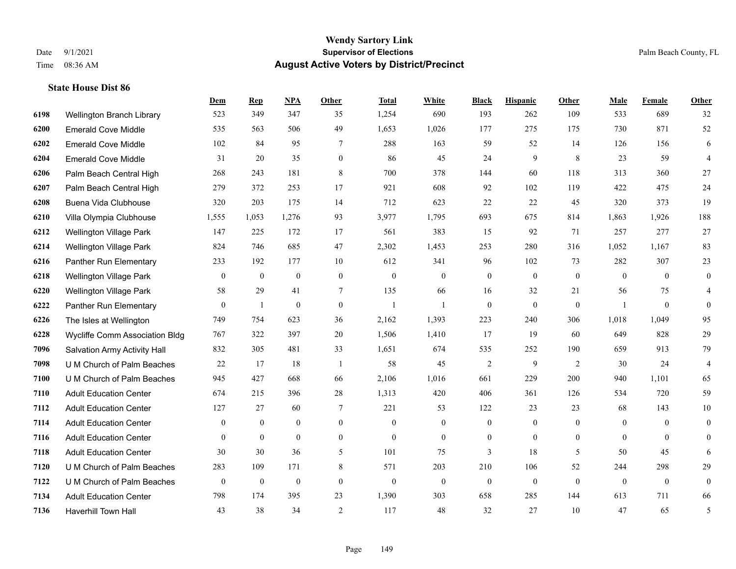|      |                                       | Dem              | <b>Rep</b>       | NPA              | <b>Other</b>     | <b>Total</b>     | <b>White</b>     | <b>Black</b>     | <b>Hispanic</b>  | Other          | <b>Male</b>    | <b>Female</b>    | <b>Other</b>   |
|------|---------------------------------------|------------------|------------------|------------------|------------------|------------------|------------------|------------------|------------------|----------------|----------------|------------------|----------------|
| 6198 | Wellington Branch Library             | 523              | 349              | 347              | 35               | 1,254            | 690              | 193              | 262              | 109            | 533            | 689              | 32             |
| 6200 | <b>Emerald Cove Middle</b>            | 535              | 563              | 506              | 49               | 1,653            | 1,026            | 177              | 275              | 175            | 730            | 871              | 52             |
| 6202 | <b>Emerald Cove Middle</b>            | 102              | 84               | 95               | 7                | 288              | 163              | 59               | 52               | 14             | 126            | 156              | 6              |
| 6204 | <b>Emerald Cove Middle</b>            | 31               | 20               | 35               | $\boldsymbol{0}$ | 86               | 45               | 24               | 9                | 8              | 23             | 59               | $\overline{4}$ |
| 6206 | Palm Beach Central High               | 268              | 243              | 181              | 8                | 700              | 378              | 144              | 60               | 118            | 313            | 360              | 27             |
| 6207 | Palm Beach Central High               | 279              | 372              | 253              | 17               | 921              | 608              | 92               | 102              | 119            | 422            | 475              | 24             |
| 6208 | Buena Vida Clubhouse                  | 320              | 203              | 175              | 14               | 712              | 623              | 22               | 22               | 45             | 320            | 373              | 19             |
| 6210 | Villa Olympia Clubhouse               | 1,555            | 1,053            | 1,276            | 93               | 3,977            | 1,795            | 693              | 675              | 814            | 1,863          | 1,926            | 188            |
| 6212 | <b>Wellington Village Park</b>        | 147              | 225              | 172              | 17               | 561              | 383              | 15               | 92               | 71             | 257            | 277              | $27\,$         |
| 6214 | <b>Wellington Village Park</b>        | 824              | 746              | 685              | 47               | 2,302            | 1,453            | 253              | 280              | 316            | 1,052          | 1,167            | 83             |
| 6216 | Panther Run Elementary                | 233              | 192              | 177              | 10               | 612              | 341              | 96               | 102              | 73             | 282            | 307              | $23\,$         |
| 6218 | <b>Wellington Village Park</b>        | $\mathbf{0}$     | $\mathbf{0}$     | $\boldsymbol{0}$ | $\mathbf{0}$     | $\boldsymbol{0}$ | $\boldsymbol{0}$ | $\mathbf{0}$     | $\mathbf{0}$     | $\mathbf{0}$   | $\overline{0}$ | $\theta$         | $\overline{0}$ |
| 6220 | <b>Wellington Village Park</b>        | 58               | 29               | 41               | $\tau$           | 135              | 66               | 16               | 32               | 21             | 56             | 75               | $\overline{4}$ |
| 6222 | Panther Run Elementary                | $\boldsymbol{0}$ | 1                | $\boldsymbol{0}$ | $\boldsymbol{0}$ | $\mathbf{1}$     |                  | $\boldsymbol{0}$ | $\boldsymbol{0}$ | $\mathbf{0}$   | $\overline{1}$ | $\boldsymbol{0}$ | $\mathbf{0}$   |
| 6226 | The Isles at Wellington               | 749              | 754              | 623              | 36               | 2,162            | 1,393            | 223              | 240              | 306            | 1,018          | 1,049            | 95             |
| 6228 | <b>Wycliffe Comm Association Bldg</b> | 767              | 322              | 397              | 20               | 1,506            | 1,410            | 17               | 19               | 60             | 649            | 828              | 29             |
| 7096 | Salvation Army Activity Hall          | 832              | 305              | 481              | 33               | 1,651            | 674              | 535              | 252              | 190            | 659            | 913              | 79             |
| 7098 | U M Church of Palm Beaches            | 22               | 17               | 18               | $\overline{1}$   | 58               | 45               | 2                | 9                | 2              | 30             | 24               | $\overline{4}$ |
| 7100 | U M Church of Palm Beaches            | 945              | 427              | 668              | 66               | 2,106            | 1,016            | 661              | 229              | 200            | 940            | 1,101            | 65             |
| 7110 | <b>Adult Education Center</b>         | 674              | 215              | 396              | 28               | 1,313            | 420              | 406              | 361              | 126            | 534            | 720              | 59             |
| 7112 | <b>Adult Education Center</b>         | 127              | 27               | 60               | $\tau$           | 221              | 53               | 122              | 23               | 23             | 68             | 143              | $10\,$         |
| 7114 | <b>Adult Education Center</b>         | $\mathbf{0}$     | $\mathbf{0}$     | $\mathbf{0}$     | $\mathbf{0}$     | $\mathbf{0}$     | $\overline{0}$   | $\mathbf{0}$     | $\overline{0}$   | $\theta$       | $\mathbf{0}$   | $\theta$         | $\mathbf{0}$   |
| 7116 | <b>Adult Education Center</b>         | $\mathbf{0}$     | $\boldsymbol{0}$ | $\mathbf{0}$     | $\overline{0}$   | $\mathbf{0}$     | $\boldsymbol{0}$ | 0                | $\overline{0}$   | $\overline{0}$ | $\overline{0}$ | $\overline{0}$   | $\mathbf{0}$   |
| 7118 | <b>Adult Education Center</b>         | 30               | 30               | 36               | 5                | 101              | 75               | 3                | 18               | 5              | 50             | 45               | 6              |
| 7120 | U M Church of Palm Beaches            | 283              | 109              | 171              | 8                | 571              | 203              | 210              | 106              | 52             | 244            | 298              | 29             |
| 7122 | U M Church of Palm Beaches            | $\overline{0}$   | $\boldsymbol{0}$ | $\boldsymbol{0}$ | $\mathbf{0}$     | $\boldsymbol{0}$ | $\mathbf{0}$     | $\boldsymbol{0}$ | $\boldsymbol{0}$ | $\mathbf{0}$   | $\overline{0}$ | $\mathbf{0}$     | $\overline{0}$ |
| 7134 | <b>Adult Education Center</b>         | 798              | 174              | 395              | 23               | 1,390            | 303              | 658              | 285              | 144            | 613            | 711              | 66             |
| 7136 | <b>Haverhill Town Hall</b>            | 43               | 38               | 34               | 2                | 117              | 48               | 32               | 27               | 10             | 47             | 65               | 5              |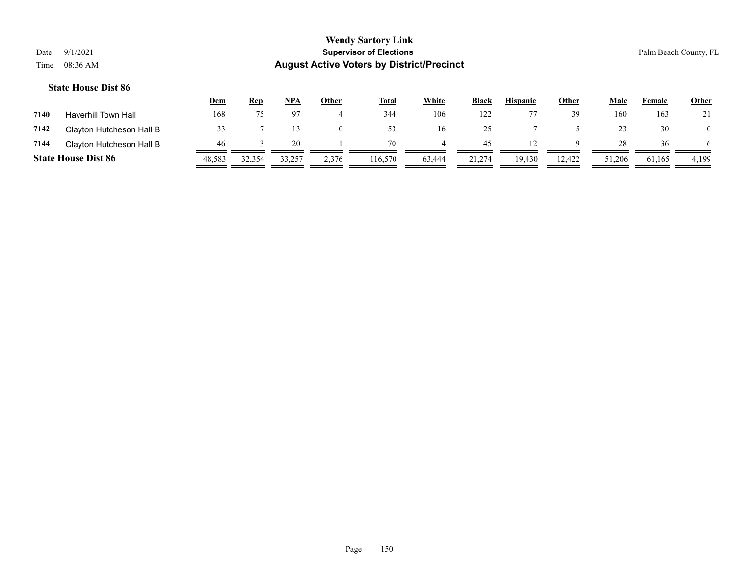|      |                            | <u>Dem</u> | Rep    | <b>NPA</b> | <u>Other</u> | <b>Total</b> | White  | <b>Black</b> | <b>Hispanic</b> | Other  | Male   | Female | <b>Other</b> |
|------|----------------------------|------------|--------|------------|--------------|--------------|--------|--------------|-----------------|--------|--------|--------|--------------|
| 7140 | <b>Haverhill Town Hall</b> | 168        |        |            |              | 344          | 106    | 122          |                 | 39     | 160    | 163    | 21           |
| 7142 | Clayton Hutcheson Hall B   |            |        |            | $\Omega$     | 53           | 16     | 25           |                 |        | 23     | 30     |              |
| 7144 | Clayton Hutcheson Hall B   | 46         |        | 20.        |              | 70           |        | 45           |                 | Q      | 28     | 36     | 6.           |
|      | <b>State House Dist 86</b> | 48,583     | 32,354 | 33,257     | 2,376        | 116,570      | 63,444 | 21,274       | 19.430          | 12,422 | 51,206 | 61,165 | 4,199        |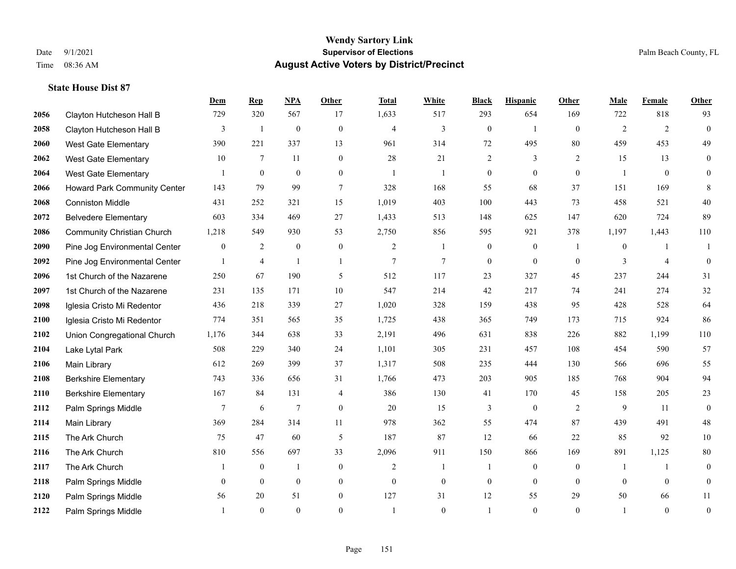|      |                                   | Dem          | <b>Rep</b>     | NPA            | <b>Other</b>   | <b>Total</b>   | <b>White</b>   | <b>Black</b>     | <b>Hispanic</b> | Other          | <b>Male</b>    | <b>Female</b>  | <b>Other</b>     |
|------|-----------------------------------|--------------|----------------|----------------|----------------|----------------|----------------|------------------|-----------------|----------------|----------------|----------------|------------------|
| 2056 | Clayton Hutcheson Hall B          | 729          | 320            | 567            | 17             | 1,633          | 517            | 293              | 654             | 169            | 722            | 818            | 93               |
| 2058 | Clayton Hutcheson Hall B          | 3            | $\mathbf{1}$   | $\mathbf{0}$   | $\mathbf{0}$   | $\overline{4}$ | $\overline{3}$ | $\overline{0}$   | $\mathbf{1}$    | $\theta$       | 2              | 2              | $\mathbf{0}$     |
| 2060 | West Gate Elementary              | 390          | 221            | 337            | 13             | 961            | 314            | 72               | 495             | 80             | 459            | 453            | 49               |
| 2062 | <b>West Gate Elementary</b>       | 10           | $\tau$         | 11             | $\mathbf{0}$   | 28             | 21             | $\overline{c}$   | 3               | $\overline{2}$ | 15             | 13             | $\overline{0}$   |
| 2064 | <b>West Gate Elementary</b>       |              | $\overline{0}$ | $\mathbf{0}$   | $\theta$       | $\mathbf{1}$   | 1              | $\overline{0}$   | $\Omega$        | $\theta$       | $\overline{1}$ | $\theta$       | $\overline{0}$   |
| 2066 | Howard Park Community Center      | 143          | 79             | 99             | $\overline{7}$ | 328            | 168            | 55               | 68              | 37             | 151            | 169            | 8                |
| 2068 | <b>Conniston Middle</b>           | 431          | 252            | 321            | 15             | 1,019          | 403            | 100              | 443             | 73             | 458            | 521            | 40               |
| 2072 | <b>Belvedere Elementary</b>       | 603          | 334            | 469            | 27             | 1,433          | 513            | 148              | 625             | 147            | 620            | 724            | 89               |
| 2086 | <b>Community Christian Church</b> | 1,218        | 549            | 930            | 53             | 2,750          | 856            | 595              | 921             | 378            | 1,197          | 1,443          | 110              |
| 2090 | Pine Jog Environmental Center     | $\mathbf{0}$ | $\overline{2}$ | $\mathbf{0}$   | $\mathbf{0}$   | $\overline{c}$ | 1              | $\boldsymbol{0}$ | $\overline{0}$  | $\overline{1}$ | $\overline{0}$ |                | -1               |
| 2092 | Pine Jog Environmental Center     |              | $\overline{4}$ | $\mathbf{1}$   | $\mathbf{1}$   | $\overline{7}$ | $\tau$         | $\overline{0}$   | $\Omega$        | $\theta$       | 3              | $\overline{4}$ | $\theta$         |
| 2096 | 1st Church of the Nazarene        | 250          | 67             | 190            | 5              | 512            | 117            | 23               | 327             | 45             | 237            | 244            | 31               |
| 2097 | 1st Church of the Nazarene        | 231          | 135            | 171            | 10             | 547            | 214            | 42               | 217             | 74             | 241            | 274            | 32               |
| 2098 | Iglesia Cristo Mi Redentor        | 436          | 218            | 339            | 27             | 1,020          | 328            | 159              | 438             | 95             | 428            | 528            | 64               |
| 2100 | Iglesia Cristo Mi Redentor        | 774          | 351            | 565            | 35             | 1,725          | 438            | 365              | 749             | 173            | 715            | 924            | 86               |
| 2102 | Union Congregational Church       | 1,176        | 344            | 638            | 33             | 2,191          | 496            | 631              | 838             | 226            | 882            | 1,199          | 110              |
| 2104 | Lake Lytal Park                   | 508          | 229            | 340            | 24             | 1,101          | 305            | 231              | 457             | 108            | 454            | 590            | 57               |
| 2106 | Main Library                      | 612          | 269            | 399            | 37             | 1,317          | 508            | 235              | 444             | 130            | 566            | 696            | 55               |
| 2108 | <b>Berkshire Elementary</b>       | 743          | 336            | 656            | 31             | 1,766          | 473            | 203              | 905             | 185            | 768            | 904            | 94               |
| 2110 | <b>Berkshire Elementary</b>       | 167          | 84             | 131            | 4              | 386            | 130            | 41               | 170             | 45             | 158            | 205            | 23               |
| 2112 | Palm Springs Middle               | 7            | 6              | $\overline{7}$ | $\overline{0}$ | 20             | 15             | 3                | $\mathbf{0}$    | 2              | 9              | 11             | $\mathbf{0}$     |
| 2114 | Main Library                      | 369          | 284            | 314            | 11             | 978            | 362            | 55               | 474             | 87             | 439            | 491            | $48\,$           |
| 2115 | The Ark Church                    | 75           | 47             | 60             | 5              | 187            | 87             | 12               | 66              | 22             | 85             | 92             | $10\,$           |
| 2116 | The Ark Church                    | 810          | 556            | 697            | 33             | 2,096          | 911            | 150              | 866             | 169            | 891            | 1,125          | $80\,$           |
| 2117 | The Ark Church                    |              | $\mathbf{0}$   | $\overline{1}$ | $\mathbf{0}$   | $\overline{c}$ | 1              |                  | $\overline{0}$  | $\theta$       | $\overline{1}$ |                | $\mathbf{0}$     |
| 2118 | Palm Springs Middle               | $\mathbf{0}$ | $\mathbf{0}$   | $\mathbf{0}$   | $\overline{0}$ | $\mathbf{0}$   | $\overline{0}$ | $\mathbf{0}$     | $\overline{0}$  | $\theta$       | $\theta$       | $\theta$       | $\mathbf{0}$     |
| 2120 | Palm Springs Middle               | 56           | 20             | 51             | $\overline{0}$ | 127            | 31             | 12               | 55              | 29             | 50             | 66             | 11               |
| 2122 | Palm Springs Middle               |              | $\theta$       | $\theta$       | $\theta$       | $\mathbf{1}$   | $\theta$       |                  | $\Omega$        | $\theta$       | $\overline{1}$ | $\theta$       | $\boldsymbol{0}$ |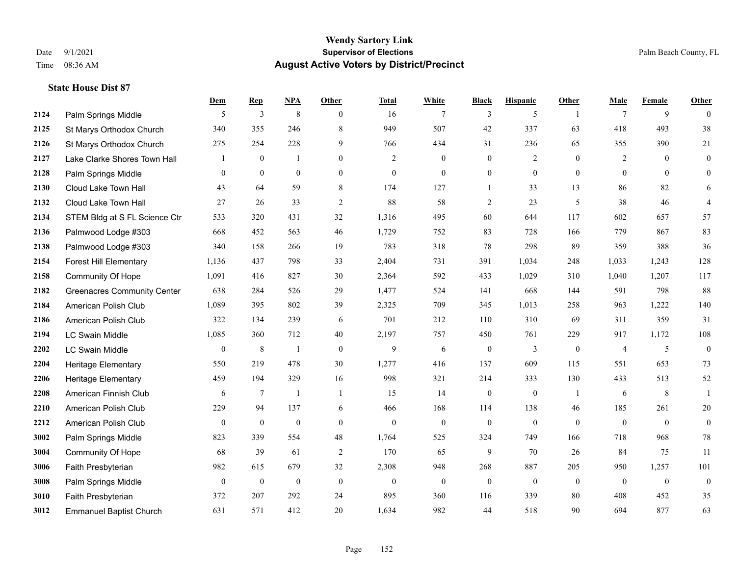**State House Dist 87**

#### **Wendy Sartory Link** Date 9/1/2021 **Supervisor of Elections** Palm Beach County, FL Time 08:36 AM **August Active Voters by District/Precinct**

# **Dem Rep NPA Other Total White Black Hispanic Other Male Female Other 2124** Palm Springs Middle  $\begin{array}{ccccccccccccc} & 5 & 3 & 8 & 0 & 16 & 7 & 3 & 5 & 1 & 7 & 9 & 0 \end{array}$ 2125 St Marys Orthodox Church 340 355 246 8 949 507 42 337 63 418 493 38 St Marys Orthodox Church 275 254 228 9 766 434 31 236 65 355 390 21 Lake Clarke Shores Town Hall  $\begin{array}{ccccccccc} 1 & 0 & 1 & 0 & 2 & 0 & 0 & 2 & 0 & 2 & 0 & 0 \end{array}$  Palm Springs Middle 0 0 0 0 0 0 0 0 0 0 0 0 Cloud Lake Town Hall 43 64 59 8 174 127 1 33 13 86 82 6 Cloud Lake Town Hall 27 26 33 2 88 58 2 23 5 38 46 4 STEM Bldg at S FL Science Ctr 533 320 431 32 1,316 495 60 644 117 602 657 57 Palmwood Lodge #303 668 452 563 46 1,729 752 83 728 166 779 867 83 Palmwood Lodge #303 340 158 266 19 783 318 78 298 89 359 388 36 Forest Hill Elementary 1,136 437 798 33 2,404 731 391 1,034 248 1,033 1,243 128 Community Of Hope 1,091 416 827 30 2,364 592 433 1,029 310 1,040 1,207 117 Greenacres Community Center 638 284 526 29 1,477 524 141 668 144 591 798 88 American Polish Club 1,089 395 802 39 2,325 709 345 1,013 258 963 1,222 140 American Polish Club 322 134 239 6 701 212 110 310 69 311 359 31 LC Swain Middle 1,085 360 712 40 2,197 757 450 761 229 917 1,172 108 LC Swain Middle 0 8 1 0 9 6 0 3 0 4 5 0 Heritage Elementary 550 219 478 30 1,277 416 137 609 115 551 653 73 Heritage Elementary 459 194 329 16 998 321 214 333 130 433 513 52 American Finnish Club 6 7 1 1 15 14 0 0 1 6 8 1 American Polish Club 229 94 137 6 466 168 114 138 46 185 261 20 American Polish Club 0 0 0 0 0 0 0 0 0 0 0 0 Palm Springs Middle 823 339 554 48 1,764 525 324 749 166 718 968 78 Community Of Hope 68 39 61 2 170 65 9 70 26 84 75 11 Faith Presbyterian 982 615 679 32 2,308 948 268 887 205 950 1,257 101 Palm Springs Middle 0 0 0 0 0 0 0 0 0 0 0 0 Faith Presbyterian 372 207 292 24 895 360 116 339 80 408 452 35 Emmanuel Baptist Church 631 571 412 20 1,634 982 44 518 90 694 877 63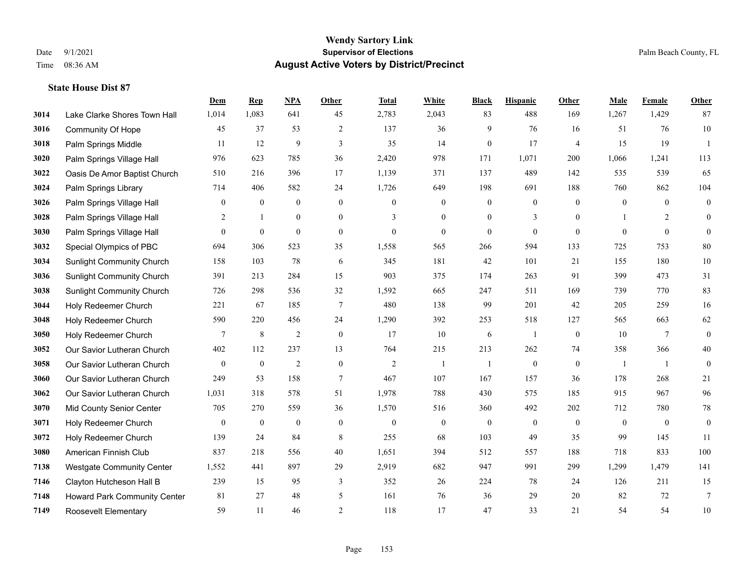|      |                                  | Dem              | <b>Rep</b>       | NPA              | <b>Other</b>     | <b>Total</b>     | <b>White</b>     | <b>Black</b>     | <b>Hispanic</b> | <b>Other</b>     | <b>Male</b>  | <b>Female</b>    | <b>Other</b>     |
|------|----------------------------------|------------------|------------------|------------------|------------------|------------------|------------------|------------------|-----------------|------------------|--------------|------------------|------------------|
| 3014 | Lake Clarke Shores Town Hall     | 1,014            | 1,083            | 641              | 45               | 2,783            | 2,043            | 83               | 488             | 169              | 1,267        | 1,429            | 87               |
| 3016 | <b>Community Of Hope</b>         | 45               | 37               | 53               | 2                | 137              | 36               | 9                | 76              | 16               | 51           | 76               | 10               |
| 3018 | Palm Springs Middle              | 11               | 12               | 9                | 3                | 35               | 14               | $\mathbf{0}$     | 17              | $\overline{4}$   | 15           | 19               | $\overline{1}$   |
| 3020 | Palm Springs Village Hall        | 976              | 623              | 785              | 36               | 2,420            | 978              | 171              | 1,071           | 200              | 1,066        | 1,241            | 113              |
| 3022 | Oasis De Amor Baptist Church     | 510              | 216              | 396              | 17               | 1,139            | 371              | 137              | 489             | 142              | 535          | 539              | 65               |
| 3024 | Palm Springs Library             | 714              | 406              | 582              | 24               | 1,726            | 649              | 198              | 691             | 188              | 760          | 862              | 104              |
| 3026 | Palm Springs Village Hall        | $\boldsymbol{0}$ | $\boldsymbol{0}$ | $\boldsymbol{0}$ | $\mathbf{0}$     | $\overline{0}$   | $\mathbf{0}$     | $\boldsymbol{0}$ | $\mathbf{0}$    | $\mathbf{0}$     | $\mathbf{0}$ | $\overline{0}$   | $\boldsymbol{0}$ |
| 3028 | Palm Springs Village Hall        | 2                | $\mathbf{1}$     | $\mathbf{0}$     | $\overline{0}$   | 3                | $\overline{0}$   | $\overline{0}$   | 3               | $\theta$         | -1           | 2                | $\overline{0}$   |
| 3030 | Palm Springs Village Hall        | $\mathbf{0}$     | $\mathbf{0}$     | $\mathbf{0}$     | $\mathbf{0}$     | $\theta$         | $\overline{0}$   | $\overline{0}$   | $\overline{0}$  | $\mathbf{0}$     | $\theta$     | $\mathbf{0}$     | $\theta$         |
| 3032 | Special Olympics of PBC          | 694              | 306              | 523              | 35               | 1,558            | 565              | 266              | 594             | 133              | 725          | 753              | $80\,$           |
| 3034 | <b>Sunlight Community Church</b> | 158              | 103              | 78               | 6                | 345              | 181              | 42               | 101             | 21               | 155          | 180              | $10\,$           |
| 3036 | <b>Sunlight Community Church</b> | 391              | 213              | 284              | 15               | 903              | 375              | 174              | 263             | 91               | 399          | 473              | 31               |
| 3038 | <b>Sunlight Community Church</b> | 726              | 298              | 536              | 32               | 1,592            | 665              | 247              | 511             | 169              | 739          | 770              | 83               |
| 3044 | Holy Redeemer Church             | 221              | 67               | 185              | $\tau$           | 480              | 138              | 99               | 201             | 42               | 205          | 259              | 16               |
| 3048 | Holy Redeemer Church             | 590              | 220              | 456              | 24               | 1,290            | 392              | 253              | 518             | 127              | 565          | 663              | 62               |
| 3050 | Holy Redeemer Church             | 7                | 8                | $\overline{2}$   | $\mathbf{0}$     | 17               | 10               | 6                | -1              | $\mathbf{0}$     | 10           | $\tau$           | $\mathbf{0}$     |
| 3052 | Our Savior Lutheran Church       | 402              | 112              | 237              | 13               | 764              | 215              | 213              | 262             | 74               | 358          | 366              | 40               |
| 3058 | Our Savior Lutheran Church       | $\overline{0}$   | $\boldsymbol{0}$ | $\overline{c}$   | $\boldsymbol{0}$ | $\overline{2}$   | 1                | -1               | $\overline{0}$  | $\mathbf{0}$     | -1           | $\overline{1}$   | $\overline{0}$   |
| 3060 | Our Savior Lutheran Church       | 249              | 53               | 158              | $\tau$           | 467              | 107              | 167              | 157             | 36               | 178          | 268              | 21               |
| 3062 | Our Savior Lutheran Church       | 1,031            | 318              | 578              | 51               | 1,978            | 788              | 430              | 575             | 185              | 915          | 967              | 96               |
| 3070 | Mid County Senior Center         | 705              | 270              | 559              | 36               | 1,570            | 516              | 360              | 492             | 202              | 712          | 780              | $78\,$           |
| 3071 | Holy Redeemer Church             | $\boldsymbol{0}$ | $\boldsymbol{0}$ | $\boldsymbol{0}$ | $\mathbf{0}$     | $\boldsymbol{0}$ | $\boldsymbol{0}$ | $\boldsymbol{0}$ | $\mathbf{0}$    | $\boldsymbol{0}$ | $\mathbf{0}$ | $\boldsymbol{0}$ | $\mathbf{0}$     |
| 3072 | Holy Redeemer Church             | 139              | 24               | 84               | 8                | 255              | 68               | 103              | 49              | 35               | 99           | 145              | 11               |
| 3080 | American Finnish Club            | 837              | 218              | 556              | 40               | 1,651            | 394              | 512              | 557             | 188              | 718          | 833              | 100              |
| 7138 | <b>Westgate Community Center</b> | 1,552            | 441              | 897              | 29               | 2,919            | 682              | 947              | 991             | 299              | 1,299        | 1,479            | 141              |
| 7146 | Clayton Hutcheson Hall B         | 239              | 15               | 95               | 3                | 352              | 26               | 224              | 78              | 24               | 126          | 211              | 15               |
| 7148 | Howard Park Community Center     | 81               | 27               | 48               | 5                | 161              | 76               | 36               | 29              | 20               | 82           | 72               | $7\phantom{.0}$  |
| 7149 | <b>Roosevelt Elementary</b>      | 59               | 11               | 46               | $\overline{2}$   | 118              | 17               | 47               | 33              | 21               | 54           | 54               | 10               |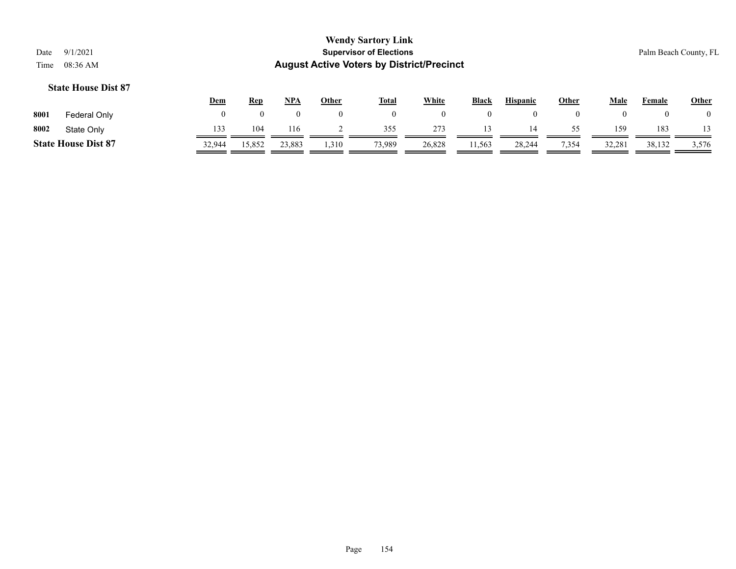|      |                            | <u>Dem</u> | <u>Rep</u> | <b>NPA</b> | Other | <b>Total</b> | <b>White</b> | <b>Black</b> | <b>Hispanic</b> | Other | Male   | Female | <b>Other</b> |
|------|----------------------------|------------|------------|------------|-------|--------------|--------------|--------------|-----------------|-------|--------|--------|--------------|
| 8001 | Federal Only               |            |            |            |       |              |              | $\theta$     |                 |       |        |        |              |
| 8002 | State Only                 | 133        | 104        | 116        |       | 355          | 273          |              | 14              | 55.   | 159    | 183    |              |
|      | <b>State House Dist 87</b> | 32.944     | 15,852     | 23,883     | .310  | 73,989       | 26,828       | 11,563       | 28,244          | 7,354 | 32,281 | 38,132 | 3,576        |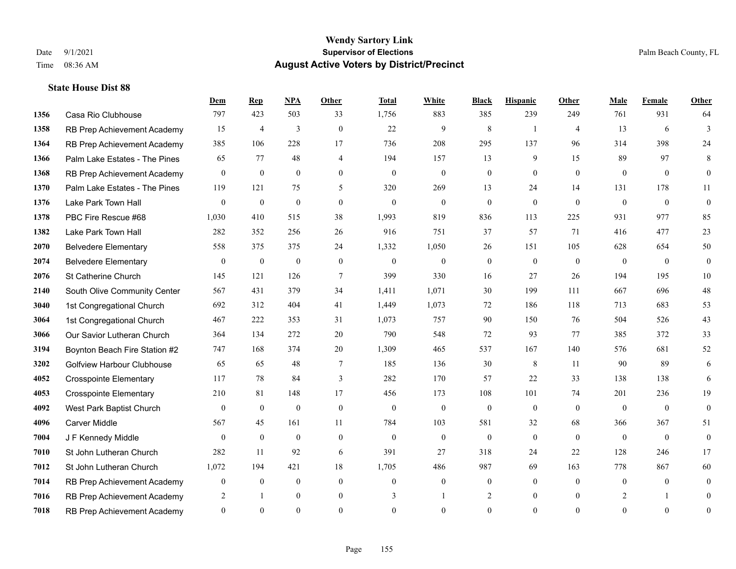|      |                                   | Dem            | <b>Rep</b>       | NPA              | <b>Other</b>   | <b>Total</b> | <b>White</b>     | <b>Black</b>     | <b>Hispanic</b> | Other          | <b>Male</b>  | Female         | <b>Other</b>     |
|------|-----------------------------------|----------------|------------------|------------------|----------------|--------------|------------------|------------------|-----------------|----------------|--------------|----------------|------------------|
| 1356 | Casa Rio Clubhouse                | 797            | 423              | 503              | 33             | 1,756        | 883              | 385              | 239             | 249            | 761          | 931            | 64               |
| 1358 | RB Prep Achievement Academy       | 15             | $\overline{4}$   | 3                | $\theta$       | 22           | 9                | 8                | 1               | $\overline{4}$ | 13           | 6              | $\overline{3}$   |
| 1364 | RB Prep Achievement Academy       | 385            | 106              | 228              | 17             | 736          | 208              | 295              | 137             | 96             | 314          | 398            | 24               |
| 1366 | Palm Lake Estates - The Pines     | 65             | 77               | 48               | $\overline{4}$ | 194          | 157              | 13               | 9               | 15             | 89           | 97             | 8                |
| 1368 | RB Prep Achievement Academy       | $\mathbf{0}$   | $\mathbf{0}$     | $\mathbf{0}$     | $\theta$       | $\Omega$     | $\overline{0}$   | $\mathbf{0}$     | $\theta$        | $\theta$       | $\theta$     | $\theta$       | $\overline{0}$   |
| 1370 | Palm Lake Estates - The Pines     | 119            | 121              | 75               | 5              | 320          | 269              | 13               | 24              | 14             | 131          | 178            | 11               |
| 1376 | Lake Park Town Hall               | $\mathbf{0}$   | $\mathbf{0}$     | $\mathbf{0}$     | $\overline{0}$ | $\theta$     | $\mathbf{0}$     | $\mathbf{0}$     | $\mathbf{0}$    | $\theta$       | $\mathbf{0}$ | $\theta$       | $\boldsymbol{0}$ |
| 1378 | PBC Fire Rescue #68               | 1,030          | 410              | 515              | 38             | 1,993        | 819              | 836              | 113             | 225            | 931          | 977            | 85               |
| 1382 | Lake Park Town Hall               | 282            | 352              | 256              | 26             | 916          | 751              | 37               | 57              | 71             | 416          | 477            | 23               |
| 2070 | <b>Belvedere Elementary</b>       | 558            | 375              | 375              | 24             | 1,332        | 1,050            | 26               | 151             | 105            | 628          | 654            | 50               |
| 2074 | <b>Belvedere Elementary</b>       | $\overline{0}$ | $\mathbf{0}$     | $\mathbf{0}$     | $\theta$       | $\Omega$     | $\overline{0}$   | $\mathbf{0}$     | $\theta$        | $\theta$       | $\theta$     | $\theta$       | $\mathbf{0}$     |
| 2076 | St Catherine Church               | 145            | 121              | 126              | $\tau$         | 399          | 330              | 16               | 27              | 26             | 194          | 195            | 10               |
| 2140 | South Olive Community Center      | 567            | 431              | 379              | 34             | 1,411        | 1,071            | 30               | 199             | 111            | 667          | 696            | $48\,$           |
| 3040 | 1st Congregational Church         | 692            | 312              | 404              | 41             | 1,449        | 1,073            | 72               | 186             | 118            | 713          | 683            | 53               |
| 3064 | 1st Congregational Church         | 467            | 222              | 353              | 31             | 1,073        | 757              | 90               | 150             | 76             | 504          | 526            | 43               |
| 3066 | Our Savior Lutheran Church        | 364            | 134              | 272              | 20             | 790          | 548              | 72               | 93              | 77             | 385          | 372            | 33               |
| 3194 | Boynton Beach Fire Station #2     | 747            | 168              | 374              | $20\,$         | 1,309        | 465              | 537              | 167             | 140            | 576          | 681            | 52               |
| 3202 | <b>Golfview Harbour Clubhouse</b> | 65             | 65               | 48               | 7              | 185          | 136              | 30               | 8               | -11            | 90           | 89             | 6                |
| 4052 | <b>Crosspointe Elementary</b>     | 117            | 78               | 84               | 3              | 282          | 170              | 57               | 22              | 33             | 138          | 138            | 6                |
| 4053 | <b>Crosspointe Elementary</b>     | 210            | 81               | 148              | 17             | 456          | 173              | 108              | 101             | 74             | 201          | 236            | 19               |
| 4092 | West Park Baptist Church          | $\theta$       | $\mathbf{0}$     | $\mathbf{0}$     | $\theta$       | $\theta$     | $\overline{0}$   | $\mathbf{0}$     | $\mathbf{0}$    | $\theta$       | $\theta$     | $\theta$       | $\mathbf{0}$     |
| 4096 | <b>Carver Middle</b>              | 567            | 45               | 161              | 11             | 784          | 103              | 581              | 32              | 68             | 366          | 367            | 51               |
| 7004 | J F Kennedy Middle                | $\mathbf{0}$   | $\mathbf{0}$     | $\boldsymbol{0}$ | $\overline{0}$ | $\theta$     | $\overline{0}$   | $\boldsymbol{0}$ | $\mathbf{0}$    | $\theta$       | $\mathbf{0}$ | $\overline{0}$ | $\boldsymbol{0}$ |
| 7010 | St John Lutheran Church           | 282            | 11               | 92               | 6              | 391          | 27               | 318              | 24              | 22             | 128          | 246            | 17               |
| 7012 | St John Lutheran Church           | 1,072          | 194              | 421              | 18             | 1,705        | 486              | 987              | 69              | 163            | 778          | 867            | 60               |
| 7014 | RB Prep Achievement Academy       | $\mathbf{0}$   | $\boldsymbol{0}$ | $\mathbf{0}$     | $\overline{0}$ | $\theta$     | $\boldsymbol{0}$ | $\mathbf{0}$     | $\mathbf{0}$    | $\theta$       | $\theta$     | $\overline{0}$ | $\mathbf{0}$     |
| 7016 | RB Prep Achievement Academy       | 2              | $\mathbf{1}$     | $\mathbf{0}$     | $\overline{0}$ | 3            |                  | 2                | $\mathbf{0}$    | $\overline{0}$ | 2            | 1              | $\mathbf{0}$     |
| 7018 | RB Prep Achievement Academy       | $\theta$       | $\Omega$         | $\theta$         | $\Omega$       | $\Omega$     | $\theta$         | $\theta$         | $\Omega$        | $\Omega$       | $\Omega$     | $\theta$       | $\boldsymbol{0}$ |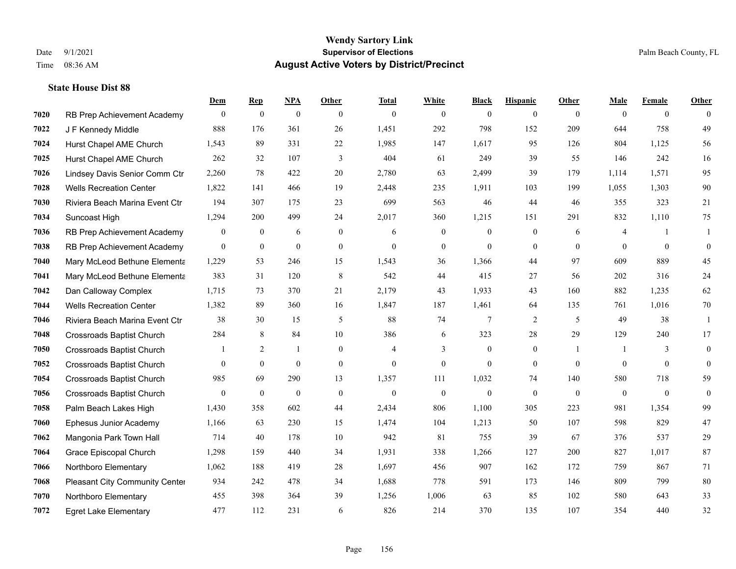|      |                                  | Dem          | <b>Rep</b>       | NPA              | <b>Other</b> | <b>Total</b>   | <b>White</b>     | <b>Black</b>   | <b>Hispanic</b>  | <b>Other</b>   | <b>Male</b>    | <b>Female</b>  | <b>Other</b>   |
|------|----------------------------------|--------------|------------------|------------------|--------------|----------------|------------------|----------------|------------------|----------------|----------------|----------------|----------------|
| 7020 | RB Prep Achievement Academy      | $\mathbf{0}$ | $\boldsymbol{0}$ | $\boldsymbol{0}$ | $\theta$     | $\mathbf{0}$   | $\overline{0}$   | $\overline{0}$ | $\overline{0}$   | $\theta$       | $\theta$       | $\overline{0}$ | $\Omega$       |
| 7022 | J F Kennedy Middle               | 888          | 176              | 361              | 26           | 1,451          | 292              | 798            | 152              | 209            | 644            | 758            | 49             |
| 7024 | Hurst Chapel AME Church          | 1,543        | 89               | 331              | 22           | 1,985          | 147              | 1,617          | 95               | 126            | 804            | 1.125          | 56             |
| 7025 | Hurst Chapel AME Church          | 262          | 32               | 107              | 3            | 404            | 61               | 249            | 39               | 55             | 146            | 242            | 16             |
| 7026 | Lindsey Davis Senior Comm Ctr    | 2,260        | 78               | 422              | 20           | 2,780          | 63               | 2,499          | 39               | 179            | 1.114          | 1,571          | 95             |
| 7028 | <b>Wells Recreation Center</b>   | 1,822        | 141              | 466              | 19           | 2,448          | 235              | 1,911          | 103              | 199            | 1,055          | 1,303          | 90             |
| 7030 | Riviera Beach Marina Event Ctr   | 194          | 307              | 175              | 23           | 699            | 563              | 46             | 44               | 46             | 355            | 323            | $21\,$         |
| 7034 | Suncoast High                    | 1,294        | 200              | 499              | 24           | 2,017          | 360              | 1,215          | 151              | 291            | 832            | 1,110          | 75             |
| 7036 | RB Prep Achievement Academy      | $\mathbf{0}$ | $\boldsymbol{0}$ | 6                | $\mathbf{0}$ | 6              | $\boldsymbol{0}$ | $\overline{0}$ | $\boldsymbol{0}$ | 6              | 4              | $\mathbf{1}$   | -1             |
| 7038 | RB Prep Achievement Academy      | $\mathbf{0}$ | $\mathbf{0}$     | $\mathbf{0}$     | $\mathbf{0}$ | $\mathbf{0}$   | $\mathbf{0}$     | $\overline{0}$ | $\overline{0}$   | $\theta$       | $\theta$       | $\overline{0}$ | $\mathbf{0}$   |
| 7040 | Mary McLeod Bethune Elementa     | 1,229        | 53               | 246              | 15           | 1,543          | 36               | 1,366          | 44               | 97             | 609            | 889            | 45             |
| 7041 | Mary McLeod Bethune Elementa     | 383          | 31               | 120              | 8            | 542            | 44               | 415            | 27               | 56             | 202            | 316            | 24             |
| 7042 | Dan Calloway Complex             | 1,715        | 73               | 370              | 21           | 2,179          | 43               | 1,933          | 43               | 160            | 882            | 1,235          | 62             |
| 7044 | <b>Wells Recreation Center</b>   | 1,382        | 89               | 360              | 16           | 1,847          | 187              | 1,461          | 64               | 135            | 761            | 1,016          | 70             |
| 7046 | Riviera Beach Marina Event Ctr   | 38           | 30               | 15               | 5            | 88             | 74               | 7              | $\overline{2}$   | 5              | 49             | 38             | -1             |
| 7048 | <b>Crossroads Baptist Church</b> | 284          | 8                | 84               | 10           | 386            | 6                | 323            | 28               | 29             | 129            | 240            | 17             |
| 7050 | <b>Crossroads Baptist Church</b> |              | 2                |                  | $\mathbf{0}$ | 4              | 3                | $\mathbf{0}$   | $\mathbf{0}$     | $\mathbf{1}$   | -1             | 3              | $\overline{0}$ |
| 7052 | <b>Crossroads Baptist Church</b> | $\theta$     | $\mathbf{0}$     | $\mathbf{0}$     | $\mathbf{0}$ | $\overline{0}$ | $\mathbf{0}$     | $\overline{0}$ | $\overline{0}$   | $\overline{0}$ | $\theta$       | $\theta$       | $\overline{0}$ |
| 7054 | <b>Crossroads Baptist Church</b> | 985          | 69               | 290              | 13           | 1,357          | 111              | 1,032          | 74               | 140            | 580            | 718            | 59             |
| 7056 | <b>Crossroads Baptist Church</b> | $\theta$     | $\mathbf{0}$     | $\theta$         | $\mathbf{0}$ | $\theta$       | $\mathbf{0}$     | $\mathbf{0}$   | $\Omega$         | $\theta$       | $\overline{0}$ | $\theta$       | $\mathbf{0}$   |
| 7058 | Palm Beach Lakes High            | 1,430        | 358              | 602              | 44           | 2,434          | 806              | 1,100          | 305              | 223            | 981            | 1,354          | 99             |
| 7060 | Ephesus Junior Academy           | 1,166        | 63               | 230              | 15           | 1,474          | 104              | 1,213          | 50               | 107            | 598            | 829            | 47             |
| 7062 | Mangonia Park Town Hall          | 714          | 40               | 178              | 10           | 942            | 81               | 755            | 39               | 67             | 376            | 537            | 29             |
| 7064 | Grace Episcopal Church           | 1,298        | 159              | 440              | 34           | 1,931          | 338              | 1,266          | 127              | 200            | 827            | 1,017          | 87             |
| 7066 | Northboro Elementary             | 1,062        | 188              | 419              | 28           | 1,697          | 456              | 907            | 162              | 172            | 759            | 867            | 71             |
| 7068 | Pleasant City Community Center   | 934          | 242              | 478              | 34           | 1,688          | 778              | 591            | 173              | 146            | 809            | 799            | 80             |
| 7070 | Northboro Elementary             | 455          | 398              | 364              | 39           | 1,256          | 1,006            | 63             | 85               | 102            | 580            | 643            | 33             |
| 7072 | <b>Egret Lake Elementary</b>     | 477          | 112              | 231              | 6            | 826            | 214              | 370            | 135              | 107            | 354            | 440            | 32             |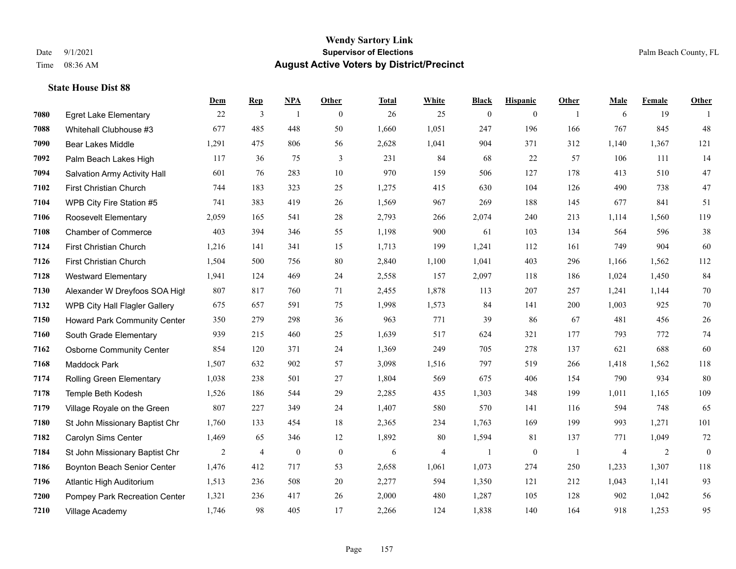|      |                                     | Dem   | <b>Rep</b>     | NPA              | <b>Other</b>   | <b>Total</b> | <b>White</b> | <b>Black</b>     | <b>Hispanic</b> | <b>Other</b>   | <b>Male</b>    | Female | <b>Other</b> |
|------|-------------------------------------|-------|----------------|------------------|----------------|--------------|--------------|------------------|-----------------|----------------|----------------|--------|--------------|
| 7080 | <b>Egret Lake Elementary</b>        | 22    | 3              | $\overline{1}$   | $\overline{0}$ | 26           | 25           | $\boldsymbol{0}$ | $\mathbf{0}$    | $\overline{1}$ | 6              | 19     | -1           |
| 7088 | Whitehall Clubhouse #3              | 677   | 485            | 448              | 50             | 1,660        | 1,051        | 247              | 196             | 166            | 767            | 845    | 48           |
| 7090 | <b>Bear Lakes Middle</b>            | 1,291 | 475            | 806              | 56             | 2,628        | 1,041        | 904              | 371             | 312            | 1,140          | 1,367  | 121          |
| 7092 | Palm Beach Lakes High               | 117   | 36             | 75               | 3              | 231          | 84           | 68               | 22              | 57             | 106            | 111    | 14           |
| 7094 | <b>Salvation Army Activity Hall</b> | 601   | 76             | 283              | 10             | 970          | 159          | 506              | 127             | 178            | 413            | 510    | 47           |
| 7102 | First Christian Church              | 744   | 183            | 323              | 25             | 1,275        | 415          | 630              | 104             | 126            | 490            | 738    | $47\,$       |
| 7104 | WPB City Fire Station #5            | 741   | 383            | 419              | 26             | 1,569        | 967          | 269              | 188             | 145            | 677            | 841    | 51           |
| 7106 | Roosevelt Elementary                | 2,059 | 165            | 541              | 28             | 2,793        | 266          | 2,074            | 240             | 213            | 1,114          | 1,560  | 119          |
| 7108 | <b>Chamber of Commerce</b>          | 403   | 394            | 346              | 55             | 1,198        | 900          | 61               | 103             | 134            | 564            | 596    | $38\,$       |
| 7124 | First Christian Church              | 1,216 | 141            | 341              | 15             | 1,713        | 199          | 1,241            | 112             | 161            | 749            | 904    | 60           |
| 7126 | First Christian Church              | 1,504 | 500            | 756              | 80             | 2,840        | 1,100        | 1,041            | 403             | 296            | 1,166          | 1,562  | 112          |
| 7128 | <b>Westward Elementary</b>          | 1,941 | 124            | 469              | 24             | 2,558        | 157          | 2,097            | 118             | 186            | 1,024          | 1,450  | 84           |
| 7130 | Alexander W Dreyfoos SOA High       | 807   | 817            | 760              | 71             | 2,455        | 1,878        | 113              | 207             | 257            | 1,241          | 1,144  | $70\,$       |
| 7132 | WPB City Hall Flagler Gallery       | 675   | 657            | 591              | 75             | 1,998        | 1,573        | 84               | 141             | 200            | 1,003          | 925    | $70\,$       |
| 7150 | Howard Park Community Center        | 350   | 279            | 298              | 36             | 963          | 771          | 39               | 86              | 67             | 481            | 456    | $26\,$       |
| 7160 | South Grade Elementary              | 939   | 215            | 460              | 25             | 1,639        | 517          | 624              | 321             | 177            | 793            | 772    | $74\,$       |
| 7162 | <b>Osborne Community Center</b>     | 854   | 120            | 371              | 24             | 1,369        | 249          | 705              | 278             | 137            | 621            | 688    | 60           |
| 7168 | Maddock Park                        | 1,507 | 632            | 902              | 57             | 3,098        | 1,516        | 797              | 519             | 266            | 1,418          | 1,562  | 118          |
| 7174 | Rolling Green Elementary            | 1,038 | 238            | 501              | 27             | 1,804        | 569          | 675              | 406             | 154            | 790            | 934    | 80           |
| 7178 | Temple Beth Kodesh                  | 1,526 | 186            | 544              | 29             | 2,285        | 435          | 1,303            | 348             | 199            | 1,011          | 1,165  | 109          |
| 7179 | Village Royale on the Green         | 807   | 227            | 349              | 24             | 1,407        | 580          | 570              | 141             | 116            | 594            | 748    | 65           |
| 7180 | St John Missionary Baptist Chr      | 1,760 | 133            | 454              | 18             | 2,365        | 234          | 1,763            | 169             | 199            | 993            | 1,271  | 101          |
| 7182 | Carolyn Sims Center                 | 1,469 | 65             | 346              | 12             | 1,892        | 80           | 1,594            | 81              | 137            | 771            | 1,049  | $72\,$       |
| 7184 | St John Missionary Baptist Chr      | 2     | $\overline{4}$ | $\boldsymbol{0}$ | $\overline{0}$ | 6            | 4            | 1                | $\mathbf{0}$    | -1             | $\overline{4}$ | 2      | $\mathbf{0}$ |
| 7186 | Boynton Beach Senior Center         | 1,476 | 412            | 717              | 53             | 2,658        | 1,061        | 1,073            | 274             | 250            | 1,233          | 1,307  | 118          |
| 7196 | Atlantic High Auditorium            | 1,513 | 236            | 508              | 20             | 2,277        | 594          | 1,350            | 121             | 212            | 1,043          | 1,141  | 93           |
| 7200 | Pompey Park Recreation Center       | 1,321 | 236            | 417              | 26             | 2,000        | 480          | 1,287            | 105             | 128            | 902            | 1,042  | 56           |
| 7210 | Village Academy                     | 1,746 | 98             | 405              | 17             | 2,266        | 124          | 1,838            | 140             | 164            | 918            | 1,253  | 95           |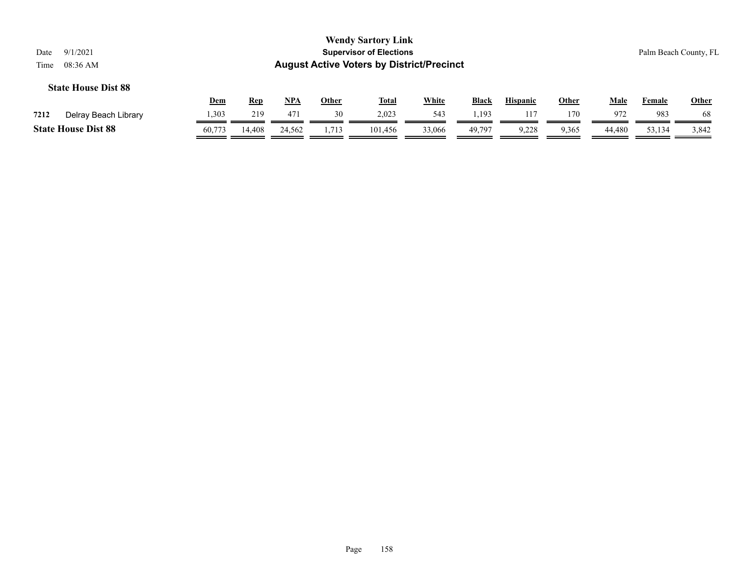|                            | <b>Wendy Sartory Link</b>                        |                       |
|----------------------------|--------------------------------------------------|-----------------------|
| Date<br>9/1/2021           | <b>Supervisor of Elections</b>                   | Palm Beach County, FL |
| Time $08:36 \text{ AM}$    | <b>August Active Voters by District/Precinct</b> |                       |
| <b>State House Dist 88</b> |                                                  |                       |

|                            |                      | Dem   | Rep   | <b>NPA</b> | Other          | <b>Total</b> | <b>White</b> | Black                    | <b>Hispanic</b> | Other | Male   | Female | <b>Other</b> |
|----------------------------|----------------------|-------|-------|------------|----------------|--------------|--------------|--------------------------|-----------------|-------|--------|--------|--------------|
| 7212                       | Delray Beach Library | 1,303 | 219   | 471        |                | 2,023        | 543          | 19 <sup>2</sup><br>ょっエノー |                 | 170   | 972    | 983    | 68           |
| <b>State House Dist 88</b> |                      |       | 4.408 | 24.562     | 713<br>1,1 I J | 101.456      | 33,066       | 49.797                   | ں کہا ۔'        | 9.365 | 44.480 | 53,134 | 3,842        |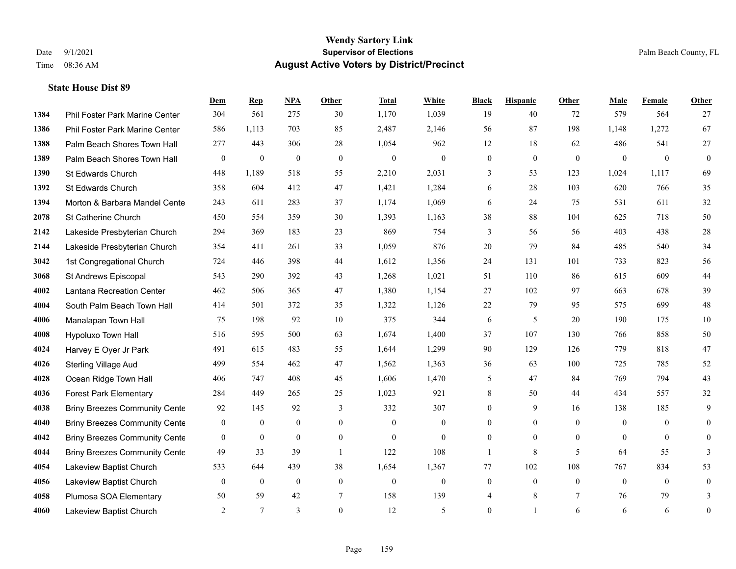|      |                                      | Dem              | <b>Rep</b>       | NPA          | <b>Other</b> | <b>Total</b>     | White            | <b>Black</b>     | <b>Hispanic</b>  | <b>Other</b> | <b>Male</b>    | Female         | Other            |
|------|--------------------------------------|------------------|------------------|--------------|--------------|------------------|------------------|------------------|------------------|--------------|----------------|----------------|------------------|
| 1384 | Phil Foster Park Marine Center       | 304              | 561              | 275          | 30           | 1,170            | 1,039            | 19               | 40               | 72           | 579            | 564            | 27               |
| 1386 | Phil Foster Park Marine Center       | 586              | 1,113            | 703          | 85           | 2,487            | 2,146            | 56               | 87               | 198          | 1,148          | 1,272          | 67               |
| 1388 | Palm Beach Shores Town Hall          | 277              | 443              | 306          | 28           | 1,054            | 962              | 12               | 18               | 62           | 486            | 541            | 27               |
| 1389 | Palm Beach Shores Town Hall          | $\boldsymbol{0}$ | $\boldsymbol{0}$ | $\mathbf{0}$ | $\mathbf{0}$ | $\mathbf{0}$     | $\mathbf{0}$     | $\boldsymbol{0}$ | $\mathbf{0}$     | $\mathbf{0}$ | $\mathbf{0}$   | $\overline{0}$ | $\mathbf{0}$     |
| 1390 | St Edwards Church                    | 448              | 1,189            | 518          | 55           | 2,210            | 2,031            | 3                | 53               | 123          | 1,024          | 1,117          | 69               |
| 1392 | St Edwards Church                    | 358              | 604              | 412          | 47           | 1,421            | 1,284            | 6                | 28               | 103          | 620            | 766            | 35               |
| 1394 | Morton & Barbara Mandel Cente        | 243              | 611              | 283          | 37           | 1,174            | 1,069            | 6                | 24               | 75           | 531            | 611            | 32               |
| 2078 | St Catherine Church                  | 450              | 554              | 359          | 30           | 1,393            | 1,163            | 38               | 88               | 104          | 625            | 718            | 50               |
| 2142 | Lakeside Presbyterian Church         | 294              | 369              | 183          | 23           | 869              | 754              | 3                | 56               | 56           | 403            | 438            | 28               |
| 2144 | Lakeside Presbyterian Church         | 354              | 411              | 261          | 33           | 1,059            | 876              | 20               | 79               | 84           | 485            | 540            | 34               |
| 3042 | 1st Congregational Church            | 724              | 446              | 398          | 44           | 1,612            | 1,356            | 24               | 131              | 101          | 733            | 823            | 56               |
| 3068 | St Andrews Episcopal                 | 543              | 290              | 392          | 43           | 1,268            | 1,021            | 51               | 110              | 86           | 615            | 609            | 44               |
| 4002 | Lantana Recreation Center            | 462              | 506              | 365          | 47           | 1,380            | 1,154            | 27               | 102              | 97           | 663            | 678            | 39               |
| 4004 | South Palm Beach Town Hall           | 414              | 501              | 372          | 35           | 1,322            | 1,126            | $22\,$           | 79               | 95           | 575            | 699            | 48               |
| 4006 | Manalapan Town Hall                  | 75               | 198              | 92           | 10           | 375              | 344              | 6                | 5                | 20           | 190            | 175            | 10               |
| 4008 | Hypoluxo Town Hall                   | 516              | 595              | 500          | 63           | 1,674            | 1,400            | 37               | 107              | 130          | 766            | 858            | 50               |
| 4024 | Harvey E Oyer Jr Park                | 491              | 615              | 483          | 55           | 1,644            | 1,299            | 90               | 129              | 126          | 779            | 818            | 47               |
| 4026 | <b>Sterling Village Aud</b>          | 499              | 554              | 462          | 47           | 1,562            | 1,363            | 36               | 63               | 100          | 725            | 785            | 52               |
| 4028 | Ocean Ridge Town Hall                | 406              | 747              | 408          | 45           | 1,606            | 1,470            | 5                | 47               | 84           | 769            | 794            | 43               |
| 4036 | <b>Forest Park Elementary</b>        | 284              | 449              | 265          | 25           | 1,023            | 921              | 8                | 50               | 44           | 434            | 557            | 32               |
| 4038 | <b>Briny Breezes Community Cente</b> | 92               | 145              | 92           | 3            | 332              | 307              | $\overline{0}$   | 9                | 16           | 138            | 185            | 9                |
| 4040 | <b>Briny Breezes Community Cente</b> | $\bf{0}$         | $\boldsymbol{0}$ | $\mathbf{0}$ | $\mathbf{0}$ | $\mathbf{0}$     | $\boldsymbol{0}$ | $\overline{0}$   | $\overline{0}$   | $\theta$     | $\overline{0}$ | $\theta$       | $\overline{0}$   |
| 4042 | <b>Briny Breezes Community Cente</b> | $\mathbf{0}$     | $\mathbf{0}$     | $\mathbf{0}$ | $\theta$     | $\theta$         | $\mathbf{0}$     | $\overline{0}$   | $\mathbf{0}$     | $\theta$     | $\theta$       | $\theta$       | $\overline{0}$   |
| 4044 | <b>Briny Breezes Community Cente</b> | 49               | 33               | 39           | -1           | 122              | 108              | 1                | $\,8\,$          | 5            | 64             | 55             | 3                |
| 4054 | Lakeview Baptist Church              | 533              | 644              | 439          | 38           | 1,654            | 1,367            | 77               | 102              | 108          | 767            | 834            | 53               |
| 4056 | Lakeview Baptist Church              | $\mathbf{0}$     | $\boldsymbol{0}$ | $\mathbf{0}$ | $\mathbf{0}$ | $\boldsymbol{0}$ | $\boldsymbol{0}$ | $\boldsymbol{0}$ | $\boldsymbol{0}$ | $\mathbf{0}$ | $\mathbf{0}$   | $\overline{0}$ | $\boldsymbol{0}$ |
| 4058 | Plumosa SOA Elementary               | 50               | 59               | 42           | $\tau$       | 158              | 139              | 4                | 8                | $\tau$       | 76             | 79             | 3                |
| 4060 | Lakeview Baptist Church              | 2                | $\tau$           | 3            | $\theta$     | 12               | 5                | $\mathbf{0}$     | 1                | 6            | 6              | 6              | $\boldsymbol{0}$ |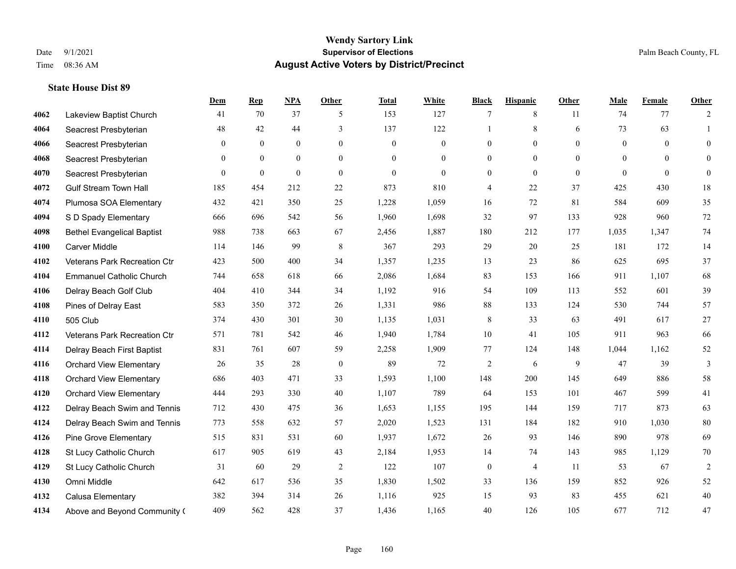|      |                                   | <b>Dem</b>     | <b>Rep</b>     | NPA          | <b>Other</b>   | <b>Total</b> | <b>White</b>     | <b>Black</b>     | <b>Hispanic</b> | <b>Other</b>   | <b>Male</b>    | Female   | Other          |
|------|-----------------------------------|----------------|----------------|--------------|----------------|--------------|------------------|------------------|-----------------|----------------|----------------|----------|----------------|
| 4062 | Lakeview Baptist Church           | 41             | 70             | 37           | 5              | 153          | 127              | 7                | 8               | 11             | 74             | 77       | 2              |
| 4064 | Seacrest Presbyterian             | 48             | 42             | 44           | 3              | 137          | 122              | 1                | 8               | 6              | 73             | 63       | 1              |
| 4066 | Seacrest Presbyterian             | $\overline{0}$ | $\mathbf{0}$   | $\mathbf{0}$ | $\overline{0}$ | $\mathbf{0}$ | $\boldsymbol{0}$ | $\mathbf{0}$     | $\overline{0}$  | $\Omega$       | $\overline{0}$ | $\theta$ | $\overline{0}$ |
| 4068 | Seacrest Presbyterian             | $\overline{0}$ | $\mathbf{0}$   | $\mathbf{0}$ | $\mathbf{0}$   | $\theta$     | $\mathbf{0}$     | $\mathbf{0}$     | $\overline{0}$  | $\overline{0}$ | $\mathbf{0}$   | $\theta$ | $\mathbf{0}$   |
| 4070 | Seacrest Presbyterian             | $\overline{0}$ | $\overline{0}$ | $\mathbf{0}$ | $\overline{0}$ | $\theta$     | $\overline{0}$   | $\overline{0}$   | $\overline{0}$  | $\Omega$       | $\theta$       | $\theta$ | $\overline{0}$ |
| 4072 | <b>Gulf Stream Town Hall</b>      | 185            | 454            | 212          | $22\,$         | 873          | 810              | 4                | 22              | 37             | 425            | 430      | 18             |
| 4074 | Plumosa SOA Elementary            | 432            | 421            | 350          | 25             | 1,228        | 1,059            | 16               | 72              | 81             | 584            | 609      | 35             |
| 4094 | S D Spady Elementary              | 666            | 696            | 542          | 56             | 1,960        | 1,698            | 32               | 97              | 133            | 928            | 960      | 72             |
| 4098 | <b>Bethel Evangelical Baptist</b> | 988            | 738            | 663          | 67             | 2,456        | 1,887            | 180              | 212             | 177            | 1,035          | 1,347    | 74             |
| 4100 | <b>Carver Middle</b>              | 114            | 146            | 99           | 8              | 367          | 293              | 29               | 20              | 25             | 181            | 172      | 14             |
| 4102 | Veterans Park Recreation Ctr      | 423            | 500            | 400          | 34             | 1,357        | 1,235            | 13               | 23              | 86             | 625            | 695      | 37             |
| 4104 | <b>Emmanuel Catholic Church</b>   | 744            | 658            | 618          | 66             | 2,086        | 1,684            | 83               | 153             | 166            | 911            | 1.107    | 68             |
| 4106 | Delray Beach Golf Club            | 404            | 410            | 344          | 34             | 1,192        | 916              | 54               | 109             | 113            | 552            | 601      | 39             |
| 4108 | Pines of Delray East              | 583            | 350            | 372          | 26             | 1,331        | 986              | $88\,$           | 133             | 124            | 530            | 744      | 57             |
| 4110 | 505 Club                          | 374            | 430            | 301          | 30             | 1,135        | 1,031            | 8                | 33              | 63             | 491            | 617      | 27             |
| 4112 | Veterans Park Recreation Ctr      | 571            | 781            | 542          | 46             | 1,940        | 1,784            | 10               | 41              | 105            | 911            | 963      | 66             |
| 4114 | Delray Beach First Baptist        | 831            | 761            | 607          | 59             | 2,258        | 1,909            | 77               | 124             | 148            | 1,044          | 1,162    | 52             |
| 4116 | <b>Orchard View Elementary</b>    | 26             | 35             | 28           | $\mathbf{0}$   | 89           | 72               | 2                | 6               | 9              | 47             | 39       | 3              |
| 4118 | <b>Orchard View Elementary</b>    | 686            | 403            | 471          | 33             | 1,593        | 1,100            | 148              | 200             | 145            | 649            | 886      | 58             |
| 4120 | <b>Orchard View Elementary</b>    | 444            | 293            | 330          | 40             | 1,107        | 789              | 64               | 153             | 101            | 467            | 599      | 41             |
| 4122 | Delray Beach Swim and Tennis      | 712            | 430            | 475          | 36             | 1,653        | 1,155            | 195              | 144             | 159            | 717            | 873      | 63             |
| 4124 | Delray Beach Swim and Tennis      | 773            | 558            | 632          | 57             | 2,020        | 1,523            | 131              | 184             | 182            | 910            | 1,030    | 80             |
| 4126 | <b>Pine Grove Elementary</b>      | 515            | 831            | 531          | 60             | 1,937        | 1,672            | 26               | 93              | 146            | 890            | 978      | 69             |
| 4128 | St Lucy Catholic Church           | 617            | 905            | 619          | 43             | 2,184        | 1,953            | 14               | 74              | 143            | 985            | 1,129    | 70             |
| 4129 | St Lucy Catholic Church           | 31             | 60             | 29           | $\overline{2}$ | 122          | 107              | $\boldsymbol{0}$ | $\overline{4}$  | 11             | 53             | 67       | $\overline{2}$ |
| 4130 | Omni Middle                       | 642            | 617            | 536          | 35             | 1,830        | 1,502            | 33               | 136             | 159            | 852            | 926      | 52             |
| 4132 | Calusa Elementary                 | 382            | 394            | 314          | 26             | 1,116        | 925              | 15               | 93              | 83             | 455            | 621      | $40\,$         |
| 4134 | Above and Beyond Community (      | 409            | 562            | 428          | 37             | 1,436        | 1,165            | 40               | 126             | 105            | 677            | 712      | 47             |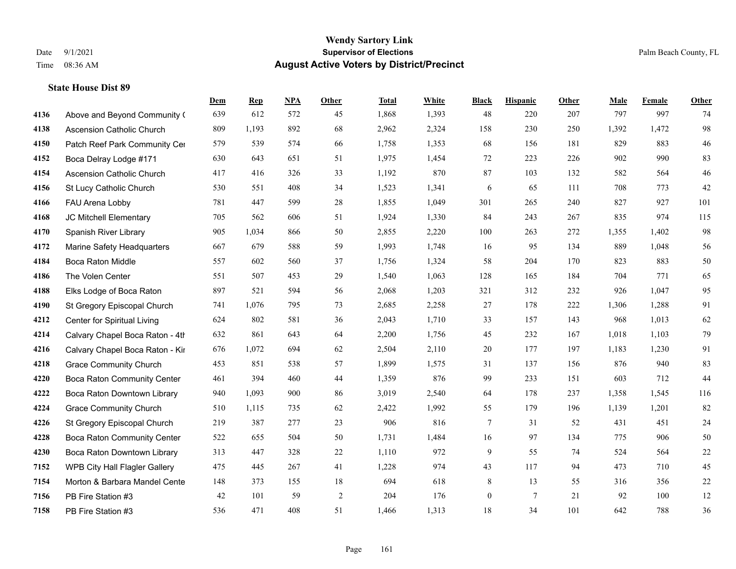|      |                                    | Dem | <b>Rep</b> | NPA | <b>Other</b>   | <b>Total</b> | <b>White</b> | <b>Black</b>     | <b>Hispanic</b> | <b>Other</b> | <b>Male</b> | <b>Female</b> | Other  |
|------|------------------------------------|-----|------------|-----|----------------|--------------|--------------|------------------|-----------------|--------------|-------------|---------------|--------|
| 4136 | Above and Beyond Community (       | 639 | 612        | 572 | 45             | 1,868        | 1,393        | 48               | 220             | 207          | 797         | 997           | 74     |
| 4138 | <b>Ascension Catholic Church</b>   | 809 | 1,193      | 892 | 68             | 2,962        | 2,324        | 158              | 230             | 250          | 1,392       | 1,472         | 98     |
| 4150 | Patch Reef Park Community Cer      | 579 | 539        | 574 | 66             | 1,758        | 1,353        | 68               | 156             | 181          | 829         | 883           | 46     |
| 4152 | Boca Delray Lodge #171             | 630 | 643        | 651 | 51             | 1,975        | 1,454        | 72               | 223             | 226          | 902         | 990           | 83     |
| 4154 | Ascension Catholic Church          | 417 | 416        | 326 | 33             | 1,192        | 870          | 87               | 103             | 132          | 582         | 564           | $46\,$ |
| 4156 | St Lucy Catholic Church            | 530 | 551        | 408 | 34             | 1,523        | 1,341        | 6                | 65              | 111          | 708         | 773           | $42\,$ |
| 4166 | FAU Arena Lobby                    | 781 | 447        | 599 | 28             | 1,855        | 1,049        | 301              | 265             | 240          | 827         | 927           | 101    |
| 4168 | JC Mitchell Elementary             | 705 | 562        | 606 | 51             | 1,924        | 1,330        | 84               | 243             | 267          | 835         | 974           | 115    |
| 4170 | Spanish River Library              | 905 | 1,034      | 866 | 50             | 2,855        | 2,220        | 100              | 263             | 272          | 1,355       | 1,402         | 98     |
| 4172 | Marine Safety Headquarters         | 667 | 679        | 588 | 59             | 1,993        | 1,748        | 16               | 95              | 134          | 889         | 1,048         | 56     |
| 4184 | Boca Raton Middle                  | 557 | 602        | 560 | 37             | 1,756        | 1,324        | 58               | 204             | 170          | 823         | 883           | $50\,$ |
| 4186 | The Volen Center                   | 551 | 507        | 453 | 29             | 1,540        | 1,063        | 128              | 165             | 184          | 704         | 771           | 65     |
| 4188 | Elks Lodge of Boca Raton           | 897 | 521        | 594 | 56             | 2,068        | 1,203        | 321              | 312             | 232          | 926         | 1,047         | 95     |
| 4190 | St Gregory Episcopal Church        | 741 | 1,076      | 795 | 73             | 2,685        | 2,258        | 27               | 178             | 222          | 1,306       | 1,288         | 91     |
| 4212 | Center for Spiritual Living        | 624 | 802        | 581 | 36             | 2,043        | 1,710        | 33               | 157             | 143          | 968         | 1,013         | 62     |
| 4214 | Calvary Chapel Boca Raton - 4th    | 632 | 861        | 643 | 64             | 2,200        | 1,756        | 45               | 232             | 167          | 1,018       | 1,103         | 79     |
| 4216 | Calvary Chapel Boca Raton - Kir    | 676 | 1,072      | 694 | 62             | 2,504        | 2,110        | $20\,$           | 177             | 197          | 1,183       | 1,230         | 91     |
| 4218 | <b>Grace Community Church</b>      | 453 | 851        | 538 | 57             | 1,899        | 1,575        | 31               | 137             | 156          | 876         | 940           | 83     |
| 4220 | <b>Boca Raton Community Center</b> | 461 | 394        | 460 | 44             | 1,359        | 876          | 99               | 233             | 151          | 603         | 712           | 44     |
| 4222 | Boca Raton Downtown Library        | 940 | 1,093      | 900 | 86             | 3,019        | 2,540        | 64               | 178             | 237          | 1,358       | 1,545         | 116    |
| 4224 | <b>Grace Community Church</b>      | 510 | 1,115      | 735 | 62             | 2,422        | 1,992        | 55               | 179             | 196          | 1,139       | 1,201         | 82     |
| 4226 | St Gregory Episcopal Church        | 219 | 387        | 277 | 23             | 906          | 816          | $\tau$           | 31              | 52           | 431         | 451           | 24     |
| 4228 | Boca Raton Community Center        | 522 | 655        | 504 | 50             | 1,731        | 1,484        | 16               | 97              | 134          | 775         | 906           | 50     |
| 4230 | Boca Raton Downtown Library        | 313 | 447        | 328 | 22             | 1,110        | 972          | 9                | 55              | 74           | 524         | 564           | $22\,$ |
| 7152 | WPB City Hall Flagler Gallery      | 475 | 445        | 267 | 41             | 1,228        | 974          | 43               | 117             | 94           | 473         | 710           | 45     |
| 7154 | Morton & Barbara Mandel Cente      | 148 | 373        | 155 | 18             | 694          | 618          | 8                | 13              | 55           | 316         | 356           | $22\,$ |
| 7156 | PB Fire Station #3                 | 42  | 101        | 59  | $\overline{2}$ | 204          | 176          | $\boldsymbol{0}$ | $\overline{7}$  | 21           | 92          | 100           | 12     |
| 7158 | PB Fire Station #3                 | 536 | 471        | 408 | 51             | 1,466        | 1,313        | 18               | 34              | 101          | 642         | 788           | 36     |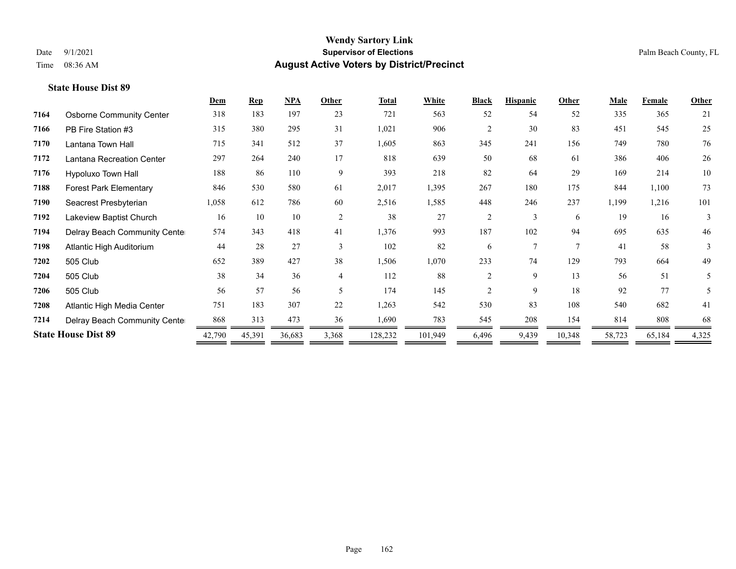|      |                                 | Dem    | <b>Rep</b> | NPA    | Other          | <b>Total</b> | White   | <b>Black</b>   | <b>Hispanic</b> | Other          | <b>Male</b> | Female | Other |
|------|---------------------------------|--------|------------|--------|----------------|--------------|---------|----------------|-----------------|----------------|-------------|--------|-------|
| 7164 | <b>Osborne Community Center</b> | 318    | 183        | 197    | 23             | 721          | 563     | 52             | 54              | 52             | 335         | 365    | 21    |
| 7166 | PB Fire Station #3              | 315    | 380        | 295    | 31             | 1,021        | 906     | $\overline{c}$ | 30              | 83             | 451         | 545    | 25    |
| 7170 | Lantana Town Hall               | 715    | 341        | 512    | 37             | 1,605        | 863     | 345            | 241             | 156            | 749         | 780    | 76    |
| 7172 | Lantana Recreation Center       | 297    | 264        | 240    | 17             | 818          | 639     | 50             | 68              | 61             | 386         | 406    | 26    |
| 7176 | Hypoluxo Town Hall              | 188    | 86         | 110    | 9              | 393          | 218     | 82             | 64              | 29             | 169         | 214    | 10    |
| 7188 | <b>Forest Park Elementary</b>   | 846    | 530        | 580    | 61             | 2,017        | 1,395   | 267            | 180             | 175            | 844         | 1,100  | 73    |
| 7190 | Seacrest Presbyterian           | 1,058  | 612        | 786    | 60             | 2,516        | 1,585   | 448            | 246             | 237            | 1,199       | 1,216  | 101   |
| 7192 | Lakeview Baptist Church         | 16     | 10         | 10     | 2              | 38           | 27      | $\overline{2}$ | 3               | 6              | 19          | 16     | 3     |
| 7194 | Delray Beach Community Cente    | 574    | 343        | 418    | 41             | 1,376        | 993     | 187            | 102             | 94             | 695         | 635    | 46    |
| 7198 | Atlantic High Auditorium        | 44     | 28         | 27     | 3              | 102          | 82      | 6              | $\overline{7}$  | $\overline{7}$ | 41          | 58     | 3     |
| 7202 | 505 Club                        | 652    | 389        | 427    | 38             | 1,506        | 1,070   | 233            | 74              | 129            | 793         | 664    | 49    |
| 7204 | 505 Club                        | 38     | 34         | 36     | $\overline{4}$ | 112          | 88      | $\overline{2}$ | 9               | 13             | 56          | 51     | 5     |
| 7206 | 505 Club                        | 56     | 57         | 56     | $\sim$         | 174          | 145     | $\mathfrak{D}$ | 9               | 18             | 92          | 77     | 5     |
| 7208 | Atlantic High Media Center      | 751    | 183        | 307    | 22             | 1,263        | 542     | 530            | 83              | 108            | 540         | 682    | 41    |
| 7214 | Delray Beach Community Cente    | 868    | 313        | 473    | 36             | 1,690        | 783     | 545            | 208             | 154            | 814         | 808    | 68    |
|      | <b>State House Dist 89</b>      | 42,790 | 45,391     | 36,683 | 3,368          | 128,232      | 101,949 | 6,496          | 9,439           | 10,348         | 58,723      | 65,184 | 4,325 |
|      |                                 |        |            |        |                |              |         |                |                 |                |             |        |       |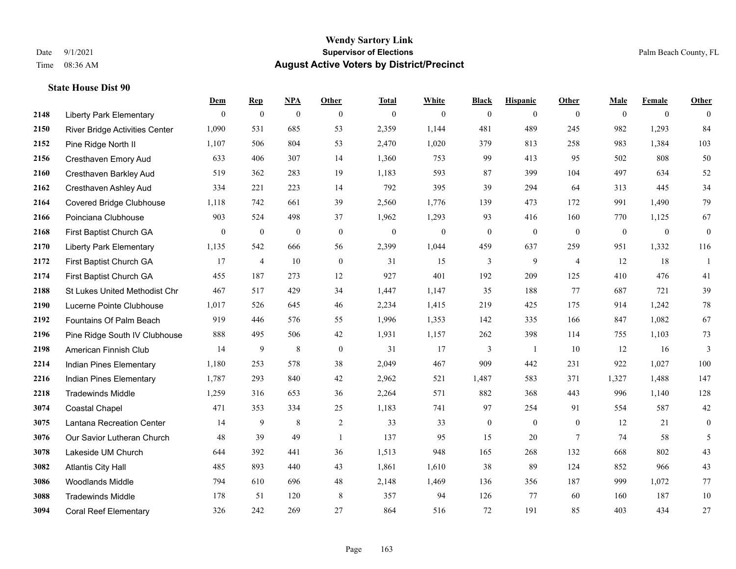|      |                                       | Dem          | <b>Rep</b>       | NPA              | <b>Other</b>     | <b>Total</b>     | <b>White</b>     | <b>Black</b>     | <b>Hispanic</b> | <b>Other</b>   | <b>Male</b>    | <b>Female</b>  | Other            |
|------|---------------------------------------|--------------|------------------|------------------|------------------|------------------|------------------|------------------|-----------------|----------------|----------------|----------------|------------------|
| 2148 | <b>Liberty Park Elementary</b>        | $\mathbf{0}$ | $\boldsymbol{0}$ | $\boldsymbol{0}$ | $\theta$         | $\mathbf{0}$     | $\overline{0}$   | $\overline{0}$   | $\overline{0}$  | $\theta$       | $\theta$       | $\overline{0}$ | $\Omega$         |
| 2150 | <b>River Bridge Activities Center</b> | 1,090        | 531              | 685              | 53               | 2,359            | 1,144            | 481              | 489             | 245            | 982            | 1,293          | 84               |
| 2152 | Pine Ridge North II                   | 1,107        | 506              | 804              | 53               | 2,470            | 1,020            | 379              | 813             | 258            | 983            | 1,384          | 103              |
| 2156 | Cresthaven Emory Aud                  | 633          | 406              | 307              | 14               | 1,360            | 753              | 99               | 413             | 95             | 502            | 808            | 50               |
| 2160 | <b>Cresthaven Barkley Aud</b>         | 519          | 362              | 283              | 19               | 1.183            | 593              | 87               | 399             | 104            | 497            | 634            | 52               |
| 2162 | Cresthaven Ashley Aud                 | 334          | 221              | 223              | 14               | 792              | 395              | 39               | 294             | 64             | 313            | 445            | 34               |
| 2164 | <b>Covered Bridge Clubhouse</b>       | 1,118        | 742              | 661              | 39               | 2,560            | 1,776            | 139              | 473             | 172            | 991            | 1,490          | 79               |
| 2166 | Poinciana Clubhouse                   | 903          | 524              | 498              | 37               | 1,962            | 1,293            | 93               | 416             | 160            | 770            | 1,125          | 67               |
| 2168 | First Baptist Church GA               | $\bf{0}$     | $\boldsymbol{0}$ | $\boldsymbol{0}$ | $\mathbf{0}$     | $\boldsymbol{0}$ | $\boldsymbol{0}$ | $\boldsymbol{0}$ | $\bf{0}$        | $\mathbf{0}$   | $\overline{0}$ | $\mathbf{0}$   | $\boldsymbol{0}$ |
| 2170 | <b>Liberty Park Elementary</b>        | 1,135        | 542              | 666              | 56               | 2,399            | 1,044            | 459              | 637             | 259            | 951            | 1,332          | 116              |
| 2172 | First Baptist Church GA               | 17           | $\overline{4}$   | 10               | $\theta$         | 31               | 15               | 3                | 9               | $\overline{4}$ | 12             | 18             | $\overline{1}$   |
| 2174 | First Baptist Church GA               | 455          | 187              | 273              | 12               | 927              | 401              | 192              | 209             | 125            | 410            | 476            | 41               |
| 2188 | St Lukes United Methodist Chr         | 467          | 517              | 429              | 34               | 1,447            | 1,147            | 35               | 188             | 77             | 687            | 721            | 39               |
| 2190 | Lucerne Pointe Clubhouse              | 1,017        | 526              | 645              | $46\,$           | 2,234            | 1,415            | 219              | 425             | 175            | 914            | 1,242          | $78\,$           |
| 2192 | Fountains Of Palm Beach               | 919          | 446              | 576              | 55               | 1,996            | 1,353            | 142              | 335             | 166            | 847            | 1,082          | 67               |
| 2196 | Pine Ridge South IV Clubhouse         | 888          | 495              | 506              | 42               | 1,931            | 1,157            | 262              | 398             | 114            | 755            | 1,103          | 73               |
| 2198 | American Finnish Club                 | 14           | 9                | $\,$ 8 $\,$      | $\boldsymbol{0}$ | 31               | 17               | 3                | -1              | 10             | 12             | 16             | $\mathfrak{Z}$   |
| 2214 | Indian Pines Elementary               | 1,180        | 253              | 578              | 38               | 2,049            | 467              | 909              | 442             | 231            | 922            | 1,027          | 100              |
| 2216 | Indian Pines Elementary               | 1,787        | 293              | 840              | 42               | 2,962            | 521              | 1,487            | 583             | 371            | 1,327          | 1,488          | 147              |
| 2218 | <b>Tradewinds Middle</b>              | 1,259        | 316              | 653              | 36               | 2,264            | 571              | 882              | 368             | 443            | 996            | 1,140          | 128              |
| 3074 | <b>Coastal Chapel</b>                 | 471          | 353              | 334              | 25               | 1,183            | 741              | 97               | 254             | 91             | 554            | 587            | 42               |
| 3075 | Lantana Recreation Center             | 14           | 9                | 8                | 2                | 33               | 33               | $\boldsymbol{0}$ | $\mathbf{0}$    | $\mathbf{0}$   | 12             | 21             | $\overline{0}$   |
| 3076 | Our Savior Lutheran Church            | 48           | 39               | 49               | $\overline{1}$   | 137              | 95               | 15               | 20              | $\overline{7}$ | 74             | 58             | 5                |
| 3078 | Lakeside UM Church                    | 644          | 392              | 441              | 36               | 1,513            | 948              | 165              | 268             | 132            | 668            | 802            | 43               |
| 3082 | <b>Atlantis City Hall</b>             | 485          | 893              | 440              | 43               | 1,861            | 1,610            | 38               | 89              | 124            | 852            | 966            | 43               |
| 3086 | <b>Woodlands Middle</b>               | 794          | 610              | 696              | 48               | 2,148            | 1,469            | 136              | 356             | 187            | 999            | 1,072          | $77 \,$          |
| 3088 | <b>Tradewinds Middle</b>              | 178          | 51               | 120              | 8                | 357              | 94               | 126              | 77              | 60             | 160            | 187            | $10\,$           |
| 3094 | <b>Coral Reef Elementary</b>          | 326          | 242              | 269              | 27               | 864              | 516              | 72               | 191             | 85             | 403            | 434            | 27               |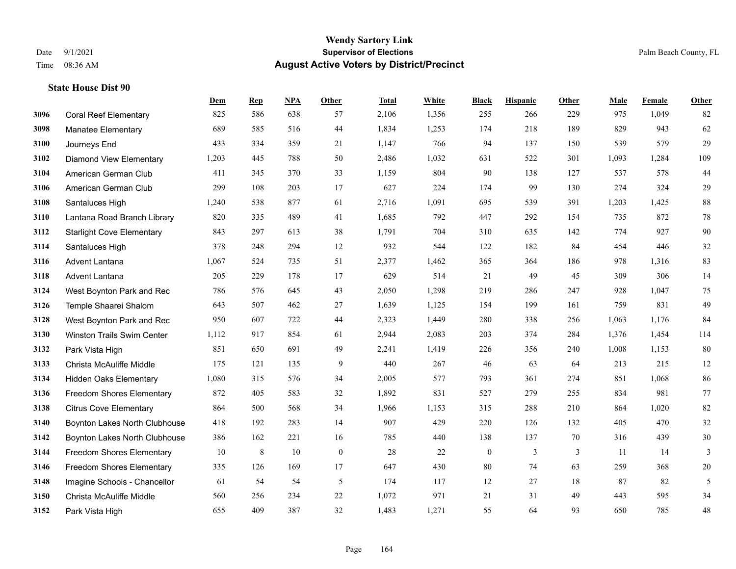|      |                                   | Dem    | <b>Rep</b> | NPA | <b>Other</b> | <b>Total</b> | White | <b>Black</b>     | <b>Hispanic</b> | Other | <b>Male</b> | Female | <b>Other</b> |
|------|-----------------------------------|--------|------------|-----|--------------|--------------|-------|------------------|-----------------|-------|-------------|--------|--------------|
| 3096 | <b>Coral Reef Elementary</b>      | 825    | 586        | 638 | 57           | 2,106        | 1,356 | 255              | 266             | 229   | 975         | 1,049  | 82           |
| 3098 | <b>Manatee Elementary</b>         | 689    | 585        | 516 | 44           | 1,834        | 1,253 | 174              | 218             | 189   | 829         | 943    | 62           |
| 3100 | Journeys End                      | 433    | 334        | 359 | 21           | 1,147        | 766   | 94               | 137             | 150   | 539         | 579    | 29           |
| 3102 | <b>Diamond View Elementary</b>    | 1,203  | 445        | 788 | 50           | 2,486        | 1,032 | 631              | 522             | 301   | 1,093       | 1,284  | 109          |
| 3104 | American German Club              | 411    | 345        | 370 | 33           | 1,159        | 804   | 90               | 138             | 127   | 537         | 578    | $44$         |
| 3106 | American German Club              | 299    | 108        | 203 | 17           | 627          | 224   | 174              | 99              | 130   | 274         | 324    | 29           |
| 3108 | Santaluces High                   | 1,240  | 538        | 877 | 61           | 2,716        | 1,091 | 695              | 539             | 391   | 1,203       | 1,425  | $88\,$       |
| 3110 | Lantana Road Branch Library       | 820    | 335        | 489 | 41           | 1,685        | 792   | 447              | 292             | 154   | 735         | 872    | $78\,$       |
| 3112 | <b>Starlight Cove Elementary</b>  | 843    | 297        | 613 | 38           | 1,791        | 704   | 310              | 635             | 142   | 774         | 927    | 90           |
| 3114 | Santaluces High                   | 378    | 248        | 294 | 12           | 932          | 544   | 122              | 182             | 84    | 454         | 446    | $32\,$       |
| 3116 | Advent Lantana                    | 1,067  | 524        | 735 | 51           | 2,377        | 1,462 | 365              | 364             | 186   | 978         | 1,316  | 83           |
| 3118 | Advent Lantana                    | 205    | 229        | 178 | 17           | 629          | 514   | 21               | 49              | 45    | 309         | 306    | 14           |
| 3124 | West Boynton Park and Rec         | 786    | 576        | 645 | 43           | 2,050        | 1,298 | 219              | 286             | 247   | 928         | 1,047  | 75           |
| 3126 | Temple Shaarei Shalom             | 643    | 507        | 462 | $27\,$       | 1,639        | 1,125 | 154              | 199             | 161   | 759         | 831    | 49           |
| 3128 | West Boynton Park and Rec         | 950    | 607        | 722 | 44           | 2,323        | 1,449 | 280              | 338             | 256   | 1,063       | 1,176  | 84           |
| 3130 | <b>Winston Trails Swim Center</b> | 1,112  | 917        | 854 | 61           | 2,944        | 2,083 | 203              | 374             | 284   | 1,376       | 1,454  | 114          |
| 3132 | Park Vista High                   | 851    | 650        | 691 | 49           | 2,241        | 1,419 | 226              | 356             | 240   | 1,008       | 1,153  | 80           |
| 3133 | Christa McAuliffe Middle          | 175    | 121        | 135 | 9            | 440          | 267   | 46               | 63              | 64    | 213         | 215    | 12           |
| 3134 | <b>Hidden Oaks Elementary</b>     | 1,080  | 315        | 576 | 34           | 2,005        | 577   | 793              | 361             | 274   | 851         | 1,068  | 86           |
| 3136 | <b>Freedom Shores Elementary</b>  | 872    | 405        | 583 | 32           | 1,892        | 831   | 527              | 279             | 255   | 834         | 981    | 77           |
| 3138 | <b>Citrus Cove Elementary</b>     | 864    | 500        | 568 | 34           | 1,966        | 1,153 | 315              | 288             | 210   | 864         | 1.020  | 82           |
| 3140 | Boynton Lakes North Clubhouse     | 418    | 192        | 283 | 14           | 907          | 429   | 220              | 126             | 132   | 405         | 470    | $32\,$       |
| 3142 | Boynton Lakes North Clubhouse     | 386    | 162        | 221 | 16           | 785          | 440   | 138              | 137             | 70    | 316         | 439    | $30\,$       |
| 3144 | Freedom Shores Elementary         | $10\,$ | 8          | 10  | $\mathbf{0}$ | 28           | 22    | $\boldsymbol{0}$ | 3               | 3     | 11          | 14     | 3            |
| 3146 | Freedom Shores Elementary         | 335    | 126        | 169 | 17           | 647          | 430   | 80               | 74              | 63    | 259         | 368    | $20\,$       |
| 3148 | Imagine Schools - Chancellor      | 61     | 54         | 54  | 5            | 174          | 117   | 12               | 27              | 18    | 87          | 82     | 5            |
| 3150 | Christa McAuliffe Middle          | 560    | 256        | 234 | 22           | 1,072        | 971   | 21               | 31              | 49    | 443         | 595    | 34           |
| 3152 | Park Vista High                   | 655    | 409        | 387 | 32           | 1,483        | 1,271 | 55               | 64              | 93    | 650         | 785    | $48\,$       |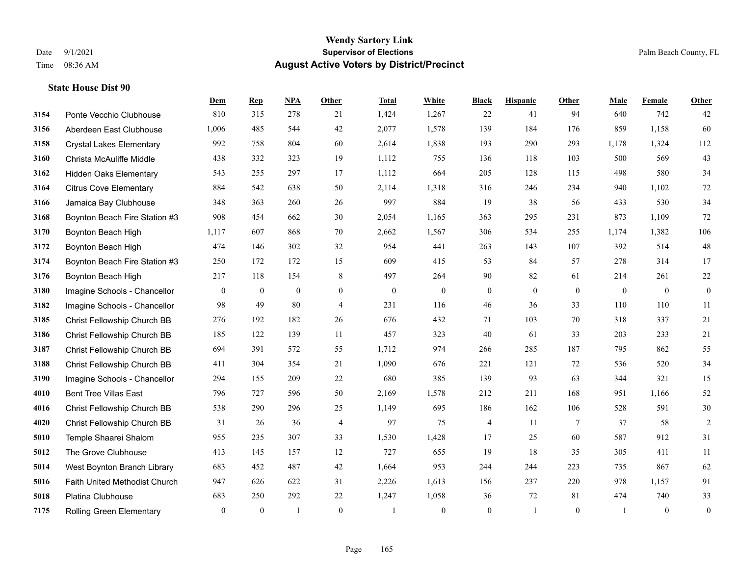|      |                                 | Dem          | <b>Rep</b>   | NPA              | <b>Other</b>   | <b>Total</b>     | White            | <b>Black</b>     | <b>Hispanic</b>  | <b>Other</b>    | <b>Male</b>    | Female         | Other            |
|------|---------------------------------|--------------|--------------|------------------|----------------|------------------|------------------|------------------|------------------|-----------------|----------------|----------------|------------------|
| 3154 | Ponte Vecchio Clubhouse         | 810          | 315          | 278              | 21             | 1,424            | 1,267            | 22               | 41               | 94              | 640            | 742            | 42               |
| 3156 | Aberdeen East Clubhouse         | 1,006        | 485          | 544              | 42             | 2,077            | 1,578            | 139              | 184              | 176             | 859            | 1,158          | 60               |
| 3158 | <b>Crystal Lakes Elementary</b> | 992          | 758          | 804              | 60             | 2,614            | 1,838            | 193              | 290              | 293             | 1,178          | 1,324          | 112              |
| 3160 | Christa McAuliffe Middle        | 438          | 332          | 323              | 19             | 1,112            | 755              | 136              | 118              | 103             | 500            | 569            | 43               |
| 3162 | Hidden Oaks Elementary          | 543          | 255          | 297              | 17             | 1,112            | 664              | 205              | 128              | 115             | 498            | 580            | 34               |
| 3164 | <b>Citrus Cove Elementary</b>   | 884          | 542          | 638              | 50             | 2,114            | 1,318            | 316              | 246              | 234             | 940            | 1,102          | 72               |
| 3166 | Jamaica Bay Clubhouse           | 348          | 363          | 260              | 26             | 997              | 884              | 19               | 38               | 56              | 433            | 530            | 34               |
| 3168 | Boynton Beach Fire Station #3   | 908          | 454          | 662              | 30             | 2,054            | 1,165            | 363              | 295              | 231             | 873            | 1.109          | 72               |
| 3170 | Boynton Beach High              | 1,117        | 607          | 868              | 70             | 2,662            | 1,567            | 306              | 534              | 255             | 1,174          | 1,382          | 106              |
| 3172 | Boynton Beach High              | 474          | 146          | 302              | 32             | 954              | 441              | 263              | 143              | 107             | 392            | 514            | 48               |
| 3174 | Boynton Beach Fire Station #3   | 250          | 172          | 172              | 15             | 609              | 415              | 53               | 84               | 57              | 278            | 314            | 17               |
| 3176 | Boynton Beach High              | 217          | 118          | 154              | 8              | 497              | 264              | 90               | 82               | 61              | 214            | 261            | 22               |
| 3180 | Imagine Schools - Chancellor    | $\bf{0}$     | $\mathbf{0}$ | $\boldsymbol{0}$ | $\overline{0}$ | $\boldsymbol{0}$ | $\boldsymbol{0}$ | $\boldsymbol{0}$ | $\boldsymbol{0}$ | $\mathbf{0}$    | $\mathbf{0}$   | $\overline{0}$ | $\boldsymbol{0}$ |
| 3182 | Imagine Schools - Chancellor    | 98           | 49           | 80               | $\overline{4}$ | 231              | 116              | 46               | 36               | 33              | 110            | 110            | 11               |
| 3185 | Christ Fellowship Church BB     | 276          | 192          | 182              | 26             | 676              | 432              | 71               | 103              | 70              | 318            | 337            | 21               |
| 3186 | Christ Fellowship Church BB     | 185          | 122          | 139              | 11             | 457              | 323              | 40               | 61               | 33              | 203            | 233            | $21\,$           |
| 3187 | Christ Fellowship Church BB     | 694          | 391          | 572              | 55             | 1.712            | 974              | 266              | 285              | 187             | 795            | 862            | 55               |
| 3188 | Christ Fellowship Church BB     | 411          | 304          | 354              | 21             | 1,090            | 676              | 221              | 121              | 72              | 536            | 520            | 34               |
| 3190 | Imagine Schools - Chancellor    | 294          | 155          | 209              | 22             | 680              | 385              | 139              | 93               | 63              | 344            | 321            | 15               |
| 4010 | <b>Bent Tree Villas East</b>    | 796          | 727          | 596              | 50             | 2,169            | 1,578            | 212              | 211              | 168             | 951            | 1,166          | 52               |
| 4016 | Christ Fellowship Church BB     | 538          | 290          | 296              | 25             | 1,149            | 695              | 186              | 162              | 106             | 528            | 591            | 30               |
| 4020 | Christ Fellowship Church BB     | 31           | 26           | 36               | $\overline{4}$ | 97               | 75               | 4                | 11               | $7\phantom{.0}$ | 37             | 58             | $\sqrt{2}$       |
| 5010 | Temple Shaarei Shalom           | 955          | 235          | 307              | 33             | 1,530            | 1,428            | 17               | 25               | 60              | 587            | 912            | 31               |
| 5012 | The Grove Clubhouse             | 413          | 145          | 157              | 12             | 727              | 655              | 19               | 18               | 35              | 305            | 411            | $11\,$           |
| 5014 | West Boynton Branch Library     | 683          | 452          | 487              | 42             | 1,664            | 953              | 244              | 244              | 223             | 735            | 867            | 62               |
| 5016 | Faith United Methodist Church   | 947          | 626          | 622              | 31             | 2,226            | 1,613            | 156              | 237              | 220             | 978            | 1,157          | 91               |
| 5018 | Platina Clubhouse               | 683          | 250          | 292              | 22             | 1,247            | 1,058            | 36               | 72               | 81              | 474            | 740            | 33               |
| 7175 | Rolling Green Elementary        | $\mathbf{0}$ | $\mathbf{0}$ |                  | $\theta$       | $\mathbf{1}$     | $\mathbf{0}$     | $\overline{0}$   | $\mathbf{1}$     | $\mathbf{0}$    | $\overline{1}$ | $\mathbf{0}$   | $\boldsymbol{0}$ |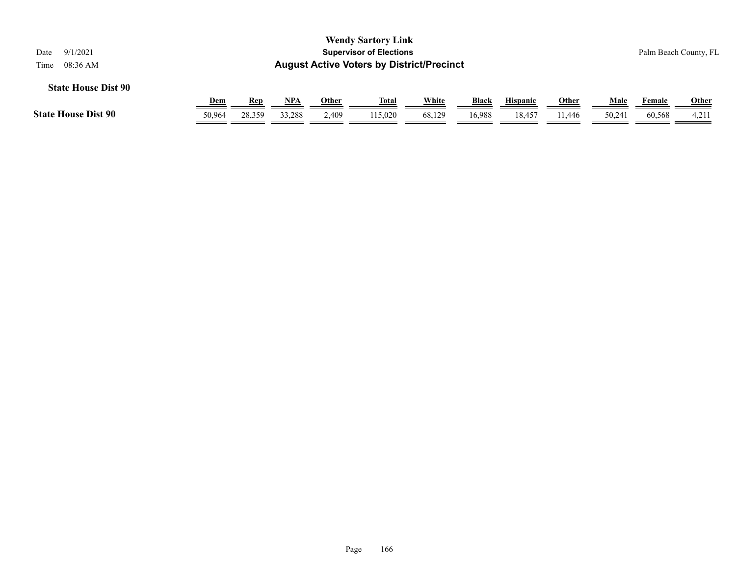| 9/1/2021<br>Date                                                                                   |        |        |            |       | <b>Wendy Sartory Link</b><br><b>Supervisor of Elections</b> |        |        |                 |              |       |        | Palm Beach County, FL |
|----------------------------------------------------------------------------------------------------|--------|--------|------------|-------|-------------------------------------------------------------|--------|--------|-----------------|--------------|-------|--------|-----------------------|
| <b>August Active Voters by District/Precinct</b><br>08:36 AM<br>Time<br><b>State House Dist 90</b> |        |        |            |       |                                                             |        |        |                 |              |       |        |                       |
|                                                                                                    | Dem    | Rep    | <b>NPA</b> | Other | <u>Total</u>                                                | White  | Black  | <b>Hispanic</b> | <b>Other</b> | Male  | Female | <b>Other</b>          |
| <b>State House Dist 90</b>                                                                         | 50,964 | 28,359 | 33,288     | 2,409 | 115,020                                                     | 68,129 | 16.988 | 18,457          | 11.446       | 50,24 | 60,568 | 4,211                 |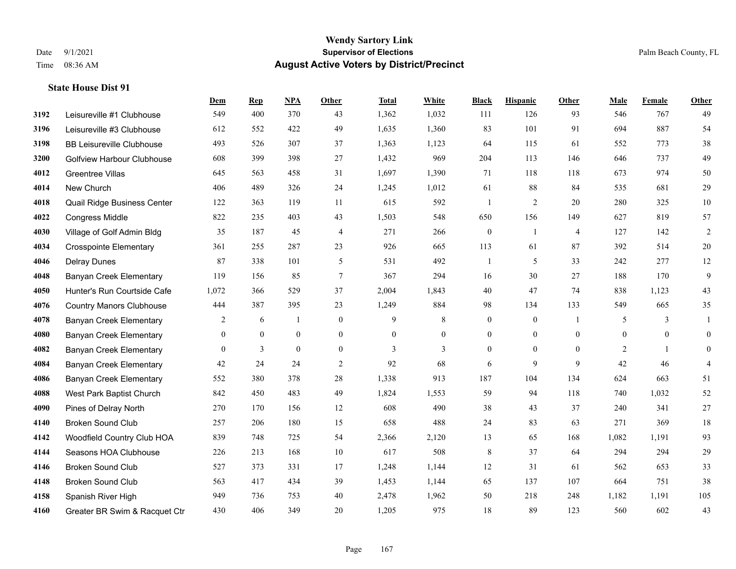**State House Dist 91**

#### **Wendy Sartory Link** Date 9/1/2021 **Supervisor of Elections** Palm Beach County, FL Time 08:36 AM **August Active Voters by District/Precinct**

# **Dem Rep NPA Other Total White Black Hispanic Other Male Female Other** Leisureville #1 Clubhouse 549 400 370 43 1,362 1,032 111 126 93 546 767 49 Leisureville #3 Clubhouse 612 552 422 49 1,635 1,360 83 101 91 694 887 54 BB Leisureville Clubhouse 493 526 307 37 1,363 1,123 64 115 61 552 773 38 Golfview Harbour Clubhouse 608 399 398 27 1,432 969 204 113 146 646 737 49 Greentree Villas 645 563 458 31 1,697 1,390 71 118 118 673 974 50 New Church 406 489 326 24 1,245 1,012 61 88 84 535 681 29 Quail Ridge Business Center 122 363 119 11 615 592 1 2 20 280 325 10 Congress Middle 822 235 403 43 1,503 548 650 156 149 627 819 57 Village of Golf Admin Bldg 35 187 45 4 271 266 0 1 4 127 142 2 Crosspointe Elementary 361 255 287 23 926 665 113 61 87 392 514 20 Delray Dunes 87 338 101 5 531 492 1 5 33 242 277 12 Banyan Creek Elementary 119 156 85 7 367 294 16 30 27 188 170 9 Hunter's Run Courtside Cafe 1,072 366 529 37 2,004 1,843 40 47 74 838 1,123 43 Country Manors Clubhouse 444 387 395 23 1,249 884 98 134 133 549 665 35 **4078 Banyan Creek Elementary 2 6 1 0 9 8 0 0 1 5 3 1**  Banyan Creek Elementary 0 0 0 0 0 0 0 0 0 0 0 0 **4082 Banyan Creek Elementary 0 3 0 0 3 3 3 0 0 0 2 1 0 4084 Banyan Creek Elementary 42 24 24 2 92 68 6 9 9 42 46 4**  Banyan Creek Elementary 552 380 378 28 1,338 913 187 104 134 624 663 51 West Park Baptist Church 842 450 483 49 1,824 1,553 59 94 118 740 1,032 52 Pines of Delray North 270 170 156 12 608 490 38 43 37 240 341 27 Broken Sound Club 257 206 180 15 658 488 24 83 63 271 369 18 Woodfield Country Club HOA 839 748 725 54 2,366 2,120 13 65 168 1,082 1,191 93 Seasons HOA Clubhouse 226 213 168 10 617 508 8 37 64 294 294 29 Broken Sound Club 527 373 331 17 1,248 1,144 12 31 61 562 653 33 Broken Sound Club 563 417 434 39 1,453 1,144 65 137 107 664 751 38 Spanish River High 949 736 753 40 2,478 1,962 50 218 248 1,182 1,191 105

Greater BR Swim & Racquet Ctr 430 406 349 20 1,205 975 18 89 123 560 602 43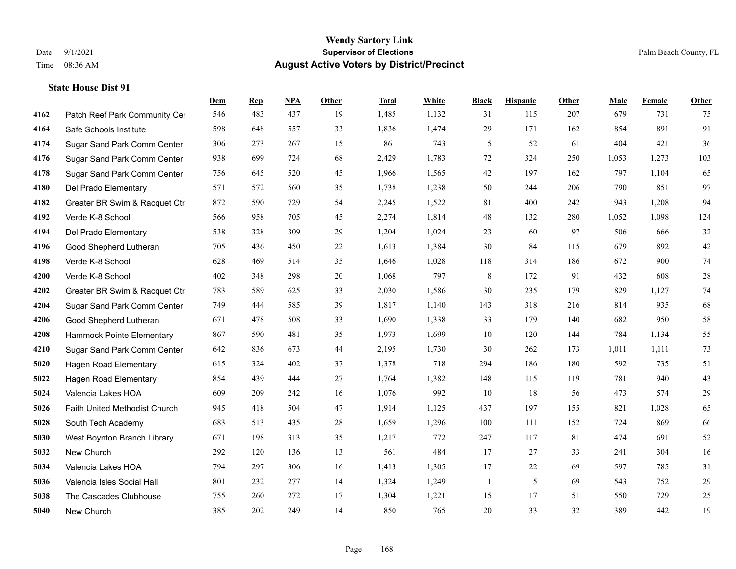|      |                               | Dem | <b>Rep</b> | NPA | <b>Other</b> | <b>Total</b> | White | <b>Black</b> | <b>Hispanic</b> | <b>Other</b> | <b>Male</b> | <b>Female</b> | <b>Other</b> |
|------|-------------------------------|-----|------------|-----|--------------|--------------|-------|--------------|-----------------|--------------|-------------|---------------|--------------|
| 4162 | Patch Reef Park Community Cer | 546 | 483        | 437 | 19           | 1,485        | 1,132 | 31           | 115             | 207          | 679         | 731           | 75           |
| 4164 | Safe Schools Institute        | 598 | 648        | 557 | 33           | 1,836        | 1,474 | 29           | 171             | 162          | 854         | 891           | 91           |
| 4174 | Sugar Sand Park Comm Center   | 306 | 273        | 267 | 15           | 861          | 743   | 5            | 52              | 61           | 404         | 421           | 36           |
| 4176 | Sugar Sand Park Comm Center   | 938 | 699        | 724 | 68           | 2,429        | 1,783 | 72           | 324             | 250          | 1,053       | 1,273         | 103          |
| 4178 | Sugar Sand Park Comm Center   | 756 | 645        | 520 | 45           | 1,966        | 1,565 | 42           | 197             | 162          | 797         | 1.104         | 65           |
| 4180 | Del Prado Elementary          | 571 | 572        | 560 | 35           | 1,738        | 1,238 | 50           | 244             | 206          | 790         | 851           | 97           |
| 4182 | Greater BR Swim & Racquet Ctr | 872 | 590        | 729 | 54           | 2,245        | 1,522 | 81           | 400             | 242          | 943         | 1,208         | 94           |
| 4192 | Verde K-8 School              | 566 | 958        | 705 | 45           | 2,274        | 1,814 | 48           | 132             | 280          | 1,052       | 1,098         | 124          |
| 4194 | Del Prado Elementary          | 538 | 328        | 309 | 29           | 1,204        | 1,024 | 23           | 60              | 97           | 506         | 666           | $32\,$       |
| 4196 | Good Shepherd Lutheran        | 705 | 436        | 450 | 22           | 1,613        | 1,384 | 30           | 84              | 115          | 679         | 892           | $42\,$       |
| 4198 | Verde K-8 School              | 628 | 469        | 514 | 35           | 1,646        | 1,028 | 118          | 314             | 186          | 672         | 900           | $74\,$       |
| 4200 | Verde K-8 School              | 402 | 348        | 298 | 20           | 1,068        | 797   | 8            | 172             | 91           | 432         | 608           | $28\,$       |
| 4202 | Greater BR Swim & Racquet Ctr | 783 | 589        | 625 | 33           | 2,030        | 1,586 | 30           | 235             | 179          | 829         | 1,127         | $74\,$       |
| 4204 | Sugar Sand Park Comm Center   | 749 | 444        | 585 | 39           | 1,817        | 1,140 | 143          | 318             | 216          | 814         | 935           | 68           |
| 4206 | Good Shepherd Lutheran        | 671 | 478        | 508 | 33           | 1,690        | 1,338 | 33           | 179             | 140          | 682         | 950           | 58           |
| 4208 | Hammock Pointe Elementary     | 867 | 590        | 481 | 35           | 1,973        | 1,699 | 10           | 120             | 144          | 784         | 1,134         | 55           |
| 4210 | Sugar Sand Park Comm Center   | 642 | 836        | 673 | 44           | 2,195        | 1,730 | 30           | 262             | 173          | 1,011       | 1,111         | 73           |
| 5020 | <b>Hagen Road Elementary</b>  | 615 | 324        | 402 | 37           | 1,378        | 718   | 294          | 186             | 180          | 592         | 735           | 51           |
| 5022 | <b>Hagen Road Elementary</b>  | 854 | 439        | 444 | 27           | 1,764        | 1,382 | 148          | 115             | 119          | 781         | 940           | 43           |
| 5024 | Valencia Lakes HOA            | 609 | 209        | 242 | 16           | 1,076        | 992   | 10           | 18              | 56           | 473         | 574           | 29           |
| 5026 | Faith United Methodist Church | 945 | 418        | 504 | 47           | 1,914        | 1,125 | 437          | 197             | 155          | 821         | 1,028         | 65           |
| 5028 | South Tech Academy            | 683 | 513        | 435 | 28           | 1,659        | 1,296 | 100          | 111             | 152          | 724         | 869           | 66           |
| 5030 | West Boynton Branch Library   | 671 | 198        | 313 | 35           | 1,217        | 772   | 247          | 117             | 81           | 474         | 691           | 52           |
| 5032 | New Church                    | 292 | 120        | 136 | 13           | 561          | 484   | 17           | 27              | 33           | 241         | 304           | 16           |
| 5034 | Valencia Lakes HOA            | 794 | 297        | 306 | 16           | 1,413        | 1,305 | 17           | 22              | 69           | 597         | 785           | 31           |
| 5036 | Valencia Isles Social Hall    | 801 | 232        | 277 | 14           | 1,324        | 1,249 | 1            | 5               | 69           | 543         | 752           | $29\,$       |
| 5038 | The Cascades Clubhouse        | 755 | 260        | 272 | 17           | 1,304        | 1,221 | 15           | 17              | 51           | 550         | 729           | 25           |
| 5040 | New Church                    | 385 | 202        | 249 | 14           | 850          | 765   | 20           | 33              | 32           | 389         | 442           | 19           |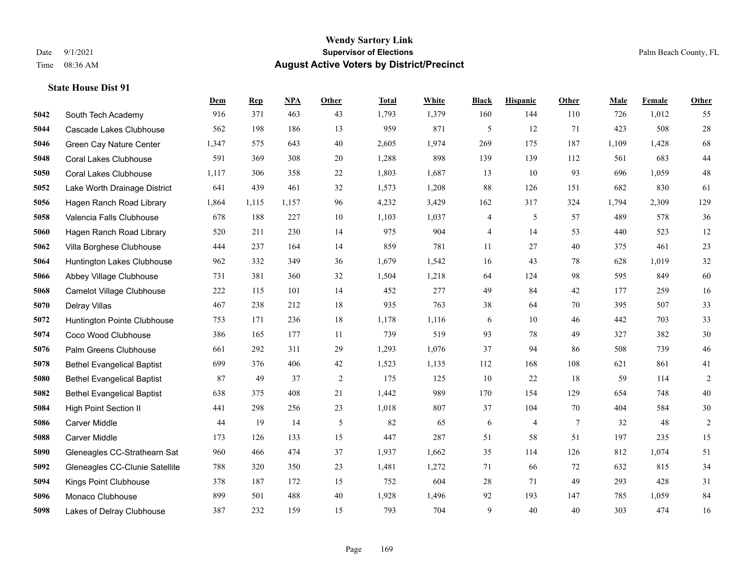|      |                                   | <b>Dem</b> | <b>Rep</b> | NPA   | <b>Other</b> | <b>Total</b> | White | <b>Black</b> | <b>Hispanic</b> | <b>Other</b>    | <b>Male</b> | Female | <b>Other</b> |
|------|-----------------------------------|------------|------------|-------|--------------|--------------|-------|--------------|-----------------|-----------------|-------------|--------|--------------|
| 5042 | South Tech Academy                | 916        | 371        | 463   | 43           | 1,793        | 1,379 | 160          | 144             | 110             | 726         | 1,012  | 55           |
| 5044 | Cascade Lakes Clubhouse           | 562        | 198        | 186   | 13           | 959          | 871   | 5            | 12              | 71              | 423         | 508    | $28\,$       |
| 5046 | Green Cay Nature Center           | 1,347      | 575        | 643   | 40           | 2,605        | 1,974 | 269          | 175             | 187             | 1,109       | 1,428  | 68           |
| 5048 | Coral Lakes Clubhouse             | 591        | 369        | 308   | 20           | 1,288        | 898   | 139          | 139             | 112             | 561         | 683    | $44\,$       |
| 5050 | <b>Coral Lakes Clubhouse</b>      | 1,117      | 306        | 358   | 22           | 1,803        | 1,687 | 13           | 10              | 93              | 696         | 1.059  | $48\,$       |
| 5052 | Lake Worth Drainage District      | 641        | 439        | 461   | 32           | 1,573        | 1,208 | 88           | 126             | 151             | 682         | 830    | 61           |
| 5056 | Hagen Ranch Road Library          | 1,864      | 1,115      | 1,157 | 96           | 4,232        | 3,429 | 162          | 317             | 324             | 1,794       | 2,309  | 129          |
| 5058 | Valencia Falls Clubhouse          | 678        | 188        | 227   | 10           | 1,103        | 1,037 | 4            | 5               | 57              | 489         | 578    | 36           |
| 5060 | Hagen Ranch Road Library          | 520        | 211        | 230   | 14           | 975          | 904   | 4            | 14              | 53              | 440         | 523    | 12           |
| 5062 | Villa Borghese Clubhouse          | 444        | 237        | 164   | 14           | 859          | 781   | 11           | 27              | 40              | 375         | 461    | 23           |
| 5064 | Huntington Lakes Clubhouse        | 962        | 332        | 349   | 36           | 1,679        | 1,542 | 16           | 43              | 78              | 628         | 1.019  | $32\,$       |
| 5066 | Abbey Village Clubhouse           | 731        | 381        | 360   | 32           | 1,504        | 1,218 | 64           | 124             | 98              | 595         | 849    | 60           |
| 5068 | Camelot Village Clubhouse         | 222        | 115        | 101   | 14           | 452          | 277   | 49           | 84              | 42              | 177         | 259    | 16           |
| 5070 | Delray Villas                     | 467        | 238        | 212   | $18\,$       | 935          | 763   | 38           | 64              | 70              | 395         | 507    | 33           |
| 5072 | Huntington Pointe Clubhouse       | 753        | 171        | 236   | 18           | 1,178        | 1,116 | 6            | 10              | 46              | 442         | 703    | 33           |
| 5074 | Coco Wood Clubhouse               | 386        | 165        | 177   | 11           | 739          | 519   | 93           | 78              | 49              | 327         | 382    | 30           |
| 5076 | Palm Greens Clubhouse             | 661        | 292        | 311   | 29           | 1,293        | 1,076 | 37           | 94              | 86              | 508         | 739    | $46\,$       |
| 5078 | <b>Bethel Evangelical Baptist</b> | 699        | 376        | 406   | 42           | 1,523        | 1,135 | 112          | 168             | 108             | 621         | 861    | 41           |
| 5080 | <b>Bethel Evangelical Baptist</b> | 87         | 49         | 37    | 2            | 175          | 125   | 10           | 22              | 18              | 59          | 114    | 2            |
| 5082 | <b>Bethel Evangelical Baptist</b> | 638        | 375        | 408   | 21           | 1,442        | 989   | 170          | 154             | 129             | 654         | 748    | $40\,$       |
| 5084 | <b>High Point Section II</b>      | 441        | 298        | 256   | 23           | 1,018        | 807   | 37           | 104             | 70              | 404         | 584    | $30\,$       |
| 5086 | <b>Carver Middle</b>              | 44         | 19         | 14    | 5            | 82           | 65    | 6            | 4               | $7\phantom{.0}$ | 32          | 48     | 2            |
| 5088 | <b>Carver Middle</b>              | 173        | 126        | 133   | 15           | 447          | 287   | 51           | 58              | 51              | 197         | 235    | 15           |
| 5090 | Gleneagles CC-Strathearn Sat      | 960        | 466        | 474   | 37           | 1,937        | 1,662 | 35           | 114             | 126             | 812         | 1,074  | 51           |
| 5092 | Gleneagles CC-Clunie Satellite    | 788        | 320        | 350   | 23           | 1,481        | 1,272 | 71           | 66              | 72              | 632         | 815    | 34           |
| 5094 | Kings Point Clubhouse             | 378        | 187        | 172   | 15           | 752          | 604   | 28           | 71              | 49              | 293         | 428    | 31           |
| 5096 | Monaco Clubhouse                  | 899        | 501        | 488   | 40           | 1,928        | 1,496 | 92           | 193             | 147             | 785         | 1,059  | 84           |
| 5098 | Lakes of Delray Clubhouse         | 387        | 232        | 159   | 15           | 793          | 704   | 9            | 40              | 40              | 303         | 474    | 16           |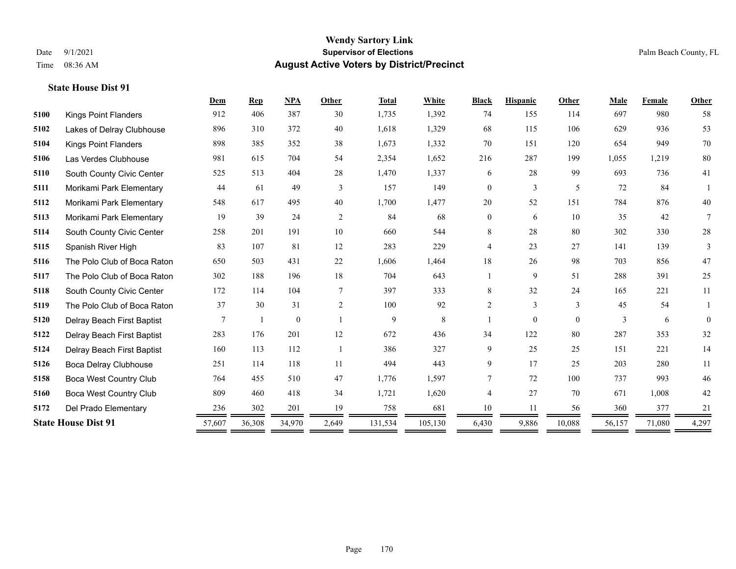|                               |        | <b>Rep</b> | <b>NPA</b>   | Other | <b>Total</b> | White   | <b>Black</b>   | <b>Hispanic</b> | Other    | Male          | Female | Other           |
|-------------------------------|--------|------------|--------------|-------|--------------|---------|----------------|-----------------|----------|---------------|--------|-----------------|
| <b>Kings Point Flanders</b>   | 912    | 406        | 387          | 30    | 1,735        | 1,392   | 74             | 155             | 114      | 697           | 980    | 58              |
| Lakes of Delray Clubhouse     | 896    | 310        | 372          | 40    | 1,618        | 1,329   | 68             | 115             | 106      | 629           | 936    | 53              |
| <b>Kings Point Flanders</b>   | 898    | 385        | 352          | 38    | 1,673        | 1,332   | 70             | 151             | 120      | 654           | 949    | 70              |
| Las Verdes Clubhouse          | 981    | 615        | 704          | 54    | 2,354        | 1,652   | 216            | 287             | 199      | 1,055         | 1,219  | 80              |
| South County Civic Center     | 525    | 513        | 404          | 28    | 1,470        | 1,337   | 6              | 28              | 99       | 693           | 736    | 41              |
| Morikami Park Elementary      | 44     | 61         | 49           | 3     | 157          | 149     | $\overline{0}$ | 3               | 5        | 72            | 84     |                 |
| Morikami Park Elementary      | 548    | 617        | 495          | 40    | 1,700        | 1,477   | $20\,$         | 52              | 151      | 784           | 876    | $40\,$          |
| Morikami Park Elementary      | 19     | 39         | 24           | 2     | 84           | 68      | $\mathbf{0}$   | 6               | 10       | 35            | 42     | $7\phantom{.0}$ |
| South County Civic Center     | 258    | 201        | 191          | 10    | 660          | 544     | 8              | 28              | 80       | 302           | 330    | $28\,$          |
| Spanish River High            | 83     | 107        | 81           | 12    | 283          | 229     | 4              | 23              | 27       | 141           | 139    | 3               |
| The Polo Club of Boca Raton   | 650    | 503        | 431          | 22    | 1,606        | 1,464   | 18             | 26              | 98       | 703           | 856    | 47              |
| The Polo Club of Boca Raton   | 302    | 188        | 196          | 18    | 704          | 643     |                | 9               | 51       | 288           | 391    | 25              |
| South County Civic Center     | 172    | 114        | 104          | 7     | 397          | 333     | 8              | 32              | 24       | 165           | 221    | 11              |
| The Polo Club of Boca Raton   | 37     | 30         | 31           | 2     | 100          | 92      | $\overline{2}$ | 3               | 3        | 45            | 54     |                 |
| Delray Beach First Baptist    | 7      |            | $\mathbf{0}$ |       | 9            | 8       |                | $\overline{0}$  | $\theta$ | $\mathcal{E}$ | 6      | $\Omega$        |
| Delray Beach First Baptist    | 283    | 176        | 201          | 12    | 672          | 436     | 34             | 122             | 80       | 287           | 353    | 32              |
| Delray Beach First Baptist    | 160    | 113        | 112          | -1    | 386          | 327     | 9              | 25              | 25       | 151           | 221    | 14              |
| Boca Delray Clubhouse         | 251    | 114        | 118          | 11    | 494          | 443     | 9              | 17              | 25       | 203           | 280    | 11              |
| <b>Boca West Country Club</b> | 764    | 455        | 510          | 47    | 1,776        | 1,597   | $\tau$         | 72              | 100      | 737           | 993    | 46              |
| <b>Boca West Country Club</b> | 809    | 460        | 418          | 34    | 1,721        | 1,620   | 4              | 27              | 70       | 671           | 1,008  | 42              |
| Del Prado Elementary          | 236    | 302        | 201          | 19    | 758          | 681     | 10             | 11              | 56       | 360           | 377    | 21              |
| <b>State House Dist 91</b>    | 57,607 | 36,308     | 34,970       | 2,649 | 131,534      | 105,130 | 6,430          | 9,886           | 10,088   | 56,157        | 71,080 | 4,297           |
|                               |        |            |              |       |              |         |                |                 |          |               |        |                 |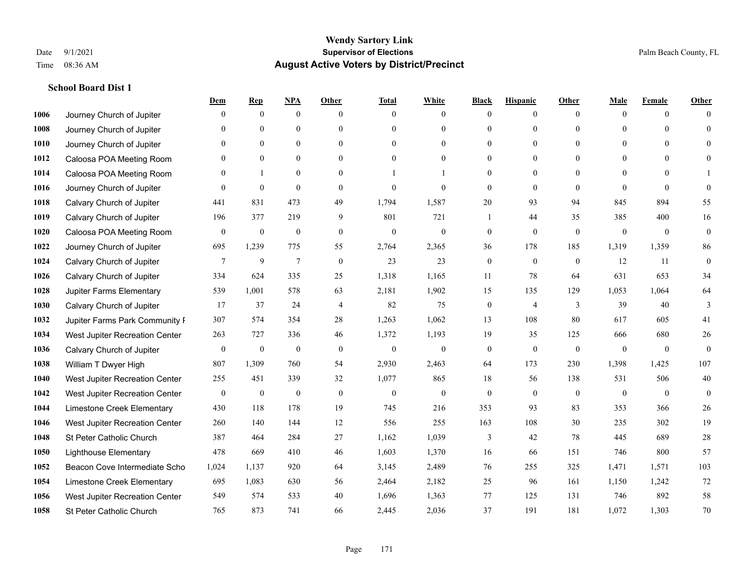|      |                                | Dem            | <b>Rep</b>       | NPA              | <b>Other</b>   | <b>Total</b>     | <b>White</b>     | <b>Black</b>     | <b>Hispanic</b> | <b>Other</b>   | <b>Male</b>  | <b>Female</b> | <b>Other</b> |
|------|--------------------------------|----------------|------------------|------------------|----------------|------------------|------------------|------------------|-----------------|----------------|--------------|---------------|--------------|
| 1006 | Journey Church of Jupiter      | $\Omega$       | $\mathbf{0}$     | $\boldsymbol{0}$ | $\Omega$       | $\Omega$         | $\overline{0}$   | $\mathbf{0}$     | $\mathbf{0}$    | $\theta$       | $\mathbf{0}$ | $\theta$      | $\Omega$     |
| 1008 | Journey Church of Jupiter      | $\Omega$       | $\theta$         | $\mathbf{0}$     | $\theta$       | $\Omega$         | $\overline{0}$   | $\theta$         | $\mathbf{0}$    | $\Omega$       | $\theta$     | $\Omega$      | $\theta$     |
| 1010 | Journey Church of Jupiter      | $\Omega$       | $\theta$         | $\theta$         | $\Omega$       | $\Omega$         | $\Omega$         | $\Omega$         | $\theta$        | $\Omega$       | $\Omega$     | $\Omega$      | $\Omega$     |
| 1012 | Caloosa POA Meeting Room       | $\mathbf{0}$   | $\mathbf{0}$     | $\mathbf{0}$     | $\mathbf{0}$   | $\theta$         | $\overline{0}$   | $\overline{0}$   | $\mathbf{0}$    | $\Omega$       | $\mathbf{0}$ | $\theta$      | $\theta$     |
| 1014 | Caloosa POA Meeting Room       | $\theta$       | 1                | $\mathbf{0}$     | $\theta$       |                  |                  | $\theta$         | $\theta$        | $\theta$       | $\theta$     | $\theta$      |              |
| 1016 | Journey Church of Jupiter      | $\Omega$       | $\mathbf{0}$     | $\mathbf{0}$     | $\theta$       | $\theta$         | $\mathbf{0}$     | $\theta$         | $\theta$        | $\Omega$       | $\theta$     | $\theta$      | $\theta$     |
| 1018 | Calvary Church of Jupiter      | 441            | 831              | 473              | 49             | 1,794            | 1,587            | 20               | 93              | 94             | 845          | 894           | 55           |
| 1019 | Calvary Church of Jupiter      | 196            | 377              | 219              | 9              | 801              | 721              | 1                | 44              | 35             | 385          | 400           | 16           |
| 1020 | Caloosa POA Meeting Room       | $\overline{0}$ | $\boldsymbol{0}$ | $\boldsymbol{0}$ | $\mathbf{0}$   | $\boldsymbol{0}$ | $\boldsymbol{0}$ | $\boldsymbol{0}$ | $\mathbf{0}$    | $\mathbf{0}$   | $\mathbf{0}$ | $\mathbf{0}$  | $\mathbf{0}$ |
| 1022 | Journey Church of Jupiter      | 695            | 1,239            | 775              | 55             | 2,764            | 2,365            | 36               | 178             | 185            | 1,319        | 1,359         | 86           |
| 1024 | Calvary Church of Jupiter      | 7              | 9                | $\tau$           | $\mathbf{0}$   | 23               | 23               | $\boldsymbol{0}$ | $\mathbf{0}$    | $\overline{0}$ | 12           | 11            | $\mathbf{0}$ |
| 1026 | Calvary Church of Jupiter      | 334            | 624              | 335              | 25             | 1,318            | 1,165            | 11               | 78              | 64             | 631          | 653           | 34           |
| 1028 | Jupiter Farms Elementary       | 539            | 1,001            | 578              | 63             | 2,181            | 1,902            | 15               | 135             | 129            | 1,053        | 1,064         | 64           |
| 1030 | Calvary Church of Jupiter      | 17             | 37               | 24               | $\overline{4}$ | 82               | 75               | $\boldsymbol{0}$ | $\overline{4}$  | 3              | 39           | 40            | 3            |
| 1032 | Jupiter Farms Park Community F | 307            | 574              | 354              | 28             | 1,263            | 1,062            | 13               | 108             | 80             | 617          | 605           | 41           |
| 1034 | West Jupiter Recreation Center | 263            | 727              | 336              | 46             | 1,372            | 1,193            | 19               | 35              | 125            | 666          | 680           | $26\,$       |
| 1036 | Calvary Church of Jupiter      | $\overline{0}$ | $\boldsymbol{0}$ | $\mathbf{0}$     | $\mathbf{0}$   | $\mathbf{0}$     | $\overline{0}$   | $\boldsymbol{0}$ | $\mathbf{0}$    | $\mathbf{0}$   | $\mathbf{0}$ | $\mathbf{0}$  | $\theta$     |
| 1038 | William T Dwyer High           | 807            | 1,309            | 760              | 54             | 2,930            | 2,463            | 64               | 173             | 230            | 1,398        | 1,425         | 107          |
| 1040 | West Jupiter Recreation Center | 255            | 451              | 339              | 32             | 1,077            | 865              | 18               | 56              | 138            | 531          | 506           | $40\,$       |
| 1042 | West Jupiter Recreation Center | $\overline{0}$ | $\boldsymbol{0}$ | $\mathbf{0}$     | $\mathbf{0}$   | $\theta$         | $\mathbf{0}$     | $\mathbf{0}$     | $\theta$        | $\theta$       | $\mathbf{0}$ | $\theta$      | $\mathbf{0}$ |
| 1044 | Limestone Creek Elementary     | 430            | 118              | 178              | 19             | 745              | 216              | 353              | 93              | 83             | 353          | 366           | 26           |
| 1046 | West Jupiter Recreation Center | 260            | 140              | 144              | 12             | 556              | 255              | 163              | 108             | 30             | 235          | 302           | 19           |
| 1048 | St Peter Catholic Church       | 387            | 464              | 284              | 27             | 1,162            | 1,039            | 3                | 42              | 78             | 445          | 689           | $28\,$       |
| 1050 | <b>Lighthouse Elementary</b>   | 478            | 669              | 410              | 46             | 1,603            | 1,370            | 16               | 66              | 151            | 746          | 800           | 57           |
| 1052 | Beacon Cove Intermediate Scho  | 1,024          | 1,137            | 920              | 64             | 3,145            | 2,489            | 76               | 255             | 325            | 1,471        | 1,571         | 103          |
| 1054 | Limestone Creek Elementary     | 695            | 1,083            | 630              | 56             | 2,464            | 2,182            | 25               | 96              | 161            | 1,150        | 1,242         | 72           |
| 1056 | West Jupiter Recreation Center | 549            | 574              | 533              | 40             | 1,696            | 1,363            | 77               | 125             | 131            | 746          | 892           | 58           |
| 1058 | St Peter Catholic Church       | 765            | 873              | 741              | 66             | 2,445            | 2,036            | 37               | 191             | 181            | 1,072        | 1,303         | 70           |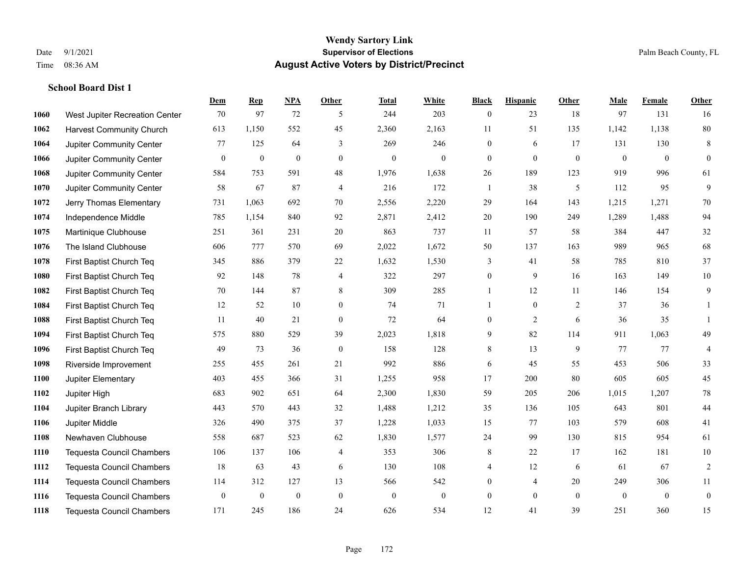|      |                                  | Dem              | <b>Rep</b>       | NPA          | <b>Other</b>   | <b>Total</b>     | <b>White</b>     | <b>Black</b>     | <b>Hispanic</b> | <b>Other</b>   | <b>Male</b>  | Female       | <b>Other</b>     |
|------|----------------------------------|------------------|------------------|--------------|----------------|------------------|------------------|------------------|-----------------|----------------|--------------|--------------|------------------|
| 1060 | West Jupiter Recreation Center   | 70               | 97               | 72           | 5              | 244              | 203              | $\boldsymbol{0}$ | 23              | 18             | 97           | 131          | 16               |
| 1062 | <b>Harvest Community Church</b>  | 613              | 1,150            | 552          | 45             | 2,360            | 2,163            | 11               | 51              | 135            | 1,142        | 1,138        | 80               |
| 1064 | Jupiter Community Center         | 77               | 125              | 64           | 3              | 269              | 246              | $\mathbf{0}$     | 6               | 17             | 131          | 130          | 8                |
| 1066 | Jupiter Community Center         | $\mathbf{0}$     | $\boldsymbol{0}$ | $\mathbf{0}$ | $\mathbf{0}$   | $\boldsymbol{0}$ | $\mathbf{0}$     | $\boldsymbol{0}$ | $\mathbf{0}$    | $\mathbf{0}$   | $\mathbf{0}$ | $\mathbf{0}$ | $\mathbf{0}$     |
| 1068 | Jupiter Community Center         | 584              | 753              | 591          | 48             | 1,976            | 1,638            | $26\,$           | 189             | 123            | 919          | 996          | 61               |
| 1070 | Jupiter Community Center         | 58               | 67               | 87           | $\overline{4}$ | 216              | 172              | 1                | 38              | 5              | 112          | 95           | 9                |
| 1072 | Jerry Thomas Elementary          | 731              | 1,063            | 692          | 70             | 2,556            | 2,220            | 29               | 164             | 143            | 1,215        | 1,271        | 70               |
| 1074 | Independence Middle              | 785              | 1,154            | 840          | 92             | 2,871            | 2,412            | $20\,$           | 190             | 249            | 1,289        | 1,488        | 94               |
| 1075 | Martinique Clubhouse             | 251              | 361              | 231          | 20             | 863              | 737              | 11               | 57              | 58             | 384          | 447          | $32\,$           |
| 1076 | The Island Clubhouse             | 606              | 777              | 570          | 69             | 2,022            | 1,672            | 50               | 137             | 163            | 989          | 965          | 68               |
| 1078 | First Baptist Church Teq         | 345              | 886              | 379          | 22             | 1,632            | 1,530            | 3                | 41              | 58             | 785          | 810          | 37               |
| 1080 | First Baptist Church Teq         | 92               | 148              | 78           | $\overline{4}$ | 322              | 297              | $\boldsymbol{0}$ | 9               | 16             | 163          | 149          | $10\,$           |
| 1082 | First Baptist Church Teq         | 70               | 144              | 87           | 8              | 309              | 285              | $\mathbf{1}$     | 12              | 11             | 146          | 154          | 9                |
| 1084 | First Baptist Church Teq         | 12               | 52               | 10           | $\mathbf{0}$   | 74               | 71               | $\mathbf{1}$     | $\mathbf{0}$    | 2              | 37           | 36           | 1                |
| 1088 | First Baptist Church Teq         | 11               | 40               | 21           | $\mathbf{0}$   | 72               | 64               | $\mathbf{0}$     | 2               | 6              | 36           | 35           | 1                |
| 1094 | First Baptist Church Teq         | 575              | 880              | 529          | 39             | 2,023            | 1,818            | 9                | 82              | 114            | 911          | 1,063        | 49               |
| 1096 | First Baptist Church Teq         | 49               | 73               | 36           | $\mathbf{0}$   | 158              | 128              | 8                | 13              | 9              | 77           | 77           | $\overline{4}$   |
| 1098 | Riverside Improvement            | 255              | 455              | 261          | 21             | 992              | 886              | $\sqrt{6}$       | 45              | 55             | 453          | 506          | 33               |
| 1100 | Jupiter Elementary               | 403              | 455              | 366          | 31             | 1,255            | 958              | 17               | 200             | 80             | 605          | 605          | 45               |
| 1102 | Jupiter High                     | 683              | 902              | 651          | 64             | 2,300            | 1,830            | 59               | 205             | 206            | 1,015        | 1,207        | $78\,$           |
| 1104 | Jupiter Branch Library           | 443              | 570              | 443          | 32             | 1,488            | 1,212            | 35               | 136             | 105            | 643          | 801          | 44               |
| 1106 | Jupiter Middle                   | 326              | 490              | 375          | 37             | 1,228            | 1,033            | 15               | 77              | 103            | 579          | 608          | 41               |
| 1108 | Newhaven Clubhouse               | 558              | 687              | 523          | 62             | 1,830            | 1,577            | 24               | 99              | 130            | 815          | 954          | 61               |
| 1110 | <b>Tequesta Council Chambers</b> | 106              | 137              | 106          | 4              | 353              | 306              | 8                | 22              | 17             | 162          | 181          | $10\,$           |
| 1112 | <b>Tequesta Council Chambers</b> | 18               | 63               | 43           | 6              | 130              | 108              | 4                | 12              | 6              | 61           | 67           | $\sqrt{2}$       |
| 1114 | <b>Tequesta Council Chambers</b> | 114              | 312              | 127          | 13             | 566              | 542              | $\boldsymbol{0}$ | 4               | 20             | 249          | 306          | 11               |
| 1116 | <b>Tequesta Council Chambers</b> | $\boldsymbol{0}$ | $\boldsymbol{0}$ | $\mathbf{0}$ | $\mathbf{0}$   | $\mathbf{0}$     | $\boldsymbol{0}$ | $\boldsymbol{0}$ | $\mathbf{0}$    | $\overline{0}$ | $\mathbf{0}$ | $\mathbf{0}$ | $\boldsymbol{0}$ |
| 1118 | <b>Tequesta Council Chambers</b> | 171              | 245              | 186          | 24             | 626              | 534              | 12               | 41              | 39             | 251          | 360          | 15               |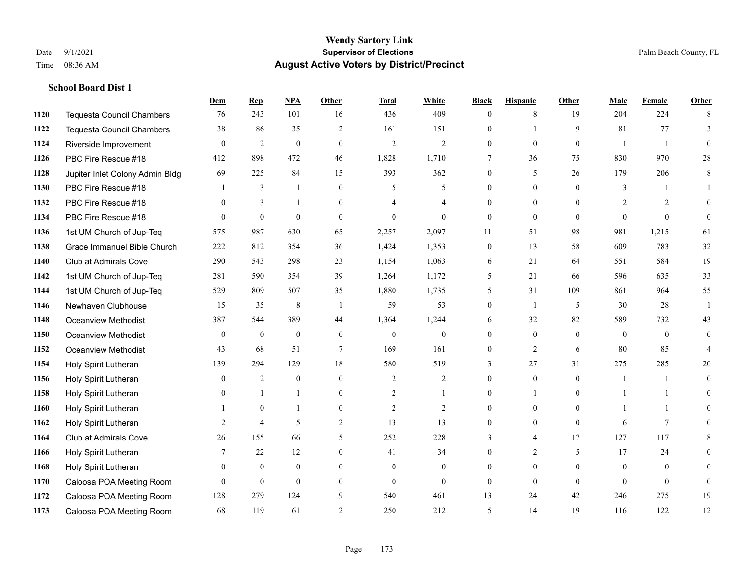|      |                                  | Dem            | <b>Rep</b>       | NPA              | Other          | <b>Total</b>   | <b>White</b>     | <b>Black</b>     | <b>Hispanic</b> | <b>Other</b> | <b>Male</b>  | <b>Female</b>  | <b>Other</b> |
|------|----------------------------------|----------------|------------------|------------------|----------------|----------------|------------------|------------------|-----------------|--------------|--------------|----------------|--------------|
| 1120 | <b>Tequesta Council Chambers</b> | 76             | 243              | 101              | 16             | 436            | 409              | $\mathbf{0}$     | 8               | 19           | 204          | 224            | 8            |
| 1122 | <b>Tequesta Council Chambers</b> | 38             | 86               | 35               | $\overline{2}$ | 161            | 151              | $\overline{0}$   |                 | 9            | 81           | 77             | 3            |
| 1124 | Riverside Improvement            | $\theta$       | $\overline{2}$   | $\mathbf{0}$     | $\theta$       | $\overline{2}$ | $\overline{2}$   | $\theta$         | $\theta$        | $\Omega$     | $\mathbf{1}$ | $\overline{1}$ | $\theta$     |
| 1126 | PBC Fire Rescue #18              | 412            | 898              | 472              | 46             | 1,828          | 1,710            | 7                | 36              | 75           | 830          | 970            | $28\,$       |
| 1128 | Jupiter Inlet Colony Admin Bldg  | 69             | 225              | 84               | 15             | 393            | 362              | $\overline{0}$   | 5               | 26           | 179          | 206            | 8            |
| 1130 | PBC Fire Rescue #18              |                | 3                | -1               | $\theta$       | 5              | 5                | $\overline{0}$   | $\mathbf{0}$    | $\theta$     | 3            | $\overline{1}$ |              |
| 1132 | PBC Fire Rescue #18              | $\theta$       | 3                | $\mathbf{1}$     | $\Omega$       | $\overline{4}$ | 4                | $\overline{0}$   | $\theta$        | $\theta$     | 2            | $\overline{2}$ | $\Omega$     |
| 1134 | PBC Fire Rescue #18              | $\theta$       | $\boldsymbol{0}$ | $\mathbf{0}$     | $\theta$       | $\theta$       | $\theta$         | $\mathbf{0}$     | $\theta$        | $\Omega$     | $\Omega$     | $\theta$       | $\mathbf{0}$ |
| 1136 | 1st UM Church of Jup-Teq         | 575            | 987              | 630              | 65             | 2,257          | 2,097            | 11               | 51              | 98           | 981          | 1,215          | 61           |
| 1138 | Grace Immanuel Bible Church      | 222            | 812              | 354              | 36             | 1,424          | 1,353            | $\boldsymbol{0}$ | 13              | 58           | 609          | 783            | 32           |
| 1140 | <b>Club at Admirals Cove</b>     | 290            | 543              | 298              | 23             | 1,154          | 1,063            | 6                | 21              | 64           | 551          | 584            | 19           |
| 1142 | 1st UM Church of Jup-Teq         | 281            | 590              | 354              | 39             | 1,264          | 1,172            | 5                | 21              | 66           | 596          | 635            | 33           |
| 1144 | 1st UM Church of Jup-Teq         | 529            | 809              | 507              | 35             | 1,880          | 1,735            | 5                | 31              | 109          | 861          | 964            | 55           |
| 1146 | Newhaven Clubhouse               | 15             | 35               | $\,8\,$          | $\overline{1}$ | 59             | 53               | $\boldsymbol{0}$ | -1              | 5            | 30           | 28             | $\mathbf{1}$ |
| 1148 | Oceanview Methodist              | 387            | 544              | 389              | 44             | 1,364          | 1,244            | 6                | 32              | 82           | 589          | 732            | 43           |
| 1150 | Oceanview Methodist              | $\mathbf{0}$   | $\boldsymbol{0}$ | $\boldsymbol{0}$ | $\overline{0}$ | $\theta$       | $\boldsymbol{0}$ | $\overline{0}$   | $\mathbf{0}$    | $\theta$     | $\mathbf{0}$ | $\mathbf{0}$   | $\mathbf{0}$ |
| 1152 | <b>Oceanview Methodist</b>       | 43             | 68               | 51               | $\tau$         | 169            | 161              | $\boldsymbol{0}$ | $\overline{2}$  | 6            | 80           | 85             | 4            |
| 1154 | Holy Spirit Lutheran             | 139            | 294              | 129              | 18             | 580            | 519              | 3                | 27              | 31           | 275          | 285            | 20           |
| 1156 | Holy Spirit Lutheran             | $\overline{0}$ | $\overline{2}$   | $\mathbf{0}$     | $\theta$       | $\overline{2}$ | $\overline{c}$   | $\overline{0}$   | $\mathbf{0}$    | $\theta$     | -1           | $\mathbf{1}$   | $\mathbf{0}$ |
| 1158 | Holy Spirit Lutheran             | $\Omega$       | $\mathbf{1}$     | $\mathbf{1}$     | $\Omega$       | $\overline{2}$ | 1                | $\theta$         | $\mathbf{1}$    | $\theta$     |              | $\mathbf{1}$   | $\Omega$     |
| 1160 | Holy Spirit Lutheran             |                | $\mathbf{0}$     | 1                | $\Omega$       | $\overline{2}$ | $\overline{2}$   | $\mathbf{0}$     | $\mathbf{0}$    | $\theta$     |              | $\mathbf{1}$   | $\Omega$     |
| 1162 | Holy Spirit Lutheran             | 2              | $\overline{4}$   | 5                | $\overline{c}$ | 13             | 13               | $\overline{0}$   | $\mathbf{0}$    | $\mathbf{0}$ | 6            | 7              | $\Omega$     |
| 1164 | <b>Club at Admirals Cove</b>     | 26             | 155              | 66               | 5              | 252            | 228              | 3                | 4               | 17           | 127          | 117            | 8            |
| 1166 | Holy Spirit Lutheran             | 7              | 22               | 12               | $\theta$       | 41             | 34               | $\theta$         | 2               | 5            | 17           | 24             | $\theta$     |
| 1168 | Holy Spirit Lutheran             | $\overline{0}$ | $\boldsymbol{0}$ | $\mathbf{0}$     | $\overline{0}$ | $\mathbf{0}$   | $\mathbf{0}$     | $\overline{0}$   | $\mathbf{0}$    | $\Omega$     | $\mathbf{0}$ | $\theta$       | $\theta$     |
| 1170 | Caloosa POA Meeting Room         | $\theta$       | $\mathbf{0}$     | $\mathbf{0}$     | $\theta$       | $\theta$       | $\mathbf{0}$     | $\mathbf{0}$     | $\mathbf{0}$    | $\theta$     | $\theta$     | $\theta$       | $\mathbf{0}$ |
| 1172 | Caloosa POA Meeting Room         | 128            | 279              | 124              | 9              | 540            | 461              | 13               | 24              | 42           | 246          | 275            | 19           |
| 1173 | Caloosa POA Meeting Room         | 68             | 119              | 61               | $\overline{2}$ | 250            | 212              | 5                | 14              | 19           | 116          | 122            | 12           |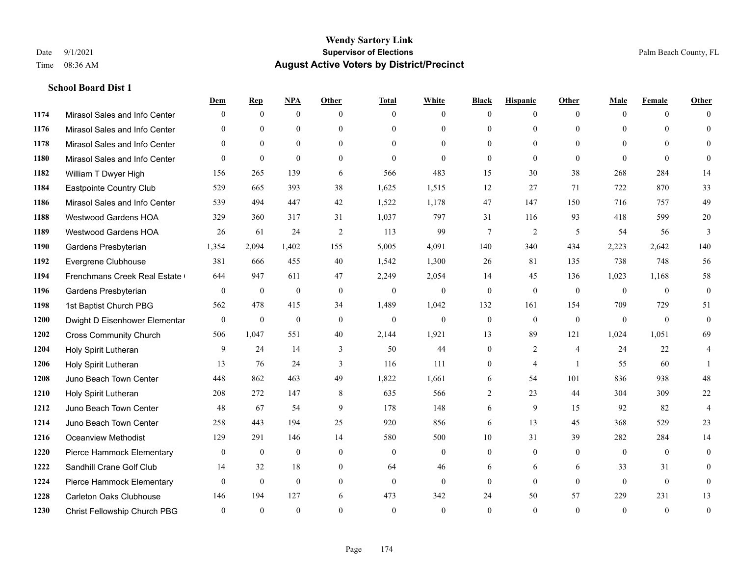|      |                               | Dem          | <b>Rep</b>   | NPA          | <b>Other</b>   | <b>Total</b> | <b>White</b>   | <b>Black</b>     | <b>Hispanic</b> | <b>Other</b>   | <b>Male</b>  | <b>Female</b> | <b>Other</b>   |
|------|-------------------------------|--------------|--------------|--------------|----------------|--------------|----------------|------------------|-----------------|----------------|--------------|---------------|----------------|
| 1174 | Mirasol Sales and Info Center | $\Omega$     | $\mathbf{0}$ | $\mathbf{0}$ | $\theta$       | $\theta$     | $\overline{0}$ | $\overline{0}$   | $\mathbf{0}$    | $\theta$       | $\mathbf{0}$ | $\theta$      | $\Omega$       |
| 1176 | Mirasol Sales and Info Center | $\Omega$     | $\theta$     | $\theta$     | $\Omega$       | $\Omega$     | $\overline{0}$ | $\Omega$         | $\theta$        | $\Omega$       | $\theta$     | $\Omega$      | $\theta$       |
| 1178 | Mirasol Sales and Info Center | $\Omega$     | $\Omega$     | $\theta$     | $\Omega$       | $\Omega$     | $\Omega$       | $\Omega$         | $\Omega$        | $\Omega$       | $\Omega$     | $\Omega$      | $\Omega$       |
| 1180 | Mirasol Sales and Info Center | $\theta$     | $\mathbf{0}$ | $\theta$     | $\theta$       | $\mathbf{0}$ | $\theta$       | $\overline{0}$   | $\mathbf{0}$    | $\theta$       | $\theta$     | $\theta$      | $\Omega$       |
| 1182 | William T Dwyer High          | 156          | 265          | 139          | 6              | 566          | 483            | 15               | 30              | 38             | 268          | 284           | 14             |
| 1184 | Eastpointe Country Club       | 529          | 665          | 393          | 38             | 1,625        | 1,515          | 12               | 27              | 71             | 722          | 870           | 33             |
| 1186 | Mirasol Sales and Info Center | 539          | 494          | 447          | 42             | 1,522        | 1,178          | 47               | 147             | 150            | 716          | 757           | 49             |
| 1188 | <b>Westwood Gardens HOA</b>   | 329          | 360          | 317          | 31             | 1,037        | 797            | 31               | 116             | 93             | 418          | 599           | $20\,$         |
| 1189 | <b>Westwood Gardens HOA</b>   | 26           | 61           | 24           | 2              | 113          | 99             | $7\phantom{.0}$  | $\overline{2}$  | 5              | 54           | 56            | 3              |
| 1190 | Gardens Presbyterian          | 1,354        | 2,094        | 1,402        | 155            | 5,005        | 4,091          | 140              | 340             | 434            | 2,223        | 2,642         | 140            |
| 1192 | Evergrene Clubhouse           | 381          | 666          | 455          | 40             | 1,542        | 1,300          | 26               | 81              | 135            | 738          | 748           | 56             |
| 1194 | Frenchmans Creek Real Estate  | 644          | 947          | 611          | 47             | 2,249        | 2,054          | 14               | 45              | 136            | 1,023        | 1,168         | 58             |
| 1196 | Gardens Presbyterian          | $\theta$     | $\mathbf{0}$ | $\mathbf{0}$ | $\theta$       | $\mathbf{0}$ | $\Omega$       | $\overline{0}$   | $\mathbf{0}$    | $\theta$       | $\theta$     | $\theta$      | $\mathbf{0}$   |
| 1198 | 1st Baptist Church PBG        | 562          | 478          | 415          | 34             | 1,489        | 1,042          | 132              | 161             | 154            | 709          | 729           | 51             |
| 1200 | Dwight D Eisenhower Elementar | $\mathbf{0}$ | $\mathbf{0}$ | $\mathbf{0}$ | $\overline{0}$ | $\mathbf{0}$ | $\overline{0}$ | $\mathbf{0}$     | $\mathbf{0}$    | $\mathbf{0}$   | $\mathbf{0}$ | $\theta$      | $\mathbf{0}$   |
| 1202 | <b>Cross Community Church</b> | 506          | 1,047        | 551          | 40             | 2,144        | 1,921          | 13               | 89              | 121            | 1,024        | 1,051         | 69             |
| 1204 | Holy Spirit Lutheran          | 9            | 24           | 14           | 3              | 50           | 44             | $\overline{0}$   | $\overline{2}$  | $\overline{4}$ | 24           | 22            | 4              |
| 1206 | Holy Spirit Lutheran          | 13           | 76           | 24           | 3              | 116          | 111            | $\boldsymbol{0}$ | $\overline{4}$  | -1             | 55           | 60            |                |
| 1208 | Juno Beach Town Center        | 448          | 862          | 463          | 49             | 1,822        | 1,661          | 6                | 54              | 101            | 836          | 938           | 48             |
| 1210 | Holy Spirit Lutheran          | 208          | 272          | 147          | 8              | 635          | 566            | 2                | 23              | 44             | 304          | 309           | $22\,$         |
| 1212 | Juno Beach Town Center        | 48           | 67           | 54           | 9              | 178          | 148            | 6                | 9               | 15             | 92           | 82            | $\overline{4}$ |
| 1214 | Juno Beach Town Center        | 258          | 443          | 194          | 25             | 920          | 856            | 6                | 13              | 45             | 368          | 529           | 23             |
| 1216 | <b>Oceanview Methodist</b>    | 129          | 291          | 146          | 14             | 580          | 500            | 10               | 31              | 39             | 282          | 284           | 14             |
| 1220 | Pierce Hammock Elementary     | $\mathbf{0}$ | $\mathbf{0}$ | $\mathbf{0}$ | $\theta$       | $\theta$     | $\overline{0}$ | $\overline{0}$   | $\mathbf{0}$    | $\theta$       | $\theta$     | $\theta$      | $\mathbf{0}$   |
| 1222 | Sandhill Crane Golf Club      | 14           | 32           | 18           | $\overline{0}$ | 64           | 46             | 6                | 6               | 6              | 33           | 31            | $\theta$       |
| 1224 | Pierce Hammock Elementary     | $\theta$     | $\mathbf{0}$ | $\mathbf{0}$ | $\theta$       | $\theta$     | $\overline{0}$ | $\overline{0}$   | $\theta$        | $\theta$       | $\theta$     | $\theta$      | $\mathbf{0}$   |
| 1228 | Carleton Oaks Clubhouse       | 146          | 194          | 127          | 6              | 473          | 342            | 24               | 50              | 57             | 229          | 231           | 13             |
| 1230 | Christ Fellowship Church PBG  | $\theta$     | $\theta$     | $\theta$     | $\Omega$       | $\theta$     | $\theta$       | $\theta$         | $\Omega$        | $\Omega$       | $\Omega$     | $\theta$      | $\mathbf{0}$   |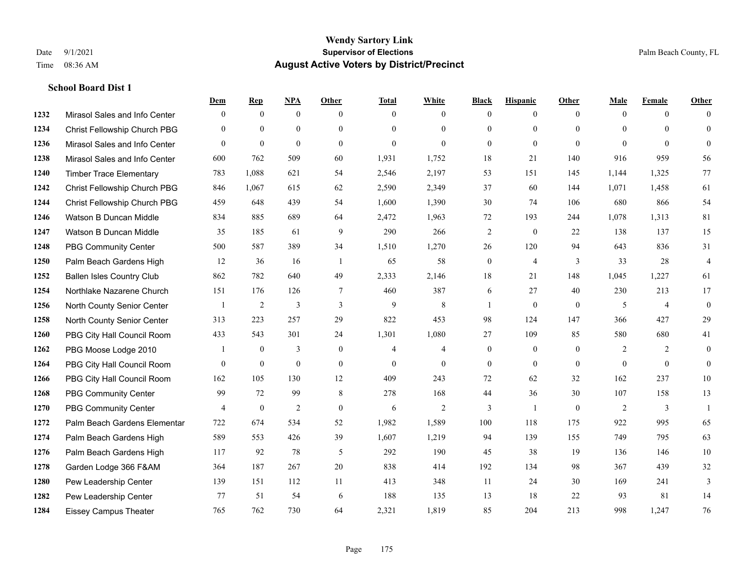|      |                                  | Dem            | <b>Rep</b>       | NPA              | <b>Other</b>   | <b>Total</b>   | <b>White</b>   | <b>Black</b>     | <b>Hispanic</b>  | <b>Other</b>   | <b>Male</b>    | <b>Female</b>  | <b>Other</b>     |
|------|----------------------------------|----------------|------------------|------------------|----------------|----------------|----------------|------------------|------------------|----------------|----------------|----------------|------------------|
| 1232 | Mirasol Sales and Info Center    | $\mathbf{0}$   | $\mathbf{0}$     | $\mathbf{0}$     | $\theta$       | $\mathbf{0}$   | $\overline{0}$ | $\overline{0}$   | $\mathbf{0}$     | $\theta$       | $\mathbf{0}$   | $\overline{0}$ | $\Omega$         |
| 1234 | Christ Fellowship Church PBG     | $\theta$       | $\mathbf{0}$     | $\mathbf{0}$     | $\Omega$       | $\Omega$       | $\overline{0}$ | $\overline{0}$   | $\mathbf{0}$     | $\Omega$       | $\theta$       | $\Omega$       | $\mathbf{0}$     |
| 1236 | Mirasol Sales and Info Center    | $\Omega$       | $\theta$         | $\theta$         | $\Omega$       | $\theta$       | $\Omega$       | $\Omega$         | $\theta$         | $\Omega$       | $\Omega$       | $\Omega$       | $\Omega$         |
| 1238 | Mirasol Sales and Info Center    | 600            | 762              | 509              | 60             | 1,931          | 1,752          | 18               | 21               | 140            | 916            | 959            | 56               |
| 1240 | <b>Timber Trace Elementary</b>   | 783            | 1,088            | 621              | 54             | 2,546          | 2,197          | 53               | 151              | 145            | 1,144          | 1,325          | 77               |
| 1242 | Christ Fellowship Church PBG     | 846            | 1,067            | 615              | 62             | 2,590          | 2,349          | 37               | 60               | 144            | 1,071          | 1,458          | 61               |
| 1244 | Christ Fellowship Church PBG     | 459            | 648              | 439              | 54             | 1,600          | 1,390          | $30\,$           | 74               | 106            | 680            | 866            | 54               |
| 1246 | Watson B Duncan Middle           | 834            | 885              | 689              | 64             | 2,472          | 1,963          | 72               | 193              | 244            | 1,078          | 1,313          | 81               |
| 1247 | Watson B Duncan Middle           | 35             | 185              | 61               | 9              | 290            | 266            | $\overline{2}$   | $\mathbf{0}$     | 22             | 138            | 137            | 15               |
| 1248 | <b>PBG Community Center</b>      | 500            | 587              | 389              | 34             | 1,510          | 1,270          | 26               | 120              | 94             | 643            | 836            | 31               |
| 1250 | Palm Beach Gardens High          | 12             | 36               | 16               | $\overline{1}$ | 65             | 58             | $\boldsymbol{0}$ | $\overline{4}$   | 3              | 33             | 28             | $\overline{4}$   |
| 1252 | <b>Ballen Isles Country Club</b> | 862            | 782              | 640              | 49             | 2,333          | 2,146          | 18               | 21               | 148            | 1,045          | 1,227          | 61               |
| 1254 | Northlake Nazarene Church        | 151            | 176              | 126              | $\overline{7}$ | 460            | 387            | 6                | 27               | 40             | 230            | 213            | 17               |
| 1256 | North County Senior Center       |                | $\overline{c}$   | 3                | $\mathfrak{Z}$ | 9              | $\,8\,$        | $\mathbf{1}$     | $\boldsymbol{0}$ | $\mathbf{0}$   | 5              | $\overline{4}$ | $\boldsymbol{0}$ |
| 1258 | North County Senior Center       | 313            | 223              | 257              | 29             | 822            | 453            | 98               | 124              | 147            | 366            | 427            | 29               |
| 1260 | PBG City Hall Council Room       | 433            | 543              | 301              | 24             | 1,301          | 1,080          | 27               | 109              | 85             | 580            | 680            | 41               |
| 1262 | PBG Moose Lodge 2010             |                | $\mathbf{0}$     | 3                | $\mathbf{0}$   | $\overline{4}$ | 4              | $\boldsymbol{0}$ | $\mathbf{0}$     | $\theta$       | $\overline{2}$ | 2              | $\mathbf{0}$     |
| 1264 | PBG City Hall Council Room       | $\theta$       | $\boldsymbol{0}$ | $\boldsymbol{0}$ | $\overline{0}$ | $\mathbf{0}$   | $\overline{0}$ | $\boldsymbol{0}$ | $\overline{0}$   | $\overline{0}$ | $\overline{0}$ | $\theta$       | $\boldsymbol{0}$ |
| 1266 | PBG City Hall Council Room       | 162            | 105              | 130              | 12             | 409            | 243            | 72               | 62               | 32             | 162            | 237            | 10               |
| 1268 | PBG Community Center             | 99             | 72               | 99               | 8              | 278            | 168            | 44               | 36               | 30             | 107            | 158            | 13               |
| 1270 | <b>PBG Community Center</b>      | $\overline{4}$ | $\mathbf{0}$     | $\overline{2}$   | $\Omega$       | 6              | $\overline{2}$ | 3                | $\mathbf{1}$     | $\Omega$       | 2              | 3              | $\mathbf{1}$     |
| 1272 | Palm Beach Gardens Elementar     | 722            | 674              | 534              | 52             | 1,982          | 1,589          | 100              | 118              | 175            | 922            | 995            | 65               |
| 1274 | Palm Beach Gardens High          | 589            | 553              | 426              | 39             | 1,607          | 1,219          | 94               | 139              | 155            | 749            | 795            | 63               |
| 1276 | Palm Beach Gardens High          | 117            | 92               | 78               | 5              | 292            | 190            | 45               | 38               | 19             | 136            | 146            | 10               |
| 1278 | Garden Lodge 366 F&AM            | 364            | 187              | 267              | 20             | 838            | 414            | 192              | 134              | 98             | 367            | 439            | $32\,$           |
| 1280 | Pew Leadership Center            | 139            | 151              | 112              | 11             | 413            | 348            | 11               | 24               | 30             | 169            | 241            | 3                |
| 1282 | Pew Leadership Center            | 77             | 51               | 54               | 6              | 188            | 135            | 13               | 18               | 22             | 93             | 81             | 14               |
| 1284 | <b>Eissey Campus Theater</b>     | 765            | 762              | 730              | 64             | 2,321          | 1,819          | 85               | 204              | 213            | 998            | 1,247          | 76               |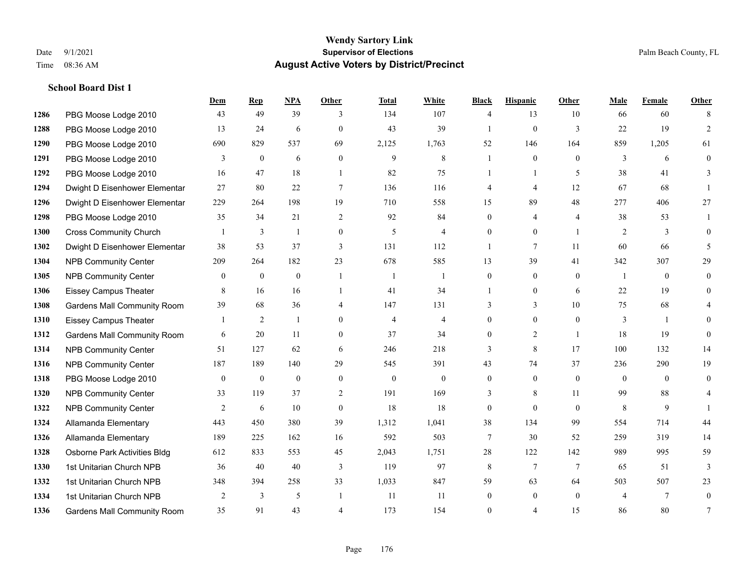**School Board Dist 1**

## **Wendy Sartory Link** Date 9/1/2021 **Supervisor of Elections** Palm Beach County, FL Time 08:36 AM **August Active Voters by District/Precinct**

|      |                                    | Dem            | <b>Rep</b>       | <b>NPA</b>       | Other          | <b>Total</b>     | White          | <b>Black</b>     | <b>Hispanic</b> | Other           | Male           | Female         | Other        |
|------|------------------------------------|----------------|------------------|------------------|----------------|------------------|----------------|------------------|-----------------|-----------------|----------------|----------------|--------------|
| 1286 | PBG Moose Lodge 2010               | 43             | 49               | 39               | 3              | 134              | 107            | 4                | 13              | 10              | 66             | 60             | 8            |
| 1288 | PBG Moose Lodge 2010               | 13             | 24               | 6                | $\mathbf{0}$   | 43               | 39             |                  | $\mathbf{0}$    | 3               | 22             | 19             | 2            |
| 1290 | PBG Moose Lodge 2010               | 690            | 829              | 537              | 69             | 2,125            | 1,763          | 52               | 146             | 164             | 859            | 1,205          | 61           |
| 1291 | PBG Moose Lodge 2010               | 3              | $\mathbf{0}$     | 6                | $\mathbf{0}$   | 9                | 8              | 1                | $\mathbf{0}$    | $\theta$        | 3              | 6              | $\theta$     |
| 1292 | PBG Moose Lodge 2010               | 16             | 47               | 18               | $\overline{1}$ | 82               | 75             |                  | $\mathbf{1}$    | 5               | 38             | 41             | 3            |
| 1294 | Dwight D Eisenhower Elementar      | 27             | 80               | 22               | $\tau$         | 136              | 116            | 4                | $\overline{4}$  | 12              | 67             | 68             |              |
| 1296 | Dwight D Eisenhower Elementar      | 229            | 264              | 198              | 19             | 710              | 558            | 15               | 89              | 48              | 277            | 406            | 27           |
| 1298 | PBG Moose Lodge 2010               | 35             | 34               | 21               | 2              | 92               | 84             | $\overline{0}$   | 4               | $\overline{4}$  | 38             | 53             | 1            |
| 1300 | <b>Cross Community Church</b>      | $\overline{1}$ | 3                | $\mathbf{1}$     | $\mathbf{0}$   | 5                | $\overline{4}$ | $\theta$         | $\theta$        | $\overline{1}$  | $\overline{2}$ | 3              | $\Omega$     |
| 1302 | Dwight D Eisenhower Elementar      | 38             | 53               | 37               | 3              | 131              | 112            | 1                | 7               | 11              | 60             | 66             | 5            |
| 1304 | <b>NPB Community Center</b>        | 209            | 264              | 182              | 23             | 678              | 585            | 13               | 39              | 41              | 342            | 307            | 29           |
| 1305 | <b>NPB Community Center</b>        | $\overline{0}$ | $\mathbf{0}$     | $\mathbf{0}$     | $\overline{1}$ | -1               | -1             | $\overline{0}$   | $\mathbf{0}$    | $\theta$        | -1             | $\mathbf{0}$   | $\theta$     |
| 1306 | <b>Eissey Campus Theater</b>       | 8              | 16               | 16               | $\overline{1}$ | 41               | 34             |                  | $\mathbf{0}$    | 6               | 22             | 19             | $\theta$     |
| 1308 | <b>Gardens Mall Community Room</b> | 39             | 68               | 36               | $\overline{4}$ | 147              | 131            | 3                | 3               | 10              | 75             | 68             |              |
| 1310 | <b>Eissey Campus Theater</b>       | $\overline{1}$ | $\overline{2}$   | 1                | $\theta$       | $\overline{4}$   | $\overline{4}$ | 0                | $\mathbf{0}$    | $\theta$        | 3              | $\overline{1}$ | $\theta$     |
| 1312 | <b>Gardens Mall Community Room</b> | 6              | 20               | 11               | $\overline{0}$ | 37               | 34             | $\overline{0}$   | 2               | $\overline{1}$  | 18             | 19             | $\mathbf{0}$ |
| 1314 | <b>NPB Community Center</b>        | 51             | 127              | 62               | 6              | 246              | 218            | 3                | 8               | 17              | 100            | 132            | 14           |
| 1316 | <b>NPB Community Center</b>        | 187            | 189              | 140              | 29             | 545              | 391            | 43               | 74              | 37              | 236            | 290            | 19           |
| 1318 | PBG Moose Lodge 2010               | $\overline{0}$ | $\boldsymbol{0}$ | $\boldsymbol{0}$ | $\mathbf{0}$   | $\boldsymbol{0}$ | $\overline{0}$ | $\boldsymbol{0}$ | $\mathbf{0}$    | $\overline{0}$  | $\mathbf{0}$   | $\theta$       | $\mathbf{0}$ |
| 1320 | <b>NPB Community Center</b>        | 33             | 119              | 37               | 2              | 191              | 169            | 3                | 8               | 11              | 99             | 88             |              |
| 1322 | <b>NPB Community Center</b>        | 2              | 6                | 10               | $\mathbf{0}$   | 18               | 18             | $\overline{0}$   | $\theta$        | $\Omega$        | 8              | 9              |              |
| 1324 | Allamanda Elementary               | 443            | 450              | 380              | 39             | 1,312            | 1,041          | 38               | 134             | 99              | 554            | 714            | 44           |
| 1326 | Allamanda Elementary               | 189            | 225              | 162              | 16             | 592              | 503            | 7                | 30              | 52              | 259            | 319            | 14           |
| 1328 | Osborne Park Activities Bldg       | 612            | 833              | 553              | 45             | 2,043            | 1,751          | 28               | 122             | 142             | 989            | 995            | 59           |
| 1330 | 1st Unitarian Church NPB           | 36             | 40               | $40\,$           | 3              | 119              | 97             | $\,8\,$          | $7\phantom{.0}$ | $7\phantom{.0}$ | 65             | 51             | 3            |
| 1332 | 1st Unitarian Church NPB           | 348            | 394              | 258              | 33             | 1,033            | 847            | 59               | 63              | 64              | 503            | 507            | 23           |
| 1334 | 1st Unitarian Church NPB           | 2              | 3                | 5                | $\overline{1}$ | 11               | 11             | $\Omega$         | $\theta$        | $\Omega$        | $\overline{4}$ | 7              | $\theta$     |
| 1336 | <b>Gardens Mall Community Room</b> | 35             | 91               | 43               | $\overline{4}$ | 173              | 154            | 0                | $\overline{4}$  | 15              | 86             | 80             | 7            |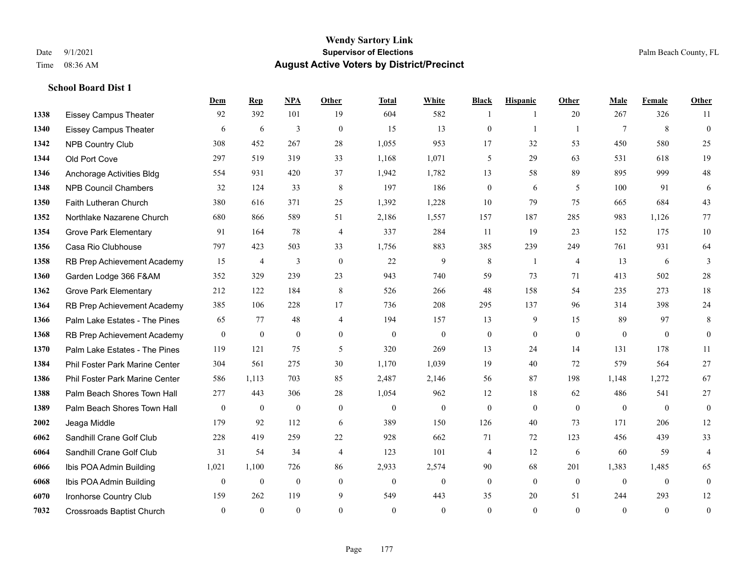**School Board Dist 1**

#### **Wendy Sartory Link** Date 9/1/2021 **Supervisor of Elections** Palm Beach County, FL Time 08:36 AM **August Active Voters by District/Precinct**

# **Dem Rep NPA Other Total White Black Hispanic Other Male Female Other** Eissey Campus Theater 92 392 101 19 604 582 1 1 20 267 326 11 Eissey Campus Theater 6 6 6 3 0 15 13 0 1 1 7 8 0 NPB Country Club 308 452 267 28 1,055 953 17 32 53 450 580 25 Old Port Cove 297 519 319 33 1,168 1,071 5 29 63 531 618 19 Anchorage Activities Bldg 554 931 420 37 1,942 1,782 13 58 89 895 999 48 NPB Council Chambers 32 124 33 8 197 186 0 6 5 100 91 6 Faith Lutheran Church 380 616 371 25 1,392 1,228 10 79 75 665 684 43 Northlake Nazarene Church 680 866 589 51 2,186 1,557 157 187 285 983 1,126 77 **1354 Grove Park Elementary 01 164 78 4 337 284 11 19 23 152 175 10**  Casa Rio Clubhouse 797 423 503 33 1,756 883 385 239 249 761 931 64 RB Prep Achievement Academy 15 4 3 0 22 9 8 1 4 13 6 3 Garden Lodge 366 F&AM 352 329 239 23 943 740 59 73 71 413 502 28 Grove Park Elementary 212 122 184 8 526 266 48 158 54 235 273 18 RB Prep Achievement Academy 385 106 228 17 736 208 295 137 96 314 398 24 Palm Lake Estates - The Pines 65 77 48 4 194 157 13 9 15 89 97 8 RB Prep Achievement Academy 0 0 0 0 0 0 0 0 0 0 0 0 Palm Lake Estates - The Pines 119 121 75 5 320 269 13 24 14 131 178 11 Phil Foster Park Marine Center 304 561 275 30 1,170 1,039 19 40 72 579 564 27 Phil Foster Park Marine Center 586 1,113 703 85 2,487 2,146 56 87 198 1,148 1,272 67 Palm Beach Shores Town Hall 277 443 306 28 1,054 962 12 18 62 486 541 27 Palm Beach Shores Town Hall 0 0 0 0 0 0 0 0 0 0 0 0 Jeaga Middle 179 92 112 6 389 150 126 40 73 171 206 12 Sandhill Crane Golf Club 228 419 259 22 928 662 71 72 123 456 439 33 Sandhill Crane Golf Club 31 54 34 4 123 101 4 12 6 60 59 4 Ibis POA Admin Building 1,021 1,100 726 86 2,933 2,574 90 68 201 1,383 1,485 65 Ibis POA Admin Building 0 0 0 0 0 0 0 0 0 0 0 0 Ironhorse Country Club 159 262 119 9 549 443 35 20 51 244 293 12 Crossroads Baptist Church 0 0 0 0 0 0 0 0 0 0 0 0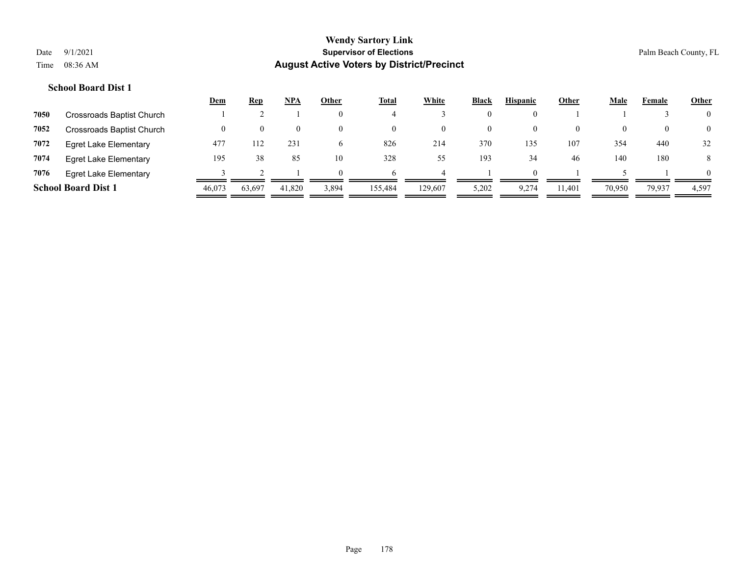|      |                              | <u>Dem</u> | <b>Rep</b> | <b>NPA</b> | Other          | <b>Total</b>       | White   | <b>Black</b> | <b>Hispanic</b> | Other  | Male   | Female   | <b>Other</b>   |
|------|------------------------------|------------|------------|------------|----------------|--------------------|---------|--------------|-----------------|--------|--------|----------|----------------|
| 7050 | Crossroads Baptist Church    |            |            |            | $\theta$       |                    |         | $\mathbf{0}$ |                 |        |        |          | $\overline{0}$ |
| 7052 | Crossroads Baptist Church    |            | 0          |            | $\theta$       | $\left( 0 \right)$ |         | $\bf{0}$     | $\bf{0}$        |        |        | $\Omega$ | $\overline{0}$ |
| 7072 | <b>Egret Lake Elementary</b> | 477        | 112        | 231        | $\mathfrak{h}$ | 826                | 214     | 370          | 135             | 107    | 354    | 440      | 32             |
| 7074 | <b>Egret Lake Elementary</b> | 195        | 38         | 85         | 10             | 328                | 55      | 193          | 34              | 46     | 140    | 180      | 8              |
| 7076 | <b>Egret Lake Elementary</b> |            |            |            | $\Omega$       |                    |         |              | $\Omega$        |        |        |          | $\theta$       |
|      | <b>School Board Dist 1</b>   | 46,073     | 63,697     | 41,820     | 3,894          | 155,484            | 129,607 | 5,202        | 9,274           | 11,401 | 70,950 | 79,937   | 4,597          |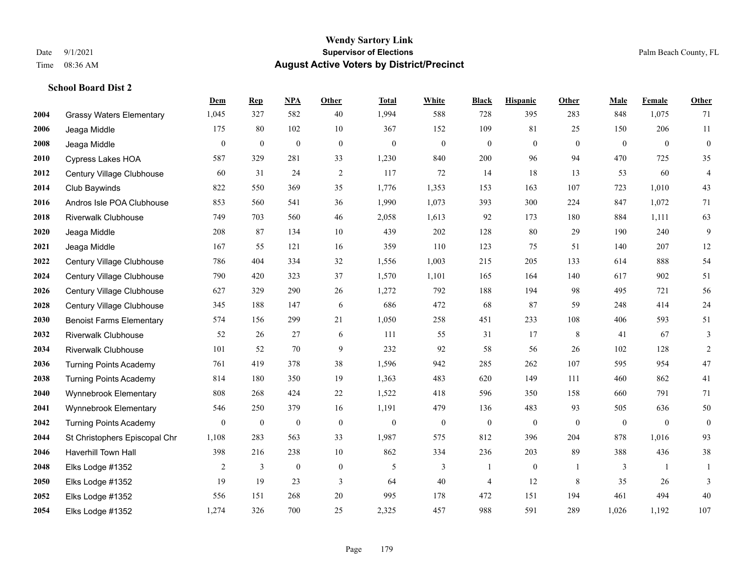**School Board Dist 2**

#### **Wendy Sartory Link** Date 9/1/2021 **Supervisor of Elections** Palm Beach County, FL Time 08:36 AM **August Active Voters by District/Precinct**

# **Dem Rep NPA Other Total White Black Hispanic Other Male Female Other** Grassy Waters Elementary 1,045 327 582 40 1,994 588 728 395 283 848 1,075 71 Jeaga Middle 175 80 102 10 367 152 109 81 25 150 206 11 Jeaga Middle 0 0 0 0 0 0 0 0 0 0 0 0 Cypress Lakes HOA 587 329 281 33 1,230 840 200 96 94 470 725 35 Century Village Clubhouse 60 31 24 2 117 72 14 18 13 53 60 4 Club Baywinds 822 550 369 35 1,776 1,353 153 163 107 723 1,010 43 Andros Isle POA Clubhouse 853 560 541 36 1,990 1,073 393 300 224 847 1,072 71 Riverwalk Clubhouse 749 703 560 46 2,058 1,613 92 173 180 884 1,111 63 Jeaga Middle 208 87 134 10 439 202 128 80 29 190 240 9 Jeaga Middle 167 55 121 16 359 110 123 75 51 140 207 12 Century Village Clubhouse 786 404 334 32 1,556 1,003 215 205 133 614 888 54 Century Village Clubhouse 790 420 323 37 1,570 1,101 165 164 140 617 902 51 Century Village Clubhouse 627 329 290 26 1,272 792 188 194 98 495 721 56 Century Village Clubhouse 345 188 147 6 686 472 68 87 59 248 414 24 Benoist Farms Elementary 574 156 299 21 1,050 258 451 233 108 406 593 51 Riverwalk Clubhouse 52 26 27 6 111 55 31 17 8 41 67 3 Riverwalk Clubhouse 101 52 70 9 232 92 58 56 26 102 128 2 Turning Points Academy 761 419 378 38 1,596 942 285 262 107 595 954 47 Turning Points Academy 814 180 350 19 1,363 483 620 149 111 460 862 41 Wynnebrook Elementary 808 268 424 22 1,522 418 596 350 158 660 791 71 Wynnebrook Elementary 546 250 379 16 1,191 479 136 483 93 505 636 50 Turning Points Academy 0 0 0 0 0 0 0 0 0 0 0 0 St Christophers Episcopal Chr 1,108 283 563 33 1,987 575 812 396 204 878 1,016 93 Haverhill Town Hall 398 216 238 10 862 334 236 203 89 388 436 38 Elks Lodge #1352 2 3 0 0 5 3 1 0 1 3 1 1 Elks Lodge #1352 19 19 23 3 64 40 4 12 8 35 26 3 Elks Lodge #1352 556 151 268 20 995 178 472 151 194 461 494 40 Elks Lodge #1352 1,274 326 700 25 2,325 457 988 591 289 1,026 1,192 107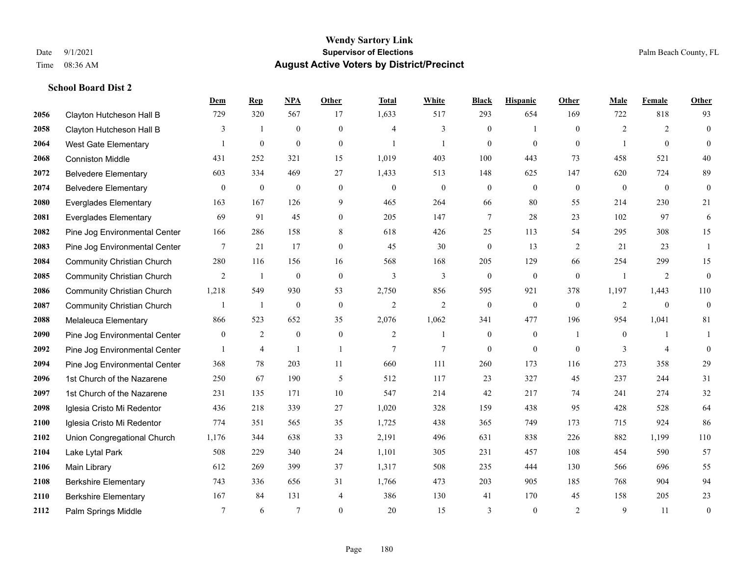|      |                                   | Dem             | <b>Rep</b>       | NPA              | <b>Other</b>     | <b>Total</b>   | <b>White</b>     | <b>Black</b>     | <b>Hispanic</b>  | Other          | <b>Male</b>    | Female         | <b>Other</b>     |
|------|-----------------------------------|-----------------|------------------|------------------|------------------|----------------|------------------|------------------|------------------|----------------|----------------|----------------|------------------|
| 2056 | Clayton Hutcheson Hall B          | 729             | 320              | 567              | 17               | 1,633          | 517              | 293              | 654              | 169            | 722            | 818            | 93               |
| 2058 | Clayton Hutcheson Hall B          | 3               | $\mathbf{1}$     | $\boldsymbol{0}$ | $\overline{0}$   | $\overline{4}$ | $\mathfrak{Z}$   | $\boldsymbol{0}$ | $\mathbf{1}$     | $\mathbf{0}$   | $\overline{2}$ | 2              | $\boldsymbol{0}$ |
| 2064 | <b>West Gate Elementary</b>       | 1               | $\boldsymbol{0}$ | $\boldsymbol{0}$ | $\overline{0}$   | $\mathbf{1}$   | $\mathbf{1}$     | $\mathbf{0}$     | $\mathbf{0}$     | $\theta$       | 1              | $\theta$       | $\mathbf{0}$     |
| 2068 | <b>Conniston Middle</b>           | 431             | 252              | 321              | 15               | 1,019          | 403              | 100              | 443              | 73             | 458            | 521            | 40               |
| 2072 | <b>Belvedere Elementary</b>       | 603             | 334              | 469              | 27               | 1,433          | 513              | 148              | 625              | 147            | 620            | 724            | 89               |
| 2074 | <b>Belvedere Elementary</b>       | $\mathbf{0}$    | $\boldsymbol{0}$ | $\boldsymbol{0}$ | $\overline{0}$   | $\mathbf{0}$   | $\boldsymbol{0}$ | $\boldsymbol{0}$ | $\mathbf{0}$     | $\mathbf{0}$   | $\mathbf{0}$   | $\mathbf{0}$   | $\mathbf{0}$     |
| 2080 | <b>Everglades Elementary</b>      | 163             | 167              | 126              | 9                | 465            | 264              | 66               | 80               | 55             | 214            | 230            | 21               |
| 2081 | <b>Everglades Elementary</b>      | 69              | 91               | 45               | $\overline{0}$   | 205            | 147              | $\tau$           | 28               | 23             | 102            | 97             | 6                |
| 2082 | Pine Jog Environmental Center     | 166             | 286              | 158              | 8                | 618            | 426              | 25               | 113              | 54             | 295            | 308            | 15               |
| 2083 | Pine Jog Environmental Center     | 7               | 21               | 17               | $\overline{0}$   | 45             | 30               | $\boldsymbol{0}$ | 13               | 2              | 21             | 23             | 1                |
| 2084 | <b>Community Christian Church</b> | 280             | 116              | 156              | 16               | 568            | 168              | 205              | 129              | 66             | 254            | 299            | 15               |
| 2085 | <b>Community Christian Church</b> | 2               | -1               | $\mathbf{0}$     | $\mathbf{0}$     | 3              | 3                | $\boldsymbol{0}$ | $\mathbf{0}$     | $\overline{0}$ | $\overline{1}$ | 2              | $\boldsymbol{0}$ |
| 2086 | <b>Community Christian Church</b> | 1,218           | 549              | 930              | 53               | 2,750          | 856              | 595              | 921              | 378            | 1,197          | 1,443          | 110              |
| 2087 | <b>Community Christian Church</b> | 1               | $\mathbf{1}$     | $\boldsymbol{0}$ | $\boldsymbol{0}$ | $\mathfrak{2}$ | $\overline{2}$   | $\boldsymbol{0}$ | $\boldsymbol{0}$ | $\mathbf{0}$   | $\overline{2}$ | $\mathbf{0}$   | $\boldsymbol{0}$ |
| 2088 | Melaleuca Elementary              | 866             | 523              | 652              | 35               | 2,076          | 1,062            | 341              | 477              | 196            | 954            | 1,041          | 81               |
| 2090 | Pine Jog Environmental Center     | $\overline{0}$  | $\overline{2}$   | $\mathbf{0}$     | $\mathbf{0}$     | $\overline{2}$ | $\mathbf{1}$     | $\mathbf{0}$     | $\mathbf{0}$     | $\overline{1}$ | $\overline{0}$ |                | $\mathbf{1}$     |
| 2092 | Pine Jog Environmental Center     | -1              | $\overline{4}$   | $\mathbf{1}$     | $\overline{1}$   | 7              | $\tau$           | $\mathbf{0}$     | $\mathbf{0}$     | $\theta$       | 3              | $\overline{4}$ | $\mathbf{0}$     |
| 2094 | Pine Jog Environmental Center     | 368             | 78               | 203              | 11               | 660            | 111              | 260              | 173              | 116            | 273            | 358            | 29               |
| 2096 | 1st Church of the Nazarene        | 250             | 67               | 190              | 5                | 512            | 117              | 23               | 327              | 45             | 237            | 244            | 31               |
| 2097 | 1st Church of the Nazarene        | 231             | 135              | 171              | 10               | 547            | 214              | 42               | 217              | 74             | 241            | 274            | 32               |
| 2098 | Iglesia Cristo Mi Redentor        | 436             | 218              | 339              | 27               | 1,020          | 328              | 159              | 438              | 95             | 428            | 528            | 64               |
| 2100 | Iglesia Cristo Mi Redentor        | 774             | 351              | 565              | 35               | 1,725          | 438              | 365              | 749              | 173            | 715            | 924            | 86               |
| 2102 | Union Congregational Church       | 1,176           | 344              | 638              | 33               | 2,191          | 496              | 631              | 838              | 226            | 882            | 1,199          | 110              |
| 2104 | Lake Lytal Park                   | 508             | 229              | 340              | 24               | 1,101          | 305              | 231              | 457              | 108            | 454            | 590            | 57               |
| 2106 | Main Library                      | 612             | 269              | 399              | 37               | 1,317          | 508              | 235              | 444              | 130            | 566            | 696            | 55               |
| 2108 | <b>Berkshire Elementary</b>       | 743             | 336              | 656              | 31               | 1,766          | 473              | 203              | 905              | 185            | 768            | 904            | 94               |
| 2110 | <b>Berkshire Elementary</b>       | 167             | 84               | 131              | 4                | 386            | 130              | 41               | 170              | 45             | 158            | 205            | 23               |
| 2112 | Palm Springs Middle               | $7\phantom{.0}$ | 6                | $7\phantom{.0}$  | $\theta$         | 20             | 15               | 3                | $\mathbf{0}$     | 2              | 9              | 11             | $\boldsymbol{0}$ |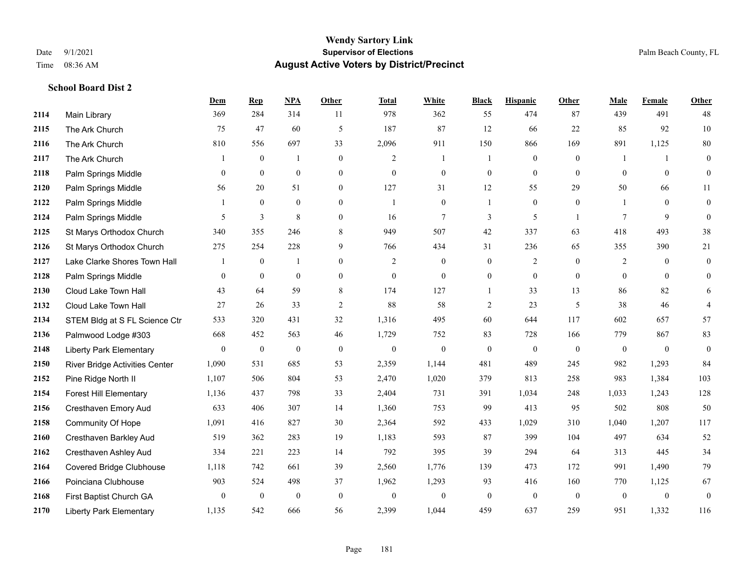|      |                                 | <b>Dem</b>     | <b>Rep</b>       | NPA              | <b>Other</b>     | <b>Total</b>   | <b>White</b>     | <b>Black</b>     | <b>Hispanic</b>  | <b>Other</b>   | <b>Male</b>    | <b>Female</b>  | <b>Other</b>     |
|------|---------------------------------|----------------|------------------|------------------|------------------|----------------|------------------|------------------|------------------|----------------|----------------|----------------|------------------|
| 2114 | Main Library                    | 369            | 284              | 314              | 11               | 978            | 362              | 55               | 474              | 87             | 439            | 491            | 48               |
| 2115 | The Ark Church                  | 75             | 47               | 60               | 5                | 187            | 87               | 12               | 66               | 22             | 85             | 92             | 10               |
| 2116 | The Ark Church                  | 810            | 556              | 697              | 33               | 2,096          | 911              | 150              | 866              | 169            | 891            | 1,125          | 80               |
| 2117 | The Ark Church                  |                | $\mathbf{0}$     | $\overline{1}$   | $\overline{0}$   | $\overline{2}$ | $\mathbf{1}$     |                  | $\mathbf{0}$     | $\mathbf{0}$   |                | $\mathbf{1}$   | $\mathbf{0}$     |
| 2118 | Palm Springs Middle             | $\overline{0}$ | $\overline{0}$   | $\boldsymbol{0}$ | $\mathbf{0}$     | $\mathbf{0}$   | $\boldsymbol{0}$ | $\boldsymbol{0}$ | $\boldsymbol{0}$ | $\mathbf{0}$   | $\mathbf{0}$   | $\mathbf{0}$   | $\boldsymbol{0}$ |
| 2120 | Palm Springs Middle             | 56             | 20               | 51               | $\boldsymbol{0}$ | 127            | 31               | 12               | 55               | 29             | 50             | 66             | 11               |
| 2122 | Palm Springs Middle             | $\mathbf{1}$   | $\mathbf{0}$     | $\mathbf{0}$     | $\overline{0}$   | $\mathbf{1}$   | $\mathbf{0}$     | 1                | $\mathbf{0}$     | $\theta$       |                | $\theta$       | $\mathbf{0}$     |
| 2124 | Palm Springs Middle             | 5              | 3                | 8                | $\overline{0}$   | 16             | $\tau$           | 3                | 5                | $\overline{1}$ | 7              | 9              | $\mathbf{0}$     |
| 2125 | St Marys Orthodox Church        | 340            | 355              | 246              | 8                | 949            | 507              | 42               | 337              | 63             | 418            | 493            | 38               |
| 2126 | St Marys Orthodox Church        | 275            | 254              | 228              | 9                | 766            | 434              | 31               | 236              | 65             | 355            | 390            | 21               |
| 2127 | Lake Clarke Shores Town Hall    | 1              | $\boldsymbol{0}$ | $\mathbf{1}$     | $\overline{0}$   | 2              | $\overline{0}$   | $\boldsymbol{0}$ | $\overline{c}$   | $\theta$       | 2              | $\overline{0}$ | $\mathbf{0}$     |
| 2128 | Palm Springs Middle             | $\overline{0}$ | $\mathbf{0}$     | $\mathbf{0}$     | $\overline{0}$   | $\overline{0}$ | $\mathbf{0}$     | $\boldsymbol{0}$ | $\mathbf{0}$     | $\theta$       | $\theta$       | $\theta$       | $\mathbf{0}$     |
| 2130 | Cloud Lake Town Hall            | 43             | 64               | 59               | 8                | 174            | 127              | $\mathbf{1}$     | 33               | 13             | 86             | 82             | 6                |
| 2132 | Cloud Lake Town Hall            | 27             | 26               | 33               | $\overline{2}$   | 88             | 58               | $\overline{2}$   | 23               | 5              | 38             | 46             | $\overline{4}$   |
| 2134 | STEM Bldg at S FL Science Ctr   | 533            | 320              | 431              | 32               | 1,316          | 495              | 60               | 644              | 117            | 602            | 657            | 57               |
| 2136 | Palmwood Lodge #303             | 668            | 452              | 563              | 46               | 1,729          | 752              | 83               | 728              | 166            | 779            | 867            | 83               |
| 2148 | <b>Liberty Park Elementary</b>  | $\overline{0}$ | $\mathbf{0}$     | $\boldsymbol{0}$ | $\mathbf{0}$     | $\overline{0}$ | $\overline{0}$   | $\mathbf{0}$     | $\mathbf{0}$     | $\theta$       | $\mathbf{0}$   | $\mathbf{0}$   | $\mathbf{0}$     |
| 2150 | River Bridge Activities Center  | 1,090          | 531              | 685              | 53               | 2,359          | 1,144            | 481              | 489              | 245            | 982            | 1,293          | 84               |
| 2152 | Pine Ridge North II             | 1,107          | 506              | 804              | 53               | 2,470          | 1,020            | 379              | 813              | 258            | 983            | 1,384          | 103              |
| 2154 | <b>Forest Hill Elementary</b>   | 1,136          | 437              | 798              | 33               | 2,404          | 731              | 391              | 1,034            | 248            | 1,033          | 1,243          | 128              |
| 2156 | Cresthaven Emory Aud            | 633            | 406              | 307              | 14               | 1,360          | 753              | 99               | 413              | 95             | 502            | 808            | 50               |
| 2158 | Community Of Hope               | 1,091          | 416              | 827              | 30               | 2,364          | 592              | 433              | 1,029            | 310            | 1,040          | 1,207          | 117              |
| 2160 | Cresthaven Barkley Aud          | 519            | 362              | 283              | 19               | 1,183          | 593              | 87               | 399              | 104            | 497            | 634            | 52               |
| 2162 | Cresthaven Ashley Aud           | 334            | 221              | 223              | 14               | 792            | 395              | 39               | 294              | 64             | 313            | 445            | 34               |
| 2164 | <b>Covered Bridge Clubhouse</b> | 1,118          | 742              | 661              | 39               | 2,560          | 1,776            | 139              | 473              | 172            | 991            | 1,490          | 79               |
| 2166 | Poinciana Clubhouse             | 903            | 524              | 498              | 37               | 1,962          | 1,293            | 93               | 416              | 160            | 770            | 1,125          | 67               |
| 2168 | First Baptist Church GA         | $\overline{0}$ | $\boldsymbol{0}$ | $\boldsymbol{0}$ | $\mathbf{0}$     | $\theta$       | $\boldsymbol{0}$ | $\boldsymbol{0}$ | $\mathbf{0}$     | $\mathbf{0}$   | $\overline{0}$ | $\mathbf{0}$   | $\boldsymbol{0}$ |
| 2170 | <b>Liberty Park Elementary</b>  | 1,135          | 542              | 666              | 56               | 2,399          | 1,044            | 459              | 637              | 259            | 951            | 1,332          | 116              |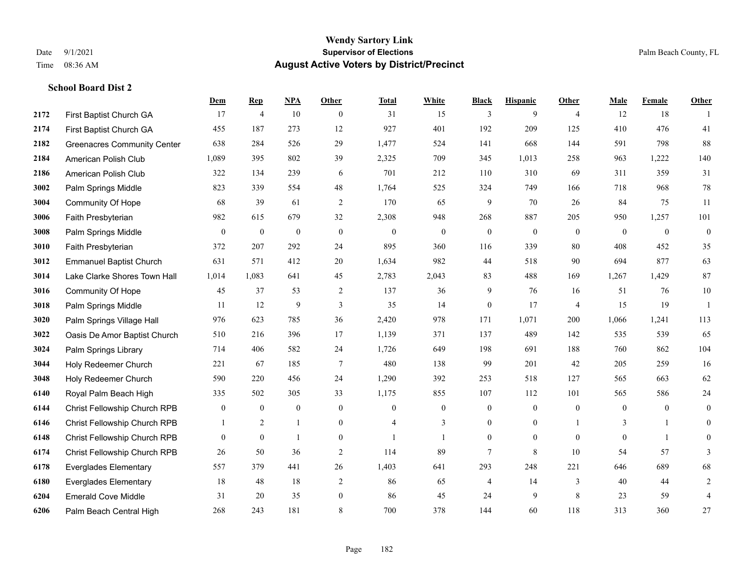|      |                                    | Dem              | <b>Rep</b>       | NPA              | <b>Other</b>     | <b>Total</b>     | <b>White</b>   | <b>Black</b>     | <b>Hispanic</b>  | <b>Other</b>   | <b>Male</b>    | <b>Female</b>  | <b>Other</b>     |
|------|------------------------------------|------------------|------------------|------------------|------------------|------------------|----------------|------------------|------------------|----------------|----------------|----------------|------------------|
| 2172 | First Baptist Church GA            | 17               | $\overline{4}$   | 10               | $\overline{0}$   | 31               | 15             | 3                | 9                | $\overline{4}$ | 12             | 18             | -1               |
| 2174 | First Baptist Church GA            | 455              | 187              | 273              | 12               | 927              | 401            | 192              | 209              | 125            | 410            | 476            | 41               |
| 2182 | <b>Greenacres Community Center</b> | 638              | 284              | 526              | 29               | 1,477            | 524            | 141              | 668              | 144            | 591            | 798            | 88               |
| 2184 | American Polish Club               | 1,089            | 395              | 802              | 39               | 2,325            | 709            | 345              | 1,013            | 258            | 963            | 1,222          | 140              |
| 2186 | American Polish Club               | 322              | 134              | 239              | 6                | 701              | 212            | 110              | 310              | 69             | 311            | 359            | 31               |
| 3002 | Palm Springs Middle                | 823              | 339              | 554              | 48               | 1,764            | 525            | 324              | 749              | 166            | 718            | 968            | $78\,$           |
| 3004 | <b>Community Of Hope</b>           | 68               | 39               | 61               | $\overline{2}$   | 170              | 65             | 9                | 70               | 26             | 84             | 75             | 11               |
| 3006 | Faith Presbyterian                 | 982              | 615              | 679              | 32               | 2,308            | 948            | 268              | 887              | 205            | 950            | 1,257          | 101              |
| 3008 | Palm Springs Middle                | $\boldsymbol{0}$ | $\boldsymbol{0}$ | $\boldsymbol{0}$ | $\boldsymbol{0}$ | $\boldsymbol{0}$ | $\mathbf{0}$   | $\boldsymbol{0}$ | $\boldsymbol{0}$ | $\mathbf{0}$   | $\mathbf{0}$   | $\mathbf{0}$   | $\boldsymbol{0}$ |
| 3010 | Faith Presbyterian                 | 372              | 207              | 292              | 24               | 895              | 360            | 116              | 339              | 80             | 408            | 452            | 35               |
| 3012 | <b>Emmanuel Baptist Church</b>     | 631              | 571              | 412              | 20               | 1,634            | 982            | 44               | 518              | 90             | 694            | 877            | 63               |
| 3014 | Lake Clarke Shores Town Hall       | 1,014            | 1,083            | 641              | 45               | 2,783            | 2,043          | 83               | 488              | 169            | 1,267          | 1,429          | 87               |
| 3016 | Community Of Hope                  | 45               | 37               | 53               | 2                | 137              | 36             | 9                | 76               | 16             | 51             | 76             | $10\,$           |
| 3018 | Palm Springs Middle                | 11               | 12               | 9                | 3                | 35               | 14             | $\boldsymbol{0}$ | 17               | $\overline{4}$ | 15             | 19             | 1                |
| 3020 | Palm Springs Village Hall          | 976              | 623              | 785              | 36               | 2,420            | 978            | 171              | 1,071            | 200            | 1,066          | 1,241          | 113              |
| 3022 | Oasis De Amor Baptist Church       | 510              | 216              | 396              | 17               | 1,139            | 371            | 137              | 489              | 142            | 535            | 539            | 65               |
| 3024 | Palm Springs Library               | 714              | 406              | 582              | 24               | 1,726            | 649            | 198              | 691              | 188            | 760            | 862            | 104              |
| 3044 | Holy Redeemer Church               | 221              | 67               | 185              | 7                | 480              | 138            | 99               | 201              | 42             | 205            | 259            | 16               |
| 3048 | Holy Redeemer Church               | 590              | 220              | 456              | 24               | 1,290            | 392            | 253              | 518              | 127            | 565            | 663            | 62               |
| 6140 | Royal Palm Beach High              | 335              | 502              | 305              | 33               | 1,175            | 855            | 107              | 112              | 101            | 565            | 586            | $24\,$           |
| 6144 | Christ Fellowship Church RPB       | $\boldsymbol{0}$ | $\mathbf{0}$     | $\mathbf{0}$     | $\overline{0}$   | $\theta$         | $\overline{0}$ | $\boldsymbol{0}$ | $\mathbf{0}$     | $\theta$       | $\overline{0}$ | $\overline{0}$ | $\mathbf{0}$     |
| 6146 | Christ Fellowship Church RPB       |                  | 2                | $\mathbf{1}$     | $\overline{0}$   |                  | 3              | $\mathbf{0}$     | $\mathbf{0}$     |                | 3              | $\mathbf{1}$   | $\mathbf{0}$     |
| 6148 | Christ Fellowship Church RPB       | $\overline{0}$   | $\mathbf{0}$     | $\mathbf{1}$     | $\overline{0}$   |                  | 1              | $\boldsymbol{0}$ | $\overline{0}$   | $\theta$       | $\mathbf{0}$   | $\mathbf{1}$   | 0                |
| 6174 | Christ Fellowship Church RPB       | 26               | 50               | 36               | 2                | 114              | 89             | $7\phantom{.0}$  | 8                | 10             | 54             | 57             | 3                |
| 6178 | <b>Everglades Elementary</b>       | 557              | 379              | 441              | 26               | 1,403            | 641            | 293              | 248              | 221            | 646            | 689            | 68               |
| 6180 | <b>Everglades Elementary</b>       | 18               | 48               | 18               | 2                | 86               | 65             | 4                | 14               | 3              | 40             | 44             | $\overline{c}$   |
| 6204 | <b>Emerald Cove Middle</b>         | 31               | 20               | 35               | $\mathbf{0}$     | 86               | 45             | 24               | 9                | 8              | 23             | 59             | $\overline{4}$   |
| 6206 | Palm Beach Central High            | 268              | 243              | 181              | 8                | 700              | 378            | 144              | 60               | 118            | 313            | 360            | 27               |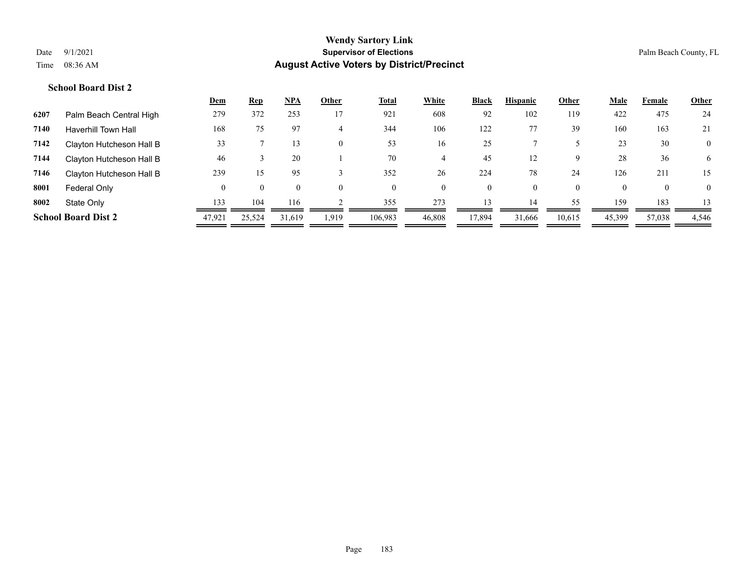|      |                            | <u>Dem</u> | <b>Rep</b> | <u>NPA</u> | Other    | <u>Total</u> | White    | <b>Black</b> | <b>Hispanic</b> | Other    | <b>Male</b> | Female         | <b>Other</b>   |
|------|----------------------------|------------|------------|------------|----------|--------------|----------|--------------|-----------------|----------|-------------|----------------|----------------|
| 6207 | Palm Beach Central High    | 279        | 372        | 253        | 17       | 921          | 608      | 92           | 102             | 119      | 422         | 475            | 24             |
| 7140 | <b>Haverhill Town Hall</b> | 168        | 75         | 97         | 4        | 344          | 106      | 122          |                 | 39       | 160         | 163            | 21             |
| 7142 | Clayton Hutcheson Hall B   | 33         |            | 13         | $\theta$ | 53           | 16       | 25           |                 |          | 23          | 30             | $\mathbf{0}$   |
| 7144 | Clayton Hutcheson Hall B   | 46         |            | 20         |          | 70           | 4        | 45           |                 | 9        | 28          | 36             | 6              |
| 7146 | Clayton Hutcheson Hall B   | 239        | 15         | 95         |          | 352          | 26       | 224          | 78              | 24       | 126         | 211            | 15             |
| 8001 | Federal Only               | $\theta$   | $\theta$   | $\theta$   | $\theta$ | $\theta$     | $\theta$ | $\mathbf{0}$ | $\theta$        | $\theta$ | $\Omega$    | $\overline{0}$ | $\overline{0}$ |
| 8002 | State Only                 | 133        | 104        | 116        |          | 355          | 273      | 13           | 14              | 55       | 159         | 183            |                |
|      | <b>School Board Dist 2</b> | 47,921     | 25,524     | 31,619     | 1,919    | 106,983      | 46,808   | 17,894       | 31,666          | 10,615   | 45,399      | 57,038         | 4,546          |
|      |                            |            |            |            |          |              |          |              |                 |          |             |                |                |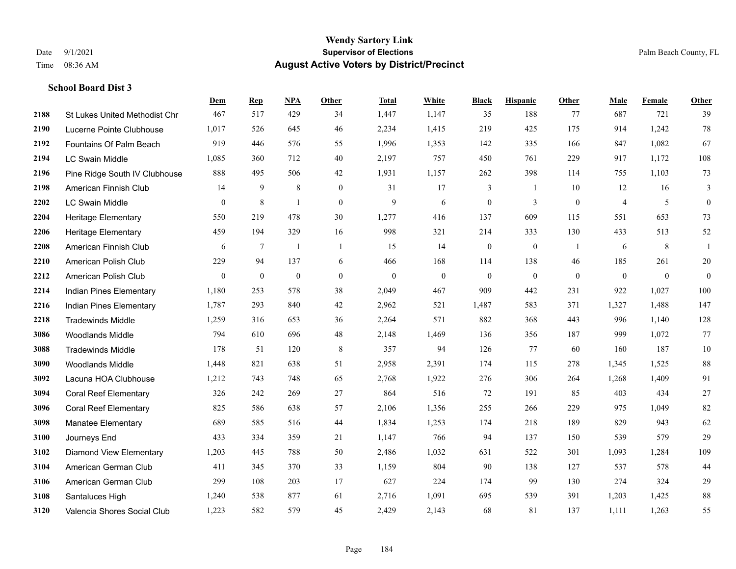|      |                                      | Dem          | <b>Rep</b>       | NPA            | <b>Other</b>   | <b>Total</b> | White          | <b>Black</b>     | <b>Hispanic</b>  | <b>Other</b> | <b>Male</b>    | <b>Female</b>  | <b>Other</b>     |
|------|--------------------------------------|--------------|------------------|----------------|----------------|--------------|----------------|------------------|------------------|--------------|----------------|----------------|------------------|
| 2188 | <b>St Lukes United Methodist Chr</b> | 467          | 517              | 429            | 34             | 1,447        | 1,147          | 35               | 188              | 77           | 687            | 721            | 39               |
| 2190 | Lucerne Pointe Clubhouse             | 1,017        | 526              | 645            | 46             | 2,234        | 1,415          | 219              | 425              | 175          | 914            | 1,242          | 78               |
| 2192 | Fountains Of Palm Beach              | 919          | 446              | 576            | 55             | 1,996        | 1,353          | 142              | 335              | 166          | 847            | 1,082          | 67               |
| 2194 | <b>LC Swain Middle</b>               | 1,085        | 360              | 712            | 40             | 2,197        | 757            | 450              | 761              | 229          | 917            | 1,172          | $108\,$          |
| 2196 | Pine Ridge South IV Clubhouse        | 888          | 495              | 506            | 42             | 1,931        | 1,157          | 262              | 398              | 114          | 755            | 1,103          | 73               |
| 2198 | American Finnish Club                | 14           | $\boldsymbol{9}$ | $\,$ 8 $\,$    | $\mathbf{0}$   | 31           | 17             | 3                | -1               | 10           | 12             | 16             | 3                |
| 2202 | LC Swain Middle                      | $\mathbf{0}$ | $\,8\,$          | 1              | $\mathbf{0}$   | 9            | 6              | $\boldsymbol{0}$ | 3                | $\mathbf{0}$ | $\overline{4}$ | 5              | $\boldsymbol{0}$ |
| 2204 | Heritage Elementary                  | 550          | 219              | 478            | 30             | 1,277        | 416            | 137              | 609              | 115          | 551            | 653            | 73               |
| 2206 | Heritage Elementary                  | 459          | 194              | 329            | 16             | 998          | 321            | 214              | 333              | 130          | 433            | 513            | 52               |
| 2208 | American Finnish Club                | 6            | $\tau$           | $\overline{1}$ | $\overline{1}$ | 15           | 14             | $\boldsymbol{0}$ | $\boldsymbol{0}$ | -1           | 6              | 8              | -1               |
| 2210 | American Polish Club                 | 229          | 94               | 137            | 6              | 466          | 168            | 114              | 138              | 46           | 185            | 261            | $20\,$           |
| 2212 | American Polish Club                 | $\mathbf{0}$ | $\mathbf{0}$     | $\mathbf{0}$   | $\overline{0}$ | $\mathbf{0}$ | $\overline{0}$ | $\mathbf{0}$     | $\mathbf{0}$     | $\theta$     | $\overline{0}$ | $\overline{0}$ | $\theta$         |
| 2214 | Indian Pines Elementary              | 1,180        | 253              | 578            | 38             | 2,049        | 467            | 909              | 442              | 231          | 922            | 1,027          | 100              |
| 2216 | Indian Pines Elementary              | 1,787        | 293              | 840            | 42             | 2,962        | 521            | 1,487            | 583              | 371          | 1,327          | 1,488          | 147              |
| 2218 | <b>Tradewinds Middle</b>             | 1,259        | 316              | 653            | 36             | 2,264        | 571            | 882              | 368              | 443          | 996            | 1,140          | 128              |
| 3086 | <b>Woodlands Middle</b>              | 794          | 610              | 696            | 48             | 2,148        | 1,469          | 136              | 356              | 187          | 999            | 1,072          | 77               |
| 3088 | <b>Tradewinds Middle</b>             | 178          | 51               | 120            | 8              | 357          | 94             | 126              | 77               | 60           | 160            | 187            | $10\,$           |
| 3090 | <b>Woodlands Middle</b>              | 1,448        | 821              | 638            | 51             | 2,958        | 2,391          | 174              | 115              | 278          | 1,345          | 1.525          | 88               |
| 3092 | Lacuna HOA Clubhouse                 | 1,212        | 743              | 748            | 65             | 2,768        | 1,922          | 276              | 306              | 264          | 1,268          | 1,409          | 91               |
| 3094 | <b>Coral Reef Elementary</b>         | 326          | 242              | 269            | 27             | 864          | 516            | 72               | 191              | 85           | 403            | 434            | $27\,$           |
| 3096 | <b>Coral Reef Elementary</b>         | 825          | 586              | 638            | 57             | 2,106        | 1,356          | 255              | 266              | 229          | 975            | 1,049          | 82               |
| 3098 | <b>Manatee Elementary</b>            | 689          | 585              | 516            | 44             | 1,834        | 1,253          | 174              | 218              | 189          | 829            | 943            | 62               |
| 3100 | Journeys End                         | 433          | 334              | 359            | 21             | 1,147        | 766            | 94               | 137              | 150          | 539            | 579            | 29               |
| 3102 | <b>Diamond View Elementary</b>       | 1,203        | 445              | 788            | 50             | 2,486        | 1,032          | 631              | 522              | 301          | 1,093          | 1,284          | 109              |
| 3104 | American German Club                 | 411          | 345              | 370            | 33             | 1,159        | 804            | 90               | 138              | 127          | 537            | 578            | 44               |
| 3106 | American German Club                 | 299          | 108              | 203            | 17             | 627          | 224            | 174              | 99               | 130          | 274            | 324            | 29               |
| 3108 | Santaluces High                      | 1,240        | 538              | 877            | 61             | 2,716        | 1,091          | 695              | 539              | 391          | 1,203          | 1,425          | $88\,$           |
| 3120 | Valencia Shores Social Club          | 1,223        | 582              | 579            | 45             | 2,429        | 2,143          | 68               | 81               | 137          | 1,111          | 1,263          | 55               |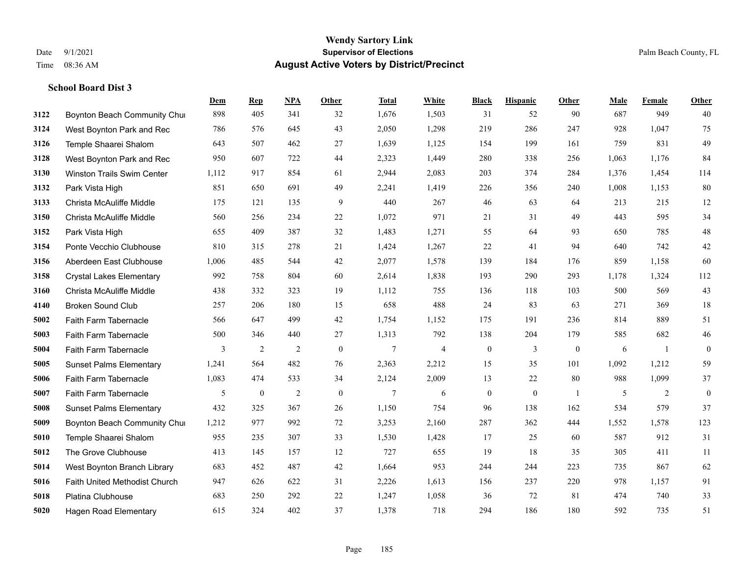|      |                                   | Dem   | <b>Rep</b>       | NPA            | <b>Other</b>     | <b>Total</b>   | White                    | <b>Black</b>     | <b>Hispanic</b> | <b>Other</b>     | <b>Male</b> | Female       | <b>Other</b>     |
|------|-----------------------------------|-------|------------------|----------------|------------------|----------------|--------------------------|------------------|-----------------|------------------|-------------|--------------|------------------|
| 3122 | Boynton Beach Community Chur      | 898   | 405              | 341            | 32               | 1,676          | 1,503                    | 31               | 52              | 90               | 687         | 949          | 40               |
| 3124 | West Boynton Park and Rec         | 786   | 576              | 645            | 43               | 2,050          | 1,298                    | 219              | 286             | 247              | 928         | 1,047        | 75               |
| 3126 | Temple Shaarei Shalom             | 643   | 507              | 462            | 27               | 1,639          | 1,125                    | 154              | 199             | 161              | 759         | 831          | 49               |
| 3128 | West Boynton Park and Rec         | 950   | 607              | 722            | 44               | 2,323          | 1,449                    | 280              | 338             | 256              | 1,063       | 1,176        | 84               |
| 3130 | <b>Winston Trails Swim Center</b> | 1,112 | 917              | 854            | 61               | 2,944          | 2,083                    | 203              | 374             | 284              | 1.376       | 1,454        | 114              |
| 3132 | Park Vista High                   | 851   | 650              | 691            | 49               | 2,241          | 1,419                    | 226              | 356             | 240              | 1,008       | 1,153        | $80\,$           |
| 3133 | Christa McAuliffe Middle          | 175   | 121              | 135            | 9                | 440            | 267                      | 46               | 63              | 64               | 213         | 215          | 12               |
| 3150 | Christa McAuliffe Middle          | 560   | 256              | 234            | 22               | 1,072          | 971                      | 21               | 31              | 49               | 443         | 595          | 34               |
| 3152 | Park Vista High                   | 655   | 409              | 387            | 32               | 1,483          | 1,271                    | 55               | 64              | 93               | 650         | 785          | $48\,$           |
| 3154 | Ponte Vecchio Clubhouse           | 810   | 315              | 278            | 21               | 1,424          | 1,267                    | 22               | 41              | 94               | 640         | 742          | $42\,$           |
| 3156 | Aberdeen East Clubhouse           | 1,006 | 485              | 544            | 42               | 2,077          | 1,578                    | 139              | 184             | 176              | 859         | 1,158        | 60               |
| 3158 | <b>Crystal Lakes Elementary</b>   | 992   | 758              | 804            | 60               | 2,614          | 1,838                    | 193              | 290             | 293              | 1,178       | 1,324        | 112              |
| 3160 | Christa McAuliffe Middle          | 438   | 332              | 323            | 19               | 1,112          | 755                      | 136              | 118             | 103              | 500         | 569          | 43               |
| 4140 | <b>Broken Sound Club</b>          | 257   | 206              | 180            | 15               | 658            | 488                      | 24               | 83              | 63               | 271         | 369          | 18               |
| 5002 | Faith Farm Tabernacle             | 566   | 647              | 499            | 42               | 1,754          | 1,152                    | 175              | 191             | 236              | 814         | 889          | 51               |
| 5003 | Faith Farm Tabernacle             | 500   | 346              | 440            | 27               | 1,313          | 792                      | 138              | 204             | 179              | 585         | 682          | 46               |
| 5004 | Faith Farm Tabernacle             | 3     | $\overline{2}$   | $\overline{2}$ | $\boldsymbol{0}$ | $\tau$         | $\overline{\mathcal{L}}$ | $\boldsymbol{0}$ | 3               | $\boldsymbol{0}$ | 6           | $\mathbf{1}$ | $\boldsymbol{0}$ |
| 5005 | <b>Sunset Palms Elementary</b>    | 1,241 | 564              | 482            | 76               | 2,363          | 2,212                    | 15               | 35              | 101              | 1,092       | 1,212        | 59               |
| 5006 | Faith Farm Tabernacle             | 1,083 | 474              | 533            | 34               | 2,124          | 2,009                    | 13               | 22              | 80               | 988         | 1,099        | 37               |
| 5007 | Faith Farm Tabernacle             | 5     | $\boldsymbol{0}$ | $\overline{2}$ | $\mathbf{0}$     | $\overline{7}$ | 6                        | $\boldsymbol{0}$ | $\mathbf{0}$    | -1               | 5           | 2            | $\boldsymbol{0}$ |
| 5008 | <b>Sunset Palms Elementary</b>    | 432   | 325              | 367            | 26               | 1,150          | 754                      | 96               | 138             | 162              | 534         | 579          | 37               |
| 5009 | Boynton Beach Community Chur      | 1,212 | 977              | 992            | 72               | 3,253          | 2,160                    | 287              | 362             | 444              | 1,552       | 1,578        | 123              |
| 5010 | Temple Shaarei Shalom             | 955   | 235              | 307            | 33               | 1,530          | 1,428                    | 17               | 25              | 60               | 587         | 912          | 31               |
| 5012 | The Grove Clubhouse               | 413   | 145              | 157            | 12               | 727            | 655                      | 19               | 18              | 35               | 305         | 411          | 11               |
| 5014 | West Boynton Branch Library       | 683   | 452              | 487            | 42               | 1,664          | 953                      | 244              | 244             | 223              | 735         | 867          | 62               |
| 5016 | Faith United Methodist Church     | 947   | 626              | 622            | 31               | 2,226          | 1,613                    | 156              | 237             | 220              | 978         | 1,157        | 91               |
| 5018 | <b>Platina Clubhouse</b>          | 683   | 250              | 292            | 22               | 1,247          | 1,058                    | 36               | 72              | 81               | 474         | 740          | 33               |
| 5020 | <b>Hagen Road Elementary</b>      | 615   | 324              | 402            | 37               | 1,378          | 718                      | 294              | 186             | 180              | 592         | 735          | 51               |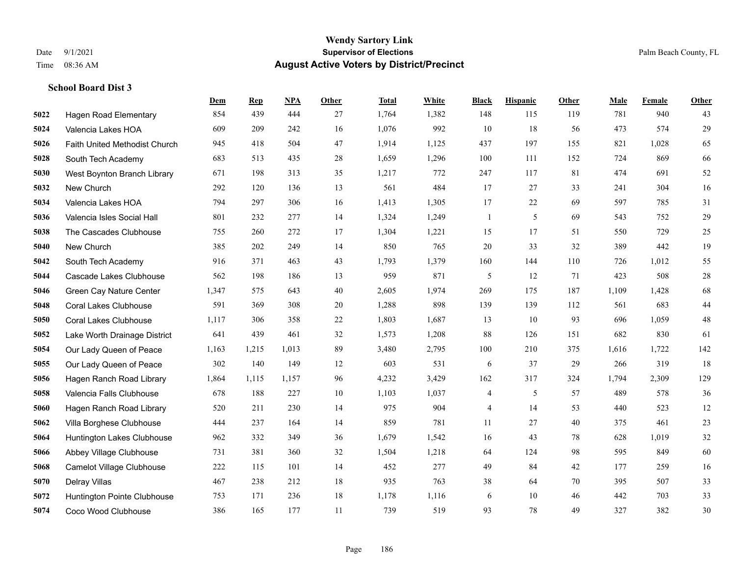#### **Wendy Sartory Link** Date 9/1/2021 **Supervisor of Elections** Palm Beach County, FL Time 08:36 AM **August Active Voters by District/Precinct**

# **Dem Rep NPA Other Total White Black Hispanic Other Male Female Other** Hagen Road Elementary 854 439 444 27 1,764 1,382 148 115 119 781 940 43 Valencia Lakes HOA 609 209 242 16 1,076 992 10 18 56 473 574 29 Faith United Methodist Church 945 418 504 47 1,914 1,125 437 197 155 821 1,028 65 South Tech Academy 683 513 435 28 1,659 1,296 100 111 152 724 869 66 West Boynton Branch Library 671 198 313 35 1,217 772 247 117 81 474 691 52 New Church 292 120 136 13 561 484 17 27 33 241 304 16 Valencia Lakes HOA 794 297 306 16 1,413 1,305 17 22 69 597 785 31 Valencia Isles Social Hall 801 232 277 14 1,324 1,249 1 5 69 543 752 29 The Cascades Clubhouse 755 260 272 17 1,304 1,221 15 17 51 550 729 25 New Church 385 202 249 14 850 765 20 33 32 389 442 19 South Tech Academy 916 371 463 43 1,793 1,379 160 144 110 726 1,012 55 Cascade Lakes Clubhouse 562 198 186 13 959 871 5 12 71 423 508 28 Green Cay Nature Center 1,347 575 643 40 2,605 1,974 269 175 187 1,109 1,428 68 Coral Lakes Clubhouse 591 369 308 20 1,288 898 139 139 112 561 683 44 Coral Lakes Clubhouse 1,117 306 358 22 1,803 1,687 13 10 93 696 1,059 48 Lake Worth Drainage District 641 439 461 32 1,573 1,208 88 126 151 682 830 61 Our Lady Queen of Peace 1,163 1,215 1,013 89 3,480 2,795 100 210 375 1,616 1,722 142 Our Lady Queen of Peace 302 140 149 12 603 531 6 37 29 266 319 18 Hagen Ranch Road Library 1,864 1,115 1,157 96 4,232 3,429 162 317 324 1,794 2,309 129 Valencia Falls Clubhouse 678 188 227 10 1,103 1,037 4 5 57 489 578 36 Hagen Ranch Road Library 520 211 230 14 975 904 4 14 53 440 523 12 Villa Borghese Clubhouse 444 237 164 14 859 781 11 27 40 375 461 23 Huntington Lakes Clubhouse 962 332 349 36 1,679 1,542 16 43 78 628 1,019 32 Abbey Village Clubhouse 731 381 360 32 1,504 1,218 64 124 98 595 849 60 Camelot Village Clubhouse 222 115 101 14 452 277 49 84 42 177 259 16 Delray Villas 467 238 212 18 935 763 38 64 70 395 507 33 Huntington Pointe Clubhouse 753 171 236 18 1,178 1,116 6 10 46 442 703 33

Coco Wood Clubhouse 386 165 177 11 739 519 93 78 49 327 382 30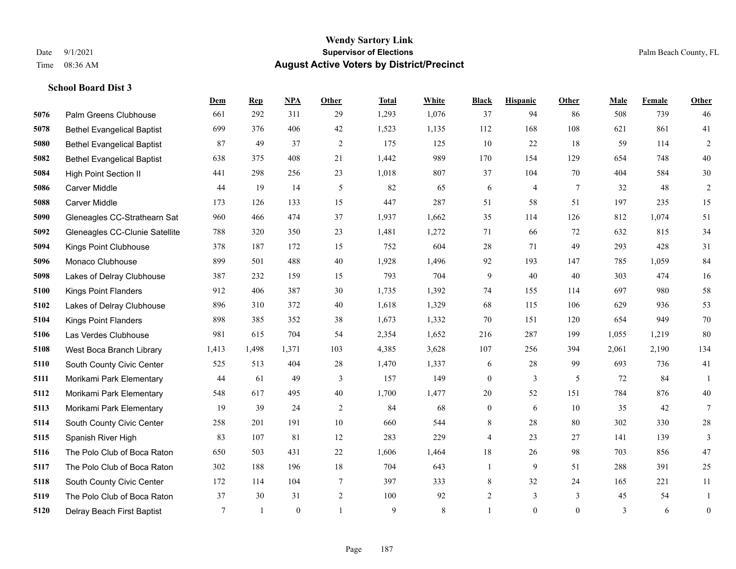|      |                                   | Dem    | <b>Rep</b>   | NPA      | <b>Other</b>   | <b>Total</b> | White | <b>Black</b>     | <b>Hispanic</b> | <b>Other</b>   | <b>Male</b> | Female | <b>Other</b>     |
|------|-----------------------------------|--------|--------------|----------|----------------|--------------|-------|------------------|-----------------|----------------|-------------|--------|------------------|
| 5076 | Palm Greens Clubhouse             | 661    | 292          | 311      | 29             | 1,293        | 1,076 | 37               | 94              | 86             | 508         | 739    | 46               |
| 5078 | <b>Bethel Evangelical Baptist</b> | 699    | 376          | 406      | 42             | 1,523        | 1,135 | 112              | 168             | 108            | 621         | 861    | 41               |
| 5080 | <b>Bethel Evangelical Baptist</b> | 87     | 49           | 37       | 2              | 175          | 125   | 10               | 22              | 18             | 59          | 114    | $\overline{c}$   |
| 5082 | <b>Bethel Evangelical Baptist</b> | 638    | 375          | 408      | 21             | 1,442        | 989   | 170              | 154             | 129            | 654         | 748    | $40\,$           |
| 5084 | <b>High Point Section II</b>      | 441    | 298          | 256      | 23             | 1,018        | 807   | 37               | 104             | 70             | 404         | 584    | $30\,$           |
| 5086 | <b>Carver Middle</b>              | 44     | 19           | 14       | 5              | 82           | 65    | 6                | 4               | 7              | 32          | 48     | $\overline{c}$   |
| 5088 | <b>Carver Middle</b>              | 173    | 126          | 133      | 15             | 447          | 287   | 51               | 58              | 51             | 197         | 235    | 15               |
| 5090 | Gleneagles CC-Strathearn Sat      | 960    | 466          | 474      | 37             | 1,937        | 1,662 | 35               | 114             | 126            | 812         | 1.074  | 51               |
| 5092 | Gleneagles CC-Clunie Satellite    | 788    | 320          | 350      | 23             | 1,481        | 1,272 | 71               | 66              | 72             | 632         | 815    | 34               |
| 5094 | Kings Point Clubhouse             | 378    | 187          | 172      | 15             | 752          | 604   | 28               | 71              | 49             | 293         | 428    | 31               |
| 5096 | Monaco Clubhouse                  | 899    | 501          | 488      | 40             | 1,928        | 1,496 | 92               | 193             | 147            | 785         | 1.059  | 84               |
| 5098 | Lakes of Delray Clubhouse         | 387    | 232          | 159      | 15             | 793          | 704   | 9                | 40              | 40             | 303         | 474    | 16               |
| 5100 | <b>Kings Point Flanders</b>       | 912    | 406          | 387      | 30             | 1,735        | 1,392 | 74               | 155             | 114            | 697         | 980    | 58               |
| 5102 | Lakes of Delray Clubhouse         | 896    | 310          | 372      | 40             | 1,618        | 1,329 | 68               | 115             | 106            | 629         | 936    | 53               |
| 5104 | Kings Point Flanders              | 898    | 385          | 352      | 38             | 1,673        | 1,332 | 70               | 151             | 120            | 654         | 949    | $70\,$           |
| 5106 | Las Verdes Clubhouse              | 981    | 615          | 704      | 54             | 2,354        | 1,652 | 216              | 287             | 199            | 1,055       | 1,219  | 80               |
| 5108 | West Boca Branch Library          | 1,413  | 1,498        | 1,371    | 103            | 4,385        | 3,628 | 107              | 256             | 394            | 2,061       | 2,190  | 134              |
| 5110 | South County Civic Center         | 525    | 513          | 404      | 28             | 1,470        | 1,337 | 6                | 28              | 99             | 693         | 736    | 41               |
| 5111 | Morikami Park Elementary          | 44     | 61           | 49       | 3              | 157          | 149   | $\boldsymbol{0}$ | $\overline{3}$  | 5              | 72          | 84     | $\mathbf{1}$     |
| 5112 | Morikami Park Elementary          | 548    | 617          | 495      | $40\,$         | 1,700        | 1,477 | $20\,$           | 52              | 151            | 784         | 876    | $40\,$           |
| 5113 | Morikami Park Elementary          | 19     | 39           | 24       | 2              | 84           | 68    | $\boldsymbol{0}$ | 6               | 10             | 35          | 42     | $\tau$           |
| 5114 | South County Civic Center         | 258    | 201          | 191      | $10\,$         | 660          | 544   | 8                | 28              | 80             | 302         | 330    | $28\,$           |
| 5115 | Spanish River High                | 83     | 107          | 81       | 12             | 283          | 229   | 4                | 23              | 27             | 141         | 139    | 3                |
| 5116 | The Polo Club of Boca Raton       | 650    | 503          | 431      | 22             | 1,606        | 1,464 | 18               | 26              | 98             | 703         | 856    | $47\,$           |
| 5117 | The Polo Club of Boca Raton       | 302    | 188          | 196      | 18             | 704          | 643   | $\mathbf{1}$     | 9               | 51             | 288         | 391    | 25               |
| 5118 | South County Civic Center         | 172    | 114          | 104      | 7              | 397          | 333   | 8                | 32              | 24             | 165         | 221    | 11               |
| 5119 | The Polo Club of Boca Raton       | 37     | 30           | 31       | $\overline{2}$ | 100          | 92    | $\overline{c}$   | 3               | 3              | 45          | 54     | 1                |
| 5120 | Delray Beach First Baptist        | $\tau$ | $\mathbf{1}$ | $\theta$ |                | 9            | 8     |                  | $\theta$        | $\overline{0}$ | 3           | 6      | $\boldsymbol{0}$ |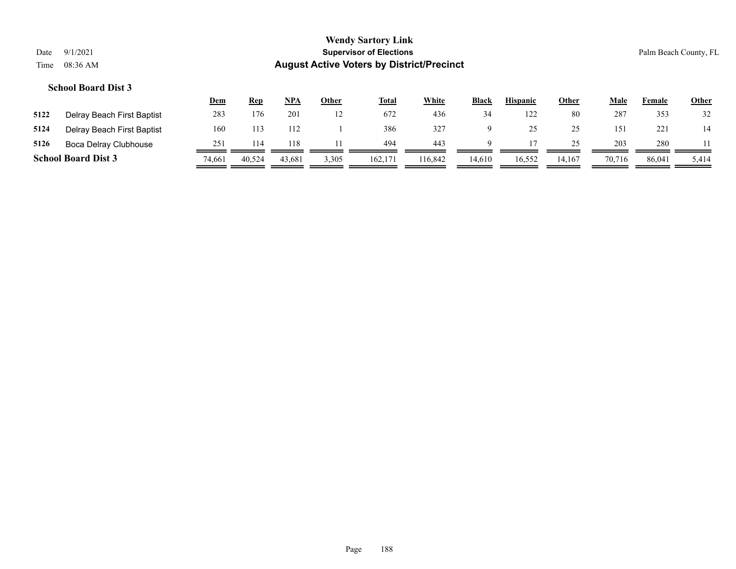|      |                            | <u>Dem</u> | <u>Rep</u> | NPA    | <u>Other</u> | <u>Total</u> | White           | <b>Black</b> | <b>Hispanic</b> | <u>Other</u> | Male   | Female | <u>Other</u> |
|------|----------------------------|------------|------------|--------|--------------|--------------|-----------------|--------------|-----------------|--------------|--------|--------|--------------|
| 5122 | Delray Beach First Baptist | 283        | 176        | 201    | 12           | 672          | 436             | 34           | 122             | 80           | 287    | 353    | 32           |
| 5124 | Delray Beach First Baptist | 160        |            | 112    |              | 386          | 32 <sup>7</sup> |              |                 | 25           | 151    | 221    | 14           |
| 5126 | Boca Delray Clubhouse      | 251        | 114        | 118    |              | 494          | 443             |              |                 | 25           | 203    | 280    |              |
|      | <b>School Board Dist 3</b> | 74,661     | 40,524     | 43,681 | 3,305        | 162,171      | 116.842         | 14.610       | 16,552          | 14.167       | 70,716 | 86,041 | 5,414        |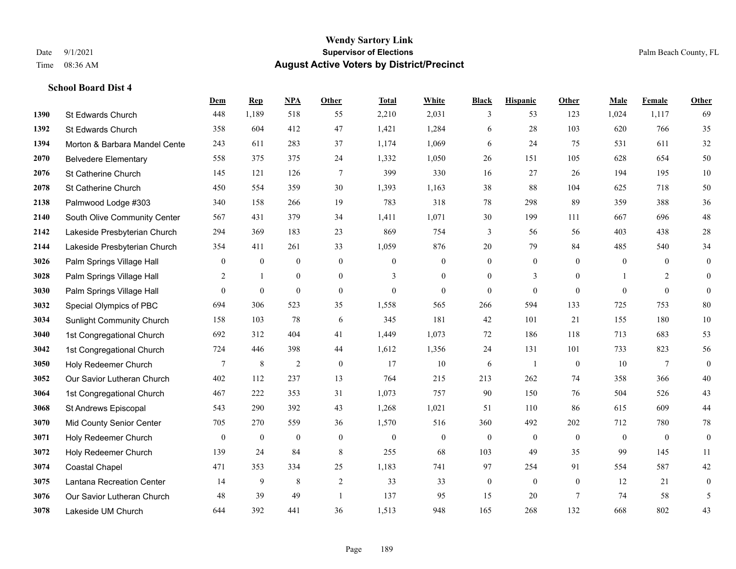#### **Wendy Sartory Link** Date 9/1/2021 **Supervisor of Elections** Palm Beach County, FL Time 08:36 AM **August Active Voters by District/Precinct**

**Dem Rep NPA Other Total White Black Hispanic Other Male Female Other**

# St Edwards Church 448 1,189 518 55 2,210 2,031 3 53 123 1,024 1,117 69 St Edwards Church 358 604 412 47 1,421 1,284 6 28 103 620 766 35 **1394 Morton & Barbara Mandel Cente** 243 611 283 37 1,174 1,069 6 24 75 531 611 32 Belvedere Elementary 558 375 375 24 1,332 1,050 26 151 105 628 654 50

| 2076 | St Catherine Church              | 145              | 121              | 126              | 7              | 399            | 330            | 16             | 27             | 26             | 194          | 195            | 10             |
|------|----------------------------------|------------------|------------------|------------------|----------------|----------------|----------------|----------------|----------------|----------------|--------------|----------------|----------------|
| 2078 | St Catherine Church              | 450              | 554              | 359              | 30             | 1,393          | 1,163          | 38             | 88             | 104            | 625          | 718            | 50             |
| 2138 | Palmwood Lodge #303              | 340              | 158              | 266              | 19             | 783            | 318            | 78             | 298            | 89             | 359          | 388            | 36             |
| 2140 | South Olive Community Center     | 567              | 431              | 379              | 34             | 1,411          | 1,071          | 30             | 199            | 111            | 667          | 696            | 48             |
| 2142 | Lakeside Presbyterian Church     | 294              | 369              | 183              | 23             | 869            | 754            | 3              | 56             | 56             | 403          | 438            | $28\,$         |
| 2144 | Lakeside Presbyterian Church     | 354              | 411              | 261              | 33             | 1,059          | 876            | 20             | 79             | 84             | 485          | 540            | 34             |
| 3026 | Palm Springs Village Hall        | $\mathbf{0}$     | $\mathbf{0}$     | $\mathbf{0}$     | $\mathbf{0}$   | $\overline{0}$ | $\mathbf{0}$   | $\overline{0}$ | $\overline{0}$ | $\theta$       | $\mathbf{0}$ | $\overline{0}$ | $\overline{0}$ |
| 3028 | Palm Springs Village Hall        | 2                |                  | $\overline{0}$   | $\overline{0}$ | $\overline{3}$ | $\mathbf{0}$   | $\theta$       | 3              | $\theta$       |              | $\overline{2}$ | $\theta$       |
| 3030 | Palm Springs Village Hall        | $\mathbf{0}$     | $\mathbf{0}$     | $\mathbf{0}$     | $\mathbf{0}$   | $\mathbf{0}$   | $\mathbf{0}$   | $\theta$       | $\mathbf{0}$   | $\mathbf{0}$   | $\mathbf{0}$ | $\mathbf{0}$   | $\theta$       |
| 3032 | Special Olympics of PBC          | 694              | 306              | 523              | 35             | 1,558          | 565            | 266            | 594            | 133            | 725          | 753            | $80\,$         |
| 3034 | <b>Sunlight Community Church</b> | 158              | 103              | 78               | 6              | 345            | 181            | 42             | 101            | 21             | 155          | 180            | 10             |
| 3040 | 1st Congregational Church        | 692              | 312              | 404              | 41             | 1,449          | 1,073          | 72             | 186            | 118            | 713          | 683            | 53             |
| 3042 | 1st Congregational Church        | 724              | 446              | 398              | 44             | 1,612          | 1,356          | 24             | 131            | 101            | 733          | 823            | 56             |
| 3050 | Holy Redeemer Church             | 7                | $\,$ 8 $\,$      | $\overline{c}$   | $\mathbf{0}$   | 17             | $10\,$         | 6              | $\overline{1}$ | $\overline{0}$ | 10           | 7              | $\theta$       |
| 3052 | Our Savior Lutheran Church       | 402              | 112              | 237              | 13             | 764            | 215            | 213            | 262            | 74             | 358          | 366            | 40             |
| 3064 | 1st Congregational Church        | 467              | 222              | 353              | 31             | 1,073          | 757            | 90             | 150            | 76             | 504          | 526            | 43             |
| 3068 | St Andrews Episcopal             | 543              | 290              | 392              | 43             | 1,268          | 1,021          | 51             | 110            | 86             | 615          | 609            | 44             |
| 3070 | Mid County Senior Center         | 705              | 270              | 559              | 36             | 1,570          | 516            | 360            | 492            | 202            | 712          | 780            | 78             |
| 3071 | Holy Redeemer Church             | $\boldsymbol{0}$ | $\boldsymbol{0}$ | $\boldsymbol{0}$ | $\overline{0}$ | $\mathbf{0}$   | $\overline{0}$ | $\mathbf{0}$   | $\overline{0}$ | $\overline{0}$ | $\mathbf{0}$ | $\mathbf{0}$   | $\overline{0}$ |
| 3072 | Holy Redeemer Church             | 139              | 24               | 84               | 8              | 255            | 68             | 103            | 49             | 35             | 99           | 145            | 11             |
| 3074 | <b>Coastal Chapel</b>            | 471              | 353              | 334              | 25             | 1,183          | 741            | 97             | 254            | 91             | 554          | 587            | 42             |
| 3075 | Lantana Recreation Center        | 14               | 9                | 8                | 2              | 33             | 33             | $\mathbf{0}$   | $\overline{0}$ | $\mathbf{0}$   | 12           | 21             | $\mathbf{0}$   |
| 3076 | Our Savior Lutheran Church       | 48               | 39               | 49               |                | 137            | 95             | 15             | 20             | 7              | 74           | 58             | 5              |
| 3078 | Lakeside UM Church               | 644              | 392              | 441              | 36             | 1,513          | 948            | 165            | 268            | 132            | 668          | 802            | 43             |
|      |                                  |                  |                  |                  |                |                |                |                |                |                |              |                |                |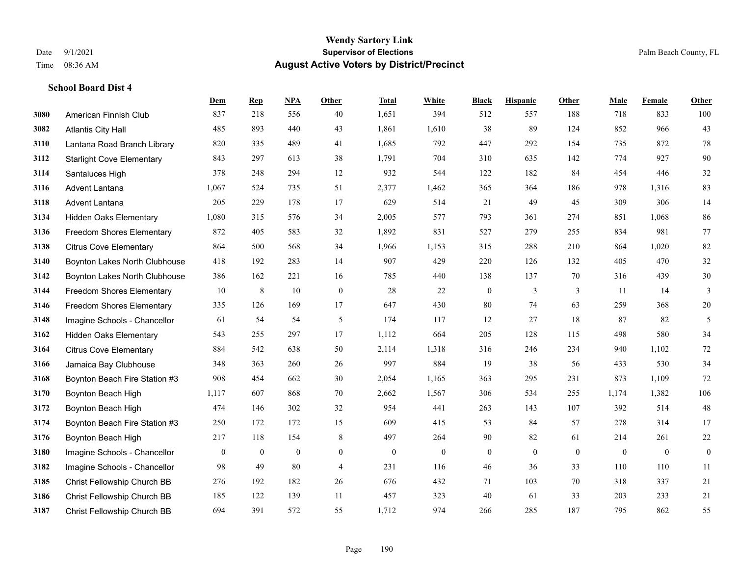#### **Wendy Sartory Link** Date 9/1/2021 **Supervisor of Elections** Palm Beach County, FL Time 08:36 AM **August Active Voters by District/Precinct**

# **Dem Rep NPA Other Total White Black Hispanic Other Male Female Other** American Finnish Club 837 218 556 40 1,651 394 512 557 188 718 833 100 Atlantis City Hall 485 893 440 43 1,861 1,610 38 89 124 852 966 43 Lantana Road Branch Library 820 335 489 41 1,685 792 447 292 154 735 872 78 Starlight Cove Elementary 843 297 613 38 1,791 704 310 635 142 774 927 90 Santaluces High 378 248 294 12 932 544 122 182 84 454 446 32 Advent Lantana 1,067 524 735 51 2,377 1,462 365 364 186 978 1,316 83 Advent Lantana 205 229 178 17 629 514 21 49 45 309 306 14 Hidden Oaks Elementary 1,080 315 576 34 2,005 577 793 361 274 851 1,068 86 Freedom Shores Elementary 872 405 583 32 1,892 831 527 279 255 834 981 77 Citrus Cove Elementary 864 500 568 34 1,966 1,153 315 288 210 864 1,020 82 Boynton Lakes North Clubhouse 418 192 283 14 907 429 220 126 132 405 470 32 Boynton Lakes North Clubhouse 386 162 221 16 785 440 138 137 70 316 439 30 Freedom Shores Elementary 10 8 10 0 28 22 0 3 3 11 14 3 Freedom Shores Elementary 335 126 169 17 647 430 80 74 63 259 368 20 Imagine Schools - Chancellor 61 54 54 5 61 54 5 174 117 12 27 18 87 82 5 Hidden Oaks Elementary 543 255 297 17 1,112 664 205 128 115 498 580 34 Citrus Cove Elementary 884 542 638 50 2,114 1,318 316 246 234 940 1,102 72 Jamaica Bay Clubhouse 348 363 260 26 997 884 19 38 56 433 530 34 Boynton Beach Fire Station #3 908 454 662 30 2,054 1,165 363 295 231 873 1,109 72 Boynton Beach High 1,117 607 868 70 2,662 1,567 306 534 255 1,174 1,382 106 Boynton Beach High 474 146 302 32 954 441 263 143 107 392 514 48 Boynton Beach Fire Station #3 250 172 172 15 609 415 53 84 57 278 314 17 Boynton Beach High 217 118 154 8 497 264 90 82 61 214 261 22 Imagine Schools - Chancellor 0 0 0 0 0 0 0 0 0 0 0 0 Imagine Schools - Chancellor 98 49 80 4 231 116 46 36 33 110 110 11 Christ Fellowship Church BB 276 192 182 26 676 432 71 103 70 318 337 21 Christ Fellowship Church BB 185 122 139 11 457 323 40 61 33 203 233 21 Christ Fellowship Church BB 694 391 572 55 1,712 974 266 285 187 795 862 55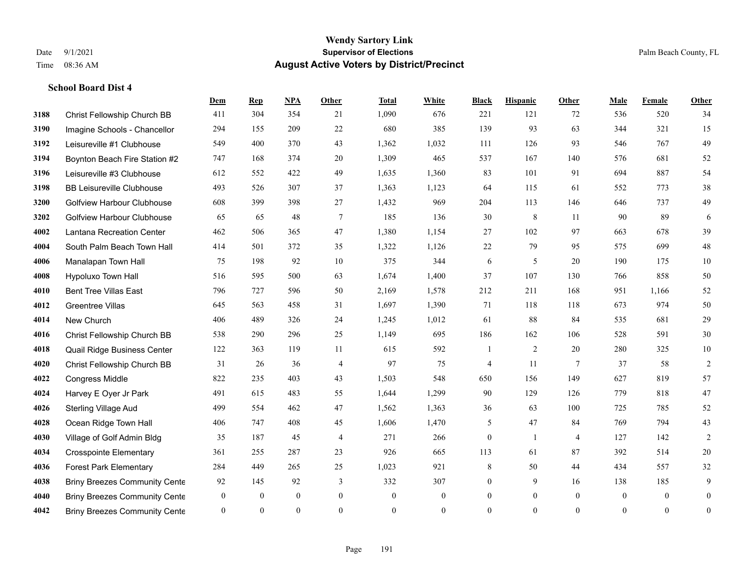#### **Wendy Sartory Link** Date 9/1/2021 **Supervisor of Elections** Palm Beach County, FL Time 08:36 AM **August Active Voters by District/Precinct**

# **Dem Rep NPA Other Total White Black Hispanic Other Male Female Other** Christ Fellowship Church BB 411 304 354 21 1,090 676 221 121 72 536 520 34 Imagine Schools - Chancellor 294 155 209 22 680 385 139 93 63 344 321 15 Leisureville #1 Clubhouse 549 400 370 43 1,362 1,032 111 126 93 546 767 49 Boynton Beach Fire Station #2 747 168 374 20 1,309 465 537 167 140 576 681 52 Leisureville #3 Clubhouse 612 552 422 49 1,635 1,360 83 101 91 694 887 54 BB Leisureville Clubhouse 493 526 307 37 1,363 1,123 64 115 61 552 773 38 Golfview Harbour Clubhouse 608 399 398 27 1,432 969 204 113 146 646 737 49 Golfview Harbour Clubhouse 65 65 48 7 185 136 30 8 11 90 89 6 Lantana Recreation Center 462 506 365 47 1,380 1,154 27 102 97 663 678 39 South Palm Beach Town Hall 414 501 372 35 1,322 1,126 22 79 95 575 699 48 Manalapan Town Hall 75 198 92 10 375 344 6 5 20 190 175 10 Hypoluxo Town Hall 516 595 500 63 1,674 1,400 37 107 130 766 858 50 Bent Tree Villas East 796 727 596 50 2,169 1,578 212 211 168 951 1,166 52 Greentree Villas 645 563 458 31 1,697 1,390 71 118 118 673 974 50 New Church 406 489 326 24 1,245 1,012 61 88 84 535 681 29 Christ Fellowship Church BB 538 290 296 25 1,149 695 186 162 106 528 591 30 Quail Ridge Business Center 122 363 119 11 615 592 1 2 20 280 325 10 Christ Fellowship Church BB 31 26 36 4 97 75 4 11 7 37 58 2 Congress Middle 822 235 403 43 1,503 548 650 156 149 627 819 57 Harvey E Oyer Jr Park 491 615 483 55 1,644 1,299 90 129 126 779 818 47 Sterling Village Aud 499 554 462 47 1,562 1,363 36 63 100 725 785 52 Ocean Ridge Town Hall 406 747 408 45 1,606 1,470 5 47 84 769 794 43 Village of Golf Admin Bldg 35 187 45 4 271 266 0 1 4 127 142 2 Crosspointe Elementary 361 255 287 23 926 665 113 61 87 392 514 20 Forest Park Elementary 284 449 265 25 1,023 921 8 50 44 434 557 32 **4038 Briny Breezes Community Cente** 92 145 92 3 332 307 0 9 16 138 185 9 Briny Breezes Community Center 0 0 0 0 0 0 0 0 0 0 0 0 Briny Breezes Community Center 0 0 0 0 0 0 0 0 0 0 0 0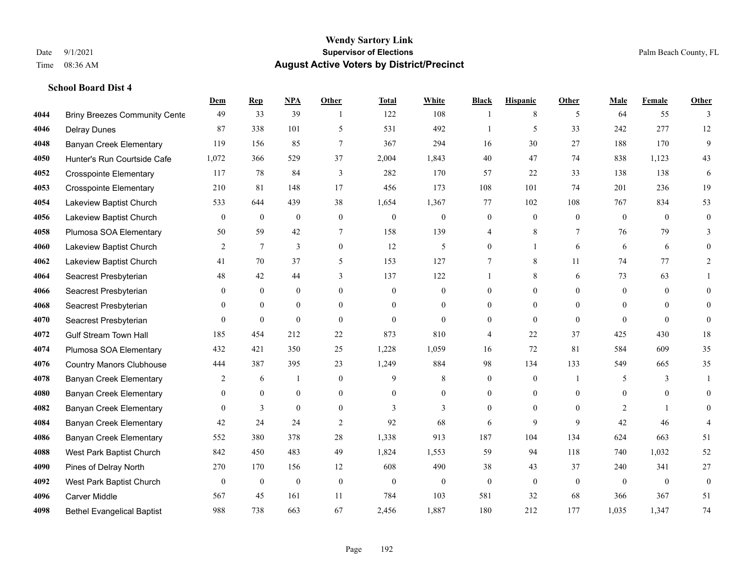|      |                                      | Dem            | <b>Rep</b>       | NPA              | <b>Other</b>   | <b>Total</b> | <b>White</b>     | <b>Black</b>   | <b>Hispanic</b> | <b>Other</b>   | <b>Male</b>    | <b>Female</b> | <b>Other</b>     |
|------|--------------------------------------|----------------|------------------|------------------|----------------|--------------|------------------|----------------|-----------------|----------------|----------------|---------------|------------------|
| 4044 | <b>Briny Breezes Community Cente</b> | 49             | 33               | 39               | $\overline{1}$ | 122          | 108              | 1              | 8               | 5              | 64             | 55            | 3                |
| 4046 | <b>Delray Dunes</b>                  | 87             | 338              | 101              | 5              | 531          | 492              |                | 5               | 33             | 242            | 277           | 12               |
| 4048 | <b>Banyan Creek Elementary</b>       | 119            | 156              | 85               | $\tau$         | 367          | 294              | 16             | 30              | 27             | 188            | 170           | 9                |
| 4050 | Hunter's Run Courtside Cafe          | 1,072          | 366              | 529              | 37             | 2,004        | 1,843            | 40             | 47              | 74             | 838            | 1,123         | 43               |
| 4052 | <b>Crosspointe Elementary</b>        | 117            | 78               | 84               | 3              | 282          | 170              | 57             | 22              | 33             | 138            | 138           | 6                |
| 4053 | <b>Crosspointe Elementary</b>        | 210            | 81               | 148              | 17             | 456          | 173              | 108            | 101             | 74             | 201            | 236           | 19               |
| 4054 | Lakeview Baptist Church              | 533            | 644              | 439              | 38             | 1,654        | 1,367            | 77             | 102             | 108            | 767            | 834           | 53               |
| 4056 | Lakeview Baptist Church              | $\mathbf{0}$   | $\boldsymbol{0}$ | $\mathbf{0}$     | $\overline{0}$ | $\theta$     | $\boldsymbol{0}$ | $\mathbf{0}$   | $\mathbf{0}$    | $\theta$       | $\theta$       | $\theta$      | $\mathbf{0}$     |
| 4058 | Plumosa SOA Elementary               | 50             | 59               | 42               | 7              | 158          | 139              | 4              | 8               | $\tau$         | 76             | 79            | 3                |
| 4060 | Lakeview Baptist Church              | 2              | $\tau$           | 3                | $\overline{0}$ | 12           | 5                | $\overline{0}$ | $\mathbf{1}$    | 6              | 6              | 6             | $\theta$         |
| 4062 | Lakeview Baptist Church              | 41             | 70               | 37               | 5              | 153          | 127              | 7              | 8               | 11             | 74             | 77            | 2                |
| 4064 | Seacrest Presbyterian                | 48             | 42               | 44               | 3              | 137          | 122              | 1              | 8               | 6              | 73             | 63            |                  |
| 4066 | Seacrest Presbyterian                | $\theta$       | $\mathbf{0}$     | $\mathbf{0}$     | $\Omega$       | $\Omega$     | $\mathbf{0}$     | $\theta$       | $\theta$        | $\Omega$       | $\Omega$       | $\theta$      | $\theta$         |
| 4068 | Seacrest Presbyterian                | $\mathbf{0}$   | $\mathbf{0}$     | $\boldsymbol{0}$ | $\overline{0}$ | $\mathbf{0}$ | $\boldsymbol{0}$ | $\overline{0}$ | $\mathbf{0}$    | $\overline{0}$ | $\overline{0}$ | $\mathbf{0}$  | $\theta$         |
| 4070 | Seacrest Presbyterian                | $\overline{0}$ | $\mathbf{0}$     | $\mathbf{0}$     | $\theta$       | $\theta$     | $\mathbf{0}$     | $\overline{0}$ | $\mathbf{0}$    | $\theta$       | $\theta$       | $\Omega$      | $\mathbf{0}$     |
| 4072 | <b>Gulf Stream Town Hall</b>         | 185            | 454              | 212              | 22             | 873          | 810              | 4              | 22              | 37             | 425            | 430           | 18               |
| 4074 | Plumosa SOA Elementary               | 432            | 421              | 350              | 25             | 1,228        | 1,059            | 16             | 72              | 81             | 584            | 609           | 35               |
| 4076 | <b>Country Manors Clubhouse</b>      | 444            | 387              | 395              | 23             | 1,249        | 884              | 98             | 134             | 133            | 549            | 665           | 35               |
| 4078 | <b>Banyan Creek Elementary</b>       | 2              | 6                | -1               | $\mathbf{0}$   | 9            | 8                | $\mathbf{0}$   | $\mathbf{0}$    | $\overline{1}$ | 5              | 3             | 1                |
| 4080 | <b>Banyan Creek Elementary</b>       | $\theta$       | $\theta$         | $\mathbf{0}$     | $\overline{0}$ | $\theta$     | $\overline{0}$   | $\overline{0}$ | $\mathbf{0}$    | $\theta$       | $\theta$       | $\theta$      | $\theta$         |
| 4082 | <b>Banyan Creek Elementary</b>       | $\Omega$       | 3                | $\theta$         | $\Omega$       | 3            | $\overline{3}$   | $\theta$       | $\theta$        | $\Omega$       | 2              |               | $\Omega$         |
| 4084 | <b>Banyan Creek Elementary</b>       | 42             | 24               | 24               | $\overline{2}$ | 92           | 68               | 6              | 9               | 9              | 42             | 46            |                  |
| 4086 | <b>Banyan Creek Elementary</b>       | 552            | 380              | 378              | 28             | 1,338        | 913              | 187            | 104             | 134            | 624            | 663           | 51               |
| 4088 | West Park Baptist Church             | 842            | 450              | 483              | 49             | 1,824        | 1,553            | 59             | 94              | 118            | 740            | 1,032         | 52               |
| 4090 | Pines of Delray North                | 270            | 170              | 156              | 12             | 608          | 490              | 38             | 43              | 37             | 240            | 341           | $27\,$           |
| 4092 | West Park Baptist Church             | $\mathbf{0}$   | $\boldsymbol{0}$ | $\boldsymbol{0}$ | $\mathbf{0}$   | $\theta$     | $\mathbf{0}$     | $\mathbf{0}$   | $\mathbf{0}$    | $\theta$       | $\theta$       | $\theta$      | $\boldsymbol{0}$ |
| 4096 | <b>Carver Middle</b>                 | 567            | 45               | 161              | 11             | 784          | 103              | 581            | 32              | 68             | 366            | 367           | 51               |
| 4098 | <b>Bethel Evangelical Baptist</b>    | 988            | 738              | 663              | 67             | 2,456        | 1,887            | 180            | 212             | 177            | 1,035          | 1,347         | 74               |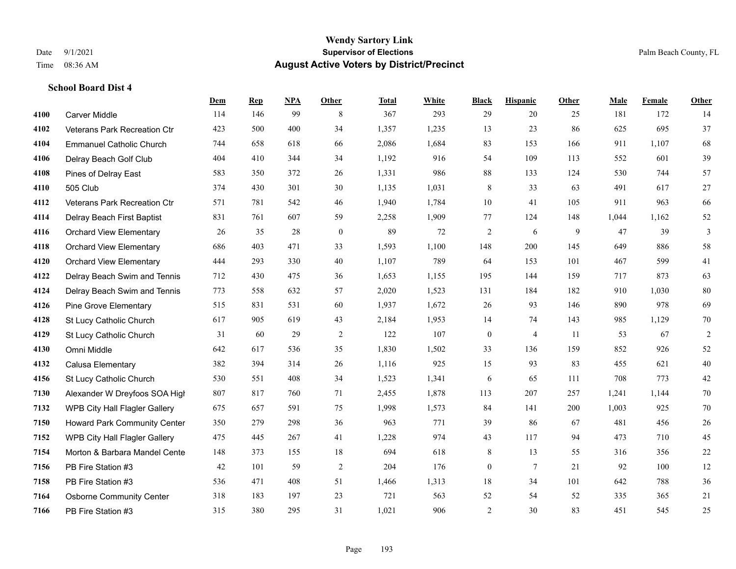#### **Wendy Sartory Link** Date 9/1/2021 **Supervisor of Elections** Palm Beach County, FL Time 08:36 AM **August Active Voters by District/Precinct**

# **Dem Rep NPA Other Total White Black Hispanic Other Male Female Other** Carver Middle 114 146 99 8 367 293 29 20 25 181 172 14 Veterans Park Recreation Ctr 423 500 400 34 1,357 1,235 13 23 86 625 695 37 Emmanuel Catholic Church 744 658 618 66 2,086 1,684 83 153 166 911 1,107 68 Delray Beach Golf Club 404 410 344 34 1,192 916 54 109 113 552 601 39 Pines of Delray East 583 350 372 26 1,331 986 88 133 124 530 744 57 505 Club 374 430 301 30 1,135 1,031 8 33 63 491 617 27 Veterans Park Recreation Ctr 571 781 542 46 1,940 1,784 10 41 105 911 963 66 Delray Beach First Baptist 831 761 607 59 2,258 1,909 77 124 148 1,044 1,162 52 Orchard View Elementary 26 35 28 0 89 72 2 6 9 47 39 3 Orchard View Elementary 686 403 471 33 1,593 1,100 148 200 145 649 886 58 Orchard View Elementary 444 293 330 40 1,107 789 64 153 101 467 599 41 Delray Beach Swim and Tennis 712 430 475 36 1,653 1,155 195 144 159 717 873 63 Delray Beach Swim and Tennis 773 558 632 57 2,020 1,523 131 184 182 910 1,030 80 Pine Grove Elementary 515 831 531 60 1,937 1,672 26 93 146 890 978 69 St Lucy Catholic Church 617 905 619 43 2,184 1,953 14 74 143 985 1,129 70 St Lucy Catholic Church 31 60 29 2 122 107 0 4 11 53 67 2 Omni Middle 642 617 536 35 1,830 1,502 33 136 159 852 926 52 Calusa Elementary 382 394 314 26 1,116 925 15 93 83 455 621 40 St Lucy Catholic Church 530 551 408 34 1,523 1,341 6 65 111 708 773 42 Alexander W Dreyfoos SOA High 807 817 760 71 2,455 1,878 113 207 257 1,241 1,144 70 WPB City Hall Flagler Gallery 675 657 591 75 1,998 1,573 84 141 200 1,003 925 70 Howard Park Community Center 350 279 298 36 963 771 39 86 67 481 456 26 WPB City Hall Flagler Gallery 475 445 267 41 1,228 974 43 117 94 473 710 45 Morton & Barbara Mandel Center 148 373 155 18 694 618 8 13 55 316 356 22 PB Fire Station #3 42 101 59 2 204 176 0 7 21 92 100 12 PB Fire Station #3 536 471 408 51 1,466 1,313 18 34 101 642 788 36 Osborne Community Center 318 183 197 23 721 563 52 54 52 335 365 21 PB Fire Station #3 315 380 295 31 1,021 906 2 30 83 451 545 25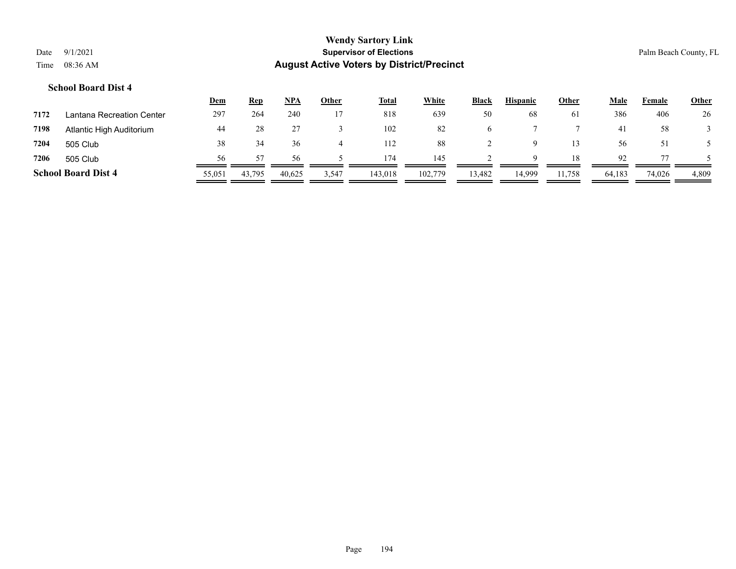|      |                            | <b>Dem</b> | <b>Rep</b> | NPA    | Other | <b>Total</b> | White   | <b>Black</b> | <b>Hispanic</b> | Other  | Male   | Female | <b>Other</b> |
|------|----------------------------|------------|------------|--------|-------|--------------|---------|--------------|-----------------|--------|--------|--------|--------------|
| 7172 | Lantana Recreation Center  | 297        | 264        | 240    |       | 818          | 639     | 50           | 68              | 61     | 386    | 406    | 26           |
| 7198 | Atlantic High Auditorium   | 44         | 28         |        |       | 102          | 82      | $\sigma$     |                 |        | 41     | 58     |              |
| 7204 | 505 Club                   | 38         | 34         | 36     |       | 112          | 88      |              | Q               | 13     | 56     | 51     |              |
| 7206 | 505 Club                   | 56         | 57         | 56     |       | 174          | 145     |              | $\Omega$        | 18     | 92     |        |              |
|      | <b>School Board Dist 4</b> | 55,051     | 43,795     | 40.625 | 3,547 | 143,018      | 102,779 | 13,482       | 14.999          | 11,758 | 64,183 | 74,026 | 4,809        |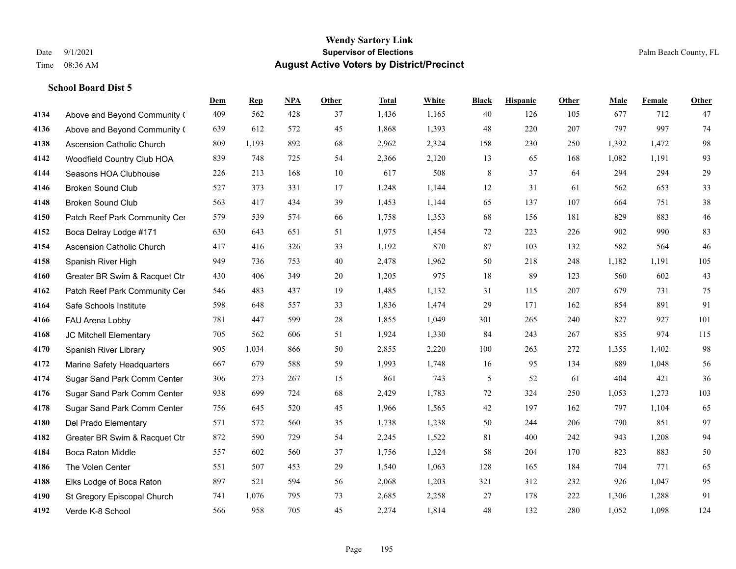|      |                                  | Dem | <b>Rep</b> | NPA | <b>Other</b> | <b>Total</b> | <b>White</b> | <b>Black</b> | <b>Hispanic</b> | <b>Other</b> | <b>Male</b> | <b>Female</b> | <b>Other</b> |
|------|----------------------------------|-----|------------|-----|--------------|--------------|--------------|--------------|-----------------|--------------|-------------|---------------|--------------|
| 4134 | Above and Beyond Community (     | 409 | 562        | 428 | 37           | 1,436        | 1,165        | 40           | 126             | 105          | 677         | 712           | 47           |
| 4136 | Above and Beyond Community (     | 639 | 612        | 572 | 45           | 1,868        | 1,393        | 48           | 220             | 207          | 797         | 997           | 74           |
| 4138 | <b>Ascension Catholic Church</b> | 809 | 1,193      | 892 | 68           | 2,962        | 2,324        | 158          | 230             | 250          | 1,392       | 1,472         | 98           |
| 4142 | Woodfield Country Club HOA       | 839 | 748        | 725 | 54           | 2,366        | 2,120        | 13           | 65              | 168          | 1,082       | 1,191         | 93           |
| 4144 | Seasons HOA Clubhouse            | 226 | 213        | 168 | 10           | 617          | 508          | 8            | 37              | 64           | 294         | 294           | $29\,$       |
| 4146 | <b>Broken Sound Club</b>         | 527 | 373        | 331 | 17           | 1,248        | 1,144        | 12           | 31              | 61           | 562         | 653           | 33           |
| 4148 | <b>Broken Sound Club</b>         | 563 | 417        | 434 | 39           | 1,453        | 1,144        | 65           | 137             | 107          | 664         | 751           | $38\,$       |
| 4150 | Patch Reef Park Community Cer    | 579 | 539        | 574 | 66           | 1,758        | 1,353        | 68           | 156             | 181          | 829         | 883           | $46\,$       |
| 4152 | Boca Delray Lodge #171           | 630 | 643        | 651 | 51           | 1,975        | 1,454        | 72           | 223             | 226          | 902         | 990           | 83           |
| 4154 | <b>Ascension Catholic Church</b> | 417 | 416        | 326 | 33           | 1,192        | 870          | 87           | 103             | 132          | 582         | 564           | 46           |
| 4158 | Spanish River High               | 949 | 736        | 753 | 40           | 2,478        | 1,962        | 50           | 218             | 248          | 1,182       | 1,191         | 105          |
| 4160 | Greater BR Swim & Racquet Ctr    | 430 | 406        | 349 | 20           | 1,205        | 975          | 18           | 89              | 123          | 560         | 602           | 43           |
| 4162 | Patch Reef Park Community Cer    | 546 | 483        | 437 | 19           | 1,485        | 1,132        | 31           | 115             | 207          | 679         | 731           | 75           |
| 4164 | Safe Schools Institute           | 598 | 648        | 557 | 33           | 1,836        | 1,474        | 29           | 171             | 162          | 854         | 891           | 91           |
| 4166 | FAU Arena Lobby                  | 781 | 447        | 599 | 28           | 1,855        | 1,049        | 301          | 265             | 240          | 827         | 927           | 101          |
| 4168 | JC Mitchell Elementary           | 705 | 562        | 606 | 51           | 1,924        | 1,330        | 84           | 243             | 267          | 835         | 974           | 115          |
| 4170 | Spanish River Library            | 905 | 1,034      | 866 | 50           | 2,855        | 2,220        | 100          | 263             | 272          | 1,355       | 1,402         | 98           |
| 4172 | Marine Safety Headquarters       | 667 | 679        | 588 | 59           | 1,993        | 1,748        | 16           | 95              | 134          | 889         | 1,048         | 56           |
| 4174 | Sugar Sand Park Comm Center      | 306 | 273        | 267 | 15           | 861          | 743          | 5            | 52              | 61           | 404         | 421           | 36           |
| 4176 | Sugar Sand Park Comm Center      | 938 | 699        | 724 | 68           | 2,429        | 1,783        | 72           | 324             | 250          | 1,053       | 1,273         | 103          |
| 4178 | Sugar Sand Park Comm Center      | 756 | 645        | 520 | 45           | 1,966        | 1,565        | $42\,$       | 197             | 162          | 797         | 1,104         | 65           |
| 4180 | Del Prado Elementary             | 571 | 572        | 560 | 35           | 1,738        | 1,238        | 50           | 244             | 206          | 790         | 851           | 97           |
| 4182 | Greater BR Swim & Racquet Ctr    | 872 | 590        | 729 | 54           | 2,245        | 1,522        | 81           | 400             | 242          | 943         | 1,208         | 94           |
| 4184 | <b>Boca Raton Middle</b>         | 557 | 602        | 560 | 37           | 1,756        | 1,324        | 58           | 204             | 170          | 823         | 883           | 50           |
| 4186 | The Volen Center                 | 551 | 507        | 453 | 29           | 1,540        | 1,063        | 128          | 165             | 184          | 704         | 771           | 65           |
| 4188 | Elks Lodge of Boca Raton         | 897 | 521        | 594 | 56           | 2,068        | 1,203        | 321          | 312             | 232          | 926         | 1,047         | 95           |
| 4190 | St Gregory Episcopal Church      | 741 | 1,076      | 795 | 73           | 2,685        | 2,258        | 27           | 178             | 222          | 1,306       | 1,288         | 91           |
| 4192 | Verde K-8 School                 | 566 | 958        | 705 | 45           | 2,274        | 1,814        | 48           | 132             | 280          | 1,052       | 1,098         | 124          |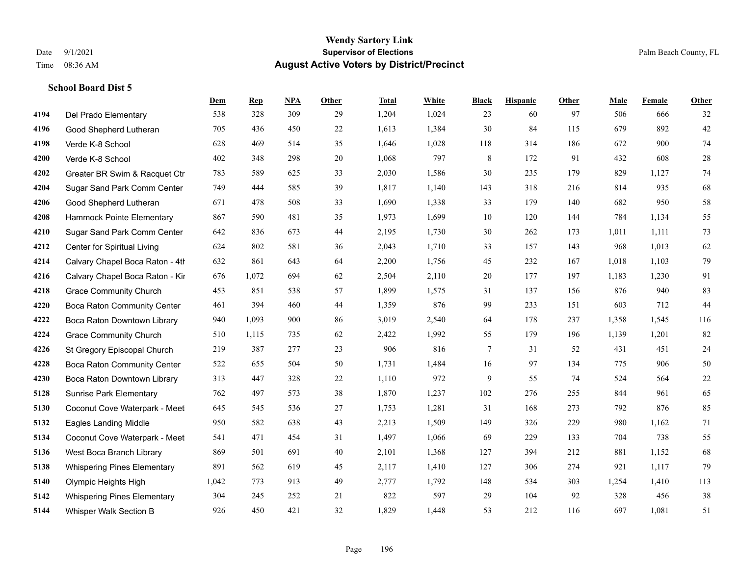|      |                                    | Dem   | <b>Rep</b> | NPA | <b>Other</b> | <b>Total</b> | <b>White</b> | <b>Black</b> | <b>Hispanic</b> | <b>Other</b> | <b>Male</b> | <b>Female</b> | <b>Other</b> |
|------|------------------------------------|-------|------------|-----|--------------|--------------|--------------|--------------|-----------------|--------------|-------------|---------------|--------------|
| 4194 | Del Prado Elementary               | 538   | 328        | 309 | 29           | 1,204        | 1,024        | 23           | 60              | 97           | 506         | 666           | 32           |
| 4196 | Good Shepherd Lutheran             | 705   | 436        | 450 | 22           | 1,613        | 1,384        | 30           | 84              | 115          | 679         | 892           | $42\,$       |
| 4198 | Verde K-8 School                   | 628   | 469        | 514 | 35           | 1,646        | 1,028        | 118          | 314             | 186          | 672         | 900           | $74\,$       |
| 4200 | Verde K-8 School                   | 402   | 348        | 298 | 20           | 1,068        | 797          | $\,8\,$      | 172             | 91           | 432         | 608           | $28\,$       |
| 4202 | Greater BR Swim & Racquet Ctr      | 783   | 589        | 625 | 33           | 2,030        | 1,586        | $30\,$       | 235             | 179          | 829         | 1,127         | $74\,$       |
| 4204 | Sugar Sand Park Comm Center        | 749   | 444        | 585 | 39           | 1,817        | 1,140        | 143          | 318             | 216          | 814         | 935           | 68           |
| 4206 | Good Shepherd Lutheran             | 671   | 478        | 508 | 33           | 1,690        | 1,338        | 33           | 179             | 140          | 682         | 950           | 58           |
| 4208 | Hammock Pointe Elementary          | 867   | 590        | 481 | 35           | 1,973        | 1,699        | 10           | 120             | 144          | 784         | 1,134         | 55           |
| 4210 | Sugar Sand Park Comm Center        | 642   | 836        | 673 | 44           | 2,195        | 1,730        | 30           | 262             | 173          | 1,011       | 1,111         | 73           |
| 4212 | Center for Spiritual Living        | 624   | 802        | 581 | 36           | 2,043        | 1,710        | 33           | 157             | 143          | 968         | 1,013         | 62           |
| 4214 | Calvary Chapel Boca Raton - 4th    | 632   | 861        | 643 | 64           | 2,200        | 1,756        | 45           | 232             | 167          | 1,018       | 1,103         | 79           |
| 4216 | Calvary Chapel Boca Raton - Kir    | 676   | 1,072      | 694 | 62           | 2,504        | 2,110        | $20\,$       | 177             | 197          | 1,183       | 1,230         | 91           |
| 4218 | <b>Grace Community Church</b>      | 453   | 851        | 538 | 57           | 1,899        | 1,575        | 31           | 137             | 156          | 876         | 940           | 83           |
| 4220 | Boca Raton Community Center        | 461   | 394        | 460 | 44           | 1,359        | 876          | 99           | 233             | 151          | 603         | 712           | 44           |
| 4222 | Boca Raton Downtown Library        | 940   | 1,093      | 900 | 86           | 3,019        | 2,540        | 64           | 178             | 237          | 1,358       | 1,545         | 116          |
| 4224 | <b>Grace Community Church</b>      | 510   | 1,115      | 735 | 62           | 2,422        | 1,992        | 55           | 179             | 196          | 1,139       | 1,201         | $82\,$       |
| 4226 | St Gregory Episcopal Church        | 219   | 387        | 277 | 23           | 906          | 816          | $\tau$       | 31              | 52           | 431         | 451           | 24           |
| 4228 | <b>Boca Raton Community Center</b> | 522   | 655        | 504 | 50           | 1,731        | 1,484        | 16           | 97              | 134          | 775         | 906           | $50\,$       |
| 4230 | Boca Raton Downtown Library        | 313   | 447        | 328 | 22           | 1,110        | 972          | 9            | 55              | 74           | 524         | 564           | $22\,$       |
| 5128 | <b>Sunrise Park Elementary</b>     | 762   | 497        | 573 | 38           | 1,870        | 1,237        | 102          | 276             | 255          | 844         | 961           | 65           |
| 5130 | Coconut Cove Waterpark - Meet      | 645   | 545        | 536 | 27           | 1,753        | 1,281        | 31           | 168             | 273          | 792         | 876           | 85           |
| 5132 | <b>Eagles Landing Middle</b>       | 950   | 582        | 638 | 43           | 2,213        | 1,509        | 149          | 326             | 229          | 980         | 1,162         | 71           |
| 5134 | Coconut Cove Waterpark - Meet      | 541   | 471        | 454 | 31           | 1,497        | 1,066        | 69           | 229             | 133          | 704         | 738           | 55           |
| 5136 | West Boca Branch Library           | 869   | 501        | 691 | 40           | 2,101        | 1,368        | 127          | 394             | 212          | 881         | 1,152         | 68           |
| 5138 | <b>Whispering Pines Elementary</b> | 891   | 562        | 619 | 45           | 2,117        | 1,410        | 127          | 306             | 274          | 921         | 1,117         | 79           |
| 5140 | Olympic Heights High               | 1,042 | 773        | 913 | 49           | 2,777        | 1,792        | 148          | 534             | 303          | 1,254       | 1,410         | 113          |
| 5142 | <b>Whispering Pines Elementary</b> | 304   | 245        | 252 | 21           | 822          | 597          | 29           | 104             | 92           | 328         | 456           | 38           |
| 5144 | Whisper Walk Section B             | 926   | 450        | 421 | 32           | 1,829        | 1,448        | 53           | 212             | 116          | 697         | 1,081         | 51           |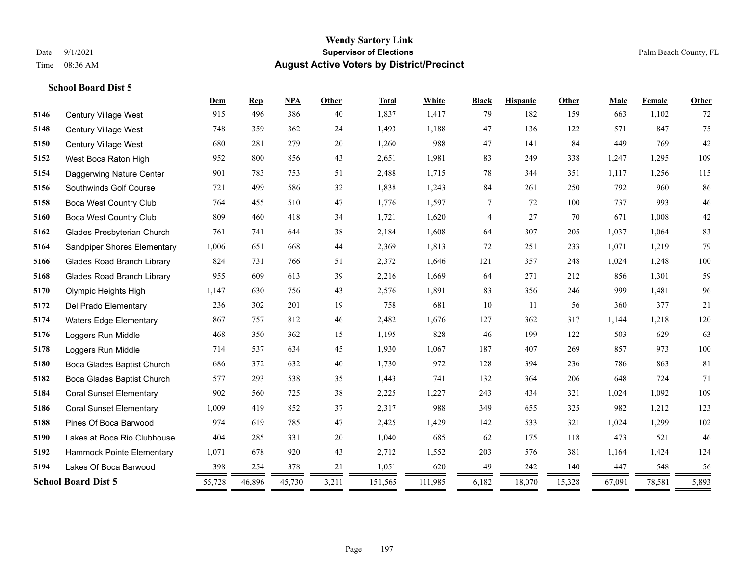|      |                                   | Dem    | <b>Rep</b> | NPA    | Other | <b>Total</b> | White   | <b>Black</b> | <b>Hispanic</b> | Other  | Male   | Female | Other   |
|------|-----------------------------------|--------|------------|--------|-------|--------------|---------|--------------|-----------------|--------|--------|--------|---------|
| 5146 | Century Village West              | 915    | 496        | 386    | 40    | 1,837        | 1,417   | 79           | 182             | 159    | 663    | 1,102  | 72      |
| 5148 | Century Village West              | 748    | 359        | 362    | 24    | 1,493        | 1,188   | 47           | 136             | 122    | 571    | 847    | 75      |
| 5150 | Century Village West              | 680    | 281        | 279    | 20    | 1,260        | 988     | 47           | 141             | 84     | 449    | 769    | 42      |
| 5152 | West Boca Raton High              | 952    | 800        | 856    | 43    | 2,651        | 1,981   | 83           | 249             | 338    | 1,247  | 1.295  | 109     |
| 5154 | Daggerwing Nature Center          | 901    | 783        | 753    | 51    | 2,488        | 1,715   | 78           | 344             | 351    | 1,117  | 1,256  | 115     |
| 5156 | Southwinds Golf Course            | 721    | 499        | 586    | 32    | 1,838        | 1,243   | 84           | 261             | 250    | 792    | 960    | 86      |
| 5158 | <b>Boca West Country Club</b>     | 764    | 455        | 510    | 47    | 1,776        | 1,597   | 7            | 72              | 100    | 737    | 993    | $46\,$  |
| 5160 | Boca West Country Club            | 809    | 460        | 418    | 34    | 1,721        | 1,620   | 4            | 27              | 70     | 671    | 1,008  | 42      |
| 5162 | Glades Presbyterian Church        | 761    | 741        | 644    | 38    | 2,184        | 1,608   | 64           | 307             | 205    | 1,037  | 1,064  | 83      |
| 5164 | Sandpiper Shores Elementary       | 1,006  | 651        | 668    | 44    | 2,369        | 1,813   | 72           | 251             | 233    | 1,071  | 1,219  | 79      |
| 5166 | <b>Glades Road Branch Library</b> | 824    | 731        | 766    | 51    | 2,372        | 1,646   | 121          | 357             | 248    | 1,024  | 1,248  | $100\,$ |
| 5168 | <b>Glades Road Branch Library</b> | 955    | 609        | 613    | 39    | 2,216        | 1,669   | 64           | 271             | 212    | 856    | 1,301  | 59      |
| 5170 | Olympic Heights High              | 1,147  | 630        | 756    | 43    | 2,576        | 1,891   | 83           | 356             | 246    | 999    | 1,481  | 96      |
| 5172 | Del Prado Elementary              | 236    | 302        | 201    | 19    | 758          | 681     | 10           | 11              | 56     | 360    | 377    | 21      |
| 5174 | <b>Waters Edge Elementary</b>     | 867    | 757        | 812    | 46    | 2,482        | 1,676   | 127          | 362             | 317    | 1,144  | 1,218  | 120     |
| 5176 | Loggers Run Middle                | 468    | 350        | 362    | 15    | 1,195        | 828     | 46           | 199             | 122    | 503    | 629    | 63      |
| 5178 | Loggers Run Middle                | 714    | 537        | 634    | 45    | 1,930        | 1,067   | 187          | 407             | 269    | 857    | 973    | $100\,$ |
| 5180 | Boca Glades Baptist Church        | 686    | 372        | 632    | 40    | 1,730        | 972     | 128          | 394             | 236    | 786    | 863    | 81      |
| 5182 | Boca Glades Baptist Church        | 577    | 293        | 538    | 35    | 1,443        | 741     | 132          | 364             | 206    | 648    | 724    | 71      |
| 5184 | <b>Coral Sunset Elementary</b>    | 902    | 560        | 725    | 38    | 2,225        | 1,227   | 243          | 434             | 321    | 1,024  | 1,092  | 109     |
| 5186 | <b>Coral Sunset Elementary</b>    | 1,009  | 419        | 852    | 37    | 2,317        | 988     | 349          | 655             | 325    | 982    | 1,212  | 123     |
| 5188 | Pines Of Boca Barwood             | 974    | 619        | 785    | 47    | 2,425        | 1,429   | 142          | 533             | 321    | 1,024  | 1,299  | 102     |
| 5190 | Lakes at Boca Rio Clubhouse       | 404    | 285        | 331    | 20    | 1,040        | 685     | 62           | 175             | 118    | 473    | 521    | 46      |
| 5192 | Hammock Pointe Elementary         | 1,071  | 678        | 920    | 43    | 2,712        | 1,552   | 203          | 576             | 381    | 1,164  | 1,424  | 124     |
| 5194 | Lakes Of Boca Barwood             | 398    | 254        | 378    | 21    | 1,051        | 620     | 49           | 242             | 140    | 447    | 548    | 56      |
|      | <b>School Board Dist 5</b>        | 55,728 | 46,896     | 45,730 | 3,211 | 151,565      | 111,985 | 6,182        | 18,070          | 15,328 | 67,091 | 78,581 | 5,893   |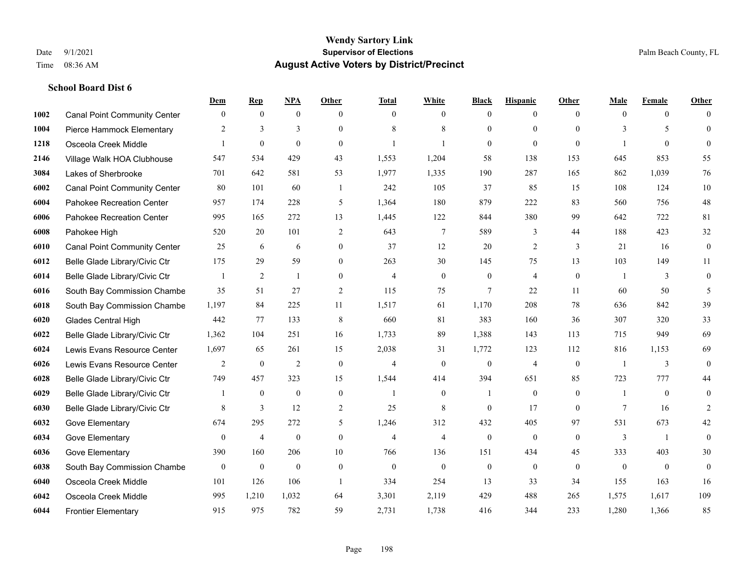|      |                                     | Dem          | <b>Rep</b>       | NPA              | <b>Other</b>   | <b>Total</b>   | <b>White</b>   | <b>Black</b>     | <b>Hispanic</b> | Other          | <b>Male</b>  | <b>Female</b>  | <b>Other</b>     |
|------|-------------------------------------|--------------|------------------|------------------|----------------|----------------|----------------|------------------|-----------------|----------------|--------------|----------------|------------------|
| 1002 | <b>Canal Point Community Center</b> | $\mathbf{0}$ | $\mathbf{0}$     | $\mathbf{0}$     | $\theta$       | $\theta$       | $\overline{0}$ | $\mathbf{0}$     | $\overline{0}$  | $\theta$       | $\theta$     | $\overline{0}$ | $\Omega$         |
| 1004 | Pierce Hammock Elementary           | 2            | 3                | 3                | $\Omega$       | 8              | 8              | $\mathbf{0}$     | $\mathbf{0}$    | $\theta$       | 3            | 5              | $\theta$         |
| 1218 | Osceola Creek Middle                | 1            | $\mathbf{0}$     | $\boldsymbol{0}$ | $\Omega$       |                | $\mathbf{1}$   | $\mathbf{0}$     | $\mathbf{0}$    | $\theta$       | $\mathbf{1}$ | $\theta$       | $\theta$         |
| 2146 | Village Walk HOA Clubhouse          | 547          | 534              | 429              | 43             | 1,553          | 1,204          | 58               | 138             | 153            | 645          | 853            | 55               |
| 3084 | Lakes of Sherbrooke                 | 701          | 642              | 581              | 53             | 1,977          | 1,335          | 190              | 287             | 165            | 862          | 1.039          | 76               |
| 6002 | <b>Canal Point Community Center</b> | 80           | 101              | 60               | -1             | 242            | 105            | 37               | 85              | 15             | 108          | 124            | 10               |
| 6004 | Pahokee Recreation Center           | 957          | 174              | 228              | 5              | 1,364          | 180            | 879              | 222             | 83             | 560          | 756            | 48               |
| 6006 | Pahokee Recreation Center           | 995          | 165              | 272              | 13             | 1,445          | 122            | 844              | 380             | 99             | 642          | 722            | 81               |
| 6008 | Pahokee High                        | 520          | 20               | 101              | $\mathfrak{2}$ | 643            | $\tau$         | 589              | 3               | 44             | 188          | 423            | 32               |
| 6010 | <b>Canal Point Community Center</b> | 25           | 6                | 6                | $\mathbf{0}$   | 37             | 12             | 20               | $\overline{2}$  | 3              | 21           | 16             | $\boldsymbol{0}$ |
| 6012 | Belle Glade Library/Civic Ctr       | 175          | 29               | 59               | $\Omega$       | 263            | 30             | 145              | 75              | 13             | 103          | 149            | 11               |
| 6014 | Belle Glade Library/Civic Ctr       |              | $\overline{2}$   | $\mathbf{1}$     | $\Omega$       | $\overline{4}$ | $\overline{0}$ | $\mathbf{0}$     | $\overline{4}$  | $\theta$       | $\mathbf{1}$ | 3              | $\boldsymbol{0}$ |
| 6016 | South Bay Commission Chambe         | 35           | 51               | 27               | 2              | 115            | 75             | $7\phantom{.0}$  | 22              | 11             | 60           | 50             | 5                |
| 6018 | South Bay Commission Chambe         | 1,197        | 84               | 225              | 11             | 1,517          | 61             | 1,170            | 208             | 78             | 636          | 842            | 39               |
| 6020 | <b>Glades Central High</b>          | 442          | 77               | 133              | 8              | 660            | 81             | 383              | 160             | 36             | 307          | 320            | 33               |
| 6022 | Belle Glade Library/Civic Ctr       | 1,362        | 104              | 251              | 16             | 1,733          | 89             | 1,388            | 143             | 113            | 715          | 949            | 69               |
| 6024 | Lewis Evans Resource Center         | 1,697        | 65               | 261              | 15             | 2,038          | 31             | 1,772            | 123             | 112            | 816          | 1,153          | 69               |
| 6026 | Lewis Evans Resource Center         | 2            | $\boldsymbol{0}$ | $\overline{2}$   | $\Omega$       | $\overline{4}$ | $\overline{0}$ | $\mathbf{0}$     | $\overline{4}$  | $\theta$       | $\mathbf{1}$ | 3              | $\mathbf{0}$     |
| 6028 | Belle Glade Library/Civic Ctr       | 749          | 457              | 323              | 15             | 1,544          | 414            | 394              | 651             | 85             | 723          | 777            | 44               |
| 6029 | Belle Glade Library/Civic Ctr       |              | $\mathbf{0}$     | $\mathbf{0}$     | $\mathbf{0}$   | -1             | $\overline{0}$ | 1                | $\mathbf{0}$    | $\overline{0}$ | $\mathbf{1}$ | $\theta$       | $\mathbf{0}$     |
| 6030 | Belle Glade Library/Civic Ctr       | 8            | 3                | 12               | 2              | 25             | 8              | $\mathbf{0}$     | 17              | $\theta$       | 7            | 16             | $\overline{c}$   |
| 6032 | Gove Elementary                     | 674          | 295              | 272              | 5              | 1,246          | 312            | 432              | 405             | 97             | 531          | 673            | 42               |
| 6034 | Gove Elementary                     | $\mathbf{0}$ | $\overline{4}$   | $\mathbf{0}$     | $\overline{0}$ | $\overline{4}$ | $\overline{4}$ | $\boldsymbol{0}$ | $\mathbf{0}$    | $\theta$       | 3            | $\overline{1}$ | $\mathbf{0}$     |
| 6036 | Gove Elementary                     | 390          | 160              | 206              | 10             | 766            | 136            | 151              | 434             | 45             | 333          | 403            | 30               |
| 6038 | South Bay Commission Chambe         | $\mathbf{0}$ | $\mathbf{0}$     | $\mathbf{0}$     | $\overline{0}$ | $\theta$       | $\Omega$       | $\mathbf{0}$     | $\theta$        | $\theta$       | $\theta$     | $\theta$       | $\theta$         |
| 6040 | Osceola Creek Middle                | 101          | 126              | 106              | $\overline{1}$ | 334            | 254            | 13               | 33              | 34             | 155          | 163            | 16               |
| 6042 | Osceola Creek Middle                | 995          | 1,210            | 1,032            | 64             | 3,301          | 2,119          | 429              | 488             | 265            | 1,575        | 1,617          | 109              |
| 6044 | <b>Frontier Elementary</b>          | 915          | 975              | 782              | 59             | 2,731          | 1,738          | 416              | 344             | 233            | 1,280        | 1,366          | 85               |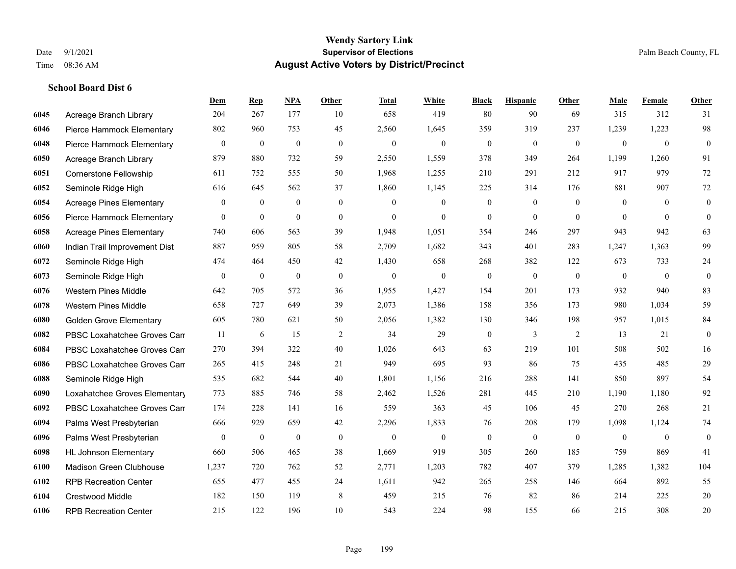#### **Wendy Sartory Link** Date 9/1/2021 **Supervisor of Elections** Palm Beach County, FL Time 08:36 AM **August Active Voters by District/Precinct**

**Dem Rep NPA Other Total White Black Hispanic Other Male Female Other**

# Acreage Branch Library 204 267 177 10 658 419 80 90 69 315 312 31 Pierce Hammock Elementary 802 960 753 45 2,560 1,645 359 319 237 1,239 1,223 98 Pierce Hammock Elementary 0 0 0 0 0 0 0 0 0 0 0 0 Acreage Branch Library 879 880 732 59 2,550 1,559 378 349 264 1,199 1,260 91

| งบงบ | Aucayc Dialiul Libialy          | 011            | $\sigma\sigma$ | ے ر              | J J            | 2,990          | 1,999          | <i>JI</i> 0    | ノエノ            | ∠∪−            | 1,1//    | 1,200    | $\overline{1}$ |
|------|---------------------------------|----------------|----------------|------------------|----------------|----------------|----------------|----------------|----------------|----------------|----------|----------|----------------|
| 6051 | Cornerstone Fellowship          | 611            | 752            | 555              | 50             | 1,968          | 1,255          | 210            | 291            | 212            | 917      | 979      | 72             |
| 6052 | Seminole Ridge High             | 616            | 645            | 562              | 37             | 1,860          | 1,145          | 225            | 314            | 176            | 881      | 907      | 72             |
| 6054 | Acreage Pines Elementary        | $\overline{0}$ | $\overline{0}$ | $\mathbf{0}$     | $\mathbf{0}$   | $\Omega$       | $\overline{0}$ | $\mathbf{0}$   | $\mathbf{0}$   | $\theta$       | $\theta$ | $\theta$ | $\mathbf{0}$   |
| 6056 | Pierce Hammock Elementary       | $\theta$       | $\overline{0}$ | $\mathbf{0}$     | $\overline{0}$ | $\overline{0}$ | $\theta$       | $\theta$       | $\theta$       | $\theta$       | $\Omega$ | $\theta$ | $\theta$       |
| 6058 | <b>Acreage Pines Elementary</b> | 740            | 606            | 563              | 39             | 1,948          | 1,051          | 354            | 246            | 297            | 943      | 942      | 63             |
| 6060 | Indian Trail Improvement Dist   | 887            | 959            | 805              | 58             | 2,709          | 1,682          | 343            | 401            | 283            | 1,247    | 1,363    | 99             |
| 6072 | Seminole Ridge High             | 474            | 464            | 450              | 42             | 1,430          | 658            | 268            | 382            | 122            | 673      | 733      | 24             |
| 6073 | Seminole Ridge High             | $\overline{0}$ | $\mathbf{0}$   | $\boldsymbol{0}$ | $\mathbf{0}$   | $\mathbf{0}$   | $\overline{0}$ | $\mathbf{0}$   | $\mathbf{0}$   | $\mathbf{0}$   | $\theta$ | $\theta$ | $\theta$       |
| 6076 | <b>Western Pines Middle</b>     | 642            | 705            | 572              | 36             | 1,955          | 1,427          | 154            | 201            | 173            | 932      | 940      | 83             |
| 6078 | <b>Western Pines Middle</b>     | 658            | 727            | 649              | 39             | 2,073          | 1,386          | 158            | 356            | 173            | 980      | 1,034    | 59             |
| 6080 | <b>Golden Grove Elementary</b>  | 605            | 780            | 621              | 50             | 2,056          | 1,382          | 130            | 346            | 198            | 957      | 1,015    | 84             |
| 6082 | PBSC Loxahatchee Groves Can     | 11             | 6              | 15               | 2              | 34             | 29             | $\overline{0}$ | $\overline{3}$ | $\overline{2}$ | 13       | 21       | $\mathbf{0}$   |
| 6084 | PBSC Loxahatchee Groves Can     | 270            | 394            | 322              | 40             | 1,026          | 643            | 63             | 219            | 101            | 508      | 502      | 16             |
| 6086 | PBSC Loxahatchee Groves Can     | 265            | 415            | 248              | 21             | 949            | 695            | 93             | 86             | 75             | 435      | 485      | 29             |
| 6088 | Seminole Ridge High             | 535            | 682            | 544              | 40             | 1,801          | 1,156          | 216            | 288            | 141            | 850      | 897      | 54             |
| 6090 | Loxahatchee Groves Elementary   | 773            | 885            | 746              | 58             | 2,462          | 1,526          | 281            | 445            | 210            | 1,190    | 1,180    | 92             |
| 6092 | PBSC Loxahatchee Groves Can     | 174            | 228            | 141              | 16             | 559            | 363            | 45             | 106            | 45             | 270      | 268      | $21\,$         |
| 6094 | Palms West Presbyterian         | 666            | 929            | 659              | 42             | 2,296          | 1,833          | 76             | 208            | 179            | 1,098    | 1,124    | 74             |
| 6096 | Palms West Presbyterian         | $\theta$       | $\mathbf{0}$   | $\mathbf{0}$     | $\mathbf{0}$   | $\theta$       | $\theta$       | $\theta$       | $\theta$       | $\theta$       | $\theta$ | $\theta$ | $\theta$       |
| 6098 | <b>HL Johnson Elementary</b>    | 660            | 506            | 465              | 38             | 1,669          | 919            | 305            | 260            | 185            | 759      | 869      | 41             |
| 6100 | <b>Madison Green Clubhouse</b>  | 1,237          | 720            | 762              | 52             | 2,771          | 1,203          | 782            | 407            | 379            | 1,285    | 1,382    | 104            |
| 6102 | <b>RPB Recreation Center</b>    | 655            | 477            | 455              | 24             | 1,611          | 942            | 265            | 258            | 146            | 664      | 892      | 55             |
| 6104 | Crestwood Middle                | 182            | 150            | 119              | 8              | 459            | 215            | 76             | 82             | 86             | 214      | 225      | $20\,$         |
| 6106 | <b>RPB Recreation Center</b>    | 215            | 122            | 196              | 10             | 543            | 224            | 98             | 155            | 66             | 215      | 308      | $20\,$         |
|      |                                 |                |                |                  |                |                |                |                |                |                |          |          |                |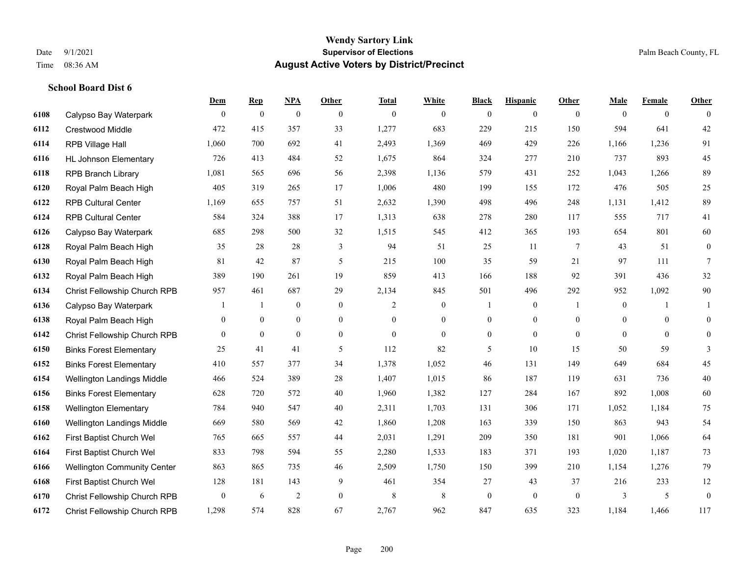|      |                                    | <b>Dem</b>       | <b>Rep</b>     | NPA              | <b>Other</b>   | <b>Total</b> | <b>White</b>     | <b>Black</b>     | <b>Hispanic</b>  | <b>Other</b> | <b>Male</b>    | <b>Female</b>  | <b>Other</b>     |
|------|------------------------------------|------------------|----------------|------------------|----------------|--------------|------------------|------------------|------------------|--------------|----------------|----------------|------------------|
| 6108 | Calypso Bay Waterpark              | $\overline{0}$   | $\mathbf{0}$   | $\boldsymbol{0}$ | $\overline{0}$ | $\theta$     | $\overline{0}$   | $\mathbf{0}$     | $\boldsymbol{0}$ | $\theta$     | $\mathbf{0}$   | $\overline{0}$ | $\theta$         |
| 6112 | <b>Crestwood Middle</b>            | 472              | 415            | 357              | 33             | 1,277        | 683              | 229              | 215              | 150          | 594            | 641            | 42               |
| 6114 | RPB Village Hall                   | 1,060            | 700            | 692              | 41             | 2,493        | 1,369            | 469              | 429              | 226          | 1,166          | 1,236          | 91               |
| 6116 | <b>HL Johnson Elementary</b>       | 726              | 413            | 484              | 52             | 1,675        | 864              | 324              | 277              | 210          | 737            | 893            | 45               |
| 6118 | <b>RPB Branch Library</b>          | 1,081            | 565            | 696              | 56             | 2,398        | 1,136            | 579              | 431              | 252          | 1,043          | 1,266          | 89               |
| 6120 | Royal Palm Beach High              | 405              | 319            | 265              | 17             | 1,006        | 480              | 199              | 155              | 172          | 476            | 505            | $25\,$           |
| 6122 | <b>RPB Cultural Center</b>         | 1,169            | 655            | 757              | 51             | 2,632        | 1,390            | 498              | 496              | 248          | 1,131          | 1,412          | 89               |
| 6124 | <b>RPB Cultural Center</b>         | 584              | 324            | 388              | 17             | 1,313        | 638              | 278              | 280              | 117          | 555            | 717            | 41               |
| 6126 | Calypso Bay Waterpark              | 685              | 298            | 500              | 32             | 1,515        | 545              | 412              | 365              | 193          | 654            | 801            | 60               |
| 6128 | Royal Palm Beach High              | 35               | 28             | 28               | 3              | 94           | 51               | 25               | 11               | 7            | 43             | 51             | $\boldsymbol{0}$ |
| 6130 | Royal Palm Beach High              | 81               | 42             | 87               | 5              | 215          | 100              | 35               | 59               | 21           | 97             | 111            | $\tau$           |
| 6132 | Royal Palm Beach High              | 389              | 190            | 261              | 19             | 859          | 413              | 166              | 188              | 92           | 391            | 436            | $32\,$           |
| 6134 | Christ Fellowship Church RPB       | 957              | 461            | 687              | 29             | 2,134        | 845              | 501              | 496              | 292          | 952            | 1,092          | $90\,$           |
| 6136 | Calypso Bay Waterpark              |                  | 1              | $\boldsymbol{0}$ | $\mathbf{0}$   | 2            | $\boldsymbol{0}$ |                  | $\boldsymbol{0}$ | -1           | $\mathbf{0}$   | 1              | 1                |
| 6138 | Royal Palm Beach High              | 0                | $\overline{0}$ | $\mathbf{0}$     | $\overline{0}$ | $\theta$     | $\overline{0}$   | $\boldsymbol{0}$ | $\overline{0}$   | $\theta$     | $\overline{0}$ | $\mathbf{0}$   | $\mathbf{0}$     |
| 6142 | Christ Fellowship Church RPB       | $\overline{0}$   | $\mathbf{0}$   | $\mathbf{0}$     | $\overline{0}$ | $\theta$     | $\overline{0}$   | $\mathbf{0}$     | $\mathbf{0}$     | $\theta$     | $\theta$       | $\theta$       | $\mathbf{0}$     |
| 6150 | <b>Binks Forest Elementary</b>     | 25               | 41             | 41               | 5              | 112          | 82               | 5                | 10               | 15           | 50             | 59             | 3                |
| 6152 | <b>Binks Forest Elementary</b>     | 410              | 557            | 377              | 34             | 1,378        | 1,052            | 46               | 131              | 149          | 649            | 684            | 45               |
| 6154 | Wellington Landings Middle         | 466              | 524            | 389              | 28             | 1,407        | 1,015            | 86               | 187              | 119          | 631            | 736            | 40               |
| 6156 | <b>Binks Forest Elementary</b>     | 628              | 720            | 572              | 40             | 1,960        | 1,382            | 127              | 284              | 167          | 892            | 1,008          | 60               |
| 6158 | <b>Wellington Elementary</b>       | 784              | 940            | 547              | 40             | 2,311        | 1,703            | 131              | 306              | 171          | 1,052          | 1,184          | 75               |
| 6160 | Wellington Landings Middle         | 669              | 580            | 569              | 42             | 1,860        | 1,208            | 163              | 339              | 150          | 863            | 943            | 54               |
| 6162 | First Baptist Church Wel           | 765              | 665            | 557              | 44             | 2,031        | 1,291            | 209              | 350              | 181          | 901            | 1,066          | 64               |
| 6164 | First Baptist Church Wel           | 833              | 798            | 594              | 55             | 2,280        | 1,533            | 183              | 371              | 193          | 1,020          | 1,187          | 73               |
| 6166 | <b>Wellington Community Center</b> | 863              | 865            | 735              | 46             | 2,509        | 1,750            | 150              | 399              | 210          | 1,154          | 1,276          | 79               |
| 6168 | First Baptist Church Wel           | 128              | 181            | 143              | 9              | 461          | 354              | 27               | 43               | 37           | 216            | 233            | 12               |
| 6170 | Christ Fellowship Church RPB       | $\boldsymbol{0}$ | 6              | $\overline{2}$   | $\overline{0}$ | 8            | $\,$ 8 $\,$      | $\boldsymbol{0}$ | $\mathbf{0}$     | $\mathbf{0}$ | 3              | 5              | $\boldsymbol{0}$ |
| 6172 | Christ Fellowship Church RPB       | 1,298            | 574            | 828              | 67             | 2,767        | 962              | 847              | 635              | 323          | 1,184          | 1,466          | 117              |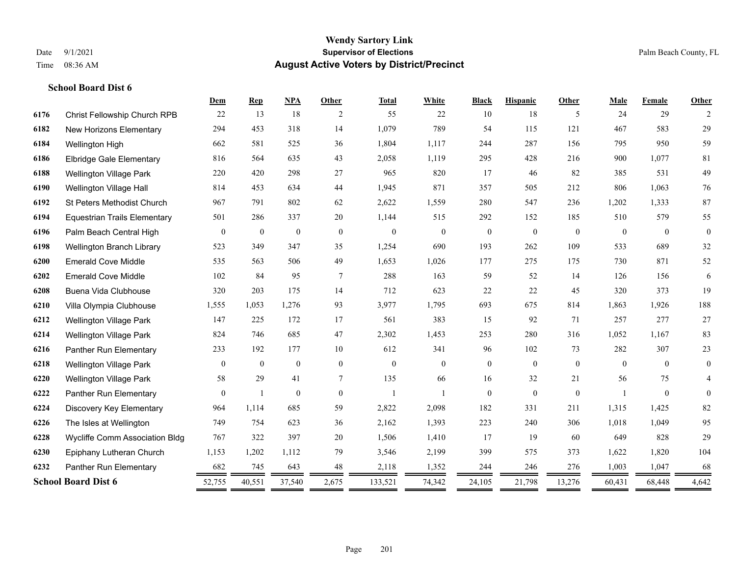#### **Wendy Sartory Link** Date 9/1/2021 **Supervisor of Elections** Palm Beach County, FL Time 08:36 AM **August Active Voters by District/Precinct**

**Dem Rep NPA Other Total White Black Hispanic Other Male Female Other**

# Christ Fellowship Church RPB 22 13 18 2 55 22 10 18 5 24 29 2 New Horizons Elementary 294 453 318 14 1,079 789 54 115 121 467 583 29 Wellington High 662 581 525 36 1,804 1,117 244 287 156 795 950 59 Elbridge Gale Elementary 816 564 635 43 2,058 1,119 295 428 216 900 1,077 81 Wellington Village Park 220 420 298 27 965 820 17 46 82 385 531 49 Wellington Village Hall 814 453 634 44 1,945 871 357 505 212 806 1,063 76 St Peters Methodist Church 967 791 802 62 2,622 1,559 280 547 236 1,202 1,333 87 Equestrian Trails Elementary 501 286 337 20 1,144 515 292 152 185 510 579 55 Palm Beach Central High 0 0 0 0 0 0 0 0 0 0 0 0 Wellington Branch Library 523 349 347 35 1,254 690 193 262 109 533 689 32 Emerald Cove Middle 535 563 506 49 1,653 1,026 177 275 175 730 871 52 Emerald Cove Middle 102 84 95 7 288 163 59 52 14 126 156 6 Buena Vida Clubhouse 320 203 175 14 712 623 22 22 45 320 373 19 Villa Olympia Clubhouse 1,555 1,053 1,276 93 3,977 1,795 693 675 814 1,863 1,926 188 Wellington Village Park 147 225 172 17 561 383 15 92 71 257 277 27 Wellington Village Park 824 746 685 47 2,302 1,453 253 280 316 1,052 1,167 83 Panther Run Elementary 233 192 177 10 612 341 96 102 73 282 307 23 Wellington Village Park 0 0 0 0 0 0 0 0 0 0 0 0 Wellington Village Park 58 29 41 7 135 66 16 32 21 56 75 4 Panther Run Elementary 0 1 0 0 1 1 0 0 0 1 0 0 Discovery Key Elementary 964 1,114 685 59 2,822 2,098 182 331 211 1,315 1,425 82 The Isles at Wellington 749 754 623 36 2,162 1,393 223 240 306 1,018 1,049 95 Wycliffe Comm Association Bldg 767 322 397 20 1,506 1,410 17 19 60 649 828 29 Epiphany Lutheran Church 1,153 1,202 1,112 79 3,546 2,199 399 575 373 1,622 1,820 104 Panther Run Elementary 682 745 643 48 2,118 1,352 244 246 276 1,003 1,047 68

**School Board Dist 6** 52,755 40,551 37,540 2,675 133,521 74,342 24,105 21,798 13,276 60,431 68,448 4,642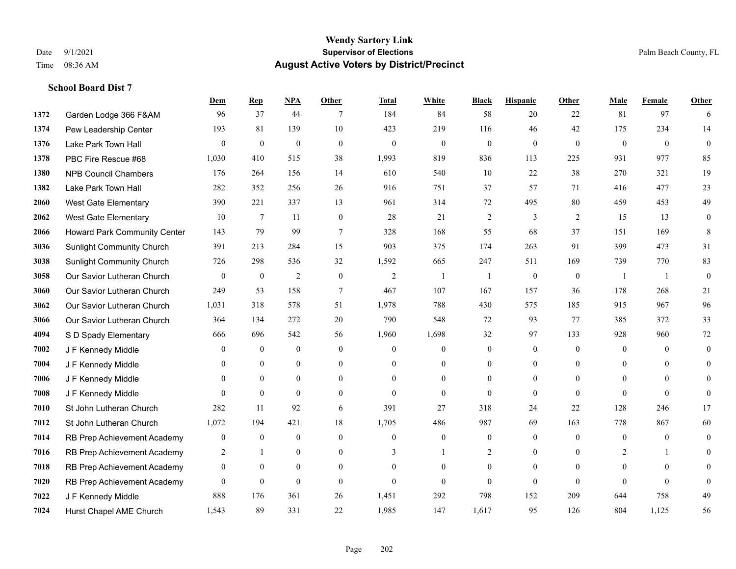|      |                                  | Dem              | <b>Rep</b>       | NPA              | <b>Other</b>   | <b>Total</b>   | <b>White</b>     | <b>Black</b>     | <b>Hispanic</b> | <b>Other</b> | <b>Male</b>    | <b>Female</b>  | <b>Other</b>     |
|------|----------------------------------|------------------|------------------|------------------|----------------|----------------|------------------|------------------|-----------------|--------------|----------------|----------------|------------------|
| 1372 | Garden Lodge 366 F&AM            | 96               | 37               | 44               | 7              | 184            | 84               | 58               | 20              | 22           | 81             | 97             | 6                |
| 1374 | Pew Leadership Center            | 193              | 81               | 139              | 10             | 423            | 219              | 116              | 46              | 42           | 175            | 234            | 14               |
| 1376 | Lake Park Town Hall              | $\theta$         | $\mathbf{0}$     | $\mathbf{0}$     | $\theta$       | $\mathbf{0}$   | $\overline{0}$   | $\mathbf{0}$     | $\mathbf{0}$    | $\theta$     | $\theta$       | $\theta$       | $\theta$         |
| 1378 | PBC Fire Rescue #68              | 1,030            | 410              | 515              | 38             | 1,993          | 819              | 836              | 113             | 225          | 931            | 977            | 85               |
| 1380 | <b>NPB Council Chambers</b>      | 176              | 264              | 156              | 14             | 610            | 540              | 10               | 22              | 38           | 270            | 321            | 19               |
| 1382 | Lake Park Town Hall              | 282              | 352              | 256              | 26             | 916            | 751              | 37               | 57              | 71           | 416            | 477            | 23               |
| 2060 | West Gate Elementary             | 390              | 221              | 337              | 13             | 961            | 314              | 72               | 495             | 80           | 459            | 453            | 49               |
| 2062 | <b>West Gate Elementary</b>      | 10               | 7                | 11               | $\overline{0}$ | 28             | 21               | $\overline{c}$   | 3               | 2            | 15             | 13             | $\mathbf{0}$     |
| 2066 | Howard Park Community Center     | 143              | 79               | 99               | $\overline{7}$ | 328            | 168              | 55               | 68              | 37           | 151            | 169            | 8                |
| 3036 | <b>Sunlight Community Church</b> | 391              | 213              | 284              | 15             | 903            | 375              | 174              | 263             | 91           | 399            | 473            | 31               |
| 3038 | <b>Sunlight Community Church</b> | 726              | 298              | 536              | 32             | 1,592          | 665              | 247              | 511             | 169          | 739            | 770            | 83               |
| 3058 | Our Savior Lutheran Church       | $\mathbf{0}$     | $\bf{0}$         | $\overline{2}$   | $\overline{0}$ | $\overline{2}$ | $\mathbf{1}$     | 1                | $\mathbf{0}$    | $\mathbf{0}$ | $\overline{1}$ | -1             | $\mathbf{0}$     |
| 3060 | Our Savior Lutheran Church       | 249              | 53               | 158              | $\tau$         | 467            | 107              | 167              | 157             | 36           | 178            | 268            | 21               |
| 3062 | Our Savior Lutheran Church       | 1,031            | 318              | 578              | 51             | 1,978          | 788              | 430              | 575             | 185          | 915            | 967            | 96               |
| 3066 | Our Savior Lutheran Church       | 364              | 134              | 272              | 20             | 790            | 548              | 72               | 93              | 77           | 385            | 372            | 33               |
| 4094 | S D Spady Elementary             | 666              | 696              | 542              | 56             | 1,960          | 1,698            | 32               | 97              | 133          | 928            | 960            | $72\,$           |
| 7002 | J F Kennedy Middle               | $\mathbf{0}$     | $\overline{0}$   | $\mathbf{0}$     | $\overline{0}$ | $\mathbf{0}$   | $\overline{0}$   | $\boldsymbol{0}$ | $\mathbf{0}$    | $\mathbf{0}$ | $\mathbf{0}$   | $\theta$       | $\mathbf{0}$     |
| 7004 | J F Kennedy Middle               | $\theta$         | $\overline{0}$   | $\overline{0}$   | $\overline{0}$ | $\theta$       | $\boldsymbol{0}$ | $\boldsymbol{0}$ | $\overline{0}$  | $\theta$     | $\theta$       | $\theta$       | $\overline{0}$   |
| 7006 | J F Kennedy Middle               | $\overline{0}$   | $\mathbf{0}$     | $\overline{0}$   | $\overline{0}$ | $\theta$       | $\overline{0}$   | $\mathbf{0}$     | $\mathbf{0}$    | $\theta$     | $\overline{0}$ | $\theta$       | $\theta$         |
| 7008 | J F Kennedy Middle               | $\theta$         | $\theta$         | $\theta$         | $\Omega$       | $\theta$       | $\overline{0}$   | $\mathbf{0}$     | $\theta$        | $\theta$     | $\theta$       | $\theta$       | $\theta$         |
| 7010 | St John Lutheran Church          | 282              | 11               | 92               | 6              | 391            | 27               | 318              | 24              | 22           | 128            | 246            | 17               |
| 7012 | St John Lutheran Church          | 1,072            | 194              | 421              | 18             | 1,705          | 486              | 987              | 69              | 163          | 778            | 867            | 60               |
| 7014 | RB Prep Achievement Academy      | $\boldsymbol{0}$ | $\boldsymbol{0}$ | $\mathbf{0}$     | $\overline{0}$ | $\mathbf{0}$   | $\boldsymbol{0}$ | $\boldsymbol{0}$ | $\mathbf{0}$    | $\theta$     | $\overline{0}$ | $\overline{0}$ | $\boldsymbol{0}$ |
| 7016 | RB Prep Achievement Academy      | 2                | $\mathbf{1}$     | $\overline{0}$   | $\Omega$       | 3              | $\mathbf{1}$     | $\overline{2}$   | $\mathbf{0}$    | $\theta$     | 2              | -1             | $\theta$         |
| 7018 | RB Prep Achievement Academy      | $\boldsymbol{0}$ | $\boldsymbol{0}$ | $\boldsymbol{0}$ | $\overline{0}$ | $\Omega$       | $\boldsymbol{0}$ | $\boldsymbol{0}$ | $\mathbf{0}$    | $\theta$     | $\mathbf{0}$   | $\theta$       | $\Omega$         |
| 7020 | RB Prep Achievement Academy      | $\mathbf{0}$     | $\mathbf{0}$     | $\mathbf{0}$     | $\Omega$       | $\theta$       | $\overline{0}$   | $\mathbf{0}$     | $\mathbf{0}$    | $\theta$     | $\theta$       | $\theta$       | $\mathbf{0}$     |
| 7022 | J F Kennedy Middle               | 888              | 176              | 361              | 26             | 1,451          | 292              | 798              | 152             | 209          | 644            | 758            | 49               |
| 7024 | Hurst Chapel AME Church          | 1,543            | 89               | 331              | 22             | 1,985          | 147              | 1,617            | 95              | 126          | 804            | 1,125          | 56               |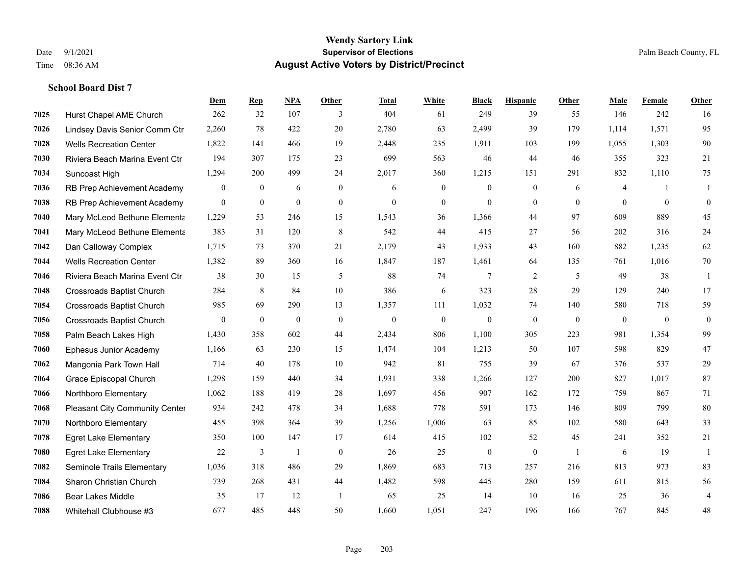|      |                                  | Dem            | <b>Rep</b>   | NPA          | <b>Other</b>   | <b>Total</b> | <b>White</b> | <b>Black</b>     | <b>Hispanic</b> | <b>Other</b>   | <b>Male</b>  | Female         | <b>Other</b>     |
|------|----------------------------------|----------------|--------------|--------------|----------------|--------------|--------------|------------------|-----------------|----------------|--------------|----------------|------------------|
| 7025 | Hurst Chapel AME Church          | 262            | 32           | 107          | 3              | 404          | 61           | 249              | 39              | 55             | 146          | 242            | 16               |
| 7026 | Lindsey Davis Senior Comm Ctr    | 2,260          | 78           | 422          | 20             | 2,780        | 63           | 2,499            | 39              | 179            | 1,114        | 1,571          | 95               |
| 7028 | <b>Wells Recreation Center</b>   | 1,822          | 141          | 466          | 19             | 2,448        | 235          | 1,911            | 103             | 199            | 1,055        | 1,303          | $90\,$           |
| 7030 | Riviera Beach Marina Event Ctr   | 194            | 307          | 175          | 23             | 699          | 563          | 46               | 44              | 46             | 355          | 323            | 21               |
| 7034 | Suncoast High                    | 1,294          | 200          | 499          | 24             | 2,017        | 360          | 1,215            | 151             | 291            | 832          | 1,110          | 75               |
| 7036 | RB Prep Achievement Academy      | $\mathbf{0}$   | $\mathbf{0}$ | 6            | $\mathbf{0}$   | 6            | $\mathbf{0}$ | $\mathbf{0}$     | $\mathbf{0}$    | 6              | 4            | -1             | 1                |
| 7038 | RB Prep Achievement Academy      | $\mathbf{0}$   | $\mathbf{0}$ | $\mathbf{0}$ | $\overline{0}$ | $\mathbf{0}$ | $\mathbf{0}$ | $\mathbf{0}$     | $\mathbf{0}$    | $\theta$       | $\theta$     | $\mathbf{0}$   | $\boldsymbol{0}$ |
| 7040 | Mary McLeod Bethune Elementa     | 1,229          | 53           | 246          | 15             | 1,543        | 36           | 1,366            | 44              | 97             | 609          | 889            | 45               |
| 7041 | Mary McLeod Bethune Elementa     | 383            | 31           | 120          | 8              | 542          | 44           | 415              | 27              | 56             | 202          | 316            | 24               |
| 7042 | Dan Calloway Complex             | 1,715          | 73           | 370          | 21             | 2,179        | 43           | 1,933            | 43              | 160            | 882          | 1,235          | 62               |
| 7044 | <b>Wells Recreation Center</b>   | 1,382          | 89           | 360          | 16             | 1,847        | 187          | 1,461            | 64              | 135            | 761          | 1,016          | 70               |
| 7046 | Riviera Beach Marina Event Ctr   | 38             | 30           | 15           | 5              | 88           | 74           | $\tau$           | $\overline{2}$  | 5              | 49           | 38             | 1                |
| 7048 | <b>Crossroads Baptist Church</b> | 284            | 8            | 84           | 10             | 386          | 6            | 323              | 28              | 29             | 129          | 240            | 17               |
| 7054 | <b>Crossroads Baptist Church</b> | 985            | 69           | 290          | 13             | 1,357        | 111          | 1,032            | 74              | 140            | 580          | 718            | 59               |
| 7056 | <b>Crossroads Baptist Church</b> | $\overline{0}$ | $\mathbf{0}$ | $\mathbf{0}$ | $\mathbf{0}$   | $\mathbf{0}$ | $\mathbf{0}$ | $\mathbf{0}$     | $\mathbf{0}$    | $\mathbf{0}$   | $\mathbf{0}$ | $\overline{0}$ | $\boldsymbol{0}$ |
| 7058 | Palm Beach Lakes High            | 1,430          | 358          | 602          | 44             | 2,434        | 806          | 1,100            | 305             | 223            | 981          | 1,354          | 99               |
| 7060 | Ephesus Junior Academy           | 1,166          | 63           | 230          | 15             | 1,474        | 104          | 1,213            | 50              | 107            | 598          | 829            | 47               |
| 7062 | Mangonia Park Town Hall          | 714            | 40           | 178          | 10             | 942          | 81           | 755              | 39              | 67             | 376          | 537            | 29               |
| 7064 | Grace Episcopal Church           | 1,298          | 159          | 440          | 34             | 1,931        | 338          | 1,266            | 127             | 200            | 827          | 1,017          | 87               |
| 7066 | Northboro Elementary             | 1,062          | 188          | 419          | 28             | 1,697        | 456          | 907              | 162             | 172            | 759          | 867            | 71               |
| 7068 | Pleasant City Community Center   | 934            | 242          | 478          | 34             | 1,688        | 778          | 591              | 173             | 146            | 809          | 799            | 80               |
| 7070 | Northboro Elementary             | 455            | 398          | 364          | 39             | 1,256        | 1,006        | 63               | 85              | 102            | 580          | 643            | 33               |
| 7078 | <b>Egret Lake Elementary</b>     | 350            | 100          | 147          | 17             | 614          | 415          | 102              | 52              | 45             | 241          | 352            | $21\,$           |
| 7080 | <b>Egret Lake Elementary</b>     | 22             | 3            | $\mathbf{1}$ | $\mathbf{0}$   | 26           | 25           | $\boldsymbol{0}$ | $\mathbf{0}$    | $\overline{1}$ | 6            | 19             | $\mathbf{1}$     |
| 7082 | Seminole Trails Elementary       | 1,036          | 318          | 486          | 29             | 1,869        | 683          | 713              | 257             | 216            | 813          | 973            | 83               |
| 7084 | Sharon Christian Church          | 739            | 268          | 431          | 44             | 1,482        | 598          | 445              | 280             | 159            | 611          | 815            | 56               |
| 7086 | <b>Bear Lakes Middle</b>         | 35             | 17           | 12           | -1             | 65           | 25           | 14               | 10              | 16             | 25           | 36             | $\overline{4}$   |
| 7088 | Whitehall Clubhouse #3           | 677            | 485          | 448          | 50             | 1,660        | 1,051        | 247              | 196             | 166            | 767          | 845            | 48               |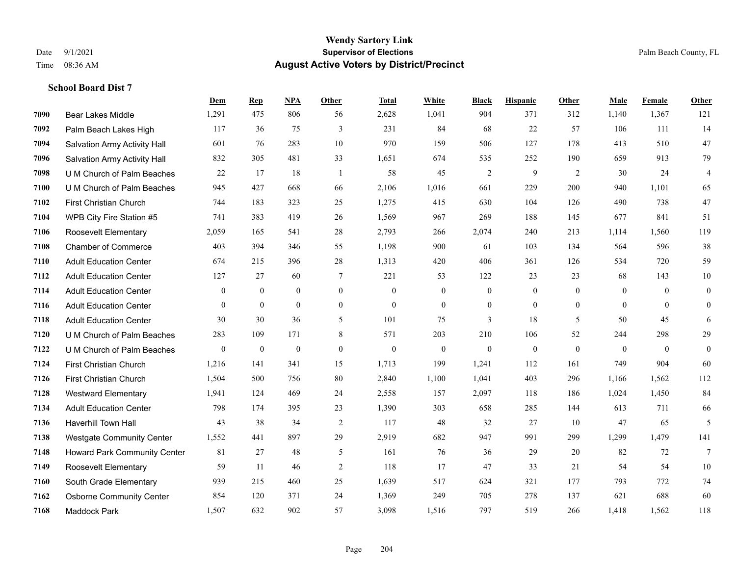|      |                                  | Dem            | <b>Rep</b>       | NPA              | <b>Other</b>   | <b>Total</b> | White            | <b>Black</b>     | <b>Hispanic</b> | Other        | <b>Male</b>    | Female       | <b>Other</b>     |
|------|----------------------------------|----------------|------------------|------------------|----------------|--------------|------------------|------------------|-----------------|--------------|----------------|--------------|------------------|
| 7090 | Bear Lakes Middle                | 1,291          | 475              | 806              | 56             | 2,628        | 1,041            | 904              | 371             | 312          | 1,140          | 1,367        | 121              |
| 7092 | Palm Beach Lakes High            | 117            | 36               | 75               | 3              | 231          | 84               | 68               | 22              | 57           | 106            | 111          | 14               |
| 7094 | Salvation Army Activity Hall     | 601            | 76               | 283              | 10             | 970          | 159              | 506              | 127             | 178          | 413            | 510          | 47               |
| 7096 | Salvation Army Activity Hall     | 832            | 305              | 481              | 33             | 1,651        | 674              | 535              | 252             | 190          | 659            | 913          | 79               |
| 7098 | U M Church of Palm Beaches       | 22             | 17               | 18               | $\overline{1}$ | 58           | 45               | $\overline{c}$   | 9               | 2            | 30             | 24           | $\overline{4}$   |
| 7100 | U M Church of Palm Beaches       | 945            | 427              | 668              | 66             | 2,106        | 1,016            | 661              | 229             | 200          | 940            | 1,101        | 65               |
| 7102 | First Christian Church           | 744            | 183              | 323              | 25             | 1,275        | 415              | 630              | 104             | 126          | 490            | 738          | 47               |
| 7104 | WPB City Fire Station #5         | 741            | 383              | 419              | 26             | 1,569        | 967              | 269              | 188             | 145          | 677            | 841          | 51               |
| 7106 | <b>Roosevelt Elementary</b>      | 2,059          | 165              | 541              | 28             | 2,793        | 266              | 2,074            | 240             | 213          | 1,114          | 1,560        | 119              |
| 7108 | <b>Chamber of Commerce</b>       | 403            | 394              | 346              | 55             | 1,198        | 900              | 61               | 103             | 134          | 564            | 596          | $38\,$           |
| 7110 | <b>Adult Education Center</b>    | 674            | 215              | 396              | 28             | 1,313        | 420              | 406              | 361             | 126          | 534            | 720          | 59               |
| 7112 | <b>Adult Education Center</b>    | 127            | 27               | 60               | $\overline{7}$ | 221          | 53               | 122              | 23              | 23           | 68             | 143          | 10               |
| 7114 | <b>Adult Education Center</b>    | $\mathbf{0}$   | $\boldsymbol{0}$ | $\boldsymbol{0}$ | $\overline{0}$ | $\mathbf{0}$ | $\boldsymbol{0}$ | $\boldsymbol{0}$ | $\mathbf{0}$    | $\theta$     | $\overline{0}$ | $\theta$     | $\boldsymbol{0}$ |
| 7116 | <b>Adult Education Center</b>    | $\overline{0}$ | $\overline{0}$   | $\overline{0}$   | $\overline{0}$ | $\mathbf{0}$ | $\overline{0}$   | $\boldsymbol{0}$ | $\mathbf{0}$    | $\mathbf{0}$ | $\mathbf{0}$   | $\mathbf{0}$ | $\overline{0}$   |
| 7118 | <b>Adult Education Center</b>    | 30             | 30               | 36               | 5              | 101          | 75               | 3                | 18              | 5            | 50             | 45           | 6                |
| 7120 | U M Church of Palm Beaches       | 283            | 109              | 171              | 8              | 571          | 203              | 210              | 106             | 52           | 244            | 298          | 29               |
| 7122 | U M Church of Palm Beaches       | $\mathbf{0}$   | $\boldsymbol{0}$ | $\boldsymbol{0}$ | $\overline{0}$ | $\mathbf{0}$ | $\boldsymbol{0}$ | $\mathbf{0}$     | $\mathbf{0}$    | $\theta$     | $\mathbf{0}$   | $\mathbf{0}$ | $\mathbf{0}$     |
| 7124 | <b>First Christian Church</b>    | 1,216          | 141              | 341              | 15             | 1.713        | 199              | 1,241            | 112             | 161          | 749            | 904          | 60               |
| 7126 | First Christian Church           | 1,504          | 500              | 756              | 80             | 2,840        | 1,100            | 1,041            | 403             | 296          | 1,166          | 1,562        | 112              |
| 7128 | <b>Westward Elementary</b>       | 1,941          | 124              | 469              | 24             | 2,558        | 157              | 2,097            | 118             | 186          | 1,024          | 1,450        | 84               |
| 7134 | <b>Adult Education Center</b>    | 798            | 174              | 395              | 23             | 1,390        | 303              | 658              | 285             | 144          | 613            | 711          | 66               |
| 7136 | Haverhill Town Hall              | 43             | 38               | 34               | $\sqrt{2}$     | 117          | 48               | 32               | 27              | 10           | 47             | 65           | 5                |
| 7138 | <b>Westgate Community Center</b> | 1,552          | 441              | 897              | 29             | 2,919        | 682              | 947              | 991             | 299          | 1,299          | 1,479        | 141              |
| 7148 | Howard Park Community Center     | 81             | 27               | 48               | 5              | 161          | 76               | 36               | 29              | 20           | 82             | 72           | 7                |
| 7149 | Roosevelt Elementary             | 59             | 11               | 46               | 2              | 118          | 17               | 47               | 33              | 21           | 54             | 54           | 10               |
| 7160 | South Grade Elementary           | 939            | 215              | 460              | 25             | 1,639        | 517              | 624              | 321             | 177          | 793            | 772          | $74\,$           |
| 7162 | <b>Osborne Community Center</b>  | 854            | 120              | 371              | 24             | 1,369        | 249              | 705              | 278             | 137          | 621            | 688          | 60               |
| 7168 | <b>Maddock Park</b>              | 1,507          | 632              | 902              | 57             | 3,098        | 1,516            | 797              | 519             | 266          | 1,418          | 1,562        | 118              |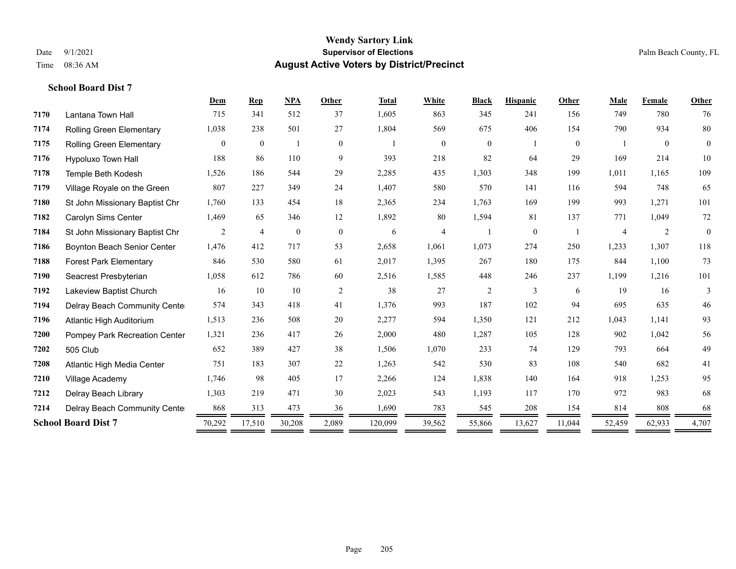|      |                                    | Dem            | <b>Rep</b>       | <b>NPA</b>       | Other          | <b>Total</b> | White          | <b>Black</b>     | <b>Hispanic</b> | Other          | Male           | Female         | Other          |
|------|------------------------------------|----------------|------------------|------------------|----------------|--------------|----------------|------------------|-----------------|----------------|----------------|----------------|----------------|
| 7170 | Lantana Town Hall                  | 715            | 341              | 512              | 37             | 1,605        | 863            | 345              | 241             | 156            | 749            | 780            | 76             |
| 7174 | Rolling Green Elementary           | 1,038          | 238              | 501              | 27             | 1,804        | 569            | 675              | 406             | 154            | 790            | 934            | 80             |
| 7175 | <b>Rolling Green Elementary</b>    | 0              | $\boldsymbol{0}$ |                  | $\overline{0}$ |              | $\overline{0}$ | $\boldsymbol{0}$ |                 | $\overline{0}$ |                | $\overline{0}$ | $\overline{0}$ |
| 7176 | Hypoluxo Town Hall                 | 188            | 86               | 110              | 9              | 393          | 218            | 82               | 64              | 29             | 169            | 214            | $10\,$         |
| 7178 | Temple Beth Kodesh                 | 1,526          | 186              | 544              | 29             | 2,285        | 435            | 1,303            | 348             | 199            | 1,011          | 1,165          | 109            |
| 7179 | Village Royale on the Green        | 807            | 227              | 349              | 24             | 1,407        | 580            | 570              | 141             | 116            | 594            | 748            | 65             |
| 7180 | St John Missionary Baptist Chr     | 1,760          | 133              | 454              | 18             | 2,365        | 234            | 1,763            | 169             | 199            | 993            | 1,271          | 101            |
| 7182 | Carolyn Sims Center                | 1,469          | 65               | 346              | 12             | 1,892        | 80             | 1,594            | 81              | 137            | 771            | 1,049          | 72             |
| 7184 | St John Missionary Baptist Chr     | $\overline{2}$ | $\overline{4}$   | $\boldsymbol{0}$ | $\overline{0}$ | 6            | $\overline{4}$ |                  | $\theta$        |                | $\overline{4}$ | 2              | $\overline{0}$ |
| 7186 | <b>Boynton Beach Senior Center</b> | 1,476          | 412              | 717              | 53             | 2,658        | 1,061          | 1,073            | 274             | 250            | 1,233          | 1,307          | 118            |
| 7188 | <b>Forest Park Elementary</b>      | 846            | 530              | 580              | 61             | 2,017        | 1,395          | 267              | 180             | 175            | 844            | 1,100          | 73             |
| 7190 | Seacrest Presbyterian              | 1,058          | 612              | 786              | 60             | 2,516        | 1,585          | 448              | 246             | 237            | 1,199          | 1,216          | 101            |
| 7192 | Lakeview Baptist Church            | 16             | 10               | 10               | 2              | 38           | 27             | 2                | 3               | 6              | 19             | 16             | 3              |
| 7194 | Delray Beach Community Cente       | 574            | 343              | 418              | 41             | 1,376        | 993            | 187              | 102             | 94             | 695            | 635            | 46             |
| 7196 | Atlantic High Auditorium           | 1,513          | 236              | 508              | 20             | 2,277        | 594            | 1,350            | 121             | 212            | 1,043          | 1,141          | 93             |
| 7200 | Pompey Park Recreation Center      | 1,321          | 236              | 417              | 26             | 2,000        | 480            | 1,287            | 105             | 128            | 902            | 1,042          | 56             |
| 7202 | 505 Club                           | 652            | 389              | 427              | 38             | 1,506        | 1,070          | 233              | 74              | 129            | 793            | 664            | 49             |
| 7208 | Atlantic High Media Center         | 751            | 183              | 307              | 22             | 1,263        | 542            | 530              | 83              | 108            | 540            | 682            | 41             |
| 7210 | Village Academy                    | 1,746          | 98               | 405              | 17             | 2,266        | 124            | 1,838            | 140             | 164            | 918            | 1,253          | 95             |
| 7212 | Delray Beach Library               | 1,303          | 219              | 471              | 30             | 2,023        | 543            | 1,193            | 117             | 170            | 972            | 983            | 68             |
| 7214 | Delray Beach Community Cente       | 868            | 313              | 473              | 36             | 1,690        | 783            | 545              | 208             | 154            | 814            | 808            | 68             |
|      | <b>School Board Dist 7</b>         | 70,292         | 17,510           | 30,208           | 2,089          | 120,099      | 39,562         | 55,866           | 13,627          | 11,044         | 52,459         | 62,933         | 4,707          |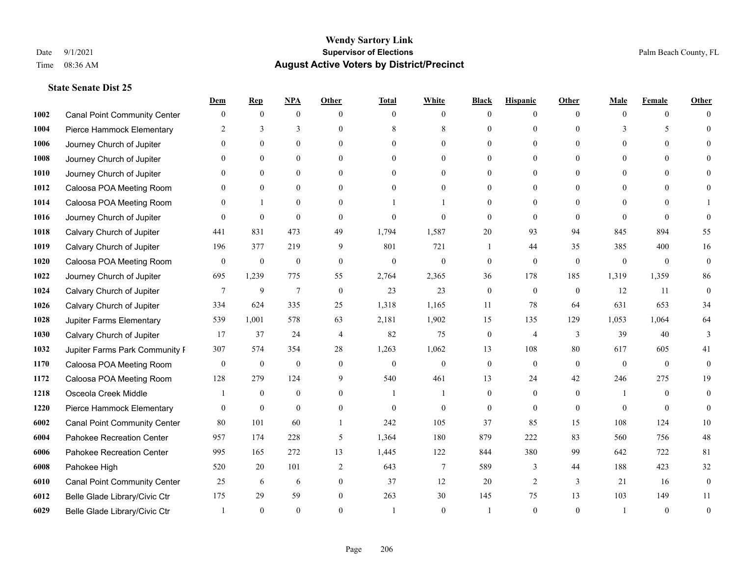|      |                                     | Dem              | <b>Rep</b>       | NPA              | <b>Other</b>   | <b>Total</b>   | <b>White</b>     | <b>Black</b>     | <b>Hispanic</b> | <b>Other</b> | <b>Male</b>  | <b>Female</b>  | <b>Other</b>     |
|------|-------------------------------------|------------------|------------------|------------------|----------------|----------------|------------------|------------------|-----------------|--------------|--------------|----------------|------------------|
| 1002 | <b>Canal Point Community Center</b> | $\mathbf{0}$     | $\mathbf{0}$     | $\mathbf{0}$     | $\Omega$       | $\Omega$       | $\theta$         | $\theta$         | $\mathbf{0}$    | $\Omega$     | $\theta$     | $\theta$       | $\Omega$         |
| 1004 | Pierce Hammock Elementary           | 2                | 3                | 3                | $\Omega$       | 8              | 8                | $\theta$         | $\mathbf{0}$    | $\Omega$     | 3            | 5              | $\Omega$         |
| 1006 | Journey Church of Jupiter           | $\Omega$         | $\theta$         | $\theta$         | $\Omega$       | $\Omega$       | $\Omega$         | $\Omega$         | $\theta$        | $\Omega$     | $\Omega$     | $\Omega$       |                  |
| 1008 | Journey Church of Jupiter           |                  | $\mathbf{0}$     | $\mathbf{0}$     | $\mathbf{0}$   | $\theta$       | $\mathbf{0}$     | $\overline{0}$   | $\mathbf{0}$    | $\Omega$     | $\mathbf{0}$ | $\theta$       |                  |
| 1010 | Journey Church of Jupiter           | 0                | $\theta$         | $\mathbf{0}$     | $\Omega$       | $\Omega$       | $\overline{0}$   | $\Omega$         | $\theta$        | $\Omega$     | $\theta$     | $\Omega$       | $\Omega$         |
| 1012 | Caloosa POA Meeting Room            |                  | $\mathbf{0}$     | $\mathbf{0}$     | $\Omega$       | $\theta$       | $\mathbf{0}$     | $\Omega$         | $\mathbf{0}$    | $\Omega$     | $\theta$     | $\Omega$       |                  |
| 1014 | Caloosa POA Meeting Room            | $\Omega$         | $\mathbf{1}$     | $\mathbf{0}$     | $\theta$       |                |                  | $\overline{0}$   | $\mathbf{0}$    | $\theta$     | $\theta$     | $\theta$       |                  |
| 1016 | Journey Church of Jupiter           | $\Omega$         | $\mathbf{0}$     | $\theta$         | $\Omega$       | $\theta$       | $\theta$         | $\theta$         | $\theta$        | $\Omega$     | $\Omega$     | $\Omega$       | $\Omega$         |
| 1018 | Calvary Church of Jupiter           | 441              | 831              | 473              | 49             | 1,794          | 1,587            | 20               | 93              | 94           | 845          | 894            | 55               |
| 1019 | Calvary Church of Jupiter           | 196              | 377              | 219              | 9              | 801            | 721              | 1                | 44              | 35           | 385          | 400            | 16               |
| 1020 | Caloosa POA Meeting Room            | $\mathbf{0}$     | $\boldsymbol{0}$ | $\boldsymbol{0}$ | $\mathbf{0}$   | $\mathbf{0}$   | $\mathbf{0}$     | $\mathbf{0}$     | $\mathbf{0}$    | $\theta$     | $\mathbf{0}$ | $\overline{0}$ | $\mathbf{0}$     |
| 1022 | Journey Church of Jupiter           | 695              | 1,239            | 775              | 55             | 2,764          | 2,365            | 36               | 178             | 185          | 1,319        | 1,359          | 86               |
| 1024 | Calvary Church of Jupiter           | 7                | 9                | $\overline{7}$   | $\theta$       | 23             | 23               | $\mathbf{0}$     | $\mathbf{0}$    | $\theta$     | 12           | 11             | $\mathbf{0}$     |
| 1026 | Calvary Church of Jupiter           | 334              | 624              | 335              | 25             | 1,318          | 1,165            | 11               | 78              | 64           | 631          | 653            | 34               |
| 1028 | Jupiter Farms Elementary            | 539              | 1,001            | 578              | 63             | 2,181          | 1,902            | 15               | 135             | 129          | 1,053        | 1,064          | 64               |
| 1030 | Calvary Church of Jupiter           | 17               | 37               | 24               | $\overline{4}$ | 82             | 75               | $\mathbf{0}$     | $\overline{4}$  | 3            | 39           | 40             | 3                |
| 1032 | Jupiter Farms Park Community I      | 307              | 574              | 354              | 28             | 1,263          | 1,062            | 13               | 108             | 80           | 617          | 605            | 41               |
| 1170 | Caloosa POA Meeting Room            | $\boldsymbol{0}$ | $\boldsymbol{0}$ | $\boldsymbol{0}$ | $\theta$       | $\mathbf{0}$   | $\boldsymbol{0}$ | $\boldsymbol{0}$ | $\mathbf{0}$    | $\theta$     | $\theta$     | $\theta$       | $\mathbf{0}$     |
| 1172 | Caloosa POA Meeting Room            | 128              | 279              | 124              | 9              | 540            | 461              | 13               | 24              | 42           | 246          | 275            | 19               |
| 1218 | Osceola Creek Middle                |                  | $\mathbf{0}$     | $\mathbf{0}$     | $\theta$       | $\overline{1}$ |                  | $\mathbf{0}$     | $\mathbf{0}$    | $\theta$     | -1           | $\theta$       | $\theta$         |
| 1220 | Pierce Hammock Elementary           | $\Omega$         | $\mathbf{0}$     | $\theta$         | $\Omega$       | $\theta$       | $\theta$         | $\theta$         | $\theta$        | $\Omega$     | $\Omega$     | $\Omega$       | $\theta$         |
| 6002 | <b>Canal Point Community Center</b> | 80               | 101              | 60               |                | 242            | 105              | 37               | 85              | 15           | 108          | 124            | $10\,$           |
| 6004 | Pahokee Recreation Center           | 957              | 174              | 228              | 5              | 1,364          | 180              | 879              | 222             | 83           | 560          | 756            | $48\,$           |
| 6006 | Pahokee Recreation Center           | 995              | 165              | 272              | 13             | 1,445          | 122              | 844              | 380             | 99           | 642          | 722            | 81               |
| 6008 | Pahokee High                        | 520              | 20               | 101              | $\overline{2}$ | 643            | $\tau$           | 589              | 3               | 44           | 188          | 423            | $32\,$           |
| 6010 | <b>Canal Point Community Center</b> | 25               | 6                | 6                | $\mathbf{0}$   | 37             | 12               | 20               | 2               | 3            | 21           | 16             | $\boldsymbol{0}$ |
| 6012 | Belle Glade Library/Civic Ctr       | 175              | 29               | 59               | $\theta$       | 263            | 30               | 145              | 75              | 13           | 103          | 149            | 11               |
| 6029 | Belle Glade Library/Civic Ctr       |                  | $\Omega$         | $\theta$         | $\Omega$       |                | $\theta$         |                  | $\theta$        | $\Omega$     |              | $\Omega$       | $\theta$         |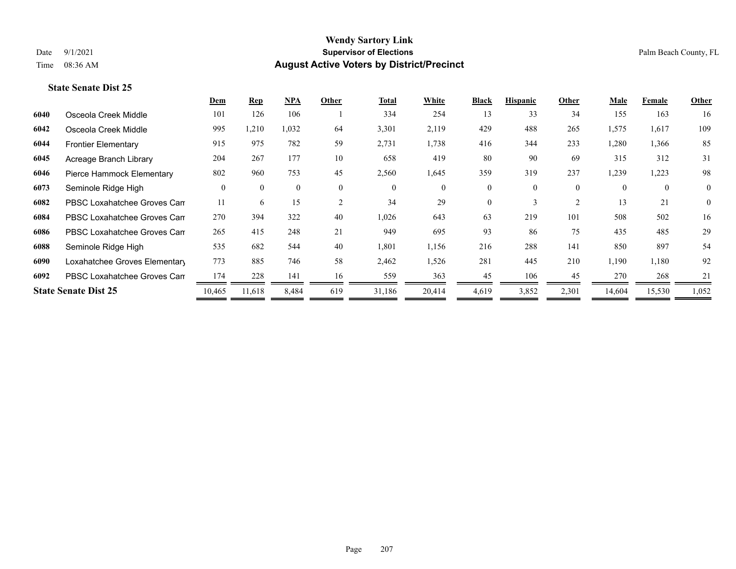|      |                               | <b>Dem</b> | Rep          | NPA          | Other        | <b>Total</b> | White  | <b>Black</b> | <b>Hispanic</b> | Other          | Male     | Female       | <b>Other</b>   |
|------|-------------------------------|------------|--------------|--------------|--------------|--------------|--------|--------------|-----------------|----------------|----------|--------------|----------------|
| 6040 | Osceola Creek Middle          | 101        | 126          | 106          |              | 334          | 254    | 13           | 33              | 34             | 155      | 163          | 16             |
| 6042 | Osceola Creek Middle          | 995        | 1,210        | 1,032        | 64           | 3,301        | 2,119  | 429          | 488             | 265            | 1,575    | 1,617        | 109            |
| 6044 | <b>Frontier Elementary</b>    | 915        | 975          | 782          | 59           | 2,731        | 1,738  | 416          | 344             | 233            | 1,280    | 1,366        | 85             |
| 6045 | Acreage Branch Library        | 204        | 267          | 177          | 10           | 658          | 419    | 80           | 90              | 69             | 315      | 312          | 31             |
| 6046 | Pierce Hammock Elementary     | 802        | 960          | 753          | 45           | 2,560        | 1,645  | 359          | 319             | 237            | 1,239    | 1,223        | 98             |
| 6073 | Seminole Ridge High           | $\theta$   | $\mathbf{0}$ | $\mathbf{0}$ | $\mathbf{0}$ | $\mathbf{0}$ | 0      | $\mathbf{0}$ | 0               | $\overline{0}$ | $\theta$ | $\mathbf{0}$ | $\overline{0}$ |
| 6082 | PBSC Loxahatchee Groves Can   | 11         | 6            | 15           | 2            | 34           | 29     | $\theta$     | 3               | 2              | 13       | 21           | $\overline{0}$ |
| 6084 | PBSC Loxahatchee Groves Can   | 270        | 394          | 322          | 40           | 1,026        | 643    | 63           | 219             | 101            | 508      | 502          | 16             |
| 6086 | PBSC Loxahatchee Groves Can   | 265        | 415          | 248          | 21           | 949          | 695    | 93           | 86              | 75             | 435      | 485          | 29             |
| 6088 | Seminole Ridge High           | 535        | 682          | 544          | 40           | 1,801        | 1,156  | 216          | 288             | 141            | 850      | 897          | 54             |
| 6090 | Loxahatchee Groves Elementary | 773        | 885          | 746          | 58           | 2,462        | 1,526  | 281          | 445             | 210            | 1,190    | 1,180        | 92             |
| 6092 | PBSC Loxahatchee Groves Can   | 174        | 228          | 141          | 16           | 559          | 363    | 45           | 106             | 45             | 270      | 268          | 21             |
|      | <b>State Senate Dist 25</b>   | 10,465     | 11,618       | 8,484        | 619          | 31,186       | 20,414 | 4,619        | 3,852           | 2,301          | 14,604   | 15,530       | 1,052          |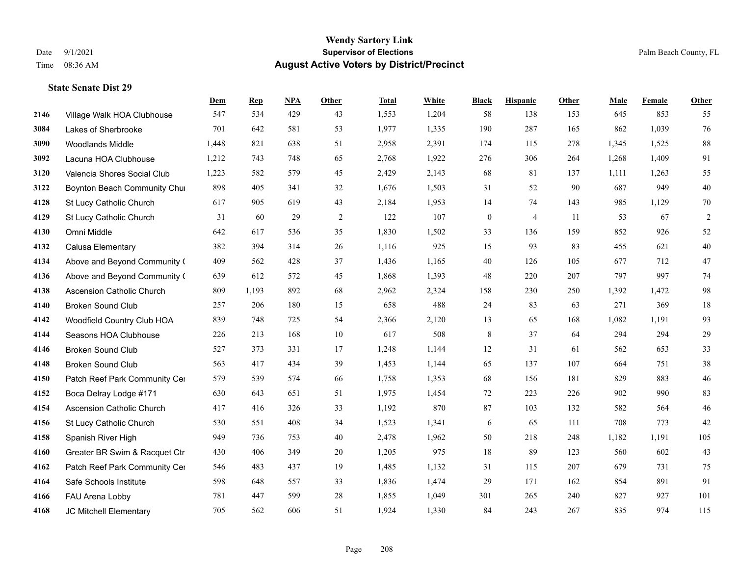|      |                                  | Dem   | <b>Rep</b> | NPA | <b>Other</b> | <b>Total</b> | <b>White</b> | <b>Black</b>     | <b>Hispanic</b> | <b>Other</b> | <b>Male</b> | <b>Female</b> | <b>Other</b>   |
|------|----------------------------------|-------|------------|-----|--------------|--------------|--------------|------------------|-----------------|--------------|-------------|---------------|----------------|
| 2146 | Village Walk HOA Clubhouse       | 547   | 534        | 429 | 43           | 1,553        | 1,204        | 58               | 138             | 153          | 645         | 853           | 55             |
| 3084 | Lakes of Sherbrooke              | 701   | 642        | 581 | 53           | 1,977        | 1,335        | 190              | 287             | 165          | 862         | 1,039         | 76             |
| 3090 | <b>Woodlands Middle</b>          | 1,448 | 821        | 638 | 51           | 2,958        | 2,391        | 174              | 115             | 278          | 1,345       | 1,525         | $88\,$         |
| 3092 | Lacuna HOA Clubhouse             | 1,212 | 743        | 748 | 65           | 2,768        | 1,922        | 276              | 306             | 264          | 1,268       | 1,409         | 91             |
| 3120 | Valencia Shores Social Club      | 1,223 | 582        | 579 | 45           | 2,429        | 2,143        | 68               | 81              | 137          | 1,111       | 1,263         | 55             |
| 3122 | Boynton Beach Community Chur     | 898   | 405        | 341 | 32           | 1,676        | 1,503        | 31               | 52              | 90           | 687         | 949           | $40\,$         |
| 4128 | St Lucy Catholic Church          | 617   | 905        | 619 | 43           | 2,184        | 1,953        | 14               | 74              | 143          | 985         | 1,129         | $70\,$         |
| 4129 | St Lucy Catholic Church          | 31    | 60         | 29  | 2            | 122          | 107          | $\boldsymbol{0}$ | $\overline{4}$  | 11           | 53          | 67            | $\overline{c}$ |
| 4130 | Omni Middle                      | 642   | 617        | 536 | 35           | 1,830        | 1,502        | 33               | 136             | 159          | 852         | 926           | 52             |
| 4132 | Calusa Elementary                | 382   | 394        | 314 | 26           | 1,116        | 925          | 15               | 93              | 83           | 455         | 621           | $40\,$         |
| 4134 | Above and Beyond Community (     | 409   | 562        | 428 | 37           | 1,436        | 1,165        | 40               | 126             | 105          | 677         | 712           | $47\,$         |
| 4136 | Above and Beyond Community (     | 639   | 612        | 572 | 45           | 1,868        | 1,393        | 48               | 220             | 207          | 797         | 997           | $74\,$         |
| 4138 | Ascension Catholic Church        | 809   | 1,193      | 892 | 68           | 2,962        | 2,324        | 158              | 230             | 250          | 1,392       | 1,472         | 98             |
| 4140 | <b>Broken Sound Club</b>         | 257   | 206        | 180 | 15           | 658          | 488          | 24               | 83              | 63           | 271         | 369           | $18\,$         |
| 4142 | Woodfield Country Club HOA       | 839   | 748        | 725 | 54           | 2,366        | 2,120        | 13               | 65              | 168          | 1,082       | 1,191         | 93             |
| 4144 | Seasons HOA Clubhouse            | 226   | 213        | 168 | 10           | 617          | 508          | 8                | 37              | 64           | 294         | 294           | 29             |
| 4146 | <b>Broken Sound Club</b>         | 527   | 373        | 331 | 17           | 1,248        | 1,144        | 12               | 31              | 61           | 562         | 653           | 33             |
| 4148 | <b>Broken Sound Club</b>         | 563   | 417        | 434 | 39           | 1,453        | 1,144        | 65               | 137             | 107          | 664         | 751           | $38\,$         |
| 4150 | Patch Reef Park Community Cer    | 579   | 539        | 574 | 66           | 1,758        | 1,353        | 68               | 156             | 181          | 829         | 883           | $46\,$         |
| 4152 | Boca Delray Lodge #171           | 630   | 643        | 651 | 51           | 1,975        | 1,454        | 72               | 223             | 226          | 902         | 990           | 83             |
| 4154 | <b>Ascension Catholic Church</b> | 417   | 416        | 326 | 33           | 1,192        | 870          | 87               | 103             | 132          | 582         | 564           | $46\,$         |
| 4156 | St Lucy Catholic Church          | 530   | 551        | 408 | 34           | 1,523        | 1,341        | 6                | 65              | 111          | 708         | 773           | 42             |
| 4158 | Spanish River High               | 949   | 736        | 753 | 40           | 2,478        | 1,962        | 50               | 218             | 248          | 1,182       | 1,191         | 105            |
| 4160 | Greater BR Swim & Racquet Ctr    | 430   | 406        | 349 | 20           | 1,205        | 975          | 18               | 89              | 123          | 560         | 602           | 43             |
| 4162 | Patch Reef Park Community Cer    | 546   | 483        | 437 | 19           | 1,485        | 1,132        | 31               | 115             | 207          | 679         | 731           | $75\,$         |
| 4164 | Safe Schools Institute           | 598   | 648        | 557 | 33           | 1,836        | 1,474        | 29               | 171             | 162          | 854         | 891           | 91             |
| 4166 | FAU Arena Lobby                  | 781   | 447        | 599 | 28           | 1,855        | 1,049        | 301              | 265             | 240          | 827         | 927           | 101            |
| 4168 | JC Mitchell Elementary           | 705   | 562        | 606 | 51           | 1,924        | 1,330        | 84               | 243             | 267          | 835         | 974           | 115            |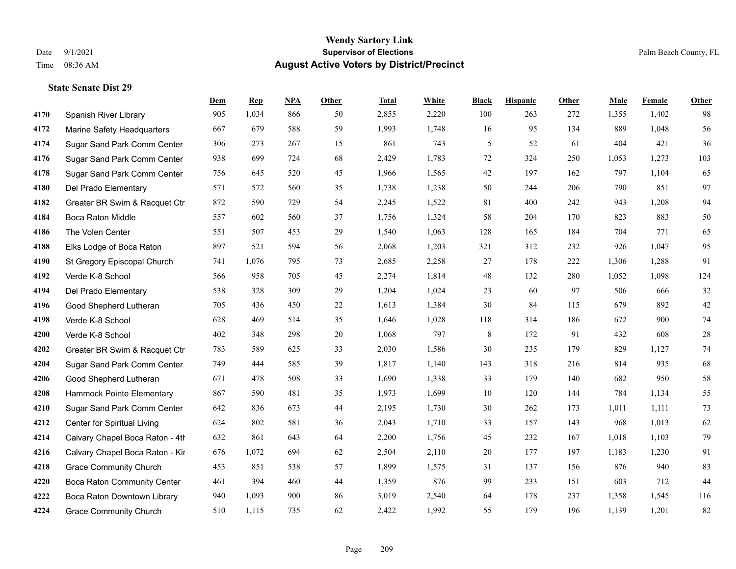**State Senate Dist 29**

#### **Wendy Sartory Link** Date 9/1/2021 **Supervisor of Elections** Palm Beach County, FL Time 08:36 AM **August Active Voters by District/Precinct**

# **Dem Rep NPA Other Total White Black Hispanic Other Male Female Other** Spanish River Library 905 1,034 866 50 2,855 2,220 100 263 272 1,355 1,402 98 Marine Safety Headquarters 667 679 588 59 1,993 1,748 16 95 134 889 1,048 56 Sugar Sand Park Comm Center 306 273 267 15 861 743 5 52 61 404 421 36 Sugar Sand Park Comm Center 938 699 724 68 2,429 1,783 72 324 250 1,053 1,273 103 Sugar Sand Park Comm Center 756 645 520 45 1,966 1,565 42 197 162 797 1,104 65 Del Prado Elementary 571 572 560 35 1,738 1,238 50 244 206 790 851 97 Greater BR Swim & Racquet Ctr 872 590 729 54 2,245 1,522 81 400 242 943 1,208 94 Boca Raton Middle 557 602 560 37 1,756 1,324 58 204 170 823 883 50 The Volen Center 551 507 453 29 1,540 1,063 128 165 184 704 771 65 Elks Lodge of Boca Raton 897 521 594 56 2,068 1,203 321 312 232 926 1,047 95 St Gregory Episcopal Church 741 1,076 795 73 2,685 2,258 27 178 222 1,306 1,288 91 Verde K-8 School 566 958 705 45 2,274 1,814 48 132 280 1,052 1,098 124 Del Prado Elementary 538 328 309 29 1,204 1,024 23 60 97 506 666 32 Good Shepherd Lutheran 705 436 450 22 1,613 1,384 30 84 115 679 892 42 Verde K-8 School 628 469 514 35 1,646 1,028 118 314 186 672 900 74 Verde K-8 School 402 348 298 20 1,068 797 8 172 91 432 608 28 Greater BR Swim & Racquet Ctr 783 589 625 33 2,030 1,586 30 235 179 829 1,127 74 Sugar Sand Park Comm Center 749 444 585 39 1,817 1,140 143 318 216 814 935 68 Good Shepherd Lutheran 671 478 508 33 1,690 1,338 33 179 140 682 950 58 Hammock Pointe Elementary 867 590 481 35 1,973 1,699 10 120 144 784 1,134 55 Sugar Sand Park Comm Center 642 836 673 44 2,195 1,730 30 262 173 1,011 1,111 73 Center for Spiritual Living 624 802 581 36 2,043 1,710 33 157 143 968 1,013 62 **4214** Calvary Chapel Boca Raton - 4th 861 643 64 2,200 1,756 45 232 167 1,018 1,103 79 Calvary Chapel Boca Raton - Kir 676 1,072 694 62 2,504 2,110 20 177 197 1,183 1,230 91 Grace Community Church 453 851 538 57 1,899 1,575 31 137 156 876 940 83 Boca Raton Community Center 461 394 460 44 1,359 876 99 233 151 603 712 44 Boca Raton Downtown Library 940 1,093 900 86 3,019 2,540 64 178 237 1,358 1,545 116 Grace Community Church 510 1,115 735 62 2,422 1,992 55 179 196 1,139 1,201 82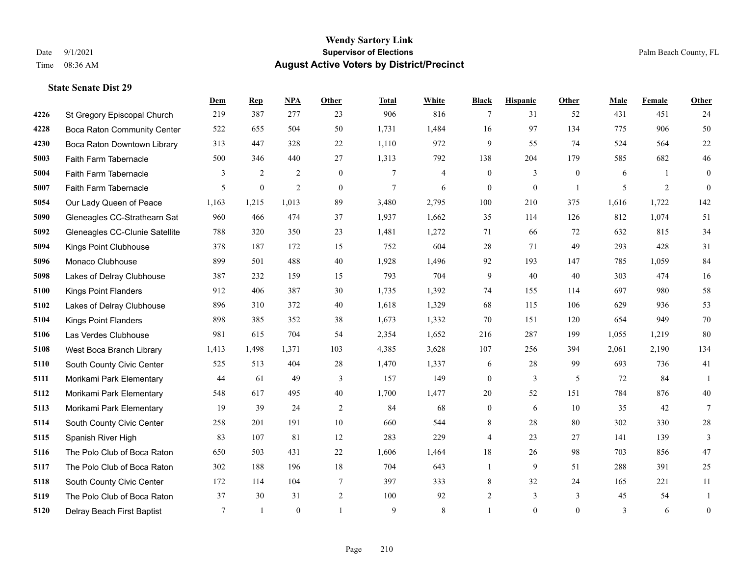**State Senate Dist 29**

#### **Wendy Sartory Link** Date 9/1/2021 **Supervisor of Elections** Palm Beach County, FL Time 08:36 AM **August Active Voters by District/Precinct**

# **Dem Rep NPA Other Total White Black Hispanic Other Male Female Other** St Gregory Episcopal Church 219 387 277 23 906 816 7 31 52 431 451 24 Boca Raton Community Center 522 655 504 50 1,731 1,484 16 97 134 775 906 50 Boca Raton Downtown Library 313 447 328 22 1,110 972 9 55 74 524 564 22 Faith Farm Tabernacle 500 346 440 27 1,313 792 138 204 179 585 682 46 Faith Farm Tabernacle 3 2 2 0 7 4 0 3 0 6 1 0 Faith Farm Tabernacle 5 0 2 0 7 6 0 0 1 5 2 0 Our Lady Queen of Peace 1,163 1,215 1,013 89 3,480 2,795 100 210 375 1,616 1,722 142 Gleneagles CC-Strathearn Sat 960 466 474 37 1,937 1,662 35 114 126 812 1,074 51 Gleneagles CC-Clunie Satellite 788 320 350 23 1,481 1,272 71 66 72 632 815 34 Kings Point Clubhouse 378 187 172 15 752 604 28 71 49 293 428 31 Monaco Clubhouse 899 501 488 40 1,928 1,496 92 193 147 785 1,059 84 Lakes of Delray Clubhouse 387 232 159 15 793 704 9 40 40 303 474 16 Kings Point Flanders 912 406 387 30 1,735 1,392 74 155 114 697 980 58 Lakes of Delray Clubhouse 896 310 372 40 1,618 1,329 68 115 106 629 936 53 Kings Point Flanders 898 385 352 38 1,673 1,332 70 151 120 654 949 70 Las Verdes Clubhouse 981 615 704 54 2,354 1,652 216 287 199 1,055 1,219 80 West Boca Branch Library 1,413 1,498 1,371 103 4,385 3,628 107 256 394 2,061 2,190 134 South County Civic Center 525 513 404 28 1,470 1,337 6 28 99 693 736 41 Morikami Park Elementary 44 61 49 3 157 149 0 3 5 72 84 1 Morikami Park Elementary 548 617 495 40 1,700 1,477 20 52 151 784 876 40 Morikami Park Elementary 19 39 24 2 84 68 0 6 10 35 42 7 South County Civic Center 258 201 191 10 660 544 8 28 80 302 330 28 Spanish River High 83 107 81 12 283 229 4 23 27 141 139 3 The Polo Club of Boca Raton 650 503 431 22 1,606 1,464 18 26 98 703 856 47 The Polo Club of Boca Raton 302 188 196 18 704 643 1 9 51 288 391 25 South County Civic Center 172 114 104 7 397 333 8 32 24 165 221 11 The Polo Club of Boca Raton 37 30 31 2 100 92 2 3 3 45 54 1 Delray Beach First Baptist 7 1 0 1 9 8 1 0 0 3 6 0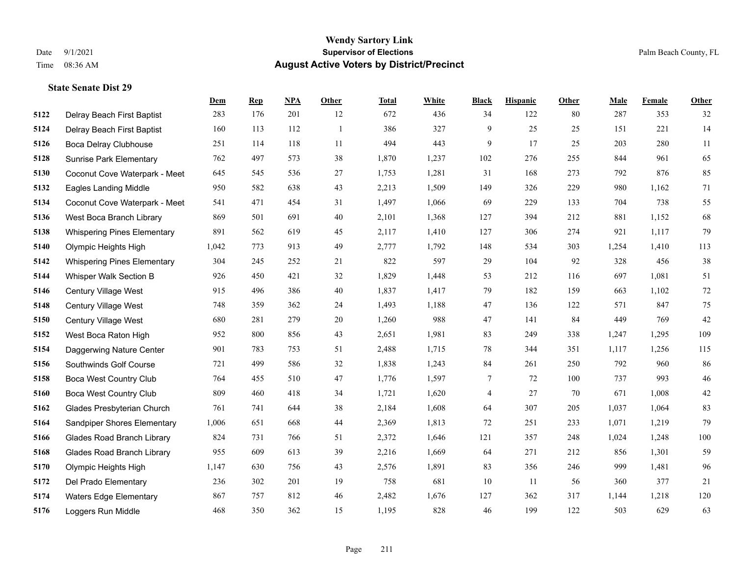|      |                                    | Dem   | <b>Rep</b> | NPA | <b>Other</b> | <b>Total</b> | <b>White</b> | <b>Black</b>   | <b>Hispanic</b> | <b>Other</b> | <b>Male</b> | <b>Female</b> | <b>Other</b> |
|------|------------------------------------|-------|------------|-----|--------------|--------------|--------------|----------------|-----------------|--------------|-------------|---------------|--------------|
| 5122 | Delray Beach First Baptist         | 283   | 176        | 201 | 12           | 672          | 436          | 34             | 122             | 80           | 287         | 353           | 32           |
| 5124 | Delray Beach First Baptist         | 160   | 113        | 112 | -1           | 386          | 327          | 9              | 25              | 25           | 151         | 221           | 14           |
| 5126 | Boca Delray Clubhouse              | 251   | 114        | 118 | 11           | 494          | 443          | 9              | 17              | 25           | 203         | 280           | 11           |
| 5128 | <b>Sunrise Park Elementary</b>     | 762   | 497        | 573 | 38           | 1,870        | 1,237        | 102            | 276             | 255          | 844         | 961           | 65           |
| 5130 | Coconut Cove Waterpark - Meet      | 645   | 545        | 536 | 27           | 1,753        | 1,281        | 31             | 168             | 273          | 792         | 876           | 85           |
| 5132 | <b>Eagles Landing Middle</b>       | 950   | 582        | 638 | 43           | 2,213        | 1,509        | 149            | 326             | 229          | 980         | 1,162         | 71           |
| 5134 | Coconut Cove Waterpark - Meet      | 541   | 471        | 454 | 31           | 1,497        | 1,066        | 69             | 229             | 133          | 704         | 738           | 55           |
| 5136 | West Boca Branch Library           | 869   | 501        | 691 | 40           | 2,101        | 1,368        | 127            | 394             | 212          | 881         | 1,152         | 68           |
| 5138 | <b>Whispering Pines Elementary</b> | 891   | 562        | 619 | 45           | 2,117        | 1,410        | 127            | 306             | 274          | 921         | 1,117         | 79           |
| 5140 | Olympic Heights High               | 1,042 | 773        | 913 | 49           | 2,777        | 1,792        | 148            | 534             | 303          | 1,254       | 1,410         | 113          |
| 5142 | <b>Whispering Pines Elementary</b> | 304   | 245        | 252 | 21           | 822          | 597          | 29             | 104             | 92           | 328         | 456           | 38           |
| 5144 | Whisper Walk Section B             | 926   | 450        | 421 | 32           | 1,829        | 1,448        | 53             | 212             | 116          | 697         | 1,081         | 51           |
| 5146 | Century Village West               | 915   | 496        | 386 | 40           | 1,837        | 1,417        | 79             | 182             | 159          | 663         | 1,102         | $72\,$       |
| 5148 | Century Village West               | 748   | 359        | 362 | 24           | 1,493        | 1,188        | 47             | 136             | 122          | 571         | 847           | 75           |
| 5150 | Century Village West               | 680   | 281        | 279 | 20           | 1,260        | 988          | 47             | 141             | 84           | 449         | 769           | $42\,$       |
| 5152 | West Boca Raton High               | 952   | 800        | 856 | 43           | 2,651        | 1,981        | 83             | 249             | 338          | 1,247       | 1,295         | 109          |
| 5154 | Daggerwing Nature Center           | 901   | 783        | 753 | 51           | 2,488        | 1,715        | $78\,$         | 344             | 351          | 1,117       | 1,256         | 115          |
| 5156 | Southwinds Golf Course             | 721   | 499        | 586 | 32           | 1,838        | 1,243        | 84             | 261             | 250          | 792         | 960           | 86           |
| 5158 | <b>Boca West Country Club</b>      | 764   | 455        | 510 | 47           | 1,776        | 1,597        | 7              | 72              | 100          | 737         | 993           | $46\,$       |
| 5160 | <b>Boca West Country Club</b>      | 809   | 460        | 418 | 34           | 1,721        | 1,620        | $\overline{4}$ | 27              | 70           | 671         | 1,008         | $42\,$       |
| 5162 | Glades Presbyterian Church         | 761   | 741        | 644 | 38           | 2,184        | 1,608        | 64             | 307             | 205          | 1,037       | 1,064         | 83           |
| 5164 | Sandpiper Shores Elementary        | 1,006 | 651        | 668 | 44           | 2,369        | 1,813        | 72             | 251             | 233          | 1,071       | 1,219         | 79           |
| 5166 | <b>Glades Road Branch Library</b>  | 824   | 731        | 766 | 51           | 2,372        | 1,646        | 121            | 357             | 248          | 1,024       | 1,248         | $100\,$      |
| 5168 | <b>Glades Road Branch Library</b>  | 955   | 609        | 613 | 39           | 2,216        | 1,669        | 64             | 271             | 212          | 856         | 1,301         | 59           |
| 5170 | Olympic Heights High               | 1,147 | 630        | 756 | 43           | 2,576        | 1,891        | 83             | 356             | 246          | 999         | 1,481         | 96           |
| 5172 | Del Prado Elementary               | 236   | 302        | 201 | 19           | 758          | 681          | 10             | 11              | 56           | 360         | 377           | 21           |
| 5174 | <b>Waters Edge Elementary</b>      | 867   | 757        | 812 | 46           | 2,482        | 1,676        | 127            | 362             | 317          | 1,144       | 1,218         | 120          |
| 5176 | Loggers Run Middle                 | 468   | 350        | 362 | 15           | 1,195        | 828          | 46             | 199             | 122          | 503         | 629           | 63           |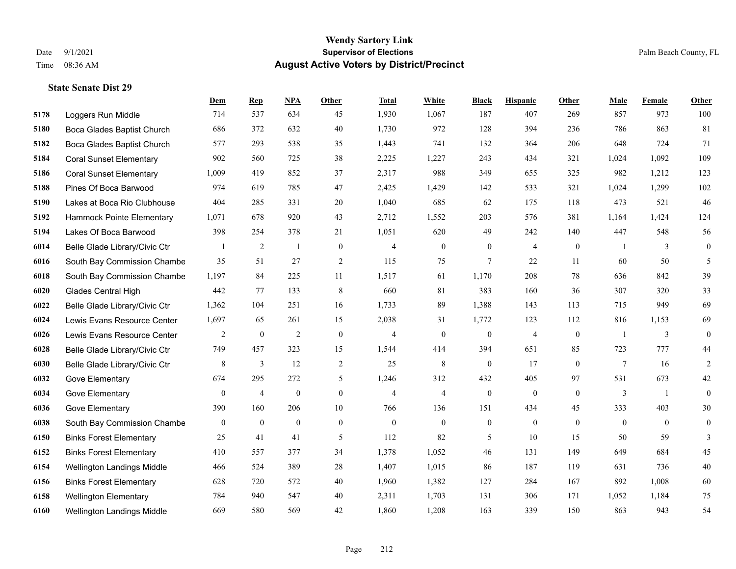**State Senate Dist 29**

#### **Wendy Sartory Link** Date 9/1/2021 **Supervisor of Elections** Palm Beach County, FL Time 08:36 AM **August Active Voters by District/Precinct**

# **Dem Rep NPA Other Total White Black Hispanic Other Male Female Other** Loggers Run Middle 714 537 634 45 1,930 1,067 187 407 269 857 973 100 Boca Glades Baptist Church 686 372 632 40 1,730 972 128 394 236 786 863 81 Boca Glades Baptist Church 577 293 538 35 1,443 741 132 364 206 648 724 71 Coral Sunset Elementary 902 560 725 38 2,225 1,227 243 434 321 1,024 1,092 109 Coral Sunset Elementary 1,009 419 852 37 2,317 988 349 655 325 982 1,212 123 Pines Of Boca Barwood 974 619 785 47 2,425 1,429 142 533 321 1,024 1,299 102 Lakes at Boca Rio Clubhouse 404 285 331 20 1,040 685 62 175 118 473 521 46 Hammock Pointe Elementary 1,071 678 920 43 2,712 1,552 203 576 381 1,164 1,424 124 Lakes Of Boca Barwood 398 254 378 21 1,051 620 49 242 140 447 548 56 Belle Glade Library/Civic Ctr 1 2 1 0 4 0 0 4 0 1 3 0 South Bay Commission Chambe 35 51 27 2 115 75 7 22 11 60 50 5 South Bay Commission Chambe 1,197 84 225 11 1,517 61 1,170 208 78 636 842 39 Glades Central High 442 77 133 8 660 81 383 160 36 307 320 33 Belle Glade Library/Civic Ctr 1,362 104 251 16 1,733 89 1,388 143 113 715 949 69 Lewis Evans Resource Center 1,697 65 261 15 2,038 31 1,772 123 112 816 1,153 69 Lewis Evans Resource Center  $\begin{array}{ccccccccccccc}\n2 & 0 & 2 & 0 & 4 & 0 & 4 & 0 & 1 & 3 & 0\n\end{array}$  Belle Glade Library/Civic Ctr 749 457 323 15 1,544 414 394 651 85 723 777 44 Belle Glade Library/Civic Ctr 8 3 12 2 25 8 0 17 0 7 16 2 Gove Elementary 674 295 272 5 1,246 312 432 405 97 531 673 42 Gove Elementary 0 4 0 4 4 0 0 0 3 1 0 Gove Elementary 390 160 206 10 766 136 151 434 45 333 403 30 South Bay Commission Chambers 0 0 0 0 0 0 0 0 0 0 0 0 Binks Forest Elementary 25 41 41 5 112 82 5 10 15 50 59 3 Binks Forest Elementary 410 557 377 34 1,378 1,052 46 131 149 649 684 45 Wellington Landings Middle 466 524 389 28 1,407 1,015 86 187 119 631 736 40 Binks Forest Elementary 628 720 572 40 1,960 1,382 127 284 167 892 1,008 60 Wellington Elementary 784 940 547 40 2,311 1,703 131 306 171 1,052 1,184 75 Wellington Landings Middle 669 580 569 42 1,860 1,208 163 339 150 863 943 54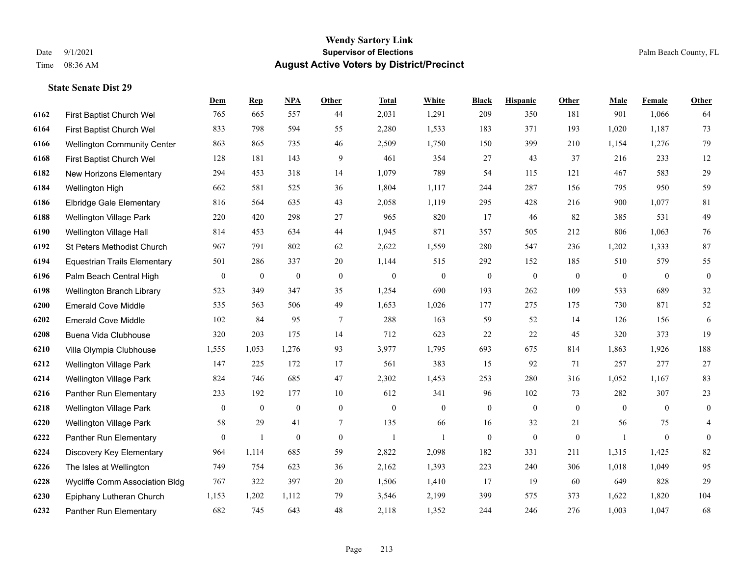|      |                                     | Dem              | <b>Rep</b>       | NPA              | <b>Other</b> | <b>Total</b>     | <b>White</b>     | <b>Black</b>     | <b>Hispanic</b>  | <b>Other</b> | <b>Male</b>  | <b>Female</b> | <b>Other</b>     |
|------|-------------------------------------|------------------|------------------|------------------|--------------|------------------|------------------|------------------|------------------|--------------|--------------|---------------|------------------|
| 6162 | First Baptist Church Wel            | 765              | 665              | 557              | 44           | 2,031            | 1,291            | 209              | 350              | 181          | 901          | 1,066         | 64               |
| 6164 | First Baptist Church Wel            | 833              | 798              | 594              | 55           | 2,280            | 1,533            | 183              | 371              | 193          | 1,020        | 1,187         | 73               |
| 6166 | <b>Wellington Community Center</b>  | 863              | 865              | 735              | 46           | 2,509            | 1,750            | 150              | 399              | 210          | 1,154        | 1,276         | 79               |
| 6168 | First Baptist Church Wel            | 128              | 181              | 143              | 9            | 461              | 354              | 27               | 43               | 37           | 216          | 233           | 12               |
| 6182 | New Horizons Elementary             | 294              | 453              | 318              | 14           | 1,079            | 789              | 54               | 115              | 121          | 467          | 583           | $29\,$           |
| 6184 | Wellington High                     | 662              | 581              | 525              | 36           | 1,804            | 1,117            | 244              | 287              | 156          | 795          | 950           | 59               |
| 6186 | <b>Elbridge Gale Elementary</b>     | 816              | 564              | 635              | 43           | 2,058            | 1,119            | 295              | 428              | 216          | 900          | 1,077         | $81\,$           |
| 6188 | <b>Wellington Village Park</b>      | 220              | 420              | 298              | 27           | 965              | 820              | 17               | 46               | 82           | 385          | 531           | 49               |
| 6190 | Wellington Village Hall             | 814              | 453              | 634              | 44           | 1,945            | 871              | 357              | 505              | 212          | 806          | 1,063         | 76               |
| 6192 | St Peters Methodist Church          | 967              | 791              | 802              | 62           | 2,622            | 1,559            | 280              | 547              | 236          | 1,202        | 1,333         | 87               |
| 6194 | <b>Equestrian Trails Elementary</b> | 501              | 286              | 337              | 20           | 1,144            | 515              | 292              | 152              | 185          | 510          | 579           | 55               |
| 6196 | Palm Beach Central High             | $\mathbf{0}$     | $\boldsymbol{0}$ | $\boldsymbol{0}$ | $\mathbf{0}$ | $\boldsymbol{0}$ | $\boldsymbol{0}$ | $\boldsymbol{0}$ | $\boldsymbol{0}$ | $\mathbf{0}$ | $\mathbf{0}$ | $\mathbf{0}$  | $\boldsymbol{0}$ |
| 6198 | Wellington Branch Library           | 523              | 349              | 347              | 35           | 1,254            | 690              | 193              | 262              | 109          | 533          | 689           | 32               |
| 6200 | <b>Emerald Cove Middle</b>          | 535              | 563              | 506              | 49           | 1,653            | 1,026            | 177              | 275              | 175          | 730          | 871           | $52\,$           |
| 6202 | <b>Emerald Cove Middle</b>          | 102              | 84               | 95               | $\tau$       | 288              | 163              | 59               | 52               | 14           | 126          | 156           | 6                |
| 6208 | Buena Vida Clubhouse                | 320              | 203              | 175              | 14           | 712              | 623              | 22               | 22               | 45           | 320          | 373           | 19               |
| 6210 | Villa Olympia Clubhouse             | 1,555            | 1,053            | 1,276            | 93           | 3,977            | 1,795            | 693              | 675              | 814          | 1,863        | 1,926         | 188              |
| 6212 | Wellington Village Park             | 147              | 225              | 172              | 17           | 561              | 383              | 15               | 92               | 71           | 257          | 277           | $27\,$           |
| 6214 | Wellington Village Park             | 824              | 746              | 685              | 47           | 2,302            | 1,453            | 253              | 280              | 316          | 1,052        | 1,167         | 83               |
| 6216 | Panther Run Elementary              | 233              | 192              | 177              | 10           | 612              | 341              | 96               | 102              | 73           | 282          | 307           | 23               |
| 6218 | Wellington Village Park             | $\mathbf{0}$     | $\mathbf{0}$     | $\mathbf{0}$     | $\mathbf{0}$ | $\mathbf{0}$     | $\overline{0}$   | $\mathbf{0}$     | $\mathbf{0}$     | $\theta$     | $\theta$     | $\theta$      | $\boldsymbol{0}$ |
| 6220 | Wellington Village Park             | 58               | 29               | 41               | $\tau$       | 135              | 66               | 16               | 32               | 21           | 56           | 75            | $\overline{4}$   |
| 6222 | Panther Run Elementary              | $\boldsymbol{0}$ | $\mathbf{1}$     | $\boldsymbol{0}$ | $\mathbf{0}$ | -1               | $\mathbf{1}$     | $\boldsymbol{0}$ | $\mathbf{0}$     | $\mathbf{0}$ |              | $\mathbf{0}$  | $\boldsymbol{0}$ |
| 6224 | Discovery Key Elementary            | 964              | 1,114            | 685              | 59           | 2,822            | 2,098            | 182              | 331              | 211          | 1,315        | 1,425         | 82               |
| 6226 | The Isles at Wellington             | 749              | 754              | 623              | 36           | 2,162            | 1,393            | 223              | 240              | 306          | 1,018        | 1,049         | 95               |
| 6228 | Wycliffe Comm Association Bldg      | 767              | 322              | 397              | 20           | 1,506            | 1,410            | 17               | 19               | 60           | 649          | 828           | 29               |
| 6230 | Epiphany Lutheran Church            | 1,153            | 1,202            | 1,112            | 79           | 3,546            | 2,199            | 399              | 575              | 373          | 1,622        | 1,820         | 104              |
| 6232 | Panther Run Elementary              | 682              | 745              | 643              | 48           | 2,118            | 1,352            | 244              | 246              | 276          | 1,003        | 1,047         | 68               |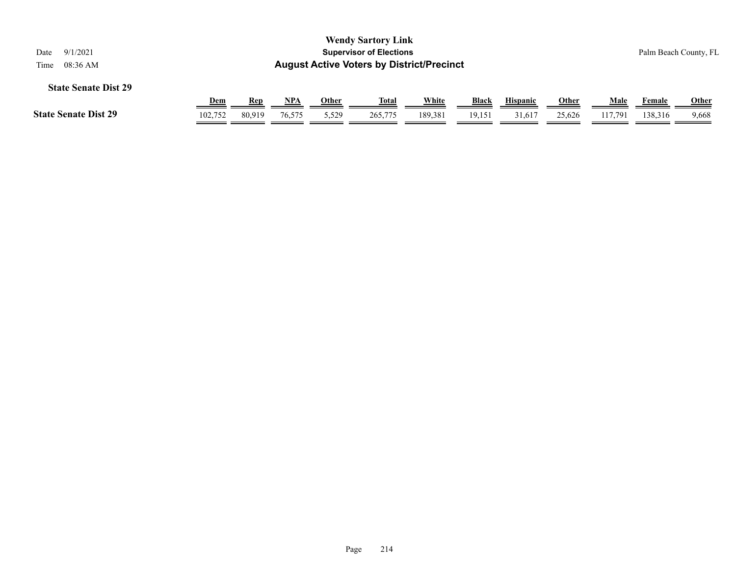| <b>Wendy Sartory Link</b><br>9/1/2021<br><b>Supervisor of Elections</b><br>Date<br><b>August Active Voters by District/Precinct</b><br>08:36 AM<br>Time |            |            |            |       |              |         |        |                 |              | Palm Beach County, FL |         |              |
|---------------------------------------------------------------------------------------------------------------------------------------------------------|------------|------------|------------|-------|--------------|---------|--------|-----------------|--------------|-----------------------|---------|--------------|
| <b>State Senate Dist 29</b>                                                                                                                             | <u>Dem</u> | <b>Rep</b> | <u>NPA</u> | Other | <u>Total</u> | White   | Black  | <b>Hispanic</b> | <u>Other</u> | Male                  | Female  | <b>Other</b> |
| <b>State Senate Dist 29</b>                                                                                                                             | 102.752    | 80,919     | 76,575     | 5,529 | 265,775      | 189,381 | 19,151 | 31,617          | 25,626       | 117.791               | 138,316 | 9,668        |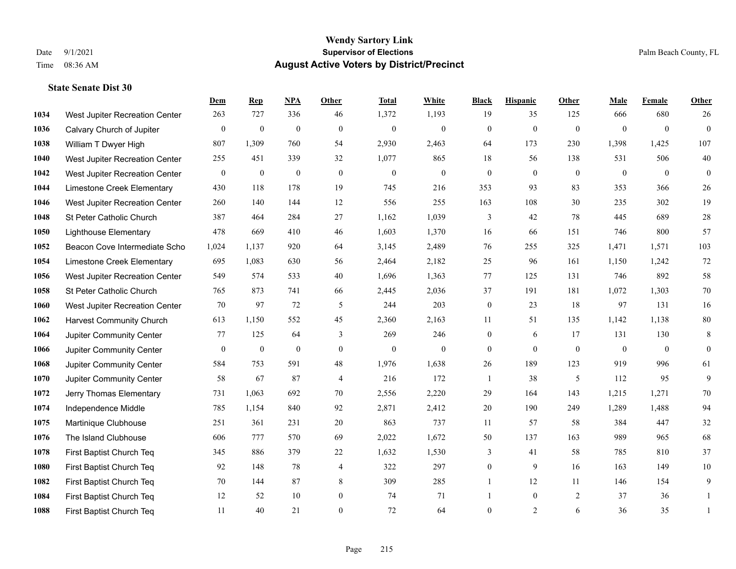|      |                                 | Dem              | <b>Rep</b>       | NPA              | <b>Other</b>     | <b>Total</b>     | <b>White</b>     | <b>Black</b>     | <b>Hispanic</b> | Other          | <b>Male</b>  | <b>Female</b>    | <b>Other</b>     |
|------|---------------------------------|------------------|------------------|------------------|------------------|------------------|------------------|------------------|-----------------|----------------|--------------|------------------|------------------|
| 1034 | West Jupiter Recreation Center  | 263              | 727              | 336              | 46               | 1,372            | 1,193            | 19               | 35              | 125            | 666          | 680              | 26               |
| 1036 | Calvary Church of Jupiter       | $\boldsymbol{0}$ | $\mathbf{0}$     | $\mathbf{0}$     | $\mathbf{0}$     | $\mathbf{0}$     | $\mathbf{0}$     | $\mathbf{0}$     | $\overline{0}$  | $\overline{0}$ | $\theta$     | $\overline{0}$   | $\mathbf{0}$     |
| 1038 | William T Dwyer High            | 807              | 1,309            | 760              | 54               | 2,930            | 2,463            | 64               | 173             | 230            | 1,398        | 1,425            | 107              |
| 1040 | West Jupiter Recreation Center  | 255              | 451              | 339              | 32               | 1,077            | 865              | 18               | 56              | 138            | 531          | 506              | $40\,$           |
| 1042 | West Jupiter Recreation Center  | $\mathbf{0}$     | $\boldsymbol{0}$ | $\mathbf{0}$     | $\theta$         | $\mathbf{0}$     | $\mathbf{0}$     | $\overline{0}$   | $\theta$        | $\theta$       | $\theta$     | $\theta$         | $\theta$         |
| 1044 | Limestone Creek Elementary      | 430              | 118              | 178              | 19               | 745              | 216              | 353              | 93              | 83             | 353          | 366              | 26               |
| 1046 | West Jupiter Recreation Center  | 260              | 140              | 144              | 12               | 556              | 255              | 163              | 108             | 30             | 235          | 302              | 19               |
| 1048 | St Peter Catholic Church        | 387              | 464              | 284              | 27               | 1,162            | 1,039            | 3                | 42              | 78             | 445          | 689              | $28\,$           |
| 1050 | <b>Lighthouse Elementary</b>    | 478              | 669              | 410              | 46               | 1,603            | 1,370            | 16               | 66              | 151            | 746          | 800              | 57               |
| 1052 | Beacon Cove Intermediate Scho   | 1,024            | 1,137            | 920              | 64               | 3,145            | 2,489            | 76               | 255             | 325            | 1,471        | 1,571            | 103              |
| 1054 | Limestone Creek Elementary      | 695              | 1,083            | 630              | 56               | 2,464            | 2,182            | 25               | 96              | 161            | 1,150        | 1,242            | $72\,$           |
| 1056 | West Jupiter Recreation Center  | 549              | 574              | 533              | 40               | 1,696            | 1,363            | 77               | 125             | 131            | 746          | 892              | $58\,$           |
| 1058 | St Peter Catholic Church        | 765              | 873              | 741              | 66               | 2,445            | 2,036            | 37               | 191             | 181            | 1,072        | 1,303            | $70\,$           |
| 1060 | West Jupiter Recreation Center  | 70               | 97               | 72               | 5                | 244              | 203              | $\boldsymbol{0}$ | 23              | 18             | 97           | 131              | 16               |
| 1062 | <b>Harvest Community Church</b> | 613              | 1,150            | 552              | 45               | 2,360            | 2,163            | 11               | 51              | 135            | 1,142        | 1,138            | $80\,$           |
| 1064 | Jupiter Community Center        | 77               | 125              | 64               | 3                | 269              | 246              | $\mathbf{0}$     | 6               | 17             | 131          | 130              | 8                |
| 1066 | Jupiter Community Center        | $\mathbf{0}$     | $\boldsymbol{0}$ | $\boldsymbol{0}$ | $\boldsymbol{0}$ | $\boldsymbol{0}$ | $\boldsymbol{0}$ | $\mathbf{0}$     | $\overline{0}$  | $\mathbf{0}$   | $\mathbf{0}$ | $\boldsymbol{0}$ | $\boldsymbol{0}$ |
| 1068 | Jupiter Community Center        | 584              | 753              | 591              | 48               | 1,976            | 1,638            | 26               | 189             | 123            | 919          | 996              | 61               |
| 1070 | Jupiter Community Center        | 58               | 67               | 87               | $\overline{4}$   | 216              | 172              | 1                | 38              | 5              | 112          | 95               | 9                |
| 1072 | Jerry Thomas Elementary         | 731              | 1,063            | 692              | 70               | 2,556            | 2,220            | 29               | 164             | 143            | 1,215        | 1,271            | $70\,$           |
| 1074 | Independence Middle             | 785              | 1,154            | 840              | 92               | 2,871            | 2,412            | 20               | 190             | 249            | 1,289        | 1,488            | 94               |
| 1075 | Martinique Clubhouse            | 251              | 361              | 231              | 20               | 863              | 737              | 11               | 57              | 58             | 384          | 447              | 32               |
| 1076 | The Island Clubhouse            | 606              | 777              | 570              | 69               | 2,022            | 1,672            | 50               | 137             | 163            | 989          | 965              | 68               |
| 1078 | First Baptist Church Teq        | 345              | 886              | 379              | 22               | 1,632            | 1,530            | 3                | 41              | 58             | 785          | 810              | 37               |
| 1080 | First Baptist Church Teq        | 92               | 148              | 78               | $\overline{4}$   | 322              | 297              | $\mathbf{0}$     | 9               | 16             | 163          | 149              | 10               |
| 1082 | First Baptist Church Teq        | 70               | 144              | 87               | 8                | 309              | 285              | $\mathbf{1}$     | 12              | 11             | 146          | 154              | 9                |
| 1084 | First Baptist Church Teq        | 12               | 52               | 10               | $\boldsymbol{0}$ | 74               | 71               |                  | $\overline{0}$  | 2              | 37           | 36               | 1                |
| 1088 | First Baptist Church Teq        | 11               | 40               | 21               | $\theta$         | 72               | 64               | $\overline{0}$   | $\overline{2}$  | 6              | 36           | 35               | 1                |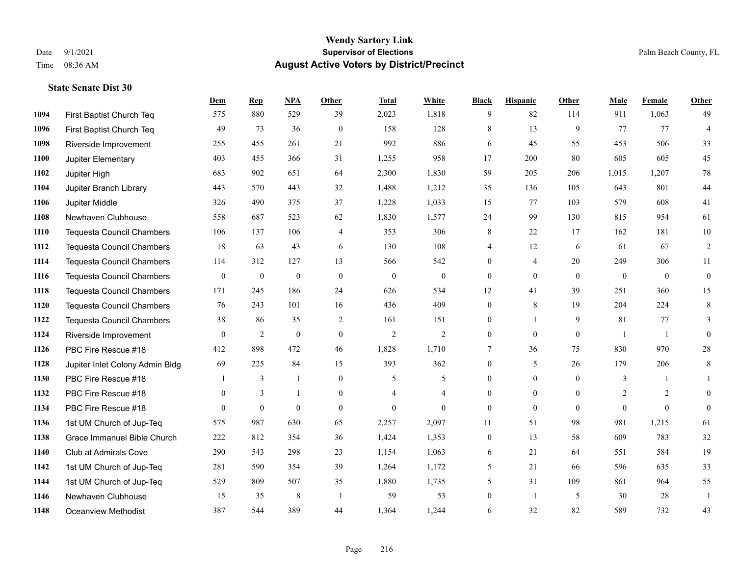**State Senate Dist 30**

#### **Wendy Sartory Link** Date 9/1/2021 **Supervisor of Elections** Palm Beach County, FL Time 08:36 AM **August Active Voters by District/Precinct**

# **Dem Rep NPA Other Total White Black Hispanic Other Male Female Other** First Baptist Church Teq 575 880 529 39 2,023 1,818 9 82 114 911 1,063 49 First Baptist Church Teq 49 73 36 0 158 128 8 13 9 77 77 4 Riverside Improvement 255 455 261 21 992 886 6 45 55 453 506 33 Jupiter Elementary 403 455 366 31 1,255 958 17 200 80 605 605 45 Jupiter High 683 902 651 64 2,300 1,830 59 205 206 1,015 1,207 78 Jupiter Branch Library 443 570 443 32 1,488 1,212 35 136 105 643 801 44 Jupiter Middle 326 490 375 37 1,228 1,033 15 77 103 579 608 41 Newhaven Clubhouse 558 687 523 62 1,830 1,577 24 99 130 815 954 61 Tequesta Council Chambers 106 137 106 4 353 306 8 22 17 162 181 10 Tequesta Council Chambers 18 63 43 6 130 108 4 12 6 61 67 2 Tequesta Council Chambers 114 312 127 13 566 542 0 4 20 249 306 11 Tequesta Council Chambers 0 0 0 0 0 0 0 0 0 0 0 0 Tequesta Council Chambers 171 245 186 24 626 534 12 41 39 251 360 15 Tequesta Council Chambers 76 243 101 16 436 409 0 8 19 204 224 8 Tequesta Council Chambers 38 86 35 2 161 151 0 1 9 81 77 3 Riverside Improvement 0 0 2 0 0 2 2 2 0 0 0 1 1 0 PBC Fire Rescue #18 412 898 472 46 1,828 1,710 7 36 75 830 970 28 Jupiter Inlet Colony Admin Bldg 69 225 84 15 393 362 0 5 26 179 206 8 PBC Fire Rescue #18 **1** 3 1 0 5 5 0 0 0 3 1 1 PBC Fire Rescue #18 0 3 1 0 4 4 0 0 0 2 2 0 PBC Fire Rescue #18 0 0 0 0 0 0 0 0 0 0 0 0 1st UM Church of Jup-Teq 575 987 630 65 2,257 2,097 11 51 98 981 1,215 61 Grace Immanuel Bible Church 222 812 354 36 1,424 1,353 0 13 58 609 783 32 Club at Admirals Cove 290 543 298 23 1,154 1,063 6 21 64 551 584 19 1st UM Church of Jup-Teq 281 590 354 39 1,264 1,172 5 21 66 596 635 33

 1st UM Church of Jup-Teq 529 809 507 35 1,880 1,735 5 31 109 861 964 55 Newhaven Clubhouse 15 35 8 1 59 53 0 1 5 30 28 1 Oceanview Methodist 387 544 389 44 1,364 1,244 6 32 82 589 732 43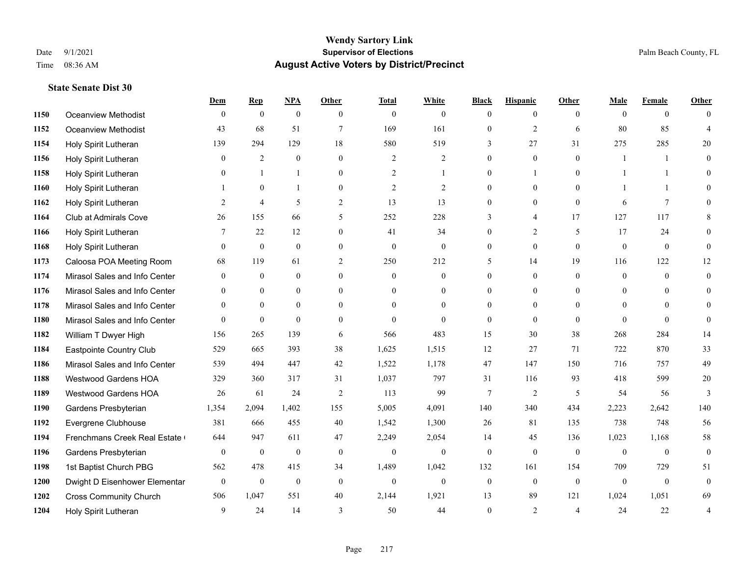|      |                               | Dem            | <b>Rep</b>       | NPA              | <b>Other</b>   | <b>Total</b>     | <b>White</b>     | <b>Black</b>     | <b>Hispanic</b> | <b>Other</b>   | <b>Male</b>    | <b>Female</b>  | <b>Other</b>     |
|------|-------------------------------|----------------|------------------|------------------|----------------|------------------|------------------|------------------|-----------------|----------------|----------------|----------------|------------------|
| 1150 | Oceanview Methodist           | $\theta$       | $\mathbf{0}$     | $\mathbf{0}$     | $\theta$       | $\mathbf{0}$     | $\theta$         | $\Omega$         | $\overline{0}$  | $\theta$       | $\theta$       | $\theta$       | $\Omega$         |
| 1152 | Oceanview Methodist           | 43             | 68               | 51               | $\overline{7}$ | 169              | 161              | $\boldsymbol{0}$ | $\overline{c}$  | 6              | 80             | 85             | $\overline{4}$   |
| 1154 | Holy Spirit Lutheran          | 139            | 294              | 129              | 18             | 580              | 519              | 3                | 27              | 31             | 275            | 285            | 20               |
| 1156 | Holy Spirit Lutheran          | $\overline{0}$ | $\mathfrak{2}$   | $\mathbf{0}$     | $\mathbf{0}$   | $\overline{2}$   | $\overline{c}$   | $\overline{0}$   | $\mathbf{0}$    | $\mathbf{0}$   | $\mathbf{1}$   | $\mathbf{1}$   | $\theta$         |
| 1158 | Holy Spirit Lutheran          | $\theta$       | $\mathbf{1}$     |                  | $\theta$       | $\overline{2}$   | $\mathbf{1}$     | $\overline{0}$   | 1               | $\theta$       |                | -1             | 0                |
| 1160 | Holy Spirit Lutheran          |                | $\mathbf{0}$     |                  | $\overline{0}$ | $\overline{c}$   | $\overline{2}$   | $\overline{0}$   | $\overline{0}$  | $\theta$       |                | $\mathbf{1}$   | 0                |
| 1162 | Holy Spirit Lutheran          | 2              | $\overline{4}$   | 5                | $\overline{2}$ | 13               | 13               | $\overline{0}$   | $\mathbf{0}$    | $\mathbf{0}$   | 6              | $\overline{7}$ | $\theta$         |
| 1164 | Club at Admirals Cove         | 26             | 155              | 66               | 5              | 252              | 228              | 3                | 4               | 17             | 127            | 117            | 8                |
| 1166 | Holy Spirit Lutheran          | 7              | 22               | 12               | $\mathbf{0}$   | 41               | 34               | $\overline{0}$   | $\overline{2}$  | 5              | 17             | 24             | $\Omega$         |
| 1168 | Holy Spirit Lutheran          | $\theta$       | $\mathbf{0}$     | $\mathbf{0}$     | $\overline{0}$ | $\mathbf{0}$     | $\overline{0}$   | $\overline{0}$   | $\overline{0}$  | $\theta$       | $\mathbf{0}$   | $\overline{0}$ | $\overline{0}$   |
| 1173 | Caloosa POA Meeting Room      | 68             | 119              | 61               | 2              | 250              | 212              | 5                | 14              | 19             | 116            | 122            | 12               |
| 1174 | Mirasol Sales and Info Center | $\overline{0}$ | $\mathbf{0}$     | $\mathbf{0}$     | $\mathbf{0}$   | $\theta$         | $\overline{0}$   | $\overline{0}$   | $\overline{0}$  | $\theta$       | $\overline{0}$ | $\theta$       | $\overline{0}$   |
| 1176 | Mirasol Sales and Info Center | $\theta$       | $\theta$         | $\theta$         | $\Omega$       | $\Omega$         | $\mathbf{0}$     | $\theta$         | $\Omega$        | $\Omega$       | $\theta$       | $\Omega$       | $\theta$         |
| 1178 | Mirasol Sales and Info Center | $\mathbf{0}$   | $\mathbf{0}$     | $\mathbf{0}$     | $\mathbf{0}$   | $\theta$         | $\boldsymbol{0}$ | $\overline{0}$   | $\mathbf{0}$    | $\mathbf{0}$   | $\mathbf{0}$   | $\Omega$       | $\Omega$         |
| 1180 | Mirasol Sales and Info Center | $\theta$       | $\mathbf{0}$     | $\mathbf{0}$     | $\theta$       | $\theta$         | $\Omega$         | $\overline{0}$   | $\Omega$        | $\theta$       | $\theta$       | $\Omega$       | $\theta$         |
| 1182 | William T Dwyer High          | 156            | 265              | 139              | 6              | 566              | 483              | 15               | 30              | 38             | 268            | 284            | 14               |
| 1184 | Eastpointe Country Club       | 529            | 665              | 393              | 38             | 1,625            | 1,515            | 12               | 27              | 71             | 722            | 870            | 33               |
| 1186 | Mirasol Sales and Info Center | 539            | 494              | 447              | 42             | 1,522            | 1,178            | 47               | 147             | 150            | 716            | 757            | 49               |
| 1188 | Westwood Gardens HOA          | 329            | 360              | 317              | 31             | 1,037            | 797              | 31               | 116             | 93             | 418            | 599            | $20\,$           |
| 1189 | Westwood Gardens HOA          | 26             | 61               | 24               | 2              | 113              | 99               | 7                | $\overline{2}$  | 5              | 54             | 56             | 3                |
| 1190 | Gardens Presbyterian          | 1,354          | 2,094            | 1,402            | 155            | 5,005            | 4,091            | 140              | 340             | 434            | 2,223          | 2,642          | 140              |
| 1192 | Evergrene Clubhouse           | 381            | 666              | 455              | 40             | 1,542            | 1,300            | 26               | 81              | 135            | 738            | 748            | 56               |
| 1194 | Frenchmans Creek Real Estate  | 644            | 947              | 611              | 47             | 2,249            | 2,054            | 14               | 45              | 136            | 1,023          | 1,168          | 58               |
| 1196 | Gardens Presbyterian          | $\mathbf{0}$   | $\boldsymbol{0}$ | $\boldsymbol{0}$ | $\mathbf{0}$   | $\boldsymbol{0}$ | $\mathbf{0}$     | $\boldsymbol{0}$ | $\overline{0}$  | $\overline{0}$ | $\overline{0}$ | $\overline{0}$ | $\overline{0}$   |
| 1198 | 1st Baptist Church PBG        | 562            | 478              | 415              | 34             | 1,489            | 1,042            | 132              | 161             | 154            | 709            | 729            | 51               |
| 1200 | Dwight D Eisenhower Elementar | $\mathbf{0}$   | $\boldsymbol{0}$ | $\boldsymbol{0}$ | $\mathbf{0}$   | $\boldsymbol{0}$ | $\boldsymbol{0}$ | $\boldsymbol{0}$ | $\overline{0}$  | $\mathbf{0}$   | $\mathbf{0}$   | $\mathbf{0}$   | $\boldsymbol{0}$ |
| 1202 | <b>Cross Community Church</b> | 506            | 1,047            | 551              | 40             | 2,144            | 1,921            | 13               | 89              | 121            | 1,024          | 1,051          | 69               |
| 1204 | Holy Spirit Lutheran          | 9              | 24               | 14               | 3              | 50               | 44               | $\theta$         | 2               | $\overline{4}$ | 24             | 22             | 4                |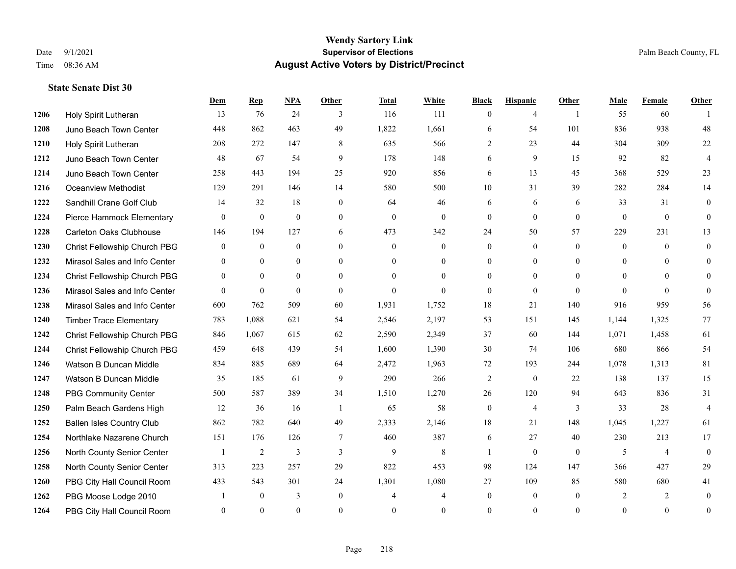|      |                                  | Dem            | <b>Rep</b>   | NPA          | <b>Other</b>   | <b>Total</b>   | <b>White</b>   | <b>Black</b>     | <b>Hispanic</b>  | <b>Other</b>   | <b>Male</b>    | Female         | <b>Other</b>     |
|------|----------------------------------|----------------|--------------|--------------|----------------|----------------|----------------|------------------|------------------|----------------|----------------|----------------|------------------|
| 1206 | Holy Spirit Lutheran             | 13             | 76           | 24           | 3              | 116            | 111            | $\overline{0}$   | 4                | $\overline{1}$ | 55             | 60             |                  |
| 1208 | Juno Beach Town Center           | 448            | 862          | 463          | 49             | 1,822          | 1,661          | 6                | 54               | 101            | 836            | 938            | 48               |
| 1210 | Holy Spirit Lutheran             | 208            | 272          | 147          | 8              | 635            | 566            | 2                | 23               | 44             | 304            | 309            | 22               |
| 1212 | Juno Beach Town Center           | 48             | 67           | 54           | 9              | 178            | 148            | 6                | 9                | 15             | 92             | 82             | $\overline{4}$   |
| 1214 | Juno Beach Town Center           | 258            | 443          | 194          | 25             | 920            | 856            | 6                | 13               | 45             | 368            | 529            | 23               |
| 1216 | <b>Oceanview Methodist</b>       | 129            | 291          | 146          | 14             | 580            | 500            | 10               | 31               | 39             | 282            | 284            | 14               |
| 1222 | Sandhill Crane Golf Club         | 14             | 32           | 18           | $\mathbf{0}$   | 64             | 46             | 6                | 6                | 6              | 33             | 31             | $\overline{0}$   |
| 1224 | Pierce Hammock Elementary        | $\theta$       | $\mathbf{0}$ | $\mathbf{0}$ | $\theta$       | $\theta$       | $\mathbf{0}$   | $\overline{0}$   | $\Omega$         | $\theta$       | $\theta$       | $\theta$       | $\Omega$         |
| 1228 | <b>Carleton Oaks Clubhouse</b>   | 146            | 194          | 127          | 6              | 473            | 342            | 24               | 50               | 57             | 229            | 231            | 13               |
| 1230 | Christ Fellowship Church PBG     | $\overline{0}$ | $\mathbf{0}$ | $\mathbf{0}$ | $\theta$       | $\mathbf{0}$   | $\overline{0}$ | $\overline{0}$   | $\overline{0}$   | $\theta$       | $\overline{0}$ | $\theta$       | $\overline{0}$   |
| 1232 | Mirasol Sales and Info Center    | $\overline{0}$ | $\theta$     | $\mathbf{0}$ | $\theta$       | $\overline{0}$ | $\mathbf{0}$   | $\overline{0}$   | $\overline{0}$   | $\theta$       | $\theta$       | $\theta$       | $\Omega$         |
| 1234 | Christ Fellowship Church PBG     | $\overline{0}$ | $\mathbf{0}$ | $\mathbf{0}$ | $\theta$       | $\theta$       | $\overline{0}$ | $\overline{0}$   | $\overline{0}$   | $\theta$       | $\theta$       | $\theta$       | $\overline{0}$   |
| 1236 | Mirasol Sales and Info Center    | $\Omega$       | $\mathbf{0}$ | $\theta$     | $\Omega$       | $\theta$       | $\theta$       | $\Omega$         | $\Omega$         | $\Omega$       | $\Omega$       | $\Omega$       | $\Omega$         |
| 1238 | Mirasol Sales and Info Center    | 600            | 762          | 509          | 60             | 1,931          | 1,752          | 18               | 21               | 140            | 916            | 959            | 56               |
| 1240 | <b>Timber Trace Elementary</b>   | 783            | 1,088        | 621          | 54             | 2,546          | 2,197          | 53               | 151              | 145            | 1,144          | 1,325          | 77               |
| 1242 | Christ Fellowship Church PBG     | 846            | 1,067        | 615          | 62             | 2,590          | 2,349          | 37               | 60               | 144            | 1,071          | 1,458          | 61               |
| 1244 | Christ Fellowship Church PBG     | 459            | 648          | 439          | 54             | 1,600          | 1,390          | 30               | 74               | 106            | 680            | 866            | 54               |
| 1246 | Watson B Duncan Middle           | 834            | 885          | 689          | 64             | 2,472          | 1,963          | 72               | 193              | 244            | 1,078          | 1,313          | 81               |
| 1247 | Watson B Duncan Middle           | 35             | 185          | 61           | 9              | 290            | 266            | $\overline{c}$   | $\boldsymbol{0}$ | 22             | 138            | 137            | 15               |
| 1248 | <b>PBG Community Center</b>      | 500            | 587          | 389          | 34             | 1,510          | 1,270          | 26               | 120              | 94             | 643            | 836            | 31               |
| 1250 | Palm Beach Gardens High          | 12             | 36           | 16           | $\overline{1}$ | 65             | 58             | $\overline{0}$   | $\overline{4}$   | 3              | 33             | 28             | $\overline{4}$   |
| 1252 | <b>Ballen Isles Country Club</b> | 862            | 782          | 640          | 49             | 2,333          | 2,146          | 18               | 21               | 148            | 1,045          | 1,227          | 61               |
| 1254 | Northlake Nazarene Church        | 151            | 176          | 126          | $\tau$         | 460            | 387            | 6                | 27               | 40             | 230            | 213            | 17               |
| 1256 | North County Senior Center       |                | 2            | 3            | 3              | $\mathbf{9}$   | $\,8\,$        | 1                | $\overline{0}$   | $\mathbf{0}$   | 5              | $\overline{4}$ | $\overline{0}$   |
| 1258 | North County Senior Center       | 313            | 223          | 257          | 29             | 822            | 453            | 98               | 124              | 147            | 366            | 427            | 29               |
| 1260 | PBG City Hall Council Room       | 433            | 543          | 301          | 24             | 1,301          | 1,080          | 27               | 109              | 85             | 580            | 680            | 41               |
| 1262 | PBG Moose Lodge 2010             |                | $\mathbf{0}$ | 3            | $\mathbf{0}$   | 4              | $\overline{4}$ | $\boldsymbol{0}$ | $\overline{0}$   | $\mathbf{0}$   | 2              | 2              | $\overline{0}$   |
| 1264 | PBG City Hall Council Room       | $\Omega$       | $\mathbf{0}$ | $\theta$     | $\theta$       | $\theta$       | $\theta$       | $\overline{0}$   | $\Omega$         | $\theta$       | $\theta$       | $\theta$       | $\boldsymbol{0}$ |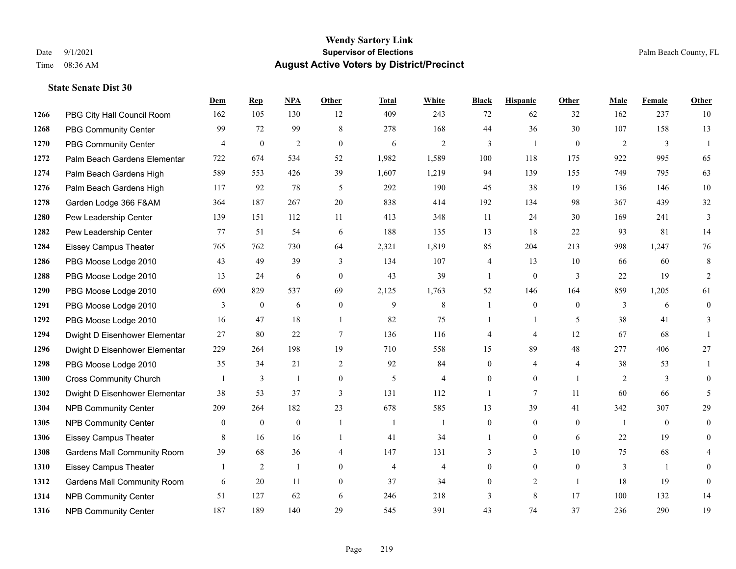#### **Wendy Sartory Link** Date 9/1/2021 **Supervisor of Elections** Palm Beach County, FL Time 08:36 AM **August Active Voters by District/Precinct**

# **Dem Rep NPA Other Total White Black Hispanic Other Male Female Other** PBG City Hall Council Room 162 105 130 12 409 243 72 62 32 162 237 10 PBG Community Center 99 72 99 8 278 168 44 36 30 107 158 13 PBG Community Center  $\begin{array}{ccccccccccccc}\n4 & 0 & 2 & 0 & 6 & 2 & 3 & 1 & 0 & 2 & 3 & 1\n\end{array}$  Palm Beach Gardens Elementary 722 674 534 52 1,982 1,589 100 118 175 922 995 65 Palm Beach Gardens High 589 553 426 39 1,607 1,219 94 139 155 749 795 63 Palm Beach Gardens High 117 92 78 5 292 190 45 38 19 136 146 10 Garden Lodge 366 F&AM 364 187 267 20 838 414 192 134 98 367 439 32 Pew Leadership Center 139 151 112 11 413 348 11 24 30 169 241 3 Pew Leadership Center 77 51 54 6 188 135 13 18 22 93 81 14 Eissey Campus Theater 765 762 730 64 2,321 1,819 85 204 213 998 1,247 76 PBG Moose Lodge 2010 43 49 39 3 134 107 4 13 10 66 60 8 PBG Moose Lodge 2010 13 24 6 0 43 39 1 0 3 22 19 2 PBG Moose Lodge 2010 690 829 537 69 2,125 1,763 52 146 164 859 1,205 61 PBG Moose Lodge 2010 3 0 6 0 9 8 1 0 0 3 6 0 PBG Moose Lodge 2010 16 47 18 1 82 75 1 1 5 38 41 3 Dwight D Eisenhower Elementar 27 80 22 7 136 116 4 4 12 67 68 1 Dwight D Eisenhower Elementary 229 264 198 19 710 558 15 89 48 277 406 27 PBG Moose Lodge 2010 35 34 21 2 92 84 0 4 4 38 53 1 Cross Community Church 1 3 1 0 5 4 0 0 1 2 3 0 Dwight D Eisenhower Elementar 38 53 37 3 131 112 1 7 11 60 66 5 NPB Community Center 209 264 182 23 678 585 13 39 41 342 307 29 1305 NPB Community Center  $\begin{array}{ccccccccccccc}\n & 0 & 0 & 0 & 1 & 1 & 0 & 0 & 0 & 1 & 0 & 0\n\end{array}$  Eissey Campus Theater 8 16 16 1 41 34 1 0 6 22 19 0 Gardens Mall Community Room 39 68 36 4 147 131 3 3 10 75 68 4 Eissey Campus Theater 1 2 1 0 4 4 0 0 0 3 1 0 Gardens Mall Community Room 6 20 11 0 37 34 0 2 1 18 19 0 NPB Community Center 51 127 62 6 246 218 3 8 17 100 132 14 NPB Community Center 187 189 140 29 545 391 43 74 37 236 290 19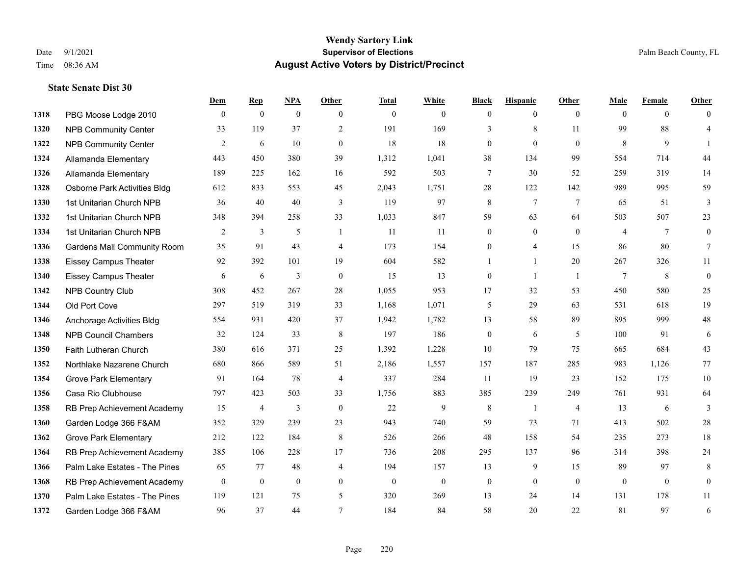## **Wendy Sartory Link** Date 9/1/2021 **Supervisor of Elections** Palm Beach County, FL Time 08:36 AM **August Active Voters by District/Precinct**

|      |                                    | Dem          | <b>Rep</b>   | <b>NPA</b>     | Other          | <b>Total</b> | White            | <b>Black</b>     | <b>Hispanic</b> | Other          | Male           | Female         | Other            |
|------|------------------------------------|--------------|--------------|----------------|----------------|--------------|------------------|------------------|-----------------|----------------|----------------|----------------|------------------|
| 1318 | PBG Moose Lodge 2010               | $\theta$     | $\mathbf{0}$ | $\mathbf{0}$   | $\theta$       | $\mathbf{0}$ | $\overline{0}$   | $\mathbf{0}$     | $\theta$        | $\theta$       | $\theta$       | $\Omega$       | $\overline{0}$   |
| 1320 | <b>NPB Community Center</b>        | 33           | 119          | 37             | 2              | 191          | 169              | 3                | 8               | 11             | 99             | 88             | $\overline{4}$   |
| 1322 | <b>NPB Community Center</b>        | 2            | 6            | 10             | $\mathbf{0}$   | 18           | 18               | $\boldsymbol{0}$ | $\mathbf{0}$    | $\mathbf{0}$   | 8              | 9              | $\mathbf{1}$     |
| 1324 | Allamanda Elementary               | 443          | 450          | 380            | 39             | 1,312        | 1,041            | 38               | 134             | 99             | 554            | 714            | 44               |
| 1326 | Allamanda Elementary               | 189          | 225          | 162            | 16             | 592          | 503              | 7                | 30              | 52             | 259            | 319            | 14               |
| 1328 | Osborne Park Activities Bldg       | 612          | 833          | 553            | 45             | 2,043        | 1,751            | 28               | 122             | 142            | 989            | 995            | 59               |
| 1330 | 1st Unitarian Church NPB           | 36           | 40           | 40             | 3              | 119          | 97               | 8                | $\tau$          | 7              | 65             | 51             | 3                |
| 1332 | 1st Unitarian Church NPB           | 348          | 394          | 258            | 33             | 1,033        | 847              | 59               | 63              | 64             | 503            | 507            | 23               |
| 1334 | 1st Unitarian Church NPB           | 2            | 3            | 5              | $\overline{1}$ | 11           | 11               | $\boldsymbol{0}$ | $\mathbf{0}$    | $\theta$       | $\overline{4}$ | 7              | $\boldsymbol{0}$ |
| 1336 | <b>Gardens Mall Community Room</b> | 35           | 91           | 43             | $\overline{4}$ | 173          | 154              | $\boldsymbol{0}$ | $\overline{4}$  | 15             | 86             | 80             | $7\phantom{.0}$  |
| 1338 | <b>Eissey Campus Theater</b>       | 92           | 392          | 101            | 19             | 604          | 582              |                  | $\mathbf{1}$    | 20             | 267            | 326            | 11               |
| 1340 | <b>Eissey Campus Theater</b>       | 6            | 6            | 3              | $\mathbf{0}$   | 15           | 13               | $\boldsymbol{0}$ | $\mathbf{1}$    | $\overline{1}$ | $\tau$         | 8              | $\boldsymbol{0}$ |
| 1342 | NPB Country Club                   | 308          | 452          | 267            | 28             | 1,055        | 953              | 17               | 32              | 53             | 450            | 580            | 25               |
| 1344 | Old Port Cove                      | 297          | 519          | 319            | 33             | 1,168        | 1,071            | 5                | 29              | 63             | 531            | 618            | 19               |
| 1346 | Anchorage Activities Bldg          | 554          | 931          | 420            | 37             | 1,942        | 1,782            | 13               | 58              | 89             | 895            | 999            | 48               |
| 1348 | <b>NPB Council Chambers</b>        | 32           | 124          | 33             | 8              | 197          | 186              | $\mathbf{0}$     | 6               | 5              | 100            | 91             | 6                |
| 1350 | Faith Lutheran Church              | 380          | 616          | 371            | 25             | 1,392        | 1,228            | 10               | 79              | 75             | 665            | 684            | 43               |
| 1352 | Northlake Nazarene Church          | 680          | 866          | 589            | 51             | 2,186        | 1,557            | 157              | 187             | 285            | 983            | 1,126          | 77               |
| 1354 | <b>Grove Park Elementary</b>       | 91           | 164          | 78             | $\overline{4}$ | 337          | 284              | 11               | 19              | 23             | 152            | 175            | 10               |
| 1356 | Casa Rio Clubhouse                 | 797          | 423          | 503            | 33             | 1,756        | 883              | 385              | 239             | 249            | 761            | 931            | 64               |
| 1358 | RB Prep Achievement Academy        | 15           | 4            | 3              | $\mathbf{0}$   | 22           | 9                | 8                | $\mathbf{1}$    | 4              | 13             | 6              | 3                |
| 1360 | Garden Lodge 366 F&AM              | 352          | 329          | 239            | 23             | 943          | 740              | 59               | 73              | 71             | 413            | 502            | $28\,$           |
| 1362 | <b>Grove Park Elementary</b>       | 212          | 122          | 184            | 8              | 526          | 266              | 48               | 158             | 54             | 235            | 273            | $18\,$           |
| 1364 | RB Prep Achievement Academy        | 385          | 106          | 228            | 17             | 736          | 208              | 295              | 137             | 96             | 314            | 398            | 24               |
| 1366 | Palm Lake Estates - The Pines      | 65           | 77           | 48             | $\overline{4}$ | 194          | 157              | 13               | 9               | 15             | 89             | 97             | 8                |
| 1368 | RB Prep Achievement Academy        | $\mathbf{0}$ | $\mathbf{0}$ | $\overline{0}$ | $\overline{0}$ | $\mathbf{0}$ | $\boldsymbol{0}$ | $\boldsymbol{0}$ | $\mathbf{0}$    | $\mathbf{0}$   | $\mathbf{0}$   | $\overline{0}$ | $\overline{0}$   |
| 1370 | Palm Lake Estates - The Pines      | 119          | 121          | 75             | 5              | 320          | 269              | 13               | 24              | 14             | 131            | 178            | 11               |
| 1372 | Garden Lodge 366 F&AM              | 96           | 37           | 44             | $\tau$         | 184          | 84               | 58               | 20              | 22             | 81             | 97             | 6                |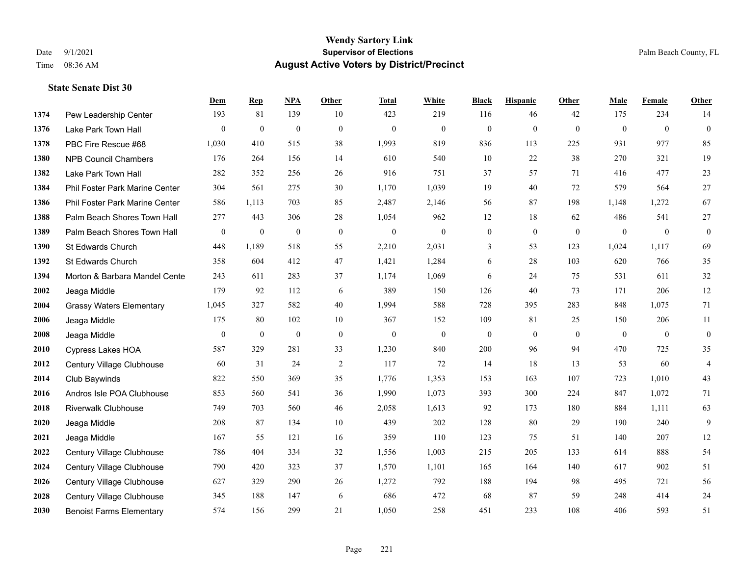#### **Wendy Sartory Link** Date 9/1/2021 **Supervisor of Elections** Palm Beach County, FL Time 08:36 AM **August Active Voters by District/Precinct**

# **Dem Rep NPA Other Total White Black Hispanic Other Male Female Other** Pew Leadership Center 193 81 139 10 423 219 116 46 42 175 234 14 Lake Park Town Hall 0 0 0 0 0 0 0 0 0 0 0 0 PBC Fire Rescue #68 1,030 410 515 38 1,993 819 836 113 225 931 977 85 NPB Council Chambers 176 264 156 14 610 540 10 22 38 270 321 19 Lake Park Town Hall 282 352 256 26 916 751 37 57 71 416 477 23 Phil Foster Park Marine Center 304 561 275 30 1,170 1,039 19 40 72 579 564 27 Phil Foster Park Marine Center 586 1,113 703 85 2,487 2,146 56 87 198 1,148 1,272 67 Palm Beach Shores Town Hall 277 443 306 28 1,054 962 12 18 62 486 541 27 Palm Beach Shores Town Hall 0 0 0 0 0 0 0 0 0 0 0 0 St Edwards Church 448 1,189 518 55 2,210 2,031 3 53 123 1,024 1,117 69 St Edwards Church 358 604 412 47 1,421 1,284 6 28 103 620 766 35 **1394 Morton & Barbara Mandel Cente** 243 611 283 37 1,174 1,069 6 24 75 531 611 32 Jeaga Middle 179 92 112 6 389 150 126 40 73 171 206 12 Grassy Waters Elementary 1,045 327 582 40 1,994 588 728 395 283 848 1,075 71 Jeaga Middle 175 80 102 10 367 152 109 81 25 150 206 11 Jeaga Middle 0 0 0 0 0 0 0 0 0 0 0 0 Cypress Lakes HOA 587 329 281 33 1,230 840 200 96 94 470 725 35 Century Village Clubhouse 60 31 24 2 117 72 14 18 13 53 60 4 Club Baywinds 822 550 369 35 1,776 1,353 153 163 107 723 1,010 43 Andros Isle POA Clubhouse 853 560 541 36 1,990 1,073 393 300 224 847 1,072 71 Riverwalk Clubhouse 749 703 560 46 2,058 1,613 92 173 180 884 1,111 63 Jeaga Middle 208 87 134 10 439 202 128 80 29 190 240 9 Jeaga Middle 167 55 121 16 359 110 123 75 51 140 207 12 Century Village Clubhouse 786 404 334 32 1,556 1,003 215 205 133 614 888 54 Century Village Clubhouse 790 420 323 37 1,570 1,101 165 164 140 617 902 51 Century Village Clubhouse 627 329 290 26 1,272 792 188 194 98 495 721 56 Century Village Clubhouse 345 188 147 6 686 472 68 87 59 248 414 24 Benoist Farms Elementary 574 156 299 21 1,050 258 451 233 108 406 593 51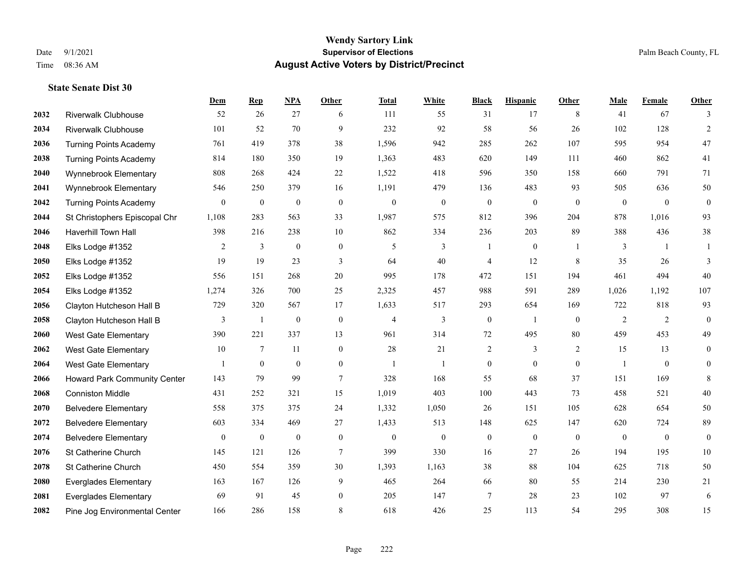|      |                                     | Dem              | <b>Rep</b>       | NPA              | <b>Other</b>    | <b>Total</b>   | <b>White</b>     | <b>Black</b>     | <b>Hispanic</b>  | <b>Other</b>   | <b>Male</b>    | Female         | <b>Other</b>     |
|------|-------------------------------------|------------------|------------------|------------------|-----------------|----------------|------------------|------------------|------------------|----------------|----------------|----------------|------------------|
| 2032 | <b>Riverwalk Clubhouse</b>          | 52               | 26               | 27               | 6               | 111            | 55               | 31               | 17               | 8              | 41             | 67             | 3                |
| 2034 | <b>Riverwalk Clubhouse</b>          | 101              | 52               | 70               | 9               | 232            | 92               | 58               | 56               | 26             | 102            | 128            | $\overline{2}$   |
| 2036 | <b>Turning Points Academy</b>       | 761              | 419              | 378              | 38              | 1,596          | 942              | 285              | 262              | 107            | 595            | 954            | $47\,$           |
| 2038 | <b>Turning Points Academy</b>       | 814              | 180              | 350              | 19              | 1,363          | 483              | 620              | 149              | 111            | 460            | 862            | 41               |
| 2040 | Wynnebrook Elementary               | 808              | 268              | 424              | 22              | 1,522          | 418              | 596              | 350              | 158            | 660            | 791            | 71               |
| 2041 | Wynnebrook Elementary               | 546              | 250              | 379              | 16              | 1,191          | 479              | 136              | 483              | 93             | 505            | 636            | $50\,$           |
| 2042 | <b>Turning Points Academy</b>       | $\bf{0}$         | $\boldsymbol{0}$ | $\boldsymbol{0}$ | $\mathbf{0}$    | $\theta$       | $\boldsymbol{0}$ | $\boldsymbol{0}$ | $\boldsymbol{0}$ | $\mathbf{0}$   | $\mathbf{0}$   | $\mathbf{0}$   | $\boldsymbol{0}$ |
| 2044 | St Christophers Episcopal Chr       | 1,108            | 283              | 563              | 33              | 1,987          | 575              | 812              | 396              | 204            | 878            | 1,016          | 93               |
| 2046 | <b>Haverhill Town Hall</b>          | 398              | 216              | 238              | 10              | 862            | 334              | 236              | 203              | 89             | 388            | 436            | 38               |
| 2048 | Elks Lodge #1352                    | 2                | 3                | $\boldsymbol{0}$ | $\overline{0}$  | 5              | 3                | 1                | $\boldsymbol{0}$ | -1             | 3              | $\overline{1}$ | 1                |
| 2050 | Elks Lodge #1352                    | 19               | 19               | 23               | 3               | 64             | 40               | 4                | 12               | 8              | 35             | 26             | 3                |
| 2052 | Elks Lodge #1352                    | 556              | 151              | 268              | 20              | 995            | 178              | 472              | 151              | 194            | 461            | 494            | 40               |
| 2054 | Elks Lodge #1352                    | 1,274            | 326              | 700              | 25              | 2,325          | 457              | 988              | 591              | 289            | 1,026          | 1,192          | 107              |
| 2056 | Clayton Hutcheson Hall B            | 729              | 320              | 567              | 17              | 1,633          | 517              | 293              | 654              | 169            | 722            | 818            | 93               |
| 2058 | Clayton Hutcheson Hall B            | 3                | $\mathbf{1}$     | $\mathbf{0}$     | $\mathbf{0}$    | $\overline{4}$ | 3                | $\boldsymbol{0}$ | $\mathbf{1}$     | $\theta$       | 2              | 2              | $\mathbf{0}$     |
| 2060 | West Gate Elementary                | 390              | 221              | 337              | 13              | 961            | 314              | 72               | 495              | 80             | 459            | 453            | 49               |
| 2062 | West Gate Elementary                | 10               | $\tau$           | 11               | $\overline{0}$  | 28             | 21               | 2                | 3                | 2              | 15             | 13             | $\boldsymbol{0}$ |
| 2064 | <b>West Gate Elementary</b>         |                  | $\mathbf{0}$     | $\mathbf{0}$     | $\overline{0}$  | $\overline{1}$ | $\mathbf{1}$     | $\boldsymbol{0}$ | $\mathbf{0}$     | $\theta$       | $\overline{1}$ | $\theta$       | $\mathbf{0}$     |
| 2066 | <b>Howard Park Community Center</b> | 143              | 79               | 99               | $7\phantom{.0}$ | 328            | 168              | 55               | 68               | 37             | 151            | 169            | 8                |
| 2068 | <b>Conniston Middle</b>             | 431              | 252              | 321              | 15              | 1,019          | 403              | 100              | 443              | 73             | 458            | 521            | 40               |
| 2070 | <b>Belvedere Elementary</b>         | 558              | 375              | 375              | 24              | 1,332          | 1,050            | 26               | 151              | 105            | 628            | 654            | 50               |
| 2072 | <b>Belvedere Elementary</b>         | 603              | 334              | 469              | $27\,$          | 1,433          | 513              | 148              | 625              | 147            | 620            | 724            | 89               |
| 2074 | <b>Belvedere Elementary</b>         | $\boldsymbol{0}$ | $\boldsymbol{0}$ | $\boldsymbol{0}$ | $\bf{0}$        | $\mathbf{0}$   | $\boldsymbol{0}$ | $\boldsymbol{0}$ | $\boldsymbol{0}$ | $\overline{0}$ | $\mathbf{0}$   | $\overline{0}$ | $\boldsymbol{0}$ |
| 2076 | St Catherine Church                 | 145              | 121              | 126              | $\tau$          | 399            | 330              | 16               | 27               | 26             | 194            | 195            | 10               |
| 2078 | St Catherine Church                 | 450              | 554              | 359              | 30              | 1,393          | 1,163            | 38               | 88               | 104            | 625            | 718            | 50               |
| 2080 | <b>Everglades Elementary</b>        | 163              | 167              | 126              | 9               | 465            | 264              | 66               | 80               | 55             | 214            | 230            | 21               |
| 2081 | <b>Everglades Elementary</b>        | 69               | 91               | 45               | $\overline{0}$  | 205            | 147              | 7                | 28               | 23             | 102            | 97             | 6                |
| 2082 | Pine Jog Environmental Center       | 166              | 286              | 158              | 8               | 618            | 426              | 25               | 113              | 54             | 295            | 308            | 15               |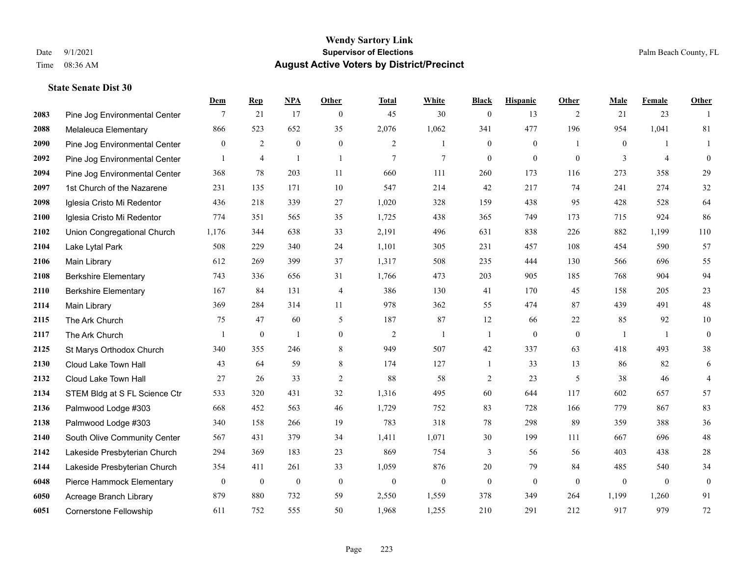|      |                               | Dem              | <b>Rep</b>       | NPA              | <b>Other</b>     | <b>Total</b>   | <b>White</b>     | <b>Black</b>     | <b>Hispanic</b>  | <b>Other</b>   | <b>Male</b>      | <b>Female</b>  | <b>Other</b>     |
|------|-------------------------------|------------------|------------------|------------------|------------------|----------------|------------------|------------------|------------------|----------------|------------------|----------------|------------------|
| 2083 | Pine Jog Environmental Center | 7                | 21               | 17               | $\overline{0}$   | 45             | 30               | $\boldsymbol{0}$ | 13               | 2              | 21               | 23             | $\overline{1}$   |
| 2088 | Melaleuca Elementary          | 866              | 523              | 652              | 35               | 2,076          | 1,062            | 341              | 477              | 196            | 954              | 1,041          | 81               |
| 2090 | Pine Jog Environmental Center | $\overline{0}$   | $\overline{2}$   | $\mathbf{0}$     | $\overline{0}$   | 2              | $\mathbf{1}$     | $\boldsymbol{0}$ | $\boldsymbol{0}$ | $\overline{1}$ | $\overline{0}$   | $\mathbf{1}$   | 1                |
| 2092 | Pine Jog Environmental Center | $\mathbf{1}$     | $\overline{4}$   | $\overline{1}$   | $\mathbf{1}$     | $\overline{7}$ | $\tau$           | $\mathbf{0}$     | $\mathbf{0}$     | $\theta$       | 3                | $\overline{4}$ | $\mathbf{0}$     |
| 2094 | Pine Jog Environmental Center | 368              | 78               | 203              | 11               | 660            | 111              | 260              | 173              | 116            | 273              | 358            | 29               |
| 2097 | 1st Church of the Nazarene    | 231              | 135              | 171              | 10               | 547            | 214              | 42               | 217              | 74             | 241              | 274            | 32               |
| 2098 | Iglesia Cristo Mi Redentor    | 436              | 218              | 339              | 27               | 1,020          | 328              | 159              | 438              | 95             | 428              | 528            | 64               |
| 2100 | Iglesia Cristo Mi Redentor    | 774              | 351              | 565              | 35               | 1,725          | 438              | 365              | 749              | 173            | 715              | 924            | 86               |
| 2102 | Union Congregational Church   | 1,176            | 344              | 638              | 33               | 2,191          | 496              | 631              | 838              | 226            | 882              | 1,199          | 110              |
| 2104 | Lake Lytal Park               | 508              | 229              | 340              | 24               | 1,101          | 305              | 231              | 457              | 108            | 454              | 590            | 57               |
| 2106 | Main Library                  | 612              | 269              | 399              | 37               | 1,317          | 508              | 235              | 444              | 130            | 566              | 696            | 55               |
| 2108 | <b>Berkshire Elementary</b>   | 743              | 336              | 656              | 31               | 1,766          | 473              | 203              | 905              | 185            | 768              | 904            | 94               |
| 2110 | <b>Berkshire Elementary</b>   | 167              | 84               | 131              | 4                | 386            | 130              | 41               | 170              | 45             | 158              | 205            | $23\,$           |
| 2114 | Main Library                  | 369              | 284              | 314              | 11               | 978            | 362              | 55               | 474              | 87             | 439              | 491            | $48\,$           |
| 2115 | The Ark Church                | 75               | 47               | 60               | 5                | 187            | 87               | 12               | 66               | 22             | 85               | 92             | $10\,$           |
| 2117 | The Ark Church                | $\mathbf{1}$     | $\boldsymbol{0}$ | $\overline{1}$   | $\overline{0}$   | $\overline{2}$ | $\mathbf{1}$     | $\mathbf{1}$     | $\mathbf{0}$     | $\mathbf{0}$   | -1               | -1             | $\mathbf{0}$     |
| 2125 | St Marys Orthodox Church      | 340              | 355              | 246              | 8                | 949            | 507              | 42               | 337              | 63             | 418              | 493            | $38\,$           |
| 2130 | Cloud Lake Town Hall          | 43               | 64               | 59               | 8                | 174            | 127              | $\mathbf{1}$     | 33               | 13             | 86               | 82             | 6                |
| 2132 | Cloud Lake Town Hall          | 27               | 26               | 33               | $\sqrt{2}$       | 88             | 58               | $\overline{c}$   | 23               | $\mathfrak{H}$ | 38               | 46             | $\overline{4}$   |
| 2134 | STEM Bldg at S FL Science Ctr | 533              | 320              | 431              | 32               | 1,316          | 495              | 60               | 644              | 117            | 602              | 657            | 57               |
| 2136 | Palmwood Lodge #303           | 668              | 452              | 563              | 46               | 1,729          | 752              | 83               | 728              | 166            | 779              | 867            | 83               |
| 2138 | Palmwood Lodge #303           | 340              | 158              | 266              | 19               | 783            | 318              | 78               | 298              | 89             | 359              | 388            | $36\,$           |
| 2140 | South Olive Community Center  | 567              | 431              | 379              | 34               | 1,411          | 1,071            | 30               | 199              | 111            | 667              | 696            | $48\,$           |
| 2142 | Lakeside Presbyterian Church  | 294              | 369              | 183              | 23               | 869            | 754              | 3                | 56               | 56             | 403              | 438            | $28\,$           |
| 2144 | Lakeside Presbyterian Church  | 354              | 411              | 261              | 33               | 1,059          | 876              | 20               | 79               | 84             | 485              | 540            | 34               |
| 6048 | Pierce Hammock Elementary     | $\boldsymbol{0}$ | $\boldsymbol{0}$ | $\boldsymbol{0}$ | $\boldsymbol{0}$ | $\mathbf{0}$   | $\boldsymbol{0}$ | $\boldsymbol{0}$ | $\boldsymbol{0}$ | $\mathbf{0}$   | $\boldsymbol{0}$ | $\mathbf{0}$   | $\boldsymbol{0}$ |
| 6050 | Acreage Branch Library        | 879              | 880              | 732              | 59               | 2,550          | 1,559            | 378              | 349              | 264            | 1,199            | 1,260          | 91               |
| 6051 | <b>Cornerstone Fellowship</b> | 611              | 752              | 555              | 50               | 1,968          | 1,255            | 210              | 291              | 212            | 917              | 979            | $72\,$           |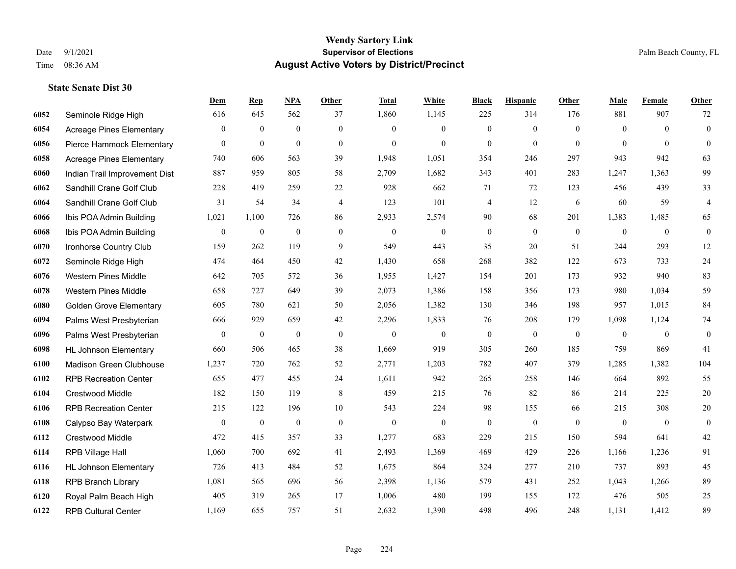|      |                                 | Dem              | <b>Rep</b>       | NPA              | <b>Other</b>   | <b>Total</b>     | White            | <b>Black</b>             | <b>Hispanic</b>  | <b>Other</b> | <b>Male</b>      | <b>Female</b>  | <b>Other</b>     |
|------|---------------------------------|------------------|------------------|------------------|----------------|------------------|------------------|--------------------------|------------------|--------------|------------------|----------------|------------------|
| 6052 | Seminole Ridge High             | 616              | 645              | 562              | 37             | 1,860            | 1,145            | 225                      | 314              | 176          | 881              | 907            | 72               |
| 6054 | Acreage Pines Elementary        | $\mathbf{0}$     | $\mathbf{0}$     | $\overline{0}$   | $\overline{0}$ | $\theta$         | $\overline{0}$   | $\mathbf{0}$             | $\mathbf{0}$     | $\theta$     | $\theta$         | $\theta$       | $\mathbf{0}$     |
| 6056 | Pierce Hammock Elementary       | $\overline{0}$   | $\mathbf{0}$     | $\mathbf{0}$     | $\Omega$       | $\theta$         | $\Omega$         | $\theta$                 | $\mathbf{0}$     | $\theta$     | $\theta$         | $\Omega$       | $\theta$         |
| 6058 | <b>Acreage Pines Elementary</b> | 740              | 606              | 563              | 39             | 1,948            | 1,051            | 354                      | 246              | 297          | 943              | 942            | 63               |
| 6060 | Indian Trail Improvement Dist   | 887              | 959              | 805              | 58             | 2,709            | 1,682            | 343                      | 401              | 283          | 1,247            | 1,363          | 99               |
| 6062 | Sandhill Crane Golf Club        | 228              | 419              | 259              | 22             | 928              | 662              | 71                       | 72               | 123          | 456              | 439            | 33               |
| 6064 | Sandhill Crane Golf Club        | 31               | 54               | 34               | 4              | 123              | 101              | $\overline{\mathcal{A}}$ | 12               | 6            | 60               | 59             | $\overline{4}$   |
| 6066 | Ibis POA Admin Building         | 1,021            | 1,100            | 726              | 86             | 2,933            | 2,574            | 90                       | 68               | 201          | 1,383            | 1,485          | 65               |
| 6068 | Ibis POA Admin Building         | $\mathbf{0}$     | $\boldsymbol{0}$ | $\boldsymbol{0}$ | $\overline{0}$ | $\boldsymbol{0}$ | $\boldsymbol{0}$ | $\boldsymbol{0}$         | $\mathbf{0}$     | $\mathbf{0}$ | $\mathbf{0}$     | $\mathbf{0}$   | $\boldsymbol{0}$ |
| 6070 | Ironhorse Country Club          | 159              | 262              | 119              | 9              | 549              | 443              | 35                       | 20               | 51           | 244              | 293            | 12               |
| 6072 | Seminole Ridge High             | 474              | 464              | 450              | 42             | 1,430            | 658              | 268                      | 382              | 122          | 673              | 733            | $24\,$           |
| 6076 | <b>Western Pines Middle</b>     | 642              | 705              | 572              | 36             | 1,955            | 1,427            | 154                      | 201              | 173          | 932              | 940            | 83               |
| 6078 | <b>Western Pines Middle</b>     | 658              | 727              | 649              | 39             | 2,073            | 1,386            | 158                      | 356              | 173          | 980              | 1,034          | 59               |
| 6080 | <b>Golden Grove Elementary</b>  | 605              | 780              | 621              | 50             | 2,056            | 1,382            | 130                      | 346              | 198          | 957              | 1,015          | 84               |
| 6094 | Palms West Presbyterian         | 666              | 929              | 659              | 42             | 2,296            | 1,833            | 76                       | 208              | 179          | 1,098            | 1,124          | 74               |
| 6096 | Palms West Presbyterian         | $\overline{0}$   | $\boldsymbol{0}$ | $\boldsymbol{0}$ | $\mathbf{0}$   | $\mathbf{0}$     | $\boldsymbol{0}$ | $\boldsymbol{0}$         | $\mathbf{0}$     | $\mathbf{0}$ | $\mathbf{0}$     | $\overline{0}$ | $\boldsymbol{0}$ |
| 6098 | <b>HL Johnson Elementary</b>    | 660              | 506              | 465              | 38             | 1,669            | 919              | 305                      | 260              | 185          | 759              | 869            | 41               |
| 6100 | Madison Green Clubhouse         | 1,237            | 720              | 762              | 52             | 2,771            | 1,203            | 782                      | 407              | 379          | 1,285            | 1,382          | 104              |
| 6102 | <b>RPB Recreation Center</b>    | 655              | 477              | 455              | 24             | 1,611            | 942              | 265                      | 258              | 146          | 664              | 892            | 55               |
| 6104 | <b>Crestwood Middle</b>         | 182              | 150              | 119              | $\,8\,$        | 459              | 215              | 76                       | 82               | 86           | 214              | 225            | $20\,$           |
| 6106 | <b>RPB Recreation Center</b>    | 215              | 122              | 196              | 10             | 543              | 224              | 98                       | 155              | 66           | 215              | 308            | $20\,$           |
| 6108 | Calypso Bay Waterpark           | $\boldsymbol{0}$ | $\boldsymbol{0}$ | $\boldsymbol{0}$ | $\mathbf{0}$   | $\boldsymbol{0}$ | $\boldsymbol{0}$ | $\boldsymbol{0}$         | $\boldsymbol{0}$ | $\mathbf{0}$ | $\boldsymbol{0}$ | $\mathbf{0}$   | $\mathbf{0}$     |
| 6112 | <b>Crestwood Middle</b>         | 472              | 415              | 357              | 33             | 1,277            | 683              | 229                      | 215              | 150          | 594              | 641            | $42\,$           |
| 6114 | RPB Village Hall                | 1,060            | 700              | 692              | 41             | 2,493            | 1,369            | 469                      | 429              | 226          | 1,166            | 1,236          | 91               |
| 6116 | <b>HL Johnson Elementary</b>    | 726              | 413              | 484              | 52             | 1,675            | 864              | 324                      | 277              | 210          | 737              | 893            | $45\,$           |
| 6118 | <b>RPB Branch Library</b>       | 1,081            | 565              | 696              | 56             | 2,398            | 1,136            | 579                      | 431              | 252          | 1,043            | 1,266          | 89               |
| 6120 | Royal Palm Beach High           | 405              | 319              | 265              | 17             | 1,006            | 480              | 199                      | 155              | 172          | 476              | 505            | 25               |
| 6122 | <b>RPB Cultural Center</b>      | 1,169            | 655              | 757              | 51             | 2,632            | 1,390            | 498                      | 496              | 248          | 1,131            | 1,412          | 89               |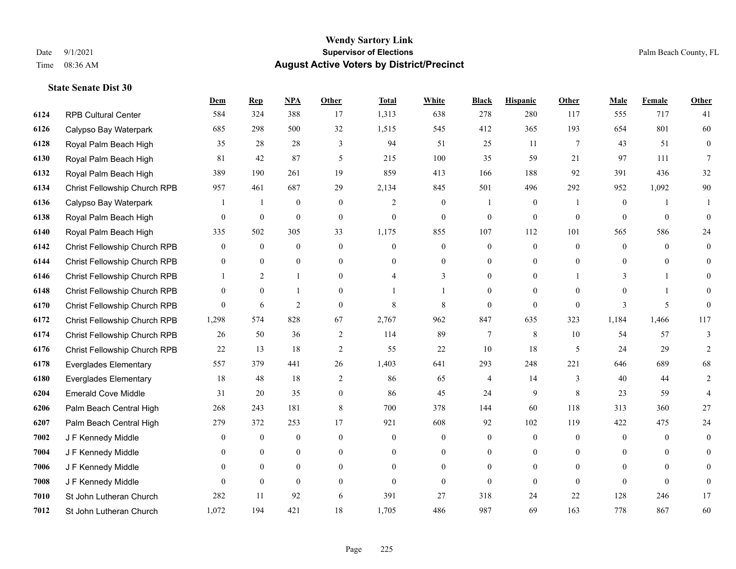|      |                              | <b>Dem</b>     | <b>Rep</b>       | NPA              | <b>Other</b>   | <b>Total</b>   | <b>White</b>     | <b>Black</b>   | <b>Hispanic</b>  | <b>Other</b>    | <b>Male</b>      | Female         | <b>Other</b>   |
|------|------------------------------|----------------|------------------|------------------|----------------|----------------|------------------|----------------|------------------|-----------------|------------------|----------------|----------------|
| 6124 | <b>RPB Cultural Center</b>   | 584            | 324              | 388              | 17             | 1,313          | 638              | 278            | 280              | 117             | 555              | 717            | 41             |
| 6126 | Calypso Bay Waterpark        | 685            | 298              | 500              | 32             | 1,515          | 545              | 412            | 365              | 193             | 654              | 801            | 60             |
| 6128 | Royal Palm Beach High        | 35             | 28               | 28               | 3              | 94             | 51               | 25             | 11               | $7\phantom{.0}$ | 43               | 51             | $\overline{0}$ |
| 6130 | Royal Palm Beach High        | 81             | 42               | 87               | 5              | 215            | 100              | 35             | 59               | 21              | 97               | 111            | 7              |
| 6132 | Royal Palm Beach High        | 389            | 190              | 261              | 19             | 859            | 413              | 166            | 188              | 92              | 391              | 436            | 32             |
| 6134 | Christ Fellowship Church RPB | 957            | 461              | 687              | 29             | 2,134          | 845              | 501            | 496              | 292             | 952              | 1,092          | 90             |
| 6136 | Calypso Bay Waterpark        | 1              | $\mathbf{1}$     | $\boldsymbol{0}$ | $\overline{0}$ | $\overline{2}$ | $\boldsymbol{0}$ |                | $\boldsymbol{0}$ | $\overline{1}$  | $\boldsymbol{0}$ | $\mathbf{1}$   | 1              |
| 6138 | Royal Palm Beach High        | 0              | $\boldsymbol{0}$ | $\mathbf{0}$     | $\overline{0}$ | $\theta$       | $\overline{0}$   | $\mathbf{0}$   | $\mathbf{0}$     | $\theta$        | $\theta$         | $\theta$       | $\Omega$       |
| 6140 | Royal Palm Beach High        | 335            | 502              | 305              | 33             | 1,175          | 855              | 107            | 112              | 101             | 565              | 586            | 24             |
| 6142 | Christ Fellowship Church RPB | $\overline{0}$ | $\mathbf{0}$     | $\mathbf{0}$     | $\overline{0}$ | $\theta$       | $\overline{0}$   | $\overline{0}$ | $\mathbf{0}$     | $\theta$        | $\mathbf{0}$     | $\theta$       | $\overline{0}$ |
| 6144 | Christ Fellowship Church RPB | 0              | $\mathbf{0}$     | $\overline{0}$   | $\overline{0}$ | $\theta$       | $\overline{0}$   | $\mathbf{0}$   | $\mathbf{0}$     | $\theta$        | $\overline{0}$   | $\overline{0}$ | $\theta$       |
| 6146 | Christ Fellowship Church RPB |                | 2                | $\mathbf{1}$     | $\Omega$       |                | 3                | $\theta$       | $\mathbf{0}$     |                 | 3                |                | $\Omega$       |
| 6148 | Christ Fellowship Church RPB | 0              | $\mathbf{0}$     | 1                | $\Omega$       |                |                  | $\theta$       | $\theta$         | $\Omega$        | $\Omega$         |                | $\theta$       |
| 6170 | Christ Fellowship Church RPB | $\overline{0}$ | 6                | $\overline{2}$   | $\Omega$       | $\,$ 8 $\,$    | 8                | $\mathbf{0}$   | $\mathbf{0}$     | $\mathbf{0}$    | 3                | 5              | $\Omega$       |
| 6172 | Christ Fellowship Church RPB | 1,298          | 574              | 828              | 67             | 2,767          | 962              | 847            | 635              | 323             | 1,184            | 1,466          | 117            |
| 6174 | Christ Fellowship Church RPB | 26             | 50               | 36               | 2              | 114            | 89               | $\tau$         | 8                | 10              | 54               | 57             | 3              |
| 6176 | Christ Fellowship Church RPB | 22             | 13               | 18               | $\mathfrak{2}$ | 55             | 22               | 10             | 18               | 5               | 24               | 29             | $\overline{c}$ |
| 6178 | <b>Everglades Elementary</b> | 557            | 379              | 441              | 26             | 1,403          | 641              | 293            | 248              | 221             | 646              | 689            | 68             |
| 6180 | <b>Everglades Elementary</b> | 18             | 48               | 18               | 2              | 86             | 65               | 4              | 14               | 3               | 40               | 44             | 2              |
| 6204 | <b>Emerald Cove Middle</b>   | 31             | 20               | 35               | $\overline{0}$ | 86             | 45               | 24             | 9                | 8               | 23               | 59             | 4              |
| 6206 | Palm Beach Central High      | 268            | 243              | 181              | 8              | 700            | 378              | 144            | 60               | 118             | 313              | 360            | 27             |
| 6207 | Palm Beach Central High      | 279            | 372              | 253              | 17             | 921            | 608              | 92             | 102              | 119             | 422              | 475            | 24             |
| 7002 | J F Kennedy Middle           | 0              | $\boldsymbol{0}$ | $\mathbf{0}$     | $\overline{0}$ | $\theta$       | $\boldsymbol{0}$ | $\mathbf{0}$   | $\mathbf{0}$     | $\theta$        | $\mathbf{0}$     | $\theta$       | $\overline{0}$ |
| 7004 | J F Kennedy Middle           | 0              | $\theta$         | $\overline{0}$   | $\Omega$       | $\theta$       | $\overline{0}$   | $\mathbf{0}$   | $\mathbf{0}$     | $\theta$        | $\theta$         | $\Omega$       | $\Omega$       |
| 7006 | J F Kennedy Middle           | $\overline{0}$ | $\overline{0}$   | $\boldsymbol{0}$ | $\overline{0}$ | $\Omega$       | $\boldsymbol{0}$ | $\overline{0}$ | $\mathbf{0}$     | $\theta$        | $\overline{0}$   | $\Omega$       | $\Omega$       |
| 7008 | J F Kennedy Middle           | 0              | $\mathbf{0}$     | $\mathbf{0}$     | $\theta$       | $\theta$       | $\overline{0}$   | $\theta$       | $\theta$         | $\theta$        | $\theta$         | $\theta$       | $\mathbf{0}$   |
| 7010 | St John Lutheran Church      | 282            | 11               | 92               | 6              | 391            | 27               | 318            | 24               | 22              | 128              | 246            | 17             |
| 7012 | St John Lutheran Church      | 1,072          | 194              | 421              | 18             | 1,705          | 486              | 987            | 69               | 163             | 778              | 867            | 60             |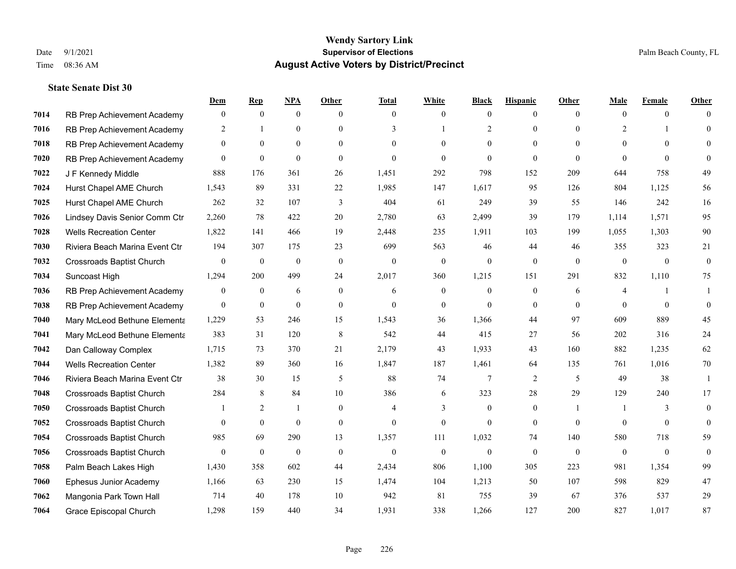|      |                                  | Dem          | <b>Rep</b>     | NPA              | <b>Other</b>   | <b>Total</b>             | <b>White</b>     | <b>Black</b>   | <b>Hispanic</b> | <b>Other</b>   | <b>Male</b>    | <b>Female</b>  | <b>Other</b> |
|------|----------------------------------|--------------|----------------|------------------|----------------|--------------------------|------------------|----------------|-----------------|----------------|----------------|----------------|--------------|
| 7014 | RB Prep Achievement Academy      | $\mathbf{0}$ | $\mathbf{0}$   | $\overline{0}$   | $\theta$       | $\theta$                 | $\mathbf{0}$     | $\mathbf{0}$   | $\mathbf{0}$    | $\theta$       | $\theta$       | $\theta$       | $\Omega$     |
| 7016 | RB Prep Achievement Academy      | 2            |                | $\overline{0}$   | $\Omega$       | 3                        |                  | $\overline{2}$ | $\theta$        | $\Omega$       | 2              |                | $\theta$     |
| 7018 | RB Prep Achievement Academy      | $\Omega$     | $\theta$       | $\theta$         | $\Omega$       | $\Omega$                 | $\Omega$         | $\Omega$       | $\Omega$        | $\Omega$       | $\Omega$       | $\Omega$       | $\Omega$     |
| 7020 | RB Prep Achievement Academy      | $\mathbf{0}$ | $\mathbf{0}$   | $\mathbf{0}$     | $\overline{0}$ | $\theta$                 | $\Omega$         | $\mathbf{0}$   | $\mathbf{0}$    | $\theta$       | $\theta$       | $\theta$       | $\Omega$     |
| 7022 | J F Kennedy Middle               | 888          | 176            | 361              | 26             | 1,451                    | 292              | 798            | 152             | 209            | 644            | 758            | 49           |
| 7024 | Hurst Chapel AME Church          | 1,543        | 89             | 331              | 22             | 1,985                    | 147              | 1,617          | 95              | 126            | 804            | 1,125          | 56           |
| 7025 | Hurst Chapel AME Church          | 262          | 32             | 107              | 3              | 404                      | 61               | 249            | 39              | 55             | 146            | 242            | 16           |
| 7026 | Lindsey Davis Senior Comm Ctr    | 2,260        | 78             | 422              | 20             | 2,780                    | 63               | 2,499          | 39              | 179            | 1,114          | 1,571          | 95           |
| 7028 | <b>Wells Recreation Center</b>   | 1,822        | 141            | 466              | 19             | 2,448                    | 235              | 1,911          | 103             | 199            | 1,055          | 1,303          | 90           |
| 7030 | Riviera Beach Marina Event Ctr   | 194          | 307            | 175              | 23             | 699                      | 563              | 46             | 44              | 46             | 355            | 323            | 21           |
| 7032 | <b>Crossroads Baptist Church</b> | $\mathbf{0}$ | $\bf{0}$       | $\boldsymbol{0}$ | $\mathbf{0}$   | $\mathbf{0}$             | $\boldsymbol{0}$ | $\mathbf{0}$   | $\mathbf{0}$    | $\theta$       | $\overline{0}$ | $\overline{0}$ | $\mathbf{0}$ |
| 7034 | Suncoast High                    | 1,294        | 200            | 499              | 24             | 2,017                    | 360              | 1,215          | 151             | 291            | 832            | 1,110          | 75           |
| 7036 | RB Prep Achievement Academy      | $\mathbf{0}$ | $\overline{0}$ | 6                | $\overline{0}$ | 6                        | $\mathbf{0}$     | $\theta$       | $\mathbf{0}$    | 6              | $\overline{4}$ |                | 1            |
| 7038 | RB Prep Achievement Academy      | $\mathbf{0}$ | $\bf{0}$       | $\mathbf{0}$     | $\overline{0}$ | $\theta$                 | $\boldsymbol{0}$ | $\mathbf{0}$   | $\mathbf{0}$    | $\Omega$       | $\theta$       | $\theta$       | $\theta$     |
| 7040 | Mary McLeod Bethune Elementa     | 1,229        | 53             | 246              | 15             | 1,543                    | 36               | 1,366          | 44              | 97             | 609            | 889            | 45           |
| 7041 | Mary McLeod Bethune Elementa     | 383          | 31             | 120              | 8              | 542                      | 44               | 415            | 27              | 56             | 202            | 316            | 24           |
| 7042 | Dan Calloway Complex             | 1,715        | 73             | 370              | 21             | 2,179                    | 43               | 1,933          | 43              | 160            | 882            | 1,235          | 62           |
| 7044 | <b>Wells Recreation Center</b>   | 1,382        | 89             | 360              | 16             | 1,847                    | 187              | 1,461          | 64              | 135            | 761            | 1,016          | 70           |
| 7046 | Riviera Beach Marina Event Ctr   | 38           | 30             | 15               | 5              | 88                       | 74               | 7              | 2               | 5              | 49             | 38             | -1           |
| 7048 | <b>Crossroads Baptist Church</b> | 284          | 8              | 84               | 10             | 386                      | 6                | 323            | 28              | 29             | 129            | 240            | 17           |
| 7050 | <b>Crossroads Baptist Church</b> |              | 2              | $\mathbf{1}$     | $\Omega$       | $\boldsymbol{\varDelta}$ | 3                | $\theta$       | $\theta$        | $\overline{1}$ |                | 3              | $\theta$     |
| 7052 | <b>Crossroads Baptist Church</b> | 0            | $\bf{0}$       | $\mathbf{0}$     | $\overline{0}$ | $\theta$                 | $\mathbf{0}$     | $\mathbf{0}$   | $\mathbf{0}$    | $\theta$       | $\overline{0}$ | $\theta$       | $\theta$     |
| 7054 | <b>Crossroads Baptist Church</b> | 985          | 69             | 290              | 13             | 1,357                    | 111              | 1,032          | 74              | 140            | 580            | 718            | 59           |
| 7056 | <b>Crossroads Baptist Church</b> | $\mathbf{0}$ | $\mathbf{0}$   | $\mathbf{0}$     | $\theta$       | $\theta$                 | $\mathbf{0}$     | $\theta$       | $\theta$        | $\Omega$       | $\mathbf{0}$   | $\theta$       | $\theta$     |
| 7058 | Palm Beach Lakes High            | 1,430        | 358            | 602              | 44             | 2,434                    | 806              | 1,100          | 305             | 223            | 981            | 1,354          | 99           |
| 7060 | Ephesus Junior Academy           | 1,166        | 63             | 230              | 15             | 1,474                    | 104              | 1,213          | 50              | 107            | 598            | 829            | 47           |
| 7062 | Mangonia Park Town Hall          | 714          | 40             | 178              | 10             | 942                      | 81               | 755            | 39              | 67             | 376            | 537            | 29           |
| 7064 | Grace Episcopal Church           | 1,298        | 159            | 440              | 34             | 1,931                    | 338              | 1,266          | 127             | 200            | 827            | 1,017          | 87           |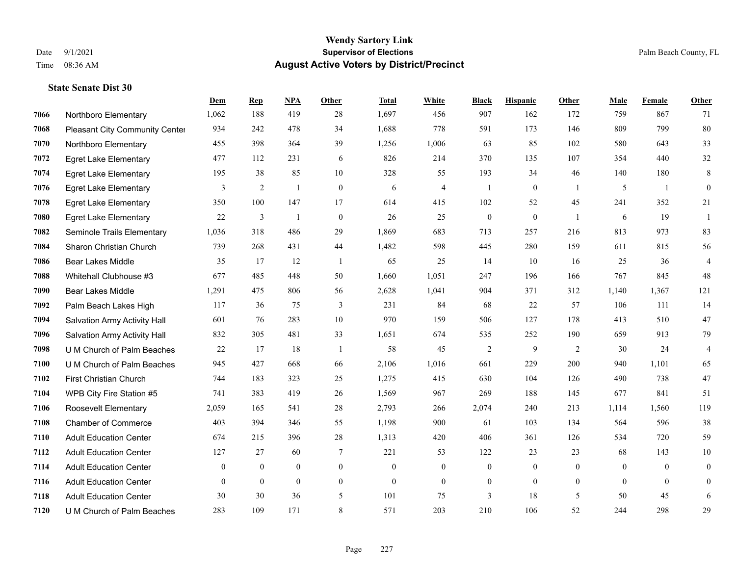#### **Wendy Sartory Link** Date 9/1/2021 **Supervisor of Elections** Palm Beach County, FL Time 08:36 AM **August Active Voters by District/Precinct**

# **Dem Rep NPA Other Total White Black Hispanic Other Male Female Other** Northboro Elementary 1,062 188 419 28 1,697 456 907 162 172 759 867 71 Pleasant City Community Center 934 242 478 34 1,688 778 591 173 146 809 799 80 Northboro Elementary 455 398 364 39 1,256 1,006 63 85 102 580 643 33 Egret Lake Elementary 477 112 231 6 826 214 370 135 107 354 440 32 Egret Lake Elementary 195 38 85 10 328 55 193 34 46 140 180 8 Egret Lake Elementary 3 2 1 0 6 4 1 0 1 5 1 0 Egret Lake Elementary 350 100 147 17 614 415 102 52 45 241 352 21 Egret Lake Elementary 22 3 1 0 26 25 0 0 1 6 19 1 Seminole Trails Elementary 1,036 318 486 29 1,869 683 713 257 216 813 973 83 Sharon Christian Church 739 268 431 44 1,482 598 445 280 159 611 815 56 Bear Lakes Middle 35 17 12 1 65 25 14 10 16 25 36 4 Whitehall Clubhouse #3 677 485 448 50 1,660 1,051 247 196 166 767 845 48 Bear Lakes Middle 1,291 475 806 56 2,628 1,041 904 371 312 1,140 1,367 121 Palm Beach Lakes High 117 36 75 3 231 84 68 22 57 106 111 14 Salvation Army Activity Hall 601 76 283 10 970 159 506 127 178 413 510 47 Salvation Army Activity Hall 832 305 481 33 1,651 674 535 252 190 659 913 79 U M Church of Palm Beaches 22 17 18 1 58 45 2 9 2 30 24 4 U M Church of Palm Beaches 945 427 668 66 2,106 1,016 661 229 200 940 1,101 65 First Christian Church 744 183 323 25 1,275 415 630 104 126 490 738 47 WPB City Fire Station #5 741 383 419 26 1,569 967 269 188 145 677 841 51 Roosevelt Elementary 2,059 165 541 28 2,793 266 2,074 240 213 1,114 1,560 119 Chamber of Commerce 403 394 346 55 1,198 900 61 103 134 564 596 38 Adult Education Center 674 215 396 28 1,313 420 406 361 126 534 720 59 Adult Education Center 127 27 60 7 221 53 122 23 23 68 143 10 Adult Education Center 0 0 0 0 0 0 0 0 0 0 0 0 Adult Education Center 0 0 0 0 0 0 0 0 0 0 0 0 Adult Education Center 30 30 36 5 101 75 3 18 5 50 45 6 U M Church of Palm Beaches 283 109 171 8 571 203 210 106 52 244 298 29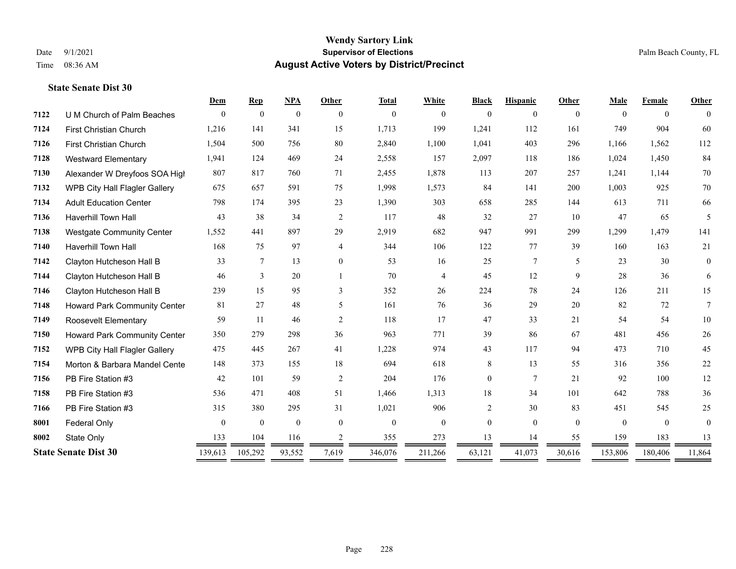|      |                                     | Dem            | <b>Rep</b>       | NPA          | Other          | <b>Total</b> | White          | <b>Black</b>   | <b>Hispanic</b> | Other    | Male         | Female         | Other        |
|------|-------------------------------------|----------------|------------------|--------------|----------------|--------------|----------------|----------------|-----------------|----------|--------------|----------------|--------------|
| 7122 | U M Church of Palm Beaches          | $\Omega$       | $\mathbf{0}$     | $\mathbf{0}$ | $\theta$       | $\mathbf{0}$ | $\mathbf{0}$   | $\overline{0}$ | 0               | $\theta$ | $\theta$     | $\overline{0}$ | $\Omega$     |
| 7124 | <b>First Christian Church</b>       | 1,216          | 141              | 341          | 15             | 1,713        | 199            | 1,241          | 112             | 161      | 749          | 904            | 60           |
| 7126 | First Christian Church              | 1,504          | 500              | 756          | 80             | 2,840        | 1,100          | 1,041          | 403             | 296      | 1,166        | 1,562          | 112          |
| 7128 | <b>Westward Elementary</b>          | 1,941          | 124              | 469          | 24             | 2,558        | 157            | 2,097          | 118             | 186      | 1,024        | 1,450          | 84           |
| 7130 | Alexander W Dreyfoos SOA High       | 807            | 817              | 760          | 71             | 2,455        | 1,878          | 113            | 207             | 257      | 1,241        | 1,144          | 70           |
| 7132 | WPB City Hall Flagler Gallery       | 675            | 657              | 591          | 75             | 1,998        | 1,573          | 84             | 141             | 200      | 1,003        | 925            | 70           |
| 7134 | <b>Adult Education Center</b>       | 798            | 174              | 395          | 23             | 1,390        | 303            | 658            | 285             | 144      | 613          | 711            | 66           |
| 7136 | <b>Haverhill Town Hall</b>          | 43             | 38               | 34           | 2              | 117          | 48             | 32             | 27              | 10       | 47           | 65             | 5            |
| 7138 | <b>Westgate Community Center</b>    | 1,552          | 441              | 897          | 29             | 2,919        | 682            | 947            | 991             | 299      | 1,299        | 1,479          | 141          |
| 7140 | <b>Haverhill Town Hall</b>          | 168            | 75               | 97           | $\overline{4}$ | 344          | 106            | 122            | 77              | 39       | 160          | 163            | 21           |
| 7142 | Clayton Hutcheson Hall B            | 33             | 7                | 13           | $\overline{0}$ | 53           | 16             | 25             | $7\overline{ }$ | 5        | 23           | 30             | $\mathbf{0}$ |
| 7144 | Clayton Hutcheson Hall B            | 46             | 3                | 20           |                | 70           | $\overline{4}$ | 45             | 12              | 9        | 28           | 36             | 6            |
| 7146 | Clayton Hutcheson Hall B            | 239            | 15               | 95           | 3              | 352          | 26             | 224            | 78              | 24       | 126          | 211            | 15           |
| 7148 | <b>Howard Park Community Center</b> | 81             | 27               | 48           | 5              | 161          | 76             | 36             | 29              | 20       | 82           | 72             | $\tau$       |
| 7149 | <b>Roosevelt Elementary</b>         | 59             | 11               | 46           | 2              | 118          | 17             | 47             | 33              | 21       | 54           | 54             | $10\,$       |
| 7150 | Howard Park Community Center        | 350            | 279              | 298          | 36             | 963          | 771            | 39             | 86              | 67       | 481          | 456            | 26           |
| 7152 | WPB City Hall Flagler Gallery       | 475            | 445              | 267          | 41             | 1,228        | 974            | 43             | 117             | 94       | 473          | 710            | 45           |
| 7154 | Morton & Barbara Mandel Cente       | 148            | 373              | 155          | 18             | 694          | 618            | 8              | 13              | 55       | 316          | 356            | $22\,$       |
| 7156 | PB Fire Station #3                  | 42             | 101              | 59           | 2              | 204          | 176            | $\overline{0}$ | $\overline{7}$  | 21       | 92           | 100            | 12           |
| 7158 | PB Fire Station #3                  | 536            | 471              | 408          | 51             | 1,466        | 1,313          | 18             | 34              | 101      | 642          | 788            | 36           |
| 7166 | PB Fire Station #3                  | 315            | 380              | 295          | 31             | 1,021        | 906            | 2              | 30              | 83       | 451          | 545            | 25           |
| 8001 | <b>Federal Only</b>                 | $\overline{0}$ | $\boldsymbol{0}$ | $\mathbf{0}$ | $\theta$       | $\mathbf{0}$ | $\mathbf{0}$   | $\overline{0}$ | $\Omega$        | $\theta$ | $\mathbf{0}$ | $\theta$       | $\theta$     |
| 8002 | State Only                          | 133            | 104              | 116          | 2              | 355          | 273            | 13             | 14              | 55       | 159          | 183            | 13           |
|      | <b>State Senate Dist 30</b>         | 139,613        | 105,292          | 93,552       | 7,619          | 346,076      | 211,266        | 63,121         | 41,073          | 30,616   | 153,806      | 180,406        | 11,864       |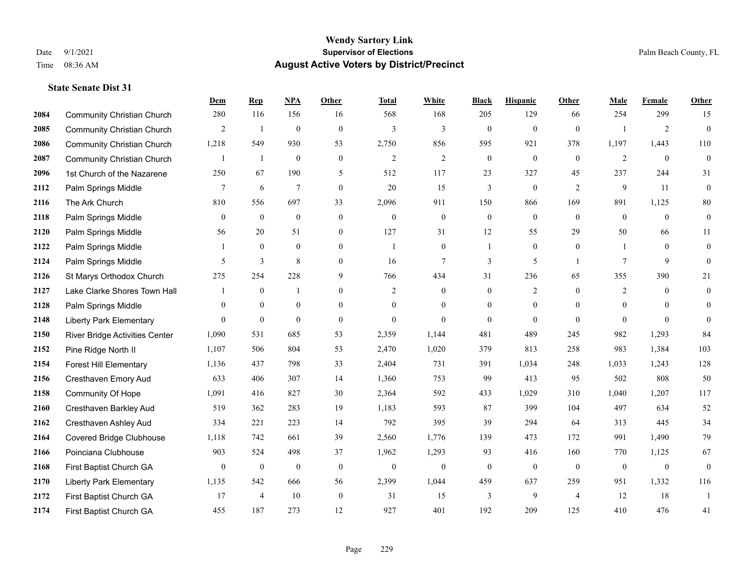|      |                                   | Dem          | <b>Rep</b>       | NPA              | <b>Other</b>   | <b>Total</b>   | <b>White</b>     | <b>Black</b>     | <b>Hispanic</b>  | <b>Other</b>   | <b>Male</b>    | Female         | <b>Other</b>     |
|------|-----------------------------------|--------------|------------------|------------------|----------------|----------------|------------------|------------------|------------------|----------------|----------------|----------------|------------------|
| 2084 | <b>Community Christian Church</b> | 280          | 116              | 156              | 16             | 568            | 168              | 205              | 129              | 66             | 254            | 299            | 15               |
| 2085 | <b>Community Christian Church</b> | 2            | $\mathbf{1}$     | $\mathbf{0}$     | $\theta$       | $\overline{3}$ | 3                | $\mathbf{0}$     | $\mathbf{0}$     | $\theta$       | $\overline{1}$ | $\overline{2}$ | $\mathbf{0}$     |
| 2086 | <b>Community Christian Church</b> | 1,218        | 549              | 930              | 53             | 2,750          | 856              | 595              | 921              | 378            | 1,197          | 1,443          | 110              |
| 2087 | <b>Community Christian Church</b> |              | 1                | $\mathbf{0}$     | $\mathbf{0}$   | $\overline{2}$ | $\overline{c}$   | $\boldsymbol{0}$ | $\mathbf{0}$     | $\mathbf{0}$   | $\overline{2}$ | $\mathbf{0}$   | $\mathbf{0}$     |
| 2096 | 1st Church of the Nazarene        | 250          | 67               | 190              | 5              | 512            | 117              | 23               | 327              | 45             | 237            | 244            | 31               |
| 2112 | Palm Springs Middle               | 7            | 6                | $\tau$           | $\mathbf{0}$   | 20             | 15               | 3                | $\boldsymbol{0}$ | 2              | 9              | 11             | $\mathbf{0}$     |
| 2116 | The Ark Church                    | 810          | 556              | 697              | 33             | 2,096          | 911              | 150              | 866              | 169            | 891            | 1,125          | $80\,$           |
| 2118 | Palm Springs Middle               | $\theta$     | $\mathbf{0}$     | $\mathbf{0}$     | $\theta$       | $\Omega$       | $\overline{0}$   | $\mathbf{0}$     | $\theta$         | $\theta$       | $\theta$       | $\Omega$       | $\boldsymbol{0}$ |
| 2120 | Palm Springs Middle               | 56           | 20               | 51               | $\mathbf{0}$   | 127            | 31               | 12               | 55               | 29             | 50             | 66             | 11               |
| 2122 | Palm Springs Middle               |              | $\mathbf{0}$     | $\mathbf{0}$     | $\theta$       | $\overline{1}$ | $\overline{0}$   | 1                | $\mathbf{0}$     | $\mathbf{0}$   | 1              | $\theta$       | $\mathbf{0}$     |
| 2124 | Palm Springs Middle               | 5            | 3                | 8                | $\theta$       | 16             | $\overline{7}$   | 3                | 5                | $\overline{1}$ | $\tau$         | 9              | $\theta$         |
| 2126 | St Marys Orthodox Church          | 275          | 254              | 228              | 9              | 766            | 434              | 31               | 236              | 65             | 355            | 390            | 21               |
| 2127 | Lake Clarke Shores Town Hall      |              | $\mathbf{0}$     | $\mathbf{1}$     | $\Omega$       | $\overline{2}$ | $\mathbf{0}$     | $\mathbf{0}$     | $\overline{2}$   | $\Omega$       | 2              | $\theta$       | $\overline{0}$   |
| 2128 | Palm Springs Middle               | $\mathbf{0}$ | $\boldsymbol{0}$ | $\boldsymbol{0}$ | $\overline{0}$ | $\theta$       | $\boldsymbol{0}$ | $\boldsymbol{0}$ | $\boldsymbol{0}$ | $\overline{0}$ | $\mathbf{0}$   | $\mathbf{0}$   | $\mathbf{0}$     |
| 2148 | <b>Liberty Park Elementary</b>    | $\theta$     | $\mathbf{0}$     | $\mathbf{0}$     | $\theta$       | $\theta$       | $\overline{0}$   | $\mathbf{0}$     | $\mathbf{0}$     | $\theta$       | $\theta$       | $\theta$       | $\theta$         |
| 2150 | River Bridge Activities Center    | 1,090        | 531              | 685              | 53             | 2,359          | 1,144            | 481              | 489              | 245            | 982            | 1,293          | 84               |
| 2152 | Pine Ridge North II               | 1,107        | 506              | 804              | 53             | 2,470          | 1,020            | 379              | 813              | 258            | 983            | 1,384          | 103              |
| 2154 | <b>Forest Hill Elementary</b>     | 1,136        | 437              | 798              | 33             | 2,404          | 731              | 391              | 1,034            | 248            | 1,033          | 1,243          | 128              |
| 2156 | Cresthaven Emory Aud              | 633          | 406              | 307              | 14             | 1,360          | 753              | 99               | 413              | 95             | 502            | 808            | 50               |
| 2158 | Community Of Hope                 | 1,091        | 416              | 827              | 30             | 2,364          | 592              | 433              | 1,029            | 310            | 1,040          | 1,207          | 117              |
| 2160 | Cresthaven Barkley Aud            | 519          | 362              | 283              | 19             | 1,183          | 593              | 87               | 399              | 104            | 497            | 634            | 52               |
| 2162 | Cresthaven Ashley Aud             | 334          | 221              | 223              | 14             | 792            | 395              | 39               | 294              | 64             | 313            | 445            | 34               |
| 2164 | Covered Bridge Clubhouse          | 1,118        | 742              | 661              | 39             | 2,560          | 1,776            | 139              | 473              | 172            | 991            | 1,490          | 79               |
| 2166 | Poinciana Clubhouse               | 903          | 524              | 498              | 37             | 1,962          | 1,293            | 93               | 416              | 160            | 770            | 1,125          | 67               |
| 2168 | First Baptist Church GA           | $\mathbf{0}$ | $\mathbf{0}$     | $\mathbf{0}$     | $\theta$       | $\theta$       | $\overline{0}$   | $\mathbf{0}$     | $\mathbf{0}$     | $\theta$       | $\mathbf{0}$   | $\mathbf{0}$   | $\mathbf{0}$     |
| 2170 | <b>Liberty Park Elementary</b>    | 1,135        | 542              | 666              | 56             | 2,399          | 1,044            | 459              | 637              | 259            | 951            | 1,332          | 116              |
| 2172 | First Baptist Church GA           | 17           | $\overline{4}$   | 10               | $\mathbf{0}$   | 31             | 15               | 3                | 9                | $\overline{4}$ | 12             | 18             | $\overline{1}$   |
| 2174 | First Baptist Church GA           | 455          | 187              | 273              | 12             | 927            | 401              | 192              | 209              | 125            | 410            | 476            | 41               |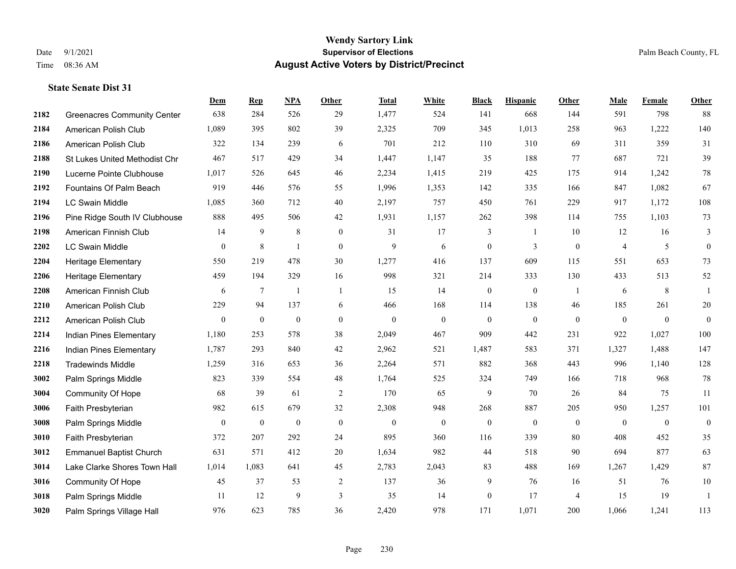|      |                                    | <b>Dem</b>       | <b>Rep</b>       | NPA              | <b>Other</b>     | <b>Total</b>     | <b>White</b>     | <b>Black</b>     | <b>Hispanic</b> | Other          | <b>Male</b>    | <b>Female</b> | <b>Other</b>     |
|------|------------------------------------|------------------|------------------|------------------|------------------|------------------|------------------|------------------|-----------------|----------------|----------------|---------------|------------------|
| 2182 | <b>Greenacres Community Center</b> | 638              | 284              | 526              | 29               | 1,477            | 524              | 141              | 668             | 144            | 591            | 798           | 88               |
| 2184 | American Polish Club               | 1,089            | 395              | 802              | 39               | 2,325            | 709              | 345              | 1,013           | 258            | 963            | 1,222         | 140              |
| 2186 | American Polish Club               | 322              | 134              | 239              | 6                | 701              | 212              | 110              | 310             | 69             | 311            | 359           | 31               |
| 2188 | St Lukes United Methodist Chr      | 467              | 517              | 429              | 34               | 1,447            | 1,147            | 35               | 188             | 77             | 687            | 721           | 39               |
| 2190 | Lucerne Pointe Clubhouse           | 1,017            | 526              | 645              | 46               | 2,234            | 1,415            | 219              | 425             | 175            | 914            | 1.242         | $78\,$           |
| 2192 | Fountains Of Palm Beach            | 919              | 446              | 576              | 55               | 1,996            | 1,353            | 142              | 335             | 166            | 847            | 1,082         | 67               |
| 2194 | <b>LC Swain Middle</b>             | 1,085            | 360              | 712              | 40               | 2,197            | 757              | 450              | 761             | 229            | 917            | 1,172         | 108              |
| 2196 | Pine Ridge South IV Clubhouse      | 888              | 495              | 506              | 42               | 1,931            | 1,157            | 262              | 398             | 114            | 755            | 1,103         | 73               |
| 2198 | American Finnish Club              | 14               | 9                | 8                | $\boldsymbol{0}$ | 31               | 17               | 3                | -1              | 10             | 12             | 16            | 3                |
| 2202 | <b>LC Swain Middle</b>             | 0                | 8                | $\mathbf{1}$     | $\mathbf{0}$     | 9                | 6                | $\boldsymbol{0}$ | 3               | $\mathbf{0}$   | $\overline{4}$ | 5             | $\boldsymbol{0}$ |
| 2204 | Heritage Elementary                | 550              | 219              | 478              | 30               | 1,277            | 416              | 137              | 609             | 115            | 551            | 653           | 73               |
| 2206 | Heritage Elementary                | 459              | 194              | 329              | 16               | 998              | 321              | 214              | 333             | 130            | 433            | 513           | $52\,$           |
| 2208 | American Finnish Club              | 6                | $\tau$           | $\mathbf{1}$     | $\mathbf{1}$     | 15               | 14               | $\boldsymbol{0}$ | $\mathbf{0}$    | $\overline{1}$ | 6              | 8             | $\mathbf{1}$     |
| 2210 | American Polish Club               | 229              | 94               | 137              | 6                | 466              | 168              | 114              | 138             | 46             | 185            | 261           | $20\,$           |
| 2212 | American Polish Club               | 0                | $\mathbf{0}$     | $\boldsymbol{0}$ | $\boldsymbol{0}$ | $\mathbf{0}$     | $\boldsymbol{0}$ | $\mathbf{0}$     | $\mathbf{0}$    | $\overline{0}$ | $\mathbf{0}$   | $\mathbf{0}$  | $\mathbf{0}$     |
| 2214 | Indian Pines Elementary            | 1,180            | 253              | 578              | 38               | 2,049            | 467              | 909              | 442             | 231            | 922            | 1,027         | 100              |
| 2216 | Indian Pines Elementary            | 1,787            | 293              | 840              | 42               | 2,962            | 521              | 1,487            | 583             | 371            | 1,327          | 1,488         | 147              |
| 2218 | <b>Tradewinds Middle</b>           | 1,259            | 316              | 653              | 36               | 2,264            | 571              | 882              | 368             | 443            | 996            | 1,140         | 128              |
| 3002 | Palm Springs Middle                | 823              | 339              | 554              | 48               | 1,764            | 525              | 324              | 749             | 166            | 718            | 968           | 78               |
| 3004 | Community Of Hope                  | 68               | 39               | 61               | $\overline{2}$   | 170              | 65               | 9                | 70              | 26             | 84             | 75            | 11               |
| 3006 | Faith Presbyterian                 | 982              | 615              | 679              | 32               | 2,308            | 948              | 268              | 887             | 205            | 950            | 1,257         | 101              |
| 3008 | Palm Springs Middle                | $\boldsymbol{0}$ | $\boldsymbol{0}$ | $\boldsymbol{0}$ | $\mathbf{0}$     | $\boldsymbol{0}$ | $\boldsymbol{0}$ | $\mathbf{0}$     | $\mathbf{0}$    | $\mathbf{0}$   | $\mathbf{0}$   | $\mathbf{0}$  | $\boldsymbol{0}$ |
| 3010 | Faith Presbyterian                 | 372              | 207              | 292              | 24               | 895              | 360              | 116              | 339             | 80             | 408            | 452           | 35               |
| 3012 | <b>Emmanuel Baptist Church</b>     | 631              | 571              | 412              | 20               | 1,634            | 982              | 44               | 518             | 90             | 694            | 877           | 63               |
| 3014 | Lake Clarke Shores Town Hall       | 1,014            | 1,083            | 641              | 45               | 2,783            | 2,043            | 83               | 488             | 169            | 1,267          | 1,429         | 87               |
| 3016 | Community Of Hope                  | 45               | 37               | 53               | 2                | 137              | 36               | 9                | 76              | 16             | 51             | 76            | $10\,$           |
| 3018 | Palm Springs Middle                | 11               | 12               | 9                | 3                | 35               | 14               | $\boldsymbol{0}$ | 17              | $\overline{4}$ | 15             | 19            | $\mathbf{1}$     |
| 3020 | Palm Springs Village Hall          | 976              | 623              | 785              | 36               | 2,420            | 978              | 171              | 1,071           | 200            | 1,066          | 1,241         | 113              |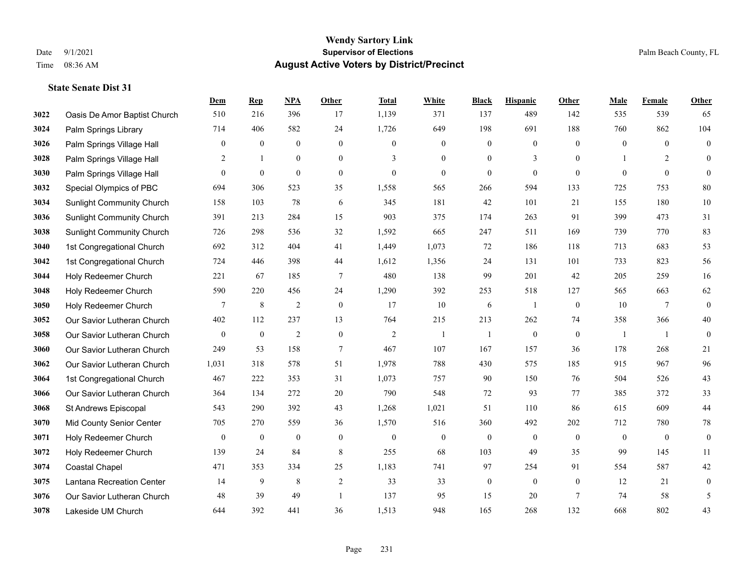|      |                                  | Dem              | <b>Rep</b>       | NPA              | <b>Other</b>     | <b>Total</b>   | <b>White</b>     | <b>Black</b>     | <b>Hispanic</b>  | <b>Other</b>   | <b>Male</b>    | <b>Female</b>  | <b>Other</b>     |
|------|----------------------------------|------------------|------------------|------------------|------------------|----------------|------------------|------------------|------------------|----------------|----------------|----------------|------------------|
| 3022 | Oasis De Amor Baptist Church     | 510              | 216              | 396              | 17               | 1,139          | 371              | 137              | 489              | 142            | 535            | 539            | 65               |
| 3024 | Palm Springs Library             | 714              | 406              | 582              | 24               | 1,726          | 649              | 198              | 691              | 188            | 760            | 862            | 104              |
| 3026 | Palm Springs Village Hall        | 0                | $\boldsymbol{0}$ | $\boldsymbol{0}$ | $\mathbf{0}$     | $\mathbf{0}$   | $\boldsymbol{0}$ | $\boldsymbol{0}$ | $\boldsymbol{0}$ | $\theta$       | $\mathbf{0}$   | $\theta$       | $\boldsymbol{0}$ |
| 3028 | Palm Springs Village Hall        | 2                | $\mathbf{1}$     | $\boldsymbol{0}$ | $\boldsymbol{0}$ | 3              | $\boldsymbol{0}$ | $\boldsymbol{0}$ | 3                | $\mathbf{0}$   |                | 2              | $\mathbf{0}$     |
| 3030 | Palm Springs Village Hall        | $\overline{0}$   | $\overline{0}$   | $\mathbf{0}$     | $\mathbf{0}$     | $\overline{0}$ | $\overline{0}$   | $\mathbf{0}$     | $\mathbf{0}$     | $\theta$       | $\theta$       | $\theta$       | $\mathbf{0}$     |
| 3032 | Special Olympics of PBC          | 694              | 306              | 523              | 35               | 1,558          | 565              | 266              | 594              | 133            | 725            | 753            | 80               |
| 3034 | <b>Sunlight Community Church</b> | 158              | 103              | 78               | 6                | 345            | 181              | 42               | 101              | 21             | 155            | 180            | $10\,$           |
| 3036 | <b>Sunlight Community Church</b> | 391              | 213              | 284              | 15               | 903            | 375              | 174              | 263              | 91             | 399            | 473            | 31               |
| 3038 | <b>Sunlight Community Church</b> | 726              | 298              | 536              | 32               | 1,592          | 665              | 247              | 511              | 169            | 739            | 770            | 83               |
| 3040 | 1st Congregational Church        | 692              | 312              | 404              | 41               | 1,449          | 1,073            | 72               | 186              | 118            | 713            | 683            | 53               |
| 3042 | 1st Congregational Church        | 724              | 446              | 398              | 44               | 1,612          | 1,356            | 24               | 131              | 101            | 733            | 823            | 56               |
| 3044 | Holy Redeemer Church             | 221              | 67               | 185              | $\overline{7}$   | 480            | 138              | 99               | 201              | 42             | 205            | 259            | 16               |
| 3048 | Holy Redeemer Church             | 590              | 220              | 456              | 24               | 1,290          | 392              | 253              | 518              | 127            | 565            | 663            | 62               |
| 3050 | Holy Redeemer Church             | 7                | $8\phantom{.0}$  | $\overline{2}$   | $\mathbf{0}$     | 17             | $10\,$           | 6                | 1                | $\mathbf{0}$   | 10             | $\overline{7}$ | $\boldsymbol{0}$ |
| 3052 | Our Savior Lutheran Church       | 402              | 112              | 237              | 13               | 764            | 215              | 213              | 262              | 74             | 358            | 366            | 40               |
| 3058 | Our Savior Lutheran Church       | $\boldsymbol{0}$ | $\boldsymbol{0}$ | $\overline{2}$   | $\mathbf{0}$     | $\overline{2}$ | -1               | -1               | $\boldsymbol{0}$ | $\mathbf{0}$   | -1             | -1             | $\boldsymbol{0}$ |
| 3060 | Our Savior Lutheran Church       | 249              | 53               | 158              | $\tau$           | 467            | 107              | 167              | 157              | 36             | 178            | 268            | 21               |
| 3062 | Our Savior Lutheran Church       | 1,031            | 318              | 578              | 51               | 1,978          | 788              | 430              | 575              | 185            | 915            | 967            | 96               |
| 3064 | 1st Congregational Church        | 467              | 222              | 353              | 31               | 1,073          | 757              | 90               | 150              | 76             | 504            | 526            | 43               |
| 3066 | Our Savior Lutheran Church       | 364              | 134              | 272              | 20               | 790            | 548              | 72               | 93               | 77             | 385            | 372            | 33               |
| 3068 | St Andrews Episcopal             | 543              | 290              | 392              | 43               | 1,268          | 1,021            | 51               | 110              | 86             | 615            | 609            | $44\,$           |
| 3070 | Mid County Senior Center         | 705              | 270              | 559              | 36               | 1,570          | 516              | 360              | 492              | 202            | 712            | 780            | $78\,$           |
| 3071 | Holy Redeemer Church             | $\boldsymbol{0}$ | $\boldsymbol{0}$ | $\boldsymbol{0}$ | $\mathbf{0}$     | $\theta$       | $\boldsymbol{0}$ | $\boldsymbol{0}$ | $\boldsymbol{0}$ | $\overline{0}$ | $\overline{0}$ | $\mathbf{0}$   | $\boldsymbol{0}$ |
| 3072 | Holy Redeemer Church             | 139              | 24               | 84               | 8                | 255            | 68               | 103              | 49               | 35             | 99             | 145            | 11               |
| 3074 | Coastal Chapel                   | 471              | 353              | 334              | 25               | 1,183          | 741              | 97               | 254              | 91             | 554            | 587            | 42               |
| 3075 | Lantana Recreation Center        | 14               | 9                | 8                | $\overline{c}$   | 33             | 33               | $\boldsymbol{0}$ | $\boldsymbol{0}$ | $\mathbf{0}$   | 12             | 21             | $\boldsymbol{0}$ |
| 3076 | Our Savior Lutheran Church       | 48               | 39               | 49               | $\overline{1}$   | 137            | 95               | 15               | 20               | $\overline{7}$ | 74             | 58             | 5                |
| 3078 | Lakeside UM Church               | 644              | 392              | 441              | 36               | 1,513          | 948              | 165              | 268              | 132            | 668            | 802            | 43               |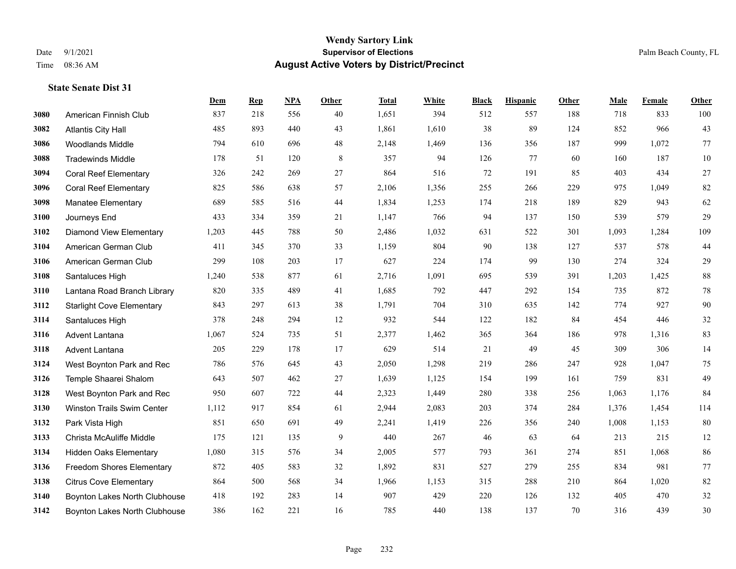|      |                                   | Dem   | <b>Rep</b> | NPA | <b>Other</b> | <b>Total</b> | <b>White</b> | <b>Black</b> | <b>Hispanic</b> | Other | <b>Male</b> | Female | <b>Other</b> |
|------|-----------------------------------|-------|------------|-----|--------------|--------------|--------------|--------------|-----------------|-------|-------------|--------|--------------|
| 3080 | American Finnish Club             | 837   | 218        | 556 | 40           | 1,651        | 394          | 512          | 557             | 188   | 718         | 833    | 100          |
| 3082 | <b>Atlantis City Hall</b>         | 485   | 893        | 440 | 43           | 1,861        | 1,610        | 38           | 89              | 124   | 852         | 966    | 43           |
| 3086 | <b>Woodlands Middle</b>           | 794   | 610        | 696 | 48           | 2,148        | 1,469        | 136          | 356             | 187   | 999         | 1,072  | 77           |
| 3088 | <b>Tradewinds Middle</b>          | 178   | 51         | 120 | 8            | 357          | 94           | 126          | 77              | 60    | 160         | 187    | $10\,$       |
| 3094 | <b>Coral Reef Elementary</b>      | 326   | 242        | 269 | 27           | 864          | 516          | 72           | 191             | 85    | 403         | 434    | $27\,$       |
| 3096 | <b>Coral Reef Elementary</b>      | 825   | 586        | 638 | 57           | 2,106        | 1,356        | 255          | 266             | 229   | 975         | 1,049  | 82           |
| 3098 | <b>Manatee Elementary</b>         | 689   | 585        | 516 | 44           | 1,834        | 1,253        | 174          | 218             | 189   | 829         | 943    | 62           |
| 3100 | Journeys End                      | 433   | 334        | 359 | 21           | 1,147        | 766          | 94           | 137             | 150   | 539         | 579    | 29           |
| 3102 | <b>Diamond View Elementary</b>    | 1,203 | 445        | 788 | 50           | 2,486        | 1,032        | 631          | 522             | 301   | 1,093       | 1,284  | 109          |
| 3104 | American German Club              | 411   | 345        | 370 | 33           | 1,159        | 804          | 90           | 138             | 127   | 537         | 578    | $44$         |
| 3106 | American German Club              | 299   | 108        | 203 | 17           | 627          | 224          | 174          | 99              | 130   | 274         | 324    | 29           |
| 3108 | Santaluces High                   | 1,240 | 538        | 877 | 61           | 2,716        | 1,091        | 695          | 539             | 391   | 1,203       | 1,425  | $88\,$       |
| 3110 | Lantana Road Branch Library       | 820   | 335        | 489 | 41           | 1,685        | 792          | 447          | 292             | 154   | 735         | 872    | $78\,$       |
| 3112 | <b>Starlight Cove Elementary</b>  | 843   | 297        | 613 | 38           | 1,791        | 704          | 310          | 635             | 142   | 774         | 927    | 90           |
| 3114 | Santaluces High                   | 378   | 248        | 294 | 12           | 932          | 544          | 122          | 182             | 84    | 454         | 446    | $32\,$       |
| 3116 | Advent Lantana                    | 1,067 | 524        | 735 | 51           | 2,377        | 1,462        | 365          | 364             | 186   | 978         | 1,316  | 83           |
| 3118 | <b>Advent Lantana</b>             | 205   | 229        | 178 | 17           | 629          | 514          | 21           | 49              | 45    | 309         | 306    | 14           |
| 3124 | West Boynton Park and Rec         | 786   | 576        | 645 | 43           | 2,050        | 1,298        | 219          | 286             | 247   | 928         | 1,047  | 75           |
| 3126 | Temple Shaarei Shalom             | 643   | 507        | 462 | $27\,$       | 1,639        | 1,125        | 154          | 199             | 161   | 759         | 831    | 49           |
| 3128 | West Boynton Park and Rec         | 950   | 607        | 722 | 44           | 2,323        | 1,449        | 280          | 338             | 256   | 1,063       | 1,176  | 84           |
| 3130 | <b>Winston Trails Swim Center</b> | 1,112 | 917        | 854 | 61           | 2,944        | 2,083        | 203          | 374             | 284   | 1,376       | 1,454  | 114          |
| 3132 | Park Vista High                   | 851   | 650        | 691 | 49           | 2,241        | 1,419        | 226          | 356             | 240   | 1,008       | 1,153  | 80           |
| 3133 | Christa McAuliffe Middle          | 175   | 121        | 135 | 9            | 440          | 267          | 46           | 63              | 64    | 213         | 215    | 12           |
| 3134 | <b>Hidden Oaks Elementary</b>     | 1,080 | 315        | 576 | 34           | 2,005        | 577          | 793          | 361             | 274   | 851         | 1,068  | 86           |
| 3136 | <b>Freedom Shores Elementary</b>  | 872   | 405        | 583 | 32           | 1,892        | 831          | 527          | 279             | 255   | 834         | 981    | $77\,$       |
| 3138 | <b>Citrus Cove Elementary</b>     | 864   | 500        | 568 | 34           | 1,966        | 1,153        | 315          | 288             | 210   | 864         | 1,020  | $82\,$       |
| 3140 | Boynton Lakes North Clubhouse     | 418   | 192        | 283 | 14           | 907          | 429          | 220          | 126             | 132   | 405         | 470    | $32\,$       |
| 3142 | Boynton Lakes North Clubhouse     | 386   | 162        | 221 | 16           | 785          | 440          | 138          | 137             | 70    | 316         | 439    | 30           |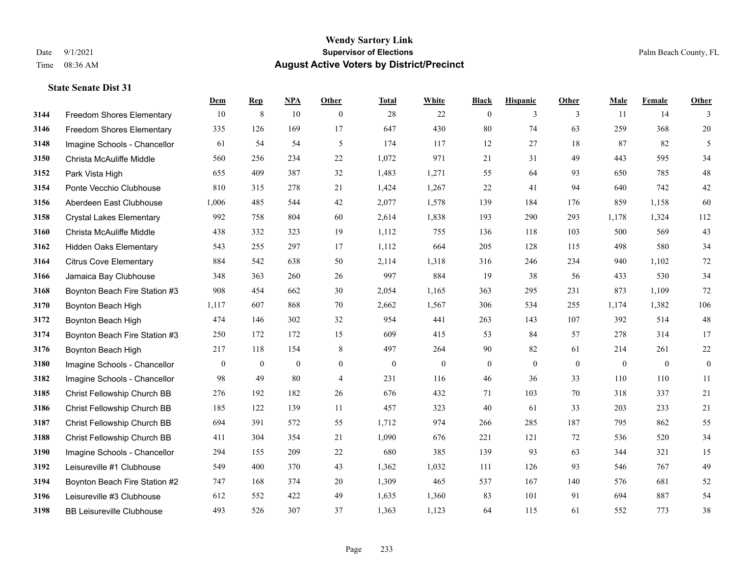#### **Wendy Sartory Link** Date 9/1/2021 **Supervisor of Elections** Palm Beach County, FL Time 08:36 AM **August Active Voters by District/Precinct**

**Dem Rep NPA Other Total White Black Hispanic Other Male Female Other**

# Freedom Shores Elementary 10 8 10 0 28 22 0 3 3 11 14 3 Freedom Shores Elementary 335 126 169 17 647 430 80 74 63 259 368 20 Imagine Schools - Chancellor 61 54 54 5 61 54 5 174 117 12 27 18 87 82 5 Christa McAuliffe Middle 560 256 234 22 1,072 971 21 31 49 443 595 34 Park Vista High 655 409 387 32 1,483 1,271 55 64 93 650 785 48 Ponte Vecchio Clubhouse 810 315 278 21 1,424 1,267 22 41 94 640 742 42 Aberdeen East Clubhouse 1,006 485 544 42 2,077 1,578 139 184 176 859 1,158 60 Crystal Lakes Elementary 992 758 804 60 2,614 1,838 193 290 293 1,178 1,324 112 Christa McAuliffe Middle 438 332 323 19 1,112 755 136 118 103 500 569 43 Hidden Oaks Elementary 543 255 297 17 1,112 664 205 128 115 498 580 34 Citrus Cove Elementary 884 542 638 50 2,114 1,318 316 246 234 940 1,102 72 Jamaica Bay Clubhouse 348 363 260 26 997 884 19 38 56 433 530 34 Boynton Beach Fire Station #3 908 454 662 30 2,054 1,165 363 295 231 873 1,109 72 Boynton Beach High 1,117 607 868 70 2,662 1,567 306 534 255 1,174 1,382 106 Boynton Beach High 474 146 302 32 954 441 263 143 107 392 514 48 Boynton Beach Fire Station #3 250 172 172 15 609 415 53 84 57 278 314 17 Boynton Beach High 217 118 154 8 497 264 90 82 61 214 261 22 Imagine Schools - Chancellor 0 0 0 0 0 0 0 0 0 0 0 0 Imagine Schools - Chancellor 98 49 80 4 231 116 46 36 33 110 110 11 Christ Fellowship Church BB 276 192 182 26 676 432 71 103 70 318 337 21 Christ Fellowship Church BB 185 122 139 11 457 323 40 61 33 203 233 21 Christ Fellowship Church BB 694 391 572 55 1,712 974 266 285 187 795 862 55 Christ Fellowship Church BB 411 304 354 21 1,090 676 221 121 72 536 520 34 Imagine Schools - Chancellor 294 155 209 22 680 385 139 93 63 344 321 15 Leisureville #1 Clubhouse 549 400 370 43 1,362 1,032 111 126 93 546 767 49

 Boynton Beach Fire Station #2 747 168 374 20 1,309 465 537 167 140 576 681 52 Leisureville #3 Clubhouse 612 552 422 49 1,635 1,360 83 101 91 694 887 54 BB Leisureville Clubhouse 493 526 307 37 1,363 1,123 64 115 61 552 773 38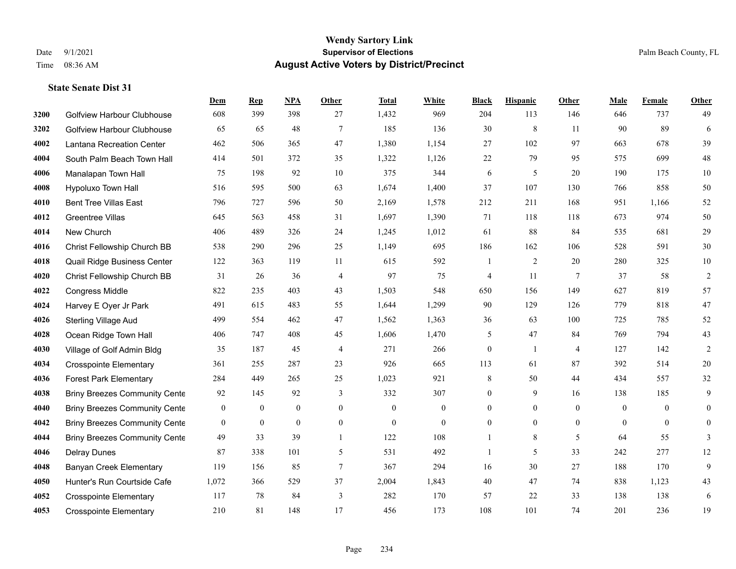#### **Wendy Sartory Link** Date 9/1/2021 **Supervisor of Elections** Palm Beach County, FL Time 08:36 AM **August Active Voters by District/Precinct**

# **Dem Rep NPA Other Total White Black Hispanic Other Male Female Other** Golfview Harbour Clubhouse 608 399 398 27 1,432 969 204 113 146 646 737 49 Golfview Harbour Clubhouse 65 65 48 7 185 136 30 8 11 90 89 6 Lantana Recreation Center 462 506 365 47 1,380 1,154 27 102 97 663 678 39 South Palm Beach Town Hall 414 501 372 35 1,322 1,126 22 79 95 575 699 48 Manalapan Town Hall 75 198 92 10 375 344 6 5 20 190 175 10 Hypoluxo Town Hall 516 595 500 63 1,674 1,400 37 107 130 766 858 50 Bent Tree Villas East 796 727 596 50 2,169 1,578 212 211 168 951 1,166 52 Greentree Villas 645 563 458 31 1,697 1,390 71 118 118 673 974 50 New Church 406 489 326 24 1,245 1,012 61 88 84 535 681 29 Christ Fellowship Church BB 538 290 296 25 1,149 695 186 162 106 528 591 30 Quail Ridge Business Center 122 363 119 11 615 592 1 2 20 280 325 10 Christ Fellowship Church BB 31 26 36 4 97 75 4 11 7 37 58 2 Congress Middle 822 235 403 43 1,503 548 650 156 149 627 819 57 Harvey E Oyer Jr Park 491 615 483 55 1,644 1,299 90 129 126 779 818 47 Sterling Village Aud 499 554 462 47 1,562 1,363 36 63 100 725 785 52 Ocean Ridge Town Hall 406 747 408 45 1,606 1,470 5 47 84 769 794 43 Village of Golf Admin Bldg 35 187 45 4 271 266 0 1 4 127 142 2 Crosspointe Elementary 361 255 287 23 926 665 113 61 87 392 514 20 Forest Park Elementary 284 449 265 25 1,023 921 8 50 44 434 557 32 Briny Breezes Community Cente  $\begin{array}{cccc} 92 & 145 & 92 & 3 & 332 & 307 & 0 & 9 & 16 & 138 & 185 \end{array}$  Briny Breezes Community Center 0 0 0 0 0 0 0 0 0 0 0 0 Briny Breezes Community Center 0 0 0 0 0 0 0 0 0 0 0 0 Briny Breezes Community Cente 49 33 39 1 122 108 1 8 5 64 55 3 Delray Dunes 87 338 101 5 531 492 1 5 33 242 277 12 Banyan Creek Elementary 119 156 85 7 367 294 16 30 27 188 170 9 Hunter's Run Courtside Cafe 1,072 366 529 37 2,004 1,843 40 47 74 838 1,123 43 Crosspointe Elementary 117 78 84 3 282 170 57 22 33 138 138 6 Crosspointe Elementary 210 81 148 17 456 173 108 101 74 201 236 19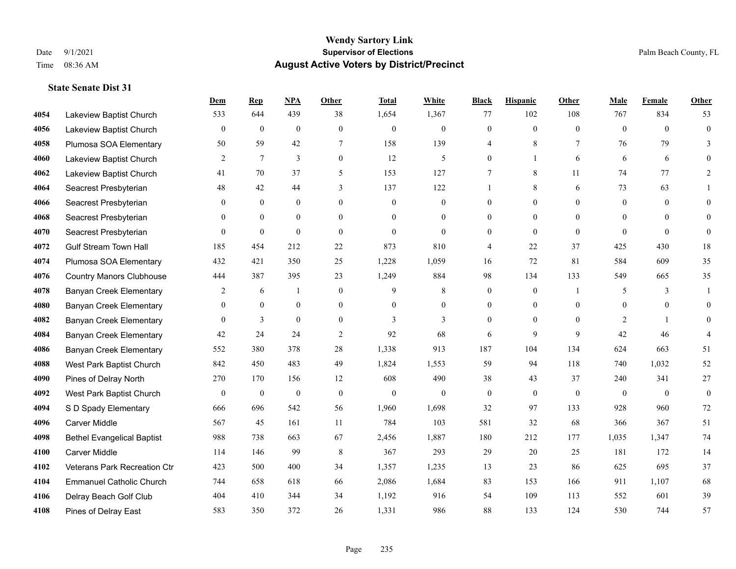#### **Wendy Sartory Link** Date 9/1/2021 **Supervisor of Elections** Palm Beach County, FL Time 08:36 AM **August Active Voters by District/Precinct**

# **Dem Rep NPA Other Total White Black Hispanic Other Male Female Other** Lakeview Baptist Church 533 644 439 38 1,654 1,367 77 102 108 767 834 53 Lakeview Baptist Church 0 0 0 0 0 0 0 0 0 0 0 0 Plumosa SOA Elementary 50 59 42 7 158 139 4 8 7 76 79 3 Lakeview Baptist Church 2 7 3 0 12 5 0 1 6 6 6 0 Lakeview Baptist Church 41 70 37 5 153 127 7 8 11 74 77 2 Seacrest Presbyterian **48** 42 44 3 137 122 1 8 6 73 63 1 Seacrest Presbyterian 0 0 0 0 0 0 0 0 0 0 0 0 Seacrest Presbyterian 0 0 0 0 0 0 0 0 0 0 0 0 Seacrest Presbyterian 0 0 0 0 0 0 0 0 0 0 0 0 Gulf Stream Town Hall 185 454 212 22 873 810 4 22 37 425 430 18 Plumosa SOA Elementary 432 421 350 25 1,228 1,059 16 72 81 584 609 35 Country Manors Clubhouse 444 387 395 23 1,249 884 98 134 133 549 665 35 **4078 Banyan Creek Elementary 2 6 1 0 9 8 0 0 1 5 3 1**  Banyan Creek Elementary 0 0 0 0 0 0 0 0 0 0 0 0 **4082 Banyan Creek Elementary 0 3 0 0 3 3 3 0 0 0 2 1 0 4084 Banyan Creek Elementary 42 24 24 2 92 68 6 9 9 42 46 4**  Banyan Creek Elementary 552 380 378 28 1,338 913 187 104 134 624 663 51 West Park Baptist Church 842 450 483 49 1,824 1,553 59 94 118 740 1,032 52 Pines of Delray North 270 170 156 12 608 490 38 43 37 240 341 27 West Park Baptist Church 0 0 0 0 0 0 0 0 0 0 0 0 S D Spady Elementary 666 696 542 56 1,960 1,698 32 97 133 928 960 72 Carver Middle 567 45 161 11 784 103 581 32 68 366 367 51 Bethel Evangelical Baptist 988 738 663 67 2,456 1,887 180 212 177 1,035 1,347 74 Carver Middle 114 146 99 8 367 293 29 20 25 181 172 14 Veterans Park Recreation Ctr 423 500 400 34 1,357 1,235 13 23 86 625 695 37 Emmanuel Catholic Church 744 658 618 66 2,086 1,684 83 153 166 911 1,107 68 Delray Beach Golf Club 404 410 344 34 1,192 916 54 109 113 552 601 39 Pines of Delray East 583 350 372 26 1,331 986 88 133 124 530 744 57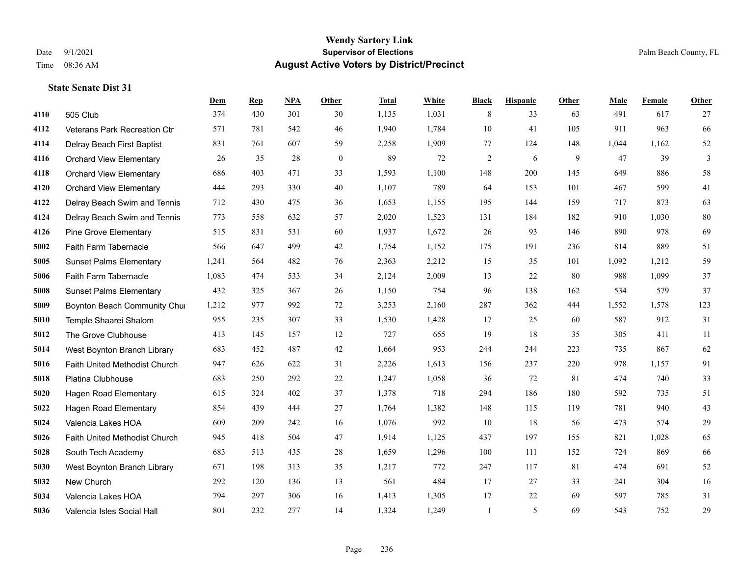|      |                                | Dem   | <b>Rep</b> | NPA | <b>Other</b> | <b>Total</b> | White | <b>Black</b>   | <b>Hispanic</b> | Other | <b>Male</b> | Female | <b>Other</b> |
|------|--------------------------------|-------|------------|-----|--------------|--------------|-------|----------------|-----------------|-------|-------------|--------|--------------|
| 4110 | 505 Club                       | 374   | 430        | 301 | 30           | 1,135        | 1,031 | 8              | 33              | 63    | 491         | 617    | 27           |
| 4112 | Veterans Park Recreation Ctr   | 571   | 781        | 542 | 46           | 1,940        | 1,784 | 10             | 41              | 105   | 911         | 963    | 66           |
| 4114 | Delray Beach First Baptist     | 831   | 761        | 607 | 59           | 2,258        | 1,909 | 77             | 124             | 148   | 1,044       | 1,162  | 52           |
| 4116 | <b>Orchard View Elementary</b> | 26    | 35         | 28  | $\mathbf{0}$ | 89           | 72    | $\mathfrak{2}$ | 6               | 9     | 47          | 39     | 3            |
| 4118 | <b>Orchard View Elementary</b> | 686   | 403        | 471 | 33           | 1,593        | 1,100 | 148            | 200             | 145   | 649         | 886    | $58\,$       |
| 4120 | <b>Orchard View Elementary</b> | 444   | 293        | 330 | 40           | 1,107        | 789   | 64             | 153             | 101   | 467         | 599    | 41           |
| 4122 | Delray Beach Swim and Tennis   | 712   | 430        | 475 | 36           | 1,653        | 1,155 | 195            | 144             | 159   | 717         | 873    | 63           |
| 4124 | Delray Beach Swim and Tennis   | 773   | 558        | 632 | 57           | 2,020        | 1,523 | 131            | 184             | 182   | 910         | 1,030  | $80\,$       |
| 4126 | <b>Pine Grove Elementary</b>   | 515   | 831        | 531 | 60           | 1,937        | 1,672 | 26             | 93              | 146   | 890         | 978    | 69           |
| 5002 | Faith Farm Tabernacle          | 566   | 647        | 499 | 42           | 1,754        | 1,152 | 175            | 191             | 236   | 814         | 889    | 51           |
| 5005 | <b>Sunset Palms Elementary</b> | 1,241 | 564        | 482 | 76           | 2,363        | 2,212 | 15             | 35              | 101   | 1,092       | 1,212  | 59           |
| 5006 | Faith Farm Tabernacle          | 1,083 | 474        | 533 | 34           | 2,124        | 2,009 | 13             | 22              | 80    | 988         | 1,099  | 37           |
| 5008 | <b>Sunset Palms Elementary</b> | 432   | 325        | 367 | 26           | 1,150        | 754   | 96             | 138             | 162   | 534         | 579    | 37           |
| 5009 | Boynton Beach Community Chur   | 1,212 | 977        | 992 | 72           | 3,253        | 2,160 | 287            | 362             | 444   | 1,552       | 1,578  | 123          |
| 5010 | Temple Shaarei Shalom          | 955   | 235        | 307 | 33           | 1,530        | 1,428 | 17             | 25              | 60    | 587         | 912    | 31           |
| 5012 | The Grove Clubhouse            | 413   | 145        | 157 | 12           | 727          | 655   | 19             | 18              | 35    | 305         | 411    | 11           |
| 5014 | West Boynton Branch Library    | 683   | 452        | 487 | 42           | 1,664        | 953   | 244            | 244             | 223   | 735         | 867    | 62           |
| 5016 | Faith United Methodist Church  | 947   | 626        | 622 | 31           | 2,226        | 1,613 | 156            | 237             | 220   | 978         | 1,157  | 91           |
| 5018 | Platina Clubhouse              | 683   | 250        | 292 | 22           | 1,247        | 1,058 | 36             | 72              | 81    | 474         | 740    | 33           |
| 5020 | <b>Hagen Road Elementary</b>   | 615   | 324        | 402 | 37           | 1,378        | 718   | 294            | 186             | 180   | 592         | 735    | 51           |
| 5022 | <b>Hagen Road Elementary</b>   | 854   | 439        | 444 | 27           | 1,764        | 1,382 | 148            | 115             | 119   | 781         | 940    | 43           |
| 5024 | Valencia Lakes HOA             | 609   | 209        | 242 | 16           | 1,076        | 992   | 10             | 18              | 56    | 473         | 574    | $29\,$       |
| 5026 | Faith United Methodist Church  | 945   | 418        | 504 | 47           | 1,914        | 1,125 | 437            | 197             | 155   | 821         | 1,028  | 65           |
| 5028 | South Tech Academy             | 683   | 513        | 435 | 28           | 1,659        | 1,296 | 100            | 111             | 152   | 724         | 869    | 66           |
| 5030 | West Boynton Branch Library    | 671   | 198        | 313 | 35           | 1,217        | 772   | 247            | 117             | 81    | 474         | 691    | 52           |
| 5032 | New Church                     | 292   | 120        | 136 | 13           | 561          | 484   | 17             | 27              | 33    | 241         | 304    | 16           |
| 5034 | Valencia Lakes HOA             | 794   | 297        | 306 | 16           | 1,413        | 1,305 | 17             | 22              | 69    | 597         | 785    | 31           |
| 5036 | Valencia Isles Social Hall     | 801   | 232        | 277 | 14           | 1,324        | 1,249 | 1              | 5               | 69    | 543         | 752    | 29           |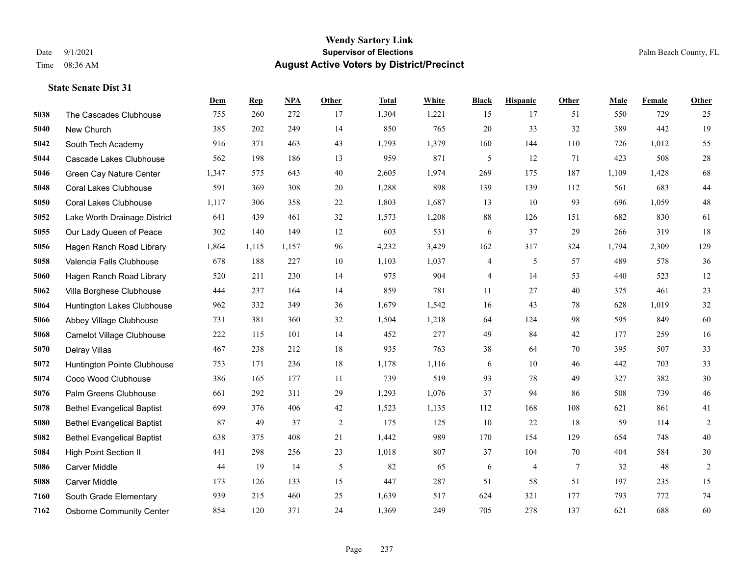|      |                                   | Dem   | <b>Rep</b> | NPA   | <b>Other</b>   | <b>Total</b> | White | <b>Black</b> | <b>Hispanic</b> | <b>Other</b> | <b>Male</b> | Female | <b>Other</b>   |
|------|-----------------------------------|-------|------------|-------|----------------|--------------|-------|--------------|-----------------|--------------|-------------|--------|----------------|
| 5038 | The Cascades Clubhouse            | 755   | 260        | 272   | 17             | 1,304        | 1,221 | 15           | 17              | 51           | 550         | 729    | 25             |
| 5040 | New Church                        | 385   | 202        | 249   | 14             | 850          | 765   | 20           | 33              | 32           | 389         | 442    | 19             |
| 5042 | South Tech Academy                | 916   | 371        | 463   | 43             | 1,793        | 1,379 | 160          | 144             | 110          | 726         | 1,012  | 55             |
| 5044 | Cascade Lakes Clubhouse           | 562   | 198        | 186   | 13             | 959          | 871   | 5            | 12              | 71           | 423         | 508    | $28\,$         |
| 5046 | Green Cay Nature Center           | 1,347 | 575        | 643   | 40             | 2,605        | 1,974 | 269          | 175             | 187          | 1,109       | 1.428  | 68             |
| 5048 | <b>Coral Lakes Clubhouse</b>      | 591   | 369        | 308   | 20             | 1,288        | 898   | 139          | 139             | 112          | 561         | 683    | $44\,$         |
| 5050 | <b>Coral Lakes Clubhouse</b>      | 1,117 | 306        | 358   | 22             | 1,803        | 1,687 | 13           | 10              | 93           | 696         | 1.059  | 48             |
| 5052 | Lake Worth Drainage District      | 641   | 439        | 461   | 32             | 1,573        | 1,208 | 88           | 126             | 151          | 682         | 830    | 61             |
| 5055 | Our Lady Queen of Peace           | 302   | 140        | 149   | 12             | 603          | 531   | 6            | 37              | 29           | 266         | 319    | 18             |
| 5056 | Hagen Ranch Road Library          | 1,864 | 1,115      | 1,157 | 96             | 4,232        | 3,429 | 162          | 317             | 324          | 1,794       | 2,309  | 129            |
| 5058 | Valencia Falls Clubhouse          | 678   | 188        | 227   | 10             | 1,103        | 1,037 | 4            | 5               | 57           | 489         | 578    | 36             |
| 5060 | Hagen Ranch Road Library          | 520   | 211        | 230   | 14             | 975          | 904   | 4            | 14              | 53           | 440         | 523    | 12             |
| 5062 | Villa Borghese Clubhouse          | 444   | 237        | 164   | 14             | 859          | 781   | 11           | 27              | 40           | 375         | 461    | $23\,$         |
| 5064 | Huntington Lakes Clubhouse        | 962   | 332        | 349   | 36             | 1,679        | 1,542 | 16           | 43              | 78           | 628         | 1,019  | $32\,$         |
| 5066 | Abbey Village Clubhouse           | 731   | 381        | 360   | 32             | 1,504        | 1,218 | 64           | 124             | 98           | 595         | 849    | 60             |
| 5068 | Camelot Village Clubhouse         | 222   | 115        | 101   | 14             | 452          | 277   | 49           | 84              | 42           | 177         | 259    | 16             |
| 5070 | Delray Villas                     | 467   | 238        | 212   | 18             | 935          | 763   | 38           | 64              | 70           | 395         | 507    | 33             |
| 5072 | Huntington Pointe Clubhouse       | 753   | 171        | 236   | 18             | 1,178        | 1,116 | 6            | 10              | 46           | 442         | 703    | 33             |
| 5074 | Coco Wood Clubhouse               | 386   | 165        | 177   | 11             | 739          | 519   | 93           | 78              | 49           | 327         | 382    | 30             |
| 5076 | Palm Greens Clubhouse             | 661   | 292        | 311   | 29             | 1,293        | 1,076 | 37           | 94              | 86           | 508         | 739    | 46             |
| 5078 | <b>Bethel Evangelical Baptist</b> | 699   | 376        | 406   | 42             | 1,523        | 1,135 | 112          | 168             | 108          | 621         | 861    | 41             |
| 5080 | <b>Bethel Evangelical Baptist</b> | 87    | 49         | 37    | $\overline{2}$ | 175          | 125   | 10           | 22              | 18           | 59          | 114    | $\sqrt{2}$     |
| 5082 | <b>Bethel Evangelical Baptist</b> | 638   | 375        | 408   | 21             | 1,442        | 989   | 170          | 154             | 129          | 654         | 748    | $40\,$         |
| 5084 | <b>High Point Section II</b>      | 441   | 298        | 256   | 23             | 1,018        | 807   | 37           | 104             | 70           | 404         | 584    | 30             |
| 5086 | <b>Carver Middle</b>              | 44    | 19         | 14    | 5              | 82           | 65    | 6            | $\overline{4}$  | $\tau$       | 32          | 48     | $\overline{2}$ |
| 5088 | <b>Carver Middle</b>              | 173   | 126        | 133   | 15             | 447          | 287   | 51           | 58              | 51           | 197         | 235    | 15             |
| 7160 | South Grade Elementary            | 939   | 215        | 460   | 25             | 1,639        | 517   | 624          | 321             | 177          | 793         | 772    | 74             |
| 7162 | <b>Osborne Community Center</b>   | 854   | 120        | 371   | 24             | 1,369        | 249   | 705          | 278             | 137          | 621         | 688    | 60             |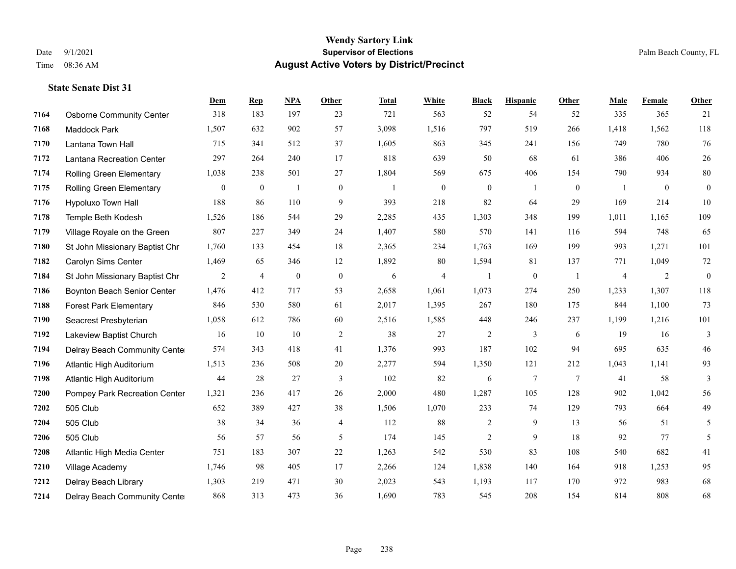#### **Wendy Sartory Link** Date 9/1/2021 **Supervisor of Elections** Palm Beach County, FL Time 08:36 AM **August Active Voters by District/Precinct**

# **Dem Rep NPA Other Total White Black Hispanic Other Male Female Other** Osborne Community Center 318 183 197 23 721 563 52 54 52 335 365 21 Maddock Park 1,507 632 902 57 3,098 1,516 797 519 266 1,418 1,562 118 Lantana Town Hall 715 341 512 37 1,605 863 345 241 156 749 780 76 Lantana Recreation Center 297 264 240 17 818 639 50 68 61 386 406 26 Rolling Green Elementary 1,038 238 501 27 1,804 569 675 406 154 790 934 80 Rolling Green Elementary 0 0 1 0 1 0 0 1 0 1 0 0 Hypoluxo Town Hall 188 86 110 9 393 218 82 64 29 169 214 10 Temple Beth Kodesh 1,526 186 544 29 2,285 435 1,303 348 199 1,011 1,165 109 Village Royale on the Green 807 227 349 24 1,407 580 570 141 116 594 748 65 St John Missionary Baptist Chr 1,760 133 454 18 2,365 234 1,763 169 199 993 1,271 101 Carolyn Sims Center 1,469 65 346 12 1,892 80 1,594 81 137 771 1,049 72 St John Missionary Baptist Chr 2 4 0 0 6 4 1 0 1 4 2 0 Boynton Beach Senior Center 1,476 412 717 53 2,658 1,061 1,073 274 250 1,233 1,307 118 Forest Park Elementary 846 530 580 61 2,017 1,395 267 180 175 844 1,100 73 Seacrest Presbyterian 1,058 612 786 60 2,516 1,585 448 246 237 1,199 1,216 101 Lakeview Baptist Church 16 10 10 2 38 27 2 3 6 19 16 3 Delray Beach Community Center 574 343 418 41 1,376 993 187 102 94 695 635 46 Atlantic High Auditorium 1,513 236 508 20 2,277 594 1,350 121 212 1,043 1,141 93 Atlantic High Auditorium 44 28 27 3 102 82 6 7 7 41 58 3 Pompey Park Recreation Center 1,321 236 417 26 2,000 480 1,287 105 128 902 1,042 56 505 Club 652 389 427 38 1,506 1,070 233 74 129 793 664 49 505 Club 38 34 36 4 112 88 2 9 13 56 51 5 505 Club 56 57 56 5 174 145 2 9 18 92 77 5 Atlantic High Media Center 751 183 307 22 1,263 542 530 83 108 540 682 41 Village Academy 1,746 98 405 17 2,266 124 1,838 140 164 918 1,253 95 Delray Beach Library 1,303 219 471 30 2,023 543 1,193 117 170 972 983 68 Delray Beach Community Center 868 313 473 36 1,690 783 545 208 154 814 808 68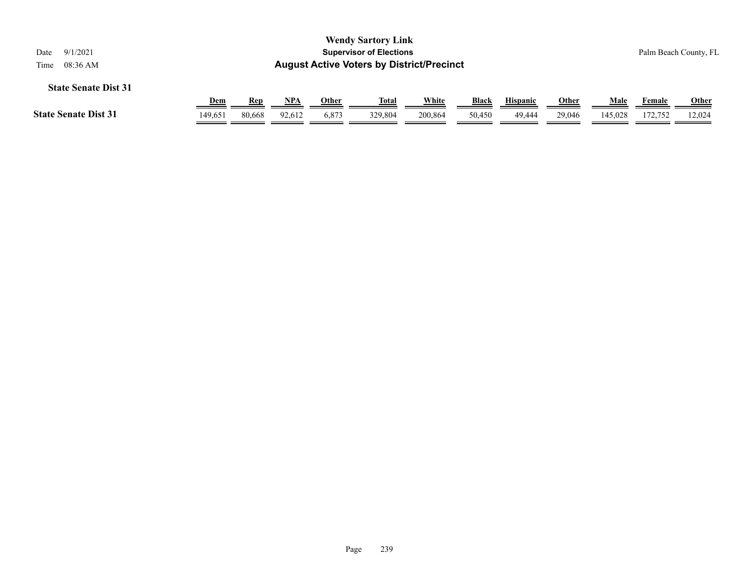| 9/1/2021<br>Date<br>08:36 AM<br>Time |            |        |            |       | <b>Wendy Sartory Link</b><br><b>Supervisor of Elections</b><br><b>August Active Voters by District/Precinct</b> |         |              |                 |              |         |         | Palm Beach County, FL |
|--------------------------------------|------------|--------|------------|-------|-----------------------------------------------------------------------------------------------------------------|---------|--------------|-----------------|--------------|---------|---------|-----------------------|
| <b>State Senate Dist 31</b>          |            |        |            |       |                                                                                                                 |         |              |                 |              |         |         |                       |
|                                      | <u>Dem</u> | Rep    | <b>NPA</b> | Other | <u>Total</u>                                                                                                    | White   | <b>Black</b> | <b>Hispanic</b> | <b>Other</b> | Male    | Female  | <b>Other</b>          |
| <b>State Senate Dist 31</b>          | 149.651    | 80.668 | 92,612     | 6.873 | 329,804                                                                                                         | 200.864 | 50,450       | 49.444          | 29,046       | 145.028 | 172,752 | 12,024                |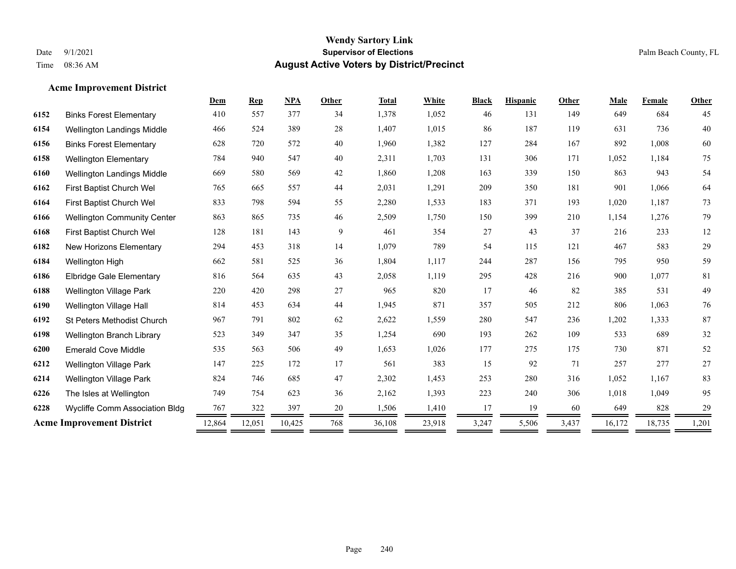## **Acme Improvement District**

|                                    | Dem                              | <b>Rep</b> | <b>NPA</b> | <b>Other</b> | <b>Total</b> | White  | <b>Black</b> | <b>Hispanic</b> | Other | Male   | Female | Other  |
|------------------------------------|----------------------------------|------------|------------|--------------|--------------|--------|--------------|-----------------|-------|--------|--------|--------|
| <b>Binks Forest Elementary</b>     | 410                              | 557        | 377        | 34           | 1,378        | 1,052  | 46           | 131             | 149   | 649    | 684    | 45     |
| <b>Wellington Landings Middle</b>  | 466                              | 524        | 389        | 28           | 1,407        | 1,015  | 86           | 187             | 119   | 631    | 736    | 40     |
| <b>Binks Forest Elementary</b>     | 628                              | 720        | 572        | 40           | 1,960        | 1,382  | 127          | 284             | 167   | 892    | 1,008  | 60     |
| <b>Wellington Elementary</b>       | 784                              | 940        | 547        | 40           | 2,311        | 1,703  | 131          | 306             | 171   | 1,052  | 1,184  | 75     |
| Wellington Landings Middle         | 669                              | 580        | 569        | 42           | 1,860        | 1,208  | 163          | 339             | 150   | 863    | 943    | 54     |
| First Baptist Church Wel           | 765                              | 665        | 557        | 44           | 2,031        | 1,291  | 209          | 350             | 181   | 901    | 1,066  | 64     |
| First Baptist Church Wel           | 833                              | 798        | 594        | 55           | 2,280        | 1,533  | 183          | 371             | 193   | 1,020  | 1,187  | 73     |
| <b>Wellington Community Center</b> | 863                              | 865        | 735        | 46           | 2,509        | 1,750  | 150          | 399             | 210   | 1,154  | 1,276  | 79     |
| First Baptist Church Wel           | 128                              | 181        | 143        | 9            | 461          | 354    | 27           | 43              | 37    | 216    | 233    | $12\,$ |
| <b>New Horizons Elementary</b>     | 294                              | 453        | 318        | 14           | 1,079        | 789    | 54           | 115             | 121   | 467    | 583    | 29     |
| Wellington High                    | 662                              | 581        | 525        | 36           | 1,804        | 1,117  | 244          | 287             | 156   | 795    | 950    | 59     |
| <b>Elbridge Gale Elementary</b>    | 816                              | 564        | 635        | 43           | 2,058        | 1,119  | 295          | 428             | 216   | 900    | 1,077  | $81\,$ |
| <b>Wellington Village Park</b>     | 220                              | 420        | 298        | $27\,$       | 965          | 820    | 17           | 46              | 82    | 385    | 531    | 49     |
| Wellington Village Hall            | 814                              | 453        | 634        | 44           | 1,945        | 871    | 357          | 505             | 212   | 806    | 1,063  | 76     |
| St Peters Methodist Church         | 967                              | 791        | 802        | 62           | 2,622        | 1,559  | 280          | 547             | 236   | 1,202  | 1,333  | 87     |
| Wellington Branch Library          | 523                              | 349        | 347        | 35           | 1,254        | 690    | 193          | 262             | 109   | 533    | 689    | 32     |
| <b>Emerald Cove Middle</b>         | 535                              | 563        | 506        | 49           | 1,653        | 1,026  | 177          | 275             | 175   | 730    | 871    | 52     |
| <b>Wellington Village Park</b>     | 147                              | 225        | 172        | 17           | 561          | 383    | 15           | 92              | 71    | 257    | 277    | 27     |
| <b>Wellington Village Park</b>     | 824                              | 746        | 685        | 47           | 2,302        | 1,453  | 253          | 280             | 316   | 1,052  | 1,167  | 83     |
| The Isles at Wellington            | 749                              | 754        | 623        | 36           | 2,162        | 1,393  | 223          | 240             | 306   | 1,018  | 1,049  | 95     |
| Wycliffe Comm Association Bldg     | 767                              | 322        | 397        | 20           | 1,506        | 1,410  | 17           | 19              | 60    | 649    | 828    | 29     |
|                                    | 12,864                           | 12,051     | 10,425     | 768          | 36,108       | 23,918 | 3,247        | 5,506           | 3,437 | 16,172 | 18,735 | 1,201  |
|                                    | <b>Acme Improvement District</b> |            |            |              |              |        |              |                 |       |        |        |        |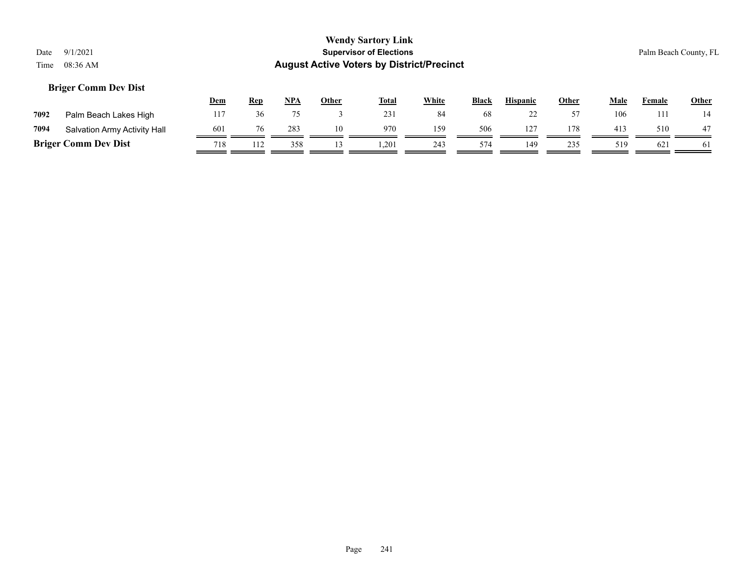## **Briger Comm Dev Dist**

|      |                              | <u>Dem</u> | <u>Rep</u> | NPA | Other | <b>Total</b> | White | <b>Black</b> | <b>Hispanic</b> | Other | Male | Female | <b>Other</b> |
|------|------------------------------|------------|------------|-----|-------|--------------|-------|--------------|-----------------|-------|------|--------|--------------|
| 7092 | Palm Beach Lakes High        |            |            |     |       | 231          | 84    | 68           | ∼               |       | 106  | 11     |              |
| 7094 | Salvation Army Activity Hall | 601        |            | 283 | 10    | 970          | 159   | 506          | $12^{-}$        | 178   | 413  | 510    | 47           |
|      | <b>Briger Comm Dev Dist</b>  | 718        | 112        | 358 |       | 1.201        | 243   | 574          | 149             | 235   | 519  | 621    | -61          |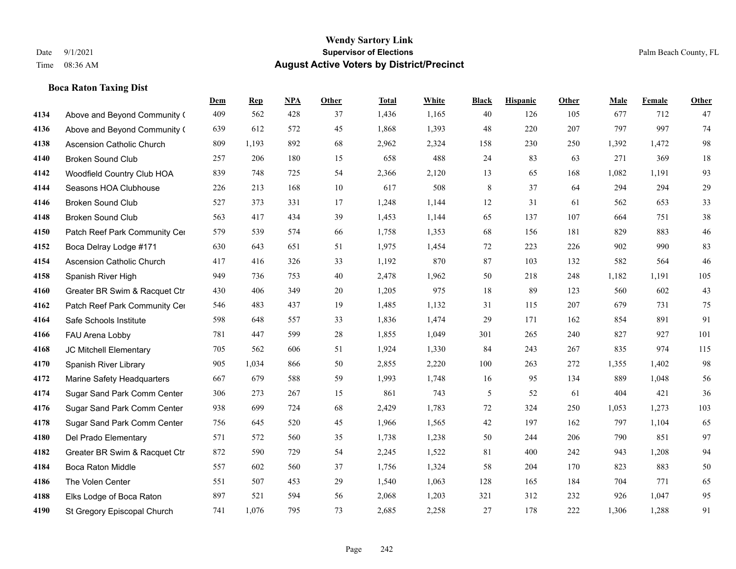## **Boca Raton Taxing Dist**

|      |                                  | <b>Dem</b> | <b>Rep</b> | NPA | <b>Other</b> | <b>Total</b> | <b>White</b> | <b>Black</b>   | <b>Hispanic</b> | <b>Other</b> | <b>Male</b> | Female | <b>Other</b> |
|------|----------------------------------|------------|------------|-----|--------------|--------------|--------------|----------------|-----------------|--------------|-------------|--------|--------------|
| 4134 | Above and Beyond Community (     | 409        | 562        | 428 | 37           | 1,436        | 1,165        | 40             | 126             | 105          | 677         | 712    | 47           |
| 4136 | Above and Beyond Community (     | 639        | 612        | 572 | 45           | 1,868        | 1,393        | 48             | 220             | 207          | 797         | 997    | 74           |
| 4138 | <b>Ascension Catholic Church</b> | 809        | 1,193      | 892 | 68           | 2,962        | 2,324        | 158            | 230             | 250          | 1,392       | 1,472  | 98           |
| 4140 | <b>Broken Sound Club</b>         | 257        | 206        | 180 | 15           | 658          | 488          | 24             | 83              | 63           | 271         | 369    | 18           |
| 4142 | Woodfield Country Club HOA       | 839        | 748        | 725 | 54           | 2,366        | 2,120        | 13             | 65              | 168          | 1,082       | 1.191  | 93           |
| 4144 | Seasons HOA Clubhouse            | 226        | 213        | 168 | 10           | 617          | 508          | 8              | 37              | 64           | 294         | 294    | 29           |
| 4146 | <b>Broken Sound Club</b>         | 527        | 373        | 331 | 17           | 1,248        | 1,144        | 12             | 31              | 61           | 562         | 653    | 33           |
| 4148 | <b>Broken Sound Club</b>         | 563        | 417        | 434 | 39           | 1,453        | 1,144        | 65             | 137             | 107          | 664         | 751    | 38           |
| 4150 | Patch Reef Park Community Cer    | 579        | 539        | 574 | 66           | 1,758        | 1,353        | 68             | 156             | 181          | 829         | 883    | $46\,$       |
| 4152 | Boca Delray Lodge #171           | 630        | 643        | 651 | 51           | 1,975        | 1,454        | 72             | 223             | 226          | 902         | 990    | 83           |
| 4154 | Ascension Catholic Church        | 417        | 416        | 326 | 33           | 1,192        | 870          | 87             | 103             | 132          | 582         | 564    | 46           |
| 4158 | Spanish River High               | 949        | 736        | 753 | 40           | 2,478        | 1,962        | 50             | 218             | 248          | 1,182       | 1,191  | 105          |
| 4160 | Greater BR Swim & Racquet Ctr    | 430        | 406        | 349 | 20           | 1,205        | 975          | 18             | 89              | 123          | 560         | 602    | 43           |
| 4162 | Patch Reef Park Community Cer    | 546        | 483        | 437 | 19           | 1,485        | 1,132        | 31             | 115             | 207          | 679         | 731    | 75           |
| 4164 | Safe Schools Institute           | 598        | 648        | 557 | 33           | 1,836        | 1,474        | 29             | 171             | 162          | 854         | 891    | 91           |
| 4166 | FAU Arena Lobby                  | 781        | 447        | 599 | 28           | 1,855        | 1,049        | 301            | 265             | 240          | 827         | 927    | 101          |
| 4168 | JC Mitchell Elementary           | 705        | 562        | 606 | 51           | 1,924        | 1,330        | 84             | 243             | 267          | 835         | 974    | 115          |
| 4170 | Spanish River Library            | 905        | 1,034      | 866 | 50           | 2,855        | 2,220        | 100            | 263             | 272          | 1,355       | 1.402  | 98           |
| 4172 | Marine Safety Headquarters       | 667        | 679        | 588 | 59           | 1,993        | 1,748        | 16             | 95              | 134          | 889         | 1,048  | 56           |
| 4174 | Sugar Sand Park Comm Center      | 306        | 273        | 267 | 15           | 861          | 743          | $\mathfrak{H}$ | 52              | 61           | 404         | 421    | 36           |
| 4176 | Sugar Sand Park Comm Center      | 938        | 699        | 724 | 68           | 2,429        | 1,783        | 72             | 324             | 250          | 1,053       | 1,273  | 103          |
| 4178 | Sugar Sand Park Comm Center      | 756        | 645        | 520 | 45           | 1,966        | 1,565        | 42             | 197             | 162          | 797         | 1,104  | 65           |
| 4180 | Del Prado Elementary             | 571        | 572        | 560 | 35           | 1,738        | 1,238        | 50             | 244             | 206          | 790         | 851    | 97           |
| 4182 | Greater BR Swim & Racquet Ctr    | 872        | 590        | 729 | 54           | 2,245        | 1,522        | 81             | 400             | 242          | 943         | 1,208  | 94           |
| 4184 | <b>Boca Raton Middle</b>         | 557        | 602        | 560 | 37           | 1,756        | 1,324        | 58             | 204             | 170          | 823         | 883    | 50           |
| 4186 | The Volen Center                 | 551        | 507        | 453 | 29           | 1,540        | 1,063        | 128            | 165             | 184          | 704         | 771    | 65           |
| 4188 | Elks Lodge of Boca Raton         | 897        | 521        | 594 | 56           | 2,068        | 1,203        | 321            | 312             | 232          | 926         | 1,047  | 95           |
| 4190 | St Gregory Episcopal Church      | 741        | 1,076      | 795 | 73           | 2,685        | 2,258        | 27             | 178             | 222          | 1,306       | 1,288  | 91           |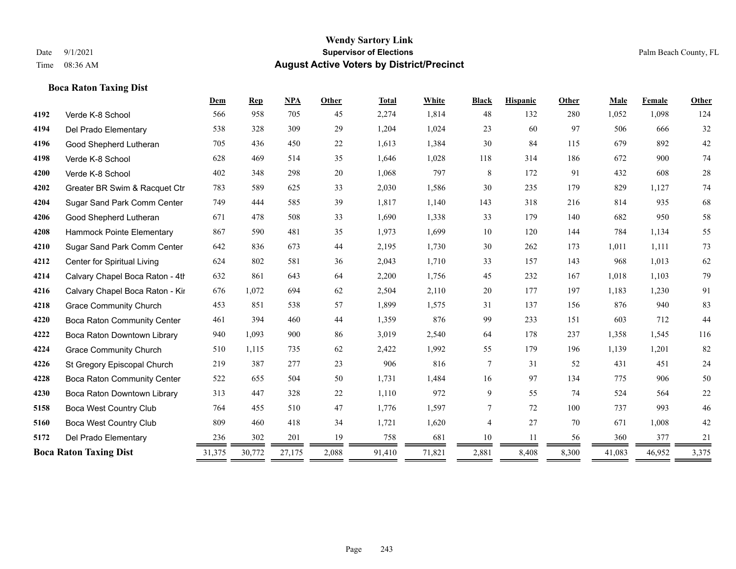## **Boca Raton Taxing Dist**

|      |                                    | Dem    | <b>Rep</b> | <b>NPA</b> | Other | <b>Total</b> | White  | <b>Black</b>   | <b>Hispanic</b> | <b>Other</b> | Male   | Female | <b>Other</b> |
|------|------------------------------------|--------|------------|------------|-------|--------------|--------|----------------|-----------------|--------------|--------|--------|--------------|
| 4192 | Verde K-8 School                   | 566    | 958        | 705        | 45    | 2,274        | 1,814  | 48             | 132             | 280          | 1,052  | 1,098  | 124          |
| 4194 | Del Prado Elementary               | 538    | 328        | 309        | 29    | 1,204        | 1,024  | 23             | 60              | 97           | 506    | 666    | 32           |
| 4196 | Good Shepherd Lutheran             | 705    | 436        | 450        | 22    | 1,613        | 1,384  | 30             | 84              | 115          | 679    | 892    | $42\,$       |
| 4198 | Verde K-8 School                   | 628    | 469        | 514        | 35    | 1,646        | 1,028  | 118            | 314             | 186          | 672    | 900    | 74           |
| 4200 | Verde K-8 School                   | 402    | 348        | 298        | 20    | 1,068        | 797    | 8              | 172             | 91           | 432    | 608    | 28           |
| 4202 | Greater BR Swim & Racquet Ctr      | 783    | 589        | 625        | 33    | 2,030        | 1,586  | 30             | 235             | 179          | 829    | 1,127  | 74           |
| 4204 | Sugar Sand Park Comm Center        | 749    | 444        | 585        | 39    | 1,817        | 1,140  | 143            | 318             | 216          | 814    | 935    | 68           |
| 4206 | Good Shepherd Lutheran             | 671    | 478        | 508        | 33    | 1,690        | 1,338  | 33             | 179             | 140          | 682    | 950    | 58           |
| 4208 | Hammock Pointe Elementary          | 867    | 590        | 481        | 35    | 1,973        | 1,699  | 10             | 120             | 144          | 784    | 1,134  | 55           |
| 4210 | Sugar Sand Park Comm Center        | 642    | 836        | 673        | 44    | 2,195        | 1,730  | 30             | 262             | 173          | 1,011  | 1,111  | 73           |
| 4212 | Center for Spiritual Living        | 624    | 802        | 581        | 36    | 2,043        | 1,710  | 33             | 157             | 143          | 968    | 1,013  | 62           |
| 4214 | Calvary Chapel Boca Raton - 4th    | 632    | 861        | 643        | 64    | 2,200        | 1,756  | 45             | 232             | 167          | 1,018  | 1,103  | 79           |
| 4216 | Calvary Chapel Boca Raton - Kir    | 676    | 1,072      | 694        | 62    | 2,504        | 2,110  | 20             | 177             | 197          | 1,183  | 1,230  | 91           |
| 4218 | <b>Grace Community Church</b>      | 453    | 851        | 538        | 57    | 1,899        | 1,575  | 31             | 137             | 156          | 876    | 940    | 83           |
| 4220 | <b>Boca Raton Community Center</b> | 461    | 394        | 460        | 44    | 1,359        | 876    | 99             | 233             | 151          | 603    | 712    | 44           |
| 4222 | Boca Raton Downtown Library        | 940    | 1,093      | 900        | 86    | 3,019        | 2,540  | 64             | 178             | 237          | 1,358  | 1,545  | 116          |
| 4224 | <b>Grace Community Church</b>      | 510    | 1,115      | 735        | 62    | 2,422        | 1,992  | 55             | 179             | 196          | 1,139  | 1,201  | 82           |
| 4226 | St Gregory Episcopal Church        | 219    | 387        | 277        | 23    | 906          | 816    | 7              | 31              | 52           | 431    | 451    | 24           |
| 4228 | Boca Raton Community Center        | 522    | 655        | 504        | 50    | 1,731        | 1,484  | 16             | 97              | 134          | 775    | 906    | 50           |
| 4230 | Boca Raton Downtown Library        | 313    | 447        | 328        | 22    | 1,110        | 972    | 9              | 55              | 74           | 524    | 564    | 22           |
| 5158 | <b>Boca West Country Club</b>      | 764    | 455        | 510        | 47    | 1,776        | 1,597  | $\overline{7}$ | 72              | 100          | 737    | 993    | 46           |
| 5160 | <b>Boca West Country Club</b>      | 809    | 460        | 418        | 34    | 1,721        | 1,620  | 4              | 27              | 70           | 671    | 1,008  | 42           |
| 5172 | Del Prado Elementary               | 236    | 302        | 201        | 19    | 758          | 681    | 10             | 11              | 56           | 360    | 377    | 21           |
|      | <b>Boca Raton Taxing Dist</b>      | 31,375 | 30,772     | 27,175     | 2,088 | 91,410       | 71,821 | 2,881          | 8,408           | 8,300        | 41,083 | 46,952 | 3,375        |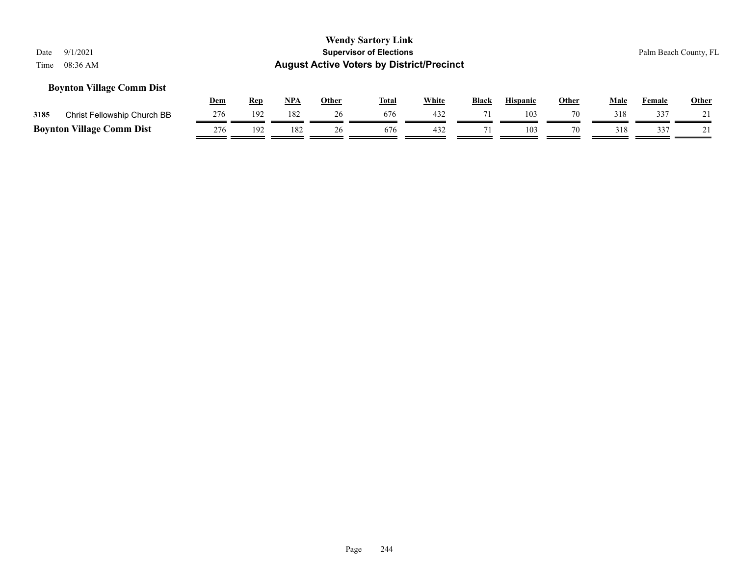## **Boynton Village Comm Dist**

|      |                                  | Dem | Rep | <b>NPA</b> | Other | <b>Total</b> | White | <b>Black</b> | <b>Hispanic</b> | Other | Male | Female | <b>Other</b> |
|------|----------------------------------|-----|-----|------------|-------|--------------|-------|--------------|-----------------|-------|------|--------|--------------|
| 3185 | Christ Fellowship Church BB      | 276 | 192 | 182        |       | 676          |       |              | 103             |       |      | 337    |              |
|      | <b>Boynton Village Comm Dist</b> | 276 | 192 | 182        |       | 676          | 432   |              | 103             |       |      | 337    |              |

Page 244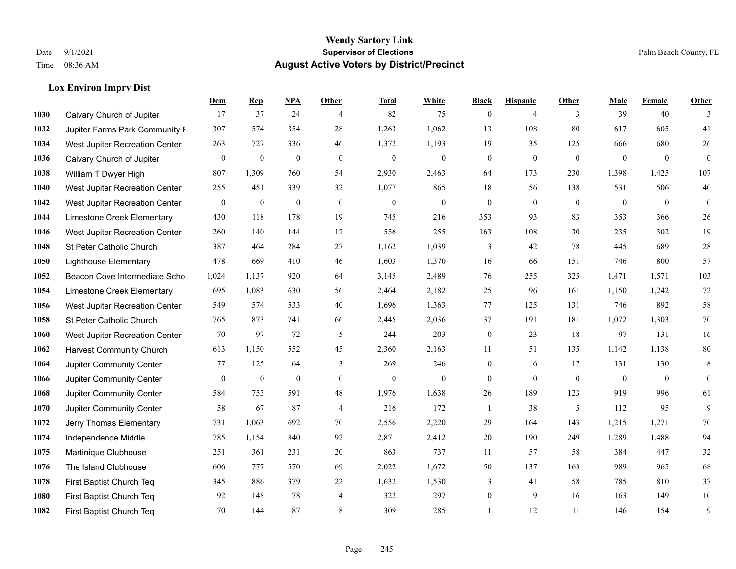**Lox Environ Imprv Dist**

#### **Wendy Sartory Link** Date 9/1/2021 **Supervisor of Elections** Palm Beach County, FL Time 08:36 AM **August Active Voters by District/Precinct**

# **Dem Rep NPA Other Total White Black Hispanic Other Male Female Other** Calvary Church of Jupiter 17 37 24 4 82 75 0 4 3 39 40 3 Jupiter Farms Park Community Favilion 307 574 354 28 1,263 1,062 13 108 80 617 605 41 West Jupiter Recreation Center 263 727 336 46 1,372 1,193 19 35 125 666 680 26 Calvary Church of Jupiter 0 0 0 0 0 0 0 0 0 0 0 0 William T Dwyer High 807 1,309 760 54 2,930 2,463 64 173 230 1,398 1,425 107 West Jupiter Recreation Center 255 451 339 32 1,077 865 18 56 138 531 506 40 West Jupiter Recreation Center 0 0 0 0 0 0 0 0 0 0 0 0 Limestone Creek Elementary 430 118 178 19 745 216 353 93 83 353 366 26 West Jupiter Recreation Center 260 140 144 12 556 255 163 108 30 235 302 19 St Peter Catholic Church 387 464 284 27 1,162 1,039 3 42 78 445 689 28 Lighthouse Elementary 478 669 410 46 1,603 1,370 16 66 151 746 800 57 Beacon Cove Intermediate School 1,024 1,137 920 64 3,145 2,489 76 255 325 1,471 1,571 103 Limestone Creek Elementary 695 1,083 630 56 2,464 2,182 25 96 161 1,150 1,242 72 West Jupiter Recreation Center 549 574 533 40 1,696 1,363 77 125 131 746 892 58 St Peter Catholic Church 765 873 741 66 2,445 2,036 37 191 181 1,072 1,303 70 West Jupiter Recreation Center 70 97 72 5 244 203 0 23 18 97 131 16 Harvest Community Church 613 1,150 552 45 2,360 2,163 11 51 135 1,142 1,138 80 Jupiter Community Center 77 125 64 3 269 246 0 6 17 131 130 8 Jupiter Community Center 0 0 0 0 0 0 0 0 0 0 0 0 Jupiter Community Center 584 753 591 48 1,976 1,638 26 189 123 919 996 61 Jupiter Community Center 58 67 87 4 216 172 1 38 5 112 95 9 Jerry Thomas Elementary 731 1,063 692 70 2,556 2,220 29 164 143 1,215 1,271 70 Independence Middle 785 1,154 840 92 2,871 2,412 20 190 249 1,289 1,488 94 Martinique Clubhouse 251 361 231 20 863 737 11 57 58 384 447 32 The Island Clubhouse 606 777 570 69 2,022 1,672 50 137 163 989 965 68 First Baptist Church Teq 345 886 379 22 1,632 1,530 3 41 58 785 810 37 First Baptist Church Teq 92 148 78 4 322 297 0 9 16 163 149 10 First Baptist Church Teq **70** 144 87 8 309 285 1 1 12 11 146 154 9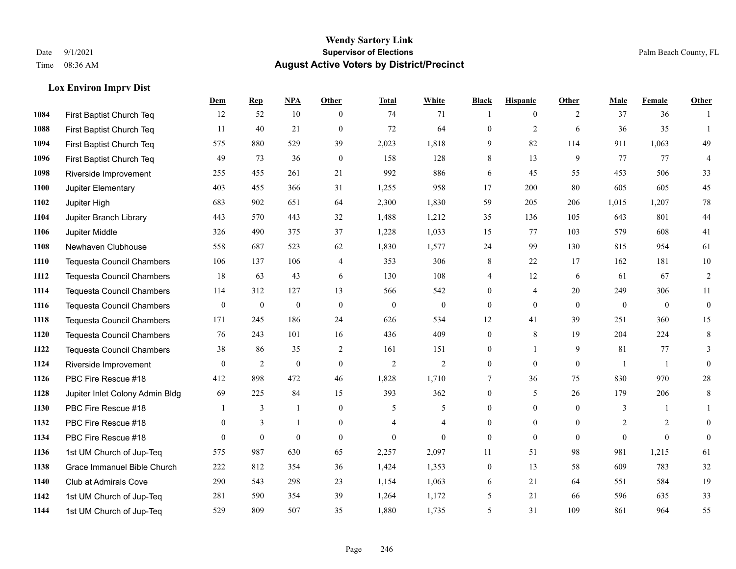## **Lox Environ Imprv Dist**

|      |                                  | Dem              | <b>Rep</b>       | NPA              | <b>Other</b>   | <b>Total</b>   | <b>White</b>     | <b>Black</b>     | <b>Hispanic</b> | <b>Other</b> | <b>Male</b>    | <b>Female</b>  | <b>Other</b>     |
|------|----------------------------------|------------------|------------------|------------------|----------------|----------------|------------------|------------------|-----------------|--------------|----------------|----------------|------------------|
| 1084 | First Baptist Church Teq         | 12               | 52               | 10               | $\theta$       | 74             | 71               |                  | $\overline{0}$  | 2            | 37             | 36             | $\overline{1}$   |
| 1088 | First Baptist Church Teq         | 11               | 40               | 21               | $\Omega$       | 72             | 64               | $\mathbf{0}$     | $\overline{2}$  | 6            | 36             | 35             | $\overline{1}$   |
| 1094 | First Baptist Church Teq         | 575              | 880              | 529              | 39             | 2,023          | 1,818            | 9                | 82              | 114          | 911            | 1,063          | 49               |
| 1096 | First Baptist Church Teq         | 49               | 73               | 36               | $\mathbf{0}$   | 158            | 128              | 8                | 13              | 9            | 77             | 77             | 4                |
| 1098 | Riverside Improvement            | 255              | 455              | 261              | 21             | 992            | 886              | 6                | 45              | 55           | 453            | 506            | 33               |
| 1100 | Jupiter Elementary               | 403              | 455              | 366              | 31             | 1,255          | 958              | 17               | 200             | 80           | 605            | 605            | 45               |
| 1102 | Jupiter High                     | 683              | 902              | 651              | 64             | 2,300          | 1,830            | 59               | 205             | 206          | 1,015          | 1,207          | 78               |
| 1104 | Jupiter Branch Library           | 443              | 570              | 443              | 32             | 1,488          | 1,212            | 35               | 136             | 105          | 643            | 801            | 44               |
| 1106 | Jupiter Middle                   | 326              | 490              | 375              | 37             | 1,228          | 1,033            | 15               | 77              | 103          | 579            | 608            | 41               |
| 1108 | Newhaven Clubhouse               | 558              | 687              | 523              | 62             | 1,830          | 1,577            | 24               | 99              | 130          | 815            | 954            | 61               |
| 1110 | <b>Tequesta Council Chambers</b> | 106              | 137              | 106              | $\overline{4}$ | 353            | 306              | 8                | 22              | 17           | 162            | 181            | 10               |
| 1112 | <b>Tequesta Council Chambers</b> | 18               | 63               | 43               | 6              | 130            | 108              | 4                | 12              | 6            | 61             | 67             | $\sqrt{2}$       |
| 1114 | Tequesta Council Chambers        | 114              | 312              | 127              | 13             | 566            | 542              | $\boldsymbol{0}$ | 4               | 20           | 249            | 306            | 11               |
| 1116 | <b>Tequesta Council Chambers</b> | $\boldsymbol{0}$ | $\boldsymbol{0}$ | $\mathbf{0}$     | $\mathbf{0}$   | $\mathbf{0}$   | $\boldsymbol{0}$ | $\boldsymbol{0}$ | $\mathbf{0}$    | $\theta$     | $\overline{0}$ | $\mathbf{0}$   | $\boldsymbol{0}$ |
| 1118 | Tequesta Council Chambers        | 171              | 245              | 186              | 24             | 626            | 534              | 12               | 41              | 39           | 251            | 360            | 15               |
| 1120 | <b>Tequesta Council Chambers</b> | 76               | 243              | 101              | 16             | 436            | 409              | $\boldsymbol{0}$ | 8               | 19           | 204            | 224            | 8                |
| 1122 | <b>Tequesta Council Chambers</b> | 38               | 86               | 35               | 2              | 161            | 151              | $\boldsymbol{0}$ | $\mathbf{1}$    | 9            | 81             | 77             | 3                |
| 1124 | Riverside Improvement            | $\mathbf{0}$     | $\overline{2}$   | $\boldsymbol{0}$ | $\mathbf{0}$   | $\mathfrak{2}$ | $\mathfrak{2}$   | $\boldsymbol{0}$ | $\overline{0}$  | $\mathbf{0}$ |                | $\overline{1}$ | $\mathbf{0}$     |
| 1126 | PBC Fire Rescue #18              | 412              | 898              | 472              | 46             | 1,828          | 1,710            | 7                | 36              | 75           | 830            | 970            | $28\,$           |
| 1128 | Jupiter Inlet Colony Admin Bldg  | 69               | 225              | 84               | 15             | 393            | 362              | $\overline{0}$   | 5               | 26           | 179            | 206            | $\,8\,$          |
| 1130 | PBC Fire Rescue #18              | 1                | 3                | -1               | $\overline{0}$ | 5              | 5                | $\boldsymbol{0}$ | $\mathbf{0}$    | $\theta$     | 3              | $\mathbf{1}$   | $\mathbf{1}$     |
| 1132 | PBC Fire Rescue #18              | $\theta$         | 3                | $\mathbf{1}$     | $\Omega$       | $\overline{4}$ | 4                | $\mathbf{0}$     | $\mathbf{0}$    | $\theta$     | 2              | 2              | $\Omega$         |
| 1134 | PBC Fire Rescue #18              | $\theta$         | $\mathbf{0}$     | $\mathbf{0}$     | $\Omega$       | $\theta$       | $\Omega$         | $\mathbf{0}$     | $\theta$        | $\theta$     | $\theta$       | $\theta$       | $\mathbf{0}$     |
| 1136 | 1st UM Church of Jup-Teq         | 575              | 987              | 630              | 65             | 2,257          | 2,097            | 11               | 51              | 98           | 981            | 1,215          | 61               |
| 1138 | Grace Immanuel Bible Church      | 222              | 812              | 354              | 36             | 1,424          | 1,353            | $\boldsymbol{0}$ | 13              | 58           | 609            | 783            | 32               |
| 1140 | Club at Admirals Cove            | 290              | 543              | 298              | 23             | 1,154          | 1,063            | 6                | 21              | 64           | 551            | 584            | 19               |
| 1142 | 1st UM Church of Jup-Teq         | 281              | 590              | 354              | 39             | 1,264          | 1,172            | 5                | 21              | 66           | 596            | 635            | 33               |
| 1144 | 1st UM Church of Jup-Teq         | 529              | 809              | 507              | 35             | 1,880          | 1,735            | 5                | 31              | 109          | 861            | 964            | 55               |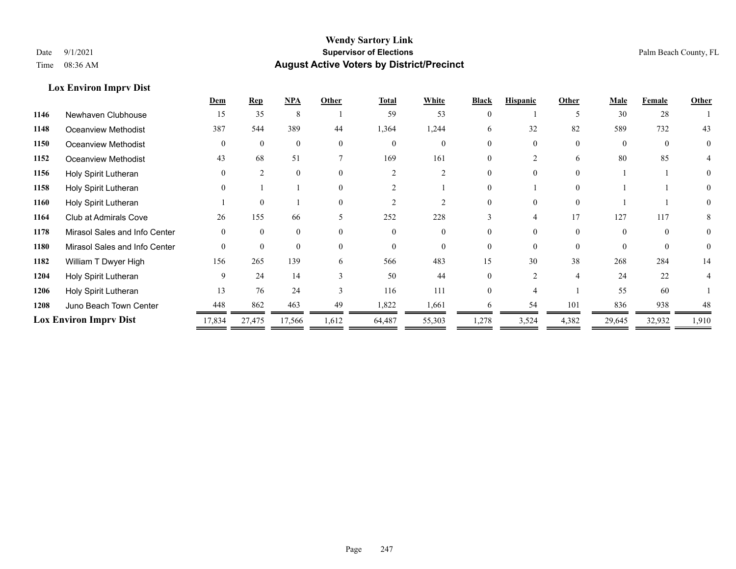## **Lox Environ Imprv Dist**

|      |                               | Dem      | <b>Rep</b>     | <b>NPA</b>     | Other                    | Total    | White    | <b>Black</b> | <b>Hispanic</b> | Other          | <b>Male</b> | Female   | Other    |
|------|-------------------------------|----------|----------------|----------------|--------------------------|----------|----------|--------------|-----------------|----------------|-------------|----------|----------|
| 1146 | Newhaven Clubhouse            | 15       | 35             | 8              |                          | 59       | 53       |              |                 |                | 30          | 28       |          |
| 1148 | Oceanview Methodist           | 387      | 544            | 389            | 44                       | 1,364    | 1,244    | 6            | 32              | 82             | 589         | 732      | 43       |
| 1150 | Oceanview Methodist           | $\Omega$ | $\theta$       | $\theta$       | $\Omega$                 | $\Omega$ | $\Omega$ |              |                 | $\Omega$       | $\Omega$    | $\Omega$ | $\theta$ |
| 1152 | <b>Oceanview Methodist</b>    | 43       | 68             | 51             |                          | 169      | 161      |              |                 | 6              | 80          | 85       |          |
| 1156 | Holy Spirit Lutheran          |          | $\mathfrak{D}$ | $\theta$       | $\Omega$                 |          |          | 0            |                 | $\Omega$       |             |          | $\theta$ |
| 1158 | Holy Spirit Lutheran          |          |                |                | $\Omega$                 |          |          |              |                 | $\Omega$       |             |          |          |
| 1160 | Holy Spirit Lutheran          |          | $\theta$       |                | $\theta$                 |          |          |              |                 | $\Omega$       |             |          |          |
| 1164 | Club at Admirals Cove         | 26       | 155            | 66             | $\overline{\phantom{1}}$ | 252      | 228      | 3            | 4               | 17             | 127         | 117      | 8        |
| 1178 | Mirasol Sales and Info Center |          | $\Omega$       | $\Omega$       | $\Omega$                 | $\Omega$ |          |              |                 | $\Omega$       |             | $\Omega$ | $\theta$ |
| 1180 | Mirasol Sales and Info Center | $\theta$ | $\mathbf{0}$   | $\overline{0}$ | $\Omega$                 | $\theta$ |          |              |                 | $\theta$       | $\Omega$    | $\Omega$ | $\theta$ |
| 1182 | William T Dwyer High          | 156      | 265            | 139            | 6                        | 566      | 483      | 15           | 30              | 38             | 268         | 284      | 14       |
| 1204 | Holy Spirit Lutheran          | 9        | 24             | 14             |                          | 50       | 44       |              |                 | $\overline{4}$ | 24          | 22       |          |
| 1206 | Holy Spirit Lutheran          | 13       | 76             | 24             | $\mathbf{3}$             | 116      | 111      |              |                 |                | 55          | 60       |          |
| 1208 | Juno Beach Town Center        | 448      | 862            | 463            | 49                       | 1,822    | 1,661    | 6            | 54              | 101            | 836         | 938      | 48       |
|      | <b>Lox Environ Imprv Dist</b> | 17,834   | 27,475         | 17,566         | 1,612                    | 64,487   | 55,303   | 1,278        | 3,524           | 4,382          | 29,645      | 32,932   | 1,910    |
|      |                               |          |                |                |                          |          |          |              |                 |                |             |          |          |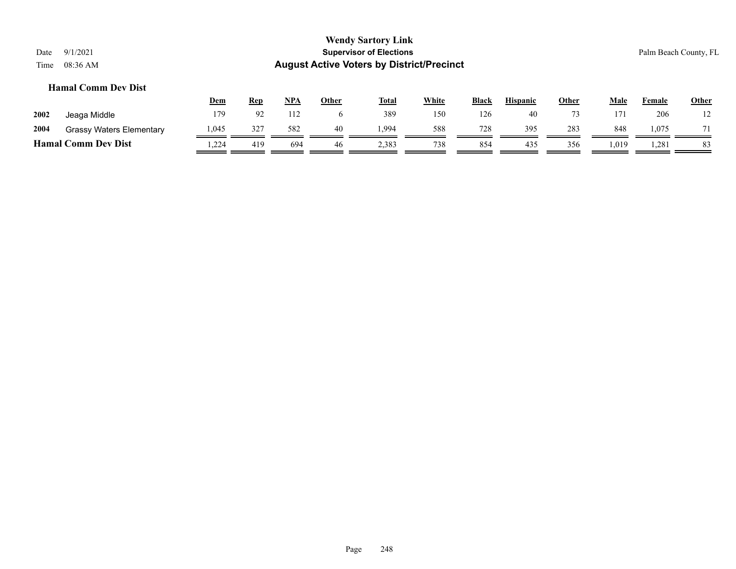## **Hamal Comm Dev Dist**

|      |                                 | <b>Dem</b> | Rep            | NPA | Other | <b>Total</b> | <u>White</u> | <b>Black</b> | <b>Hispanic</b> | <u>Other</u> | Male | Female | <b>Other</b> |
|------|---------------------------------|------------|----------------|-----|-------|--------------|--------------|--------------|-----------------|--------------|------|--------|--------------|
| 2002 | Jeaga Middle                    | 179        | Q <sub>2</sub> | 112 |       | 389          | 150          | 126          | 40              |              | 171  | 206    |              |
| 2004 | <b>Grassy Waters Elementary</b> | 1,045      | 327            | 582 | 40    | .994         | 588          | 728          | 395             | 283          | 848  | 1,075  |              |
|      | <b>Hamal Comm Dev Dist</b>      | .224       | 419            | 694 | 46    | 2,383        | 738          | 854          | 435             | 356          | .019 | 1,281  | 83           |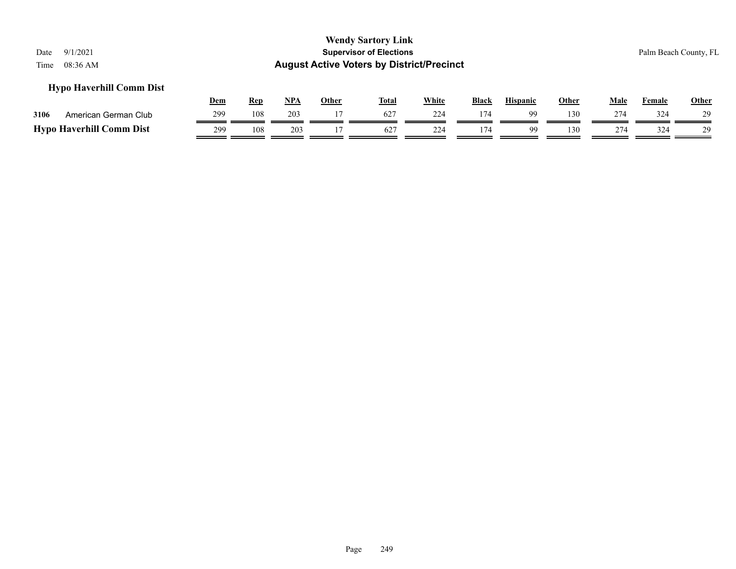## **Hypo Haverhill Comm Dist**

|                                 | <u>Dem</u> | Ren | NPA | Other | <b>Total</b>    | White | <b>Black</b> | <b>Hispanic</b> | Other | Male | Female | Other |
|---------------------------------|------------|-----|-----|-------|-----------------|-------|--------------|-----------------|-------|------|--------|-------|
| 3106<br>American German Club    | 299        | 108 | 203 |       | 627             | 224   | 174          | QQ              | 130   | 274  | 324    | 29    |
| <b>Hypo Haverhill Comm Dist</b> | 299        | 108 | 203 |       | 62 <sup>2</sup> | 224   |              |                 | 130   | 274  | 324    | 29    |

Page 249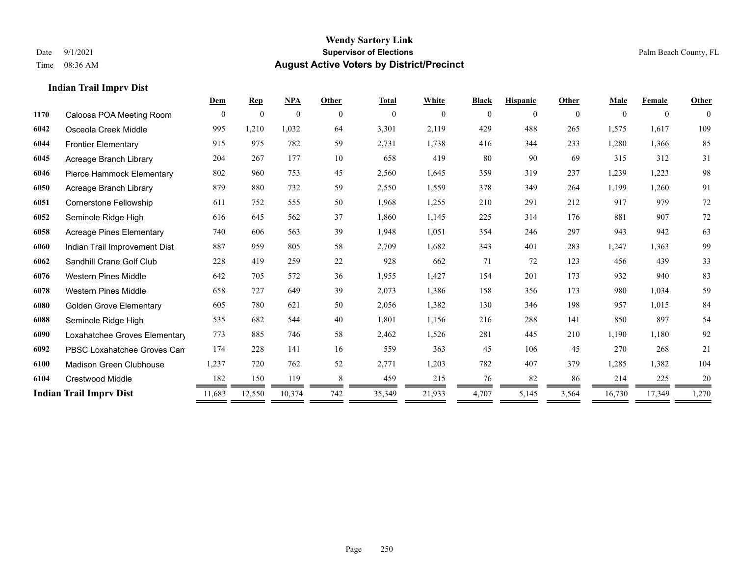## **Indian Trail Imprv Dist**

|      |                                 |              |                  |              |          | <b>Total</b> | White    | <b>Black</b> | <b>Hispanic</b> | Other          | Male     | Female       | Other        |
|------|---------------------------------|--------------|------------------|--------------|----------|--------------|----------|--------------|-----------------|----------------|----------|--------------|--------------|
| 1170 | Caloosa POA Meeting Room        | $\mathbf{0}$ | $\boldsymbol{0}$ | $\mathbf{0}$ | $\theta$ | $\mathbf{0}$ | $\theta$ | $\mathbf{0}$ | $\theta$        | $\overline{0}$ | $\Omega$ | $\mathbf{0}$ | $\mathbf{0}$ |
| 6042 | Osceola Creek Middle            | 995          | 1,210            | 1,032        | 64       | 3,301        | 2,119    | 429          | 488             | 265            | 1,575    | 1,617        | 109          |
| 6044 | <b>Frontier Elementary</b>      | 915          | 975              | 782          | 59       | 2,731        | 1,738    | 416          | 344             | 233            | 1,280    | 1,366        | 85           |
| 6045 | Acreage Branch Library          | 204          | 267              | 177          | 10       | 658          | 419      | 80           | 90              | 69             | 315      | 312          | 31           |
| 6046 | Pierce Hammock Elementary       | 802          | 960              | 753          | 45       | 2,560        | 1,645    | 359          | 319             | 237            | 1,239    | 1,223        | 98           |
| 6050 | Acreage Branch Library          | 879          | 880              | 732          | 59       | 2,550        | 1,559    | 378          | 349             | 264            | 1,199    | 1,260        | 91           |
| 6051 | Cornerstone Fellowship          | 611          | 752              | 555          | 50       | 1,968        | 1,255    | 210          | 291             | 212            | 917      | 979          | 72           |
| 6052 | Seminole Ridge High             | 616          | 645              | 562          | 37       | 1,860        | 1,145    | 225          | 314             | 176            | 881      | 907          | 72           |
| 6058 | <b>Acreage Pines Elementary</b> | 740          | 606              | 563          | 39       | 1,948        | 1,051    | 354          | 246             | 297            | 943      | 942          | 63           |
| 6060 | Indian Trail Improvement Dist   | 887          | 959              | 805          | 58       | 2,709        | 1,682    | 343          | 401             | 283            | 1,247    | 1,363        | 99           |
| 6062 | Sandhill Crane Golf Club        | 228          | 419              | 259          | 22       | 928          | 662      | 71           | 72              | 123            | 456      | 439          | 33           |
| 6076 | Western Pines Middle            | 642          | 705              | 572          | 36       | 1,955        | 1,427    | 154          | 201             | 173            | 932      | 940          | 83           |
| 6078 | <b>Western Pines Middle</b>     | 658          | 727              | 649          | 39       | 2,073        | 1,386    | 158          | 356             | 173            | 980      | 1.034        | 59           |
| 6080 | <b>Golden Grove Elementary</b>  | 605          | 780              | 621          | 50       | 2,056        | 1,382    | 130          | 346             | 198            | 957      | 1.015        | 84           |
| 6088 | Seminole Ridge High             | 535          | 682              | 544          | 40       | 1,801        | 1,156    | 216          | 288             | 141            | 850      | 897          | 54           |
| 6090 | Loxahatchee Groves Elementary   | 773          | 885              | 746          | 58       | 2,462        | 1,526    | 281          | 445             | 210            | 1,190    | 1,180        | 92           |
| 6092 | PBSC Loxahatchee Groves Can     | 174          | 228              | 141          | 16       | 559          | 363      | 45           | 106             | 45             | 270      | 268          | 21           |
| 6100 | Madison Green Clubhouse         | 1,237        | 720              | 762          | 52       | 2,771        | 1,203    | 782          | 407             | 379            | 1,285    | 1,382        | 104          |
| 6104 | <b>Crestwood Middle</b>         | 182          | 150              | 119          |          | 459          | 215      | 76           | 82              | 86             | 214      | 225          | 20           |
|      | <b>Indian Trail Imprv Dist</b>  | 11,683       | 12,550           | 10,374       | 742      | 35,349       | 21,933   | 4,707        | 5,145           | 3,564          | 16,730   | 17,349       | 1,270        |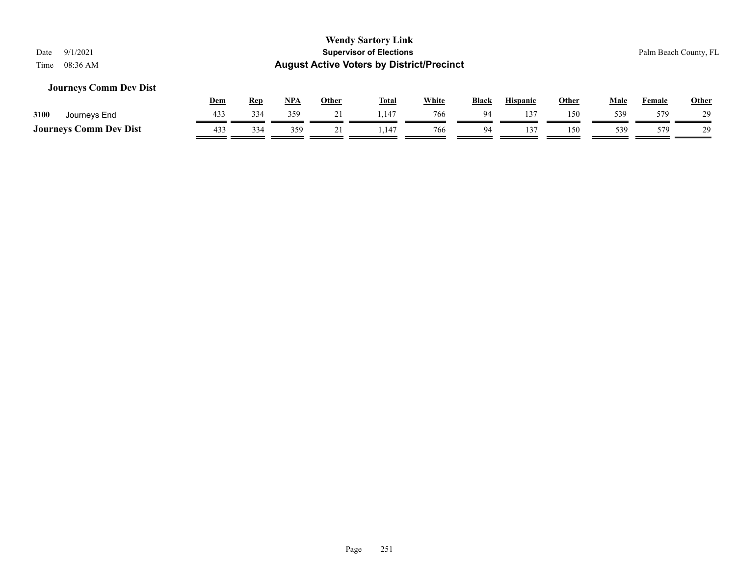## **Journeys Comm Dev Dist**

|                               | Dem | <b>Rep</b> | NP/ | Other | <b>Total</b> | White | <b>Black</b> | <b>Hispanic</b> | Other | Male | Female | <b>Other</b> |
|-------------------------------|-----|------------|-----|-------|--------------|-------|--------------|-----------------|-------|------|--------|--------------|
| 3100<br>Journeys End          | 433 | 334        | 359 |       | 1.147        | 766   | $Q_{\Delta}$ |                 | 150   | 539  | 579    | 29           |
| <b>Journeys Comm Dev Dist</b> | 433 | 334        | 359 |       | .14          | 766   | 94           |                 | 150   | 539  | 579.   | 29           |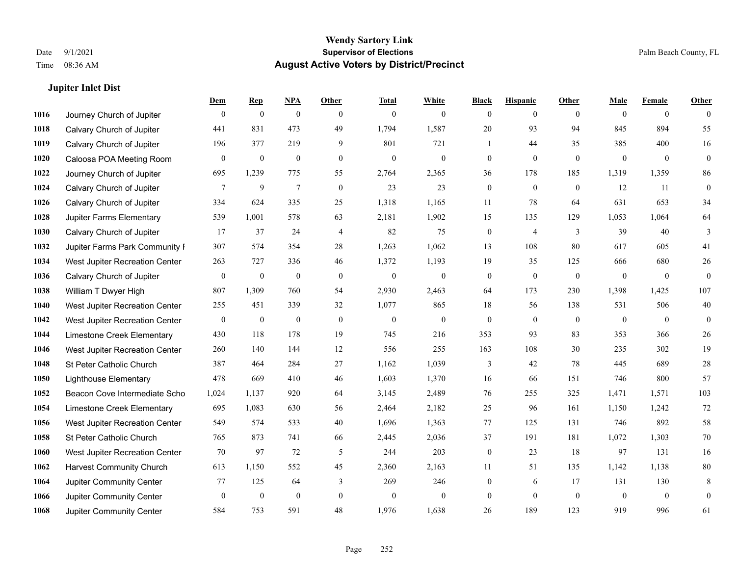## **Jupiter Inlet Dist**

|      |                                 | Dem              | <b>Rep</b>       | $NPA$            | <b>Other</b>     | <b>Total</b>     | <b>White</b>     | <b>Black</b>     | <b>Hispanic</b>  | <b>Other</b>   | <b>Male</b>    | <b>Female</b>  | <b>Other</b>     |
|------|---------------------------------|------------------|------------------|------------------|------------------|------------------|------------------|------------------|------------------|----------------|----------------|----------------|------------------|
| 1016 | Journey Church of Jupiter       | $\mathbf{0}$     | $\mathbf{0}$     | $\mathbf{0}$     | $\theta$         | $\mathbf{0}$     | $\mathbf{0}$     | $\Omega$         | $\overline{0}$   | $\theta$       | $\theta$       | $\overline{0}$ | $\Omega$         |
| 1018 | Calvary Church of Jupiter       | 441              | 831              | 473              | 49               | 1,794            | 1,587            | 20               | 93               | 94             | 845            | 894            | 55               |
| 1019 | Calvary Church of Jupiter       | 196              | 377              | 219              | 9                | 801              | 721              | 1                | 44               | 35             | 385            | 400            | 16               |
| 1020 | Caloosa POA Meeting Room        | $\mathbf{0}$     | $\boldsymbol{0}$ | $\boldsymbol{0}$ | $\mathbf{0}$     | $\mathbf{0}$     | $\overline{0}$   | $\overline{0}$   | $\overline{0}$   | $\mathbf{0}$   | $\mathbf{0}$   | $\mathbf{0}$   | $\overline{0}$   |
| 1022 | Journey Church of Jupiter       | 695              | 1,239            | 775              | 55               | 2,764            | 2,365            | 36               | 178              | 185            | 1,319          | 1,359          | 86               |
| 1024 | Calvary Church of Jupiter       | 7                | 9                | $\tau$           | $\boldsymbol{0}$ | 23               | 23               | $\mathbf{0}$     | $\mathbf{0}$     | $\overline{0}$ | 12             | 11             | $\mathbf{0}$     |
| 1026 | Calvary Church of Jupiter       | 334              | 624              | 335              | 25               | 1,318            | 1,165            | 11               | 78               | 64             | 631            | 653            | 34               |
| 1028 | <b>Jupiter Farms Elementary</b> | 539              | 1,001            | 578              | 63               | 2,181            | 1,902            | 15               | 135              | 129            | 1,053          | 1,064          | 64               |
| 1030 | Calvary Church of Jupiter       | 17               | 37               | 24               | $\overline{4}$   | 82               | 75               | $\overline{0}$   | 4                | 3              | 39             | 40             | 3                |
| 1032 | Jupiter Farms Park Community I  | 307              | 574              | 354              | 28               | 1,263            | 1,062            | 13               | 108              | 80             | 617            | 605            | 41               |
| 1034 | West Jupiter Recreation Center  | 263              | 727              | 336              | 46               | 1,372            | 1,193            | 19               | 35               | 125            | 666            | 680            | $26\,$           |
| 1036 | Calvary Church of Jupiter       | $\boldsymbol{0}$ | $\boldsymbol{0}$ | $\boldsymbol{0}$ | $\bf{0}$         | $\boldsymbol{0}$ | $\boldsymbol{0}$ | $\boldsymbol{0}$ | $\boldsymbol{0}$ | $\mathbf{0}$   | $\overline{0}$ | $\overline{0}$ | $\overline{0}$   |
| 1038 | William T Dwyer High            | 807              | 1,309            | 760              | 54               | 2,930            | 2,463            | 64               | 173              | 230            | 1,398          | 1,425          | 107              |
| 1040 | West Jupiter Recreation Center  | 255              | 451              | 339              | 32               | 1,077            | 865              | 18               | 56               | 138            | 531            | 506            | $40\,$           |
| 1042 | West Jupiter Recreation Center  | $\mathbf{0}$     | $\boldsymbol{0}$ | $\boldsymbol{0}$ | $\overline{0}$   | $\overline{0}$   | $\boldsymbol{0}$ | $\mathbf{0}$     | $\mathbf{0}$     | $\theta$       | $\mathbf{0}$   | $\overline{0}$ | $\boldsymbol{0}$ |
| 1044 | Limestone Creek Elementary      | 430              | 118              | 178              | 19               | 745              | 216              | 353              | 93               | 83             | 353            | 366            | 26               |
| 1046 | West Jupiter Recreation Center  | 260              | 140              | 144              | 12               | 556              | 255              | 163              | 108              | 30             | 235            | 302            | $19\,$           |
| 1048 | St Peter Catholic Church        | 387              | 464              | 284              | 27               | 1,162            | 1,039            | 3                | 42               | 78             | 445            | 689            | 28               |
| 1050 | <b>Lighthouse Elementary</b>    | 478              | 669              | 410              | 46               | 1,603            | 1,370            | 16               | 66               | 151            | 746            | 800            | 57               |
| 1052 | Beacon Cove Intermediate Scho   | 1,024            | 1,137            | 920              | 64               | 3,145            | 2,489            | 76               | 255              | 325            | 1,471          | 1,571          | 103              |
| 1054 | Limestone Creek Elementary      | 695              | 1,083            | 630              | 56               | 2,464            | 2,182            | 25               | 96               | 161            | 1,150          | 1,242          | 72               |
| 1056 | West Jupiter Recreation Center  | 549              | 574              | 533              | 40               | 1,696            | 1,363            | 77               | 125              | 131            | 746            | 892            | 58               |
| 1058 | St Peter Catholic Church        | 765              | 873              | 741              | 66               | 2,445            | 2,036            | 37               | 191              | 181            | 1,072          | 1,303          | $70\,$           |
| 1060 | West Jupiter Recreation Center  | 70               | 97               | 72               | 5                | 244              | 203              | $\boldsymbol{0}$ | 23               | 18             | 97             | 131            | 16               |
| 1062 | <b>Harvest Community Church</b> | 613              | 1.150            | 552              | 45               | 2,360            | 2,163            | 11               | 51               | 135            | 1,142          | 1.138          | 80               |
| 1064 | Jupiter Community Center        | 77               | 125              | 64               | 3                | 269              | 246              | $\mathbf{0}$     | 6                | 17             | 131            | 130            | 8                |
| 1066 | Jupiter Community Center        | $\mathbf{0}$     | $\boldsymbol{0}$ | $\mathbf{0}$     | $\mathbf{0}$     | $\mathbf{0}$     | $\overline{0}$   | $\overline{0}$   | $\Omega$         | $\mathbf{0}$   | $\mathbf{0}$   | $\mathbf{0}$   | $\overline{0}$   |
| 1068 | Jupiter Community Center        | 584              | 753              | 591              | 48               | 1,976            | 1,638            | 26               | 189              | 123            | 919            | 996            | 61               |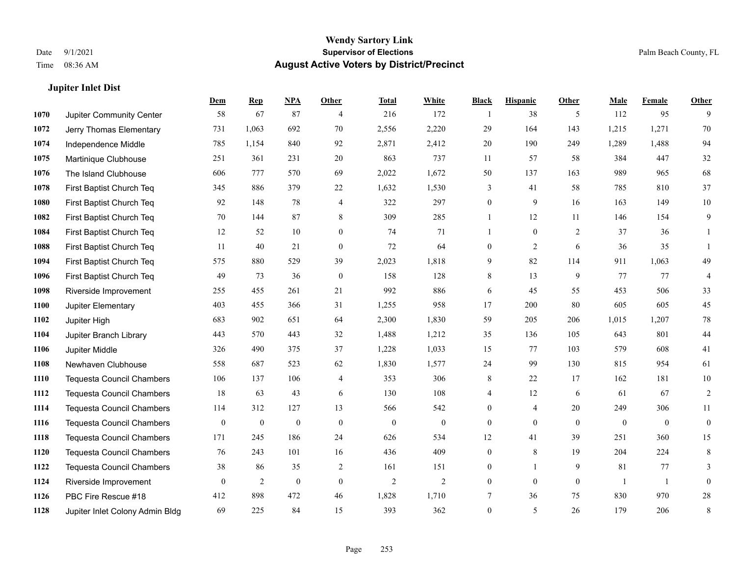#### **Jupiter Inlet Dist**

|      |                                  | Dem              | <b>Rep</b>       | NPA              | <b>Other</b>     | <b>Total</b> | <b>White</b>     | <b>Black</b>     | <b>Hispanic</b> | Other        | <b>Male</b>  | <b>Female</b> | <b>Other</b>   |
|------|----------------------------------|------------------|------------------|------------------|------------------|--------------|------------------|------------------|-----------------|--------------|--------------|---------------|----------------|
| 1070 | Jupiter Community Center         | 58               | 67               | 87               | $\overline{4}$   | 216          | 172              | 1                | 38              | 5            | 112          | 95            | 9              |
| 1072 | Jerry Thomas Elementary          | 731              | 1,063            | 692              | 70               | 2,556        | 2,220            | 29               | 164             | 143          | 1,215        | 1,271         | 70             |
| 1074 | Independence Middle              | 785              | 1,154            | 840              | 92               | 2,871        | 2,412            | $20\,$           | 190             | 249          | 1,289        | 1,488         | 94             |
| 1075 | Martinique Clubhouse             | 251              | 361              | 231              | 20               | 863          | 737              | 11               | 57              | 58           | 384          | 447           | 32             |
| 1076 | The Island Clubhouse             | 606              | 777              | 570              | 69               | 2,022        | 1,672            | 50               | 137             | 163          | 989          | 965           | 68             |
| 1078 | First Baptist Church Teq         | 345              | 886              | 379              | 22               | 1,632        | 1,530            | 3                | 41              | 58           | 785          | 810           | 37             |
| 1080 | First Baptist Church Teq         | 92               | 148              | 78               | $\overline{4}$   | 322          | 297              | $\boldsymbol{0}$ | 9               | 16           | 163          | 149           | $10\,$         |
| 1082 | First Baptist Church Teq         | 70               | 144              | 87               | 8                | 309          | 285              | $\mathbf{1}$     | 12              | 11           | 146          | 154           | 9              |
| 1084 | First Baptist Church Teq         | 12               | 52               | 10               | $\mathbf{0}$     | 74           | 71               |                  | $\overline{0}$  | 2            | 37           | 36            |                |
| 1088 | First Baptist Church Teq         | 11               | 40               | 21               | $\overline{0}$   | 72           | 64               | $\overline{0}$   | 2               | 6            | 36           | 35            |                |
| 1094 | First Baptist Church Teq         | 575              | 880              | 529              | 39               | 2,023        | 1,818            | 9                | 82              | 114          | 911          | 1,063         | 49             |
| 1096 | First Baptist Church Teq         | 49               | 73               | 36               | $\mathbf{0}$     | 158          | 128              | 8                | 13              | 9            | 77           | 77            | 4              |
| 1098 | Riverside Improvement            | 255              | 455              | 261              | 21               | 992          | 886              | 6                | 45              | 55           | 453          | 506           | 33             |
| 1100 | Jupiter Elementary               | 403              | 455              | 366              | 31               | 1,255        | 958              | 17               | 200             | 80           | 605          | 605           | $45\,$         |
| 1102 | Jupiter High                     | 683              | 902              | 651              | 64               | 2,300        | 1,830            | 59               | 205             | 206          | 1,015        | 1,207         | $78\,$         |
| 1104 | Jupiter Branch Library           | 443              | 570              | 443              | 32               | 1,488        | 1,212            | 35               | 136             | 105          | 643          | 801           | $44\,$         |
| 1106 | Jupiter Middle                   | 326              | 490              | 375              | 37               | 1,228        | 1,033            | 15               | 77              | 103          | 579          | 608           | 41             |
| 1108 | Newhaven Clubhouse               | 558              | 687              | 523              | 62               | 1,830        | 1,577            | 24               | 99              | 130          | 815          | 954           | 61             |
| 1110 | <b>Tequesta Council Chambers</b> | 106              | 137              | 106              | $\overline{4}$   | 353          | 306              | 8                | 22              | 17           | 162          | 181           | 10             |
| 1112 | <b>Tequesta Council Chambers</b> | 18               | 63               | 43               | 6                | 130          | 108              | 4                | 12              | 6            | 61           | 67            | $\overline{2}$ |
| 1114 | <b>Tequesta Council Chambers</b> | 114              | 312              | 127              | 13               | 566          | 542              | $\overline{0}$   | 4               | 20           | 249          | 306           | 11             |
| 1116 | <b>Tequesta Council Chambers</b> | $\boldsymbol{0}$ | $\boldsymbol{0}$ | $\boldsymbol{0}$ | $\mathbf{0}$     | $\mathbf{0}$ | $\boldsymbol{0}$ | 0                | $\mathbf{0}$    | $\theta$     | $\mathbf{0}$ | $\mathbf{0}$  | $\mathbf{0}$   |
| 1118 | <b>Tequesta Council Chambers</b> | 171              | 245              | 186              | 24               | 626          | 534              | 12               | 41              | 39           | 251          | 360           | 15             |
| 1120 | <b>Tequesta Council Chambers</b> | 76               | 243              | 101              | 16               | 436          | 409              | 0                | 8               | 19           | 204          | 224           | 8              |
| 1122 | Tequesta Council Chambers        | 38               | 86               | 35               | 2                | 161          | 151              | 0                | $\mathbf{1}$    | 9            | 81           | 77            | 3              |
| 1124 | Riverside Improvement            | $\mathbf{0}$     | $\sqrt{2}$       | $\boldsymbol{0}$ | $\boldsymbol{0}$ | $\sqrt{2}$   | $\mathbf{2}$     | $\overline{0}$   | $\mathbf{0}$    | $\mathbf{0}$ | -1           | $\mathbf{1}$  | $\mathbf{0}$   |
| 1126 | PBC Fire Rescue #18              | 412              | 898              | 472              | 46               | 1,828        | 1,710            | 7                | 36              | 75           | 830          | 970           | 28             |
| 1128 | Jupiter Inlet Colony Admin Bldg  | 69               | 225              | 84               | 15               | 393          | 362              | $\overline{0}$   | 5               | 26           | 179          | 206           | 8              |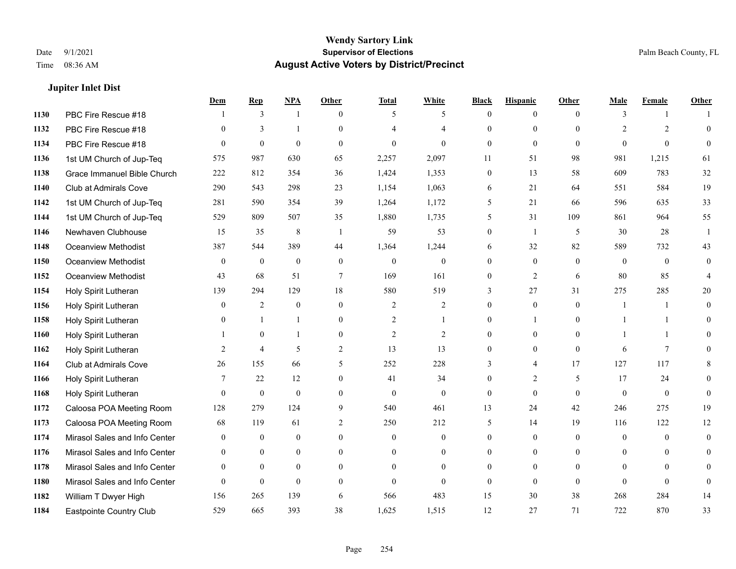#### **Jupiter Inlet Dist**

|      |                               | Dem            | <b>Rep</b>     | NPA              | <b>Other</b>   | <b>Total</b>   | <b>White</b>     | <b>Black</b>     | <b>Hispanic</b>  | <b>Other</b>   | <b>Male</b>    | <b>Female</b>  | <b>Other</b>   |
|------|-------------------------------|----------------|----------------|------------------|----------------|----------------|------------------|------------------|------------------|----------------|----------------|----------------|----------------|
| 1130 | PBC Fire Rescue #18           |                | 3              | 1                | $\theta$       | 5              | 5                | $\mathbf{0}$     | $\overline{0}$   | $\theta$       | 3              | -1             |                |
| 1132 | PBC Fire Rescue #18           | $\theta$       | 3              | $\mathbf{1}$     | $\Omega$       | $\overline{4}$ | $\overline{4}$   | $\theta$         | $\mathbf{0}$     | $\Omega$       | $\overline{2}$ | $\overline{2}$ | $\theta$       |
| 1134 | PBC Fire Rescue #18           | $\Omega$       | $\mathbf{0}$   | $\theta$         | $\Omega$       | $\theta$       | $\Omega$         | $\Omega$         | $\theta$         | $\Omega$       | $\Omega$       | $\Omega$       | $\theta$       |
| 1136 | 1st UM Church of Jup-Teq      | 575            | 987            | 630              | 65             | 2,257          | 2,097            | 11               | 51               | 98             | 981            | 1,215          | 61             |
| 1138 | Grace Immanuel Bible Church   | 222            | 812            | 354              | 36             | 1,424          | 1,353            | $\mathbf{0}$     | 13               | 58             | 609            | 783            | $32\,$         |
| 1140 | Club at Admirals Cove         | 290            | 543            | 298              | 23             | 1,154          | 1,063            | 6                | 21               | 64             | 551            | 584            | 19             |
| 1142 | 1st UM Church of Jup-Teq      | 281            | 590            | 354              | 39             | 1,264          | 1,172            | 5                | 21               | 66             | 596            | 635            | 33             |
| 1144 | 1st UM Church of Jup-Teq      | 529            | 809            | 507              | 35             | 1,880          | 1,735            | 5                | 31               | 109            | 861            | 964            | 55             |
| 1146 | Newhaven Clubhouse            | 15             | 35             | $\,8\,$          | -1             | 59             | 53               | $\boldsymbol{0}$ | $\mathbf{1}$     | 5              | 30             | 28             |                |
| 1148 | Oceanview Methodist           | 387            | 544            | 389              | 44             | 1,364          | 1,244            | 6                | 32               | 82             | 589            | 732            | 43             |
| 1150 | Oceanview Methodist           | $\mathbf{0}$   | $\mathbf{0}$   | $\mathbf{0}$     | $\theta$       | $\mathbf{0}$   | $\mathbf{0}$     | $\overline{0}$   | $\mathbf{0}$     | $\theta$       | $\overline{0}$ | $\overline{0}$ | $\theta$       |
| 1152 | <b>Oceanview Methodist</b>    | 43             | 68             | 51               | $\tau$         | 169            | 161              | $\mathbf{0}$     | $\overline{2}$   | 6              | 80             | 85             | 4              |
| 1154 | Holy Spirit Lutheran          | 139            | 294            | 129              | 18             | 580            | 519              | 3                | 27               | 31             | 275            | 285            | 20             |
| 1156 | Holy Spirit Lutheran          | $\mathbf{0}$   | 2              | $\boldsymbol{0}$ | $\mathbf{0}$   | $\overline{2}$ | $\overline{c}$   | $\boldsymbol{0}$ | $\boldsymbol{0}$ | $\overline{0}$ | 1              | -1             | $\overline{0}$ |
| 1158 | Holy Spirit Lutheran          | $\Omega$       | -1             | $\mathbf{1}$     | $\mathbf{0}$   | $\overline{2}$ | 1                | $\overline{0}$   | 1                | $\Omega$       |                | $\mathbf{1}$   | $\theta$       |
| 1160 | Holy Spirit Lutheran          |                | $\theta$       | $\mathbf{1}$     | $\theta$       | $\overline{2}$ | $\overline{2}$   | $\theta$         | $\theta$         | $\Omega$       | $\mathbf{1}$   | $\mathbf{1}$   | $\theta$       |
| 1162 | Holy Spirit Lutheran          | 2              | $\overline{4}$ | 5                | $\mathfrak{2}$ | 13             | 13               | $\mathbf{0}$     | $\mathbf{0}$     | $\theta$       | 6              | $\tau$         | $\Omega$       |
| 1164 | Club at Admirals Cove         | 26             | 155            | 66               | 5              | 252            | 228              | 3                | 4                | 17             | 127            | 117            | 8              |
| 1166 | Holy Spirit Lutheran          | 7              | 22             | 12               | $\overline{0}$ | 41             | 34               | $\overline{0}$   | 2                | 5              | 17             | 24             | $\overline{0}$ |
| 1168 | Holy Spirit Lutheran          | $\theta$       | $\mathbf{0}$   | $\theta$         | $\theta$       | $\mathbf{0}$   | $\mathbf{0}$     | $\mathbf{0}$     | $\theta$         | $\theta$       | $\theta$       | $\theta$       | $\mathbf{0}$   |
| 1172 | Caloosa POA Meeting Room      | 128            | 279            | 124              | 9              | 540            | 461              | 13               | 24               | 42             | 246            | 275            | 19             |
| 1173 | Caloosa POA Meeting Room      | 68             | 119            | 61               | $\overline{c}$ | 250            | 212              | 5                | 14               | 19             | 116            | 122            | 12             |
| 1174 | Mirasol Sales and Info Center | $\theta$       | $\mathbf{0}$   | $\mathbf{0}$     | $\overline{0}$ | $\mathbf{0}$   | $\boldsymbol{0}$ | $\overline{0}$   | $\mathbf{0}$     | $\theta$       | $\theta$       | $\theta$       | $\mathbf{0}$   |
| 1176 | Mirasol Sales and Info Center | $\theta$       | $\theta$       | $\theta$         | $\theta$       | $\theta$       | $\overline{0}$   | $\theta$         | $\theta$         | $\theta$       | $\theta$       | $\theta$       | $\Omega$       |
| 1178 | Mirasol Sales and Info Center | $\overline{0}$ | $\mathbf{0}$   | $\mathbf{0}$     | $\theta$       | $\theta$       | $\boldsymbol{0}$ | $\overline{0}$   | $\mathbf{0}$     | $\theta$       | $\mathbf{0}$   | $\Omega$       | $\Omega$       |
| 1180 | Mirasol Sales and Info Center | $\theta$       | $\mathbf{0}$   | $\mathbf{0}$     | $\theta$       | $\theta$       | $\theta$         | $\theta$         | $\mathbf{0}$     | $\theta$       | $\theta$       | $\theta$       | $\overline{0}$ |
| 1182 | William T Dwyer High          | 156            | 265            | 139              | 6              | 566            | 483              | 15               | 30               | 38             | 268            | 284            | 14             |
| 1184 | Eastpointe Country Club       | 529            | 665            | 393              | 38             | 1,625          | 1,515            | 12               | 27               | 71             | 722            | 870            | 33             |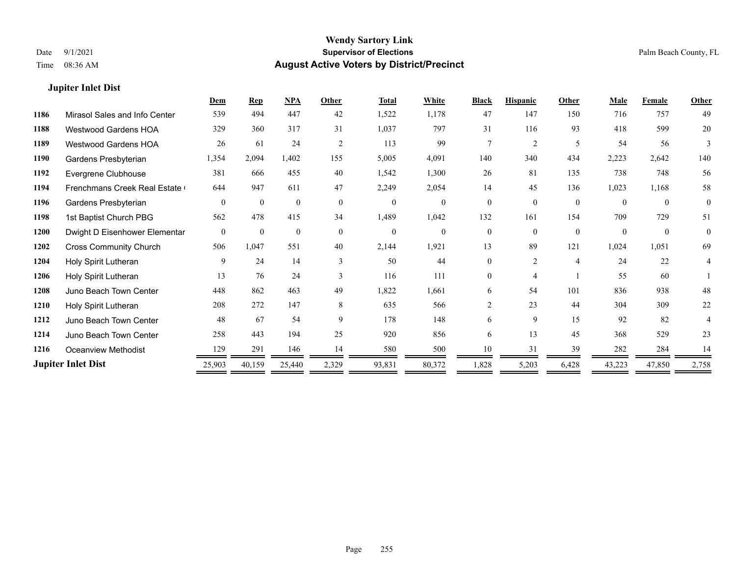#### **Jupiter Inlet Dist**

|      |                               | Dem            | <b>Rep</b>   | NPA          | Other          | <b>Total</b> | White        | <b>Black</b>   | <b>Hispanic</b> | Other          | <b>Male</b> | Female       | <b>Other</b> |
|------|-------------------------------|----------------|--------------|--------------|----------------|--------------|--------------|----------------|-----------------|----------------|-------------|--------------|--------------|
| 1186 | Mirasol Sales and Info Center | 539            | 494          | 447          | 42             | 1,522        | 1,178        | 47             | 147             | 150            | 716         | 757          | 49           |
| 1188 | Westwood Gardens HOA          | 329            | 360          | 317          | 31             | 1,037        | 797          | 31             | 116             | 93             | 418         | 599          | 20           |
| 1189 | Westwood Gardens HOA          | 26             | 61           | 24           | $\overline{2}$ | 113          | 99           | 7              | 2               | .5             | 54          | 56           | 3            |
| 1190 | Gardens Presbyterian          | 1,354          | 2,094        | 1,402        | 155            | 5,005        | 4,091        | 140            | 340             | 434            | 2,223       | 2,642        | 140          |
| 1192 | Evergrene Clubhouse           | 381            | 666          | 455          | 40             | 1,542        | 1,300        | 26             | 81              | 135            | 738         | 748          | 56           |
| 1194 | Frenchmans Creek Real Estate  | 644            | 947          | 611          | 47             | 2,249        | 2,054        | 14             | 45              | 136            | 1,023       | 1,168        | 58           |
| 1196 | Gardens Presbyterian          | $\theta$       | $\Omega$     | $\mathbf{0}$ | $\theta$       | $\theta$     | $\theta$     | $\theta$       | $\theta$        | $\theta$       | $\theta$    | $\theta$     | $\mathbf{0}$ |
| 1198 | 1st Baptist Church PBG        | 562            | 478          | 415          | 34             | 1,489        | 1,042        | 132            | 161             | 154            | 709         | 729          | 51           |
| 1200 | Dwight D Eisenhower Elementar | $\overline{0}$ | $\mathbf{0}$ | $\mathbf{0}$ | $\overline{0}$ | $\mathbf{0}$ | $\mathbf{0}$ | $\theta$       | $\theta$        | $\theta$       | $\Omega$    | $\mathbf{0}$ | $\mathbf{0}$ |
| 1202 | <b>Cross Community Church</b> | 506            | 1,047        | 551          | 40             | 2,144        | 1,921        | 13             | 89              | 121            | 1,024       | 1,051        | 69           |
| 1204 | Holy Spirit Lutheran          | 9              | 24           | 14           | $\mathbf{3}$   | 50           | 44           | 0              | $\overline{2}$  | $\overline{4}$ | 24          | 22           | 4            |
| 1206 | Holy Spirit Lutheran          | 13             | 76           | 24           | $\mathbf{3}$   | 116          | 111          | $\theta$       | 4               |                | 55          | 60           |              |
| 1208 | Juno Beach Town Center        | 448            | 862          | 463          | 49             | 1,822        | 1,661        | 6              | 54              | 101            | 836         | 938          | 48           |
| 1210 | Holy Spirit Lutheran          | 208            | 272          | 147          | 8              | 635          | 566          | $\overline{2}$ | 23              | 44             | 304         | 309          | 22           |
| 1212 | Juno Beach Town Center        | 48             | 67           | 54           | 9              | 178          | 148          | 6              | 9               | 15             | 92          | 82           |              |
| 1214 | Juno Beach Town Center        | 258            | 443          | 194          | 25             | 920          | 856          | 6              | 13              | 45             | 368         | 529          | 23           |
| 1216 | Oceanview Methodist           | 129            | 291          | 146          | 14             | 580          | 500          | 10             | 31              | 39             | 282         | 284          | 14           |
|      | <b>Jupiter Inlet Dist</b>     | 25,903         | 40,159       | 25,440       | 2,329          | 93,831       | 80,372       | 1,828          | 5,203           | 6,428          | 43,223      | 47,850       | 2,758        |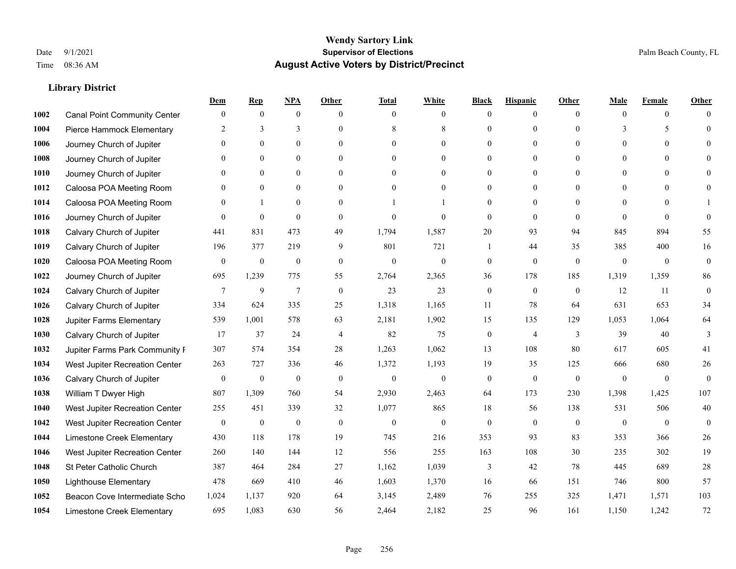|      |                                     | Dem              | <b>Rep</b>       | NPA              | <b>Other</b>   | <b>Total</b>     | <b>White</b>     | <b>Black</b>     | <b>Hispanic</b>  | <b>Other</b> | <b>Male</b>  | <b>Female</b>  | <b>Other</b>     |
|------|-------------------------------------|------------------|------------------|------------------|----------------|------------------|------------------|------------------|------------------|--------------|--------------|----------------|------------------|
| 1002 | <b>Canal Point Community Center</b> | $\mathbf{0}$     | $\mathbf{0}$     | $\boldsymbol{0}$ | $\theta$       | $\theta$         | $\overline{0}$   | $\mathbf{0}$     | $\boldsymbol{0}$ | $\theta$     | $\theta$     | $\overline{0}$ | $\Omega$         |
| 1004 | Pierce Hammock Elementary           | 2                | 3                | 3                | $\Omega$       | 8                | $\,$ 8 $\,$      | $\theta$         | $\mathbf{0}$     | $\Omega$     | 3            | 5              | $\theta$         |
| 1006 | Journey Church of Jupiter           | $\Omega$         | $\theta$         | $\theta$         | $\Omega$       | $\Omega$         | $\Omega$         | $\theta$         | $\theta$         | $\Omega$     | $\Omega$     | $\Omega$       | $\Omega$         |
| 1008 | Journey Church of Jupiter           | $\mathbf{0}$     | $\mathbf{0}$     | $\mathbf{0}$     | $\overline{0}$ | $\theta$         | $\boldsymbol{0}$ | $\mathbf{0}$     | $\mathbf{0}$     | $\mathbf{0}$ | $\mathbf{0}$ | $\mathbf{0}$   | $\theta$         |
| 1010 | Journey Church of Jupiter           | $\Omega$         | $\mathbf{0}$     | $\mathbf{0}$     | $\theta$       | $\theta$         | $\overline{0}$   | $\mathbf{0}$     | $\overline{0}$   | $\theta$     | $\theta$     | $\theta$       | $\theta$         |
| 1012 | Caloosa POA Meeting Room            | $\mathbf{0}$     | $\mathbf{0}$     | $\mathbf{0}$     | $\theta$       | $\theta$         | $\overline{0}$   | $\mathbf{0}$     | $\mathbf{0}$     | $\Omega$     | $\mathbf{0}$ | $\theta$       | $\mathbf{0}$     |
| 1014 | Caloosa POA Meeting Room            | $\Omega$         | $\mathbf{1}$     | $\theta$         | $\theta$       |                  | 1                | $\mathbf{0}$     | $\mathbf{0}$     | $\Omega$     | $\Omega$     | $\Omega$       |                  |
| 1016 | Journey Church of Jupiter           | $\Omega$         | $\mathbf{0}$     | $\mathbf{0}$     | $\theta$       | $\theta$         | $\mathbf{0}$     | $\mathbf{0}$     | $\mathbf{0}$     | $\theta$     | $\theta$     | $\Omega$       | $\theta$         |
| 1018 | Calvary Church of Jupiter           | 441              | 831              | 473              | 49             | 1,794            | 1,587            | 20               | 93               | 94           | 845          | 894            | 55               |
| 1019 | Calvary Church of Jupiter           | 196              | 377              | 219              | 9              | 801              | 721              | -1               | 44               | 35           | 385          | 400            | 16               |
| 1020 | Caloosa POA Meeting Room            | $\mathbf{0}$     | $\boldsymbol{0}$ | $\mathbf{0}$     | $\theta$       | $\theta$         | $\mathbf{0}$     | $\mathbf{0}$     | $\theta$         | $\theta$     | $\theta$     | $\theta$       | $\overline{0}$   |
| 1022 | Journey Church of Jupiter           | 695              | 1,239            | 775              | 55             | 2,764            | 2,365            | 36               | 178              | 185          | 1,319        | 1,359          | 86               |
| 1024 | Calvary Church of Jupiter           | 7                | 9                | $\overline{7}$   | $\mathbf{0}$   | 23               | 23               | $\boldsymbol{0}$ | $\mathbf{0}$     | $\mathbf{0}$ | 12           | 11             | $\boldsymbol{0}$ |
| 1026 | Calvary Church of Jupiter           | 334              | 624              | 335              | 25             | 1,318            | 1,165            | 11               | 78               | 64           | 631          | 653            | 34               |
| 1028 | Jupiter Farms Elementary            | 539              | 1,001            | 578              | 63             | 2,181            | 1,902            | 15               | 135              | 129          | 1,053        | 1,064          | 64               |
| 1030 | Calvary Church of Jupiter           | 17               | 37               | 24               | $\overline{4}$ | 82               | 75               | $\boldsymbol{0}$ | 4                | 3            | 39           | 40             | 3                |
| 1032 | Jupiter Farms Park Community I      | 307              | 574              | 354              | 28             | 1,263            | 1,062            | 13               | 108              | 80           | 617          | 605            | 41               |
| 1034 | West Jupiter Recreation Center      | 263              | 727              | 336              | 46             | 1,372            | 1,193            | 19               | 35               | 125          | 666          | 680            | 26               |
| 1036 | Calvary Church of Jupiter           | $\boldsymbol{0}$ | $\boldsymbol{0}$ | $\mathbf{0}$     | $\theta$       | $\mathbf{0}$     | $\mathbf{0}$     | $\mathbf{0}$     | $\mathbf{0}$     | $\theta$     | $\mathbf{0}$ | $\mathbf{0}$   | $\mathbf{0}$     |
| 1038 | William T Dwyer High                | 807              | 1,309            | 760              | 54             | 2,930            | 2,463            | 64               | 173              | 230          | 1,398        | 1.425          | 107              |
| 1040 | West Jupiter Recreation Center      | 255              | 451              | 339              | 32             | 1,077            | 865              | 18               | 56               | 138          | 531          | 506            | $40\,$           |
| 1042 | West Jupiter Recreation Center      | $\boldsymbol{0}$ | $\boldsymbol{0}$ | $\boldsymbol{0}$ | $\mathbf{0}$   | $\boldsymbol{0}$ | $\mathbf{0}$     | $\boldsymbol{0}$ | $\mathbf{0}$     | $\mathbf{0}$ | $\mathbf{0}$ | $\overline{0}$ | $\mathbf{0}$     |
| 1044 | Limestone Creek Elementary          | 430              | 118              | 178              | 19             | 745              | 216              | 353              | 93               | 83           | 353          | 366            | 26               |
| 1046 | West Jupiter Recreation Center      | 260              | 140              | 144              | 12             | 556              | 255              | 163              | 108              | 30           | 235          | 302            | 19               |
| 1048 | St Peter Catholic Church            | 387              | 464              | 284              | 27             | 1,162            | 1,039            | 3                | 42               | 78           | 445          | 689            | 28               |
| 1050 | <b>Lighthouse Elementary</b>        | 478              | 669              | 410              | 46             | 1,603            | 1,370            | 16               | 66               | 151          | 746          | 800            | 57               |
| 1052 | Beacon Cove Intermediate Scho       | 1,024            | 1,137            | 920              | 64             | 3,145            | 2,489            | 76               | 255              | 325          | 1,471        | 1,571          | 103              |
| 1054 | Limestone Creek Elementary          | 695              | 1,083            | 630              | 56             | 2,464            | 2,182            | 25               | 96               | 161          | 1.150        | 1,242          | 72               |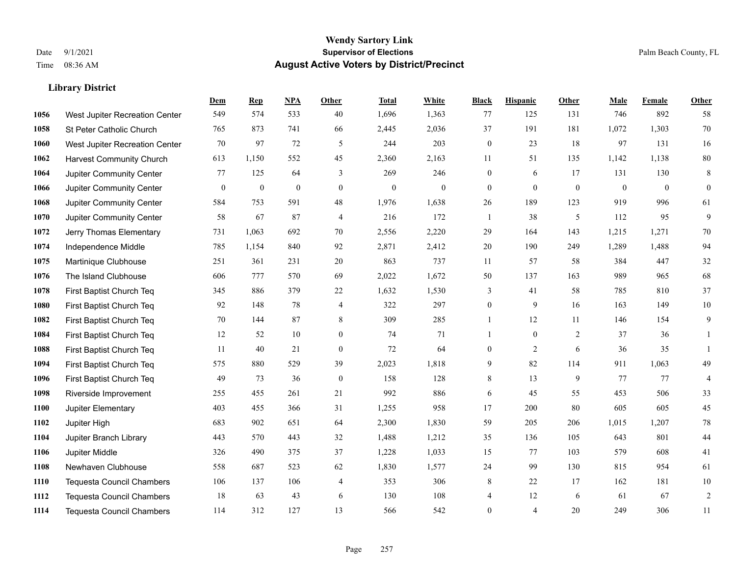|      |                                  | Dem          | <b>Rep</b>       | NPA              | <b>Other</b>     | <b>Total</b>     | <b>White</b> | <b>Black</b>     | <b>Hispanic</b>  | <b>Other</b>     | <b>Male</b>  | <b>Female</b> | <b>Other</b>     |
|------|----------------------------------|--------------|------------------|------------------|------------------|------------------|--------------|------------------|------------------|------------------|--------------|---------------|------------------|
| 1056 | West Jupiter Recreation Center   | 549          | 574              | 533              | 40               | 1,696            | 1,363        | 77               | 125              | 131              | 746          | 892           | 58               |
| 1058 | St Peter Catholic Church         | 765          | 873              | 741              | 66               | 2,445            | 2,036        | 37               | 191              | 181              | 1,072        | 1,303         | 70               |
| 1060 | West Jupiter Recreation Center   | 70           | 97               | 72               | 5                | 244              | 203          | $\boldsymbol{0}$ | 23               | 18               | 97           | 131           | 16               |
| 1062 | <b>Harvest Community Church</b>  | 613          | 1,150            | 552              | 45               | 2,360            | 2,163        | 11               | 51               | 135              | 1,142        | 1,138         | $80\,$           |
| 1064 | Jupiter Community Center         | 77           | 125              | 64               | 3                | 269              | 246          | $\boldsymbol{0}$ | 6                | 17               | 131          | 130           | $\,8\,$          |
| 1066 | Jupiter Community Center         | $\mathbf{0}$ | $\boldsymbol{0}$ | $\boldsymbol{0}$ | $\mathbf{0}$     | $\boldsymbol{0}$ | $\mathbf{0}$ | $\boldsymbol{0}$ | $\boldsymbol{0}$ | $\boldsymbol{0}$ | $\mathbf{0}$ | $\mathbf{0}$  | $\boldsymbol{0}$ |
| 1068 | Jupiter Community Center         | 584          | 753              | 591              | 48               | 1,976            | 1,638        | 26               | 189              | 123              | 919          | 996           | 61               |
| 1070 | Jupiter Community Center         | 58           | 67               | 87               | $\overline{4}$   | 216              | 172          | $\mathbf{1}$     | 38               | 5                | 112          | 95            | 9                |
| 1072 | Jerry Thomas Elementary          | 731          | 1,063            | 692              | 70               | 2,556            | 2,220        | 29               | 164              | 143              | 1,215        | 1,271         | 70               |
| 1074 | Independence Middle              | 785          | 1,154            | 840              | 92               | 2,871            | 2,412        | $20\,$           | 190              | 249              | 1,289        | 1,488         | 94               |
| 1075 | Martinique Clubhouse             | 251          | 361              | 231              | 20               | 863              | 737          | 11               | 57               | 58               | 384          | 447           | $32\,$           |
| 1076 | The Island Clubhouse             | 606          | 777              | 570              | 69               | 2,022            | 1,672        | 50               | 137              | 163              | 989          | 965           | 68               |
| 1078 | First Baptist Church Teq         | 345          | 886              | 379              | 22               | 1,632            | 1,530        | 3                | 41               | 58               | 785          | 810           | 37               |
| 1080 | First Baptist Church Teq         | 92           | 148              | 78               | 4                | 322              | 297          | $\boldsymbol{0}$ | 9                | 16               | 163          | 149           | $10\,$           |
| 1082 | First Baptist Church Teq         | 70           | 144              | 87               | 8                | 309              | 285          | $\mathbf{1}$     | 12               | 11               | 146          | 154           | 9                |
| 1084 | First Baptist Church Teq         | 12           | 52               | 10               | $\overline{0}$   | 74               | 71           | 1                | $\boldsymbol{0}$ | 2                | 37           | 36            | 1                |
| 1088 | First Baptist Church Teq         | 11           | 40               | 21               | $\mathbf{0}$     | 72               | 64           | $\boldsymbol{0}$ | 2                | 6                | 36           | 35            | $\mathbf{1}$     |
| 1094 | First Baptist Church Teq         | 575          | 880              | 529              | 39               | 2,023            | 1,818        | 9                | 82               | 114              | 911          | 1.063         | 49               |
| 1096 | First Baptist Church Teq         | 49           | 73               | 36               | $\boldsymbol{0}$ | 158              | 128          | $\,8\,$          | 13               | 9                | 77           | 77            | $\overline{4}$   |
| 1098 | Riverside Improvement            | 255          | 455              | 261              | 21               | 992              | 886          | 6                | 45               | 55               | 453          | 506           | 33               |
| 1100 | Jupiter Elementary               | 403          | 455              | 366              | 31               | 1,255            | 958          | 17               | 200              | 80               | 605          | 605           | 45               |
| 1102 | Jupiter High                     | 683          | 902              | 651              | 64               | 2,300            | 1,830        | 59               | 205              | 206              | 1,015        | 1,207         | $78\,$           |
| 1104 | Jupiter Branch Library           | 443          | 570              | 443              | 32               | 1,488            | 1,212        | 35               | 136              | 105              | 643          | 801           | 44               |
| 1106 | Jupiter Middle                   | 326          | 490              | 375              | 37               | 1,228            | 1,033        | 15               | 77               | 103              | 579          | 608           | 41               |
| 1108 | Newhaven Clubhouse               | 558          | 687              | 523              | 62               | 1,830            | 1,577        | 24               | 99               | 130              | 815          | 954           | 61               |
| 1110 | <b>Tequesta Council Chambers</b> | 106          | 137              | 106              | 4                | 353              | 306          | 8                | 22               | 17               | 162          | 181           | $10\,$           |
| 1112 | <b>Tequesta Council Chambers</b> | 18           | 63               | 43               | 6                | 130              | 108          | 4                | 12               | 6                | 61           | 67            | $\sqrt{2}$       |
| 1114 | Tequesta Council Chambers        | 114          | 312              | 127              | 13               | 566              | 542          | $\mathbf{0}$     | 4                | 20               | 249          | 306           | 11               |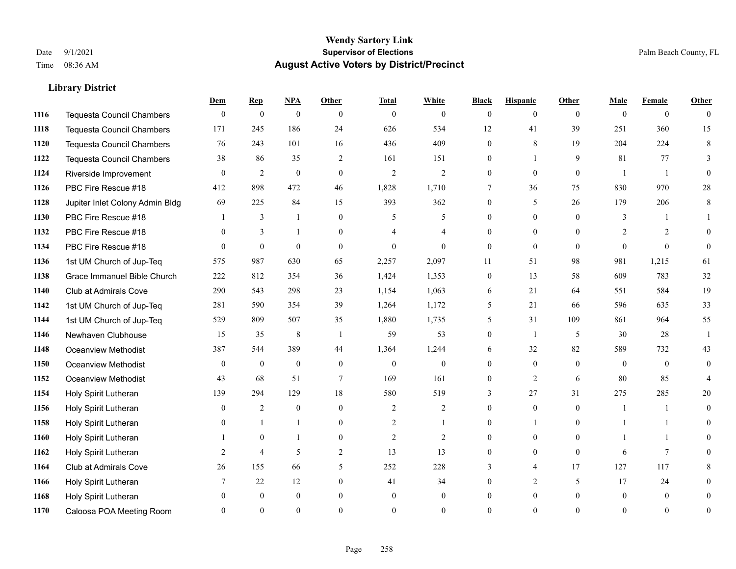|      |                                  | Dem            | <b>Rep</b>       | NPA              | <b>Other</b>   | <b>Total</b>   | <b>White</b>   | <b>Black</b>     | <b>Hispanic</b> | <b>Other</b> | <b>Male</b>    | <b>Female</b>  | <b>Other</b>   |
|------|----------------------------------|----------------|------------------|------------------|----------------|----------------|----------------|------------------|-----------------|--------------|----------------|----------------|----------------|
| 1116 | <b>Tequesta Council Chambers</b> | $\overline{0}$ | $\boldsymbol{0}$ | $\boldsymbol{0}$ | $\theta$       | $\mathbf{0}$   | $\overline{0}$ | $\overline{0}$   | $\overline{0}$  | $\theta$     | $\theta$       | $\overline{0}$ | $\theta$       |
| 1118 | <b>Tequesta Council Chambers</b> | 171            | 245              | 186              | 24             | 626            | 534            | 12               | 41              | 39           | 251            | 360            | 15             |
| 1120 | <b>Tequesta Council Chambers</b> | 76             | 243              | 101              | 16             | 436            | 409            | $\Omega$         | 8               | 19           | 204            | 224            | 8              |
| 1122 | Tequesta Council Chambers        | 38             | 86               | 35               | 2              | 161            | 151            | $\overline{0}$   | 1               | 9            | 81             | 77             | 3              |
| 1124 | Riverside Improvement            | $\theta$       | 2                | $\mathbf{0}$     | $\theta$       | $\overline{2}$ | $\overline{2}$ | $\theta$         | $\theta$        | $\theta$     | $\overline{1}$ | $\overline{1}$ | $\theta$       |
| 1126 | PBC Fire Rescue #18              | 412            | 898              | 472              | 46             | 1,828          | 1,710          | 7                | 36              | 75           | 830            | 970            | 28             |
| 1128 | Jupiter Inlet Colony Admin Bldg  | 69             | 225              | 84               | 15             | 393            | 362            | $\overline{0}$   | 5               | 26           | 179            | 206            | $\,8\,$        |
| 1130 | PBC Fire Rescue #18              |                | 3                | $\mathbf{1}$     | $\theta$       | 5              | 5              | $\theta$         | $\Omega$        | $\Omega$     | 3              |                |                |
| 1132 | PBC Fire Rescue #18              | $\Omega$       | 3                | 1                | $\Omega$       |                | 4              | $\theta$         | $\overline{0}$  | $\Omega$     | $\overline{2}$ | 2              | $\Omega$       |
| 1134 | PBC Fire Rescue #18              | $\Omega$       | $\theta$         | $\theta$         | $\theta$       | $\theta$       | $\Omega$       | $\overline{0}$   | $\mathbf{0}$    | $\theta$     | $\Omega$       | $\theta$       | $\theta$       |
| 1136 | 1st UM Church of Jup-Teq         | 575            | 987              | 630              | 65             | 2,257          | 2,097          | 11               | 51              | 98           | 981            | 1,215          | 61             |
| 1138 | Grace Immanuel Bible Church      | 222            | 812              | 354              | 36             | 1,424          | 1,353          | $\boldsymbol{0}$ | 13              | 58           | 609            | 783            | 32             |
| 1140 | Club at Admirals Cove            | 290            | 543              | 298              | 23             | 1,154          | 1,063          | 6                | 21              | 64           | 551            | 584            | 19             |
| 1142 | 1st UM Church of Jup-Teq         | 281            | 590              | 354              | 39             | 1,264          | 1,172          | 5                | 21              | 66           | 596            | 635            | 33             |
| 1144 | 1st UM Church of Jup-Teq         | 529            | 809              | 507              | 35             | 1,880          | 1,735          | 5                | 31              | 109          | 861            | 964            | 55             |
| 1146 | Newhaven Clubhouse               | 15             | 35               | $\,8\,$          | $\overline{1}$ | 59             | 53             | $\overline{0}$   | 1               | 5            | 30             | 28             | -1             |
| 1148 | Oceanview Methodist              | 387            | 544              | 389              | 44             | 1,364          | 1,244          | 6                | 32              | 82           | 589            | 732            | 43             |
| 1150 | Oceanview Methodist              | $\mathbf{0}$   | $\mathbf{0}$     | $\mathbf{0}$     | $\overline{0}$ | $\mathbf{0}$   | $\overline{0}$ | $\overline{0}$   | $\overline{0}$  | $\theta$     | $\theta$       | $\theta$       | 0              |
| 1152 | Oceanview Methodist              | 43             | 68               | 51               | $\tau$         | 169            | 161            | $\overline{0}$   | 2               | 6            | 80             | 85             |                |
| 1154 | Holy Spirit Lutheran             | 139            | 294              | 129              | 18             | 580            | 519            | 3                | 27              | 31           | 275            | 285            | 20             |
| 1156 | Holy Spirit Lutheran             | $\theta$       | 2                | $\theta$         | $\Omega$       | $\overline{2}$ | $\overline{2}$ | $\Omega$         | $\Omega$        | $\Omega$     | $\overline{1}$ |                | $\Omega$       |
| 1158 | Holy Spirit Lutheran             | $\Omega$       | 1                | 1                | $\overline{0}$ | $\overline{c}$ | 1              | $\overline{0}$   | 1               | $\theta$     |                |                | 0              |
| 1160 | Holy Spirit Lutheran             |                | $\mathbf{0}$     | 1                | $\overline{0}$ | $\overline{2}$ | 2              | $\overline{0}$   | $\overline{0}$  | $\Omega$     |                |                | 0              |
| 1162 | Holy Spirit Lutheran             | 2              | $\overline{4}$   | 5                | 2              | 13             | 13             | $\theta$         | $\Omega$        | $\theta$     | 6              | $\tau$         | 0              |
| 1164 | <b>Club at Admirals Cove</b>     | 26             | 155              | 66               | 5              | 252            | 228            | 3                | $\overline{4}$  | 17           | 127            | 117            | 8              |
| 1166 | Holy Spirit Lutheran             | 7              | 22               | 12               | $\theta$       | 41             | 34             | 0                | 2               | 5            | 17             | 24             | 0              |
| 1168 | Holy Spirit Lutheran             | $\Omega$       | $\mathbf{0}$     | $\mathbf{0}$     | $\theta$       | $\mathbf{0}$   | $\overline{0}$ | 0                | $\overline{0}$  | $\Omega$     | $\theta$       | $\theta$       | 0              |
| 1170 | Caloosa POA Meeting Room         |                | $\Omega$         | $\theta$         | $\Omega$       | $\Omega$       | $\theta$       | $\Omega$         | $\Omega$        | $\Omega$     | $\Omega$       | $\Omega$       | $\overline{0}$ |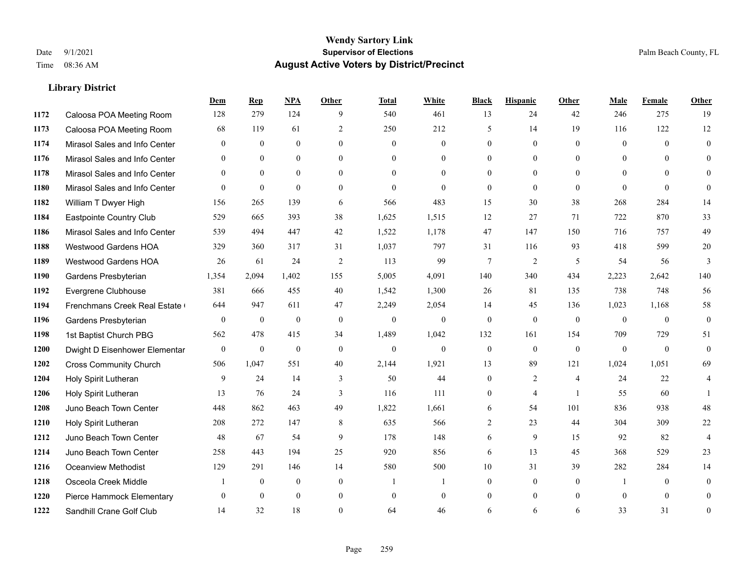|      |                               | Dem              | <b>Rep</b>   | NPA          | <b>Other</b>   | <b>Total</b> | <b>White</b>     | <b>Black</b> | <b>Hispanic</b> | <b>Other</b>   | <b>Male</b>    | Female   | <b>Other</b>     |
|------|-------------------------------|------------------|--------------|--------------|----------------|--------------|------------------|--------------|-----------------|----------------|----------------|----------|------------------|
| 1172 | Caloosa POA Meeting Room      | 128              | 279          | 124          | 9              | 540          | 461              | 13           | 24              | 42             | 246            | 275      | 19               |
| 1173 | Caloosa POA Meeting Room      | 68               | 119          | 61           | 2              | 250          | 212              | 5            | 14              | 19             | 116            | 122      | 12               |
| 1174 | Mirasol Sales and Info Center | $\theta$         | $\theta$     | $\theta$     | $\Omega$       | $\theta$     | $\overline{0}$   | $\theta$     | $\theta$        | $\Omega$       | $\theta$       | $\Omega$ | $\theta$         |
| 1176 | Mirasol Sales and Info Center | $\mathbf{0}$     | $\mathbf{0}$ | $\mathbf{0}$ | $\overline{0}$ | $\mathbf{0}$ | $\overline{0}$   | $\mathbf{0}$ | $\mathbf{0}$    | $\overline{0}$ | $\mathbf{0}$   | $\theta$ | $\theta$         |
| 1178 | Mirasol Sales and Info Center | $\theta$         | $\theta$     | $\theta$     | $\theta$       | $\Omega$     | $\theta$         | $\theta$     | $\theta$        | $\theta$       | $\theta$       | $\theta$ | $\theta$         |
| 1180 | Mirasol Sales and Info Center | $\Omega$         | $\mathbf{0}$ | $\theta$     | $\theta$       | $\theta$     | $\theta$         | $\theta$     | $\theta$        | $\theta$       | $\theta$       | $\theta$ | $\theta$         |
| 1182 | William T Dwyer High          | 156              | 265          | 139          | 6              | 566          | 483              | 15           | 30              | 38             | 268            | 284      | 14               |
| 1184 | Eastpointe Country Club       | 529              | 665          | 393          | 38             | 1,625        | 1,515            | 12           | 27              | 71             | 722            | 870      | 33               |
| 1186 | Mirasol Sales and Info Center | 539              | 494          | 447          | 42             | 1,522        | 1,178            | 47           | 147             | 150            | 716            | 757      | 49               |
| 1188 | Westwood Gardens HOA          | 329              | 360          | 317          | 31             | 1,037        | 797              | 31           | 116             | 93             | 418            | 599      | 20               |
| 1189 | Westwood Gardens HOA          | 26               | 61           | 24           | 2              | 113          | 99               | $\tau$       | 2               | 5              | 54             | 56       | 3                |
| 1190 | Gardens Presbyterian          | 1,354            | 2,094        | 1,402        | 155            | 5,005        | 4,091            | 140          | 340             | 434            | 2,223          | 2,642    | 140              |
| 1192 | Evergrene Clubhouse           | 381              | 666          | 455          | 40             | 1,542        | 1,300            | 26           | 81              | 135            | 738            | 748      | 56               |
| 1194 | Frenchmans Creek Real Estate  | 644              | 947          | 611          | 47             | 2,249        | 2,054            | 14           | 45              | 136            | 1,023          | 1,168    | 58               |
| 1196 | Gardens Presbyterian          | $\boldsymbol{0}$ | $\mathbf{0}$ | $\mathbf{0}$ | $\mathbf{0}$   | $\mathbf{0}$ | $\boldsymbol{0}$ | $\mathbf{0}$ | $\mathbf{0}$    | $\mathbf{0}$   | $\overline{0}$ | $\theta$ | $\boldsymbol{0}$ |
| 1198 | 1st Baptist Church PBG        | 562              | 478          | 415          | 34             | 1,489        | 1,042            | 132          | 161             | 154            | 709            | 729      | 51               |
| 1200 | Dwight D Eisenhower Elementar | $\overline{0}$   | $\mathbf{0}$ | $\mathbf{0}$ | $\theta$       | $\mathbf{0}$ | $\mathbf{0}$     | $\mathbf{0}$ | $\theta$        | $\theta$       | $\theta$       | $\theta$ | $\theta$         |
| 1202 | <b>Cross Community Church</b> | 506              | 1,047        | 551          | 40             | 2,144        | 1,921            | 13           | 89              | 121            | 1,024          | 1,051    | 69               |
| 1204 | Holy Spirit Lutheran          | 9                | 24           | 14           | 3              | 50           | 44               | $\mathbf{0}$ | 2               | $\overline{4}$ | 24             | 22       | 4                |
| 1206 | Holy Spirit Lutheran          | 13               | 76           | 24           | 3              | 116          | 111              | $\mathbf{0}$ | $\overline{4}$  | $\overline{1}$ | 55             | 60       | $\mathbf{1}$     |
| 1208 | Juno Beach Town Center        | 448              | 862          | 463          | 49             | 1,822        | 1,661            | 6            | 54              | 101            | 836            | 938      | 48               |
| 1210 | Holy Spirit Lutheran          | 208              | 272          | 147          | 8              | 635          | 566              | 2            | 23              | 44             | 304            | 309      | 22               |
| 1212 | Juno Beach Town Center        | 48               | 67           | 54           | 9              | 178          | 148              | 6            | 9               | 15             | 92             | 82       | $\overline{4}$   |
| 1214 | Juno Beach Town Center        | 258              | 443          | 194          | 25             | 920          | 856              | 6            | 13              | 45             | 368            | 529      | 23               |
| 1216 | <b>Oceanview Methodist</b>    | 129              | 291          | 146          | 14             | 580          | 500              | $10\,$       | 31              | 39             | 282            | 284      | 14               |
| 1218 | Osceola Creek Middle          |                  | $\mathbf{0}$ | $\mathbf{0}$ | $\mathbf{0}$   | -1           | 1                | $\mathbf{0}$ | $\mathbf{0}$    | $\theta$       | -1             | $\theta$ | $\mathbf{0}$     |
| 1220 | Pierce Hammock Elementary     | $\theta$         | $\theta$     | $\theta$     | $\mathbf{0}$   | $\mathbf{0}$ | $\overline{0}$   | $\theta$     | $\theta$        | $\theta$       | $\theta$       | $\theta$ | $\theta$         |
| 1222 | Sandhill Crane Golf Club      | 14               | 32           | 18           | $\Omega$       | 64           | 46               | 6            | 6               | 6              | 33             | 31       | $\mathbf{0}$     |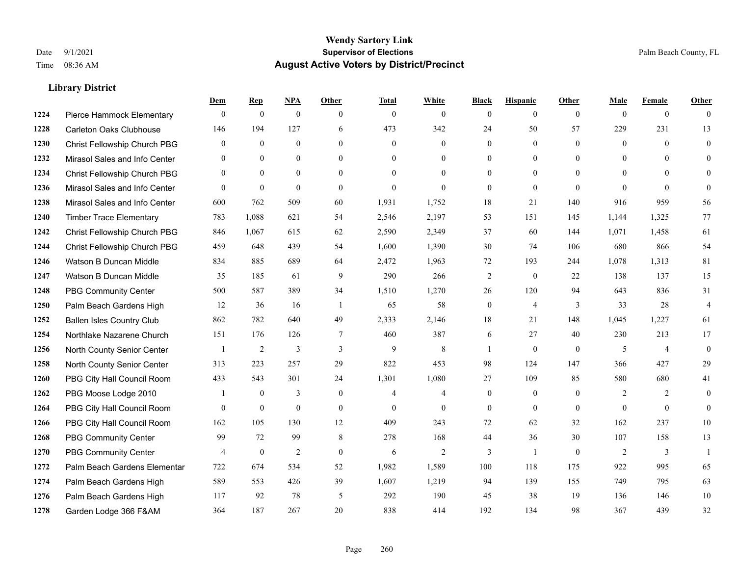|      |                                  | Dem              | <b>Rep</b>       | NPA              | <b>Other</b>   | <b>Total</b>   | <b>White</b>   | <b>Black</b>     | <b>Hispanic</b>  | <b>Other</b>   | <b>Male</b>    | <b>Female</b>  | <b>Other</b>   |
|------|----------------------------------|------------------|------------------|------------------|----------------|----------------|----------------|------------------|------------------|----------------|----------------|----------------|----------------|
| 1224 | Pierce Hammock Elementary        | $\mathbf{0}$     | $\mathbf{0}$     | $\boldsymbol{0}$ | $\theta$       | $\mathbf{0}$   | $\overline{0}$ | $\mathbf{0}$     | $\overline{0}$   | $\overline{0}$ | $\mathbf{0}$   | $\overline{0}$ | $\theta$       |
| 1228 | <b>Carleton Oaks Clubhouse</b>   | 146              | 194              | 127              | 6              | 473            | 342            | 24               | 50               | 57             | 229            | 231            | 13             |
| 1230 | Christ Fellowship Church PBG     | $\theta$         | $\mathbf{0}$     | $\theta$         | $\Omega$       | $\theta$       | $\Omega$       | $\theta$         | $\theta$         | $\Omega$       | $\theta$       | $\theta$       | $\theta$       |
| 1232 | Mirasol Sales and Info Center    | $\boldsymbol{0}$ | $\boldsymbol{0}$ | $\mathbf{0}$     | $\overline{0}$ | $\overline{0}$ | $\overline{0}$ | $\boldsymbol{0}$ | $\boldsymbol{0}$ | $\overline{0}$ | $\mathbf{0}$   | $\mathbf{0}$   | $\theta$       |
| 1234 | Christ Fellowship Church PBG     | $\theta$         | $\mathbf{0}$     | $\overline{0}$   | $\theta$       | $\Omega$       | $\overline{0}$ | $\mathbf{0}$     | $\overline{0}$   | $\theta$       | $\theta$       | $\theta$       | $\mathbf{0}$   |
| 1236 | Mirasol Sales and Info Center    | $\theta$         | $\mathbf{0}$     | $\mathbf{0}$     | $\theta$       | $\mathbf{0}$   | $\theta$       | $\mathbf{0}$     | $\mathbf{0}$     | $\theta$       | $\theta$       | $\theta$       | $\theta$       |
| 1238 | Mirasol Sales and Info Center    | 600              | 762              | 509              | 60             | 1,931          | 1,752          | 18               | 21               | 140            | 916            | 959            | 56             |
| 1240 | <b>Timber Trace Elementary</b>   | 783              | 1,088            | 621              | 54             | 2,546          | 2,197          | 53               | 151              | 145            | 1,144          | 1,325          | $77\,$         |
| 1242 | Christ Fellowship Church PBG     | 846              | 1,067            | 615              | 62             | 2,590          | 2,349          | 37               | 60               | 144            | 1,071          | 1,458          | 61             |
| 1244 | Christ Fellowship Church PBG     | 459              | 648              | 439              | 54             | 1,600          | 1,390          | 30               | 74               | 106            | 680            | 866            | 54             |
| 1246 | Watson B Duncan Middle           | 834              | 885              | 689              | 64             | 2,472          | 1,963          | 72               | 193              | 244            | 1,078          | 1,313          | 81             |
| 1247 | Watson B Duncan Middle           | 35               | 185              | 61               | 9              | 290            | 266            | $\sqrt{2}$       | $\boldsymbol{0}$ | 22             | 138            | 137            | 15             |
| 1248 | <b>PBG Community Center</b>      | 500              | 587              | 389              | 34             | 1,510          | 1,270          | 26               | 120              | 94             | 643            | 836            | 31             |
| 1250 | Palm Beach Gardens High          | 12               | 36               | 16               | $\overline{1}$ | 65             | 58             | $\boldsymbol{0}$ | $\overline{4}$   | 3              | 33             | 28             | $\overline{4}$ |
| 1252 | <b>Ballen Isles Country Club</b> | 862              | 782              | 640              | 49             | 2,333          | 2,146          | 18               | 21               | 148            | 1,045          | 1,227          | 61             |
| 1254 | Northlake Nazarene Church        | 151              | 176              | 126              | $\tau$         | 460            | 387            | 6                | 27               | 40             | 230            | 213            | 17             |
| 1256 | North County Senior Center       | -1               | 2                | 3                | 3              | 9              | $\,8\,$        | $\overline{1}$   | $\mathbf{0}$     | $\overline{0}$ | 5              | $\overline{4}$ | $\mathbf{0}$   |
| 1258 | North County Senior Center       | 313              | 223              | 257              | 29             | 822            | 453            | 98               | 124              | 147            | 366            | 427            | 29             |
| 1260 | PBG City Hall Council Room       | 433              | 543              | 301              | 24             | 1,301          | 1,080          | 27               | 109              | 85             | 580            | 680            | 41             |
| 1262 | PBG Moose Lodge 2010             |                  | $\mathbf{0}$     | 3                | $\theta$       | 4              | $\overline{4}$ | $\mathbf{0}$     | $\mathbf{0}$     | $\theta$       | $\overline{2}$ | 2              | $\theta$       |
| 1264 | PBG City Hall Council Room       | $\mathbf{0}$     | $\boldsymbol{0}$ | $\mathbf{0}$     | $\theta$       | $\mathbf{0}$   | $\overline{0}$ | $\mathbf{0}$     | $\mathbf{0}$     | $\theta$       | $\theta$       | $\theta$       | $\mathbf{0}$   |
| 1266 | PBG City Hall Council Room       | 162              | 105              | 130              | 12             | 409            | 243            | 72               | 62               | 32             | 162            | 237            | 10             |
| 1268 | <b>PBG Community Center</b>      | 99               | 72               | 99               | 8              | 278            | 168            | 44               | 36               | 30             | 107            | 158            | 13             |
| 1270 | <b>PBG Community Center</b>      | $\overline{4}$   | $\mathbf{0}$     | $\overline{2}$   | $\theta$       | 6              | $\overline{2}$ | 3                | $\mathbf{1}$     | $\theta$       | $\overline{2}$ | 3              | $\mathbf{1}$   |
| 1272 | Palm Beach Gardens Elementar     | 722              | 674              | 534              | 52             | 1,982          | 1,589          | 100              | 118              | 175            | 922            | 995            | 65             |
| 1274 | Palm Beach Gardens High          | 589              | 553              | 426              | 39             | 1,607          | 1,219          | 94               | 139              | 155            | 749            | 795            | 63             |
| 1276 | Palm Beach Gardens High          | 117              | 92               | 78               | 5              | 292            | 190            | 45               | 38               | 19             | 136            | 146            | $10\,$         |
| 1278 | Garden Lodge 366 F&AM            | 364              | 187              | 267              | 20             | 838            | 414            | 192              | 134              | 98             | 367            | 439            | 32             |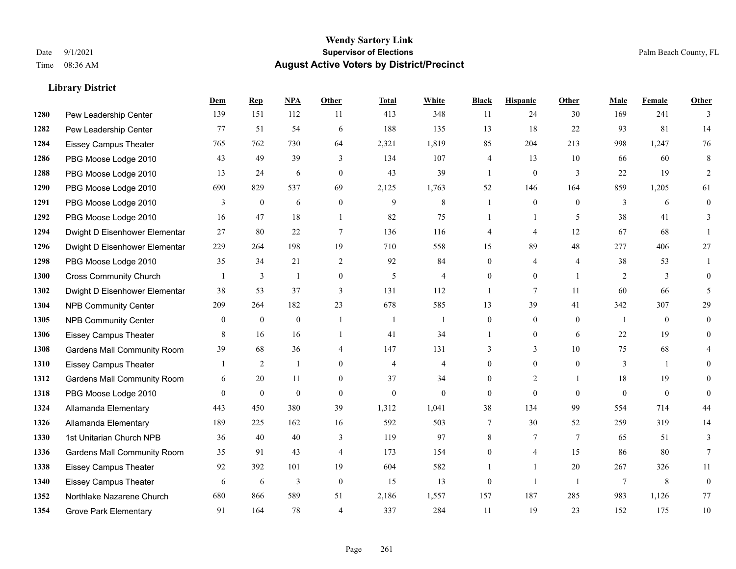|      |                                    | Dem          | <b>Rep</b>     | NPA          | <b>Other</b>     | <b>Total</b>   | <b>White</b>   | <b>Black</b>   | <b>Hispanic</b> | Other          | <b>Male</b>    | <b>Female</b> | <b>Other</b>   |
|------|------------------------------------|--------------|----------------|--------------|------------------|----------------|----------------|----------------|-----------------|----------------|----------------|---------------|----------------|
| 1280 | Pew Leadership Center              | 139          | 151            | 112          | 11               | 413            | 348            | 11             | 24              | 30             | 169            | 241           | 3              |
| 1282 | Pew Leadership Center              | 77           | 51             | 54           | 6                | 188            | 135            | 13             | 18              | 22             | 93             | 81            | 14             |
| 1284 | <b>Eissey Campus Theater</b>       | 765          | 762            | 730          | 64               | 2,321          | 1,819          | 85             | 204             | 213            | 998            | 1,247         | 76             |
| 1286 | PBG Moose Lodge 2010               | 43           | 49             | 39           | 3                | 134            | 107            | 4              | 13              | 10             | 66             | 60            | 8              |
| 1288 | PBG Moose Lodge 2010               | 13           | 24             | 6            | $\theta$         | 43             | 39             | $\mathbf{1}$   | $\mathbf{0}$    | 3              | 22             | 19            | $\overline{2}$ |
| 1290 | PBG Moose Lodge 2010               | 690          | 829            | 537          | 69               | 2,125          | 1,763          | 52             | 146             | 164            | 859            | 1,205         | 61             |
| 1291 | PBG Moose Lodge 2010               | 3            | $\mathbf{0}$   | 6            | $\mathbf{0}$     | 9              | 8              |                | $\mathbf{0}$    | $\theta$       | 3              | 6             | $\mathbf{0}$   |
| 1292 | PBG Moose Lodge 2010               | 16           | 47             | 18           | $\overline{1}$   | 82             | 75             | 1              | $\mathbf{1}$    | 5              | 38             | 41            | 3              |
| 1294 | Dwight D Eisenhower Elementar      | 27           | 80             | $22\,$       | $\overline{7}$   | 136            | 116            | 4              | 4               | 12             | 67             | 68            |                |
| 1296 | Dwight D Eisenhower Elementar      | 229          | 264            | 198          | 19               | 710            | 558            | 15             | 89              | 48             | 277            | 406           | 27             |
| 1298 | PBG Moose Lodge 2010               | 35           | 34             | 21           | 2                | 92             | 84             | $\overline{0}$ | 4               | $\overline{4}$ | 38             | 53            |                |
| 1300 | <b>Cross Community Church</b>      |              | 3              | 1            | $\boldsymbol{0}$ | 5              | 4              | $\overline{0}$ | $\overline{0}$  | $\overline{1}$ | 2              | 3             | $\theta$       |
| 1302 | Dwight D Eisenhower Elementar      | 38           | 53             | 37           | 3                | 131            | 112            | 1              | 7               | 11             | 60             | 66            | 5              |
| 1304 | <b>NPB Community Center</b>        | 209          | 264            | 182          | 23               | 678            | 585            | 13             | 39              | 41             | 342            | 307           | 29             |
| 1305 | <b>NPB Community Center</b>        | $\mathbf{0}$ | $\mathbf{0}$   | $\mathbf{0}$ | $\overline{1}$   | -1             | 1              | $\overline{0}$ | $\overline{0}$  | $\theta$       | $\overline{1}$ | $\theta$      | $\mathbf{0}$   |
| 1306 | <b>Eissey Campus Theater</b>       | 8            | 16             | 16           | $\overline{1}$   | 41             | 34             |                | $\overline{0}$  | 6              | 22             | 19            | $\theta$       |
| 1308 | <b>Gardens Mall Community Room</b> | 39           | 68             | 36           | $\overline{4}$   | 147            | 131            | 3              | 3               | 10             | 75             | 68            |                |
| 1310 | <b>Eissey Campus Theater</b>       |              | $\overline{c}$ | 1            | $\theta$         | $\overline{4}$ | $\overline{4}$ | $\overline{0}$ | $\overline{0}$  | $\theta$       | 3              |               | $\Omega$       |
| 1312 | <b>Gardens Mall Community Room</b> | 6            | 20             | 11           | $\Omega$         | 37             | 34             | $\overline{0}$ | $\overline{2}$  |                | 18             | 19            | 0              |
| 1318 | PBG Moose Lodge 2010               | $\mathbf{0}$ | $\mathbf{0}$   | $\mathbf{0}$ | $\mathbf{0}$     | $\mathbf{0}$   | $\overline{0}$ | $\mathbf{0}$   | $\overline{0}$  | $\theta$       | $\theta$       | $\mathbf{0}$  | $\mathbf{0}$   |
| 1324 | Allamanda Elementary               | 443          | 450            | 380          | 39               | 1,312          | 1,041          | 38             | 134             | 99             | 554            | 714           | 44             |
| 1326 | Allamanda Elementary               | 189          | 225            | 162          | 16               | 592            | 503            | 7              | 30              | 52             | 259            | 319           | 14             |
| 1330 | 1st Unitarian Church NPB           | 36           | 40             | 40           | 3                | 119            | 97             | 8              | 7               | $\overline{7}$ | 65             | 51            | 3              |
| 1336 | <b>Gardens Mall Community Room</b> | 35           | 91             | 43           | $\overline{4}$   | 173            | 154            | $\overline{0}$ | 4               | 15             | 86             | 80            | 7              |
| 1338 | <b>Eissey Campus Theater</b>       | 92           | 392            | 101          | 19               | 604            | 582            |                | $\mathbf{1}$    | 20             | 267            | 326           | 11             |
| 1340 | <b>Eissey Campus Theater</b>       | 6            | 6              | 3            | $\mathbf{0}$     | 15             | 13             | $\overline{0}$ | 1               | $\overline{1}$ | 7              | 8             | $\overline{0}$ |
| 1352 | Northlake Nazarene Church          | 680          | 866            | 589          | 51               | 2,186          | 1,557          | 157            | 187             | 285            | 983            | 1,126         | 77             |
| 1354 | <b>Grove Park Elementary</b>       | 91           | 164            | 78           | $\overline{4}$   | 337            | 284            | 11             | 19              | 23             | 152            | 175           | 10             |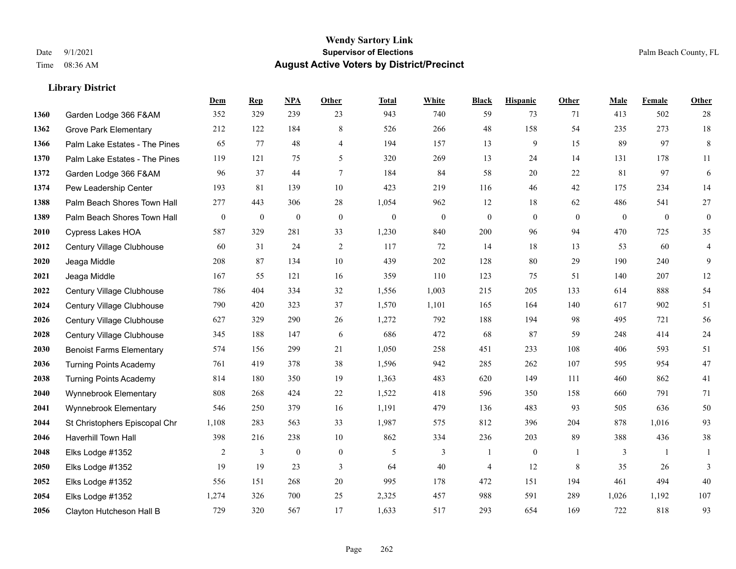|      |                                 | Dem      | <b>Rep</b> | NPA              | <b>Other</b>   | <b>Total</b> | <b>White</b>     | <b>Black</b> | <b>Hispanic</b>  | <b>Other</b> | <b>Male</b>  | Female         | <b>Other</b>     |
|------|---------------------------------|----------|------------|------------------|----------------|--------------|------------------|--------------|------------------|--------------|--------------|----------------|------------------|
| 1360 | Garden Lodge 366 F&AM           | 352      | 329        | 239              | 23             | 943          | 740              | 59           | 73               | 71           | 413          | 502            | 28               |
| 1362 | <b>Grove Park Elementary</b>    | 212      | 122        | 184              | 8              | 526          | 266              | 48           | 158              | 54           | 235          | 273            | $18\,$           |
| 1366 | Palm Lake Estates - The Pines   | 65       | 77         | 48               | 4              | 194          | 157              | 13           | 9                | 15           | 89           | 97             | $\,8\,$          |
| 1370 | Palm Lake Estates - The Pines   | 119      | 121        | 75               | 5              | 320          | 269              | 13           | 24               | 14           | 131          | 178            | 11               |
| 1372 | Garden Lodge 366 F&AM           | 96       | 37         | 44               | 7              | 184          | 84               | 58           | 20               | 22           | 81           | 97             | $\sqrt{6}$       |
| 1374 | Pew Leadership Center           | 193      | 81         | 139              | 10             | 423          | 219              | 116          | 46               | 42           | 175          | 234            | 14               |
| 1388 | Palm Beach Shores Town Hall     | 277      | 443        | 306              | 28             | 1,054        | 962              | 12           | 18               | 62           | 486          | 541            | $27\,$           |
| 1389 | Palm Beach Shores Town Hall     | $\bf{0}$ | $\bf{0}$   | $\boldsymbol{0}$ | $\overline{0}$ | $\theta$     | $\boldsymbol{0}$ | $\mathbf{0}$ | $\mathbf{0}$     | $\theta$     | $\mathbf{0}$ | $\overline{0}$ | $\boldsymbol{0}$ |
| 2010 | <b>Cypress Lakes HOA</b>        | 587      | 329        | 281              | 33             | 1,230        | 840              | 200          | 96               | 94           | 470          | 725            | 35               |
| 2012 | Century Village Clubhouse       | 60       | 31         | 24               | 2              | 117          | 72               | 14           | 18               | 13           | 53           | 60             | $\overline{4}$   |
| 2020 | Jeaga Middle                    | 208      | 87         | 134              | 10             | 439          | 202              | 128          | 80               | 29           | 190          | 240            | 9                |
| 2021 | Jeaga Middle                    | 167      | 55         | 121              | 16             | 359          | 110              | 123          | 75               | 51           | 140          | 207            | $12\,$           |
| 2022 | Century Village Clubhouse       | 786      | 404        | 334              | 32             | 1,556        | 1,003            | 215          | 205              | 133          | 614          | 888            | 54               |
| 2024 | Century Village Clubhouse       | 790      | 420        | 323              | 37             | 1,570        | 1,101            | 165          | 164              | 140          | 617          | 902            | 51               |
| 2026 | Century Village Clubhouse       | 627      | 329        | 290              | 26             | 1,272        | 792              | 188          | 194              | 98           | 495          | 721            | 56               |
| 2028 | Century Village Clubhouse       | 345      | 188        | 147              | 6              | 686          | 472              | 68           | 87               | 59           | 248          | 414            | $24\,$           |
| 2030 | <b>Benoist Farms Elementary</b> | 574      | 156        | 299              | 21             | 1,050        | 258              | 451          | 233              | 108          | 406          | 593            | 51               |
| 2036 | <b>Turning Points Academy</b>   | 761      | 419        | 378              | 38             | 1,596        | 942              | 285          | 262              | 107          | 595          | 954            | $47\,$           |
| 2038 | <b>Turning Points Academy</b>   | 814      | 180        | 350              | 19             | 1,363        | 483              | 620          | 149              | 111          | 460          | 862            | 41               |
| 2040 | Wynnebrook Elementary           | 808      | 268        | 424              | 22             | 1,522        | 418              | 596          | 350              | 158          | 660          | 791            | 71               |
| 2041 | Wynnebrook Elementary           | 546      | 250        | 379              | 16             | 1,191        | 479              | 136          | 483              | 93           | 505          | 636            | 50               |
| 2044 | St Christophers Episcopal Chr   | 1,108    | 283        | 563              | 33             | 1,987        | 575              | 812          | 396              | 204          | 878          | 1,016          | 93               |
| 2046 | Haverhill Town Hall             | 398      | 216        | 238              | 10             | 862          | 334              | 236          | 203              | 89           | 388          | 436            | $38\,$           |
| 2048 | Elks Lodge #1352                | 2        | 3          | $\boldsymbol{0}$ | $\mathbf{0}$   | 5            | 3                | 1            | $\boldsymbol{0}$ | -1           | 3            | -1             | 1                |
| 2050 | Elks Lodge #1352                | 19       | 19         | 23               | 3              | 64           | 40               | 4            | 12               | 8            | 35           | 26             | 3                |
| 2052 | Elks Lodge #1352                | 556      | 151        | 268              | 20             | 995          | 178              | 472          | 151              | 194          | 461          | 494            | 40               |
| 2054 | Elks Lodge #1352                | 1,274    | 326        | 700              | 25             | 2,325        | 457              | 988          | 591              | 289          | 1,026        | 1,192          | 107              |
| 2056 | Clayton Hutcheson Hall B        | 729      | 320        | 567              | 17             | 1,633        | 517              | 293          | 654              | 169          | 722          | 818            | 93               |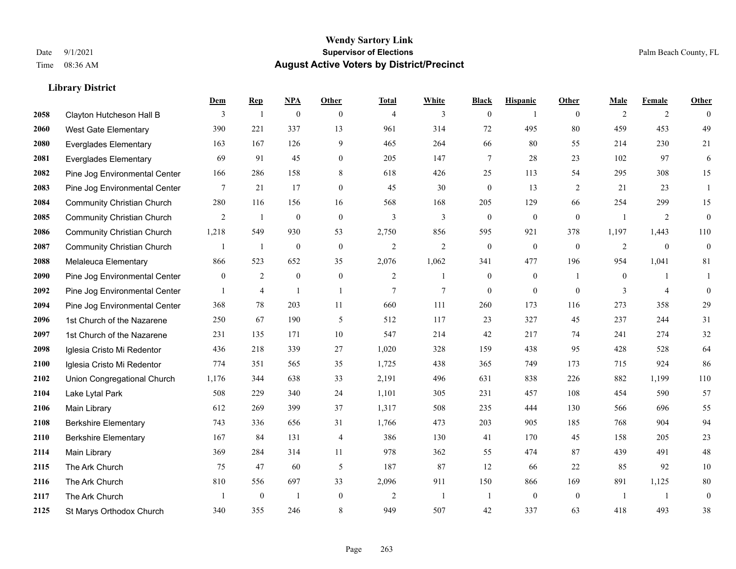|      |                                   | Dem          | <b>Rep</b>     | NPA              | <b>Other</b>   | <b>Total</b>   | <b>White</b>   | <b>Black</b>     | <b>Hispanic</b>  | <b>Other</b>   | <b>Male</b>    | <b>Female</b>  | <b>Other</b>     |
|------|-----------------------------------|--------------|----------------|------------------|----------------|----------------|----------------|------------------|------------------|----------------|----------------|----------------|------------------|
| 2058 | Clayton Hutcheson Hall B          | 3            | $\overline{1}$ | $\boldsymbol{0}$ | $\theta$       | $\overline{4}$ | 3              | $\overline{0}$   | $\overline{1}$   | $\theta$       | $\overline{2}$ | 2              | $\Omega$         |
| 2060 | West Gate Elementary              | 390          | 221            | 337              | 13             | 961            | 314            | 72               | 495              | 80             | 459            | 453            | 49               |
| 2080 | <b>Everglades Elementary</b>      | 163          | 167            | 126              | 9              | 465            | 264            | 66               | 80               | 55             | 214            | 230            | 21               |
| 2081 | <b>Everglades Elementary</b>      | 69           | 91             | 45               | $\mathbf{0}$   | 205            | 147            | 7                | 28               | 23             | 102            | 97             | 6                |
| 2082 | Pine Jog Environmental Center     | 166          | 286            | 158              | 8              | 618            | 426            | 25               | 113              | 54             | 295            | 308            | 15               |
| 2083 | Pine Jog Environmental Center     | 7            | 21             | 17               | $\overline{0}$ | 45             | 30             | $\boldsymbol{0}$ | 13               | 2              | 21             | 23             | -1               |
| 2084 | <b>Community Christian Church</b> | 280          | 116            | 156              | 16             | 568            | 168            | 205              | 129              | 66             | 254            | 299            | 15               |
| 2085 | <b>Community Christian Church</b> | 2            | -1             | $\theta$         | $\theta$       | 3              | 3              | $\overline{0}$   | $\overline{0}$   | $\theta$       | $\overline{1}$ | 2              | $\overline{0}$   |
| 2086 | <b>Community Christian Church</b> | 1,218        | 549            | 930              | 53             | 2,750          | 856            | 595              | 921              | 378            | 1,197          | 1,443          | 110              |
| 2087 | <b>Community Christian Church</b> |              | $\mathbf{1}$   | $\boldsymbol{0}$ | $\mathbf{0}$   | $\overline{2}$ | $\overline{c}$ | $\boldsymbol{0}$ | $\boldsymbol{0}$ | $\mathbf{0}$   | 2              | $\overline{0}$ | $\boldsymbol{0}$ |
| 2088 | Melaleuca Elementary              | 866          | 523            | 652              | 35             | 2,076          | 1,062          | 341              | 477              | 196            | 954            | 1,041          | 81               |
| 2090 | Pine Jog Environmental Center     | $\mathbf{0}$ | 2              | $\mathbf{0}$     | $\mathbf{0}$   | $\overline{2}$ | $\mathbf{1}$   | $\boldsymbol{0}$ | $\overline{0}$   | $\overline{1}$ | $\mathbf{0}$   | $\mathbf{1}$   | -1               |
| 2092 | Pine Jog Environmental Center     |              | $\overline{4}$ |                  | $\overline{1}$ | $\overline{7}$ | 7              | $\overline{0}$   | $\mathbf{0}$     | $\theta$       | 3              | $\overline{4}$ | $\overline{0}$   |
| 2094 | Pine Jog Environmental Center     | 368          | 78             | 203              | 11             | 660            | 111            | 260              | 173              | 116            | 273            | 358            | 29               |
| 2096 | 1st Church of the Nazarene        | 250          | 67             | 190              | 5              | 512            | 117            | 23               | 327              | 45             | 237            | 244            | 31               |
| 2097 | 1st Church of the Nazarene        | 231          | 135            | 171              | 10             | 547            | 214            | 42               | 217              | 74             | 241            | 274            | 32               |
| 2098 | Iglesia Cristo Mi Redentor        | 436          | 218            | 339              | 27             | 1,020          | 328            | 159              | 438              | 95             | 428            | 528            | 64               |
| 2100 | Iglesia Cristo Mi Redentor        | 774          | 351            | 565              | 35             | 1,725          | 438            | 365              | 749              | 173            | 715            | 924            | 86               |
| 2102 | Union Congregational Church       | 1,176        | 344            | 638              | 33             | 2,191          | 496            | 631              | 838              | 226            | 882            | 1,199          | 110              |
| 2104 | Lake Lytal Park                   | 508          | 229            | 340              | 24             | 1,101          | 305            | 231              | 457              | 108            | 454            | 590            | 57               |
| 2106 | <b>Main Library</b>               | 612          | 269            | 399              | 37             | 1,317          | 508            | 235              | 444              | 130            | 566            | 696            | 55               |
| 2108 | <b>Berkshire Elementary</b>       | 743          | 336            | 656              | 31             | 1,766          | 473            | 203              | 905              | 185            | 768            | 904            | 94               |
| 2110 | <b>Berkshire Elementary</b>       | 167          | 84             | 131              | $\overline{4}$ | 386            | 130            | 41               | 170              | 45             | 158            | 205            | $23\,$           |
| 2114 | Main Library                      | 369          | 284            | 314              | 11             | 978            | 362            | 55               | 474              | 87             | 439            | 491            | $48\,$           |
| 2115 | The Ark Church                    | 75           | 47             | 60               | 5              | 187            | 87             | 12               | 66               | 22             | 85             | 92             | $10\,$           |
| 2116 | The Ark Church                    | 810          | 556            | 697              | 33             | 2,096          | 911            | 150              | 866              | 169            | 891            | 1,125          | 80               |
| 2117 | The Ark Church                    |              | $\mathbf{0}$   | $\mathbf{1}$     | $\mathbf{0}$   | $\overline{2}$ | -1             | $\overline{1}$   | $\overline{0}$   | $\mathbf{0}$   | $\overline{1}$ | $\overline{1}$ | $\boldsymbol{0}$ |
| 2125 | St Marys Orthodox Church          | 340          | 355            | 246              | 8              | 949            | 507            | 42               | 337              | 63             | 418            | 493            | 38               |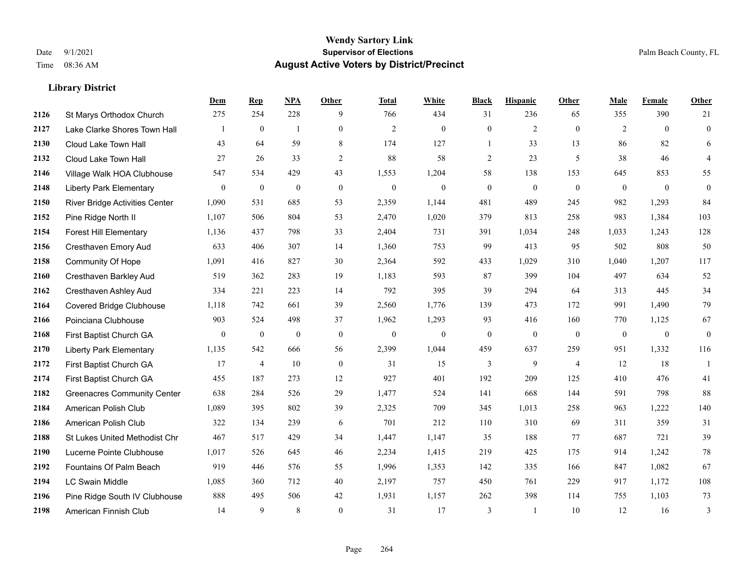|      |                                    | Dem            | <b>Rep</b>       | NPA              | <b>Other</b>   | <b>Total</b>     | <b>White</b>     | <b>Black</b>     | <b>Hispanic</b>  | <b>Other</b>     | <b>Male</b>  | Female       | <b>Other</b>     |
|------|------------------------------------|----------------|------------------|------------------|----------------|------------------|------------------|------------------|------------------|------------------|--------------|--------------|------------------|
| 2126 | St Marys Orthodox Church           | 275            | 254              | 228              | 9              | 766              | 434              | 31               | 236              | 65               | 355          | 390          | 21               |
| 2127 | Lake Clarke Shores Town Hall       |                | $\mathbf{0}$     | $\mathbf{1}$     | $\overline{0}$ | $\overline{2}$   | $\mathbf{0}$     | $\mathbf{0}$     | $\overline{2}$   | $\theta$         | 2            | $\theta$     | $\mathbf{0}$     |
| 2130 | Cloud Lake Town Hall               | 43             | 64               | 59               | 8              | 174              | 127              | $\mathbf{1}$     | 33               | 13               | 86           | 82           | 6                |
| 2132 | Cloud Lake Town Hall               | 27             | 26               | 33               | 2              | 88               | 58               | 2                | 23               | 5                | 38           | 46           | $\overline{4}$   |
| 2146 | Village Walk HOA Clubhouse         | 547            | 534              | 429              | 43             | 1,553            | 1,204            | 58               | 138              | 153              | 645          | 853          | 55               |
| 2148 | <b>Liberty Park Elementary</b>     | $\mathbf{0}$   | $\boldsymbol{0}$ | $\boldsymbol{0}$ | $\overline{0}$ | $\boldsymbol{0}$ | $\boldsymbol{0}$ | $\boldsymbol{0}$ | $\boldsymbol{0}$ | $\boldsymbol{0}$ | $\mathbf{0}$ | $\mathbf{0}$ | $\boldsymbol{0}$ |
| 2150 | River Bridge Activities Center     | 1,090          | 531              | 685              | 53             | 2,359            | 1,144            | 481              | 489              | 245              | 982          | 1,293        | 84               |
| 2152 | Pine Ridge North II                | 1,107          | 506              | 804              | 53             | 2,470            | 1,020            | 379              | 813              | 258              | 983          | 1,384        | 103              |
| 2154 | <b>Forest Hill Elementary</b>      | 1,136          | 437              | 798              | 33             | 2,404            | 731              | 391              | 1,034            | 248              | 1,033        | 1,243        | 128              |
| 2156 | Cresthaven Emory Aud               | 633            | 406              | 307              | 14             | 1,360            | 753              | 99               | 413              | 95               | 502          | 808          | 50               |
| 2158 | Community Of Hope                  | 1,091          | 416              | 827              | 30             | 2,364            | 592              | 433              | 1,029            | 310              | 1,040        | 1,207        | 117              |
| 2160 | Cresthaven Barkley Aud             | 519            | 362              | 283              | 19             | 1,183            | 593              | 87               | 399              | 104              | 497          | 634          | 52               |
| 2162 | Cresthaven Ashley Aud              | 334            | 221              | 223              | 14             | 792              | 395              | 39               | 294              | 64               | 313          | 445          | 34               |
| 2164 | <b>Covered Bridge Clubhouse</b>    | 1,118          | 742              | 661              | 39             | 2,560            | 1,776            | 139              | 473              | 172              | 991          | 1,490        | 79               |
| 2166 | Poinciana Clubhouse                | 903            | 524              | 498              | 37             | 1,962            | 1,293            | 93               | 416              | 160              | 770          | 1,125        | 67               |
| 2168 | First Baptist Church GA            | $\overline{0}$ | $\bf{0}$         | $\mathbf{0}$     | $\overline{0}$ | $\theta$         | $\mathbf{0}$     | $\boldsymbol{0}$ | $\mathbf{0}$     | $\mathbf{0}$     | $\mathbf{0}$ | $\mathbf{0}$ | $\mathbf{0}$     |
| 2170 | <b>Liberty Park Elementary</b>     | 1,135          | 542              | 666              | 56             | 2,399            | 1,044            | 459              | 637              | 259              | 951          | 1,332        | 116              |
| 2172 | First Baptist Church GA            | 17             | $\overline{4}$   | 10               | $\overline{0}$ | 31               | 15               | 3                | 9                | $\overline{4}$   | 12           | 18           | $\mathbf{1}$     |
| 2174 | First Baptist Church GA            | 455            | 187              | 273              | 12             | 927              | 401              | 192              | 209              | 125              | 410          | 476          | 41               |
| 2182 | <b>Greenacres Community Center</b> | 638            | 284              | 526              | 29             | 1,477            | 524              | 141              | 668              | 144              | 591          | 798          | 88               |
| 2184 | American Polish Club               | 1,089          | 395              | 802              | 39             | 2,325            | 709              | 345              | 1,013            | 258              | 963          | 1,222        | 140              |
| 2186 | American Polish Club               | 322            | 134              | 239              | 6              | 701              | 212              | 110              | 310              | 69               | 311          | 359          | 31               |
| 2188 | St Lukes United Methodist Chr      | 467            | 517              | 429              | 34             | 1,447            | 1,147            | 35               | 188              | 77               | 687          | 721          | 39               |
| 2190 | Lucerne Pointe Clubhouse           | 1,017          | 526              | 645              | 46             | 2,234            | 1,415            | 219              | 425              | 175              | 914          | 1,242        | $78\,$           |
| 2192 | Fountains Of Palm Beach            | 919            | 446              | 576              | 55             | 1,996            | 1,353            | 142              | 335              | 166              | 847          | 1,082        | 67               |
| 2194 | <b>LC Swain Middle</b>             | 1,085          | 360              | 712              | 40             | 2,197            | 757              | 450              | 761              | 229              | 917          | 1,172        | 108              |
| 2196 | Pine Ridge South IV Clubhouse      | 888            | 495              | 506              | 42             | 1,931            | 1,157            | 262              | 398              | 114              | 755          | 1,103        | 73               |
| 2198 | American Finnish Club              | 14             | 9                | 8                | $\theta$       | 31               | 17               | 3                |                  | 10               | 12           | 16           | 3                |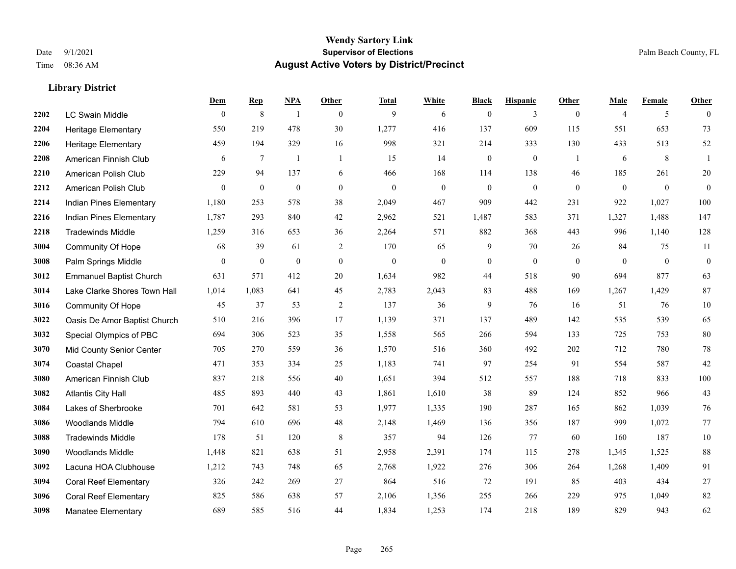|      |                                | Dem            | <b>Rep</b>       | NPA              | <b>Other</b>   | <b>Total</b> | <b>White</b>   | <b>Black</b>     | <b>Hispanic</b> | <b>Other</b> | <b>Male</b>    | <b>Female</b> | <b>Other</b>     |
|------|--------------------------------|----------------|------------------|------------------|----------------|--------------|----------------|------------------|-----------------|--------------|----------------|---------------|------------------|
| 2202 | <b>LC Swain Middle</b>         | $\mathbf{0}$   | $\,8\,$          | $\overline{1}$   | $\overline{0}$ | 9            | 6              | $\boldsymbol{0}$ | 3               | $\mathbf{0}$ | $\overline{4}$ | 5             | $\theta$         |
| 2204 | <b>Heritage Elementary</b>     | 550            | 219              | 478              | 30             | 1,277        | 416            | 137              | 609             | 115          | 551            | 653           | 73               |
| 2206 | <b>Heritage Elementary</b>     | 459            | 194              | 329              | 16             | 998          | 321            | 214              | 333             | 130          | 433            | 513           | $52\,$           |
| 2208 | American Finnish Club          | 6              | $\tau$           | $\overline{1}$   | $\overline{1}$ | 15           | 14             | $\boldsymbol{0}$ | $\mathbf{0}$    | -1           | 6              | 8             | $\mathbf{1}$     |
| 2210 | American Polish Club           | 229            | 94               | 137              | 6              | 466          | 168            | 114              | 138             | 46           | 185            | 261           | $20\,$           |
| 2212 | American Polish Club           | $\overline{0}$ | $\boldsymbol{0}$ | $\boldsymbol{0}$ | $\overline{0}$ | $\mathbf{0}$ | $\mathbf{0}$   | $\boldsymbol{0}$ | $\mathbf{0}$    | $\mathbf{0}$ | $\mathbf{0}$   | $\mathbf{0}$  | $\mathbf{0}$     |
| 2214 | Indian Pines Elementary        | 1,180          | 253              | 578              | 38             | 2,049        | 467            | 909              | 442             | 231          | 922            | 1,027         | 100              |
| 2216 | Indian Pines Elementary        | 1,787          | 293              | 840              | 42             | 2,962        | 521            | 1,487            | 583             | 371          | 1,327          | 1,488         | 147              |
| 2218 | <b>Tradewinds Middle</b>       | 1,259          | 316              | 653              | 36             | 2,264        | 571            | 882              | 368             | 443          | 996            | 1,140         | 128              |
| 3004 | <b>Community Of Hope</b>       | 68             | 39               | 61               | $\overline{c}$ | 170          | 65             | 9                | 70              | 26           | 84             | 75            | 11               |
| 3008 | Palm Springs Middle            | $\mathbf{0}$   | $\mathbf{0}$     | $\mathbf{0}$     | $\overline{0}$ | $\mathbf{0}$ | $\overline{0}$ | $\boldsymbol{0}$ | $\mathbf{0}$    | $\theta$     | $\theta$       | $\mathbf{0}$  | $\boldsymbol{0}$ |
| 3012 | <b>Emmanuel Baptist Church</b> | 631            | 571              | 412              | 20             | 1,634        | 982            | 44               | 518             | 90           | 694            | 877           | 63               |
| 3014 | Lake Clarke Shores Town Hall   | 1,014          | 1,083            | 641              | 45             | 2,783        | 2,043          | 83               | 488             | 169          | 1,267          | 1,429         | $87\,$           |
| 3016 | <b>Community Of Hope</b>       | 45             | 37               | 53               | $\sqrt{2}$     | 137          | 36             | 9                | 76              | 16           | 51             | 76            | $10\,$           |
| 3022 | Oasis De Amor Baptist Church   | 510            | 216              | 396              | 17             | 1,139        | 371            | 137              | 489             | 142          | 535            | 539           | 65               |
| 3032 | Special Olympics of PBC        | 694            | 306              | 523              | 35             | 1,558        | 565            | 266              | 594             | 133          | 725            | 753           | 80               |
| 3070 | Mid County Senior Center       | 705            | 270              | 559              | 36             | 1,570        | 516            | 360              | 492             | 202          | 712            | 780           | $78\,$           |
| 3074 | <b>Coastal Chapel</b>          | 471            | 353              | 334              | 25             | 1,183        | 741            | 97               | 254             | 91           | 554            | 587           | $42\,$           |
| 3080 | American Finnish Club          | 837            | 218              | 556              | 40             | 1,651        | 394            | 512              | 557             | 188          | 718            | 833           | 100              |
| 3082 | <b>Atlantis City Hall</b>      | 485            | 893              | 440              | 43             | 1,861        | 1,610          | 38               | 89              | 124          | 852            | 966           | 43               |
| 3084 | Lakes of Sherbrooke            | 701            | 642              | 581              | 53             | 1,977        | 1,335          | 190              | 287             | 165          | 862            | 1,039         | 76               |
| 3086 | <b>Woodlands Middle</b>        | 794            | 610              | 696              | 48             | 2,148        | 1,469          | 136              | 356             | 187          | 999            | 1,072         | 77               |
| 3088 | <b>Tradewinds Middle</b>       | 178            | 51               | 120              | 8              | 357          | 94             | 126              | 77              | 60           | 160            | 187           | $10\,$           |
| 3090 | <b>Woodlands Middle</b>        | 1,448          | 821              | 638              | 51             | 2,958        | 2,391          | 174              | 115             | 278          | 1,345          | 1,525         | 88               |
| 3092 | Lacuna HOA Clubhouse           | 1,212          | 743              | 748              | 65             | 2,768        | 1,922          | 276              | 306             | 264          | 1,268          | 1,409         | 91               |
| 3094 | <b>Coral Reef Elementary</b>   | 326            | 242              | 269              | 27             | 864          | 516            | 72               | 191             | 85           | 403            | 434           | $27\,$           |
| 3096 | <b>Coral Reef Elementary</b>   | 825            | 586              | 638              | 57             | 2,106        | 1,356          | 255              | 266             | 229          | 975            | 1,049         | 82               |
| 3098 | Manatee Elementary             | 689            | 585              | 516              | 44             | 1,834        | 1,253          | 174              | 218             | 189          | 829            | 943           | 62               |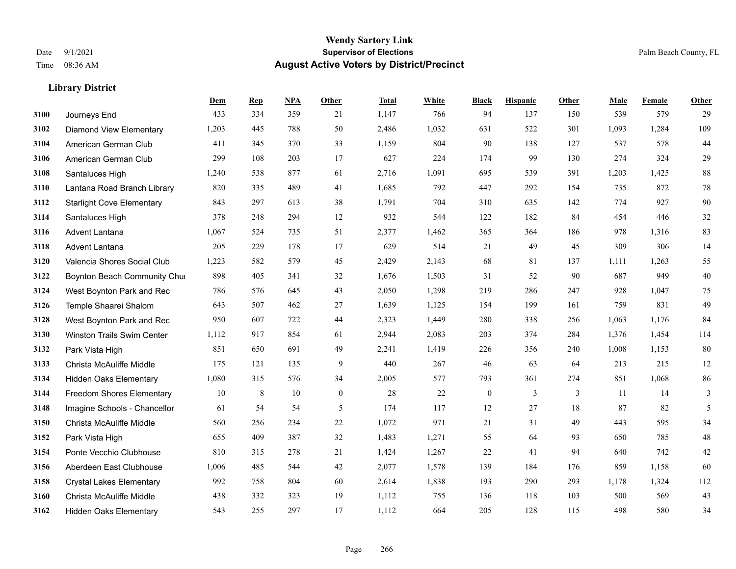**Library District**

#### **Wendy Sartory Link** Date 9/1/2021 **Supervisor of Elections** Palm Beach County, FL Time 08:36 AM **August Active Voters by District/Precinct**

# **Dem Rep NPA Other Total White Black Hispanic Other Male Female Other** Journeys End 433 334 359 21 1,147 766 94 137 150 539 579 29 Diamond View Elementary 1,203 445 788 50 2,486 1,032 631 522 301 1,093 1,284 109 American German Club 411 345 370 33 1,159 804 90 138 127 537 578 44 American German Club 299 108 203 17 627 224 174 99 130 274 324 29 Santaluces High 1,240 538 877 61 2,716 1,091 695 539 391 1,203 1,425 88 Lantana Road Branch Library 820 335 489 41 1,685 792 447 292 154 735 872 78 Starlight Cove Elementary 843 297 613 38 1,791 704 310 635 142 774 927 90 Santaluces High 378 248 294 12 932 544 122 182 84 454 446 32 Advent Lantana 1,067 524 735 51 2,377 1,462 365 364 186 978 1,316 83 Advent Lantana 205 229 178 17 629 514 21 49 45 309 306 14 Valencia Shores Social Club 1,223 582 579 45 2,429 2,143 68 81 137 1,111 1,263 55 **3122 Boynton Beach Community Chu**rch 898 405 341 32 1,676 1,503 31 52 90 687 949 40 West Boynton Park and Rec 786 576 645 43 2,050 1,298 219 286 247 928 1,047 75 Temple Shaarei Shalom 643 507 462 27 1,639 1,125 154 199 161 759 831 49 West Boynton Park and Rec 950 607 722 44 2,323 1,449 280 338 256 1,063 1,176 84 Winston Trails Swim Center 1,112 917 854 61 2,944 2,083 203 374 284 1,376 1,454 114 Park Vista High 851 650 691 49 2,241 1,419 226 356 240 1,008 1,153 80 Christa McAuliffe Middle 175 121 135 9 440 267 46 63 64 213 215 12 Hidden Oaks Elementary 1,080 315 576 34 2,005 577 793 361 274 851 1,068 86 Freedom Shores Elementary 10 8 10 0 28 22 0 3 3 11 14 3 Imagine Schools - Chancellor 61 54 54 5 61 54 5 174 117 12 27 18 87 82 5 Christa McAuliffe Middle 560 256 234 22 1,072 971 21 31 49 443 595 34 Park Vista High 655 409 387 32 1,483 1,271 55 64 93 650 785 48 Ponte Vecchio Clubhouse 810 315 278 21 1,424 1,267 22 41 94 640 742 42 Aberdeen East Clubhouse 1,006 485 544 42 2,077 1,578 139 184 176 859 1,158 60 Crystal Lakes Elementary 992 758 804 60 2,614 1,838 193 290 293 1,178 1,324 112 Christa McAuliffe Middle 438 332 323 19 1,112 755 136 118 103 500 569 43 Hidden Oaks Elementary 543 255 297 17 1,112 664 205 128 115 498 580 34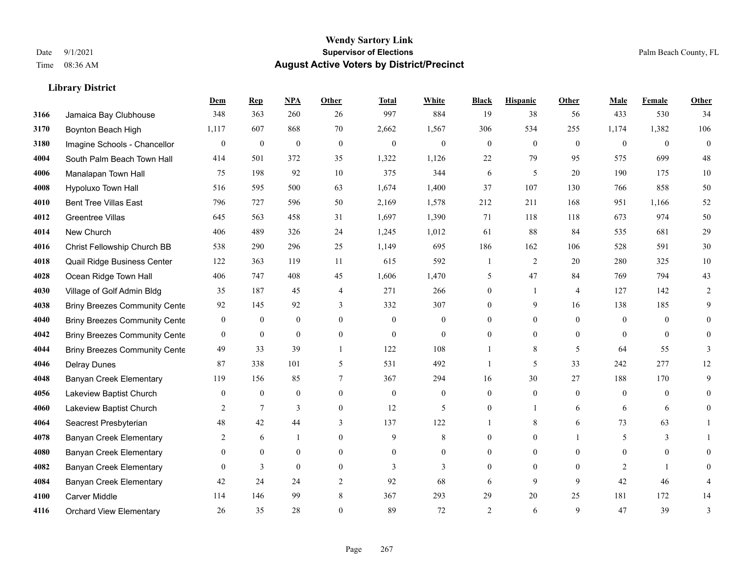**Dem Rep NPA Other Total White Black Hispanic Other Male Female Other**

| 3166 | Jamaica Bay Clubhouse                | 348            | 363              | 260              | 26               | 997            | 884          | 19             | 38               | 56             | 433            | 530            | 34       |
|------|--------------------------------------|----------------|------------------|------------------|------------------|----------------|--------------|----------------|------------------|----------------|----------------|----------------|----------|
| 3170 | Boynton Beach High                   | 1,117          | 607              | 868              | 70               | 2,662          | 1,567        | 306            | 534              | 255            | 1,174          | 1,382          | 106      |
| 3180 | Imagine Schools - Chancellor         | $\mathbf{0}$   | $\mathbf{0}$     | $\boldsymbol{0}$ | $\boldsymbol{0}$ | $\mathbf{0}$   | $\mathbf{0}$ | $\overline{0}$ | $\boldsymbol{0}$ | $\theta$       | $\overline{0}$ | $\overline{0}$ | $\theta$ |
| 4004 | South Palm Beach Town Hall           | 414            | 501              | 372              | 35               | 1,322          | 1,126        | 22             | 79               | 95             | 575            | 699            | 48       |
| 4006 | Manalapan Town Hall                  | 75             | 198              | 92               | 10               | 375            | 344          | 6              | 5                | 20             | 190            | 175            | 10       |
| 4008 | Hypoluxo Town Hall                   | 516            | 595              | 500              | 63               | 1,674          | 1,400        | 37             | 107              | 130            | 766            | 858            | 50       |
| 4010 | <b>Bent Tree Villas East</b>         | 796            | 727              | 596              | 50               | 2,169          | 1,578        | 212            | 211              | 168            | 951            | 1.166          | $52\,$   |
| 4012 | <b>Greentree Villas</b>              | 645            | 563              | 458              | 31               | 1,697          | 1,390        | 71             | 118              | 118            | 673            | 974            | 50       |
| 4014 | New Church                           | 406            | 489              | 326              | 24               | 1,245          | 1,012        | 61             | 88               | 84             | 535            | 681            | 29       |
| 4016 | Christ Fellowship Church BB          | 538            | 290              | 296              | 25               | 1,149          | 695          | 186            | 162              | 106            | 528            | 591            | $30\,$   |
| 4018 | Quail Ridge Business Center          | 122            | 363              | 119              | 11               | 615            | 592          |                | 2                | 20             | 280            | 325            | $10\,$   |
| 4028 | Ocean Ridge Town Hall                | 406            | 747              | 408              | 45               | 1,606          | 1,470        | 5.             | 47               | 84             | 769            | 794            | 43       |
| 4030 | Village of Golf Admin Bldg           | 35             | 187              | 45               | $\overline{4}$   | 271            | 266          | 0              | 1                | $\overline{4}$ | 127            | 142            | 2        |
| 4038 | <b>Briny Breezes Community Cente</b> | 92             | 145              | 92               | 3                | 332            | 307          | 0              | 9                | 16             | 138            | 185            | 9        |
| 4040 | <b>Briny Breezes Community Cente</b> | $\mathbf{0}$   | $\overline{0}$   | $\overline{0}$   | $\theta$         | $\theta$       | $\theta$     | 0              | $\Omega$         | $\theta$       | $\theta$       | $\theta$       |          |
| 4042 | <b>Briny Breezes Community Cente</b> | $\mathbf{0}$   | $\overline{0}$   | $\overline{0}$   | $\mathbf{0}$     | $\mathbf{0}$   | $\mathbf{0}$ | 0              | $\overline{0}$   | $\mathbf{0}$   | $\mathbf{0}$   | $\overline{0}$ | $\theta$ |
| 4044 | <b>Briny Breezes Community Cente</b> | 49             | 33               | 39               | 1                | 122            | 108          |                | 8                | 5              | 64             | 55             | 3        |
| 4046 | <b>Delray Dunes</b>                  | 87             | 338              | 101              | 5                | 531            | 492          |                | 5                | 33             | 242            | 277            | 12       |
| 4048 | Banyan Creek Elementary              | 119            | 156              | 85               | 7                | 367            | 294          | 16             | 30               | 27             | 188            | 170            | 9        |
| 4056 | Lakeview Baptist Church              | $\overline{0}$ | $\boldsymbol{0}$ | $\boldsymbol{0}$ | $\mathbf{0}$     | $\mathbf{0}$   | $\mathbf{0}$ | 0              | $\overline{0}$   | $\theta$       | $\mathbf{0}$   | $\theta$       | $\theta$ |
| 4060 | Lakeview Baptist Church              | 2              | 7                | 3                | $\mathbf{0}$     | 12             | 5            | 0              | 1                | 6              | 6              | 6              | 0        |
| 4064 | Seacrest Presbyterian                | 48             | 42               | 44               | 3                | 137            | 122          |                | 8                | 6              | 73             | 63             |          |
| 4078 | <b>Banyan Creek Elementary</b>       | 2              | 6                |                  | $\mathbf{0}$     | 9              | $\,8\,$      | 0              | $\overline{0}$   |                | 5              | 3              |          |
| 4080 | <b>Banyan Creek Elementary</b>       | $\Omega$       | $\overline{0}$   | 0                | $\mathbf{0}$     | $\overline{0}$ | $\mathbf{0}$ | 0              | 0                | $\Omega$       | $\theta$       | $\theta$       | 0        |
| 4082 | <b>Banyan Creek Elementary</b>       | $\Omega$       | 3                | $\overline{0}$   | $\theta$         | 3              | 3            | 0              | $\Omega$         | $\theta$       | 2              |                |          |
| 4084 | <b>Banyan Creek Elementary</b>       | 42             | 24               | 24               | $\overline{2}$   | 92             | 68           | 6              | 9                | 9              | 42             | 46             |          |
| 4100 | Carver Middle                        | 114            | 146              | 99               | 8                | 367            | 293          | 29             | 20               | 25             | 181            | 172            | 14       |
| 4116 | <b>Orchard View Elementary</b>       | $26\,$         | 35               | 28               | $\mathbf{0}$     | 89             | 72           | $\overline{2}$ | 6                | 9              | 47             | 39             | 3        |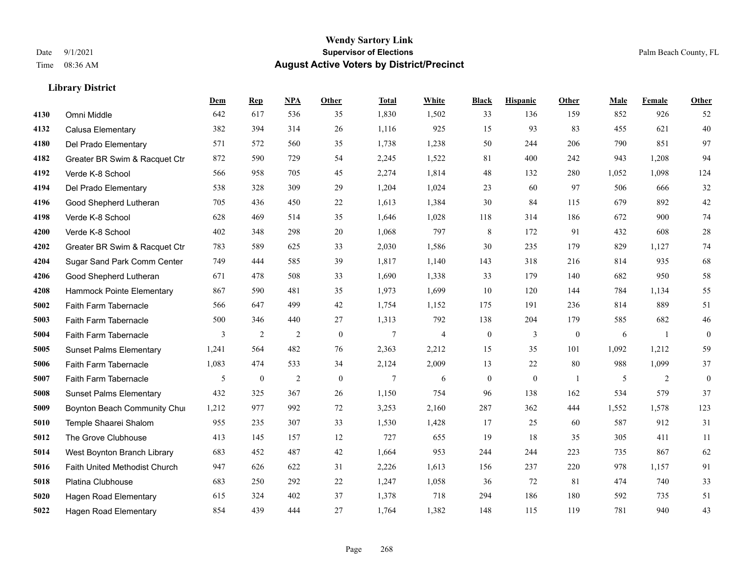|      |                                | Dem   | <b>Rep</b>       | NPA            | <b>Other</b> | <b>Total</b>   | <b>White</b>   | <b>Black</b>     | <b>Hispanic</b>  | <b>Other</b>   | <b>Male</b> | Female | Other        |
|------|--------------------------------|-------|------------------|----------------|--------------|----------------|----------------|------------------|------------------|----------------|-------------|--------|--------------|
| 4130 | Omni Middle                    | 642   | 617              | 536            | 35           | 1,830          | 1,502          | 33               | 136              | 159            | 852         | 926    | 52           |
| 4132 | Calusa Elementary              | 382   | 394              | 314            | 26           | 1,116          | 925            | 15               | 93               | 83             | 455         | 621    | 40           |
| 4180 | Del Prado Elementary           | 571   | 572              | 560            | 35           | 1,738          | 1,238          | 50               | 244              | 206            | 790         | 851    | 97           |
| 4182 | Greater BR Swim & Racquet Ctr  | 872   | 590              | 729            | 54           | 2,245          | 1,522          | 81               | 400              | 242            | 943         | 1,208  | 94           |
| 4192 | Verde K-8 School               | 566   | 958              | 705            | 45           | 2,274          | 1,814          | 48               | 132              | 280            | 1,052       | 1,098  | 124          |
| 4194 | Del Prado Elementary           | 538   | 328              | 309            | 29           | 1,204          | 1,024          | 23               | 60               | 97             | 506         | 666    | $32\,$       |
| 4196 | Good Shepherd Lutheran         | 705   | 436              | 450            | 22           | 1,613          | 1,384          | 30               | 84               | 115            | 679         | 892    | 42           |
| 4198 | Verde K-8 School               | 628   | 469              | 514            | 35           | 1,646          | 1,028          | 118              | 314              | 186            | 672         | 900    | 74           |
| 4200 | Verde K-8 School               | 402   | 348              | 298            | 20           | 1,068          | 797            | 8                | 172              | 91             | 432         | 608    | $28\,$       |
| 4202 | Greater BR Swim & Racquet Ctr  | 783   | 589              | 625            | 33           | 2,030          | 1,586          | 30               | 235              | 179            | 829         | 1,127  | 74           |
| 4204 | Sugar Sand Park Comm Center    | 749   | 444              | 585            | 39           | 1,817          | 1,140          | 143              | 318              | 216            | 814         | 935    | 68           |
| 4206 | Good Shepherd Lutheran         | 671   | 478              | 508            | 33           | 1,690          | 1,338          | 33               | 179              | 140            | 682         | 950    | 58           |
| 4208 | Hammock Pointe Elementary      | 867   | 590              | 481            | 35           | 1,973          | 1,699          | 10               | 120              | 144            | 784         | 1,134  | 55           |
| 5002 | Faith Farm Tabernacle          | 566   | 647              | 499            | 42           | 1,754          | 1,152          | 175              | 191              | 236            | 814         | 889    | 51           |
| 5003 | Faith Farm Tabernacle          | 500   | 346              | 440            | 27           | 1,313          | 792            | 138              | 204              | 179            | 585         | 682    | 46           |
| 5004 | Faith Farm Tabernacle          | 3     | $\overline{2}$   | 2              | $\mathbf{0}$ | $\overline{7}$ | $\overline{4}$ | $\boldsymbol{0}$ | 3                | $\overline{0}$ | 6           | -1     | $\mathbf{0}$ |
| 5005 | <b>Sunset Palms Elementary</b> | 1,241 | 564              | 482            | 76           | 2,363          | 2,212          | 15               | 35               | 101            | 1,092       | 1,212  | 59           |
| 5006 | Faith Farm Tabernacle          | 1,083 | 474              | 533            | 34           | 2,124          | 2,009          | 13               | 22               | 80             | 988         | 1,099  | 37           |
| 5007 | Faith Farm Tabernacle          | 5     | $\boldsymbol{0}$ | $\overline{2}$ | $\mathbf{0}$ | 7              | 6              | $\boldsymbol{0}$ | $\boldsymbol{0}$ | $\overline{1}$ | 5           | 2      | $\mathbf{0}$ |
| 5008 | <b>Sunset Palms Elementary</b> | 432   | 325              | 367            | 26           | 1,150          | 754            | 96               | 138              | 162            | 534         | 579    | 37           |
| 5009 | Boynton Beach Community Chur   | 1,212 | 977              | 992            | 72           | 3,253          | 2,160          | 287              | 362              | 444            | 1,552       | 1,578  | 123          |
| 5010 | Temple Shaarei Shalom          | 955   | 235              | 307            | 33           | 1,530          | 1,428          | 17               | 25               | 60             | 587         | 912    | 31           |
| 5012 | The Grove Clubhouse            | 413   | 145              | 157            | 12           | 727            | 655            | 19               | 18               | 35             | 305         | 411    | 11           |
| 5014 | West Boynton Branch Library    | 683   | 452              | 487            | 42           | 1,664          | 953            | 244              | 244              | 223            | 735         | 867    | 62           |
| 5016 | Faith United Methodist Church  | 947   | 626              | 622            | 31           | 2,226          | 1,613          | 156              | 237              | 220            | 978         | 1.157  | 91           |
| 5018 | Platina Clubhouse              | 683   | 250              | 292            | $22\,$       | 1,247          | 1,058          | 36               | 72               | 81             | 474         | 740    | 33           |
| 5020 | <b>Hagen Road Elementary</b>   | 615   | 324              | 402            | 37           | 1,378          | 718            | 294              | 186              | 180            | 592         | 735    | 51           |
| 5022 | <b>Hagen Road Elementary</b>   | 854   | 439              | 444            | 27           | 1,764          | 1,382          | 148              | 115              | 119            | 781         | 940    | 43           |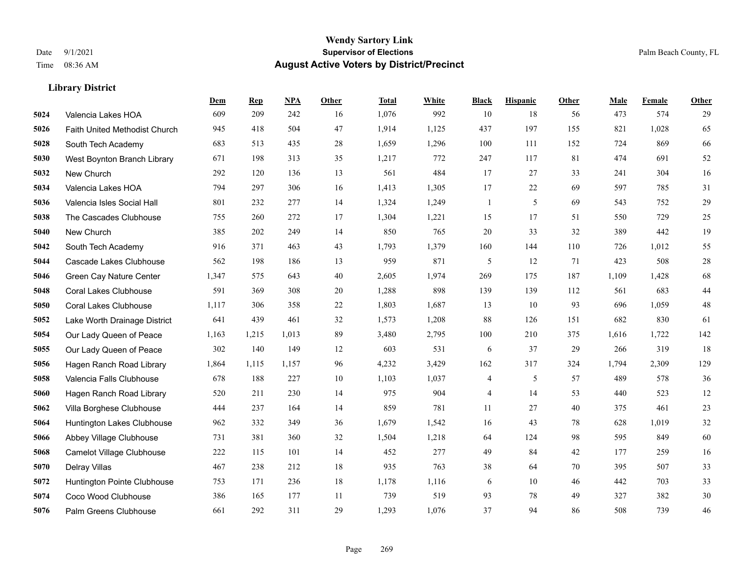|      |                               | Dem   | <b>Rep</b> | NPA   | <b>Other</b> | <b>Total</b> | <b>White</b> | <b>Black</b>             | <b>Hispanic</b> | Other | <b>Male</b> | Female | <b>Other</b> |
|------|-------------------------------|-------|------------|-------|--------------|--------------|--------------|--------------------------|-----------------|-------|-------------|--------|--------------|
| 5024 | Valencia Lakes HOA            | 609   | 209        | 242   | 16           | 1,076        | 992          | 10                       | 18              | 56    | 473         | 574    | 29           |
| 5026 | Faith United Methodist Church | 945   | 418        | 504   | 47           | 1,914        | 1,125        | 437                      | 197             | 155   | 821         | 1,028  | 65           |
| 5028 | South Tech Academy            | 683   | 513        | 435   | 28           | 1,659        | 1,296        | 100                      | 111             | 152   | 724         | 869    | 66           |
| 5030 | West Boynton Branch Library   | 671   | 198        | 313   | 35           | 1,217        | 772          | 247                      | 117             | 81    | 474         | 691    | $52\,$       |
| 5032 | New Church                    | 292   | 120        | 136   | 13           | 561          | 484          | 17                       | 27              | 33    | 241         | 304    | 16           |
| 5034 | Valencia Lakes HOA            | 794   | 297        | 306   | 16           | 1,413        | 1,305        | 17                       | 22              | 69    | 597         | 785    | 31           |
| 5036 | Valencia Isles Social Hall    | 801   | 232        | 277   | 14           | 1,324        | 1,249        | $\mathbf{1}$             | 5               | 69    | 543         | 752    | 29           |
| 5038 | The Cascades Clubhouse        | 755   | 260        | 272   | 17           | 1,304        | 1,221        | 15                       | 17              | 51    | 550         | 729    | 25           |
| 5040 | New Church                    | 385   | 202        | 249   | 14           | 850          | 765          | 20                       | 33              | 32    | 389         | 442    | 19           |
| 5042 | South Tech Academy            | 916   | 371        | 463   | 43           | 1,793        | 1,379        | 160                      | 144             | 110   | 726         | 1.012  | 55           |
| 5044 | Cascade Lakes Clubhouse       | 562   | 198        | 186   | 13           | 959          | 871          | 5                        | 12              | 71    | 423         | 508    | $28\,$       |
| 5046 | Green Cay Nature Center       | 1,347 | 575        | 643   | 40           | 2,605        | 1,974        | 269                      | 175             | 187   | 1,109       | 1.428  | 68           |
| 5048 | <b>Coral Lakes Clubhouse</b>  | 591   | 369        | 308   | 20           | 1,288        | 898          | 139                      | 139             | 112   | 561         | 683    | $44\,$       |
| 5050 | <b>Coral Lakes Clubhouse</b>  | 1,117 | 306        | 358   | 22           | 1,803        | 1,687        | 13                       | 10              | 93    | 696         | 1,059  | $48\,$       |
| 5052 | Lake Worth Drainage District  | 641   | 439        | 461   | 32           | 1,573        | 1,208        | 88                       | 126             | 151   | 682         | 830    | 61           |
| 5054 | Our Lady Queen of Peace       | 1,163 | 1,215      | 1,013 | 89           | 3,480        | 2,795        | 100                      | 210             | 375   | 1,616       | 1,722  | 142          |
| 5055 | Our Lady Queen of Peace       | 302   | 140        | 149   | 12           | 603          | 531          | 6                        | 37              | 29    | 266         | 319    | 18           |
| 5056 | Hagen Ranch Road Library      | 1,864 | 1,115      | 1,157 | 96           | 4,232        | 3,429        | 162                      | 317             | 324   | 1,794       | 2,309  | 129          |
| 5058 | Valencia Falls Clubhouse      | 678   | 188        | 227   | 10           | 1,103        | 1,037        | $\overline{\mathcal{A}}$ | 5               | 57    | 489         | 578    | 36           |
| 5060 | Hagen Ranch Road Library      | 520   | 211        | 230   | 14           | 975          | 904          | 4                        | 14              | 53    | 440         | 523    | 12           |
| 5062 | Villa Borghese Clubhouse      | 444   | 237        | 164   | 14           | 859          | 781          | 11                       | 27              | 40    | 375         | 461    | 23           |
| 5064 | Huntington Lakes Clubhouse    | 962   | 332        | 349   | 36           | 1,679        | 1,542        | 16                       | 43              | 78    | 628         | 1,019  | 32           |
| 5066 | Abbey Village Clubhouse       | 731   | 381        | 360   | 32           | 1,504        | 1,218        | 64                       | 124             | 98    | 595         | 849    | 60           |
| 5068 | Camelot Village Clubhouse     | 222   | 115        | 101   | 14           | 452          | 277          | 49                       | 84              | 42    | 177         | 259    | 16           |
| 5070 | Delray Villas                 | 467   | 238        | 212   | 18           | 935          | 763          | 38                       | 64              | 70    | 395         | 507    | 33           |
| 5072 | Huntington Pointe Clubhouse   | 753   | 171        | 236   | 18           | 1,178        | 1,116        | 6                        | 10              | 46    | 442         | 703    | 33           |
| 5074 | Coco Wood Clubhouse           | 386   | 165        | 177   | 11           | 739          | 519          | 93                       | 78              | 49    | 327         | 382    | $30\,$       |
| 5076 | Palm Greens Clubhouse         | 661   | 292        | 311   | 29           | 1,293        | 1,076        | 37                       | 94              | 86    | 508         | 739    | $46\,$       |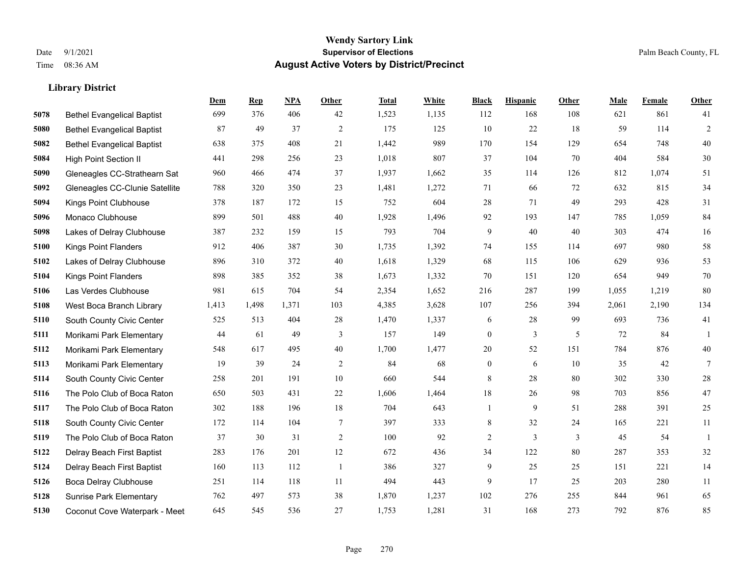**Library District**

#### **Wendy Sartory Link** Date 9/1/2021 **Supervisor of Elections** Palm Beach County, FL Time 08:36 AM **August Active Voters by District/Precinct**

# **Dem Rep NPA Other Total White Black Hispanic Other Male Female Other** Bethel Evangelical Baptist 699 376 406 42 1,523 1,135 112 168 108 621 861 41 Bethel Evangelical Baptist 87 49 37 2 175 125 10 22 18 59 114 2 Bethel Evangelical Baptist 638 375 408 21 1,442 989 170 154 129 654 748 40 High Point Section II 441 298 256 23 1,018 807 37 104 70 404 584 30 Gleneagles CC-Strathearn Sat 960 466 474 37 1,937 1,662 35 114 126 812 1,074 51 Gleneagles CC-Clunie Satellite 788 320 350 23 1,481 1,272 71 66 72 632 815 34 Kings Point Clubhouse 378 187 172 15 752 604 28 71 49 293 428 31 Monaco Clubhouse 899 501 488 40 1,928 1,496 92 193 147 785 1,059 84 Lakes of Delray Clubhouse 387 232 159 15 793 704 9 40 40 303 474 16 Kings Point Flanders 912 406 387 30 1,735 1,392 74 155 114 697 980 58 Lakes of Delray Clubhouse 896 310 372 40 1,618 1,329 68 115 106 629 936 53 Kings Point Flanders 898 385 352 38 1,673 1,332 70 151 120 654 949 70 Las Verdes Clubhouse 981 615 704 54 2,354 1,652 216 287 199 1,055 1,219 80 West Boca Branch Library 1,413 1,498 1,371 103 4,385 3,628 107 256 394 2,061 2,190 134 South County Civic Center 525 513 404 28 1,470 1,337 6 28 99 693 736 41 Morikami Park Elementary 44 61 49 3 157 149 0 3 5 72 84 1 Morikami Park Elementary 548 617 495 40 1,700 1,477 20 52 151 784 876 40 Morikami Park Elementary 19 39 24 2 84 68 0 6 10 35 42 7 South County Civic Center 258 201 191 10 660 544 8 28 80 302 330 28 The Polo Club of Boca Raton 650 503 431 22 1,606 1,464 18 26 98 703 856 47 The Polo Club of Boca Raton 302 188 196 18 704 643 1 9 51 288 391 25 South County Civic Center 172 114 104 7 397 333 8 32 24 165 221 11 The Polo Club of Boca Raton 37 30 31 2 100 92 2 3 3 45 54 1 Delray Beach First Baptist 283 176 201 12 672 436 34 122 80 287 353 32 Delray Beach First Baptist 160 113 112 1 386 327 9 25 25 151 221 14 Boca Delray Clubhouse 251 114 118 11 494 443 9 17 25 203 280 11 Sunrise Park Elementary 762 497 573 38 1,870 1,237 102 276 255 844 961 65 Coconut Cove Waterpark - Meet 645 545 536 27 1,753 1,281 31 168 273 792 876 85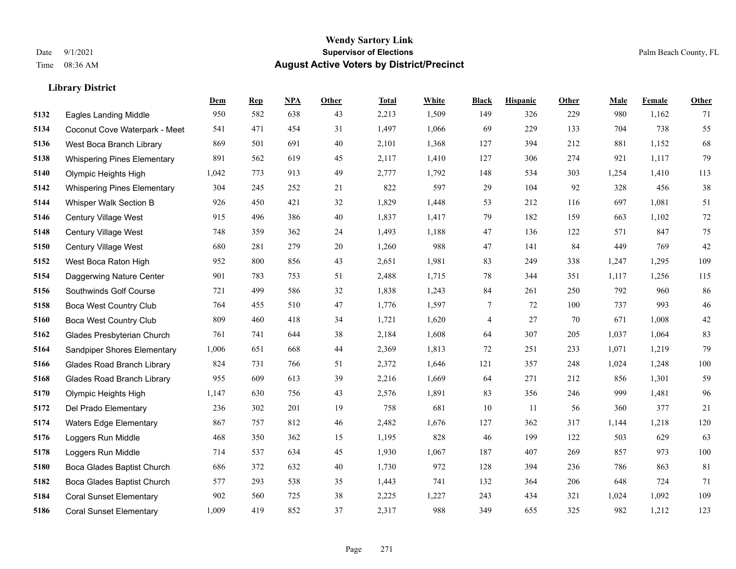|      |                                    | Dem   | <b>Rep</b> | NPA | <b>Other</b> | <b>Total</b> | <b>White</b> | <b>Black</b> | <b>Hispanic</b> | <b>Other</b> | <b>Male</b> | <b>Female</b> | <b>Other</b> |
|------|------------------------------------|-------|------------|-----|--------------|--------------|--------------|--------------|-----------------|--------------|-------------|---------------|--------------|
| 5132 | <b>Eagles Landing Middle</b>       | 950   | 582        | 638 | 43           | 2,213        | 1,509        | 149          | 326             | 229          | 980         | 1,162         | 71           |
| 5134 | Coconut Cove Waterpark - Meet      | 541   | 471        | 454 | 31           | 1,497        | 1,066        | 69           | 229             | 133          | 704         | 738           | 55           |
| 5136 | West Boca Branch Library           | 869   | 501        | 691 | 40           | 2,101        | 1,368        | 127          | 394             | 212          | 881         | 1,152         | 68           |
| 5138 | <b>Whispering Pines Elementary</b> | 891   | 562        | 619 | 45           | 2,117        | 1,410        | 127          | 306             | 274          | 921         | 1,117         | 79           |
| 5140 | Olympic Heights High               | 1,042 | 773        | 913 | 49           | 2,777        | 1,792        | 148          | 534             | 303          | 1,254       | 1,410         | 113          |
| 5142 | <b>Whispering Pines Elementary</b> | 304   | 245        | 252 | 21           | 822          | 597          | 29           | 104             | 92           | 328         | 456           | $38\,$       |
| 5144 | Whisper Walk Section B             | 926   | 450        | 421 | 32           | 1,829        | 1,448        | 53           | 212             | 116          | 697         | 1,081         | 51           |
| 5146 | <b>Century Village West</b>        | 915   | 496        | 386 | 40           | 1,837        | 1,417        | 79           | 182             | 159          | 663         | 1,102         | $72\,$       |
| 5148 | Century Village West               | 748   | 359        | 362 | 24           | 1,493        | 1,188        | 47           | 136             | 122          | 571         | 847           | $75\,$       |
| 5150 | Century Village West               | 680   | 281        | 279 | 20           | 1,260        | 988          | 47           | 141             | 84           | 449         | 769           | $42\,$       |
| 5152 | West Boca Raton High               | 952   | 800        | 856 | 43           | 2,651        | 1,981        | 83           | 249             | 338          | 1,247       | 1,295         | 109          |
| 5154 | Daggerwing Nature Center           | 901   | 783        | 753 | 51           | 2,488        | 1,715        | 78           | 344             | 351          | 1,117       | 1,256         | 115          |
| 5156 | Southwinds Golf Course             | 721   | 499        | 586 | 32           | 1,838        | 1,243        | 84           | 261             | 250          | 792         | 960           | 86           |
| 5158 | <b>Boca West Country Club</b>      | 764   | 455        | 510 | 47           | 1,776        | 1,597        | 7            | 72              | 100          | 737         | 993           | $46\,$       |
| 5160 | <b>Boca West Country Club</b>      | 809   | 460        | 418 | 34           | 1,721        | 1,620        | 4            | 27              | 70           | 671         | 1,008         | $42\,$       |
| 5162 | Glades Presbyterian Church         | 761   | 741        | 644 | 38           | 2,184        | 1,608        | 64           | 307             | 205          | 1,037       | 1,064         | 83           |
| 5164 | Sandpiper Shores Elementary        | 1,006 | 651        | 668 | 44           | 2,369        | 1,813        | $72\,$       | 251             | 233          | 1,071       | 1,219         | 79           |
| 5166 | <b>Glades Road Branch Library</b>  | 824   | 731        | 766 | 51           | 2,372        | 1,646        | 121          | 357             | 248          | 1,024       | 1,248         | 100          |
| 5168 | <b>Glades Road Branch Library</b>  | 955   | 609        | 613 | 39           | 2,216        | 1,669        | 64           | 271             | 212          | 856         | 1,301         | 59           |
| 5170 | Olympic Heights High               | 1,147 | 630        | 756 | 43           | 2,576        | 1,891        | 83           | 356             | 246          | 999         | 1,481         | 96           |
| 5172 | Del Prado Elementary               | 236   | 302        | 201 | 19           | 758          | 681          | 10           | 11              | 56           | 360         | 377           | 21           |
| 5174 | <b>Waters Edge Elementary</b>      | 867   | 757        | 812 | 46           | 2,482        | 1,676        | 127          | 362             | 317          | 1,144       | 1,218         | 120          |
| 5176 | Loggers Run Middle                 | 468   | 350        | 362 | 15           | 1,195        | 828          | 46           | 199             | 122          | 503         | 629           | 63           |
| 5178 | Loggers Run Middle                 | 714   | 537        | 634 | 45           | 1,930        | 1,067        | 187          | 407             | 269          | 857         | 973           | 100          |
| 5180 | Boca Glades Baptist Church         | 686   | 372        | 632 | 40           | 1,730        | 972          | 128          | 394             | 236          | 786         | 863           | 81           |
| 5182 | Boca Glades Baptist Church         | 577   | 293        | 538 | 35           | 1,443        | 741          | 132          | 364             | 206          | 648         | 724           | 71           |
| 5184 | <b>Coral Sunset Elementary</b>     | 902   | 560        | 725 | 38           | 2,225        | 1,227        | 243          | 434             | 321          | 1,024       | 1,092         | 109          |
| 5186 | <b>Coral Sunset Elementary</b>     | 1,009 | 419        | 852 | 37           | 2,317        | 988          | 349          | 655             | 325          | 982         | 1,212         | 123          |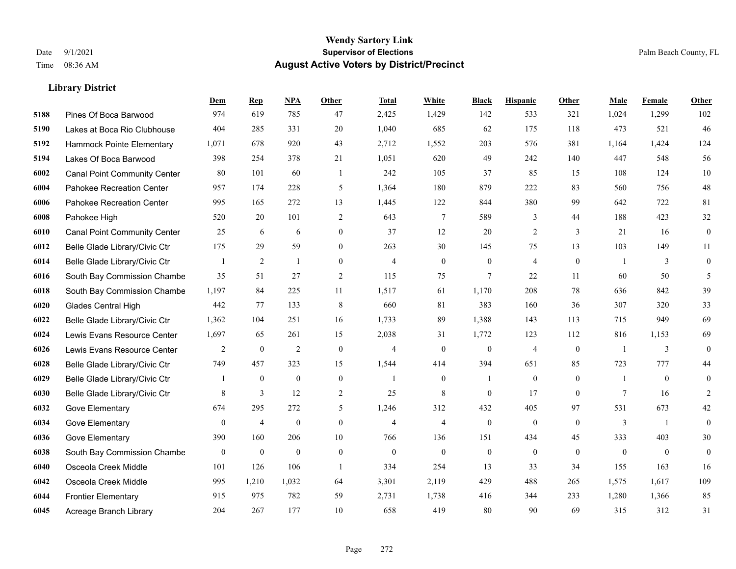|      |                                     | Dem              | <b>Rep</b>     | NPA              | <b>Other</b>   | <b>Total</b>   | White            | <b>Black</b>     | <b>Hispanic</b>  | Other          | Male           | <b>Female</b>  | <b>Other</b>     |
|------|-------------------------------------|------------------|----------------|------------------|----------------|----------------|------------------|------------------|------------------|----------------|----------------|----------------|------------------|
| 5188 | Pines Of Boca Barwood               | 974              | 619            | 785              | 47             | 2,425          | 1,429            | 142              | 533              | 321            | 1,024          | 1,299          | 102              |
| 5190 | Lakes at Boca Rio Clubhouse         | 404              | 285            | 331              | 20             | 1,040          | 685              | 62               | 175              | 118            | 473            | 521            | 46               |
| 5192 | Hammock Pointe Elementary           | 1,071            | 678            | 920              | 43             | 2,712          | 1,552            | 203              | 576              | 381            | 1,164          | 1,424          | 124              |
| 5194 | Lakes Of Boca Barwood               | 398              | 254            | 378              | 21             | 1,051          | 620              | 49               | 242              | 140            | 447            | 548            | 56               |
| 6002 | <b>Canal Point Community Center</b> | 80               | 101            | 60               | $\overline{1}$ | 242            | 105              | 37               | 85               | 15             | 108            | 124            | $10\,$           |
| 6004 | Pahokee Recreation Center           | 957              | 174            | 228              | 5              | 1,364          | 180              | 879              | 222              | 83             | 560            | 756            | 48               |
| 6006 | Pahokee Recreation Center           | 995              | 165            | 272              | 13             | 1,445          | 122              | 844              | 380              | 99             | 642            | 722            | 81               |
| 6008 | Pahokee High                        | 520              | 20             | 101              | 2              | 643            | $\tau$           | 589              | 3                | 44             | 188            | 423            | 32               |
| 6010 | <b>Canal Point Community Center</b> | 25               | 6              | 6                | $\mathbf{0}$   | 37             | 12               | 20               | $\overline{c}$   | $\overline{3}$ | 21             | 16             | $\boldsymbol{0}$ |
| 6012 | Belle Glade Library/Civic Ctr       | 175              | 29             | 59               | $\overline{0}$ | 263            | 30               | 145              | 75               | 13             | 103            | 149            | 11               |
| 6014 | Belle Glade Library/Civic Ctr       |                  | 2              | $\mathbf{1}$     | $\theta$       | $\overline{4}$ | $\overline{0}$   | $\overline{0}$   | 4                | $\theta$       | $\overline{1}$ | 3              | $\overline{0}$   |
| 6016 | South Bay Commission Chambe         | 35               | 51             | 27               | 2              | 115            | 75               | $\tau$           | 22               | 11             | 60             | 50             | 5                |
| 6018 | South Bay Commission Chambe         | 1,197            | 84             | 225              | 11             | 1,517          | 61               | 1,170            | 208              | 78             | 636            | 842            | 39               |
| 6020 | Glades Central High                 | 442              | 77             | 133              | 8              | 660            | 81               | 383              | 160              | 36             | 307            | 320            | 33               |
| 6022 | Belle Glade Library/Civic Ctr       | 1,362            | 104            | 251              | 16             | 1,733          | 89               | 1,388            | 143              | 113            | 715            | 949            | 69               |
| 6024 | Lewis Evans Resource Center         | 1,697            | 65             | 261              | 15             | 2,038          | 31               | 1,772            | 123              | 112            | 816            | 1,153          | 69               |
| 6026 | Lewis Evans Resource Center         | 2                | $\mathbf{0}$   | $\overline{2}$   | $\mathbf{0}$   | $\overline{4}$ | $\mathbf{0}$     | $\mathbf{0}$     | $\overline{4}$   | $\mathbf{0}$   | -1             | 3              | $\mathbf{0}$     |
| 6028 | Belle Glade Library/Civic Ctr       | 749              | 457            | 323              | 15             | 1,544          | 414              | 394              | 651              | 85             | 723            | 777            | 44               |
| 6029 | Belle Glade Library/Civic Ctr       |                  | $\mathbf{0}$   | $\boldsymbol{0}$ | $\mathbf{0}$   | $\overline{1}$ | $\boldsymbol{0}$ | 1                | $\boldsymbol{0}$ | $\mathbf{0}$   | -1             | $\mathbf{0}$   | $\overline{0}$   |
| 6030 | Belle Glade Library/Civic Ctr       | 8                | 3              | 12               | 2              | 25             | 8                | $\overline{0}$   | 17               | $\theta$       | $\tau$         | 16             | 2                |
| 6032 | Gove Elementary                     | 674              | 295            | 272              | 5              | 1,246          | 312              | 432              | 405              | 97             | 531            | 673            | 42               |
| 6034 | Gove Elementary                     | $\boldsymbol{0}$ | $\overline{4}$ | $\boldsymbol{0}$ | $\mathbf{0}$   | $\overline{4}$ | $\overline{4}$   | $\boldsymbol{0}$ | $\boldsymbol{0}$ | $\mathbf{0}$   | $\mathfrak{Z}$ | 1              | $\overline{0}$   |
| 6036 | Gove Elementary                     | 390              | 160            | 206              | 10             | 766            | 136              | 151              | 434              | 45             | 333            | 403            | 30               |
| 6038 | South Bay Commission Chambe         | $\boldsymbol{0}$ | $\mathbf{0}$   | $\theta$         | $\mathbf{0}$   | $\mathbf{0}$   | $\mathbf{0}$     | $\boldsymbol{0}$ | $\overline{0}$   | $\theta$       | $\theta$       | $\overline{0}$ | $\mathbf{0}$     |
| 6040 | Osceola Creek Middle                | 101              | 126            | 106              | $\overline{1}$ | 334            | 254              | 13               | 33               | 34             | 155            | 163            | 16               |
| 6042 | Osceola Creek Middle                | 995              | 1,210          | 1,032            | 64             | 3,301          | 2,119            | 429              | 488              | 265            | 1,575          | 1,617          | 109              |
| 6044 | <b>Frontier Elementary</b>          | 915              | 975            | 782              | 59             | 2,731          | 1,738            | 416              | 344              | 233            | 1,280          | 1,366          | 85               |
| 6045 | Acreage Branch Library              | 204              | 267            | 177              | 10             | 658            | 419              | 80               | 90               | 69             | 315            | 312            | 31               |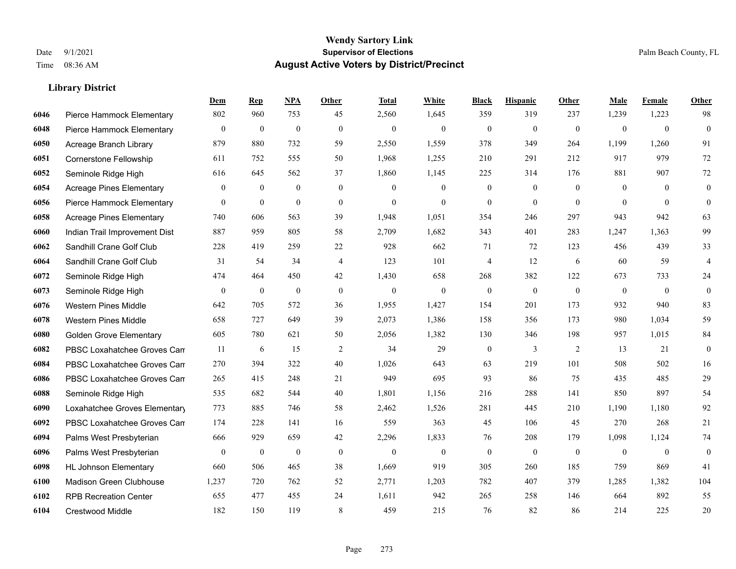|      |                                 | Dem          | <b>Rep</b>       | NPA              | <b>Other</b>   | <b>Total</b> | White            | <b>Black</b>     | <b>Hispanic</b>  | Other          | <b>Male</b>    | Female         | <b>Other</b>            |
|------|---------------------------------|--------------|------------------|------------------|----------------|--------------|------------------|------------------|------------------|----------------|----------------|----------------|-------------------------|
| 6046 | Pierce Hammock Elementary       | 802          | 960              | 753              | 45             | 2,560        | 1,645            | 359              | 319              | 237            | 1,239          | 1,223          | 98                      |
| 6048 | Pierce Hammock Elementary       | $\mathbf{0}$ | $\mathbf{0}$     | $\mathbf{0}$     | $\theta$       | $\mathbf{0}$ | $\mathbf{0}$     | $\mathbf{0}$     | $\mathbf{0}$     | $\theta$       | $\overline{0}$ | $\mathbf{0}$   | $\mathbf{0}$            |
| 6050 | Acreage Branch Library          | 879          | 880              | 732              | 59             | 2,550        | 1,559            | 378              | 349              | 264            | 1,199          | 1,260          | 91                      |
| 6051 | Cornerstone Fellowship          | 611          | 752              | 555              | 50             | 1,968        | 1,255            | 210              | 291              | 212            | 917            | 979            | 72                      |
| 6052 | Seminole Ridge High             | 616          | 645              | 562              | 37             | 1,860        | 1,145            | 225              | 314              | 176            | 881            | 907            | 72                      |
| 6054 | <b>Acreage Pines Elementary</b> | $\mathbf{0}$ | $\boldsymbol{0}$ | $\mathbf{0}$     | $\overline{0}$ | $\mathbf{0}$ | $\mathbf{0}$     | $\boldsymbol{0}$ | $\boldsymbol{0}$ | $\overline{0}$ | $\overline{0}$ | $\overline{0}$ | $\boldsymbol{0}$        |
| 6056 | Pierce Hammock Elementary       | $\mathbf{0}$ | $\mathbf{0}$     | $\mathbf{0}$     | $\mathbf{0}$   | $\mathbf{0}$ | $\mathbf{0}$     | $\mathbf{0}$     | $\mathbf{0}$     | $\theta$       | $\theta$       | $\theta$       | $\mathbf{0}$            |
| 6058 | <b>Acreage Pines Elementary</b> | 740          | 606              | 563              | 39             | 1,948        | 1,051            | 354              | 246              | 297            | 943            | 942            | 63                      |
| 6060 | Indian Trail Improvement Dist   | 887          | 959              | 805              | 58             | 2,709        | 1,682            | 343              | 401              | 283            | 1,247          | 1,363          | 99                      |
| 6062 | Sandhill Crane Golf Club        | 228          | 419              | 259              | 22             | 928          | 662              | 71               | 72               | 123            | 456            | 439            | 33                      |
| 6064 | Sandhill Crane Golf Club        | 31           | 54               | 34               | $\overline{4}$ | 123          | 101              | $\overline{4}$   | 12               | 6              | 60             | 59             | $\overline{\mathbf{4}}$ |
| 6072 | Seminole Ridge High             | 474          | 464              | 450              | 42             | 1,430        | 658              | 268              | 382              | 122            | 673            | 733            | 24                      |
| 6073 | Seminole Ridge High             | $\mathbf{0}$ | $\boldsymbol{0}$ | $\mathbf{0}$     | $\theta$       | $\mathbf{0}$ | $\mathbf{0}$     | $\mathbf{0}$     | $\mathbf{0}$     | $\theta$       | $\overline{0}$ | $\mathbf{0}$   | $\mathbf{0}$            |
| 6076 | <b>Western Pines Middle</b>     | 642          | 705              | 572              | 36             | 1,955        | 1,427            | 154              | 201              | 173            | 932            | 940            | 83                      |
| 6078 | <b>Western Pines Middle</b>     | 658          | 727              | 649              | 39             | 2,073        | 1,386            | 158              | 356              | 173            | 980            | 1,034          | 59                      |
| 6080 | <b>Golden Grove Elementary</b>  | 605          | 780              | 621              | 50             | 2,056        | 1,382            | 130              | 346              | 198            | 957            | 1,015          | 84                      |
| 6082 | PBSC Loxahatchee Groves Can     | 11           | 6                | 15               | 2              | 34           | 29               | $\boldsymbol{0}$ | $\mathfrak{Z}$   | 2              | 13             | 21             | $\boldsymbol{0}$        |
| 6084 | PBSC Loxahatchee Groves Can     | 270          | 394              | 322              | 40             | 1,026        | 643              | 63               | 219              | 101            | 508            | 502            | 16                      |
| 6086 | PBSC Loxahatchee Groves Can     | 265          | 415              | 248              | 21             | 949          | 695              | 93               | 86               | 75             | 435            | 485            | 29                      |
| 6088 | Seminole Ridge High             | 535          | 682              | 544              | 40             | 1,801        | 1,156            | 216              | 288              | 141            | 850            | 897            | 54                      |
| 6090 | Loxahatchee Groves Elementary   | 773          | 885              | 746              | 58             | 2,462        | 1,526            | 281              | 445              | 210            | 1,190          | 1,180          | 92                      |
| 6092 | PBSC Loxahatchee Groves Can     | 174          | 228              | 141              | 16             | 559          | 363              | 45               | 106              | 45             | 270            | 268            | 21                      |
| 6094 | Palms West Presbyterian         | 666          | 929              | 659              | 42             | 2,296        | 1,833            | 76               | 208              | 179            | 1,098          | 1,124          | 74                      |
| 6096 | Palms West Presbyterian         | $\mathbf{0}$ | $\boldsymbol{0}$ | $\boldsymbol{0}$ | $\mathbf{0}$   | $\mathbf{0}$ | $\boldsymbol{0}$ | $\mathbf{0}$     | $\mathbf{0}$     | $\mathbf{0}$   | $\overline{0}$ | $\mathbf{0}$   | $\mathbf{0}$            |
| 6098 | <b>HL Johnson Elementary</b>    | 660          | 506              | 465              | 38             | 1,669        | 919              | 305              | 260              | 185            | 759            | 869            | 41                      |
| 6100 | Madison Green Clubhouse         | 1,237        | 720              | 762              | 52             | 2,771        | 1,203            | 782              | 407              | 379            | 1,285          | 1,382          | 104                     |
| 6102 | <b>RPB Recreation Center</b>    | 655          | 477              | 455              | 24             | 1,611        | 942              | 265              | 258              | 146            | 664            | 892            | 55                      |
| 6104 | <b>Crestwood Middle</b>         | 182          | 150              | 119              | 8              | 459          | 215              | 76               | 82               | 86             | 214            | 225            | 20                      |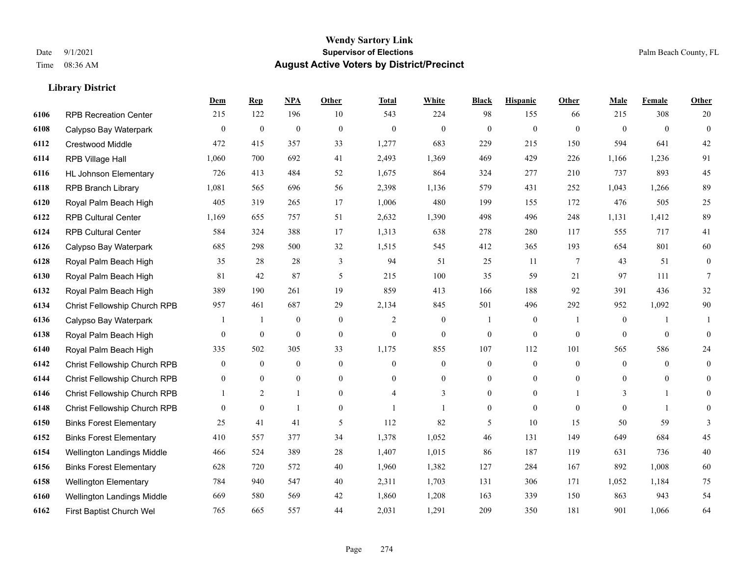**Library District**

#### **Wendy Sartory Link** Date 9/1/2021 **Supervisor of Elections** Palm Beach County, FL Time 08:36 AM **August Active Voters by District/Precinct**

# **Dem Rep NPA Other Total White Black Hispanic Other Male Female Other** RPB Recreation Center 215 122 196 10 543 224 98 155 66 215 308 20 Calypso Bay Waterpark 0 0 0 0 0 0 0 0 0 0 0 0 Crestwood Middle 472 415 357 33 1,277 683 229 215 150 594 641 42 RPB Village Hall 1,060 700 692 41 2,493 1,369 469 429 226 1,166 1,236 91 HL Johnson Elementary 726 413 484 52 1,675 864 324 277 210 737 893 45 RPB Branch Library 1,081 565 696 56 2,398 1,136 579 431 252 1,043 1,266 89 Royal Palm Beach High 405 319 265 17 1,006 480 199 155 172 476 505 25 RPB Cultural Center 1,169 655 757 51 2,632 1,390 498 496 248 1,131 1,412 89 RPB Cultural Center 584 324 388 17 1,313 638 278 280 117 555 717 41 Calypso Bay Waterpark 685 298 500 32 1,515 545 412 365 193 654 801 60 Royal Palm Beach High 35 28 28 3 94 51 25 11 7 43 51 0 Royal Palm Beach High 81 42 87 5 215 100 35 59 21 97 111 7 Royal Palm Beach High 389 190 261 19 859 413 166 188 92 391 436 32 Christ Fellowship Church RPB 957 461 687 29 2,134 845 501 496 292 952 1,092 90 Calypso Bay Waterpark 1 1 0 0 2 0 1 0 1 0 1 1 Royal Palm Beach High 0 0 0 0 0 0 0 0 0 0 0 0 Royal Palm Beach High 335 502 305 33 1,175 855 107 112 101 565 586 24 Christ Fellowship Church RPB 0 0 0 0 0 0 0 0 0 0 0 0 Christ Fellowship Church RPB 0 0 0 0 0 0 0 0 0 0 0 0 Christ Fellowship Church RPB 1 2 1 0 4 3 0 0 1 3 1 0 Christ Fellowship Church RPB 0 0 1 0 1 1 0 0 0 0 1 0 Binks Forest Elementary 25 41 41 5 112 82 5 10 15 50 59 3 Binks Forest Elementary 410 557 377 34 1,378 1,052 46 131 149 649 684 45 Wellington Landings Middle 466 524 389 28 1,407 1,015 86 187 119 631 736 40 Binks Forest Elementary 628 720 572 40 1,960 1,382 127 284 167 892 1,008 60 Wellington Elementary 784 940 547 40 2,311 1,703 131 306 171 1,052 1,184 75

 Wellington Landings Middle 669 580 569 42 1,860 1,208 163 339 150 863 943 54 First Baptist Church Wel 765 665 557 44 2,031 1,291 209 350 181 901 1,066 64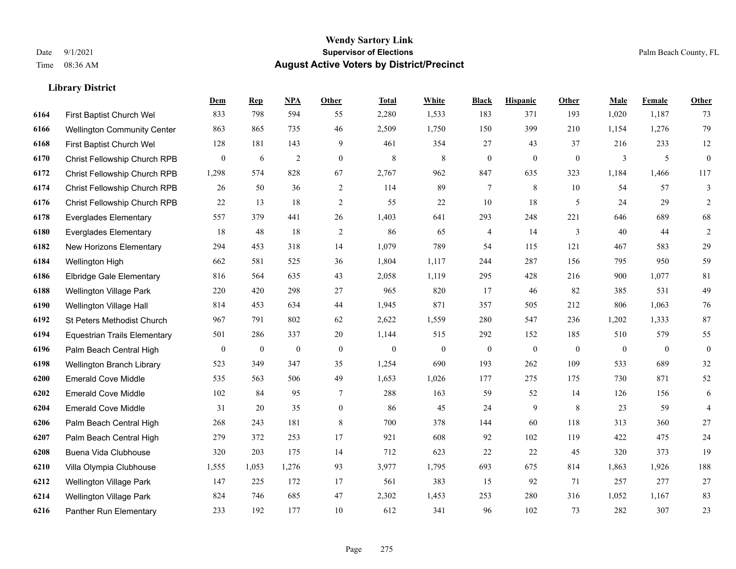|      |                                     | Dem              | <b>Rep</b>       | NPA              | <b>Other</b>   | <b>Total</b>     | <b>White</b>     | <b>Black</b>     | <b>Hispanic</b>  | Other            | <b>Male</b>  | <b>Female</b> | <b>Other</b>     |
|------|-------------------------------------|------------------|------------------|------------------|----------------|------------------|------------------|------------------|------------------|------------------|--------------|---------------|------------------|
| 6164 | First Baptist Church Wel            | 833              | 798              | 594              | 55             | 2,280            | 1,533            | 183              | 371              | 193              | 1,020        | 1,187         | 73               |
| 6166 | <b>Wellington Community Center</b>  | 863              | 865              | 735              | 46             | 2,509            | 1,750            | 150              | 399              | 210              | 1,154        | 1,276         | 79               |
| 6168 | First Baptist Church Wel            | 128              | 181              | 143              | 9              | 461              | 354              | 27               | 43               | 37               | 216          | 233           | 12               |
| 6170 | Christ Fellowship Church RPB        | $\boldsymbol{0}$ | 6                | $\overline{2}$   | $\overline{0}$ | 8                | 8                | $\boldsymbol{0}$ | $\overline{0}$   | $\boldsymbol{0}$ | 3            | 5             | $\mathbf{0}$     |
| 6172 | <b>Christ Fellowship Church RPB</b> | 1,298            | 574              | 828              | 67             | 2,767            | 962              | 847              | 635              | 323              | 1,184        | 1.466         | 117              |
| 6174 | Christ Fellowship Church RPB        | 26               | 50               | 36               | 2              | 114              | 89               | 7                | 8                | 10               | 54           | 57            | 3                |
| 6176 | Christ Fellowship Church RPB        | 22               | 13               | 18               | 2              | 55               | 22               | 10               | 18               | 5                | 24           | 29            | 2                |
| 6178 | <b>Everglades Elementary</b>        | 557              | 379              | 441              | 26             | 1,403            | 641              | 293              | 248              | 221              | 646          | 689           | 68               |
| 6180 | <b>Everglades Elementary</b>        | 18               | 48               | 18               | $\overline{2}$ | 86               | 65               | 4                | 14               | 3                | 40           | 44            | $\overline{2}$   |
| 6182 | New Horizons Elementary             | 294              | 453              | 318              | 14             | 1,079            | 789              | 54               | 115              | 121              | 467          | 583           | 29               |
| 6184 | Wellington High                     | 662              | 581              | 525              | 36             | 1,804            | 1,117            | 244              | 287              | 156              | 795          | 950           | 59               |
| 6186 | <b>Elbridge Gale Elementary</b>     | 816              | 564              | 635              | 43             | 2,058            | 1,119            | 295              | 428              | 216              | 900          | 1,077         | 81               |
| 6188 | <b>Wellington Village Park</b>      | 220              | 420              | 298              | 27             | 965              | 820              | 17               | 46               | 82               | 385          | 531           | 49               |
| 6190 | Wellington Village Hall             | 814              | 453              | 634              | 44             | 1,945            | 871              | 357              | 505              | 212              | 806          | 1,063         | $76\,$           |
| 6192 | St Peters Methodist Church          | 967              | 791              | 802              | 62             | 2,622            | 1,559            | 280              | 547              | 236              | 1,202        | 1,333         | $87\,$           |
| 6194 | <b>Equestrian Trails Elementary</b> | 501              | 286              | 337              | 20             | 1,144            | 515              | 292              | 152              | 185              | 510          | 579           | 55               |
| 6196 | Palm Beach Central High             | $\boldsymbol{0}$ | $\boldsymbol{0}$ | $\boldsymbol{0}$ | $\mathbf{0}$   | $\boldsymbol{0}$ | $\boldsymbol{0}$ | $\boldsymbol{0}$ | $\boldsymbol{0}$ | $\mathbf{0}$     | $\mathbf{0}$ | $\mathbf{0}$  | $\boldsymbol{0}$ |
| 6198 | Wellington Branch Library           | 523              | 349              | 347              | 35             | 1,254            | 690              | 193              | 262              | 109              | 533          | 689           | $32\,$           |
| 6200 | <b>Emerald Cove Middle</b>          | 535              | 563              | 506              | 49             | 1,653            | 1,026            | 177              | 275              | 175              | 730          | 871           | 52               |
| 6202 | <b>Emerald Cove Middle</b>          | 102              | 84               | 95               | $\tau$         | 288              | 163              | 59               | 52               | 14               | 126          | 156           | 6                |
| 6204 | <b>Emerald Cove Middle</b>          | 31               | 20               | 35               | $\overline{0}$ | 86               | 45               | 24               | 9                | 8                | 23           | 59            | $\overline{4}$   |
| 6206 | Palm Beach Central High             | 268              | 243              | 181              | $\,$ 8 $\,$    | 700              | 378              | 144              | 60               | 118              | 313          | 360           | 27               |
| 6207 | Palm Beach Central High             | 279              | 372              | 253              | 17             | 921              | 608              | 92               | 102              | 119              | 422          | 475           | 24               |
| 6208 | Buena Vida Clubhouse                | 320              | 203              | 175              | 14             | 712              | 623              | 22               | 22               | 45               | 320          | 373           | 19               |
| 6210 | Villa Olympia Clubhouse             | 1,555            | 1,053            | 1,276            | 93             | 3,977            | 1,795            | 693              | 675              | 814              | 1,863        | 1,926         | 188              |
| 6212 | <b>Wellington Village Park</b>      | 147              | 225              | 172              | 17             | 561              | 383              | 15               | 92               | 71               | 257          | 277           | 27               |
| 6214 | <b>Wellington Village Park</b>      | 824              | 746              | 685              | 47             | 2,302            | 1,453            | 253              | 280              | 316              | 1,052        | 1,167         | 83               |
| 6216 | Panther Run Elementary              | 233              | 192              | 177              | 10             | 612              | 341              | 96               | 102              | 73               | 282          | 307           | 23               |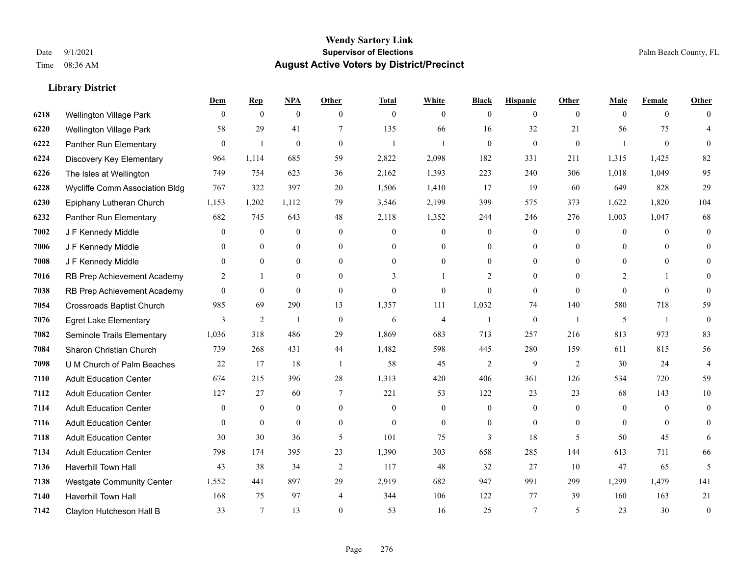|      |                                  | Dem            | <b>Rep</b>     | NPA              | <b>Other</b>   | <b>Total</b>   | <b>White</b>   | <b>Black</b>     | <b>Hispanic</b> | <b>Other</b>   | <b>Male</b>    | <b>Female</b>  | <b>Other</b> |
|------|----------------------------------|----------------|----------------|------------------|----------------|----------------|----------------|------------------|-----------------|----------------|----------------|----------------|--------------|
| 6218 | Wellington Village Park          | $\mathbf{0}$   | $\mathbf{0}$   | $\mathbf{0}$     | $\theta$       | $\mathbf{0}$   | $\overline{0}$ | $\overline{0}$   | $\overline{0}$  | $\overline{0}$ | $\theta$       | $\overline{0}$ | $\Omega$     |
| 6220 | <b>Wellington Village Park</b>   | 58             | 29             | 41               | 7              | 135            | 66             | 16               | 32              | 21             | 56             | 75             | 4            |
| 6222 | Panther Run Elementary           | $\theta$       | $\mathbf{1}$   | $\theta$         | $\theta$       | $\mathbf{1}$   |                | $\theta$         | $\overline{0}$  | $\theta$       | $\overline{1}$ | $\theta$       | $\Omega$     |
| 6224 | Discovery Key Elementary         | 964            | 1,114          | 685              | 59             | 2,822          | 2,098          | 182              | 331             | 211            | 1,315          | 1,425          | 82           |
| 6226 | The Isles at Wellington          | 749            | 754            | 623              | 36             | 2,162          | 1,393          | 223              | 240             | 306            | 1,018          | 1,049          | 95           |
| 6228 | Wycliffe Comm Association Bldg   | 767            | 322            | 397              | 20             | 1,506          | 1,410          | 17               | 19              | 60             | 649            | 828            | 29           |
| 6230 | Epiphany Lutheran Church         | 1,153          | 1,202          | 1,112            | 79             | 3,546          | 2,199          | 399              | 575             | 373            | 1,622          | 1,820          | 104          |
| 6232 | Panther Run Elementary           | 682            | 745            | 643              | 48             | 2,118          | 1,352          | 244              | 246             | 276            | 1,003          | 1,047          | 68           |
| 7002 | J F Kennedy Middle               | $\mathbf{0}$   | $\mathbf{0}$   | $\boldsymbol{0}$ | $\mathbf{0}$   | $\mathbf{0}$   | $\overline{0}$ | $\mathbf{0}$     | $\overline{0}$  | $\mathbf{0}$   | $\mathbf{0}$   | $\theta$       | $\mathbf{0}$ |
| 7006 | J F Kennedy Middle               | $\theta$       | $\overline{0}$ | $\mathbf{0}$     | $\mathbf{0}$   | $\theta$       | $\overline{0}$ | $\mathbf{0}$     | $\overline{0}$  | $\theta$       | $\Omega$       | $\theta$       | $\mathbf{0}$ |
| 7008 | J F Kennedy Middle               | $\mathbf{0}$   | $\overline{0}$ | $\mathbf{0}$     | $\theta$       | $\overline{0}$ | $\overline{0}$ | $\overline{0}$   | $\overline{0}$  | $\theta$       | $\theta$       | $\theta$       | $\theta$     |
| 7016 | RB Prep Achievement Academy      | $\overline{2}$ | $\mathbf{1}$   | $\mathbf{0}$     | $\Omega$       | 3              |                | $\overline{2}$   | $\overline{0}$  | $\Omega$       | 2              |                | $\Omega$     |
| 7038 | RB Prep Achievement Academy      | $\theta$       | $\mathbf{0}$   | $\mathbf{0}$     | $\theta$       | $\Omega$       | $\theta$       | $\theta$         | $\Omega$        | $\Omega$       | $\theta$       | $\theta$       | $\theta$     |
| 7054 | Crossroads Baptist Church        | 985            | 69             | 290              | 13             | 1,357          | 111            | 1,032            | 74              | 140            | 580            | 718            | 59           |
| 7076 | <b>Egret Lake Elementary</b>     | 3              | $\overline{2}$ | -1               | $\mathbf{0}$   | 6              | 4              |                  | $\mathbf{0}$    | $\overline{1}$ | 5              | $\overline{1}$ | $\mathbf{0}$ |
| 7082 | Seminole Trails Elementary       | 1,036          | 318            | 486              | 29             | 1,869          | 683            | 713              | 257             | 216            | 813            | 973            | 83           |
| 7084 | Sharon Christian Church          | 739            | 268            | 431              | 44             | 1,482          | 598            | 445              | 280             | 159            | 611            | 815            | 56           |
| 7098 | U M Church of Palm Beaches       | 22             | 17             | 18               | -1             | 58             | 45             | 2                | 9               | $\overline{2}$ | 30             | 24             | 4            |
| 7110 | <b>Adult Education Center</b>    | 674            | 215            | 396              | 28             | 1,313          | 420            | 406              | 361             | 126            | 534            | 720            | 59           |
| 7112 | <b>Adult Education Center</b>    | 127            | 27             | 60               | 7              | 221            | 53             | 122              | 23              | 23             | 68             | 143            | 10           |
| 7114 | <b>Adult Education Center</b>    | $\theta$       | $\overline{0}$ | $\theta$         | $\theta$       | $\theta$       | $\Omega$       | $\mathbf{0}$     | $\Omega$        | $\Omega$       | $\Omega$       | $\Omega$       | $\theta$     |
| 7116 | <b>Adult Education Center</b>    | $\mathbf{0}$   | $\mathbf{0}$   | $\mathbf{0}$     | $\overline{0}$ | $\theta$       | $\overline{0}$ | $\boldsymbol{0}$ | $\overline{0}$  | $\mathbf{0}$   | $\mathbf{0}$   | $\mathbf{0}$   | $\theta$     |
| 7118 | <b>Adult Education Center</b>    | 30             | 30             | 36               | 5              | 101            | 75             | 3                | 18              | 5              | 50             | 45             | 6            |
| 7134 | <b>Adult Education Center</b>    | 798            | 174            | 395              | 23             | 1,390          | 303            | 658              | 285             | 144            | 613            | 711            | 66           |
| 7136 | <b>Haverhill Town Hall</b>       | 43             | 38             | 34               | $\overline{2}$ | 117            | 48             | 32               | 27              | 10             | 47             | 65             | 5            |
| 7138 | <b>Westgate Community Center</b> | 1,552          | 441            | 897              | 29             | 2,919          | 682            | 947              | 991             | 299            | 1,299          | 1,479          | 141          |
| 7140 | <b>Haverhill Town Hall</b>       | 168            | 75             | 97               | $\overline{4}$ | 344            | 106            | 122              | 77              | 39             | 160            | 163            | 21           |
| 7142 | Clayton Hutcheson Hall B         | 33             | $\overline{7}$ | 13               | $\theta$       | 53             | 16             | 25               | $\overline{7}$  | 5              | 23             | 30             | $\mathbf{0}$ |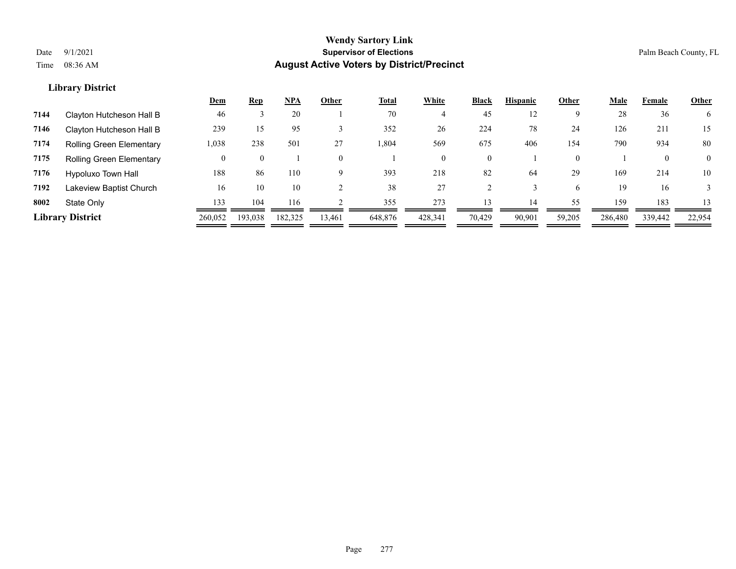|      |                          | Dem     | <b>Rep</b> | <b>NPA</b> | Other    | <b>Total</b> | White   | Black          | <b>Hispanic</b> | Other    | <b>Male</b> | Female   | <b>Other</b>   |
|------|--------------------------|---------|------------|------------|----------|--------------|---------|----------------|-----------------|----------|-------------|----------|----------------|
| 7144 | Clayton Hutcheson Hall B | 46      |            | 20         |          | 70           | 4       | 45             | 12              | 9        | 28          | 36       | 6              |
| 7146 | Clayton Hutcheson Hall B | 239     | 15         | 95         |          | 352          | 26      | 224            | 78              | 24       | 126         | 211      | 15             |
| 7174 | Rolling Green Elementary | 1,038   | 238        | 501        | 27       | .804         | 569     | 675            | 406             | 154      | 790         | 934      | 80             |
| 7175 | Rolling Green Elementary | 0       |            |            | $\Omega$ |              |         | $\overline{0}$ |                 | $\theta$ |             | $\theta$ | $\overline{0}$ |
| 7176 | Hypoluxo Town Hall       | 188     | 86         | 110        | $\Omega$ | 393          | 218     | 82             | 64              | 29       | 169         | 214      | 10             |
| 7192 | Lakeview Baptist Church  | 16      | 10         | 10         |          | 38           | 27      |                |                 | 6        | 19          | 16       |                |
| 8002 | State Only               | 133     | 104        | 116        |          | 355          | 273     | 13             | 14              | 55       | 159         | 183      | 13             |
|      | <b>Library District</b>  | 260,052 | 193,038    | 182,325    | 13,461   | 648,876      | 428,341 | 70,429         | 90,901          | 59,205   | 286,480     | 339,442  | 22,954         |
|      |                          |         |            |            |          |              |         |                |                 |          |             |          |                |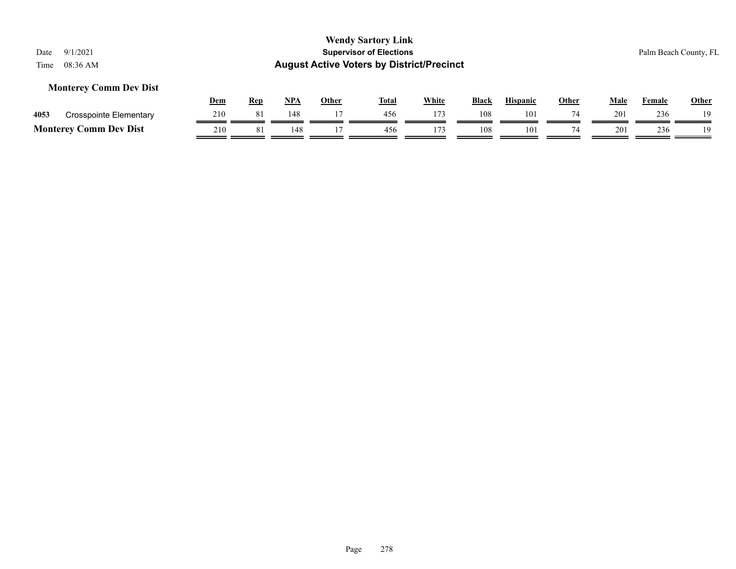#### **Monterey Comm Dev Dist**

|      |                               | Dem | Rep | <b>NPA</b> | Other | <b>Total</b> | White | <b>Black</b> | <b>Hispanic</b> | Other | Male | Female | <b>Other</b> |
|------|-------------------------------|-----|-----|------------|-------|--------------|-------|--------------|-----------------|-------|------|--------|--------------|
| 4053 | Crosspointe Elementary        | 210 | 81  | 148        |       |              |       | 108          | 101             |       | 201  | 236    | 10           |
|      | <b>Monterey Comm Dev Dist</b> | 210 |     |            |       | 456          |       | 108          | 101             |       | 201  | 236    | 1 Q          |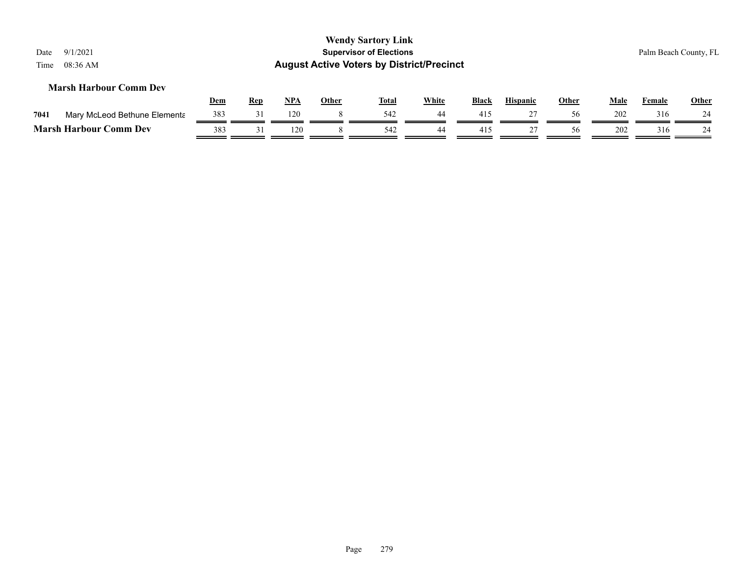| Date<br>Time | 9/1/2021<br>08:36 AM                                          |            |            |            |              | <b>Wendy Sartory Link</b><br><b>Supervisor of Elections</b><br><b>August Active Voters by District/Precinct</b> |              |       |                 |              |             |        | Palm Beach County, FL |
|--------------|---------------------------------------------------------------|------------|------------|------------|--------------|-----------------------------------------------------------------------------------------------------------------|--------------|-------|-----------------|--------------|-------------|--------|-----------------------|
|              | <b>Marsh Harbour Comm Dev</b>                                 | <u>Dem</u> | <u>Rep</u> | <u>NPA</u> | <b>Other</b> | <b>Total</b>                                                                                                    | <b>White</b> | Black | <b>Hispanic</b> | <b>Other</b> | <b>Male</b> | Female | <b>Other</b>          |
| 7041         |                                                               | 383        | 31         | 120        | 8            | 542                                                                                                             | 44           | 415   | 27              | 56           | 202         | 316    | 24                    |
|              | Mary McLeod Bethune Elementa<br><b>Marsh Harbour Comm Dev</b> | 383        | 31         | 120        |              | 542                                                                                                             | 44           | 415   | 27              | 56           | 202         | 316    | 24                    |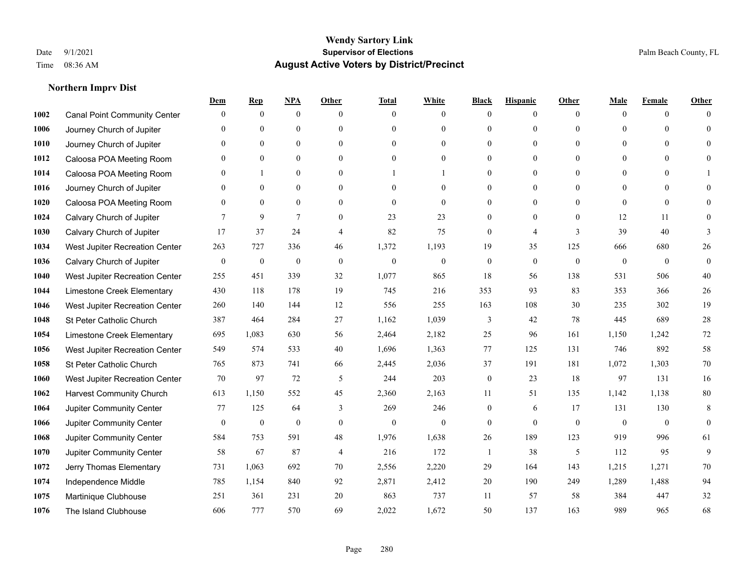|      |                                     | Dem              | <b>Rep</b>       | NPA              | <b>Other</b>   | <b>Total</b>     | <b>White</b>     | <b>Black</b>     | <b>Hispanic</b>  | <b>Other</b> | <b>Male</b>  | <b>Female</b>  | <b>Other</b>     |
|------|-------------------------------------|------------------|------------------|------------------|----------------|------------------|------------------|------------------|------------------|--------------|--------------|----------------|------------------|
| 1002 | <b>Canal Point Community Center</b> | $\mathbf{0}$     | $\mathbf{0}$     | $\boldsymbol{0}$ | $\Omega$       | $\Omega$         | $\overline{0}$   | $\mathbf{0}$     | $\boldsymbol{0}$ | $\theta$     | $\theta$     | $\overline{0}$ | $\Omega$         |
| 1006 | Journey Church of Jupiter           | $\theta$         | $\theta$         | $\mathbf{0}$     | $\theta$       | $\Omega$         | $\overline{0}$   | $\theta$         | $\mathbf{0}$     | $\Omega$     | $\theta$     | $\theta$       | $\theta$         |
| 1010 | Journey Church of Jupiter           | 0                | $\theta$         | $\theta$         | $\Omega$       | $\Omega$         | $\Omega$         | $\Omega$         | $\theta$         | $\Omega$     | $\Omega$     | $\Omega$       | $\Omega$         |
| 1012 | Caloosa POA Meeting Room            | 0                | $\mathbf{0}$     | $\mathbf{0}$     | $\overline{0}$ | $\theta$         | $\overline{0}$   | $\overline{0}$   | $\mathbf{0}$     | $\theta$     | $\mathbf{0}$ | $\mathbf{0}$   | $\Omega$         |
| 1014 | Caloosa POA Meeting Room            | 0                |                  | $\mathbf{0}$     | $\theta$       |                  |                  | $\overline{0}$   | $\mathbf{0}$     | $\theta$     | $\theta$     | $\Omega$       |                  |
| 1016 | Journey Church of Jupiter           | 0                | $\mathbf{0}$     | $\mathbf{0}$     | $\theta$       | $\Omega$         | $\mathbf{0}$     | $\overline{0}$   | $\mathbf{0}$     | $\Omega$     | $\theta$     | $\theta$       | $\Omega$         |
| 1020 | Caloosa POA Meeting Room            | $\overline{0}$   | $\mathbf{0}$     | $\mathbf{0}$     | $\overline{0}$ | $\mathbf{0}$     | $\mathbf{0}$     | $\boldsymbol{0}$ | $\boldsymbol{0}$ | $\mathbf{0}$ | $\mathbf{0}$ | $\mathbf{0}$   | $\mathbf{0}$     |
| 1024 | Calvary Church of Jupiter           | 7                | 9                | $\overline{7}$   | $\theta$       | 23               | 23               | $\overline{0}$   | $\mathbf{0}$     | $\theta$     | 12           | 11             | $\Omega$         |
| 1030 | Calvary Church of Jupiter           | 17               | 37               | 24               | 4              | 82               | 75               | $\mathbf{0}$     | $\overline{4}$   | 3            | 39           | 40             | 3                |
| 1034 | West Jupiter Recreation Center      | 263              | 727              | 336              | 46             | 1,372            | 1,193            | 19               | 35               | 125          | 666          | 680            | 26               |
| 1036 | Calvary Church of Jupiter           | $\mathbf{0}$     | $\boldsymbol{0}$ | $\mathbf{0}$     | $\overline{0}$ | $\theta$         | $\boldsymbol{0}$ | $\boldsymbol{0}$ | $\mathbf{0}$     | $\theta$     | $\mathbf{0}$ | $\overline{0}$ | $\boldsymbol{0}$ |
| 1040 | West Jupiter Recreation Center      | 255              | 451              | 339              | 32             | 1,077            | 865              | 18               | 56               | 138          | 531          | 506            | $40\,$           |
| 1044 | Limestone Creek Elementary          | 430              | 118              | 178              | 19             | 745              | 216              | 353              | 93               | 83           | 353          | 366            | 26               |
| 1046 | West Jupiter Recreation Center      | 260              | 140              | 144              | 12             | 556              | 255              | 163              | 108              | 30           | 235          | 302            | 19               |
| 1048 | St Peter Catholic Church            | 387              | 464              | 284              | 27             | 1,162            | 1,039            | 3                | 42               | 78           | 445          | 689            | $28\,$           |
| 1054 | Limestone Creek Elementary          | 695              | 1,083            | 630              | 56             | 2,464            | 2,182            | 25               | 96               | 161          | 1,150        | 1,242          | 72               |
| 1056 | West Jupiter Recreation Center      | 549              | 574              | 533              | 40             | 1,696            | 1,363            | 77               | 125              | 131          | 746          | 892            | 58               |
| 1058 | St Peter Catholic Church            | 765              | 873              | 741              | 66             | 2,445            | 2,036            | 37               | 191              | 181          | 1,072        | 1,303          | 70               |
| 1060 | West Jupiter Recreation Center      | 70               | 97               | 72               | 5              | 244              | 203              | $\boldsymbol{0}$ | 23               | 18           | 97           | 131            | 16               |
| 1062 | <b>Harvest Community Church</b>     | 613              | 1,150            | 552              | 45             | 2,360            | 2,163            | 11               | 51               | 135          | 1,142        | 1.138          | 80               |
| 1064 | Jupiter Community Center            | 77               | 125              | 64               | 3              | 269              | 246              | $\overline{0}$   | 6                | 17           | 131          | 130            | 8                |
| 1066 | Jupiter Community Center            | $\boldsymbol{0}$ | $\boldsymbol{0}$ | $\boldsymbol{0}$ | $\mathbf{0}$   | $\boldsymbol{0}$ | $\overline{0}$   | $\boldsymbol{0}$ | $\mathbf{0}$     | $\mathbf{0}$ | $\mathbf{0}$ | $\mathbf{0}$   | $\mathbf{0}$     |
| 1068 | Jupiter Community Center            | 584              | 753              | 591              | 48             | 1,976            | 1,638            | 26               | 189              | 123          | 919          | 996            | 61               |
| 1070 | Jupiter Community Center            | 58               | 67               | 87               | $\overline{4}$ | 216              | 172              | 1                | 38               | 5            | 112          | 95             | 9                |
| 1072 | Jerry Thomas Elementary             | 731              | 1,063            | 692              | 70             | 2,556            | 2,220            | 29               | 164              | 143          | 1,215        | 1,271          | 70               |
| 1074 | Independence Middle                 | 785              | 1,154            | 840              | 92             | 2,871            | 2,412            | 20               | 190              | 249          | 1,289        | 1,488          | 94               |
| 1075 | Martinique Clubhouse                | 251              | 361              | 231              | 20             | 863              | 737              | 11               | 57               | 58           | 384          | 447            | 32               |
| 1076 | The Island Clubhouse                | 606              | 777              | 570              | 69             | 2,022            | 1,672            | 50               | 137              | 163          | 989          | 965            | 68               |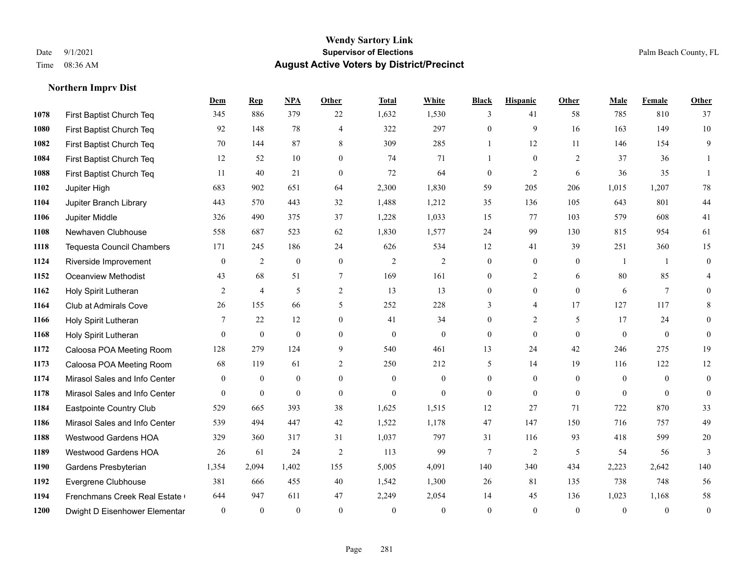|      |                               | Dem            | <b>Rep</b>       | NPA              | <b>Other</b>   | <b>Total</b>     | White            | <b>Black</b>     | <b>Hispanic</b> | <b>Other</b>   | <b>Male</b>    | Female         | Other            |
|------|-------------------------------|----------------|------------------|------------------|----------------|------------------|------------------|------------------|-----------------|----------------|----------------|----------------|------------------|
| 1078 | First Baptist Church Teq      | 345            | 886              | 379              | 22             | 1,632            | 1,530            | 3                | 41              | 58             | 785            | 810            | 37               |
| 1080 | First Baptist Church Teq      | 92             | 148              | 78               | $\overline{4}$ | 322              | 297              | $\mathbf{0}$     | 9               | 16             | 163            | 149            | 10               |
| 1082 | First Baptist Church Teq      | 70             | 144              | 87               | 8              | 309              | 285              | $\mathbf{1}$     | 12              | 11             | 146            | 154            | 9                |
| 1084 | First Baptist Church Teq      | 12             | 52               | 10               | $\mathbf{0}$   | 74               | 71               | $\mathbf{1}$     | $\mathbf{0}$    | 2              | 37             | 36             | 1                |
| 1088 | First Baptist Church Teq      | 11             | 40               | 21               | $\mathbf{0}$   | 72               | 64               | $\boldsymbol{0}$ | $\overline{2}$  | 6              | 36             | 35             | 1                |
| 1102 | Jupiter High                  | 683            | 902              | 651              | 64             | 2,300            | 1,830            | 59               | 205             | 206            | 1,015          | 1,207          | $78\,$           |
| 1104 | Jupiter Branch Library        | 443            | 570              | 443              | 32             | 1,488            | 1,212            | 35               | 136             | 105            | 643            | 801            | 44               |
| 1106 | Jupiter Middle                | 326            | 490              | 375              | 37             | 1,228            | 1,033            | 15               | 77              | 103            | 579            | 608            | 41               |
| 1108 | Newhaven Clubhouse            | 558            | 687              | 523              | 62             | 1,830            | 1,577            | 24               | 99              | 130            | 815            | 954            | 61               |
| 1118 | Tequesta Council Chambers     | 171            | 245              | 186              | 24             | 626              | 534              | 12               | 41              | 39             | 251            | 360            | 15               |
| 1124 | Riverside Improvement         | $\mathbf{0}$   | 2                | $\mathbf{0}$     | $\mathbf{0}$   | 2                | $\overline{2}$   | $\mathbf{0}$     | $\mathbf{0}$    | $\overline{0}$ | $\overline{1}$ | -1             | $\boldsymbol{0}$ |
| 1152 | <b>Oceanview Methodist</b>    | 43             | 68               | 51               | $\tau$         | 169              | 161              | $\mathbf{0}$     | $\overline{2}$  | 6              | 80             | 85             | 4                |
| 1162 | Holy Spirit Lutheran          | $\overline{2}$ | $\overline{4}$   | 5                | 2              | 13               | 13               | $\mathbf{0}$     | $\mathbf{0}$    | $\theta$       | 6              | $\tau$         | $\mathbf{0}$     |
| 1164 | Club at Admirals Cove         | 26             | 155              | 66               | 5              | 252              | 228              | 3                | 4               | 17             | 127            | 117            | 8                |
| 1166 | Holy Spirit Lutheran          | 7              | 22               | 12               | $\Omega$       | 41               | 34               | $\mathbf{0}$     | $\overline{2}$  | 5              | 17             | 24             | $\theta$         |
| 1168 | Holy Spirit Lutheran          | $\overline{0}$ | $\boldsymbol{0}$ | $\mathbf{0}$     | $\overline{0}$ | $\boldsymbol{0}$ | $\boldsymbol{0}$ | $\mathbf{0}$     | $\mathbf{0}$    | $\theta$       | $\mathbf{0}$   | $\mathbf{0}$   | $\mathbf{0}$     |
| 1172 | Caloosa POA Meeting Room      | 128            | 279              | 124              | 9              | 540              | 461              | 13               | 24              | 42             | 246            | 275            | 19               |
| 1173 | Caloosa POA Meeting Room      | 68             | 119              | 61               | $\overline{2}$ | 250              | 212              | 5                | 14              | 19             | 116            | 122            | $12\,$           |
| 1174 | Mirasol Sales and Info Center | $\mathbf{0}$   | $\boldsymbol{0}$ | $\boldsymbol{0}$ | $\overline{0}$ | $\mathbf{0}$     | $\boldsymbol{0}$ | $\boldsymbol{0}$ | $\mathbf{0}$    | $\overline{0}$ | $\overline{0}$ | $\overline{0}$ | $\overline{0}$   |
| 1178 | Mirasol Sales and Info Center | $\theta$       | $\mathbf{0}$     | $\mathbf{0}$     | $\theta$       | $\theta$         | $\mathbf{0}$     | $\mathbf{0}$     | $\mathbf{0}$    | $\theta$       | $\theta$       | $\theta$       | $\mathbf{0}$     |
| 1184 | Eastpointe Country Club       | 529            | 665              | 393              | 38             | 1,625            | 1,515            | 12               | 27              | 71             | 722            | 870            | 33               |
| 1186 | Mirasol Sales and Info Center | 539            | 494              | 447              | 42             | 1,522            | 1,178            | 47               | 147             | 150            | 716            | 757            | 49               |
| 1188 | <b>Westwood Gardens HOA</b>   | 329            | 360              | 317              | 31             | 1,037            | 797              | 31               | 116             | 93             | 418            | 599            | $20\,$           |
| 1189 | Westwood Gardens HOA          | 26             | 61               | 24               | 2              | 113              | 99               | 7                | $\overline{2}$  | 5              | 54             | 56             | 3                |
| 1190 | Gardens Presbyterian          | 1,354          | 2,094            | 1,402            | 155            | 5,005            | 4,091            | 140              | 340             | 434            | 2,223          | 2,642          | 140              |
| 1192 | Evergrene Clubhouse           | 381            | 666              | 455              | 40             | 1,542            | 1,300            | 26               | 81              | 135            | 738            | 748            | 56               |
| 1194 | Frenchmans Creek Real Estate  | 644            | 947              | 611              | 47             | 2,249            | 2,054            | 14               | 45              | 136            | 1,023          | 1,168          | 58               |
| 1200 | Dwight D Eisenhower Elementar | $\mathbf{0}$   | $\mathbf{0}$     | $\mathbf{0}$     | $\Omega$       | $\theta$         | $\mathbf{0}$     | $\mathbf{0}$     | $\theta$        | $\mathbf{0}$   | $\theta$       | $\theta$       | $\boldsymbol{0}$ |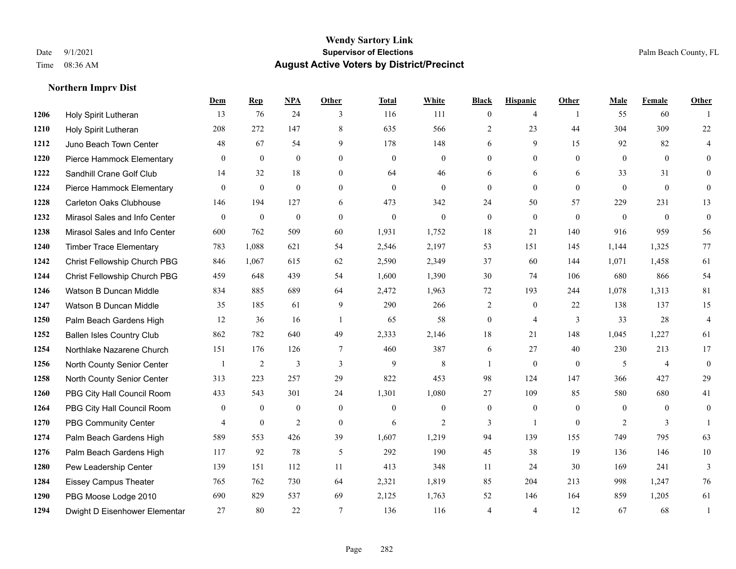|      |                                  | Dem            | <b>Rep</b>       | NPA            | <b>Other</b>     | <b>Total</b>     | <b>White</b>     | <b>Black</b>   | <b>Hispanic</b>  | <b>Other</b>   | <b>Male</b>    | Female         | <b>Other</b>   |
|------|----------------------------------|----------------|------------------|----------------|------------------|------------------|------------------|----------------|------------------|----------------|----------------|----------------|----------------|
| 1206 | Holy Spirit Lutheran             | 13             | 76               | 24             | 3                | 116              | 111              | $\overline{0}$ | 4                | $\overline{1}$ | 55             | 60             |                |
| 1210 | Holy Spirit Lutheran             | 208            | 272              | 147            | 8                | 635              | 566              | $\overline{2}$ | 23               | 44             | 304            | 309            | 22             |
| 1212 | Juno Beach Town Center           | 48             | 67               | 54             | 9                | 178              | 148              | 6              | 9                | 15             | 92             | 82             | 4              |
| 1220 | Pierce Hammock Elementary        | $\mathbf{0}$   | $\mathbf{0}$     | $\mathbf{0}$   | $\mathbf{0}$     | $\mathbf{0}$     | $\overline{0}$   | $\overline{0}$ | $\overline{0}$   | $\mathbf{0}$   | $\mathbf{0}$   | $\overline{0}$ | $\overline{0}$ |
| 1222 | Sandhill Crane Golf Club         | 14             | 32               | 18             | $\theta$         | 64               | 46               | 6              | 6                | 6              | 33             | 31             | $\overline{0}$ |
| 1224 | Pierce Hammock Elementary        | $\overline{0}$ | $\boldsymbol{0}$ | $\mathbf{0}$   | $\mathbf{0}$     | $\boldsymbol{0}$ | $\boldsymbol{0}$ | $\overline{0}$ | $\boldsymbol{0}$ | $\mathbf{0}$   | $\mathbf{0}$   | $\overline{0}$ | $\overline{0}$ |
| 1228 | <b>Carleton Oaks Clubhouse</b>   | 146            | 194              | 127            | 6                | 473              | 342              | 24             | 50               | 57             | 229            | 231            | 13             |
| 1232 | Mirasol Sales and Info Center    | $\Omega$       | $\mathbf{0}$     | $\mathbf{0}$   | $\Omega$         | $\theta$         | $\Omega$         | $\mathbf{0}$   | $\theta$         | $\Omega$       | $\theta$       | $\Omega$       | $\overline{0}$ |
| 1238 | Mirasol Sales and Info Center    | 600            | 762              | 509            | 60               | 1,931            | 1,752            | 18             | 21               | 140            | 916            | 959            | 56             |
| 1240 | <b>Timber Trace Elementary</b>   | 783            | 1,088            | 621            | 54               | 2,546            | 2,197            | 53             | 151              | 145            | 1,144          | 1,325          | 77             |
| 1242 | Christ Fellowship Church PBG     | 846            | 1,067            | 615            | 62               | 2,590            | 2,349            | 37             | 60               | 144            | 1,071          | 1,458          | 61             |
| 1244 | Christ Fellowship Church PBG     | 459            | 648              | 439            | 54               | 1,600            | 1,390            | 30             | 74               | 106            | 680            | 866            | 54             |
| 1246 | Watson B Duncan Middle           | 834            | 885              | 689            | 64               | 2,472            | 1,963            | 72             | 193              | 244            | 1,078          | 1,313          | 81             |
| 1247 | Watson B Duncan Middle           | 35             | 185              | 61             | 9                | 290              | 266              | $\overline{c}$ | $\mathbf{0}$     | 22             | 138            | 137            | 15             |
| 1250 | Palm Beach Gardens High          | 12             | 36               | 16             | $\overline{1}$   | 65               | 58               | $\overline{0}$ | $\overline{4}$   | 3              | 33             | 28             | $\overline{4}$ |
| 1252 | <b>Ballen Isles Country Club</b> | 862            | 782              | 640            | 49               | 2,333            | 2,146            | 18             | 21               | 148            | 1,045          | 1,227          | 61             |
| 1254 | Northlake Nazarene Church        | 151            | 176              | 126            | 7                | 460              | 387              | 6              | 27               | 40             | 230            | 213            | 17             |
| 1256 | North County Senior Center       |                | $\overline{2}$   | 3              | 3                | 9                | 8                | -1             | $\overline{0}$   | $\theta$       | 5              | $\overline{4}$ | $\overline{0}$ |
| 1258 | North County Senior Center       | 313            | 223              | 257            | 29               | 822              | 453              | 98             | 124              | 147            | 366            | 427            | 29             |
| 1260 | PBG City Hall Council Room       | 433            | 543              | 301            | 24               | 1,301            | 1,080            | 27             | 109              | 85             | 580            | 680            | 41             |
| 1264 | PBG City Hall Council Room       | $\theta$       | $\mathbf{0}$     | $\theta$       | $\theta$         | $\Omega$         | $\Omega$         | $\mathbf{0}$   | $\overline{0}$   | $\Omega$       | $\Omega$       | $\Omega$       | $\overline{0}$ |
| 1270 | PBG Community Center             | $\overline{4}$ | $\boldsymbol{0}$ | $\overline{2}$ | $\boldsymbol{0}$ | 6                | $\mathfrak{2}$   | 3              | $\mathbf{1}$     | $\mathbf{0}$   | $\overline{c}$ | 3              |                |
| 1274 | Palm Beach Gardens High          | 589            | 553              | 426            | 39               | 1,607            | 1,219            | 94             | 139              | 155            | 749            | 795            | 63             |
| 1276 | Palm Beach Gardens High          | 117            | 92               | 78             | 5                | 292              | 190              | 45             | 38               | 19             | 136            | 146            | $10\,$         |
| 1280 | Pew Leadership Center            | 139            | 151              | 112            | 11               | 413              | 348              | 11             | 24               | 30             | 169            | 241            | 3              |
| 1284 | <b>Eissey Campus Theater</b>     | 765            | 762              | 730            | 64               | 2,321            | 1,819            | 85             | 204              | 213            | 998            | 1,247          | 76             |
| 1290 | PBG Moose Lodge 2010             | 690            | 829              | 537            | 69               | 2,125            | 1,763            | 52             | 146              | 164            | 859            | 1,205          | 61             |
| 1294 | Dwight D Eisenhower Elementar    | 27             | 80               | 22             | $\tau$           | 136              | 116              | 4              | $\overline{4}$   | 12             | 67             | 68             | $\overline{1}$ |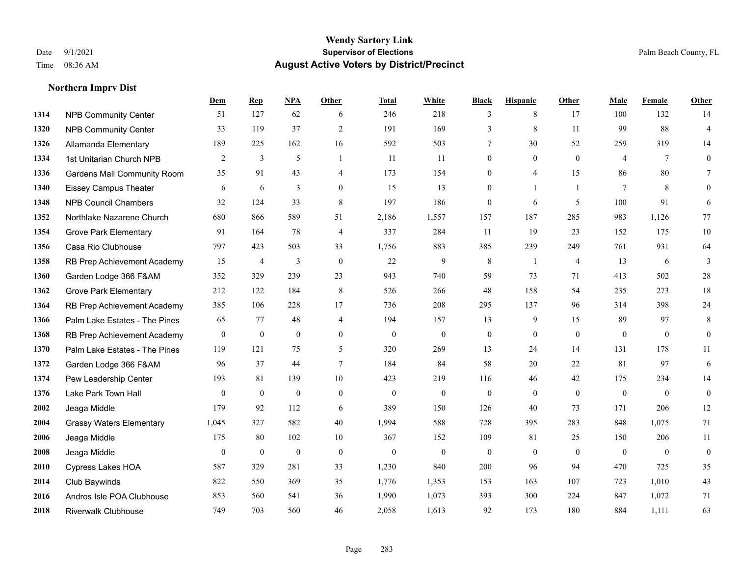**Northern Imprv Dist**

#### **Wendy Sartory Link** Date 9/1/2021 **Supervisor of Elections** Palm Beach County, FL Time 08:36 AM **August Active Voters by District/Precinct**

# **Dem Rep NPA Other Total White Black Hispanic Other Male Female Other** NPB Community Center 51 127 62 6 246 218 3 8 17 100 132 14 NPB Community Center 33 119 37 2 191 169 3 8 11 99 88 4 Allamanda Elementary 189 225 162 16 592 503 7 30 52 259 319 14 1st Unitarian Church NPB 2 3 5 1 11 11 0 0 0 4 7 0 Gardens Mall Community Room 35 91 43 4 173 154 0 4 15 86 80 7 Eissey Campus Theater 6 6 6 3 0 15 13 0 1 1 7 8 0 NPB Council Chambers 32 124 33 8 197 186 0 6 5 100 91 6 Northlake Nazarene Church 680 866 589 51 2,186 1,557 157 187 285 983 1,126 77 **1354 Grove Park Elementary 01 164 78 4 337 284 11 19 23 152 175 10**  Casa Rio Clubhouse 797 423 503 33 1,756 883 385 239 249 761 931 64 RB Prep Achievement Academy 15 4 3 0 22 9 8 1 4 13 6 3 Garden Lodge 366 F&AM 352 329 239 23 943 740 59 73 71 413 502 28 Grove Park Elementary 212 122 184 8 526 266 48 158 54 235 273 18 RB Prep Achievement Academy 385 106 228 17 736 208 295 137 96 314 398 24 Palm Lake Estates - The Pines 65 77 48 4 194 157 13 9 15 89 97 8 RB Prep Achievement Academy 0 0 0 0 0 0 0 0 0 0 0 0 Palm Lake Estates - The Pines 119 121 75 5 320 269 13 24 14 131 178 11 Garden Lodge 366 F&AM 96 37 44 7 184 84 58 20 22 81 97 6 Pew Leadership Center 193 81 139 10 423 219 116 46 42 175 234 14 Lake Park Town Hall 0 0 0 0 0 0 0 0 0 0 0 0 Jeaga Middle 179 92 112 6 389 150 126 40 73 171 206 12 Grassy Waters Elementary 1,045 327 582 40 1,994 588 728 395 283 848 1,075 71 Jeaga Middle 175 80 102 10 367 152 109 81 25 150 206 11 Jeaga Middle 0 0 0 0 0 0 0 0 0 0 0 0 Cypress Lakes HOA 587 329 281 33 1,230 840 200 96 94 470 725 35 Club Baywinds 822 550 369 35 1,776 1,353 153 163 107 723 1,010 43 Andros Isle POA Clubhouse 853 560 541 36 1,990 1,073 393 300 224 847 1,072 71 Riverwalk Clubhouse 749 703 560 46 2,058 1,613 92 173 180 884 1,111 63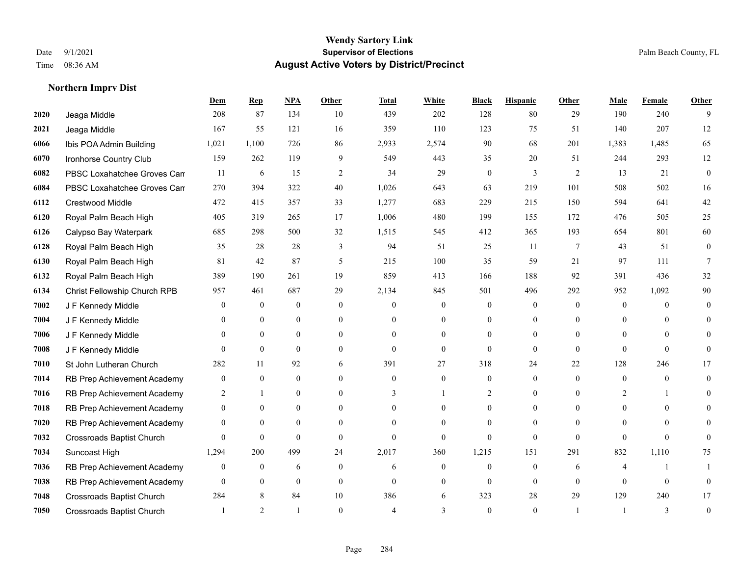|      |                                  | Dem              | <b>Rep</b>       | NPA              | <b>Other</b>   | <b>Total</b>   | <b>White</b>     | <b>Black</b>     | <b>Hispanic</b>  | <b>Other</b>   | <b>Male</b>      | <b>Female</b>  | <b>Other</b>   |
|------|----------------------------------|------------------|------------------|------------------|----------------|----------------|------------------|------------------|------------------|----------------|------------------|----------------|----------------|
| 2020 | Jeaga Middle                     | 208              | 87               | 134              | 10             | 439            | 202              | 128              | 80               | 29             | 190              | 240            | 9              |
| 2021 | Jeaga Middle                     | 167              | 55               | 121              | 16             | 359            | 110              | 123              | 75               | 51             | 140              | 207            | 12             |
| 6066 | Ibis POA Admin Building          | 1,021            | 1,100            | 726              | 86             | 2,933          | 2,574            | 90               | 68               | 201            | 1,383            | 1,485          | 65             |
| 6070 | Ironhorse Country Club           | 159              | 262              | 119              | 9              | 549            | 443              | 35               | 20               | 51             | 244              | 293            | 12             |
| 6082 | PBSC Loxahatchee Groves Can      | 11               | 6                | 15               | 2              | 34             | 29               | $\overline{0}$   | 3                | 2              | 13               | 21             | $\mathbf{0}$   |
| 6084 | PBSC Loxahatchee Groves Can      | 270              | 394              | 322              | 40             | 1,026          | 643              | 63               | 219              | 101            | 508              | 502            | 16             |
| 6112 | Crestwood Middle                 | 472              | 415              | 357              | 33             | 1,277          | 683              | 229              | 215              | 150            | 594              | 641            | 42             |
| 6120 | Royal Palm Beach High            | 405              | 319              | 265              | 17             | 1,006          | 480              | 199              | 155              | 172            | 476              | 505            | 25             |
| 6126 | Calypso Bay Waterpark            | 685              | 298              | 500              | 32             | 1,515          | 545              | 412              | 365              | 193            | 654              | 801            | 60             |
| 6128 | Royal Palm Beach High            | 35               | 28               | 28               | 3              | 94             | 51               | 25               | 11               | $\overline{7}$ | 43               | 51             | $\mathbf{0}$   |
| 6130 | Royal Palm Beach High            | 81               | 42               | 87               | 5              | 215            | 100              | 35               | 59               | 21             | 97               | 111            | 7              |
| 6132 | Royal Palm Beach High            | 389              | 190              | 261              | 19             | 859            | 413              | 166              | 188              | 92             | 391              | 436            | 32             |
| 6134 | Christ Fellowship Church RPB     | 957              | 461              | 687              | 29             | 2,134          | 845              | 501              | 496              | 292            | 952              | 1,092          | $90\,$         |
| 7002 | J F Kennedy Middle               | $\mathbf{0}$     | $\boldsymbol{0}$ | $\boldsymbol{0}$ | $\mathbf{0}$   | $\overline{0}$ | $\boldsymbol{0}$ | $\boldsymbol{0}$ | $\overline{0}$   | $\mathbf{0}$   | $\boldsymbol{0}$ | $\mathbf{0}$   | $\Omega$       |
| 7004 | J F Kennedy Middle               | $\theta$         | $\overline{0}$   | $\mathbf{0}$     | $\overline{0}$ | $\Omega$       | $\overline{0}$   | $\theta$         | $\overline{0}$   | $\theta$       | $\theta$         | $\Omega$       | 0              |
| 7006 | J F Kennedy Middle               | $\theta$         | $\theta$         | $\theta$         | $\theta$       | $\theta$       | $\Omega$         | $\theta$         | $\theta$         | $\Omega$       | $\theta$         | $\theta$       | 0              |
| 7008 | J F Kennedy Middle               | $\theta$         | $\theta$         | $\mathbf{0}$     | $\overline{0}$ | $\Omega$       | $\overline{0}$   | $\theta$         | $\Omega$         | $\theta$       | $\Omega$         | $\theta$       | $\Omega$       |
| 7010 | St John Lutheran Church          | 282              | 11               | 92               | 6              | 391            | 27               | 318              | 24               | 22             | 128              | 246            | 17             |
| 7014 | RB Prep Achievement Academy      | $\mathbf{0}$     | $\overline{0}$   | $\mathbf{0}$     | $\theta$       | $\overline{0}$ | $\overline{0}$   | $\mathbf{0}$     | $\overline{0}$   | $\theta$       | $\overline{0}$   | $\overline{0}$ | $\Omega$       |
| 7016 | RB Prep Achievement Academy      | 2                | $\mathbf{1}$     | $\mathbf{0}$     | $\theta$       | 3              | $\mathbf{1}$     | 2                | $\overline{0}$   | $\Omega$       | 2                |                | $\Omega$       |
| 7018 | RB Prep Achievement Academy      | $\overline{0}$   | $\theta$         | $\theta$         | $\Omega$       | $\Omega$       | $\theta$         | $\overline{0}$   | $\Omega$         | $\Omega$       | $\Omega$         | $\Omega$       | $\Omega$       |
| 7020 | RB Prep Achievement Academy      | $\mathbf{0}$     | $\mathbf{0}$     | $\boldsymbol{0}$ | $\theta$       | $\theta$       | $\overline{0}$   | $\theta$         | $\overline{0}$   | $\Omega$       | $\theta$         | $\Omega$       | 0              |
| 7032 | <b>Crossroads Baptist Church</b> | $\Omega$         | $\mathbf{0}$     | $\mathbf{0}$     | $\theta$       | $\theta$       | $\overline{0}$   | $\theta$         | $\overline{0}$   | $\Omega$       | $\Omega$         | $\Omega$       | 0              |
| 7034 | Suncoast High                    | 1,294            | 200              | 499              | 24             | 2,017          | 360              | 1,215            | 151              | 291            | 832              | 1,110          | 75             |
| 7036 | RB Prep Achievement Academy      | $\boldsymbol{0}$ | $\boldsymbol{0}$ | 6                | $\mathbf{0}$   | 6              | $\boldsymbol{0}$ | $\boldsymbol{0}$ | $\boldsymbol{0}$ | 6              | 4                |                |                |
| 7038 | RB Prep Achievement Academy      | $\overline{0}$   | $\overline{0}$   | $\mathbf{0}$     | $\theta$       | $\theta$       | $\overline{0}$   | $\Omega$         | $\overline{0}$   | $\theta$       | $\theta$         | $\theta$       | 0              |
| 7048 | <b>Crossroads Baptist Church</b> | 284              | 8                | 84               | 10             | 386            | 6                | 323              | 28               | 29             | 129              | 240            | 17             |
| 7050 | <b>Crossroads Baptist Church</b> |                  | $\mathfrak{D}$   |                  | $\Omega$       |                | 3                | $\Omega$         | $\theta$         |                | $\overline{1}$   | 3              | $\overline{0}$ |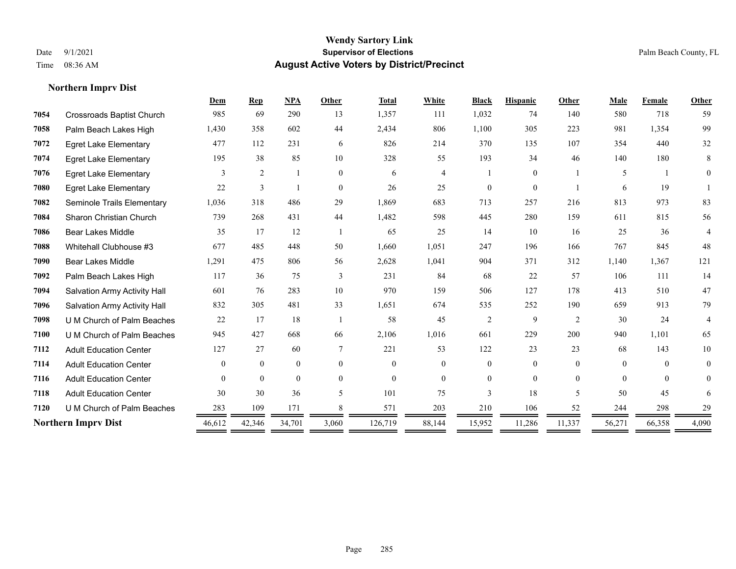**Northern Imprv Dist**

#### **Wendy Sartory Link** Date 9/1/2021 **Supervisor of Elections** Palm Beach County, FL Time 08:36 AM **August Active Voters by District/Precinct**

# **Dem Rep NPA Other Total White Black Hispanic Other Male Female Other** Crossroads Baptist Church 985 69 290 13 1,357 111 1,032 74 140 580 718 59 Palm Beach Lakes High 1,430 358 602 44 2,434 806 1,100 305 223 981 1,354 99 Egret Lake Elementary 477 112 231 6 826 214 370 135 107 354 440 32 Egret Lake Elementary 195 38 85 10 328 55 193 34 46 140 180 8 Egret Lake Elementary 3 2 1 0 6 4 1 0 1 5 1 0 Egret Lake Elementary 22 3 1 0 26 25 0 0 1 6 19 1 Seminole Trails Elementary 1,036 318 486 29 1,869 683 713 257 216 813 973 83 Sharon Christian Church 739 268 431 44 1,482 598 445 280 159 611 815 56 Bear Lakes Middle 35 17 12 1 65 25 14 10 16 25 36 4 Whitehall Clubhouse #3 677 485 448 50 1,660 1,051 247 196 166 767 845 48 Bear Lakes Middle 1,291 475 806 56 2,628 1,041 904 371 312 1,140 1,367 121 Palm Beach Lakes High 117 36 75 3 231 84 68 22 57 106 111 14 Salvation Army Activity Hall 601 76 283 10 970 159 506 127 178 413 510 47 Salvation Army Activity Hall 832 305 481 33 1,651 674 535 252 190 659 913 79 U M Church of Palm Beaches 22 17 18 1 58 45 2 9 2 30 24 4 U M Church of Palm Beaches 945 427 668 66 2,106 1,016 661 229 200 940 1,101 65 Adult Education Center 127 27 60 7 221 53 122 23 23 68 143 10 Adult Education Center 0 0 0 0 0 0 0 0 0 0 0 0 Adult Education Center 0 0 0 0 0 0 0 0 0 0 0 0 Adult Education Center 30 30 36 5 101 75 3 18 5 50 45 6 **7120** U M Church of Palm Beaches  $\frac{283}{\sqrt{109}} \frac{109}{\sqrt{101}} \frac{171}{\sqrt{101}} \frac{8}{\sqrt{101}} \frac{571}{\sqrt{101}} \frac{203}{\sqrt{101}} \frac{210}{\sqrt{101}} \frac{106}{\sqrt{101}} \frac{52}{\sqrt{101}} \frac{244}{\sqrt{101}} \frac{298}{\sqrt{101}} \frac{298}{\sqrt{101}} \frac{298}{\sqrt{101}} \frac{298}{$ **Northern Imprv Dist** 46,612 42,346 34,701 3,060 126,719 88,144 15,952 11,286 11,337 56,271 66,358 4,090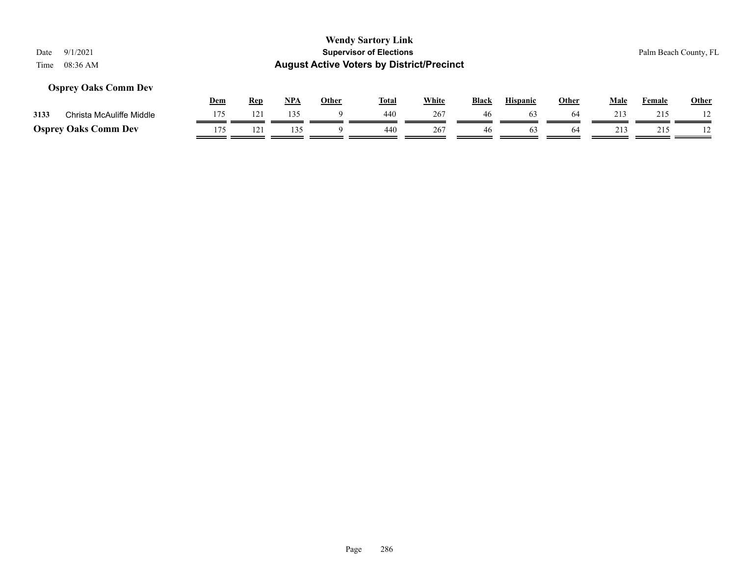### **Osprey Oaks Comm Dev**

|      |                             | Dem | Rep | NP/ | Other | <b>Total</b> | White | <b>Black</b> | <b>Hispanic</b> | Other | Male | Female | <b>Other</b> |
|------|-----------------------------|-----|-----|-----|-------|--------------|-------|--------------|-----------------|-------|------|--------|--------------|
| 3133 | Christa McAuliffe Middle    |     | 121 | 135 |       | 440          | 267   |              | 63              | 64    | 213  | 215    |              |
|      | <b>Osprey Oaks Comm Dev</b> | 175 |     |     |       | 440          | 267   | 46           | n,              | 64    | ่ 13 |        |              |

#### Page 286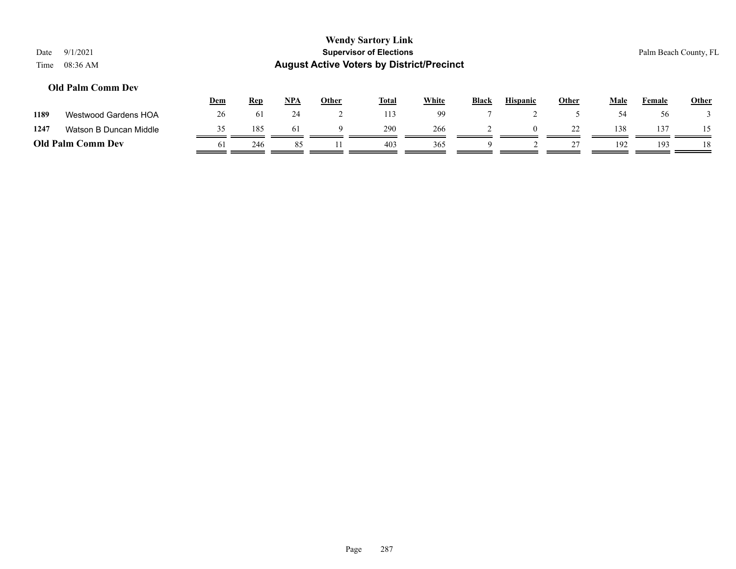#### **Old Palm Comm Dev**

|      |                          | <u>Dem</u> | <b>Rep</b> | <b>NPA</b> | Other | <b>Total</b> | White | <b>Black</b> | <b>Hispanic</b> | Other   | <b>Male</b> | Female | <b>Other</b> |
|------|--------------------------|------------|------------|------------|-------|--------------|-------|--------------|-----------------|---------|-------------|--------|--------------|
| 1189 | Westwood Gardens HOA     | 26         | 61         | <b>24</b>  |       | 113          | 99    |              |                 |         |             | 56     |              |
| 1247 | Watson B Duncan Middle   |            | 185        | 61         |       | 290          | 266   |              | $\Omega$        | 22<br>∼ | 138         | 137    |              |
|      | <b>Old Palm Comm Dev</b> | 61         | 246        |            |       | 403          | 365   |              |                 |         | 192         | 193    |              |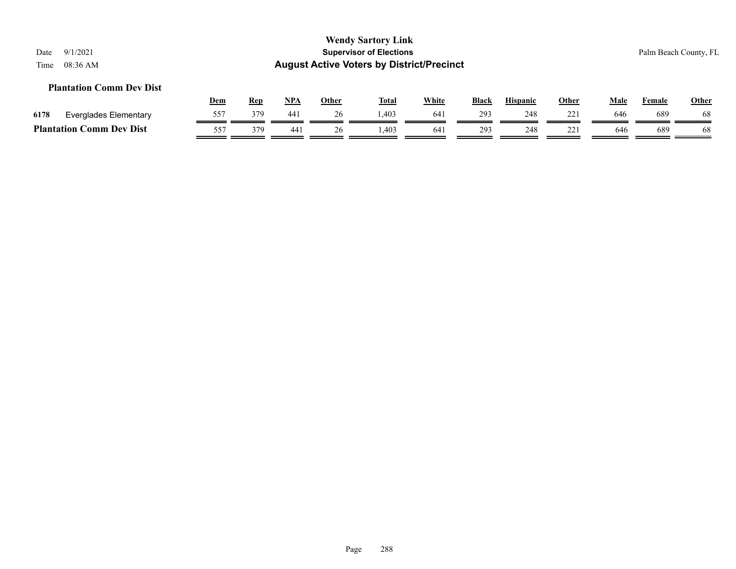#### **Plantation Comm Dev Dist**

|      |                                              | <u>Dem</u> | Rep | <b>NPA</b> | Other | <b>Total</b> | <u>White</u> | <b>Black</b> | <b>Hispanic</b> | Other | Male | Female | <b>Other</b> |
|------|----------------------------------------------|------------|-----|------------|-------|--------------|--------------|--------------|-----------------|-------|------|--------|--------------|
| 6178 | Everglades Elementary                        | 557        | 379 | 441        | ⊷     | 1,403        | 641          | 293          | 248             |       | 646  | 689    | 68           |
|      | <b>Plantation (</b><br>C <b>omm Dev Dist</b> | 557        | 379 | 441        | 26    | .403         | 641          | 293          | 248             | 221   | 646  | 689    | 68           |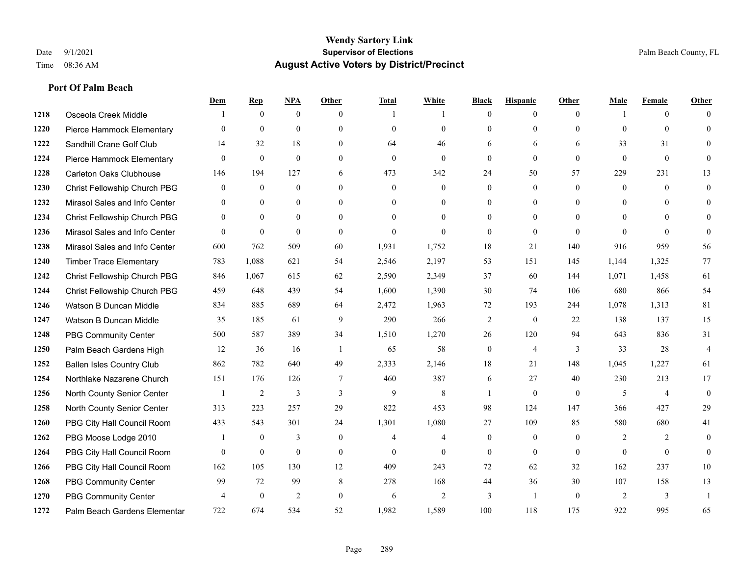|      |                                  | <u>Dem</u>     | <b>Rep</b>   | NPA            | <b>Other</b> | <b>Total</b>   | <b>White</b>   | <b>Black</b>     | <b>Hispanic</b> | Other        | <b>Male</b>  | <b>Female</b>  | <b>Other</b>   |
|------|----------------------------------|----------------|--------------|----------------|--------------|----------------|----------------|------------------|-----------------|--------------|--------------|----------------|----------------|
| 1218 | Osceola Creek Middle             |                | $\mathbf{0}$ | $\mathbf{0}$   | $\theta$     |                | -1             | $\mathbf{0}$     | $\overline{0}$  | $\theta$     |              | $\overline{0}$ | $\Omega$       |
| 1220 | Pierce Hammock Elementary        | $\theta$       | $\mathbf{0}$ | $\mathbf{0}$   | $\Omega$     | $\theta$       | $\overline{0}$ | $\theta$         | $\mathbf{0}$    | $\theta$     | $\theta$     | $\theta$       | $\theta$       |
| 1222 | Sandhill Crane Golf Club         | 14             | 32           | 18             | $\Omega$     | 64             | 46             | 6                | 6               | 6            | 33           | 31             | $\Omega$       |
| 1224 | Pierce Hammock Elementary        | $\mathbf{0}$   | $\mathbf{0}$ | $\mathbf{0}$   | $\mathbf{0}$ | $\mathbf{0}$   | $\mathbf{0}$   | $\boldsymbol{0}$ | $\mathbf{0}$    | $\mathbf{0}$ | $\mathbf{0}$ | $\mathbf{0}$   | $\Omega$       |
| 1228 | <b>Carleton Oaks Clubhouse</b>   | 146            | 194          | 127            | 6            | 473            | 342            | 24               | 50              | 57           | 229          | 231            | 13             |
| 1230 | Christ Fellowship Church PBG     | $\mathbf{0}$   | $\mathbf{0}$ | $\mathbf{0}$   | $\Omega$     | $\mathbf{0}$   | $\overline{0}$ | $\mathbf{0}$     | $\mathbf{0}$    | $\theta$     | $\mathbf{0}$ | $\theta$       | $\Omega$       |
| 1232 | Mirasol Sales and Info Center    | $\mathbf{0}$   | $\mathbf{0}$ | $\overline{0}$ | $\Omega$     | $\Omega$       | $\overline{0}$ | $\mathbf{0}$     | $\mathbf{0}$    | $\theta$     | $\theta$     | $\Omega$       | $\Omega$       |
| 1234 | Christ Fellowship Church PBG     | $\theta$       | $\mathbf{0}$ | $\overline{0}$ | $\Omega$     | $\Omega$       | $\mathbf{0}$   | $\mathbf{0}$     | $\overline{0}$  | $\theta$     | $\theta$     | $\theta$       |                |
| 1236 | Mirasol Sales and Info Center    | $\theta$       | $\mathbf{0}$ | $\mathbf{0}$   | $\theta$     | $\mathbf{0}$   | $\overline{0}$ | $\mathbf{0}$     | $\mathbf{0}$    | $\theta$     | $\theta$     | $\theta$       | $\Omega$       |
| 1238 | Mirasol Sales and Info Center    | 600            | 762          | 509            | 60           | 1,931          | 1,752          | 18               | 21              | 140          | 916          | 959            | 56             |
| 1240 | <b>Timber Trace Elementary</b>   | 783            | 1,088        | 621            | 54           | 2,546          | 2,197          | 53               | 151             | 145          | 1,144        | 1,325          | 77             |
| 1242 | Christ Fellowship Church PBG     | 846            | 1,067        | 615            | 62           | 2,590          | 2,349          | 37               | 60              | 144          | 1,071        | 1,458          | 61             |
| 1244 | Christ Fellowship Church PBG     | 459            | 648          | 439            | 54           | 1,600          | 1,390          | 30               | 74              | 106          | 680          | 866            | 54             |
| 1246 | Watson B Duncan Middle           | 834            | 885          | 689            | 64           | 2,472          | 1,963          | 72               | 193             | 244          | 1,078        | 1,313          | 81             |
| 1247 | Watson B Duncan Middle           | 35             | 185          | 61             | 9            | 290            | 266            | $\overline{c}$   | $\mathbf{0}$    | 22           | 138          | 137            | 15             |
| 1248 | PBG Community Center             | 500            | 587          | 389            | 34           | 1,510          | 1,270          | 26               | 120             | 94           | 643          | 836            | 31             |
| 1250 | Palm Beach Gardens High          | 12             | 36           | 16             | -1           | 65             | 58             | $\boldsymbol{0}$ | $\overline{4}$  | 3            | 33           | 28             | $\overline{4}$ |
| 1252 | <b>Ballen Isles Country Club</b> | 862            | 782          | 640            | 49           | 2,333          | 2,146          | 18               | 21              | 148          | 1,045        | 1,227          | 61             |
| 1254 | Northlake Nazarene Church        | 151            | 176          | 126            | $\tau$       | 460            | 387            | 6                | 27              | 40           | 230          | 213            | 17             |
| 1256 | North County Senior Center       | $\overline{1}$ | 2            | 3              | 3            | 9              | 8              | $\mathbf{1}$     | $\theta$        | $\theta$     | 5            | $\overline{4}$ | $\theta$       |
| 1258 | North County Senior Center       | 313            | 223          | 257            | 29           | 822            | 453            | 98               | 124             | 147          | 366          | 427            | 29             |
| 1260 | PBG City Hall Council Room       | 433            | 543          | 301            | 24           | 1,301          | 1,080          | 27               | 109             | 85           | 580          | 680            | 41             |
| 1262 | PBG Moose Lodge 2010             |                | $\mathbf{0}$ | 3              | $\mathbf{0}$ | $\overline{4}$ | 4              | $\mathbf{0}$     | $\mathbf{0}$    | $\theta$     | 2            | 2              | $\Omega$       |
| 1264 | PBG City Hall Council Room       | $\theta$       | $\mathbf{0}$ | $\mathbf{0}$   | $\theta$     | $\theta$       | $\overline{0}$ | $\mathbf{0}$     | $\theta$        | $\theta$     | $\theta$     | $\theta$       | $\theta$       |
| 1266 | PBG City Hall Council Room       | 162            | 105          | 130            | 12           | 409            | 243            | 72               | 62              | 32           | 162          | 237            | 10             |
| 1268 | <b>PBG Community Center</b>      | 99             | 72           | 99             | 8            | 278            | 168            | 44               | 36              | 30           | 107          | 158            | 13             |
| 1270 | <b>PBG Community Center</b>      | 4              | $\mathbf{0}$ | $\overline{2}$ | $\Omega$     | 6              | $\overline{2}$ | 3                | -1              | $\theta$     | 2            | 3              |                |
| 1272 | Palm Beach Gardens Elementar     | 722            | 674          | 534            | 52           | 1,982          | 1,589          | 100              | 118             | 175          | 922          | 995            | 65             |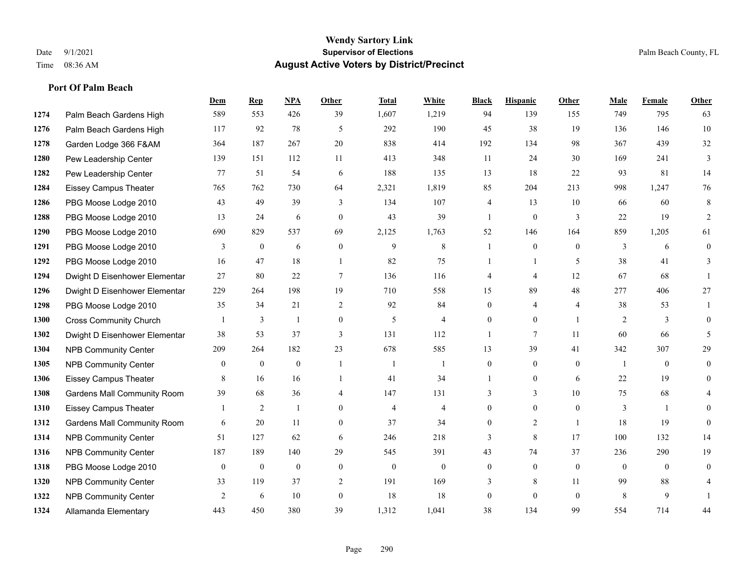|      |                                    | Dem              | <b>Rep</b>       | NPA              | <b>Other</b>     | <b>Total</b>     | <b>White</b>     | <b>Black</b>     | <b>Hispanic</b>  | Other          | <b>Male</b>      | <b>Female</b>  | <b>Other</b> |
|------|------------------------------------|------------------|------------------|------------------|------------------|------------------|------------------|------------------|------------------|----------------|------------------|----------------|--------------|
| 1274 | Palm Beach Gardens High            | 589              | 553              | 426              | 39               | 1,607            | 1,219            | 94               | 139              | 155            | 749              | 795            | 63           |
| 1276 | Palm Beach Gardens High            | 117              | 92               | 78               | 5                | 292              | 190              | 45               | 38               | 19             | 136              | 146            | 10           |
| 1278 | Garden Lodge 366 F&AM              | 364              | 187              | 267              | 20               | 838              | 414              | 192              | 134              | 98             | 367              | 439            | 32           |
| 1280 | Pew Leadership Center              | 139              | 151              | 112              | 11               | 413              | 348              | 11               | 24               | 30             | 169              | 241            | 3            |
| 1282 | Pew Leadership Center              | 77               | 51               | 54               | 6                | 188              | 135              | 13               | 18               | 22             | 93               | 81             | 14           |
| 1284 | Eissey Campus Theater              | 765              | 762              | 730              | 64               | 2,321            | 1,819            | 85               | 204              | 213            | 998              | 1,247          | 76           |
| 1286 | PBG Moose Lodge 2010               | 43               | 49               | 39               | 3                | 134              | 107              | 4                | 13               | 10             | 66               | 60             | $\,8\,$      |
| 1288 | PBG Moose Lodge 2010               | 13               | 24               | 6                | $\theta$         | 43               | 39               | $\mathbf{1}$     | $\mathbf{0}$     | 3              | 22               | 19             | 2            |
| 1290 | PBG Moose Lodge 2010               | 690              | 829              | 537              | 69               | 2,125            | 1,763            | 52               | 146              | 164            | 859              | 1,205          | 61           |
| 1291 | PBG Moose Lodge 2010               | 3                | $\mathbf{0}$     | 6                | $\mathbf{0}$     | 9                | 8                | 1                | $\overline{0}$   | $\theta$       | 3                | 6              | $\mathbf{0}$ |
| 1292 | PBG Moose Lodge 2010               | 16               | 47               | 18               | $\overline{1}$   | 82               | 75               | 1                | $\mathbf{1}$     | 5              | 38               | 41             | 3            |
| 1294 | Dwight D Eisenhower Elementar      | 27               | 80               | 22               | $\tau$           | 136              | 116              | 4                | 4                | 12             | 67               | 68             |              |
| 1296 | Dwight D Eisenhower Elementar      | 229              | 264              | 198              | 19               | 710              | 558              | 15               | 89               | 48             | 277              | 406            | 27           |
| 1298 | PBG Moose Lodge 2010               | 35               | 34               | 21               | $\sqrt{2}$       | 92               | 84               | $\boldsymbol{0}$ | 4                | $\overline{4}$ | 38               | 53             |              |
| 1300 | <b>Cross Community Church</b>      |                  | 3                | $\mathbf{1}$     | $\boldsymbol{0}$ | 5                | $\overline{4}$   | $\overline{0}$   | $\overline{0}$   | $\overline{1}$ | 2                | 3              | $\mathbf{0}$ |
| 1302 | Dwight D Eisenhower Elementar      | 38               | 53               | 37               | 3                | 131              | 112              | 1                | 7                | 11             | 60               | 66             | 5            |
| 1304 | <b>NPB Community Center</b>        | 209              | 264              | 182              | 23               | 678              | 585              | 13               | 39               | 41             | 342              | 307            | 29           |
| 1305 | <b>NPB Community Center</b>        | $\overline{0}$   | $\boldsymbol{0}$ | $\boldsymbol{0}$ |                  | $\overline{1}$   |                  | 0                | 0                | $\theta$       | $\overline{1}$   | $\theta$       | 0            |
| 1306 | <b>Eissey Campus Theater</b>       | 8                | 16               | 16               | $\overline{1}$   | 41               | 34               | 1                | 0                | 6              | 22               | 19             | $\theta$     |
| 1308 | <b>Gardens Mall Community Room</b> | 39               | 68               | 36               | $\overline{4}$   | 147              | 131              | 3                | $\overline{3}$   | 10             | 75               | 68             |              |
| 1310 | <b>Eissey Campus Theater</b>       |                  | $\overline{2}$   | $\mathbf{1}$     | $\Omega$         | $\overline{4}$   | $\overline{4}$   | $\overline{0}$   | $\theta$         | $\Omega$       | 3                | $\overline{1}$ | $\Omega$     |
| 1312 | <b>Gardens Mall Community Room</b> | 6                | 20               | 11               | $\mathbf{0}$     | 37               | 34               | $\overline{0}$   | $\overline{c}$   | $\overline{1}$ | 18               | 19             | $\theta$     |
| 1314 | <b>NPB Community Center</b>        | 51               | 127              | 62               | 6                | 246              | 218              | 3                | 8                | 17             | 100              | 132            | 14           |
| 1316 | <b>NPB Community Center</b>        | 187              | 189              | 140              | 29               | 545              | 391              | 43               | 74               | 37             | 236              | 290            | 19           |
| 1318 | PBG Moose Lodge 2010               | $\boldsymbol{0}$ | $\boldsymbol{0}$ | $\boldsymbol{0}$ | $\boldsymbol{0}$ | $\boldsymbol{0}$ | $\boldsymbol{0}$ | $\boldsymbol{0}$ | $\boldsymbol{0}$ | $\mathbf{0}$   | $\boldsymbol{0}$ | $\mathbf{0}$   | $\mathbf{0}$ |
| 1320 | <b>NPB Community Center</b>        | 33               | 119              | 37               | 2                | 191              | 169              | 3                | 8                | 11             | 99               | 88             |              |
| 1322 | <b>NPB Community Center</b>        | 2                | 6                | 10               | $\mathbf{0}$     | 18               | 18               | $\overline{0}$   | $\theta$         | $\theta$       | 8                | 9              |              |
| 1324 | Allamanda Elementary               | 443              | 450              | 380              | 39               | 1,312            | 1,041            | 38               | 134              | 99             | 554              | 714            | 44           |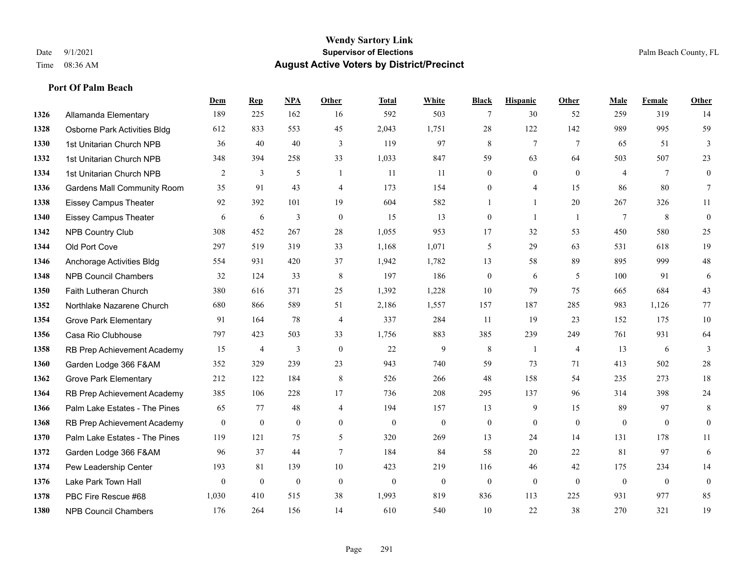**Port Of Palm Beach**

#### **Wendy Sartory Link** Date 9/1/2021 **Supervisor of Elections** Palm Beach County, FL Time 08:36 AM **August Active Voters by District/Precinct**

## **Dem Rep NPA Other Total White Black Hispanic Other Male Female Other** Allamanda Elementary 189 225 162 16 592 503 7 30 52 259 319 14 Osborne Park Activities Bldg 612 833 553 45 2,043 1,751 28 122 142 989 995 59 1st Unitarian Church NPB 36 40 40 3 119 97 8 7 7 65 51 3 1st Unitarian Church NPB 348 394 258 33 1,033 847 59 63 64 503 507 23 1st Unitarian Church NPB 2 3 5 1 11 11 0 0 0 4 7 0 Gardens Mall Community Room 35 91 43 4 173 154 0 4 15 86 80 7 Eissey Campus Theater 92 392 101 19 604 582 1 1 20 267 326 11 Eissey Campus Theater 6 6 6 3 0 15 13 0 1 1 7 8 0 NPB Country Club 308 452 267 28 1,055 953 17 32 53 450 580 25 Old Port Cove 297 519 319 33 1,168 1,071 5 29 63 531 618 19 Anchorage Activities Bldg 554 931 420 37 1,942 1,782 13 58 89 895 999 48 NPB Council Chambers 32 124 33 8 197 186 0 6 5 100 91 6 Faith Lutheran Church 380 616 371 25 1,392 1,228 10 79 75 665 684 43 Northlake Nazarene Church 680 866 589 51 2,186 1,557 157 187 285 983 1,126 77 **1354 Grove Park Elementary 01 164 78 4 337 284 11 19 23 152 175 10**  Casa Rio Clubhouse 797 423 503 33 1,756 883 385 239 249 761 931 64 RB Prep Achievement Academy 15 4 3 0 22 9 8 1 4 13 6 3 Garden Lodge 366 F&AM 352 329 239 23 943 740 59 73 71 413 502 28 Grove Park Elementary 212 122 184 8 526 266 48 158 54 235 273 18 RB Prep Achievement Academy 385 106 228 17 736 208 295 137 96 314 398 24 Palm Lake Estates - The Pines 65 77 48 4 194 157 13 9 15 89 97 8 RB Prep Achievement Academy 0 0 0 0 0 0 0 0 0 0 0 0 Palm Lake Estates - The Pines 119 121 75 5 320 269 13 24 14 131 178 11 Garden Lodge 366 F&AM 96 37 44 7 184 84 58 20 22 81 97 6 Pew Leadership Center 193 81 139 10 423 219 116 46 42 175 234 14 Lake Park Town Hall 0 0 0 0 0 0 0 0 0 0 0 0 PBC Fire Rescue #68 1,030 410 515 38 1,993 819 836 113 225 931 977 85 NPB Council Chambers 176 264 156 14 610 540 10 22 38 270 321 19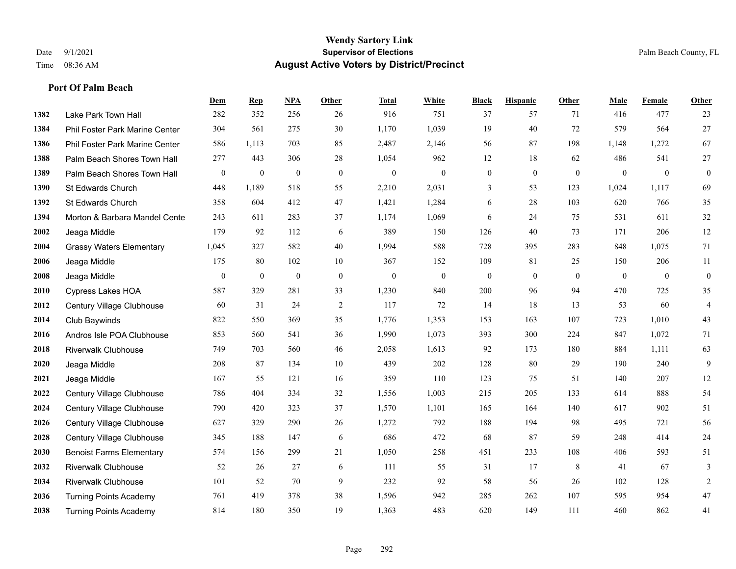|      |                                 | Dem      | <b>Rep</b>       | NPA              | <b>Other</b> | <b>Total</b>     | <b>White</b>     | <b>Black</b>     | <b>Hispanic</b>  | <b>Other</b>   | <b>Male</b>    | Female         | <b>Other</b>     |
|------|---------------------------------|----------|------------------|------------------|--------------|------------------|------------------|------------------|------------------|----------------|----------------|----------------|------------------|
| 1382 | Lake Park Town Hall             | 282      | 352              | 256              | 26           | 916              | 751              | 37               | 57               | 71             | 416            | 477            | 23               |
| 1384 | Phil Foster Park Marine Center  | 304      | 561              | 275              | 30           | 1,170            | 1,039            | 19               | 40               | 72             | 579            | 564            | $27\,$           |
| 1386 | Phil Foster Park Marine Center  | 586      | 1,113            | 703              | 85           | 2,487            | 2,146            | 56               | 87               | 198            | 1,148          | 1,272          | 67               |
| 1388 | Palm Beach Shores Town Hall     | 277      | 443              | 306              | 28           | 1,054            | 962              | 12               | 18               | 62             | 486            | 541            | $27\,$           |
| 1389 | Palm Beach Shores Town Hall     | $\bf{0}$ | $\boldsymbol{0}$ | $\boldsymbol{0}$ | $\mathbf{0}$ | $\boldsymbol{0}$ | $\boldsymbol{0}$ | $\boldsymbol{0}$ | $\mathbf{0}$     | $\mathbf{0}$   | $\mathbf{0}$   | $\mathbf{0}$   | $\boldsymbol{0}$ |
| 1390 | St Edwards Church               | 448      | 1,189            | 518              | 55           | 2,210            | 2,031            | 3                | 53               | 123            | 1,024          | 1,117          | 69               |
| 1392 | St Edwards Church               | 358      | 604              | 412              | 47           | 1,421            | 1,284            | 6                | 28               | 103            | 620            | 766            | 35               |
| 1394 | Morton & Barbara Mandel Cente   | 243      | 611              | 283              | 37           | 1,174            | 1,069            | 6                | 24               | 75             | 531            | 611            | $32\,$           |
| 2002 | Jeaga Middle                    | 179      | 92               | 112              | 6            | 389              | 150              | 126              | 40               | 73             | 171            | 206            | 12               |
| 2004 | <b>Grassy Waters Elementary</b> | 1,045    | 327              | 582              | 40           | 1,994            | 588              | 728              | 395              | 283            | 848            | 1,075          | 71               |
| 2006 | Jeaga Middle                    | 175      | 80               | 102              | 10           | 367              | 152              | 109              | 81               | 25             | 150            | 206            | 11               |
| 2008 | Jeaga Middle                    | $\bf{0}$ | $\bf{0}$         | $\mathbf{0}$     | $\mathbf{0}$ | $\boldsymbol{0}$ | $\boldsymbol{0}$ | $\boldsymbol{0}$ | $\boldsymbol{0}$ | $\overline{0}$ | $\overline{0}$ | $\overline{0}$ | $\boldsymbol{0}$ |
| 2010 | <b>Cypress Lakes HOA</b>        | 587      | 329              | 281              | 33           | 1,230            | 840              | 200              | 96               | 94             | 470            | 725            | 35               |
| 2012 | Century Village Clubhouse       | 60       | 31               | 24               | $\sqrt{2}$   | 117              | 72               | 14               | 18               | 13             | 53             | 60             | $\overline{4}$   |
| 2014 | Club Baywinds                   | 822      | 550              | 369              | 35           | 1,776            | 1,353            | 153              | 163              | 107            | 723            | 1,010          | $43\,$           |
| 2016 | Andros Isle POA Clubhouse       | 853      | 560              | 541              | 36           | 1,990            | 1,073            | 393              | 300              | 224            | 847            | 1,072          | 71               |
| 2018 | <b>Riverwalk Clubhouse</b>      | 749      | 703              | 560              | 46           | 2,058            | 1,613            | 92               | 173              | 180            | 884            | 1,111          | 63               |
| 2020 | Jeaga Middle                    | 208      | 87               | 134              | 10           | 439              | 202              | 128              | 80               | 29             | 190            | 240            | 9                |
| 2021 | Jeaga Middle                    | 167      | 55               | 121              | 16           | 359              | 110              | 123              | 75               | 51             | 140            | 207            | 12               |
| 2022 | Century Village Clubhouse       | 786      | 404              | 334              | 32           | 1,556            | 1,003            | 215              | 205              | 133            | 614            | 888            | 54               |
| 2024 | Century Village Clubhouse       | 790      | 420              | 323              | 37           | 1,570            | 1,101            | 165              | 164              | 140            | 617            | 902            | 51               |
| 2026 | Century Village Clubhouse       | 627      | 329              | 290              | 26           | 1,272            | 792              | 188              | 194              | 98             | 495            | 721            | 56               |
| 2028 | Century Village Clubhouse       | 345      | 188              | 147              | 6            | 686              | 472              | 68               | 87               | 59             | 248            | 414            | $24\,$           |
| 2030 | <b>Benoist Farms Elementary</b> | 574      | 156              | 299              | 21           | 1,050            | 258              | 451              | 233              | 108            | 406            | 593            | 51               |
| 2032 | <b>Riverwalk Clubhouse</b>      | 52       | 26               | 27               | 6            | 111              | 55               | 31               | 17               | 8              | 41             | 67             | 3                |
| 2034 | Riverwalk Clubhouse             | 101      | 52               | 70               | 9            | 232              | 92               | 58               | 56               | 26             | 102            | 128            | $\boldsymbol{2}$ |
| 2036 | <b>Turning Points Academy</b>   | 761      | 419              | 378              | 38           | 1,596            | 942              | 285              | 262              | 107            | 595            | 954            | $47\,$           |
| 2038 | <b>Turning Points Academy</b>   | 814      | 180              | 350              | 19           | 1,363            | 483              | 620              | 149              | 111            | 460            | 862            | 41               |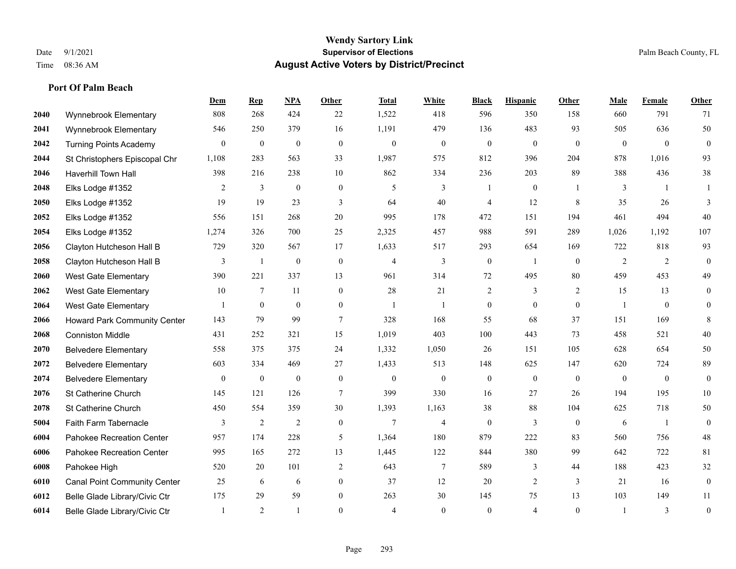|      |                                     | Dem              | <b>Rep</b>       | NPA              | <b>Other</b>     | <b>Total</b>     | <b>White</b>     | <b>Black</b>     | <b>Hispanic</b>  | <b>Other</b>   | <b>Male</b>      | Female         | <b>Other</b>     |
|------|-------------------------------------|------------------|------------------|------------------|------------------|------------------|------------------|------------------|------------------|----------------|------------------|----------------|------------------|
| 2040 | Wynnebrook Elementary               | 808              | 268              | 424              | 22               | 1,522            | 418              | 596              | 350              | 158            | 660              | 791            | 71               |
| 2041 | Wynnebrook Elementary               | 546              | 250              | 379              | 16               | 1,191            | 479              | 136              | 483              | 93             | 505              | 636            | 50               |
| 2042 | <b>Turning Points Academy</b>       | $\overline{0}$   | $\boldsymbol{0}$ | $\boldsymbol{0}$ | $\mathbf{0}$     | $\mathbf{0}$     | $\boldsymbol{0}$ | $\boldsymbol{0}$ | $\boldsymbol{0}$ | $\overline{0}$ | $\overline{0}$   | $\overline{0}$ | $\boldsymbol{0}$ |
| 2044 | St Christophers Episcopal Chr       | 1,108            | 283              | 563              | 33               | 1,987            | 575              | 812              | 396              | 204            | 878              | 1,016          | 93               |
| 2046 | Haverhill Town Hall                 | 398              | 216              | 238              | 10               | 862              | 334              | 236              | 203              | 89             | 388              | 436            | $38\,$           |
| 2048 | Elks Lodge #1352                    | 2                | 3                | $\mathbf{0}$     | $\mathbf{0}$     | 5                | 3                | 1                | $\boldsymbol{0}$ |                | 3                | -1             |                  |
| 2050 | Elks Lodge #1352                    | 19               | 19               | 23               | 3                | 64               | 40               | $\overline{4}$   | 12               | 8              | 35               | 26             | 3                |
| 2052 | Elks Lodge #1352                    | 556              | 151              | 268              | 20               | 995              | 178              | 472              | 151              | 194            | 461              | 494            | 40               |
| 2054 | Elks Lodge #1352                    | 1,274            | 326              | 700              | 25               | 2,325            | 457              | 988              | 591              | 289            | 1,026            | 1,192          | 107              |
| 2056 | Clayton Hutcheson Hall B            | 729              | 320              | 567              | 17               | 1,633            | 517              | 293              | 654              | 169            | 722              | 818            | 93               |
| 2058 | Clayton Hutcheson Hall B            | 3                | 1                | $\boldsymbol{0}$ | $\mathbf{0}$     | 4                | 3                | $\boldsymbol{0}$ | -1               | $\overline{0}$ | 2                | 2              | $\boldsymbol{0}$ |
| 2060 | West Gate Elementary                | 390              | 221              | 337              | 13               | 961              | 314              | 72               | 495              | 80             | 459              | 453            | 49               |
| 2062 | <b>West Gate Elementary</b>         | 10               | 7                | 11               | $\overline{0}$   | 28               | 21               | $\sqrt{2}$       | 3                | 2              | 15               | 13             | $\boldsymbol{0}$ |
| 2064 | West Gate Elementary                |                  | $\mathbf{0}$     | $\mathbf{0}$     | $\overline{0}$   | $\overline{1}$   | $\overline{1}$   | $\boldsymbol{0}$ | $\mathbf{0}$     | $\mathbf{0}$   |                  | $\mathbf{0}$   | $\mathbf{0}$     |
| 2066 | Howard Park Community Center        | 143              | 79               | 99               | $\tau$           | 328              | 168              | 55               | 68               | 37             | 151              | 169            | 8                |
| 2068 | <b>Conniston Middle</b>             | 431              | 252              | 321              | 15               | 1,019            | 403              | 100              | 443              | 73             | 458              | 521            | 40               |
| 2070 | <b>Belvedere Elementary</b>         | 558              | 375              | 375              | 24               | 1,332            | 1,050            | 26               | 151              | 105            | 628              | 654            | 50               |
| 2072 | <b>Belvedere Elementary</b>         | 603              | 334              | 469              | 27               | 1,433            | 513              | 148              | 625              | 147            | 620              | 724            | 89               |
| 2074 | <b>Belvedere Elementary</b>         | $\boldsymbol{0}$ | $\boldsymbol{0}$ | $\boldsymbol{0}$ | $\boldsymbol{0}$ | $\boldsymbol{0}$ | $\boldsymbol{0}$ | $\boldsymbol{0}$ | $\boldsymbol{0}$ | $\overline{0}$ | $\boldsymbol{0}$ | $\mathbf{0}$   | $\mathbf{0}$     |
| 2076 | St Catherine Church                 | 145              | 121              | 126              | $\tau$           | 399              | 330              | 16               | 27               | 26             | 194              | 195            | $10\,$           |
| 2078 | St Catherine Church                 | 450              | 554              | 359              | 30               | 1,393            | 1,163            | 38               | 88               | 104            | 625              | 718            | 50               |
| 5004 | Faith Farm Tabernacle               | 3                | $\overline{2}$   | $\overline{2}$   | $\overline{0}$   | 7                | $\overline{4}$   | $\mathbf{0}$     | 3                | $\theta$       | 6                | $\mathbf{1}$   | $\mathbf{0}$     |
| 6004 | Pahokee Recreation Center           | 957              | 174              | 228              | 5                | 1,364            | 180              | 879              | 222              | 83             | 560              | 756            | $48\,$           |
| 6006 | Pahokee Recreation Center           | 995              | 165              | 272              | 13               | 1,445            | 122              | 844              | 380              | 99             | 642              | 722            | 81               |
| 6008 | Pahokee High                        | 520              | 20               | 101              | 2                | 643              | $\tau$           | 589              | 3                | 44             | 188              | 423            | 32               |
| 6010 | <b>Canal Point Community Center</b> | 25               | 6                | 6                | $\overline{0}$   | 37               | 12               | 20               | $\mathfrak{2}$   | 3              | 21               | 16             | $\boldsymbol{0}$ |
| 6012 | Belle Glade Library/Civic Ctr       | 175              | 29               | 59               | $\overline{0}$   | 263              | 30               | 145              | 75               | 13             | 103              | 149            | 11               |
| 6014 | Belle Glade Library/Civic Ctr       |                  | 2                |                  | $\Omega$         | $\overline{4}$   | $\Omega$         | $\mathbf{0}$     | $\overline{4}$   | $\mathbf{0}$   |                  | 3              | $\boldsymbol{0}$ |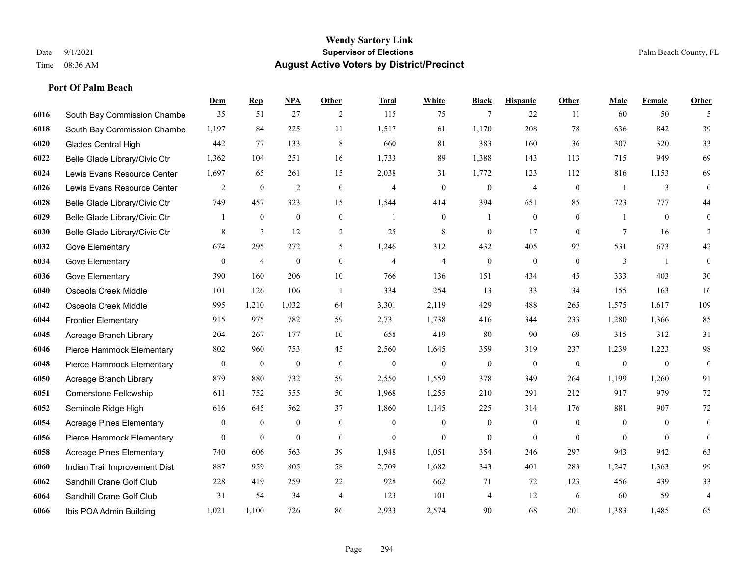|      |                                 | Dem              | <b>Rep</b>       | NPA              | <b>Other</b>   | <b>Total</b>   | <b>White</b>   | <b>Black</b>     | <b>Hispanic</b>  | <b>Other</b>   | <b>Male</b>    | <b>Female</b>  | <b>Other</b>     |
|------|---------------------------------|------------------|------------------|------------------|----------------|----------------|----------------|------------------|------------------|----------------|----------------|----------------|------------------|
| 6016 | South Bay Commission Chambe     | 35               | 51               | 27               | 2              | 115            | 75             | $\overline{7}$   | 22               | 11             | 60             | 50             | 5                |
| 6018 | South Bay Commission Chambe     | 1,197            | 84               | 225              | 11             | 1,517          | 61             | 1,170            | 208              | 78             | 636            | 842            | 39               |
| 6020 | <b>Glades Central High</b>      | 442              | 77               | 133              | 8              | 660            | 81             | 383              | 160              | 36             | 307            | 320            | 33               |
| 6022 | Belle Glade Library/Civic Ctr   | 1,362            | 104              | 251              | 16             | 1,733          | 89             | 1,388            | 143              | 113            | 715            | 949            | 69               |
| 6024 | Lewis Evans Resource Center     | 1,697            | 65               | 261              | 15             | 2,038          | 31             | 1,772            | 123              | 112            | 816            | 1,153          | 69               |
| 6026 | Lewis Evans Resource Center     | 2                | $\boldsymbol{0}$ | $\overline{2}$   | $\mathbf{0}$   | 4              | $\overline{0}$ | $\boldsymbol{0}$ | 4                | $\mathbf{0}$   | $\overline{1}$ | 3              | $\mathbf{0}$     |
| 6028 | Belle Glade Library/Civic Ctr   | 749              | 457              | 323              | 15             | 1,544          | 414            | 394              | 651              | 85             | 723            | 777            | 44               |
| 6029 | Belle Glade Library/Civic Ctr   | 1                | $\boldsymbol{0}$ | $\mathbf{0}$     | $\mathbf{0}$   | $\mathbf{1}$   | $\overline{0}$ | 1                | $\mathbf{0}$     | $\theta$       | 1              | $\theta$       | $\boldsymbol{0}$ |
| 6030 | Belle Glade Library/Civic Ctr   | 8                | $\mathfrak{Z}$   | 12               | $\overline{c}$ | 25             | $\,$ 8 $\,$    | $\boldsymbol{0}$ | 17               | $\mathbf{0}$   | 7              | 16             | 2                |
| 6032 | Gove Elementary                 | 674              | 295              | 272              | 5              | 1,246          | 312            | 432              | 405              | 97             | 531            | 673            | $42\,$           |
| 6034 | Gove Elementary                 | $\mathbf{0}$     | $\overline{4}$   | $\mathbf{0}$     | $\Omega$       | $\overline{4}$ | $\overline{4}$ | $\mathbf{0}$     | $\mathbf{0}$     | $\theta$       | 3              | $\overline{1}$ | $\mathbf{0}$     |
| 6036 | Gove Elementary                 | 390              | 160              | 206              | $10\,$         | 766            | 136            | 151              | 434              | 45             | 333            | 403            | $30\,$           |
| 6040 | Osceola Creek Middle            | 101              | 126              | 106              | -1             | 334            | 254            | 13               | 33               | 34             | 155            | 163            | 16               |
| 6042 | Osceola Creek Middle            | 995              | 1,210            | 1,032            | 64             | 3,301          | 2,119          | 429              | 488              | 265            | 1,575          | 1,617          | 109              |
| 6044 | <b>Frontier Elementary</b>      | 915              | 975              | 782              | 59             | 2,731          | 1,738          | 416              | 344              | 233            | 1,280          | 1,366          | 85               |
| 6045 | Acreage Branch Library          | 204              | 267              | 177              | 10             | 658            | 419            | 80               | 90               | 69             | 315            | 312            | 31               |
| 6046 | Pierce Hammock Elementary       | 802              | 960              | 753              | 45             | 2,560          | 1,645          | 359              | 319              | 237            | 1,239          | 1,223          | 98               |
| 6048 | Pierce Hammock Elementary       | $\boldsymbol{0}$ | $\boldsymbol{0}$ | $\boldsymbol{0}$ | $\theta$       | $\mathbf{0}$   | $\mathbf{0}$   | $\mathbf{0}$     | $\mathbf{0}$     | $\mathbf{0}$   | $\mathbf{0}$   | $\mathbf{0}$   | $\boldsymbol{0}$ |
| 6050 | Acreage Branch Library          | 879              | 880              | 732              | 59             | 2,550          | 1,559          | 378              | 349              | 264            | 1,199          | 1,260          | 91               |
| 6051 | Cornerstone Fellowship          | 611              | 752              | 555              | 50             | 1,968          | 1,255          | 210              | 291              | 212            | 917            | 979            | $72\,$           |
| 6052 | Seminole Ridge High             | 616              | 645              | 562              | 37             | 1,860          | 1,145          | 225              | 314              | 176            | 881            | 907            | 72               |
| 6054 | <b>Acreage Pines Elementary</b> | $\boldsymbol{0}$ | $\boldsymbol{0}$ | $\boldsymbol{0}$ | $\mathbf{0}$   | $\mathbf{0}$   | $\mathbf{0}$   | $\boldsymbol{0}$ | $\boldsymbol{0}$ | $\overline{0}$ | $\overline{0}$ | $\overline{0}$ | $\mathbf{0}$     |
| 6056 | Pierce Hammock Elementary       | $\overline{0}$   | $\mathbf{0}$     | $\mathbf{0}$     | $\mathbf{0}$   | $\theta$       | $\overline{0}$ | $\mathbf{0}$     | $\mathbf{0}$     | $\theta$       | $\theta$       | $\theta$       | $\boldsymbol{0}$ |
| 6058 | <b>Acreage Pines Elementary</b> | 740              | 606              | 563              | 39             | 1,948          | 1,051          | 354              | 246              | 297            | 943            | 942            | 63               |
| 6060 | Indian Trail Improvement Dist   | 887              | 959              | 805              | 58             | 2,709          | 1,682          | 343              | 401              | 283            | 1,247          | 1,363          | 99               |
| 6062 | Sandhill Crane Golf Club        | 228              | 419              | 259              | 22             | 928            | 662            | 71               | 72               | 123            | 456            | 439            | 33               |
| 6064 | Sandhill Crane Golf Club        | 31               | 54               | 34               | $\overline{4}$ | 123            | 101            | 4                | 12               | 6              | 60             | 59             | 4                |
| 6066 | Ibis POA Admin Building         | 1,021            | 1.100            | 726              | 86             | 2,933          | 2,574          | 90               | 68               | 201            | 1,383          | 1.485          | 65               |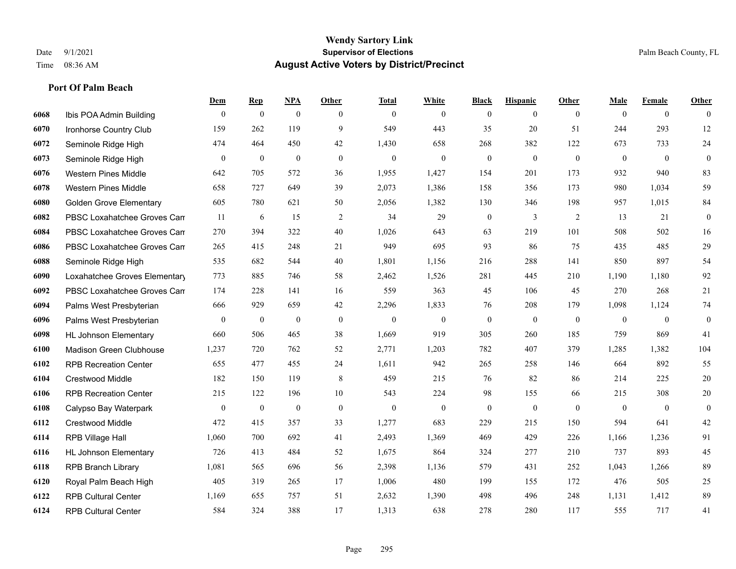|      |                                | Dem              | <b>Rep</b>       | NPA              | <b>Other</b> | <b>Total</b> | <b>White</b>     | <b>Black</b>     | <b>Hispanic</b>  | <b>Other</b>   | <b>Male</b>    | <b>Female</b>  | <b>Other</b>     |
|------|--------------------------------|------------------|------------------|------------------|--------------|--------------|------------------|------------------|------------------|----------------|----------------|----------------|------------------|
| 6068 | Ibis POA Admin Building        | $\mathbf{0}$     | $\mathbf{0}$     | $\boldsymbol{0}$ | $\theta$     | $\mathbf{0}$ | $\overline{0}$   | $\overline{0}$   | $\overline{0}$   | $\overline{0}$ | $\theta$       | $\overline{0}$ | $\Omega$         |
| 6070 | Ironhorse Country Club         | 159              | 262              | 119              | 9            | 549          | 443              | 35               | 20               | 51             | 244            | 293            | $12\,$           |
| 6072 | Seminole Ridge High            | 474              | 464              | 450              | 42           | 1,430        | 658              | 268              | 382              | 122            | 673            | 733            | 24               |
| 6073 | Seminole Ridge High            | $\boldsymbol{0}$ | $\boldsymbol{0}$ | $\boldsymbol{0}$ | $\mathbf{0}$ | $\mathbf{0}$ | $\mathbf{0}$     | $\boldsymbol{0}$ | $\overline{0}$   | $\mathbf{0}$   | $\mathbf{0}$   | $\mathbf{0}$   | $\mathbf{0}$     |
| 6076 | <b>Western Pines Middle</b>    | 642              | 705              | 572              | 36           | 1,955        | 1,427            | 154              | 201              | 173            | 932            | 940            | 83               |
| 6078 | <b>Western Pines Middle</b>    | 658              | 727              | 649              | 39           | 2,073        | 1,386            | 158              | 356              | 173            | 980            | 1,034          | 59               |
| 6080 | <b>Golden Grove Elementary</b> | 605              | 780              | 621              | 50           | 2,056        | 1,382            | 130              | 346              | 198            | 957            | 1,015          | 84               |
| 6082 | PBSC Loxahatchee Groves Can    | 11               | 6                | 15               | 2            | 34           | 29               | $\overline{0}$   | 3                | 2              | 13             | 21             | $\overline{0}$   |
| 6084 | PBSC Loxahatchee Groves Can    | 270              | 394              | 322              | 40           | 1,026        | 643              | 63               | 219              | 101            | 508            | 502            | 16               |
| 6086 | PBSC Loxahatchee Groves Can    | 265              | 415              | 248              | 21           | 949          | 695              | 93               | 86               | 75             | 435            | 485            | 29               |
| 6088 | Seminole Ridge High            | 535              | 682              | 544              | 40           | 1,801        | 1,156            | 216              | 288              | 141            | 850            | 897            | 54               |
| 6090 | Loxahatchee Groves Elementary  | 773              | 885              | 746              | 58           | 2,462        | 1,526            | 281              | 445              | 210            | 1,190          | 1,180          | 92               |
| 6092 | PBSC Loxahatchee Groves Can    | 174              | 228              | 141              | 16           | 559          | 363              | 45               | 106              | 45             | 270            | 268            | $21\,$           |
| 6094 | Palms West Presbyterian        | 666              | 929              | 659              | $42\,$       | 2,296        | 1,833            | 76               | 208              | 179            | 1,098          | 1,124          | 74               |
| 6096 | Palms West Presbyterian        | $\overline{0}$   | $\boldsymbol{0}$ | $\theta$         | $\mathbf{0}$ | $\mathbf{0}$ | $\boldsymbol{0}$ | $\overline{0}$   | $\boldsymbol{0}$ | $\mathbf{0}$   | $\overline{0}$ | $\overline{0}$ | $\boldsymbol{0}$ |
| 6098 | <b>HL Johnson Elementary</b>   | 660              | 506              | 465              | 38           | 1,669        | 919              | 305              | 260              | 185            | 759            | 869            | 41               |
| 6100 | Madison Green Clubhouse        | 1,237            | 720              | 762              | 52           | 2,771        | 1,203            | 782              | 407              | 379            | 1,285          | 1,382          | 104              |
| 6102 | <b>RPB Recreation Center</b>   | 655              | 477              | 455              | 24           | 1,611        | 942              | 265              | 258              | 146            | 664            | 892            | 55               |
| 6104 | <b>Crestwood Middle</b>        | 182              | 150              | 119              | 8            | 459          | 215              | 76               | 82               | 86             | 214            | 225            | $20\,$           |
| 6106 | <b>RPB Recreation Center</b>   | 215              | 122              | 196              | 10           | 543          | 224              | 98               | 155              | 66             | 215            | 308            | $20\,$           |
| 6108 | Calypso Bay Waterpark          | $\overline{0}$   | $\boldsymbol{0}$ | $\theta$         | $\mathbf{0}$ | $\mathbf{0}$ | $\mathbf{0}$     | $\overline{0}$   | $\overline{0}$   | $\theta$       | $\theta$       | $\overline{0}$ | $\overline{0}$   |
| 6112 | <b>Crestwood Middle</b>        | 472              | 415              | 357              | 33           | 1,277        | 683              | 229              | 215              | 150            | 594            | 641            | 42               |
| 6114 | RPB Village Hall               | 1,060            | 700              | 692              | 41           | 2,493        | 1,369            | 469              | 429              | 226            | 1,166          | 1,236          | 91               |
| 6116 | <b>HL Johnson Elementary</b>   | 726              | 413              | 484              | 52           | 1,675        | 864              | 324              | 277              | 210            | 737            | 893            | 45               |
| 6118 | <b>RPB Branch Library</b>      | 1,081            | 565              | 696              | 56           | 2,398        | 1,136            | 579              | 431              | 252            | 1,043          | 1,266          | 89               |
| 6120 | Royal Palm Beach High          | 405              | 319              | 265              | 17           | 1,006        | 480              | 199              | 155              | 172            | 476            | 505            | 25               |
| 6122 | <b>RPB Cultural Center</b>     | 1,169            | 655              | 757              | 51           | 2,632        | 1,390            | 498              | 496              | 248            | 1,131          | 1,412          | 89               |
| 6124 | <b>RPB Cultural Center</b>     | 584              | 324              | 388              | 17           | 1,313        | 638              | 278              | 280              | 117            | 555            | 717            | 41               |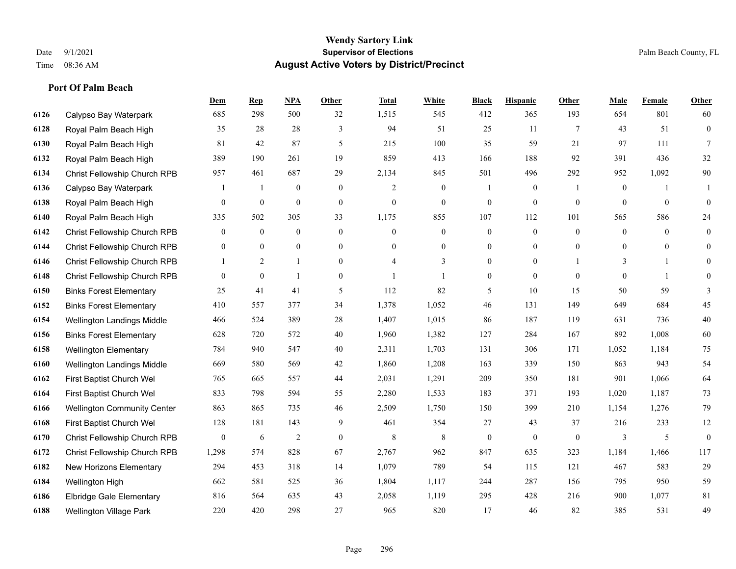|      |                                    | Dem            | <b>Rep</b>       | NPA              | <b>Other</b>   | <b>Total</b>   | <b>White</b>     | <b>Black</b>     | <b>Hispanic</b>  | <b>Other</b>    | <b>Male</b>      | <b>Female</b> | <b>Other</b>     |
|------|------------------------------------|----------------|------------------|------------------|----------------|----------------|------------------|------------------|------------------|-----------------|------------------|---------------|------------------|
| 6126 | Calypso Bay Waterpark              | 685            | 298              | 500              | 32             | 1,515          | 545              | 412              | 365              | 193             | 654              | 801           | 60               |
| 6128 | Royal Palm Beach High              | 35             | 28               | 28               | 3              | 94             | 51               | 25               | 11               | $7\phantom{.0}$ | 43               | 51            | $\mathbf{0}$     |
| 6130 | Royal Palm Beach High              | 81             | 42               | 87               | 5              | 215            | 100              | 35               | 59               | 21              | 97               | 111           | $\tau$           |
| 6132 | Royal Palm Beach High              | 389            | 190              | 261              | 19             | 859            | 413              | 166              | 188              | 92              | 391              | 436           | 32               |
| 6134 | Christ Fellowship Church RPB       | 957            | 461              | 687              | 29             | 2,134          | 845              | 501              | 496              | 292             | 952              | 1,092         | $90\,$           |
| 6136 | Calypso Bay Waterpark              |                | -1               | $\boldsymbol{0}$ | $\overline{0}$ | 2              | $\boldsymbol{0}$ | 1                | $\boldsymbol{0}$ | -1              | $\boldsymbol{0}$ |               |                  |
| 6138 | Royal Palm Beach High              | $\mathbf{0}$   | $\mathbf{0}$     | $\mathbf{0}$     | $\mathbf{0}$   | $\mathbf{0}$   | $\overline{0}$   | $\boldsymbol{0}$ | $\mathbf{0}$     | $\theta$        | $\theta$         | $\mathbf{0}$  | $\mathbf{0}$     |
| 6140 | Royal Palm Beach High              | 335            | 502              | 305              | 33             | 1,175          | 855              | 107              | 112              | 101             | 565              | 586           | 24               |
| 6142 | Christ Fellowship Church RPB       | $\overline{0}$ | $\boldsymbol{0}$ | $\boldsymbol{0}$ | $\overline{0}$ | $\mathbf{0}$   | $\boldsymbol{0}$ | $\boldsymbol{0}$ | $\mathbf{0}$     | $\mathbf{0}$    | $\mathbf{0}$     | $\theta$      | $\boldsymbol{0}$ |
| 6144 | Christ Fellowship Church RPB       | $\overline{0}$ | $\overline{0}$   | $\mathbf{0}$     | $\overline{0}$ | $\theta$       | $\overline{0}$   | $\mathbf{0}$     | $\mathbf{0}$     | $\theta$        | $\Omega$         | $\theta$      | $\mathbf{0}$     |
| 6146 | Christ Fellowship Church RPB       | 1              | 2                | $\mathbf{1}$     | $\overline{0}$ | $\overline{4}$ | 3                | $\boldsymbol{0}$ | $\mathbf{0}$     |                 | 3                | -1            | $\mathbf{0}$     |
| 6148 | Christ Fellowship Church RPB       | $\overline{0}$ | $\mathbf{0}$     | $\mathbf{1}$     | $\overline{0}$ |                | $\mathbf{1}$     | $\boldsymbol{0}$ | $\mathbf{0}$     | $\theta$        | $\theta$         | $\mathbf{1}$  | $\mathbf{0}$     |
| 6150 | <b>Binks Forest Elementary</b>     | 25             | 41               | 41               | 5              | 112            | 82               | 5                | 10               | 15              | 50               | 59            | 3                |
| 6152 | <b>Binks Forest Elementary</b>     | 410            | 557              | 377              | 34             | 1,378          | 1,052            | 46               | 131              | 149             | 649              | 684           | 45               |
| 6154 | Wellington Landings Middle         | 466            | 524              | 389              | 28             | 1,407          | 1,015            | 86               | 187              | 119             | 631              | 736           | 40               |
| 6156 | <b>Binks Forest Elementary</b>     | 628            | 720              | 572              | 40             | 1,960          | 1,382            | 127              | 284              | 167             | 892              | 1,008         | 60               |
| 6158 | <b>Wellington Elementary</b>       | 784            | 940              | 547              | 40             | 2,311          | 1,703            | 131              | 306              | 171             | 1,052            | 1,184         | 75               |
| 6160 | Wellington Landings Middle         | 669            | 580              | 569              | 42             | 1,860          | 1,208            | 163              | 339              | 150             | 863              | 943           | 54               |
| 6162 | First Baptist Church Wel           | 765            | 665              | 557              | 44             | 2,031          | 1,291            | 209              | 350              | 181             | 901              | 1,066         | 64               |
| 6164 | First Baptist Church Wel           | 833            | 798              | 594              | 55             | 2,280          | 1,533            | 183              | 371              | 193             | 1,020            | 1,187         | 73               |
| 6166 | <b>Wellington Community Center</b> | 863            | 865              | 735              | 46             | 2,509          | 1,750            | 150              | 399              | 210             | 1,154            | 1,276         | 79               |
| 6168 | First Baptist Church Wel           | 128            | 181              | 143              | 9              | 461            | 354              | 27               | 43               | 37              | 216              | 233           | 12               |
| 6170 | Christ Fellowship Church RPB       | $\mathbf{0}$   | 6                | $\overline{2}$   | $\Omega$       | 8              | $\,$ 8 $\,$      | $\mathbf{0}$     | $\mathbf{0}$     | $\theta$        | 3                | 5             | $\mathbf{0}$     |
| 6172 | Christ Fellowship Church RPB       | 1,298          | 574              | 828              | 67             | 2,767          | 962              | 847              | 635              | 323             | 1,184            | 1,466         | 117              |
| 6182 | New Horizons Elementary            | 294            | 453              | 318              | 14             | 1,079          | 789              | 54               | 115              | 121             | 467              | 583           | 29               |
| 6184 | Wellington High                    | 662            | 581              | 525              | 36             | 1,804          | 1,117            | 244              | 287              | 156             | 795              | 950           | 59               |
| 6186 | <b>Elbridge Gale Elementary</b>    | 816            | 564              | 635              | 43             | 2,058          | 1,119            | 295              | 428              | 216             | 900              | 1,077         | 81               |
| 6188 | <b>Wellington Village Park</b>     | 220            | 420              | 298              | 27             | 965            | 820              | 17               | 46               | 82              | 385              | 531           | 49               |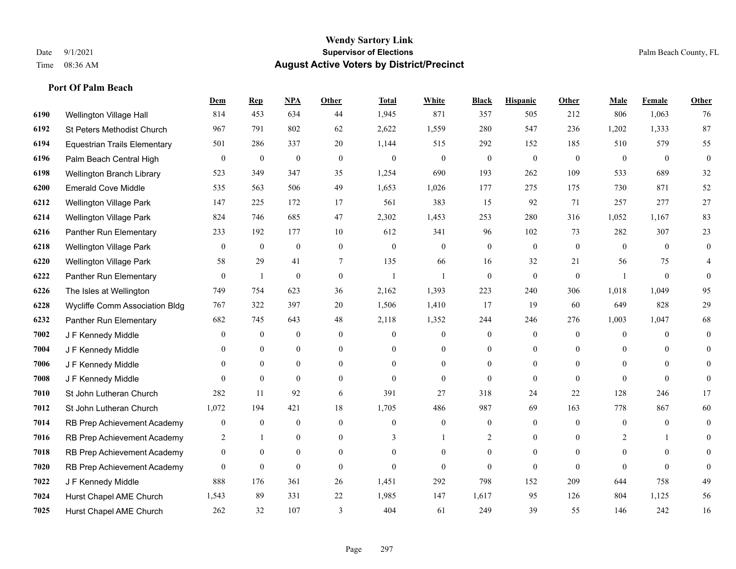|      |                                       | <b>Dem</b>       | <b>Rep</b>       | NPA              | <b>Other</b>     | <b>Total</b>     | <b>White</b>     | <b>Black</b>     | <b>Hispanic</b>  | <b>Other</b>   | <b>Male</b>    | <b>Female</b> | <b>Other</b>     |
|------|---------------------------------------|------------------|------------------|------------------|------------------|------------------|------------------|------------------|------------------|----------------|----------------|---------------|------------------|
| 6190 | Wellington Village Hall               | 814              | 453              | 634              | 44               | 1,945            | 871              | 357              | 505              | 212            | 806            | 1,063         | 76               |
| 6192 | St Peters Methodist Church            | 967              | 791              | 802              | 62               | 2,622            | 1,559            | 280              | 547              | 236            | 1,202          | 1,333         | 87               |
| 6194 | <b>Equestrian Trails Elementary</b>   | 501              | 286              | 337              | 20               | 1,144            | 515              | 292              | 152              | 185            | 510            | 579           | 55               |
| 6196 | Palm Beach Central High               | $\boldsymbol{0}$ | $\boldsymbol{0}$ | $\boldsymbol{0}$ | $\boldsymbol{0}$ | $\boldsymbol{0}$ | $\boldsymbol{0}$ | $\boldsymbol{0}$ | $\boldsymbol{0}$ | $\mathbf{0}$   | $\mathbf{0}$   | $\mathbf{0}$  | $\boldsymbol{0}$ |
| 6198 | Wellington Branch Library             | 523              | 349              | 347              | 35               | 1,254            | 690              | 193              | 262              | 109            | 533            | 689           | 32               |
| 6200 | <b>Emerald Cove Middle</b>            | 535              | 563              | 506              | 49               | 1,653            | 1,026            | 177              | 275              | 175            | 730            | 871           | 52               |
| 6212 | Wellington Village Park               | 147              | 225              | 172              | 17               | 561              | 383              | 15               | 92               | 71             | 257            | 277           | $27\,$           |
| 6214 | Wellington Village Park               | 824              | 746              | 685              | 47               | 2,302            | 1,453            | 253              | 280              | 316            | 1,052          | 1,167         | 83               |
| 6216 | Panther Run Elementary                | 233              | 192              | 177              | 10               | 612              | 341              | 96               | 102              | 73             | 282            | 307           | 23               |
| 6218 | <b>Wellington Village Park</b>        | $\overline{0}$   | $\mathbf{0}$     | $\mathbf{0}$     | $\overline{0}$   | $\theta$         | $\overline{0}$   | $\mathbf{0}$     | $\mathbf{0}$     | $\theta$       | $\theta$       | $\theta$      | $\mathbf{0}$     |
| 6220 | Wellington Village Park               | 58               | 29               | 41               | $\tau$           | 135              | 66               | 16               | 32               | 21             | 56             | 75            | 4                |
| 6222 | Panther Run Elementary                | $\overline{0}$   | 1                | $\mathbf{0}$     | $\overline{0}$   | $\overline{1}$   | 1                | $\mathbf{0}$     | $\mathbf{0}$     | $\theta$       |                | $\theta$      | $\Omega$         |
| 6226 | The Isles at Wellington               | 749              | 754              | 623              | 36               | 2,162            | 1,393            | 223              | 240              | 306            | 1,018          | 1,049         | 95               |
| 6228 | <b>Wycliffe Comm Association Bldg</b> | 767              | 322              | 397              | 20               | 1,506            | 1,410            | 17               | 19               | 60             | 649            | 828           | $29\,$           |
| 6232 | Panther Run Elementary                | 682              | 745              | 643              | 48               | 2,118            | 1,352            | 244              | 246              | 276            | 1,003          | 1,047         | 68               |
| 7002 | J F Kennedy Middle                    | $\theta$         | $\boldsymbol{0}$ | $\mathbf{0}$     | $\overline{0}$   | $\theta$         | $\boldsymbol{0}$ | $\mathbf{0}$     | $\mathbf{0}$     | $\theta$       | $\overline{0}$ | $\theta$      | $\mathbf{0}$     |
| 7004 | J F Kennedy Middle                    | $\Omega$         | $\mathbf{0}$     | $\mathbf{0}$     | $\overline{0}$   | $\theta$         | $\overline{0}$   | $\mathbf{0}$     | $\mathbf{0}$     | $\theta$       | $\theta$       | $\theta$      | $\theta$         |
| 7006 | J F Kennedy Middle                    | 0                | $\mathbf{0}$     | $\mathbf{0}$     | $\overline{0}$   | $\theta$         | $\overline{0}$   | $\overline{0}$   | $\overline{0}$   | $\theta$       | $\theta$       | $\Omega$      | $\overline{0}$   |
| 7008 | J F Kennedy Middle                    | $\overline{0}$   | $\mathbf{0}$     | $\mathbf{0}$     | $\overline{0}$   | $\theta$         | $\overline{0}$   | $\mathbf{0}$     | $\mathbf{0}$     | $\theta$       | $\theta$       | $\theta$      | $\mathbf{0}$     |
| 7010 | St John Lutheran Church               | 282              | 11               | 92               | 6                | 391              | 27               | 318              | 24               | 22             | 128            | 246           | 17               |
| 7012 | St John Lutheran Church               | 1,072            | 194              | 421              | 18               | 1,705            | 486              | 987              | 69               | 163            | 778            | 867           | 60               |
| 7014 | RB Prep Achievement Academy           | 0                | $\boldsymbol{0}$ | $\boldsymbol{0}$ | $\overline{0}$   | $\theta$         | $\mathbf{0}$     | $\boldsymbol{0}$ | $\boldsymbol{0}$ | $\overline{0}$ | $\mathbf{0}$   | $\mathbf{0}$  | $\mathbf{0}$     |
| 7016 | RB Prep Achievement Academy           | 2                | -1               | $\overline{0}$   | $\overline{0}$   | 3                |                  | 2                | $\overline{0}$   | $\theta$       | 2              |               | $\theta$         |
| 7018 | RB Prep Achievement Academy           | $\overline{0}$   | $\theta$         | $\mathbf{0}$     | $\overline{0}$   | $\theta$         | $\overline{0}$   | $\mathbf{0}$     | $\mathbf{0}$     | $\theta$       | $\Omega$       | $\theta$      | $\Omega$         |
| 7020 | RB Prep Achievement Academy           | $\overline{0}$   | $\boldsymbol{0}$ | $\boldsymbol{0}$ | $\overline{0}$   | $\overline{0}$   | $\mathbf{0}$     | $\mathbf{0}$     | $\mathbf{0}$     | $\theta$       | $\Omega$       | $\theta$      | $\Omega$         |
| 7022 | J F Kennedy Middle                    | 888              | 176              | 361              | 26               | 1,451            | 292              | 798              | 152              | 209            | 644            | 758           | 49               |
| 7024 | Hurst Chapel AME Church               | 1,543            | 89               | 331              | 22               | 1,985            | 147              | 1,617            | 95               | 126            | 804            | 1,125         | 56               |
| 7025 | Hurst Chapel AME Church               | 262              | 32               | 107              | $\mathcal{E}$    | 404              | 61               | 249              | 39               | 55             | 146            | 242           | 16               |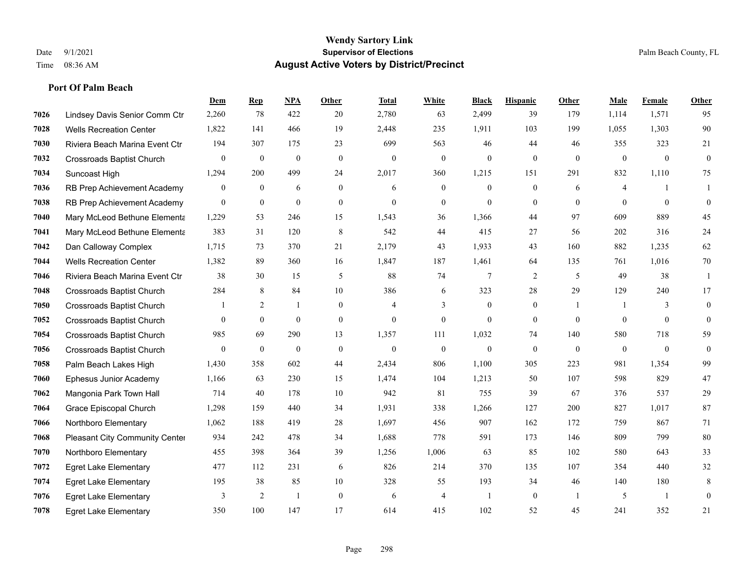|      |                                  | Dem            | <b>Rep</b>       | NPA            | <b>Other</b>     | <b>Total</b>     | <b>White</b>     | <b>Black</b>     | <b>Hispanic</b>  | Other        | <b>Male</b>  | Female       | <b>Other</b> |
|------|----------------------------------|----------------|------------------|----------------|------------------|------------------|------------------|------------------|------------------|--------------|--------------|--------------|--------------|
| 7026 | Lindsey Davis Senior Comm Ctr    | 2,260          | 78               | 422            | 20               | 2,780            | 63               | 2,499            | 39               | 179          | 1,114        | 1,571        | 95           |
| 7028 | <b>Wells Recreation Center</b>   | 1,822          | 141              | 466            | 19               | 2,448            | 235              | 1,911            | 103              | 199          | 1.055        | 1,303        | 90           |
| 7030 | Riviera Beach Marina Event Ctr   | 194            | 307              | 175            | 23               | 699              | 563              | 46               | 44               | 46           | 355          | 323          | 21           |
| 7032 | <b>Crossroads Baptist Church</b> | $\overline{0}$ | $\mathbf{0}$     | $\overline{0}$ | $\boldsymbol{0}$ | $\boldsymbol{0}$ | $\mathbf{0}$     | $\mathbf{0}$     | $\mathbf{0}$     | $\mathbf{0}$ | $\mathbf{0}$ | $\mathbf{0}$ | $\mathbf{0}$ |
| 7034 | Suncoast High                    | 1,294          | 200              | 499            | 24               | 2,017            | 360              | 1,215            | 151              | 291          | 832          | 1,110        | 75           |
| 7036 | RB Prep Achievement Academy      | 0              | $\boldsymbol{0}$ | 6              | $\boldsymbol{0}$ | 6                | $\boldsymbol{0}$ | $\mathbf{0}$     | $\boldsymbol{0}$ | 6            | 4            |              |              |
| 7038 | RB Prep Achievement Academy      | $\overline{0}$ | $\mathbf{0}$     | $\theta$       | $\overline{0}$   | $\theta$         | $\mathbf{0}$     | $\mathbf{0}$     | $\mathbf{0}$     | $\theta$     | $\theta$     | $\theta$     | $\mathbf{0}$ |
| 7040 | Mary McLeod Bethune Elementa     | 1,229          | 53               | 246            | 15               | 1,543            | 36               | 1,366            | 44               | 97           | 609          | 889          | 45           |
| 7041 | Mary McLeod Bethune Elementa     | 383            | 31               | 120            | $\,8\,$          | 542              | 44               | 415              | 27               | 56           | 202          | 316          | 24           |
| 7042 | Dan Calloway Complex             | 1.715          | 73               | 370            | 21               | 2,179            | 43               | 1,933            | 43               | 160          | 882          | 1,235        | 62           |
| 7044 | <b>Wells Recreation Center</b>   | 1,382          | 89               | 360            | 16               | 1,847            | 187              | 1,461            | 64               | 135          | 761          | 1,016        | 70           |
| 7046 | Riviera Beach Marina Event Ctr   | 38             | 30               | 15             | 5                | 88               | 74               | 7                | 2                | 5            | 49           | 38           | $\mathbf{1}$ |
| 7048 | Crossroads Baptist Church        | 284            | 8                | 84             | 10               | 386              | 6                | 323              | $28\,$           | 29           | 129          | 240          | 17           |
| 7050 | Crossroads Baptist Church        | 1              | 2                | $\mathbf{1}$   | $\boldsymbol{0}$ | $\overline{4}$   | 3                | $\boldsymbol{0}$ | $\mathbf{0}$     | $\mathbf{1}$ |              | 3            | $\mathbf{0}$ |
| 7052 | <b>Crossroads Baptist Church</b> | $\Omega$       | $\mathbf{0}$     | $\mathbf{0}$   | $\overline{0}$   | $\theta$         | $\mathbf{0}$     | $\theta$         | $\Omega$         | $\theta$     | $\theta$     | $\theta$     | $\theta$     |
| 7054 | <b>Crossroads Baptist Church</b> | 985            | 69               | 290            | 13               | 1,357            | 111              | 1,032            | 74               | 140          | 580          | 718          | 59           |
| 7056 | Crossroads Baptist Church        | $\overline{0}$ | $\mathbf{0}$     | $\mathbf{0}$   | $\mathbf{0}$     | $\theta$         | $\mathbf{0}$     | $\theta$         | $\theta$         | $\theta$     | $\theta$     | $\theta$     | $\mathbf{0}$ |
| 7058 | Palm Beach Lakes High            | 1,430          | 358              | 602            | 44               | 2,434            | 806              | 1,100            | 305              | 223          | 981          | 1,354        | 99           |
| 7060 | Ephesus Junior Academy           | 1,166          | 63               | 230            | 15               | 1,474            | 104              | 1,213            | 50               | 107          | 598          | 829          | 47           |
| 7062 | Mangonia Park Town Hall          | 714            | 40               | 178            | 10               | 942              | 81               | 755              | 39               | 67           | 376          | 537          | 29           |
| 7064 | Grace Episcopal Church           | 1,298          | 159              | 440            | 34               | 1,931            | 338              | 1,266            | 127              | 200          | 827          | 1,017        | 87           |
| 7066 | Northboro Elementary             | 1,062          | 188              | 419            | 28               | 1,697            | 456              | 907              | 162              | 172          | 759          | 867          | 71           |
| 7068 | Pleasant City Community Center   | 934            | 242              | 478            | 34               | 1,688            | 778              | 591              | 173              | 146          | 809          | 799          | $80\,$       |
| 7070 | Northboro Elementary             | 455            | 398              | 364            | 39               | 1,256            | 1,006            | 63               | 85               | 102          | 580          | 643          | 33           |
| 7072 | <b>Egret Lake Elementary</b>     | 477            | 112              | 231            | 6                | 826              | 214              | 370              | 135              | 107          | 354          | 440          | 32           |
| 7074 | <b>Egret Lake Elementary</b>     | 195            | 38               | 85             | 10               | 328              | 55               | 193              | 34               | 46           | 140          | 180          | 8            |
| 7076 | <b>Egret Lake Elementary</b>     | 3              | 2                | $\overline{1}$ | $\mathbf{0}$     | 6                | $\overline{4}$   |                  | $\mathbf{0}$     | -1           | 5            | -1           | $\mathbf{0}$ |
| 7078 | <b>Egret Lake Elementary</b>     | 350            | 100              | 147            | 17               | 614              | 415              | 102              | 52               | 45           | 241          | 352          | 21           |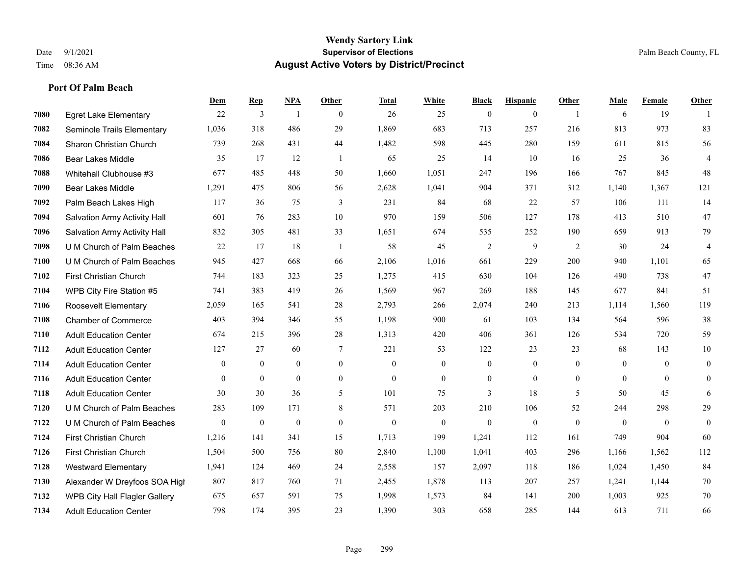|      |                                      | Dem            | <b>Rep</b>       | <b>NPA</b>       | <b>Other</b>   | <b>Total</b> | White          | <b>Black</b>     | <b>Hispanic</b> | Other          | Male         | Female         | Other            |
|------|--------------------------------------|----------------|------------------|------------------|----------------|--------------|----------------|------------------|-----------------|----------------|--------------|----------------|------------------|
| 7080 | <b>Egret Lake Elementary</b>         | 22             | $\overline{3}$   | $\overline{1}$   | $\theta$       | 26           | 25             | $\mathbf{0}$     | $\mathbf{0}$    | $\overline{1}$ | 6            | 19             |                  |
| 7082 | Seminole Trails Elementary           | 1,036          | 318              | 486              | 29             | 1,869        | 683            | 713              | 257             | 216            | 813          | 973            | 83               |
| 7084 | Sharon Christian Church              | 739            | 268              | 431              | 44             | 1,482        | 598            | 445              | 280             | 159            | 611          | 815            | 56               |
| 7086 | <b>Bear Lakes Middle</b>             | 35             | 17               | 12               | $\overline{1}$ | 65           | 25             | 14               | 10              | 16             | 25           | 36             | $\overline{4}$   |
| 7088 | Whitehall Clubhouse #3               | 677            | 485              | 448              | 50             | 1,660        | 1,051          | 247              | 196             | 166            | 767          | 845            | 48               |
| 7090 | Bear Lakes Middle                    | 1,291          | 475              | 806              | 56             | 2,628        | 1,041          | 904              | 371             | 312            | 1,140        | 1,367          | 121              |
| 7092 | Palm Beach Lakes High                | 117            | 36               | 75               | 3              | 231          | 84             | 68               | 22              | 57             | 106          | 111            | 14               |
| 7094 | Salvation Army Activity Hall         | 601            | 76               | 283              | 10             | 970          | 159            | 506              | 127             | 178            | 413          | 510            | $47\,$           |
| 7096 | Salvation Army Activity Hall         | 832            | 305              | 481              | 33             | 1,651        | 674            | 535              | 252             | 190            | 659          | 913            | 79               |
| 7098 | U M Church of Palm Beaches           | 22             | 17               | 18               | -1             | 58           | 45             | $\overline{2}$   | 9               | 2              | 30           | 24             | $\overline{4}$   |
| 7100 | U M Church of Palm Beaches           | 945            | 427              | 668              | 66             | 2,106        | 1,016          | 661              | 229             | 200            | 940          | 1,101          | 65               |
| 7102 | First Christian Church               | 744            | 183              | 323              | 25             | 1,275        | 415            | 630              | 104             | 126            | 490          | 738            | $47\,$           |
| 7104 | WPB City Fire Station #5             | 741            | 383              | 419              | 26             | 1,569        | 967            | 269              | 188             | 145            | 677          | 841            | 51               |
| 7106 | Roosevelt Elementary                 | 2,059          | 165              | 541              | 28             | 2,793        | 266            | 2,074            | 240             | 213            | 1,114        | 1,560          | 119              |
| 7108 | <b>Chamber of Commerce</b>           | 403            | 394              | 346              | 55             | 1,198        | 900            | 61               | 103             | 134            | 564          | 596            | 38               |
| 7110 | <b>Adult Education Center</b>        | 674            | 215              | 396              | 28             | 1,313        | 420            | 406              | 361             | 126            | 534          | 720            | 59               |
| 7112 | <b>Adult Education Center</b>        | 127            | 27               | 60               | 7              | 221          | 53             | 122              | 23              | 23             | 68           | 143            | $10\,$           |
| 7114 | <b>Adult Education Center</b>        | $\overline{0}$ | $\overline{0}$   | $\overline{0}$   | $\overline{0}$ | $\mathbf{0}$ | $\overline{0}$ | $\mathbf{0}$     | $\mathbf{0}$    | $\theta$       | $\mathbf{0}$ | $\theta$       | $\boldsymbol{0}$ |
| 7116 | <b>Adult Education Center</b>        | $\overline{0}$ | $\mathbf{0}$     | $\overline{0}$   | $\overline{0}$ | $\mathbf{0}$ | $\mathbf{0}$   | $\boldsymbol{0}$ | $\mathbf{0}$    | $\theta$       | $\mathbf{0}$ | $\theta$       | $\mathbf{0}$     |
| 7118 | <b>Adult Education Center</b>        | 30             | 30               | 36               | 5              | 101          | 75             | 3                | 18              | 5              | 50           | 45             | 6                |
| 7120 | U M Church of Palm Beaches           | 283            | 109              | 171              | 8              | 571          | 203            | 210              | 106             | 52             | 244          | 298            | $29\,$           |
| 7122 | U M Church of Palm Beaches           | $\mathbf{0}$   | $\boldsymbol{0}$ | $\boldsymbol{0}$ | $\mathbf{0}$   | $\mathbf{0}$ | $\mathbf{0}$   | $\boldsymbol{0}$ | $\mathbf{0}$    | $\mathbf{0}$   | $\mathbf{0}$ | $\overline{0}$ | $\mathbf{0}$     |
| 7124 | <b>First Christian Church</b>        | 1,216          | 141              | 341              | 15             | 1,713        | 199            | 1,241            | 112             | 161            | 749          | 904            | 60               |
| 7126 | First Christian Church               | 1,504          | 500              | 756              | 80             | 2,840        | 1,100          | 1,041            | 403             | 296            | 1,166        | 1,562          | 112              |
| 7128 | <b>Westward Elementary</b>           | 1,941          | 124              | 469              | 24             | 2,558        | 157            | 2,097            | 118             | 186            | 1,024        | 1,450          | 84               |
| 7130 | Alexander W Dreyfoos SOA High        | 807            | 817              | 760              | 71             | 2,455        | 1,878          | 113              | 207             | 257            | 1,241        | 1,144          | 70               |
| 7132 | <b>WPB City Hall Flagler Gallery</b> | 675            | 657              | 591              | 75             | 1,998        | 1,573          | 84               | 141             | 200            | 1,003        | 925            | 70               |
| 7134 | <b>Adult Education Center</b>        | 798            | 174              | 395              | 23             | 1,390        | 303            | 658              | 285             | 144            | 613          | 711            | 66               |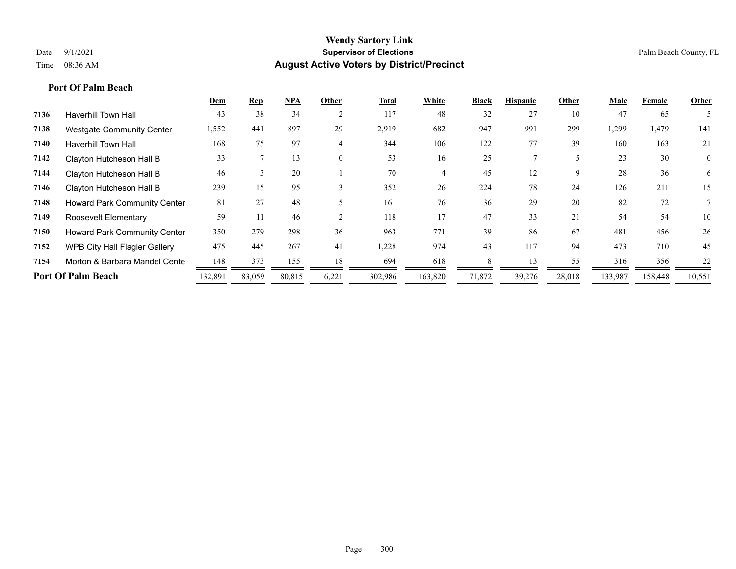|      |                                     | Dem     | <b>Rep</b> | <b>NPA</b> | Other          | <b>Total</b> | White   | <b>Black</b> | <b>Hispanic</b> | Other  | Male    | Female  | Other        |
|------|-------------------------------------|---------|------------|------------|----------------|--------------|---------|--------------|-----------------|--------|---------|---------|--------------|
| 7136 | <b>Haverhill Town Hall</b>          | 43      | 38         | 34         | $\overline{2}$ | 117          | 48      | 32           | 27              | 10     | 47      | 65      |              |
| 7138 | <b>Westgate Community Center</b>    | 1,552   | 441        | 897        | 29             | 2,919        | 682     | 947          | 991             | 299    | 1,299   | 1,479   | 141          |
| 7140 | <b>Haverhill Town Hall</b>          | 168     | 75         | 97         | 4              | 344          | 106     | 122          | 77              | 39     | 160     | 163     | 21           |
| 7142 | Clayton Hutcheson Hall B            | 33      |            | 13         | $\theta$       | 53           | 16      | 25           |                 |        | 23      | 30      | $\mathbf{0}$ |
| 7144 | Clayton Hutcheson Hall B            | 46      | -5         | 20         |                | 70           |         | 45           | 12              | 9      | 28      | 36      | 6            |
| 7146 | Clayton Hutcheson Hall B            | 239     | 15         | 95         | 3              | 352          | 26      | 224          | 78              | 24     | 126     | 211     | 15           |
| 7148 | Howard Park Community Center        | 81      | 27         | 48         |                | 161          | 76      | 36           | 29              | 20     | 82      | 72      |              |
| 7149 | Roosevelt Elementary                | 59      |            | 46         |                | 118          | 17      | 47           | 33              | 21     | 54      | 54      | 10           |
| 7150 | <b>Howard Park Community Center</b> | 350     | 279        | 298        | 36             | 963          | 771     | 39           | 86              | 67     | 481     | 456     | 26           |
| 7152 | WPB City Hall Flagler Gallery       | 475     | 445        | 267        | 41             | 1,228        | 974     | 43           | 117             | 94     | 473     | 710     | 45           |
| 7154 | Morton & Barbara Mandel Cente       | 148     | 373        | 155        | 18             | 694          | 618     |              | 13              | 55     | 316     | 356     | 22           |
|      | <b>Port Of Palm Beach</b>           | 132,891 | 83,059     | 80,815     | 6,221          | 302,986      | 163,820 | 71,872       | 39,276          | 28,018 | 133,987 | 158,448 | 10,551       |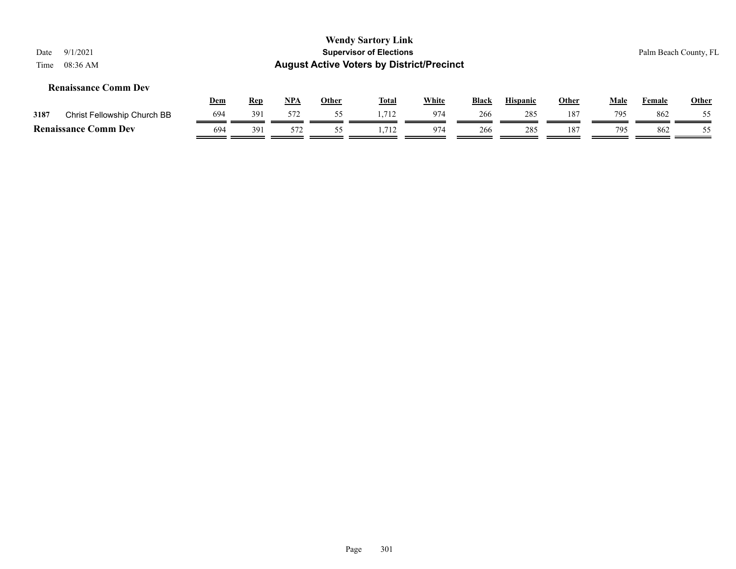|      |                             |     |            |     |              | <b>Wendy Sartory Link</b>                        |              |              |                 |       |             |                       |       |  |
|------|-----------------------------|-----|------------|-----|--------------|--------------------------------------------------|--------------|--------------|-----------------|-------|-------------|-----------------------|-------|--|
| Date | 9/1/2021                    |     |            |     |              | <b>Supervisor of Elections</b>                   |              |              |                 |       |             | Palm Beach County, FL |       |  |
| Time | $08:36$ AM                  |     |            |     |              | <b>August Active Voters by District/Precinct</b> |              |              |                 |       |             |                       |       |  |
|      | <b>Renaissance Comm Dev</b> |     |            |     |              |                                                  |              |              |                 |       |             |                       |       |  |
|      |                             | Dem | <u>Rep</u> | NPA | <u>Other</u> | <u>Total</u>                                     | <b>White</b> | <b>Black</b> | <b>Hispanic</b> | Other | <u>Male</u> | <b>Female</b>         | Other |  |
| 3187 | Christ Fellowship Church BB | 694 | 391        | 572 | 55           | 1.712                                            | 974          | 266          | 285             | 187   | 795         | 862                   | 55    |  |
|      | <b>Renaissance Comm Dev</b> | 694 | 391        | 572 | 55           | 1.712                                            | 974          | 266          | 285             | 187   | 795         | 862                   | 55    |  |

 $\equiv$ 

 $=$  $\blacksquare$   $=$   $=$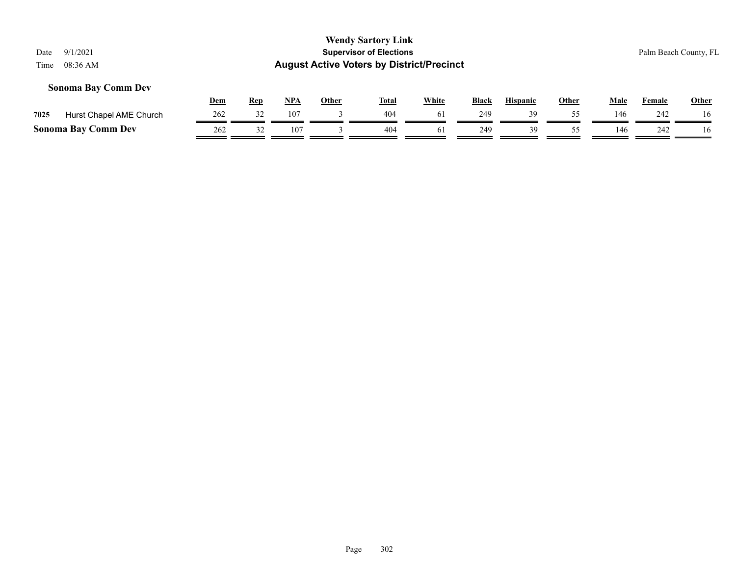#### **Sonoma Bay Comm Dev**

|      |                            | Dem | <b>Rep</b> | <b>NPA</b>      | Other | Tota.           | White          | <b>Black</b> | <b>Hispanic</b> | Other | Male | Female | <b>Other</b> |
|------|----------------------------|-----|------------|-----------------|-------|-----------------|----------------|--------------|-----------------|-------|------|--------|--------------|
| 7025 | Hurst Chapel AME Church    | 262 |            | 107             |       | 40 <sup>2</sup> | $\sigma$       | 249          |                 |       | 146  | 242    | 16           |
|      | <b>Sonoma Bay Comm Dev</b> | 262 |            | 10 <sup>7</sup> |       | 404             | 0 <sub>1</sub> | 249          | 30              |       | 146  | 242    | 16           |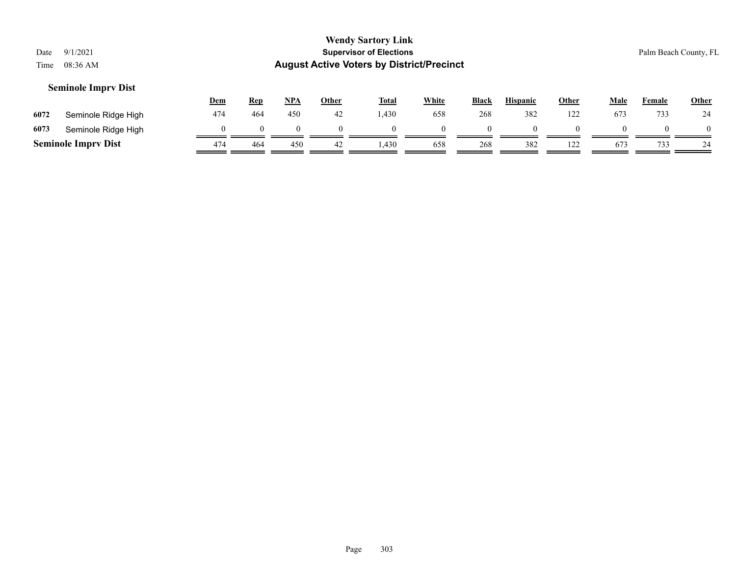#### **Seminole Imprv Dist**

|      |                            | <u>Dem</u> | <u>Rep</u> | <b>NPA</b> | Other | <b>Total</b> | White | <b>Black</b> | <b>Hispanic</b> | Other | Male | Female | <b>Other</b> |
|------|----------------------------|------------|------------|------------|-------|--------------|-------|--------------|-----------------|-------|------|--------|--------------|
| 6072 | Seminole Ridge High        | 474        | 464        | 450        | 42    | 1,430        | 658   | 268          | 382             | 122   | 673  | 733    | 24           |
| 6073 | Seminole Ridge High        |            |            |            |       |              |       |              |                 |       |      |        | $\theta$     |
|      | <b>Seminole Imprv Dist</b> | 474        | 464        | 450        |       | ,430         | 658   | 268          | 382             | 122   | 673  | 733    | 24           |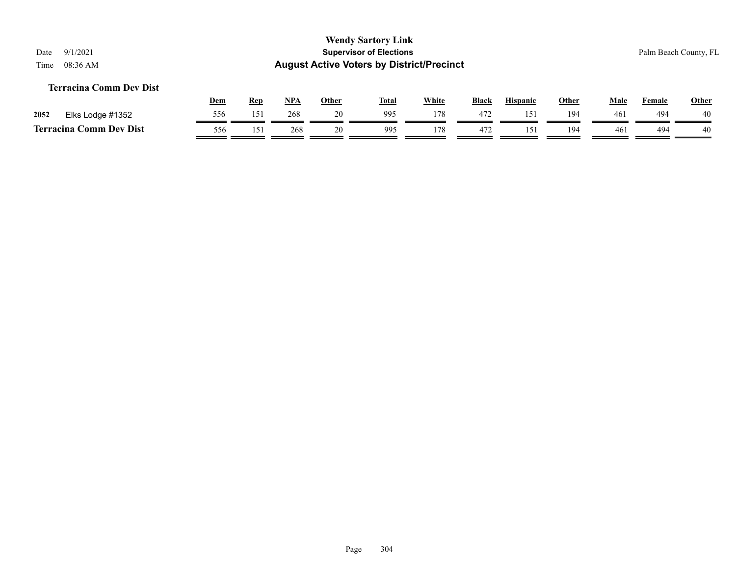#### **Terracina Comm Dev Dist**

|      |                              | <b>Dem</b> | Rep | <b>NPA</b> | Other | <b>Total</b> | White | <b>Black</b> | <b>Hispanic</b> | Other | Male            | Female | Other |
|------|------------------------------|------------|-----|------------|-------|--------------|-------|--------------|-----------------|-------|-----------------|--------|-------|
| 2052 | Elks Lodge #1352             | 556        | 151 | 268        |       | 995          | 178   | 472          | 15              | 194   | 461             | 494    | 40    |
|      | Comm Dev Dist<br>Terracina ( | 556        | 15  | 268        |       | 995          | 178   | 472          |                 | 194   | 46 <sup>2</sup> | 494    | 40    |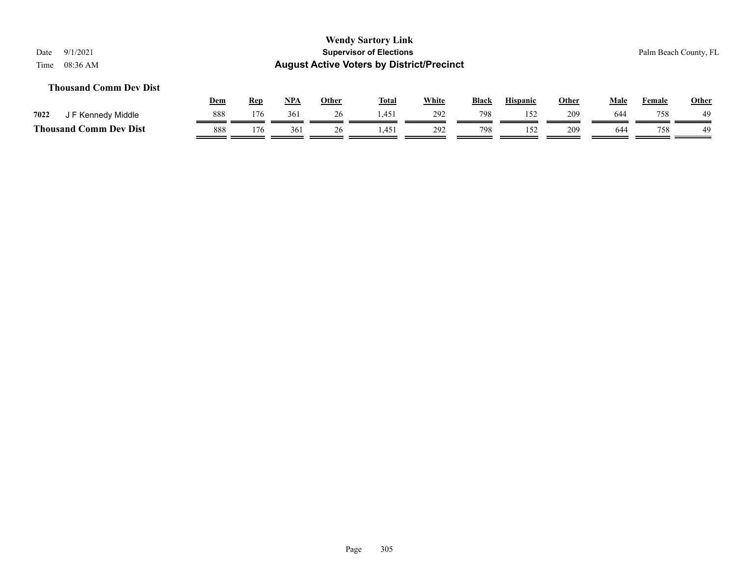#### **Thousand Comm Dev Dist**

|                               | Dem | Rep | <b>NPA</b> | Other | <b>Total</b> | White | <b>Black</b> | <b>Hispanic</b> | Other | Male | Female | <b>Other</b> |
|-------------------------------|-----|-----|------------|-------|--------------|-------|--------------|-----------------|-------|------|--------|--------------|
| 7022<br>F Kennedy Middle      | 888 | 176 | 361        | 26    | 1.451        | 292   | 798          |                 | 209   | 644  | 758    | 49           |
| <b>Thousand Comm Dev Dist</b> | 888 | 176 | 361        |       | .451         | 292   | 798          |                 | 209   | 644  | 758    | 49           |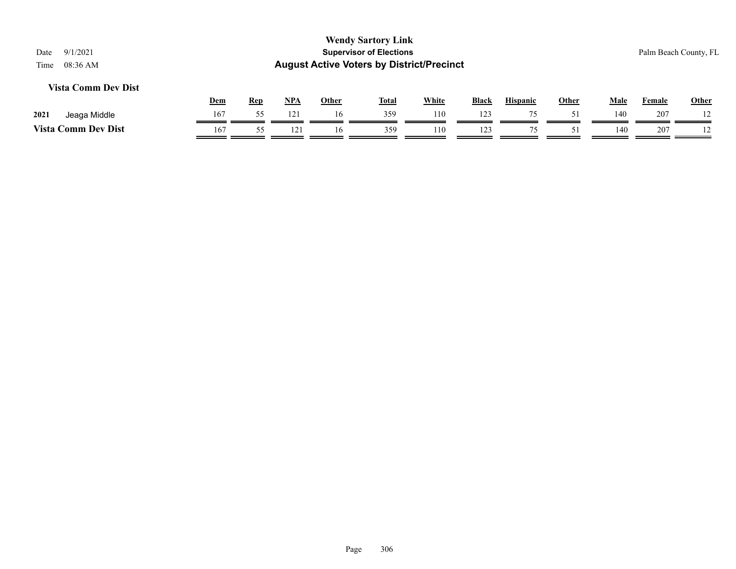#### **Vista Comm Dev Dist**

|                            | <b>Dem</b> | Rep | NPA | Other | <b>Total</b> | White | <b>Black</b> | <b>Hispanic</b> | Other | Male | Female | Other |
|----------------------------|------------|-----|-----|-------|--------------|-------|--------------|-----------------|-------|------|--------|-------|
| 2021<br>Jeaga Middle       | 167        |     |     |       | 359          | 110   | 123          | $\overline{ }$  |       | 140  | 207    |       |
| <b>Vista Comm Dev Dist</b> | 167        |     |     | Iб    | 359          | 110   | 123          |                 |       | 140  | 207    |       |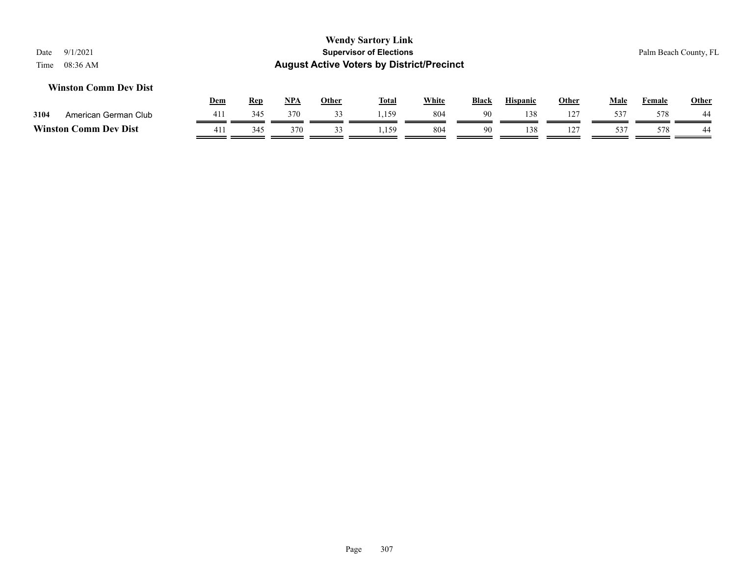#### **Winston Comm Dev Dist**

|         |                      | <u>Dem</u> | Rep | <b>NPA</b> | Other | <b>Total</b> | <u>White</u> | <b>Black</b> | <b>Hispanic</b> | Other          | Male      | Female | <b>Other</b> |
|---------|----------------------|------------|-----|------------|-------|--------------|--------------|--------------|-----------------|----------------|-----------|--------|--------------|
| 3104    | American German Club |            | 345 | 370        |       | 159          | 804          | 90           | 138             | 1 L            | 537       | 578    | 44           |
| Winston | Comm Dev Dist        | 411        | 345 | 370        |       | 159          | 804          | 90           | 138             | $\overline{ }$ | 53'<br>ັັ | 578    | 44           |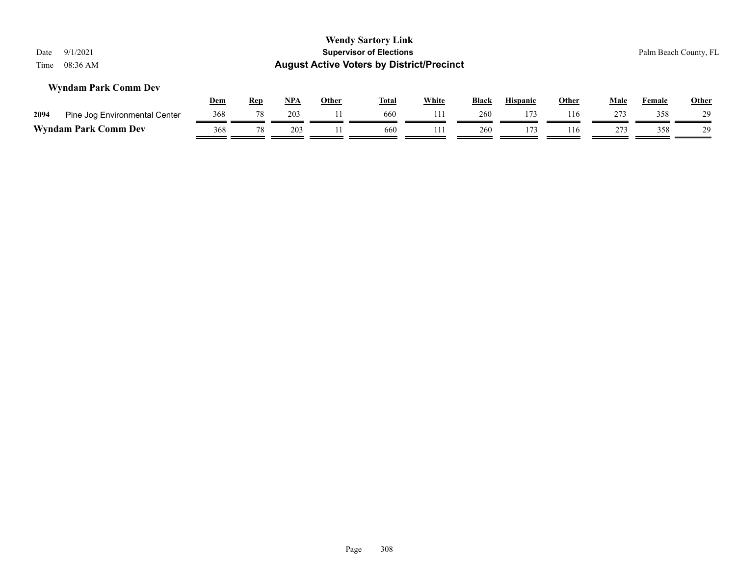| Date<br>Time                                                                                                                                                                        | 9/1/2021<br>08:36 AM          |                   |    |     |    | <b>Wendy Sartory Link</b><br><b>Supervisor of Elections</b><br><b>August Active Voters by District/Precinct</b> |     |     |     |     |     |     | Palm Beach County, FL |
|-------------------------------------------------------------------------------------------------------------------------------------------------------------------------------------|-------------------------------|-------------------|----|-----|----|-----------------------------------------------------------------------------------------------------------------|-----|-----|-----|-----|-----|-----|-----------------------|
| <b>Wyndam Park Comm Dev</b><br><b>White</b><br><u>NPA</u><br><b>Other</b><br><b>Hispanic</b><br><u>Other</u><br><u>Total</u><br><u>Black</u><br>Male<br><b>Female</b><br><u>Rep</u> |                               |                   |    |     |    |                                                                                                                 |     |     |     |     |     |     | <b>Other</b>          |
| 2094                                                                                                                                                                                | Pine Jog Environmental Center | <u>Dem</u><br>368 | 78 | 203 | 11 | 660                                                                                                             | 111 | 260 | 173 | 116 | 273 | 358 | 29                    |

# **Wyndam Park Comm Dev**  $\frac{368}{\sqrt{78}} \frac{78}{\sqrt{203}} \frac{203}{\sqrt{114}} \frac{1}{\sqrt{660}} \frac{111}{\sqrt{204}} \frac{260}{\sqrt{113}} \frac{116}{\sqrt{113}} \frac{116}{\sqrt{114}} \frac{273}{\sqrt{116}} \frac{358}{\sqrt{113}} \frac{1}{\sqrt{114}}$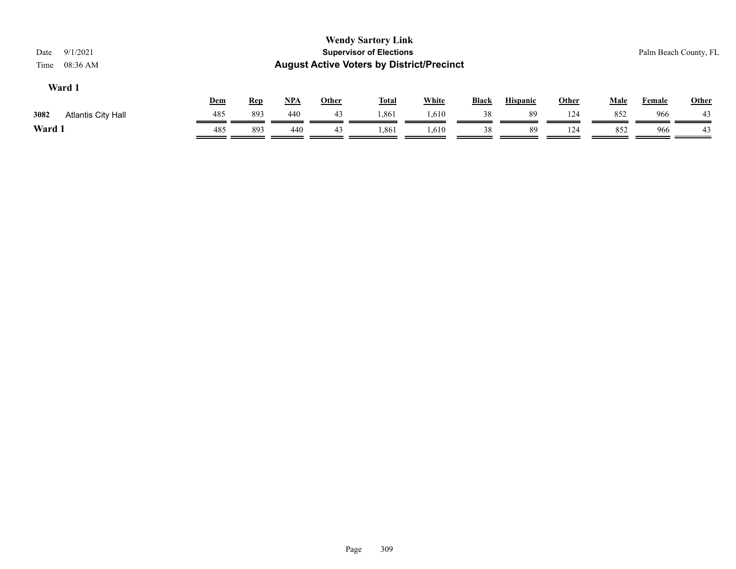| 9/1/2021<br>Date<br>08:36 AM<br>Time |              |                 |       |             | <b>Wendy Sartory Link</b><br><b>Supervisor of Elections</b><br><b>August Active Voters by District/Precinct</b> |              |    |    |     |     |     | Palm Beach County, FL |
|--------------------------------------|--------------|-----------------|-------|-------------|-----------------------------------------------------------------------------------------------------------------|--------------|----|----|-----|-----|-----|-----------------------|
| Ward 1                               | <b>Black</b> | <b>Hispanic</b> | Other | <b>Male</b> | <b>Female</b>                                                                                                   | <b>Other</b> |    |    |     |     |     |                       |
| Atlantis City Hall<br>3082           | 485          | 893             | 440   | 43          | 1,861                                                                                                           | 1,610        | 38 | 89 | 124 | 852 | 966 | 43                    |
| Ward 1                               | 485          | 893             | 440   | 43          | 1,861                                                                                                           | 1,610        | 38 | 89 | 124 | 852 | 966 | 43                    |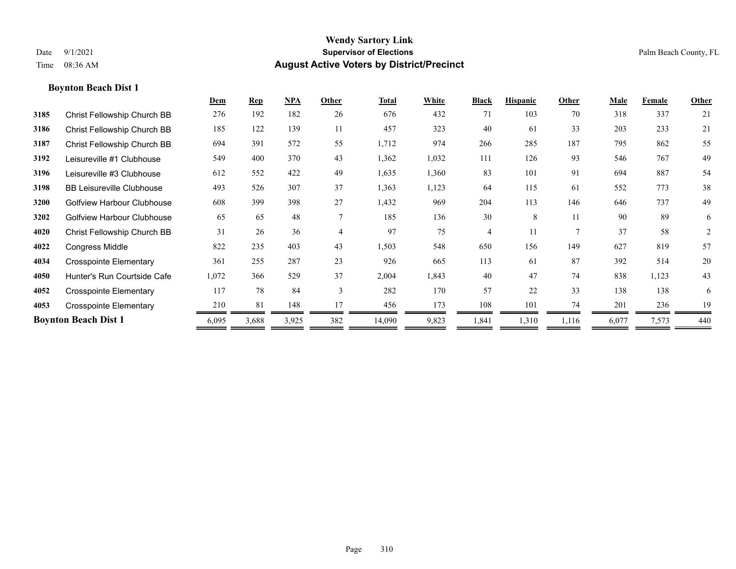|      |                                  | Dem   | <b>Rep</b> | NPA   | Other          | <b>Total</b> | White | <b>Black</b> | <b>Hispanic</b> | Other | <b>Male</b> | Female | Other |
|------|----------------------------------|-------|------------|-------|----------------|--------------|-------|--------------|-----------------|-------|-------------|--------|-------|
| 3185 | Christ Fellowship Church BB      | 276   | 192        | 182   | 26             | 676          | 432   | 71           | 103             | 70    | 318         | 337    | 21    |
| 3186 | Christ Fellowship Church BB      | 185   | 122        | 139   | 11             | 457          | 323   | 40           | 61              | 33    | 203         | 233    | 21    |
| 3187 | Christ Fellowship Church BB      | 694   | 391        | 572   | 55             | 1,712        | 974   | 266          | 285             | 187   | 795         | 862    | 55    |
| 3192 | Leisureville #1 Clubhouse        | 549   | 400        | 370   | 43             | 1,362        | 1,032 | 111          | 126             | 93    | 546         | 767    | 49    |
| 3196 | Leisureville #3 Clubhouse        | 612   | 552        | 422   | 49             | 1,635        | 1,360 | 83           | 101             | 91    | 694         | 887    | 54    |
| 3198 | <b>BB Leisureville Clubhouse</b> | 493   | 526        | 307   | 37             | 1,363        | 1,123 | 64           | 115             | 61    | 552         | 773    | 38    |
| 3200 | Golfview Harbour Clubhouse       | 608   | 399        | 398   | 27             | 1,432        | 969   | 204          | 113             | 146   | 646         | 737    | 49    |
| 3202 | Golfview Harbour Clubhouse       | 65    | 65         | 48    | $\tau$         | 185          | 136   | 30           | 8               | 11    | 90          | 89     | 6     |
| 4020 | Christ Fellowship Church BB      | 31    | 26         | 36    | $\overline{4}$ | 97           | 75    | 4            | 11              | 7     | 37          | 58     | 2     |
| 4022 | <b>Congress Middle</b>           | 822   | 235        | 403   | 43             | 1,503        | 548   | 650          | 156             | 149   | 627         | 819    | 57    |
| 4034 | <b>Crosspointe Elementary</b>    | 361   | 255        | 287   | 23             | 926          | 665   | 113          | 61              | 87    | 392         | 514    | 20    |
| 4050 | Hunter's Run Courtside Cafe      | 1,072 | 366        | 529   | 37             | 2,004        | 1,843 | 40           | 47              | 74    | 838         | 1,123  | 43    |
| 4052 | <b>Crosspointe Elementary</b>    | 117   | 78         | 84    | 3              | 282          | 170   | 57           | 22              | 33    | 138         | 138    | 6     |
| 4053 | <b>Crosspointe Elementary</b>    | 210   | 81         | 148   | 17             | 456          | 173   | 108          | 101             | 74    | 201         | 236    | 19    |
|      | <b>Boynton Beach Dist 1</b>      | 6,095 | 3,688      | 3,925 | 382            | 14,090       | 9,823 | 1,841        | 1,310           | 1,116 | 6,077       | 7,573  | 440   |
|      |                                  |       |            |       |                |              |       |              |                 |       |             |        |       |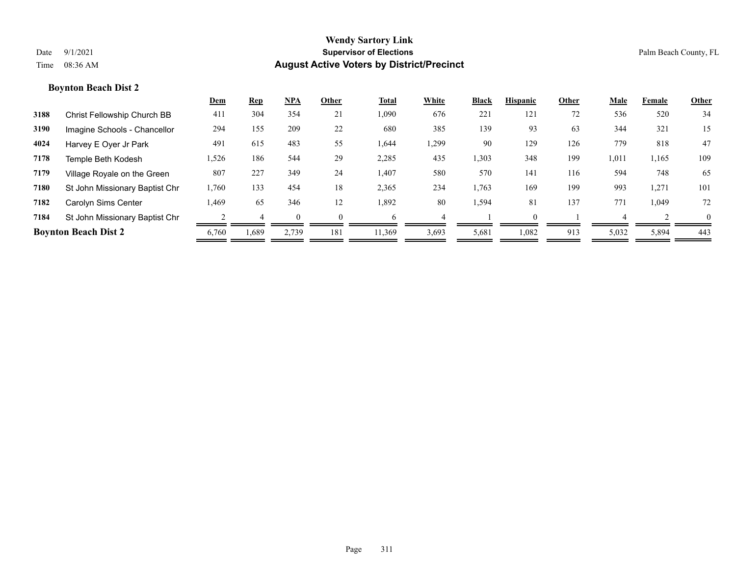|      |                                | <u>Dem</u> | <b>Rep</b> | $NPA$ | Other    | <b>Total</b> | White | <b>Black</b> | <b>Hispanic</b> | Other | Male  | Female | <b>Other</b> |
|------|--------------------------------|------------|------------|-------|----------|--------------|-------|--------------|-----------------|-------|-------|--------|--------------|
| 3188 | Christ Fellowship Church BB    | 411        | 304        | 354   | 21       | 1,090        | 676   | 221          | 121             | 72    | 536   | 520    | 34           |
| 3190 | Imagine Schools - Chancellor   | 294        | 155        | 209   | 22       | 680          | 385   | 139          | 93              | 63    | 344   | 321    | 15           |
| 4024 | Harvey E Oyer Jr Park          | 491        | 615        | 483   | 55       | 1,644        | 1,299 | 90           | 129             | 126   | 779   | 818    | 47           |
| 7178 | Temple Beth Kodesh             | 1,526      | 186        | 544   | 29       | 2,285        | 435   | 1,303        | 348             | 199   | 1,011 | 1,165  | 109          |
| 7179 | Village Royale on the Green    | 807        | 227        | 349   | 24       | 1,407        | 580   | 570          | 141             | 116   | 594   | 748    | 65           |
| 7180 | St John Missionary Baptist Chr | 1,760      | 133        | 454   | 18       | 2,365        | 234   | 1,763        | 169             | 199   | 993   | 1,271  | 101          |
| 7182 | Carolyn Sims Center            | 1,469      | 65         | 346   | 12       | 1,892        | 80    | 1,594        | 81              | 137   | 771   | 1.049  | 72           |
| 7184 | St John Missionary Baptist Chr |            |            |       | $\Omega$ | 6            |       |              |                 |       |       |        | $\Omega$     |
|      | <b>Boynton Beach Dist 2</b>    | 6,760      | 1,689      | 2,739 | 181      | 11,369       | 3,693 | 5,681        | 1,082           | 913   | 5,032 | 5,894  | 443          |
|      |                                |            |            |       |          |              |       |              |                 |       |       |        |              |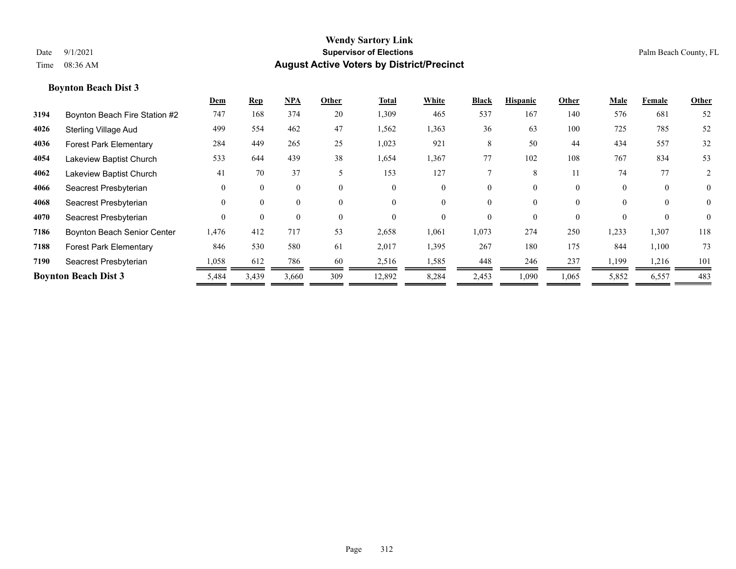|      |                               | Dem      | <b>Rep</b> | NPA      | Other    | <b>Total</b> | White    | <b>Black</b> | <b>Hispanic</b> | Other    | Male     | Female   | Other          |
|------|-------------------------------|----------|------------|----------|----------|--------------|----------|--------------|-----------------|----------|----------|----------|----------------|
| 3194 | Boynton Beach Fire Station #2 | 747      | 168        | 374      | 20       | 1,309        | 465      | 537          | 167             | 140      | 576      | 681      | 52             |
| 4026 | <b>Sterling Village Aud</b>   | 499      | 554        | 462      | 47       | 1,562        | 1,363    | 36           | 63              | 100      | 725      | 785      | 52             |
| 4036 | <b>Forest Park Elementary</b> | 284      | 449        | 265      | 25       | 1,023        | 921      | 8            | 50              | 44       | 434      | 557      | 32             |
| 4054 | Lakeview Baptist Church       | 533      | 644        | 439      | 38       | 1,654        | 1,367    | 77           | 102             | 108      | 767      | 834      | 53             |
| 4062 | Lakeview Baptist Church       | 41       | 70         | 37       | 5        | 153          | 127      |              | 8               | 11       | 74       | 77       | 2              |
| 4066 | Seacrest Presbyterian         | $\Omega$ | $\Omega$   | $\theta$ | $\theta$ | $\Omega$     | $\theta$ | 0            | 0               | $\theta$ | $\theta$ | $\theta$ | $\overline{0}$ |
| 4068 | Seacrest Presbyterian         | $\Omega$ | $\Omega$   | $\theta$ | $\theta$ | $\Omega$     | $\theta$ | 0            | $\theta$        | $\theta$ |          | $\theta$ | $\theta$       |
| 4070 | Seacrest Presbyterian         | $\Omega$ | $\Omega$   | $\theta$ | $\theta$ | $\Omega$     | $\theta$ | 0            | 0               | $\theta$ |          | $\theta$ | $\theta$       |
| 7186 | Boynton Beach Senior Center   | 1,476    | 412        | 717      | 53       | 2,658        | 1,061    | 1,073        | 274             | 250      | 1,233    | 1,307    | 118            |
| 7188 | <b>Forest Park Elementary</b> | 846      | 530        | 580      | 61       | 2,017        | 1,395    | 267          | 180             | 175      | 844      | 1,100    | 73             |
| 7190 | Seacrest Presbyterian         | 1,058    | 612        | 786      | 60       | 2,516        | 1,585    | 448          | 246             | 237      | 1,199    | 1,216    | 101            |
|      | <b>Boynton Beach Dist 3</b>   | 5,484    | 3,439      | 3,660    | 309      | 12,892       | 8,284    | 2,453        | 1,090           | 1,065    | 5,852    | 6,557    | 483            |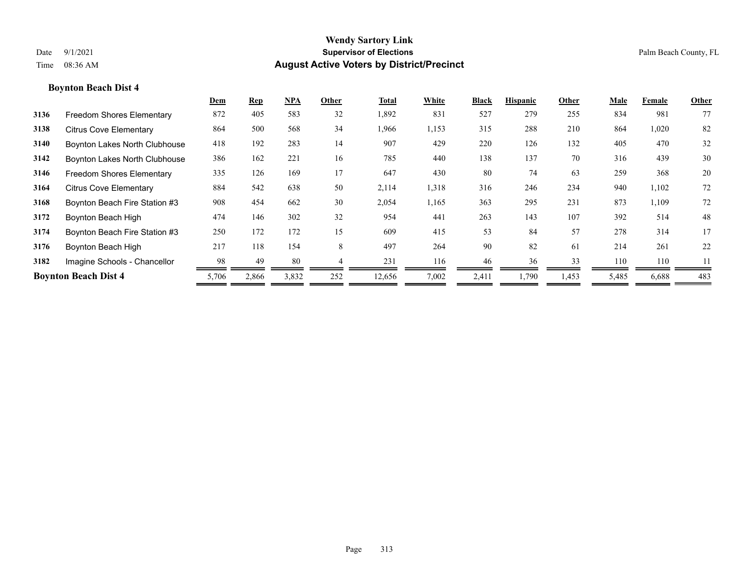|      |                                  | Dem   | <b>Rep</b> | $NPA$ | Other | Total  | White | <b>Black</b> | <b>Hispanic</b> | Other | Male  | Female | Other |
|------|----------------------------------|-------|------------|-------|-------|--------|-------|--------------|-----------------|-------|-------|--------|-------|
| 3136 | <b>Freedom Shores Elementary</b> | 872   | 405        | 583   | 32    | 1,892  | 831   | 527          | 279             | 255   | 834   | 981    | 77    |
| 3138 | <b>Citrus Cove Elementary</b>    | 864   | 500        | 568   | 34    | 1,966  | 1,153 | 315          | 288             | 210   | 864   | 1,020  | 82    |
| 3140 | Boynton Lakes North Clubhouse    | 418   | 192        | 283   | 14    | 907    | 429   | 220          | 126             | 132   | 405   | 470    | 32    |
| 3142 | Boynton Lakes North Clubhouse    | 386   | 162        | 221   | 16    | 785    | 440   | 138          | 137             | 70    | 316   | 439    | 30    |
| 3146 | <b>Freedom Shores Elementary</b> | 335   | 126        | 169   | 17    | 647    | 430   | 80           | 74              | 63    | 259   | 368    | 20    |
| 3164 | <b>Citrus Cove Elementary</b>    | 884   | 542        | 638   | 50    | 2,114  | 1,318 | 316          | 246             | 234   | 940   | 1,102  | 72    |
| 3168 | Boynton Beach Fire Station #3    | 908   | 454        | 662   | 30    | 2,054  | 1,165 | 363          | 295             | 231   | 873   | 1,109  | 72    |
| 3172 | Boynton Beach High               | 474   | 146        | 302   | 32    | 954    | 441   | 263          | 143             | 107   | 392   | 514    | 48    |
| 3174 | Boynton Beach Fire Station #3    | 250   | 172        | 172   | 15    | 609    | 415   | 53           | 84              | 57    | 278   | 314    | 17    |
| 3176 | Boynton Beach High               | 217   | 118        | 154   | 8     | 497    | 264   | 90           | 82              | 61    | 214   | 261    | 22    |
| 3182 | Imagine Schools - Chancellor     | 98    | 49         | 80    |       | 231    | 116   | 46           | 36              | 33    | 110   | 110    |       |
|      | <b>Boynton Beach Dist 4</b>      | 5,706 | 2,866      | 3,832 | 252   | 12,656 | 7,002 | 2,411        | 1,790           | 1,453 | 5,485 | 6,688  | 483   |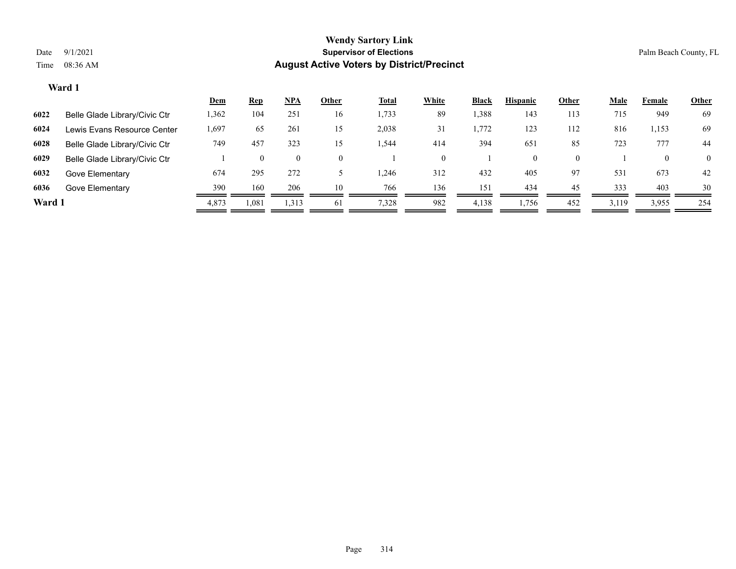|        |                               | <b>Dem</b> | <b>Rep</b> | $NPA$          | Other    | <b>Total</b> | <b>White</b> | Black | <b>Hispanic</b> | Other    | <b>Male</b> | Female | <b>Other</b>   |
|--------|-------------------------------|------------|------------|----------------|----------|--------------|--------------|-------|-----------------|----------|-------------|--------|----------------|
| 6022   | Belle Glade Library/Civic Ctr | 1,362      | 104        | 251            | 16       | 1,733        | 89           | .388  | 143             | 113      | 715         | 949    | 69             |
| 6024   | Lewis Evans Resource Center   | 1,697      | 65         | 261            | 15       | 2,038        | 31           | 1,772 | 123             | 112      | 816         | 1,153  | 69             |
| 6028   | Belle Glade Library/Civic Ctr | 749        | 457        | 323            |          | 1,544        | 414          | 394   | 651             | 85       | 723         | 777    | 44             |
| 6029   | Belle Glade Library/Civic Ctr |            | $\theta$   | $\overline{0}$ | $\theta$ |              | $\theta$     |       | $\theta$        | $\Omega$ |             |        | $\overline{0}$ |
| 6032   | Gove Elementary               | 674        | 295        | 272            |          | 1,246        | 312          | 432   | 405             | 97       | 531         | 673    | 42             |
| 6036   | Gove Elementary               | 390        | 160        | 206            | 10       | 766          | 136          | 151   | 434             | 45       | 333         | 403    | 30             |
| Ward 1 |                               | 4,873      | 1,081      | 1,313          | 61       | 7,328        | 982          | 4,138 | 1,756           | 452      | 3,119       | 3,955  | 254            |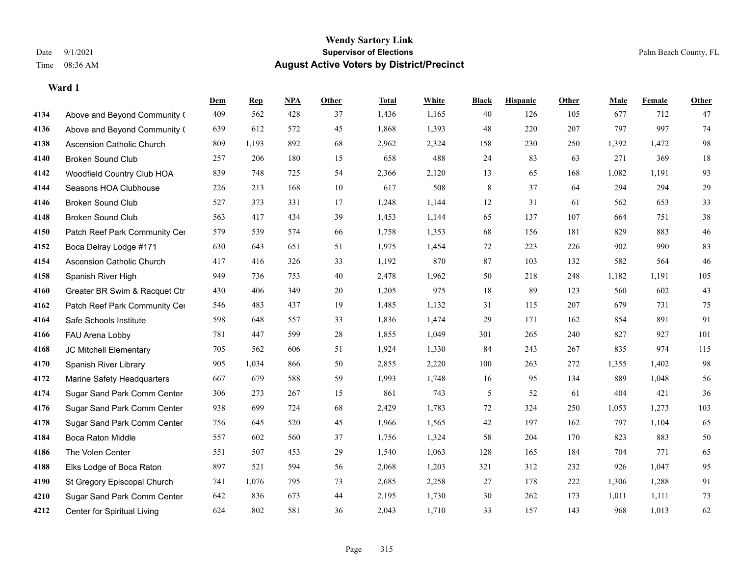|      |                                  | Dem | <b>Rep</b> | NPA | <b>Other</b> | <b>Total</b> | <b>White</b> | <b>Black</b> | <b>Hispanic</b> | <b>Other</b> | <b>Male</b> | <b>Female</b> | <b>Other</b>  |
|------|----------------------------------|-----|------------|-----|--------------|--------------|--------------|--------------|-----------------|--------------|-------------|---------------|---------------|
| 4134 | Above and Beyond Community (     | 409 | 562        | 428 | 37           | 1,436        | 1,165        | 40           | 126             | 105          | 677         | 712           | 47            |
| 4136 | Above and Beyond Community (     | 639 | 612        | 572 | 45           | 1,868        | 1,393        | 48           | 220             | 207          | 797         | 997           | 74            |
| 4138 | <b>Ascension Catholic Church</b> | 809 | 1,193      | 892 | 68           | 2,962        | 2,324        | 158          | 230             | 250          | 1,392       | 1,472         | 98            |
| 4140 | <b>Broken Sound Club</b>         | 257 | 206        | 180 | 15           | 658          | 488          | 24           | 83              | 63           | 271         | 369           | 18            |
| 4142 | Woodfield Country Club HOA       | 839 | 748        | 725 | 54           | 2,366        | 2,120        | 13           | 65              | 168          | 1,082       | 1,191         | 93            |
| 4144 | Seasons HOA Clubhouse            | 226 | 213        | 168 | 10           | 617          | 508          | 8            | 37              | 64           | 294         | 294           | 29            |
| 4146 | <b>Broken Sound Club</b>         | 527 | 373        | 331 | 17           | 1,248        | 1,144        | 12           | 31              | 61           | 562         | 653           | 33            |
| 4148 | <b>Broken Sound Club</b>         | 563 | 417        | 434 | 39           | 1,453        | 1,144        | 65           | 137             | 107          | 664         | 751           | $38\,$        |
| 4150 | Patch Reef Park Community Cer    | 579 | 539        | 574 | 66           | 1,758        | 1,353        | 68           | 156             | 181          | 829         | 883           | $46\,$        |
| 4152 | Boca Delray Lodge #171           | 630 | 643        | 651 | 51           | 1,975        | 1,454        | 72           | 223             | 226          | 902         | 990           | 83            |
| 4154 | <b>Ascension Catholic Church</b> | 417 | 416        | 326 | 33           | 1,192        | 870          | 87           | 103             | 132          | 582         | 564           | 46            |
| 4158 | Spanish River High               | 949 | 736        | 753 | 40           | 2,478        | 1,962        | 50           | 218             | 248          | 1,182       | 1,191         | 105           |
| 4160 | Greater BR Swim & Racquet Ctr    | 430 | 406        | 349 | 20           | 1,205        | 975          | 18           | 89              | 123          | 560         | 602           | 43            |
| 4162 | Patch Reef Park Community Cer    | 546 | 483        | 437 | 19           | 1,485        | 1,132        | 31           | 115             | 207          | 679         | 731           | 75            |
| 4164 | Safe Schools Institute           | 598 | 648        | 557 | 33           | 1,836        | 1,474        | 29           | 171             | 162          | 854         | 891           | 91            |
| 4166 | FAU Arena Lobby                  | 781 | 447        | 599 | 28           | 1,855        | 1,049        | 301          | 265             | 240          | 827         | 927           | 101           |
| 4168 | JC Mitchell Elementary           | 705 | 562        | 606 | 51           | 1,924        | 1,330        | 84           | 243             | 267          | 835         | 974           | 115           |
| 4170 | Spanish River Library            | 905 | 1,034      | 866 | 50           | 2,855        | 2,220        | 100          | 263             | 272          | 1,355       | 1,402         | $\mathbf{98}$ |
| 4172 | Marine Safety Headquarters       | 667 | 679        | 588 | 59           | 1,993        | 1,748        | 16           | 95              | 134          | 889         | 1,048         | 56            |
| 4174 | Sugar Sand Park Comm Center      | 306 | 273        | 267 | 15           | 861          | 743          | 5            | 52              | 61           | 404         | 421           | 36            |
| 4176 | Sugar Sand Park Comm Center      | 938 | 699        | 724 | 68           | 2,429        | 1,783        | 72           | 324             | 250          | 1,053       | 1,273         | 103           |
| 4178 | Sugar Sand Park Comm Center      | 756 | 645        | 520 | 45           | 1,966        | 1,565        | 42           | 197             | 162          | 797         | 1,104         | 65            |
| 4184 | <b>Boca Raton Middle</b>         | 557 | 602        | 560 | 37           | 1,756        | 1,324        | 58           | 204             | 170          | 823         | 883           | $50\,$        |
| 4186 | The Volen Center                 | 551 | 507        | 453 | 29           | 1,540        | 1,063        | 128          | 165             | 184          | 704         | 771           | 65            |
| 4188 | Elks Lodge of Boca Raton         | 897 | 521        | 594 | 56           | 2,068        | 1,203        | 321          | 312             | 232          | 926         | 1,047         | 95            |
| 4190 | St Gregory Episcopal Church      | 741 | 1,076      | 795 | 73           | 2,685        | 2,258        | 27           | 178             | 222          | 1,306       | 1,288         | 91            |
| 4210 | Sugar Sand Park Comm Center      | 642 | 836        | 673 | 44           | 2,195        | 1,730        | 30           | 262             | 173          | 1,011       | 1,111         | 73            |
| 4212 | Center for Spiritual Living      | 624 | 802        | 581 | 36           | 2,043        | 1,710        | 33           | 157             | 143          | 968         | 1,013         | 62            |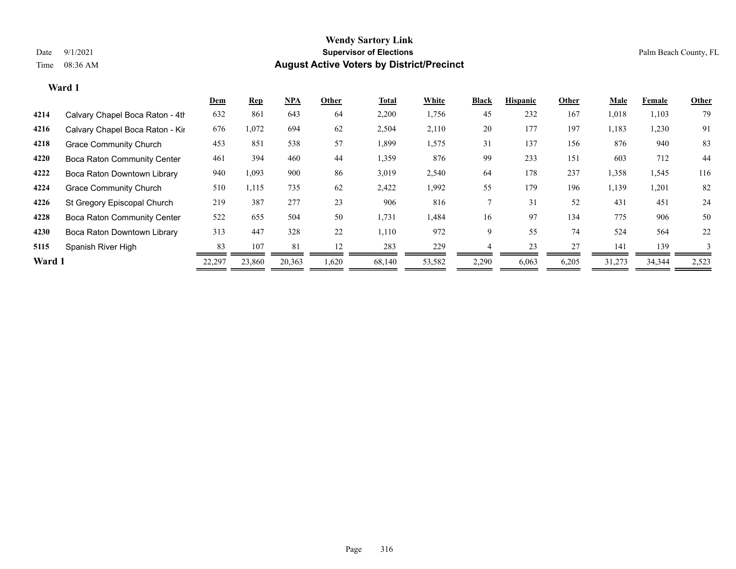|        |                                    | <u>Dem</u> | <b>Rep</b> | $NPA$  | Other | <b>Total</b> | White  | <b>Black</b> | <b>Hispanic</b> | Other | Male   | Female | Other |
|--------|------------------------------------|------------|------------|--------|-------|--------------|--------|--------------|-----------------|-------|--------|--------|-------|
| 4214   | Calvary Chapel Boca Raton - 4th    | 632        | 861        | 643    | 64    | 2,200        | 1,756  | 45           | 232             | 167   | 1,018  | 1,103  | 79    |
| 4216   | Calvary Chapel Boca Raton - Kir    | 676        | 1,072      | 694    | 62    | 2,504        | 2,110  | 20           | 177             | 197   | 1,183  | 1,230  | 91    |
| 4218   | <b>Grace Community Church</b>      | 453        | 851        | 538    | 57    | 1,899        | 1,575  | 31           | 137             | 156   | 876    | 940    | 83    |
| 4220   | <b>Boca Raton Community Center</b> | 461        | 394        | 460    | 44    | 1,359        | 876    | 99           | 233             | 151   | 603    | 712    | 44    |
| 4222   | Boca Raton Downtown Library        | 940        | 1,093      | 900    | 86    | 3,019        | 2,540  | 64           | 178             | 237   | 1,358  | 1,545  | 116   |
| 4224   | <b>Grace Community Church</b>      | 510        | 1,115      | 735    | 62    | 2,422        | 1,992  | 55           | 179             | 196   | 1,139  | 1,201  | 82    |
| 4226   | St Gregory Episcopal Church        | 219        | 387        | 277    | 23    | 906          | 816    |              | 31              | 52    | 431    | 451    | 24    |
| 4228   | <b>Boca Raton Community Center</b> | 522        | 655        | 504    | 50    | 1,731        | 1,484  | 16           | 97              | 134   | 775    | 906    | 50    |
| 4230   | Boca Raton Downtown Library        | 313        | 447        | 328    | 22    | 1,110        | 972    | 9            | 55              | 74    | 524    | 564    | 22    |
| 5115   | Spanish River High                 | 83         | 107        | 81     | 12    | 283          | 229    |              | 23              | 27    | 141    | 139    |       |
| Ward 1 |                                    | 22,297     | 23,860     | 20,363 | 1,620 | 68,140       | 53,582 | 2,290        | 6,063           | 6,205 | 31,273 | 34,344 | 2,523 |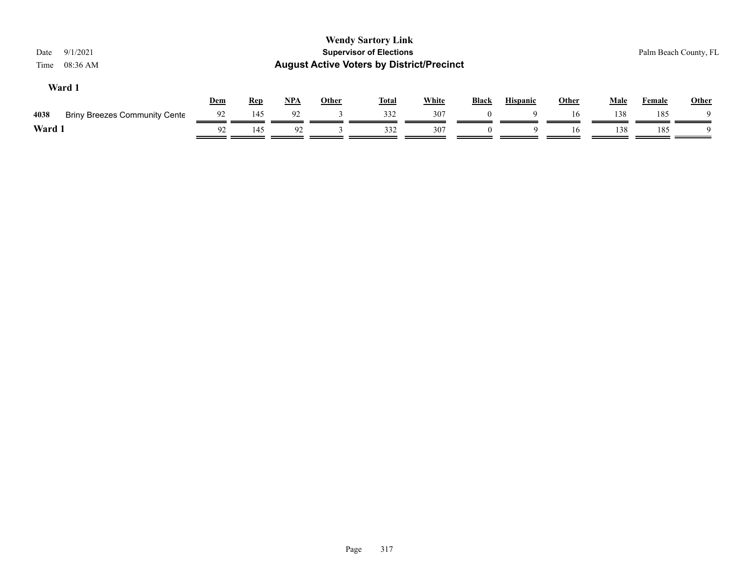| 9/1/2021<br>Date<br>08:36 AM<br>Time         |     |            |       |              | <b>Wendy Sartory Link</b><br><b>Supervisor of Elections</b><br><b>August Active Voters by District/Precinct</b> |              |              |                 |              |             |        | Palm Beach County, FL |
|----------------------------------------------|-----|------------|-------|--------------|-----------------------------------------------------------------------------------------------------------------|--------------|--------------|-----------------|--------------|-------------|--------|-----------------------|
| Ward 1                                       | Dem | <b>Rep</b> | $NPA$ | <b>Other</b> | <b>Total</b>                                                                                                    | <b>White</b> | <b>Black</b> | <b>Hispanic</b> | <b>Other</b> | <b>Male</b> | Female | <b>Other</b>          |
| <b>Briny Breezes Community Cente</b><br>4038 | 92  | 145        | 92    |              | 332                                                                                                             | 307          |              |                 | 16           | 138         | 185    |                       |
| Ward 1                                       | 92  | 145        | 92    |              | 332                                                                                                             | 307          | $\Omega$     | Q               | 16           | 138         | 185    | - Q                   |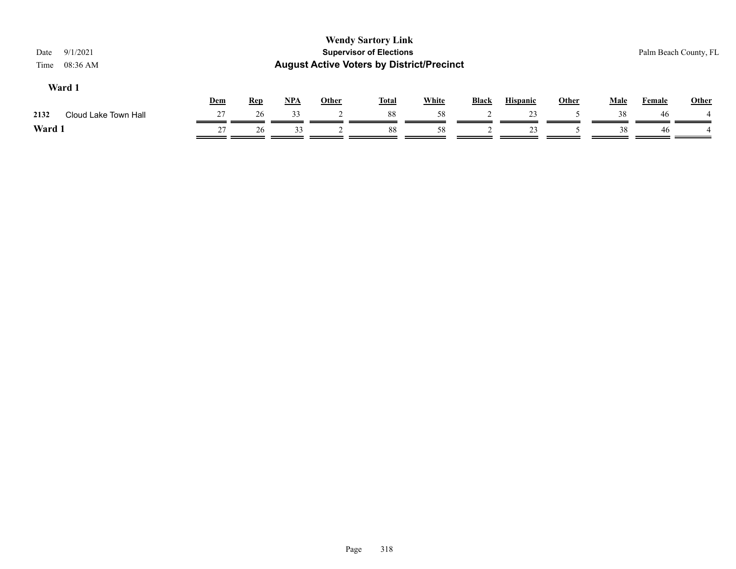| 9/1/2021<br>Date<br>08:36 AM<br>Time |            |            |            |              | <b>Wendy Sartory Link</b><br><b>Supervisor of Elections</b><br><b>August Active Voters by District/Precinct</b> |              |              |                 |       |             |               | Palm Beach County, FL |
|--------------------------------------|------------|------------|------------|--------------|-----------------------------------------------------------------------------------------------------------------|--------------|--------------|-----------------|-------|-------------|---------------|-----------------------|
| Ward 1                               | <b>Dem</b> | <b>Rep</b> | <u>NPA</u> | <b>Other</b> | <b>Total</b>                                                                                                    | <b>White</b> | <b>Black</b> | <b>Hispanic</b> | Other | <b>Male</b> | <b>Female</b> | <b>Other</b>          |
| 2132<br>Cloud Lake Town Hall         | 27         | 26         | 33         |              | 88                                                                                                              | 58           |              | 23              |       | 38          | 46            |                       |
| Ward 1                               | 27         | 26         | 33         |              | 88                                                                                                              | 58           |              | 23              |       | 38          | 46            |                       |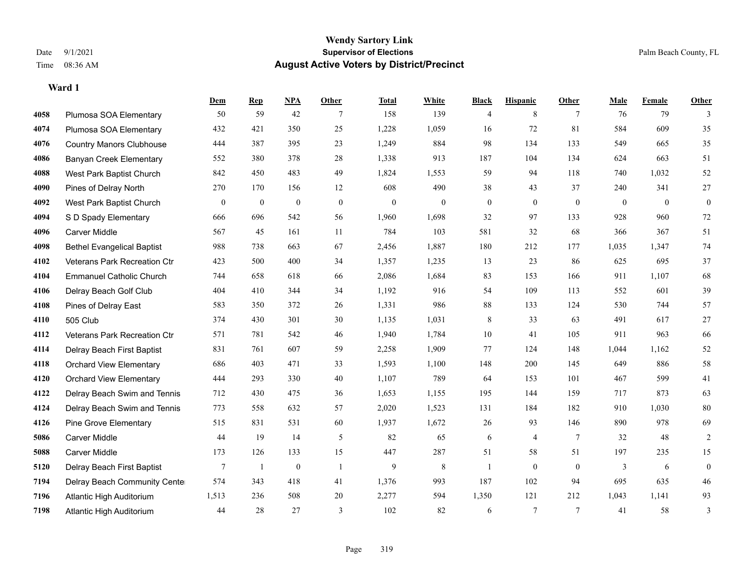**Ward 1**

#### **Wendy Sartory Link** Date 9/1/2021 **Supervisor of Elections** Palm Beach County, FL Time 08:36 AM **August Active Voters by District/Precinct**

|      |                                   | Dem          | <b>Rep</b>   | <b>NPA</b>   | Other            | <b>Total</b>     | White        | <b>Black</b>     | <b>Hispanic</b>  | Other           | Male           | Female       | <b>Other</b>     |
|------|-----------------------------------|--------------|--------------|--------------|------------------|------------------|--------------|------------------|------------------|-----------------|----------------|--------------|------------------|
| 4058 | Plumosa SOA Elementary            | 50           | 59           | 42           | 7                | 158              | 139          | 4                | 8                | 7               | 76             | 79           | 3                |
| 4074 | Plumosa SOA Elementary            | 432          | 421          | 350          | 25               | 1,228            | 1,059        | 16               | 72               | 81              | 584            | 609          | 35               |
| 4076 | <b>Country Manors Clubhouse</b>   | 444          | 387          | 395          | 23               | 1,249            | 884          | 98               | 134              | 133             | 549            | 665          | 35               |
| 4086 | <b>Banyan Creek Elementary</b>    | 552          | 380          | 378          | 28               | 1,338            | 913          | 187              | 104              | 134             | 624            | 663          | 51               |
| 4088 | West Park Baptist Church          | 842          | 450          | 483          | 49               | 1,824            | 1,553        | 59               | 94               | 118             | 740            | 1,032        | 52               |
| 4090 | Pines of Delray North             | 270          | 170          | 156          | 12               | 608              | 490          | 38               | 43               | 37              | 240            | 341          | 27               |
| 4092 | West Park Baptist Church          | $\mathbf{0}$ | $\mathbf{0}$ | $\bf{0}$     | $\boldsymbol{0}$ | $\boldsymbol{0}$ | $\mathbf{0}$ | $\boldsymbol{0}$ | $\mathbf{0}$     | $\mathbf{0}$    | $\overline{0}$ | $\mathbf{0}$ | $\boldsymbol{0}$ |
| 4094 | S D Spady Elementary              | 666          | 696          | 542          | 56               | 1,960            | 1,698        | 32               | 97               | 133             | 928            | 960          | 72               |
| 4096 | <b>Carver Middle</b>              | 567          | 45           | 161          | 11               | 784              | 103          | 581              | 32               | 68              | 366            | 367          | 51               |
| 4098 | <b>Bethel Evangelical Baptist</b> | 988          | 738          | 663          | 67               | 2,456            | 1,887        | 180              | 212              | 177             | 1,035          | 1,347        | 74               |
| 4102 | Veterans Park Recreation Ctr      | 423          | 500          | 400          | 34               | 1,357            | 1,235        | 13               | 23               | 86              | 625            | 695          | 37               |
| 4104 | <b>Emmanuel Catholic Church</b>   | 744          | 658          | 618          | 66               | 2,086            | 1,684        | 83               | 153              | 166             | 911            | 1,107        | 68               |
| 4106 | Delray Beach Golf Club            | 404          | 410          | 344          | 34               | 1,192            | 916          | 54               | 109              | 113             | 552            | 601          | 39               |
| 4108 | Pines of Delray East              | 583          | 350          | 372          | 26               | 1,331            | 986          | $88\,$           | 133              | 124             | 530            | 744          | 57               |
| 4110 | 505 Club                          | 374          | 430          | 301          | 30               | 1,135            | 1,031        | 8                | 33               | 63              | 491            | 617          | $27\,$           |
| 4112 | Veterans Park Recreation Ctr      | 571          | 781          | 542          | 46               | 1,940            | 1,784        | 10               | 41               | 105             | 911            | 963          | 66               |
| 4114 | Delray Beach First Baptist        | 831          | 761          | 607          | 59               | 2,258            | 1,909        | 77               | 124              | 148             | 1,044          | 1,162        | 52               |
| 4118 | <b>Orchard View Elementary</b>    | 686          | 403          | 471          | 33               | 1,593            | 1,100        | 148              | 200              | 145             | 649            | 886          | 58               |
| 4120 | <b>Orchard View Elementary</b>    | 444          | 293          | 330          | 40               | 1,107            | 789          | 64               | 153              | 101             | 467            | 599          | 41               |
| 4122 | Delray Beach Swim and Tennis      | 712          | 430          | 475          | 36               | 1,653            | 1,155        | 195              | 144              | 159             | 717            | 873          | 63               |
| 4124 | Delray Beach Swim and Tennis      | 773          | 558          | 632          | 57               | 2,020            | 1,523        | 131              | 184              | 182             | 910            | 1,030        | $80\,$           |
| 4126 | <b>Pine Grove Elementary</b>      | 515          | 831          | 531          | 60               | 1,937            | 1,672        | 26               | 93               | 146             | 890            | 978          | 69               |
| 5086 | <b>Carver Middle</b>              | 44           | 19           | 14           | 5                | 82               | 65           | 6                | 4                | $7\phantom{.0}$ | 32             | 48           | 2                |
| 5088 | Carver Middle                     | 173          | 126          | 133          | 15               | 447              | 287          | 51               | 58               | 51              | 197            | 235          | 15               |
| 5120 | Delray Beach First Baptist        | 7            | -1           | $\mathbf{0}$ | -1               | 9                | 8            | 1                | $\boldsymbol{0}$ | $\mathbf{0}$    | 3              | 6            | $\boldsymbol{0}$ |
| 7194 | Delray Beach Community Cente      | 574          | 343          | 418          | 41               | 1,376            | 993          | 187              | 102              | 94              | 695            | 635          | 46               |
| 7196 | Atlantic High Auditorium          | 1,513        | 236          | 508          | 20               | 2,277            | 594          | 1,350            | 121              | 212             | 1,043          | 1,141        | 93               |
| 7198 | Atlantic High Auditorium          | 44           | 28           | 27           | $\overline{3}$   | 102              | 82           | 6                | $7\phantom{.0}$  | $7\phantom{.0}$ | 41             | 58           | 3                |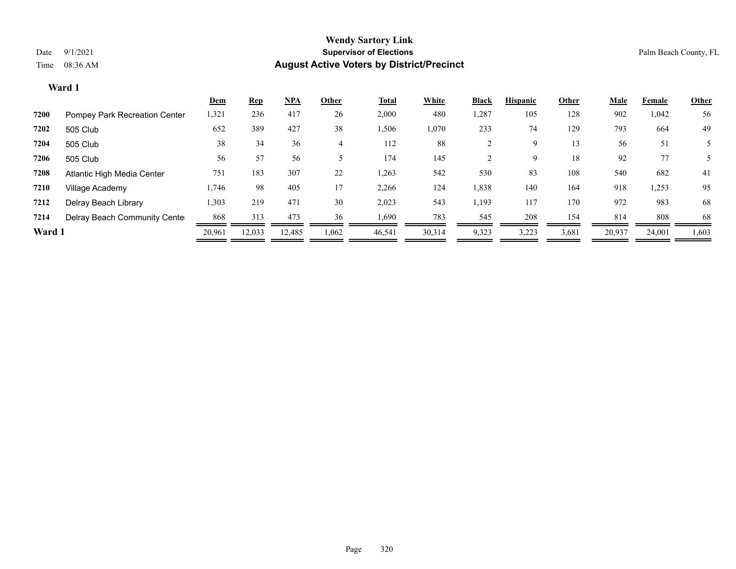|        | Ward 1                        |            |            |        |       |              |        |                |                 |       |        |        |              |
|--------|-------------------------------|------------|------------|--------|-------|--------------|--------|----------------|-----------------|-------|--------|--------|--------------|
|        |                               | <b>Dem</b> | <u>Rep</u> | $NPA$  | Other | <b>Total</b> | White  | Black          | <b>Hispanic</b> | Other | Male   | Female | <b>Other</b> |
| 7200   | Pompey Park Recreation Center | 1,321      | 236        | 417    | 26    | 2,000        | 480    | 1,287          | 105             | 128   | 902    | 1,042  | 56           |
| 7202   | 505 Club                      | 652        | 389        | 427    | 38    | 1,506        | 1,070  | 233            | 74              | 129   | 793    | 664    | 49           |
| 7204   | 505 Club                      | 38         | 34         | 36     | 4     | 112          | 88     | 2              | 9               | 13    | 56     | 51     |              |
| 7206   | 505 Club                      | 56         | 57         | 56     |       | 174          | 145    | $\overline{c}$ | 9               | 18    | 92     | 77     |              |
| 7208   | Atlantic High Media Center    | 751        | 183        | 307    | 22    | 1,263        | 542    | 530            | 83              | 108   | 540    | 682    | 41           |
| 7210   | Village Academy               | 1,746      | 98         | 405    | 17    | 2,266        | 124    | 1,838          | 140             | 164   | 918    | 1,253  | 95           |
| 7212   | Delray Beach Library          | 1,303      | 219        | 471    | 30    | 2,023        | 543    | 1,193          | 117             | 170   | 972    | 983    | 68           |
| 7214   | Delray Beach Community Cente  | 868        | 313        | 473    | 36    | 1,690        | 783    | 545            | 208             | 154   | 814    | 808    | 68           |
| Ward 1 |                               | 20,961     | 12,033     | 12,485 | 1,062 | 46,541       | 30,314 | 9,323          | 3,223           | 3,681 | 20,937 | 24,001 | 1,603        |
|        |                               |            |            |        |       |              |        |                |                 |       |        |        |              |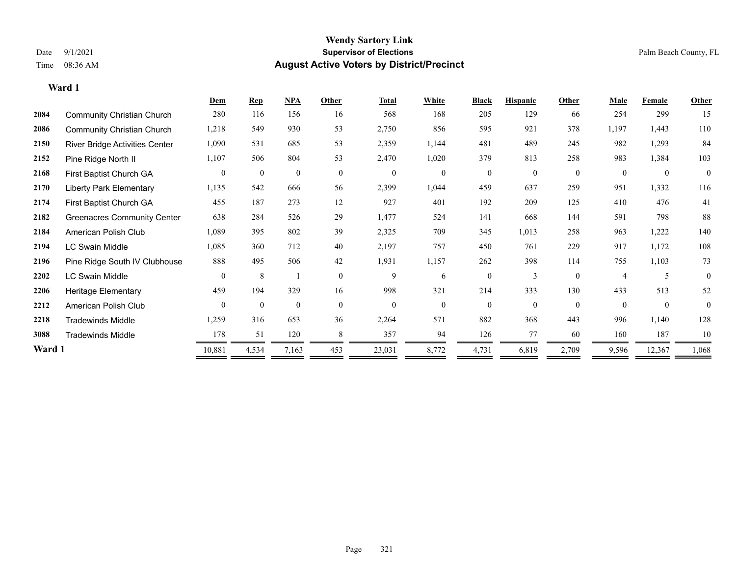|        |                                    | Dem            | <b>Rep</b>       | NPA          | Other          | <b>Total</b>     | White          | <b>Black</b>   | <b>Hispanic</b> | Other        | Male                     | Female         | Other        |
|--------|------------------------------------|----------------|------------------|--------------|----------------|------------------|----------------|----------------|-----------------|--------------|--------------------------|----------------|--------------|
| 2084   | <b>Community Christian Church</b>  | 280            | 116              | 156          | 16             | 568              | 168            | 205            | 129             | 66           | 254                      | 299            | 15           |
| 2086   | <b>Community Christian Church</b>  | 1,218          | 549              | 930          | 53             | 2,750            | 856            | 595            | 921             | 378          | 1,197                    | 1,443          | 110          |
| 2150   | River Bridge Activities Center     | 1,090          | 531              | 685          | 53             | 2,359            | 1,144          | 481            | 489             | 245          | 982                      | 1,293          | 84           |
| 2152   | Pine Ridge North II                | 1,107          | 506              | 804          | 53             | 2,470            | 1,020          | 379            | 813             | 258          | 983                      | 1,384          | 103          |
| 2168   | First Baptist Church GA            | $\overline{0}$ | $\boldsymbol{0}$ | $\mathbf{0}$ | $\overline{0}$ | $\boldsymbol{0}$ | $\overline{0}$ | $\mathbf{0}$   | $\overline{0}$  | $\mathbf{0}$ | $\theta$                 | $\mathbf{0}$   | $\mathbf{0}$ |
| 2170   | <b>Liberty Park Elementary</b>     | 1,135          | 542              | 666          | 56             | 2,399            | 1,044          | 459            | 637             | 259          | 951                      | 1,332          | 116          |
| 2174   | First Baptist Church GA            | 455            | 187              | 273          | 12             | 927              | 401            | 192            | 209             | 125          | 410                      | 476            | 41           |
| 2182   | <b>Greenacres Community Center</b> | 638            | 284              | 526          | 29             | 1,477            | 524            | 141            | 668             | 144          | 591                      | 798            | 88           |
| 2184   | American Polish Club               | 1,089          | 395              | 802          | 39             | 2,325            | 709            | 345            | 1,013           | 258          | 963                      | 1,222          | 140          |
| 2194   | <b>LC Swain Middle</b>             | 1,085          | 360              | 712          | 40             | 2,197            | 757            | 450            | 761             | 229          | 917                      | 1,172          | 108          |
| 2196   | Pine Ridge South IV Clubhouse      | 888            | 495              | 506          | 42             | 1,931            | 1,157          | 262            | 398             | 114          | 755                      | 1,103          | 73           |
| 2202   | <b>LC Swain Middle</b>             | $\Omega$       | 8                |              | $\theta$       | 9                | 6              | $\overline{0}$ | 3               | $\Omega$     | $\overline{\mathcal{A}}$ |                | $\theta$     |
| 2206   | Heritage Elementary                | 459            | 194              | 329          | 16             | 998              | 321            | 214            | 333             | 130          | 433                      | 513            | 52           |
| 2212   | American Polish Club               | $\theta$       | $\mathbf{0}$     | $\mathbf{0}$ | $\overline{0}$ | $\mathbf{0}$     | $\overline{0}$ | $\mathbf{0}$   | $\overline{0}$  | $\theta$     | $\theta$                 | $\overline{0}$ | $\theta$     |
| 2218   | <b>Tradewinds Middle</b>           | 1,259          | 316              | 653          | 36             | 2,264            | 571            | 882            | 368             | 443          | 996                      | 1,140          | 128          |
| 3088   | <b>Tradewinds Middle</b>           | 178            | 51               | 120          | 8              | 357              | 94             | 126            | 77              | 60           | 160                      | 187            | 10           |
| Ward 1 |                                    | 10,881         | 4,534            | 7,163        | 453            | 23,031           | 8,772          | 4,731          | 6,819           | 2,709        | 9,596                    | 12,367         | 1,068        |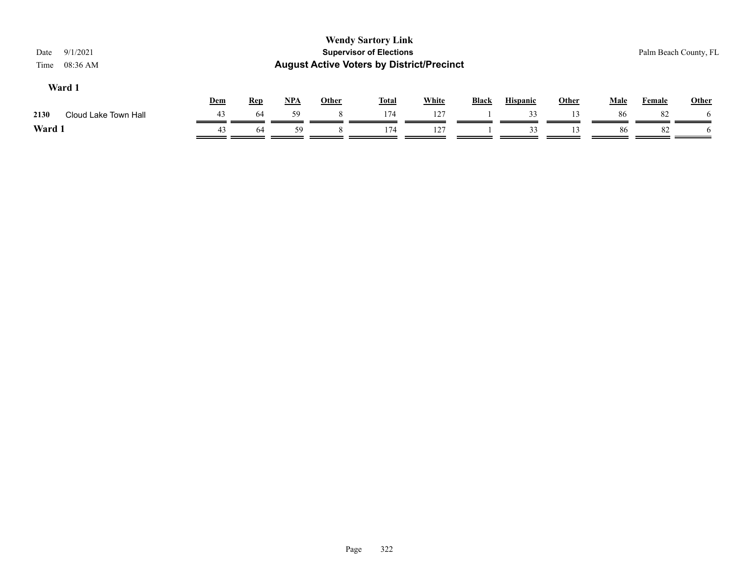| 9/1/2021<br>Date<br>08:36 AM<br>Time |            |            |       |              | <b>Wendy Sartory Link</b><br><b>Supervisor of Elections</b><br><b>August Active Voters by District/Precinct</b> |              |              |                 |              |             |               | Palm Beach County, FL |
|--------------------------------------|------------|------------|-------|--------------|-----------------------------------------------------------------------------------------------------------------|--------------|--------------|-----------------|--------------|-------------|---------------|-----------------------|
| Ward 1                               | <b>Dem</b> | <b>Rep</b> | $NPA$ | <b>Other</b> | <b>Total</b>                                                                                                    | <b>White</b> | <b>Black</b> | <b>Hispanic</b> | <b>Other</b> | <b>Male</b> | <b>Female</b> | Other                 |
| 2130<br>Cloud Lake Town Hall         | 43         | 64         | 59    | 8            | 174                                                                                                             | 127          |              | 33              |              | 86          | 82            |                       |
| Ward 1                               | 43         | 64         | 59    |              | 174                                                                                                             | 127          |              | 33              |              | 86          | 82            |                       |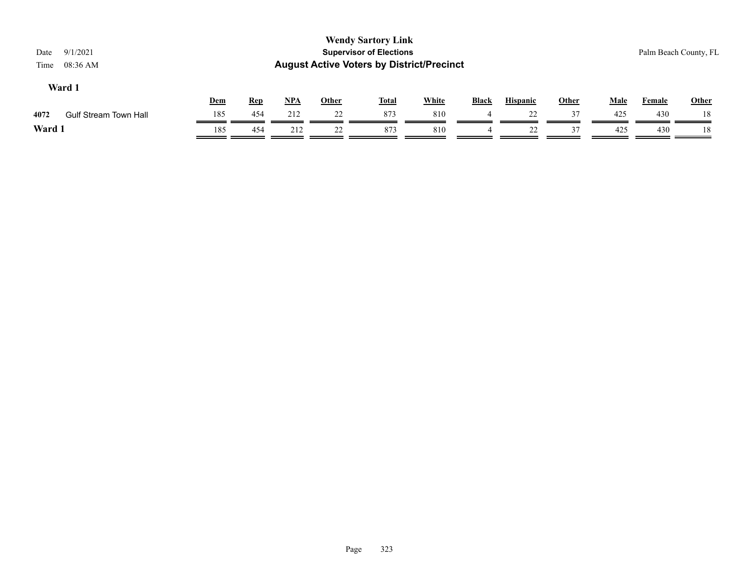| 9/1/2021<br>Date<br>$08:36$ AM<br>Time |                              |     |            |            |              | <b>Wendy Sartory Link</b><br><b>Supervisor of Elections</b><br><b>August Active Voters by District/Precinct</b> |              |              |                 |       |             |               | Palm Beach County, FL |  |
|----------------------------------------|------------------------------|-----|------------|------------|--------------|-----------------------------------------------------------------------------------------------------------------|--------------|--------------|-----------------|-------|-------------|---------------|-----------------------|--|
| Ward 1                                 |                              | Dem | <b>Rep</b> | <u>NPA</u> | <u>Other</u> | <u>Total</u>                                                                                                    | <b>White</b> | <b>Black</b> | <b>Hispanic</b> | Other | <b>Male</b> | <b>Female</b> | <b>Other</b>          |  |
| 4072                                   | <b>Gulf Stream Town Hall</b> | 185 | 454        | 212        | 22           | 873                                                                                                             | 810          |              | 22              | 37    | 425         | 430           | 18                    |  |
| Ward 1                                 |                              | 185 | 454        | 212        | 22           | 873                                                                                                             | 810          | 4            | 22              | 37    | 425         | 430           | 18                    |  |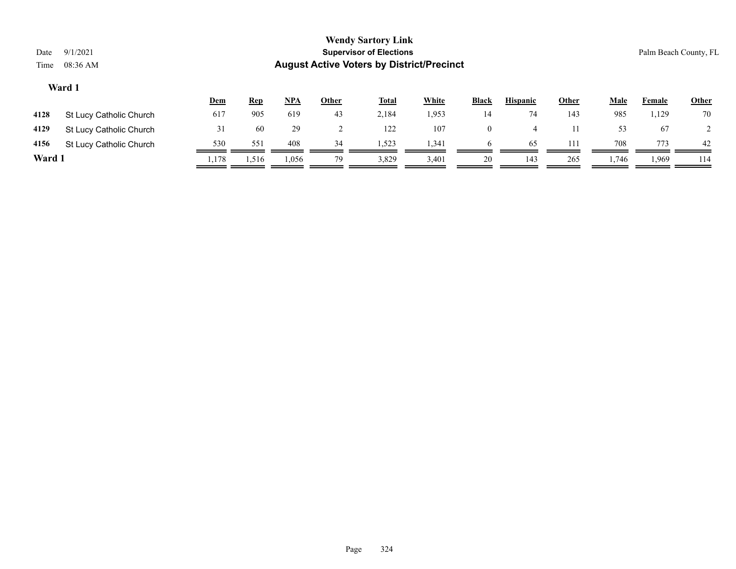| Date<br>Time | <b>Wendy Sartory Link</b><br><b>Supervisor of Elections</b><br>9/1/2021<br>Palm Beach County, FL<br><b>August Active Voters by District/Precinct</b><br>08:36 AM |            |            |            |              |              |       |                |                 |              |             |        |              |
|--------------|------------------------------------------------------------------------------------------------------------------------------------------------------------------|------------|------------|------------|--------------|--------------|-------|----------------|-----------------|--------------|-------------|--------|--------------|
|              | Ward 1                                                                                                                                                           |            |            |            |              |              |       |                |                 |              |             |        |              |
|              |                                                                                                                                                                  | <u>Dem</u> | <u>Rep</u> | <u>NPA</u> | <u>Other</u> | <b>Total</b> | White | <b>Black</b>   | <b>Hispanic</b> | <b>Other</b> | <b>Male</b> | Female | <b>Other</b> |
| 4128         | St Lucy Catholic Church                                                                                                                                          | 617        | 905        | 619        | 43           | 2,184        | 1,953 | 14             | 74              | 143          | 985         | 1,129  | 70           |
| 4129         | St Lucy Catholic Church                                                                                                                                          | 31         | 60         | 29         | ∠            | 122          | 107   | $\overline{0}$ | 4               |              | 53          | 67     |              |
| 4156         | St Lucy Catholic Church                                                                                                                                          | 530        | 551        | 408        | 34           | 1,523        | 1,341 |                | 65              | 111          | 708         | 773    | 42           |
| Ward 1       |                                                                                                                                                                  | .,178      | 1,516      | .056       | 79           | 3,829        | 3,401 | 20             | 143             | 265          | 1,746       | 1,969  | 114          |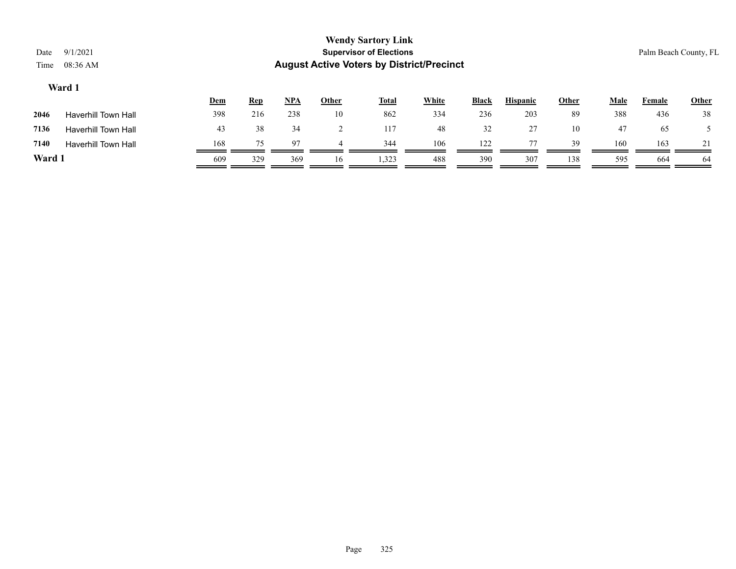| Date<br>Time | 9/1/2021<br>08:36 AM       |     |            |       |              | <b>Wendy Sartory Link</b><br><b>Supervisor of Elections</b><br><b>August Active Voters by District/Precinct</b> |              |       |                 |              |      | Palm Beach County, FL |              |
|--------------|----------------------------|-----|------------|-------|--------------|-----------------------------------------------------------------------------------------------------------------|--------------|-------|-----------------|--------------|------|-----------------------|--------------|
|              | Ward 1                     | Dem | <b>Rep</b> | $NPA$ | <b>Other</b> | <b>Total</b>                                                                                                    | <b>White</b> | Black | <b>Hispanic</b> | <b>Other</b> | Male | Female                | <b>Other</b> |
| 2046         | <b>Haverhill Town Hall</b> | 398 | 216        | 238   | 10           | 862                                                                                                             | 334          | 236   | 203             | 89           | 388  | 436                   | 38           |
| 7136         | <b>Haverhill Town Hall</b> | 43  | 38         | 34    | 2            | 117                                                                                                             | 48           | 32    | 27              | 10           | 47   | 65                    |              |
| 7140         | <b>Haverhill Town Hall</b> | 168 | 75         | 97    |              | 344                                                                                                             | 106          | 122   | 77              | 39           | 160  | 163                   | 21           |
| Ward 1       |                            | 609 | 329        | 369   | 16           | 1,323                                                                                                           | 488          | 390   | 307             | 138          | 595  | 664                   | -64          |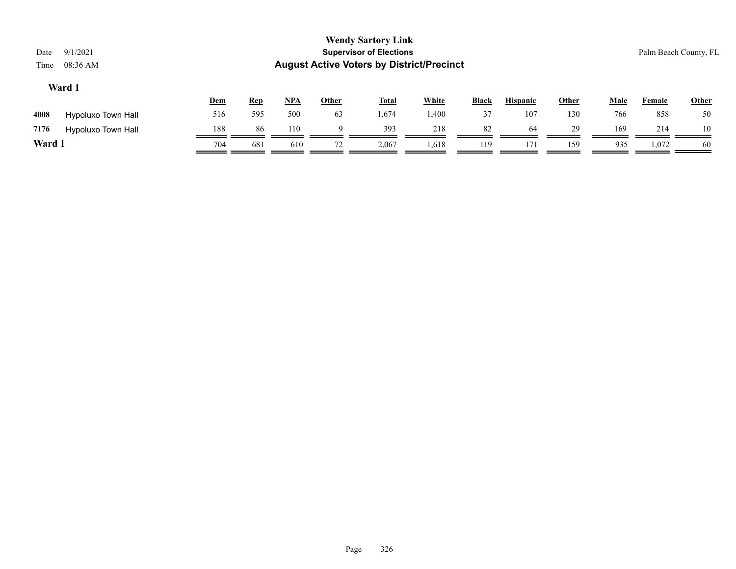|        | ******             |     |            |            |       |       |              |              |                 |       |      |        |              |
|--------|--------------------|-----|------------|------------|-------|-------|--------------|--------------|-----------------|-------|------|--------|--------------|
|        |                    | Dem | <u>Rep</u> | <u>NPA</u> | Other | Total | <b>White</b> | <b>Black</b> | <b>Hispanic</b> | Other | Male | Female | <b>Other</b> |
| 4008   | Hypoluxo Town Hall | 516 | 595        | 500        | 63    | .674  | ,400         | 37           | 107             | 130   | 766  | 858    | 50           |
| 7176   | Hypoluxo Town Hall | 188 | 86         | 110        |       | 393   | 218          | 82           | 64              | 29    | 169  | 214    | 10           |
| Ward 1 |                    | 704 | 681        | 610        | 72    | 2,067 | 1,618        | 119          | 171             | 159   | 935  | 1,072  | 60           |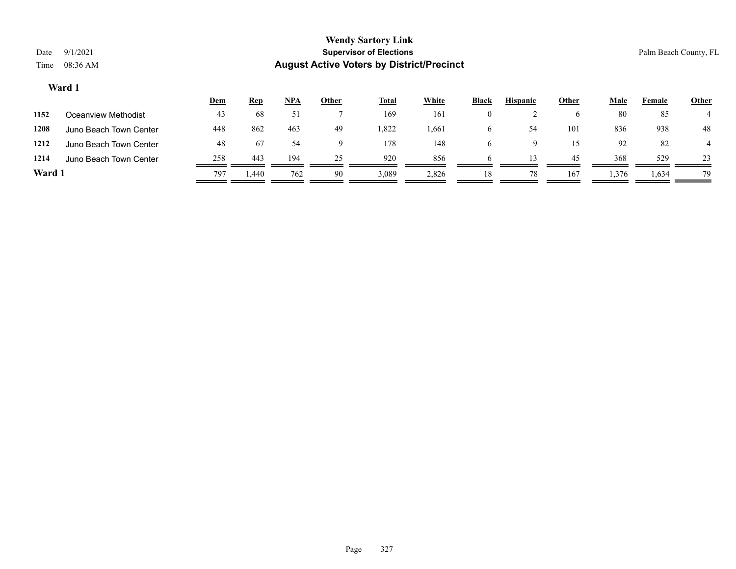|        |                        | <u>Dem</u> | <u>Rep</u> | NPA | <u>Other</u> | <b>Total</b> | White | <b>Black</b> | <b>Hispanic</b> | Other | Male  | Female | <b>Other</b> |
|--------|------------------------|------------|------------|-----|--------------|--------------|-------|--------------|-----------------|-------|-------|--------|--------------|
| 1152   | Oceanview Methodist    | 43         | 68         | 51  |              | 169          | 161   | $\theta$     |                 |       | 80    | 85     |              |
| 1208   | Juno Beach Town Center | 448        | 862        | 463 | 49           | 1,822        | 1,661 | <sub>0</sub> | 54              | 101   | 836   | 938    | 48           |
| 1212   | Juno Beach Town Center | 48         | 67         | 54  | Q            | 178          | 148   | h            | Ω               | 15    | 92    | 82     |              |
| 1214   | Juno Beach Town Center | 258        | 443        | 194 | 25           | 920          | 856   | h            |                 | 45    | 368   | 529    | 23           |
| Ward 1 |                        | 797        | 440.       | 762 | 90           | 3,089        | 2,826 | 18           | 78              | 167   | 1,376 | 1,634  | 79           |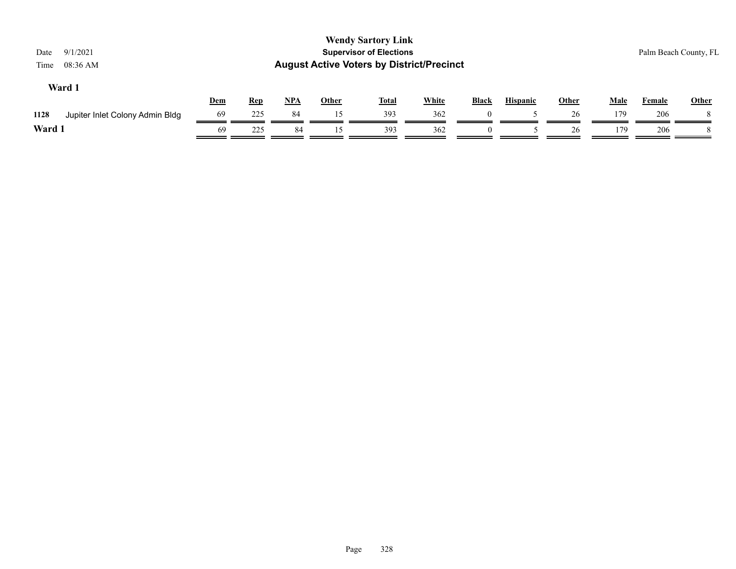| 9/1/2021<br>Date<br>08:36 AM<br>Time    |     |            |       |              | <b>Wendy Sartory Link</b><br><b>Supervisor of Elections</b><br><b>August Active Voters by District/Precinct</b> |              |              |                 |              |             | Palm Beach County, FL |              |
|-----------------------------------------|-----|------------|-------|--------------|-----------------------------------------------------------------------------------------------------------------|--------------|--------------|-----------------|--------------|-------------|-----------------------|--------------|
| Ward 1                                  | Dem | <b>Rep</b> | $NPA$ | <u>Other</u> | <b>Total</b>                                                                                                    | <b>White</b> | <b>Black</b> | <b>Hispanic</b> | <b>Other</b> | <b>Male</b> | Female                | <b>Other</b> |
| 1128<br>Jupiter Inlet Colony Admin Bldg | 69  | 225        | 84    | 15           | 393                                                                                                             | 362          |              |                 | 26           | 179         | 206                   |              |
| Ward 1                                  | 69  | 225        | 84    | 15           | 393                                                                                                             | 362          | $\theta$     |                 | 26           | 179         | 206                   |              |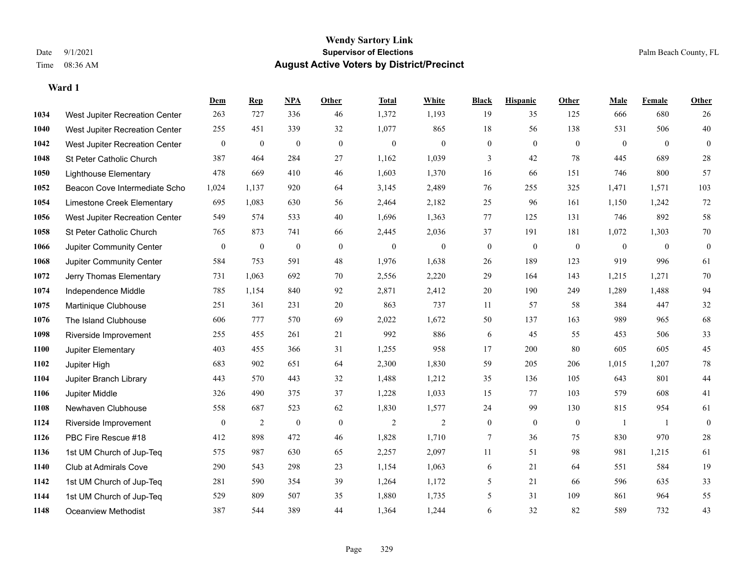|      |                                | Dem              | <b>Rep</b>       | NPA              | <b>Other</b> | <b>Total</b>     | <b>White</b>     | <b>Black</b>     | <b>Hispanic</b>  | <b>Other</b>     | <b>Male</b>    | <b>Female</b>  | Other            |
|------|--------------------------------|------------------|------------------|------------------|--------------|------------------|------------------|------------------|------------------|------------------|----------------|----------------|------------------|
| 1034 | West Jupiter Recreation Center | 263              | 727              | 336              | 46           | 1,372            | 1,193            | 19               | 35               | 125              | 666            | 680            | 26               |
| 1040 | West Jupiter Recreation Center | 255              | 451              | 339              | 32           | 1,077            | 865              | 18               | 56               | 138              | 531            | 506            | $40\,$           |
| 1042 | West Jupiter Recreation Center | $\mathbf{0}$     | $\boldsymbol{0}$ | $\boldsymbol{0}$ | $\mathbf{0}$ | $\boldsymbol{0}$ | $\boldsymbol{0}$ | $\boldsymbol{0}$ | $\overline{0}$   | $\overline{0}$   | $\overline{0}$ | $\overline{0}$ | $\boldsymbol{0}$ |
| 1048 | St Peter Catholic Church       | 387              | 464              | 284              | 27           | 1,162            | 1,039            | 3                | 42               | 78               | 445            | 689            | $28\,$           |
| 1050 | <b>Lighthouse Elementary</b>   | 478              | 669              | 410              | 46           | 1,603            | 1,370            | 16               | 66               | 151              | 746            | 800            | 57               |
| 1052 | Beacon Cove Intermediate Scho  | 1,024            | 1,137            | 920              | 64           | 3,145            | 2,489            | 76               | 255              | 325              | 1,471          | 1,571          | 103              |
| 1054 | Limestone Creek Elementary     | 695              | 1,083            | 630              | 56           | 2,464            | 2,182            | 25               | 96               | 161              | 1,150          | 1,242          | 72               |
| 1056 | West Jupiter Recreation Center | 549              | 574              | 533              | 40           | 1,696            | 1,363            | 77               | 125              | 131              | 746            | 892            | 58               |
| 1058 | St Peter Catholic Church       | 765              | 873              | 741              | 66           | 2,445            | 2,036            | 37               | 191              | 181              | 1,072          | 1,303          | $70\,$           |
| 1066 | Jupiter Community Center       | $\bf{0}$         | $\boldsymbol{0}$ | $\boldsymbol{0}$ | $\mathbf{0}$ | $\mathbf{0}$     | $\mathbf{0}$     | $\boldsymbol{0}$ | $\boldsymbol{0}$ | $\mathbf{0}$     | $\mathbf{0}$   | $\overline{0}$ | $\boldsymbol{0}$ |
| 1068 | Jupiter Community Center       | 584              | 753              | 591              | 48           | 1,976            | 1,638            | 26               | 189              | 123              | 919            | 996            | 61               |
| 1072 | Jerry Thomas Elementary        | 731              | 1,063            | 692              | 70           | 2,556            | 2,220            | 29               | 164              | 143              | 1,215          | 1,271          | 70               |
| 1074 | Independence Middle            | 785              | 1,154            | 840              | 92           | 2,871            | 2,412            | $20\,$           | 190              | 249              | 1,289          | 1,488          | 94               |
| 1075 | Martinique Clubhouse           | 251              | 361              | 231              | $20\,$       | 863              | 737              | 11               | 57               | 58               | 384            | 447            | $32\,$           |
| 1076 | The Island Clubhouse           | 606              | 777              | 570              | 69           | 2,022            | 1,672            | 50               | 137              | 163              | 989            | 965            | 68               |
| 1098 | Riverside Improvement          | 255              | 455              | 261              | 21           | 992              | 886              | 6                | 45               | 55               | 453            | 506            | 33               |
| 1100 | Jupiter Elementary             | 403              | 455              | 366              | 31           | 1,255            | 958              | 17               | 200              | 80               | 605            | 605            | 45               |
| 1102 | Jupiter High                   | 683              | 902              | 651              | 64           | 2,300            | 1,830            | 59               | 205              | 206              | 1,015          | 1,207          | $78\,$           |
| 1104 | Jupiter Branch Library         | 443              | 570              | 443              | 32           | 1,488            | 1,212            | 35               | 136              | 105              | 643            | 801            | 44               |
| 1106 | Jupiter Middle                 | 326              | 490              | 375              | 37           | 1,228            | 1,033            | 15               | 77               | 103              | 579            | 608            | 41               |
| 1108 | Newhaven Clubhouse             | 558              | 687              | 523              | 62           | 1,830            | 1,577            | 24               | 99               | 130              | 815            | 954            | 61               |
| 1124 | Riverside Improvement          | $\boldsymbol{0}$ | $\mathfrak{2}$   | $\boldsymbol{0}$ | $\mathbf{0}$ | $\overline{2}$   | $\mathbf{2}$     | $\boldsymbol{0}$ | $\mathbf{0}$     | $\boldsymbol{0}$ | -1             | 1              | $\overline{0}$   |
| 1126 | PBC Fire Rescue #18            | 412              | 898              | 472              | 46           | 1,828            | 1,710            | 7                | 36               | 75               | 830            | 970            | $28\,$           |
| 1136 | 1st UM Church of Jup-Teq       | 575              | 987              | 630              | 65           | 2,257            | 2,097            | 11               | 51               | 98               | 981            | 1,215          | 61               |
| 1140 | Club at Admirals Cove          | 290              | 543              | 298              | 23           | 1,154            | 1,063            | 6                | 21               | 64               | 551            | 584            | 19               |
| 1142 | 1st UM Church of Jup-Teq       | 281              | 590              | 354              | 39           | 1,264            | 1,172            | 5                | 21               | 66               | 596            | 635            | 33               |
| 1144 | 1st UM Church of Jup-Teq       | 529              | 809              | 507              | 35           | 1,880            | 1,735            | 5                | 31               | 109              | 861            | 964            | 55               |
| 1148 | Oceanview Methodist            | 387              | 544              | 389              | 44           | 1,364            | 1,244            | 6                | 32               | 82               | 589            | 732            | 43               |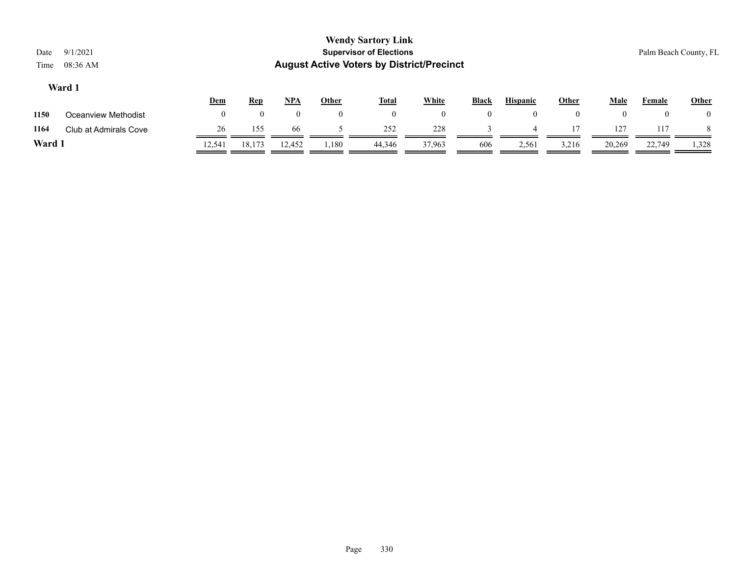|                         | <b>Wendy Sartory Link</b>                        |                       |
|-------------------------|--------------------------------------------------|-----------------------|
| Date 9/1/2021           | <b>Supervisor of Elections</b>                   | Palm Beach County, FL |
| Time $08:36 \text{ AM}$ | <b>August Active Voters by District/Precinct</b> |                       |
| Ward 1                  |                                                  |                       |

|        |                       | <u>Dem</u> | <b>Rep</b> | <b>NPA</b> | Other | <b>Total</b> | White  | <b>Black</b> | <b>Hispanic</b> | Other | Male   | Female | <u>Other</u> |
|--------|-----------------------|------------|------------|------------|-------|--------------|--------|--------------|-----------------|-------|--------|--------|--------------|
| 1150   | Oceanview Methodist   |            |            |            |       |              |        |              |                 |       |        | $_{0}$ | $\theta$     |
| 1164   | Club at Admirals Cove | 26         | 155        | 66         |       | 252          | 228    |              |                 |       | 127    | 117    |              |
| Ward 1 |                       | 12.541     | 18,173     | 12,452     | 1,180 | 44,346       | 37,963 | 606          | 2,561           | 3,216 | 20,269 | 22,749 | 1,328        |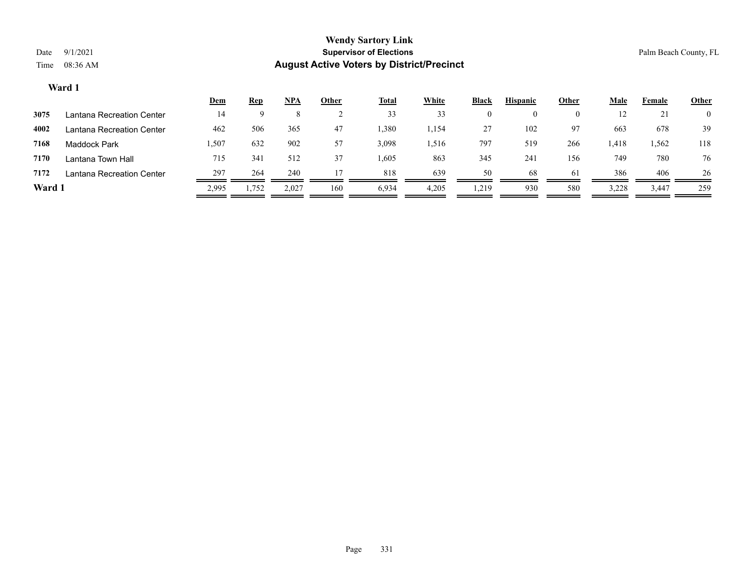|        |                           | <u>Dem</u> | <b>Rep</b> | <u>NPA</u> | Other | <u>Total</u> | White | <b>Black</b> | <b>Hispanic</b> | Other    | Male  | Female | <b>Other</b>   |
|--------|---------------------------|------------|------------|------------|-------|--------------|-------|--------------|-----------------|----------|-------|--------|----------------|
| 3075   | Lantana Recreation Center | 14         |            |            |       | 33           | 33    | $\theta$     |                 | $\theta$ | 14    | 21     | $\overline{0}$ |
| 4002   | Lantana Recreation Center | 462        | 506        | 365        | 47    | 1,380        | 1,154 | 27           | 102             | 97       | 663   | 678    | 39             |
| 7168   | <b>Maddock Park</b>       | 1,507      | 632        | 902        | 57    | 3,098        | .,516 | 797          | 519             | 266      | 1,418 | 1,562  | 118            |
| 7170   | Lantana Town Hall         | 715        | 341        | 512        | 37    | .605         | 863   | 345          | 241             | 156      | 749   | 780    | 76             |
| 7172   | Lantana Recreation Center | 297        | 264        | 240        |       | 818          | 639   | 50           | 68              | 61       | 386   | 406    | 26             |
| Ward 1 |                           | 2,995      | 1,752      | 2,027      | 160   | 6,934        | 4,205 | .219         | 930             | 580      | 3,228 | 3,447  | 259            |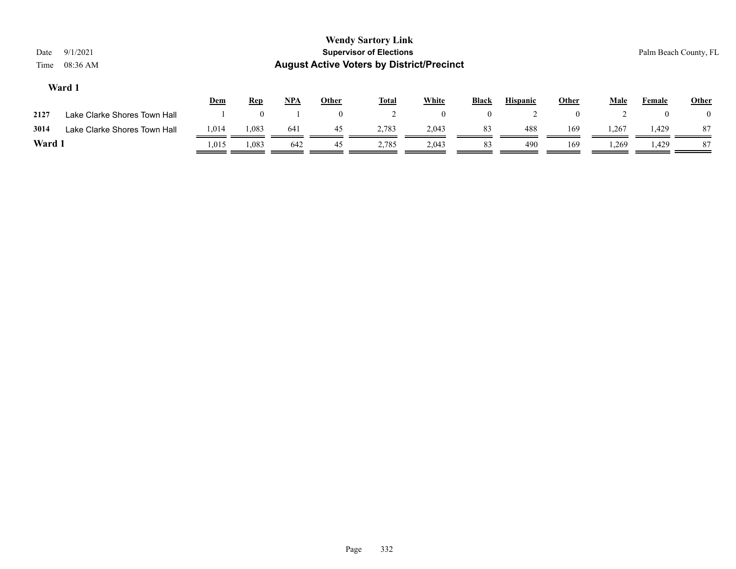| Date<br>Time | 9/1/2021<br>08:36 AM         |            |            |            |              | <b>Wendy Sartory Link</b><br><b>Supervisor of Elections</b><br><b>August Active Voters by District/Precinct</b> |              |              |                 |              |             |          | Palm Beach County, FL |
|--------------|------------------------------|------------|------------|------------|--------------|-----------------------------------------------------------------------------------------------------------------|--------------|--------------|-----------------|--------------|-------------|----------|-----------------------|
|              | Ward 1                       | <b>Dem</b> | <u>Rep</u> | <b>NPA</b> | <b>Other</b> | <b>Total</b>                                                                                                    | White        | Black        | <b>Hispanic</b> | <b>Other</b> | <b>Male</b> | Female   | <b>Other</b>          |
| 2127         | Lake Clarke Shores Town Hall |            |            |            | $\mathbf{0}$ |                                                                                                                 | $\mathbf{0}$ | $\mathbf{0}$ | ∠               |              | ∠           | $\theta$ |                       |
| 3014         | Lake Clarke Shores Town Hall | 1,014      | 1,083      | 641        | 45           | 2,783                                                                                                           | 2,043        | 83           | 488             | 169          | 1,267       | 1,429    | 87                    |
| Ward 1       |                              | 1,015      | 1,083      | 642        | 45           | 2,785                                                                                                           | 2,043        | 83           | 490             | 169          | 1,269       | 1,429    | 87                    |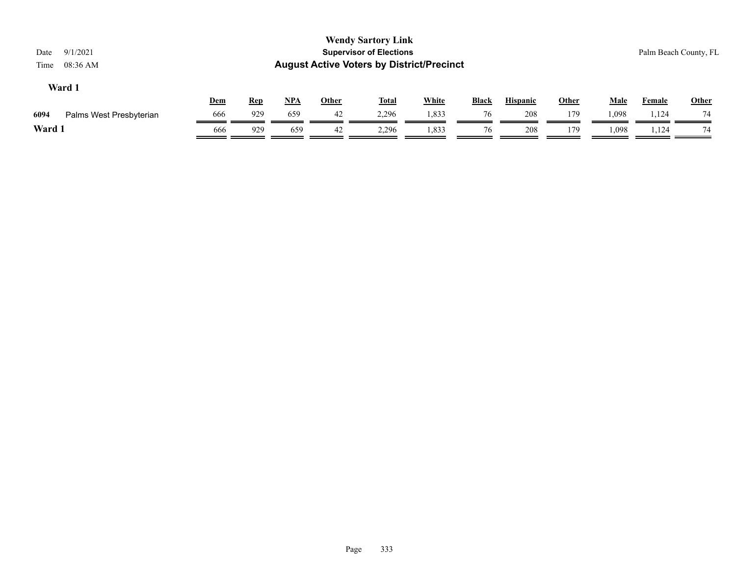| 9/1/2021<br>Date<br>08:36 AM<br>Time |     |            |            |              | <b>Wendy Sartory Link</b><br><b>Supervisor of Elections</b><br><b>August Active Voters by District/Precinct</b> |              |              |                 |       |             |               | Palm Beach County, FL |
|--------------------------------------|-----|------------|------------|--------------|-----------------------------------------------------------------------------------------------------------------|--------------|--------------|-----------------|-------|-------------|---------------|-----------------------|
| Ward 1                               | Dem | <u>Rep</u> | <u>NPA</u> | <b>Other</b> | <b>Total</b>                                                                                                    | <b>White</b> | <b>Black</b> | <b>Hispanic</b> | Other | <u>Male</u> | <b>Female</b> | <b>Other</b>          |
| 6094<br>Palms West Presbyterian      | 666 | 929        | 659        | 42           | 2,296                                                                                                           | 1,833        | 76           | 208             | 179   | 1,098       | 1,124         | 74                    |
| Ward 1                               | 666 | 929        | 659        | 42           | 2,296                                                                                                           | 1,833        | 76           | 208             | 179   | 1,098       | 1,124         | 74                    |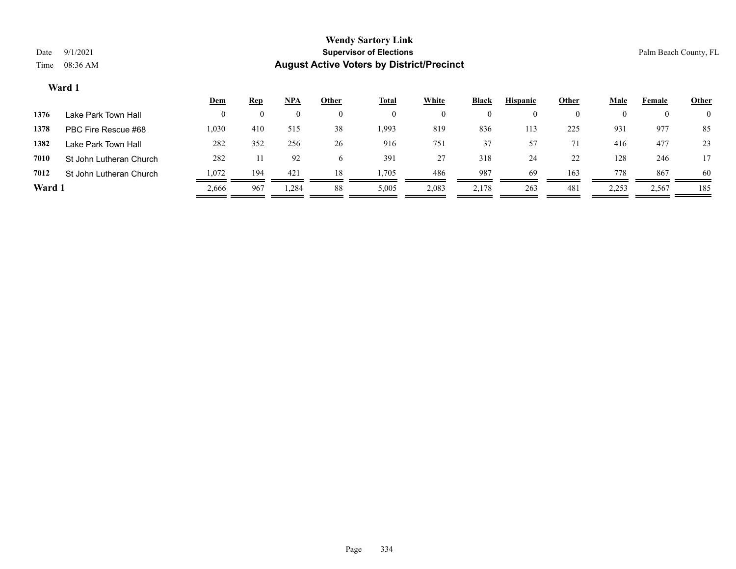|        |                         | <u>Dem</u> | <u>Rep</u> | NPA   | Other | <u>Total</u> | White    | Black | <b>Hispanic</b> | Other    | Male  | Female | <b>Other</b>   |
|--------|-------------------------|------------|------------|-------|-------|--------------|----------|-------|-----------------|----------|-------|--------|----------------|
| 1376   | Lake Park Town Hall     |            |            |       |       |              | $\theta$ |       |                 | $\theta$ |       |        | $\overline{0}$ |
| 1378   | PBC Fire Rescue #68     | 1,030      | 410        | 515   | 38    | 1,993        | 819      | 836   | 113             | 225      | 931   | 977    | 85             |
| 1382   | Lake Park Town Hall     | 282        | 352        | 256   | 26    | 916          | 751      | 37    | 57              |          | 416   | 477    | 23             |
| 7010   | St John Lutheran Church | 282        |            | 92    | 6     | 391          | 27       | 318   | 24              | 22       | 128   | 246    | 17             |
| 7012   | St John Lutheran Church | 1,072      | 194        | 421   | 18    | .,705        | 486      | 987   | 69              | 163      | 778   | 867    | 60             |
| Ward 1 |                         | 2,666      | 967        | 1,284 | 88    | 5,005        | 2,083    | 2,178 | 263             | 481      | 2,253 | 2,567  | 185            |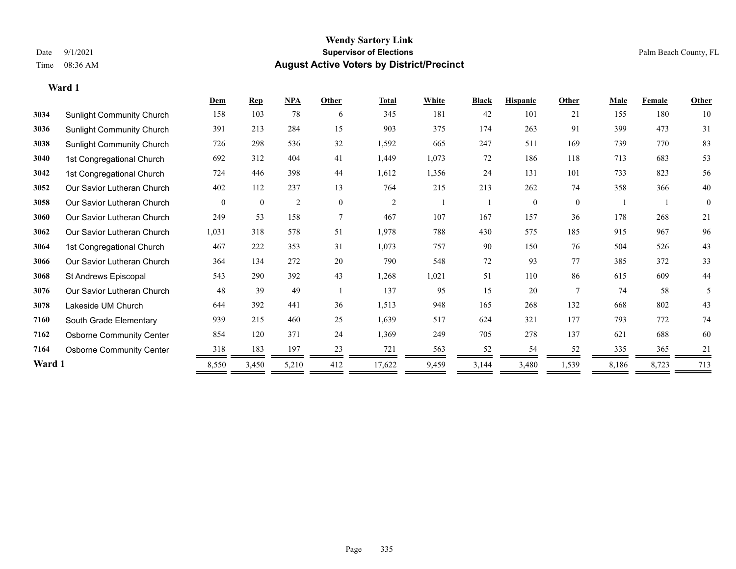|        |                                  | Dem      | <b>Rep</b>   | NPA            | Other    | <b>Total</b>   | White | <b>Black</b> | <b>Hispanic</b> | Other    | <b>Male</b> | <b>Female</b> | <b>Other</b> |
|--------|----------------------------------|----------|--------------|----------------|----------|----------------|-------|--------------|-----------------|----------|-------------|---------------|--------------|
| 3034   | Sunlight Community Church        | 158      | 103          | 78             | 6        | 345            | 181   | 42           | 101             | 21       | 155         | 180           | 10           |
| 3036   | Sunlight Community Church        | 391      | 213          | 284            | 15       | 903            | 375   | 174          | 263             | 91       | 399         | 473           | 31           |
| 3038   | <b>Sunlight Community Church</b> | 726      | 298          | 536            | 32       | 1,592          | 665   | 247          | 511             | 169      | 739         | 770           | 83           |
| 3040   | 1st Congregational Church        | 692      | 312          | 404            | 41       | 1,449          | 1,073 | 72           | 186             | 118      | 713         | 683           | 53           |
| 3042   | 1st Congregational Church        | 724      | 446          | 398            | 44       | 1,612          | 1,356 | 24           | 131             | 101      | 733         | 823           | 56           |
| 3052   | Our Savior Lutheran Church       | 402      | 112          | 237            | 13       | 764            | 215   | 213          | 262             | 74       | 358         | 366           | 40           |
| 3058   | Our Savior Lutheran Church       | $\theta$ | $\mathbf{0}$ | $\overline{2}$ | $\theta$ | $\overline{2}$ |       |              | $\theta$        | $\theta$ |             |               | $\theta$     |
| 3060   | Our Savior Lutheran Church       | 249      | 53           | 158            | $\tau$   | 467            | 107   | 167          | 157             | 36       | 178         | 268           | 21           |
| 3062   | Our Savior Lutheran Church       | 1,031    | 318          | 578            | 51       | 1,978          | 788   | 430          | 575             | 185      | 915         | 967           | 96           |
| 3064   | 1st Congregational Church        | 467      | 222          | 353            | 31       | 1,073          | 757   | 90           | 150             | 76       | 504         | 526           | 43           |
| 3066   | Our Savior Lutheran Church       | 364      | 134          | 272            | 20       | 790            | 548   | 72           | 93              | 77       | 385         | 372           | 33           |
| 3068   | St Andrews Episcopal             | 543      | 290          | 392            | 43       | 1,268          | 1,021 | 51           | 110             | 86       | 615         | 609           | 44           |
| 3076   | Our Savior Lutheran Church       | 48       | 39           | 49             |          | 137            | 95    | 15           | 20              |          | 74          | 58            | 5            |
| 3078   | Lakeside UM Church               | 644      | 392          | 441            | 36       | 1,513          | 948   | 165          | 268             | 132      | 668         | 802           | 43           |
| 7160   | South Grade Elementary           | 939      | 215          | 460            | 25       | 1,639          | 517   | 624          | 321             | 177      | 793         | 772           | 74           |
| 7162   | <b>Osborne Community Center</b>  | 854      | 120          | 371            | 24       | 1,369          | 249   | 705          | 278             | 137      | 621         | 688           | 60           |
| 7164   | <b>Osborne Community Center</b>  | 318      | 183          | 197            | 23       | 721            | 563   | 52           | 54              | 52       | 335         | 365           | 21           |
| Ward 1 |                                  | 8,550    | 3,450        | 5,210          | 412      | 17,622         | 9,459 | 3,144        | 3,480           | 1,539    | 8,186       | 8,723         | 713          |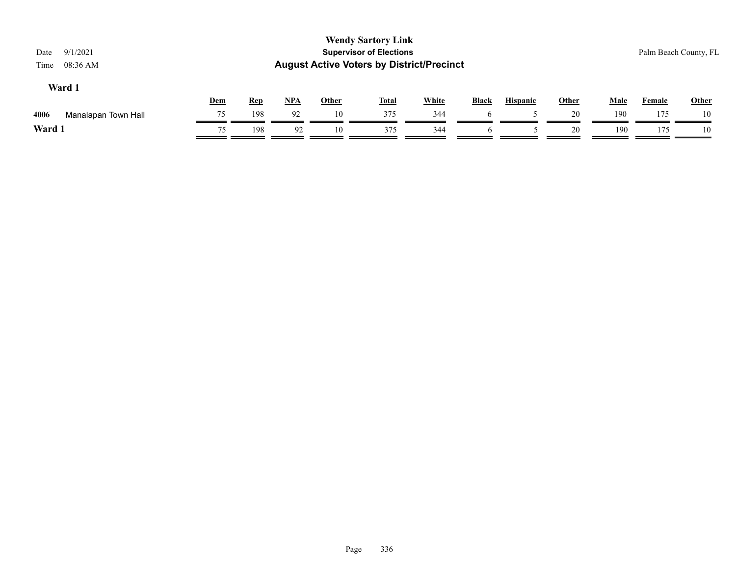| 9/1/2021<br>Date<br>08:36 AM<br>Time |            |            |     |       | <b>Wendy Sartory Link</b><br><b>Supervisor of Elections</b><br><b>August Active Voters by District/Precinct</b> |              |              |                 |       |             |               | Palm Beach County, FL |
|--------------------------------------|------------|------------|-----|-------|-----------------------------------------------------------------------------------------------------------------|--------------|--------------|-----------------|-------|-------------|---------------|-----------------------|
| Ward 1                               | <b>Dem</b> | <u>Rep</u> | NPA | Other | <u>Total</u>                                                                                                    | <b>White</b> | <b>Black</b> | <b>Hispanic</b> | Other | <u>Male</u> | <b>Female</b> | <b>Other</b>          |
| 4006<br>Manalapan Town Hall          | 75         | 198        | 92  | 10    | 375                                                                                                             | 344          |              |                 | 20    | 190         | 175           | 10                    |
| Ward 1                               | 75         | 198        | 92  | 10    | 375                                                                                                             | 344          | <sub>0</sub> |                 | 20    | 190         | 175           | 10                    |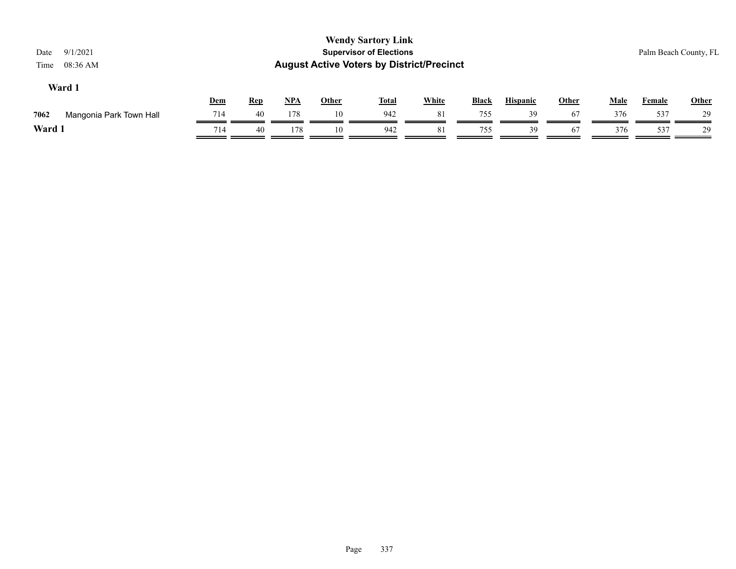| 9/1/2021<br>Date<br>08:36 AM<br>Time |            |            |            |              | <b>Wendy Sartory Link</b><br><b>Supervisor of Elections</b><br><b>August Active Voters by District/Precinct</b> |              |              |                 |              |             | Palm Beach County, FL |              |
|--------------------------------------|------------|------------|------------|--------------|-----------------------------------------------------------------------------------------------------------------|--------------|--------------|-----------------|--------------|-------------|-----------------------|--------------|
| Ward 1                               | <b>Dem</b> | <u>Rep</u> | <u>NPA</u> | <b>Other</b> | <u>Total</u>                                                                                                    | <b>White</b> | <b>Black</b> | <b>Hispanic</b> | <b>Other</b> | <b>Male</b> | <b>Female</b>         | <b>Other</b> |
| 7062<br>Mangonia Park Town Hall      | 714        | 40         | 178        | 10           | 942                                                                                                             | 81           | 755          | 39              | 67           | 376         | 537                   | 29           |
| Ward 1                               | 714        | 40         | 178        | 10           | 942                                                                                                             | 81           | 755          | 39              | 67           | 376         | 537                   | 29           |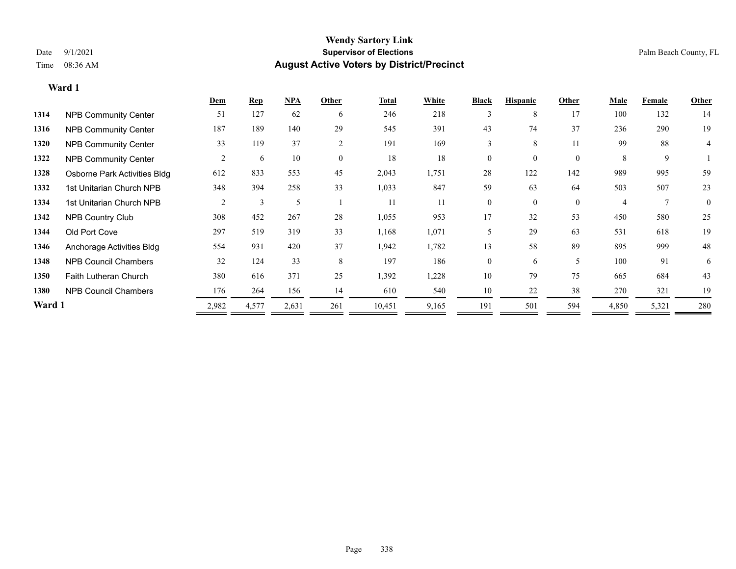**Ward 1**

#### **Wendy Sartory Link** Date 9/1/2021 **Supervisor of Elections** Palm Beach County, FL Time 08:36 AM **August Active Voters by District/Precinct**

# **Dem Rep NPA Other Total White Black Hispanic Other Male Female Other 1314** NPB Community Center 51 127 62 6 246 218 3 8 17 100 132 14 **1316** NPB Community Center 187 189 140 29 545 391 43 74 37 236 290 19 **1320** NPB Community Center 33 119 37 2 191 169 3 8 11 99 88 4 **1322 NPB Community Center**  $\begin{array}{cccccccc} 2 & 6 & 10 & 0 & 18 & 18 & 0 & 0 & 8 & 9 & 1 \end{array}$ **1328** Osborne Park Activities Bldg 612 833 553 45 2,043 1,751 28 122 142 989 995 59 **1332** 1st Unitarian Church NPB 348 394 258 33 1,033 847 59 63 64 503 507 23 1334 1st Unitarian Church NPB 2 3 5 1 11 11 0 0 0 4 7 0 **1342** NPB Country Club 308 452 267 28 1,055 953 17 32 53 450 580 25 **1344** Old Port Cove 297 519 319 33 1,168 1,071 5 29 63 531 618 19 **1346** Anchorage Activities Bldg 554 931 420 37 1,942 1,782 13 58 89 895 999 48 **1348** NPB Council Chambers 32 124 33 8 197 186 0 6 5 100 91 6 **1350** Faith Lutheran Church 380 616 371 25 1,392 1,228 10 79 75 665 684 43 **1380** NPB Council Chambers 176 264 156 14 610 540 10 22 38 270 321 19

**Ward 1** 2,982 4,577 2,631 261 10,451 9,165 191 501 594 4,850 5,321 280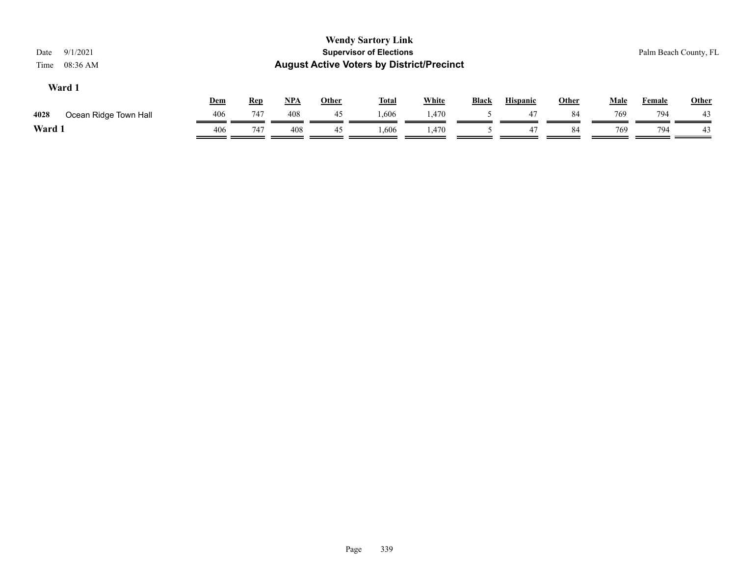| Date<br>Time | 9/1/2021<br>08:36 AM  |     |            |     |              | <b>Wendy Sartory Link</b><br><b>Supervisor of Elections</b><br><b>August Active Voters by District/Precinct</b> |              |              |                 |              |             |               | Palm Beach County, FL |
|--------------|-----------------------|-----|------------|-----|--------------|-----------------------------------------------------------------------------------------------------------------|--------------|--------------|-----------------|--------------|-------------|---------------|-----------------------|
|              | Ward 1                | Dem | <b>Rep</b> | NPA | <b>Other</b> | <b>Total</b>                                                                                                    | <b>White</b> | <b>Black</b> | <b>Hispanic</b> | <b>Other</b> | <b>Male</b> | <b>Female</b> | Other                 |
| 4028         | Ocean Ridge Town Hall | 406 | 747        | 408 | 45           | 1,606                                                                                                           | 1,470        |              | 47              | 84           | 769         | 794           | 43                    |
| Ward 1       |                       | 406 | 747        | 408 | 45           | 1,606                                                                                                           | 1,470        |              | 47              | 84           | 769         | 794           | 43                    |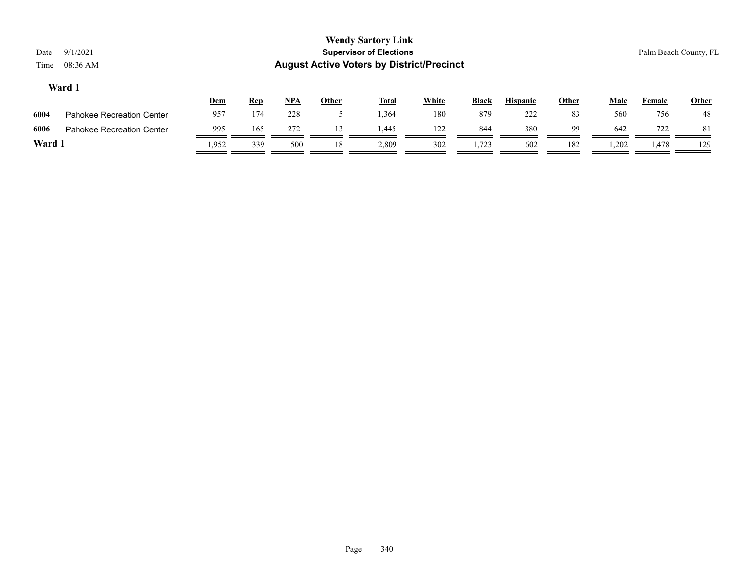|      |                           | <u>Dem</u> | <u>Rep</u> | <b>NPA</b> | Other | Total | White | <b>Black</b> | <b>Hispanic</b> | Other | Male  | Female | <b>Other</b> |
|------|---------------------------|------------|------------|------------|-------|-------|-------|--------------|-----------------|-------|-------|--------|--------------|
| 6004 | Pahokee Recreation Center | 957        | 174        | 228        |       | .364  | 180   | 879          | 222             | 83    | 560   | 756    | 48           |
| 6006 | Pahokee Recreation Center | 995        | 165        | 272        |       | 1.445 | 122   | 844          | 380             | 99    | 642   | 722    |              |
| Ward |                           | .952       | 339        | 500        | 18    | 2,809 | 302   | 1,723        | 602             | 182   | 1,202 | 1,478  | 129          |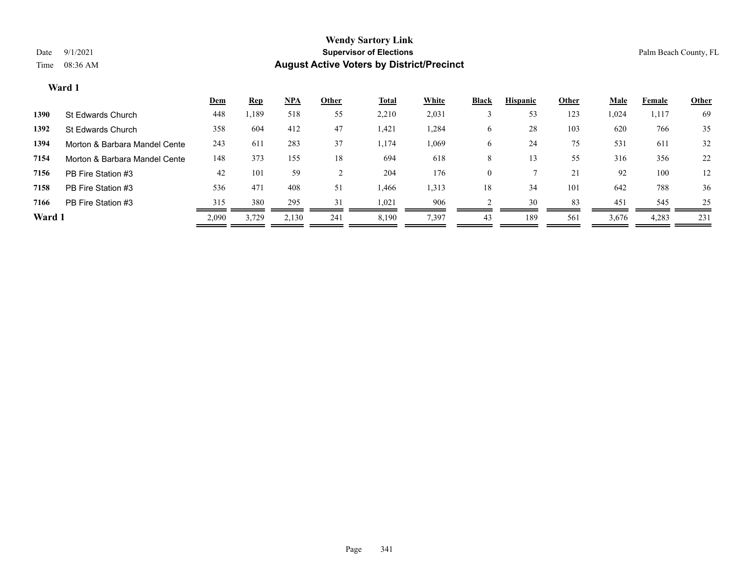|        |                               | <b>Dem</b> | <b>Rep</b> | NPA   | Other | <b>Total</b> | White | <b>Black</b> | <b>Hispanic</b> | Other | <b>Male</b> | Female | <b>Other</b> |
|--------|-------------------------------|------------|------------|-------|-------|--------------|-------|--------------|-----------------|-------|-------------|--------|--------------|
| 1390   | St Edwards Church             | 448        | ,189       | 518   | 55    | 2,210        | 2,031 |              | 53              | 123   | 1,024       | 1,117  | 69           |
| 1392   | St Edwards Church             | 358        | 604        | 412   | 47    | 1,421        | 1,284 | O            | 28              | 103   | 620         | 766    | 35           |
| 1394   | Morton & Barbara Mandel Cente | 243        | 611        | 283   | 37    | 1,174        | 1,069 | O            | 24              | 75    | 531         | 611    | 32           |
| 7154   | Morton & Barbara Mandel Cente | 148        | 373        | 155   | 18    | 694          | 618   | 8            |                 | 55    | 316         | 356    | 22           |
| 7156   | PB Fire Station #3            | 42         | 101        | 59    |       | 204          | 176   | $\theta$     |                 | 21    | 92          | 100    | 12           |
| 7158   | PB Fire Station #3            | 536        | 471        | 408   | 51    | 1,466        | 1,313 | 18           | 34              | 101   | 642         | 788    | 36           |
| 7166   | PB Fire Station #3            | 315        | 380        | 295   | 31    | 1,021        | 906   |              | 30              | 83    | 451         | 545    | 25           |
| Ward 1 |                               | 2,090      | 3,729      | 2,130 | 241   | 8,190        | 7,397 | 43           | 189             | 561   | 3,676       | 4,283  | 231          |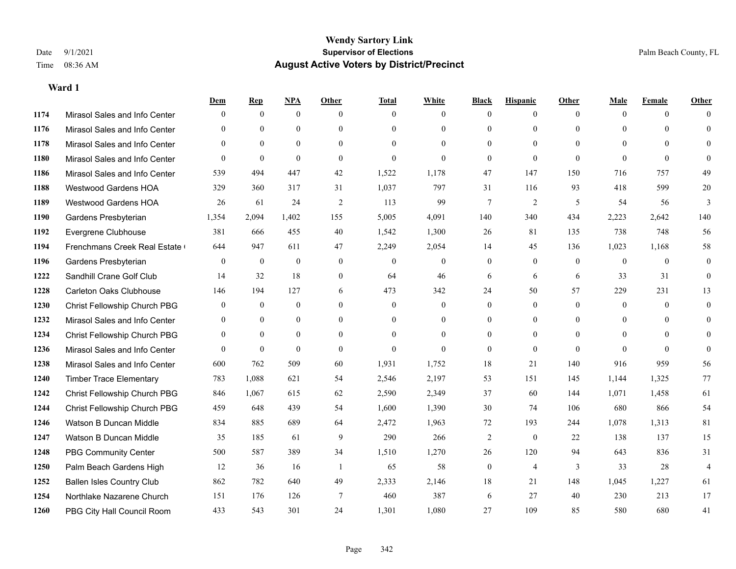|      |                                  | Dem            | <b>Rep</b>       | NPA              | <b>Other</b>   | <b>Total</b>     | <b>White</b>     | <b>Black</b>     | <b>Hispanic</b> | <b>Other</b>   | <b>Male</b>    | <b>Female</b> | <b>Other</b>   |
|------|----------------------------------|----------------|------------------|------------------|----------------|------------------|------------------|------------------|-----------------|----------------|----------------|---------------|----------------|
| 1174 | Mirasol Sales and Info Center    | $\Omega$       | $\mathbf{0}$     | $\mathbf{0}$     | $\Omega$       | $\Omega$         | $\overline{0}$   | $\theta$         | $\mathbf{0}$    | $\theta$       | $\theta$       | $\theta$      | $\Omega$       |
| 1176 | Mirasol Sales and Info Center    | $\Omega$       | $\theta$         | $\theta$         | $\theta$       | $\Omega$         | $\overline{0}$   | $\theta$         | $\mathbf{0}$    | $\Omega$       | $\theta$       | $\Omega$      | $\theta$       |
| 1178 | Mirasol Sales and Info Center    | $\Omega$       | $\theta$         | $\theta$         | $\Omega$       | $\Omega$         | $\Omega$         | $\Omega$         | $\theta$        | $\Omega$       | $\Omega$       | $\Omega$      | $\Omega$       |
| 1180 | Mirasol Sales and Info Center    | $\mathbf{0}$   | $\mathbf{0}$     | $\mathbf{0}$     | $\mathbf{0}$   | $\theta$         | $\overline{0}$   | $\mathbf{0}$     | $\mathbf{0}$    | $\theta$       | $\theta$       | $\theta$      | $\Omega$       |
| 1186 | Mirasol Sales and Info Center    | 539            | 494              | 447              | 42             | 1,522            | 1,178            | 47               | 147             | 150            | 716            | 757           | 49             |
| 1188 | <b>Westwood Gardens HOA</b>      | 329            | 360              | 317              | 31             | 1,037            | 797              | 31               | 116             | 93             | 418            | 599           | 20             |
| 1189 | Westwood Gardens HOA             | 26             | 61               | 24               | $\overline{2}$ | 113              | 99               | $\tau$           | $\overline{2}$  | 5              | 54             | 56            | $\overline{3}$ |
| 1190 | Gardens Presbyterian             | 1,354          | 2,094            | 1,402            | 155            | 5,005            | 4,091            | 140              | 340             | 434            | 2,223          | 2,642         | 140            |
| 1192 | Evergrene Clubhouse              | 381            | 666              | 455              | 40             | 1,542            | 1,300            | 26               | 81              | 135            | 738            | 748           | 56             |
| 1194 | Frenchmans Creek Real Estate     | 644            | 947              | 611              | 47             | 2,249            | 2,054            | 14               | 45              | 136            | 1,023          | 1,168         | 58             |
| 1196 | Gardens Presbyterian             | $\overline{0}$ | $\mathbf{0}$     | $\mathbf{0}$     | $\theta$       | $\mathbf{0}$     | $\overline{0}$   | $\mathbf{0}$     | $\mathbf{0}$    | $\overline{0}$ | $\overline{0}$ | $\theta$      | $\mathbf{0}$   |
| 1222 | Sandhill Crane Golf Club         | 14             | 32               | 18               | $\mathbf{0}$   | 64               | 46               | 6                | 6               | 6              | 33             | 31            | $\theta$       |
| 1228 | <b>Carleton Oaks Clubhouse</b>   | 146            | 194              | 127              | 6              | 473              | 342              | 24               | 50              | 57             | 229            | 231           | 13             |
| 1230 | Christ Fellowship Church PBG     | $\mathbf{0}$   | $\boldsymbol{0}$ | $\boldsymbol{0}$ | $\mathbf{0}$   | $\boldsymbol{0}$ | $\boldsymbol{0}$ | $\boldsymbol{0}$ | $\mathbf{0}$    | $\mathbf{0}$   | $\mathbf{0}$   | $\mathbf{0}$  | $\mathbf{0}$   |
| 1232 | Mirasol Sales and Info Center    | $\mathbf{0}$   | $\mathbf{0}$     | $\mathbf{0}$     | $\theta$       | $\Omega$         | $\overline{0}$   | $\mathbf{0}$     | $\mathbf{0}$    | $\theta$       | $\theta$       | $\theta$      | $\mathbf{0}$   |
| 1234 | Christ Fellowship Church PBG     | $\theta$       | $\theta$         | $\theta$         | $\Omega$       | $\Omega$         | $\Omega$         | $\theta$         | $\theta$        | $\Omega$       | $\theta$       | $\Omega$      | $\theta$       |
| 1236 | Mirasol Sales and Info Center    | $\theta$       | $\mathbf{0}$     | $\theta$         | $\theta$       | $\Omega$         | $\Omega$         | $\mathbf{0}$     | $\theta$        | $\Omega$       | $\Omega$       | $\theta$      | $\Omega$       |
| 1238 | Mirasol Sales and Info Center    | 600            | 762              | 509              | 60             | 1,931            | 1,752            | 18               | 21              | 140            | 916            | 959           | 56             |
| 1240 | <b>Timber Trace Elementary</b>   | 783            | 1,088            | 621              | 54             | 2,546            | 2,197            | 53               | 151             | 145            | 1,144          | 1,325         | 77             |
| 1242 | Christ Fellowship Church PBG     | 846            | 1.067            | 615              | 62             | 2,590            | 2,349            | 37               | 60              | 144            | 1,071          | 1,458         | 61             |
| 1244 | Christ Fellowship Church PBG     | 459            | 648              | 439              | 54             | 1,600            | 1,390            | 30               | 74              | 106            | 680            | 866           | 54             |
| 1246 | Watson B Duncan Middle           | 834            | 885              | 689              | 64             | 2,472            | 1,963            | 72               | 193             | 244            | 1,078          | 1,313         | 81             |
| 1247 | Watson B Duncan Middle           | 35             | 185              | 61               | 9              | 290              | 266              | 2                | $\mathbf{0}$    | 22             | 138            | 137           | 15             |
| 1248 | <b>PBG Community Center</b>      | 500            | 587              | 389              | 34             | 1,510            | 1,270            | 26               | 120             | 94             | 643            | 836           | 31             |
| 1250 | Palm Beach Gardens High          | 12             | 36               | 16               | -1             | 65               | 58               | $\boldsymbol{0}$ | $\overline{4}$  | 3              | 33             | 28            | $\overline{4}$ |
| 1252 | <b>Ballen Isles Country Club</b> | 862            | 782              | 640              | 49             | 2,333            | 2,146            | 18               | 21              | 148            | 1,045          | 1,227         | 61             |
| 1254 | Northlake Nazarene Church        | 151            | 176              | 126              | 7              | 460              | 387              | 6                | 27              | 40             | 230            | 213           | 17             |
| 1260 | PBG City Hall Council Room       | 433            | 543              | 301              | 24             | 1,301            | 1,080            | 27               | 109             | 85             | 580            | 680           | 41             |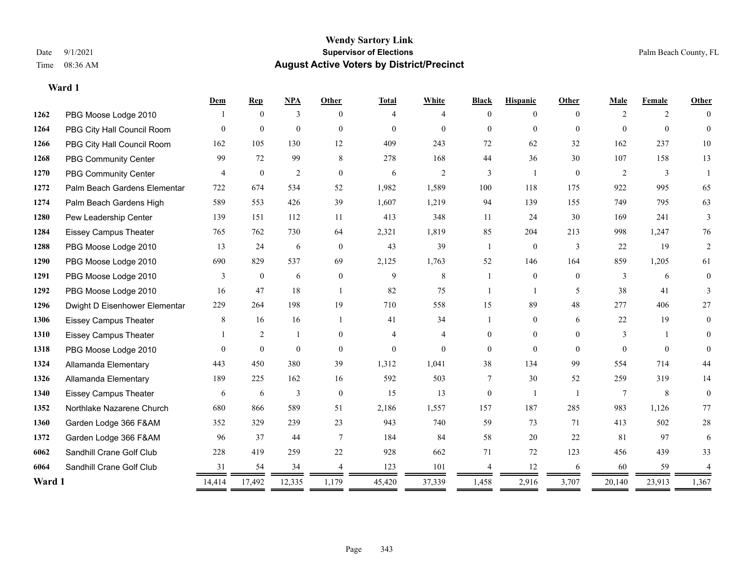|        |                               | Dem      | <b>Rep</b>       | NPA            | <b>Other</b>   | <b>Total</b>   | White          | <b>Black</b>   | <b>Hispanic</b> | Other    | Male           | Female   | <b>Other</b>   |
|--------|-------------------------------|----------|------------------|----------------|----------------|----------------|----------------|----------------|-----------------|----------|----------------|----------|----------------|
| 1262   | PBG Moose Lodge 2010          |          | $\theta$         | 3              | $\Omega$       | 4              | 4              | $\Omega$       | $\theta$        | $\Omega$ | $\overline{2}$ | 2        |                |
| 1264   | PBG City Hall Council Room    | $\Omega$ | $\mathbf{0}$     | $\mathbf{0}$   | $\Omega$       | $\theta$       | $\theta$       | $\Omega$       | $\Omega$        | $\Omega$ | $\Omega$       | $\theta$ | $\Omega$       |
| 1266   | PBG City Hall Council Room    | 162      | 105              | 130            | 12             | 409            | 243            | 72             | 62              | 32       | 162            | 237      | $10\,$         |
| 1268   | <b>PBG Community Center</b>   | 99       | 72               | 99             | 8              | 278            | 168            | 44             | 36              | 30       | 107            | 158      | 13             |
| 1270   | PBG Community Center          | 4        | $\mathbf{0}$     | $\overline{2}$ | $\theta$       | 6              | $\mathbf{2}$   | 3              | 1               | $\theta$ | 2              | 3        |                |
| 1272   | Palm Beach Gardens Elementar  | 722      | 674              | 534            | 52             | 1,982          | 1,589          | 100            | 118             | 175      | 922            | 995      | 65             |
| 1274   | Palm Beach Gardens High       | 589      | 553              | 426            | 39             | 1,607          | 1,219          | 94             | 139             | 155      | 749            | 795      | 63             |
| 1280   | Pew Leadership Center         | 139      | 151              | 112            | 11             | 413            | 348            | 11             | 24              | 30       | 169            | 241      | 3              |
| 1284   | <b>Eissey Campus Theater</b>  | 765      | 762              | 730            | 64             | 2,321          | 1,819          | 85             | 204             | 213      | 998            | 1,247    | 76             |
| 1288   | PBG Moose Lodge 2010          | 13       | 24               | 6              | $\overline{0}$ | 43             | 39             | $\mathbf{1}$   | $\overline{0}$  | 3        | 22             | 19       | 2              |
| 1290   | PBG Moose Lodge 2010          | 690      | 829              | 537            | 69             | 2,125          | 1,763          | 52             | 146             | 164      | 859            | 1,205    | 61             |
| 1291   | PBG Moose Lodge 2010          | 3        | $\boldsymbol{0}$ | 6              | $\mathbf{0}$   | 9              | 8              |                | $\overline{0}$  | $\theta$ | 3              | 6        | $\overline{0}$ |
| 1292   | PBG Moose Lodge 2010          | 16       | 47               | 18             | $\overline{1}$ | 82             | 75             | -1             | $\mathbf{1}$    | 5        | 38             | 41       | 3              |
| 1296   | Dwight D Eisenhower Elementar | 229      | 264              | 198            | 19             | 710            | 558            | 15             | 89              | 48       | 277            | 406      | 27             |
| 1306   | <b>Eissey Campus Theater</b>  | 8        | 16               | 16             | $\overline{1}$ | 41             | 34             |                | $\overline{0}$  | 6        | 22             | 19       | $\theta$       |
| 1310   | <b>Eissey Campus Theater</b>  |          | 2                | 1              | $\theta$       | 4              | $\overline{4}$ | $\mathbf{0}$   | $\overline{0}$  | $\theta$ | 3              | -1       | $\Omega$       |
| 1318   | PBG Moose Lodge 2010          | $\Omega$ | $\mathbf{0}$     | $\theta$       | $\theta$       | $\overline{0}$ | $\theta$       | $\Omega$       | $\theta$        | $\Omega$ | $\Omega$       | $\Omega$ | $\Omega$       |
| 1324   | Allamanda Elementary          | 443      | 450              | 380            | 39             | 1,312          | 1,041          | 38             | 134             | 99       | 554            | 714      | 44             |
| 1326   | Allamanda Elementary          | 189      | 225              | 162            | 16             | 592            | 503            | 7              | 30              | 52       | 259            | 319      | 14             |
| 1340   | <b>Eissey Campus Theater</b>  | 6        | 6                | 3              | $\theta$       | 15             | 13             | $\overline{0}$ | -1              |          | 7              | 8        | $\overline{0}$ |
| 1352   | Northlake Nazarene Church     | 680      | 866              | 589            | 51             | 2,186          | 1,557          | 157            | 187             | 285      | 983            | 1,126    | 77             |
| 1360   | Garden Lodge 366 F&AM         | 352      | 329              | 239            | 23             | 943            | 740            | 59             | 73              | 71       | 413            | 502      | $28\,$         |
| 1372   | Garden Lodge 366 F&AM         | 96       | 37               | 44             | $\tau$         | 184            | 84             | 58             | 20              | 22       | 81             | 97       | 6              |
| 6062   | Sandhill Crane Golf Club      | 228      | 419              | 259            | 22             | 928            | 662            | 71             | 72              | 123      | 456            | 439      | 33             |
| 6064   | Sandhill Crane Golf Club      | 31       | 54               | 34             |                | 123            | 101            | 4              | 12              | 6        | 60             | 59       |                |
| Ward 1 |                               | 14,414   | 17,492           | 12,335         | 1,179          | 45,420         | 37,339         | 1,458          | 2,916           | 3,707    | 20,140         | 23,913   | 1,367          |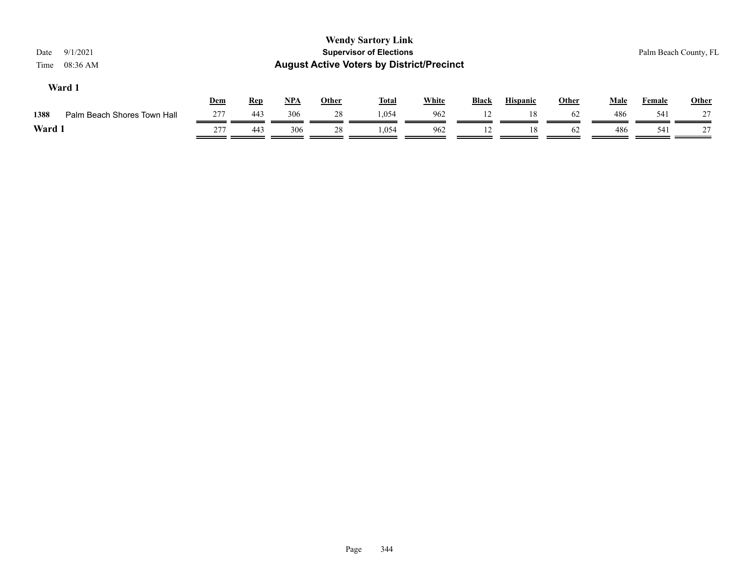| 9/1/2021<br>Date<br>08:36 AM<br>Time |     |            |       |              | <b>Wendy Sartory Link</b><br><b>Supervisor of Elections</b><br><b>August Active Voters by District/Precinct</b> |              |              |                 |              |             |        | Palm Beach County, FL |
|--------------------------------------|-----|------------|-------|--------------|-----------------------------------------------------------------------------------------------------------------|--------------|--------------|-----------------|--------------|-------------|--------|-----------------------|
| Ward 1                               | Dem | <u>Rep</u> | $NPA$ | <b>Other</b> | <b>Total</b>                                                                                                    | <b>White</b> | <b>Black</b> | <b>Hispanic</b> | <b>Other</b> | <b>Male</b> | Female | <b>Other</b>          |
| 1388<br>Palm Beach Shores Town Hall  | 277 | 443        | 306   | 28           | 1.054                                                                                                           | 962          | 12           | 18              | 62           | 486         | 541    | 27                    |
| Ward 1                               | 277 | 443        | 306   | 28           | 1.054                                                                                                           | 962          | 12           | 18              | 62           | 486         | 541    | 27                    |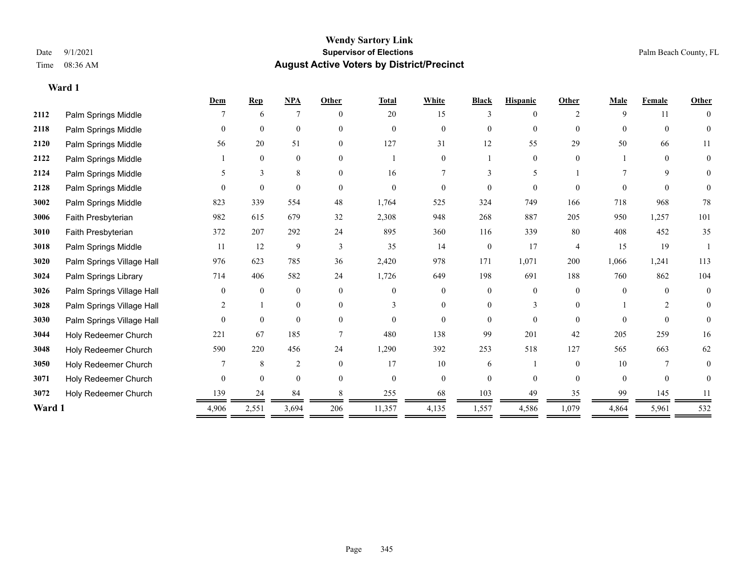|        |                           | Dem      | <b>Rep</b>     | <b>NPA</b>     | Other          | <b>Total</b> | White          | <b>Black</b>   | <b>Hispanic</b> | Other          | Male     | Female         | Other    |
|--------|---------------------------|----------|----------------|----------------|----------------|--------------|----------------|----------------|-----------------|----------------|----------|----------------|----------|
| 2112   | Palm Springs Middle       |          | 6              | $\overline{7}$ | $\Omega$       | 20           | 15             |                | 0               |                | 9        | 11             |          |
| 2118   | Palm Springs Middle       | $\theta$ | $\theta$       | $\theta$       | $\Omega$       | $\theta$     | $\Omega$       | 0              | $\Omega$        | $\theta$       | $\Omega$ | $\Omega$       | $\theta$ |
| 2120   | Palm Springs Middle       | 56       | 20             | 51             | $\overline{0}$ | 127          | 31             | 12             | 55              | 29             | 50       | 66             | 11       |
| 2122   | Palm Springs Middle       |          | $\overline{0}$ | $\mathbf{0}$   | $\Omega$       |              | 0              |                | $\theta$        | $\theta$       |          | $\Omega$       | $\Omega$ |
| 2124   | Palm Springs Middle       | 5.       | 3              | 8              | $\Omega$       | 16           | 7              |                | 5               |                |          | 9              | 0        |
| 2128   | Palm Springs Middle       | $\Omega$ | $\theta$       | $\theta$       | $\Omega$       | $\theta$     | $\theta$       | $\theta$       | $\Omega$        | $\Omega$       | $\Omega$ | $\Omega$       | 0        |
| 3002   | Palm Springs Middle       | 823      | 339            | 554            | 48             | 1,764        | 525            | 324            | 749             | 166            | 718      | 968            | 78       |
| 3006   | Faith Presbyterian        | 982      | 615            | 679            | 32             | 2,308        | 948            | 268            | 887             | 205            | 950      | 1,257          | 101      |
| 3010   | Faith Presbyterian        | 372      | 207            | 292            | 24             | 895          | 360            | 116            | 339             | 80             | 408      | 452            | 35       |
| 3018   | Palm Springs Middle       | 11       | 12             | 9              | 3              | 35           | 14             | $\overline{0}$ | 17              | $\overline{4}$ | 15       | 19             |          |
| 3020   | Palm Springs Village Hall | 976      | 623            | 785            | 36             | 2,420        | 978            | 171            | 1,071           | 200            | 1,066    | 1,241          | 113      |
| 3024   | Palm Springs Library      | 714      | 406            | 582            | 24             | 1,726        | 649            | 198            | 691             | 188            | 760      | 862            | 104      |
| 3026   | Palm Springs Village Hall | $\theta$ | $\theta$       | $\mathbf{0}$   | $\theta$       | $\theta$     | $\overline{0}$ | $\overline{0}$ | $\overline{0}$  | $\Omega$       | $\theta$ | $\Omega$       | $\theta$ |
| 3028   | Palm Springs Village Hall | 2        |                | $\mathbf{0}$   | $\Omega$       |              | $\Omega$       |                | 3               | $\Omega$       |          | $\mathfrak{D}$ | 0        |
| 3030   | Palm Springs Village Hall | $\Omega$ | $\mathbf{0}$   | $\mathbf{0}$   | $\Omega$       | $\Omega$     | $\theta$       | 0              | $\theta$        | $\Omega$       | $\Omega$ | $\Omega$       | $\Omega$ |
| 3044   | Holy Redeemer Church      | 221      | 67             | 185            |                | 480          | 138            | 99             | 201             | 42             | 205      | 259            | 16       |
| 3048   | Holy Redeemer Church      | 590      | 220            | 456            | 24             | 1,290        | 392            | 253            | 518             | 127            | 565      | 663            | 62       |
| 3050   | Holy Redeemer Church      |          | 8              | $\overline{2}$ | $\theta$       | 17           | 10             | 6              |                 | $\theta$       | 10       |                |          |
| 3071   | Holy Redeemer Church      | $\theta$ | $\overline{0}$ | $\mathbf{0}$   | $\theta$       | $\mathbf{0}$ | $\overline{0}$ | 0              | $\Omega$        | $\Omega$       | $\theta$ | $\theta$       | 0        |
| 3072   | Holy Redeemer Church      | 139      | 24             | 84             |                | 255          | 68             | 103            | 49              | 35             | 99       | 145            | 11       |
| Ward 1 |                           | 4.906    | 2,551          | 3,694          | 206            | 11,357       | 4,135          | 1,557          | 4,586           | 1,079          | 4,864    | 5,961          | 532      |
|        |                           |          |                |                |                |              |                |                |                 |                |          |                |          |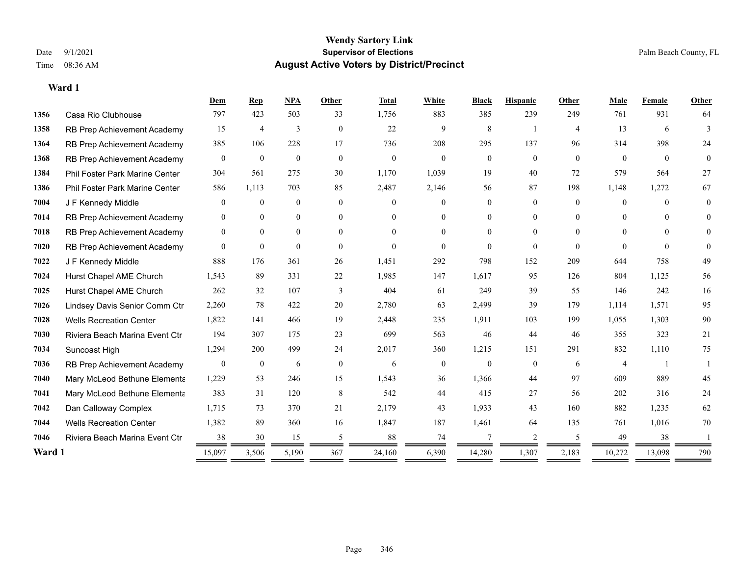|        |                                | Dem              | $\mathbf{Rep}$   | <b>NPA</b>     | Other                    | <b>Total</b> | <b>White</b>     | <b>Black</b>   | <b>Hispanic</b> | Other        | Male           | Female       | Other          |
|--------|--------------------------------|------------------|------------------|----------------|--------------------------|--------------|------------------|----------------|-----------------|--------------|----------------|--------------|----------------|
| 1356   | Casa Rio Clubhouse             | 797              | 423              | 503            | 33                       | 1,756        | 883              | 385            | 239             | 249          | 761            | 931          | 64             |
| 1358   | RB Prep Achievement Academy    | 15               | $\overline{4}$   | 3              | $\overline{0}$           | 22           | 9                | 8              |                 | 4            | 13             | 6            | 3              |
| 1364   | RB Prep Achievement Academy    | 385              | 106              | 228            | 17                       | 736          | 208              | 295            | 137             | 96           | 314            | 398          | 24             |
| 1368   | RB Prep Achievement Academy    | $\mathbf{0}$     | $\mathbf{0}$     | $\overline{0}$ | $\mathbf{0}$             | $\mathbf{0}$ | $\mathbf{0}$     | $\overline{0}$ | $\mathbf{0}$    | $\mathbf{0}$ | $\overline{0}$ | $\mathbf{0}$ | $\overline{0}$ |
| 1384   | Phil Foster Park Marine Center | 304              | 561              | 275            | 30                       | 1,170        | 1,039            | 19             | 40              | 72           | 579            | 564          | 27             |
| 1386   | Phil Foster Park Marine Center | 586              | 1,113            | 703            | 85                       | 2,487        | 2,146            | 56             | 87              | 198          | 1,148          | 1,272        | 67             |
| 7004   | J F Kennedy Middle             | $\overline{0}$   | $\mathbf{0}$     | $\overline{0}$ | $\overline{0}$           | $\Omega$     | $\overline{0}$   | 0              | $\mathbf{0}$    | $\theta$     | $\theta$       | $\theta$     | $\theta$       |
| 7014   | RB Prep Achievement Academy    | $\theta$         | $\mathbf{0}$     | $\overline{0}$ | $\overline{0}$           | $\theta$     | $\theta$         | $\theta$       | $\theta$        | $\Omega$     | $\theta$       | $\theta$     | $\Omega$       |
| 7018   | RB Prep Achievement Academy    | $\overline{0}$   | $\mathbf{0}$     | $\overline{0}$ | $\theta$                 | $\Omega$     | $\Omega$         | 0              | $\theta$        | $\Omega$     | $\theta$       | $\Omega$     | $\Omega$       |
| 7020   | RB Prep Achievement Academy    | $\theta$         | $\mathbf{0}$     | $\Omega$       | $\theta$                 | $\theta$     | $\Omega$         | $\theta$       | $\theta$        | $\theta$     | $\theta$       | $\theta$     | $\theta$       |
| 7022   | J F Kennedy Middle             | 888              | 176              | 361            | 26                       | 1,451        | 292              | 798            | 152             | 209          | 644            | 758          | 49             |
| 7024   | Hurst Chapel AME Church        | 1,543            | 89               | 331            | 22                       | 1,985        | 147              | 1,617          | 95              | 126          | 804            | 1,125        | 56             |
| 7025   | Hurst Chapel AME Church        | 262              | 32               | 107            | 3                        | 404          | 61               | 249            | 39              | 55           | 146            | 242          | 16             |
| 7026   | Lindsey Davis Senior Comm Ctr  | 2,260            | 78               | 422            | 20                       | 2,780        | 63               | 2,499          | 39              | 179          | 1,114          | 1,571        | 95             |
| 7028   | <b>Wells Recreation Center</b> | 1,822            | 141              | 466            | 19                       | 2,448        | 235              | 1,911          | 103             | 199          | 1,055          | 1,303        | $90\,$         |
| 7030   | Riviera Beach Marina Event Ctr | 194              | 307              | 175            | 23                       | 699          | 563              | 46             | 44              | 46           | 355            | 323          | 21             |
| 7034   | Suncoast High                  | 1,294            | 200              | 499            | 24                       | 2,017        | 360              | 1,215          | 151             | 291          | 832            | 1,110        | 75             |
| 7036   | RB Prep Achievement Academy    | $\boldsymbol{0}$ | $\boldsymbol{0}$ | 6              | $\boldsymbol{0}$         | 6            | $\boldsymbol{0}$ | $\overline{0}$ | $\overline{0}$  | 6            | $\overline{4}$ |              |                |
| 7040   | Mary McLeod Bethune Elementa   | 1,229            | 53               | 246            | 15                       | 1,543        | 36               | 1,366          | 44              | 97           | 609            | 889          | 45             |
| 7041   | Mary McLeod Bethune Elementa   | 383              | 31               | 120            | 8                        | 542          | 44               | 415            | 27              | 56           | 202            | 316          | 24             |
| 7042   | Dan Calloway Complex           | 1,715            | 73               | 370            | 21                       | 2,179        | 43               | 1,933          | 43              | 160          | 882            | 1,235        | 62             |
| 7044   | <b>Wells Recreation Center</b> | 1,382            | 89               | 360            | 16                       | 1,847        | 187              | 1,461          | 64              | 135          | 761            | 1,016        | 70             |
| 7046   | Riviera Beach Marina Event Ctr | 38               | 30               | 15             | $\overline{\phantom{0}}$ | 88           | 74               | 7              | $\mathfrak{D}$  | 5            | 49             | 38           |                |
| Ward 1 |                                | 15,097           | 3,506            | 5,190          | 367                      | 24,160       | 6,390            | 14,280         | 1,307           | 2,183        | 10,272         | 13,098       | 790            |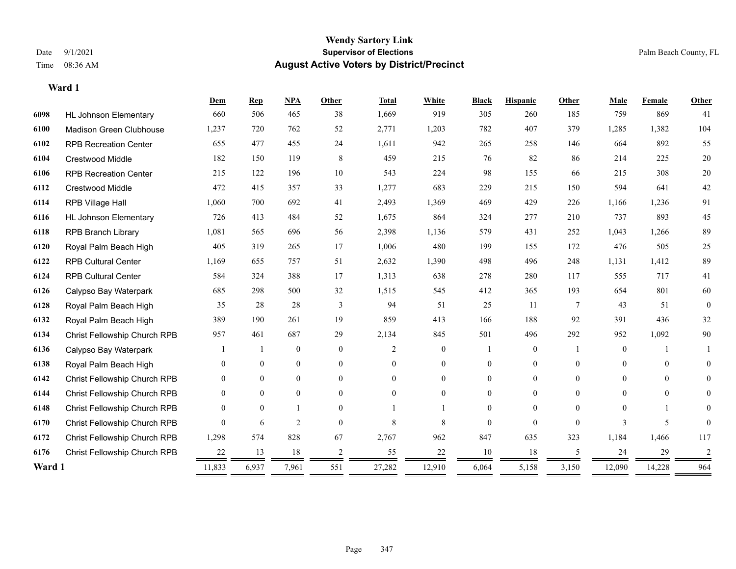|        |                              | Dem          | $\mathbf{Rep}$ | NPA              | <b>Other</b>   | <b>Total</b>   | White          | <b>Black</b>   | <b>Hispanic</b> | <b>Other</b>   | Male           | <b>Female</b> | Other          |
|--------|------------------------------|--------------|----------------|------------------|----------------|----------------|----------------|----------------|-----------------|----------------|----------------|---------------|----------------|
| 6098   | <b>HL Johnson Elementary</b> | 660          | 506            | 465              | 38             | 1,669          | 919            | 305            | 260             | 185            | 759            | 869           | 41             |
| 6100   | Madison Green Clubhouse      | 1,237        | 720            | 762              | 52             | 2,771          | 1,203          | 782            | 407             | 379            | 1,285          | 1,382         | 104            |
| 6102   | <b>RPB Recreation Center</b> | 655          | 477            | 455              | 24             | 1,611          | 942            | 265            | 258             | 146            | 664            | 892           | 55             |
| 6104   | <b>Crestwood Middle</b>      | 182          | 150            | 119              | 8              | 459            | 215            | 76             | 82              | 86             | 214            | 225           | $20\,$         |
| 6106   | <b>RPB Recreation Center</b> | 215          | 122            | 196              | 10             | 543            | 224            | 98             | 155             | 66             | 215            | 308           | $20\,$         |
| 6112   | Crestwood Middle             | 472          | 415            | 357              | 33             | 1,277          | 683            | 229            | 215             | 150            | 594            | 641           | 42             |
| 6114   | RPB Village Hall             | 1,060        | 700            | 692              | 41             | 2,493          | 1,369          | 469            | 429             | 226            | 1,166          | 1,236         | 91             |
| 6116   | <b>HL Johnson Elementary</b> | 726          | 413            | 484              | 52             | 1,675          | 864            | 324            | 277             | 210            | 737            | 893           | 45             |
| 6118   | <b>RPB Branch Library</b>    | 1,081        | 565            | 696              | 56             | 2,398          | 1,136          | 579            | 431             | 252            | 1,043          | 1,266         | 89             |
| 6120   | Royal Palm Beach High        | 405          | 319            | 265              | 17             | 1,006          | 480            | 199            | 155             | 172            | 476            | 505           | 25             |
| 6122   | <b>RPB Cultural Center</b>   | 1,169        | 655            | 757              | 51             | 2,632          | 1,390          | 498            | 496             | 248            | 1,131          | 1,412         | 89             |
| 6124   | <b>RPB Cultural Center</b>   | 584          | 324            | 388              | 17             | 1,313          | 638            | 278            | 280             | 117            | 555            | 717           | 41             |
| 6126   | Calypso Bay Waterpark        | 685          | 298            | 500              | 32             | 1,515          | 545            | 412            | 365             | 193            | 654            | 801           | 60             |
| 6128   | Royal Palm Beach High        | 35           | 28             | 28               | $\overline{3}$ | 94             | 51             | 25             | 11              | $\overline{7}$ | 43             | 51            | $\overline{0}$ |
| 6132   | Royal Palm Beach High        | 389          | 190            | 261              | 19             | 859            | 413            | 166            | 188             | 92             | 391            | 436           | 32             |
| 6134   | Christ Fellowship Church RPB | 957          | 461            | 687              | 29             | 2,134          | 845            | 501            | 496             | 292            | 952            | 1,092         | $90\,$         |
| 6136   | Calypso Bay Waterpark        |              |                | $\boldsymbol{0}$ | $\theta$       | $\overline{2}$ | $\overline{0}$ |                | $\overline{0}$  |                | $\mathbf{0}$   |               |                |
| 6138   | Royal Palm Beach High        | $\theta$     | $\mathbf{0}$   | $\boldsymbol{0}$ | $\overline{0}$ | $\theta$       | $\overline{0}$ | $\overline{0}$ | $\overline{0}$  | $\theta$       | $\overline{0}$ | $\mathbf{0}$  | $\overline{0}$ |
| 6142   | Christ Fellowship Church RPB | $\theta$     | $\mathbf{0}$   | $\overline{0}$   | $\theta$       | $\Omega$       | $\overline{0}$ | $\theta$       | $\overline{0}$  | $\Omega$       | $\theta$       | $\theta$      | $\Omega$       |
| 6144   | Christ Fellowship Church RPB | $\theta$     | $\theta$       | $\mathbf{0}$     | $\theta$       | $\theta$       | $\theta$       | 0              | $\theta$        | $\Omega$       | $\theta$       | $\theta$      | 0              |
| 6148   | Christ Fellowship Church RPB | $\Omega$     | $\Omega$       | -1               | $\Omega$       |                |                | $\Omega$       | $\Omega$        | $\Omega$       | $\Omega$       | 1             | $\Omega$       |
| 6170   | Christ Fellowship Church RPB | $\Omega$     | 6              | $\overline{2}$   | $\theta$       | 8              | 8              | 0              | $\theta$        | $\Omega$       | 3              | 5             | $\Omega$       |
| 6172   | Christ Fellowship Church RPB | 1,298        | 574            | 828              | 67             | 2,767          | 962            | 847            | 635             | 323            | 1,184          | 1,466         | 117            |
| 6176   | Christ Fellowship Church RPB | 22           | 13             | 18               | 2              | 55             | 22             | 10             | 18              | 5              | 24             | 29            | 2              |
| Ward 1 |                              | 11,833<br>__ | 6,937          | 7,961            | 551            | 27,282         | 12,910         | 6,064          | 5,158           | 3,150          | 12,090         | 14,228        | 964            |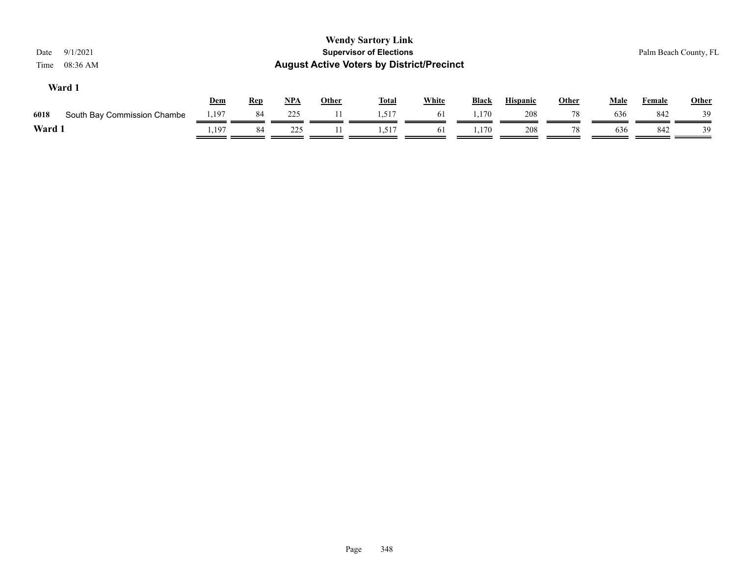| 9/1/2021<br>Date<br>08:36 AM<br>Time |       |            |       |              | <b>Wendy Sartory Link</b><br><b>Supervisor of Elections</b><br><b>August Active Voters by District/Precinct</b> |              |              |                 |              |             | Palm Beach County, FL |              |
|--------------------------------------|-------|------------|-------|--------------|-----------------------------------------------------------------------------------------------------------------|--------------|--------------|-----------------|--------------|-------------|-----------------------|--------------|
| Ward 1                               | Dem   | <b>Rep</b> | $NPA$ | <b>Other</b> | <b>Total</b>                                                                                                    | <b>White</b> | <b>Black</b> | <b>Hispanic</b> | <b>Other</b> | <b>Male</b> | <b>Female</b>         | <b>Other</b> |
| 6018<br>South Bay Commission Chambe  | 1,197 | 84         | 225   | 11           | 1,517                                                                                                           | 61           | 1.170        | 208             | 78           | 636         | 842                   | 39           |
| Ward 1                               | .,197 | 84         | 225   |              | 1,517                                                                                                           | 61           | 1,170        | 208             | 78           | 636         | 842                   | 39           |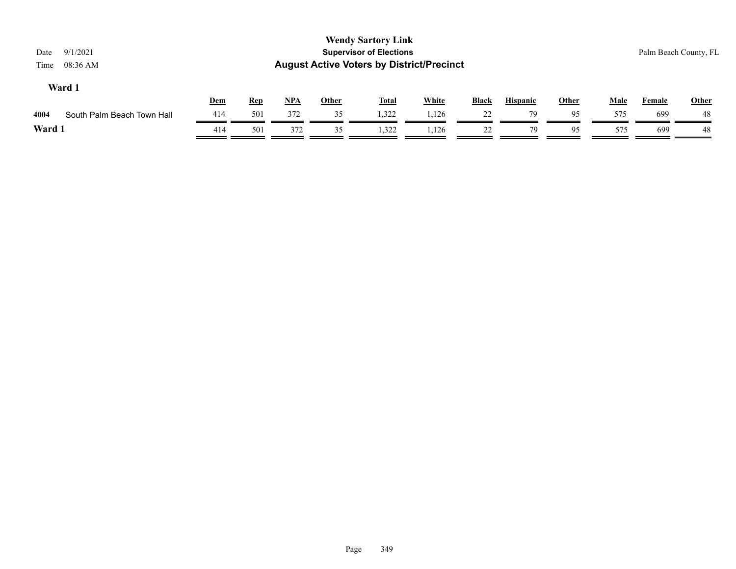| 9/1/2021<br>Date<br>08:36 AM<br>Time |     |            |       |              | <b>Wendy Sartory Link</b><br><b>Supervisor of Elections</b><br><b>August Active Voters by District/Precinct</b> |              |              |                 |              |             |               | Palm Beach County, FL |
|--------------------------------------|-----|------------|-------|--------------|-----------------------------------------------------------------------------------------------------------------|--------------|--------------|-----------------|--------------|-------------|---------------|-----------------------|
| Ward 1                               | Dem | <b>Rep</b> | $NPA$ | <b>Other</b> | <u>Total</u>                                                                                                    | <b>White</b> | <b>Black</b> | <b>Hispanic</b> | <b>Other</b> | <b>Male</b> | <b>Female</b> | <b>Other</b>          |
| South Palm Beach Town Hall<br>4004   | 414 | 501        | 372   | 35           | 1,322                                                                                                           | 1,126        | 22           | 79              | 95           | 575         | 699           | 48                    |
| Ward 1                               | 414 | 501        | 372   | 35           | 1,322                                                                                                           | 1,126        | 22           | 79              | 95           | 575         | 699           | 48                    |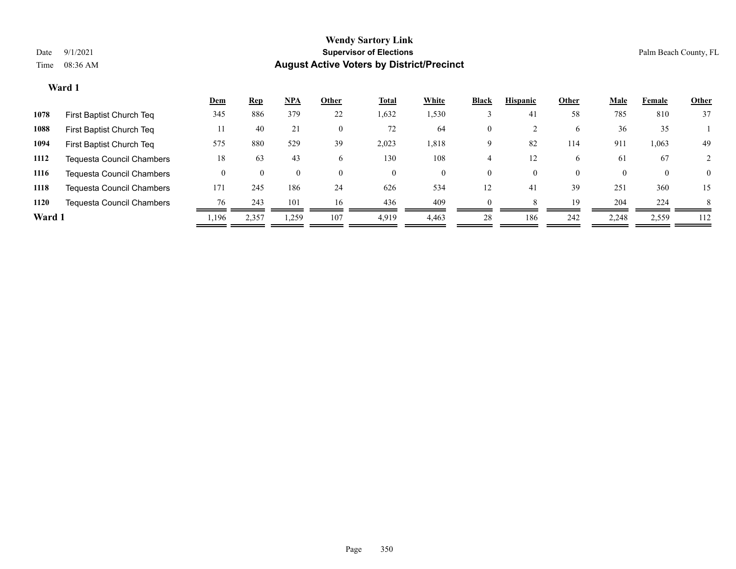|        |                                  | <u>Dem</u> | <u>Rep</u> | <u>NPA</u> | Other | <b>Total</b> | White | Black    | <b>Hispanic</b> | Other    | Male  | Female       | <b>Other</b> |
|--------|----------------------------------|------------|------------|------------|-------|--------------|-------|----------|-----------------|----------|-------|--------------|--------------|
| 1078   | First Baptist Church Teq         | 345        | 886        | 379        | 22    | 1,632        | 1,530 |          | 41              | 58       | 785   | 810          | 37           |
| 1088   | First Baptist Church Teq         |            | 40         | 21         |       | 72           | 64    | $\Omega$ |                 | 6        | 36    | 35           |              |
| 1094   | First Baptist Church Teq         | 575        | 880        | 529        | 39    | 2,023        | 1,818 | 9        | 82              | 114      | 911   | 1,063        | 49           |
| 1112   | <b>Tequesta Council Chambers</b> | 18         | 63         | 43         | 6     | 130          | 108   |          | 12              | 6        | 61    | 67           |              |
| 1116   | <b>Tequesta Council Chambers</b> |            |            |            |       | $\Omega$     | 0     | $\Omega$ | 0               | $\Omega$ |       | $\mathbf{0}$ | $\Omega$     |
| 1118   | <b>Tequesta Council Chambers</b> | 171        | 245        | 186        | 24    | 626          | 534   | 12       | 41              | 39       | 251   | 360          | 15           |
| 1120   | Tequesta Council Chambers        | 76         | 243        | 101        | 16    | 436          | 409   | $\Omega$ |                 | 19       | 204   | 224          | 8            |
| Ward 1 |                                  | l,196      | 2,357      | 1,259      | 107   | 4,919        | 4,463 | 28       | 186             | 242      | 2,248 | 2,559        | 112          |
|        |                                  |            |            |            |       |              |       |          |                 |          |       |              |              |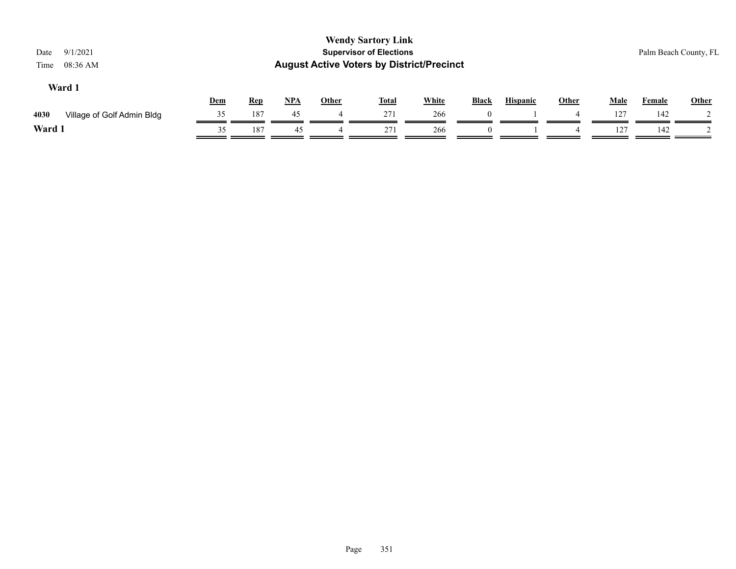| 9/1/2021<br>Date<br>08:36 AM<br>Time | <b>Wendy Sartory Link</b><br><b>Supervisor of Elections</b><br><b>August Active Voters by District/Precinct</b> |            |       |       |              |              |              |                 |       |             |               | Palm Beach County, FL |
|--------------------------------------|-----------------------------------------------------------------------------------------------------------------|------------|-------|-------|--------------|--------------|--------------|-----------------|-------|-------------|---------------|-----------------------|
| Ward 1                               | <b>Dem</b>                                                                                                      | <b>Rep</b> | $NPA$ | Other | <u>Total</u> | <b>White</b> | <b>Black</b> | <b>Hispanic</b> | Other | <b>Male</b> | <b>Female</b> | <b>Other</b>          |
| 4030<br>Village of Golf Admin Bldg   | 35                                                                                                              | 187        | 45    |       | 271          | 266          | $\theta$     |                 | 4     | 127         | 142           |                       |
| Ward 1                               | 35                                                                                                              | 187        | 45    |       | 271          | 266          | $\theta$     |                 | 4     | 127         | 142           |                       |
|                                      |                                                                                                                 |            |       |       |              |              |              |                 |       |             |               |                       |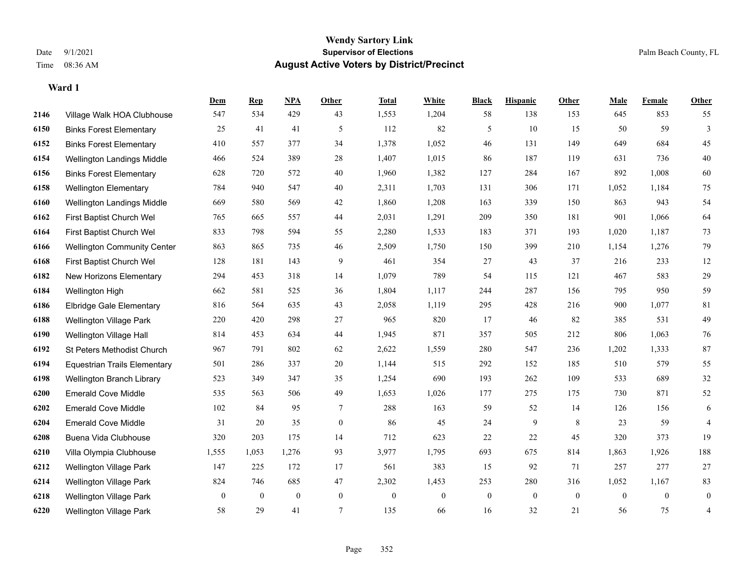|      |                                     | Dem          | <b>Rep</b> | NPA              | <b>Other</b>     | <b>Total</b>     | <b>White</b>     | <b>Black</b>   | <b>Hispanic</b> | Other           | <b>Male</b>    | <b>Female</b>  | <b>Other</b>     |
|------|-------------------------------------|--------------|------------|------------------|------------------|------------------|------------------|----------------|-----------------|-----------------|----------------|----------------|------------------|
| 2146 | Village Walk HOA Clubhouse          | 547          | 534        | 429              | 43               | 1,553            | 1,204            | 58             | 138             | 153             | 645            | 853            | 55               |
| 6150 | <b>Binks Forest Elementary</b>      | 25           | 41         | 41               | 5                | 112              | 82               | 5              | 10              | 15              | 50             | 59             | $\overline{3}$   |
| 6152 | <b>Binks Forest Elementary</b>      | 410          | 557        | 377              | 34               | 1,378            | 1,052            | 46             | 131             | 149             | 649            | 684            | 45               |
| 6154 | Wellington Landings Middle          | 466          | 524        | 389              | $28\,$           | 1,407            | 1,015            | 86             | 187             | 119             | 631            | 736            | $40\,$           |
| 6156 | <b>Binks Forest Elementary</b>      | 628          | 720        | 572              | 40               | 1,960            | 1,382            | 127            | 284             | 167             | 892            | 1,008          | 60               |
| 6158 | <b>Wellington Elementary</b>        | 784          | 940        | 547              | $40\,$           | 2,311            | 1,703            | 131            | 306             | 171             | 1,052          | 1,184          | 75               |
| 6160 | Wellington Landings Middle          | 669          | 580        | 569              | 42               | 1,860            | 1,208            | 163            | 339             | 150             | 863            | 943            | 54               |
| 6162 | First Baptist Church Wel            | 765          | 665        | 557              | 44               | 2,031            | 1,291            | 209            | 350             | 181             | 901            | 1,066          | 64               |
| 6164 | First Baptist Church Wel            | 833          | 798        | 594              | 55               | 2,280            | 1,533            | 183            | 371             | 193             | 1,020          | 1,187          | 73               |
| 6166 | <b>Wellington Community Center</b>  | 863          | 865        | 735              | 46               | 2,509            | 1,750            | 150            | 399             | 210             | 1,154          | 1,276          | 79               |
| 6168 | First Baptist Church Wel            | 128          | 181        | 143              | 9                | 461              | 354              | 27             | 43              | 37              | 216            | 233            | 12               |
| 6182 | New Horizons Elementary             | 294          | 453        | 318              | 14               | 1,079            | 789              | 54             | 115             | 121             | 467            | 583            | 29               |
| 6184 | Wellington High                     | 662          | 581        | 525              | 36               | 1,804            | 1,117            | 244            | 287             | 156             | 795            | 950            | 59               |
| 6186 | Elbridge Gale Elementary            | 816          | 564        | 635              | 43               | 2,058            | 1,119            | 295            | 428             | 216             | 900            | 1,077          | 81               |
| 6188 | <b>Wellington Village Park</b>      | 220          | 420        | 298              | 27               | 965              | 820              | 17             | 46              | 82              | 385            | 531            | 49               |
| 6190 | Wellington Village Hall             | 814          | 453        | 634              | 44               | 1,945            | 871              | 357            | 505             | 212             | 806            | 1,063          | $76\,$           |
| 6192 | St Peters Methodist Church          | 967          | 791        | 802              | 62               | 2,622            | 1,559            | 280            | 547             | 236             | 1,202          | 1,333          | 87               |
| 6194 | <b>Equestrian Trails Elementary</b> | 501          | 286        | 337              | 20               | 1,144            | 515              | 292            | 152             | 185             | 510            | 579            | 55               |
| 6198 | Wellington Branch Library           | 523          | 349        | 347              | 35               | 1,254            | 690              | 193            | 262             | 109             | 533            | 689            | 32               |
| 6200 | <b>Emerald Cove Middle</b>          | 535          | 563        | 506              | 49               | 1,653            | 1,026            | 177            | 275             | 175             | 730            | 871            | 52               |
| 6202 | <b>Emerald Cove Middle</b>          | 102          | 84         | 95               | 7                | 288              | 163              | 59             | 52              | 14              | 126            | 156            | 6                |
| 6204 | <b>Emerald Cove Middle</b>          | 31           | 20         | 35               | $\boldsymbol{0}$ | 86               | 45               | 24             | 9               | $8\phantom{.0}$ | 23             | 59             | $\overline{4}$   |
| 6208 | Buena Vida Clubhouse                | 320          | 203        | 175              | 14               | 712              | 623              | $22\,$         | 22              | 45              | 320            | 373            | 19               |
| 6210 | Villa Olympia Clubhouse             | 1,555        | 1,053      | 1,276            | 93               | 3,977            | 1,795            | 693            | 675             | 814             | 1,863          | 1,926          | 188              |
| 6212 | Wellington Village Park             | 147          | 225        | 172              | 17               | 561              | 383              | 15             | 92              | 71              | 257            | 277            | 27               |
| 6214 | Wellington Village Park             | 824          | 746        | 685              | 47               | 2,302            | 1,453            | 253            | 280             | 316             | 1,052          | 1,167          | 83               |
| 6218 | <b>Wellington Village Park</b>      | $\mathbf{0}$ | $\bf{0}$   | $\boldsymbol{0}$ | $\mathbf{0}$     | $\boldsymbol{0}$ | $\boldsymbol{0}$ | $\overline{0}$ | $\overline{0}$  | $\mathbf{0}$    | $\overline{0}$ | $\overline{0}$ | $\boldsymbol{0}$ |
| 6220 | <b>Wellington Village Park</b>      | 58           | 29         | 41               | 7                | 135              | 66               | 16             | 32              | 21              | 56             | 75             | $\overline{4}$   |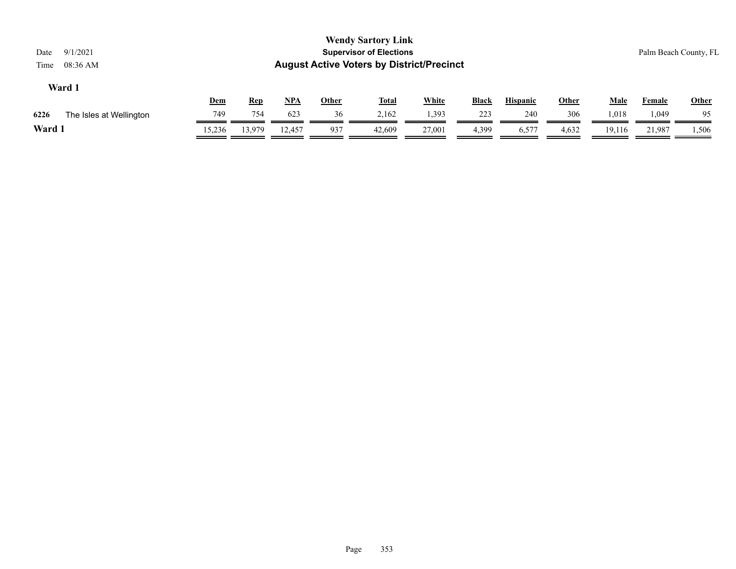| 9/1/2021<br>Date<br>08:36 AM<br>Time |        |     |                     |              | <b>Wendy Sartory Link</b><br><b>Supervisor of Elections</b><br><b>August Active Voters by District/Precinct</b> |              |       |                 |       |             |        | Palm Beach County, FL |
|--------------------------------------|--------|-----|---------------------|--------------|-----------------------------------------------------------------------------------------------------------------|--------------|-------|-----------------|-------|-------------|--------|-----------------------|
| Ward 1                               |        | Dem | $NPA$<br><b>Rep</b> | <u>Other</u> | <u>Total</u>                                                                                                    | <b>White</b> | Black | <b>Hispanic</b> | Other | <b>Male</b> | Female | Other                 |
| 6226<br>The Isles at Wellington      |        | 749 | 754<br>623          | 36           | 2,162                                                                                                           | 1,393        | 223   | 240             | 306   | 1,018       | 1,049  | 95                    |
| Ward 1                               | 15,236 |     | 12,457<br>13,979    | 937          | 42,609                                                                                                          | 27,001       | 4,399 | 6,577           | 4,632 | 19,116      | 21,987 | 1,506                 |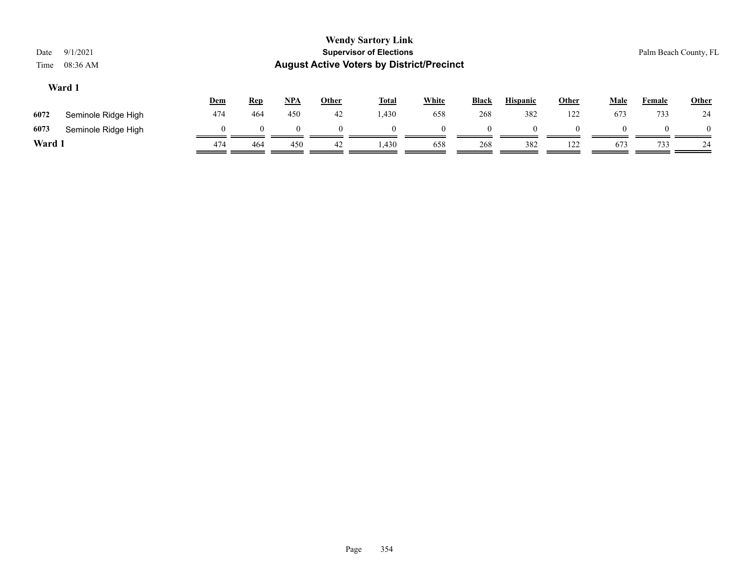| Date<br>Time | 9/1/2021<br>08:36 AM |            |            |            |              | <b>Wendy Sartory Link</b><br><b>Supervisor of Elections</b><br><b>August Active Voters by District/Precinct</b> |          |              |                 |              |             | Palm Beach County, FL |          |
|--------------|----------------------|------------|------------|------------|--------------|-----------------------------------------------------------------------------------------------------------------|----------|--------------|-----------------|--------------|-------------|-----------------------|----------|
|              | Ward 1               | <b>Dem</b> | <b>Rep</b> | <u>NPA</u> | <b>Other</b> | <b>Total</b>                                                                                                    | White    | <b>Black</b> | <b>Hispanic</b> | <b>Other</b> | <b>Male</b> | <b>Female</b>         | Other    |
| 6072         | Seminole Ridge High  | 474        | 464        | 450        | 42           | 1,430                                                                                                           | 658      | 268          | 382             | 122          | 673         | 733                   | 24       |
| 6073         | Seminole Ridge High  | $\Omega$   | $\Omega$   |            |              | $\Omega$                                                                                                        | $\theta$ | $\Omega$     | $\Omega$        | $\Omega$     | $\theta$    | $\Omega$              | $\theta$ |
| Ward 1       |                      | 474        | 464        | 450        | 42           | 1,430                                                                                                           | 658      | 268          | 382             | 122          | 673         | 733                   | 24       |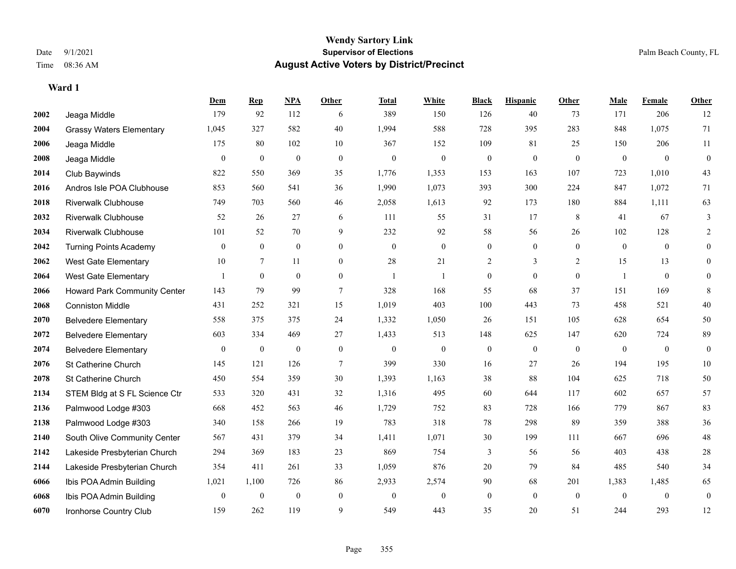**Ward 1**

#### **Wendy Sartory Link** Date 9/1/2021 **Supervisor of Elections** Palm Beach County, FL Time 08:36 AM **August Active Voters by District/Precinct**

|      |                                     | Dem            | <b>Rep</b>       | NPA              | <b>Other</b>     | <b>Total</b>     | <b>White</b>     | <b>Black</b>     | <b>Hispanic</b> | <b>Other</b>   | <b>Male</b>  | <b>Female</b> | Other            |
|------|-------------------------------------|----------------|------------------|------------------|------------------|------------------|------------------|------------------|-----------------|----------------|--------------|---------------|------------------|
| 2002 | Jeaga Middle                        | 179            | 92               | 112              | 6                | 389              | 150              | 126              | 40              | 73             | 171          | 206           | 12               |
| 2004 | <b>Grassy Waters Elementary</b>     | 1,045          | 327              | 582              | 40               | 1,994            | 588              | 728              | 395             | 283            | 848          | 1,075         | 71               |
| 2006 | Jeaga Middle                        | 175            | 80               | 102              | 10               | 367              | 152              | 109              | 81              | 25             | 150          | 206           | 11               |
| 2008 | Jeaga Middle                        | $\overline{0}$ | $\boldsymbol{0}$ | $\boldsymbol{0}$ | $\boldsymbol{0}$ | $\boldsymbol{0}$ | $\boldsymbol{0}$ | $\boldsymbol{0}$ | $\mathbf{0}$    | $\mathbf{0}$   | $\mathbf{0}$ | $\theta$      | $\boldsymbol{0}$ |
| 2014 | Club Baywinds                       | 822            | 550              | 369              | 35               | 1,776            | 1,353            | 153              | 163             | 107            | 723          | 1,010         | 43               |
| 2016 | Andros Isle POA Clubhouse           | 853            | 560              | 541              | 36               | 1,990            | 1,073            | 393              | 300             | 224            | 847          | 1,072         | 71               |
| 2018 | <b>Riverwalk Clubhouse</b>          | 749            | 703              | 560              | $46\,$           | 2,058            | 1,613            | 92               | 173             | 180            | 884          | 1,111         | 63               |
| 2032 | <b>Riverwalk Clubhouse</b>          | 52             | 26               | 27               | 6                | 111              | 55               | 31               | 17              | 8              | 41           | 67            | 3                |
| 2034 | <b>Riverwalk Clubhouse</b>          | 101            | 52               | 70               | 9                | 232              | 92               | 58               | 56              | 26             | 102          | 128           | $\overline{2}$   |
| 2042 | <b>Turning Points Academy</b>       | $\mathbf{0}$   | $\overline{0}$   | $\overline{0}$   | $\mathbf{0}$     | $\mathbf{0}$     | $\overline{0}$   | $\boldsymbol{0}$ | $\mathbf{0}$    | $\overline{0}$ | $\mathbf{0}$ | $\mathbf{0}$  | $\overline{0}$   |
| 2062 | <b>West Gate Elementary</b>         | 10             | $\tau$           | 11               | $\theta$         | 28               | 21               | $\overline{c}$   | 3               | 2              | 15           | 13            | $\overline{0}$   |
| 2064 | West Gate Elementary                | -1             | $\mathbf{0}$     | $\mathbf{0}$     | $\mathbf{0}$     | -1               | 1                | $\boldsymbol{0}$ | $\mathbf{0}$    | $\mathbf{0}$   | $\mathbf{1}$ | $\theta$      | $\overline{0}$   |
| 2066 | <b>Howard Park Community Center</b> | 143            | 79               | 99               | $\tau$           | 328              | 168              | 55               | 68              | 37             | 151          | 169           | 8                |
| 2068 | <b>Conniston Middle</b>             | 431            | 252              | 321              | 15               | 1,019            | 403              | 100              | 443             | 73             | 458          | 521           | $40\,$           |
| 2070 | <b>Belvedere Elementary</b>         | 558            | 375              | 375              | 24               | 1,332            | 1,050            | 26               | 151             | 105            | 628          | 654           | 50               |
| 2072 | <b>Belvedere Elementary</b>         | 603            | 334              | 469              | 27               | 1,433            | 513              | 148              | 625             | 147            | 620          | 724           | 89               |
| 2074 | <b>Belvedere Elementary</b>         | $\mathbf{0}$   | $\boldsymbol{0}$ | $\boldsymbol{0}$ | $\mathbf{0}$     | $\boldsymbol{0}$ | $\boldsymbol{0}$ | $\boldsymbol{0}$ | $\mathbf{0}$    | $\mathbf{0}$   | $\mathbf{0}$ | $\mathbf{0}$  | $\mathbf{0}$     |
| 2076 | St Catherine Church                 | 145            | 121              | 126              | $\overline{7}$   | 399              | 330              | 16               | 27              | 26             | 194          | 195           | $10\,$           |
| 2078 | St Catherine Church                 | 450            | 554              | 359              | 30               | 1,393            | 1,163            | 38               | 88              | 104            | 625          | 718           | 50               |
| 2134 | STEM Bldg at S FL Science Ctr       | 533            | 320              | 431              | 32               | 1,316            | 495              | 60               | 644             | 117            | 602          | 657           | 57               |
| 2136 | Palmwood Lodge #303                 | 668            | 452              | 563              | 46               | 1,729            | 752              | 83               | 728             | 166            | 779          | 867           | 83               |
| 2138 | Palmwood Lodge #303                 | 340            | 158              | 266              | 19               | 783              | 318              | 78               | 298             | 89             | 359          | 388           | 36               |
| 2140 | South Olive Community Center        | 567            | 431              | 379              | 34               | 1,411            | 1,071            | 30               | 199             | 111            | 667          | 696           | 48               |
| 2142 | Lakeside Presbyterian Church        | 294            | 369              | 183              | 23               | 869              | 754              | 3                | 56              | 56             | 403          | 438           | $28\,$           |
| 2144 | Lakeside Presbyterian Church        | 354            | 411              | 261              | 33               | 1,059            | 876              | $20\,$           | 79              | 84             | 485          | 540           | 34               |
| 6066 | Ibis POA Admin Building             | 1,021          | 1,100            | 726              | 86               | 2,933            | 2,574            | 90               | 68              | 201            | 1,383        | 1,485         | 65               |
| 6068 | Ibis POA Admin Building             | $\overline{0}$ | $\mathbf{0}$     | $\mathbf{0}$     | $\theta$         | $\theta$         | $\mathbf{0}$     | $\mathbf{0}$     | $\Omega$        | $\Omega$       | $\theta$     | $\theta$      | $\overline{0}$   |
| 6070 | Ironhorse Country Club              | 159            | 262              | 119              | $\mathbf Q$      | 549              | 443              | 35               | 20              | 51             | 244          | 293           | 12               |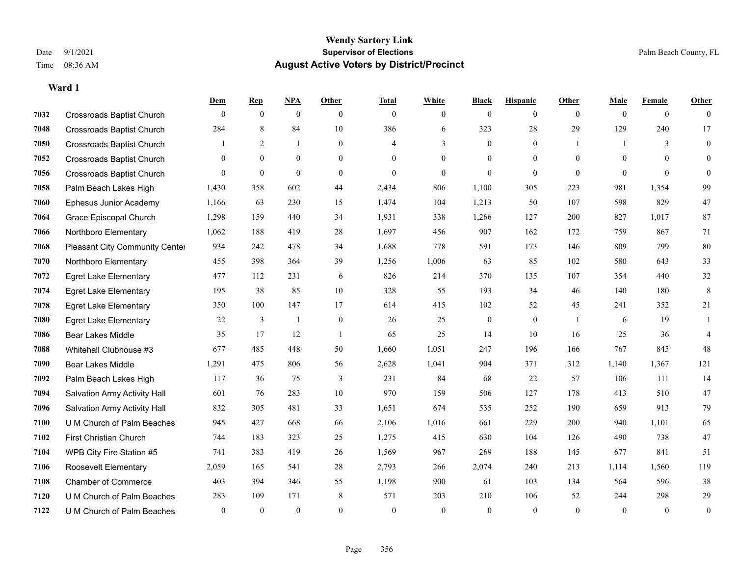**Dem Rep NPA Other Total White Black Hispanic Other Male Female Other**

| 7032 | <b>Crossroads Baptist Church</b>      | $\theta$         | $\mathbf{0}$ | $\mathbf{0}$ | $\theta$       | $\theta$       | $\overline{0}$ | $\mathbf{0}$     | $\mathbf{0}$     | $\theta$       | $\Omega$     | $\mathbf{0}$     | $\theta$         |
|------|---------------------------------------|------------------|--------------|--------------|----------------|----------------|----------------|------------------|------------------|----------------|--------------|------------------|------------------|
| 7048 | Crossroads Baptist Church             | 284              | 8            | 84           | 10             | 386            | 6              | 323              | 28               | 29             | 129          | 240              | 17               |
| 7050 | <b>Crossroads Baptist Church</b>      |                  | 2            | 1            | $\overline{0}$ | $\overline{4}$ | 3              | $\mathbf{0}$     | $\mathbf{0}$     |                |              | 3                | $\boldsymbol{0}$ |
| 7052 | <b>Crossroads Baptist Church</b>      | $\theta$         | $\mathbf{0}$ | $\mathbf{0}$ | $\theta$       | $\theta$       | $\overline{0}$ | $\mathbf{0}$     | $\mathbf{0}$     | $\theta$       | $\Omega$     | $\theta$         | $\overline{0}$   |
| 7056 | <b>Crossroads Baptist Church</b>      | $\Omega$         | $\mathbf{0}$ | $\theta$     | $\theta$       | $\theta$       | $\overline{0}$ | $\mathbf{0}$     | $\theta$         | $\theta$       | $\Omega$     | $\theta$         | $\Omega$         |
| 7058 | Palm Beach Lakes High                 | 1,430            | 358          | 602          | 44             | 2,434          | 806            | 1,100            | 305              | 223            | 981          | 1,354            | 99               |
| 7060 | Ephesus Junior Academy                | 1,166            | 63           | 230          | 15             | 1,474          | 104            | 1,213            | 50               | 107            | 598          | 829              | 47               |
| 7064 | Grace Episcopal Church                | 1,298            | 159          | 440          | 34             | 1,931          | 338            | 1,266            | 127              | 200            | 827          | 1,017            | 87               |
| 7066 | Northboro Elementary                  | 1,062            | 188          | 419          | 28             | 1,697          | 456            | 907              | 162              | 172            | 759          | 867              | 71               |
| 7068 | <b>Pleasant City Community Center</b> | 934              | 242          | 478          | 34             | 1,688          | 778            | 591              | 173              | 146            | 809          | 799              | 80               |
| 7070 | Northboro Elementary                  | 455              | 398          | 364          | 39             | 1,256          | 1,006          | 63               | 85               | 102            | 580          | 643              | 33               |
| 7072 | <b>Egret Lake Elementary</b>          | 477              | 112          | 231          | 6              | 826            | 214            | 370              | 135              | 107            | 354          | 440              | 32               |
| 7074 | <b>Egret Lake Elementary</b>          | 195              | 38           | 85           | 10             | 328            | 55             | 193              | 34               | 46             | 140          | 180              | $\,8\,$          |
| 7078 | <b>Egret Lake Elementary</b>          | 350              | 100          | 147          | 17             | 614            | 415            | 102              | 52               | 45             | 241          | 352              | 21               |
| 7080 | <b>Egret Lake Elementary</b>          | 22               | 3            | 1            | $\mathbf{0}$   | 26             | 25             | $\boldsymbol{0}$ | $\boldsymbol{0}$ | $\overline{1}$ | 6            | 19               | 1                |
| 7086 | <b>Bear Lakes Middle</b>              | 35               | 17           | 12           | $\overline{1}$ | 65             | 25             | 14               | 10               | 16             | 25           | 36               | $\overline{4}$   |
| 7088 | Whitehall Clubhouse #3                | 677              | 485          | 448          | 50             | 1,660          | 1,051          | 247              | 196              | 166            | 767          | 845              | 48               |
| 7090 | <b>Bear Lakes Middle</b>              | 1,291            | 475          | 806          | 56             | 2,628          | 1.041          | 904              | 371              | 312            | 1,140        | 1,367            | 121              |
| 7092 | Palm Beach Lakes High                 | 117              | 36           | 75           | 3              | 231            | 84             | 68               | 22               | 57             | 106          | 111              | 14               |
| 7094 | Salvation Army Activity Hall          | 601              | 76           | 283          | $10\,$         | 970            | 159            | 506              | 127              | 178            | 413          | 510              | 47               |
| 7096 | Salvation Army Activity Hall          | 832              | 305          | 481          | 33             | 1,651          | 674            | 535              | 252              | 190            | 659          | 913              | 79               |
| 7100 | U M Church of Palm Beaches            | 945              | 427          | 668          | 66             | 2,106          | 1,016          | 661              | 229              | 200            | 940          | 1,101            | 65               |
| 7102 | First Christian Church                | 744              | 183          | 323          | 25             | 1,275          | 415            | 630              | 104              | 126            | 490          | 738              | 47               |
| 7104 | WPB City Fire Station #5              | 741              | 383          | 419          | 26             | 1,569          | 967            | 269              | 188              | 145            | 677          | 841              | 51               |
| 7106 | Roosevelt Elementary                  | 2,059            | 165          | 541          | 28             | 2,793          | 266            | 2,074            | 240              | 213            | 1,114        | 1,560            | 119              |
| 7108 | <b>Chamber of Commerce</b>            | 403              | 394          | 346          | 55             | 1,198          | 900            | 61               | 103              | 134            | 564          | 596              | 38               |
| 7120 | U M Church of Palm Beaches            | 283              | 109          | 171          | 8              | 571            | 203            | 210              | 106              | 52             | 244          | 298              | 29               |
| 7122 | U M Church of Palm Beaches            | $\boldsymbol{0}$ | $\mathbf{0}$ | $\mathbf{0}$ | $\overline{0}$ | $\mathbf{0}$   | $\mathbf{0}$   | $\boldsymbol{0}$ | $\mathbf{0}$     | $\mathbf{0}$   | $\mathbf{0}$ | $\boldsymbol{0}$ | $\boldsymbol{0}$ |